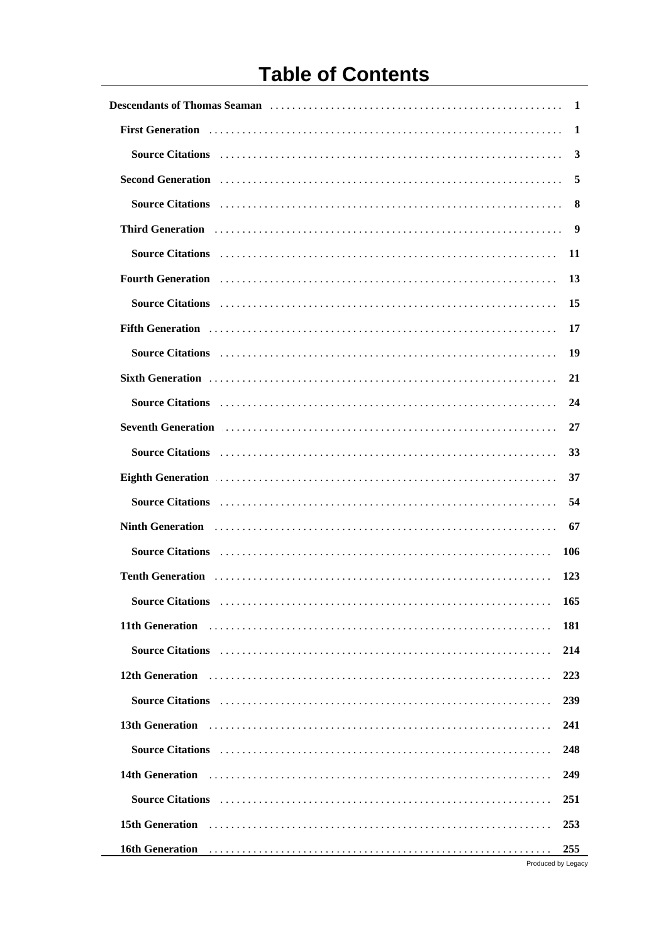# **Table of Contents**

|                                                                                                                                                                                                                                                                                                                                                                                                                                                                                                                                                                                                                                                                       | -1                        |
|-----------------------------------------------------------------------------------------------------------------------------------------------------------------------------------------------------------------------------------------------------------------------------------------------------------------------------------------------------------------------------------------------------------------------------------------------------------------------------------------------------------------------------------------------------------------------------------------------------------------------------------------------------------------------|---------------------------|
|                                                                                                                                                                                                                                                                                                                                                                                                                                                                                                                                                                                                                                                                       | 1                         |
| Source Citations (1000) (1000) (1000) (1000) (1000) (1000) (1000) (1000) (1000) (1000) (1000) (1000) (1000) (1                                                                                                                                                                                                                                                                                                                                                                                                                                                                                                                                                        | 3                         |
| Second Generation (and according to the control of the control of the control of the control of the control of the control of the control of the control of the control of the control of the control of the control of the co                                                                                                                                                                                                                                                                                                                                                                                                                                        | 5                         |
| Source Citations et al., respectively. The contract of the set of the set of the set of the set of the set of the set of the set of the set of the set of the set of the set of the set of the set of the set of the set of th                                                                                                                                                                                                                                                                                                                                                                                                                                        |                           |
| Third Generation (1) respectively. Third Generation (1) respectively.                                                                                                                                                                                                                                                                                                                                                                                                                                                                                                                                                                                                 |                           |
|                                                                                                                                                                                                                                                                                                                                                                                                                                                                                                                                                                                                                                                                       | -11                       |
| Fourth Generation (1) March 1998 (1) March 1999 (1) March 1999 (1) March 1999 (1) March 1999 (1) March 1999 (1) March 1999 (1) March 1999 (1) March 1999 (1) March 1999 (1) March 1999 (1) March 1999 (1) March 1999 (1) March                                                                                                                                                                                                                                                                                                                                                                                                                                        | 13                        |
| Source Citations (1000) (1000) (1000) (1000) (1000) (1000) (1000) (1000) (1000) (1000) (1000) (1000) (1000) (1                                                                                                                                                                                                                                                                                                                                                                                                                                                                                                                                                        | 15                        |
|                                                                                                                                                                                                                                                                                                                                                                                                                                                                                                                                                                                                                                                                       | 17                        |
| Source Citations (1) respectively. The contract of the contract of the contract of the contract of the contract of the contract of the contract of the contract of the contract of the contract of the contract of the contrac                                                                                                                                                                                                                                                                                                                                                                                                                                        | 19                        |
|                                                                                                                                                                                                                                                                                                                                                                                                                                                                                                                                                                                                                                                                       | 21                        |
| Source Citations (1000) (1000) (1000) (1000) (1000) (1000) (1000) (1000) (1000) (1000) (1000) (1000) (1000) (1                                                                                                                                                                                                                                                                                                                                                                                                                                                                                                                                                        | 24                        |
| Seventh Generation (and the contract of the contract of the contract of the contract of the contract of the contract of the contract of the contract of the contract of the contract of the contract of the contract of the co                                                                                                                                                                                                                                                                                                                                                                                                                                        | 27                        |
|                                                                                                                                                                                                                                                                                                                                                                                                                                                                                                                                                                                                                                                                       | 33                        |
| Eighth Generation entertainment and the control of the control of the control of the control of the control of the control of the control of the control of the control of the control of the control of the control of the co                                                                                                                                                                                                                                                                                                                                                                                                                                        | 37                        |
|                                                                                                                                                                                                                                                                                                                                                                                                                                                                                                                                                                                                                                                                       | 54                        |
| Ninth Generation <i>[1] m</i> <sub>1</sub> <i>m</i> <sub>1</sub> <i>m</i> <sub>1</sub> <i>m</i> <sub>1</sub> <i>m</i> <sub>1</sub> <i>m</i> <sub>1</sub> <i>m</i> <sub>1</sub> <i>m</i> <sub>1</sub> <i>m</i> <sub>1</sub> <i>m</i> <sub>1</sub> <i>m</i> <sub>1</sub> <i>m</i> <sub>1</sub> <i>m</i> <sub>1</sub> <i>m</i> <sub>1</sub> <i>m</i> <sub>1</sub> <i>m</i> <sub>1</sub> <i>m</i> <sub>1</sub> <i>m</i> <sub>1</sub> <i>m</i> <sub>1</sub> <i>m</i> <sub>1</sub> <i>m</i> <sub>1</sub> <i>m</i> <sub>1</sub> <i>m</i> <sub>1</sub> <i>m</i> <sub>1</sub> <i>m</i> <sub>1</sub> <i>m</i> <sub>1</sub> <i>m</i> <sub>1</sub> <i>m</i> <sub>1</sub> <i>m</i> | 67                        |
| Source Citations (1996) (1996) (1996) (1996) (1996) (1996) (1997) (1997) (1997) (1997) (1997) (1997) (1997) (1                                                                                                                                                                                                                                                                                                                                                                                                                                                                                                                                                        | 106                       |
|                                                                                                                                                                                                                                                                                                                                                                                                                                                                                                                                                                                                                                                                       | 123                       |
|                                                                                                                                                                                                                                                                                                                                                                                                                                                                                                                                                                                                                                                                       | 165                       |
| 11th Generation <i>mature is a construction</i> of the construction of the construction of the construction of the construction of the construction of the construction of the construction of the construction of the construction                                                                                                                                                                                                                                                                                                                                                                                                                                   | 181                       |
|                                                                                                                                                                                                                                                                                                                                                                                                                                                                                                                                                                                                                                                                       | 214                       |
| 12th Generation entries resources in the contract of the contract of the contract of the contract of the contract of the contract of the contract of the contract of the contract of the contract of the contract of the contr                                                                                                                                                                                                                                                                                                                                                                                                                                        | 223                       |
|                                                                                                                                                                                                                                                                                                                                                                                                                                                                                                                                                                                                                                                                       | 239                       |
| 13th Generation <i>Internation</i> <b>1980 13th Generation 13th Generation 13th Generation</b>                                                                                                                                                                                                                                                                                                                                                                                                                                                                                                                                                                        | 241                       |
|                                                                                                                                                                                                                                                                                                                                                                                                                                                                                                                                                                                                                                                                       | 248                       |
|                                                                                                                                                                                                                                                                                                                                                                                                                                                                                                                                                                                                                                                                       | 249                       |
| <b>Source Citations</b>                                                                                                                                                                                                                                                                                                                                                                                                                                                                                                                                                                                                                                               | 251                       |
| 15th Generation <i>[16]</i> Separation <i>[16]</i> Separation <b><i>n</i></b> Separation <b><i>n</i></b> Separation <b><i>n</i></b> Separation <b><i>n</i></b> Separation <b><i>n</i></b> Separation <b><i>n</i></b> Separation <b><i>n</i></b> Separation <b><i>n</i></b> Separation <b><i>n</i></b> Separation <b><i>n</i></b> Separation                                                                                                                                                                                                                                                                                                                           | 253                       |
| 16th Generation (1997) (1998) (1998) (1998) (1998) (1998) (1998) (1998) (1998) (1998) (1998) (1998) (1998) (1999) (1999) (1999) (1999) (1999) (1999) (1999) (1999) (1999) (1999) (1999) (1999) (1999) (1999) (1999) (1999) (19                                                                                                                                                                                                                                                                                                                                                                                                                                        | 255<br>Produced by Legacy |
|                                                                                                                                                                                                                                                                                                                                                                                                                                                                                                                                                                                                                                                                       |                           |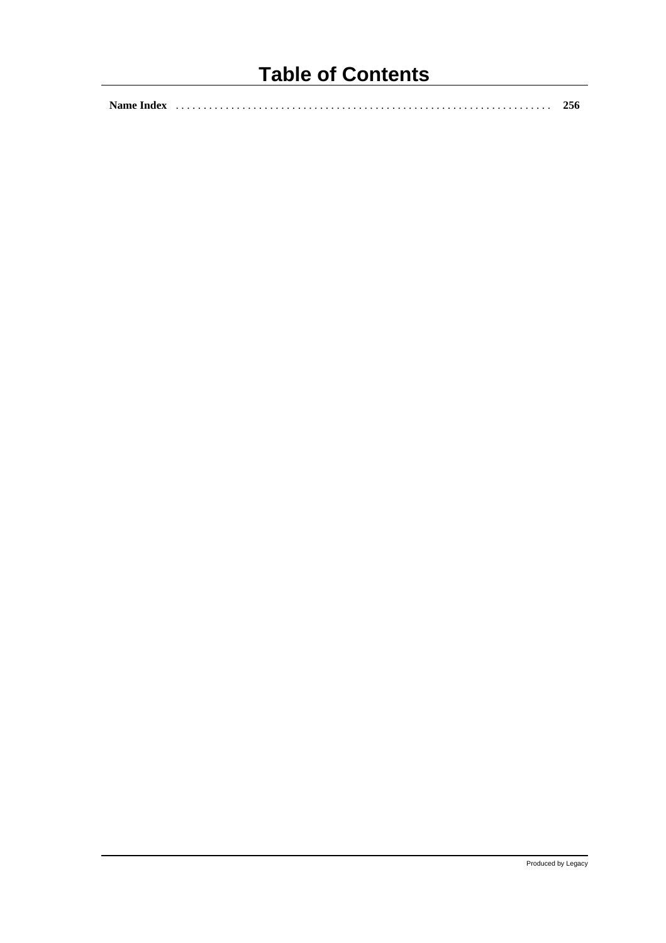## **Table of Contents**

|--|--|--|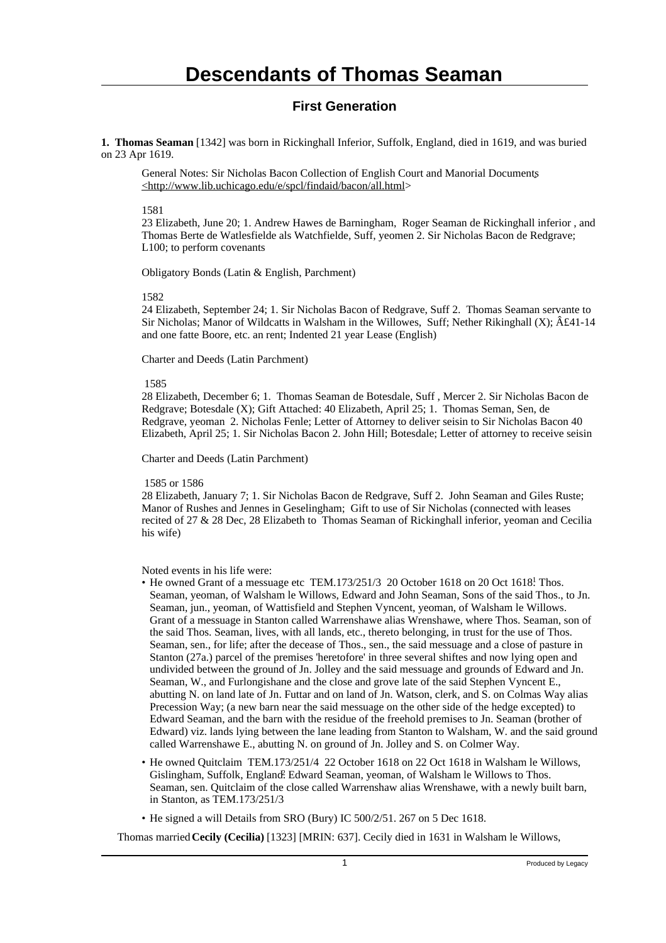#### **First Generation**

**1. Thomas Seaman** [1342] was born in Rickinghall Inferior, Suffolk, England, died in 1619, and was buried on 23 Apr 1619.

General Notes: Sir Nicholas Bacon Collection of English Court and Manorial Documents <http://www.lib.uchicago.edu/e/spcl/findaid/bacon/all.html>

1581

23 Elizabeth, June 20; 1. Andrew Hawes de Barningham, Roger Seaman de Rickinghall inferior , and Thomas Berte de Watlesfielde als Watchfielde, Suff, yeomen 2. Sir Nicholas Bacon de Redgrave; L100; to perform covenants

Obligatory Bonds (Latin & English, Parchment)

1582

24 Elizabeth, September 24; 1. Sir Nicholas Bacon of Redgrave, Suff 2. Thomas Seaman servante to Sir Nicholas; Manor of Wildcatts in Walsham in the Willowes, Suff; Nether Rikinghall  $(X)$ ;  $\hat{A}f41-14$ and one fatte Boore, etc. an rent; Indented 21 year Lease (English)

Charter and Deeds (Latin Parchment)

1585

28 Elizabeth, December 6; 1. Thomas Seaman de Botesdale, Suff , Mercer 2. Sir Nicholas Bacon de Redgrave; Botesdale (X); Gift Attached: 40 Elizabeth, April 25; 1. Thomas Seman, Sen, de Redgrave, yeoman 2. Nicholas Fenle; Letter of Attorney to deliver seisin to Sir Nicholas Bacon 40 Elizabeth, April 25; 1. Sir Nicholas Bacon 2. John Hill; Botesdale; Letter of attorney to receive seisin

Charter and Deeds (Latin Parchment)

1585 or 1586

28 Elizabeth, January 7; 1. Sir Nicholas Bacon de Redgrave, Suff 2. John Seaman and Giles Ruste; Manor of Rushes and Jennes in Geselingham; Gift to use of Sir Nicholas (connected with leases recited of 27 & 28 Dec, 28 Elizabeth to Thomas Seaman of Rickinghall inferior, yeoman and Cecilia his wife)

Noted events in his life were:

- He owned Grant of a messuage etc TEM.173/251/3 20 October 1618 on 20 Oct 1618! Thos. Seaman, yeoman, of Walsham le Willows, Edward and John Seaman, Sons of the said Thos., to Jn. Seaman, jun., yeoman, of Wattisfield and Stephen Vyncent, yeoman, of Walsham le Willows. Grant of a messuage in Stanton called Warrenshawe alias Wrenshawe, where Thos. Seaman, son of the said Thos. Seaman, lives, with all lands, etc., thereto belonging, in trust for the use of Thos. Seaman, sen., for life; after the decease of Thos., sen., the said messuage and a close of pasture in Stanton (27a.) parcel of the premises 'heretofore' in three several shiftes and now lying open and undivided between the ground of Jn. Jolley and the said messuage and grounds of Edward and Jn. Seaman, W., and Furlongishane and the close and grove late of the said Stephen Vyncent E., abutting N. on land late of Jn. Futtar and on land of Jn. Watson, clerk, and S. on Colmas Way alias Precession Way; (a new barn near the said messuage on the other side of the hedge excepted) to Edward Seaman, and the barn with the residue of the freehold premises to Jn. Seaman (brother of Edward) viz. lands lying between the lane leading from Stanton to Walsham, W. and the said ground called Warrenshawe E., abutting N. on ground of Jn. Jolley and S. on Colmer Way.
- He owned Quitclaim TEM.173/251/4 22 October 1618 on 22 Oct 1618 in Walsham le Willows, Gislingham, Suffolk, England. Edward Seaman, yeoman, of Walsham le Willows to Thos. Seaman, sen. Quitclaim of the close called Warrenshaw alias Wrenshawe, with a newly built barn, in Stanton, as TEM.173/251/3
- He signed a will Details from SRO (Bury) IC 500/2/51. 267 on 5 Dec 1618.

Thomas married **Cecily (Cecilia)** [1323] [MRIN: 637]. Cecily died in 1631 in Walsham le Willows,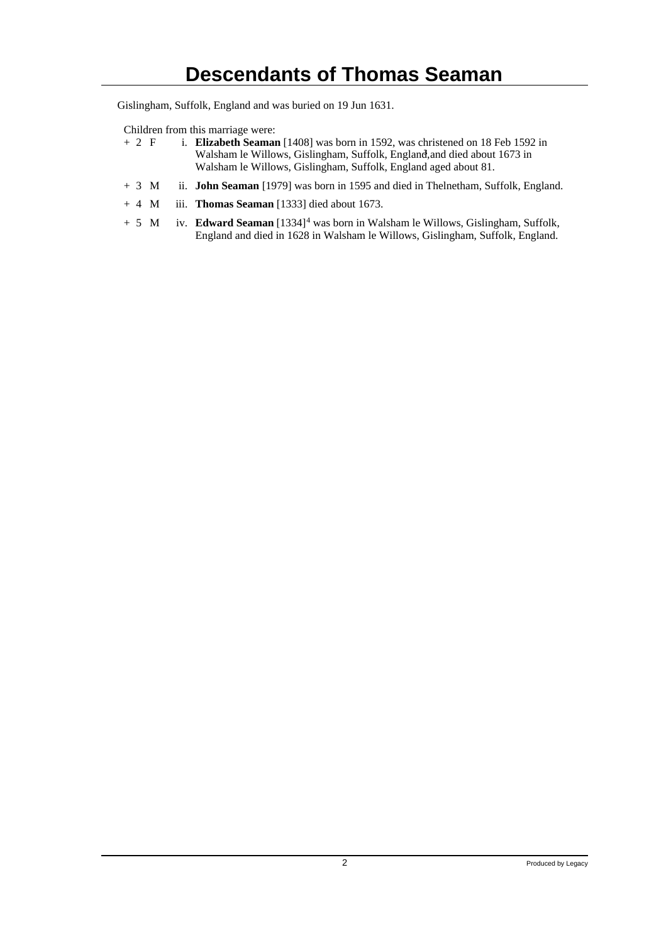Gislingham, Suffolk, England and was buried on 19 Jun 1631.

- Children from this marriage were:<br>+ 2  $\overline{F}$  i. **Elizabeth Seaman** i. **Elizabeth Seaman** [1408] was born in 1592, was christened on 18 Feb 1592 in Walsham le Willows, Gislingham, Suffolk, England, and died about 1673 in Walsham le Willows, Gislingham, Suffolk, England aged about 81.
- + 3 M ii. **John Seaman** [1979] was born in 1595 and died in Thelnetham, Suffolk, England.
- + 4 M iii. **Thomas Seaman** [1333] died about 1673.
- + 5 M iv. **Edward Seaman** [1334]<sup>4</sup> was born in Walsham le Willows, Gislingham, Suffolk, England and died in 1628 in Walsham le Willows, Gislingham, Suffolk, England.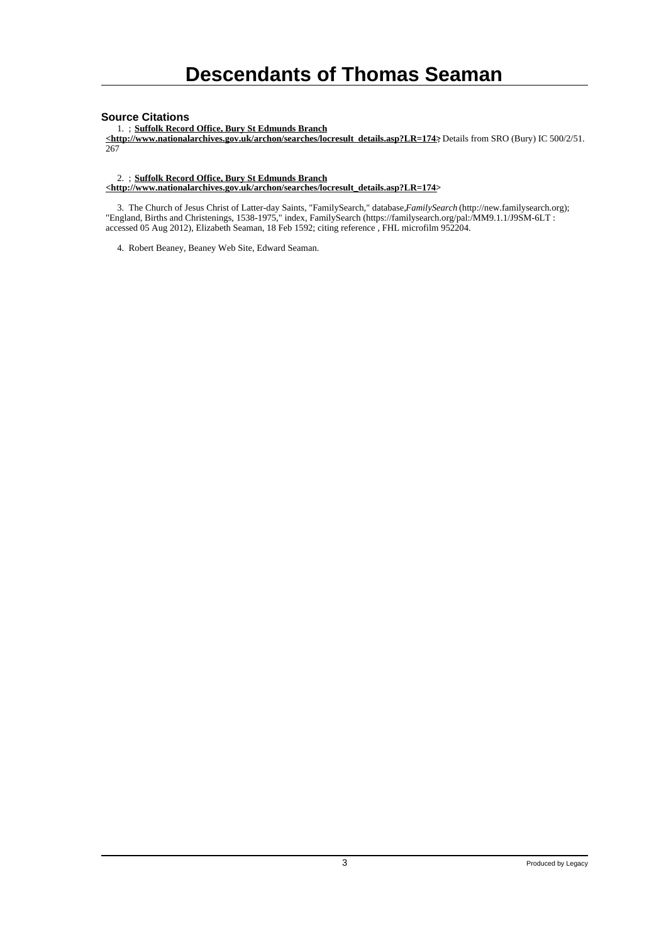#### **Source Citations**

1. ; **Suffolk Record Office, Bury St Edmunds Branch**

**<http://www.nationalarchives.gov.uk/archon/searches/locresult\_details.asp?LR=174>**; Details from SRO (Bury) IC 500/2/51. 267

2. ; **Suffolk Record Office, Bury St Edmunds Branch**

**<http://www.nationalarchives.gov.uk/archon/searches/locresult\_details.asp?LR=174>**

 3. The Church of Jesus Christ of Latter-day Saints, "FamilySearch," database, *FamilySearch* (http://new.familysearch.org); "England, Births and Christenings, 1538-1975," index, FamilySearch (https://familysearch.org/pal:/MM9.1.1/J9SM-6LT : accessed 05 Aug 2012), Elizabeth Seaman, 18 Feb 1592; citing reference , FHL microfilm 952204.

4. Robert Beaney, Beaney Web Site, Edward Seaman.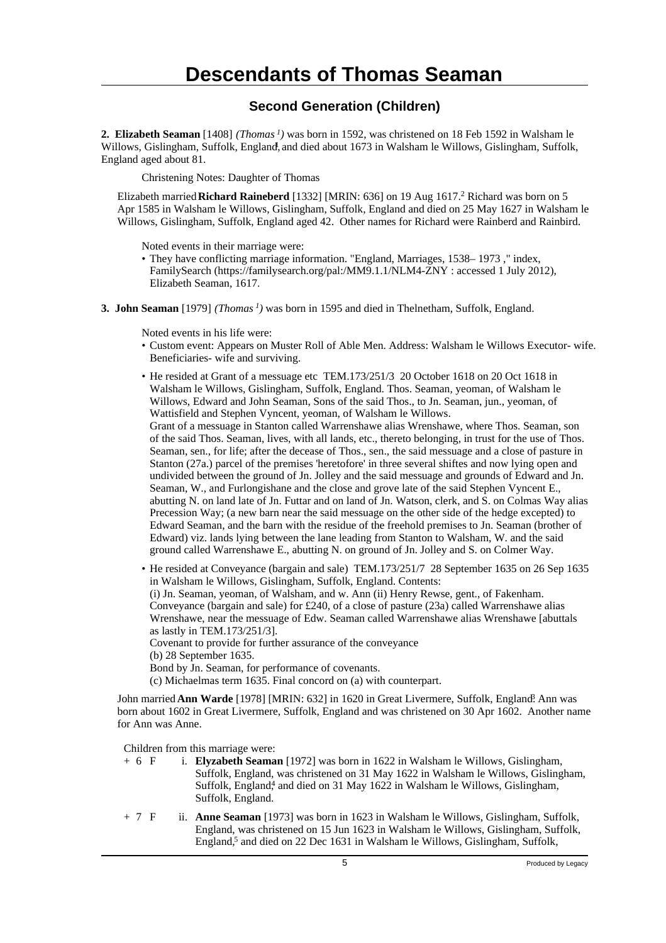### **Second Generation (Children)**

**2. Elizabeth Seaman** [1408] *(Thomas<sup>1</sup>)* was born in 1592, was christened on 18 Feb 1592 in Walsham le Willows, Gislingham, Suffolk, England, and died about 1673 in Walsham le Willows, Gislingham, Suffolk, England aged about 81.

Christening Notes: Daughter of Thomas

Elizabeth married **Richard Raineberd** [1332] [MRIN: 636] on 19 Aug 1617.<sup>2</sup> Richard was born on 5 Apr 1585 in Walsham le Willows, Gislingham, Suffolk, England and died on 25 May 1627 in Walsham le Willows, Gislingham, Suffolk, England aged 42. Other names for Richard were Rainberd and Rainbird.

Noted events in their marriage were:

- They have conflicting marriage information. "England, Marriages, 1538– 1973 ," index, FamilySearch (https://familysearch.org/pal:/MM9.1.1/NLM4-ZNY : accessed 1 July 2012), Elizabeth Seaman, 1617.
- **3. John Seaman** [1979] *(Thomas<sup>1</sup>)* was born in 1595 and died in Thelnetham, Suffolk, England.

Noted events in his life were:

- Custom event: Appears on Muster Roll of Able Men. Address: Walsham le Willows Executor- wife. Beneficiaries- wife and surviving.
- He resided at Grant of a messuage etc TEM.173/251/3 20 October 1618 on 20 Oct 1618 in Walsham le Willows, Gislingham, Suffolk, England. Thos. Seaman, yeoman, of Walsham le Willows, Edward and John Seaman, Sons of the said Thos., to Jn. Seaman, jun., yeoman, of Wattisfield and Stephen Vyncent, yeoman, of Walsham le Willows.

Grant of a messuage in Stanton called Warrenshawe alias Wrenshawe, where Thos. Seaman, son of the said Thos. Seaman, lives, with all lands, etc., thereto belonging, in trust for the use of Thos. Seaman, sen., for life; after the decease of Thos., sen., the said messuage and a close of pasture in Stanton (27a.) parcel of the premises 'heretofore' in three several shiftes and now lying open and undivided between the ground of Jn. Jolley and the said messuage and grounds of Edward and Jn. Seaman, W., and Furlongishane and the close and grove late of the said Stephen Vyncent E., abutting N. on land late of Jn. Futtar and on land of Jn. Watson, clerk, and S. on Colmas Way alias Precession Way; (a new barn near the said messuage on the other side of the hedge excepted) to Edward Seaman, and the barn with the residue of the freehold premises to Jn. Seaman (brother of Edward) viz. lands lying between the lane leading from Stanton to Walsham, W. and the said ground called Warrenshawe E., abutting N. on ground of Jn. Jolley and S. on Colmer Way.

• He resided at Conveyance (bargain and sale) TEM.173/251/7 28 September 1635 on 26 Sep 1635 in Walsham le Willows, Gislingham, Suffolk, England. Contents: (i) Jn. Seaman, yeoman, of Walsham, and w. Ann (ii) Henry Rewse, gent., of Fakenham. Conveyance (bargain and sale) for £240, of a close of pasture (23a) called Warrenshawe alias Wrenshawe, near the messuage of Edw. Seaman called Warrenshawe alias Wrenshawe [abuttals as lastly in TEM.173/251/3]. Covenant to provide for further assurance of the conveyance (b) 28 September 1635. Bond by Jn. Seaman, for performance of covenants.

(c) Michaelmas term 1635. Final concord on (a) with counterpart.

John married **Ann Warde** [1978] [MRIN: 632] in 1620 in Great Livermere, Suffolk, England? Ann was born about 1602 in Great Livermere, Suffolk, England and was christened on 30 Apr 1602. Another name for Ann was Anne.

- + 6 F i. **Elyzabeth Seaman** [1972] was born in 1622 in Walsham le Willows, Gislingham, Suffolk, England, was christened on 31 May 1622 in Walsham le Willows, Gislingham, Suffolk, England<sup>4</sup>, and died on 31 May 1622 in Walsham le Willows, Gislingham, Suffolk, England.
- + 7 F ii. **Anne Seaman** [1973] was born in 1623 in Walsham le Willows, Gislingham, Suffolk, England, was christened on 15 Jun 1623 in Walsham le Willows, Gislingham, Suffolk, England,<sup>5</sup> and died on 22 Dec 1631 in Walsham le Willows, Gislingham, Suffolk,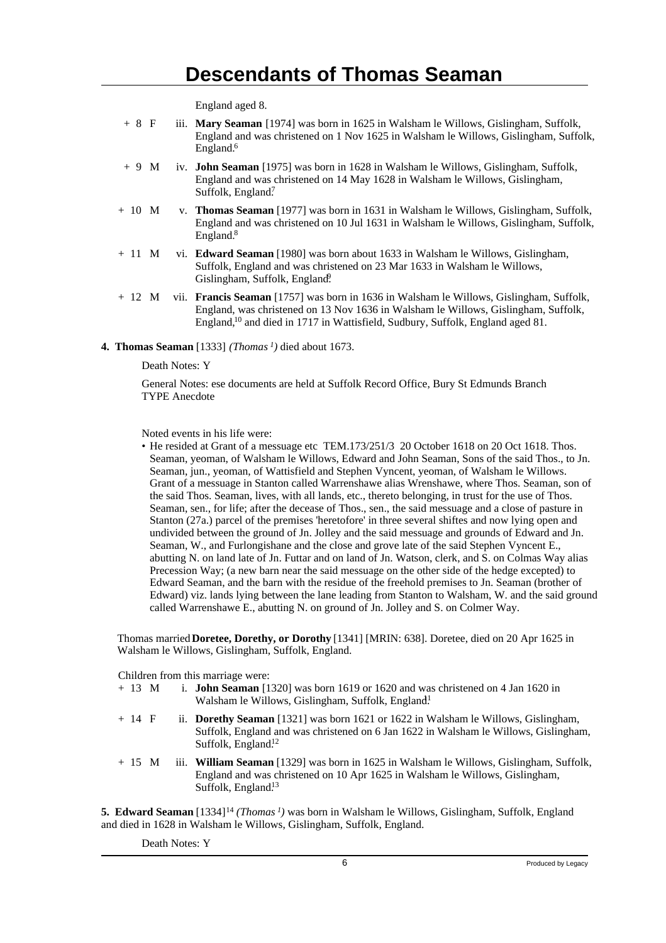England aged 8.

- + 8 F iii. **Mary Seaman** [1974] was born in 1625 in Walsham le Willows, Gislingham, Suffolk, England and was christened on 1 Nov 1625 in Walsham le Willows, Gislingham, Suffolk, England.<sup>6</sup>
- + 9 M iv. **John Seaman** [1975] was born in 1628 in Walsham le Willows, Gislingham, Suffolk, England and was christened on 14 May 1628 in Walsham le Willows, Gislingham, Suffolk, England?
- + 10 M v. **Thomas Seaman** [1977] was born in 1631 in Walsham le Willows, Gislingham, Suffolk, England and was christened on 10 Jul 1631 in Walsham le Willows, Gislingham, Suffolk, England.<sup>8</sup>
- + 11 M vi. **Edward Seaman** [1980] was born about 1633 in Walsham le Willows, Gislingham, Suffolk, England and was christened on 23 Mar 1633 in Walsham le Willows, Gislingham, Suffolk, England?
- + 12 M vii. **Francis Seaman** [1757] was born in 1636 in Walsham le Willows, Gislingham, Suffolk, England, was christened on 13 Nov 1636 in Walsham le Willows, Gislingham, Suffolk, England,<sup>10</sup> and died in 1717 in Wattisfield, Sudbury, Suffolk, England aged 81.

#### **4. Thomas Seaman** [1333] *(Thomas<sup>1</sup>)* died about 1673.

Death Notes: Y

General Notes: ese documents are held at Suffolk Record Office, Bury St Edmunds Branch TYPE Anecdote

Noted events in his life were:

• He resided at Grant of a messuage etc TEM.173/251/3 20 October 1618 on 20 Oct 1618. Thos. Seaman, yeoman, of Walsham le Willows, Edward and John Seaman, Sons of the said Thos., to Jn. Seaman, jun., yeoman, of Wattisfield and Stephen Vyncent, yeoman, of Walsham le Willows. Grant of a messuage in Stanton called Warrenshawe alias Wrenshawe, where Thos. Seaman, son of the said Thos. Seaman, lives, with all lands, etc., thereto belonging, in trust for the use of Thos. Seaman, sen., for life; after the decease of Thos., sen., the said messuage and a close of pasture in Stanton (27a.) parcel of the premises 'heretofore' in three several shiftes and now lying open and undivided between the ground of Jn. Jolley and the said messuage and grounds of Edward and Jn. Seaman, W., and Furlongishane and the close and grove late of the said Stephen Vyncent E., abutting N. on land late of Jn. Futtar and on land of Jn. Watson, clerk, and S. on Colmas Way alias Precession Way; (a new barn near the said messuage on the other side of the hedge excepted) to Edward Seaman, and the barn with the residue of the freehold premises to Jn. Seaman (brother of Edward) viz. lands lying between the lane leading from Stanton to Walsham, W. and the said ground called Warrenshawe E., abutting N. on ground of Jn. Jolley and S. on Colmer Way.

Thomas married **Doretee, Dorethy, or Dorothy** [1341] [MRIN: 638]. Doretee, died on 20 Apr 1625 in Walsham le Willows, Gislingham, Suffolk, England.

Children from this marriage were:

- + 13 M i. **John Seaman** [1320] was born 1619 or 1620 and was christened on 4 Jan 1620 in Walsham le Willows, Gislingham, Suffolk, England!
- + 14 F ii. **Dorethy Seaman** [1321] was born 1621 or 1622 in Walsham le Willows, Gislingham, Suffolk, England and was christened on 6 Jan 1622 in Walsham le Willows, Gislingham, Suffolk, England<sup>12</sup>
- + 15 M iii. **William Seaman** [1329] was born in 1625 in Walsham le Willows, Gislingham, Suffolk, England and was christened on 10 Apr 1625 in Walsham le Willows, Gislingham, Suffolk, England<sup>13</sup>

**5. Edward Seaman** [1334]<sup>14</sup> *(Thomas<sup>1</sup>)* was born in Walsham le Willows, Gislingham, Suffolk, England and died in 1628 in Walsham le Willows, Gislingham, Suffolk, England.

Death Notes: Y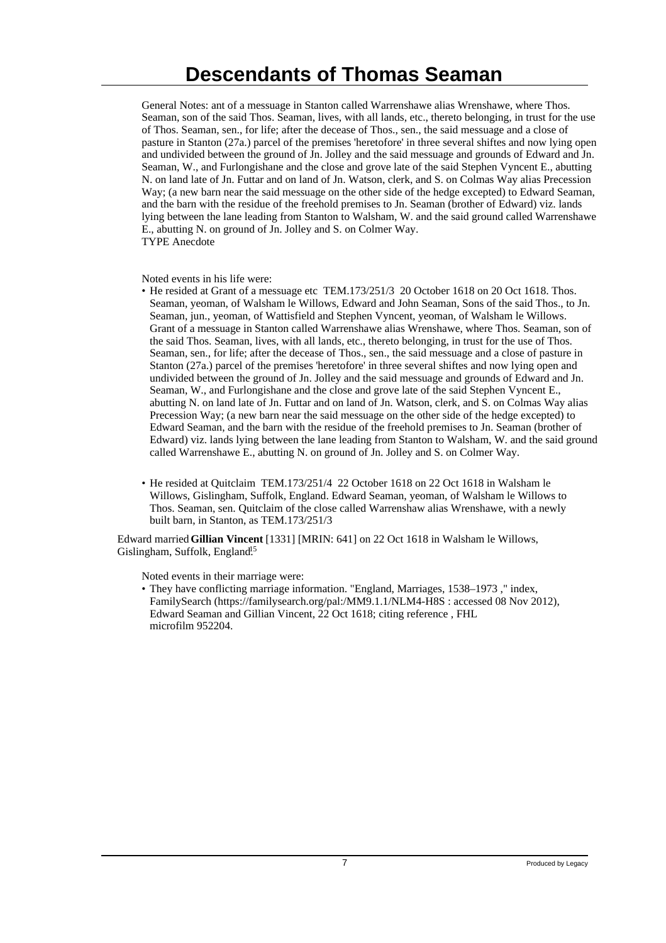General Notes: ant of a messuage in Stanton called Warrenshawe alias Wrenshawe, where Thos. Seaman, son of the said Thos. Seaman, lives, with all lands, etc., thereto belonging, in trust for the use of Thos. Seaman, sen., for life; after the decease of Thos., sen., the said messuage and a close of pasture in Stanton (27a.) parcel of the premises 'heretofore' in three several shiftes and now lying open and undivided between the ground of Jn. Jolley and the said messuage and grounds of Edward and Jn. Seaman, W., and Furlongishane and the close and grove late of the said Stephen Vyncent E., abutting N. on land late of Jn. Futtar and on land of Jn. Watson, clerk, and S. on Colmas Way alias Precession Way; (a new barn near the said messuage on the other side of the hedge excepted) to Edward Seaman, and the barn with the residue of the freehold premises to Jn. Seaman (brother of Edward) viz. lands lying between the lane leading from Stanton to Walsham, W. and the said ground called Warrenshawe E., abutting N. on ground of Jn. Jolley and S. on Colmer Way. TYPE Anecdote

Noted events in his life were:

- He resided at Grant of a messuage etc TEM.173/251/3 20 October 1618 on 20 Oct 1618. Thos. Seaman, yeoman, of Walsham le Willows, Edward and John Seaman, Sons of the said Thos., to Jn. Seaman, jun., yeoman, of Wattisfield and Stephen Vyncent, yeoman, of Walsham le Willows. Grant of a messuage in Stanton called Warrenshawe alias Wrenshawe, where Thos. Seaman, son of the said Thos. Seaman, lives, with all lands, etc., thereto belonging, in trust for the use of Thos. Seaman, sen., for life; after the decease of Thos., sen., the said messuage and a close of pasture in Stanton (27a.) parcel of the premises 'heretofore' in three several shiftes and now lying open and undivided between the ground of Jn. Jolley and the said messuage and grounds of Edward and Jn. Seaman, W., and Furlongishane and the close and grove late of the said Stephen Vyncent E., abutting N. on land late of Jn. Futtar and on land of Jn. Watson, clerk, and S. on Colmas Way alias Precession Way; (a new barn near the said messuage on the other side of the hedge excepted) to Edward Seaman, and the barn with the residue of the freehold premises to Jn. Seaman (brother of Edward) viz. lands lying between the lane leading from Stanton to Walsham, W. and the said ground called Warrenshawe E., abutting N. on ground of Jn. Jolley and S. on Colmer Way.
- He resided at Quitclaim TEM.173/251/4 22 October 1618 on 22 Oct 1618 in Walsham le Willows, Gislingham, Suffolk, England. Edward Seaman, yeoman, of Walsham le Willows to Thos. Seaman, sen. Quitclaim of the close called Warrenshaw alias Wrenshawe, with a newly built barn, in Stanton, as TEM.173/251/3

Edward married **Gillian Vincent** [1331] [MRIN: 641] on 22 Oct 1618 in Walsham le Willows, Gislingham, Suffolk, England<sup>15</sup>

Noted events in their marriage were:

• They have conflicting marriage information. "England, Marriages, 1538–1973 ," index, FamilySearch (https://familysearch.org/pal:/MM9.1.1/NLM4-H8S : accessed 08 Nov 2012), Edward Seaman and Gillian Vincent, 22 Oct 1618; citing reference , FHL microfilm 952204.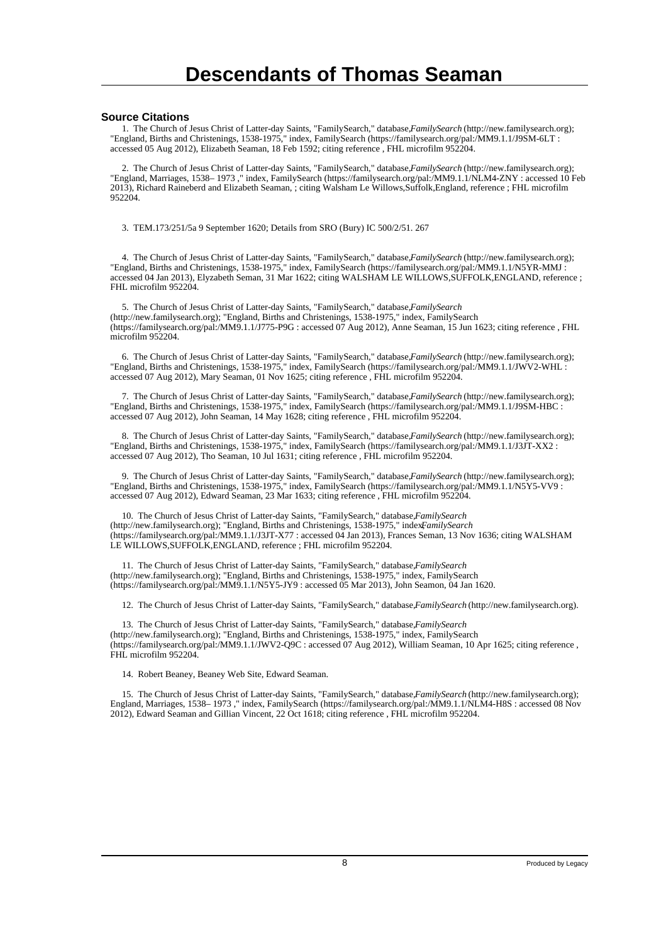#### **Source Citations**

 1. The Church of Jesus Christ of Latter-day Saints, "FamilySearch," database, *FamilySearch* (http://new.familysearch.org); "England, Births and Christenings, 1538-1975," index, FamilySearch (https://familysearch.org/pal:/MM9.1.1/J9SM-6LT : accessed 05 Aug 2012), Elizabeth Seaman, 18 Feb 1592; citing reference , FHL microfilm 952204.

 2. The Church of Jesus Christ of Latter-day Saints, "FamilySearch," database, *FamilySearch* (http://new.familysearch.org); "England, Marriages, 1538– 1973 ," index, FamilySearch (https://familysearch.org/pal:/MM9.1.1/NLM4-ZNY : accessed 10 Feb 2013), Richard Raineberd and Elizabeth Seaman, ; citing Walsham Le Willows,Suffolk,England, reference ; FHL microfilm 952204.

3. TEM.173/251/5a 9 September 1620; Details from SRO (Bury) IC 500/2/51. 267

 4. The Church of Jesus Christ of Latter-day Saints, "FamilySearch," database, *FamilySearch* (http://new.familysearch.org); "England, Births and Christenings, 1538-1975," index, FamilySearch (https://familysearch.org/pal:/MM9.1.1/N5YR-MMJ : accessed 04 Jan 2013), Elyzabeth Seman, 31 Mar 1622; citing WALSHAM LE WILLOWS,SUFFOLK,ENGLAND, reference ; FHL microfilm 952204.

 5. The Church of Jesus Christ of Latter-day Saints, "FamilySearch," database, *FamilySearch* (http://new.familysearch.org); "England, Births and Christenings, 1538-1975," index, FamilySearch (https://familysearch.org/pal:/MM9.1.1/J775-P9G : accessed 07 Aug 2012), Anne Seaman, 15 Jun 1623; citing reference , FHL microfilm 952204.

 6. The Church of Jesus Christ of Latter-day Saints, "FamilySearch," database, *FamilySearch* (http://new.familysearch.org); "England, Births and Christenings, 1538-1975," index, FamilySearch (https://familysearch.org/pal:/MM9.1.1/JWV2-WHL : accessed 07 Aug 2012), Mary Seaman, 01 Nov 1625; citing reference , FHL microfilm 952204.

 7. The Church of Jesus Christ of Latter-day Saints, "FamilySearch," database, *FamilySearch* (http://new.familysearch.org); "England, Births and Christenings, 1538-1975," index, FamilySearch (https://familysearch.org/pal:/MM9.1.1/J9SM-HBC : accessed 07 Aug 2012), John Seaman, 14 May 1628; citing reference , FHL microfilm 952204.

 8. The Church of Jesus Christ of Latter-day Saints, "FamilySearch," database, *FamilySearch* (http://new.familysearch.org); "England, Births and Christenings, 1538-1975," index, FamilySearch (https://familysearch.org/pal:/MM9.1.1/J3JT-XX2 : accessed 07 Aug 2012), Tho Seaman, 10 Jul 1631; citing reference , FHL microfilm 952204.

 9. The Church of Jesus Christ of Latter-day Saints, "FamilySearch," database, *FamilySearch* (http://new.familysearch.org); "England, Births and Christenings, 1538-1975," index, FamilySearch (https://familysearch.org/pal:/MM9.1.1/N5Y5-VV9 : accessed 07 Aug 2012), Edward Seaman, 23 Mar 1633; citing reference , FHL microfilm 952204.

 10. The Church of Jesus Christ of Latter-day Saints, "FamilySearch," database, *FamilySearch* (http://new.familysearch.org); "England, Births and Christenings, 1538-1975," index*FamilySearch* (https://familysearch.org/pal:/MM9.1.1/J3JT-X77 : accessed 04 Jan 2013), Frances Seman, 13 Nov 1636; citing WALSHAM LE WILLOWS,SUFFOLK,ENGLAND, reference ; FHL microfilm 952204.

 11. The Church of Jesus Christ of Latter-day Saints, "FamilySearch," database, *FamilySearch* (http://new.familysearch.org); "England, Births and Christenings, 1538-1975," index, FamilySearch (https://familysearch.org/pal:/MM9.1.1/N5Y5-JY9 : accessed 05 Mar 2013), John Seamon, 04 Jan 1620.

12. The Church of Jesus Christ of Latter-day Saints, "FamilySearch," database, *FamilySearch* (http://new.familysearch.org).

 13. The Church of Jesus Christ of Latter-day Saints, "FamilySearch," database, *FamilySearch* (http://new.familysearch.org); "England, Births and Christenings, 1538-1975," index, FamilySearch (https://familysearch.org/pal:/MM9.1.1/JWV2-Q9C : accessed 07 Aug 2012), William Seaman, 10 Apr 1625; citing reference , FHL microfilm 952204.

14. Robert Beaney, Beaney Web Site, Edward Seaman.

 15. The Church of Jesus Christ of Latter-day Saints, "FamilySearch," database, *FamilySearch* (http://new.familysearch.org); England, Marriages, 1538– 1973 ," index, FamilySearch (https://familysearch.org/pal:/MM9.1.1/NLM4-H8S : accessed 08 Nov 2012), Edward Seaman and Gillian Vincent, 22 Oct 1618; citing reference , FHL microfilm 952204.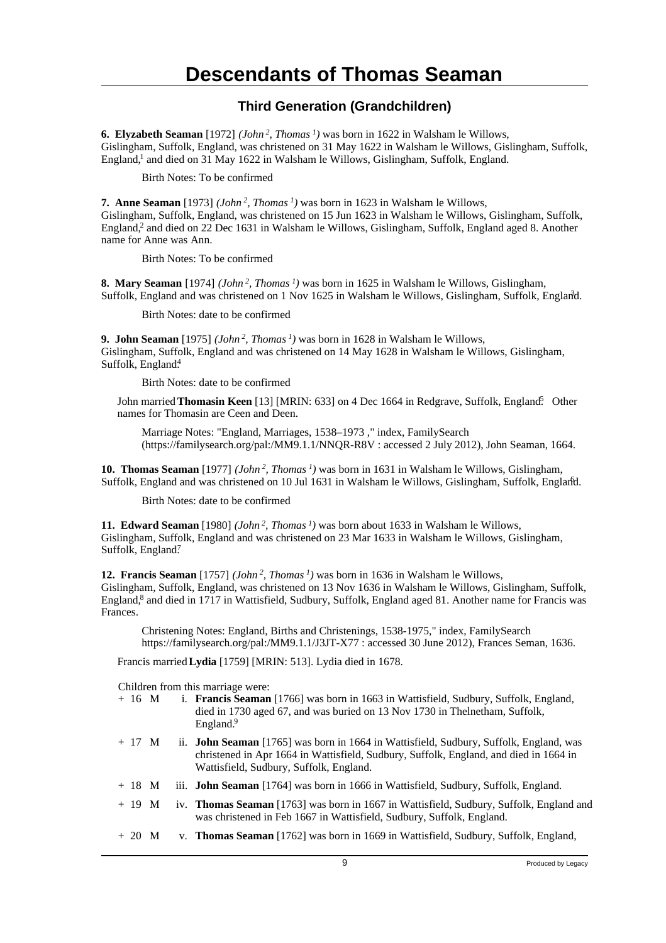#### **Third Generation (Grandchildren)**

**6. Elyzabeth Seaman** [1972] *(John<sup>2</sup>, Thomas<sup>1</sup>)* was born in 1622 in Walsham le Willows, Gislingham, Suffolk, England, was christened on 31 May 1622 in Walsham le Willows, Gislingham, Suffolk, England,<sup>1</sup> and died on 31 May 1622 in Walsham le Willows, Gislingham, Suffolk, England.

Birth Notes: To be confirmed

**7. Anne Seaman** [1973] *(John<sup>2</sup>, Thomas<sup>1</sup>)* was born in 1623 in Walsham le Willows, Gislingham, Suffolk, England, was christened on 15 Jun 1623 in Walsham le Willows, Gislingham, Suffolk, England,<sup>2</sup> and died on 22 Dec 1631 in Walsham le Willows, Gislingham, Suffolk, England aged 8. Another name for Anne was Ann.

Birth Notes: To be confirmed

**8. Mary Seaman** [1974] *(John<sup>2</sup>, Thomas<sup>1</sup>)* was born in 1625 in Walsham le Willows, Gislingham, Suffolk, England and was christened on 1 Nov 1625 in Walsham le Willows, Gislingham, Suffolk, England. <sup>3</sup>

Birth Notes: date to be confirmed

**9. John Seaman** [1975] *(John<sup>2</sup>, Thomas<sup>1</sup>)* was born in 1628 in Walsham le Willows, Gislingham, Suffolk, England and was christened on 14 May 1628 in Walsham le Willows, Gislingham, Suffolk, England<sup>4</sup>

Birth Notes: date to be confirmed

John married **Thomasin Keen** [13] [MRIN: 633] on 4 Dec 1664 in Redgrave, Suffolk, England<sup>5</sup> Other names for Thomasin are Ceen and Deen.

Marriage Notes: "England, Marriages, 1538–1973 ," index, FamilySearch (https://familysearch.org/pal:/MM9.1.1/NNQR-R8V : accessed 2 July 2012), John Seaman, 1664.

**10. Thomas Seaman** [1977] *(John<sup>2</sup>, Thomas<sup>1</sup>)* was born in 1631 in Walsham le Willows, Gislingham, Suffolk, England and was christened on 10 Jul 1631 in Walsham le Willows, Gislingham, Suffolk, England. <sup>6</sup>

Birth Notes: date to be confirmed

**11. Edward Seaman** [1980] *(John<sup>2</sup>, Thomas<sup>1</sup>)* was born about 1633 in Walsham le Willows, Gislingham, Suffolk, England and was christened on 23 Mar 1633 in Walsham le Willows, Gislingham, Suffolk, England?

**12. Francis Seaman** [1757] *(John<sup>2</sup>, Thomas<sup>1</sup>)* was born in 1636 in Walsham le Willows, Gislingham, Suffolk, England, was christened on 13 Nov 1636 in Walsham le Willows, Gislingham, Suffolk, England,<sup>8</sup> and died in 1717 in Wattisfield, Sudbury, Suffolk, England aged 81. Another name for Francis was Frances.

Christening Notes: England, Births and Christenings, 1538-1975," index, FamilySearch https://familysearch.org/pal:/MM9.1.1/J3JT-X77 : accessed 30 June 2012), Frances Seman, 1636.

Francis married **Lydia** [1759] [MRIN: 513]. Lydia died in 1678.

| + 16 M | i. <b>Francis Seaman</b> [1766] was born in 1663 in Wattisfield, Sudbury, Suffolk, England, |
|--------|---------------------------------------------------------------------------------------------|
|        | died in 1730 aged 67, and was buried on 13 Nov 1730 in The lnetham. Suffolk.                |
|        | England. $\frac{9}{2}$                                                                      |
|        |                                                                                             |

- + 17 M ii. **John Seaman** [1765] was born in 1664 in Wattisfield, Sudbury, Suffolk, England, was christened in Apr 1664 in Wattisfield, Sudbury, Suffolk, England, and died in 1664 in Wattisfield, Sudbury, Suffolk, England.
- + 18 M iii. **John Seaman** [1764] was born in 1666 in Wattisfield, Sudbury, Suffolk, England.
- + 19 M iv. **Thomas Seaman** [1763] was born in 1667 in Wattisfield, Sudbury, Suffolk, England and was christened in Feb 1667 in Wattisfield, Sudbury, Suffolk, England.
- + 20 M v. **Thomas Seaman** [1762] was born in 1669 in Wattisfield, Sudbury, Suffolk, England,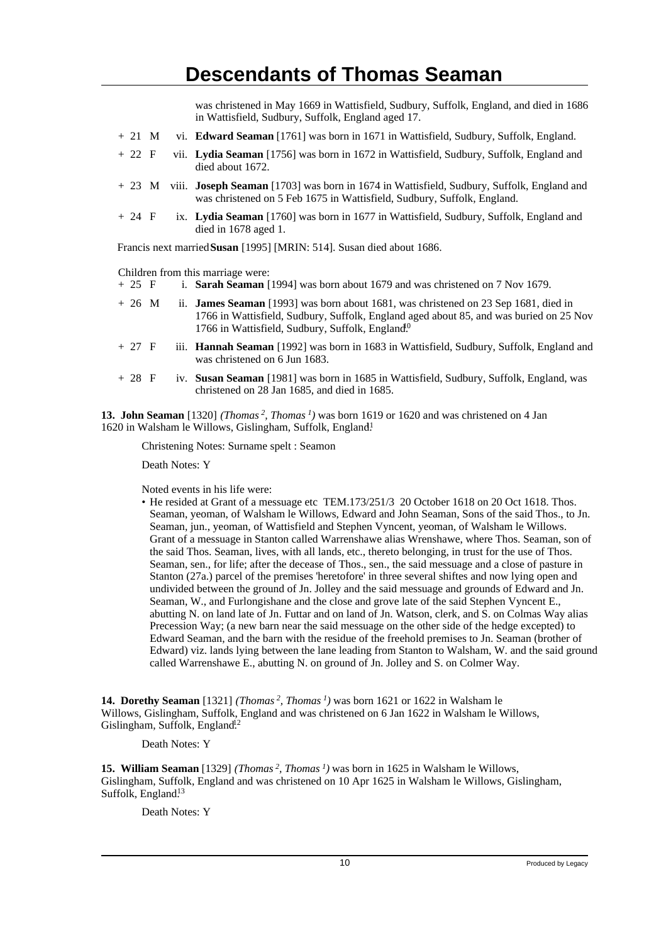was christened in May 1669 in Wattisfield, Sudbury, Suffolk, England, and died in 1686 in Wattisfield, Sudbury, Suffolk, England aged 17.

- + 21 M vi. **Edward Seaman** [1761] was born in 1671 in Wattisfield, Sudbury, Suffolk, England.
- + 22 F vii. **Lydia Seaman** [1756] was born in 1672 in Wattisfield, Sudbury, Suffolk, England and died about 1672.
- + 23 M viii. **Joseph Seaman** [1703] was born in 1674 in Wattisfield, Sudbury, Suffolk, England and was christened on 5 Feb 1675 in Wattisfield, Sudbury, Suffolk, England.
- + 24 F ix. **Lydia Seaman** [1760] was born in 1677 in Wattisfield, Sudbury, Suffolk, England and died in 1678 aged 1.

Francis next married **Susan** [1995] [MRIN: 514]. Susan died about 1686.

Children from this marriage were:<br>+ 25  $\overline{F}$  i. **Sarah Seaman** 

- i. **Sarah Seaman** [1994] was born about 1679 and was christened on 7 Nov 1679.
- + 26 M ii. **James Seaman** [1993] was born about 1681, was christened on 23 Sep 1681, died in 1766 in Wattisfield, Sudbury, Suffolk, England aged about 85, and was buried on 25 Nov 1766 in Wattisfield, Sudbury, Suffolk, England.<sup>0</sup>
- + 27 F iii. **Hannah Seaman** [1992] was born in 1683 in Wattisfield, Sudbury, Suffolk, England and was christened on 6 Jun 1683.
- + 28 F iv. **Susan Seaman** [1981] was born in 1685 in Wattisfield, Sudbury, Suffolk, England, was christened on 28 Jan 1685, and died in 1685.

**13. John Seaman** [1320] *(Thomas<sup>2</sup>, Thomas<sup>1</sup>)* was born 1619 or 1620 and was christened on 4 Jan 1620 in Walsham le Willows, Gislingham, Suffolk, England.<sup>1</sup>

Christening Notes: Surname spelt : Seamon

Death Notes: Y

Noted events in his life were:

• He resided at Grant of a messuage etc TEM.173/251/3 20 October 1618 on 20 Oct 1618. Thos. Seaman, yeoman, of Walsham le Willows, Edward and John Seaman, Sons of the said Thos., to Jn. Seaman, jun., yeoman, of Wattisfield and Stephen Vyncent, yeoman, of Walsham le Willows. Grant of a messuage in Stanton called Warrenshawe alias Wrenshawe, where Thos. Seaman, son of the said Thos. Seaman, lives, with all lands, etc., thereto belonging, in trust for the use of Thos. Seaman, sen., for life; after the decease of Thos., sen., the said messuage and a close of pasture in Stanton (27a.) parcel of the premises 'heretofore' in three several shiftes and now lying open and undivided between the ground of Jn. Jolley and the said messuage and grounds of Edward and Jn. Seaman, W., and Furlongishane and the close and grove late of the said Stephen Vyncent E., abutting N. on land late of Jn. Futtar and on land of Jn. Watson, clerk, and S. on Colmas Way alias Precession Way; (a new barn near the said messuage on the other side of the hedge excepted) to Edward Seaman, and the barn with the residue of the freehold premises to Jn. Seaman (brother of Edward) viz. lands lying between the lane leading from Stanton to Walsham, W. and the said ground called Warrenshawe E., abutting N. on ground of Jn. Jolley and S. on Colmer Way.

**14. Dorethy Seaman** [1321] *(Thomas<sup>2</sup>, Thomas<sup>1</sup>)* was born 1621 or 1622 in Walsham le Willows, Gislingham, Suffolk, England and was christened on 6 Jan 1622 in Walsham le Willows, Gislingham, Suffolk, England<sup>12</sup>

Death Notes: Y

**15. William Seaman** [1329] *(Thomas<sup>2</sup>, Thomas<sup>1</sup>)* was born in 1625 in Walsham le Willows, Gislingham, Suffolk, England and was christened on 10 Apr 1625 in Walsham le Willows, Gislingham, Suffolk, England.<sup>13</sup>

Death Notes: Y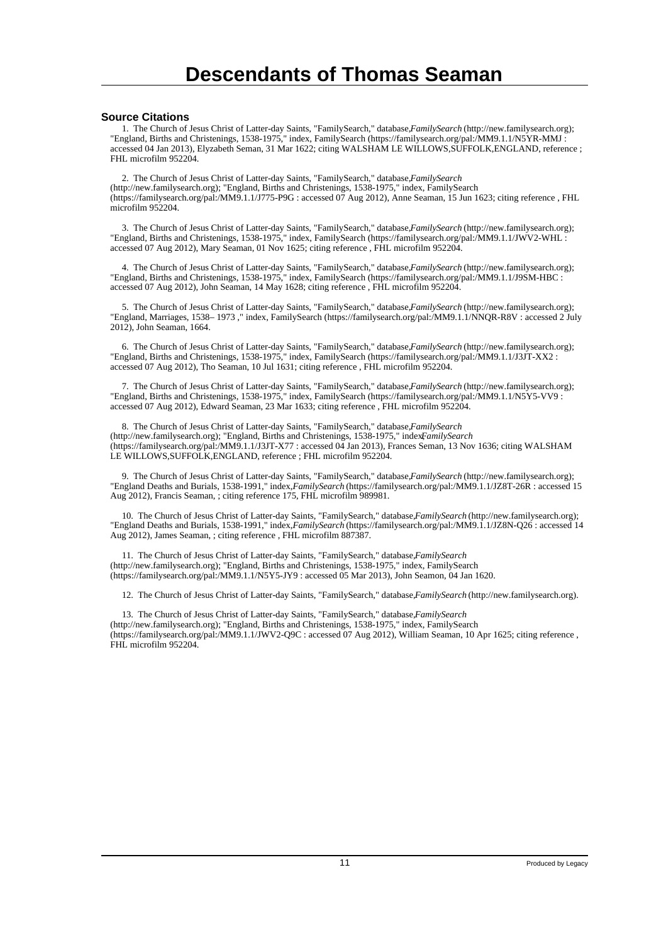#### **Source Citations**

 1. The Church of Jesus Christ of Latter-day Saints, "FamilySearch," database, *FamilySearch* (http://new.familysearch.org); "England, Births and Christenings, 1538-1975," index, FamilySearch (https://familysearch.org/pal:/MM9.1.1/N5YR-MMJ : accessed 04 Jan 2013), Elyzabeth Seman, 31 Mar 1622; citing WALSHAM LE WILLOWS,SUFFOLK,ENGLAND, reference ; FHL microfilm 952204.

 2. The Church of Jesus Christ of Latter-day Saints, "FamilySearch," database, *FamilySearch* (http://new.familysearch.org); "England, Births and Christenings, 1538-1975," index, FamilySearch (https://familysearch.org/pal:/MM9.1.1/J775-P9G : accessed 07 Aug 2012), Anne Seaman, 15 Jun 1623; citing reference , FHL microfilm 952204.

 3. The Church of Jesus Christ of Latter-day Saints, "FamilySearch," database, *FamilySearch* (http://new.familysearch.org); "England, Births and Christenings, 1538-1975," index, FamilySearch (https://familysearch.org/pal:/MM9.1.1/JWV2-WHL : accessed 07 Aug 2012), Mary Seaman, 01 Nov 1625; citing reference , FHL microfilm 952204.

 4. The Church of Jesus Christ of Latter-day Saints, "FamilySearch," database, *FamilySearch* (http://new.familysearch.org); "England, Births and Christenings, 1538-1975," index, FamilySearch (https://familysearch.org/pal:/MM9.1.1/J9SM-HBC : accessed 07 Aug 2012), John Seaman, 14 May 1628; citing reference , FHL microfilm 952204.

 5. The Church of Jesus Christ of Latter-day Saints, "FamilySearch," database, *FamilySearch* (http://new.familysearch.org); "England, Marriages, 1538– 1973 ," index, FamilySearch (https://familysearch.org/pal:/MM9.1.1/NNQR-R8V : accessed 2 July 2012), John Seaman, 1664.

 6. The Church of Jesus Christ of Latter-day Saints, "FamilySearch," database, *FamilySearch* (http://new.familysearch.org); "England, Births and Christenings, 1538-1975," index, FamilySearch (https://familysearch.org/pal:/MM9.1.1/J3JT-XX2 : accessed 07 Aug 2012), Tho Seaman, 10 Jul 1631; citing reference , FHL microfilm 952204.

 7. The Church of Jesus Christ of Latter-day Saints, "FamilySearch," database, *FamilySearch* (http://new.familysearch.org); "England, Births and Christenings, 1538-1975," index, FamilySearch (https://familysearch.org/pal:/MM9.1.1/N5Y5-VV9 : accessed 07 Aug 2012), Edward Seaman, 23 Mar 1633; citing reference , FHL microfilm 952204.

8. The Church of Jesus Christ of Latter-day Saints, "FamilySearch," database, FamilySearch (http://new.familysearch.org); "England, Births and Christenings, 1538-1975," indexFamilySearch (https://familysearch.org/pal:/MM9.1.1/J3JT-X77 : accessed 04 Jan 2013), Frances Seman, 13 Nov 1636; citing WALSHAM LE WILLOWS,SUFFOLK,ENGLAND, reference ; FHL microfilm 952204.

 9. The Church of Jesus Christ of Latter-day Saints, "FamilySearch," database, *FamilySearch* (http://new.familysearch.org); "England Deaths and Burials, 1538-1991," index, *FamilySearch* (https://familysearch.org/pal:/MM9.1.1/JZ8T-26R : accessed 15 Aug 2012), Francis Seaman, ; citing reference 175, FHL microfilm 989981.

 10. The Church of Jesus Christ of Latter-day Saints, "FamilySearch," database, *FamilySearch* (http://new.familysearch.org); "England Deaths and Burials, 1538-1991," index, *FamilySearch* (https://familysearch.org/pal:/MM9.1.1/JZ8N-Q26 : accessed 14 Aug 2012), James Seaman, ; citing reference , FHL microfilm 887387.

 11. The Church of Jesus Christ of Latter-day Saints, "FamilySearch," database, *FamilySearch* (http://new.familysearch.org); "England, Births and Christenings, 1538-1975," index, FamilySearch (https://familysearch.org/pal:/MM9.1.1/N5Y5-JY9 : accessed 05 Mar 2013), John Seamon, 04 Jan 1620.

12. The Church of Jesus Christ of Latter-day Saints, "FamilySearch," database, *FamilySearch* (http://new.familysearch.org).

13. The Church of Jesus Christ of Latter-day Saints, "FamilySearch," database, *FamilySearch* (http://new.familysearch.org); "England, Births and Christenings, 1538-1975," index, FamilySearch (https://familysearch.org/pal:/MM9.1.1/JWV2-Q9C : accessed 07 Aug 2012), William Seaman, 10 Apr 1625; citing reference , FHL microfilm 952204.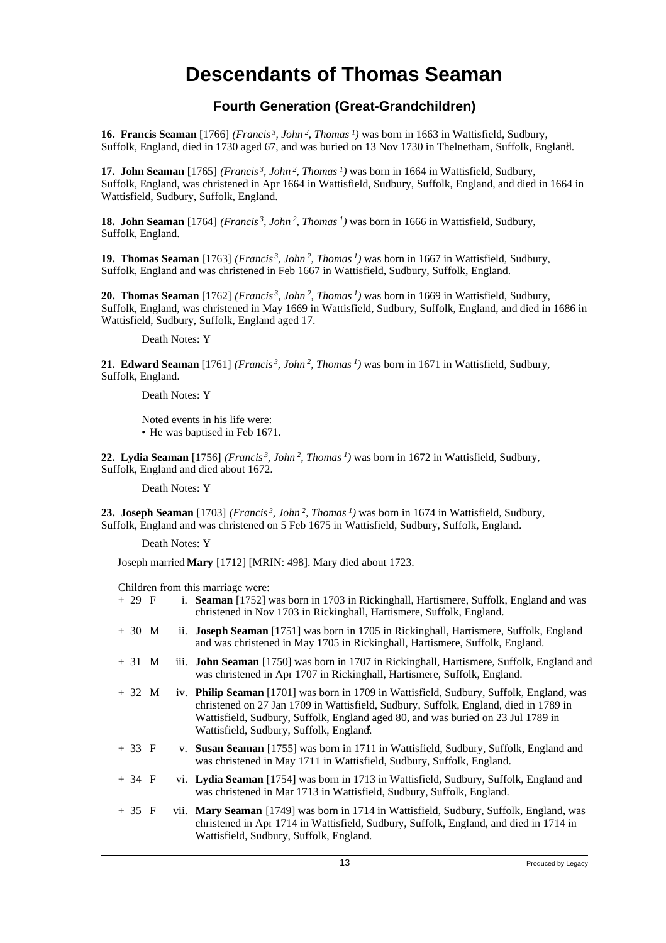### **Fourth Generation (Great-Grandchildren)**

**16. Francis Seaman** [1766] *(Francis<sup>3</sup>, John<sup>2</sup>, Thomas<sup>1</sup>)* was born in 1663 in Wattisfield, Sudbury, Suffolk, England, died in 1730 aged 67, and was buried on 13 Nov 1730 in Thelnetham, Suffolk, England. <sup>1</sup>

**17. John Seaman** [1765] *(Francis<sup>3</sup>, John<sup>2</sup>, Thomas<sup>1</sup>)* was born in 1664 in Wattisfield, Sudbury, Suffolk, England, was christened in Apr 1664 in Wattisfield, Sudbury, Suffolk, England, and died in 1664 in Wattisfield, Sudbury, Suffolk, England.

**18. John Seaman** [1764] *(Francis<sup>3</sup>, John<sup>2</sup>, Thomas<sup>1</sup>)* was born in 1666 in Wattisfield, Sudbury, Suffolk, England.

**19. Thomas Seaman** [1763] *(Francis<sup>3</sup>, John<sup>2</sup>, Thomas<sup>1</sup>)* was born in 1667 in Wattisfield, Sudbury, Suffolk, England and was christened in Feb 1667 in Wattisfield, Sudbury, Suffolk, England.

**20. Thomas Seaman** [1762] *(Francis<sup>3</sup>, John<sup>2</sup>, Thomas<sup>1</sup>)* was born in 1669 in Wattisfield, Sudbury, Suffolk, England, was christened in May 1669 in Wattisfield, Sudbury, Suffolk, England, and died in 1686 in Wattisfield, Sudbury, Suffolk, England aged 17.

Death Notes: Y

**21. Edward Seaman** [1761] *(Francis<sup>3</sup>, John<sup>2</sup>, Thomas<sup>1</sup>)* was born in 1671 in Wattisfield, Sudbury, Suffolk, England.

Death Notes: Y

Noted events in his life were: • He was baptised in Feb 1671.

**22. Lydia Seaman** [1756] *(Francis<sup>3</sup>, John<sup>2</sup>, Thomas<sup>1</sup>)* was born in 1672 in Wattisfield, Sudbury, Suffolk, England and died about 1672.

Death Notes: Y

**23. Joseph Seaman** [1703] *(Francis<sup>3</sup>, John<sup>2</sup>, Thomas<sup>1</sup>)* was born in 1674 in Wattisfield, Sudbury, Suffolk, England and was christened on 5 Feb 1675 in Wattisfield, Sudbury, Suffolk, England.

Death Notes: Y

Joseph married **Mary** [1712] [MRIN: 498]. Mary died about 1723.

| + 29 F | i. Seaman [1752] was born in 1703 in Rickinghall, Hartismere, Suffolk, England and was |
|--------|----------------------------------------------------------------------------------------|
|        | christened in Nov 1703 in Rickinghall, Hartismere, Suffolk, England.                   |

- + 30 M ii. **Joseph Seaman** [1751] was born in 1705 in Rickinghall, Hartismere, Suffolk, England and was christened in May 1705 in Rickinghall, Hartismere, Suffolk, England.
- + 31 M iii. **John Seaman** [1750] was born in 1707 in Rickinghall, Hartismere, Suffolk, England and was christened in Apr 1707 in Rickinghall, Hartismere, Suffolk, England.
- + 32 M iv. **Philip Seaman** [1701] was born in 1709 in Wattisfield, Sudbury, Suffolk, England, was christened on 27 Jan 1709 in Wattisfield, Sudbury, Suffolk, England, died in 1789 in Wattisfield, Sudbury, Suffolk, England aged 80, and was buried on 23 Jul 1789 in Wattisfield, Sudbury, Suffolk, England.
- + 33 F v. **Susan Seaman** [1755] was born in 1711 in Wattisfield, Sudbury, Suffolk, England and was christened in May 1711 in Wattisfield, Sudbury, Suffolk, England.
- + 34 F vi. **Lydia Seaman** [1754] was born in 1713 in Wattisfield, Sudbury, Suffolk, England and was christened in Mar 1713 in Wattisfield, Sudbury, Suffolk, England.
- + 35 F vii. **Mary Seaman** [1749] was born in 1714 in Wattisfield, Sudbury, Suffolk, England, was christened in Apr 1714 in Wattisfield, Sudbury, Suffolk, England, and died in 1714 in Wattisfield, Sudbury, Suffolk, England.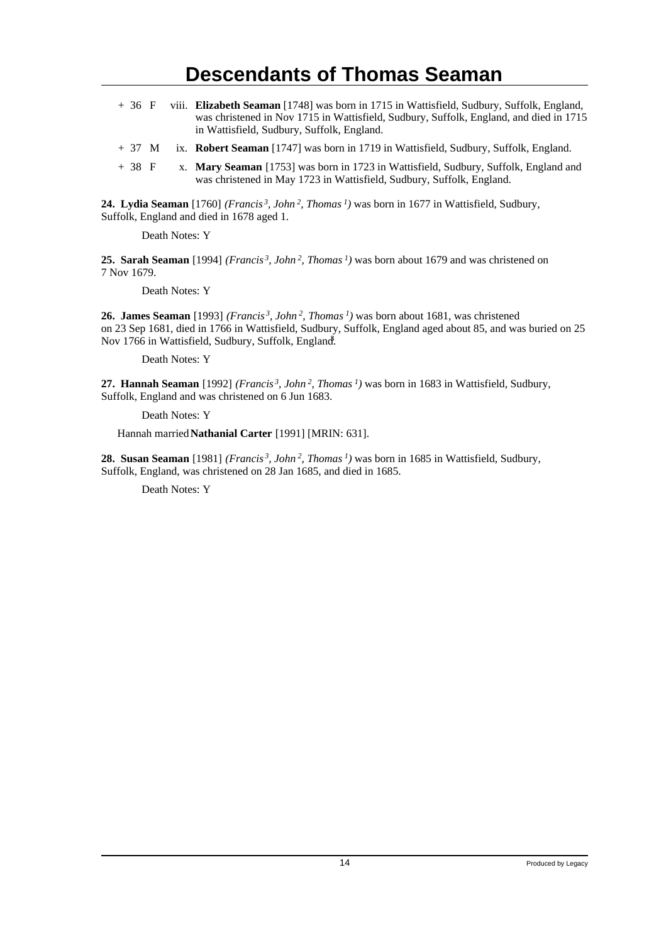- + 36 F viii. **Elizabeth Seaman** [1748] was born in 1715 in Wattisfield, Sudbury, Suffolk, England, was christened in Nov 1715 in Wattisfield, Sudbury, Suffolk, England, and died in 1715 in Wattisfield, Sudbury, Suffolk, England.
- + 37 M ix. **Robert Seaman** [1747] was born in 1719 in Wattisfield, Sudbury, Suffolk, England.
- + 38 F x. **Mary Seaman** [1753] was born in 1723 in Wattisfield, Sudbury, Suffolk, England and was christened in May 1723 in Wattisfield, Sudbury, Suffolk, England.

**24. Lydia Seaman** [1760] *(Francis<sup>3</sup>, John<sup>2</sup>, Thomas<sup>1</sup>)* was born in 1677 in Wattisfield, Sudbury, Suffolk, England and died in 1678 aged 1.

Death Notes: Y

**25. Sarah Seaman** [1994] *(Francis<sup>3</sup>, John<sup>2</sup>, Thomas<sup>1</sup>)* was born about 1679 and was christened on 7 Nov 1679.

Death Notes: Y

**26. James Seaman** [1993] *(Francis<sup>3</sup>, John<sup>2</sup>, Thomas<sup>1</sup>)* was born about 1681, was christened on 23 Sep 1681, died in 1766 in Wattisfield, Sudbury, Suffolk, England aged about 85, and was buried on 25 Nov 1766 in Wattisfield, Sudbury, Suffolk, England.

Death Notes: Y

**27. Hannah Seaman** [1992] *(Francis<sup>3</sup>, John<sup>2</sup>, Thomas<sup>1</sup>)* was born in 1683 in Wattisfield, Sudbury, Suffolk, England and was christened on 6 Jun 1683.

Death Notes: Y

Hannah married **Nathanial Carter** [1991] [MRIN: 631].

**28. Susan Seaman** [1981] *(Francis<sup>3</sup>, John<sup>2</sup>, Thomas<sup>1</sup>)* was born in 1685 in Wattisfield, Sudbury, Suffolk, England, was christened on 28 Jan 1685, and died in 1685.

Death Notes: Y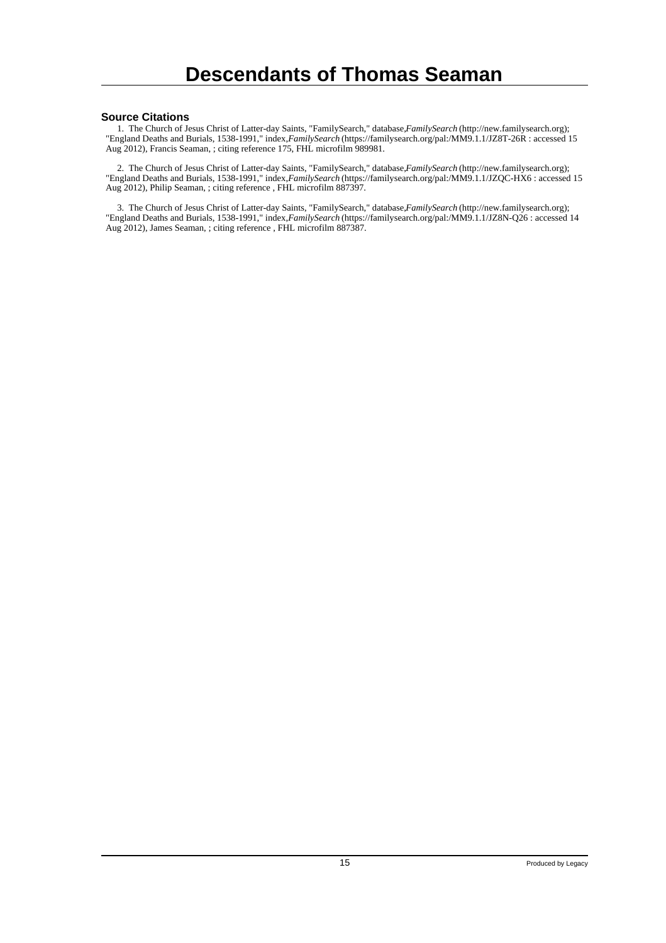#### **Source Citations**

 1. The Church of Jesus Christ of Latter-day Saints, "FamilySearch," database, *FamilySearch* (http://new.familysearch.org); "England Deaths and Burials, 1538-1991," index, *FamilySearch* (https://familysearch.org/pal:/MM9.1.1/JZ8T-26R : accessed 15 Aug 2012), Francis Seaman, ; citing reference 175, FHL microfilm 989981.

 2. The Church of Jesus Christ of Latter-day Saints, "FamilySearch," database, *FamilySearch* (http://new.familysearch.org); "England Deaths and Burials, 1538-1991," index, *FamilySearch* (https://familysearch.org/pal:/MM9.1.1/JZQC-HX6 : accessed 15 Aug 2012), Philip Seaman, ; citing reference , FHL microfilm 887397.

 3. The Church of Jesus Christ of Latter-day Saints, "FamilySearch," database, *FamilySearch* (http://new.familysearch.org); "England Deaths and Burials, 1538-1991," index, *FamilySearch* (https://familysearch.org/pal:/MM9.1.1/JZ8N-Q26 : accessed 14 Aug 2012), James Seaman, ; citing reference , FHL microfilm 887387.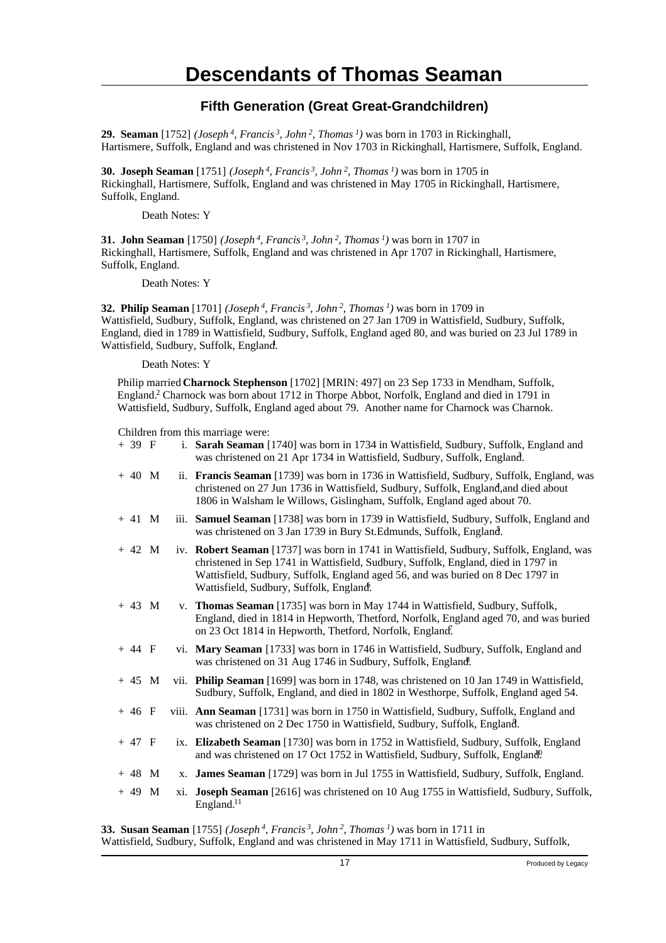### **Fifth Generation (Great Great-Grandchildren)**

**29. Seaman** [1752] *(Joseph<sup>4</sup>, Francis<sup>3</sup>, John<sup>2</sup>, Thomas<sup>1</sup>)* was born in 1703 in Rickinghall, Hartismere, Suffolk, England and was christened in Nov 1703 in Rickinghall, Hartismere, Suffolk, England.

**30. Joseph Seaman** [1751] *(Joseph<sup>4</sup>, Francis<sup>3</sup>, John<sup>2</sup>, Thomas<sup>1</sup>)* was born in 1705 in Rickinghall, Hartismere, Suffolk, England and was christened in May 1705 in Rickinghall, Hartismere, Suffolk, England.

Death Notes: Y

**31. John Seaman** [1750] *(Joseph<sup>4</sup>, Francis<sup>3</sup>, John<sup>2</sup>, Thomas<sup>1</sup>)* was born in 1707 in Rickinghall, Hartismere, Suffolk, England and was christened in Apr 1707 in Rickinghall, Hartismere, Suffolk, England.

Death Notes: Y

**32. Philip Seaman** [1701] *(Joseph<sup>4</sup>, Francis<sup>3</sup>, John<sup>2</sup>, Thomas<sup>1</sup>)* was born in 1709 in Wattisfield, Sudbury, Suffolk, England, was christened on 27 Jan 1709 in Wattisfield, Sudbury, Suffolk, England, died in 1789 in Wattisfield, Sudbury, Suffolk, England aged 80, and was buried on 23 Jul 1789 in Wattisfield, Sudbury, Suffolk, England.

Death Notes: Y

Philip married **Charnock Stephenson** [1702] [MRIN: 497] on 23 Sep 1733 in Mendham, Suffolk, England.<sup>2</sup> Charnock was born about 1712 in Thorpe Abbot, Norfolk, England and died in 1791 in Wattisfield, Sudbury, Suffolk, England aged about 79. Another name for Charnock was Charnok.

Children from this marriage were:

| $+39$ F  |     | i. Sarah Seaman [1740] was born in 1734 in Wattisfield, Sudbury, Suffolk, England and<br>was christened on 21 Apr 1734 in Wattisfield, Sudbury, Suffolk, England.                                                                                                                                           |
|----------|-----|-------------------------------------------------------------------------------------------------------------------------------------------------------------------------------------------------------------------------------------------------------------------------------------------------------------|
| $+40$ M  |     | ii. Francis Seaman [1739] was born in 1736 in Wattisfield, Sudbury, Suffolk, England, was<br>christened on 27 Jun 1736 in Wattisfield, Sudbury, Suffolk, England, and died about<br>1806 in Walsham le Willows, Gislingham, Suffolk, England aged about 70.                                                 |
| $+ 41$ M |     | iii. Samuel Seaman [1738] was born in 1739 in Wattisfield, Sudbury, Suffolk, England and<br>was christened on 3 Jan 1739 in Bury St. Edmunds, Suffolk, England.                                                                                                                                             |
| $+42$ M  |     | iv. Robert Seaman [1737] was born in 1741 in Wattisfield, Sudbury, Suffolk, England, was<br>christened in Sep 1741 in Wattisfield, Sudbury, Suffolk, England, died in 1797 in<br>Wattisfield, Sudbury, Suffolk, England aged 56, and was buried on 8 Dec 1797 in<br>Wattisfield, Sudbury, Suffolk, England. |
| $+43$ M  |     | v. Thomas Seaman [1735] was born in May 1744 in Wattisfield, Sudbury, Suffolk,<br>England, died in 1814 in Hepworth, Thetford, Norfolk, England aged 70, and was buried<br>on 23 Oct 1814 in Hepworth, Thetford, Norfolk, England.                                                                          |
| $+44$ F  |     | vi. Mary Seaman [1733] was born in 1746 in Wattisfield, Sudbury, Suffolk, England and<br>was christened on 31 Aug 1746 in Sudbury, Suffolk, England.                                                                                                                                                        |
| $+ 45 M$ |     | vii. Philip Seaman [1699] was born in 1748, was christened on 10 Jan 1749 in Wattisfield,<br>Sudbury, Suffolk, England, and died in 1802 in Westhorpe, Suffolk, England aged 54.                                                                                                                            |
| $+46$ F  |     | viii. Ann Seaman [1731] was born in 1750 in Wattisfield, Sudbury, Suffolk, England and<br>was christened on 2 Dec 1750 in Wattisfield, Sudbury, Suffolk, England.                                                                                                                                           |
| $+47$ F  |     | ix. Elizabeth Seaman [1730] was born in 1752 in Wattisfield, Sudbury, Suffolk, England<br>and was christened on 17 Oct 1752 in Wattisfield, Sudbury, Suffolk, England <sup>0</sup> .                                                                                                                        |
| $+48$ M  | X.  | James Seaman [1729] was born in Jul 1755 in Wattisfield, Sudbury, Suffolk, England.                                                                                                                                                                                                                         |
| $+49$ M  | xi. | Joseph Seaman [2616] was christened on 10 Aug 1755 in Wattisfield, Sudbury, Suffolk,<br>England. <sup>11</sup>                                                                                                                                                                                              |

**33. Susan Seaman** [1755] *(Joseph<sup>4</sup>, Francis<sup>3</sup>, John<sup>2</sup>, Thomas<sup>1</sup>)* was born in 1711 in Wattisfield, Sudbury, Suffolk, England and was christened in May 1711 in Wattisfield, Sudbury, Suffolk,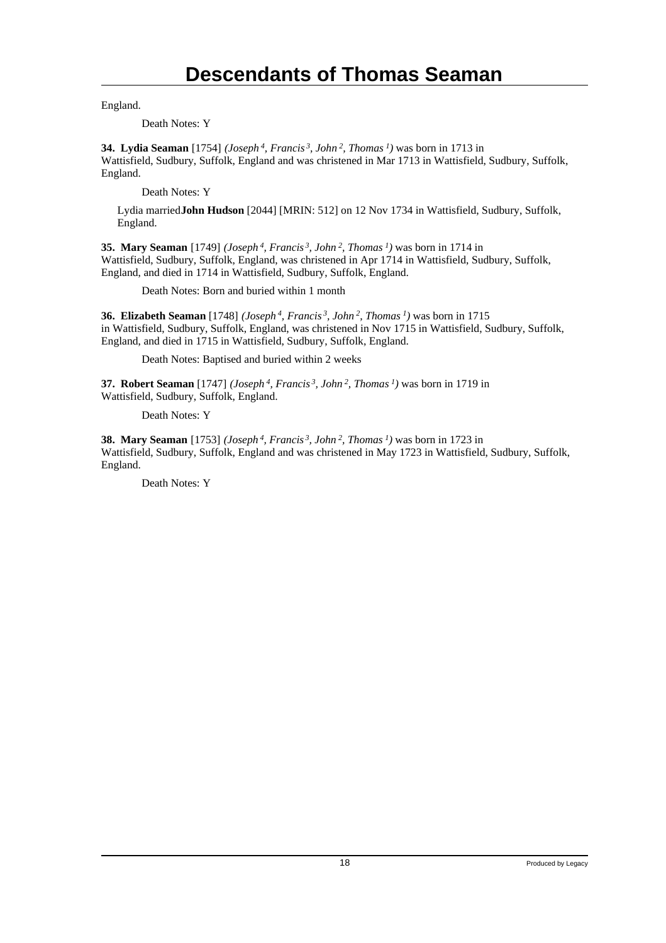England.

Death Notes: Y

**34. Lydia Seaman** [1754] *(Joseph<sup>4</sup>, Francis<sup>3</sup>, John<sup>2</sup>, Thomas<sup>1</sup>)* was born in 1713 in Wattisfield, Sudbury, Suffolk, England and was christened in Mar 1713 in Wattisfield, Sudbury, Suffolk, England.

Death Notes: Y

Lydia married **John Hudson** [2044] [MRIN: 512] on 12 Nov 1734 in Wattisfield, Sudbury, Suffolk, England.

**35. Mary Seaman** [1749] *(Joseph<sup>4</sup>, Francis<sup>3</sup>, John<sup>2</sup>, Thomas<sup>1</sup>)* was born in 1714 in Wattisfield, Sudbury, Suffolk, England, was christened in Apr 1714 in Wattisfield, Sudbury, Suffolk, England, and died in 1714 in Wattisfield, Sudbury, Suffolk, England.

Death Notes: Born and buried within 1 month

**36. Elizabeth Seaman** [1748] *(Joseph<sup>4</sup>, Francis<sup>3</sup>, John<sup>2</sup>, Thomas<sup>1</sup>)* was born in 1715 in Wattisfield, Sudbury, Suffolk, England, was christened in Nov 1715 in Wattisfield, Sudbury, Suffolk, England, and died in 1715 in Wattisfield, Sudbury, Suffolk, England.

Death Notes: Baptised and buried within 2 weeks

**37. Robert Seaman** [1747] *(Joseph<sup>4</sup>, Francis<sup>3</sup>, John<sup>2</sup>, Thomas<sup>1</sup>)* was born in 1719 in Wattisfield, Sudbury, Suffolk, England.

Death Notes: Y

**38. Mary Seaman** [1753] *(Joseph<sup>4</sup>, Francis<sup>3</sup>, John<sup>2</sup>, Thomas<sup>1</sup>)* was born in 1723 in Wattisfield, Sudbury, Suffolk, England and was christened in May 1723 in Wattisfield, Sudbury, Suffolk, England.

Death Notes: Y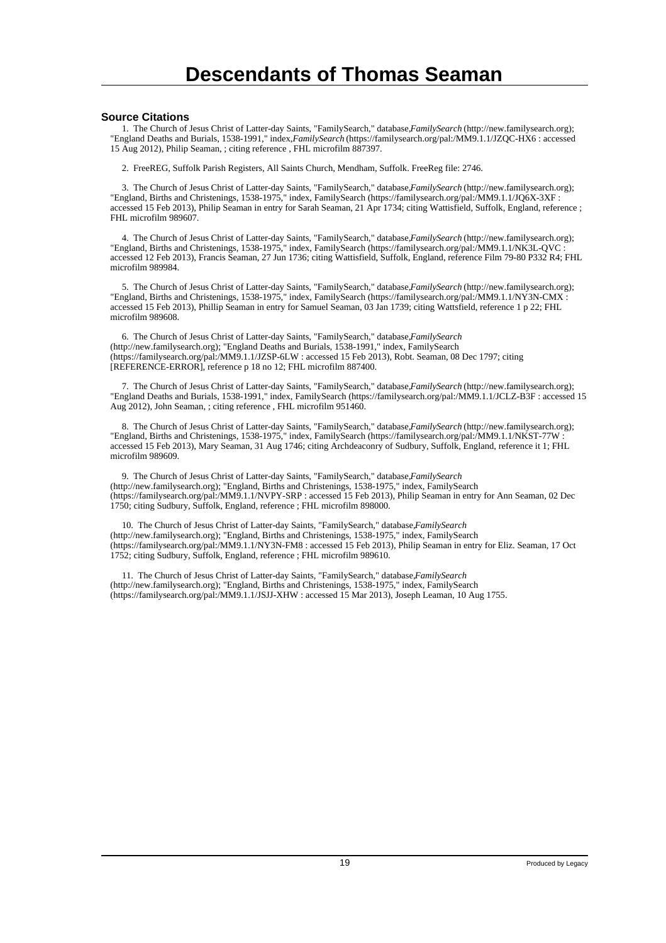#### **Source Citations**

 1. The Church of Jesus Christ of Latter-day Saints, "FamilySearch," database, *FamilySearch* (http://new.familysearch.org); "England Deaths and Burials, 1538-1991," index, *FamilySearch* (https://familysearch.org/pal:/MM9.1.1/JZQC-HX6 : accessed 15 Aug 2012), Philip Seaman, ; citing reference , FHL microfilm 887397.

2. FreeREG, Suffolk Parish Registers, All Saints Church, Mendham, Suffolk. FreeReg file: 2746.

 3. The Church of Jesus Christ of Latter-day Saints, "FamilySearch," database, *FamilySearch* (http://new.familysearch.org); "England, Births and Christenings, 1538-1975," index, FamilySearch (https://familysearch.org/pal:/MM9.1.1/JQ6X-3XF : accessed 15 Feb 2013), Philip Seaman in entry for Sarah Seaman, 21 Apr 1734; citing Wattisfield, Suffolk, England, reference ; FHL microfilm 989607.

 4. The Church of Jesus Christ of Latter-day Saints, "FamilySearch," database, *FamilySearch* (http://new.familysearch.org); "England, Births and Christenings, 1538-1975," index, FamilySearch (https://familysearch.org/pal:/MM9.1.1/NK3L-QVC : accessed 12 Feb 2013), Francis Seaman, 27 Jun 1736; citing Wattisfield, Suffolk, England, reference Film 79-80 P332 R4; FHL microfilm 989984.

 5. The Church of Jesus Christ of Latter-day Saints, "FamilySearch," database, *FamilySearch* (http://new.familysearch.org); "England, Births and Christenings, 1538-1975," index, FamilySearch (https://familysearch.org/pal:/MM9.1.1/NY3N-CMX : accessed 15 Feb 2013), Phillip Seaman in entry for Samuel Seaman, 03 Jan 1739; citing Wattsfield, reference 1 p 22; FHL microfilm 989608.

 6. The Church of Jesus Christ of Latter-day Saints, "FamilySearch," database, *FamilySearch* (http://new.familysearch.org); "England Deaths and Burials, 1538-1991," index, FamilySearch (https://familysearch.org/pal:/MM9.1.1/JZSP-6LW : accessed 15 Feb 2013), Robt. Seaman, 08 Dec 1797; citing [REFERENCE-ERROR], reference p 18 no 12; FHL microfilm 887400.

 7. The Church of Jesus Christ of Latter-day Saints, "FamilySearch," database, *FamilySearch* (http://new.familysearch.org); "England Deaths and Burials, 1538-1991," index, FamilySearch (https://familysearch.org/pal:/MM9.1.1/JCLZ-B3F : accessed 15 Aug 2012), John Seaman, ; citing reference , FHL microfilm 951460.

 8. The Church of Jesus Christ of Latter-day Saints, "FamilySearch," database, *FamilySearch* (http://new.familysearch.org); "England, Births and Christenings, 1538-1975," index, FamilySearch (https://familysearch.org/pal:/MM9.1.1/NKST-77W : accessed 15 Feb 2013), Mary Seaman, 31 Aug 1746; citing Archdeaconry of Sudbury, Suffolk, England, reference it 1; FHL microfilm 989609.

 9. The Church of Jesus Christ of Latter-day Saints, "FamilySearch," database, *FamilySearch* (http://new.familysearch.org); "England, Births and Christenings, 1538-1975," index, FamilySearch (https://familysearch.org/pal:/MM9.1.1/NVPY-SRP : accessed 15 Feb 2013), Philip Seaman in entry for Ann Seaman, 02 Dec 1750; citing Sudbury, Suffolk, England, reference ; FHL microfilm 898000.

 10. The Church of Jesus Christ of Latter-day Saints, "FamilySearch," database, *FamilySearch* (http://new.familysearch.org); "England, Births and Christenings, 1538-1975," index, FamilySearch (https://familysearch.org/pal:/MM9.1.1/NY3N-FM8 : accessed 15 Feb 2013), Philip Seaman in entry for Eliz. Seaman, 17 Oct 1752; citing Sudbury, Suffolk, England, reference ; FHL microfilm 989610.

11. The Church of Jesus Christ of Latter-day Saints, "FamilySearch," database, *FamilySearch* (http://new.familysearch.org); "England, Births and Christenings, 1538-1975," index, FamilySearch (https://familysearch.org/pal:/MM9.1.1/JSJJ-XHW : accessed 15 Mar 2013), Joseph Leaman, 10 Aug 1755.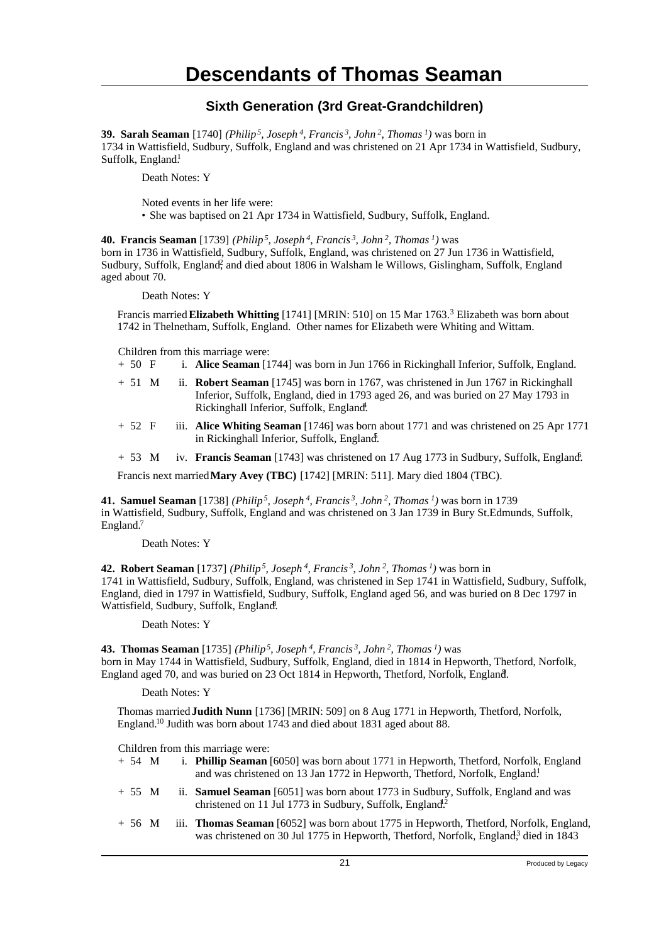### **Sixth Generation (3rd Great-Grandchildren)**

**39. Sarah Seaman** [1740] *(Philip<sup>5</sup>, Joseph<sup>4</sup>, Francis<sup>3</sup>, John<sup>2</sup>, Thomas<sup>1</sup>)* was born in 1734 in Wattisfield, Sudbury, Suffolk, England and was christened on 21 Apr 1734 in Wattisfield, Sudbury, Suffolk, England.<sup>1</sup>

Death Notes: Y

Noted events in her life were: • She was baptised on 21 Apr 1734 in Wattisfield, Sudbury, Suffolk, England.

**40. Francis Seaman** [1739] *(Philip<sup>5</sup>, Joseph<sup>4</sup>, Francis<sup>3</sup>, John<sup>2</sup>, Thomas<sup>1</sup>)* was born in 1736 in Wattisfield, Sudbury, Suffolk, England, was christened on 27 Jun 1736 in Wattisfield, Sudbury, Suffolk, England<sup>2</sup>, and died about 1806 in Walsham le Willows, Gislingham, Suffolk, England aged about 70.

Death Notes: Y

Francis married **Elizabeth Whitting** [1741] [MRIN: 510] on 15 Mar 1763.<sup>3</sup> Elizabeth was born about 1742 in Thelnetham, Suffolk, England. Other names for Elizabeth were Whiting and Wittam.

- Children from this marriage were:<br>+ 50  $\overline{F}$  i. Alice Seaman [1] i. Alice Seaman [1744] was born in Jun 1766 in Rickinghall Inferior, Suffolk, England.
- + 51 M ii. **Robert Seaman** [1745] was born in 1767, was christened in Jun 1767 in Rickinghall Inferior, Suffolk, England, died in 1793 aged 26, and was buried on 27 May 1793 in Rickinghall Inferior, Suffolk, England.
- + 52 F iii. **Alice Whiting Seaman** [1746] was born about 1771 and was christened on 25 Apr 1771 in Rickinghall Inferior, Suffolk, England.
- + 53 M iv. **Francis Seaman** [1743] was christened on 17 Aug 1773 in Sudbury, Suffolk, England.<sup>6</sup>

Francis next married **Mary Avey (TBC)** [1742] [MRIN: 511]. Mary died 1804 (TBC).

**41. Samuel Seaman** [1738] *(Philip<sup>5</sup>, Joseph<sup>4</sup>, Francis<sup>3</sup>, John<sup>2</sup>, Thomas<sup>1</sup>)* was born in 1739 in Wattisfield, Sudbury, Suffolk, England and was christened on 3 Jan 1739 in Bury St.Edmunds, Suffolk, England.<sup>7</sup>

Death Notes: Y

**42. Robert Seaman** [1737] *(Philip<sup>5</sup>, Joseph<sup>4</sup>, Francis<sup>3</sup>, John<sup>2</sup>, Thomas<sup>1</sup>)* was born in 1741 in Wattisfield, Sudbury, Suffolk, England, was christened in Sep 1741 in Wattisfield, Sudbury, Suffolk, England, died in 1797 in Wattisfield, Sudbury, Suffolk, England aged 56, and was buried on 8 Dec 1797 in Wattisfield, Sudbury, Suffolk, England.

Death Notes: Y

**43. Thomas Seaman** [1735] *(Philip<sup>5</sup>, Joseph<sup>4</sup>, Francis<sup>3</sup>, John<sup>2</sup>, Thomas<sup>1</sup>)* was born in May 1744 in Wattisfield, Sudbury, Suffolk, England, died in 1814 in Hepworth, Thetford, Norfolk, England aged 70, and was buried on 23 Oct 1814 in Hepworth, Thetford, Norfolk, England. <sup>9</sup>

Death Notes: Y

Thomas married **Judith Nunn** [1736] [MRIN: 509] on 8 Aug 1771 in Hepworth, Thetford, Norfolk, England.<sup>10</sup> Judith was born about 1743 and died about 1831 aged about 88.

- + 54 M i. **Phillip Seaman** [6050] was born about 1771 in Hepworth, Thetford, Norfolk, England and was christened on 13 Jan 1772 in Hepworth, Thetford, Norfolk, England.<sup>1</sup>
- + 55 M ii. **Samuel Seaman** [6051] was born about 1773 in Sudbury, Suffolk, England and was christened on 11 Jul 1773 in Sudbury, Suffolk, England<sup>2</sup>.
- + 56 M iii. **Thomas Seaman** [6052] was born about 1775 in Hepworth, Thetford, Norfolk, England, was christened on 30 Jul 1775 in Hepworth, Thetford, Norfolk, England<sup>3</sup>, died in 1843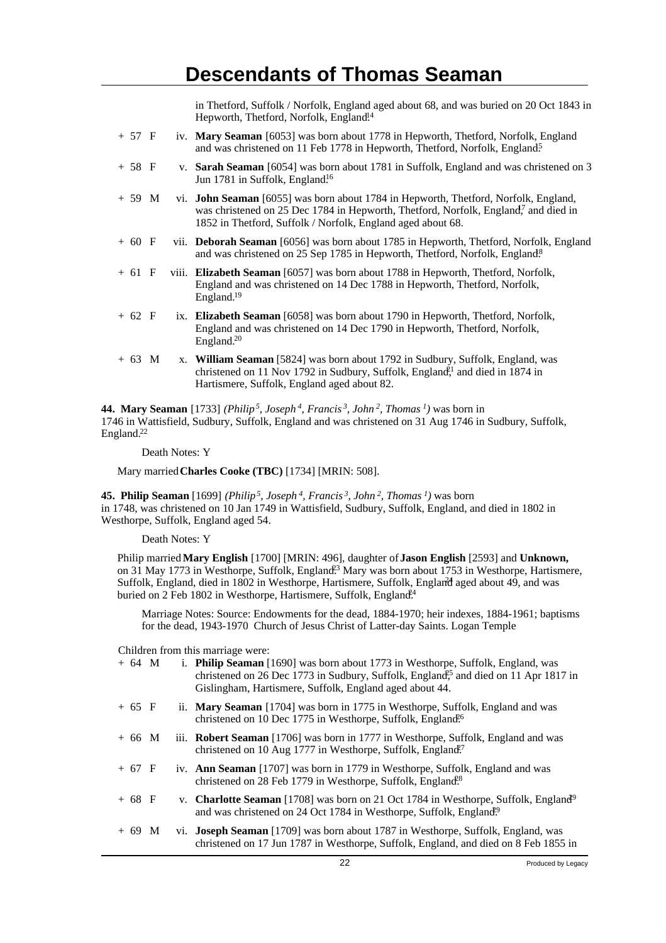in Thetford, Suffolk / Norfolk, England aged about 68, and was buried on 20 Oct 1843 in Hepworth, Thetford, Norfolk, England.<sup>14</sup>

- + 57 F iv. **Mary Seaman** [6053] was born about 1778 in Hepworth, Thetford, Norfolk, England and was christened on 11 Feb 1778 in Hepworth, Thetford, Norfolk, England<sup>5</sup>
- + 58 F v. **Sarah Seaman** [6054] was born about 1781 in Suffolk, England and was christened on 3 Jun 1781 in Suffolk, England<sup>16</sup>
- + 59 M vi. **John Seaman** [6055] was born about 1784 in Hepworth, Thetford, Norfolk, England, was christened on 25 Dec 1784 in Hepworth, Thetford, Norfolk, England,<sup>7</sup> and died in 1852 in Thetford, Suffolk / Norfolk, England aged about 68.
- + 60 F vii. **Deborah Seaman** [6056] was born about 1785 in Hepworth, Thetford, Norfolk, England and was christened on 25 Sep 1785 in Hepworth, Thetford, Norfolk, England.<sup>8</sup>
- + 61 F viii. **Elizabeth Seaman** [6057] was born about 1788 in Hepworth, Thetford, Norfolk, England and was christened on 14 Dec 1788 in Hepworth, Thetford, Norfolk, England.<sup>19</sup>
- + 62 F ix. **Elizabeth Seaman** [6058] was born about 1790 in Hepworth, Thetford, Norfolk, England and was christened on 14 Dec 1790 in Hepworth, Thetford, Norfolk, England.<sup>20</sup>
- + 63 M x. **William Seaman** [5824] was born about 1792 in Sudbury, Suffolk, England, was christened on 11 Nov 1792 in Sudbury, Suffolk, England,<sup>1</sup> and died in 1874 in Hartismere, Suffolk, England aged about 82.

**44. Mary Seaman** [1733] *(Philip<sup>5</sup>, Joseph<sup>4</sup>, Francis<sup>3</sup>, John<sup>2</sup>, Thomas<sup>1</sup>)* was born in 1746 in Wattisfield, Sudbury, Suffolk, England and was christened on 31 Aug 1746 in Sudbury, Suffolk, England.<sup>22</sup>

Death Notes: Y

Mary married **Charles Cooke (TBC)** [1734] [MRIN: 508].

**45. Philip Seaman** [1699] *(Philip<sup>5</sup>, Joseph<sup>4</sup>, Francis<sup>3</sup>, John<sup>2</sup>, Thomas<sup>1</sup>)* was born in 1748, was christened on 10 Jan 1749 in Wattisfield, Sudbury, Suffolk, England, and died in 1802 in Westhorpe, Suffolk, England aged 54.

Death Notes: Y

Philip married **Mary English** [1700] [MRIN: 496], daughter of **Jason English** [2593] and **Unknown,** on 31 May 1773 in Westhorpe, Suffolk, England<sup>23</sup> Mary was born about 1753 in Westhorpe, Hartismere, Suffolk, England, died in 1802 in Westhorpe, Hartismere, Suffolk, England aged about 49, and was buried on 2 Feb 1802 in Westhorpe, Hartismere, Suffolk, England<sup>24</sup>

Marriage Notes: Source: Endowments for the dead, 1884-1970; heir indexes, 1884-1961; baptisms for the dead, 1943-1970 Church of Jesus Christ of Latter-day Saints. Logan Temple

| $+64$ M  |  | i. Philip Seaman [1690] was born about 1773 in Westhorpe, Suffolk, England, was<br>christened on 26 Dec 1773 in Sudbury, Suffolk, England <sup>25</sup> and died on 11 Apr 1817 in<br>Gislingham, Hartismere, Suffolk, England aged about 44. |
|----------|--|-----------------------------------------------------------------------------------------------------------------------------------------------------------------------------------------------------------------------------------------------|
| $+ 65 F$ |  | ii. Mary Seaman [1704] was born in 1775 in Westhorpe, Suffolk, England and was<br>christened on 10 Dec 1775 in Westhorpe, Suffolk, England <sup>6</sup>                                                                                       |
| $+66$ M  |  | iii. Robert Seaman [1706] was born in 1777 in Westhorpe, Suffolk, England and was<br>christened on 10 Aug 1777 in Westhorpe, Suffolk, England?                                                                                                |
| $+ 67 F$ |  | iv. Ann Seaman [1707] was born in 1779 in Westhorpe, Suffolk, England and was<br>christened on 28 Feb 1779 in Westhorpe, Suffolk, England <sup>8</sup>                                                                                        |
| $+ 68 F$ |  | v. <b>Charlotte Seaman</b> [1708] was born on 21 Oct 1784 in Westhorpe, Suffolk, England <sup>9</sup><br>and was christened on 24 Oct 1784 in Westhorpe, Suffolk, England <sup>9</sup>                                                        |
| $+69$ M  |  | vi. <b>Joseph Seaman</b> [1709] was born about 1787 in Westhorpe, Suffolk, England, was<br>christened on 17 Jun 1787 in Westhorpe, Suffolk, England, and died on 8 Feb 1855 in                                                                |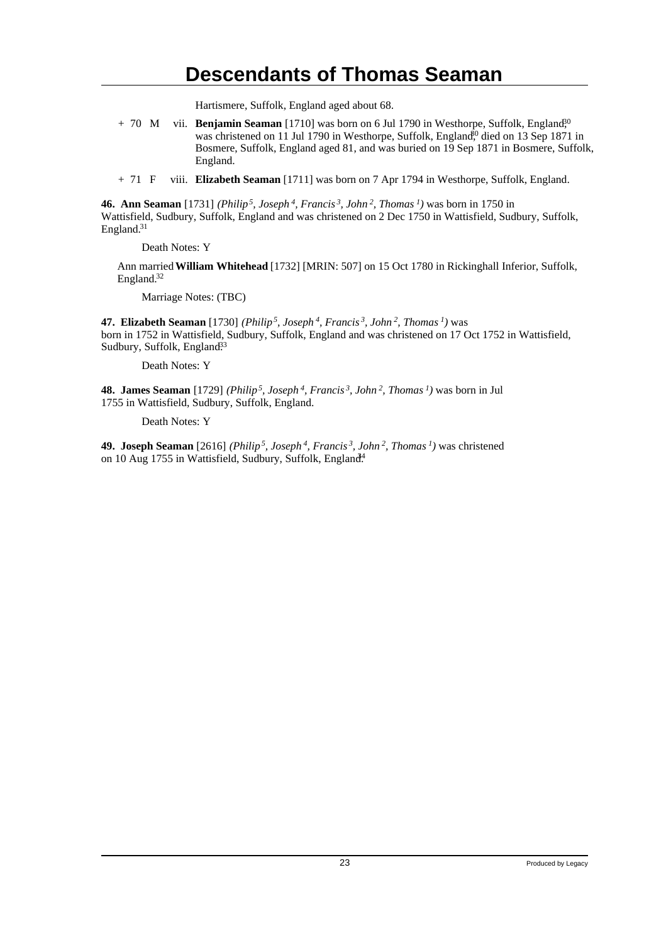Hartismere, Suffolk, England aged about 68.

+ 70 M vii. **Benjamin Seaman** [1710] was born on 6 Jul 1790 in Westhorpe, Suffolk, England<sup>30</sup> was christened on 11 Jul 1790 in Westhorpe, Suffolk, England,<sup>60</sup> died on 13 Sep 1871 in Bosmere, Suffolk, England aged 81, and was buried on 19 Sep 1871 in Bosmere, Suffolk, England.

+ 71 F viii. **Elizabeth Seaman** [1711] was born on 7 Apr 1794 in Westhorpe, Suffolk, England.

**46. Ann Seaman** [1731] *(Philip<sup>5</sup>, Joseph<sup>4</sup>, Francis<sup>3</sup>, John<sup>2</sup>, Thomas<sup>1</sup>)* was born in 1750 in Wattisfield, Sudbury, Suffolk, England and was christened on 2 Dec 1750 in Wattisfield, Sudbury, Suffolk, England.<sup>31</sup>

Death Notes: Y

Ann married **William Whitehead** [1732] [MRIN: 507] on 15 Oct 1780 in Rickinghall Inferior, Suffolk, England.<sup>32</sup>

Marriage Notes: (TBC)

**47. Elizabeth Seaman** [1730] *(Philip<sup>5</sup>, Joseph<sup>4</sup>, Francis<sup>3</sup>, John<sup>2</sup>, Thomas<sup>1</sup>)* was born in 1752 in Wattisfield, Sudbury, Suffolk, England and was christened on 17 Oct 1752 in Wattisfield, Sudbury, Suffolk, England<sup>33</sup>

Death Notes: Y

**48. James Seaman** [1729] *(Philip<sup>5</sup>, Joseph<sup>4</sup>, Francis<sup>3</sup>, John<sup>2</sup>, Thomas<sup>1</sup>)* was born in Jul 1755 in Wattisfield, Sudbury, Suffolk, England.

Death Notes: Y

**49. Joseph Seaman** [2616] *(Philip<sup>5</sup>, Joseph<sup>4</sup>, Francis<sup>3</sup>, John<sup>2</sup>, Thomas<sup>1</sup>)* was christened on 10 Aug 1755 in Wattisfield, Sudbury, Suffolk, England<sup>4</sup>.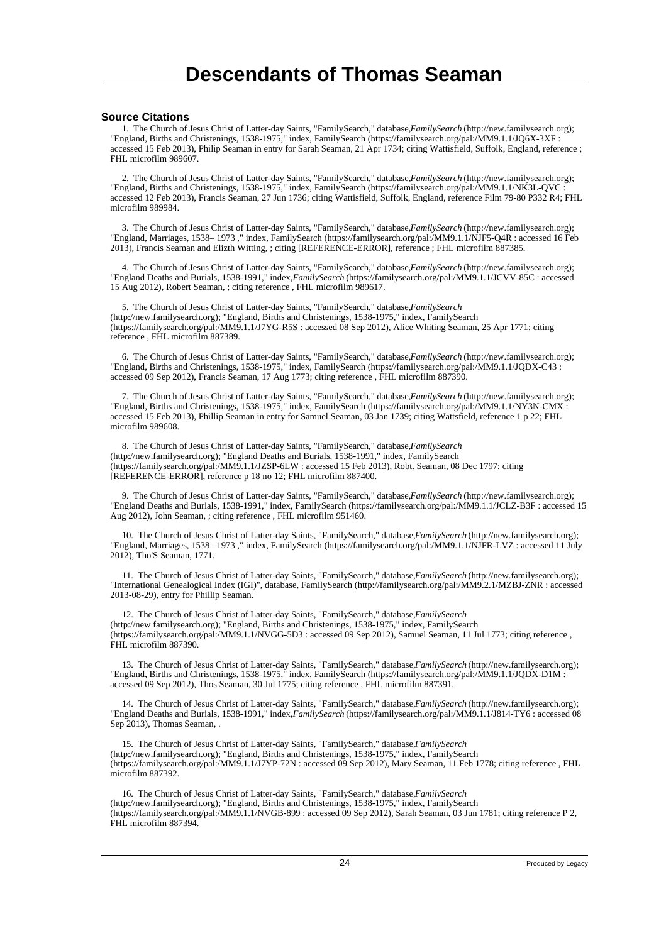#### **Source Citations**

 1. The Church of Jesus Christ of Latter-day Saints, "FamilySearch," database, *FamilySearch* (http://new.familysearch.org); "England, Births and Christenings, 1538-1975," index, FamilySearch (https://familysearch.org/pal:/MM9.1.1/JQ6X-3XF : accessed 15 Feb 2013), Philip Seaman in entry for Sarah Seaman, 21 Apr 1734; citing Wattisfield, Suffolk, England, reference ; FHL microfilm 989607.

 2. The Church of Jesus Christ of Latter-day Saints, "FamilySearch," database, *FamilySearch* (http://new.familysearch.org); "England, Births and Christenings, 1538-1975," index, FamilySearch (https://familysearch.org/pal:/MM9.1.1/NK3L-QVC : accessed 12 Feb 2013), Francis Seaman, 27 Jun 1736; citing Wattisfield, Suffolk, England, reference Film 79-80 P332 R4; FHL microfilm 989984.

 3. The Church of Jesus Christ of Latter-day Saints, "FamilySearch," database, *FamilySearch* (http://new.familysearch.org); "England, Marriages, 1538– 1973 ," index, FamilySearch (https://familysearch.org/pal:/MM9.1.1/NJF5-Q4R : accessed 16 Feb 2013), Francis Seaman and Elizth Witting, ; citing [REFERENCE-ERROR], reference ; FHL microfilm 887385.

 4. The Church of Jesus Christ of Latter-day Saints, "FamilySearch," database, *FamilySearch* (http://new.familysearch.org); "England Deaths and Burials, 1538-1991," index, *FamilySearch* (https://familysearch.org/pal:/MM9.1.1/JCVV-85C : accessed 15 Aug 2012), Robert Seaman, ; citing reference , FHL microfilm 989617.

 5. The Church of Jesus Christ of Latter-day Saints, "FamilySearch," database, *FamilySearch* (http://new.familysearch.org); "England, Births and Christenings, 1538-1975," index, FamilySearch (https://familysearch.org/pal:/MM9.1.1/J7YG-R5S : accessed 08 Sep 2012), Alice Whiting Seaman, 25 Apr 1771; citing reference , FHL microfilm 887389.

 6. The Church of Jesus Christ of Latter-day Saints, "FamilySearch," database, *FamilySearch* (http://new.familysearch.org); "England, Births and Christenings, 1538-1975," index, FamilySearch (https://familysearch.org/pal:/MM9.1.1/JQDX-C43 : accessed 09 Sep 2012), Francis Seaman, 17 Aug 1773; citing reference , FHL microfilm 887390.

 7. The Church of Jesus Christ of Latter-day Saints, "FamilySearch," database, *FamilySearch* (http://new.familysearch.org); "England, Births and Christenings, 1538-1975," index, FamilySearch (https://familysearch.org/pal:/MM9.1.1/NY3N-CMX : accessed 15 Feb 2013), Phillip Seaman in entry for Samuel Seaman, 03 Jan 1739; citing Wattsfield, reference 1 p 22; FHL microfilm 989608.

8. The Church of Jesus Christ of Latter-day Saints, "FamilySearch," database, FamilySearch (http://new.familysearch.org); "England Deaths and Burials, 1538-1991," index, FamilySearch (https://familysearch.org/pal:/MM9.1.1/JZSP-6LW : accessed 15 Feb 2013), Robt. Seaman, 08 Dec 1797; citing [REFERENCE-ERROR], reference p 18 no 12; FHL microfilm 887400.

 9. The Church of Jesus Christ of Latter-day Saints, "FamilySearch," database, *FamilySearch* (http://new.familysearch.org); "England Deaths and Burials, 1538-1991," index, FamilySearch (https://familysearch.org/pal:/MM9.1.1/JCLZ-B3F : accessed 15 Aug 2012), John Seaman, ; citing reference , FHL microfilm 951460.

 10. The Church of Jesus Christ of Latter-day Saints, "FamilySearch," database, *FamilySearch* (http://new.familysearch.org); "England, Marriages, 1538– 1973 ," index, FamilySearch (https://familysearch.org/pal:/MM9.1.1/NJFR-LVZ : accessed 11 July 2012), Tho'S Seaman, 1771.

 11. The Church of Jesus Christ of Latter-day Saints, "FamilySearch," database, *FamilySearch* (http://new.familysearch.org); "International Genealogical Index (IGI)", database, FamilySearch (http://familysearch.org/pal:/MM9.2.1/MZBJ-ZNR : accessed 2013-08-29), entry for Phillip Seaman.

12. The Church of Jesus Christ of Latter-day Saints, "FamilySearch," database, FamilySearch (http://new.familysearch.org); "England, Births and Christenings, 1538-1975," index, FamilySearch (https://familysearch.org/pal:/MM9.1.1/NVGG-5D3 : accessed 09 Sep 2012), Samuel Seaman, 11 Jul 1773; citing reference , FHL microfilm 887390.

 13. The Church of Jesus Christ of Latter-day Saints, "FamilySearch," database, *FamilySearch* (http://new.familysearch.org); "England, Births and Christenings, 1538-1975," index, FamilySearch (https://familysearch.org/pal:/MM9.1.1/JQDX-D1M : accessed 09 Sep 2012), Thos Seaman, 30 Jul 1775; citing reference , FHL microfilm 887391.

 14. The Church of Jesus Christ of Latter-day Saints, "FamilySearch," database, *FamilySearch* (http://new.familysearch.org); "England Deaths and Burials, 1538-1991," index, *FamilySearch* (https://familysearch.org/pal:/MM9.1.1/J814-TY6 : accessed 08 Sep 2013), Thomas Seaman, .

15. The Church of Jesus Christ of Latter-day Saints, "FamilySearch," database, *FamilySearch* (http://new.familysearch.org); "England, Births and Christenings, 1538-1975," index, FamilySearch (https://familysearch.org/pal:/MM9.1.1/J7YP-72N : accessed 09 Sep 2012), Mary Seaman, 11 Feb 1778; citing reference , FHL microfilm 887392.

 16. The Church of Jesus Christ of Latter-day Saints, "FamilySearch," database, *FamilySearch* (http://new.familysearch.org); "England, Births and Christenings, 1538-1975," index, FamilySearch (https://familysearch.org/pal:/MM9.1.1/NVGB-899 : accessed 09 Sep 2012), Sarah Seaman, 03 Jun 1781; citing reference P 2, FHL microfilm 887394.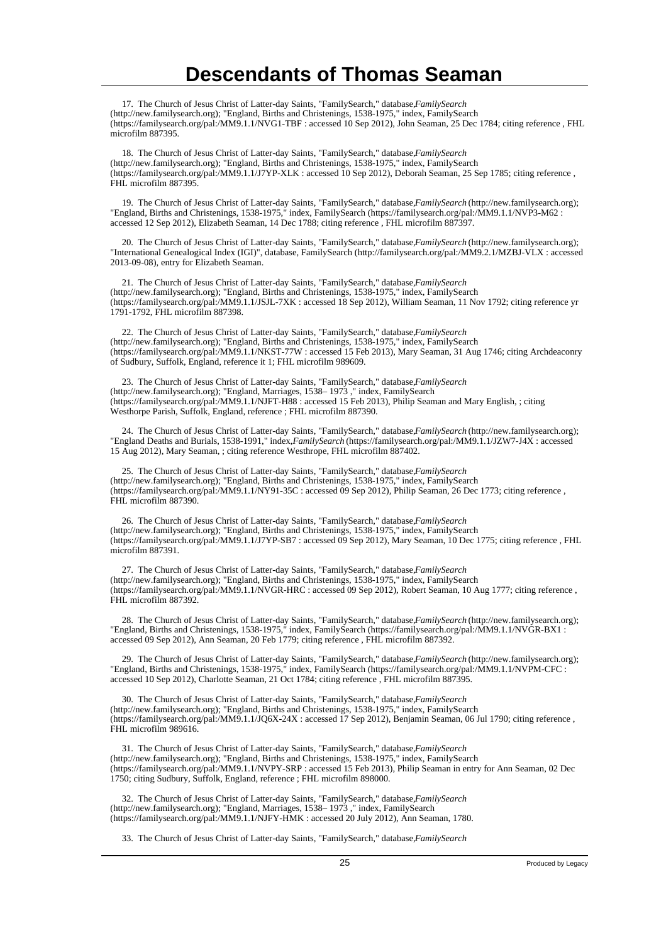17. The Church of Jesus Christ of Latter-day Saints, "FamilySearch," database, *FamilySearch* (http://new.familysearch.org); "England, Births and Christenings, 1538-1975," index, FamilySearch (https://familysearch.org/pal:/MM9.1.1/NVG1-TBF : accessed 10 Sep 2012), John Seaman, 25 Dec 1784; citing reference , FHL microfilm 887395.

18. The Church of Jesus Christ of Latter-day Saints, "FamilySearch," database, FamilySearch (http://new.familysearch.org); "England, Births and Christenings, 1538-1975," index, FamilySearch (https://familysearch.org/pal:/MM9.1.1/J7YP-XLK : accessed 10 Sep 2012), Deborah Seaman, 25 Sep 1785; citing reference , FHL microfilm 887395.

 19. The Church of Jesus Christ of Latter-day Saints, "FamilySearch," database, *FamilySearch* (http://new.familysearch.org); "England, Births and Christenings, 1538-1975," index, FamilySearch (https://familysearch.org/pal:/MM9.1.1/NVP3-M62 : accessed 12 Sep 2012), Elizabeth Seaman, 14 Dec 1788; citing reference , FHL microfilm 887397.

20. The Church of Jesus Christ of Latter-day Saints, "FamilySearch," database, *FamilySearch* (http://new.familysearch.org); "International Genealogical Index (IGI)", database, FamilySearch (http://familysearch.org/pal:/MM9.2.1/MZBJ-VLX : accessed 2013-09-08), entry for Elizabeth Seaman.

21. The Church of Jesus Christ of Latter-day Saints, "FamilySearch," database, FamilySearch (http://new.familysearch.org); "England, Births and Christenings, 1538-1975," index, FamilySearch (https://familysearch.org/pal:/MM9.1.1/JSJL-7XK : accessed 18 Sep 2012), William Seaman, 11 Nov 1792; citing reference yr 1791-1792, FHL microfilm 887398.

22. The Church of Jesus Christ of Latter-day Saints, "FamilySearch," database, FamilySearch (http://new.familysearch.org); "England, Births and Christenings, 1538-1975," index, FamilySearch (https://familysearch.org/pal:/MM9.1.1/NKST-77W : accessed 15 Feb 2013), Mary Seaman, 31 Aug 1746; citing Archdeaconry of Sudbury, Suffolk, England, reference it 1; FHL microfilm 989609.

 23. The Church of Jesus Christ of Latter-day Saints, "FamilySearch," database, *FamilySearch* (http://new.familysearch.org); "England, Marriages, 1538– 1973 ," index, FamilySearch (https://familysearch.org/pal:/MM9.1.1/NJFT-H88 : accessed 15 Feb 2013), Philip Seaman and Mary English, ; citing Westhorpe Parish, Suffolk, England, reference ; FHL microfilm 887390.

 24. The Church of Jesus Christ of Latter-day Saints, "FamilySearch," database, *FamilySearch* (http://new.familysearch.org); "England Deaths and Burials, 1538-1991," index, *FamilySearch* (https://familysearch.org/pal:/MM9.1.1/JZW7-J4X : accessed 15 Aug 2012), Mary Seaman, ; citing reference Westhrope, FHL microfilm 887402.

25. The Church of Jesus Christ of Latter-day Saints, "FamilySearch," database, FamilySearch (http://new.familysearch.org); "England, Births and Christenings, 1538-1975," index, FamilySearch (https://familysearch.org/pal:/MM9.1.1/NY91-35C : accessed 09 Sep 2012), Philip Seaman, 26 Dec 1773; citing reference , FHL microfilm 887390.

26. The Church of Jesus Christ of Latter-day Saints, "FamilySearch," database, *FamilySearch* (http://new.familysearch.org); "England, Births and Christenings, 1538-1975," index, FamilySearch (https://familysearch.org/pal:/MM9.1.1/J7YP-SB7 : accessed 09 Sep 2012), Mary Seaman, 10 Dec 1775; citing reference , FHL microfilm 887391.

27. The Church of Jesus Christ of Latter-day Saints, "FamilySearch," database, FamilySearch (http://new.familysearch.org); "England, Births and Christenings, 1538-1975," index, FamilySearch (https://familysearch.org/pal:/MM9.1.1/NVGR-HRC : accessed 09 Sep 2012), Robert Seaman, 10 Aug 1777; citing reference , FHL microfilm 887392.

 28. The Church of Jesus Christ of Latter-day Saints, "FamilySearch," database, *FamilySearch* (http://new.familysearch.org); "England, Births and Christenings, 1538-1975," index, FamilySearch (https://familysearch.org/pal:/MM9.1.1/NVGR-BX1 : accessed 09 Sep 2012), Ann Seaman, 20 Feb 1779; citing reference , FHL microfilm 887392.

 29. The Church of Jesus Christ of Latter-day Saints, "FamilySearch," database, *FamilySearch* (http://new.familysearch.org); "England, Births and Christenings, 1538-1975," index, FamilySearch (https://familysearch.org/pal:/MM9.1.1/NVPM-CFC : accessed 10 Sep 2012), Charlotte Seaman, 21 Oct 1784; citing reference , FHL microfilm 887395.

30. The Church of Jesus Christ of Latter-day Saints, "FamilySearch," database, FamilySearch (http://new.familysearch.org); "England, Births and Christenings, 1538-1975," index, FamilySearch (https://familysearch.org/pal:/MM9.1.1/JQ6X-24X : accessed 17 Sep 2012), Benjamin Seaman, 06 Jul 1790; citing reference , FHL microfilm 989616.

 31. The Church of Jesus Christ of Latter-day Saints, "FamilySearch," database, *FamilySearch* (http://new.familysearch.org); "England, Births and Christenings, 1538-1975," index, FamilySearch (https://familysearch.org/pal:/MM9.1.1/NVPY-SRP : accessed 15 Feb 2013), Philip Seaman in entry for Ann Seaman, 02 Dec 1750; citing Sudbury, Suffolk, England, reference ; FHL microfilm 898000.

32. The Church of Jesus Christ of Latter-day Saints, "FamilySearch," database, *FamilySearch* (http://new.familysearch.org); "England, Marriages, 1538– 1973 ," index, FamilySearch (https://familysearch.org/pal:/MM9.1.1/NJFY-HMK : accessed 20 July 2012), Ann Seaman, 1780.

33. The Church of Jesus Christ of Latter-day Saints, "FamilySearch," database, *FamilySearch*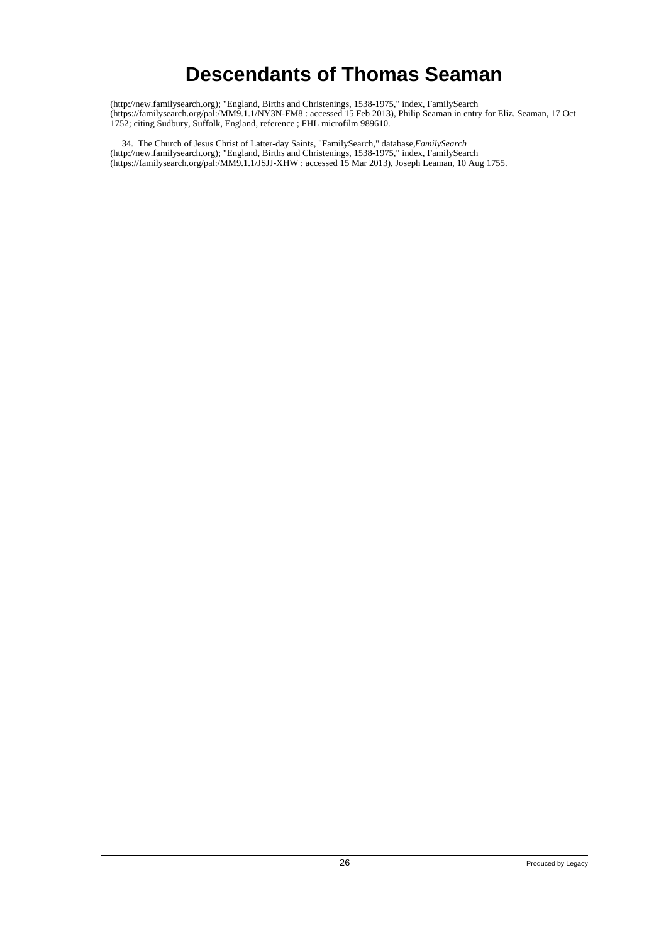(http://new.familysearch.org); "England, Births and Christenings, 1538-1975," index, FamilySearch (https://familysearch.org/pal:/MM9.1.1/NY3N-FM8 : accessed 15 Feb 2013), Philip Seaman in entry for Eliz. Seaman, 17 Oct 1752; citing Sudbury, Suffolk, England, reference ; FHL microfilm 989610.

 34. The Church of Jesus Christ of Latter-day Saints, "FamilySearch," database, *FamilySearch* (http://new.familysearch.org); "England, Births and Christenings, 1538-1975," index, FamilySearch (https://familysearch.org/pal:/MM9.1.1/JSJJ-XHW : accessed 15 Mar 2013), Joseph Leaman, 10 Aug 1755.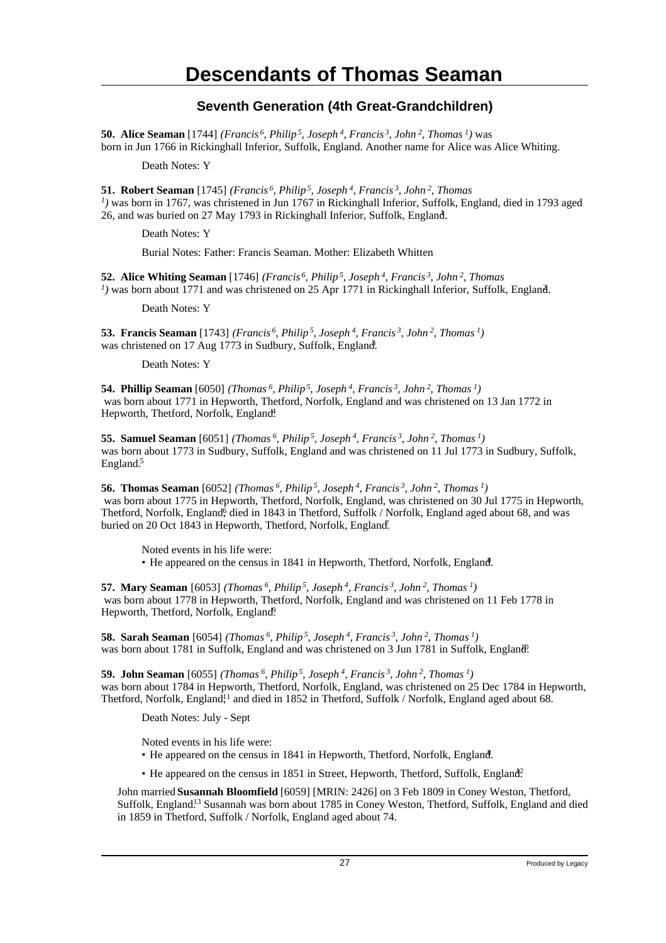### **Seventh Generation (4th Great-Grandchildren)**

**50. Alice Seaman** [1744] *(Francis<sup>6</sup>, Philip<sup>5</sup>, Joseph<sup>4</sup>, Francis<sup>3</sup>, John<sup>2</sup>, Thomas<sup>1</sup>)* was born in Jun 1766 in Rickinghall Inferior, Suffolk, England. Another name for Alice was Alice Whiting.

Death Notes: Y

**51. Robert Seaman** [1745] *(Francis<sup>6</sup>, Philip<sup>5</sup>, Joseph<sup>4</sup>, Francis<sup>3</sup>, John<sup>2</sup>, Thomas 1 )* was born in 1767, was christened in Jun 1767 in Rickinghall Inferior, Suffolk, England, died in 1793 aged 26, and was buried on 27 May 1793 in Rickinghall Inferior, Suffolk, England. <sup>1</sup>

Death Notes: Y

Burial Notes: Father: Francis Seaman. Mother: Elizabeth Whitten

**52. Alice Whiting Seaman** [1746] *(Francis<sup>6</sup>, Philip<sup>5</sup>, Joseph<sup>4</sup>, Francis<sup>3</sup>, John<sup>2</sup>, Thomas*  $I$ ) was born about 1771 and was christened on 25 Apr 1771 in Rickinghall Inferior, Suffolk, England.

Death Notes: Y

**53. Francis Seaman** [1743] *(Francis<sup>6</sup>, Philip<sup>5</sup>, Joseph<sup>4</sup>, Francis<sup>3</sup>, John<sup>2</sup>, Thomas<sup>1</sup>)* was christened on 17 Aug 1773 in Sudbury, Suffolk, England.

Death Notes: Y

**54. Phillip Seaman** [6050] *(Thomas<sup>6</sup>, Philip<sup>5</sup>, Joseph<sup>4</sup>, Francis<sup>3</sup>, John<sup>2</sup>, Thomas<sup>1</sup>)* was born about 1771 in Hepworth, Thetford, Norfolk, England and was christened on 13 Jan 1772 in Hepworth, Thetford, Norfolk, England.

**55. Samuel Seaman** [6051] *(Thomas<sup>6</sup>, Philip<sup>5</sup>, Joseph<sup>4</sup>, Francis<sup>3</sup>, John<sup>2</sup>, Thomas<sup>1</sup>)* was born about 1773 in Sudbury, Suffolk, England and was christened on 11 Jul 1773 in Sudbury, Suffolk, England.<sup>5</sup>

**56. Thomas Seaman** [6052] *(Thomas<sup>6</sup>, Philip<sup>5</sup>, Joseph<sup>4</sup>, Francis<sup>3</sup>, John<sup>2</sup>, Thomas<sup>1</sup>)* was born about 1775 in Hepworth, Thetford, Norfolk, England, was christened on 30 Jul 1775 in Hepworth, Thetford, Norfolk, England, died in 1843 in Thetford, Suffolk / Norfolk, England aged about 68, and was buried on 20 Oct 1843 in Hepworth, Thetford, Norfolk, England.

Noted events in his life were: • He appeared on the census in 1841 in Hepworth, Thetford, Norfolk, England.

**57. Mary Seaman** [6053] *(Thomas<sup>6</sup>, Philip<sup>5</sup>, Joseph<sup>4</sup>, Francis<sup>3</sup>, John<sup>2</sup>, Thomas<sup>1</sup>)* was born about 1778 in Hepworth, Thetford, Norfolk, England and was christened on 11 Feb 1778 in Hepworth, Thetford, Norfolk, England.

**58. Sarah Seaman** [6054] *(Thomas<sup>6</sup>, Philip<sup>5</sup>, Joseph<sup>4</sup>, Francis<sup>3</sup>, John<sup>2</sup>, Thomas<sup>1</sup>)* was born about 1781 in Suffolk, England and was christened on 3 Jun 1781 in Suffolk, England.

**59. John Seaman** [6055] *(Thomas<sup>6</sup>, Philip<sup>5</sup>, Joseph<sup>4</sup>, Francis<sup>3</sup>, John<sup>2</sup>, Thomas<sup>1</sup>)* was born about 1784 in Hepworth, Thetford, Norfolk, England, was christened on 25 Dec 1784 in Hepworth, Thetford, Norfolk, England,<sup>11</sup> and died in 1852 in Thetford, Suffolk / Norfolk, England aged about 68.

Death Notes: July - Sept

Noted events in his life were:

- He appeared on the census in 1841 in Hepworth, Thetford, Norfolk, England.
- He appeared on the census in 1851 in Street, Hepworth, Thetford, Suffolk, England?

John married **Susannah Bloomfield** [6059] [MRIN: 2426] on 3 Feb 1809 in Coney Weston, Thetford, Suffolk, England.<sup>13</sup> Susannah was born about 1785 in Coney Weston, Thetford, Suffolk, England and died in 1859 in Thetford, Suffolk / Norfolk, England aged about 74.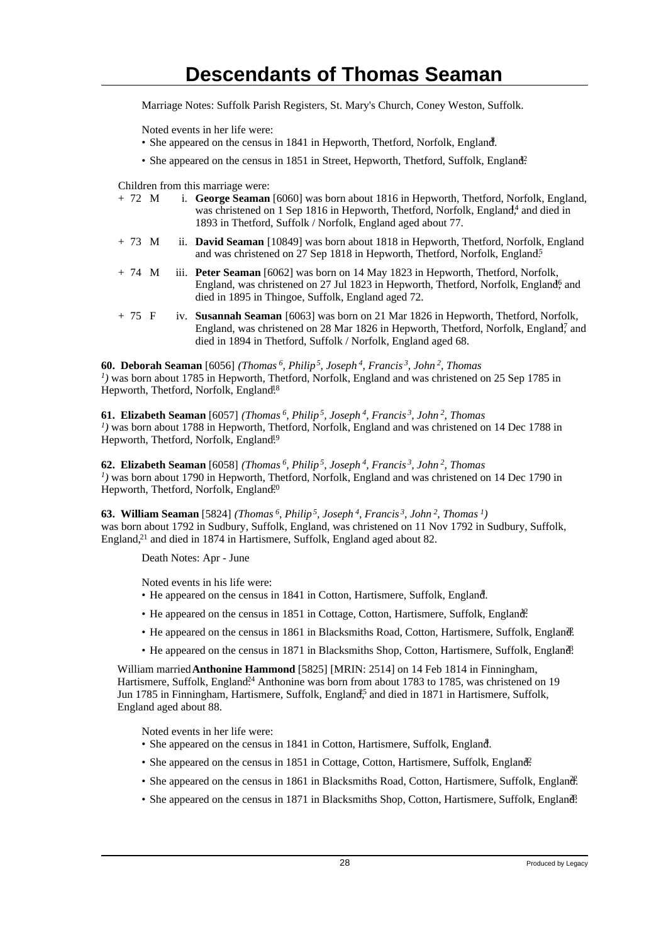Marriage Notes: Suffolk Parish Registers, St. Mary's Church, Coney Weston, Suffolk.

Noted events in her life were:

- She appeared on the census in 1841 in Hepworth, Thetford, Norfolk, England.
- She appeared on the census in 1851 in Street, Hepworth, Thetford, Suffolk, England<sup>2</sup>.

Children from this marriage were:

| $+ 72 \text{ M}$ |  | i. George Seaman [6060] was born about 1816 in Hepworth, Thetford, Norfolk, England,<br>was christened on 1 Sep 1816 in Hepworth, Thetford, Norfolk, England <sup>4</sup> and died in<br>1893 in Thetford, Suffolk / Norfolk, England aged about 77. |
|------------------|--|------------------------------------------------------------------------------------------------------------------------------------------------------------------------------------------------------------------------------------------------------|
| $+ 73$ M         |  | ii. <b>David Seaman</b> [10849] was born about 1818 in Hepworth, Thetford, Norfolk, England<br>and was christened on 27 Sep 1818 in Hepworth, Thetford, Norfolk, England <sup>5</sup>                                                                |
| $+ 74$ M         |  | iii. <b>Peter Seaman</b> [6062] was born on 14 May 1823 in Hepworth, Thetford, Norfolk,<br>England, was christened on 27 Jul 1823 in Hepworth, Thetford, Norfolk, England <sup>6</sup> and<br>died in 1895 in Thingoe, Suffolk, England aged 72.     |

+ 75 F iv. **Susannah Seaman** [6063] was born on 21 Mar 1826 in Hepworth, Thetford, Norfolk, England, was christened on 28 Mar 1826 in Hepworth, Thetford, Norfolk, England, and died in 1894 in Thetford, Suffolk / Norfolk, England aged 68.

**60. Deborah Seaman** [6056] *(Thomas<sup>6</sup>, Philip<sup>5</sup>, Joseph<sup>4</sup>, Francis<sup>3</sup>, John<sup>2</sup>, Thomas* <sup>*1*</sup>) was born about 1785 in Hepworth, Thetford, Norfolk, England and was christened on 25 Sep 1785 in Hepworth, Thetford, Norfolk, England<sup>18</sup>

#### **61. Elizabeth Seaman** [6057] *(Thomas<sup>6</sup>, Philip<sup>5</sup>, Joseph<sup>4</sup>, Francis<sup>3</sup>, John<sup>2</sup>, Thomas 1 )* was born about 1788 in Hepworth, Thetford, Norfolk, England and was christened on 14 Dec 1788 in Hepworth, Thetford, Norfolk, England<sup>19</sup>

**62. Elizabeth Seaman** [6058] *(Thomas<sup>6</sup>, Philip<sup>5</sup>, Joseph<sup>4</sup>, Francis<sup>3</sup>, John<sup>2</sup>, Thomas 1 )* was born about 1790 in Hepworth, Thetford, Norfolk, England and was christened on 14 Dec 1790 in Hepworth, Thetford, Norfolk, England.<sup>20</sup>

**63. William Seaman** [5824] *(Thomas<sup>6</sup>, Philip<sup>5</sup>, Joseph<sup>4</sup>, Francis<sup>3</sup>, John<sup>2</sup>, Thomas<sup>1</sup>)* was born about 1792 in Sudbury, Suffolk, England, was christened on 11 Nov 1792 in Sudbury, Suffolk, England,<sup>21</sup> and died in 1874 in Hartismere, Suffolk, England aged about 82.

Death Notes: Apr - June

Noted events in his life were:

- He appeared on the census in 1841 in Cotton, Hartismere, Suffolk, England.
- He appeared on the census in 1851 in Cottage, Cotton, Hartismere, Suffolk, England?
- He appeared on the census in 1861 in Blacksmiths Road, Cotton, Hartismere, Suffolk, England.
- He appeared on the census in 1871 in Blacksmiths Shop, Cotton, Hartismere, Suffolk, England.

William married **Anthonine Hammond** [5825] [MRIN: 2514] on 14 Feb 1814 in Finningham, Hartismere, Suffolk, England<sup>24</sup> Anthonine was born from about 1783 to 1785, was christened on 19 Jun 1785 in Finningham, Hartismere, Suffolk, England<sup>5</sup> and died in 1871 in Hartismere, Suffolk, England aged about 88.

Noted events in her life were:

- She appeared on the census in 1841 in Cotton, Hartismere, Suffolk, England.
- She appeared on the census in 1851 in Cottage, Cotton, Hartismere, Suffolk, England?
- She appeared on the census in 1861 in Blacksmiths Road, Cotton, Hartismere, Suffolk, England.
- She appeared on the census in 1871 in Blacksmiths Shop, Cotton, Hartismere, Suffolk, England?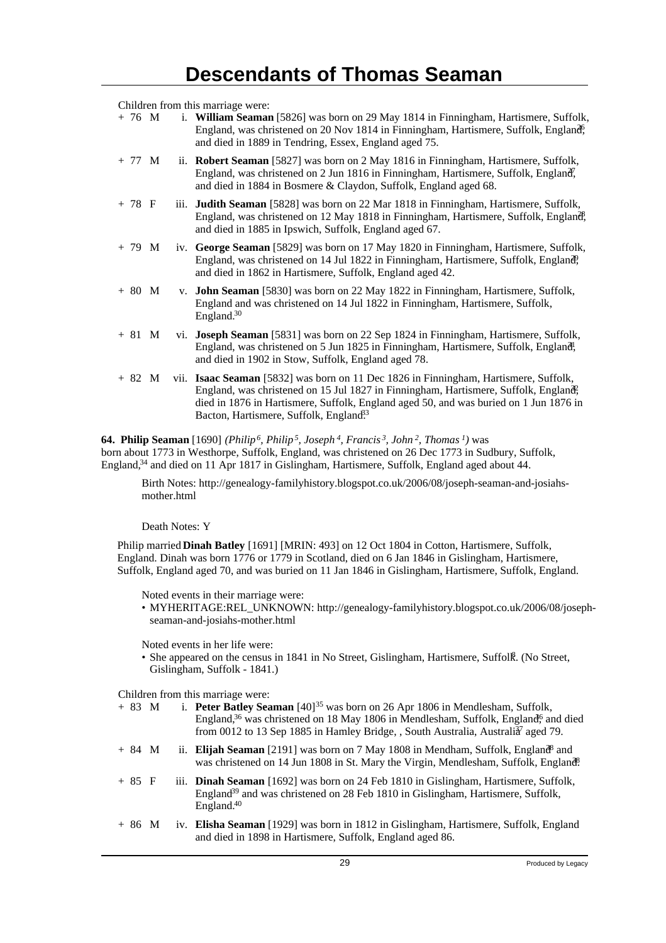Children from this marriage were:

| + 76 M | i. William Seaman [5826] was born on 29 May 1814 in Finningham, Hartismere, Suffolk, |
|--------|--------------------------------------------------------------------------------------|
|        | England, was christened on 20 Nov 1814 in Finningham, Hartismere, Suffolk, England,  |
|        | and died in 1889 in Tendring, Essex, England aged 75.                                |

- + 77 M ii. **Robert Seaman** [5827] was born on 2 May 1816 in Finningham, Hartismere, Suffolk, England, was christened on 2 Jun 1816 in Finningham, Hartismere, Suffolk, England, and died in 1884 in Bosmere & Claydon, Suffolk, England aged 68.
- + 78 F iii. **Judith Seaman** [5828] was born on 22 Mar 1818 in Finningham, Hartismere, Suffolk, England, was christened on 12 May 1818 in Finningham, Hartismere, Suffolk, England, and died in 1885 in Ipswich, Suffolk, England aged 67.
- + 79 M iv. **George Seaman** [5829] was born on 17 May 1820 in Finningham, Hartismere, Suffolk, England, was christened on 14 Jul 1822 in Finningham, Hartismere, Suffolk, England, and died in 1862 in Hartismere, Suffolk, England aged 42.
- + 80 M v. **John Seaman** [5830] was born on 22 May 1822 in Finningham, Hartismere, Suffolk, England and was christened on 14 Jul 1822 in Finningham, Hartismere, Suffolk, England.<sup>30</sup>
- + 81 M vi. **Joseph Seaman** [5831] was born on 22 Sep 1824 in Finningham, Hartismere, Suffolk, England, was christened on 5 Jun 1825 in Finningham, Hartismere, Suffolk, England, and died in 1902 in Stow, Suffolk, England aged 78.
- + 82 M vii. **Isaac Seaman** [5832] was born on 11 Dec 1826 in Finningham, Hartismere, Suffolk, England, was christened on 15 Jul 1827 in Finningham, Hartismere, Suffolk, England, died in 1876 in Hartismere, Suffolk, England aged 50, and was buried on 1 Jun 1876 in Bacton, Hartismere, Suffolk, England<sup>33</sup>

**64. Philip Seaman** [1690] *(Philip<sup>6</sup>, Philip<sup>5</sup>, Joseph<sup>4</sup>, Francis<sup>3</sup>, John<sup>2</sup>, Thomas<sup>1</sup>)* was born about 1773 in Westhorpe, Suffolk, England, was christened on 26 Dec 1773 in Sudbury, Suffolk, England,<sup>34</sup> and died on 11 Apr 1817 in Gislingham, Hartismere, Suffolk, England aged about 44.

Birth Notes: http://genealogy-familyhistory.blogspot.co.uk/2006/08/joseph-seaman-and-josiahsmother.html

Death Notes: Y

Philip married **Dinah Batley** [1691] [MRIN: 493] on 12 Oct 1804 in Cotton, Hartismere, Suffolk, England. Dinah was born 1776 or 1779 in Scotland, died on 6 Jan 1846 in Gislingham, Hartismere, Suffolk, England aged 70, and was buried on 11 Jan 1846 in Gislingham, Hartismere, Suffolk, England.

Noted events in their marriage were:

• MYHERITAGE:REL\_UNKNOWN: http://genealogy-familyhistory.blogspot.co.uk/2006/08/josephseaman-and-josiahs-mother.html

Noted events in her life were:

• She appeared on the census in 1841 in No Street, Gislingham, Hartismere, Suffolk. (No Street, Gislingham, Suffolk - 1841.)

- + 83 M i. **Peter Batley Seaman** [40]<sup>35</sup> was born on 26 Apr 1806 in Mendlesham, Suffolk, England,<sup>36</sup> was christened on 18 May 1806 in Mendlesham, Suffolk, England<sup>6</sup> and died from 0012 to 13 Sep 1885 in Hamley Bridge, , South Australia, Australi $\frac{3}{4}$  aged 79.
- + 84 M ii. **Elijah Seaman** [2191] was born on 7 May 1808 in Mendham, Suffolk, England<sup>8</sup> and was christened on 14 Jun 1808 in St. Mary the Virgin, Mendlesham, Suffolk, England.
- + 85 F iii. **Dinah Seaman** [1692] was born on 24 Feb 1810 in Gislingham, Hartismere, Suffolk, England<sup>39</sup> and was christened on 28 Feb 1810 in Gislingham, Hartismere, Suffolk, England.<sup>40</sup>
- + 86 M iv. **Elisha Seaman** [1929] was born in 1812 in Gislingham, Hartismere, Suffolk, England and died in 1898 in Hartismere, Suffolk, England aged 86.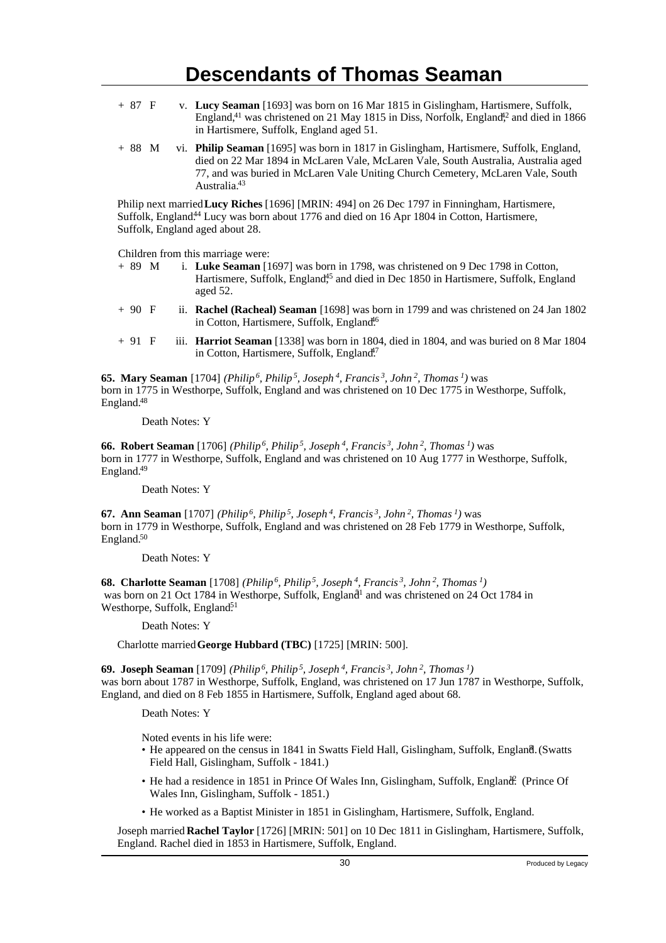- + 87 F v. **Lucy Seaman** [1693] was born on 16 Mar 1815 in Gislingham, Hartismere, Suffolk, England, $41$  was christened on 21 May 1815 in Diss, Norfolk, England $42$  and died in 1866 in Hartismere, Suffolk, England aged 51.
- + 88 M vi. **Philip Seaman** [1695] was born in 1817 in Gislingham, Hartismere, Suffolk, England, died on 22 Mar 1894 in McLaren Vale, McLaren Vale, South Australia, Australia aged 77, and was buried in McLaren Vale Uniting Church Cemetery, McLaren Vale, South Australia.<sup>43</sup>

Philip next married **Lucy Riches** [1696] [MRIN: 494] on 26 Dec 1797 in Finningham, Hartismere, Suffolk, England<sup>44</sup> Lucy was born about 1776 and died on 16 Apr 1804 in Cotton, Hartismere, Suffolk, England aged about 28.

Children from this marriage were:

- + 89 M i. **Luke Seaman** [1697] was born in 1798, was christened on 9 Dec 1798 in Cotton, Hartismere, Suffolk, England<sup>45</sup> and died in Dec 1850 in Hartismere, Suffolk, England aged 52.
- + 90 F ii. **Rachel (Racheal) Seaman** [1698] was born in 1799 and was christened on 24 Jan 1802 in Cotton, Hartismere, Suffolk, England<sup>16</sup>
- + 91 F iii. **Harriot Seaman** [1338] was born in 1804, died in 1804, and was buried on 8 Mar 1804 in Cotton, Hartismere, Suffolk, England.<sup>47</sup>

**65. Mary Seaman** [1704] *(Philip<sup>6</sup>, Philip<sup>5</sup>, Joseph<sup>4</sup>, Francis<sup>3</sup>, John<sup>2</sup>, Thomas<sup>1</sup>)* was born in 1775 in Westhorpe, Suffolk, England and was christened on 10 Dec 1775 in Westhorpe, Suffolk, England.<sup>48</sup>

Death Notes: Y

**66. Robert Seaman** [1706] *(Philip<sup>6</sup>, Philip<sup>5</sup>, Joseph<sup>4</sup>, Francis<sup>3</sup>, John<sup>2</sup>, Thomas<sup>1</sup>)* was born in 1777 in Westhorpe, Suffolk, England and was christened on 10 Aug 1777 in Westhorpe, Suffolk, England.<sup>49</sup>

Death Notes: Y

**67. Ann Seaman** [1707] *(Philip<sup>6</sup>, Philip<sup>5</sup>, Joseph<sup>4</sup>, Francis<sup>3</sup>, John<sup>2</sup>, Thomas<sup>1</sup>)* was born in 1779 in Westhorpe, Suffolk, England and was christened on 28 Feb 1779 in Westhorpe, Suffolk, England.<sup>50</sup>

Death Notes: Y

**68. Charlotte Seaman** [1708] *(Philip<sup>6</sup>, Philip<sup>5</sup>, Joseph<sup>4</sup>, Francis<sup>3</sup>, John<sup>2</sup>, Thomas<sup>1</sup>)* was born on 21 Oct 1784 in Westhorpe, Suffolk, England<sup>1</sup> and was christened on 24 Oct 1784 in Westhorpe, Suffolk, England<sup>51</sup>

Death Notes: Y

Charlotte married **George Hubbard (TBC)** [1725] [MRIN: 500].

**69. Joseph Seaman** [1709] *(Philip<sup>6</sup>, Philip<sup>5</sup>, Joseph<sup>4</sup>, Francis<sup>3</sup>, John<sup>2</sup>, Thomas<sup>1</sup>)* was born about 1787 in Westhorpe, Suffolk, England, was christened on 17 Jun 1787 in Westhorpe, Suffolk, England, and died on 8 Feb 1855 in Hartismere, Suffolk, England aged about 68.

Death Notes: Y

Noted events in his life were:

- He appeared on the census in 1841 in Swatts Field Hall, Gislingham, Suffolk, England. (Swatts Field Hall, Gislingham, Suffolk - 1841.)
- He had a residence in 1851 in Prince Of Wales Inn, Gislingham, Suffolk, England. (Prince Of Wales Inn, Gislingham, Suffolk - 1851.)
- He worked as a Baptist Minister in 1851 in Gislingham, Hartismere, Suffolk, England.

Joseph married **Rachel Taylor** [1726] [MRIN: 501] on 10 Dec 1811 in Gislingham, Hartismere, Suffolk, England. Rachel died in 1853 in Hartismere, Suffolk, England.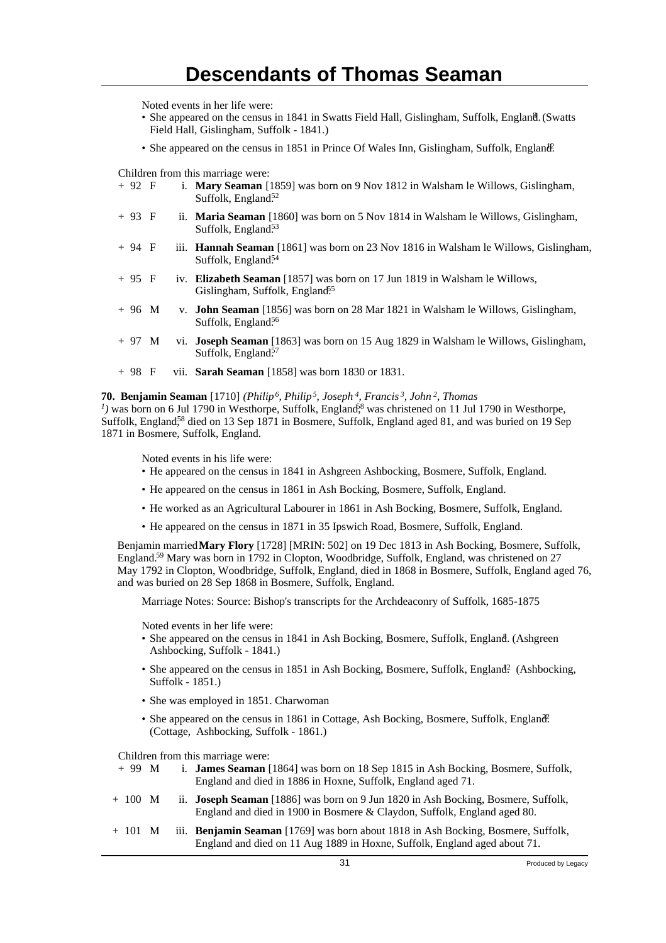Noted events in her life were:

- · She appeared on the census in 1841 in Swatts Field Hall, Gislingham, Suffolk, England. (Swatts Field Hall, Gislingham, Suffolk - 1841.)
- She appeared on the census in 1851 in Prince Of Wales Inn, Gislingham, Suffolk, England.

Children from this marriage were:

| $+92$ F |  | i. Mary Seaman [1859] was born on 9 Nov 1812 in Walsham le Willows, Gislingham,<br>Suffolk, England <sup>52</sup>             |
|---------|--|-------------------------------------------------------------------------------------------------------------------------------|
| $+93$ F |  | ii. <b>Maria Seaman</b> [1860] was born on 5 Nov 1814 in Walsham le Willows, Gislingham,<br>Suffolk, England <sup>53</sup>    |
| $+94$ F |  | iii. <b>Hannah Seaman</b> [1861] was born on 23 Nov 1816 in Walsham le Willows, Gislingham,<br>Suffolk, England <sup>54</sup> |
| $+95$ F |  | iv. Elizabeth Seaman [1857] was born on 17 Jun 1819 in Walsham le Willows,<br>Gislingham, Suffolk, England <sup>55</sup>      |
| $+96$ M |  | v. <b>John Seaman</b> [1856] was born on 28 Mar 1821 in Walsham le Willows, Gislingham,<br>Suffolk, England <sup>56</sup>     |
| $+97$ M |  | vi. <b>Joseph Seaman</b> [1863] was born on 15 Aug 1829 in Walsham le Willows, Gislingham,<br>Suffolk, England <sup>57</sup>  |
| $+98$ F |  | vii. <b>Sarah Seaman</b> [1858] was born 1830 or 1831.                                                                        |

**70. Benjamin Seaman** [1710] *(Philip<sup>6</sup>, Philip<sup>5</sup>, Joseph<sup>4</sup>, Francis<sup>3</sup>, John<sup>2</sup>, Thomas*  $<sup>1</sup>$ ) was born on 6 Jul 1790 in Westhorpe, Suffolk, England<sup>88</sup> was christened on 11 Jul 1790 in Westhorpe,</sup> Suffolk, England<sup>58</sup> died on 13 Sep 1871 in Bosmere, Suffolk, England aged 81, and was buried on 19 Sep 1871 in Bosmere, Suffolk, England.

Noted events in his life were:

- He appeared on the census in 1841 in Ashgreen Ashbocking, Bosmere, Suffolk, England.
- He appeared on the census in 1861 in Ash Bocking, Bosmere, Suffolk, England.
- He worked as an Agricultural Labourer in 1861 in Ash Bocking, Bosmere, Suffolk, England.
- He appeared on the census in 1871 in 35 Ipswich Road, Bosmere, Suffolk, England.

Benjamin married **Mary Flory** [1728] [MRIN: 502] on 19 Dec 1813 in Ash Bocking, Bosmere, Suffolk, England.<sup>59</sup> Mary was born in 1792 in Clopton, Woodbridge, Suffolk, England, was christened on 27 May 1792 in Clopton, Woodbridge, Suffolk, England, died in 1868 in Bosmere, Suffolk, England aged 76, and was buried on 28 Sep 1868 in Bosmere, Suffolk, England.

Marriage Notes: Source: Bishop's transcripts for the Archdeaconry of Suffolk, 1685-1875

Noted events in her life were:

- She appeared on the census in 1841 in Ash Bocking, Bosmere, Suffolk, England. (Ashgreen Ashbocking, Suffolk - 1841.)
- She appeared on the census in 1851 in Ash Bocking, Bosmere, Suffolk, England? (Ashbocking, Suffolk - 1851.)
- She was employed in 1851. Charwoman
- She appeared on the census in 1861 in Cottage, Ash Bocking, Bosmere, Suffolk, England. (Cottage, Ashbocking, Suffolk - 1861.)

- + 99 M i. **James Seaman** [1864] was born on 18 Sep 1815 in Ash Bocking, Bosmere, Suffolk, England and died in 1886 in Hoxne, Suffolk, England aged 71.
- + 100 M ii. **Joseph Seaman** [1886] was born on 9 Jun 1820 in Ash Bocking, Bosmere, Suffolk, England and died in 1900 in Bosmere & Claydon, Suffolk, England aged 80.
- + 101 M iii. **Benjamin Seaman** [1769] was born about 1818 in Ash Bocking, Bosmere, Suffolk, England and died on 11 Aug 1889 in Hoxne, Suffolk, England aged about 71.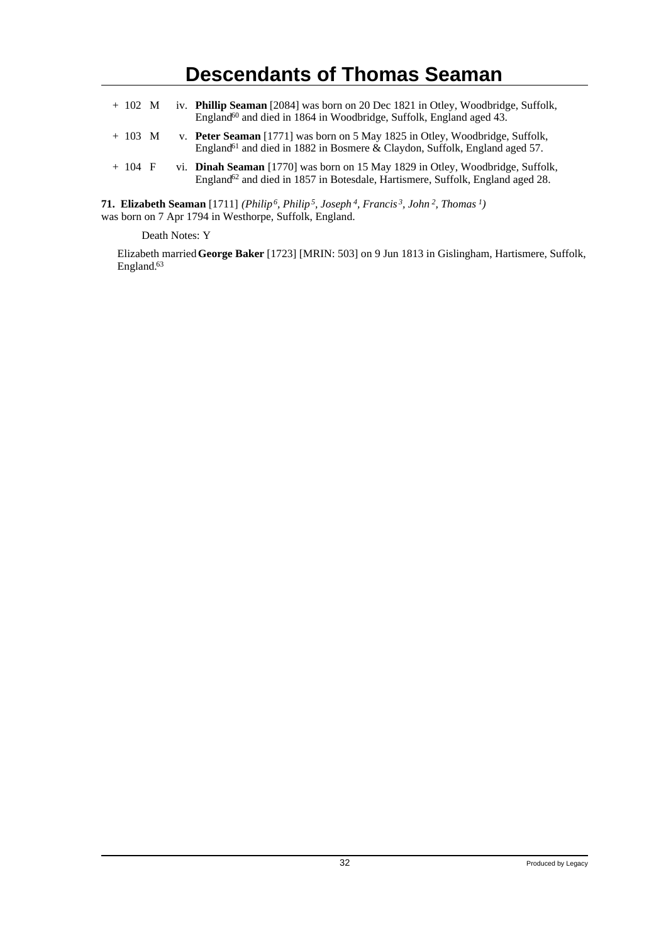| $+ 102$ M |  | iv. <b>Phillip Seaman</b> [2084] was born on 20 Dec 1821 in Otley, Woodbridge, Suffolk,<br>England <sup>60</sup> and died in 1864 in Woodbridge, Suffolk, England aged 43.   |
|-----------|--|------------------------------------------------------------------------------------------------------------------------------------------------------------------------------|
| $+ 103$ M |  | v. Peter Seaman [1771] was born on 5 May 1825 in Otley, Woodbridge, Suffolk,<br>England <sup>61</sup> and died in 1882 in Bosmere & Claydon, Suffolk, England aged 57.       |
| $+104$ F  |  | vi. Dinah Seaman [1770] was born on 15 May 1829 in Otley, Woodbridge, Suffolk,<br>England <sup>62</sup> and died in 1857 in Botesdale, Hartismere, Suffolk, England aged 28. |

**71. Elizabeth Seaman** [1711] *(Philip<sup>6</sup>, Philip<sup>5</sup>, Joseph<sup>4</sup>, Francis<sup>3</sup>, John<sup>2</sup>, Thomas<sup>1</sup>)* was born on 7 Apr 1794 in Westhorpe, Suffolk, England.

Death Notes: Y

Elizabeth married **George Baker** [1723] [MRIN: 503] on 9 Jun 1813 in Gislingham, Hartismere, Suffolk, England.<sup>63</sup>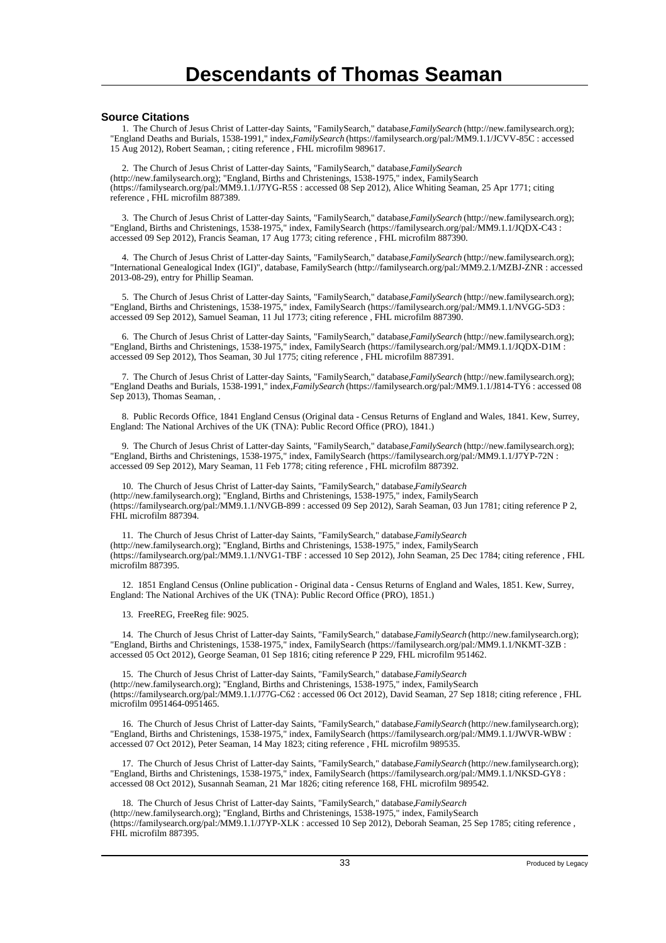#### **Source Citations**

 1. The Church of Jesus Christ of Latter-day Saints, "FamilySearch," database, *FamilySearch* (http://new.familysearch.org); "England Deaths and Burials, 1538-1991," index, *FamilySearch* (https://familysearch.org/pal:/MM9.1.1/JCVV-85C : accessed 15 Aug 2012), Robert Seaman, ; citing reference , FHL microfilm 989617.

 2. The Church of Jesus Christ of Latter-day Saints, "FamilySearch," database, *FamilySearch* (http://new.familysearch.org); "England, Births and Christenings, 1538-1975," index, FamilySearch (https://familysearch.org/pal:/MM9.1.1/J7YG-R5S : accessed 08 Sep 2012), Alice Whiting Seaman, 25 Apr 1771; citing reference , FHL microfilm 887389.

 3. The Church of Jesus Christ of Latter-day Saints, "FamilySearch," database, *FamilySearch* (http://new.familysearch.org); "England, Births and Christenings, 1538-1975," index, FamilySearch (https://familysearch.org/pal:/MM9.1.1/JQDX-C43 : accessed 09 Sep 2012), Francis Seaman, 17 Aug 1773; citing reference , FHL microfilm 887390.

 4. The Church of Jesus Christ of Latter-day Saints, "FamilySearch," database, *FamilySearch* (http://new.familysearch.org); "International Genealogical Index (IGI)", database, FamilySearch (http://familysearch.org/pal:/MM9.2.1/MZBJ-ZNR : accessed 2013-08-29), entry for Phillip Seaman.

 5. The Church of Jesus Christ of Latter-day Saints, "FamilySearch," database, *FamilySearch* (http://new.familysearch.org); "England, Births and Christenings, 1538-1975," index, FamilySearch (https://familysearch.org/pal:/MM9.1.1/NVGG-5D3 : accessed 09 Sep 2012), Samuel Seaman, 11 Jul 1773; citing reference , FHL microfilm 887390.

 6. The Church of Jesus Christ of Latter-day Saints, "FamilySearch," database, *FamilySearch* (http://new.familysearch.org); "England, Births and Christenings, 1538-1975," index, FamilySearch (https://familysearch.org/pal:/MM9.1.1/JQDX-D1M : accessed 09 Sep 2012), Thos Seaman, 30 Jul 1775; citing reference , FHL microfilm 887391.

 7. The Church of Jesus Christ of Latter-day Saints, "FamilySearch," database, *FamilySearch* (http://new.familysearch.org); "England Deaths and Burials, 1538-1991," index, *FamilySearch* (https://familysearch.org/pal:/MM9.1.1/J814-TY6 : accessed 08 Sep 2013), Thomas Seaman, .

 8. Public Records Office, 1841 England Census (Original data - Census Returns of England and Wales, 1841. Kew, Surrey, England: The National Archives of the UK (TNA): Public Record Office (PRO), 1841.)

 9. The Church of Jesus Christ of Latter-day Saints, "FamilySearch," database, *FamilySearch* (http://new.familysearch.org); "England, Births and Christenings, 1538-1975," index, FamilySearch (https://familysearch.org/pal:/MM9.1.1/J7YP-72N : accessed 09 Sep 2012), Mary Seaman, 11 Feb 1778; citing reference , FHL microfilm 887392.

10. The Church of Jesus Christ of Latter-day Saints, "FamilySearch," database, *FamilySearch* (http://new.familysearch.org); "England, Births and Christenings, 1538-1975," index, FamilySearch (https://familysearch.org/pal:/MM9.1.1/NVGB-899 : accessed 09 Sep 2012), Sarah Seaman, 03 Jun 1781; citing reference P 2, FHL microfilm 887394.

 11. The Church of Jesus Christ of Latter-day Saints, "FamilySearch," database, *FamilySearch* (http://new.familysearch.org); "England, Births and Christenings, 1538-1975," index, FamilySearch (https://familysearch.org/pal:/MM9.1.1/NVG1-TBF : accessed 10 Sep 2012), John Seaman, 25 Dec 1784; citing reference , FHL microfilm 887395.

 12. 1851 England Census (Online publication - Original data - Census Returns of England and Wales, 1851. Kew, Surrey, England: The National Archives of the UK (TNA): Public Record Office (PRO), 1851.)

13. FreeREG, FreeReg file: 9025.

 14. The Church of Jesus Christ of Latter-day Saints, "FamilySearch," database, *FamilySearch* (http://new.familysearch.org); "England, Births and Christenings, 1538-1975," index, FamilySearch (https://familysearch.org/pal:/MM9.1.1/NKMT-3ZB : accessed 05 Oct 2012), George Seaman, 01 Sep 1816; citing reference P 229, FHL microfilm 951462.

 15. The Church of Jesus Christ of Latter-day Saints, "FamilySearch," database, *FamilySearch* (http://new.familysearch.org); "England, Births and Christenings, 1538-1975," index, FamilySearch (https://familysearch.org/pal:/MM9.1.1/J77G-C62 : accessed 06 Oct 2012), David Seaman, 27 Sep 1818; citing reference , FHL microfilm 0951464-0951465.

 16. The Church of Jesus Christ of Latter-day Saints, "FamilySearch," database, *FamilySearch* (http://new.familysearch.org); "England, Births and Christenings, 1538-1975," index, FamilySearch (https://familysearch.org/pal:/MM9.1.1/JWVR-WBW : accessed 07 Oct 2012), Peter Seaman, 14 May 1823; citing reference , FHL microfilm 989535.

 17. The Church of Jesus Christ of Latter-day Saints, "FamilySearch," database, *FamilySearch* (http://new.familysearch.org); "England, Births and Christenings, 1538-1975," index, FamilySearch (https://familysearch.org/pal:/MM9.1.1/NKSD-GY8 : accessed 08 Oct 2012), Susannah Seaman, 21 Mar 1826; citing reference 168, FHL microfilm 989542.

18. The Church of Jesus Christ of Latter-day Saints, "FamilySearch," database, FamilySearch (http://new.familysearch.org); "England, Births and Christenings, 1538-1975," index, FamilySearch (https://familysearch.org/pal:/MM9.1.1/J7YP-XLK : accessed 10 Sep 2012), Deborah Seaman, 25 Sep 1785; citing reference , FHL microfilm 887395.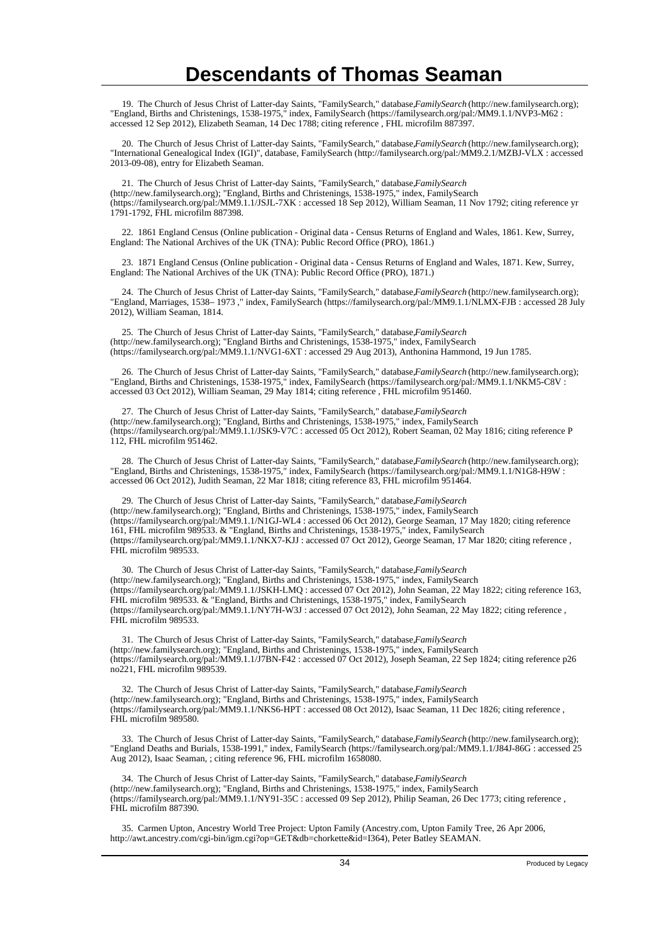19. The Church of Jesus Christ of Latter-day Saints, "FamilySearch," database, *FamilySearch* (http://new.familysearch.org); "England, Births and Christenings, 1538-1975," index, FamilySearch (https://familysearch.org/pal:/MM9.1.1/NVP3-M62 : accessed 12 Sep 2012), Elizabeth Seaman, 14 Dec 1788; citing reference , FHL microfilm 887397.

 20. The Church of Jesus Christ of Latter-day Saints, "FamilySearch," database, *FamilySearch* (http://new.familysearch.org); "International Genealogical Index (IGI)", database, FamilySearch (http://familysearch.org/pal:/MM9.2.1/MZBJ-VLX : accessed 2013-09-08), entry for Elizabeth Seaman.

 21. The Church of Jesus Christ of Latter-day Saints, "FamilySearch," database, *FamilySearch* (http://new.familysearch.org); "England, Births and Christenings, 1538-1975," index, FamilySearch (https://familysearch.org/pal:/MM9.1.1/JSJL-7XK : accessed 18 Sep 2012), William Seaman, 11 Nov 1792; citing reference yr 1791-1792, FHL microfilm 887398.

 22. 1861 England Census (Online publication - Original data - Census Returns of England and Wales, 1861. Kew, Surrey, England: The National Archives of the UK (TNA): Public Record Office (PRO), 1861.)

 23. 1871 England Census (Online publication - Original data - Census Returns of England and Wales, 1871. Kew, Surrey, England: The National Archives of the UK (TNA): Public Record Office (PRO), 1871.)

 24. The Church of Jesus Christ of Latter-day Saints, "FamilySearch," database, *FamilySearch* (http://new.familysearch.org); "England, Marriages, 1538– 1973 ," index, FamilySearch (https://familysearch.org/pal:/MM9.1.1/NLMX-FJB : accessed 28 July 2012), William Seaman, 1814.

25. The Church of Jesus Christ of Latter-day Saints, "FamilySearch," database, FamilySearch (http://new.familysearch.org); "England Births and Christenings, 1538-1975," index, FamilySearch (https://familysearch.org/pal:/MM9.1.1/NVG1-6XT : accessed 29 Aug 2013), Anthonina Hammond, 19 Jun 1785.

 26. The Church of Jesus Christ of Latter-day Saints, "FamilySearch," database, *FamilySearch* (http://new.familysearch.org); "England, Births and Christenings, 1538-1975," index, FamilySearch (https://familysearch.org/pal:/MM9.1.1/NKM5-C8V : accessed 03 Oct 2012), William Seaman, 29 May 1814; citing reference , FHL microfilm 951460.

 27. The Church of Jesus Christ of Latter-day Saints, "FamilySearch," database, *FamilySearch* (http://new.familysearch.org); "England, Births and Christenings, 1538-1975," index, FamilySearch (https://familysearch.org/pal:/MM9.1.1/JSK9-V7C : accessed 05 Oct 2012), Robert Seaman, 02 May 1816; citing reference P 112, FHL microfilm 951462.

 28. The Church of Jesus Christ of Latter-day Saints, "FamilySearch," database, *FamilySearch* (http://new.familysearch.org); "England, Births and Christenings, 1538-1975," index, FamilySearch (https://familysearch.org/pal:/MM9.1.1/N1G8-H9W : accessed 06 Oct 2012), Judith Seaman, 22 Mar 1818; citing reference 83, FHL microfilm 951464.

29. The Church of Jesus Christ of Latter-day Saints, "FamilySearch," database, FamilySearch (http://new.familysearch.org); "England, Births and Christenings, 1538-1975," index, FamilySearch (https://familysearch.org/pal:/MM9.1.1/N1GJ-WL4 : accessed 06 Oct 2012), George Seaman, 17 May 1820; citing reference 161, FHL microfilm 989533. & "England, Births and Christenings, 1538-1975," index, FamilySearch (https://familysearch.org/pal:/MM9.1.1/NKX7-KJJ : accessed 07 Oct 2012), George Seaman, 17 Mar 1820; citing reference , FHL microfilm 989533.

30. The Church of Jesus Christ of Latter-day Saints, "FamilySearch," database, *FamilySearch* (http://new.familysearch.org); "England, Births and Christenings, 1538-1975," index, FamilySearch (https://familysearch.org/pal:/MM9.1.1/JSKH-LMQ : accessed 07 Oct 2012), John Seaman, 22 May 1822; citing reference 163, FHL microfilm 989533. & "England, Births and Christenings, 1538-1975," index, FamilySearch (https://familysearch.org/pal:/MM9.1.1/NY7H-W3J : accessed 07 Oct 2012), John Seaman, 22 May 1822; citing reference , FHL microfilm 989533.

 31. The Church of Jesus Christ of Latter-day Saints, "FamilySearch," database, *FamilySearch* (http://new.familysearch.org); "England, Births and Christenings, 1538-1975," index, FamilySearch (https://familysearch.org/pal:/MM9.1.1/J7BN-F42 : accessed 07 Oct 2012), Joseph Seaman, 22 Sep 1824; citing reference p26 no221, FHL microfilm 989539.

 32. The Church of Jesus Christ of Latter-day Saints, "FamilySearch," database, *FamilySearch* (http://new.familysearch.org); "England, Births and Christenings, 1538-1975," index, FamilySearch (https://familysearch.org/pal:/MM9.1.1/NKS6-HPT : accessed 08 Oct 2012), Isaac Seaman, 11 Dec 1826; citing reference , FHL microfilm 989580.

 33. The Church of Jesus Christ of Latter-day Saints, "FamilySearch," database, *FamilySearch* (http://new.familysearch.org); "England Deaths and Burials, 1538-1991," index, FamilySearch (https://familysearch.org/pal:/MM9.1.1/J84J-86G : accessed 25 Aug 2012), Isaac Seaman, ; citing reference 96, FHL microfilm 1658080.

 34. The Church of Jesus Christ of Latter-day Saints, "FamilySearch," database, *FamilySearch* (http://new.familysearch.org); "England, Births and Christenings, 1538-1975," index, FamilySearch (https://familysearch.org/pal:/MM9.1.1/NY91-35C : accessed 09 Sep 2012), Philip Seaman, 26 Dec 1773; citing reference , FHL microfilm 887390.

 35. Carmen Upton, Ancestry World Tree Project: Upton Family (Ancestry.com, Upton Family Tree, 26 Apr 2006, http://awt.ancestry.com/cgi-bin/igm.cgi?op=GET&db=chorkette&id=I364), Peter Batley SEAMAN.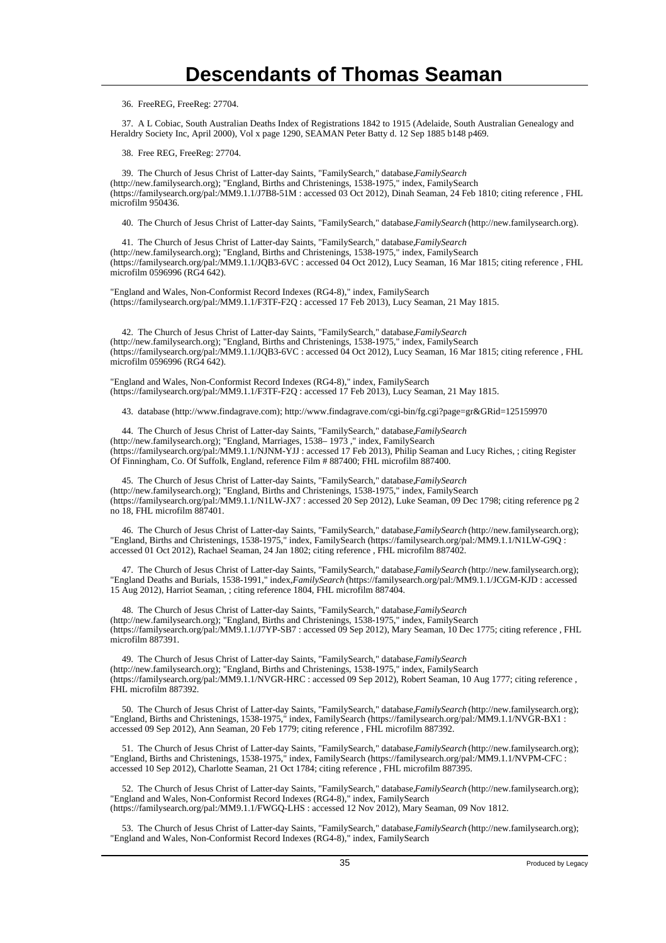36. FreeREG, FreeReg: 27704.

 37. A L Cobiac, South Australian Deaths Index of Registrations 1842 to 1915 (Adelaide, South Australian Genealogy and Heraldry Society Inc, April 2000), Vol x page 1290, SEAMAN Peter Batty d. 12 Sep 1885 b148 p469.

38. Free REG, FreeReg: 27704.

 39. The Church of Jesus Christ of Latter-day Saints, "FamilySearch," database, *FamilySearch* (http://new.familysearch.org); "England, Births and Christenings, 1538-1975," index, FamilySearch (https://familysearch.org/pal:/MM9.1.1/J7B8-51M : accessed 03 Oct 2012), Dinah Seaman, 24 Feb 1810; citing reference , FHL microfilm 950436.

40. The Church of Jesus Christ of Latter-day Saints, "FamilySearch," database, *FamilySearch* (http://new.familysearch.org).

41. The Church of Jesus Christ of Latter-day Saints, "FamilySearch," database, *FamilySearch* (http://new.familysearch.org); "England, Births and Christenings, 1538-1975," index, FamilySearch (https://familysearch.org/pal:/MM9.1.1/JQB3-6VC : accessed 04 Oct 2012), Lucy Seaman, 16 Mar 1815; citing reference , FHL microfilm 0596996 (RG4 642).

"England and Wales, Non-Conformist Record Indexes (RG4-8)," index, FamilySearch (https://familysearch.org/pal:/MM9.1.1/F3TF-F2Q : accessed 17 Feb 2013), Lucy Seaman, 21 May 1815.

 42. The Church of Jesus Christ of Latter-day Saints, "FamilySearch," database, *FamilySearch* (http://new.familysearch.org); "England, Births and Christenings, 1538-1975," index, FamilySearch (https://familysearch.org/pal:/MM9.1.1/JQB3-6VC : accessed 04 Oct 2012), Lucy Seaman, 16 Mar 1815; citing reference , FHL microfilm 0596996 (RG4 642).

"England and Wales, Non-Conformist Record Indexes (RG4-8)," index, FamilySearch (https://familysearch.org/pal:/MM9.1.1/F3TF-F2Q : accessed 17 Feb 2013), Lucy Seaman, 21 May 1815.

43. database (http://www.findagrave.com); http://www.findagrave.com/cgi-bin/fg.cgi?page=gr&GRid=125159970

 44. The Church of Jesus Christ of Latter-day Saints, "FamilySearch," database, *FamilySearch* (http://new.familysearch.org); "England, Marriages, 1538– 1973 ," index, FamilySearch (https://familysearch.org/pal:/MM9.1.1/NJNM-YJJ : accessed 17 Feb 2013), Philip Seaman and Lucy Riches, ; citing Register Of Finningham, Co. Of Suffolk, England, reference Film # 887400; FHL microfilm 887400.

 45. The Church of Jesus Christ of Latter-day Saints, "FamilySearch," database, *FamilySearch* (http://new.familysearch.org); "England, Births and Christenings, 1538-1975," index, FamilySearch (https://familysearch.org/pal:/MM9.1.1/N1LW-JX7 : accessed 20 Sep 2012), Luke Seaman, 09 Dec 1798; citing reference pg 2 no 18, FHL microfilm 887401.

 46. The Church of Jesus Christ of Latter-day Saints, "FamilySearch," database, *FamilySearch* (http://new.familysearch.org); "England, Births and Christenings, 1538-1975," index, FamilySearch (https://familysearch.org/pal:/MM9.1.1/N1LW-G9Q : accessed 01 Oct 2012), Rachael Seaman, 24 Jan 1802; citing reference , FHL microfilm 887402.

 47. The Church of Jesus Christ of Latter-day Saints, "FamilySearch," database, *FamilySearch* (http://new.familysearch.org); "England Deaths and Burials, 1538-1991," index, *FamilySearch* (https://familysearch.org/pal:/MM9.1.1/JCGM-KJD : accessed 15 Aug 2012), Harriot Seaman, ; citing reference 1804, FHL microfilm 887404.

 48. The Church of Jesus Christ of Latter-day Saints, "FamilySearch," database, *FamilySearch* (http://new.familysearch.org); "England, Births and Christenings, 1538-1975," index, FamilySearch (https://familysearch.org/pal:/MM9.1.1/J7YP-SB7 : accessed 09 Sep 2012), Mary Seaman, 10 Dec 1775; citing reference , FHL microfilm 887391.

49. The Church of Jesus Christ of Latter-day Saints, "FamilySearch," database, FamilySearch (http://new.familysearch.org); "England, Births and Christenings, 1538-1975," index, FamilySearch (https://familysearch.org/pal:/MM9.1.1/NVGR-HRC : accessed 09 Sep 2012), Robert Seaman, 10 Aug 1777; citing reference , FHL microfilm 887392.

50. The Church of Jesus Christ of Latter-day Saints, "FamilySearch," database, *FamilySearch* (http://new.familysearch.org); "England, Births and Christenings, 1538-1975," index, FamilySearch (https://familysearch.org/pal:/MM9.1.1/NVGR-BX1 : accessed 09 Sep 2012), Ann Seaman, 20 Feb 1779; citing reference , FHL microfilm 887392.

 51. The Church of Jesus Christ of Latter-day Saints, "FamilySearch," database, *FamilySearch* (http://new.familysearch.org); "England, Births and Christenings, 1538-1975," index, FamilySearch (https://familysearch.org/pal:/MM9.1.1/NVPM-CFC : accessed 10 Sep 2012), Charlotte Seaman, 21 Oct 1784; citing reference , FHL microfilm 887395.

 52. The Church of Jesus Christ of Latter-day Saints, "FamilySearch," database, *FamilySearch* (http://new.familysearch.org); "England and Wales, Non-Conformist Record Indexes (RG4-8)," index, FamilySearch (https://familysearch.org/pal:/MM9.1.1/FWGQ-LHS : accessed 12 Nov 2012), Mary Seaman, 09 Nov 1812.

 53. The Church of Jesus Christ of Latter-day Saints, "FamilySearch," database, *FamilySearch* (http://new.familysearch.org); "England and Wales, Non-Conformist Record Indexes (RG4-8)," index, FamilySearch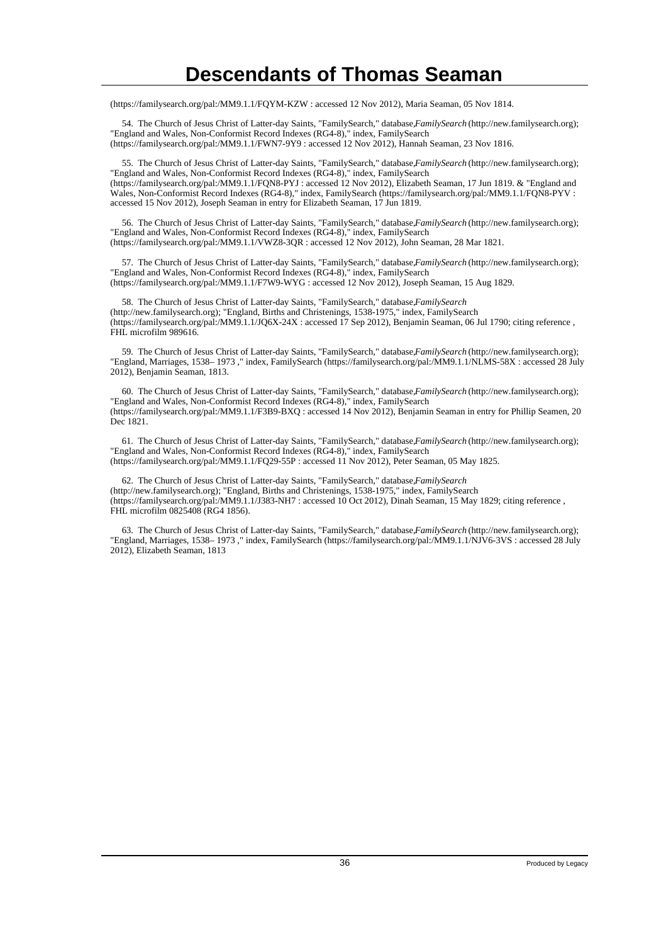(https://familysearch.org/pal:/MM9.1.1/FQYM-KZW : accessed 12 Nov 2012), Maria Seaman, 05 Nov 1814.

 54. The Church of Jesus Christ of Latter-day Saints, "FamilySearch," database, *FamilySearch* (http://new.familysearch.org); "England and Wales, Non-Conformist Record Indexes (RG4-8)," index, FamilySearch (https://familysearch.org/pal:/MM9.1.1/FWN7-9Y9 : accessed 12 Nov 2012), Hannah Seaman, 23 Nov 1816.

 55. The Church of Jesus Christ of Latter-day Saints, "FamilySearch," database, *FamilySearch* (http://new.familysearch.org); "England and Wales, Non-Conformist Record Indexes (RG4-8)," index, FamilySearch (https://familysearch.org/pal:/MM9.1.1/FQN8-PYJ : accessed 12 Nov 2012), Elizabeth Seaman, 17 Jun 1819. & "England and Wales, Non-Conformist Record Indexes (RG4-8)," index, FamilySearch (https://familysearch.org/pal:/MM9.1.1/FQN8-PYV : accessed 15 Nov 2012), Joseph Seaman in entry for Elizabeth Seaman, 17 Jun 1819.

 56. The Church of Jesus Christ of Latter-day Saints, "FamilySearch," database, *FamilySearch* (http://new.familysearch.org); "England and Wales, Non-Conformist Record Indexes (RG4-8)," index, FamilySearch (https://familysearch.org/pal:/MM9.1.1/VWZ8-3QR : accessed 12 Nov 2012), John Seaman, 28 Mar 1821.

 57. The Church of Jesus Christ of Latter-day Saints, "FamilySearch," database, *FamilySearch* (http://new.familysearch.org); "England and Wales, Non-Conformist Record Indexes (RG4-8)," index, FamilySearch (https://familysearch.org/pal:/MM9.1.1/F7W9-WYG : accessed 12 Nov 2012), Joseph Seaman, 15 Aug 1829.

 58. The Church of Jesus Christ of Latter-day Saints, "FamilySearch," database, *FamilySearch* (http://new.familysearch.org); "England, Births and Christenings, 1538-1975," index, FamilySearch (https://familysearch.org/pal:/MM9.1.1/JQ6X-24X : accessed 17 Sep 2012), Benjamin Seaman, 06 Jul 1790; citing reference , FHL microfilm 989616.

 59. The Church of Jesus Christ of Latter-day Saints, "FamilySearch," database, *FamilySearch* (http://new.familysearch.org); "England, Marriages, 1538– 1973 ," index, FamilySearch (https://familysearch.org/pal:/MM9.1.1/NLMS-58X : accessed 28 July 2012), Benjamin Seaman, 1813.

 60. The Church of Jesus Christ of Latter-day Saints, "FamilySearch," database, *FamilySearch* (http://new.familysearch.org); "England and Wales, Non-Conformist Record Indexes (RG4-8)," index, FamilySearch (https://familysearch.org/pal:/MM9.1.1/F3B9-BXQ : accessed 14 Nov 2012), Benjamin Seaman in entry for Phillip Seamen, 20 Dec 1821.

 61. The Church of Jesus Christ of Latter-day Saints, "FamilySearch," database, *FamilySearch* (http://new.familysearch.org); "England and Wales, Non-Conformist Record Indexes (RG4-8)," index, FamilySearch (https://familysearch.org/pal:/MM9.1.1/FQ29-55P : accessed 11 Nov 2012), Peter Seaman, 05 May 1825.

 62. The Church of Jesus Christ of Latter-day Saints, "FamilySearch," database, *FamilySearch* (http://new.familysearch.org); "England, Births and Christenings, 1538-1975," index, FamilySearch (https://familysearch.org/pal:/MM9.1.1/J383-NH7 : accessed 10 Oct 2012), Dinah Seaman, 15 May 1829; citing reference , FHL microfilm 0825408 (RG4 1856).

 63. The Church of Jesus Christ of Latter-day Saints, "FamilySearch," database, *FamilySearch* (http://new.familysearch.org); "England, Marriages, 1538– 1973 ," index, FamilySearch (https://familysearch.org/pal:/MM9.1.1/NJV6-3VS : accessed 28 July 2012), Elizabeth Seaman, 1813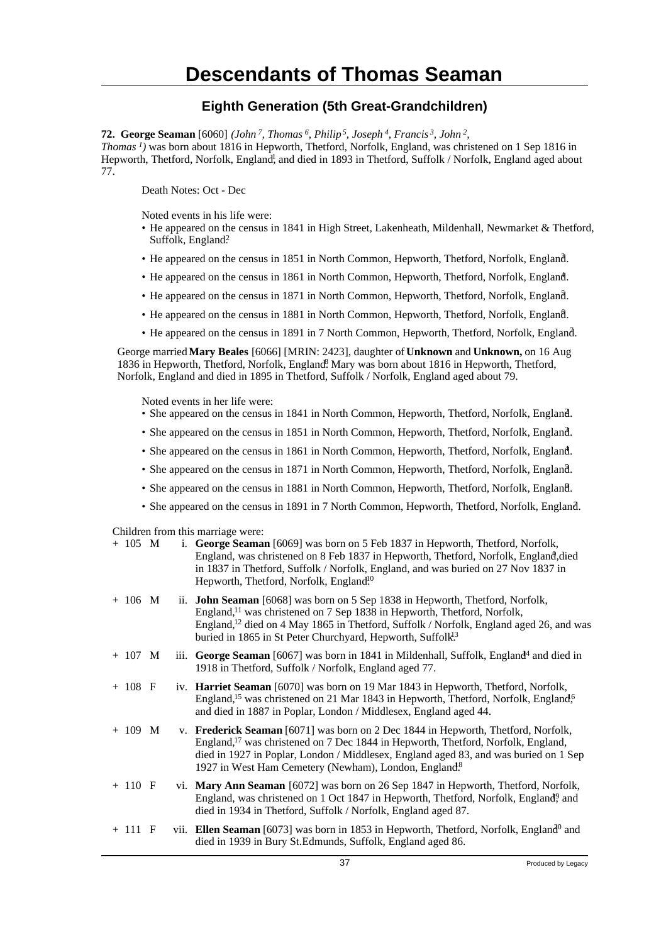### **Eighth Generation (5th Great-Grandchildren)**

**72. George Seaman** [6060] *(John<sup>7</sup>, Thomas<sup>6</sup>, Philip<sup>5</sup>, Joseph<sup>4</sup>, Francis<sup>3</sup>, John<sup>2</sup> , Thomas<sup>1</sup>)* was born about 1816 in Hepworth, Thetford, Norfolk, England, was christened on 1 Sep 1816 in Hepworth, Thetford, Norfolk, England<sup>1</sup>, and died in 1893 in Thetford, Suffolk / Norfolk, England aged about 77.

Death Notes: Oct - Dec

Noted events in his life were:

- He appeared on the census in 1841 in High Street, Lakenheath, Mildenhall, Newmarket & Thetford, Suffolk, England?
- He appeared on the census in 1851 in North Common, Hepworth, Thetford, Norfolk, England. <sup>3</sup>
- He appeared on the census in 1861 in North Common, Hepworth, Thetford, Norfolk, England.
- He appeared on the census in 1871 in North Common, Hepworth, Thetford, Norfolk, England. <sup>5</sup>
- He appeared on the census in 1881 in North Common, Hepworth, Thetford, Norfolk, England. <sup>6</sup>
- He appeared on the census in 1891 in 7 North Common, Hepworth, Thetford, Norfolk, England.

George married **Mary Beales** [6066] [MRIN: 2423], daughter of **Unknown** and **Unknown,** on 16 Aug 1836 in Hepworth, Thetford, Norfolk, England<sup>8</sup>. Mary was born about 1816 in Hepworth, Thetford, Norfolk, England and died in 1895 in Thetford, Suffolk / Norfolk, England aged about 79.

Noted events in her life were:

- She appeared on the census in 1841 in North Common, Hepworth, Thetford, Norfolk, England. <sup>2</sup>
- She appeared on the census in 1851 in North Common, Hepworth, Thetford, Norfolk, England.
- She appeared on the census in 1861 in North Common, Hepworth, Thetford, Norfolk, England.
- She appeared on the census in 1871 in North Common, Hepworth, Thetford, Norfolk, England.
- She appeared on the census in 1881 in North Common, Hepworth, Thetford, Norfolk, England. <sup>6</sup>
- She appeared on the census in 1891 in 7 North Common, Hepworth, Thetford, Norfolk, England.

Children from this marriage were:

| $+ 105$ M |  | i. George Seaman [6069] was born on 5 Feb 1837 in Hepworth, Thetford, Norfolk,<br>England, was christened on 8 Feb 1837 in Hepworth, Thetford, Norfolk, England, died<br>in 1837 in Thetford, Suffolk / Norfolk, England, and was buried on 27 Nov 1837 in<br>Hepworth, Thetford, Norfolk, England <sup>10</sup>                                      |
|-----------|--|-------------------------------------------------------------------------------------------------------------------------------------------------------------------------------------------------------------------------------------------------------------------------------------------------------------------------------------------------------|
| $+ 106$ M |  | ii. <b>John Seaman</b> [6068] was born on 5 Sep 1838 in Hepworth, Thetford, Norfolk,<br>England, <sup>11</sup> was christened on 7 Sep 1838 in Hepworth, Thetford, Norfolk,<br>England, $^{12}$ died on 4 May 1865 in Thetford, Suffolk / Norfolk, England aged 26, and was<br>buried in 1865 in St Peter Churchyard, Hepworth, Suffolk <sup>13</sup> |
| $+ 107$ M |  | iii. George Seaman [6067] was born in 1841 in Mildenhall, Suffolk, England <sup>4</sup> and died in<br>1918 in Thetford, Suffolk / Norfolk, England aged 77.                                                                                                                                                                                          |
| $+ 108 F$ |  | iv. Harriet Seaman [6070] was born on 19 Mar 1843 in Hepworth, Thetford, Norfolk,<br>England, <sup>15</sup> was christened on 21 Mar 1843 in Hepworth, Thetford, Norfolk, England, <sup>6</sup><br>and died in 1887 in Poplar, London / Middlesex, England aged 44.                                                                                   |
| $+ 109$ M |  | v. Frederick Seaman [6071] was born on 2 Dec 1844 in Hepworth, Thetford, Norfolk,<br>England, <sup>17</sup> was christened on 7 Dec 1844 in Hepworth, Thetford, Norfolk, England,<br>died in 1927 in Poplar, London / Middlesex, England aged 83, and was buried on 1 Sep<br>1927 in West Ham Cemetery (Newham), London, England <sup>8</sup>         |
| $+ 110 F$ |  | vi. Mary Ann Seaman [6072] was born on 26 Sep 1847 in Hepworth, Thetford, Norfolk,<br>England, was christened on 1 Oct 1847 in Hepworth, Thetford, Norfolk, England, and<br>died in 1934 in Thetford, Suffolk / Norfolk, England aged 87.                                                                                                             |
| $+111$ F  |  | vii. Ellen Seaman [6073] was born in 1853 in Hepworth, Thetford, Norfolk, England <sup>0</sup> and<br>died in 1939 in Bury St. Edmunds, Suffolk, England aged 86.                                                                                                                                                                                     |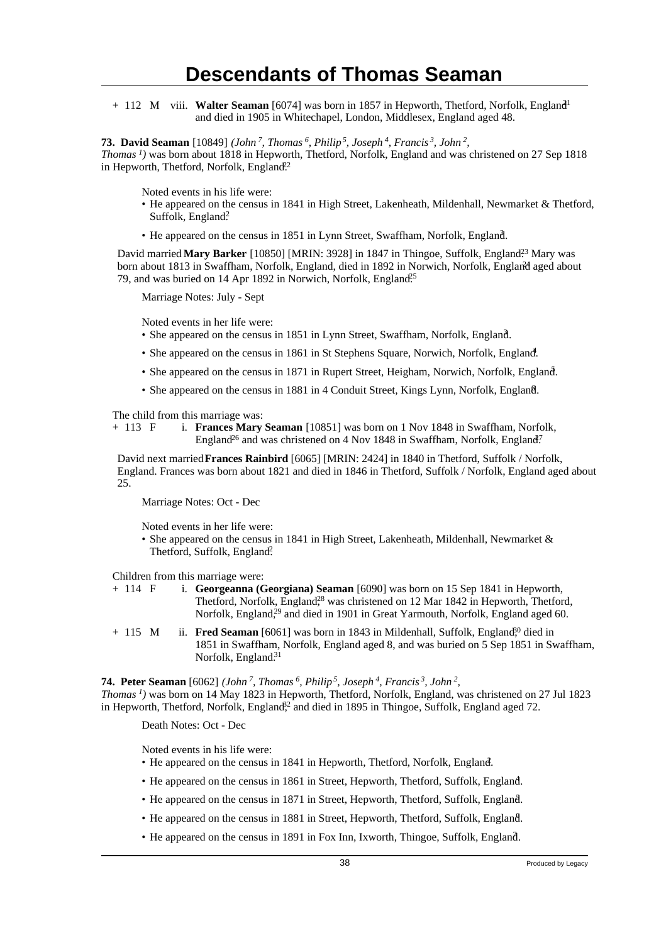+ 112 M viii. **Walter Seaman** [6074] was born in 1857 in Hepworth, Thetford, Norfolk, England<sup>1</sup> and died in 1905 in Whitechapel, London, Middlesex, England aged 48.

**73. David Seaman** [10849] *(John<sup>7</sup>, Thomas<sup>6</sup>, Philip<sup>5</sup>, Joseph<sup>4</sup>, Francis<sup>3</sup>, John<sup>2</sup> ,*

*Thomas<sup>1</sup>)* was born about 1818 in Hepworth, Thetford, Norfolk, England and was christened on 27 Sep 1818 in Hepworth, Thetford, Norfolk, England.<sup>22</sup>

Noted events in his life were:

- He appeared on the census in 1841 in High Street, Lakenheath, Mildenhall, Newmarket & Thetford, Suffolk, England?
- He appeared on the census in 1851 in Lynn Street, Swaffham, Norfolk, England.

David married Mary Barker [10850] [MRIN: 3928] in 1847 in Thingoe, Suffolk, England<sup>23</sup> Mary was born about 1813 in Swaffham, Norfolk, England, died in 1892 in Norwich, Norfolk, England aged about 79, and was buried on 14 Apr 1892 in Norwich, Norfolk, England<sup>25</sup>

Marriage Notes: July - Sept

Noted events in her life were:

- She appeared on the census in 1851 in Lynn Street, Swaffham, Norfolk, England.
- She appeared on the census in 1861 in St Stephens Square, Norwich, Norfolk, England.
- She appeared on the census in 1871 in Rupert Street, Heigham, Norwich, Norfolk, England.
- She appeared on the census in 1881 in 4 Conduit Street, Kings Lynn, Norfolk, England.

The child from this marriage was:<br>+ 113  $\overline{F}$  i. **Frances Marv** 

i. **Frances Mary Seaman** [10851] was born on 1 Nov 1848 in Swaffham, Norfolk, England<sup>26</sup> and was christened on 4 Nov 1848 in Swaffham, Norfolk, England<sup>7</sup>.

David next married **Frances Rainbird** [6065] [MRIN: 2424] in 1840 in Thetford, Suffolk / Norfolk, England. Frances was born about 1821 and died in 1846 in Thetford, Suffolk / Norfolk, England aged about 25.

Marriage Notes: Oct - Dec

Noted events in her life were:

• She appeared on the census in 1841 in High Street, Lakenheath, Mildenhall, Newmarket & Thetford, Suffolk, England?

Children from this marriage were:<br>+ 114  $\overline{F}$  i. **Georgeanna** (**G** 

i. **Georgeanna (Georgiana) Seaman** [6090] was born on 15 Sep 1841 in Hepworth, Thetford, Norfolk, England<sup>28</sup> was christened on 12 Mar 1842 in Hepworth, Thetford, Norfolk, England,<sup>29</sup> and died in 1901 in Great Yarmouth, Norfolk, England aged 60.

+ 115 M ii. **Fred Seaman** [6061] was born in 1843 in Mildenhall, Suffolk, England<sup>30</sup> died in 1851 in Swaffham, Norfolk, England aged 8, and was buried on 5 Sep 1851 in Swaffham, Norfolk, England.<sup>31</sup>

**74. Peter Seaman** [6062] *(John<sup>7</sup>, Thomas<sup>6</sup>, Philip<sup>5</sup>, Joseph<sup>4</sup>, Francis<sup>3</sup>, John<sup>2</sup> , Thomas<sup>1</sup>)* was born on 14 May 1823 in Hepworth, Thetford, Norfolk, England, was christened on 27 Jul 1823 in Hepworth, Thetford, Norfolk, England<sup>22</sup> and died in 1895 in Thingoe, Suffolk, England aged 72.

Death Notes: Oct - Dec

Noted events in his life were:

- He appeared on the census in 1841 in Hepworth, Thetford, Norfolk, England.
- He appeared on the census in 1861 in Street, Hepworth, Thetford, Suffolk, England.
- He appeared on the census in 1871 in Street, Hepworth, Thetford, Suffolk, England.
- He appeared on the census in 1881 in Street, Hepworth, Thetford, Suffolk, England.
- He appeared on the census in 1891 in Fox Inn, Ixworth, Thingoe, Suffolk, England. <sup>7</sup>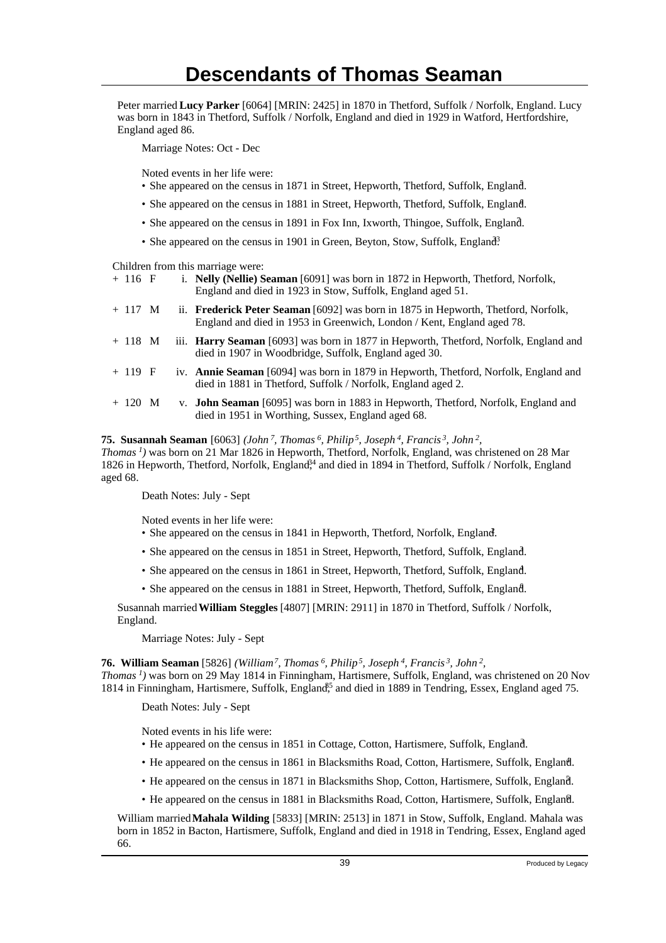Peter married **Lucy Parker** [6064] [MRIN: 2425] in 1870 in Thetford, Suffolk / Norfolk, England. Lucy was born in 1843 in Thetford, Suffolk / Norfolk, England and died in 1929 in Watford, Hertfordshire, England aged 86.

Marriage Notes: Oct - Dec

Noted events in her life were:

- She appeared on the census in 1871 in Street, Hepworth, Thetford, Suffolk, England.
- She appeared on the census in 1881 in Street, Hepworth, Thetford, Suffolk, England.
- She appeared on the census in 1891 in Fox Inn, Ixworth, Thingoe, Suffolk, England.
- She appeared on the census in 1901 in Green, Beyton, Stow, Suffolk, England<sup>3</sup>.

Children from this marriage were:

| $+116$ F | i. Nelly (Nellie) Seaman [6091] was born in 1872 in Hepworth, Thetford, Norfolk,<br>England and died in 1923 in Stow, Suffolk, England aged 51.                     |
|----------|---------------------------------------------------------------------------------------------------------------------------------------------------------------------|
| $+117$ M | ii. <b>Frederick Peter Seaman</b> [6092] was born in 1875 in Hepworth, Thetford, Norfolk,<br>England and died in 1953 in Greenwich, London / Kent, England aged 78. |

- + 118 M iii. **Harry Seaman** [6093] was born in 1877 in Hepworth, Thetford, Norfolk, England and died in 1907 in Woodbridge, Suffolk, England aged 30.
- + 119 F iv. **Annie Seaman** [6094] was born in 1879 in Hepworth, Thetford, Norfolk, England and died in 1881 in Thetford, Suffolk / Norfolk, England aged 2.
- + 120 M v. **John Seaman** [6095] was born in 1883 in Hepworth, Thetford, Norfolk, England and died in 1951 in Worthing, Sussex, England aged 68.

#### **75. Susannah Seaman** [6063] *(John<sup>7</sup>, Thomas<sup>6</sup>, Philip<sup>5</sup>, Joseph<sup>4</sup>, Francis<sup>3</sup>, John<sup>2</sup> ,*

*Thomas<sup>1</sup>)* was born on 21 Mar 1826 in Hepworth, Thetford, Norfolk, England, was christened on 28 Mar 1826 in Hepworth, Thetford, Norfolk, England<sup>34</sup> and died in 1894 in Thetford, Suffolk / Norfolk, England aged 68.

Death Notes: July - Sept

Noted events in her life were:

- She appeared on the census in 1841 in Hepworth, Thetford, Norfolk, England.
- She appeared on the census in 1851 in Street, Hepworth, Thetford, Suffolk, England. <sup>3</sup>
- She appeared on the census in 1861 in Street, Hepworth, Thetford, Suffolk, England. <sup>4</sup>
- She appeared on the census in 1881 in Street, Hepworth, Thetford, Suffolk, England.

Susannah married **William Steggles** [4807] [MRIN: 2911] in 1870 in Thetford, Suffolk / Norfolk, England.

Marriage Notes: July - Sept

**76. William Seaman** [5826] *(William<sup>7</sup>, Thomas<sup>6</sup>, Philip<sup>5</sup>, Joseph<sup>4</sup>, Francis<sup>3</sup>, John<sup>2</sup> ,*

*Thomas<sup>1</sup>)* was born on 29 May 1814 in Finningham, Hartismere, Suffolk, England, was christened on 20 Nov 1814 in Finningham, Hartismere, Suffolk, England<sup>55</sup> and died in 1889 in Tendring, Essex, England aged 75.

Death Notes: July - Sept

Noted events in his life were:

- He appeared on the census in 1851 in Cottage, Cotton, Hartismere, Suffolk, England. <sup>3</sup>
- He appeared on the census in 1861 in Blacksmiths Road, Cotton, Hartismere, Suffolk, England. <sup>4</sup>
- He appeared on the census in 1871 in Blacksmiths Shop, Cotton, Hartismere, Suffolk, England.
- He appeared on the census in 1881 in Blacksmiths Road, Cotton, Hartismere, Suffolk, England. <sup>6</sup>

William married **Mahala Wilding** [5833] [MRIN: 2513] in 1871 in Stow, Suffolk, England. Mahala was born in 1852 in Bacton, Hartismere, Suffolk, England and died in 1918 in Tendring, Essex, England aged 66.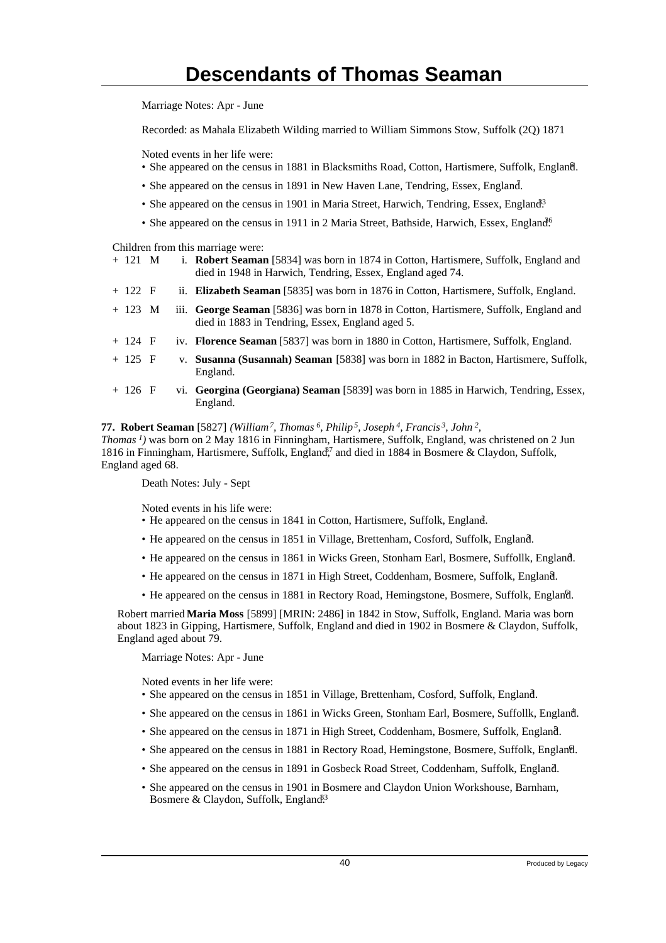Marriage Notes: Apr - June

Recorded: as Mahala Elizabeth Wilding married to William Simmons Stow, Suffolk (2Q) 1871

Noted events in her life were:

- She appeared on the census in 1881 in Blacksmiths Road, Cotton, Hartismere, Suffolk, England. <sup>6</sup>
- She appeared on the census in 1891 in New Haven Lane, Tendring, Essex, England.
- She appeared on the census in 1901 in Maria Street, Harwich, Tendring, Essex, England<sup>3</sup>
- She appeared on the census in 1911 in 2 Maria Street, Bathside, Harwich, Essex, England<sup>6</sup>.

Children from this marriage were:

|                                                                                                    | i. Robert Seaman [5834] was born in 1874 in Cotton, Hartismere, Suffolk, England and |
|----------------------------------------------------------------------------------------------------|--------------------------------------------------------------------------------------|
| ii. Elizabeth Seaman [5835] was born in 1876 in Cotton, Hartismere, Suffolk, England.<br>$+ 122 F$ |                                                                                      |

- + 123 M iii. **George Seaman** [5836] was born in 1878 in Cotton, Hartismere, Suffolk, England and died in 1883 in Tendring, Essex, England aged 5.
- + 124 F iv. **Florence Seaman** [5837] was born in 1880 in Cotton, Hartismere, Suffolk, England.
- + 125 F v. **Susanna (Susannah) Seaman** [5838] was born in 1882 in Bacton, Hartismere, Suffolk, England.
- + 126 F vi. **Georgina (Georgiana) Seaman** [5839] was born in 1885 in Harwich, Tendring, Essex, England.

### **77. Robert Seaman** [5827] *(William<sup>7</sup>, Thomas<sup>6</sup>, Philip<sup>5</sup>, Joseph<sup>4</sup>, Francis<sup>3</sup>, John<sup>2</sup> ,*

*Thomas<sup>1</sup>)* was born on 2 May 1816 in Finningham, Hartismere, Suffolk, England, was christened on 2 Jun 1816 in Finningham, Hartismere, Suffolk, England<sup> $\tilde{\beta}$ </sup> and died in 1884 in Bosmere & Claydon, Suffolk, England aged 68.

Death Notes: July - Sept

Noted events in his life were:

- He appeared on the census in 1841 in Cotton, Hartismere, Suffolk, England.
- He appeared on the census in 1851 in Village, Brettenham, Cosford, Suffolk, England.
- He appeared on the census in 1861 in Wicks Green, Stonham Earl, Bosmere, Suffollk, England. <sup>4</sup>
- He appeared on the census in 1871 in High Street, Coddenham, Bosmere, Suffolk, England.
- He appeared on the census in 1881 in Rectory Road, Hemingstone, Bosmere, Suffolk, England.

Robert married **Maria Moss** [5899] [MRIN: 2486] in 1842 in Stow, Suffolk, England. Maria was born about 1823 in Gipping, Hartismere, Suffolk, England and died in 1902 in Bosmere & Claydon, Suffolk, England aged about 79.

Marriage Notes: Apr - June

Noted events in her life were:

- She appeared on the census in 1851 in Village, Brettenham, Cosford, Suffolk, England.
- She appeared on the census in 1861 in Wicks Green, Stonham Earl, Bosmere, Suffollk, England.
- She appeared on the census in 1871 in High Street, Coddenham, Bosmere, Suffolk, England.
- She appeared on the census in 1881 in Rectory Road, Hemingstone, Bosmere, Suffolk, England. <sup>6</sup>
- She appeared on the census in 1891 in Gosbeck Road Street, Coddenham, Suffolk, England. <sup>7</sup>
- She appeared on the census in 1901 in Bosmere and Claydon Union Workshouse, Barnham, Bosmere & Claydon, Suffolk, England<sup>33</sup>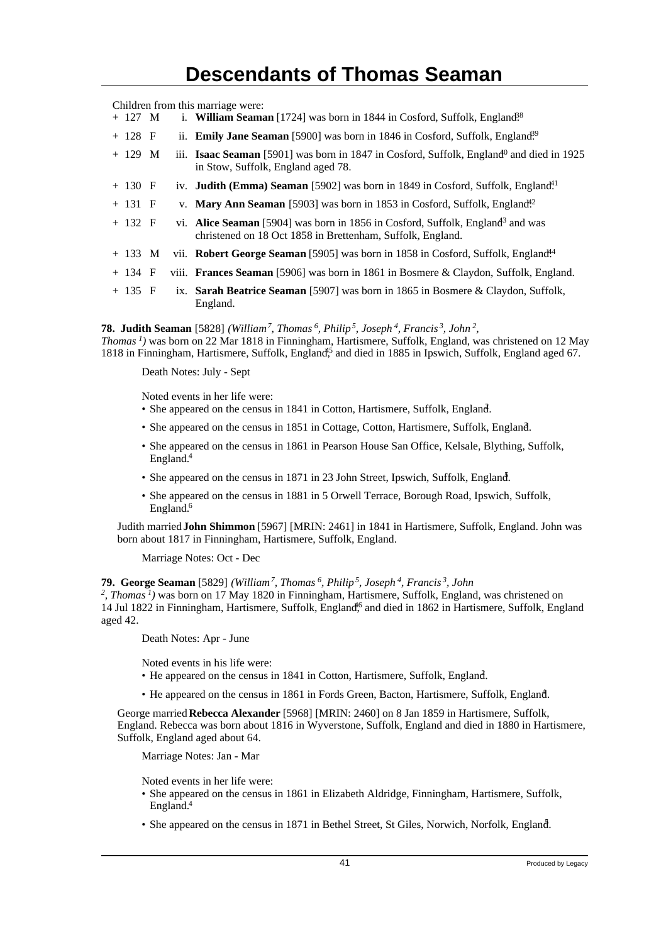Children from this marriage were:

- + 127 M i. **William Seaman** [1724] was born in 1844 in Cosford, Suffolk, England<sup>38</sup>
- + 128 F ii. **Emily Jane Seaman** [5900] was born in 1846 in Cosford, Suffolk, England<sup>39</sup>
- + 129 M iii. **Isaac Seaman** [5901] was born in 1847 in Cosford, Suffolk, England<sup>0</sup> and died in 1925 in Stow, Suffolk, England aged 78.
- + 130 F iv. **Judith (Emma) Seaman** [5902] was born in 1849 in Cosford, Suffolk, England<sup>41</sup>
- + 131 F v. **Mary Ann Seaman** [5903] was born in 1853 in Cosford, Suffolk, England<sup>42</sup>
- + 132 F vi. **Alice Seaman** [5904] was born in 1856 in Cosford, Suffolk, England<sup>3</sup> and was christened on 18 Oct 1858 in Brettenham, Suffolk, England.
- + 133 M vii. **Robert George Seaman** [5905] was born in 1858 in Cosford, Suffolk, England<sup>44</sup>
- + 134 F viii. **Frances Seaman** [5906] was born in 1861 in Bosmere & Claydon, Suffolk, England.
- + 135 F ix. **Sarah Beatrice Seaman** [5907] was born in 1865 in Bosmere & Claydon, Suffolk, England.

**78. Judith Seaman** [5828] *(William<sup>7</sup>, Thomas<sup>6</sup>, Philip<sup>5</sup>, Joseph<sup>4</sup>, Francis<sup>3</sup>, John<sup>2</sup> ,*

*Thomas<sup>1</sup>)* was born on 22 Mar 1818 in Finningham, Hartismere, Suffolk, England, was christened on 12 May 1818 in Finningham, Hartismere, Suffolk, England<sup>45</sup> and died in 1885 in Ipswich, Suffolk, England aged 67.

Death Notes: July - Sept

Noted events in her life were:

- She appeared on the census in 1841 in Cotton, Hartismere, Suffolk, England.
- She appeared on the census in 1851 in Cottage, Cotton, Hartismere, Suffolk, England.
- She appeared on the census in 1861 in Pearson House San Office, Kelsale, Blything, Suffolk, England.<sup>4</sup>
- She appeared on the census in 1871 in 23 John Street, Ipswich, Suffolk, England.
- She appeared on the census in 1881 in 5 Orwell Terrace, Borough Road, Ipswich, Suffolk, England.<sup>6</sup>

Judith married **John Shimmon** [5967] [MRIN: 2461] in 1841 in Hartismere, Suffolk, England. John was born about 1817 in Finningham, Hartismere, Suffolk, England.

Marriage Notes: Oct - Dec

#### **79. George Seaman** [5829] *(William<sup>7</sup>, Thomas<sup>6</sup>, Philip<sup>5</sup>, Joseph<sup>4</sup>, Francis<sup>3</sup>, John*

<sup>2</sup>, Thomas<sup>1</sup>) was born on 17 May 1820 in Finningham, Hartismere, Suffolk, England, was christened on 14 Jul 1822 in Finningham, Hartismere, Suffolk, England<sup>66</sup> and died in 1862 in Hartismere, Suffolk, England aged 42.

Death Notes: Apr - June

Noted events in his life were:

- He appeared on the census in 1841 in Cotton, Hartismere, Suffolk, England.
- He appeared on the census in 1861 in Fords Green, Bacton, Hartismere, Suffolk, England.

George married **Rebecca Alexander** [5968] [MRIN: 2460] on 8 Jan 1859 in Hartismere, Suffolk, England. Rebecca was born about 1816 in Wyverstone, Suffolk, England and died in 1880 in Hartismere, Suffolk, England aged about 64.

Marriage Notes: Jan - Mar

Noted events in her life were:

- She appeared on the census in 1861 in Elizabeth Aldridge, Finningham, Hartismere, Suffolk, England.<sup>4</sup>
- She appeared on the census in 1871 in Bethel Street, St Giles, Norwich, Norfolk, England.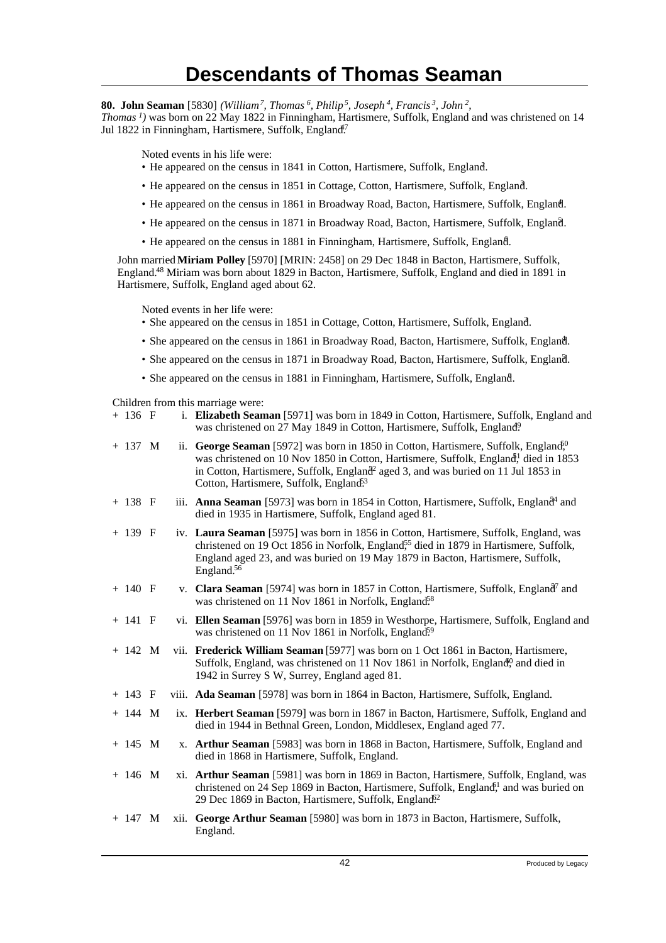**80. John Seaman** [5830] *(William<sup>7</sup>, Thomas<sup>6</sup>, Philip<sup>5</sup>, Joseph<sup>4</sup>, Francis<sup>3</sup>, John<sup>2</sup> ,*

*Thomas<sup>1</sup>)* was born on 22 May 1822 in Finningham, Hartismere, Suffolk, England and was christened on 14 Jul 1822 in Finningham, Hartismere, Suffolk, England<sup>17</sup>

Noted events in his life were:

- He appeared on the census in 1841 in Cotton, Hartismere, Suffolk, England.
- He appeared on the census in 1851 in Cottage, Cotton, Hartismere, Suffolk, England. <sup>3</sup>
- He appeared on the census in 1861 in Broadway Road, Bacton, Hartismere, Suffolk, England. <sup>4</sup>
- He appeared on the census in 1871 in Broadway Road, Bacton, Hartismere, Suffolk, England. <sup>5</sup>
- He appeared on the census in 1881 in Finningham, Hartismere, Suffolk, England.

John married **Miriam Polley** [5970] [MRIN: 2458] on 29 Dec 1848 in Bacton, Hartismere, Suffolk, England.<sup>48</sup> Miriam was born about 1829 in Bacton, Hartismere, Suffolk, England and died in 1891 in Hartismere, Suffolk, England aged about 62.

Noted events in her life were:

- She appeared on the census in 1851 in Cottage, Cotton, Hartismere, Suffolk, England. <sup>3</sup>
- She appeared on the census in 1861 in Broadway Road, Bacton, Hartismere, Suffolk, England. <sup>4</sup>
- She appeared on the census in 1871 in Broadway Road, Bacton, Hartismere, Suffolk, England. <sup>5</sup>
- She appeared on the census in 1881 in Finningham, Hartismere, Suffolk, England. <sup>6</sup>

Children from this marriage were:

| + 136 F |  | i. Elizabeth Seaman [5971] was born in 1849 in Cotton, Hartismere, Suffolk, England and |
|---------|--|-----------------------------------------------------------------------------------------|
|         |  | was christened on 27 May 1849 in Cotton, Hartismere, Suffolk, England?                  |

| $+ 137$ M |      | ii. George Seaman [5972] was born in 1850 in Cotton, Hartismere, Suffolk, England <sup>fo</sup><br>was christened on 10 Nov 1850 in Cotton, Hartismere, Suffolk, England, died in 1853<br>in Cotton, Hartismere, Suffolk, England <sup>2</sup> aged 3, and was buried on 11 Jul 1853 in<br>Cotton, Hartismere, Suffolk, England <sup>53</sup> |
|-----------|------|-----------------------------------------------------------------------------------------------------------------------------------------------------------------------------------------------------------------------------------------------------------------------------------------------------------------------------------------------|
| $+ 138 F$ |      | iii. <b>Anna Seaman</b> [5973] was born in 1854 in Cotton, Hartismere, Suffolk, England <sup>4</sup> and<br>died in 1935 in Hartismere, Suffolk, England aged 81.                                                                                                                                                                             |
| $+ 139 F$ |      | iv. Laura Seaman [5975] was born in 1856 in Cotton, Hartismere, Suffolk, England, was<br>christened on 19 Oct 1856 in Norfolk, England <sup>55</sup> died in 1879 in Hartismere, Suffolk,<br>England aged 23, and was buried on 19 May 1879 in Bacton, Hartismere, Suffolk,<br>England. <sup>56</sup>                                         |
| $+ 140 F$ |      | v. Clara Seaman [5974] was born in 1857 in Cotton, Hartismere, Suffolk, England <sup>7</sup> and<br>was christened on 11 Nov 1861 in Norfolk, England <sup>58</sup>                                                                                                                                                                           |
| $+ 141 F$ |      | vi. Ellen Seaman [5976] was born in 1859 in Westhorpe, Hartismere, Suffolk, England and<br>was christened on 11 Nov 1861 in Norfolk, England <sup>59</sup>                                                                                                                                                                                    |
| $+ 142 M$ |      | vii. Frederick William Seaman [5977] was born on 1 Oct 1861 in Bacton, Hartismere,<br>Suffolk, England, was christened on 11 Nov 1861 in Norfolk, England <sup>0</sup> and died in<br>1942 in Surrey S W, Surrey, England aged 81.                                                                                                            |
| $+ 143 F$ |      | viii. Ada Seaman [5978] was born in 1864 in Bacton, Hartismere, Suffolk, England.                                                                                                                                                                                                                                                             |
| $+ 144 M$ |      | ix. Herbert Seaman [5979] was born in 1867 in Bacton, Hartismere, Suffolk, England and<br>died in 1944 in Bethnal Green, London, Middlesex, England aged 77.                                                                                                                                                                                  |
| $+ 145 M$ |      | x. Arthur Seaman [5983] was born in 1868 in Bacton, Hartismere, Suffolk, England and<br>died in 1868 in Hartismere, Suffolk, England.                                                                                                                                                                                                         |
| $+ 146$ M |      | xi. Arthur Seaman [5981] was born in 1869 in Bacton, Hartismere, Suffolk, England, was<br>christened on 24 Sep 1869 in Bacton, Hartismere, Suffolk, England <sup>51</sup> and was buried on<br>29 Dec 1869 in Bacton, Hartismere, Suffolk, England <sup>62</sup>                                                                              |
| $+ 147$ M | xii. | George Arthur Seaman [5980] was born in 1873 in Bacton, Hartismere, Suffolk,<br>England.                                                                                                                                                                                                                                                      |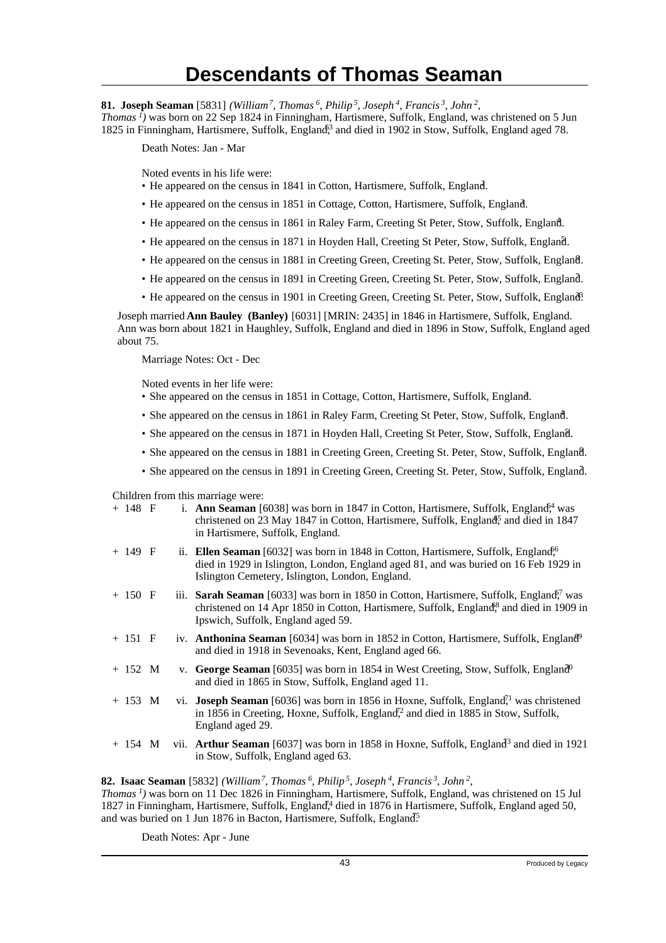**81. Joseph Seaman** [5831] *(William<sup>7</sup>, Thomas<sup>6</sup>, Philip<sup>5</sup>, Joseph<sup>4</sup>, Francis<sup>3</sup>, John<sup>2</sup> ,*

*Thomas<sup>1</sup>)* was born on 22 Sep 1824 in Finningham, Hartismere, Suffolk, England, was christened on 5 Jun 1825 in Finningham, Hartismere, Suffolk, England<sup>53</sup> and died in 1902 in Stow, Suffolk, England aged 78.

Death Notes: Jan - Mar

Noted events in his life were:

- He appeared on the census in 1841 in Cotton, Hartismere, Suffolk, England.
- He appeared on the census in 1851 in Cottage, Cotton, Hartismere, Suffolk, England. <sup>3</sup>
- He appeared on the census in 1861 in Raley Farm, Creeting St Peter, Stow, Suffolk, England. <sup>4</sup>
- He appeared on the census in 1871 in Hoyden Hall, Creeting St Peter, Stow, Suffolk, England.
- He appeared on the census in 1881 in Creeting Green, Creeting St. Peter, Stow, Suffolk, England. <sup>6</sup>
- He appeared on the census in 1891 in Creeting Green, Creeting St. Peter, Stow, Suffolk, England. <sup>7</sup>
- He appeared on the census in 1901 in Creeting Green, Creeting St. Peter, Stow, Suffolk, England?

Joseph married **Ann Bauley (Banley)** [6031] [MRIN: 2435] in 1846 in Hartismere, Suffolk, England. Ann was born about 1821 in Haughley, Suffolk, England and died in 1896 in Stow, Suffolk, England aged about 75.

Marriage Notes: Oct - Dec

Noted events in her life were:

- She appeared on the census in 1851 in Cottage, Cotton, Hartismere, Suffolk, England. <sup>3</sup>
- She appeared on the census in 1861 in Raley Farm, Creeting St Peter, Stow, Suffolk, England.
- She appeared on the census in 1871 in Hoyden Hall, Creeting St Peter, Stow, Suffolk, England.
- She appeared on the census in 1881 in Creeting Green, Creeting St. Peter, Stow, Suffolk, England.
- She appeared on the census in 1891 in Creeting Green, Creeting St. Peter, Stow, Suffolk, England.

Children from this marriage were:

| $+ 148 F$    |  | i. <b>Ann Seaman</b> [6038] was born in 1847 in Cotton, Hartismere, Suffolk, England <sup>4</sup> was<br>christened on 23 May 1847 in Cotton, Hartismere, Suffolk, England <sup>5</sup> , and died in 1847<br>in Hartismere, Suffolk, England.          |
|--------------|--|---------------------------------------------------------------------------------------------------------------------------------------------------------------------------------------------------------------------------------------------------------|
| $+ 149 F$    |  | ii. Ellen Seaman [6032] was born in 1848 in Cotton, Hartismere, Suffolk, England <sup>6</sup><br>died in 1929 in Islington, London, England aged 81, and was buried on 16 Feb 1929 in<br>Islington Cemetery, Islington, London, England.                |
| $+ 150 F$    |  | iii. <b>Sarah Seaman</b> [6033] was born in 1850 in Cotton, Hartismere, Suffolk, England <sup>o</sup> , was<br>christened on 14 Apr 1850 in Cotton, Hartismere, Suffolk, England <sup>8</sup> and died in 1909 in<br>Ipswich, Suffolk, England aged 59. |
| $+ 151 F$    |  | iv. <b>Anthonina Seaman</b> [6034] was born in 1852 in Cotton, Hartismere, Suffolk, England <sup>9</sup><br>and died in 1918 in Sevenoaks, Kent, England aged 66.                                                                                       |
| $+ 152 M$    |  | v. George Seaman [6035] was born in 1854 in West Creeting, Stow, Suffolk, England <sup>0</sup><br>and died in 1865 in Stow, Suffolk, England aged 11.                                                                                                   |
| $+ 153 M$    |  | vi. <b>Joseph Seaman</b> [6036] was born in 1856 in Hoxne, Suffolk, England <sup><math>\mathcal{I}^1</math></sup> was christened<br>in 1856 in Creeting, Hoxne, Suffolk, England <sup>2</sup> and died in 1885 in Stow, Suffolk,<br>England aged 29.    |
| $+ 154 \, M$ |  | vii. <b>Arthur Seaman</b> [6037] was born in 1858 in Hoxne, Suffolk, England <sup>3</sup> and died in 1921<br>in Stow, Suffolk, England aged 63.                                                                                                        |
|              |  |                                                                                                                                                                                                                                                         |

**82. Isaac Seaman** [5832] *(William<sup>7</sup>, Thomas<sup>6</sup>, Philip<sup>5</sup>, Joseph<sup>4</sup>, Francis<sup>3</sup>, John<sup>2</sup> ,*

*Thomas<sup>1</sup>)* was born on 11 Dec 1826 in Finningham, Hartismere, Suffolk, England, was christened on 15 Jul 1827 in Finningham, Hartismere, Suffolk, England<sup>14</sup> died in 1876 in Hartismere, Suffolk, England aged 50, and was buried on 1 Jun 1876 in Bacton, Hartismere, Suffolk, England<sup>5</sup>.

Death Notes: Apr - June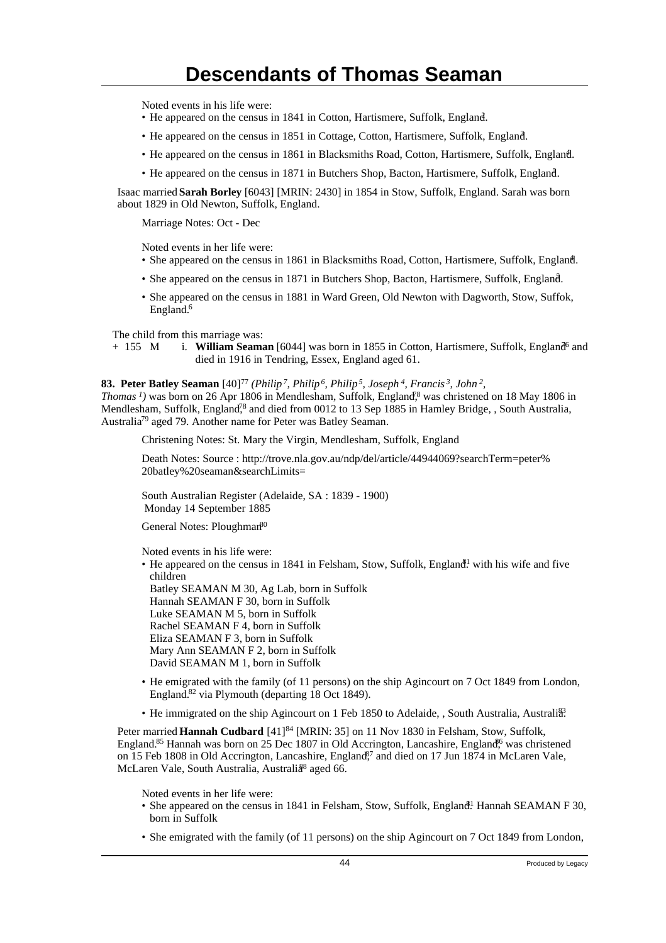Noted events in his life were:

- He appeared on the census in 1841 in Cotton, Hartismere, Suffolk, England.
- He appeared on the census in 1851 in Cottage, Cotton, Hartismere, Suffolk, England. <sup>3</sup>
- He appeared on the census in 1861 in Blacksmiths Road, Cotton, Hartismere, Suffolk, England.
- He appeared on the census in 1871 in Butchers Shop, Bacton, Hartismere, Suffolk, England.

Isaac married **Sarah Borley** [6043] [MRIN: 2430] in 1854 in Stow, Suffolk, England. Sarah was born about 1829 in Old Newton, Suffolk, England.

Marriage Notes: Oct - Dec

Noted events in her life were:

- She appeared on the census in 1861 in Blacksmiths Road, Cotton, Hartismere, Suffolk, England.
- She appeared on the census in 1871 in Butchers Shop, Bacton, Hartismere, Suffolk, England. <sup>5</sup>
- She appeared on the census in 1881 in Ward Green, Old Newton with Dagworth, Stow, Suffok, England.<sup>6</sup>

The child from this marriage was:<br>+ 155 M i. William Seams

i. **William Seaman** [6044] was born in 1855 in Cotton, Hartismere, Suffolk, England<sup>6</sup> and died in 1916 in Tendring, Essex, England aged 61.

#### **83. Peter Batley Seaman** [40]<sup>77</sup> *(Philip<sup>7</sup>, Philip<sup>6</sup>, Philip<sup>5</sup>, Joseph<sup>4</sup>, Francis<sup>3</sup>, John<sup>2</sup> ,*

*Thomas<sup>1</sup>*) was born on 26 Apr 1806 in Mendlesham, Suffolk, England<sup>8</sup> was christened on 18 May 1806 in Mendlesham, Suffolk, England<sup>78</sup> and died from 0012 to 13 Sep 1885 in Hamley Bridge, , South Australia, Australia<sup>79</sup> aged 79. Another name for Peter was Batley Seaman.

Christening Notes: St. Mary the Virgin, Mendlesham, Suffolk, England

Death Notes: Source : http://trove.nla.gov.au/ndp/del/article/44944069?searchTerm=peter% 20batley%20seaman&searchLimits=

South Australian Register (Adelaide, SA : 1839 - 1900) Monday 14 September 1885

General Notes: Ploughman<sup>80</sup>

Noted events in his life were:

• He appeared on the census in 1841 in Felsham, Stow, Suffolk, England<sup>1</sup> with his wife and five children

Batley SEAMAN M 30, Ag Lab, born in Suffolk Hannah SEAMAN F 30, born in Suffolk Luke SEAMAN M 5, born in Suffolk Rachel SEAMAN F 4, born in Suffolk Eliza SEAMAN F 3, born in Suffolk Mary Ann SEAMAN F 2, born in Suffolk David SEAMAN M 1, born in Suffolk

- He emigrated with the family (of 11 persons) on the ship Agincourt on 7 Oct 1849 from London, England.<sup>82</sup> via Plymouth (departing 18 Oct 1849).
- He immigrated on the ship Agincourt on 1 Feb 1850 to Adelaide, , South Australia, Australi<sup>33</sup>

Peter married **Hannah Cudbard** [41]<sup>84</sup> [MRIN: 35] on 11 Nov 1830 in Felsham, Stow, Suffolk, England.<sup>85</sup> Hannah was born on 25 Dec 1807 in Old Accrington, Lancashire, England,<sup>66</sup> was christened on 15 Feb 1808 in Old Accrington, Lancashire, England<sup>87</sup> and died on 17 Jun 1874 in McLaren Vale, McLaren Vale, South Australia, Australi<sup>88</sup> aged 66.

Noted events in her life were:

- She appeared on the census in 1841 in Felsham, Stow, Suffolk, England<sup>1</sup> Hannah SEAMAN F 30, born in Suffolk
- She emigrated with the family (of 11 persons) on the ship Agincourt on 7 Oct 1849 from London,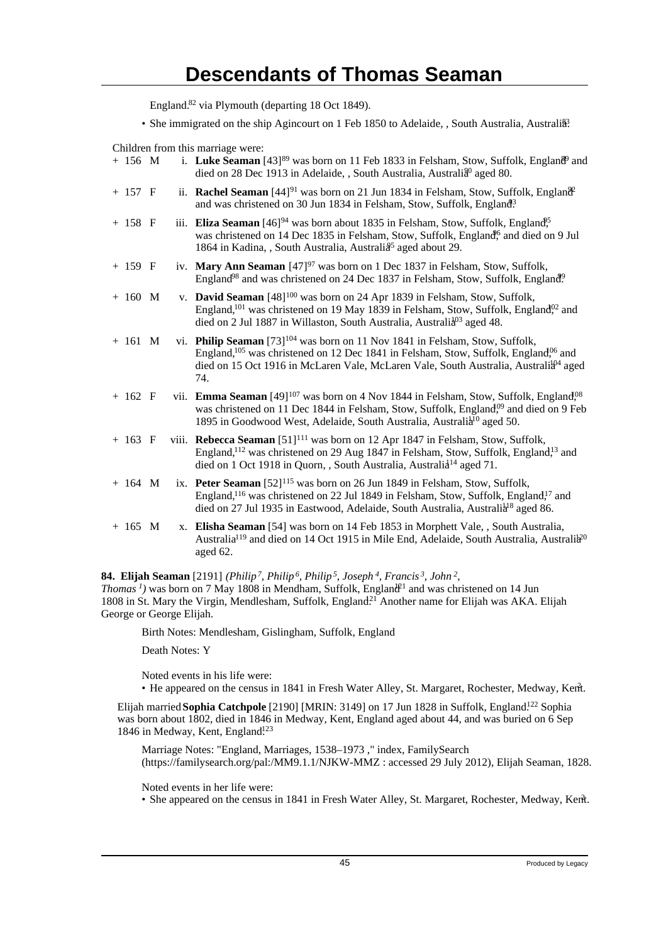England.<sup>82</sup> via Plymouth (departing 18 Oct 1849).

• She immigrated on the ship Agincourt on 1 Feb 1850 to Adelaide, , South Australia, Australi<sup>33</sup>.

Children from this marriage were:

| $+ 156$ M |  | i. Luke Seaman [43] <sup>89</sup> was born on 11 Feb 1833 in Felsham, Stow, Suffolk, England <sup>9</sup> and<br>died on 28 Dec 1913 in Adelaide, , South Australia, Australia <sup>0</sup> aged 80.                                                                                                               |
|-----------|--|--------------------------------------------------------------------------------------------------------------------------------------------------------------------------------------------------------------------------------------------------------------------------------------------------------------------|
| $+ 157 F$ |  | ii. Rachel Seaman $[44]^{91}$ was born on 21 Jun 1834 in Felsham, Stow, Suffolk, England <sup>2</sup><br>and was christened on 30 Jun 1834 in Felsham, Stow, Suffolk, England <sup>3</sup>                                                                                                                         |
| $+ 158$ F |  | iii. Eliza Seaman $[46]^{94}$ was born about 1835 in Felsham, Stow, Suffolk, England <sup>95</sup><br>was christened on 14 Dec 1835 in Felsham, Stow, Suffolk, England <sup>6</sup> and died on 9 Jul<br>1864 in Kadina, , South Australia, Australia <sup>5</sup> aged about 29.                                  |
| $+ 159 F$ |  | iv. Mary Ann Seaman [47] <sup>97</sup> was born on 1 Dec 1837 in Felsham, Stow, Suffolk,<br>England <sup>98</sup> and was christened on 24 Dec 1837 in Felsham, Stow, Suffolk, England <sup>9</sup>                                                                                                                |
| $+ 160$ M |  | v. David Seaman [48] <sup>100</sup> was born on 24 Apr 1839 in Felsham, Stow, Suffolk,<br>England, <sup>101</sup> was christened on 19 May 1839 in Felsham, Stow, Suffolk, England <sup>02</sup> and<br>died on 2 Jul 1887 in Willaston, South Australia, Australia <sup>03</sup> aged 48.                         |
| $+ 161$ M |  | vi. Philip Seaman [73] <sup>104</sup> was born on 11 Nov 1841 in Felsham, Stow, Suffolk,<br>England, <sup>105</sup> was christened on 12 Dec 1841 in Felsham, Stow, Suffolk, England, <sup>06</sup> and<br>died on 15 Oct 1916 in McLaren Vale, McLaren Vale, South Australia, Australia <sup>04</sup> aged<br>74. |
| $+ 162 F$ |  | vii. Emma Seaman [49] <sup>107</sup> was born on 4 Nov 1844 in Felsham, Stow, Suffolk, England <sup>08</sup><br>was christened on 11 Dec 1844 in Felsham, Stow, Suffolk, England <sup>09</sup> and died on 9 Feb<br>1895 in Goodwood West, Adelaide, South Australia, Australia <sup>10</sup> aged 50.             |
| $+ 163 F$ |  | viii. Rebecca Seaman [51] <sup>111</sup> was born on 12 Apr 1847 in Felsham, Stow, Suffolk,<br>England, <sup>112</sup> was christened on 29 Aug 1847 in Felsham, Stow, Suffolk, England, <sup>13</sup> and<br>died on 1 Oct 1918 in Quorn, , South Australia, Australia <sup>14</sup> aged 71.                     |
| $+ 164$ M |  | ix. Peter Seaman [52] <sup>115</sup> was born on 26 Jun 1849 in Felsham, Stow, Suffolk,<br>England, <sup>116</sup> was christened on 22 Jul 1849 in Felsham, Stow, Suffolk, England, <sup>17</sup> and<br>died on 27 Jul 1935 in Eastwood, Adelaide, South Australia, Australia <sup>18</sup> aged 86.             |
| $+ 165 M$ |  | x. Elisha Seaman [54] was born on 14 Feb 1853 in Morphett Vale, , South Australia,<br>Australia <sup>119</sup> and died on 14 Oct 1915 in Mile End, Adelaide, South Australia, Australia <sup>20</sup><br>aged 62.                                                                                                 |

**84. Elijah Seaman** [2191] *(Philip<sup>7</sup>, Philip<sup>6</sup>, Philip<sup>5</sup>, Joseph<sup>4</sup>, Francis<sup>3</sup>, John<sup>2</sup> , Thomas<sup>1</sup>*) was born on 7 May 1808 in Mendham, Suffolk, England<sup>21</sup> and was christened on 14 Jun 1808 in St. Mary the Virgin, Mendlesham, Suffolk, England.<sup>21</sup> Another name for Elijah was AKA. Elijah George or George Elijah.

Birth Notes: Mendlesham, Gislingham, Suffolk, England

Death Notes: Y

Noted events in his life were:

• He appeared on the census in 1841 in Fresh Water Alley, St. Margaret, Rochester, Medway, Kent.

Elijah married **Sophia Catchpole** [2190] [MRIN: 3149] on 17 Jun 1828 in Suffolk, England.<sup>122</sup> Sophia was born about 1802, died in 1846 in Medway, Kent, England aged about 44, and was buried on 6 Sep 1846 in Medway, Kent, England<sup>123</sup>

Marriage Notes: "England, Marriages, 1538–1973 ," index, FamilySearch (https://familysearch.org/pal:/MM9.1.1/NJKW-MMZ : accessed 29 July 2012), Elijah Seaman, 1828.

Noted events in her life were:

• She appeared on the census in 1841 in Fresh Water Alley, St. Margaret, Rochester, Medway, Kent. <sup>2</sup>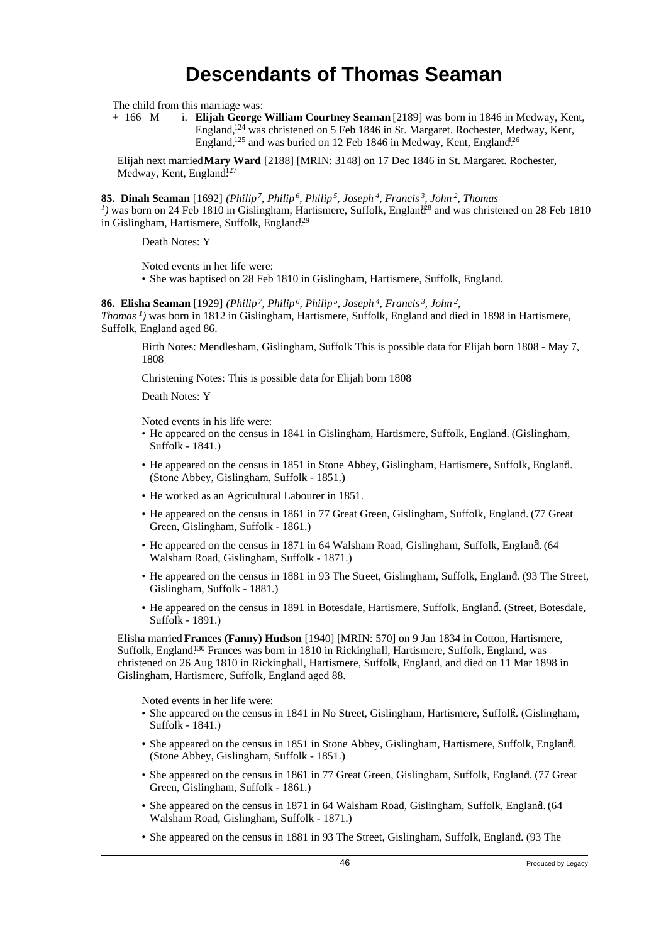The child from this marriage was:

+ 166 M i. **Elijah George William Courtney Seaman** [2189] was born in 1846 in Medway, Kent, England,<sup>124</sup> was christened on 5 Feb 1846 in St. Margaret. Rochester, Medway, Kent, England,<sup>125</sup> and was buried on 12 Feb 1846 in Medway, Kent, England.<sup>26</sup>

Elijah next married **Mary Ward** [2188] [MRIN: 3148] on 17 Dec 1846 in St. Margaret. Rochester, Medway, Kent, England.<sup>127</sup>

**85. Dinah Seaman** [1692] *(Philip<sup>7</sup>, Philip<sup>6</sup>, Philip<sup>5</sup>, Joseph<sup>4</sup>, Francis<sup>3</sup>, John<sup>2</sup>, Thomas*

<sup>*1*</sup>) was born on 24 Feb 1810 in Gislingham, Hartismere, Suffolk, England<sup>28</sup> and was christened on 28 Feb 1810 in Gislingham, Hartismere, Suffolk, England.<sup>29</sup>

Death Notes: Y

Noted events in her life were:

• She was baptised on 28 Feb 1810 in Gislingham, Hartismere, Suffolk, England.

**86. Elisha Seaman** [1929] *(Philip<sup>7</sup>, Philip<sup>6</sup>, Philip<sup>5</sup>, Joseph<sup>4</sup>, Francis<sup>3</sup>, John<sup>2</sup> , Thomas<sup>1</sup>)* was born in 1812 in Gislingham, Hartismere, Suffolk, England and died in 1898 in Hartismere, Suffolk, England aged 86.

Birth Notes: Mendlesham, Gislingham, Suffolk This is possible data for Elijah born 1808 - May 7, 1808

Christening Notes: This is possible data for Elijah born 1808

Death Notes: Y

Noted events in his life were:

- He appeared on the census in 1841 in Gislingham, Hartismere, Suffolk, England. (Gislingham, Suffolk - 1841.)
- He appeared on the census in 1851 in Stone Abbey, Gislingham, Hartismere, Suffolk, England. (Stone Abbey, Gislingham, Suffolk - 1851.)
- He worked as an Agricultural Labourer in 1851.
- He appeared on the census in 1861 in 77 Great Green, Gislingham, Suffolk, England. (77 Great Green, Gislingham, Suffolk - 1861.)
- He appeared on the census in 1871 in 64 Walsham Road, Gislingham, Suffolk, England. (64 Walsham Road, Gislingham, Suffolk - 1871.)
- He appeared on the census in 1881 in 93 The Street, Gislingham, Suffolk, England. (93 The Street, Gislingham, Suffolk - 1881.)
- He appeared on the census in 1891 in Botesdale, Hartismere, Suffolk, England. (Street, Botesdale, Suffolk - 1891.)

Elisha married **Frances (Fanny) Hudson** [1940] [MRIN: 570] on 9 Jan 1834 in Cotton, Hartismere, Suffolk, England.<sup>130</sup> Frances was born in 1810 in Rickinghall, Hartismere, Suffolk, England, was christened on 26 Aug 1810 in Rickinghall, Hartismere, Suffolk, England, and died on 11 Mar 1898 in Gislingham, Hartismere, Suffolk, England aged 88.

Noted events in her life were:

- She appeared on the census in 1841 in No Street, Gislingham, Hartismere, Suffolk. (Gislingham, Suffolk - 1841.)
- She appeared on the census in 1851 in Stone Abbey, Gislingham, Hartismere, Suffolk, England. (Stone Abbey, Gislingham, Suffolk - 1851.)
- She appeared on the census in 1861 in 77 Great Green, Gislingham, Suffolk, England. (77 Great Green, Gislingham, Suffolk - 1861.)
- She appeared on the census in 1871 in 64 Walsham Road, Gislingham, Suffolk, England. (64 Walsham Road, Gislingham, Suffolk - 1871.)
- She appeared on the census in 1881 in 93 The Street, Gislingham, Suffolk, England. (93 The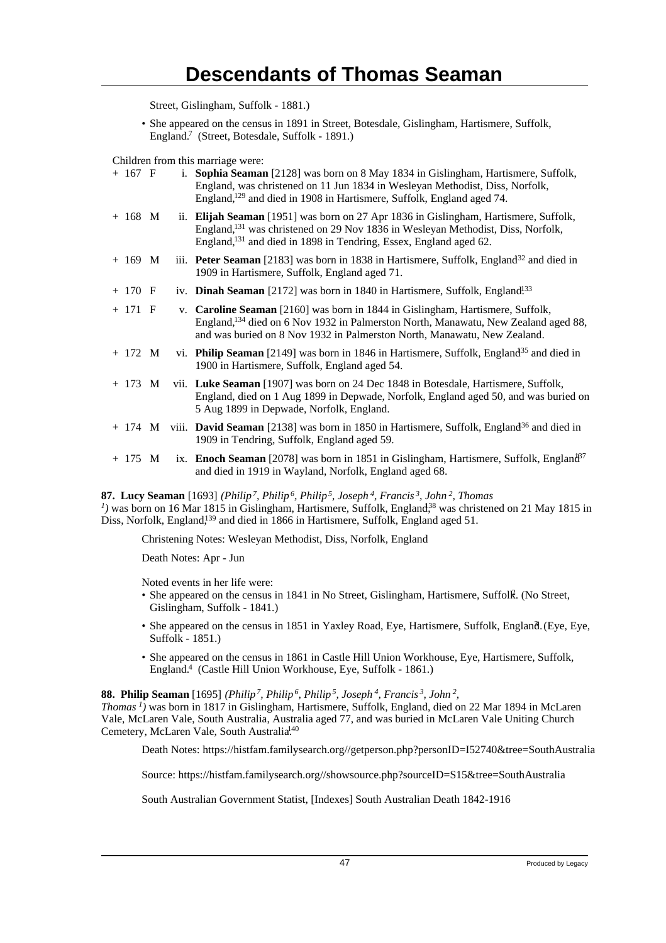Street, Gislingham, Suffolk - 1881.)

• She appeared on the census in 1891 in Street, Botesdale, Gislingham, Hartismere, Suffolk, England.<sup>7</sup> (Street, Botesdale, Suffolk - 1891.)

Children from this marriage were:

| $+ 167 F$         |  | Sophia Seaman [2128] was born on 8 May 1834 in Gislingham, Hartismere, Suffolk,<br>England, was christened on 11 Jun 1834 in Wesleyan Methodist, Diss, Norfolk,<br>England, <sup>129</sup> and died in 1908 in Hartismere, Suffolk, England aged 74.                 |
|-------------------|--|----------------------------------------------------------------------------------------------------------------------------------------------------------------------------------------------------------------------------------------------------------------------|
| $+ 168$ M         |  | ii. Elijah Seaman [1951] was born on 27 Apr 1836 in Gislingham, Hartismere, Suffolk,<br>England, <sup>131</sup> was christened on 29 Nov 1836 in Wesleyan Methodist, Diss, Norfolk,<br>England, <sup>131</sup> and died in 1898 in Tendring, Essex, England aged 62. |
| $+ 169$ M         |  | iii. <b>Peter Seaman</b> [2183] was born in 1838 in Hartismere, Suffolk, England <sup>32</sup> and died in<br>1909 in Hartismere, Suffolk, England aged 71.                                                                                                          |
| $+ 170 F$         |  | iv. Dinah Seaman [2172] was born in 1840 in Hartismere, Suffolk, England <sup>133</sup>                                                                                                                                                                              |
| $+ 171 F$         |  | v. Caroline Seaman [2160] was born in 1844 in Gislingham, Hartismere, Suffolk,<br>England, <sup>134</sup> died on 6 Nov 1932 in Palmerston North, Manawatu, New Zealand aged 88,<br>and was buried on 8 Nov 1932 in Palmerston North, Manawatu, New Zealand.         |
| $+ 172 M$         |  | vi. Philip Seaman [2149] was born in 1846 in Hartismere, Suffolk, England <sup>35</sup> and died in<br>1900 in Hartismere, Suffolk, England aged 54.                                                                                                                 |
| $+ 173 \text{ M}$ |  | vii. Luke Seaman [1907] was born on 24 Dec 1848 in Botesdale, Hartismere, Suffolk,<br>England, died on 1 Aug 1899 in Depwade, Norfolk, England aged 50, and was buried on<br>5 Aug 1899 in Depwade, Norfolk, England.                                                |
|                   |  | $+$ 174 M viii. <b>David Seaman</b> [2138] was born in 1850 in Hartismere, Suffolk, England <sup>36</sup> and died in<br>1909 in Tendring, Suffolk, England aged 59.                                                                                                 |
| $+ 175 \text{ M}$ |  | ix. Enoch Seaman [2078] was born in 1851 in Gislingham, Hartismere, Suffolk, Englan $\hat{d}^{\beta}$<br>and died in 1919 in Wayland, Norfolk, England aged 68.                                                                                                      |

**87. Lucy Seaman** [1693] *(Philip<sup>7</sup>, Philip<sup>6</sup>, Philip<sup>5</sup>, Joseph<sup>4</sup>, Francis<sup>3</sup>, John<sup>2</sup>, Thomas*  $<sup>I</sup>$ ) was born on 16 Mar 1815 in Gislingham, Hartismere, Suffolk, England,<sup>38</sup> was christened on 21 May 1815 in</sup> Diss, Norfolk, England,<sup>139</sup> and died in 1866 in Hartismere, Suffolk, England aged 51.

Christening Notes: Wesleyan Methodist, Diss, Norfolk, England

Death Notes: Apr - Jun

Noted events in her life were:

- She appeared on the census in 1841 in No Street, Gislingham, Hartismere, Suffolk. (No Street, Gislingham, Suffolk - 1841.)
- She appeared on the census in 1851 in Yaxley Road, Eye, Hartismere, Suffolk, England. (Eye, Eye, Suffolk - 1851.)
- She appeared on the census in 1861 in Castle Hill Union Workhouse, Eye, Hartismere, Suffolk, England.<sup>4</sup> (Castle Hill Union Workhouse, Eye, Suffolk - 1861.)

### **88. Philip Seaman** [1695] *(Philip<sup>7</sup>, Philip<sup>6</sup>, Philip<sup>5</sup>, Joseph<sup>4</sup>, Francis<sup>3</sup>, John<sup>2</sup> ,*

*Thomas<sup>1</sup>)* was born in 1817 in Gislingham, Hartismere, Suffolk, England, died on 22 Mar 1894 in McLaren Vale, McLaren Vale, South Australia, Australia aged 77, and was buried in McLaren Vale Uniting Church Cemetery, McLaren Vale, South Australia.<sup>40</sup>

Death Notes: https://histfam.familysearch.org//getperson.php?personID=I52740&tree=SouthAustralia

Source: https://histfam.familysearch.org//showsource.php?sourceID=S15&tree=SouthAustralia

South Australian Government Statist, [Indexes] South Australian Death 1842-1916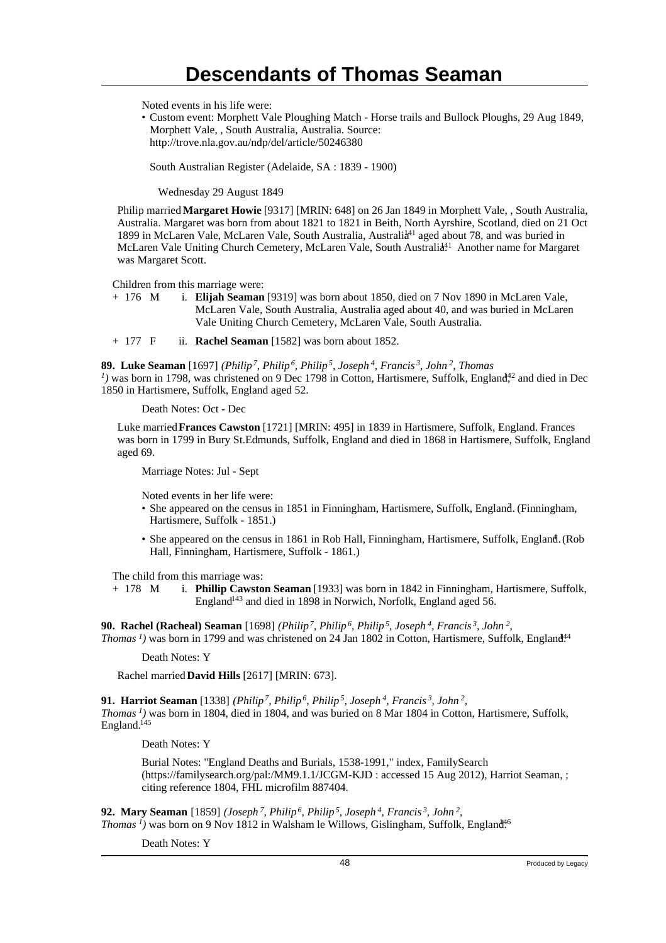Noted events in his life were:

• Custom event: Morphett Vale Ploughing Match - Horse trails and Bullock Ploughs, 29 Aug 1849, Morphett Vale, , South Australia, Australia. Source: http://trove.nla.gov.au/ndp/del/article/50246380

South Australian Register (Adelaide, SA : 1839 - 1900)

Wednesday 29 August 1849

Philip married **Margaret Howie** [9317] [MRIN: 648] on 26 Jan 1849 in Morphett Vale, , South Australia, Australia. Margaret was born from about 1821 to 1821 in Beith, North Ayrshire, Scotland, died on 21 Oct 1899 in McLaren Vale, McLaren Vale, South Australia, Australia<sup>41</sup> aged about 78, and was buried in McLaren Vale Uniting Church Cemetery, McLaren Vale, South Australia.<sup>11</sup> Another name for Margaret was Margaret Scott.

Children from this marriage were:

+ 176 M i. **Elijah Seaman** [9319] was born about 1850, died on 7 Nov 1890 in McLaren Vale, McLaren Vale, South Australia, Australia aged about 40, and was buried in McLaren Vale Uniting Church Cemetery, McLaren Vale, South Australia.

+ 177 F ii. **Rachel Seaman** [1582] was born about 1852.

**89. Luke Seaman** [1697] *(Philip<sup>7</sup>, Philip<sup>6</sup>, Philip<sup>5</sup>, Joseph<sup>4</sup>, Francis<sup>3</sup>, John<sup>2</sup>, Thomas*

<sup>*1*</sup>) was born in 1798, was christened on 9 Dec 1798 in Cotton, Hartismere, Suffolk, England<sup>42</sup> and died in Dec 1850 in Hartismere, Suffolk, England aged 52.

Death Notes: Oct - Dec

Luke married **Frances Cawston** [1721] [MRIN: 495] in 1839 in Hartismere, Suffolk, England. Frances was born in 1799 in Bury St.Edmunds, Suffolk, England and died in 1868 in Hartismere, Suffolk, England aged 69.

Marriage Notes: Jul - Sept

Noted events in her life were:

- She appeared on the census in 1851 in Finningham, Hartismere, Suffolk, England. (Finningham, Hartismere, Suffolk - 1851.)
- She appeared on the census in 1861 in Rob Hall, Finningham, Hartismere, Suffolk, Englandt. (Rob Hall, Finningham, Hartismere, Suffolk - 1861.)

The child from this marriage was:<br>+  $178$  M i. **Phillip Cawsto** 

i. **Phillip Cawston Seaman** [1933] was born in 1842 in Finningham, Hartismere, Suffolk, England<sup>143</sup> and died in 1898 in Norwich, Norfolk, England aged 56.

**90. Rachel (Racheal) Seaman** [1698] *(Philip<sup>7</sup>, Philip<sup>6</sup>, Philip<sup>5</sup>, Joseph<sup>4</sup>, Francis<sup>3</sup>, John<sup>2</sup> , Thomas<sup>1</sup>*) was born in 1799 and was christened on 24 Jan 1802 in Cotton, Hartismere, Suffolk, England<sup>44</sup>

Death Notes: Y

Rachel married **David Hills** [2617] [MRIN: 673].

**91. Harriot Seaman** [1338] *(Philip<sup>7</sup>, Philip<sup>6</sup>, Philip<sup>5</sup>, Joseph<sup>4</sup>, Francis<sup>3</sup>, John<sup>2</sup> , Thomas<sup>1</sup>)* was born in 1804, died in 1804, and was buried on 8 Mar 1804 in Cotton, Hartismere, Suffolk, England.<sup>145</sup>

Death Notes: Y

Burial Notes: "England Deaths and Burials, 1538-1991," index, FamilySearch (https://familysearch.org/pal:/MM9.1.1/JCGM-KJD : accessed 15 Aug 2012), Harriot Seaman, ; citing reference 1804, FHL microfilm 887404.

**92. Mary Seaman** [1859] *(Joseph<sup>7</sup>, Philip<sup>6</sup>, Philip<sup>5</sup>, Joseph<sup>4</sup>, Francis<sup>3</sup>, John<sup>2</sup> , Thomas<sup>1</sup>*) was born on 9 Nov 1812 in Walsham le Willows, Gislingham, Suffolk, England<sup>46</sup>

Death Notes: Y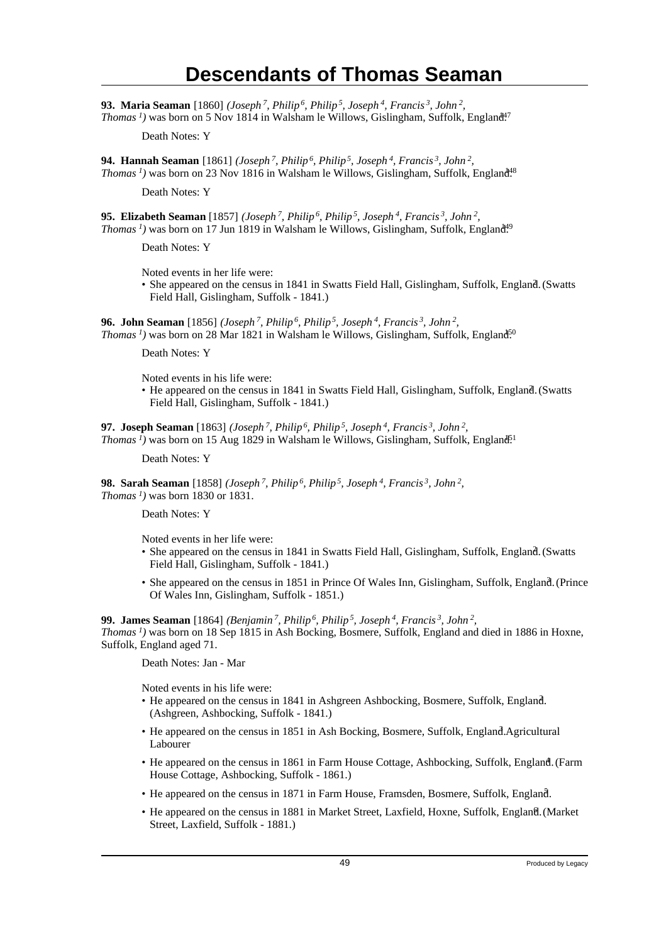**93. Maria Seaman** [1860] *(Joseph<sup>7</sup>, Philip<sup>6</sup>, Philip<sup>5</sup>, Joseph<sup>4</sup>, Francis<sup>3</sup>, John<sup>2</sup> , Thomas<sup>1</sup>*) was born on 5 Nov 1814 in Walsham le Willows, Gislingham, Suffolk, England<sup>47</sup>

Death Notes: Y

**94. Hannah Seaman** [1861] *(Joseph<sup>7</sup>, Philip<sup>6</sup>, Philip<sup>5</sup>, Joseph<sup>4</sup>, Francis<sup>3</sup>, John<sup>2</sup> , Thomas<sup>1</sup>*) was born on 23 Nov 1816 in Walsham le Willows, Gislingham, Suffolk, England<sup>48</sup>

Death Notes: Y

**95. Elizabeth Seaman** [1857] *(Joseph<sup>7</sup>, Philip<sup>6</sup>, Philip<sup>5</sup>, Joseph<sup>4</sup>, Francis<sup>3</sup>, John<sup>2</sup> , Thomas<sup>1</sup>*) was born on 17 Jun 1819 in Walsham le Willows, Gislingham, Suffolk, England<sup>19</sup>

Death Notes: Y

Noted events in her life were:

• She appeared on the census in 1841 in Swatts Field Hall, Gislingham, Suffolk, England. (Swatts Field Hall, Gislingham, Suffolk - 1841.)

**96. John Seaman** [1856] *(Joseph<sup>7</sup>, Philip<sup>6</sup>, Philip<sup>5</sup>, Joseph<sup>4</sup>, Francis<sup>3</sup>, John<sup>2</sup> , Thomas<sup>1</sup>*) was born on 28 Mar 1821 in Walsham le Willows, Gislingham, Suffolk, England<sup>50</sup>

Death Notes: Y

Noted events in his life were:

• He appeared on the census in 1841 in Swatts Field Hall, Gislingham, Suffolk, England. (Swatts Field Hall, Gislingham, Suffolk - 1841.)

**97. Joseph Seaman** [1863] *(Joseph<sup>7</sup>, Philip<sup>6</sup>, Philip<sup>5</sup>, Joseph<sup>4</sup>, Francis<sup>3</sup>, John<sup>2</sup> , Thomas*<sup>*I*</sup>) was born on 15 Aug 1829 in Walsham le Willows, Gislingham, Suffolk, England<sup>51</sup>

Death Notes: Y

**98. Sarah Seaman** [1858] *(Joseph<sup>7</sup>, Philip<sup>6</sup>, Philip<sup>5</sup>, Joseph<sup>4</sup>, Francis<sup>3</sup>, John<sup>2</sup> , Thomas<sup>1</sup>)* was born 1830 or 1831.

Death Notes: Y

Noted events in her life were:

- She appeared on the census in 1841 in Swatts Field Hall, Gislingham, Suffolk, England. (Swatts Field Hall, Gislingham, Suffolk - 1841.)
- She appeared on the census in 1851 in Prince Of Wales Inn, Gislingham, Suffolk, England. (Prince Of Wales Inn, Gislingham, Suffolk - 1851.)

**99. James Seaman** [1864] *(Benjamin<sup>7</sup>, Philip<sup>6</sup>, Philip<sup>5</sup>, Joseph<sup>4</sup>, Francis<sup>3</sup>, John<sup>2</sup> , Thomas<sup>1</sup>)* was born on 18 Sep 1815 in Ash Bocking, Bosmere, Suffolk, England and died in 1886 in Hoxne, Suffolk, England aged 71.

Death Notes: Jan - Mar

Noted events in his life were:

- He appeared on the census in 1841 in Ashgreen Ashbocking, Bosmere, Suffolk, England. <sup>2</sup> (Ashgreen, Ashbocking, Suffolk - 1841.)
- He appeared on the census in 1851 in Ash Bocking, Bosmere, Suffolk, England. Agricultural Labourer
- He appeared on the census in 1861 in Farm House Cottage, Ashbocking, Suffolk, England. (Farm House Cottage, Ashbocking, Suffolk - 1861.)
- He appeared on the census in 1871 in Farm House, Framsden, Bosmere, Suffolk, England. <sup>5</sup>
- He appeared on the census in 1881 in Market Street, Laxfield, Hoxne, Suffolk, England. (Market Street, Laxfield, Suffolk - 1881.)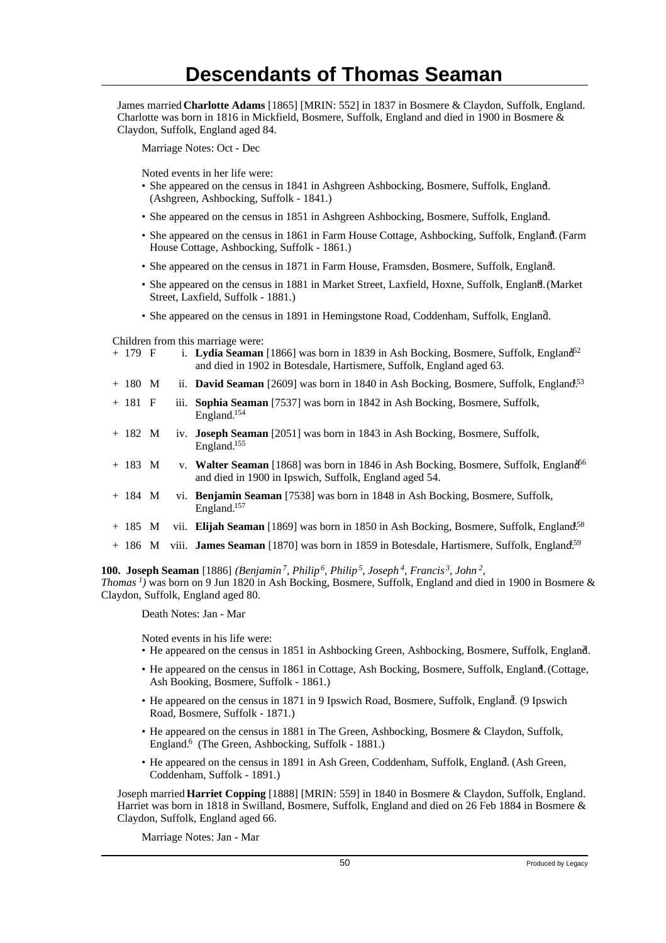James married **Charlotte Adams** [1865] [MRIN: 552] in 1837 in Bosmere & Claydon, Suffolk, England. Charlotte was born in 1816 in Mickfield, Bosmere, Suffolk, England and died in 1900 in Bosmere & Claydon, Suffolk, England aged 84.

Marriage Notes: Oct - Dec

Noted events in her life were:

- She appeared on the census in 1841 in Ashgreen Ashbocking, Bosmere, Suffolk, England. <sup>2</sup> (Ashgreen, Ashbocking, Suffolk - 1841.)
- She appeared on the census in 1851 in Ashgreen Ashbocking, Bosmere, Suffolk, England.
- She appeared on the census in 1861 in Farm House Cottage, Ashbocking, Suffolk, England. (Farm House Cottage, Ashbocking, Suffolk - 1861.)
- She appeared on the census in 1871 in Farm House, Framsden, Bosmere, Suffolk, England. <sup>5</sup>
- She appeared on the census in 1881 in Market Street, Laxfield, Hoxne, Suffolk, England. (Market Street, Laxfield, Suffolk - 1881.)
- She appeared on the census in 1891 in Hemingstone Road, Coddenham, Suffolk, England.

Children from this marriage were:

| + 179 F | i. Lydia Seaman [1866] was born in 1839 in Ash Bocking, Bosmere, Suffolk, England <sup>52</sup> |
|---------|-------------------------------------------------------------------------------------------------|
|         | and died in 1902 in Botesdale, Hartismere, Suffolk, England aged 63.                            |

- + 180 M ii. **David Seaman** [2609] was born in 1840 in Ash Bocking, Bosmere, Suffolk, England<sup>53</sup>
- + 181 F iii. **Sophia Seaman** [7537] was born in 1842 in Ash Bocking, Bosmere, Suffolk, England.<sup>154</sup>
- + 182 M iv. **Joseph Seaman** [2051] was born in 1843 in Ash Bocking, Bosmere, Suffolk, England.<sup>155</sup>
- + 183 M v. **Walter Seaman** [1868] was born in 1846 in Ash Bocking, Bosmere, Suffolk, England<sup>56</sup> and died in 1900 in Ipswich, Suffolk, England aged 54.
- + 184 M vi. **Benjamin Seaman** [7538] was born in 1848 in Ash Bocking, Bosmere, Suffolk, England.<sup>157</sup>
- + 185 M vii. **Elijah Seaman** [1869] was born in 1850 in Ash Bocking, Bosmere, Suffolk, England<sup>58</sup>
- + 186 M viii. **James Seaman** [1870] was born in 1859 in Botesdale, Hartismere, Suffolk, England.<sup>159</sup>

**100. Joseph Seaman** [1886] *(Benjamin<sup>7</sup>, Philip<sup>6</sup>, Philip<sup>5</sup>, Joseph<sup>4</sup>, Francis<sup>3</sup>, John<sup>2</sup> , Thomas<sup>1</sup>)* was born on 9 Jun 1820 in Ash Bocking, Bosmere, Suffolk, England and died in 1900 in Bosmere & Claydon, Suffolk, England aged 80.

Death Notes: Jan - Mar

Noted events in his life were:

- He appeared on the census in 1851 in Ashbocking Green, Ashbocking, Bosmere, Suffolk, England.
- He appeared on the census in 1861 in Cottage, Ash Bocking, Bosmere, Suffolk, England. (Cottage, Ash Booking, Bosmere, Suffolk - 1861.)
- He appeared on the census in 1871 in 9 Ipswich Road, Bosmere, Suffolk, England. (9 Ipswich Road, Bosmere, Suffolk - 1871.)
- He appeared on the census in 1881 in The Green, Ashbocking, Bosmere & Claydon, Suffolk, England.<sup>6</sup> (The Green, Ashbocking, Suffolk - 1881.)
- He appeared on the census in 1891 in Ash Green, Coddenham, Suffolk, England. (Ash Green, Coddenham, Suffolk - 1891.)

Joseph married **Harriet Copping** [1888] [MRIN: 559] in 1840 in Bosmere & Claydon, Suffolk, England. Harriet was born in 1818 in Swilland, Bosmere, Suffolk, England and died on 26 Feb 1884 in Bosmere & Claydon, Suffolk, England aged 66.

Marriage Notes: Jan - Mar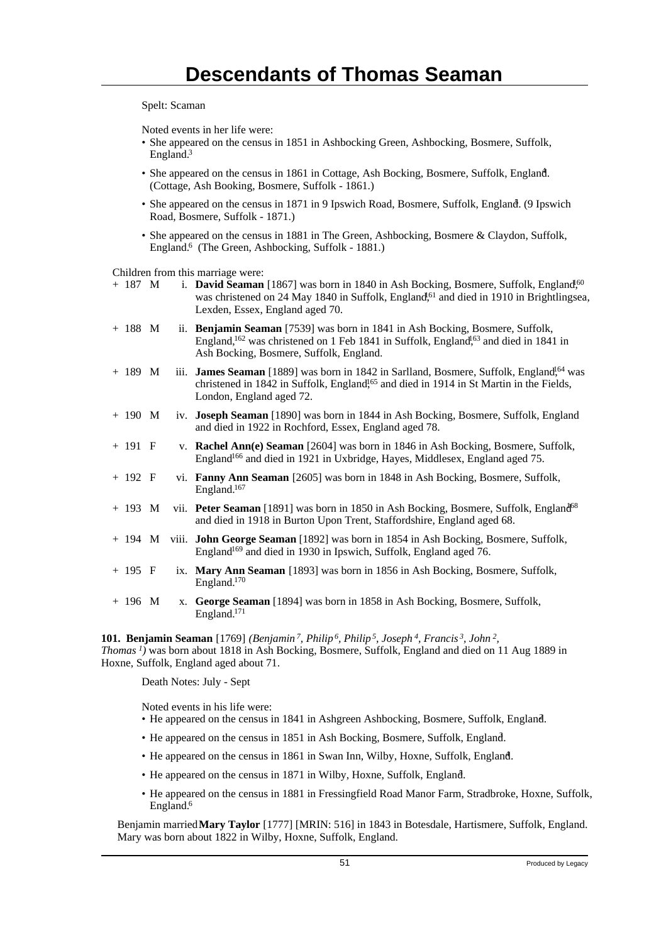Spelt: Scaman

Noted events in her life were:

- She appeared on the census in 1851 in Ashbocking Green, Ashbocking, Bosmere, Suffolk, England.<sup>3</sup>
- She appeared on the census in 1861 in Cottage, Ash Bocking, Bosmere, Suffolk, England. <sup>4</sup> (Cottage, Ash Booking, Bosmere, Suffolk - 1861.)
- She appeared on the census in 1871 in 9 Ipswich Road, Bosmere, Suffolk, England. (9 Ipswich Road, Bosmere, Suffolk - 1871.)
- She appeared on the census in 1881 in The Green, Ashbocking, Bosmere & Claydon, Suffolk, England.<sup>6</sup> (The Green, Ashbocking, Suffolk - 1881.)

Children from this marriage were:

| $+ 187$ M |    | i. David Seaman [1867] was born in 1840 in Ash Bocking, Bosmere, Suffolk, England <sup>60</sup><br>was christened on 24 May 1840 in Suffolk, England, <sup>61</sup> and died in 1910 in Brightlingsea,<br>Lexden, Essex, England aged 70.                 |
|-----------|----|-----------------------------------------------------------------------------------------------------------------------------------------------------------------------------------------------------------------------------------------------------------|
| $+ 188$ M |    | ii. Benjamin Seaman [7539] was born in 1841 in Ash Bocking, Bosmere, Suffolk,<br>England, <sup>162</sup> was christened on 1 Feb 1841 in Suffolk, England <sup>163</sup> and died in 1841 in<br>Ash Bocking, Bosmere, Suffolk, England.                   |
| $+ 189$ M |    | iii. James Seaman [1889] was born in 1842 in Sarlland, Bosmere, Suffolk, England <sup>1,64</sup> was<br>christened in 1842 in Suffolk, England <sup>165</sup> and died in 1914 in St Martin in the Fields,<br>London, England aged 72.                    |
| $+ 190$ M |    | iv. Joseph Seaman [1890] was born in 1844 in Ash Bocking, Bosmere, Suffolk, England<br>and died in 1922 in Rochford, Essex, England aged 78.                                                                                                              |
| $+ 191 F$ |    | v. Rachel Ann(e) Seaman [2604] was born in 1846 in Ash Bocking, Bosmere, Suffolk,<br>England <sup>166</sup> and died in 1921 in Uxbridge, Hayes, Middlesex, England aged 75.                                                                              |
| $+ 192 F$ |    | vi. Fanny Ann Seaman [2605] was born in 1848 in Ash Bocking, Bosmere, Suffolk,<br>England. <sup>167</sup>                                                                                                                                                 |
| $+ 193 M$ |    | vii. Peter Seaman [1891] was born in 1850 in Ash Bocking, Bosmere, Suffolk, England <sup>68</sup><br>and died in 1918 in Burton Upon Trent, Staffordshire, England aged 68.                                                                               |
|           |    | + 194 M viii. <b>John George Seaman</b> [1892] was born in 1854 in Ash Bocking, Bosmere, Suffolk,<br>England <sup>169</sup> and died in 1930 in Ipswich, Suffolk, England aged 76.                                                                        |
| $+ 195 F$ |    | ix. Mary Ann Seaman [1893] was born in 1856 in Ash Bocking, Bosmere, Suffolk,<br>England. <sup>170</sup>                                                                                                                                                  |
| $+ 196$ M | X. | George Seaman [1894] was born in 1858 in Ash Bocking, Bosmere, Suffolk,<br>England. <sup>171</sup>                                                                                                                                                        |
|           |    | <b>101. Benjamin Seaman</b> [1769] (Benjamin <sup>7</sup> , Philip <sup>6</sup> , Philip <sup>5</sup> , Joseph <sup>4</sup> , Francis <sup>3</sup> , John <sup>2</sup> ,<br>$\frac{1}{2}$ 1 1 1010 1 1 $\pi$ 1 $\pi$ 0 0 11 $\pi$ 1 1 1 1 1 1 1 1 1 1 000 |

*Thomas<sup>1</sup>)* was born about 1818 in Ash Bocking, Bosmere, Suffolk, England and died on 11 Aug 1889 in Hoxne, Suffolk, England aged about 71.

Death Notes: July - Sept

Noted events in his life were:

- He appeared on the census in 1841 in Ashgreen Ashbocking, Bosmere, Suffolk, England. <sup>2</sup>
- He appeared on the census in 1851 in Ash Bocking, Bosmere, Suffolk, England. <sup>3</sup>
- He appeared on the census in 1861 in Swan Inn, Wilby, Hoxne, Suffolk, England.
- He appeared on the census in 1871 in Wilby, Hoxne, Suffolk, England.
- He appeared on the census in 1881 in Fressingfield Road Manor Farm, Stradbroke, Hoxne, Suffolk, England.<sup>6</sup>

Benjamin married **Mary Taylor** [1777] [MRIN: 516] in 1843 in Botesdale, Hartismere, Suffolk, England. Mary was born about 1822 in Wilby, Hoxne, Suffolk, England.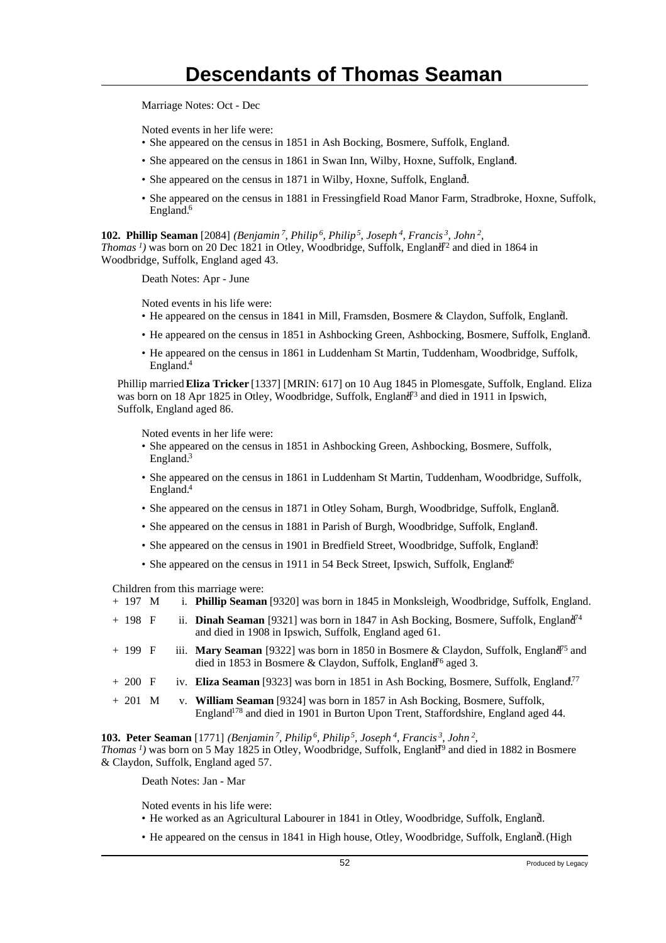Marriage Notes: Oct - Dec

Noted events in her life were:

- She appeared on the census in 1851 in Ash Bocking, Bosmere, Suffolk, England.
- She appeared on the census in 1861 in Swan Inn, Wilby, Hoxne, Suffolk, England.
- She appeared on the census in 1871 in Wilby, Hoxne, Suffolk, England.
- She appeared on the census in 1881 in Fressingfield Road Manor Farm, Stradbroke, Hoxne, Suffolk, England.<sup>6</sup>

**102. Phillip Seaman** [2084] *(Benjamin<sup>7</sup>, Philip<sup>6</sup>, Philip<sup>5</sup>, Joseph<sup>4</sup>, Francis<sup>3</sup>, John<sup>2</sup> ,*

*Thomas<sup>1</sup>*) was born on 20 Dec 1821 in Otley, Woodbridge, Suffolk, England<sup> $7$ </sup> and died in 1864 in Woodbridge, Suffolk, England aged 43.

Death Notes: Apr - June

Noted events in his life were:

- He appeared on the census in 1841 in Mill, Framsden, Bosmere & Claydon, Suffolk, England.
- He appeared on the census in 1851 in Ashbocking Green, Ashbocking, Bosmere, Suffolk, England. <sup>3</sup>
- He appeared on the census in 1861 in Luddenham St Martin, Tuddenham, Woodbridge, Suffolk, England.<sup>4</sup>

Phillip married **Eliza Tricker** [1337] [MRIN: 617] on 10 Aug 1845 in Plomesgate, Suffolk, England. Eliza was born on 18 Apr 1825 in Otley, Woodbridge, Suffolk, England<sup>73</sup> and died in 1911 in Ipswich, Suffolk, England aged 86.

Noted events in her life were:

- She appeared on the census in 1851 in Ashbocking Green, Ashbocking, Bosmere, Suffolk, England.<sup>3</sup>
- She appeared on the census in 1861 in Luddenham St Martin, Tuddenham, Woodbridge, Suffolk, England.<sup>4</sup>
- She appeared on the census in 1871 in Otley Soham, Burgh, Woodbridge, Suffolk, England.
- She appeared on the census in 1881 in Parish of Burgh, Woodbridge, Suffolk, England.
- She appeared on the census in 1901 in Bredfield Street, Woodbridge, Suffolk, England?
- She appeared on the census in 1911 in 54 Beck Street, Ipswich, Suffolk, England<sup>6</sup>.

Children from this marriage were:

- + 197 M i. **Phillip Seaman** [9320] was born in 1845 in Monksleigh, Woodbridge, Suffolk, England.
- + 198 F ii. **Dinah Seaman** [9321] was born in 1847 in Ash Bocking, Bosmere, Suffolk, England<sup>n<sub>4</sub></sup> and died in 1908 in Ipswich, Suffolk, England aged 61.
- + 199 F iii. **Mary Seaman** [9322] was born in 1850 in Bosmere & Claydon, Suffolk, England<sup>15</sup> and died in 1853 in Bosmere & Claydon, Suffolk, England<sup> $6$ </sup> aged 3.
- + 200 F iv. **Eliza Seaman** [9323] was born in 1851 in Ash Bocking, Bosmere, Suffolk, England.<sup>77</sup>
- + 201 M v. **William Seaman** [9324] was born in 1857 in Ash Bocking, Bosmere, Suffolk, England<sup>178</sup> and died in 1901 in Burton Upon Trent, Staffordshire, England aged 44.

**103. Peter Seaman** [1771] *(Benjamin<sup>7</sup>, Philip<sup>6</sup>, Philip<sup>5</sup>, Joseph<sup>4</sup>, Francis<sup>3</sup>, John<sup>2</sup> , Thomas<sup>1</sup>*) was born on 5 May 1825 in Otley, Woodbridge, Suffolk, England<sup> $9$ </sup> and died in 1882 in Bosmere & Claydon, Suffolk, England aged 57.

Death Notes: Jan - Mar

Noted events in his life were:

- He worked as an Agricultural Labourer in 1841 in Otley, Woodbridge, Suffolk, England. <sup>2</sup>
- He appeared on the census in 1841 in High house, Otley, Woodbridge, Suffolk, England. (High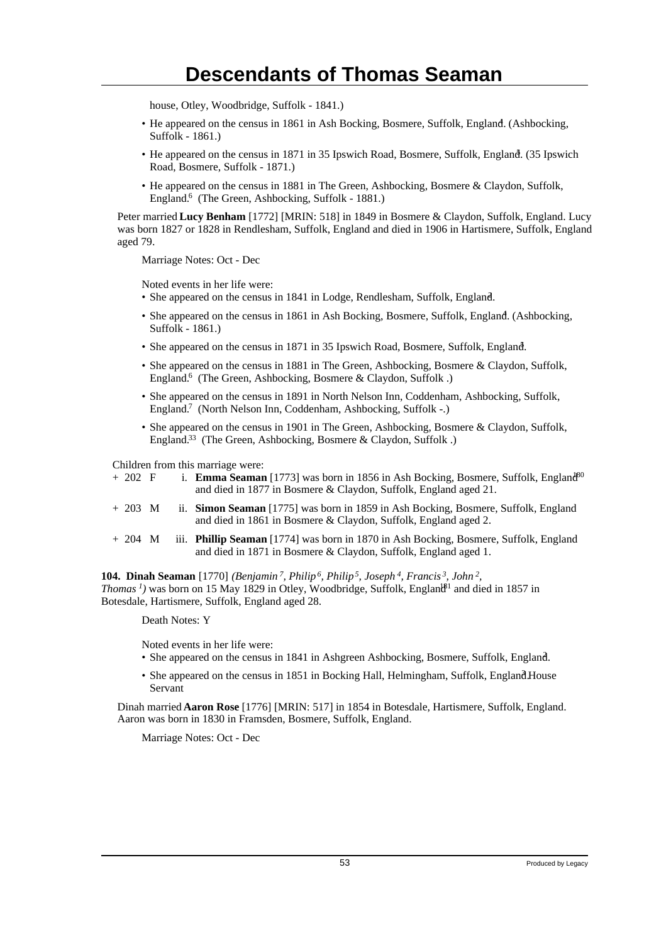house, Otley, Woodbridge, Suffolk - 1841.)

- He appeared on the census in 1861 in Ash Bocking, Bosmere, Suffolk, England. <sup>4</sup> (Ashbocking, Suffolk - 1861.)
- He appeared on the census in 1871 in 35 Ipswich Road, Bosmere, Suffolk, England. (35 Ipswich Road, Bosmere, Suffolk - 1871.)
- He appeared on the census in 1881 in The Green, Ashbocking, Bosmere & Claydon, Suffolk, England.<sup>6</sup> (The Green, Ashbocking, Suffolk - 1881.)

Peter married **Lucy Benham** [1772] [MRIN: 518] in 1849 in Bosmere & Claydon, Suffolk, England. Lucy was born 1827 or 1828 in Rendlesham, Suffolk, England and died in 1906 in Hartismere, Suffolk, England aged 79.

Marriage Notes: Oct - Dec

Noted events in her life were:

- She appeared on the census in 1841 in Lodge, Rendlesham, Suffolk, England.
- She appeared on the census in 1861 in Ash Bocking, Bosmere, Suffolk, England. (Ashbocking, Suffolk - 1861.)
- She appeared on the census in 1871 in 35 Ipswich Road, Bosmere, Suffolk, England.
- She appeared on the census in 1881 in The Green, Ashbocking, Bosmere & Claydon, Suffolk, England.<sup>6</sup> (The Green, Ashbocking, Bosmere & Claydon, Suffolk.)
- She appeared on the census in 1891 in North Nelson Inn, Coddenham, Ashbocking, Suffolk, England.<sup>7</sup> (North Nelson Inn, Coddenham, Ashbocking, Suffolk -.)
- She appeared on the census in 1901 in The Green, Ashbocking, Bosmere & Claydon, Suffolk, England.<sup>33</sup> (The Green, Ashbocking, Bosmere & Claydon, Suffolk.)

Children from this marriage were:

- + 202 F i. **Emma Seaman** [1773] was born in 1856 in Ash Bocking, Bosmere, Suffolk, England<sup>80</sup> and died in 1877 in Bosmere & Claydon, Suffolk, England aged 21.
- + 203 M ii. **Simon Seaman** [1775] was born in 1859 in Ash Bocking, Bosmere, Suffolk, England and died in 1861 in Bosmere & Claydon, Suffolk, England aged 2.
- + 204 M iii. **Phillip Seaman** [1774] was born in 1870 in Ash Bocking, Bosmere, Suffolk, England and died in 1871 in Bosmere & Claydon, Suffolk, England aged 1.

**104. Dinah Seaman** [1770] *(Benjamin<sup>7</sup>, Philip<sup>6</sup>, Philip<sup>5</sup>, Joseph<sup>4</sup>, Francis<sup>3</sup>, John<sup>2</sup> , Thomas<sup>1</sup>*) was born on 15 May 1829 in Otley, Woodbridge, Suffolk, England<sup>81</sup> and died in 1857 in Botesdale, Hartismere, Suffolk, England aged 28.

Death Notes: Y

Noted events in her life were:

- She appeared on the census in 1841 in Ashgreen Ashbocking, Bosmere, Suffolk, England. <sup>2</sup>
- She appeared on the census in 1851 in Bocking Hall, Helmingham, Suffolk, EnglandHouse Servant

Dinah married **Aaron Rose** [1776] [MRIN: 517] in 1854 in Botesdale, Hartismere, Suffolk, England. Aaron was born in 1830 in Framsden, Bosmere, Suffolk, England.

Marriage Notes: Oct - Dec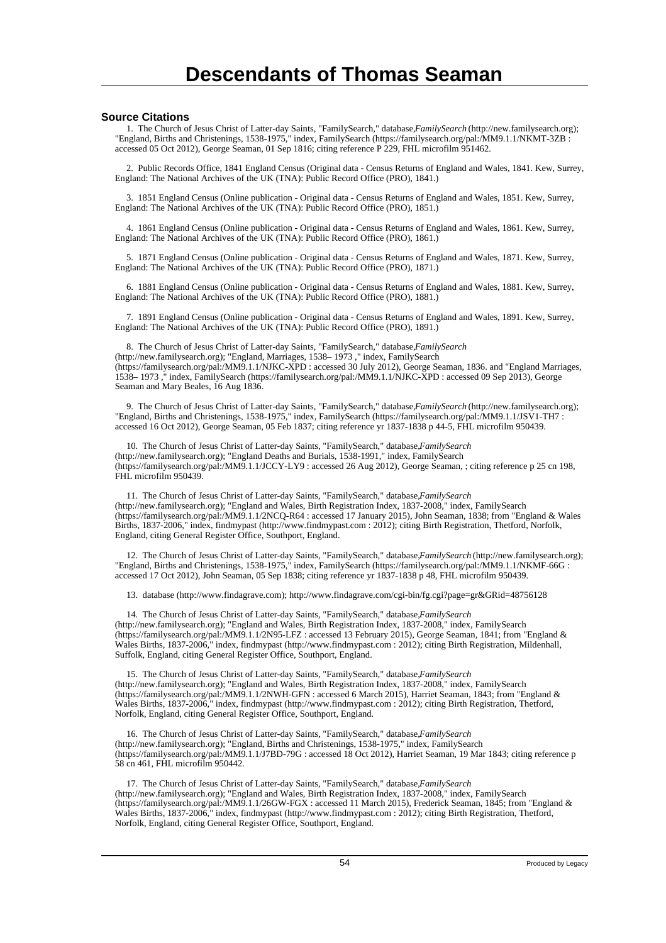#### **Source Citations**

 1. The Church of Jesus Christ of Latter-day Saints, "FamilySearch," database, *FamilySearch* (http://new.familysearch.org); "England, Births and Christenings, 1538-1975," index, FamilySearch (https://familysearch.org/pal:/MM9.1.1/NKMT-3ZB : accessed 05 Oct 2012), George Seaman, 01 Sep 1816; citing reference P 229, FHL microfilm 951462.

 2. Public Records Office, 1841 England Census (Original data - Census Returns of England and Wales, 1841. Kew, Surrey, England: The National Archives of the UK (TNA): Public Record Office (PRO), 1841.)

 3. 1851 England Census (Online publication - Original data - Census Returns of England and Wales, 1851. Kew, Surrey, England: The National Archives of the UK (TNA): Public Record Office (PRO), 1851.)

 4. 1861 England Census (Online publication - Original data - Census Returns of England and Wales, 1861. Kew, Surrey, England: The National Archives of the UK (TNA): Public Record Office (PRO), 1861.)

 5. 1871 England Census (Online publication - Original data - Census Returns of England and Wales, 1871. Kew, Surrey, England: The National Archives of the UK (TNA): Public Record Office (PRO), 1871.)

 6. 1881 England Census (Online publication - Original data - Census Returns of England and Wales, 1881. Kew, Surrey, England: The National Archives of the UK (TNA): Public Record Office (PRO), 1881.)

 7. 1891 England Census (Online publication - Original data - Census Returns of England and Wales, 1891. Kew, Surrey, England: The National Archives of the UK (TNA): Public Record Office (PRO), 1891.)

 8. The Church of Jesus Christ of Latter-day Saints, "FamilySearch," database, *FamilySearch* (http://new.familysearch.org); "England, Marriages, 1538– 1973 ," index, FamilySearch (https://familysearch.org/pal:/MM9.1.1/NJKC-XPD : accessed 30 July 2012), George Seaman, 1836. and "England Marriages, 1538– 1973 ," index, FamilySearch (https://familysearch.org/pal:/MM9.1.1/NJKC-XPD : accessed 09 Sep 2013), George Seaman and Mary Beales, 16 Aug 1836.

9. The Church of Jesus Christ of Latter-day Saints, "FamilySearch," database, *FamilySearch* (http://new.familysearch.org); "England, Births and Christenings, 1538-1975," index, FamilySearch (https://familysearch.org/pal:/MM9.1.1/JSV1-TH7 : accessed 16 Oct 2012), George Seaman, 05 Feb 1837; citing reference yr 1837-1838 p 44-5, FHL microfilm 950439.

 10. The Church of Jesus Christ of Latter-day Saints, "FamilySearch," database, *FamilySearch* (http://new.familysearch.org); "England Deaths and Burials, 1538-1991," index, FamilySearch (https://familysearch.org/pal:/MM9.1.1/JCCY-LY9 : accessed 26 Aug 2012), George Seaman, ; citing reference p 25 cn 198, FHL microfilm 950439.

11. The Church of Jesus Christ of Latter-day Saints, "FamilySearch," database, *FamilySearch* (http://new.familysearch.org); "England and Wales, Birth Registration Index, 1837-2008," index, FamilySearch (https://familysearch.org/pal:/MM9.1.1/2NCQ-R64 : accessed 17 January 2015), John Seaman, 1838; from "England & Wales Births, 1837-2006," index, findmypast (http://www.findmypast.com : 2012); citing Birth Registration, Thetford, Norfolk, England, citing General Register Office, Southport, England.

 12. The Church of Jesus Christ of Latter-day Saints, "FamilySearch," database, *FamilySearch* (http://new.familysearch.org); "England, Births and Christenings, 1538-1975," index, FamilySearch (https://familysearch.org/pal:/MM9.1.1/NKMF-66G : accessed 17 Oct 2012), John Seaman, 05 Sep 1838; citing reference yr 1837-1838 p 48, FHL microfilm 950439.

13. database (http://www.findagrave.com); http://www.findagrave.com/cgi-bin/fg.cgi?page=gr&GRid=48756128

14. The Church of Jesus Christ of Latter-day Saints, "FamilySearch," database, *FamilySearch* (http://new.familysearch.org); "England and Wales, Birth Registration Index, 1837-2008," index, FamilySearch (https://familysearch.org/pal:/MM9.1.1/2N95-LFZ : accessed 13 February 2015), George Seaman, 1841; from "England & Wales Births, 1837-2006," index, findmypast (http://www.findmypast.com : 2012); citing Birth Registration, Mildenhall, Suffolk, England, citing General Register Office, Southport, England.

15. The Church of Jesus Christ of Latter-day Saints, "FamilySearch," database, *FamilySearch* (http://new.familysearch.org); "England and Wales, Birth Registration Index, 1837-2008," index, FamilySearch (https://familysearch.org/pal:/MM9.1.1/2NWH-GFN : accessed 6 March 2015), Harriet Seaman, 1843; from "England & Wales Births, 1837-2006," index, findmypast (http://www.findmypast.com : 2012); citing Birth Registration, Thetford, Norfolk, England, citing General Register Office, Southport, England.

 16. The Church of Jesus Christ of Latter-day Saints, "FamilySearch," database, *FamilySearch* (http://new.familysearch.org); "England, Births and Christenings, 1538-1975," index, FamilySearch (https://familysearch.org/pal:/MM9.1.1/J7BD-79G : accessed 18 Oct 2012), Harriet Seaman, 19 Mar 1843; citing reference p 58 cn 461, FHL microfilm 950442.

17. The Church of Jesus Christ of Latter-day Saints, "FamilySearch," database, *FamilySearch* (http://new.familysearch.org); "England and Wales, Birth Registration Index, 1837-2008," index, FamilySearch (https://familysearch.org/pal:/MM9.1.1/26GW-FGX : accessed 11 March 2015), Frederick Seaman, 1845; from "England & Wales Births, 1837-2006," index, findmypast (http://www.findmypast.com : 2012); citing Birth Registration, Thetford, Norfolk, England, citing General Register Office, Southport, England.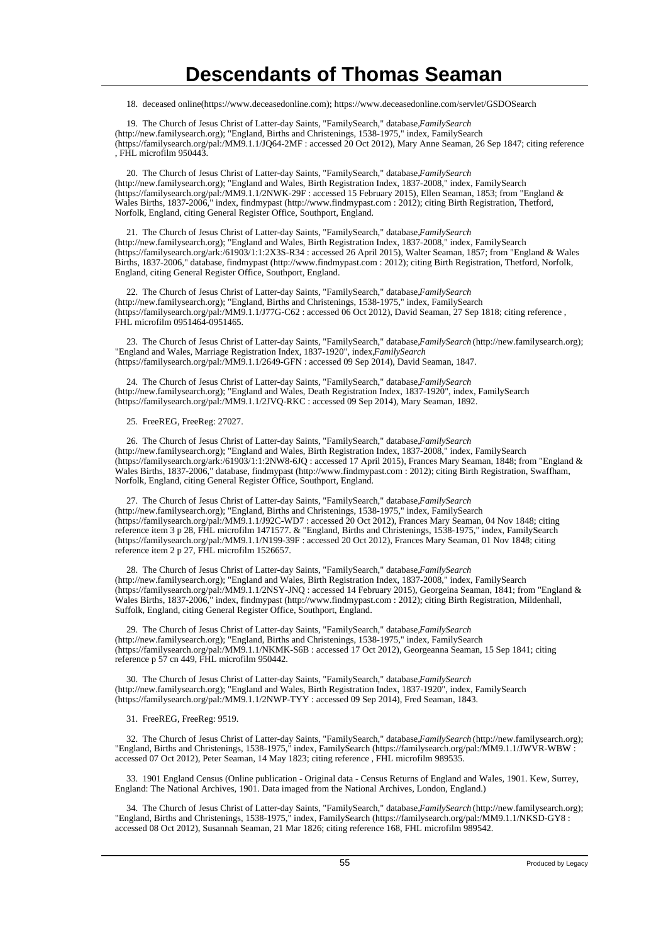18. deceased online(https://www.deceasedonline.com); https://www.deceasedonline.com/servlet/GSDOSearch

 19. The Church of Jesus Christ of Latter-day Saints, "FamilySearch," database, *FamilySearch* (http://new.familysearch.org); "England, Births and Christenings, 1538-1975," index, FamilySearch (https://familysearch.org/pal:/MM9.1.1/JQ64-2MF : accessed 20 Oct 2012), Mary Anne Seaman, 26 Sep 1847; citing reference , FHL microfilm 950443.

 20. The Church of Jesus Christ of Latter-day Saints, "FamilySearch," database, *FamilySearch* (http://new.familysearch.org); "England and Wales, Birth Registration Index, 1837-2008," index, FamilySearch (https://familysearch.org/pal:/MM9.1.1/2NWK-29F : accessed 15 February 2015), Ellen Seaman, 1853; from "England & Wales Births, 1837-2006," index, findmypast (http://www.findmypast.com : 2012); citing Birth Registration, Thetford, Norfolk, England, citing General Register Office, Southport, England.

 21. The Church of Jesus Christ of Latter-day Saints, "FamilySearch," database, *FamilySearch* (http://new.familysearch.org); "England and Wales, Birth Registration Index, 1837-2008," index, FamilySearch (https://familysearch.org/ark:/61903/1:1:2X3S-R34 : accessed 26 April 2015), Walter Seaman, 1857; from "England & Wales Births, 1837-2006," database, findmypast (http://www.findmypast.com : 2012); citing Birth Registration, Thetford, Norfolk, England, citing General Register Office, Southport, England.

22. The Church of Jesus Christ of Latter-day Saints, "FamilySearch," database, *FamilySearch* (http://new.familysearch.org); "England, Births and Christenings, 1538-1975," index, FamilySearch (https://familysearch.org/pal:/MM9.1.1/J77G-C62 : accessed 06 Oct 2012), David Seaman, 27 Sep 1818; citing reference , FHL microfilm 0951464-0951465.

 23. The Church of Jesus Christ of Latter-day Saints, "FamilySearch," database, *FamilySearch* (http://new.familysearch.org); "England and Wales, Marriage Registration Index, 1837-1920", index, Family Search (https://familysearch.org/pal:/MM9.1.1/2649-GFN : accessed 09 Sep 2014), David Seaman, 1847.

 24. The Church of Jesus Christ of Latter-day Saints, "FamilySearch," database, *FamilySearch* (http://new.familysearch.org); "England and Wales, Death Registration Index, 1837-1920", index, FamilySearch (https://familysearch.org/pal:/MM9.1.1/2JVQ-RKC : accessed 09 Sep 2014), Mary Seaman, 1892.

25. FreeREG, FreeReg: 27027.

26. The Church of Jesus Christ of Latter-day Saints, "FamilySearch," database, *FamilySearch* (http://new.familysearch.org); "England and Wales, Birth Registration Index, 1837-2008," index, FamilySearch (https://familysearch.org/ark:/61903/1:1:2NW8-6JQ : accessed 17 April 2015), Frances Mary Seaman, 1848; from "England & Wales Births, 1837-2006," database, findmypast (http://www.findmypast.com : 2012); citing Birth Registration, Swaffham, Norfolk, England, citing General Register Office, Southport, England.

 27. The Church of Jesus Christ of Latter-day Saints, "FamilySearch," database, *FamilySearch* (http://new.familysearch.org); "England, Births and Christenings, 1538-1975," index, FamilySearch (https://familysearch.org/pal:/MM9.1.1/J92C-WD7 : accessed 20 Oct 2012), Frances Mary Seaman, 04 Nov 1848; citing reference item 3 p 28, FHL microfilm 1471577. & "England, Births and Christenings, 1538-1975," index, FamilySearch (https://familysearch.org/pal:/MM9.1.1/N199-39F : accessed 20 Oct 2012), Frances Mary Seaman, 01 Nov 1848; citing reference item 2 p 27, FHL microfilm 1526657.

28. The Church of Jesus Christ of Latter-day Saints, "FamilySearch," database, *FamilySearch* (http://new.familysearch.org); "England and Wales, Birth Registration Index, 1837-2008," index, FamilySearch (https://familysearch.org/pal:/MM9.1.1/2NSY-JNQ : accessed 14 February 2015), Georgeina Seaman, 1841; from "England & Wales Births, 1837-2006," index, findmypast (http://www.findmypast.com : 2012); citing Birth Registration, Mildenhall, Suffolk, England, citing General Register Office, Southport, England.

29. The Church of Jesus Christ of Latter-day Saints, "FamilySearch," database, *FamilySearch* (http://new.familysearch.org); "England, Births and Christenings, 1538-1975," index, FamilySearch (https://familysearch.org/pal:/MM9.1.1/NKMK-S6B : accessed 17 Oct 2012), Georgeanna Seaman, 15 Sep 1841; citing reference p 57 cn 449, FHL microfilm 950442.

 30. The Church of Jesus Christ of Latter-day Saints, "FamilySearch," database, *FamilySearch* (http://new.familysearch.org); "England and Wales, Birth Registration Index, 1837-1920", index, FamilySearch (https://familysearch.org/pal:/MM9.1.1/2NWP-TYY : accessed 09 Sep 2014), Fred Seaman, 1843.

31. FreeREG, FreeReg: 9519.

 32. The Church of Jesus Christ of Latter-day Saints, "FamilySearch," database, *FamilySearch* (http://new.familysearch.org); "England, Births and Christenings, 1538-1975," index, FamilySearch (https://familysearch.org/pal:/MM9.1.1/JWVR-WBW : accessed 07 Oct 2012), Peter Seaman, 14 May 1823; citing reference , FHL microfilm 989535.

 33. 1901 England Census (Online publication - Original data - Census Returns of England and Wales, 1901. Kew, Surrey, England: The National Archives, 1901. Data imaged from the National Archives, London, England.)

 34. The Church of Jesus Christ of Latter-day Saints, "FamilySearch," database, *FamilySearch* (http://new.familysearch.org); "England, Births and Christenings, 1538-1975," index, FamilySearch (https://familysearch.org/pal:/MM9.1.1/NKSD-GY8 : accessed 08 Oct 2012), Susannah Seaman, 21 Mar 1826; citing reference 168, FHL microfilm 989542.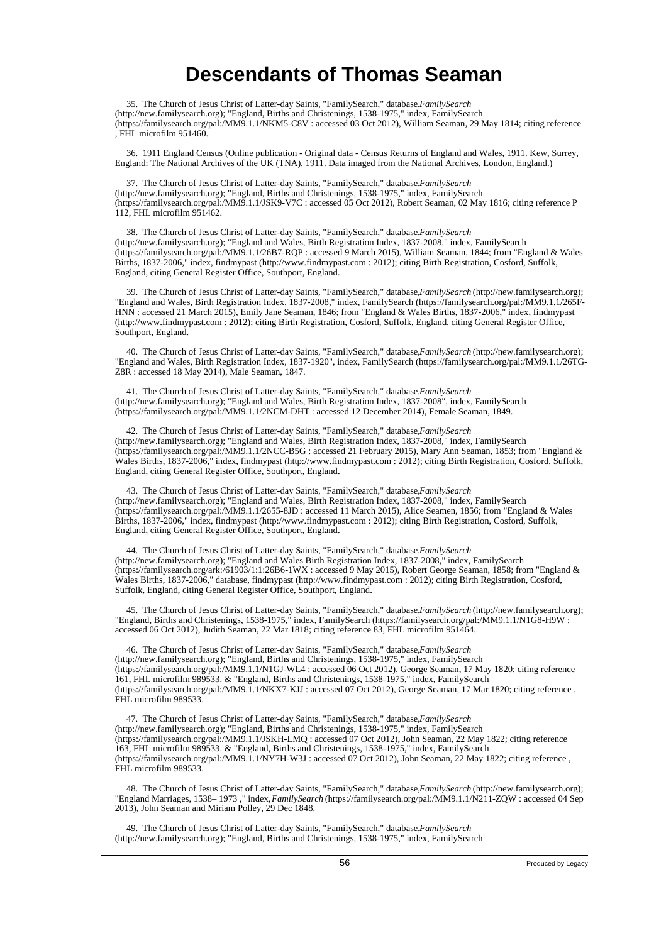35. The Church of Jesus Christ of Latter-day Saints, "FamilySearch," database, *FamilySearch* (http://new.familysearch.org); "England, Births and Christenings, 1538-1975," index, FamilySearch (https://familysearch.org/pal:/MM9.1.1/NKM5-C8V : accessed 03 Oct 2012), William Seaman, 29 May 1814; citing reference , FHL microfilm 951460.

 36. 1911 England Census (Online publication - Original data - Census Returns of England and Wales, 1911. Kew, Surrey, England: The National Archives of the UK (TNA), 1911. Data imaged from the National Archives, London, England.)

 37. The Church of Jesus Christ of Latter-day Saints, "FamilySearch," database, *FamilySearch* (http://new.familysearch.org); "England, Births and Christenings, 1538-1975," index, FamilySearch (https://familysearch.org/pal:/MM9.1.1/JSK9-V7C : accessed 05 Oct 2012), Robert Seaman, 02 May 1816; citing reference P 112, FHL microfilm 951462.

 38. The Church of Jesus Christ of Latter-day Saints, "FamilySearch," database, *FamilySearch* (http://new.familysearch.org); "England and Wales, Birth Registration Index, 1837-2008," index, FamilySearch (https://familysearch.org/pal:/MM9.1.1/26B7-RQP : accessed 9 March 2015), William Seaman, 1844; from "England & Wales Births, 1837-2006," index, findmypast (http://www.findmypast.com : 2012); citing Birth Registration, Cosford, Suffolk, England, citing General Register Office, Southport, England.

 39. The Church of Jesus Christ of Latter-day Saints, "FamilySearch," database, *FamilySearch* (http://new.familysearch.org); "England and Wales, Birth Registration Index, 1837-2008," index, FamilySearch (https://familysearch.org/pal:/MM9.1.1/265F-HNN : accessed 21 March 2015), Emily Jane Seaman, 1846; from "England & Wales Births, 1837-2006," index, findmypast (http://www.findmypast.com : 2012); citing Birth Registration, Cosford, Suffolk, England, citing General Register Office, Southport, England.

 40. The Church of Jesus Christ of Latter-day Saints, "FamilySearch," database, *FamilySearch* (http://new.familysearch.org); "England and Wales, Birth Registration Index, 1837-1920", index, FamilySearch (https://familysearch.org/pal:/MM9.1.1/26TG-Z8R : accessed 18 May 2014), Male Seaman, 1847.

 41. The Church of Jesus Christ of Latter-day Saints, "FamilySearch," database, *FamilySearch* (http://new.familysearch.org); "England and Wales, Birth Registration Index, 1837-2008", index, FamilySearch (https://familysearch.org/pal:/MM9.1.1/2NCM-DHT : accessed 12 December 2014), Female Seaman, 1849.

 42. The Church of Jesus Christ of Latter-day Saints, "FamilySearch," database, *FamilySearch* (http://new.familysearch.org); "England and Wales, Birth Registration Index, 1837-2008," index, FamilySearch (https://familysearch.org/pal:/MM9.1.1/2NCC-B5G : accessed 21 February 2015), Mary Ann Seaman, 1853; from "England & Wales Births, 1837-2006," index, findmypast (http://www.findmypast.com : 2012); citing Birth Registration, Cosford, Suffolk, England, citing General Register Office, Southport, England.

 43. The Church of Jesus Christ of Latter-day Saints, "FamilySearch," database, *FamilySearch* (http://new.familysearch.org); "England and Wales, Birth Registration Index, 1837-2008," index, FamilySearch (https://familysearch.org/pal:/MM9.1.1/2655-8JD : accessed 11 March 2015), Alice Seamen, 1856; from "England & Wales Births, 1837-2006," index, findmypast (http://www.findmypast.com : 2012); citing Birth Registration, Cosford, Suffolk, England, citing General Register Office, Southport, England.

 44. The Church of Jesus Christ of Latter-day Saints, "FamilySearch," database, *FamilySearch* (http://new.familysearch.org); "England and Wales Birth Registration Index, 1837-2008," index, FamilySearch (https://familysearch.org/ark:/61903/1:1:26B6-1WX : accessed 9 May 2015), Robert George Seaman, 1858; from "England & Wales Births, 1837-2006," database, findmypast (http://www.findmypast.com : 2012); citing Birth Registration, Cosford, Suffolk, England, citing General Register Office, Southport, England.

 45. The Church of Jesus Christ of Latter-day Saints, "FamilySearch," database, *FamilySearch* (http://new.familysearch.org); "England, Births and Christenings, 1538-1975," index, FamilySearch (https://familysearch.org/pal:/MM9.1.1/N1G8-H9W : accessed 06 Oct 2012), Judith Seaman, 22 Mar 1818; citing reference 83, FHL microfilm 951464.

 46. The Church of Jesus Christ of Latter-day Saints, "FamilySearch," database, *FamilySearch* (http://new.familysearch.org); "England, Births and Christenings, 1538-1975," index, FamilySearch (https://familysearch.org/pal:/MM9.1.1/N1GJ-WL4 : accessed 06 Oct 2012), George Seaman, 17 May 1820; citing reference 161, FHL microfilm 989533. & "England, Births and Christenings, 1538-1975," index, FamilySearch (https://familysearch.org/pal:/MM9.1.1/NKX7-KJJ : accessed 07 Oct 2012), George Seaman, 17 Mar 1820; citing reference , FHL microfilm 989533.

 47. The Church of Jesus Christ of Latter-day Saints, "FamilySearch," database, *FamilySearch* (http://new.familysearch.org); "England, Births and Christenings, 1538-1975," index, FamilySearch (https://familysearch.org/pal:/MM9.1.1/JSKH-LMQ : accessed 07 Oct 2012), John Seaman, 22 May 1822; citing reference 163, FHL microfilm 989533. & "England, Births and Christenings, 1538-1975," index, FamilySearch (https://familysearch.org/pal:/MM9.1.1/NY7H-W3J : accessed 07 Oct 2012), John Seaman, 22 May 1822; citing reference , FHL microfilm 989533.

 48. The Church of Jesus Christ of Latter-day Saints, "FamilySearch," database, *FamilySearch* (http://new.familysearch.org); "England Marriages, 1538– 1973 ," index, *FamilySearch* (https://familysearch.org/pal:/MM9.1.1/N211-ZQW : accessed 04 Sep 2013), John Seaman and Miriam Polley, 29 Dec 1848.

49. The Church of Jesus Christ of Latter-day Saints, "FamilySearch," database, FamilySearch (http://new.familysearch.org); "England, Births and Christenings, 1538-1975," index, FamilySearch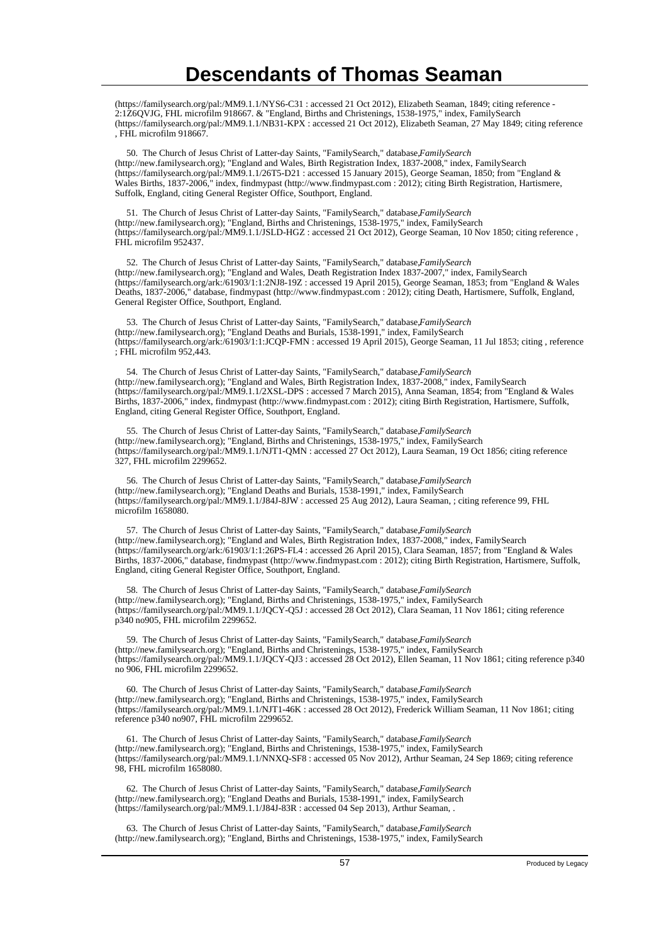(https://familysearch.org/pal:/MM9.1.1/NYS6-C31 : accessed 21 Oct 2012), Elizabeth Seaman, 1849; citing reference - 2:1Z6QVJG, FHL microfilm 918667. & "England, Births and Christenings, 1538-1975," index, FamilySearch (https://familysearch.org/pal:/MM9.1.1/NB31-KPX : accessed 21 Oct 2012), Elizabeth Seaman, 27 May 1849; citing reference , FHL microfilm 918667.

 50. The Church of Jesus Christ of Latter-day Saints, "FamilySearch," database, *FamilySearch* (http://new.familysearch.org); "England and Wales, Birth Registration Index, 1837-2008," index, FamilySearch (https://familysearch.org/pal:/MM9.1.1/26T5-D21 : accessed 15 January 2015), George Seaman, 1850; from "England & Wales Births, 1837-2006," index, findmypast (http://www.findmypast.com : 2012); citing Birth Registration, Hartismere, Suffolk, England, citing General Register Office, Southport, England.

 51. The Church of Jesus Christ of Latter-day Saints, "FamilySearch," database, *FamilySearch* (http://new.familysearch.org); "England, Births and Christenings, 1538-1975," index, FamilySearch (https://familysearch.org/pal:/MM9.1.1/JSLD-HGZ : accessed 21 Oct 2012), George Seaman, 10 Nov 1850; citing reference , FHL microfilm 952437.

 52. The Church of Jesus Christ of Latter-day Saints, "FamilySearch," database, *FamilySearch* (http://new.familysearch.org); "England and Wales, Death Registration Index 1837-2007," index, FamilySearch (https://familysearch.org/ark:/61903/1:1:2NJ8-19Z : accessed 19 April 2015), George Seaman, 1853; from "England & Wales Deaths, 1837-2006," database, findmypast (http://www.findmypast.com : 2012); citing Death, Hartismere, Suffolk, England, General Register Office, Southport, England.

 53. The Church of Jesus Christ of Latter-day Saints, "FamilySearch," database, *FamilySearch* (http://new.familysearch.org); "England Deaths and Burials, 1538-1991," index, FamilySearch (https://familysearch.org/ark:/61903/1:1:JCQP-FMN : accessed 19 April 2015), George Seaman, 11 Jul 1853; citing , reference ; FHL microfilm 952,443.

54. The Church of Jesus Christ of Latter-day Saints, "FamilySearch," database, *FamilySearch* (http://new.familysearch.org); "England and Wales, Birth Registration Index, 1837-2008," index, FamilySearch (https://familysearch.org/pal:/MM9.1.1/2XSL-DPS : accessed 7 March 2015), Anna Seaman, 1854; from "England & Wales Births, 1837-2006," index, findmypast (http://www.findmypast.com : 2012); citing Birth Registration, Hartismere, Suffolk, England, citing General Register Office, Southport, England.

55. The Church of Jesus Christ of Latter-day Saints, "FamilySearch," database, *FamilySearch* (http://new.familysearch.org); "England, Births and Christenings, 1538-1975," index, FamilySearch (https://familysearch.org/pal:/MM9.1.1/NJT1-QMN : accessed 27 Oct 2012), Laura Seaman, 19 Oct 1856; citing reference 327, FHL microfilm 2299652.

 56. The Church of Jesus Christ of Latter-day Saints, "FamilySearch," database, *FamilySearch* (http://new.familysearch.org); "England Deaths and Burials, 1538-1991," index, FamilySearch (https://familysearch.org/pal:/MM9.1.1/J84J-8JW : accessed 25 Aug 2012), Laura Seaman, ; citing reference 99, FHL microfilm 1658080.

 57. The Church of Jesus Christ of Latter-day Saints, "FamilySearch," database, *FamilySearch* (http://new.familysearch.org); "England and Wales, Birth Registration Index, 1837-2008," index, FamilySearch (https://familysearch.org/ark:/61903/1:1:26PS-FL4 : accessed 26 April 2015), Clara Seaman, 1857; from "England & Wales Births, 1837-2006," database, findmypast (http://www.findmypast.com : 2012); citing Birth Registration, Hartismere, Suffolk, England, citing General Register Office, Southport, England.

 58. The Church of Jesus Christ of Latter-day Saints, "FamilySearch," database, *FamilySearch* (http://new.familysearch.org); "England, Births and Christenings, 1538-1975," index, FamilySearch (https://familysearch.org/pal:/MM9.1.1/JQCY-Q5J : accessed 28 Oct 2012), Clara Seaman, 11 Nov 1861; citing reference p340 no905, FHL microfilm 2299652.

 59. The Church of Jesus Christ of Latter-day Saints, "FamilySearch," database, *FamilySearch* (http://new.familysearch.org); "England, Births and Christenings, 1538-1975," index, FamilySearch (https://familysearch.org/pal:/MM9.1.1/JQCY-QJ3 : accessed 28 Oct 2012), Ellen Seaman, 11 Nov 1861; citing reference p340 no 906, FHL microfilm 2299652.

 60. The Church of Jesus Christ of Latter-day Saints, "FamilySearch," database, *FamilySearch* (http://new.familysearch.org); "England, Births and Christenings, 1538-1975," index, FamilySearch (https://familysearch.org/pal:/MM9.1.1/NJT1-46K : accessed 28 Oct 2012), Frederick William Seaman, 11 Nov 1861; citing reference p340 no907, FHL microfilm 2299652.

 61. The Church of Jesus Christ of Latter-day Saints, "FamilySearch," database, *FamilySearch* (http://new.familysearch.org); "England, Births and Christenings, 1538-1975," index, FamilySearch (https://familysearch.org/pal:/MM9.1.1/NNXQ-SF8 : accessed 05 Nov 2012), Arthur Seaman, 24 Sep 1869; citing reference 98, FHL microfilm 1658080.

 62. The Church of Jesus Christ of Latter-day Saints, "FamilySearch," database, *FamilySearch* (http://new.familysearch.org); "England Deaths and Burials, 1538-1991," index, FamilySearch (https://familysearch.org/pal:/MM9.1.1/J84J-83R : accessed 04 Sep 2013), Arthur Seaman, .

 63. The Church of Jesus Christ of Latter-day Saints, "FamilySearch," database, *FamilySearch* (http://new.familysearch.org); "England, Births and Christenings, 1538-1975," index, FamilySearch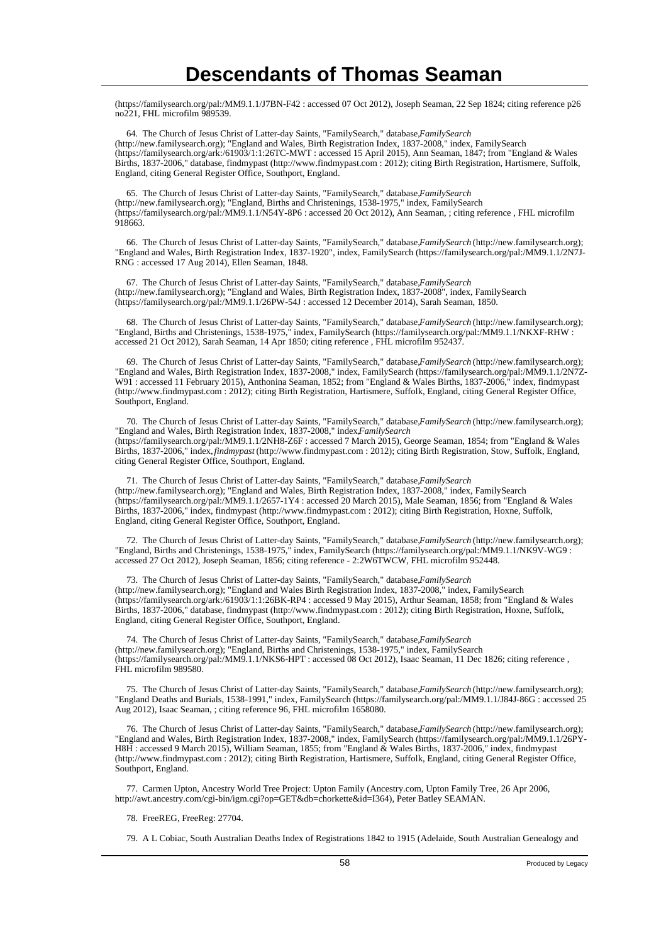(https://familysearch.org/pal:/MM9.1.1/J7BN-F42 : accessed 07 Oct 2012), Joseph Seaman, 22 Sep 1824; citing reference p26 no221, FHL microfilm 989539.

64. The Church of Jesus Christ of Latter-day Saints, "FamilySearch," database, FamilySearch (http://new.familysearch.org); "England and Wales, Birth Registration Index, 1837-2008," index, FamilySearch (https://familysearch.org/ark:/61903/1:1:26TC-MWT : accessed 15 April 2015), Ann Seaman, 1847; from "England & Wales Births, 1837-2006," database, findmypast (http://www.findmypast.com : 2012); citing Birth Registration, Hartismere, Suffolk, England, citing General Register Office, Southport, England.

 65. The Church of Jesus Christ of Latter-day Saints, "FamilySearch," database, *FamilySearch* (http://new.familysearch.org); "England, Births and Christenings, 1538-1975," index, FamilySearch (https://familysearch.org/pal:/MM9.1.1/N54Y-8P6 : accessed 20 Oct 2012), Ann Seaman, ; citing reference , FHL microfilm 918663.

 66. The Church of Jesus Christ of Latter-day Saints, "FamilySearch," database, *FamilySearch* (http://new.familysearch.org); "England and Wales, Birth Registration Index, 1837-1920", index, FamilySearch (https://familysearch.org/pal:/MM9.1.1/2N7J-RNG : accessed 17 Aug 2014), Ellen Seaman, 1848.

 67. The Church of Jesus Christ of Latter-day Saints, "FamilySearch," database, *FamilySearch* (http://new.familysearch.org); "England and Wales, Birth Registration Index, 1837-2008", index, FamilySearch (https://familysearch.org/pal:/MM9.1.1/26PW-54J : accessed 12 December 2014), Sarah Seaman, 1850.

 68. The Church of Jesus Christ of Latter-day Saints, "FamilySearch," database, *FamilySearch* (http://new.familysearch.org); "England, Births and Christenings, 1538-1975," index, FamilySearch (https://familysearch.org/pal:/MM9.1.1/NKXF-RHW : accessed 21 Oct 2012), Sarah Seaman, 14 Apr 1850; citing reference , FHL microfilm 952437.

 69. The Church of Jesus Christ of Latter-day Saints, "FamilySearch," database, *FamilySearch* (http://new.familysearch.org); "England and Wales, Birth Registration Index, 1837-2008," index, FamilySearch (https://familysearch.org/pal:/MM9.1.1/2N7Z-W91 : accessed 11 February 2015), Anthonina Seaman, 1852; from "England & Wales Births, 1837-2006," index, findmypast (http://www.findmypast.com : 2012); citing Birth Registration, Hartismere, Suffolk, England, citing General Register Office, Southport, England.

 70. The Church of Jesus Christ of Latter-day Saints, "FamilySearch," database, *FamilySearch* (http://new.familysearch.org); "England and Wales, Birth Registration Index, 1837-2008," index. *FamilySearch* (https://familysearch.org/pal:/MM9.1.1/2NH8-Z6F : accessed 7 March 2015), George Seaman, 1854; from "England & Wales Births, 1837-2006," index, *findmypast* (http://www.findmypast.com : 2012); citing Birth Registration, Stow, Suffolk, England, citing General Register Office, Southport, England.

 71. The Church of Jesus Christ of Latter-day Saints, "FamilySearch," database, *FamilySearch* (http://new.familysearch.org); "England and Wales, Birth Registration Index, 1837-2008," index, FamilySearch (https://familysearch.org/pal:/MM9.1.1/2657-1Y4 : accessed 20 March 2015), Male Seaman, 1856; from "England & Wales Births, 1837-2006," index, findmypast (http://www.findmypast.com : 2012); citing Birth Registration, Hoxne, Suffolk, England, citing General Register Office, Southport, England.

 72. The Church of Jesus Christ of Latter-day Saints, "FamilySearch," database, *FamilySearch* (http://new.familysearch.org); "England, Births and Christenings, 1538-1975," index, FamilySearch (https://familysearch.org/pal:/MM9.1.1/NK9V-WG9 : accessed 27 Oct 2012), Joseph Seaman, 1856; citing reference - 2:2W6TWCW, FHL microfilm 952448.

73. The Church of Jesus Christ of Latter-day Saints, "FamilySearch," database, *FamilySearch* (http://new.familysearch.org); "England and Wales Birth Registration Index, 1837-2008," index, FamilySearch (https://familysearch.org/ark:/61903/1:1:26BK-RP4 : accessed 9 May 2015), Arthur Seaman, 1858; from "England & Wales Births, 1837-2006," database, findmypast (http://www.findmypast.com : 2012); citing Birth Registration, Hoxne, Suffolk, England, citing General Register Office, Southport, England.

74. The Church of Jesus Christ of Latter-day Saints, "FamilySearch," database, FamilySearch (http://new.familysearch.org); "England, Births and Christenings, 1538-1975," index, FamilySearch (https://familysearch.org/pal:/MM9.1.1/NKS6-HPT : accessed 08 Oct 2012), Isaac Seaman, 11 Dec 1826; citing reference , FHL microfilm 989580.

 75. The Church of Jesus Christ of Latter-day Saints, "FamilySearch," database, *FamilySearch* (http://new.familysearch.org); "England Deaths and Burials, 1538-1991," index, FamilySearch (https://familysearch.org/pal:/MM9.1.1/J84J-86G : accessed 25 Aug 2012), Isaac Seaman, ; citing reference 96, FHL microfilm 1658080.

 76. The Church of Jesus Christ of Latter-day Saints, "FamilySearch," database, *FamilySearch* (http://new.familysearch.org); "England and Wales, Birth Registration Index, 1837-2008," index, FamilySearch (https://familysearch.org/pal:/MM9.1.1/26PY-H8H : accessed 9 March 2015), William Seaman, 1855; from "England & Wales Births, 1837-2006," index, findmypast (http://www.findmypast.com : 2012); citing Birth Registration, Hartismere, Suffolk, England, citing General Register Office, Southport, England.

 77. Carmen Upton, Ancestry World Tree Project: Upton Family (Ancestry.com, Upton Family Tree, 26 Apr 2006, http://awt.ancestry.com/cgi-bin/igm.cgi?op=GET&db=chorkette&id=I364), Peter Batley SEAMAN.

78. FreeREG, FreeReg: 27704.

79. A L Cobiac, South Australian Deaths Index of Registrations 1842 to 1915 (Adelaide, South Australian Genealogy and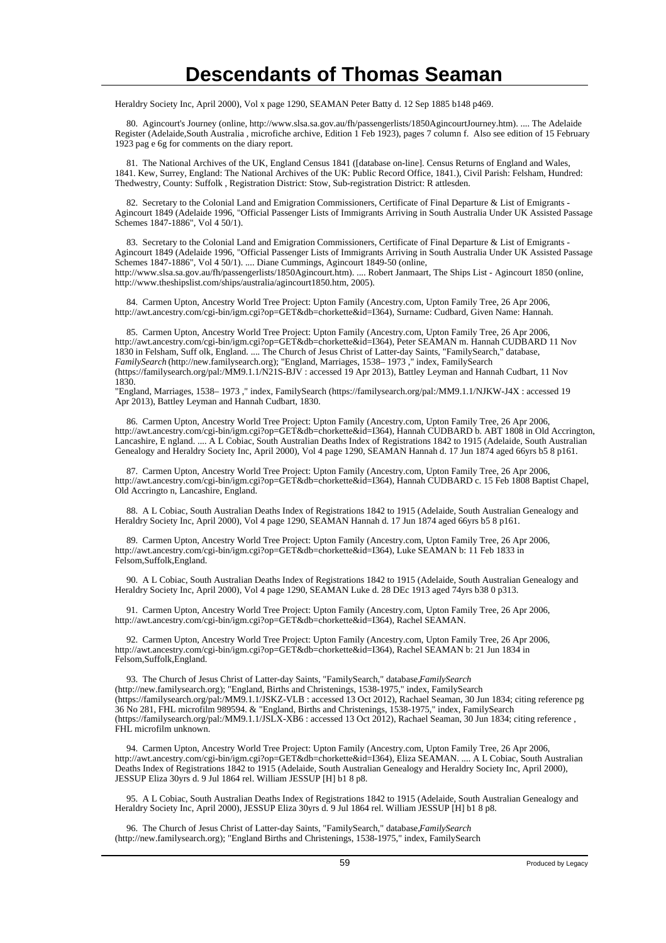Heraldry Society Inc, April 2000), Vol x page 1290, SEAMAN Peter Batty d. 12 Sep 1885 b148 p469.

 80. Agincourt's Journey (online, http://www.slsa.sa.gov.au/fh/passengerlists/1850AgincourtJourney.htm). .... The Adelaide Register (Adelaide,South Australia , microfiche archive, Edition 1 Feb 1923), pages 7 column f. Also see edition of 15 February 1923 pag e 6g for comments on the diary report.

 81. The National Archives of the UK, England Census 1841 ([database on-line]. Census Returns of England and Wales, 1841. Kew, Surrey, England: The National Archives of the UK: Public Record Office, 1841.), Civil Parish: Felsham, Hundred: Thedwestry, County: Suffolk , Registration District: Stow, Sub-registration District: R attlesden.

 82. Secretary to the Colonial Land and Emigration Commissioners, Certificate of Final Departure & List of Emigrants - Agincourt 1849 (Adelaide 1996, "Official Passenger Lists of Immigrants Arriving in South Australia Under UK Assisted Passage Schemes 1847-1886", Vol 4 50/1).

83. Secretary to the Colonial Land and Emigration Commissioners, Certificate of Final Departure & List of Emigrants -Agincourt 1849 (Adelaide 1996, "Official Passenger Lists of Immigrants Arriving in South Australia Under UK Assisted Passage Schemes 1847-1886", Vol 4 50/1). .... Diane Cummings, Agincourt 1849-50 (online, http://www.slsa.sa.gov.au/fh/passengerlists/1850Agincourt.htm). .... Robert Janmaart, The Ships List - Agincourt 1850 (online, http://www.theshipslist.com/ships/australia/agincourt1850.htm, 2005).

 84. Carmen Upton, Ancestry World Tree Project: Upton Family (Ancestry.com, Upton Family Tree, 26 Apr 2006, http://awt.ancestry.com/cgi-bin/igm.cgi?op=GET&db=chorkette&id=I364), Surname: Cudbard, Given Name: Hannah.

 85. Carmen Upton, Ancestry World Tree Project: Upton Family (Ancestry.com, Upton Family Tree, 26 Apr 2006, http://awt.ancestry.com/cgi-bin/igm.cgi?op=GET&db=chorkette&id=I364), Peter SEAMAN m. Hannah CUDBARD 11 Nov 1830 in Felsham, Suff olk, England. .... The Church of Jesus Christ of Latter-day Saints, "FamilySearch," database, *FamilySearch* (http://new.familysearch.org); "England, Marriages, 1538– 1973 ," index, FamilySearch (https://familysearch.org/pal:/MM9.1.1/N21S-BJV : accessed 19 Apr 2013), Battley Leyman and Hannah Cudbart, 11 Nov 1830.

"England, Marriages, 1538– 1973 ," index, FamilySearch (https://familysearch.org/pal:/MM9.1.1/NJKW-J4X : accessed 19 Apr 2013), Battley Leyman and Hannah Cudbart, 1830.

 86. Carmen Upton, Ancestry World Tree Project: Upton Family (Ancestry.com, Upton Family Tree, 26 Apr 2006, http://awt.ancestry.com/cgi-bin/igm.cgi?op=GET&db=chorkette&id=I364), Hannah CUDBARD b. ABT 1808 in Old Accrington, Lancashire, E ngland. .... A L Cobiac, South Australian Deaths Index of Registrations 1842 to 1915 (Adelaide, South Australian Genealogy and Heraldry Society Inc, April 2000), Vol 4 page 1290, SEAMAN Hannah d. 17 Jun 1874 aged 66yrs b5 8 p161.

 87. Carmen Upton, Ancestry World Tree Project: Upton Family (Ancestry.com, Upton Family Tree, 26 Apr 2006, http://awt.ancestry.com/cgi-bin/igm.cgi?op=GET&db=chorkette&id=I364), Hannah CUDBARD c. 15 Feb 1808 Baptist Chapel, Old Accringto n, Lancashire, England.

 88. A L Cobiac, South Australian Deaths Index of Registrations 1842 to 1915 (Adelaide, South Australian Genealogy and Heraldry Society Inc, April 2000), Vol 4 page 1290, SEAMAN Hannah d. 17 Jun 1874 aged 66yrs b5 8 p161.

 89. Carmen Upton, Ancestry World Tree Project: Upton Family (Ancestry.com, Upton Family Tree, 26 Apr 2006, http://awt.ancestry.com/cgi-bin/igm.cgi?op=GET&db=chorkette&id=I364), Luke SEAMAN b: 11 Feb 1833 in Felsom,Suffolk,England.

 90. A L Cobiac, South Australian Deaths Index of Registrations 1842 to 1915 (Adelaide, South Australian Genealogy and Heraldry Society Inc, April 2000), Vol 4 page 1290, SEAMAN Luke d. 28 DEc 1913 aged 74yrs b38 0 p313.

 91. Carmen Upton, Ancestry World Tree Project: Upton Family (Ancestry.com, Upton Family Tree, 26 Apr 2006, http://awt.ancestry.com/cgi-bin/igm.cgi?op=GET&db=chorkette&id=I364), Rachel SEAMAN.

 92. Carmen Upton, Ancestry World Tree Project: Upton Family (Ancestry.com, Upton Family Tree, 26 Apr 2006, http://awt.ancestry.com/cgi-bin/igm.cgi?op=GET&db=chorkette&id=I364), Rachel SEAMAN b: 21 Jun 1834 in Felsom,Suffolk,England.

 93. The Church of Jesus Christ of Latter-day Saints, "FamilySearch," database, *FamilySearch* (http://new.familysearch.org); "England, Births and Christenings, 1538-1975," index, FamilySearch (https://familysearch.org/pal:/MM9.1.1/JSKZ-VLB : accessed 13 Oct 2012), Rachael Seaman, 30 Jun 1834; citing reference pg 36 No 281, FHL microfilm 989594. & "England, Births and Christenings, 1538-1975," index, FamilySearch (https://familysearch.org/pal:/MM9.1.1/JSLX-XB6 : accessed 13 Oct 2012), Rachael Seaman, 30 Jun 1834; citing reference , FHL microfilm unknown.

 94. Carmen Upton, Ancestry World Tree Project: Upton Family (Ancestry.com, Upton Family Tree, 26 Apr 2006, http://awt.ancestry.com/cgi-bin/igm.cgi?op=GET&db=chorkette&id=I364), Eliza SEAMAN. .... A L Cobiac, South Australian Deaths Index of Registrations 1842 to 1915 (Adelaide, South Australian Genealogy and Heraldry Society Inc, April 2000), JESSUP Eliza 30yrs d. 9 Jul 1864 rel. William JESSUP [H] b1 8 p8.

 95. A L Cobiac, South Australian Deaths Index of Registrations 1842 to 1915 (Adelaide, South Australian Genealogy and Heraldry Society Inc, April 2000), JESSUP Eliza 30yrs d. 9 Jul 1864 rel. William JESSUP [H] b1 8 p8.

96. The Church of Jesus Christ of Latter-day Saints, "FamilySearch," database, FamilySearch (http://new.familysearch.org); "England Births and Christenings, 1538-1975," index, FamilySearch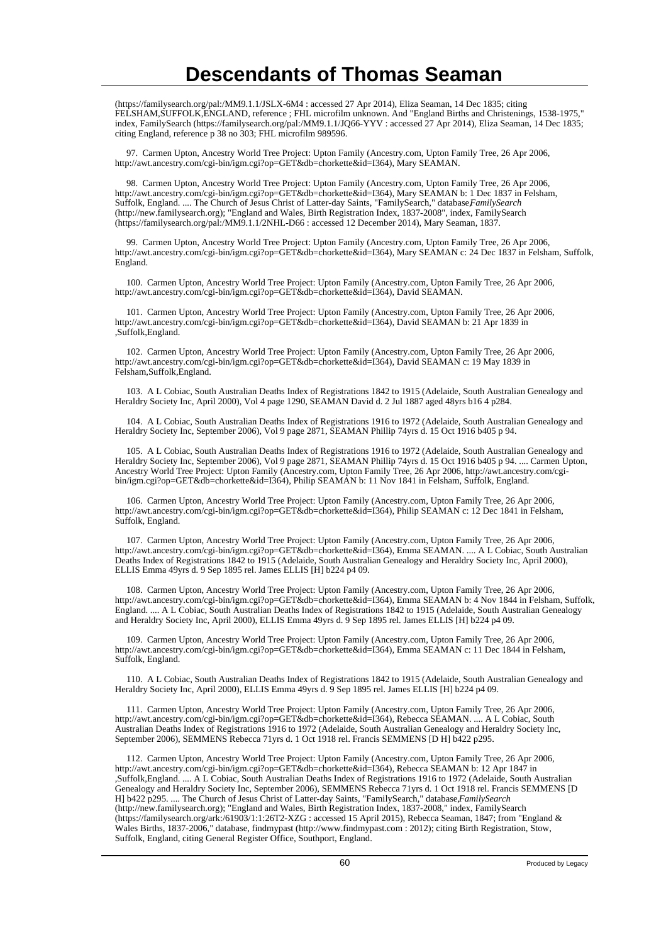(https://familysearch.org/pal:/MM9.1.1/JSLX-6M4 : accessed 27 Apr 2014), Eliza Seaman, 14 Dec 1835; citing FELSHAM,SUFFOLK,ENGLAND, reference ; FHL microfilm unknown. And "England Births and Christenings, 1538-1975, index, FamilySearch (https://familysearch.org/pal:/MM9.1.1/JQ66-YYV : accessed 27 Apr 2014), Eliza Seaman, 14 Dec 1835; citing England, reference p 38 no 303; FHL microfilm 989596.

 97. Carmen Upton, Ancestry World Tree Project: Upton Family (Ancestry.com, Upton Family Tree, 26 Apr 2006, http://awt.ancestry.com/cgi-bin/igm.cgi?op=GET&db=chorkette&id=I364), Mary SEAMAN.

 98. Carmen Upton, Ancestry World Tree Project: Upton Family (Ancestry.com, Upton Family Tree, 26 Apr 2006, http://awt.ancestry.com/cgi-bin/igm.cgi?op=GET&db=chorkette&id=I364), Mary SEAMAN b: 1 Dec 1837 in Felsham, Suffolk, England. .... The Church of Jesus Christ of Latter-day Saints, "FamilySearch," database, *FamilySearch* (http://new.familysearch.org); "England and Wales, Birth Registration Index, 1837-2008", index, FamilySearch (https://familysearch.org/pal:/MM9.1.1/2NHL-D66 : accessed 12 December 2014), Mary Seaman, 1837.

 99. Carmen Upton, Ancestry World Tree Project: Upton Family (Ancestry.com, Upton Family Tree, 26 Apr 2006, http://awt.ancestry.com/cgi-bin/igm.cgi?op=GET&db=chorkette&id=I364), Mary SEAMAN c: 24 Dec 1837 in Felsham, Suffolk, England.

 100. Carmen Upton, Ancestry World Tree Project: Upton Family (Ancestry.com, Upton Family Tree, 26 Apr 2006, http://awt.ancestry.com/cgi-bin/igm.cgi?op=GET&db=chorkette&id=I364), David SEAMAN.

 101. Carmen Upton, Ancestry World Tree Project: Upton Family (Ancestry.com, Upton Family Tree, 26 Apr 2006, http://awt.ancestry.com/cgi-bin/igm.cgi?op=GET&db=chorkette&id=I364), David SEAMAN b: 21 Apr 1839 in ,Suffolk,England.

 102. Carmen Upton, Ancestry World Tree Project: Upton Family (Ancestry.com, Upton Family Tree, 26 Apr 2006, http://awt.ancestry.com/cgi-bin/igm.cgi?op=GET&db=chorkette&id=I364), David SEAMAN c: 19 May 1839 in Felsham,Suffolk,England.

 103. A L Cobiac, South Australian Deaths Index of Registrations 1842 to 1915 (Adelaide, South Australian Genealogy and Heraldry Society Inc, April 2000), Vol 4 page 1290, SEAMAN David d. 2 Jul 1887 aged 48yrs b16 4 p284.

 104. A L Cobiac, South Australian Deaths Index of Registrations 1916 to 1972 (Adelaide, South Australian Genealogy and Heraldry Society Inc, September 2006), Vol 9 page 2871, SEAMAN Phillip 74yrs d. 15 Oct 1916 b405 p 94.

 105. A L Cobiac, South Australian Deaths Index of Registrations 1916 to 1972 (Adelaide, South Australian Genealogy and Heraldry Society Inc, September 2006), Vol 9 page 2871, SEAMAN Phillip 74yrs d. 15 Oct 1916 b405 p 94. .... Carmen Upton, Ancestry World Tree Project: Upton Family (Ancestry.com, Upton Family Tree, 26 Apr 2006, http://awt.ancestry.com/cgibin/igm.cgi?op=GET&db=chorkette&id=I364), Philip SEAMAN b: 11 Nov 1841 in Felsham, Suffolk, England.

 106. Carmen Upton, Ancestry World Tree Project: Upton Family (Ancestry.com, Upton Family Tree, 26 Apr 2006, http://awt.ancestry.com/cgi-bin/igm.cgi?op=GET&db=chorkette&id=I364), Philip SEAMAN c: 12 Dec 1841 in Felsham, Suffolk, England.

 107. Carmen Upton, Ancestry World Tree Project: Upton Family (Ancestry.com, Upton Family Tree, 26 Apr 2006, http://awt.ancestry.com/cgi-bin/igm.cgi?op=GET&db=chorkette&id=I364), Emma SEAMAN. .... A L Cobiac, South Australian Deaths Index of Registrations 1842 to 1915 (Adelaide, South Australian Genealogy and Heraldry Society Inc, April 2000), ELLIS Emma 49yrs d. 9 Sep 1895 rel. James ELLIS [H] b224 p4 09.

 108. Carmen Upton, Ancestry World Tree Project: Upton Family (Ancestry.com, Upton Family Tree, 26 Apr 2006, http://awt.ancestry.com/cgi-bin/igm.cgi?op=GET&db=chorkette&id=I364), Emma SEAMAN b: 4 Nov 1844 in Felsham, Suffolk, England. .... A L Cobiac, South Australian Deaths Index of Registrations 1842 to 1915 (Adelaide, South Australian Genealogy and Heraldry Society Inc, April 2000), ELLIS Emma 49yrs d. 9 Sep 1895 rel. James ELLIS [H] b224 p4 09.

 109. Carmen Upton, Ancestry World Tree Project: Upton Family (Ancestry.com, Upton Family Tree, 26 Apr 2006, http://awt.ancestry.com/cgi-bin/igm.cgi?op=GET&db=chorkette&id=I364), Emma SEAMAN c: 11 Dec 1844 in Felsham, Suffolk, England.

 110. A L Cobiac, South Australian Deaths Index of Registrations 1842 to 1915 (Adelaide, South Australian Genealogy and Heraldry Society Inc, April 2000), ELLIS Emma 49yrs d. 9 Sep 1895 rel. James ELLIS [H] b224 p4 09.

 111. Carmen Upton, Ancestry World Tree Project: Upton Family (Ancestry.com, Upton Family Tree, 26 Apr 2006, http://awt.ancestry.com/cgi-bin/igm.cgi?op=GET&db=chorkette&id=I364), Rebecca SEAMAN. .... A L Cobiac, South Australian Deaths Index of Registrations 1916 to 1972 (Adelaide, South Australian Genealogy and Heraldry Society Inc, September 2006), SEMMENS Rebecca 71yrs d. 1 Oct 1918 rel. Francis SEMMENS [D H] b422 p295.

 112. Carmen Upton, Ancestry World Tree Project: Upton Family (Ancestry.com, Upton Family Tree, 26 Apr 2006, http://awt.ancestry.com/cgi-bin/igm.cgi?op=GET&db=chorkette&id=I364), Rebecca SEAMAN b: 12 Apr 1847 in ,Suffolk,England. .... A L Cobiac, South Australian Deaths Index of Registrations 1916 to 1972 (Adelaide, South Australian Genealogy and Heraldry Society Inc, September 2006), SEMMENS Rebecca 71yrs d. 1 Oct 1918 rel. Francis SEMMENS [D H] b422 p295. .... The Church of Jesus Christ of Latter-day Saints, "FamilySearch," database, *FamilySearch* (http://new.familysearch.org); "England and Wales, Birth Registration Index, 1837-2008," index, FamilySearch (https://familysearch.org/ark:/61903/1:1:26T2-XZG : accessed 15 April 2015), Rebecca Seaman, 1847; from "England & Wales Births, 1837-2006," database, findmypast (http://www.findmypast.com : 2012); citing Birth Registration, Stow, Suffolk, England, citing General Register Office, Southport, England.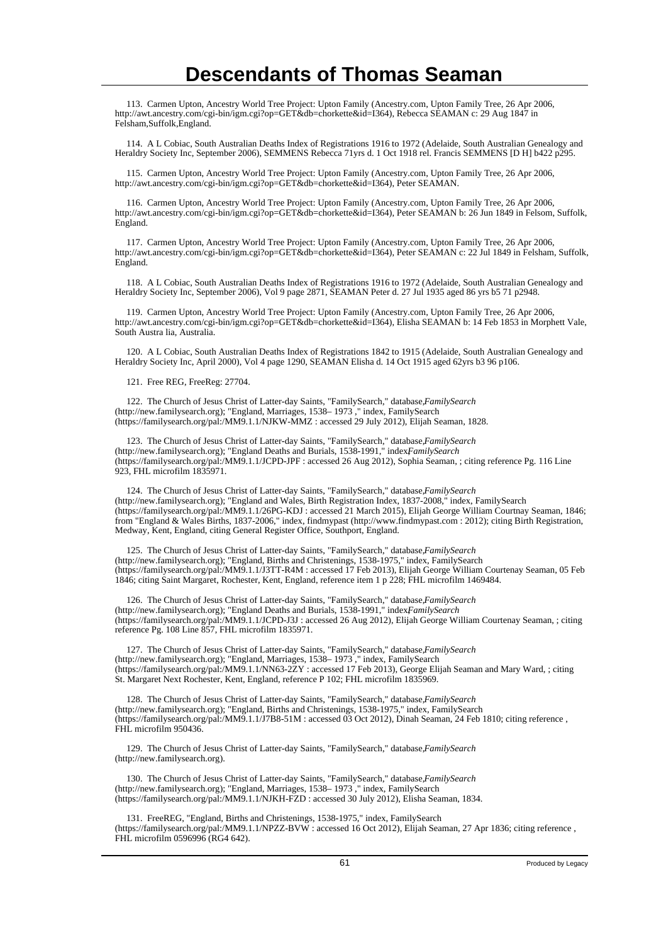113. Carmen Upton, Ancestry World Tree Project: Upton Family (Ancestry.com, Upton Family Tree, 26 Apr 2006, http://awt.ancestry.com/cgi-bin/igm.cgi?op=GET&db=chorkette&id=I364), Rebecca SEAMAN c: 29 Aug 1847 in Felsham,Suffolk,England.

 114. A L Cobiac, South Australian Deaths Index of Registrations 1916 to 1972 (Adelaide, South Australian Genealogy and Heraldry Society Inc, September 2006), SEMMENS Rebecca 71yrs d. 1 Oct 1918 rel. Francis SEMMENS [D H] b422 p295.

 115. Carmen Upton, Ancestry World Tree Project: Upton Family (Ancestry.com, Upton Family Tree, 26 Apr 2006, http://awt.ancestry.com/cgi-bin/igm.cgi?op=GET&db=chorkette&id=I364), Peter SEAMAN.

 116. Carmen Upton, Ancestry World Tree Project: Upton Family (Ancestry.com, Upton Family Tree, 26 Apr 2006, http://awt.ancestry.com/cgi-bin/igm.cgi?op=GET&db=chorkette&id=I364), Peter SEAMAN b: 26 Jun 1849 in Felsom, Suffolk, England.

 117. Carmen Upton, Ancestry World Tree Project: Upton Family (Ancestry.com, Upton Family Tree, 26 Apr 2006, http://awt.ancestry.com/cgi-bin/igm.cgi?op=GET&db=chorkette&id=I364), Peter SEAMAN c: 22 Jul 1849 in Felsham, Suffolk, England.

 118. A L Cobiac, South Australian Deaths Index of Registrations 1916 to 1972 (Adelaide, South Australian Genealogy and Heraldry Society Inc, September 2006), Vol 9 page 2871, SEAMAN Peter d. 27 Jul 1935 aged 86 yrs b5 71 p2948.

 119. Carmen Upton, Ancestry World Tree Project: Upton Family (Ancestry.com, Upton Family Tree, 26 Apr 2006, http://awt.ancestry.com/cgi-bin/igm.cgi?op=GET&db=chorkette&id=I364), Elisha SEAMAN b: 14 Feb 1853 in Morphett Vale, South Austra lia, Australia.

 120. A L Cobiac, South Australian Deaths Index of Registrations 1842 to 1915 (Adelaide, South Australian Genealogy and Heraldry Society Inc, April 2000), Vol 4 page 1290, SEAMAN Elisha d. 14 Oct 1915 aged 62yrs b3 96 p106.

121. Free REG, FreeReg: 27704.

 122. The Church of Jesus Christ of Latter-day Saints, "FamilySearch," database, *FamilySearch* (http://new.familysearch.org); "England, Marriages, 1538– 1973 ," index, FamilySearch (https://familysearch.org/pal:/MM9.1.1/NJKW-MMZ : accessed 29 July 2012), Elijah Seaman, 1828.

 123. The Church of Jesus Christ of Latter-day Saints, "FamilySearch," database, *FamilySearch* (http://new.familysearch.org); "England Deaths and Burials, 1538-1991," index*FamilySearch* (https://familysearch.org/pal:/MM9.1.1/JCPD-JPF : accessed 26 Aug 2012), Sophia Seaman, ; citing reference Pg. 116 Line 923, FHL microfilm 1835971.

124. The Church of Jesus Christ of Latter-day Saints, "FamilySearch," database, FamilySearch (http://new.familysearch.org); "England and Wales, Birth Registration Index, 1837-2008," index, FamilySearch (https://familysearch.org/pal:/MM9.1.1/26PG-KDJ : accessed 21 March 2015), Elijah George William Courtnay Seaman, 1846; from "England & Wales Births, 1837-2006," index, findmypast (http://www.findmypast.com : 2012); citing Birth Registration, Medway, Kent, England, citing General Register Office, Southport, England.

125. The Church of Jesus Christ of Latter-day Saints, "FamilySearch," database, FamilySearch (http://new.familysearch.org); "England, Births and Christenings, 1538-1975," index, FamilySearch (https://familysearch.org/pal:/MM9.1.1/J3TT-R4M : accessed 17 Feb 2013), Elijah George William Courtenay Seaman, 05 Feb 1846; citing Saint Margaret, Rochester, Kent, England, reference item 1 p 228; FHL microfilm 1469484.

 126. The Church of Jesus Christ of Latter-day Saints, "FamilySearch," database, *FamilySearch* (http://new.familysearch.org); "England Deaths and Burials, 1538-1991," index*FamilySearch* (https://familysearch.org/pal:/MM9.1.1/JCPD-J3J : accessed 26 Aug 2012), Elijah George William Courtenay Seaman, ; citing reference Pg. 108 Line 857, FHL microfilm 1835971.

 127. The Church of Jesus Christ of Latter-day Saints, "FamilySearch," database, *FamilySearch* (http://new.familysearch.org); "England, Marriages, 1538– 1973 ," index, FamilySearch (https://familysearch.org/pal:/MM9.1.1/NN63-2ZY : accessed 17 Feb 2013), George Elijah Seaman and Mary Ward, ; citing St. Margaret Next Rochester, Kent, England, reference P 102; FHL microfilm 1835969.

 128. The Church of Jesus Christ of Latter-day Saints, "FamilySearch," database, *FamilySearch* (http://new.familysearch.org); "England, Births and Christenings, 1538-1975," index, FamilySearch (https://familysearch.org/pal:/MM9.1.1/J7B8-51M : accessed 03 Oct 2012), Dinah Seaman, 24 Feb 1810; citing reference , FHL microfilm 950436.

 129. The Church of Jesus Christ of Latter-day Saints, "FamilySearch," database, *FamilySearch* (http://new.familysearch.org).

 130. The Church of Jesus Christ of Latter-day Saints, "FamilySearch," database, *FamilySearch* (http://new.familysearch.org); "England, Marriages, 1538– 1973 ," index, FamilySearch (https://familysearch.org/pal:/MM9.1.1/NJKH-FZD : accessed 30 July 2012), Elisha Seaman, 1834.

 131. FreeREG, "England, Births and Christenings, 1538-1975," index, FamilySearch (https://familysearch.org/pal:/MM9.1.1/NPZZ-BVW : accessed 16 Oct 2012), Elijah Seaman, 27 Apr 1836; citing reference , FHL microfilm 0596996 (RG4 642).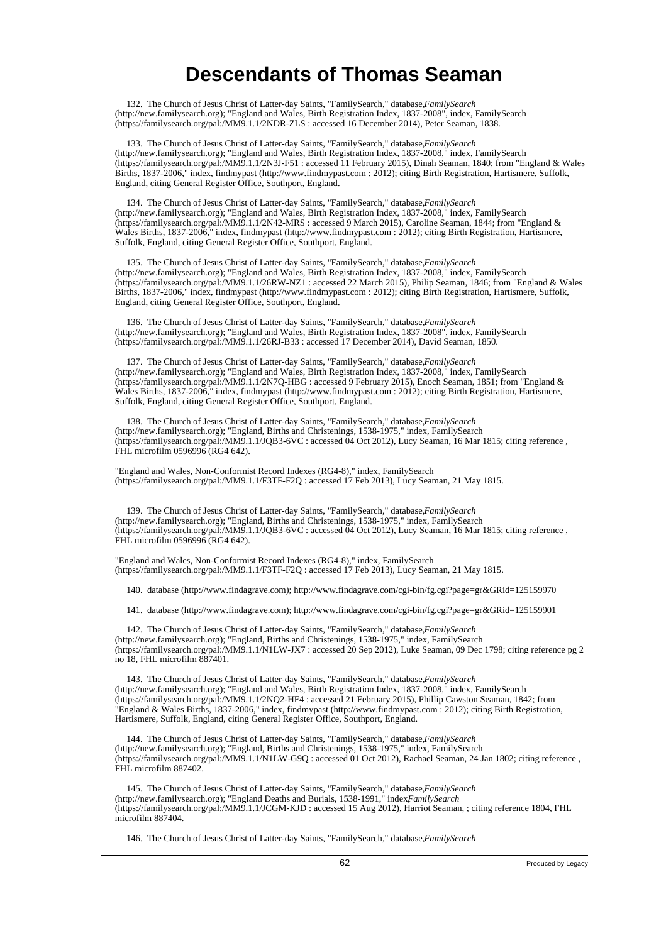132. The Church of Jesus Christ of Latter-day Saints, "FamilySearch," database, *FamilySearch* (http://new.familysearch.org); "England and Wales, Birth Registration Index, 1837-2008", index, FamilySearch (https://familysearch.org/pal:/MM9.1.1/2NDR-ZLS : accessed 16 December 2014), Peter Seaman, 1838.

133. The Church of Jesus Christ of Latter-day Saints, "FamilySearch," database, *FamilySearch* (http://new.familysearch.org); "England and Wales, Birth Registration Index, 1837-2008," index, FamilySearch (https://familysearch.org/pal:/MM9.1.1/2N3J-F51 : accessed 11 February 2015), Dinah Seaman, 1840; from "England & Wales Births, 1837-2006," index, findmypast (http://www.findmypast.com : 2012); citing Birth Registration, Hartismere, Suffolk, England, citing General Register Office, Southport, England.

134. The Church of Jesus Christ of Latter-day Saints, "FamilySearch," database, FamilySearch (http://new.familysearch.org); "England and Wales, Birth Registration Index, 1837-2008," index, FamilySearch (https://familysearch.org/pal:/MM9.1.1/2N42-MRS : accessed 9 March 2015), Caroline Seaman, 1844; from "England & Wales Births, 1837-2006," index, findmypast (http://www.findmypast.com : 2012); citing Birth Registration, Hartismere, Suffolk, England, citing General Register Office, Southport, England.

135. The Church of Jesus Christ of Latter-day Saints, "FamilySearch," database, *FamilySearch* (http://new.familysearch.org); "England and Wales, Birth Registration Index, 1837-2008," index, FamilySearch (https://familysearch.org/pal:/MM9.1.1/26RW-NZ1 : accessed 22 March 2015), Philip Seaman, 1846; from "England & Wales Births, 1837-2006," index, findmypast (http://www.findmypast.com : 2012); citing Birth Registration, Hartismere, Suffolk, England, citing General Register Office, Southport, England.

 136. The Church of Jesus Christ of Latter-day Saints, "FamilySearch," database, *FamilySearch* (http://new.familysearch.org); "England and Wales, Birth Registration Index, 1837-2008", index, FamilySearch (https://familysearch.org/pal:/MM9.1.1/26RJ-B33 : accessed 17 December 2014), David Seaman, 1850.

 137. The Church of Jesus Christ of Latter-day Saints, "FamilySearch," database, *FamilySearch* (http://new.familysearch.org); "England and Wales, Birth Registration Index, 1837-2008," index, FamilySearch (https://familysearch.org/pal:/MM9.1.1/2N7Q-HBG : accessed 9 February 2015), Enoch Seaman, 1851; from "England & Wales Births, 1837-2006," index, findmypast (http://www.findmypast.com : 2012); citing Birth Registration, Hartismere, Suffolk, England, citing General Register Office, Southport, England.

138. The Church of Jesus Christ of Latter-day Saints, "FamilySearch," database, *FamilySearch* (http://new.familysearch.org); "England, Births and Christenings, 1538-1975," index, FamilySearch (https://familysearch.org/pal:/MM9.1.1/JQB3-6VC : accessed 04 Oct 2012), Lucy Seaman, 16 Mar 1815; citing reference , FHL microfilm 0596996 (RG4 642).

"England and Wales, Non-Conformist Record Indexes (RG4-8)," index, FamilySearch (https://familysearch.org/pal:/MM9.1.1/F3TF-F2Q : accessed 17 Feb 2013), Lucy Seaman, 21 May 1815.

 139. The Church of Jesus Christ of Latter-day Saints, "FamilySearch," database, *FamilySearch* (http://new.familysearch.org); "England, Births and Christenings, 1538-1975," index, FamilySearch (https://familysearch.org/pal:/MM9.1.1/JQB3-6VC : accessed 04 Oct 2012), Lucy Seaman, 16 Mar 1815; citing reference , FHL microfilm 0596996 (RG4 642).

"England and Wales, Non-Conformist Record Indexes (RG4-8)," index, FamilySearch (https://familysearch.org/pal:/MM9.1.1/F3TF-F2Q : accessed 17 Feb 2013), Lucy Seaman, 21 May 1815.

140. database (http://www.findagrave.com); http://www.findagrave.com/cgi-bin/fg.cgi?page=gr&GRid=125159970

141. database (http://www.findagrave.com); http://www.findagrave.com/cgi-bin/fg.cgi?page=gr&GRid=125159901

 142. The Church of Jesus Christ of Latter-day Saints, "FamilySearch," database, *FamilySearch* (http://new.familysearch.org); "England, Births and Christenings, 1538-1975," index, FamilySearch (https://familysearch.org/pal:/MM9.1.1/N1LW-JX7 : accessed 20 Sep 2012), Luke Seaman, 09 Dec 1798; citing reference pg 2 no 18, FHL microfilm 887401.

 143. The Church of Jesus Christ of Latter-day Saints, "FamilySearch," database, *FamilySearch* (http://new.familysearch.org); "England and Wales, Birth Registration Index, 1837-2008," index, FamilySearch (https://familysearch.org/pal:/MM9.1.1/2NQ2-HF4 : accessed 21 February 2015), Phillip Cawston Seaman, 1842; from "England & Wales Births, 1837-2006," index, findmypast (http://www.findmypast.com : 2012); citing Birth Registration, Hartismere, Suffolk, England, citing General Register Office, Southport, England.

 144. The Church of Jesus Christ of Latter-day Saints, "FamilySearch," database, *FamilySearch* (http://new.familysearch.org); "England, Births and Christenings, 1538-1975," index, FamilySearch (https://familysearch.org/pal:/MM9.1.1/N1LW-G9Q : accessed 01 Oct 2012), Rachael Seaman, 24 Jan 1802; citing reference , FHL microfilm 887402.

 145. The Church of Jesus Christ of Latter-day Saints, "FamilySearch," database, *FamilySearch* (http://new.familysearch.org); "England Deaths and Burials, 1538-1991," index*FamilySearch* (https://familysearch.org/pal:/MM9.1.1/JCGM-KJD : accessed 15 Aug 2012), Harriot Seaman, ; citing reference 1804, FHL microfilm 887404.

146. The Church of Jesus Christ of Latter-day Saints, "FamilySearch," database, *FamilySearch*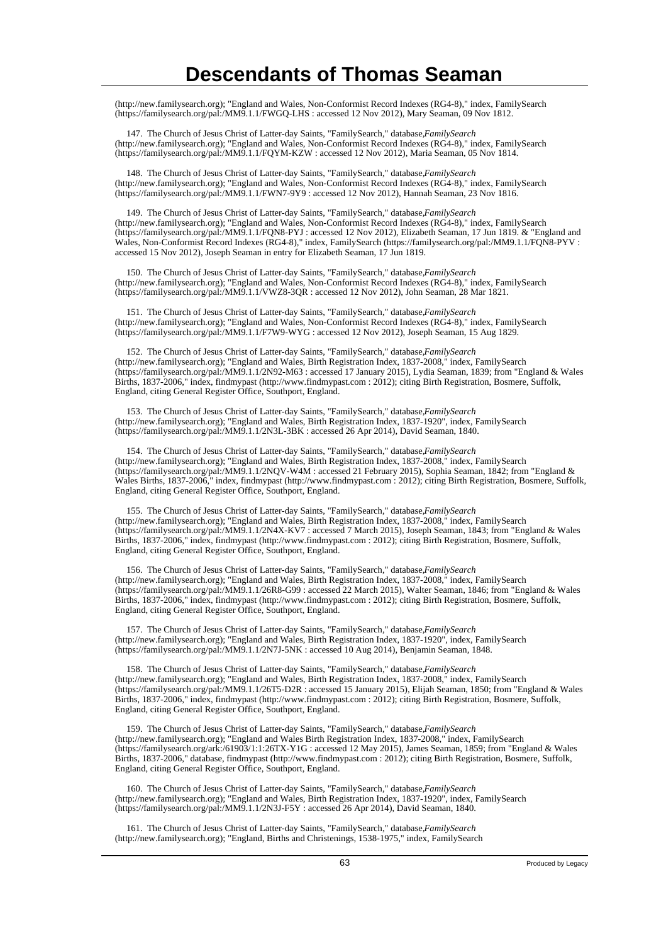(http://new.familysearch.org); "England and Wales, Non-Conformist Record Indexes (RG4-8)," index, FamilySearch (https://familysearch.org/pal:/MM9.1.1/FWGQ-LHS : accessed 12 Nov 2012), Mary Seaman, 09 Nov 1812.

147. The Church of Jesus Christ of Latter-day Saints, "FamilySearch," database, *FamilySearch* (http://new.familysearch.org); "England and Wales, Non-Conformist Record Indexes (RG4-8)," index, FamilySearch (https://familysearch.org/pal:/MM9.1.1/FQYM-KZW : accessed 12 Nov 2012), Maria Seaman, 05 Nov 1814.

 148. The Church of Jesus Christ of Latter-day Saints, "FamilySearch," database, *FamilySearch* (http://new.familysearch.org); "England and Wales, Non-Conformist Record Indexes (RG4-8)," index, FamilySearch (https://familysearch.org/pal:/MM9.1.1/FWN7-9Y9 : accessed 12 Nov 2012), Hannah Seaman, 23 Nov 1816.

 149. The Church of Jesus Christ of Latter-day Saints, "FamilySearch," database, *FamilySearch* (http://new.familysearch.org); "England and Wales, Non-Conformist Record Indexes (RG4-8)," index, FamilySearch (https://familysearch.org/pal:/MM9.1.1/FQN8-PYJ : accessed 12 Nov 2012), Elizabeth Seaman, 17 Jun 1819. & "England and Wales, Non-Conformist Record Indexes (RG4-8)," index, FamilySearch (https://familysearch.org/pal:/MM9.1.1/FQN8-PYV : accessed 15 Nov 2012), Joseph Seaman in entry for Elizabeth Seaman, 17 Jun 1819.

 150. The Church of Jesus Christ of Latter-day Saints, "FamilySearch," database, *FamilySearch* (http://new.familysearch.org); "England and Wales, Non-Conformist Record Indexes (RG4-8)," index, FamilySearch (https://familysearch.org/pal:/MM9.1.1/VWZ8-3QR : accessed 12 Nov 2012), John Seaman, 28 Mar 1821.

 151. The Church of Jesus Christ of Latter-day Saints, "FamilySearch," database, *FamilySearch* (http://new.familysearch.org); "England and Wales, Non-Conformist Record Indexes (RG4-8)," index, FamilySearch (https://familysearch.org/pal:/MM9.1.1/F7W9-WYG : accessed 12 Nov 2012), Joseph Seaman, 15 Aug 1829.

 152. The Church of Jesus Christ of Latter-day Saints, "FamilySearch," database, *FamilySearch* (http://new.familysearch.org); "England and Wales, Birth Registration Index, 1837-2008," index, FamilySearch (https://familysearch.org/pal:/MM9.1.1/2N92-M63 : accessed 17 January 2015), Lydia Seaman, 1839; from "England & Wales Births, 1837-2006," index, findmypast (http://www.findmypast.com : 2012); citing Birth Registration, Bosmere, Suffolk, England, citing General Register Office, Southport, England.

 153. The Church of Jesus Christ of Latter-day Saints, "FamilySearch," database, *FamilySearch* (http://new.familysearch.org); "England and Wales, Birth Registration Index, 1837-1920", index, FamilySearch (https://familysearch.org/pal:/MM9.1.1/2N3L-3BK : accessed 26 Apr 2014), David Seaman, 1840.

154. The Church of Jesus Christ of Latter-day Saints, "FamilySearch," database, *FamilySearch* (http://new.familysearch.org); "England and Wales, Birth Registration Index, 1837-2008," index, FamilySearch (https://familysearch.org/pal:/MM9.1.1/2NQV-W4M : accessed 21 February 2015), Sophia Seaman, 1842; from "England & Wales Births, 1837-2006," index, findmypast (http://www.findmypast.com : 2012); citing Birth Registration, Bosmere, Suffolk, England, citing General Register Office, Southport, England.

155. The Church of Jesus Christ of Latter-day Saints, "FamilySearch," database, *FamilySearch* (http://new.familysearch.org); "England and Wales, Birth Registration Index, 1837-2008," index, FamilySearch (https://familysearch.org/pal:/MM9.1.1/2N4X-KV7 : accessed 7 March 2015), Joseph Seaman, 1843; from "England & Wales Births, 1837-2006," index, findmypast (http://www.findmypast.com : 2012); citing Birth Registration, Bosmere, Suffolk, England, citing General Register Office, Southport, England.

156. The Church of Jesus Christ of Latter-day Saints, "FamilySearch," database, *FamilySearch* (http://new.familysearch.org); "England and Wales, Birth Registration Index, 1837-2008," index, FamilySearch (https://familysearch.org/pal:/MM9.1.1/26R8-G99 : accessed 22 March 2015), Walter Seaman, 1846; from "England & Wales Births, 1837-2006," index, findmypast (http://www.findmypast.com : 2012); citing Birth Registration, Bosmere, Suffolk, England, citing General Register Office, Southport, England.

 157. The Church of Jesus Christ of Latter-day Saints, "FamilySearch," database, *FamilySearch* (http://new.familysearch.org); "England and Wales, Birth Registration Index, 1837-1920", index, FamilySearch (https://familysearch.org/pal:/MM9.1.1/2N7J-5NK : accessed 10 Aug 2014), Benjamin Seaman, 1848.

 158. The Church of Jesus Christ of Latter-day Saints, "FamilySearch," database, *FamilySearch* (http://new.familysearch.org); "England and Wales, Birth Registration Index, 1837-2008," index, FamilySearch (https://familysearch.org/pal:/MM9.1.1/26T5-D2R : accessed 15 January 2015), Elijah Seaman, 1850; from "England & Wales Births, 1837-2006," index, findmypast (http://www.findmypast.com : 2012); citing Birth Registration, Bosmere, Suffolk, England, citing General Register Office, Southport, England.

 159. The Church of Jesus Christ of Latter-day Saints, "FamilySearch," database, *FamilySearch* (http://new.familysearch.org); "England and Wales Birth Registration Index, 1837-2008," index, FamilySearch (https://familysearch.org/ark:/61903/1:1:26TX-Y1G : accessed 12 May 2015), James Seaman, 1859; from "England & Wales Births, 1837-2006," database, findmypast (http://www.findmypast.com : 2012); citing Birth Registration, Bosmere, Suffolk, England, citing General Register Office, Southport, England.

160. The Church of Jesus Christ of Latter-day Saints, "FamilySearch," database, *FamilySearch* (http://new.familysearch.org); "England and Wales, Birth Registration Index, 1837-1920", index, FamilySearch (https://familysearch.org/pal:/MM9.1.1/2N3J-F5Y : accessed 26 Apr 2014), David Seaman, 1840.

 161. The Church of Jesus Christ of Latter-day Saints, "FamilySearch," database, *FamilySearch* (http://new.familysearch.org); "England, Births and Christenings, 1538-1975," index, FamilySearch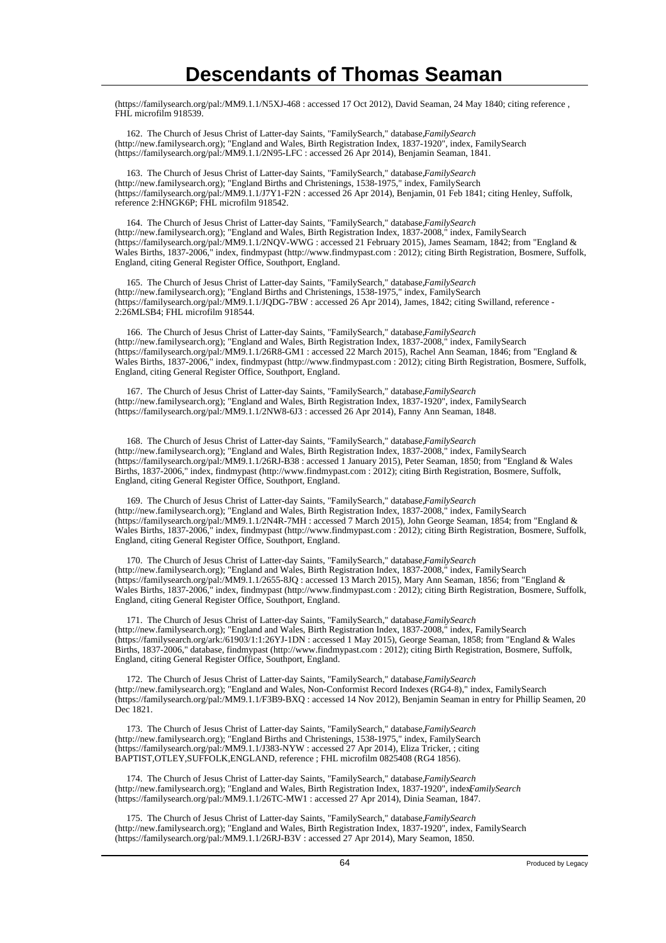(https://familysearch.org/pal:/MM9.1.1/N5XJ-468 : accessed 17 Oct 2012), David Seaman, 24 May 1840; citing reference , FHL microfilm 918539.

162. The Church of Jesus Christ of Latter-day Saints, "FamilySearch," database, FamilySearch (http://new.familysearch.org); "England and Wales, Birth Registration Index, 1837-1920", index, FamilySearch (https://familysearch.org/pal:/MM9.1.1/2N95-LFC : accessed 26 Apr 2014), Benjamin Seaman, 1841.

 163. The Church of Jesus Christ of Latter-day Saints, "FamilySearch," database, *FamilySearch* (http://new.familysearch.org); "England Births and Christenings, 1538-1975," index, FamilySearch (https://familysearch.org/pal:/MM9.1.1/J7Y1-F2N : accessed 26 Apr 2014), Benjamin, 01 Feb 1841; citing Henley, Suffolk, reference 2:HNGK6P; FHL microfilm 918542.

164. The Church of Jesus Christ of Latter-day Saints, "FamilySearch," database, FamilySearch (http://new.familysearch.org); "England and Wales, Birth Registration Index, 1837-2008," index, FamilySearch (https://familysearch.org/pal:/MM9.1.1/2NQV-WWG : accessed 21 February 2015), James Seamam, 1842; from "England & Wales Births, 1837-2006," index, findmypast (http://www.findmypast.com : 2012); citing Birth Registration, Bosmere, Suffolk, England, citing General Register Office, Southport, England.

165. The Church of Jesus Christ of Latter-day Saints, "FamilySearch," database, *FamilySearch* (http://new.familysearch.org); "England Births and Christenings, 1538-1975," index, FamilySearch (https://familysearch.org/pal:/MM9.1.1/JQDG-7BW : accessed 26 Apr 2014), James, 1842; citing Swilland, reference - 2:26MLSB4; FHL microfilm 918544.

166. The Church of Jesus Christ of Latter-day Saints, "FamilySearch," database, *FamilySearch* (http://new.familysearch.org); "England and Wales, Birth Registration Index, 1837-2008," index, FamilySearch (https://familysearch.org/pal:/MM9.1.1/26R8-GM1 : accessed 22 March 2015), Rachel Ann Seaman, 1846; from "England & Wales Births, 1837-2006," index, findmypast (http://www.findmypast.com : 2012); citing Birth Registration, Bosmere, Suffolk, England, citing General Register Office, Southport, England.

167. The Church of Jesus Christ of Latter-day Saints, "FamilySearch," database, *FamilySearch* (http://new.familysearch.org); "England and Wales, Birth Registration Index, 1837-1920", index, FamilySearch (https://familysearch.org/pal:/MM9.1.1/2NW8-6J3 : accessed 26 Apr 2014), Fanny Ann Seaman, 1848.

168. The Church of Jesus Christ of Latter-day Saints, "FamilySearch," database, *FamilySearch* (http://new.familysearch.org); "England and Wales, Birth Registration Index, 1837-2008," index, FamilySearch (https://familysearch.org/pal:/MM9.1.1/26RJ-B38 : accessed 1 January 2015), Peter Seaman, 1850; from "England & Wales Births, 1837-2006," index, findmypast (http://www.findmypast.com : 2012); citing Birth Registration, Bosmere, Suffolk, England, citing General Register Office, Southport, England.

169. The Church of Jesus Christ of Latter-day Saints, "FamilySearch," database, FamilySearch (http://new.familysearch.org); "England and Wales, Birth Registration Index, 1837-2008," index, FamilySearch (https://familysearch.org/pal:/MM9.1.1/2N4R-7MH : accessed 7 March 2015), John George Seaman, 1854; from "England & Wales Births, 1837-2006," index, findmypast (http://www.findmypast.com : 2012); citing Birth Registration, Bosmere, Suffolk, England, citing General Register Office, Southport, England.

 170. The Church of Jesus Christ of Latter-day Saints, "FamilySearch," database, *FamilySearch* (http://new.familysearch.org); "England and Wales, Birth Registration Index, 1837-2008," index, FamilySearch (https://familysearch.org/pal:/MM9.1.1/2655-8JQ : accessed 13 March 2015), Mary Ann Seaman, 1856; from "England & Wales Births, 1837-2006," index, findmypast (http://www.findmypast.com : 2012); citing Birth Registration, Bosmere, Suffolk, England, citing General Register Office, Southport, England.

 171. The Church of Jesus Christ of Latter-day Saints, "FamilySearch," database, *FamilySearch* (http://new.familysearch.org); "England and Wales, Birth Registration Index, 1837-2008," index, FamilySearch (https://familysearch.org/ark:/61903/1:1:26YJ-1DN : accessed 1 May 2015), George Seaman, 1858; from "England & Wales Births, 1837-2006," database, findmypast (http://www.findmypast.com : 2012); citing Birth Registration, Bosmere, Suffolk, England, citing General Register Office, Southport, England.

 172. The Church of Jesus Christ of Latter-day Saints, "FamilySearch," database, *FamilySearch* (http://new.familysearch.org); "England and Wales, Non-Conformist Record Indexes (RG4-8)," index, FamilySearch (https://familysearch.org/pal:/MM9.1.1/F3B9-BXQ : accessed 14 Nov 2012), Benjamin Seaman in entry for Phillip Seamen, 20 Dec 1821.

 173. The Church of Jesus Christ of Latter-day Saints, "FamilySearch," database, *FamilySearch* (http://new.familysearch.org); "England Births and Christenings, 1538-1975," index, FamilySearch (https://familysearch.org/pal:/MM9.1.1/J383-NYW : accessed 27 Apr 2014), Eliza Tricker, ; citing BAPTIST,OTLEY,SUFFOLK,ENGLAND, reference ; FHL microfilm 0825408 (RG4 1856).

 174. The Church of Jesus Christ of Latter-day Saints, "FamilySearch," database, *FamilySearch* (http://new.familysearch.org); "England and Wales, Birth Registration Index, 1837-1920", index, *FamilySearch* (https://familysearch.org/pal:/MM9.1.1/26TC-MW1 : accessed 27 Apr 2014), Dinia Seaman, 1847.

 175. The Church of Jesus Christ of Latter-day Saints, "FamilySearch," database, *FamilySearch* (http://new.familysearch.org); "England and Wales, Birth Registration Index, 1837-1920", index, FamilySearch (https://familysearch.org/pal:/MM9.1.1/26RJ-B3V : accessed 27 Apr 2014), Mary Seamon, 1850.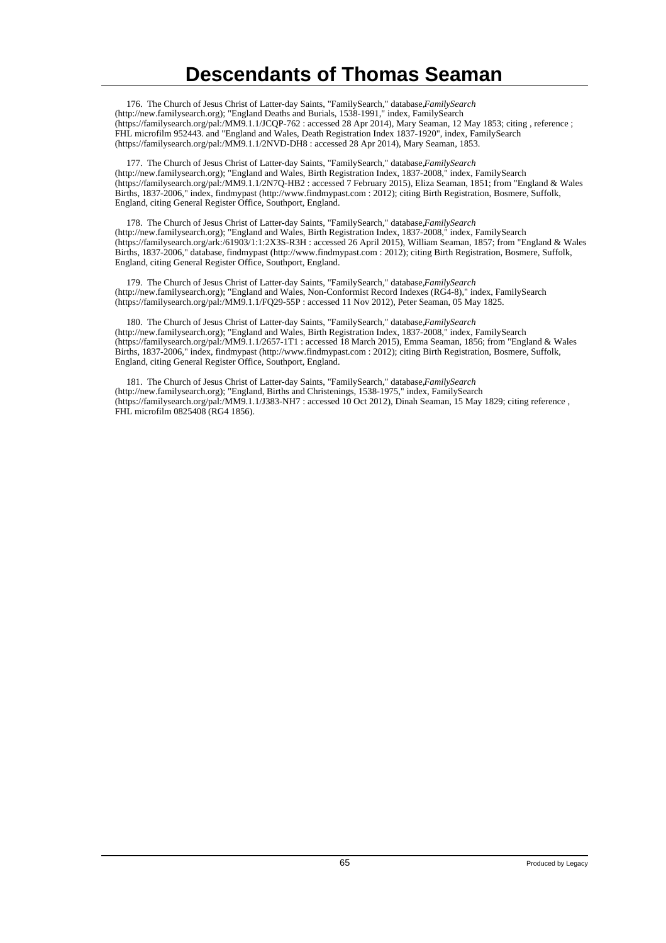176. The Church of Jesus Christ of Latter-day Saints, "FamilySearch," database, *FamilySearch* (http://new.familysearch.org); "England Deaths and Burials, 1538-1991," index, FamilySearch (https://familysearch.org/pal:/MM9.1.1/JCQP-762 : accessed 28 Apr 2014), Mary Seaman, 12 May 1853; citing , reference ; FHL microfilm 952443. and "England and Wales, Death Registration Index 1837-1920", index, FamilySearch (https://familysearch.org/pal:/MM9.1.1/2NVD-DH8 : accessed 28 Apr 2014), Mary Seaman, 1853.

 177. The Church of Jesus Christ of Latter-day Saints, "FamilySearch," database, *FamilySearch* (http://new.familysearch.org); "England and Wales, Birth Registration Index, 1837-2008," index, FamilySearch (https://familysearch.org/pal:/MM9.1.1/2N7Q-HB2 : accessed 7 February 2015), Eliza Seaman, 1851; from "England & Wales Births, 1837-2006," index, findmypast (http://www.findmypast.com : 2012); citing Birth Registration, Bosmere, Suffolk, England, citing General Register Office, Southport, England.

178. The Church of Jesus Christ of Latter-day Saints, "FamilySearch," database, FamilySearch (http://new.familysearch.org); "England and Wales, Birth Registration Index, 1837-2008," index, FamilySearch (https://familysearch.org/ark:/61903/1:1:2X3S-R3H : accessed 26 April 2015), William Seaman, 1857; from "England & Wales Births, 1837-2006," database, findmypast (http://www.findmypast.com : 2012); citing Birth Registration, Bosmere, Suffolk, England, citing General Register Office, Southport, England.

 179. The Church of Jesus Christ of Latter-day Saints, "FamilySearch," database, *FamilySearch* (http://new.familysearch.org); "England and Wales, Non-Conformist Record Indexes (RG4-8)," index, FamilySearch (https://familysearch.org/pal:/MM9.1.1/FQ29-55P : accessed 11 Nov 2012), Peter Seaman, 05 May 1825.

180. The Church of Jesus Christ of Latter-day Saints, "FamilySearch," database, FamilySearch (http://new.familysearch.org); "England and Wales, Birth Registration Index, 1837-2008," index, FamilySearch (https://familysearch.org/pal:/MM9.1.1/2657-1T1 : accessed 18 March 2015), Emma Seaman, 1856; from "England & Wales Births, 1837-2006," index, findmypast (http://www.findmypast.com : 2012); citing Birth Registration, Bosmere, Suffolk, England, citing General Register Office, Southport, England.

 181. The Church of Jesus Christ of Latter-day Saints, "FamilySearch," database, *FamilySearch* (http://new.familysearch.org); "England, Births and Christenings, 1538-1975," index, FamilySearch (https://familysearch.org/pal:/MM9.1.1/J383-NH7 : accessed 10 Oct 2012), Dinah Seaman, 15 May 1829; citing reference , FHL microfilm 0825408 (RG4 1856).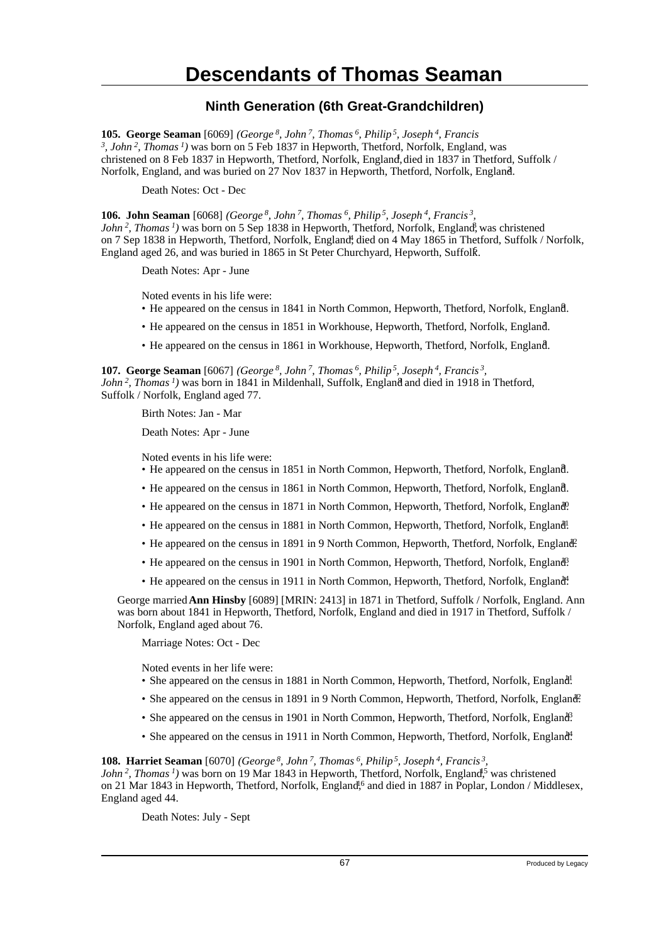### **Ninth Generation (6th Great-Grandchildren)**

**105. George Seaman** [6069] *(George<sup>8</sup>, John<sup>7</sup>, Thomas<sup>6</sup>, Philip<sup>5</sup>, Joseph<sup>4</sup>, Francis 3 , John<sup>2</sup>, Thomas<sup>1</sup>)* was born on 5 Feb 1837 in Hepworth, Thetford, Norfolk, England, was christened on 8 Feb 1837 in Hepworth, Thetford, Norfolk, England, died in 1837 in Thetford, Suffolk / Norfolk, England, and was buried on 27 Nov 1837 in Hepworth, Thetford, Norfolk, England. <sup>2</sup>

Death Notes: Oct - Dec

**106. John Seaman** [6068] *(George<sup>8</sup>, John<sup>7</sup>, Thomas<sup>6</sup>, Philip<sup>5</sup>, Joseph<sup>4</sup>, Francis<sup>3</sup> , John*<sup>2</sup>, *Thomas*<sup>*1*</sup>) was born on 5 Sep 1838 in Hepworth, Thetford, Norfolk, England, was christened on 7 Sep 1838 in Hepworth, Thetford, Norfolk, England<sup>†</sup>, died on 4 May 1865 in Thetford, Suffolk / Norfolk, England aged 26, and was buried in 1865 in St Peter Churchyard, Hepworth, Suffolk. <sup>5</sup>

Death Notes: Apr - June

Noted events in his life were:

- He appeared on the census in 1841 in North Common, Hepworth, Thetford, Norfolk, England. <sup>6</sup>
- He appeared on the census in 1851 in Workhouse, Hepworth, Thetford, Norfolk, England. <sup>7</sup>
- He appeared on the census in 1861 in Workhouse, Hepworth, Thetford, Norfolk, England. <sup>8</sup>

**107. George Seaman** [6067] *(George<sup>8</sup>, John<sup>7</sup>, Thomas<sup>6</sup>, Philip<sup>5</sup>, Joseph<sup>4</sup>, Francis<sup>3</sup> , John*<sup>2</sup>, *Thomas<sup>1</sup>*) was born in 1841 in Mildenhall, Suffolk, England and died in 1918 in Thetford, Suffolk / Norfolk, England aged 77.

Birth Notes: Jan - Mar

Death Notes: Apr - June

Noted events in his life were:

- He appeared on the census in 1851 in North Common, Hepworth, Thetford, Norfolk, England. <sup>8</sup>
- He appeared on the census in 1861 in North Common, Hepworth, Thetford, Norfolk, England. <sup>8</sup>
- He appeared on the census in 1871 in North Common, Hepworth, Thetford, Norfolk, England<sup>0</sup>.
- He appeared on the census in 1881 in North Common, Hepworth, Thetford, Norfolk, England.
- He appeared on the census in 1891 in 9 North Common, Hepworth, Thetford, Norfolk, England.
- He appeared on the census in 1901 in North Common, Hepworth, Thetford, Norfolk, England.
- He appeared on the census in 1911 in North Common, Hepworth, Thetford, Norfolk, England.

George married **Ann Hinsby** [6089] [MRIN: 2413] in 1871 in Thetford, Suffolk / Norfolk, England. Ann was born about 1841 in Hepworth, Thetford, Norfolk, England and died in 1917 in Thetford, Suffolk / Norfolk, England aged about 76.

Marriage Notes: Oct - Dec

Noted events in her life were:

- She appeared on the census in 1881 in North Common, Hepworth, Thetford, Norfolk, England!
- She appeared on the census in 1891 in 9 North Common, Hepworth, Thetford, Norfolk, England?
- She appeared on the census in 1901 in North Common, Hepworth, Thetford, Norfolk, England<sup>3</sup>.
- She appeared on the census in 1911 in North Common, Hepworth, Thetford, Norfolk, England.

**108. Harriet Seaman** [6070] *(George<sup>8</sup>, John<sup>7</sup>, Thomas<sup>6</sup>, Philip<sup>5</sup>, Joseph<sup>4</sup>, Francis<sup>3</sup> ,*

*John<sup>2</sup>*, *Thomas<sup>1</sup>*) was born on 19 Mar 1843 in Hepworth, Thetford, Norfolk, England<sup>5</sup>, was christened on 21 Mar 1843 in Hepworth, Thetford, Norfolk, England<sup>16</sup> and died in 1887 in Poplar, London / Middlesex, England aged 44.

Death Notes: July - Sept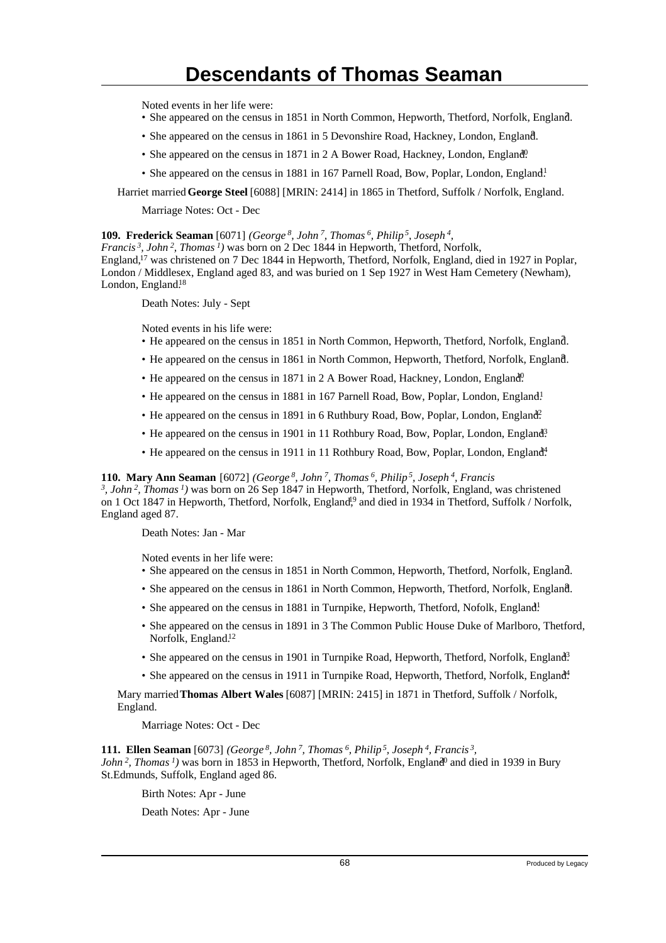Noted events in her life were:

- She appeared on the census in 1851 in North Common, Hepworth, Thetford, Norfolk, England. <sup>7</sup>
- She appeared on the census in 1861 in 5 Devonshire Road, Hackney, London, England.
- She appeared on the census in 1871 in 2 A Bower Road, Hackney, London, England<sup>0</sup>.
- She appeared on the census in 1881 in 167 Parnell Road, Bow, Poplar, London, England!

Harriet married **George Steel** [6088] [MRIN: 2414] in 1865 in Thetford, Suffolk / Norfolk, England.

Marriage Notes: Oct - Dec

**109. Frederick Seaman** [6071] *(George<sup>8</sup>, John<sup>7</sup>, Thomas<sup>6</sup>, Philip<sup>5</sup>, Joseph<sup>4</sup> ,*

*Francis<sup>3</sup>, John<sup>2</sup>, Thomas<sup>1</sup>)* was born on 2 Dec 1844 in Hepworth, Thetford, Norfolk, England,<sup>17</sup> was christened on 7 Dec 1844 in Hepworth, Thetford, Norfolk, England, died in 1927 in Poplar, London / Middlesex, England aged 83, and was buried on 1 Sep 1927 in West Ham Cemetery (Newham), London, England.<sup>18</sup>

Death Notes: July - Sept

Noted events in his life were:

- He appeared on the census in 1851 in North Common, Hepworth, Thetford, Norfolk, England. <sup>7</sup>
- He appeared on the census in 1861 in North Common, Hepworth, Thetford, Norfolk, England. <sup>8</sup>
- He appeared on the census in 1871 in 2 A Bower Road, Hackney, London, England<sup>0</sup>.
- He appeared on the census in 1881 in 167 Parnell Road, Bow, Poplar, London, England!
- He appeared on the census in 1891 in 6 Ruthbury Road, Bow, Poplar, London, England?
- He appeared on the census in 1901 in 11 Rothbury Road, Bow, Poplar, London, England<sup>3</sup>
- He appeared on the census in 1911 in 11 Rothbury Road, Bow, Poplar, London, England<sup>4</sup>.

**110. Mary Ann Seaman** [6072] *(George<sup>8</sup>, John<sup>7</sup>, Thomas<sup>6</sup>, Philip<sup>5</sup>, Joseph<sup>4</sup>, Francis*

*3 , John<sup>2</sup>, Thomas<sup>1</sup>)* was born on 26 Sep 1847 in Hepworth, Thetford, Norfolk, England, was christened on 1 Oct 1847 in Hepworth, Thetford, Norfolk, England<sup>19</sup> and died in 1934 in Thetford, Suffolk / Norfolk, England aged 87.

Death Notes: Jan - Mar

Noted events in her life were:

- She appeared on the census in 1851 in North Common, Hepworth, Thetford, Norfolk, England. <sup>7</sup>
- She appeared on the census in 1861 in North Common, Hepworth, Thetford, Norfolk, England.
- She appeared on the census in 1881 in Turnpike, Hepworth, Thetford, Nofolk, England!
- She appeared on the census in 1891 in 3 The Common Public House Duke of Marlboro, Thetford, Norfolk, England.<sup>12</sup>
- She appeared on the census in 1901 in Turnpike Road, Hepworth, Thetford, Norfolk, England<sup>3</sup>
- She appeared on the census in 1911 in Turnpike Road, Hepworth, Thetford, Norfolk, England<sup>4</sup>.

Mary married **Thomas Albert Wales** [6087] [MRIN: 2415] in 1871 in Thetford, Suffolk / Norfolk, England.

Marriage Notes: Oct - Dec

**111. Ellen Seaman** [6073] *(George<sup>8</sup>, John<sup>7</sup>, Thomas<sup>6</sup>, Philip<sup>5</sup>, Joseph<sup>4</sup>, Francis<sup>3</sup> , John*<sup>2</sup>, *Thomas*<sup>*1*</sup>) was born in 1853 in Hepworth, Thetford, Norfolk, England<sup>0</sup> and died in 1939 in Bury

St.Edmunds, Suffolk, England aged 86. Birth Notes: Apr - June

Death Notes: Apr - June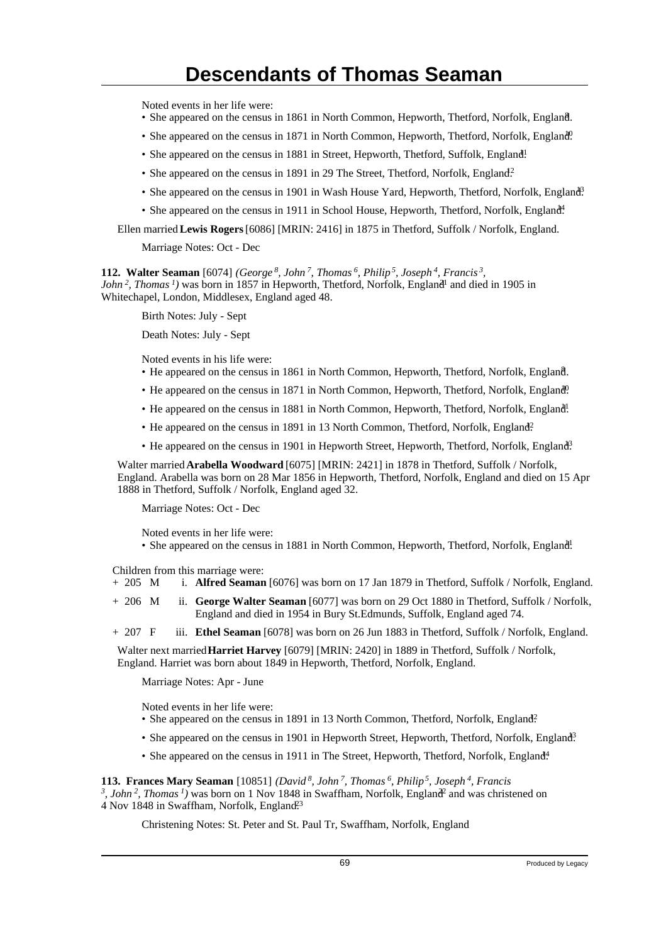Noted events in her life were:

- She appeared on the census in 1861 in North Common, Hepworth, Thetford, Norfolk, England. <sup>8</sup>
- She appeared on the census in 1871 in North Common, Hepworth, Thetford, Norfolk, England.
- She appeared on the census in 1881 in Street, Hepworth, Thetford, Suffolk, England!
- She appeared on the census in 1891 in 29 The Street, Thetford, Norfolk, England.<sup>2</sup>
- She appeared on the census in 1901 in Wash House Yard, Hepworth, Thetford, Norfolk, England?
- She appeared on the census in 1911 in School House, Hepworth, Thetford, Norfolk, England<sup>4</sup>.

Ellen married **Lewis Rogers** [6086] [MRIN: 2416] in 1875 in Thetford, Suffolk / Norfolk, England.

Marriage Notes: Oct - Dec

**112. Walter Seaman** [6074] *(George<sup>8</sup>, John<sup>7</sup>, Thomas<sup>6</sup>, Philip<sup>5</sup>, Joseph<sup>4</sup>, Francis<sup>3</sup> , John*<sup>2</sup>, *Thomas*<sup> $1$ </sup> was born in 1857 in Hepworth, Thetford, Norfolk, England<sup>1</sup> and died in 1905 in Whitechapel, London, Middlesex, England aged 48.

Birth Notes: July - Sept

Death Notes: July - Sept

Noted events in his life were:

- He appeared on the census in 1861 in North Common, Hepworth, Thetford, Norfolk, England.
- He appeared on the census in 1871 in North Common, Hepworth, Thetford, Norfolk, England<sup>0</sup>.
- He appeared on the census in 1881 in North Common, Hepworth, Thetford, Norfolk, England!
- He appeared on the census in 1891 in 13 North Common, Thetford, Norfolk, England?
- He appeared on the census in 1901 in Hepworth Street, Hepworth, Thetford, Norfolk, England<sup>3</sup>

Walter married **Arabella Woodward** [6075] [MRIN: 2421] in 1878 in Thetford, Suffolk / Norfolk, England. Arabella was born on 28 Mar 1856 in Hepworth, Thetford, Norfolk, England and died on 15 Apr 1888 in Thetford, Suffolk / Norfolk, England aged 32.

Marriage Notes: Oct - Dec

Noted events in her life were:

• She appeared on the census in 1881 in North Common, Hepworth, Thetford, Norfolk, England!

Children from this marriage were:

- + 205 M i. **Alfred Seaman** [6076] was born on 17 Jan 1879 in Thetford, Suffolk / Norfolk, England.
- + 206 M ii. **George Walter Seaman** [6077] was born on 29 Oct 1880 in Thetford, Suffolk / Norfolk, England and died in 1954 in Bury St.Edmunds, Suffolk, England aged 74.

+ 207 F iii. **Ethel Seaman** [6078] was born on 26 Jun 1883 in Thetford, Suffolk / Norfolk, England.

Walter next married **Harriet Harvey** [6079] [MRIN: 2420] in 1889 in Thetford, Suffolk / Norfolk, England. Harriet was born about 1849 in Hepworth, Thetford, Norfolk, England.

Marriage Notes: Apr - June

Noted events in her life were:

- She appeared on the census in 1891 in 13 North Common, Thetford, Norfolk, England<sup>2</sup>
- She appeared on the census in 1901 in Hepworth Street, Hepworth, Thetford, Norfolk, England<sup>3</sup>
- She appeared on the census in 1911 in The Street, Hepworth, Thetford, Norfolk, England<sup>4</sup>.

**113. Frances Mary Seaman** [10851] *(David<sup>8</sup>, John<sup>7</sup>, Thomas<sup>6</sup>, Philip<sup>5</sup>, Joseph<sup>4</sup>, Francis*

<sup>3</sup>, *John*<sup>2</sup>, *Thomas*<sup>*1*</sup>) was born on 1 Nov 1848 in Swaffham, Norfolk, England<sup>2</sup> and was christened on 4 Nov 1848 in Swaffham, Norfolk, England<sup>23</sup>

Christening Notes: St. Peter and St. Paul Tr, Swaffham, Norfolk, England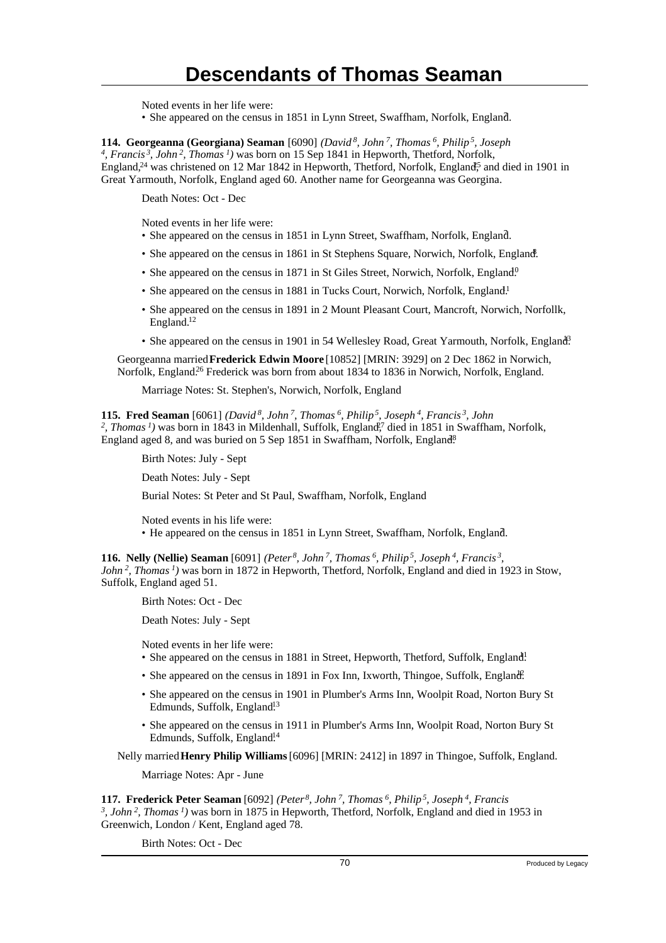Noted events in her life were:

• She appeared on the census in 1851 in Lynn Street, Swaffham, Norfolk, England.

**114. Georgeanna (Georgiana) Seaman** [6090] *(David<sup>8</sup>, John<sup>7</sup>, Thomas<sup>6</sup>, Philip<sup>5</sup>, Joseph 4 , Francis<sup>3</sup>, John<sup>2</sup>, Thomas<sup>1</sup>)* was born on 15 Sep 1841 in Hepworth, Thetford, Norfolk, England,<sup>24</sup> was christened on 12 Mar 1842 in Hepworth, Thetford, Norfolk, England<sup>5</sup> and died in 1901 in Great Yarmouth, Norfolk, England aged 60. Another name for Georgeanna was Georgina.

Death Notes: Oct - Dec

Noted events in her life were:

- She appeared on the census in 1851 in Lynn Street, Swaffham, Norfolk, England. <sup>7</sup>
- She appeared on the census in 1861 in St Stephens Square, Norwich, Norfolk, England.
- She appeared on the census in 1871 in St Giles Street, Norwich, Norfolk, England.<sup>0</sup>
- She appeared on the census in 1881 in Tucks Court, Norwich, Norfolk, England.<sup>1</sup>
- She appeared on the census in 1891 in 2 Mount Pleasant Court, Mancroft, Norwich, Norfollk, England.<sup>12</sup>
- She appeared on the census in 1901 in 54 Wellesley Road, Great Yarmouth, Norfolk, England<sup>3</sup>

Georgeanna married **Frederick Edwin Moore** [10852] [MRIN: 3929] on 2 Dec 1862 in Norwich, Norfolk, England.<sup>26</sup> Frederick was born from about 1834 to 1836 in Norwich, Norfolk, England.

Marriage Notes: St. Stephen's, Norwich, Norfolk, England

**115. Fred Seaman** [6061] *(David*<sup>8</sup>, John<sup>7</sup>, Thomas<sup>6</sup>, Philip<sup>5</sup>, Joseph<sup>4</sup>, Francis<sup>3</sup>, John<br><sup>2</sup>, Thomas<sup>1</sup>) was born in 1843 in Mildenhall, Suffolk, England<sup>27</sup> died in 1851 in Swaffham, Norfolk, England aged 8, and was buried on 5 Sep 1851 in Swaffham, Norfolk, England<sup>8</sup>.

Birth Notes: July - Sept

Death Notes: July - Sept

Burial Notes: St Peter and St Paul, Swaffham, Norfolk, England

Noted events in his life were: • He appeared on the census in 1851 in Lynn Street, Swaffham, Norfolk, England.

**116. Nelly (Nellie) Seaman** [6091] *(Peter<sup>8</sup>, John<sup>7</sup>, Thomas<sup>6</sup>, Philip<sup>5</sup>, Joseph<sup>4</sup>, Francis<sup>3</sup> , John<sup>2</sup>, Thomas<sup>1</sup>)* was born in 1872 in Hepworth, Thetford, Norfolk, England and died in 1923 in Stow, Suffolk, England aged 51.

Birth Notes: Oct - Dec

Death Notes: July - Sept

Noted events in her life were:

- She appeared on the census in 1881 in Street, Hepworth, Thetford, Suffolk, England!
- She appeared on the census in 1891 in Fox Inn, Ixworth, Thingoe, Suffolk, England.
- She appeared on the census in 1901 in Plumber's Arms Inn, Woolpit Road, Norton Bury St Edmunds, Suffolk, England<sup>13</sup>
- She appeared on the census in 1911 in Plumber's Arms Inn, Woolpit Road, Norton Bury St Edmunds, Suffolk, England<sup>14</sup>

Nelly married **Henry Philip Williams** [6096] [MRIN: 2412] in 1897 in Thingoe, Suffolk, England.

Marriage Notes: Apr - June

**117. Frederick Peter Seaman** [6092] *(Peter<sup>8</sup>, John<sup>7</sup>, Thomas<sup>6</sup>, Philip<sup>5</sup>, Joseph<sup>4</sup>, Francis 3 , John<sup>2</sup>, Thomas<sup>1</sup>)* was born in 1875 in Hepworth, Thetford, Norfolk, England and died in 1953 in Greenwich, London / Kent, England aged 78.

Birth Notes: Oct - Dec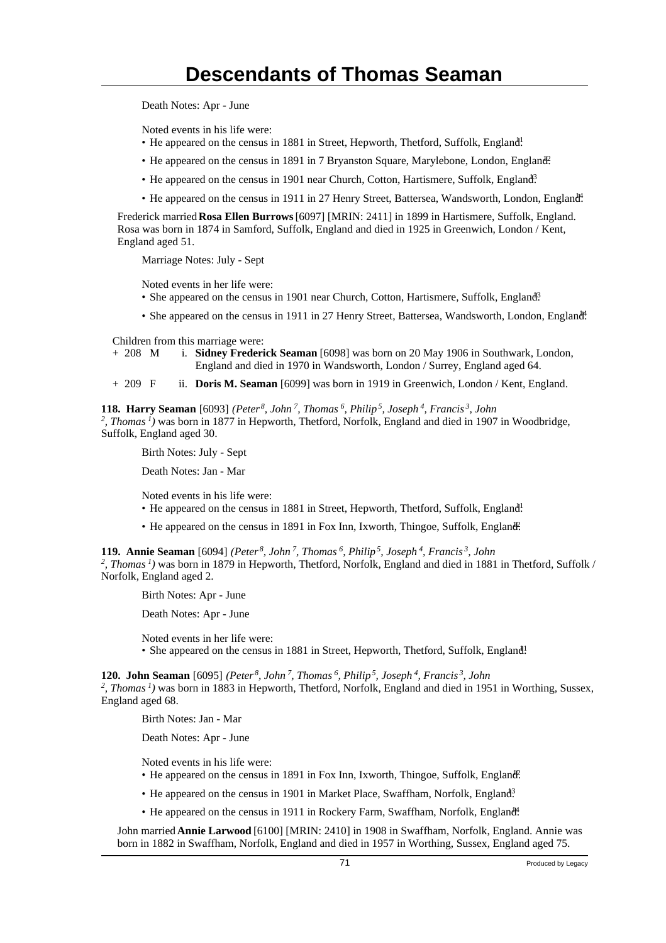Death Notes: Apr - June

Noted events in his life were:

- He appeared on the census in 1881 in Street, Hepworth, Thetford, Suffolk, England!
- He appeared on the census in 1891 in 7 Bryanston Square, Marylebone, London, England.
- He appeared on the census in 1901 near Church, Cotton, Hartismere, Suffolk, England<sup>3</sup>
- He appeared on the census in 1911 in 27 Henry Street, Battersea, Wandsworth, London, England.

Frederick married **Rosa Ellen Burrows** [6097] [MRIN: 2411] in 1899 in Hartismere, Suffolk, England. Rosa was born in 1874 in Samford, Suffolk, England and died in 1925 in Greenwich, London / Kent, England aged 51.

Marriage Notes: July - Sept

Noted events in her life were:

- She appeared on the census in 1901 near Church, Cotton, Hartismere, Suffolk, England<sup>3</sup>.
- She appeared on the census in 1911 in 27 Henry Street, Battersea, Wandsworth, London, England.

Children from this marriage were:

- + 208 M i. **Sidney Frederick Seaman** [6098] was born on 20 May 1906 in Southwark, London, England and died in 1970 in Wandsworth, London / Surrey, England aged 64.
- + 209 F ii. **Doris M. Seaman** [6099] was born in 1919 in Greenwich, London / Kent, England.

**118. Harry Seaman** [6093] *(Peter<sup>8</sup>, John<sup>7</sup>, Thomas<sup>6</sup>, Philip<sup>5</sup>, Joseph<sup>4</sup>, Francis<sup>3</sup>, John 2 , Thomas<sup>1</sup>)* was born in 1877 in Hepworth, Thetford, Norfolk, England and died in 1907 in Woodbridge,

Suffolk, England aged 30.

Birth Notes: July - Sept

Death Notes: Jan - Mar

Noted events in his life were:

- He appeared on the census in 1881 in Street, Hepworth, Thetford, Suffolk, England!
- He appeared on the census in 1891 in Fox Inn, Ixworth, Thingoe, Suffolk, England.

**119. Annie Seaman** [6094] *(Peter<sup>8</sup>, John<sup>7</sup>, Thomas<sup>6</sup>, Philip<sup>5</sup>, Joseph<sup>4</sup>, Francis<sup>3</sup>, John 2 , Thomas<sup>1</sup>)* was born in 1879 in Hepworth, Thetford, Norfolk, England and died in 1881 in Thetford, Suffolk / Norfolk, England aged 2.

Birth Notes: Apr - June

Death Notes: Apr - June

Noted events in her life were:

• She appeared on the census in 1881 in Street, Hepworth, Thetford, Suffolk, England!

**120. John Seaman** [6095] *(Peter<sup>8</sup>, John<sup>7</sup>, Thomas<sup>6</sup>, Philip<sup>5</sup>, Joseph<sup>4</sup>, Francis<sup>3</sup>, John* <sup>2</sup>, Thomas<sup>1</sup>) was born in 1883 in Hepworth, Thetford, Norfolk, England and died in 1951 in Worthing, Sussex, England aged 68.

Birth Notes: Jan - Mar

Death Notes: Apr - June

Noted events in his life were:

- He appeared on the census in 1891 in Fox Inn, Ixworth, Thingoe, Suffolk, England.
- He appeared on the census in 1901 in Market Place, Swaffham, Norfolk, England<sup>3</sup>
- He appeared on the census in 1911 in Rockery Farm, Swaffham, Norfolk, England.

John married **Annie Larwood** [6100] [MRIN: 2410] in 1908 in Swaffham, Norfolk, England. Annie was born in 1882 in Swaffham, Norfolk, England and died in 1957 in Worthing, Sussex, England aged 75.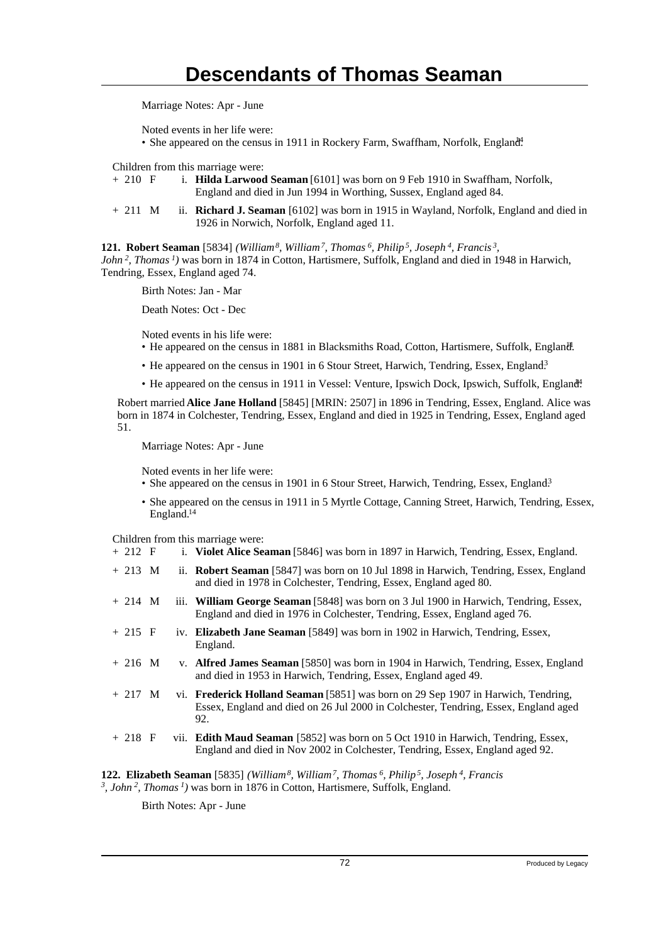Marriage Notes: Apr - June

Noted events in her life were:

• She appeared on the census in 1911 in Rockery Farm, Swaffham, Norfolk, England.

Children from this marriage were:

- + 210 F i. **Hilda Larwood Seaman** [6101] was born on 9 Feb 1910 in Swaffham, Norfolk, England and died in Jun 1994 in Worthing, Sussex, England aged 84.
- + 211 M ii. **Richard J. Seaman** [6102] was born in 1915 in Wayland, Norfolk, England and died in 1926 in Norwich, Norfolk, England aged 11.

**121. Robert Seaman** [5834] *(William<sup>8</sup>, William<sup>7</sup>, Thomas<sup>6</sup>, Philip<sup>5</sup>, Joseph<sup>4</sup>, Francis<sup>3</sup> , John<sup>2</sup>, Thomas<sup>1</sup>)* was born in 1874 in Cotton, Hartismere, Suffolk, England and died in 1948 in Harwich, Tendring, Essex, England aged 74.

Birth Notes: Jan - Mar

Death Notes: Oct - Dec

Noted events in his life were:

- He appeared on the census in 1881 in Blacksmiths Road, Cotton, Hartismere, Suffolk, England.
- He appeared on the census in 1901 in 6 Stour Street, Harwich, Tendring, Essex, England<sup>3</sup>
- He appeared on the census in 1911 in Vessel: Venture, Ipswich Dock, Ipswich, Suffolk, England.

Robert married **Alice Jane Holland** [5845] [MRIN: 2507] in 1896 in Tendring, Essex, England. Alice was born in 1874 in Colchester, Tendring, Essex, England and died in 1925 in Tendring, Essex, England aged 51.

Marriage Notes: Apr - June

Noted events in her life were:

- She appeared on the census in 1901 in 6 Stour Street, Harwich, Tendring, Essex, England<sup>3</sup>
- She appeared on the census in 1911 in 5 Myrtle Cottage, Canning Street, Harwich, Tendring, Essex, England.<sup>14</sup>

Children from this marriage were:

| $+ 212 F$ |  | i. Violet Alice Seaman [5846] was born in 1897 in Harwich, Tendring, Essex, England.                                                                                            |
|-----------|--|---------------------------------------------------------------------------------------------------------------------------------------------------------------------------------|
| $+213$ M  |  | ii. <b>Robert Seaman</b> [5847] was born on 10 Jul 1898 in Harwich, Tendring, Essex, England<br>and died in 1978 in Colchester, Tendring, Essex, England aged 80.               |
| $+214$ M  |  | iii. William George Seaman [5848] was born on 3 Jul 1900 in Harwich, Tendring, Essex,<br>England and died in 1976 in Colchester, Tendring, Essex, England aged 76.              |
| $+ 215 F$ |  | iv. Elizabeth Jane Seaman [5849] was born in 1902 in Harwich, Tendring, Essex,<br>England.                                                                                      |
| $+216$ M  |  | v. Alfred James Seaman [5850] was born in 1904 in Harwich, Tendring, Essex, England<br>and died in 1953 in Harwich, Tendring, Essex, England aged 49.                           |
| $+ 217$ M |  | vi. Frederick Holland Seaman [5851] was born on 29 Sep 1907 in Harwich, Tendring,<br>Essex, England and died on 26 Jul 2000 in Colchester, Tendring, Essex, England aged<br>92. |
| $+218$ F  |  | vii. Edith Maud Seaman [5852] was born on 5 Oct 1910 in Harwich, Tendring, Essex,<br>England and died in Nov 2002 in Colchester, Tendring, Essex, England aged 92.              |

**122. Elizabeth Seaman** [5835] *(William<sup>8</sup>, William<sup>7</sup>, Thomas<sup>6</sup>, Philip<sup>5</sup>, Joseph<sup>4</sup>, Francis 3 , John<sup>2</sup>, Thomas<sup>1</sup>)* was born in 1876 in Cotton, Hartismere, Suffolk, England.

Birth Notes: Apr - June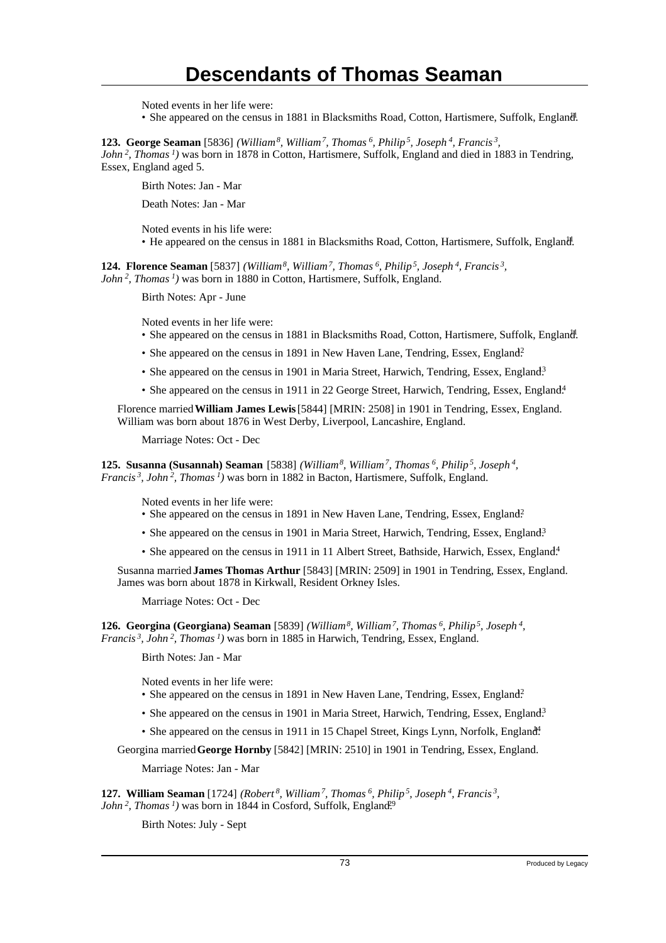Noted events in her life were:

• She appeared on the census in 1881 in Blacksmiths Road, Cotton, Hartismere, Suffolk, England.

**123. George Seaman** [5836] *(William<sup>8</sup>, William<sup>7</sup>, Thomas<sup>6</sup>, Philip<sup>5</sup>, Joseph<sup>4</sup>, Francis<sup>3</sup> , John<sup>2</sup>, Thomas<sup>1</sup>)* was born in 1878 in Cotton, Hartismere, Suffolk, England and died in 1883 in Tendring, Essex, England aged 5.

Birth Notes: Jan - Mar

Death Notes: Jan - Mar

Noted events in his life were: • He appeared on the census in 1881 in Blacksmiths Road, Cotton, Hartismere, Suffolk, England.

**124. Florence Seaman** [5837] *(William<sup>8</sup>, William<sup>7</sup>, Thomas<sup>6</sup>, Philip<sup>5</sup>, Joseph<sup>4</sup>, Francis<sup>3</sup> , John<sup>2</sup>, Thomas<sup>1</sup>)* was born in 1880 in Cotton, Hartismere, Suffolk, England.

Birth Notes: Apr - June

Noted events in her life were:

- She appeared on the census in 1881 in Blacksmiths Road, Cotton, Hartismere, Suffolk, England.
- She appeared on the census in 1891 in New Haven Lane, Tendring, Essex, England?
- She appeared on the census in 1901 in Maria Street, Harwich, Tendring, Essex, England<sup>3</sup>
- She appeared on the census in 1911 in 22 George Street, Harwich, Tendring, Essex, England.<sup>4</sup>

Florence married **William James Lewis** [5844] [MRIN: 2508] in 1901 in Tendring, Essex, England. William was born about 1876 in West Derby, Liverpool, Lancashire, England.

Marriage Notes: Oct - Dec

**125. Susanna (Susannah) Seaman** [5838] *(William<sup>8</sup>, William<sup>7</sup>, Thomas<sup>6</sup>, Philip<sup>5</sup>, Joseph<sup>4</sup> , Francis<sup>3</sup>, John<sup>2</sup>, Thomas<sup>1</sup>)* was born in 1882 in Bacton, Hartismere, Suffolk, England.

Noted events in her life were:

- She appeared on the census in 1891 in New Haven Lane, Tendring, Essex, England?
- She appeared on the census in 1901 in Maria Street, Harwich, Tendring, Essex, England<sup>3</sup>
- She appeared on the census in 1911 in 11 Albert Street, Bathside, Harwich, Essex, England.<sup>4</sup>

Susanna married **James Thomas Arthur** [5843] [MRIN: 2509] in 1901 in Tendring, Essex, England. James was born about 1878 in Kirkwall, Resident Orkney Isles.

Marriage Notes: Oct - Dec

**126. Georgina (Georgiana) Seaman** [5839] *(William<sup>8</sup>, William<sup>7</sup>, Thomas<sup>6</sup>, Philip<sup>5</sup>, Joseph<sup>4</sup> , Francis<sup>3</sup>, John<sup>2</sup>, Thomas<sup>1</sup>)* was born in 1885 in Harwich, Tendring, Essex, England.

Birth Notes: Jan - Mar

Noted events in her life were:

- She appeared on the census in 1891 in New Haven Lane, Tendring, Essex, England?
- She appeared on the census in 1901 in Maria Street, Harwich, Tendring, Essex, England.<sup>3</sup>
- She appeared on the census in 1911 in 15 Chapel Street, Kings Lynn, Norfolk, England<sup>4</sup>.

Georgina married **George Hornby** [5842] [MRIN: 2510] in 1901 in Tendring, Essex, England.

Marriage Notes: Jan - Mar

**127. William Seaman** [1724] *(Robert<sup>8</sup>, William<sup>7</sup>, Thomas<sup>6</sup>, Philip<sup>5</sup>, Joseph<sup>4</sup>, Francis<sup>3</sup> , John*<sup>2</sup>, *Thomas<sup>1</sup>*) was born in 1844 in Cosford, Suffolk, England.<sup>99</sup>

Birth Notes: July - Sept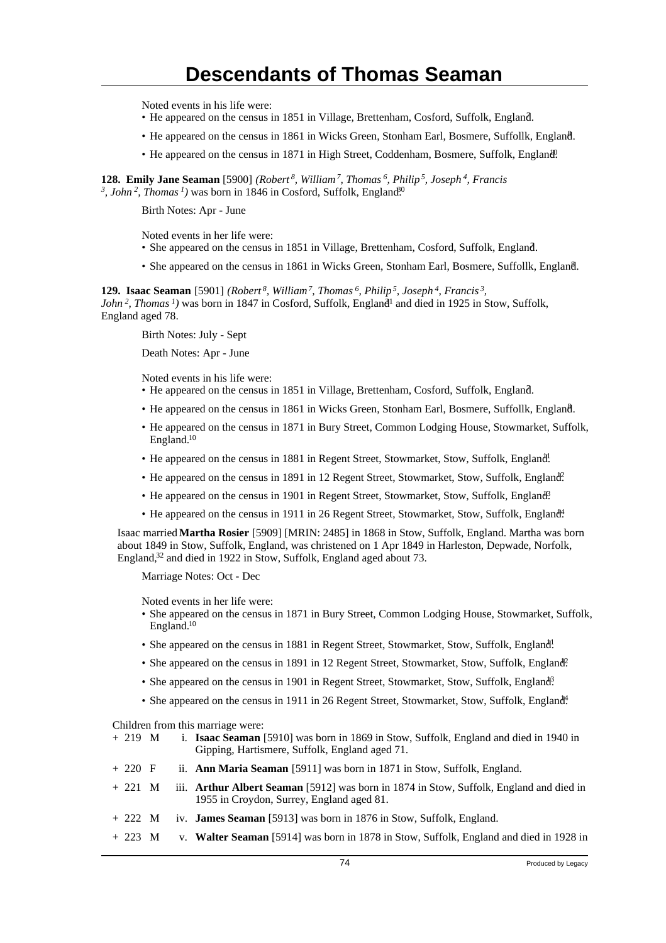Noted events in his life were:

- He appeared on the census in 1851 in Village, Brettenham, Cosford, Suffolk, England. <sup>7</sup>
- He appeared on the census in 1861 in Wicks Green, Stonham Earl, Bosmere, Suffollk, England. <sup>8</sup>
- He appeared on the census in 1871 in High Street, Coddenham, Bosmere, Suffolk, England.

**128. Emily Jane Seaman** [5900] *(Robert<sup>8</sup>, William<sup>7</sup>, Thomas<sup>6</sup>, Philip<sup>5</sup>, Joseph<sup>4</sup>, Francis* <sup>3</sup>, John<sup>2</sup>, Thomas<sup>1</sup>) was born in 1846 in Cosford, Suffolk, England<sup>60</sup>

Birth Notes: Apr - June

Noted events in her life were:

- She appeared on the census in 1851 in Village, Brettenham, Cosford, Suffolk, England.
- She appeared on the census in 1861 in Wicks Green, Stonham Earl, Bosmere, Suffollk, England.

**129. Isaac Seaman** [5901] *(Robert<sup>8</sup>, William<sup>7</sup>, Thomas<sup>6</sup>, Philip<sup>5</sup>, Joseph<sup>4</sup>, Francis<sup>3</sup> , John*<sup>2</sup>, *Thomas*<sup>*1*</sup>) was born in 1847 in Cosford, Suffolk, England<sup>1</sup> and died in 1925 in Stow, Suffolk, England aged 78.

Birth Notes: July - Sept

Death Notes: Apr - June

Noted events in his life were:

- He appeared on the census in 1851 in Village, Brettenham, Cosford, Suffolk, England. <sup>7</sup>
- He appeared on the census in 1861 in Wicks Green, Stonham Earl, Bosmere, Suffollk, England. <sup>8</sup>
- He appeared on the census in 1871 in Bury Street, Common Lodging House, Stowmarket, Suffolk, England.<sup>10</sup>
- He appeared on the census in 1881 in Regent Street, Stowmarket, Stow, Suffolk, England!
- He appeared on the census in 1891 in 12 Regent Street, Stowmarket, Stow, Suffolk, England?
- He appeared on the census in 1901 in Regent Street, Stowmarket, Stow, Suffolk, England.
- He appeared on the census in 1911 in 26 Regent Street, Stowmarket, Stow, Suffolk, England<sup>4</sup>.

Isaac married **Martha Rosier** [5909] [MRIN: 2485] in 1868 in Stow, Suffolk, England. Martha was born about 1849 in Stow, Suffolk, England, was christened on 1 Apr 1849 in Harleston, Depwade, Norfolk, England,<sup>32</sup> and died in 1922 in Stow, Suffolk, England aged about 73.

Marriage Notes: Oct - Dec

Noted events in her life were:

- She appeared on the census in 1871 in Bury Street, Common Lodging House, Stowmarket, Suffolk, England.<sup>10</sup>
- She appeared on the census in 1881 in Regent Street, Stowmarket, Stow, Suffolk, England!
- She appeared on the census in 1891 in 12 Regent Street, Stowmarket, Stow, Suffolk, England.
- She appeared on the census in 1901 in Regent Street, Stowmarket, Stow, Suffolk, England?
- She appeared on the census in 1911 in 26 Regent Street, Stowmarket, Stow, Suffolk, England.

Children from this marriage were:

| + 219 M | i. <b>Isaac Seaman</b> [5910] was born in 1869 in Stow, Suffolk, England and died in 1940 in |
|---------|----------------------------------------------------------------------------------------------|
|         | Gipping, Hartismere, Suffolk, England aged 71.                                               |

- + 220 F ii. **Ann Maria Seaman** [5911] was born in 1871 in Stow, Suffolk, England.
- + 221 M iii. **Arthur Albert Seaman** [5912] was born in 1874 in Stow, Suffolk, England and died in 1955 in Croydon, Surrey, England aged 81.
- + 222 M iv. **James Seaman** [5913] was born in 1876 in Stow, Suffolk, England.
- + 223 M v. **Walter Seaman** [5914] was born in 1878 in Stow, Suffolk, England and died in 1928 in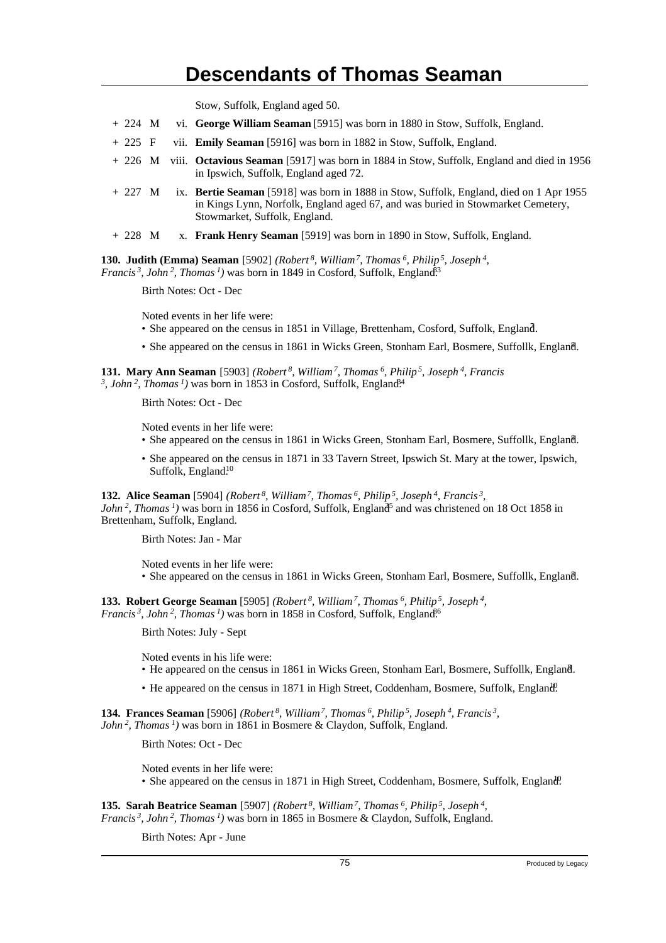Stow, Suffolk, England aged 50.

- + 224 M vi. **George William Seaman** [5915] was born in 1880 in Stow, Suffolk, England.
- + 225 F vii. **Emily Seaman** [5916] was born in 1882 in Stow, Suffolk, England.
- + 226 M viii. **Octavious Seaman** [5917] was born in 1884 in Stow, Suffolk, England and died in 1956 in Ipswich, Suffolk, England aged 72.
- + 227 M ix. **Bertie Seaman** [5918] was born in 1888 in Stow, Suffolk, England, died on 1 Apr 1955 in Kings Lynn, Norfolk, England aged 67, and was buried in Stowmarket Cemetery, Stowmarket, Suffolk, England.
- + 228 M x. **Frank Henry Seaman** [5919] was born in 1890 in Stow, Suffolk, England.

**130. Judith (Emma) Seaman** [5902] *(Robert<sup>8</sup>, William<sup>7</sup>, Thomas<sup>6</sup>, Philip<sup>5</sup>, Joseph<sup>4</sup> , Francis*<sup>3</sup>, John<sup>2</sup>, Thomas<sup>1</sup>) was born in 1849 in Cosford, Suffolk, England<sup>33</sup>

Birth Notes: Oct - Dec

Noted events in her life were:

- She appeared on the census in 1851 in Village, Brettenham, Cosford, Suffolk, England. <sup>7</sup>
- She appeared on the census in 1861 in Wicks Green, Stonham Earl, Bosmere, Suffollk, England. <sup>8</sup>

**131. Mary Ann Seaman** [5903] *(Robert<sup>8</sup>, William<sup>7</sup>, Thomas<sup>6</sup>, Philip<sup>5</sup>, Joseph<sup>4</sup>, Francis* <sup>3</sup>, John<sup>2</sup>, Thomas<sup>1</sup>) was born in 1853 in Cosford, Suffolk, England<sup>84</sup>

Birth Notes: Oct - Dec

Noted events in her life were:

- She appeared on the census in 1861 in Wicks Green, Stonham Earl, Bosmere, Suffollk, England.
- She appeared on the census in 1871 in 33 Tavern Street, Ipswich St. Mary at the tower, Ipswich, Suffolk, England.<sup>10</sup>

**132. Alice Seaman** [5904] *(Robert<sup>8</sup>, William<sup>7</sup>, Thomas<sup>6</sup>, Philip<sup>5</sup>, Joseph<sup>4</sup>, Francis<sup>3</sup> , John*<sup>2</sup>, *Thomas*<sup> $1$ </sup>) was born in 1856 in Cosford, Suffolk, England<sup>5</sup> and was christened on 18 Oct 1858 in

Brettenham, Suffolk, England.

Birth Notes: Jan - Mar

Noted events in her life were: • She appeared on the census in 1861 in Wicks Green, Stonham Earl, Bosmere, Suffollk, England. <sup>8</sup>

**133. Robert George Seaman** [5905] *(Robert<sup>8</sup>, William<sup>7</sup>, Thomas<sup>6</sup>, Philip<sup>5</sup>, Joseph<sup>4</sup> , Francis<sup>3</sup>*, *John<sup>2</sup>*, *Thomas<sup>1</sup>*) was born in 1858 in Cosford, Suffolk, England<sup>66</sup>

Birth Notes: July - Sept

Noted events in his life were:

- He appeared on the census in 1861 in Wicks Green, Stonham Earl, Bosmere, Suffollk, England. <sup>8</sup>
- He appeared on the census in 1871 in High Street, Coddenham, Bosmere, Suffolk, England.

**134. Frances Seaman** [5906] *(Robert<sup>8</sup>, William<sup>7</sup>, Thomas<sup>6</sup>, Philip<sup>5</sup>, Joseph<sup>4</sup>, Francis<sup>3</sup> , John<sup>2</sup>, Thomas<sup>1</sup>)* was born in 1861 in Bosmere & Claydon, Suffolk, England.

Birth Notes: Oct - Dec

Noted events in her life were:

• She appeared on the census in 1871 in High Street, Coddenham, Bosmere, Suffolk, England.

**135. Sarah Beatrice Seaman** [5907] *(Robert<sup>8</sup>, William<sup>7</sup>, Thomas<sup>6</sup>, Philip<sup>5</sup>, Joseph<sup>4</sup> , Francis<sup>3</sup>, John<sup>2</sup>, Thomas<sup>1</sup>)* was born in 1865 in Bosmere & Claydon, Suffolk, England.

Birth Notes: Apr - June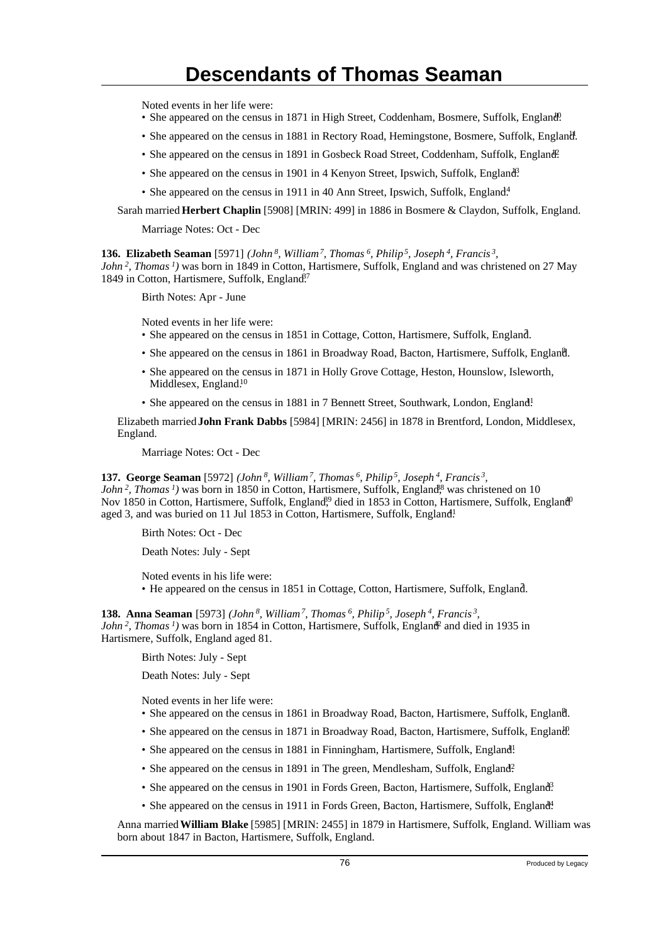Noted events in her life were:

- She appeared on the census in 1871 in High Street, Coddenham, Bosmere, Suffolk, England.
- She appeared on the census in 1881 in Rectory Road, Hemingstone, Bosmere, Suffolk, England.
- She appeared on the census in 1891 in Gosbeck Road Street, Coddenham, Suffolk, England.
- She appeared on the census in 1901 in 4 Kenyon Street, Ipswich, Suffolk, England<sup>3</sup>.
- She appeared on the census in 1911 in 40 Ann Street, Ipswich, Suffolk, England<sup>4</sup>

Sarah married **Herbert Chaplin** [5908] [MRIN: 499] in 1886 in Bosmere & Claydon, Suffolk, England.

Marriage Notes: Oct - Dec

**136. Elizabeth Seaman** [5971] *(John<sup>8</sup>, William<sup>7</sup>, Thomas<sup>6</sup>, Philip<sup>5</sup>, Joseph<sup>4</sup>, Francis<sup>3</sup> ,*

*John<sup>2</sup>, Thomas<sup>1</sup>)* was born in 1849 in Cotton, Hartismere, Suffolk, England and was christened on 27 May 1849 in Cotton, Hartismere, Suffolk, England.<sup>7</sup>

Birth Notes: Apr - June

Noted events in her life were:

- She appeared on the census in 1851 in Cottage, Cotton, Hartismere, Suffolk, England.
- She appeared on the census in 1861 in Broadway Road, Bacton, Hartismere, Suffolk, England.
- She appeared on the census in 1871 in Holly Grove Cottage, Heston, Hounslow, Isleworth, Middlesex, England.<sup>10</sup>
- She appeared on the census in 1881 in 7 Bennett Street, Southwark, London, England!

Elizabeth married **John Frank Dabbs** [5984] [MRIN: 2456] in 1878 in Brentford, London, Middlesex, England.

Marriage Notes: Oct - Dec

**137. George Seaman** [5972] *(John<sup>8</sup>, William<sup>7</sup>, Thomas<sup>6</sup>, Philip<sup>5</sup>, Joseph<sup>4</sup>, Francis<sup>3</sup> , John*<sup>2</sup>, *Thomas<sup>1</sup>*) was born in 1850 in Cotton, Hartismere, Suffolk, England<sup>8</sup>, was christened on 10 Nov 1850 in Cotton, Hartismere, Suffolk, England<sup>9</sup>, died in 1853 in Cotton, Hartismere, Suffolk, England<sup>0</sup> aged 3, and was buried on 11 Jul 1853 in Cotton, Hartismere, Suffolk, England<sup>1</sup>

Birth Notes: Oct - Dec

Death Notes: July - Sept

Noted events in his life were: • He appeared on the census in 1851 in Cottage, Cotton, Hartismere, Suffolk, England.

**138. Anna Seaman** [5973] *(John<sup>8</sup>, William<sup>7</sup>, Thomas<sup>6</sup>, Philip<sup>5</sup>, Joseph<sup>4</sup>, Francis<sup>3</sup> ,*  $John<sup>2</sup>$ , *Thomas*<sup>1</sup>) was born in 1854 in Cotton, Hartismere, Suffolk, England<sup>2</sup> and died in 1935 in Hartismere, Suffolk, England aged 81.

Birth Notes: July - Sept

Death Notes: July - Sept

Noted events in her life were:

- She appeared on the census in 1861 in Broadway Road, Bacton, Hartismere, Suffolk, England.
- She appeared on the census in 1871 in Broadway Road, Bacton, Hartismere, Suffolk, England.
- She appeared on the census in 1881 in Finningham, Hartismere, Suffolk, England!
- She appeared on the census in 1891 in The green, Mendlesham, Suffolk, England?
- She appeared on the census in 1901 in Fords Green, Bacton, Hartismere, Suffolk, England<sup>3</sup>.
- She appeared on the census in 1911 in Fords Green, Bacton, Hartismere, Suffolk, England.

Anna married **William Blake** [5985] [MRIN: 2455] in 1879 in Hartismere, Suffolk, England. William was born about 1847 in Bacton, Hartismere, Suffolk, England.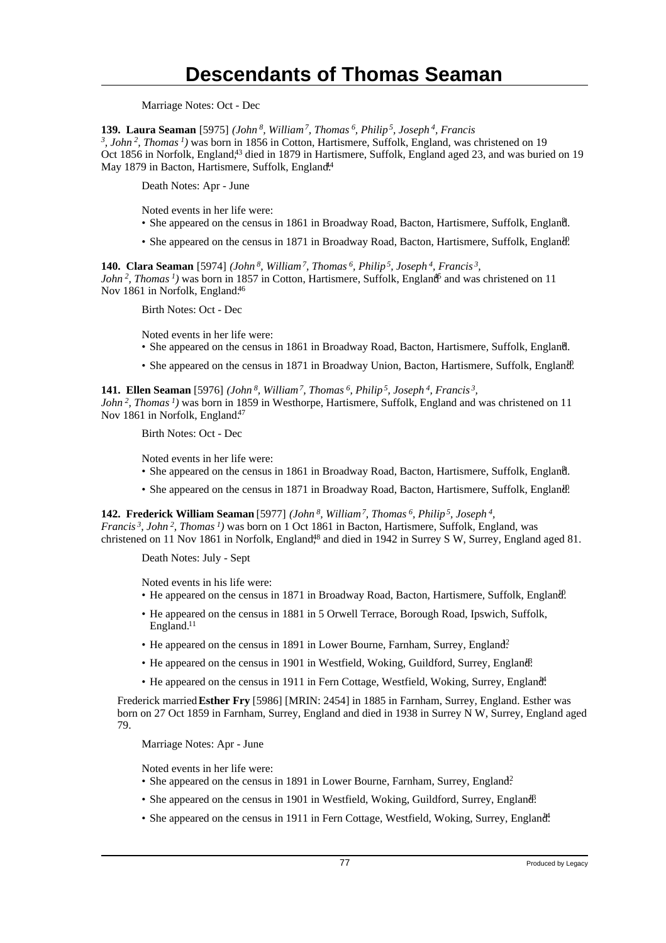Marriage Notes: Oct - Dec

**139. Laura Seaman** [5975] *(John<sup>8</sup>, William<sup>7</sup>, Thomas<sup>6</sup>, Philip<sup>5</sup>, Joseph<sup>4</sup>, Francis 3 , John<sup>2</sup>, Thomas<sup>1</sup>)* was born in 1856 in Cotton, Hartismere, Suffolk, England, was christened on 19 Oct 1856 in Norfolk, England,<sup>43</sup> died in 1879 in Hartismere, Suffolk, England aged 23, and was buried on 19 May 1879 in Bacton, Hartismere, Suffolk, England<sup>44</sup>

Death Notes: Apr - June

Noted events in her life were:

- She appeared on the census in 1861 in Broadway Road, Bacton, Hartismere, Suffolk, England.
- She appeared on the census in 1871 in Broadway Road, Bacton, Hartismere, Suffolk, England.

**140. Clara Seaman** [5974] *(John<sup>8</sup>, William<sup>7</sup>, Thomas<sup>6</sup>, Philip<sup>5</sup>, Joseph<sup>4</sup>, Francis<sup>3</sup> , John*<sup>2</sup>, *Thomas<sup>1</sup>*) was born in 1857 in Cotton, Hartismere, Suffolk, England<sup>5</sup> and was christened on 11 Nov 1861 in Norfolk, England.<sup>46</sup>

Birth Notes: Oct - Dec

Noted events in her life were:

- She appeared on the census in 1861 in Broadway Road, Bacton, Hartismere, Suffolk, England.
- She appeared on the census in 1871 in Broadway Union, Bacton, Hartismere, Suffolk, England.

**141. Ellen Seaman** [5976] *(John<sup>8</sup>, William<sup>7</sup>, Thomas<sup>6</sup>, Philip<sup>5</sup>, Joseph<sup>4</sup>, Francis<sup>3</sup> ,*

*John<sup>2</sup>, Thomas<sup>1</sup>)* was born in 1859 in Westhorpe, Hartismere, Suffolk, England and was christened on 11 Nov 1861 in Norfolk, England.<sup>47</sup>

Birth Notes: Oct - Dec

Noted events in her life were:

- She appeared on the census in 1861 in Broadway Road, Bacton, Hartismere, Suffolk, England.
- She appeared on the census in 1871 in Broadway Road, Bacton, Hartismere, Suffolk, England.

**142. Frederick William Seaman** [5977] *(John<sup>8</sup>, William<sup>7</sup>, Thomas<sup>6</sup>, Philip<sup>5</sup>, Joseph<sup>4</sup> , Francis<sup>3</sup>, John<sup>2</sup>, Thomas<sup>1</sup>)* was born on 1 Oct 1861 in Bacton, Hartismere, Suffolk, England, was christened on 11 Nov 1861 in Norfolk, England<sup>48</sup> and died in 1942 in Surrey S W, Surrey, England aged 81.

Death Notes: July - Sept

Noted events in his life were:

- He appeared on the census in 1871 in Broadway Road, Bacton, Hartismere, Suffolk, England.
- He appeared on the census in 1881 in 5 Orwell Terrace, Borough Road, Ipswich, Suffolk, England.<sup>11</sup>
- He appeared on the census in 1891 in Lower Bourne, Farnham, Surrey, England?
- He appeared on the census in 1901 in Westfield, Woking, Guildford, Surrey, England.
- He appeared on the census in 1911 in Fern Cottage, Westfield, Woking, Surrey, England.

Frederick married **Esther Fry** [5986] [MRIN: 2454] in 1885 in Farnham, Surrey, England. Esther was born on 27 Oct 1859 in Farnham, Surrey, England and died in 1938 in Surrey N W, Surrey, England aged 79.

Marriage Notes: Apr - June

Noted events in her life were:

- She appeared on the census in 1891 in Lower Bourne, Farnham, Surrey, England?
- She appeared on the census in 1901 in Westfield, Woking, Guildford, Surrey, England.
- She appeared on the census in 1911 in Fern Cottage, Westfield, Woking, Surrey, England.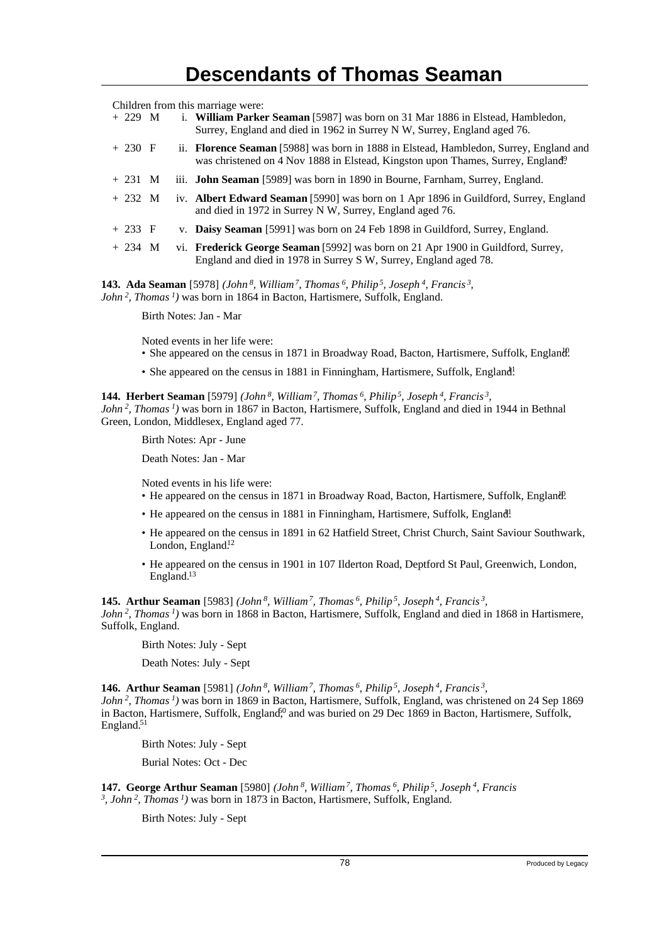Children from this marriage were:

| $+229$ M |  | i. William Parker Seaman [5987] was born on 31 Mar 1886 in Elstead, Hambledon,<br>Surrey, England and died in 1962 in Surrey N W, Surrey, England aged 76.                |
|----------|--|---------------------------------------------------------------------------------------------------------------------------------------------------------------------------|
| $+230$ F |  | ii. Florence Seaman [5988] was born in 1888 in Elstead, Hambledon, Surrey, England and<br>was christened on 4 Nov 1888 in Elstead, Kingston upon Thames, Surrey, England? |
| $+231$ M |  | iii. <b>John Seaman</b> [5989] was born in 1890 in Bourne, Farnham, Surrey, England.                                                                                      |
| $+232$ M |  | iv. Albert Edward Seaman [5990] was born on 1 Apr 1896 in Guildford, Surrey, England<br>and died in 1972 in Surrey N W, Surrey, England aged 76.                          |
| $+233$ F |  | v. Daisy Seaman [5991] was born on 24 Feb 1898 in Guildford, Surrey, England.                                                                                             |
| $+234$ M |  | vi. Frederick George Seaman [5992] was born on 21 Apr 1900 in Guildford, Surrey,<br>England and died in 1978 in Surrey S W, Surrey, England aged 78.                      |

**143. Ada Seaman** [5978] *(John<sup>8</sup>, William<sup>7</sup>, Thomas<sup>6</sup>, Philip<sup>5</sup>, Joseph<sup>4</sup>, Francis<sup>3</sup> , John<sup>2</sup>, Thomas<sup>1</sup>)* was born in 1864 in Bacton, Hartismere, Suffolk, England.

Birth Notes: Jan - Mar

Noted events in her life were:

- She appeared on the census in 1871 in Broadway Road, Bacton, Hartismere, Suffolk, England.
- She appeared on the census in 1881 in Finningham, Hartismere, Suffolk, England!

**144. Herbert Seaman** [5979] *(John<sup>8</sup>, William<sup>7</sup>, Thomas<sup>6</sup>, Philip<sup>5</sup>, Joseph<sup>4</sup>, Francis<sup>3</sup> , John<sup>2</sup>, Thomas<sup>1</sup>)* was born in 1867 in Bacton, Hartismere, Suffolk, England and died in 1944 in Bethnal Green, London, Middlesex, England aged 77.

Birth Notes: Apr - June

Death Notes: Jan - Mar

Noted events in his life were:

- He appeared on the census in 1871 in Broadway Road, Bacton, Hartismere, Suffolk, England.
- He appeared on the census in 1881 in Finningham, Hartismere, Suffolk, England!
- He appeared on the census in 1891 in 62 Hatfield Street, Christ Church, Saint Saviour Southwark, London, England.<sup>12</sup>
- He appeared on the census in 1901 in 107 Ilderton Road, Deptford St Paul, Greenwich, London, England.<sup>13</sup>

**145. Arthur Seaman** [5983] *(John<sup>8</sup>, William<sup>7</sup>, Thomas<sup>6</sup>, Philip<sup>5</sup>, Joseph<sup>4</sup>, Francis<sup>3</sup> , John<sup>2</sup>, Thomas<sup>1</sup>)* was born in 1868 in Bacton, Hartismere, Suffolk, England and died in 1868 in Hartismere, Suffolk, England.

Birth Notes: July - Sept

Death Notes: July - Sept

**146. Arthur Seaman** [5981] *(John<sup>8</sup>, William<sup>7</sup>, Thomas<sup>6</sup>, Philip<sup>5</sup>, Joseph<sup>4</sup>, Francis<sup>3</sup> ,*

*John<sup>2</sup>, Thomas<sup>1</sup>)* was born in 1869 in Bacton, Hartismere, Suffolk, England, was christened on 24 Sep 1869 in Bacton, Hartismere, Suffolk, England<sup>o</sup>, and was buried on 29 Dec 1869 in Bacton, Hartismere, Suffolk, England.<sup>51</sup>

Birth Notes: July - Sept

Burial Notes: Oct - Dec

**147. George Arthur Seaman** [5980] *(John<sup>8</sup>, William<sup>7</sup>, Thomas<sup>6</sup>, Philip<sup>5</sup>, Joseph<sup>4</sup>, Francis 3 , John<sup>2</sup>, Thomas<sup>1</sup>)* was born in 1873 in Bacton, Hartismere, Suffolk, England.

Birth Notes: July - Sept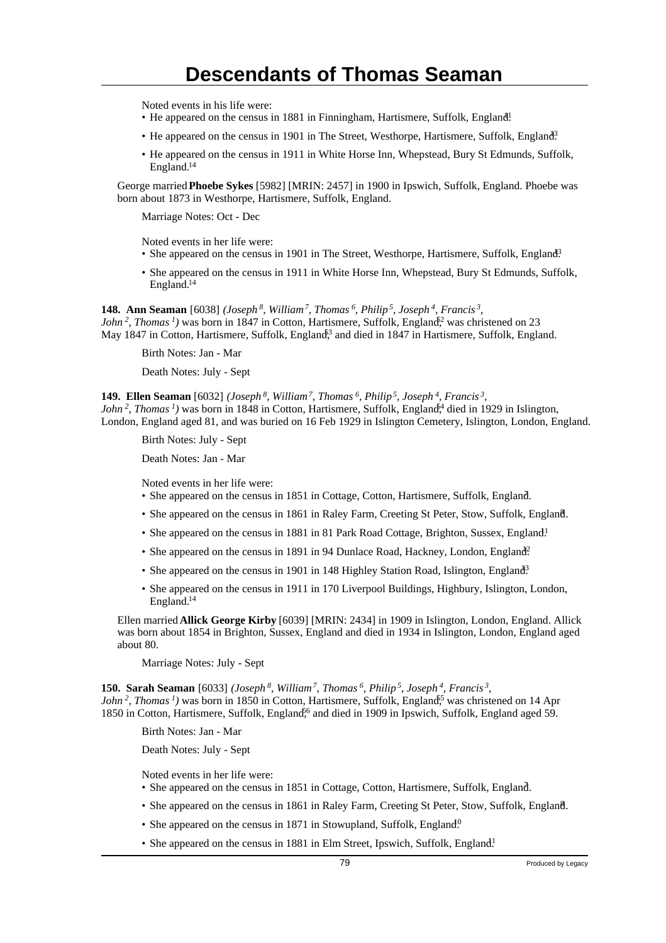Noted events in his life were:

- He appeared on the census in 1881 in Finningham, Hartismere, Suffolk, England!
- He appeared on the census in 1901 in The Street, Westhorpe, Hartismere, Suffolk, England<sup>3</sup>
- He appeared on the census in 1911 in White Horse Inn, Whepstead, Bury St Edmunds, Suffolk, England.<sup>14</sup>

George married **Phoebe Sykes** [5982] [MRIN: 2457] in 1900 in Ipswich, Suffolk, England. Phoebe was born about 1873 in Westhorpe, Hartismere, Suffolk, England.

Marriage Notes: Oct - Dec

Noted events in her life were:

- She appeared on the census in 1901 in The Street, Westhorpe, Hartismere, Suffolk, England<sup>3</sup>
- She appeared on the census in 1911 in White Horse Inn, Whepstead, Bury St Edmunds, Suffolk, England.<sup>14</sup>

**148. Ann Seaman** [6038] *(Joseph<sup>8</sup>, William<sup>7</sup>, Thomas<sup>6</sup>, Philip<sup>5</sup>, Joseph<sup>4</sup>, Francis<sup>3</sup> , John*<sup>2</sup>, *Thomas*<sup>*1*</sup>) was born in 1847 in Cotton, Hartismere, Suffolk, England<sup>2</sup>, was christened on 23 May 1847 in Cotton, Hartismere, Suffolk, England<sup>3</sup>, and died in 1847 in Hartismere, Suffolk, England.

Birth Notes: Jan - Mar

Death Notes: July - Sept

**149. Ellen Seaman** [6032] *(Joseph<sup>8</sup>, William<sup>7</sup>, Thomas<sup>6</sup>, Philip<sup>5</sup>, Joseph<sup>4</sup>, Francis<sup>3</sup> , John*<sup>2</sup>, *Thomas<sup>1</sup>*) was born in 1848 in Cotton, Hartismere, Suffolk, England,<sup>4</sup> died in 1929 in Islington, London, England aged 81, and was buried on 16 Feb 1929 in Islington Cemetery, Islington, London, England.

Birth Notes: July - Sept

Death Notes: Jan - Mar

Noted events in her life were:

- She appeared on the census in 1851 in Cottage, Cotton, Hartismere, Suffolk, England.
- She appeared on the census in 1861 in Raley Farm, Creeting St Peter, Stow, Suffolk, England. <sup>8</sup>
- She appeared on the census in 1881 in 81 Park Road Cottage, Brighton, Sussex, England.<sup>1</sup>
- She appeared on the census in 1891 in 94 Dunlace Road, Hackney, London, England?
- She appeared on the census in 1901 in 148 Highley Station Road, Islington, England<sup>3</sup>
- She appeared on the census in 1911 in 170 Liverpool Buildings, Highbury, Islington, London, England.<sup>14</sup>

Ellen married **Allick George Kirby** [6039] [MRIN: 2434] in 1909 in Islington, London, England. Allick was born about 1854 in Brighton, Sussex, England and died in 1934 in Islington, London, England aged about 80.

Marriage Notes: July - Sept

**150. Sarah Seaman** [6033] *(Joseph<sup>8</sup>, William<sup>7</sup>, Thomas<sup>6</sup>, Philip<sup>5</sup>, Joseph<sup>4</sup>, Francis<sup>3</sup> , John*<sup>2</sup>, *Thomas*<sup>*1*</sup>) was born in 1850 in Cotton, Hartismere, Suffolk, England<sup>55</sup> was christened on 14 Apr 1850 in Cotton, Hartismere, Suffolk, England,<sup>56</sup> and died in 1909 in Ipswich, Suffolk, England aged 59.

Birth Notes: Jan - Mar

Death Notes: July - Sept

Noted events in her life were:

- She appeared on the census in 1851 in Cottage, Cotton, Hartismere, Suffolk, England.
- She appeared on the census in 1861 in Raley Farm, Creeting St Peter, Stow, Suffolk, England. <sup>8</sup>
- She appeared on the census in 1871 in Stowupland, Suffolk, England.<sup>0</sup>
- She appeared on the census in 1881 in Elm Street, Ipswich, Suffolk, England!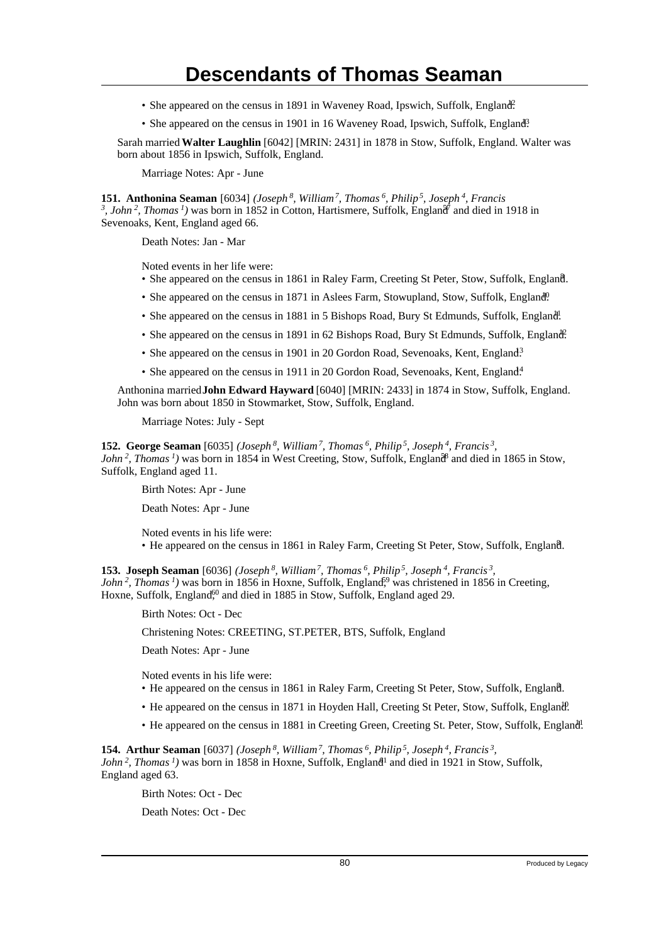- She appeared on the census in 1891 in Waveney Road, Ipswich, Suffolk, England?
- She appeared on the census in 1901 in 16 Waveney Road, Ipswich, Suffolk, England<sup>3</sup>.

Sarah married **Walter Laughlin** [6042] [MRIN: 2431] in 1878 in Stow, Suffolk, England. Walter was born about 1856 in Ipswich, Suffolk, England.

Marriage Notes: Apr - June

**151. Anthonina Seaman** [6034] *(Joseph<sup>8</sup>, William<sup>7</sup>, Thomas<sup>6</sup>, Philip<sup>5</sup>, Joseph<sup>4</sup>, Francis*  $3$ , *John*<sup>2</sup>, *Thomas*<sup>*1*</sup>) was born in 1852 in Cotton, Hartismere, Suffolk, England<sup> $7$ </sup> and died in 1918 in Sevenoaks, Kent, England aged 66.

Death Notes: Jan - Mar

Noted events in her life were:

- She appeared on the census in 1861 in Raley Farm, Creeting St Peter, Stow, Suffolk, England. <sup>8</sup>
- She appeared on the census in 1871 in Aslees Farm, Stowupland, Stow, Suffolk, England<sup>0</sup>.
- She appeared on the census in 1881 in 5 Bishops Road, Bury St Edmunds, Suffolk, England.
- She appeared on the census in 1891 in 62 Bishops Road, Bury St Edmunds, Suffolk, England.
- She appeared on the census in 1901 in 20 Gordon Road, Sevenoaks, Kent, England<sup>3</sup>
- She appeared on the census in 1911 in 20 Gordon Road, Sevenoaks, Kent, England.<sup>4</sup>

Anthonina married **John Edward Hayward** [6040] [MRIN: 2433] in 1874 in Stow, Suffolk, England. John was born about 1850 in Stowmarket, Stow, Suffolk, England.

Marriage Notes: July - Sept

**152. George Seaman** [6035] *(Joseph<sup>8</sup>, William<sup>7</sup>, Thomas<sup>6</sup>, Philip<sup>5</sup>, Joseph<sup>4</sup>, Francis<sup>3</sup> , John*<sup>2</sup>, Thomas<sup>*1*</sup>) was born in 1854 in West Creeting, Stow, Suffolk, England<sup>8</sup> and died in 1865 in Stow, Suffolk, England aged 11.

Birth Notes: Apr - June

Death Notes: Apr - June

Noted events in his life were: • He appeared on the census in 1861 in Raley Farm, Creeting St Peter, Stow, Suffolk, England. <sup>8</sup>

**153. Joseph Seaman** [6036] *(Joseph<sup>8</sup>, William<sup>7</sup>, Thomas<sup>6</sup>, Philip<sup>5</sup>, Joseph<sup>4</sup>, Francis<sup>3</sup> , John*<sup>2</sup>, *Thomas<sup>1</sup>*) was born in 1856 in Hoxne, Suffolk, England<sup>59</sup> was christened in 1856 in Creeting, Hoxne, Suffolk, England<sup>60</sup> and died in 1885 in Stow, Suffolk, England aged 29.

Birth Notes: Oct - Dec

Christening Notes: CREETING, ST.PETER, BTS, Suffolk, England

Death Notes: Apr - June

Noted events in his life were:

- He appeared on the census in 1861 in Raley Farm, Creeting St Peter, Stow, Suffolk, England.
- He appeared on the census in 1871 in Hoyden Hall, Creeting St Peter, Stow, Suffolk, England.
- He appeared on the census in 1881 in Creeting Green, Creeting St. Peter, Stow, Suffolk, England.

**154. Arthur Seaman** [6037] *(Joseph<sup>8</sup>, William<sup>7</sup>, Thomas<sup>6</sup>, Philip<sup>5</sup>, Joseph<sup>4</sup>, Francis<sup>3</sup> , John*<sup>2</sup>, *Thomas<sup>1</sup>*) was born in 1858 in Hoxne, Suffolk, England<sup>1</sup> and died in 1921 in Stow, Suffolk, England aged 63.

Birth Notes: Oct - Dec

Death Notes: Oct - Dec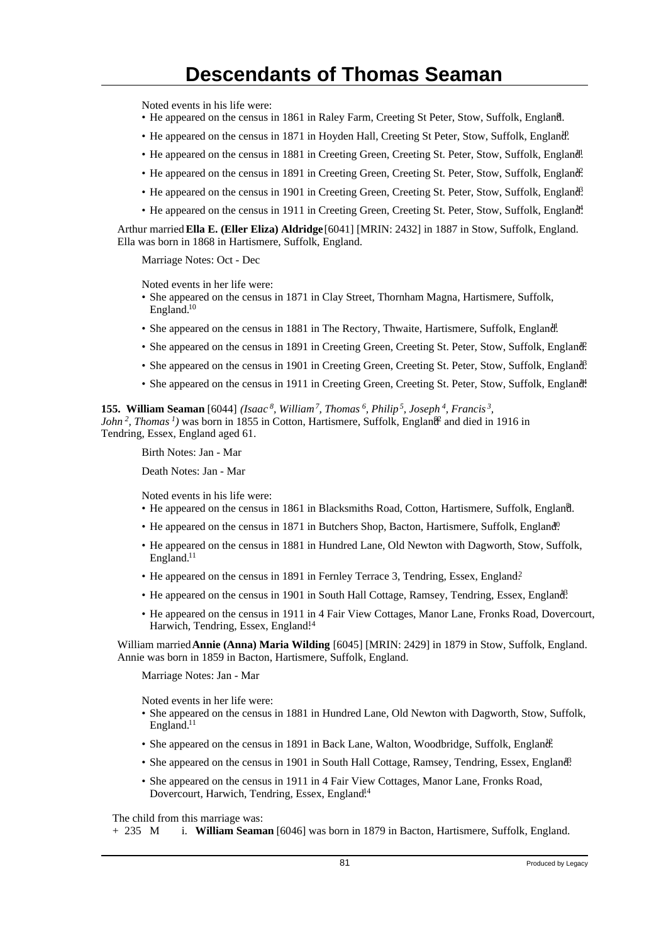Noted events in his life were:

- He appeared on the census in 1861 in Raley Farm, Creeting St Peter, Stow, Suffolk, England. <sup>8</sup>
- He appeared on the census in 1871 in Hoyden Hall, Creeting St Peter, Stow, Suffolk, England.
- He appeared on the census in 1881 in Creeting Green, Creeting St. Peter, Stow, Suffolk, England!
- He appeared on the census in 1891 in Creeting Green, Creeting St. Peter, Stow, Suffolk, England.
- He appeared on the census in 1901 in Creeting Green, Creeting St. Peter, Stow, Suffolk, England?
- He appeared on the census in 1911 in Creeting Green, Creeting St. Peter, Stow, Suffolk, England.

Arthur married **Ella E. (Eller Eliza) Aldridge** [6041] [MRIN: 2432] in 1887 in Stow, Suffolk, England. Ella was born in 1868 in Hartismere, Suffolk, England.

Marriage Notes: Oct - Dec

Noted events in her life were:

- She appeared on the census in 1871 in Clay Street, Thornham Magna, Hartismere, Suffolk, England.<sup>10</sup>
- She appeared on the census in 1881 in The Rectory, Thwaite, Hartismere, Suffolk, England.
- She appeared on the census in 1891 in Creeting Green, Creeting St. Peter, Stow, Suffolk, England.
- She appeared on the census in 1901 in Creeting Green, Creeting St. Peter, Stow, Suffolk, England?
- She appeared on the census in 1911 in Creeting Green, Creeting St. Peter, Stow, Suffolk, England.

**155. William Seaman** [6044] *(Isaac<sup>8</sup>, William<sup>7</sup>, Thomas<sup>6</sup>, Philip<sup>5</sup>, Joseph<sup>4</sup>, Francis<sup>3</sup> ,*

*John*<sup>2</sup>, *Thomas<sup>1</sup>*) was born in 1855 in Cotton, Hartismere, Suffolk, England<sup>2</sup> and died in 1916 in Tendring, Essex, England aged 61.

Birth Notes: Jan - Mar

Death Notes: Jan - Mar

Noted events in his life were:

- He appeared on the census in 1861 in Blacksmiths Road, Cotton, Hartismere, Suffolk, England.
- He appeared on the census in 1871 in Butchers Shop, Bacton, Hartismere, Suffolk, England<sup>0</sup>.
- He appeared on the census in 1881 in Hundred Lane, Old Newton with Dagworth, Stow, Suffolk, England.<sup>11</sup>
- He appeared on the census in 1891 in Fernley Terrace 3, Tendring, Essex, England.<sup>2</sup>
- He appeared on the census in 1901 in South Hall Cottage, Ramsey, Tendring, Essex, England.
- He appeared on the census in 1911 in 4 Fair View Cottages, Manor Lane, Fronks Road, Dovercourt, Harwich, Tendring, Essex, England.<sup>14</sup>

William married **Annie (Anna) Maria Wilding** [6045] [MRIN: 2429] in 1879 in Stow, Suffolk, England. Annie was born in 1859 in Bacton, Hartismere, Suffolk, England.

Marriage Notes: Jan - Mar

Noted events in her life were:

- She appeared on the census in 1881 in Hundred Lane, Old Newton with Dagworth, Stow, Suffolk, England.<sup>11</sup>
- She appeared on the census in 1891 in Back Lane, Walton, Woodbridge, Suffolk, England.
- She appeared on the census in 1901 in South Hall Cottage, Ramsey, Tendring, Essex, England?
- She appeared on the census in 1911 in 4 Fair View Cottages, Manor Lane, Fronks Road, Dovercourt, Harwich, Tendring, Essex, England<sup>14</sup>

The child from this marriage was:

+ 235 M i. **William Seaman** [6046] was born in 1879 in Bacton, Hartismere, Suffolk, England.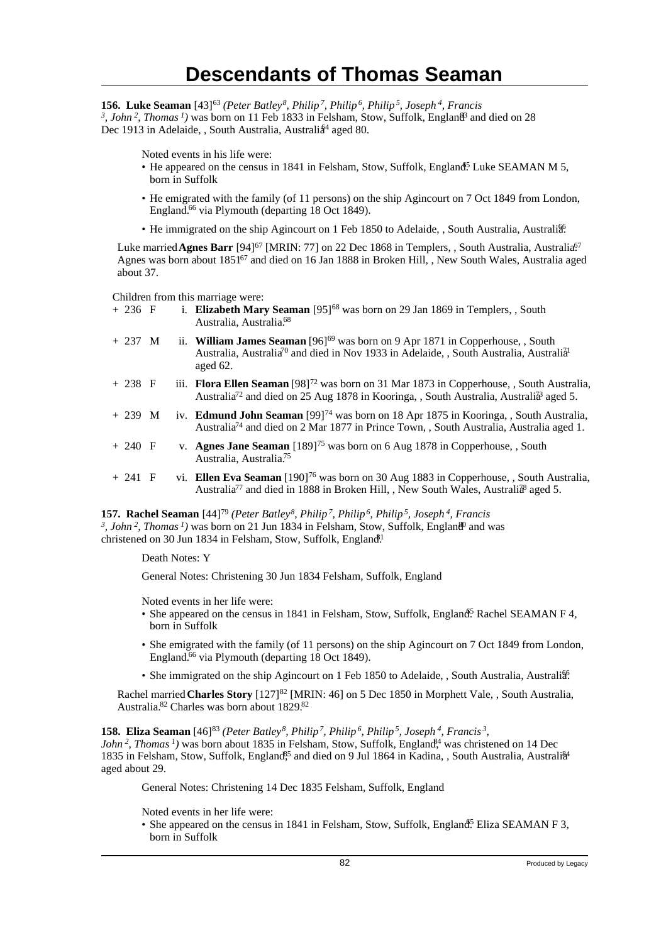**156. Luke Seaman** [43]<sup>63</sup> *(Peter Batley<sup>8</sup>, Philip<sup>7</sup>, Philip<sup>6</sup>, Philip<sup>5</sup>, Joseph<sup>4</sup>, Francis* <sup>3</sup>, John<sup>2</sup>, Thomas<sup>1</sup>) was born on 11 Feb 1833 in Felsham, Stow, Suffolk, England<sup>3</sup> and died on 28 Dec 1913 in Adelaide, , South Australia, Australia<sup>4</sup> aged 80.

Noted events in his life were:

- He appeared on the census in 1841 in Felsham, Stow, Suffolk, England<sup>5</sup> Luke SEAMAN M 5, born in Suffolk
- He emigrated with the family (of 11 persons) on the ship Agincourt on 7 Oct 1849 from London, England.<sup>66</sup> via Plymouth (departing 18 Oct 1849).
- He immigrated on the ship Agincourt on 1 Feb 1850 to Adelaide, , South Australia, Australia.

Luke married **Agnes Barr** [94]<sup>67</sup> [MRIN: 77] on 22 Dec 1868 in Templers, , South Australia, Australia<sup>67</sup> Agnes was born about 1851<sup>67</sup> and died on 16 Jan 1888 in Broken Hill, , New South Wales, Australia aged about 37.

Children from this marriage were:<br>+ 236  $\overline{F}$  i. **Elizabeth Marv** 

- i. **Elizabeth Mary Seaman** [95]<sup>68</sup> was born on 29 Jan 1869 in Templers, , South Australia, Australia.<sup>68</sup>
- + 237 M ii. **William James Seaman** [96]<sup>69</sup> was born on 9 Apr 1871 in Copperhouse, , South Australia, Australia<sup>70</sup> and died in Nov 1933 in Adelaide, , South Australia, Australia<sup>1</sup> aged 62.
- + 238 F iii. **Flora Ellen Seaman** [98]<sup>72</sup> was born on 31 Mar 1873 in Copperhouse, , South Australia, Australia<sup>72</sup> and died on 25 Aug 1878 in Kooringa, , South Australia, Australi<sup>33</sup> aged 5.
- + 239 M iv. **Edmund John Seaman** [99]<sup>74</sup> was born on 18 Apr 1875 in Kooringa, , South Australia, Australia<sup>74</sup> and died on 2 Mar 1877 in Prince Town, , South Australia, Australia aged 1.
- + 240 F v. **Agnes Jane Seaman** [189]<sup>75</sup> was born on 6 Aug 1878 in Copperhouse, , South Australia, Australia.<sup>75</sup>
- + 241 F vi. **Ellen Eva Seaman** [190]<sup>76</sup> was born on 30 Aug 1883 in Copperhouse, , South Australia, Australia<sup>77</sup> and died in 1888 in Broken Hill, , New South Wales, Australi<sup>38</sup> aged 5.

**157. Rachel Seaman** [44]<sup>79</sup> *(Peter Batley<sup>8</sup>, Philip<sup>7</sup>, Philip<sup>6</sup>, Philip<sup>5</sup>, Joseph<sup>4</sup>, Francis* <sup>3</sup>, John<sup>2</sup>, Thomas<sup>1</sup>) was born on 21 Jun 1834 in Felsham, Stow, Suffolk, England<sup>9</sup> and was christened on 30 Jun 1834 in Felsham, Stow, Suffolk, England.<sup>1</sup>

Death Notes: Y

General Notes: Christening 30 Jun 1834 Felsham, Suffolk, England

Noted events in her life were:

- She appeared on the census in 1841 in Felsham, Stow, Suffolk, England<sup>5</sup> Rachel SEAMAN F 4, born in Suffolk
- She emigrated with the family (of 11 persons) on the ship Agincourt on 7 Oct 1849 from London, England.<sup>66</sup> via Plymouth (departing 18 Oct 1849).
- She immigrated on the ship Agincourt on 1 Feb 1850 to Adelaide, , South Australia, Australia.

Rachel married **Charles Story** [127]<sup>82</sup> [MRIN: 46] on 5 Dec 1850 in Morphett Vale, , South Australia, Australia.<sup>82</sup> Charles was born about 1829.<sup>82</sup>

**158. Eliza Seaman** [46]<sup>83</sup> (Peter Batley<sup>8</sup>, Philip<sup>7</sup>, Philip<sup>6</sup>, Philip<sup>5</sup>, Joseph<sup>4</sup>, Francis<sup>3</sup>,

*John*<sup>2</sup>, Thomas<sup>1</sup>) was born about 1835 in Felsham, Stow, Suffolk, England<sup>4</sup>, was christened on 14 Dec 1835 in Felsham, Stow, Suffolk, England<sup>85</sup> and died on 9 Jul 1864 in Kadina, , South Australia, Australia<sup>44</sup> aged about 29.

General Notes: Christening 14 Dec 1835 Felsham, Suffolk, England

Noted events in her life were:

• She appeared on the census in 1841 in Felsham, Stow, Suffolk, England<sup>5</sup> Eliza SEAMAN F 3, born in Suffolk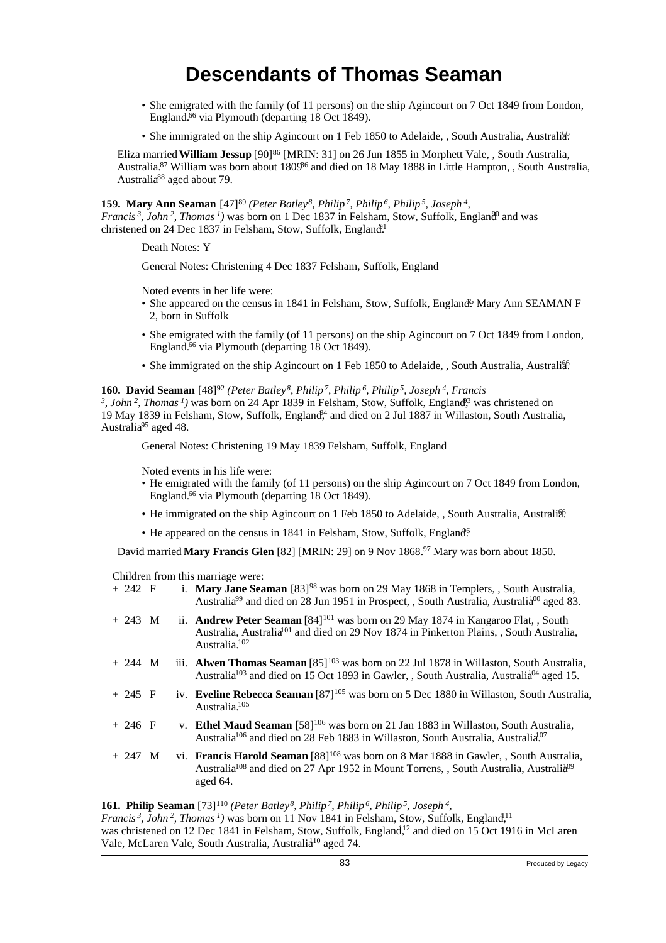- She emigrated with the family (of 11 persons) on the ship Agincourt on 7 Oct 1849 from London, England.<sup>66</sup> via Plymouth (departing 18 Oct 1849).
- She immigrated on the ship Agincourt on 1 Feb 1850 to Adelaide, , South Australia, Australia.

Eliza married **William Jessup** [90]<sup>86</sup> [MRIN: 31] on 26 Jun 1855 in Morphett Vale, , South Australia, Australia.<sup>87</sup> William was born about 1809<sup>86</sup> and died on 18 May 1888 in Little Hampton, , South Australia, Australia<sup>88</sup> aged about 79.

#### **159. Mary Ann Seaman** [47]<sup>89</sup> (Peter Batley<sup>8</sup>, Philip<sup>7</sup>, Philip<sup>6</sup>, Philip<sup>5</sup>, Joseph<sup>4</sup>,

*Francis*<sup>3</sup>, John<sup>2</sup>, Thomas<sup>1</sup>) was born on 1 Dec 1837 in Felsham, Stow, Suffolk, England<sup>0</sup> and was christened on 24 Dec 1837 in Felsham, Stow, Suffolk, England<sup>91</sup>

Death Notes: Y

General Notes: Christening 4 Dec 1837 Felsham, Suffolk, England

Noted events in her life were:

- She appeared on the census in 1841 in Felsham, Stow, Suffolk, England<sup>5</sup> Mary Ann SEAMAN F 2, born in Suffolk
- She emigrated with the family (of 11 persons) on the ship Agincourt on 7 Oct 1849 from London, England.<sup>66</sup> via Plymouth (departing 18 Oct 1849).
- She immigrated on the ship Agincourt on 1 Feb 1850 to Adelaide, , South Australia, Australia.

#### **160. David Seaman** [48]<sup>92</sup> *(Peter Batley<sup>8</sup>, Philip<sup>7</sup>, Philip<sup>6</sup>, Philip<sup>5</sup>, Joseph<sup>4</sup>, Francis*

<sup>3</sup>, John<sup>2</sup>, Thomas<sup>1</sup>) was born on 24 Apr 1839 in Felsham, Stow, Suffolk, England<sup>3</sup>, was christened on 19 May 1839 in Felsham, Stow, Suffolk, England<sup>94</sup> and died on 2 Jul 1887 in Willaston, South Australia, Australia<sup>95</sup> aged 48.

General Notes: Christening 19 May 1839 Felsham, Suffolk, England

Noted events in his life were:

- He emigrated with the family (of 11 persons) on the ship Agincourt on 7 Oct 1849 from London, England.<sup>66</sup> via Plymouth (departing 18 Oct 1849).
- He immigrated on the ship Agincourt on 1 Feb 1850 to Adelaide, , South Australia, Australia.
- He appeared on the census in 1841 in Felsham, Stow, Suffolk, England<sup>6</sup>.

David married **Mary Francis Glen** [82] [MRIN: 29] on 9 Nov 1868.<sup>97</sup> Mary was born about 1850.

Children from this marriage were:

| $+ 242 F$                                                                                            |  |  | i. Mary Jane Seaman $[83]^{98}$ was born on 29 May 1868 in Templers, , South Australia,<br>Australia <sup>99</sup> and died on 28 Jun 1951 in Prospect, , South Australia, Australia <sup>00</sup> aged 83.                              |  |  |
|------------------------------------------------------------------------------------------------------|--|--|------------------------------------------------------------------------------------------------------------------------------------------------------------------------------------------------------------------------------------------|--|--|
| $+ 243 M$                                                                                            |  |  | ii. <b>Andrew Peter Seaman</b> [84] <sup>101</sup> was born on 29 May 1874 in Kangaroo Flat, , South<br>Australia, Australia <sup>[01</sup> ] and died on 29 Nov 1874 in Pinkerton Plains, South Australia,<br>Australia. <sup>102</sup> |  |  |
| $+ 244 M$                                                                                            |  |  | iii. <b>Alwen Thomas Seaman</b> $[85]^{103}$ was born on 22 Jul 1878 in Willaston, South Australia,<br>Australia <sup>103</sup> and died on 15 Oct 1893 in Gawler, , South Australia, Australia <sup>04</sup> aged 15.                   |  |  |
| $+245$ F                                                                                             |  |  | iv. Eveline Rebecca Seaman [87] <sup>105</sup> was born on 5 Dec 1880 in Willaston, South Australia,<br>Australia. <sup>105</sup>                                                                                                        |  |  |
| $+ 246 F$                                                                                            |  |  | v. Ethel Maud Seaman [58] <sup>106</sup> was born on 21 Jan 1883 in Willaston, South Australia,<br>Australia <sup>106</sup> and died on 28 Feb 1883 in Willaston, South Australia, Australia <sup>07</sup>                               |  |  |
| $+ 247$ M                                                                                            |  |  | vi. Francis Harold Seaman [88] <sup>108</sup> was born on 8 Mar 1888 in Gawler, , South Australia,<br>Australia <sup>108</sup> and died on 27 Apr 1952 in Mount Torrens, South Australia, Australia <sup>09</sup><br>aged 64.            |  |  |
| $\mathbf{G}$ Dhilin Seeman [73] $110 ($ Deter Ratley $8$ Dhilin $7$ Dhilin $6$ Dhilin $5$ Losenh $4$ |  |  |                                                                                                                                                                                                                                          |  |  |

**161. Philip Seaman** [73]<sup>110</sup> *(Peter Batley<sup>8</sup>, Philip<sup>7</sup>, Philip<sup>6</sup>, Philip<sup>5</sup>, Joseph<sup>4</sup> ,*

*Francis*<sup>3</sup>, John<sup>2</sup>, Thomas<sup>1</sup>) was born on 11 Nov 1841 in Felsham, Stow, Suffolk, England,<sup>11</sup> was christened on 12 Dec 1841 in Felsham, Stow, Suffolk, England,<sup>12</sup> and died on 15 Oct 1916 in McLaren Vale, McLaren Vale, South Australia, Australia<sup>10</sup> aged 74.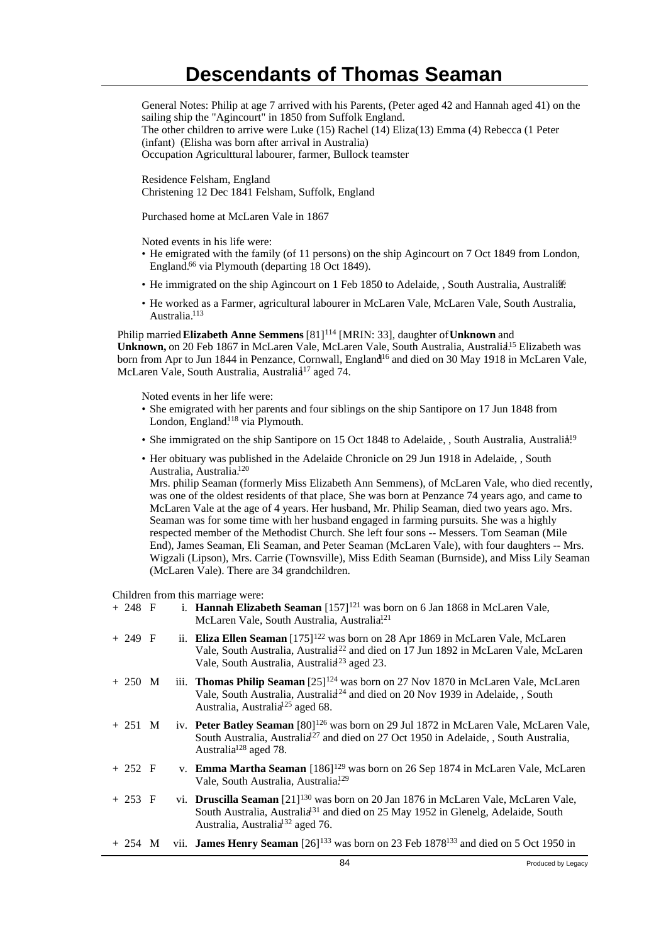General Notes: Philip at age 7 arrived with his Parents, (Peter aged 42 and Hannah aged 41) on the sailing ship the "Agincourt" in 1850 from Suffolk England. The other children to arrive were Luke (15) Rachel (14) Eliza(13) Emma (4) Rebecca (1 Peter (infant) (Elisha was born after arrival in Australia) Occupation Agriculttural labourer, farmer, Bullock teamster

Residence Felsham, England Christening 12 Dec 1841 Felsham, Suffolk, England

Purchased home at McLaren Vale in 1867

Noted events in his life were:

- He emigrated with the family (of 11 persons) on the ship Agincourt on 7 Oct 1849 from London, England.<sup>66</sup> via Plymouth (departing 18 Oct 1849).
- He immigrated on the ship Agincourt on 1 Feb 1850 to Adelaide, , South Australia, Australia.
- He worked as a Farmer, agricultural labourer in McLaren Vale, McLaren Vale, South Australia, Australia.<sup>113</sup>

Philip married **Elizabeth Anne Semmens** [81]<sup>114</sup> [MRIN: 33], daughter of Unknown and Unknown, on 20 Feb 1867 in McLaren Vale, McLaren Vale, South Australia, Australia<sup>15</sup> Elizabeth was born from Apr to Jun 1844 in Penzance, Cornwall, England<sup>16</sup> and died on 30 May 1918 in McLaren Vale, McLaren Vale, South Australia, Australia<sup>17</sup> aged 74.

Noted events in her life were:

- She emigrated with her parents and four siblings on the ship Santipore on 17 Jun 1848 from London, England.<sup>118</sup> via Plymouth.
- She immigrated on the ship Santipore on 15 Oct 1848 to Adelaide, , South Australia, Australia<sup>19</sup>
- Her obituary was published in the Adelaide Chronicle on 29 Jun 1918 in Adelaide, , South Australia, Australia.<sup>120</sup>

Mrs. philip Seaman (formerly Miss Elizabeth Ann Semmens), of McLaren Vale, who died recently, was one of the oldest residents of that place, She was born at Penzance 74 years ago, and came to McLaren Vale at the age of 4 years. Her husband, Mr. Philip Seaman, died two years ago. Mrs. Seaman was for some time with her husband engaged in farming pursuits. She was a highly respected member of the Methodist Church. She left four sons -- Messers. Tom Seaman (Mile End), James Seaman, Eli Seaman, and Peter Seaman (McLaren Vale), with four daughters -- Mrs. Wigzali (Lipson), Mrs. Carrie (Townsville), Miss Edith Seaman (Burnside), and Miss Lily Seaman (McLaren Vale). There are 34 grandchildren.

Children from this marriage were:<br> $\frac{248 \text{ F}}{1220 \text{ N}}$ 

| $+ 248 F$ |  | i. Hannah Elizabeth Seaman $[157]^{121}$ was born on 6 Jan 1868 in McLaren Vale,<br>McLaren Vale, South Australia, Australia <sup>121</sup>                                                                                                                |  |
|-----------|--|------------------------------------------------------------------------------------------------------------------------------------------------------------------------------------------------------------------------------------------------------------|--|
| $+ 249 F$ |  | ii. Eliza Ellen Seaman [175] <sup>122</sup> was born on 28 Apr 1869 in McLaren Vale, McLaren<br>Vale, South Australia, Australia <sup>22</sup> and died on 17 Jun 1892 in McLaren Vale, McLaren<br>Vale, South Australia, Australia <sup>23</sup> aged 23. |  |
| $+ 250$ M |  | iii. <b>Thomas Philip Seaman</b> $[25]^{124}$ was born on 27 Nov 1870 in McLaren Vale, McLaren<br>Vale, South Australia, Australia <sup>24</sup> and died on 20 Nov 1939 in Adelaide, , South<br>Australia, Australia <sup>125</sup> aged 68.              |  |
| $+251$ M  |  | iv. Peter Batley Seaman [80] <sup>126</sup> was born on 29 Jul 1872 in McLaren Vale, McLaren Vale,<br>South Australia, Australia <sup>27</sup> and died on 27 Oct 1950 in Adelaide, , South Australia,<br>Australia <sup>128</sup> aged 78.                |  |
| $+252$ F  |  | v. Emma Martha Seaman [186] <sup>129</sup> was born on 26 Sep 1874 in McLaren Vale, McLaren<br>Vale, South Australia, Australia. <sup>129</sup>                                                                                                            |  |
| $+253$ F  |  | vi. Druscilla Seaman [21] <sup>130</sup> was born on 20 Jan 1876 in McLaren Vale, McLaren Vale,<br>South Australia, Australia <sup>31</sup> and died on 25 May 1952 in Glenelg, Adelaide, South<br>Australia, Australia <sup>132</sup> aged 76.            |  |
|           |  | $+ 254$ M vii. <b>James Henry Seaman</b> [26] <sup>133</sup> was born on 23 Feb 1878 <sup>133</sup> and died on 5 Oct 1950 in                                                                                                                              |  |
|           |  | 84<br>Produced by Legacy                                                                                                                                                                                                                                   |  |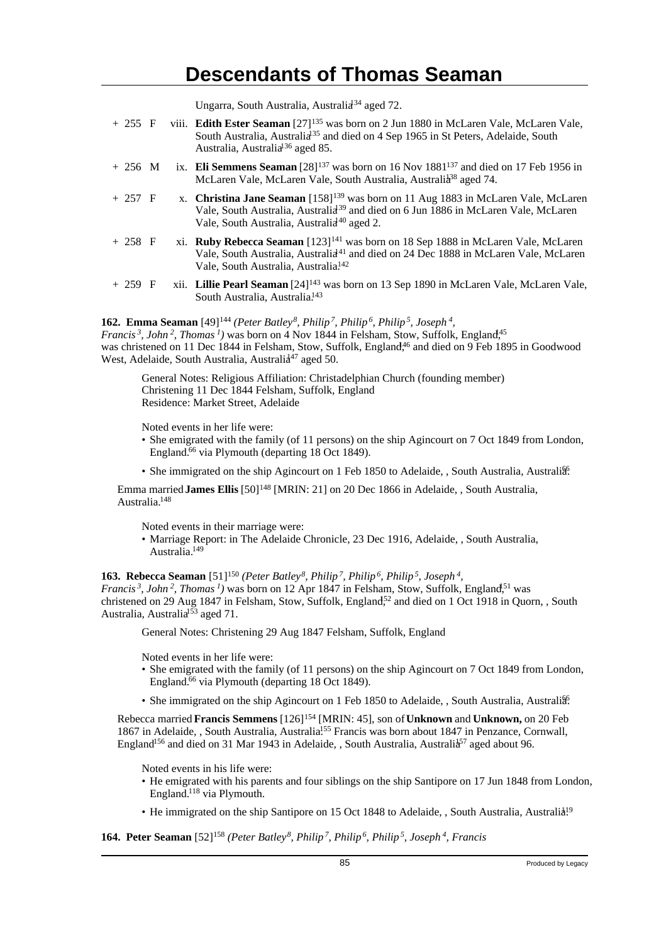Ungarra, South Australia, Australia<sup>34</sup> aged 72.

| $+ 255 F$ |  | viii. Edith Ester Seaman [27] <sup>135</sup> was born on 2 Jun 1880 in McLaren Vale, McLaren Vale,<br>South Australia, Australia <sup>35</sup> and died on 4 Sep 1965 in St Peters, Adelaide, South<br>Australia, Australia <sup>136</sup> aged 85.        |
|-----------|--|------------------------------------------------------------------------------------------------------------------------------------------------------------------------------------------------------------------------------------------------------------|
| $+256$ M  |  | ix. Eli Semmens Seaman $[28]^{137}$ was born on 16 Nov $1881^{137}$ and died on 17 Feb 1956 in<br>McLaren Vale, McLaren Vale, South Australia, Australia <sup>38</sup> aged 74.                                                                            |
| $+257$ F  |  | x. Christina Jane Seaman [158] <sup>139</sup> was born on 11 Aug 1883 in McLaren Vale, McLaren<br>Vale, South Australia, Australia <sup>39</sup> and died on 6 Jun 1886 in McLaren Vale, McLaren<br>Vale, South Australia, Australia <sup>40</sup> aged 2. |
| $+ 258 F$ |  | xi. Ruby Rebecca Seaman [123] <sup>141</sup> was born on 18 Sep 1888 in McLaren Vale, McLaren<br>Vale, South Australia, Australia <sup>41</sup> and died on 24 Dec 1888 in McLaren Vale, McLaren<br>Vale, South Australia, Australia <sup>142</sup>        |
| $+259$ F  |  | xii. Lillie Pearl Seaman [24] <sup>143</sup> was born on 13 Sep 1890 in McLaren Vale, McLaren Vale,<br>South Australia, Australia. <sup>143</sup>                                                                                                          |

#### **162. Emma Seaman** [49]<sup>144</sup> *(Peter Batley<sup>8</sup>, Philip<sup>7</sup>, Philip<sup>6</sup>, Philip<sup>5</sup>, Joseph<sup>4</sup> ,*

*Francis<sup>3</sup>, John<sup>2</sup>, Thomas<sup>1</sup>)* was born on 4 Nov 1844 in Felsham, Stow, Suffolk, England,<sup>145</sup> was christened on 11 Dec 1844 in Felsham, Stow, Suffolk, England<sup>46</sup> and died on 9 Feb 1895 in Goodwood West, Adelaide, South Australia, Australia<sup>47</sup> aged 50.

General Notes: Religious Affiliation: Christadelphian Church (founding member) Christening 11 Dec 1844 Felsham, Suffolk, England Residence: Market Street, Adelaide

Noted events in her life were:

- She emigrated with the family (of 11 persons) on the ship Agincourt on 7 Oct 1849 from London, England.<sup>66</sup> via Plymouth (departing 18 Oct 1849).
- She immigrated on the ship Agincourt on 1 Feb 1850 to Adelaide, , South Australia, Australia.

Emma married **James Ellis** [50]<sup>148</sup> [MRIN: 21] on 20 Dec 1866 in Adelaide, , South Australia, Australia.<sup>148</sup>

Noted events in their marriage were:

• Marriage Report: in The Adelaide Chronicle, 23 Dec 1916, Adelaide, , South Australia, Australia.<sup>149</sup>

**163. Rebecca Seaman** [51]<sup>150</sup> *(Peter Batley<sup>8</sup>, Philip<sup>7</sup>, Philip<sup>6</sup>, Philip<sup>5</sup>, Joseph<sup>4</sup> ,*

*Francis*<sup>3</sup>, *John*<sup>2</sup>, *Thomas*<sup>1</sup>*)* was born on 12 Apr 1847 in Felsham, Stow, Suffolk, England<sup>51</sup> was christened on 29 Aug 1847 in Felsham, Stow, Suffolk, England<sup>52</sup> and died on 1 Oct 1918 in Quorn, , South Australia, Australia<sup>153</sup> aged 71.

General Notes: Christening 29 Aug 1847 Felsham, Suffolk, England

Noted events in her life were:

- She emigrated with the family (of 11 persons) on the ship Agincourt on 7 Oct 1849 from London, England.<sup>66</sup> via Plymouth (departing 18 Oct 1849).
- She immigrated on the ship Agincourt on 1 Feb 1850 to Adelaide, , South Australia, Australia.

Rebecca married **Francis Semmens** [126]<sup>154</sup> [MRIN: 45], son of **Unknown** and **Unknown,** on 20 Feb 1867 in Adelaide, , South Australia, Australia.<sup>155</sup> Francis was born about 1847 in Penzance, Cornwall, England<sup>156</sup> and died on 31 Mar 1943 in Adelaide, , South Australia, Australia<sup>57</sup> aged about 96.

Noted events in his life were:

- He emigrated with his parents and four siblings on the ship Santipore on 17 Jun 1848 from London, England.<sup>118</sup> via Plymouth.
- He immigrated on the ship Santipore on 15 Oct 1848 to Adelaide, , South Australia, Australia!<sup>9</sup>

**164. Peter Seaman** [52]158 *(Peter Batley 8, Philip 7, Philip 6, Philip 5, Joseph 4, Francis*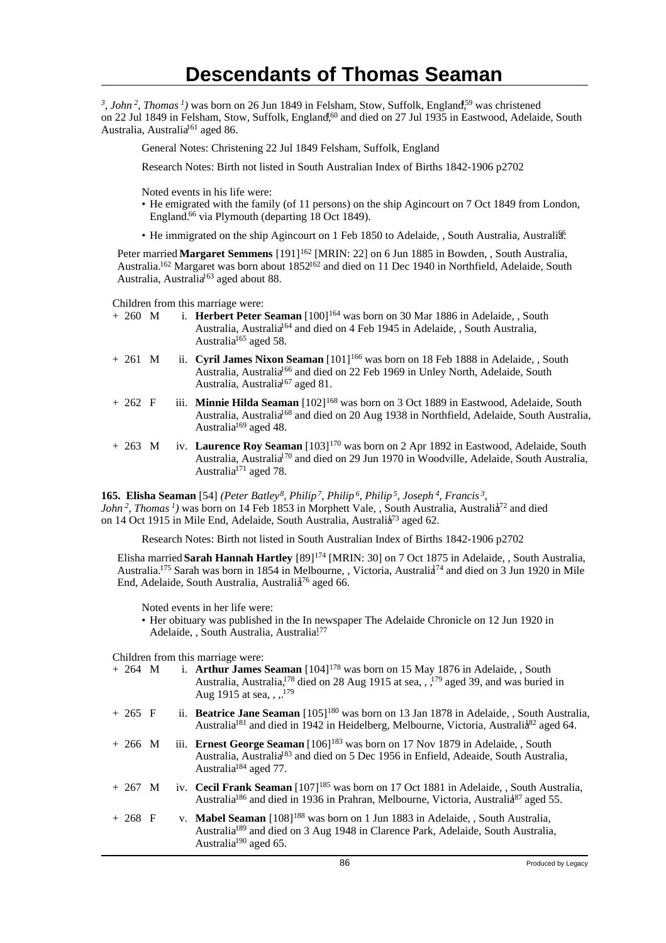<sup>3</sup>, John<sup>2</sup>, Thomas<sup>1</sup>) was born on 26 Jun 1849 in Felsham, Stow, Suffolk, England<sup>59</sup> was christened on 22 Jul 1849 in Felsham, Stow, Suffolk, England,<sup>60</sup> and died on 27 Jul 1935 in Eastwood, Adelaide, South Australia, Australia<sup>161</sup> aged 86.

General Notes: Christening 22 Jul 1849 Felsham, Suffolk, England

Research Notes: Birth not listed in South Australian Index of Births 1842-1906 p2702

Noted events in his life were:

- He emigrated with the family (of 11 persons) on the ship Agincourt on 7 Oct 1849 from London, England.<sup>66</sup> via Plymouth (departing 18 Oct 1849).
- He immigrated on the ship Agincourt on 1 Feb 1850 to Adelaide, , South Australia, Australia.

Peter married Margaret Semmens [191]<sup>162</sup> [MRIN: 22] on 6 Jun 1885 in Bowden, , South Australia, Australia.<sup>162</sup> Margaret was born about 1852<sup>162</sup> and died on 11 Dec 1940 in Northfield, Adelaide, South Australia, Australia<sup>163</sup> aged about 88.

Children from this marriage were:

- + 260 M i. **Herbert Peter Seaman** [100]<sup>164</sup> was born on 30 Mar 1886 in Adelaide, , South Australia, Australia<sup>164</sup> and died on 4 Feb 1945 in Adelaide, , South Australia, Australia<sup>165</sup> aged 58.
- + 261 M ii. **Cyril James Nixon Seaman** [101]<sup>166</sup> was born on 18 Feb 1888 in Adelaide, , South Australia, Australia<sup>166</sup> and died on 22 Feb 1969 in Unley North, Adelaide, South Australia, Australia<sup>167</sup> aged 81.
- + 262 F iii. **Minnie Hilda Seaman** [102]<sup>168</sup> was born on 3 Oct 1889 in Eastwood, Adelaide, South Australia, Australia<sup>168</sup> and died on 20 Aug 1938 in Northfield, Adelaide, South Australia, Australia<sup>169</sup> aged 48.
- + 263 M iv. **Laurence Roy Seaman** [103]<sup>170</sup> was born on 2 Apr 1892 in Eastwood, Adelaide, South Australia, Australia<sup>170</sup> and died on 29 Jun 1970 in Woodville, Adelaide, South Australia, Australia $171$  aged 78.

**165. Elisha Seaman** [54] *(Peter Batley<sup>8</sup>, Philip<sup>7</sup>, Philip<sup>6</sup>, Philip<sup>5</sup>, Joseph<sup>4</sup>, Francis<sup>3</sup> , John*<sup>2</sup>, *Thomas*<sup>*1*</sup>) was born on 14 Feb 1853 in Morphett Vale, , South Australia, Australia<sup>72</sup> and died on 14 Oct 1915 in Mile End, Adelaide, South Australia, Australia<sup>73</sup> aged 62.

Research Notes: Birth not listed in South Australian Index of Births 1842-1906 p2702

Elisha married **Sarah Hannah Hartley** [89]<sup>174</sup> [MRIN: 30] on 7 Oct 1875 in Adelaide, , South Australia, Australia.<sup>175</sup> Sarah was born in 1854 in Melbourne, , Victoria, Australia<sup>174</sup> and died on 3 Jun 1920 in Mile End, Adelaide, South Australia, Australia<sup>76</sup> aged 66.

Noted events in her life were:

• Her obituary was published in the In newspaper The Adelaide Chronicle on 12 Jun 1920 in Adelaide, , South Australia, Australia.<sup>177</sup>

Children from this marriage were:

| $+ 264$ M         |  | i. Arthur James Seaman $[104]^{178}$ was born on 15 May 1876 in Adelaide, , South<br>Australia, Australia, <sup>178</sup> died on 28 Aug 1915 at sea, , <sup>179</sup> aged 39, and was buried in<br>Aug 1915 at sea, $1^{179}$       |
|-------------------|--|---------------------------------------------------------------------------------------------------------------------------------------------------------------------------------------------------------------------------------------|
| $+265$ F          |  | ii. <b>Beatrice Jane Seaman</b> $[105]^{180}$ was born on 13 Jan 1878 in Adelaide, , South Australia,<br>Australia <sup>181</sup> and died in 1942 in Heidelberg, Melbourne, Victoria, Australia <sup>82</sup> aged 64.               |
| $+266$ M          |  | iii. Ernest George Seaman [106] <sup>183</sup> was born on 17 Nov 1879 in Adelaide, , South<br>Australia, Australia <sup>83</sup> and died on 5 Dec 1956 in Enfield, Adeaide, South Australia,<br>Australia <sup>184</sup> aged 77.   |
| $+267$ M          |  | iv. Cecil Frank Seaman [107] <sup>185</sup> was born on 17 Oct 1881 in Adelaide, , South Australia,<br>Australia <sup>186</sup> and died in 1936 in Prahran, Melbourne, Victoria, Australia <sup>87</sup> aged 55.                    |
| $+ 268 \text{ F}$ |  | v. <b>Mabel Seaman</b> [108] <sup>188</sup> was born on 1 Jun 1883 in Adelaide, South Australia,<br>Australia <sup>189</sup> and died on 3 Aug 1948 in Clarence Park, Adelaide, South Australia,<br>Australia <sup>190</sup> aged 65. |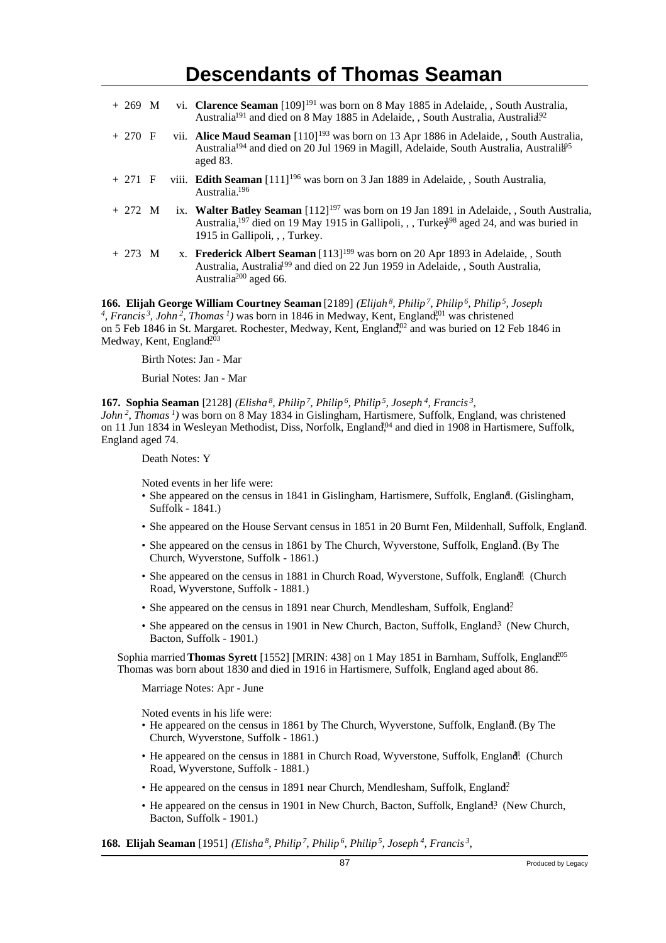| $+269$ M  |  | vi. Clarence Seaman [109] <sup>191</sup> was born on 8 May 1885 in Adelaide, , South Australia,<br>Australia <sup>191</sup> and died on 8 May 1885 in Adelaide, , South Australia, Australia <sup>92</sup>                                          |
|-----------|--|-----------------------------------------------------------------------------------------------------------------------------------------------------------------------------------------------------------------------------------------------------|
| $+270$ F  |  | vii. Alice Maud Seaman [110] <sup>193</sup> was born on 13 Apr 1886 in Adelaide, , South Australia,<br>Australia <sup>194</sup> and died on 20 Jul 1969 in Magill, Adelaide, South Australia, Australia <sup>95</sup><br>aged 83.                   |
| $+271$ F  |  | viii. Edith Seaman $[111]^{196}$ was born on 3 Jan 1889 in Adelaide, , South Australia,<br>Australia. <sup>196</sup>                                                                                                                                |
| $+ 272 M$ |  | ix. Walter Batley Seaman $[112]^{197}$ was born on 19 Jan 1891 in Adelaide, , South Australia,<br>Australia, <sup>197</sup> died on 19 May 1915 in Gallipoli, , , Turkey <sup>98</sup> aged 24, and was buried in<br>1915 in Gallipoli, , , Turkey. |
| $+273$ M  |  | x. Frederick Albert Seaman [113] <sup>199</sup> was born on 20 Apr 1893 in Adelaide, , South<br>Australia, Australia <sup>199</sup> and died on 22 Jun 1959 in Adelaide, , South Australia,<br>Australia <sup>200</sup> aged 66.                    |

**166. Elijah George William Courtney Seaman** [2189] *(Elijah<sup>8</sup>, Philip<sup>7</sup>, Philip<sup>6</sup>, Philip<sup>5</sup>, Joseph* <sup>4</sup>, Francis<sup>3</sup>, John<sup>2</sup>, Thomas<sup>1</sup>) was born in 1846 in Medway, Kent, England<sup>01</sup>, was christened on 5 Feb 1846 in St. Margaret. Rochester, Medway, Kent, England,<sup>02</sup> and was buried on 12 Feb 1846 in Medway, Kent, England<sup>203</sup>

Birth Notes: Jan - Mar

Burial Notes: Jan - Mar

**167. Sophia Seaman** [2128] *(Elisha<sup>8</sup>, Philip<sup>7</sup>, Philip<sup>6</sup>, Philip<sup>5</sup>, Joseph<sup>4</sup>, Francis<sup>3</sup> , John<sup>2</sup>, Thomas<sup>1</sup>)* was born on 8 May 1834 in Gislingham, Hartismere, Suffolk, England, was christened on 11 Jun 1834 in Wesleyan Methodist, Diss, Norfolk, England<sup>04</sup> and died in 1908 in Hartismere, Suffolk, England aged 74.

Death Notes: Y

Noted events in her life were:

- She appeared on the census in 1841 in Gislingham, Hartismere, Suffolk, England. (Gislingham, Suffolk - 1841.)
- She appeared on the House Servant census in 1851 in 20 Burnt Fen, Mildenhall, Suffolk, England.
- She appeared on the census in 1861 by The Church, Wyverstone, Suffolk, England. (By The Church, Wyverstone, Suffolk - 1861.)
- She appeared on the census in 1881 in Church Road, Wyverstone, Suffolk, England<sup>1</sup>. (Church Road, Wyverstone, Suffolk - 1881.)
- She appeared on the census in 1891 near Church, Mendlesham, Suffolk, England?
- She appeared on the census in 1901 in New Church, Bacton, Suffolk, England<sup>3</sup> (New Church, Bacton, Suffolk - 1901.)

Sophia married **Thomas Syrett** [1552] [MRIN: 438] on 1 May 1851 in Barnham, Suffolk, England.<sup>005</sup> Thomas was born about 1830 and died in 1916 in Hartismere, Suffolk, England aged about 86.

Marriage Notes: Apr - June

Noted events in his life were:

- He appeared on the census in 1861 by The Church, Wyverstone, Suffolk, England. (By The Church, Wyverstone, Suffolk - 1861.)
- He appeared on the census in 1881 in Church Road, Wyverstone, Suffolk, England! (Church Road, Wyverstone, Suffolk - 1881.)
- He appeared on the census in 1891 near Church, Mendlesham, Suffolk, England?
- He appeared on the census in 1901 in New Church, Bacton, Suffolk, England<sup>3</sup> (New Church, Bacton, Suffolk - 1901.)

**168. Elijah Seaman** [1951] *(Elisha<sup>8</sup>, Philip<sup>7</sup>, Philip<sup>6</sup>, Philip<sup>5</sup>, Joseph<sup>4</sup>, Francis<sup>3</sup> ,*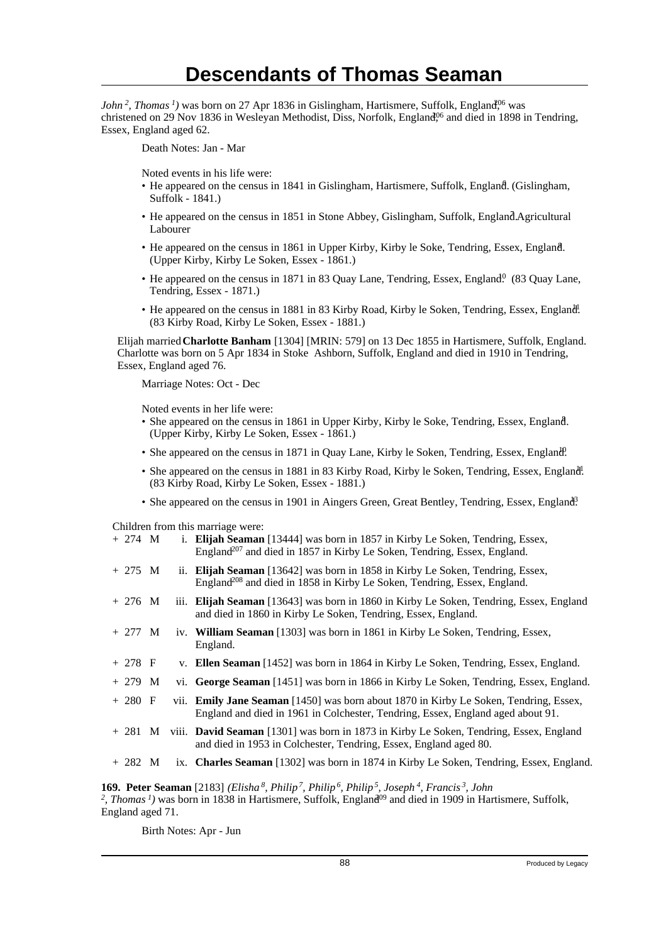*John*<sup>2</sup>, *Thomas*<sup>1</sup>) was born on 27 Apr 1836 in Gislingham, Hartismere, Suffolk, England<sup>06</sup> was christened on 29 Nov 1836 in Wesleyan Methodist, Diss, Norfolk, England,<sup>06</sup> and died in 1898 in Tendring, Essex, England aged 62.

Death Notes: Jan - Mar

Noted events in his life were:

- He appeared on the census in 1841 in Gislingham, Hartismere, Suffolk, England. (Gislingham, Suffolk - 1841.)
- He appeared on the census in 1851 in Stone Abbey, Gislingham, Suffolk, EnglandAgricultural Labourer
- He appeared on the census in 1861 in Upper Kirby, Kirby le Soke, Tendring, Essex, England. <sup>8</sup> (Upper Kirby, Kirby Le Soken, Essex - 1861.)
- He appeared on the census in 1871 in 83 Quay Lane, Tendring, Essex, England.<sup>0</sup> (83 Quay Lane, Tendring, Essex - 1871.)
- He appeared on the census in 1881 in 83 Kirby Road, Kirby le Soken, Tendring, Essex, England! (83 Kirby Road, Kirby Le Soken, Essex - 1881.)

Elijah married **Charlotte Banham** [1304] [MRIN: 579] on 13 Dec 1855 in Hartismere, Suffolk, England. Charlotte was born on 5 Apr 1834 in Stoke Ashborn, Suffolk, England and died in 1910 in Tendring, Essex, England aged 76.

Marriage Notes: Oct - Dec

Noted events in her life were:

- She appeared on the census in 1861 in Upper Kirby, Kirby le Soke, Tendring, Essex, England. <sup>8</sup> (Upper Kirby, Kirby Le Soken, Essex - 1861.)
- She appeared on the census in 1871 in Quay Lane, Kirby le Soken, Tendring, Essex, England?
- She appeared on the census in 1881 in 83 Kirby Road, Kirby le Soken, Tendring, Essex, England! (83 Kirby Road, Kirby Le Soken, Essex - 1881.)
- She appeared on the census in 1901 in Aingers Green, Great Bentley, Tendring, Essex, England?

Children from this marriage were:

|              |  | $C111$ can have the matrix $C1$ weight                                                                                                                                          |
|--------------|--|---------------------------------------------------------------------------------------------------------------------------------------------------------------------------------|
| $+ 274 \, M$ |  | i. Elijah Seaman [13444] was born in 1857 in Kirby Le Soken, Tendring, Essex,<br>England <sup>207</sup> and died in 1857 in Kirby Le Soken, Tendring, Essex, England.           |
| $+ 275 M$    |  | ii. Elijah Seaman [13642] was born in 1858 in Kirby Le Soken, Tendring, Essex,<br>England <sup>208</sup> and died in 1858 in Kirby Le Soken, Tendring, Essex, England.          |
| $+276$ M     |  | iii. Elijah Seaman [13643] was born in 1860 in Kirby Le Soken, Tendring, Essex, England<br>and died in 1860 in Kirby Le Soken, Tendring, Essex, England.                        |
| $+ 277 M$    |  | iv. William Seaman [1303] was born in 1861 in Kirby Le Soken, Tendring, Essex,<br>England.                                                                                      |
| $+ 278 F$    |  | v. Ellen Seaman [1452] was born in 1864 in Kirby Le Soken, Tendring, Essex, England.                                                                                            |
| $+ 279$ M    |  | vi. George Seaman [1451] was born in 1866 in Kirby Le Soken, Tendring, Essex, England.                                                                                          |
| $+280$ F     |  | vii. <b>Emily Jane Seaman</b> [1450] was born about 1870 in Kirby Le Soken, Tendring, Essex,<br>England and died in 1961 in Colchester, Tendring, Essex, England aged about 91. |
| + 281 M      |  | viii. David Seaman [1301] was born in 1873 in Kirby Le Soken, Tendring, Essex, England<br>and died in 1953 in Colchester, Tendring, Essex, England aged 80.                     |
| $+282$ M     |  | ix. Charles Seaman [1302] was born in 1874 in Kirby Le Soken, Tendring, Essex, England.                                                                                         |
|              |  |                                                                                                                                                                                 |

**169. Peter Seaman** [2183] *(Elisha<sup>8</sup>, Philip<sup>7</sup>, Philip<sup>6</sup>, Philip<sup>5</sup>, Joseph<sup>4</sup>, Francis<sup>3</sup>, John* <sup>2</sup>, *Thomas<sup>1</sup>*) was born in 1838 in Hartismere, Suffolk, England<sup>09</sup> and died in 1909 in Hartismere, Suffolk, England aged 71.

Birth Notes: Apr - Jun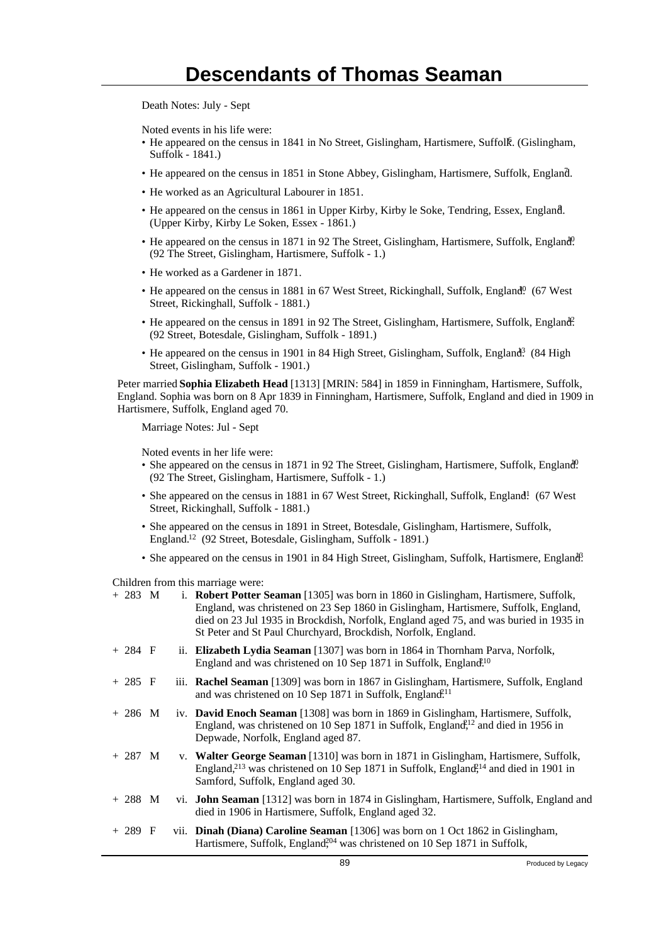Death Notes: July - Sept

Noted events in his life were:

- He appeared on the census in 1841 in No Street, Gislingham, Hartismere, Suffolk. (Gislingham, Suffolk - 1841.)
- He appeared on the census in 1851 in Stone Abbey, Gislingham, Hartismere, Suffolk, England. <sup>7</sup>
- He worked as an Agricultural Labourer in 1851.
- He appeared on the census in 1861 in Upper Kirby, Kirby le Soke, Tendring, Essex, England. <sup>8</sup> (Upper Kirby, Kirby Le Soken, Essex - 1861.)
- He appeared on the census in 1871 in 92 The Street, Gislingham, Hartismere, Suffolk, England. (92 The Street, Gislingham, Hartismere, Suffolk - 1.)
- He worked as a Gardener in 1871.
- He appeared on the census in 1881 in 67 West Street, Rickinghall, Suffolk, England<sup>0</sup> (67 West Street, Rickinghall, Suffolk - 1881.)
- He appeared on the census in 1891 in 92 The Street, Gislingham, Hartismere, Suffolk, England. (92 Street, Botesdale, Gislingham, Suffolk - 1891.)
- He appeared on the census in 1901 in 84 High Street, Gislingham, Suffolk, England<sup>3</sup> (84 High Street, Gislingham, Suffolk - 1901.)

Peter married **Sophia Elizabeth Head** [1313] [MRIN: 584] in 1859 in Finningham, Hartismere, Suffolk, England. Sophia was born on 8 Apr 1839 in Finningham, Hartismere, Suffolk, England and died in 1909 in Hartismere, Suffolk, England aged 70.

Marriage Notes: Jul - Sept

Noted events in her life were:

- She appeared on the census in 1871 in 92 The Street, Gislingham, Hartismere, Suffolk, England<sup>0</sup>. (92 The Street, Gislingham, Hartismere, Suffolk - 1.)
- She appeared on the census in 1881 in 67 West Street, Rickinghall, Suffolk, England! (67 West) Street, Rickinghall, Suffolk - 1881.)
- She appeared on the census in 1891 in Street, Botesdale, Gislingham, Hartismere, Suffolk, England.<sup>12</sup> (92 Street, Botesdale, Gislingham, Suffolk - 1891.)
- She appeared on the census in 1901 in 84 High Street, Gislingham, Suffolk, Hartismere, England?

Children from this marriage were:

| $+ 283 M$ |  | i. Robert Potter Seaman [1305] was born in 1860 in Gislingham, Hartismere, Suffolk,<br>England, was christened on 23 Sep 1860 in Gislingham, Hartismere, Suffolk, England,<br>died on 23 Jul 1935 in Brockdish, Norfolk, England aged 75, and was buried in 1935 in<br>St Peter and St Paul Churchyard, Brockdish, Norfolk, England. |
|-----------|--|--------------------------------------------------------------------------------------------------------------------------------------------------------------------------------------------------------------------------------------------------------------------------------------------------------------------------------------|
| $+ 284$ F |  | ii. Elizabeth Lydia Seaman [1307] was born in 1864 in Thornham Parva, Norfolk,<br>England and was christened on 10 Sep 1871 in Suffolk, England <sup>10</sup>                                                                                                                                                                        |
| $+285$ F  |  | iii. <b>Rachel Seaman</b> [1309] was born in 1867 in Gislingham, Hartismere, Suffolk, England<br>and was christened on 10 Sep 1871 in Suffolk, England. <sup>211</sup>                                                                                                                                                               |
| $+286$ M  |  | iv. <b>David Enoch Seaman</b> [1308] was born in 1869 in Gislingham, Hartismere, Suffolk,<br>England, was christened on 10 Sep 1871 in Suffolk, England <sup>212</sup> and died in 1956 in<br>Depwade, Norfolk, England aged 87.                                                                                                     |
| $+ 287$ M |  | v. Walter George Seaman [1310] was born in 1871 in Gislingham, Hartismere, Suffolk,<br>England, <sup>213</sup> was christened on 10 Sep 1871 in Suffolk, England <sup>214</sup> and died in 1901 in<br>Samford, Suffolk, England aged 30.                                                                                            |
| $+ 288$ M |  | vi. <b>John Seaman</b> [1312] was born in 1874 in Gislingham, Hartismere, Suffolk, England and<br>died in 1906 in Hartismere, Suffolk, England aged 32.                                                                                                                                                                              |
| $+ 289$ F |  | vii. <b>Dinah (Diana) Caroline Seaman</b> [1306] was born on 1 Oct 1862 in Gislingham,<br>Hartismere, Suffolk, England <sup>204</sup> was christened on 10 Sep 1871 in Suffolk,                                                                                                                                                      |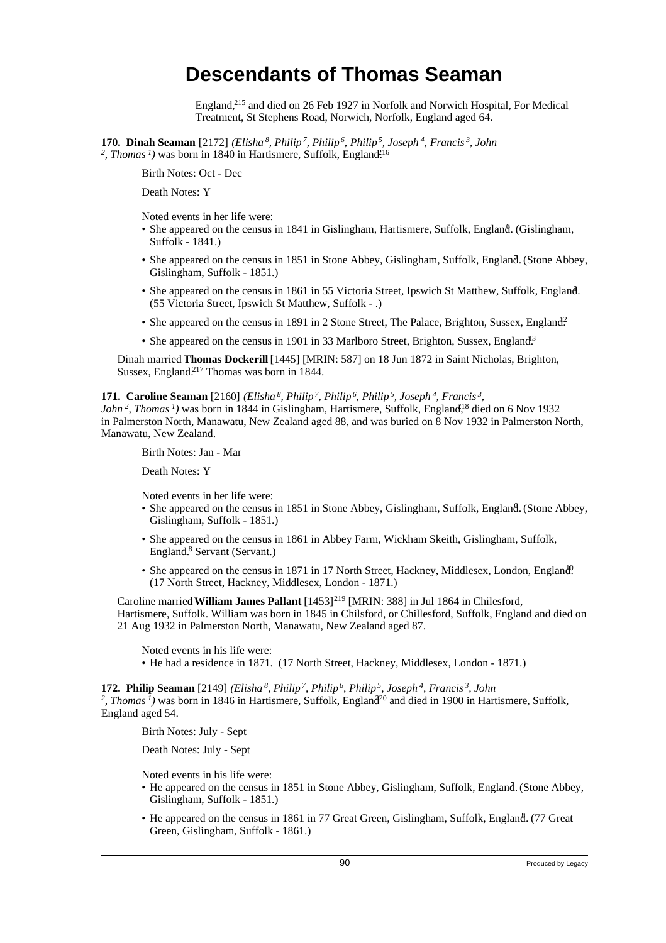England,<sup>215</sup> and died on 26 Feb 1927 in Norfolk and Norwich Hospital, For Medical Treatment, St Stephens Road, Norwich, Norfolk, England aged 64.

**170. Dinah Seaman** [2172] *(Elisha<sup>8</sup>, Philip<sup>7</sup>, Philip<sup>6</sup>, Philip<sup>5</sup>, Joseph<sup>4</sup>, Francis<sup>3</sup>, John* <sup>2</sup>, Thomas<sup>1</sup>) was born in 1840 in Hartismere, Suffolk, England<sup>216</sup>

Birth Notes: Oct - Dec

Death Notes: Y

Noted events in her life were:

- She appeared on the census in 1841 in Gislingham, Hartismere, Suffolk, England. (Gislingham, Suffolk - 1841.)
- She appeared on the census in 1851 in Stone Abbey, Gislingham, Suffolk, England. (Stone Abbey, Gislingham, Suffolk - 1851.)
- She appeared on the census in 1861 in 55 Victoria Street, Ipswich St Matthew, Suffolk, England. <sup>8</sup> (55 Victoria Street, Ipswich St Matthew, Suffolk - .)
- She appeared on the census in 1891 in 2 Stone Street, The Palace, Brighton, Sussex, England?
- She appeared on the census in 1901 in 33 Marlboro Street, Brighton, Sussex, England<sup>3</sup>

Dinah married **Thomas Dockerill** [1445] [MRIN: 587] on 18 Jun 1872 in Saint Nicholas, Brighton, Sussex, England.<sup>217</sup> Thomas was born in 1844.

#### **171. Caroline Seaman** [2160] *(Elisha<sup>8</sup>, Philip<sup>7</sup>, Philip<sup>6</sup>, Philip<sup>5</sup>, Joseph<sup>4</sup>, Francis<sup>3</sup> ,*

*John*<sup>2</sup>, *Thomas*<sup>*1*</sup>) was born in 1844 in Gislingham, Hartismere, Suffolk, England<sup>18</sup> died on 6 Nov 1932 in Palmerston North, Manawatu, New Zealand aged 88, and was buried on 8 Nov 1932 in Palmerston North, Manawatu, New Zealand.

Birth Notes: Jan - Mar

Death Notes: Y

Noted events in her life were:

- She appeared on the census in 1851 in Stone Abbey, Gislingham, Suffolk, England. (Stone Abbey, Gislingham, Suffolk - 1851.)
- She appeared on the census in 1861 in Abbey Farm, Wickham Skeith, Gislingham, Suffolk, England.<sup>8</sup> Servant (Servant.)
- She appeared on the census in 1871 in 17 North Street, Hackney, Middlesex, London, England<sup>0</sup>. (17 North Street, Hackney, Middlesex, London - 1871.)

Caroline married **William James Pallant** [1453]<sup>219</sup> [MRIN: 388] in Jul 1864 in Chilesford, Hartismere, Suffolk. William was born in 1845 in Chilsford, or Chillesford, Suffolk, England and died on 21 Aug 1932 in Palmerston North, Manawatu, New Zealand aged 87.

Noted events in his life were: • He had a residence in 1871. (17 North Street, Hackney, Middlesex, London - 1871.)

**172. Philip Seaman** [2149] *(Elisha<sup>8</sup>, Philip<sup>7</sup>, Philip<sup>6</sup>, Philip<sup>5</sup>, Joseph<sup>4</sup>, Francis<sup>3</sup>, John*

<sup>2</sup>, *Thomas<sup>1</sup>*) was born in 1846 in Hartismere, Suffolk, England<sup>20</sup> and died in 1900 in Hartismere, Suffolk, England aged 54.

Birth Notes: July - Sept

Death Notes: July - Sept

Noted events in his life were:

- He appeared on the census in 1851 in Stone Abbey, Gislingham, Suffolk, England. (Stone Abbey, Gislingham, Suffolk - 1851.)
- He appeared on the census in 1861 in 77 Great Green, Gislingham, Suffolk, England. (77 Great Green, Gislingham, Suffolk - 1861.)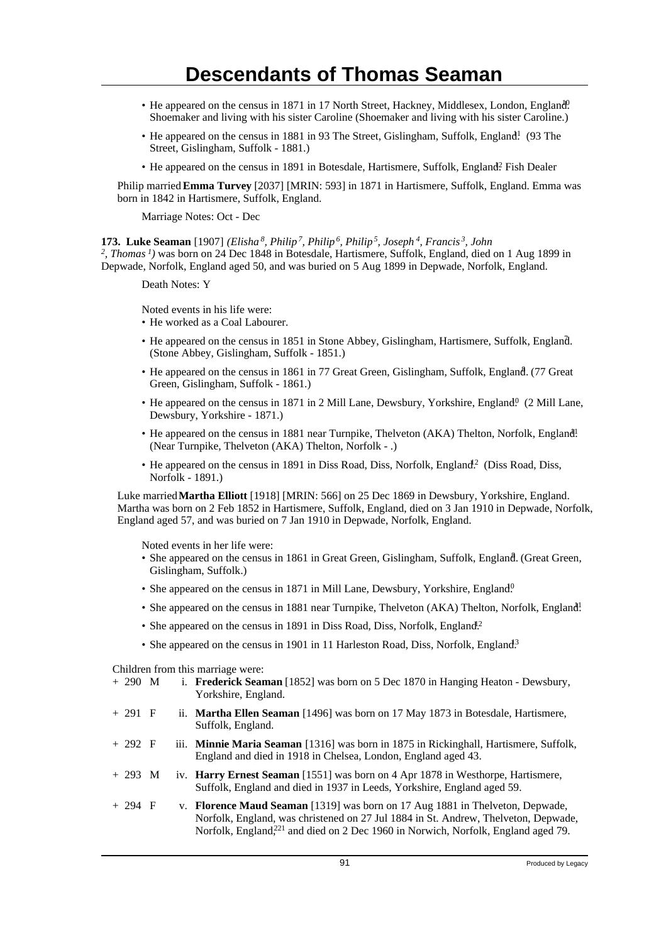- He appeared on the census in 1871 in 17 North Street, Hackney, Middlesex, London, England. Shoemaker and living with his sister Caroline (Shoemaker and living with his sister Caroline.)
- He appeared on the census in 1881 in 93 The Street, Gislingham, Suffolk, England! (93 The Street, Gislingham, Suffolk - 1881.)
- He appeared on the census in 1891 in Botesdale, Hartismere, Suffolk, England? Fish Dealer

Philip married **Emma Turvey** [2037] [MRIN: 593] in 1871 in Hartismere, Suffolk, England. Emma was born in 1842 in Hartismere, Suffolk, England.

Marriage Notes: Oct - Dec

**173. Luke Seaman** [1907] *(Elisha<sup>8</sup>, Philip<sup>7</sup>, Philip<sup>6</sup>, Philip<sup>5</sup>, Joseph<sup>4</sup>, Francis<sup>3</sup>, John 2 , Thomas<sup>1</sup>)* was born on 24 Dec 1848 in Botesdale, Hartismere, Suffolk, England, died on 1 Aug 1899 in Depwade, Norfolk, England aged 50, and was buried on 5 Aug 1899 in Depwade, Norfolk, England.

Death Notes: Y

Noted events in his life were:

- He worked as a Coal Labourer.
- He appeared on the census in 1851 in Stone Abbey, Gislingham, Hartismere, Suffolk, England. <sup>7</sup> (Stone Abbey, Gislingham, Suffolk - 1851.)
- He appeared on the census in 1861 in 77 Great Green, Gislingham, Suffolk, England. (77 Great Green, Gislingham, Suffolk - 1861.)
- He appeared on the census in 1871 in 2 Mill Lane, Dewsbury, Yorkshire, England $\frac{10}{10}$  (2 Mill Lane, Dewsbury, Yorkshire - 1871.)
- He appeared on the census in 1881 near Turnpike, Thelveton (AKA) Thelton, Norfolk, England! (Near Turnpike, Thelveton (AKA) Thelton, Norfolk - .)
- He appeared on the census in 1891 in Diss Road, Diss, Norfolk, England<sup>2</sup>. (Diss Road, Diss, Norfolk - 1891.)

Luke married **Martha Elliott** [1918] [MRIN: 566] on 25 Dec 1869 in Dewsbury, Yorkshire, England. Martha was born on 2 Feb 1852 in Hartismere, Suffolk, England, died on 3 Jan 1910 in Depwade, Norfolk, England aged 57, and was buried on 7 Jan 1910 in Depwade, Norfolk, England.

Noted events in her life were:

- · She appeared on the census in 1861 in Great Green, Gislingham, Suffolk, England. (Great Green, Gislingham, Suffolk.)
- She appeared on the census in 1871 in Mill Lane, Dewsbury, Yorkshire, England<sup>0</sup>.
- She appeared on the census in 1881 near Turnpike, Thelveton (AKA) Thelton, Norfolk, England!
- She appeared on the census in 1891 in Diss Road, Diss, Norfolk, England<sup>12</sup>
- She appeared on the census in 1901 in 11 Harleston Road, Diss, Norfolk, England<sup>3</sup>

Children from this marriage were:

- + 290 M i. **Frederick Seaman** [1852] was born on 5 Dec 1870 in Hanging Heaton Dewsbury, Yorkshire, England.
- + 291 F ii. **Martha Ellen Seaman** [1496] was born on 17 May 1873 in Botesdale, Hartismere, Suffolk, England.
- + 292 F iii. **Minnie Maria Seaman** [1316] was born in 1875 in Rickinghall, Hartismere, Suffolk, England and died in 1918 in Chelsea, London, England aged 43.
- + 293 M iv. **Harry Ernest Seaman** [1551] was born on 4 Apr 1878 in Westhorpe, Hartismere, Suffolk, England and died in 1937 in Leeds, Yorkshire, England aged 59.
- + 294 F v. **Florence Maud Seaman** [1319] was born on 17 Aug 1881 in Thelveton, Depwade, Norfolk, England, was christened on 27 Jul 1884 in St. Andrew, Thelveton, Depwade, Norfolk, England,<sup>221</sup> and died on 2 Dec 1960 in Norwich, Norfolk, England aged 79.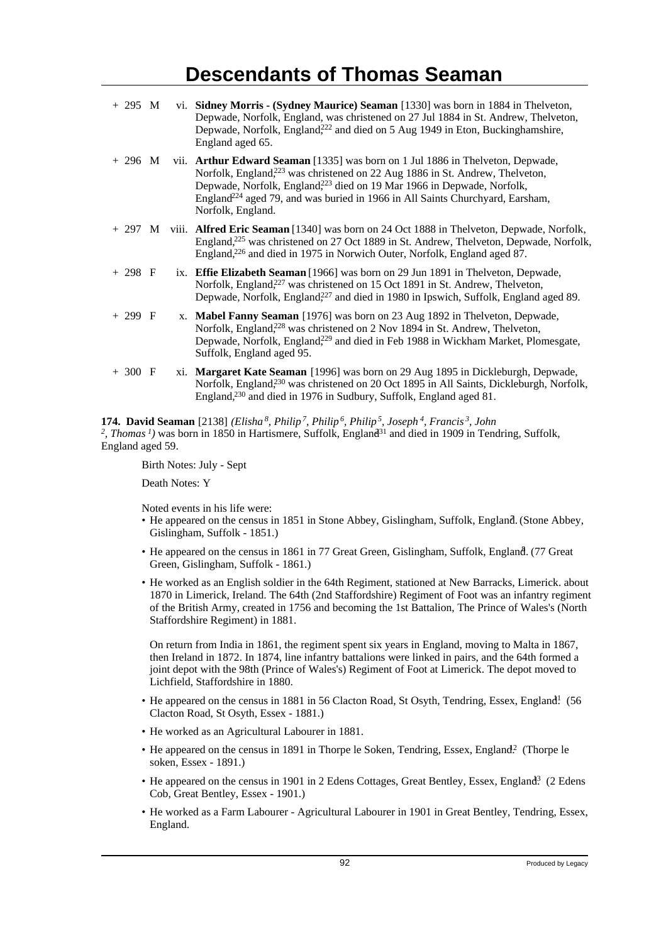| $+295$ M  |  | vi. Sidney Morris - (Sydney Maurice) Seaman [1330] was born in 1884 in Thelveton,<br>Depwade, Norfolk, England, was christened on 27 Jul 1884 in St. Andrew, Thelveton,<br>Depwade, Norfolk, England <sup>222</sup> and died on 5 Aug 1949 in Eton, Buckinghamshire,<br>England aged 65.                                                                                          |
|-----------|--|-----------------------------------------------------------------------------------------------------------------------------------------------------------------------------------------------------------------------------------------------------------------------------------------------------------------------------------------------------------------------------------|
| $+296$ M  |  | vii. Arthur Edward Seaman [1335] was born on 1 Jul 1886 in Thelveton, Depwade,<br>Norfolk, England, <sup>223</sup> was christened on 22 Aug 1886 in St. Andrew, Thelveton,<br>Depwade, Norfolk, England <sup>223</sup> died on 19 Mar 1966 in Depwade, Norfolk,<br>England <sup>224</sup> aged 79, and was buried in 1966 in All Saints Churchyard, Earsham,<br>Norfolk, England. |
|           |  | + 297 M viii. Alfred Eric Seaman [1340] was born on 24 Oct 1888 in Thelveton, Depwade, Norfolk,<br>England, <sup>225</sup> was christened on 27 Oct 1889 in St. Andrew, Thelveton, Depwade, Norfolk,<br>England, <sup>226</sup> and died in 1975 in Norwich Outer, Norfolk, England aged 87.                                                                                      |
| $+ 298 F$ |  | ix. Effie Elizabeth Seaman [1966] was born on 29 Jun 1891 in Thelveton, Depwade,<br>Norfolk, England <sup>227</sup> was christened on 15 Oct 1891 in St. Andrew, Thelveton,<br>Depwade, Norfolk, England <sup>227</sup> and died in 1980 in Ipswich, Suffolk, England aged 89.                                                                                                    |
| $+299$ F  |  | x. Mabel Fanny Seaman [1976] was born on 23 Aug 1892 in Thelveton, Depwade,<br>Norfolk, England, <sup>228</sup> was christened on 2 Nov 1894 in St. Andrew, Thelveton,<br>Depwade, Norfolk, England <sup>229</sup> and died in Feb 1988 in Wickham Market, Plomesgate,<br>Suffolk, England aged 95.                                                                               |
| $+300$ F  |  | xi. Margaret Kate Seaman [1996] was born on 29 Aug 1895 in Dickleburgh, Depwade,<br>Norfolk, England <sup>230</sup> was christened on 20 Oct 1895 in All Saints, Dickleburgh, Norfolk,<br>England, <sup>230</sup> and died in 1976 in Sudbury, Suffolk, England aged 81.                                                                                                          |

**174. David Seaman** [2138] *(Elisha<sup>8</sup>, Philip<sup>7</sup>, Philip<sup>6</sup>, Philip<sup>5</sup>, Joseph<sup>4</sup>, Francis<sup>3</sup>, John* <sup>2</sup>, Thomas<sup>1</sup>) was born in 1850 in Hartismere, Suffolk, England<sup>31</sup> and died in 1909 in Tendring, Suffolk, England aged 59.

Birth Notes: July - Sept

Death Notes: Y

Noted events in his life were:

- He appeared on the census in 1851 in Stone Abbey, Gislingham, Suffolk, England. (Stone Abbey, Gislingham, Suffolk - 1851.)
- He appeared on the census in 1861 in 77 Great Green, Gislingham, Suffolk, England. (77 Great Green, Gislingham, Suffolk - 1861.)
- He worked as an English soldier in the 64th Regiment, stationed at New Barracks, Limerick. about 1870 in Limerick, Ireland. The 64th (2nd Staffordshire) Regiment of Foot was an infantry regiment of the British Army, created in 1756 and becoming the 1st Battalion, The Prince of Wales's (North Staffordshire Regiment) in 1881.

On return from India in 1861, the regiment spent six years in England, moving to Malta in 1867, then Ireland in 1872. In 1874, line infantry battalions were linked in pairs, and the 64th formed a joint depot with the 98th (Prince of Wales's) Regiment of Foot at Limerick. The depot moved to Lichfield, Staffordshire in 1880.

- He appeared on the census in 1881 in 56 Clacton Road, St Osyth, Tendring, Essex, England! (56 Clacton Road, St Osyth, Essex - 1881.)
- He worked as an Agricultural Labourer in 1881.
- He appeared on the census in 1891 in Thorpe le Soken, Tendring, Essex, England.<sup>2</sup> (Thorpe le soken, Essex - 1891.)
- He appeared on the census in 1901 in 2 Edens Cottages, Great Bentley, Essex, England<sup>3</sup> (2 Edens Cob, Great Bentley, Essex - 1901.)
- He worked as a Farm Labourer Agricultural Labourer in 1901 in Great Bentley, Tendring, Essex, England.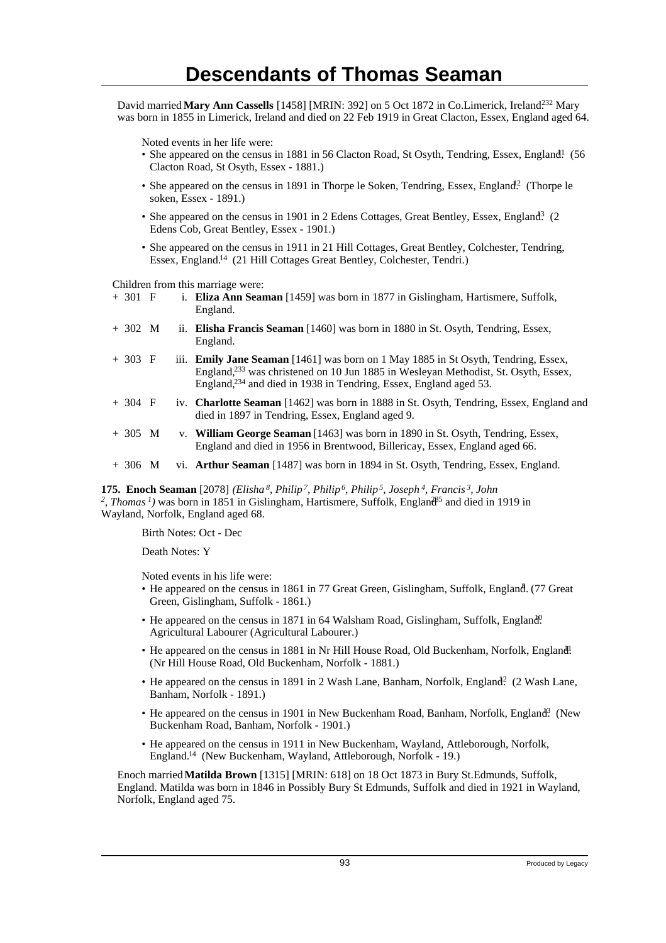David married Mary Ann Cassells [1458] [MRIN: 392] on 5 Oct 1872 in Co.Limerick, Ireland<sup>232</sup> Mary was born in 1855 in Limerick, Ireland and died on 22 Feb 1919 in Great Clacton, Essex, England aged 64.

Noted events in her life were:

- She appeared on the census in 1881 in 56 Clacton Road, St Osyth, Tendring, Essex, England! (56) Clacton Road, St Osyth, Essex - 1881.)
- She appeared on the census in 1891 in Thorpe le Soken, Tendring, Essex, England.<sup>2</sup> (Thorpe le soken, Essex - 1891.)
- She appeared on the census in 1901 in 2 Edens Cottages, Great Bentley, Essex, England<sup>3</sup> (2) Edens Cob, Great Bentley, Essex - 1901.)
- She appeared on the census in 1911 in 21 Hill Cottages, Great Bentley, Colchester, Tendring, Essex, England.<sup>14</sup> (21 Hill Cottages Great Bentley, Colchester, Tendri.)

Children from this marriage were:<br>+ 301  $\overline{F}$  i. **Eliza Ann Sean** 

- i. **Eliza Ann Seaman** [1459] was born in 1877 in Gislingham, Hartismere, Suffolk, England.
- + 302 M ii. **Elisha Francis Seaman** [1460] was born in 1880 in St. Osyth, Tendring, Essex, England.
- + 303 F iii. **Emily Jane Seaman** [1461] was born on 1 May 1885 in St Osyth, Tendring, Essex, England,<sup>233</sup> was christened on 10 Jun 1885 in Wesleyan Methodist, St. Osyth, Essex, England,<sup>234</sup> and died in 1938 in Tendring, Essex, England aged 53.
- + 304 F iv. **Charlotte Seaman** [1462] was born in 1888 in St. Osyth, Tendring, Essex, England and died in 1897 in Tendring, Essex, England aged 9.
- + 305 M v. **William George Seaman** [1463] was born in 1890 in St. Osyth, Tendring, Essex, England and died in 1956 in Brentwood, Billericay, Essex, England aged 66.
- + 306 M vi. **Arthur Seaman** [1487] was born in 1894 in St. Osyth, Tendring, Essex, England.

**175. Enoch Seaman** [2078] *(Elisha<sup>8</sup>, Philip<sup>7</sup>, Philip<sup>6</sup>, Philip<sup>5</sup>, Joseph<sup>4</sup>, Francis<sup>3</sup>, John* <sup>2</sup>, Thomas<sup>1</sup>) was born in 1851 in Gislingham, Hartismere, Suffolk, England<sup>85</sup> and died in 1919 in Wayland, Norfolk, England aged 68.

Birth Notes: Oct - Dec

Death Notes: Y

Noted events in his life were:

- He appeared on the census in 1861 in 77 Great Green, Gislingham, Suffolk, England. (77 Great Green, Gislingham, Suffolk - 1861.)
- He appeared on the census in 1871 in 64 Walsham Road, Gislingham, Suffolk, England. Agricultural Labourer (Agricultural Labourer.)
- He appeared on the census in 1881 in Nr Hill House Road, Old Buckenham, Norfolk, England! (Nr Hill House Road, Old Buckenham, Norfolk - 1881.)
- He appeared on the census in 1891 in 2 Wash Lane, Banham, Norfolk, England? (2 Wash Lane, Banham, Norfolk - 1891.)
- He appeared on the census in 1901 in New Buckenham Road, Banham, Norfolk, England<sup>3</sup>. (New Buckenham Road, Banham, Norfolk - 1901.)
- He appeared on the census in 1911 in New Buckenham, Wayland, Attleborough, Norfolk, England.<sup>14</sup> (New Buckenham, Wayland, Attleborough, Norfolk - 19.)

Enoch married **Matilda Brown** [1315] [MRIN: 618] on 18 Oct 1873 in Bury St.Edmunds, Suffolk, England. Matilda was born in 1846 in Possibly Bury St Edmunds, Suffolk and died in 1921 in Wayland, Norfolk, England aged 75.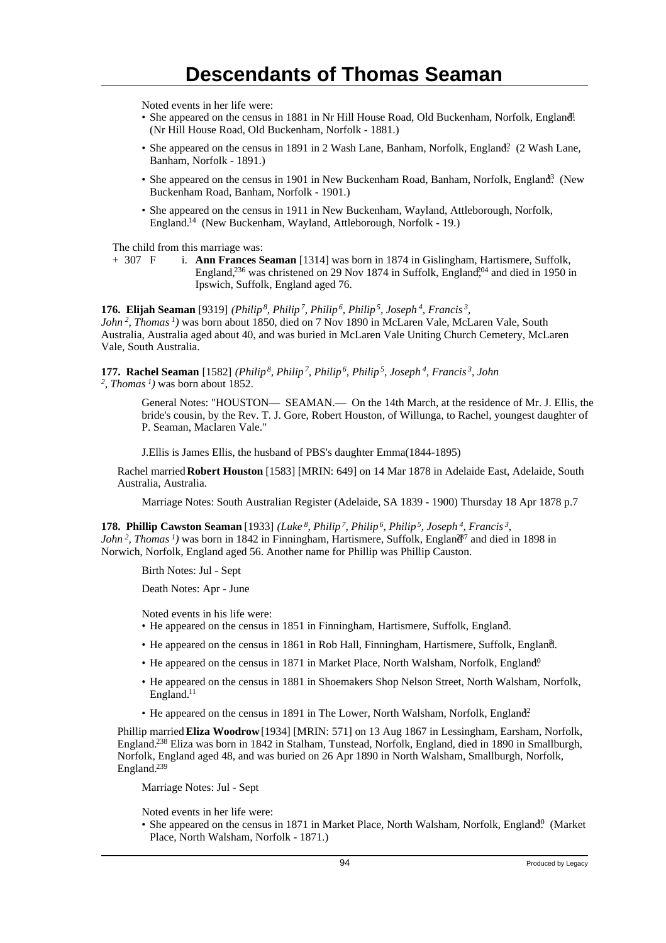Noted events in her life were:

- She appeared on the census in 1881 in Nr Hill House Road, Old Buckenham, Norfolk, England! (Nr Hill House Road, Old Buckenham, Norfolk - 1881.)
- She appeared on the census in 1891 in 2 Wash Lane, Banham, Norfolk, England? (2 Wash Lane, Banham, Norfolk - 1891.)
- She appeared on the census in 1901 in New Buckenham Road, Banham, Norfolk, England<sup>3</sup> (New Buckenham Road, Banham, Norfolk - 1901.)
- She appeared on the census in 1911 in New Buckenham, Wayland, Attleborough, Norfolk, England.<sup>14</sup> (New Buckenham, Wayland, Attleborough, Norfolk - 19.)

The child from this marriage was:

+ 307 F i. **Ann Frances Seaman** [1314] was born in 1874 in Gislingham, Hartismere, Suffolk, England,<sup>236</sup> was christened on 29 Nov 1874 in Suffolk, England,<sup>04</sup> and died in 1950 in Ipswich, Suffolk, England aged 76.

**176. Elijah Seaman** [9319] *(Philip<sup>8</sup>, Philip<sup>7</sup>, Philip<sup>6</sup>, Philip<sup>5</sup>, Joseph<sup>4</sup>, Francis<sup>3</sup> , John<sup>2</sup>, Thomas<sup>1</sup>)* was born about 1850, died on 7 Nov 1890 in McLaren Vale, McLaren Vale, South Australia, Australia aged about 40, and was buried in McLaren Vale Uniting Church Cemetery, McLaren Vale, South Australia.

**177. Rachel Seaman** [1582] *(Philip<sup>8</sup>, Philip<sup>7</sup>, Philip<sup>6</sup>, Philip<sup>5</sup>, Joseph<sup>4</sup>, Francis<sup>3</sup>, John 2 , Thomas<sup>1</sup>)* was born about 1852.

> General Notes: "HOUSTON— SEAMAN.— On the 14th March, at the residence of Mr. J. Ellis, the bride's cousin, by the Rev. T. J. Gore, Robert Houston, of Willunga, to Rachel, youngest daughter of P. Seaman, Maclaren Vale."

J.Ellis is James Ellis, the husband of PBS's daughter Emma(1844-1895)

Rachel married **Robert Houston** [1583] [MRIN: 649] on 14 Mar 1878 in Adelaide East, Adelaide, South Australia, Australia.

Marriage Notes: South Australian Register (Adelaide, SA 1839 - 1900) Thursday 18 Apr 1878 p.7

**178. Phillip Cawston Seaman** [1933] *(Luke<sup>8</sup>, Philip<sup>7</sup>, Philip<sup>6</sup>, Philip<sup>5</sup>, Joseph<sup>4</sup>, Francis<sup>3</sup> , John*<sup>2</sup>, *Thomas*<sup>*1*</sup>) was born in 1842 in Finningham, Hartismere, Suffolk, England<sup> $37$ </sup> and died in 1898 in Norwich, Norfolk, England aged 56. Another name for Phillip was Phillip Causton.

Birth Notes: Jul - Sept

Death Notes: Apr - June

Noted events in his life were:

- He appeared on the census in 1851 in Finningham, Hartismere, Suffolk, England. <sup>7</sup>
- He appeared on the census in 1861 in Rob Hall, Finningham, Hartismere, Suffolk, England.
- He appeared on the census in 1871 in Market Place, North Walsham, Norfolk, England<sup>0</sup>.
- He appeared on the census in 1881 in Shoemakers Shop Nelson Street, North Walsham, Norfolk, England.<sup>11</sup>
- He appeared on the census in 1891 in The Lower, North Walsham, Norfolk, England?

Phillip married **Eliza Woodrow** [1934] [MRIN: 571] on 13 Aug 1867 in Lessingham, Earsham, Norfolk, England.<sup>238</sup> Eliza was born in 1842 in Stalham, Tunstead, Norfolk, England, died in 1890 in Smallburgh, Norfolk, England aged 48, and was buried on 26 Apr 1890 in North Walsham, Smallburgh, Norfolk, England.<sup>239</sup>

Marriage Notes: Jul - Sept

Noted events in her life were:

• She appeared on the census in 1871 in Market Place, North Walsham, Norfolk, England<sup>0</sup> (Market Place, North Walsham, Norfolk - 1871.)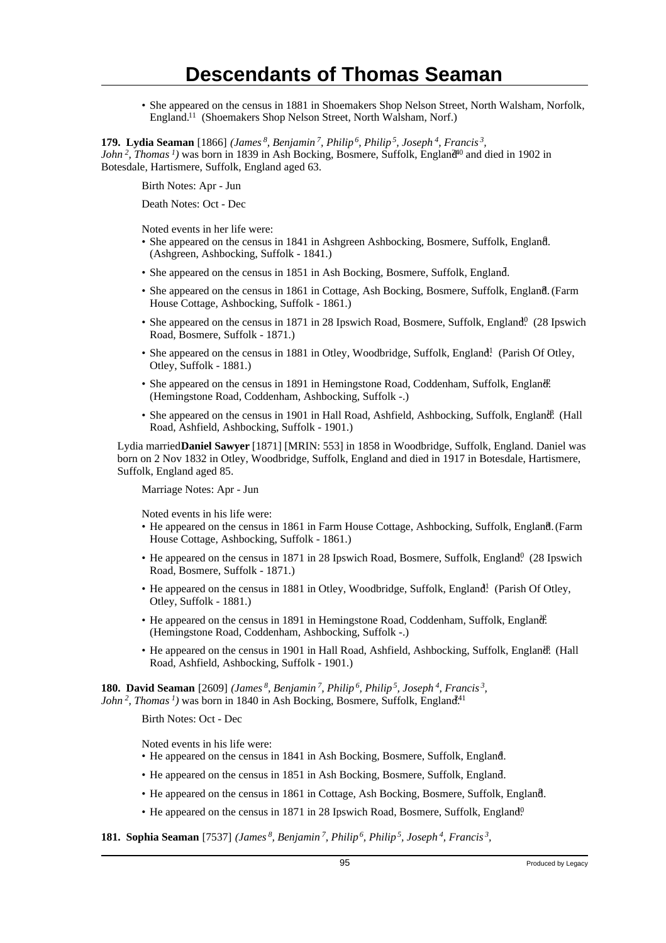• She appeared on the census in 1881 in Shoemakers Shop Nelson Street, North Walsham, Norfolk, England.<sup>11</sup> (Shoemakers Shop Nelson Street, North Walsham, Norf.)

**179. Lydia Seaman** [1866] *(James<sup>8</sup>, Benjamin<sup>7</sup>, Philip<sup>6</sup>, Philip<sup>5</sup>, Joseph<sup>4</sup>, Francis<sup>3</sup> ,*

*John*<sup>2</sup>, *Thomas*<sup>*1*</sup>) was born in 1839 in Ash Bocking, Bosmere, Suffolk, England<sup>40</sup> and died in 1902 in Botesdale, Hartismere, Suffolk, England aged 63.

Birth Notes: Apr - Jun

Death Notes: Oct - Dec

Noted events in her life were:

- She appeared on the census in 1841 in Ashgreen Ashbocking, Bosmere, Suffolk, England. (Ashgreen, Ashbocking, Suffolk - 1841.)
- She appeared on the census in 1851 in Ash Bocking, Bosmere, Suffolk, England. <sup>7</sup>
- She appeared on the census in 1861 in Cottage, Ash Bocking, Bosmere, Suffolk, England. (Farm House Cottage, Ashbocking, Suffolk - 1861.)
- She appeared on the census in 1871 in 28 Ipswich Road, Bosmere, Suffolk, England<sup>0</sup> (28 Ipswich Road, Bosmere, Suffolk - 1871.)
- She appeared on the census in 1881 in Otley, Woodbridge, Suffolk, England! (Parish Of Otley, Otley, Suffolk - 1881.)
- She appeared on the census in 1891 in Hemingstone Road, Coddenham, Suffolk, England. (Hemingstone Road, Coddenham, Ashbocking, Suffolk -.)
- She appeared on the census in 1901 in Hall Road, Ashfield, Ashbocking, Suffolk, England. (Hall Road, Ashfield, Ashbocking, Suffolk - 1901.)

Lydia married **Daniel Sawyer** [1871] [MRIN: 553] in 1858 in Woodbridge, Suffolk, England. Daniel was born on 2 Nov 1832 in Otley, Woodbridge, Suffolk, England and died in 1917 in Botesdale, Hartismere, Suffolk, England aged 85.

Marriage Notes: Apr - Jun

Noted events in his life were:

- He appeared on the census in 1861 in Farm House Cottage, Ashbocking, Suffolk, England. (Farm House Cottage, Ashbocking, Suffolk - 1861.)
- He appeared on the census in 1871 in 28 Ipswich Road, Bosmere, Suffolk, England<sup>0</sup> (28 Ipswich Road, Bosmere, Suffolk - 1871.)
- He appeared on the census in 1881 in Otley, Woodbridge, Suffolk, England! (Parish Of Otley, Otley, Suffolk - 1881.)
- He appeared on the census in 1891 in Hemingstone Road, Coddenham, Suffolk, England. (Hemingstone Road, Coddenham, Ashbocking, Suffolk -.)
- He appeared on the census in 1901 in Hall Road, Ashfield, Ashbocking, Suffolk, England. (Hall Road, Ashfield, Ashbocking, Suffolk - 1901.)

**180. David Seaman** [2609] *(James<sup>8</sup>, Benjamin<sup>7</sup>, Philip<sup>6</sup>, Philip<sup>5</sup>, Joseph<sup>4</sup>, Francis<sup>3</sup> ,*

*John<sup>2</sup>*, *Thomas<sup>1</sup>*) was born in 1840 in Ash Bocking, Bosmere, Suffolk, England<sup>41</sup>

Birth Notes: Oct - Dec

Noted events in his life were:

- He appeared on the census in 1841 in Ash Bocking, Bosmere, Suffolk, England.
- He appeared on the census in 1851 in Ash Bocking, Bosmere, Suffolk, England. <sup>7</sup>
- He appeared on the census in 1861 in Cottage, Ash Bocking, Bosmere, Suffolk, England. <sup>8</sup>
- He appeared on the census in 1871 in 28 Ipswich Road, Bosmere, Suffolk, England<sup>0</sup>.

#### **181. Sophia Seaman** [7537] *(James<sup>8</sup>, Benjamin<sup>7</sup>, Philip<sup>6</sup>, Philip<sup>5</sup>, Joseph<sup>4</sup>, Francis<sup>3</sup> ,*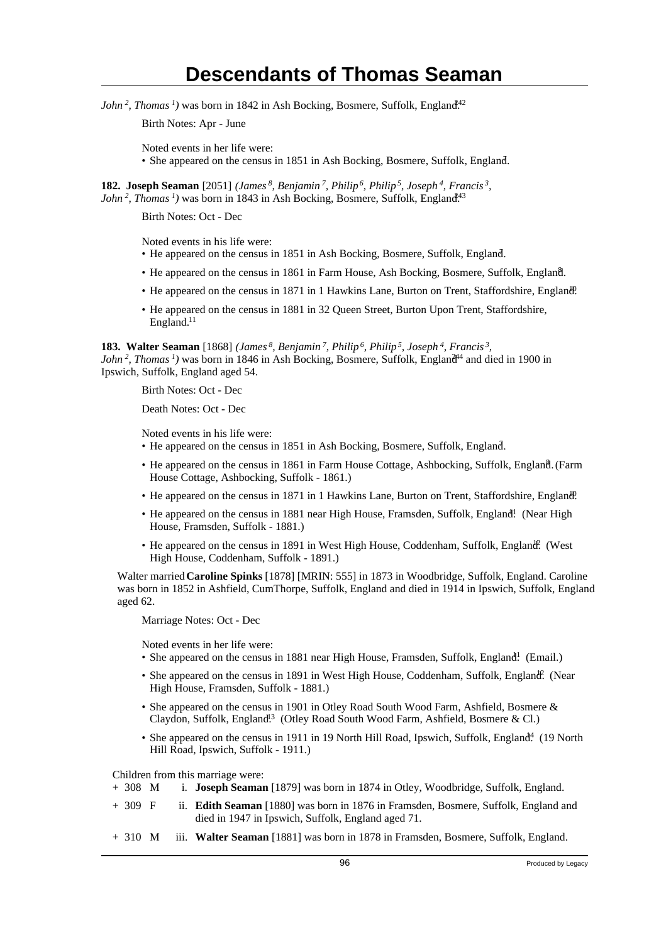*John<sup>2</sup>*, *Thomas<sup>1</sup>*) was born in 1842 in Ash Bocking, Bosmere, Suffolk, England<sup>42</sup>

Birth Notes: Apr - June

Noted events in her life were:

• She appeared on the census in 1851 in Ash Bocking, Bosmere, Suffolk, England.

**182. Joseph Seaman** [2051] *(James<sup>8</sup>, Benjamin<sup>7</sup>, Philip<sup>6</sup>, Philip<sup>5</sup>, Joseph<sup>4</sup>, Francis<sup>3</sup> , John*<sup>2</sup>, *Thomas*<sup>1</sup>) was born in 1843 in Ash Bocking, Bosmere, Suffolk, England<sup>43</sup>

Birth Notes: Oct - Dec

Noted events in his life were:

- He appeared on the census in 1851 in Ash Bocking, Bosmere, Suffolk, England. <sup>7</sup>
- He appeared on the census in 1861 in Farm House, Ash Bocking, Bosmere, Suffolk, England.
- He appeared on the census in 1871 in 1 Hawkins Lane, Burton on Trent, Staffordshire, England!
- He appeared on the census in 1881 in 32 Queen Street, Burton Upon Trent, Staffordshire, England.<sup>11</sup>

**183. Walter Seaman** [1868] *(James<sup>8</sup>, Benjamin<sup>7</sup>, Philip<sup>6</sup>, Philip<sup>5</sup>, Joseph<sup>4</sup>, Francis<sup>3</sup> ,*

*John*<sup>2</sup>, *Thomas*<sup>*1*</sup>) was born in 1846 in Ash Bocking, Bosmere, Suffolk, England<sup>44</sup> and died in 1900 in Ipswich, Suffolk, England aged 54.

Birth Notes: Oct - Dec

Death Notes: Oct - Dec

Noted events in his life were:

- He appeared on the census in 1851 in Ash Bocking, Bosmere, Suffolk, England.
- He appeared on the census in 1861 in Farm House Cottage, Ashbocking, Suffolk, England. (Farm House Cottage, Ashbocking, Suffolk - 1861.)
- He appeared on the census in 1871 in 1 Hawkins Lane, Burton on Trent, Staffordshire, England.
- He appeared on the census in 1881 near High House, Framsden, Suffolk, England! (Near High House, Framsden, Suffolk - 1881.)
- He appeared on the census in 1891 in West High House, Coddenham, Suffolk, England. (West High House, Coddenham, Suffolk - 1891.)

Walter married **Caroline Spinks** [1878] [MRIN: 555] in 1873 in Woodbridge, Suffolk, England. Caroline was born in 1852 in Ashfield, CumThorpe, Suffolk, England and died in 1914 in Ipswich, Suffolk, England aged 62.

Marriage Notes: Oct - Dec

Noted events in her life were:

- She appeared on the census in 1881 near High House, Framsden, Suffolk, England! (Email.)
- She appeared on the census in 1891 in West High House, Coddenham, Suffolk, England. (Near High House, Framsden, Suffolk - 1881.)
- She appeared on the census in 1901 in Otley Road South Wood Farm, Ashfield, Bosmere & Claydon, Suffolk, England<sup>13</sup> (Otley Road South Wood Farm, Ashfield, Bosmere & Cl.)
- She appeared on the census in 1911 in 19 North Hill Road, Ipswich, Suffolk, England. 19 North Hill Road, Ipswich, Suffolk - 1911.)

Children from this marriage were:

- + 308 M i. **Joseph Seaman** [1879] was born in 1874 in Otley, Woodbridge, Suffolk, England.
- + 309 F ii. **Edith Seaman** [1880] was born in 1876 in Framsden, Bosmere, Suffolk, England and died in 1947 in Ipswich, Suffolk, England aged 71.
- + 310 M iii. **Walter Seaman** [1881] was born in 1878 in Framsden, Bosmere, Suffolk, England.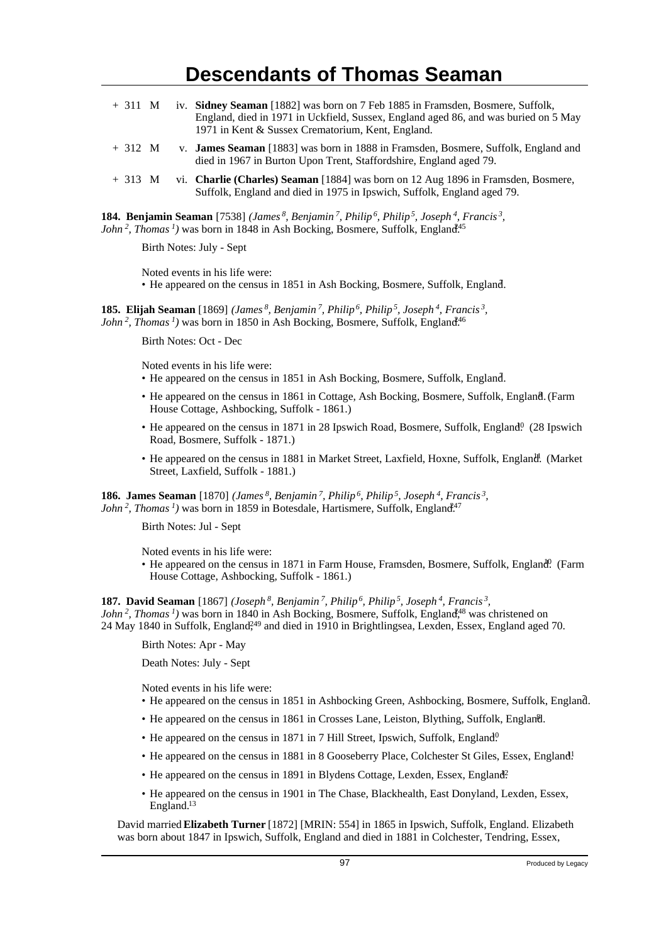| $+311$ M |  | iv. Sidney Seaman [1882] was born on 7 Feb 1885 in Framsden, Bosmere, Suffolk,<br>England, died in 1971 in Uckfield, Sussex, England aged 86, and was buried on 5 May<br>1971 in Kent & Sussex Crematorium, Kent, England. |
|----------|--|----------------------------------------------------------------------------------------------------------------------------------------------------------------------------------------------------------------------------|
| $+312$ M |  | v. <b>James Seaman</b> [1883] was born in 1888 in Framsden, Bosmere, Suffolk, England and<br>died in 1967 in Burton Upon Trent, Staffordshire, England aged 79.                                                            |
| $+313$ M |  | vi. <b>Charlie (Charles) Seaman</b> [1884] was born on 12 Aug 1896 in Framsden, Bosmere,<br>Suffolk, England and died in 1975 in Ipswich, Suffolk, England aged 79.                                                        |

**184. Benjamin Seaman** [7538] *(James<sup>8</sup>, Benjamin<sup>7</sup>, Philip<sup>6</sup>, Philip<sup>5</sup>, Joseph<sup>4</sup>, Francis<sup>3</sup> , John*<sup>2</sup>, *Thomas*<sup> $1$ </sup>) was born in 1848 in Ash Bocking, Bosmere, Suffolk, England<sup>45</sup>

Birth Notes: July - Sept

Noted events in his life were:

• He appeared on the census in 1851 in Ash Bocking, Bosmere, Suffolk, England.

**185. Elijah Seaman** [1869] *(James<sup>8</sup>, Benjamin<sup>7</sup>, Philip<sup>6</sup>, Philip<sup>5</sup>, Joseph<sup>4</sup>, Francis<sup>3</sup> , John<sup>2</sup>*, *Thomas<sup>1</sup>*) was born in 1850 in Ash Bocking, Bosmere, Suffolk, England<sup>46</sup>

Birth Notes: Oct - Dec

Noted events in his life were:

- He appeared on the census in 1851 in Ash Bocking, Bosmere, Suffolk, England. <sup>7</sup>
- He appeared on the census in 1861 in Cottage, Ash Bocking, Bosmere, Suffolk, England. (Farm House Cottage, Ashbocking, Suffolk - 1861.)
- He appeared on the census in 1871 in 28 Ipswich Road, Bosmere, Suffolk, England<sup>0</sup> (28 Ipswich Road, Bosmere, Suffolk - 1871.)
- He appeared on the census in 1881 in Market Street, Laxfield, Hoxne, Suffolk, England. (Market Street, Laxfield, Suffolk - 1881.)

**186. James Seaman** [1870] *(James<sup>8</sup>, Benjamin<sup>7</sup>, Philip<sup>6</sup>, Philip<sup>5</sup>, Joseph<sup>4</sup>, Francis<sup>3</sup> , John*<sup>2</sup>, *Thomas*<sup> $1$ </sup>) was born in 1859 in Botesdale, Hartismere, Suffolk, England<sup>247</sup>

Birth Notes: Jul - Sept

Noted events in his life were:

• He appeared on the census in 1871 in Farm House, Framsden, Bosmere, Suffolk, England. (Farm House Cottage, Ashbocking, Suffolk - 1861.)

**187. David Seaman** [1867] *(Joseph<sup>8</sup>, Benjamin<sup>7</sup>, Philip<sup>6</sup>, Philip<sup>5</sup>, Joseph<sup>4</sup>, Francis<sup>3</sup> , John*<sup>2</sup>, *Thomas<sup>1</sup>*) was born in 1840 in Ash Bocking, Bosmere, Suffolk, England<sup>48</sup> was christened on 24 May 1840 in Suffolk, England<sup>249</sup> and died in 1910 in Brightlingsea, Lexden, Essex, England aged 70.

Birth Notes: Apr - May

Death Notes: July - Sept

Noted events in his life were:

- He appeared on the census in 1851 in Ashbocking Green, Ashbocking, Bosmere, Suffolk, England. <sup>7</sup>
- He appeared on the census in 1861 in Crosses Lane, Leiston, Blything, Suffolk, England.
- He appeared on the census in 1871 in 7 Hill Street, Ipswich, Suffolk, England<sup>0</sup>
- He appeared on the census in 1881 in 8 Gooseberry Place, Colchester St Giles, Essex, England<sup>1</sup>
- He appeared on the census in 1891 in Blydens Cottage, Lexden, Essex, England?
- He appeared on the census in 1901 in The Chase, Blackhealth, East Donyland, Lexden, Essex, England.<sup>13</sup>

David married **Elizabeth Turner** [1872] [MRIN: 554] in 1865 in Ipswich, Suffolk, England. Elizabeth was born about 1847 in Ipswich, Suffolk, England and died in 1881 in Colchester, Tendring, Essex,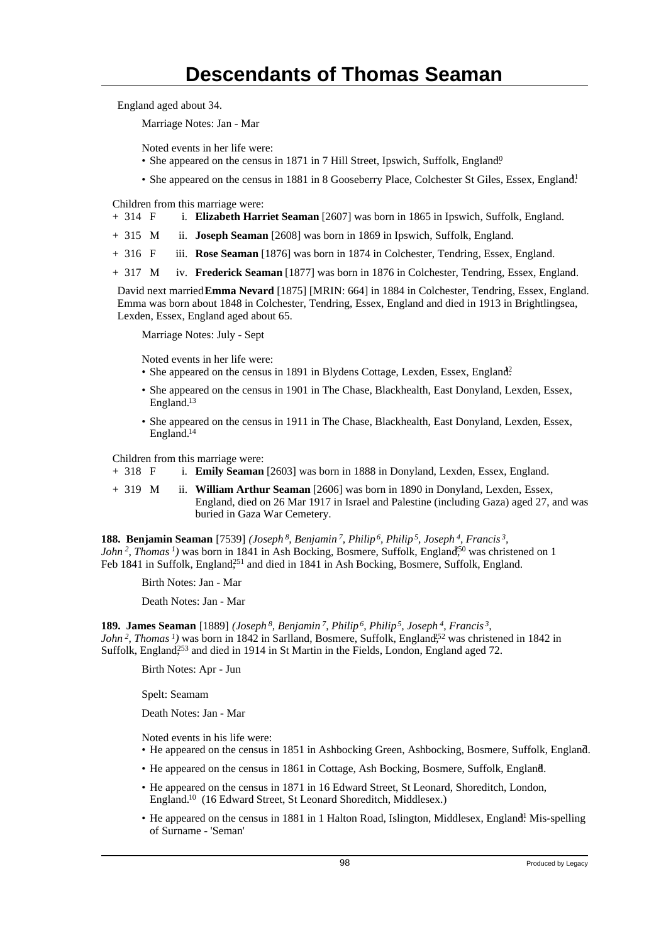England aged about 34.

Marriage Notes: Jan - Mar

Noted events in her life were:

- She appeared on the census in 1871 in 7 Hill Street, Ipswich, Suffolk, England<sup>0</sup>.
- She appeared on the census in 1881 in 8 Gooseberry Place, Colchester St Giles, Essex, England!

Children from this marriage were:

- + 314 F i. **Elizabeth Harriet Seaman** [2607] was born in 1865 in Ipswich, Suffolk, England.
- + 315 M ii. **Joseph Seaman** [2608] was born in 1869 in Ipswich, Suffolk, England.
- + 316 F iii. **Rose Seaman** [1876] was born in 1874 in Colchester, Tendring, Essex, England.
- + 317 M iv. **Frederick Seaman** [1877] was born in 1876 in Colchester, Tendring, Essex, England.

David next married **Emma Nevard** [1875] [MRIN: 664] in 1884 in Colchester, Tendring, Essex, England. Emma was born about 1848 in Colchester, Tendring, Essex, England and died in 1913 in Brightlingsea, Lexden, Essex, England aged about 65.

Marriage Notes: July - Sept

Noted events in her life were:

• She appeared on the census in 1891 in Blydens Cottage, Lexden, Essex, England?

- She appeared on the census in 1901 in The Chase, Blackhealth, East Donyland, Lexden, Essex, England.<sup>13</sup>
- She appeared on the census in 1911 in The Chase, Blackhealth, East Donyland, Lexden, Essex, England.<sup>14</sup>

Children from this marriage were:

+ 318 F i. **Emily Seaman** [2603] was born in 1888 in Donyland, Lexden, Essex, England.

+ 319 M ii. **William Arthur Seaman** [2606] was born in 1890 in Donyland, Lexden, Essex, England, died on 26 Mar 1917 in Israel and Palestine (including Gaza) aged 27, and was buried in Gaza War Cemetery.

**188. Benjamin Seaman** [7539] *(Joseph<sup>8</sup>, Benjamin<sup>7</sup>, Philip<sup>6</sup>, Philip<sup>5</sup>, Joseph<sup>4</sup>, Francis<sup>3</sup> , John*<sup>2</sup>, *Thomas*<sup> $1$ </sup>) was born in 1841 in Ash Bocking, Bosmere, Suffolk, England<sup>550</sup> was christened on 1 Feb 1841 in Suffolk, England<sup>251</sup> and died in 1841 in Ash Bocking, Bosmere, Suffolk, England.

Birth Notes: Jan - Mar

Death Notes: Jan - Mar

**189. James Seaman** [1889] *(Joseph<sup>8</sup>, Benjamin<sup>7</sup>, Philip<sup>6</sup>, Philip<sup>5</sup>, Joseph<sup>4</sup>, Francis<sup>3</sup> , John*<sup>2</sup>, *Thomas*<sup>*1*</sup>) was born in 1842 in Sarlland, Bosmere, Suffolk, England<sup>52</sup> was christened in 1842 in Suffolk, England<sup>253</sup> and died in 1914 in St Martin in the Fields, London, England aged 72.

Birth Notes: Apr - Jun

Spelt: Seamam

Death Notes: Jan - Mar

Noted events in his life were:

- He appeared on the census in 1851 in Ashbocking Green, Ashbocking, Bosmere, Suffolk, England. <sup>7</sup>
- He appeared on the census in 1861 in Cottage, Ash Bocking, Bosmere, Suffolk, England. <sup>8</sup>
- He appeared on the census in 1871 in 16 Edward Street, St Leonard, Shoreditch, London, England.<sup>10</sup> (16 Edward Street, St Leonard Shoreditch, Middlesex.)
- He appeared on the census in 1881 in 1 Halton Road, Islington, Middlesex, England! Mis-spelling of Surname - 'Seman'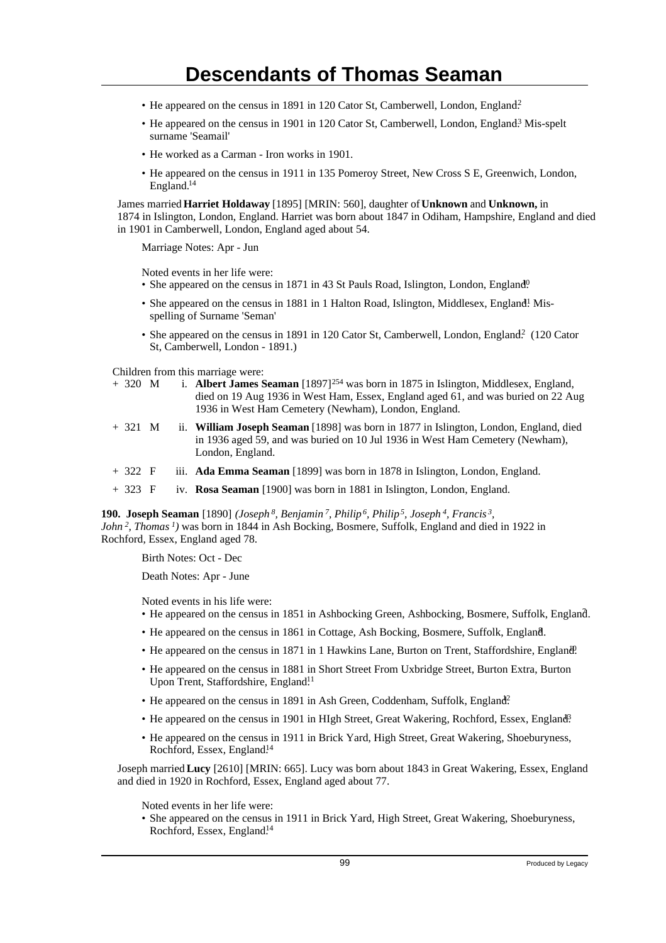- He appeared on the census in 1891 in 120 Cator St, Camberwell, London, England?
- He appeared on the census in 1901 in 120 Cator St, Camberwell, London, England<sup>3</sup> Mis-spelt surname 'Seamail'
- He worked as a Carman Iron works in 1901.
- He appeared on the census in 1911 in 135 Pomeroy Street, New Cross S E, Greenwich, London, England.<sup>14</sup>

James married **Harriet Holdaway** [1895] [MRIN: 560], daughter of **Unknown** and **Unknown,** in 1874 in Islington, London, England. Harriet was born about 1847 in Odiham, Hampshire, England and died in 1901 in Camberwell, London, England aged about 54.

Marriage Notes: Apr - Jun

Noted events in her life were:

- She appeared on the census in 1871 in 43 St Pauls Road, Islington, London, England<sup>0</sup>.
- She appeared on the census in 1881 in 1 Halton Road, Islington, Middlesex, England! Misspelling of Surname 'Seman'
- She appeared on the census in 1891 in 120 Cator St, Camberwell, London, England? (120 Cator St, Camberwell, London - 1891.)

Children from this marriage were:

- + 320 M i. **Albert James Seaman** [1897]<sup>254</sup> was born in 1875 in Islington, Middlesex, England, died on 19 Aug 1936 in West Ham, Essex, England aged 61, and was buried on 22 Aug 1936 in West Ham Cemetery (Newham), London, England.
- + 321 M ii. **William Joseph Seaman** [1898] was born in 1877 in Islington, London, England, died in 1936 aged 59, and was buried on 10 Jul 1936 in West Ham Cemetery (Newham), London, England.
- + 322 F iii. **Ada Emma Seaman** [1899] was born in 1878 in Islington, London, England.
- + 323 F iv. **Rosa Seaman** [1900] was born in 1881 in Islington, London, England.

**190. Joseph Seaman** [1890] *(Joseph<sup>8</sup>, Benjamin<sup>7</sup>, Philip<sup>6</sup>, Philip<sup>5</sup>, Joseph<sup>4</sup>, Francis<sup>3</sup> , John<sup>2</sup>, Thomas<sup>1</sup>)* was born in 1844 in Ash Bocking, Bosmere, Suffolk, England and died in 1922 in Rochford, Essex, England aged 78.

Birth Notes: Oct - Dec

Death Notes: Apr - June

Noted events in his life were:

- He appeared on the census in 1851 in Ashbocking Green, Ashbocking, Bosmere, Suffolk, England. <sup>7</sup>
- He appeared on the census in 1861 in Cottage, Ash Bocking, Bosmere, Suffolk, England. <sup>8</sup>
- He appeared on the census in 1871 in 1 Hawkins Lane, Burton on Trent, Staffordshire, England?
- He appeared on the census in 1881 in Short Street From Uxbridge Street, Burton Extra, Burton Upon Trent, Staffordshire, England.<sup>11</sup>
- He appeared on the census in 1891 in Ash Green, Coddenham, Suffolk, England?
- He appeared on the census in 1901 in HIgh Street, Great Wakering, Rochford, Essex, England<sup>3</sup>.
- He appeared on the census in 1911 in Brick Yard, High Street, Great Wakering, Shoeburyness, Rochford, Essex, England.<sup>14</sup>

Joseph married **Lucy** [2610] [MRIN: 665]. Lucy was born about 1843 in Great Wakering, Essex, England and died in 1920 in Rochford, Essex, England aged about 77.

Noted events in her life were:

• She appeared on the census in 1911 in Brick Yard, High Street, Great Wakering, Shoeburyness, Rochford, Essex, England.<sup>14</sup>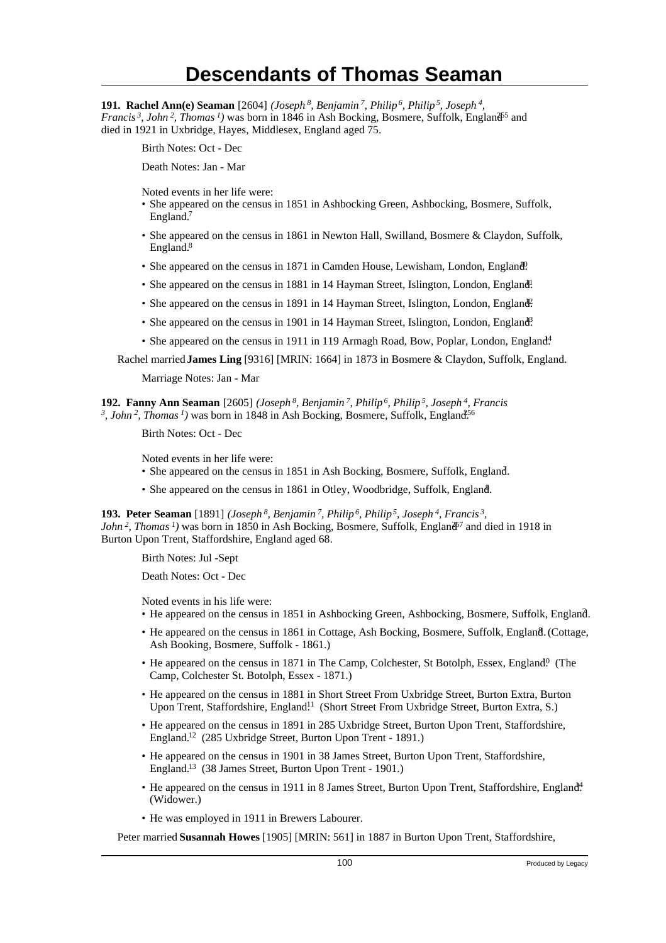**191. Rachel Ann(e) Seaman** [2604] *(Joseph<sup>8</sup>, Benjamin<sup>7</sup>, Philip<sup>6</sup>, Philip<sup>5</sup>, Joseph<sup>4</sup> , Francis*<sup>3</sup>, John<sup>2</sup>, Thomas<sup>1</sup>) was born in 1846 in Ash Bocking, Bosmere, Suffolk, England<sup>55</sup> and died in 1921 in Uxbridge, Hayes, Middlesex, England aged 75.

Birth Notes: Oct - Dec

Death Notes: Jan - Mar

Noted events in her life were:

- She appeared on the census in 1851 in Ashbocking Green, Ashbocking, Bosmere, Suffolk, England.<sup>7</sup>
- She appeared on the census in 1861 in Newton Hall, Swilland, Bosmere & Claydon, Suffolk, England.<sup>8</sup>
- She appeared on the census in 1871 in Camden House, Lewisham, London, England.
- She appeared on the census in 1881 in 14 Hayman Street, Islington, London, England.
- She appeared on the census in 1891 in 14 Hayman Street, Islington, London, England?
- She appeared on the census in 1901 in 14 Hayman Street, Islington, London, England?
- She appeared on the census in 1911 in 119 Armagh Road, Bow, Poplar, London, England<sup>4</sup>.

Rachel married **James Ling** [9316] [MRIN: 1664] in 1873 in Bosmere & Claydon, Suffolk, England.

Marriage Notes: Jan - Mar

**192. Fanny Ann Seaman** [2605] *(Joseph<sup>8</sup>, Benjamin<sup>7</sup>, Philip<sup>6</sup>, Philip<sup>5</sup>, Joseph<sup>4</sup>, Francis* <sup>3</sup>, John<sup>2</sup>, Thomas<sup>1</sup>) was born in 1848 in Ash Bocking, Bosmere, Suffolk, England<sup>556</sup>

Birth Notes: Oct - Dec

Noted events in her life were: • She appeared on the census in 1851 in Ash Bocking, Bosmere, Suffolk, England.

• She appeared on the census in 1861 in Otley, Woodbridge, Suffolk, England.

**193. Peter Seaman** [1891] *(Joseph<sup>8</sup>, Benjamin<sup>7</sup>, Philip<sup>6</sup>, Philip<sup>5</sup>, Joseph<sup>4</sup>, Francis<sup>3</sup> , John*<sup>2</sup>, *Thomas*<sup>*1*</sup>) was born in 1850 in Ash Bocking, Bosmere, Suffolk, England<sup> $7$ </sup> and died in 1918 in Burton Upon Trent, Staffordshire, England aged 68.

Birth Notes: Jul -Sept

Death Notes: Oct - Dec

Noted events in his life were:

- He appeared on the census in 1851 in Ashbocking Green, Ashbocking, Bosmere, Suffolk, England. <sup>7</sup>
- He appeared on the census in 1861 in Cottage, Ash Bocking, Bosmere, Suffolk, England. (Cottage, Ash Booking, Bosmere, Suffolk - 1861.)
- He appeared on the census in 1871 in The Camp, Colchester, St Botolph, Essex, England<sup>0</sup> (The Camp, Colchester St. Botolph, Essex - 1871.)
- He appeared on the census in 1881 in Short Street From Uxbridge Street, Burton Extra, Burton Upon Trent, Staffordshire, England<sup>11</sup> (Short Street From Uxbridge Street, Burton Extra, S.)
- He appeared on the census in 1891 in 285 Uxbridge Street, Burton Upon Trent, Staffordshire, England.<sup>12</sup> (285 Uxbridge Street, Burton Upon Trent - 1891.)
- He appeared on the census in 1901 in 38 James Street, Burton Upon Trent, Staffordshire, England.<sup>13</sup> (38 James Street, Burton Upon Trent - 1901.)
- He appeared on the census in 1911 in 8 James Street, Burton Upon Trent, Staffordshire, England<sup>4</sup>. (Widower.)
- He was employed in 1911 in Brewers Labourer.

Peter married **Susannah Howes** [1905] [MRIN: 561] in 1887 in Burton Upon Trent, Staffordshire,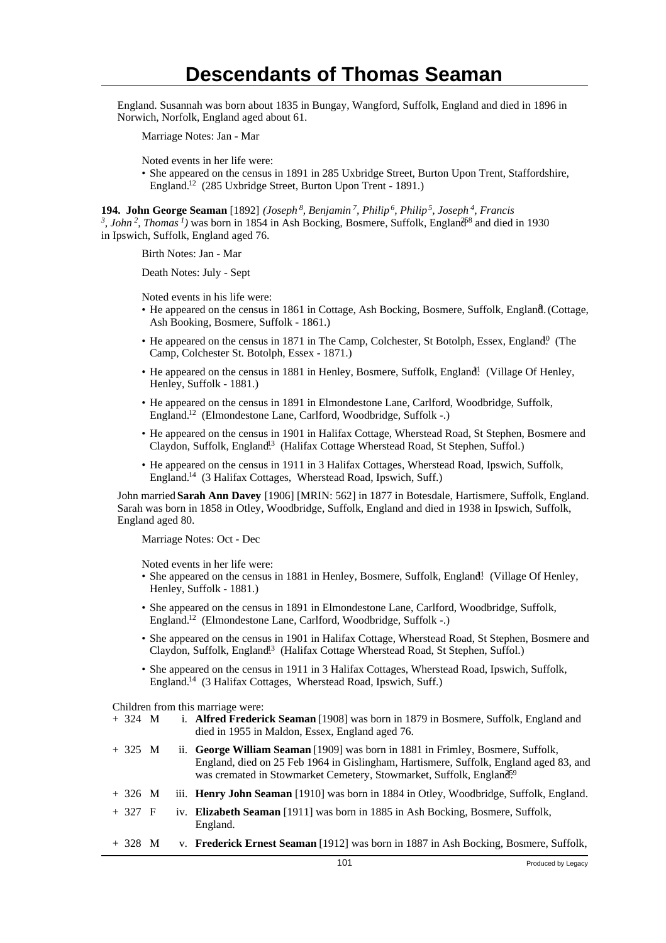England. Susannah was born about 1835 in Bungay, Wangford, Suffolk, England and died in 1896 in Norwich, Norfolk, England aged about 61.

Marriage Notes: Jan - Mar

Noted events in her life were:

• She appeared on the census in 1891 in 285 Uxbridge Street, Burton Upon Trent, Staffordshire, England.<sup>12</sup> (285 Uxbridge Street, Burton Upon Trent - 1891.)

**194. John George Seaman** [1892] *(Joseph<sup>8</sup>, Benjamin<sup>7</sup>, Philip<sup>6</sup>, Philip<sup>5</sup>, Joseph<sup>4</sup>, Francis* <sup>3</sup>, John<sup>2</sup>, Thomas<sup>1</sup>) was born in 1854 in Ash Bocking, Bosmere, Suffolk, England<sup>68</sup> and died in 1930 in Ipswich, Suffolk, England aged 76.

Birth Notes: Jan - Mar

Death Notes: July - Sept

Noted events in his life were:

- He appeared on the census in 1861 in Cottage, Ash Bocking, Bosmere, Suffolk, England. (Cottage, Ash Booking, Bosmere, Suffolk - 1861.)
- He appeared on the census in 1871 in The Camp, Colchester, St Botolph, Essex, England.<sup>0</sup> (The Camp, Colchester St. Botolph, Essex - 1871.)
- He appeared on the census in 1881 in Henley, Bosmere, Suffolk, England! (Village Of Henley, Henley, Suffolk - 1881.)
- He appeared on the census in 1891 in Elmondestone Lane, Carlford, Woodbridge, Suffolk, England.<sup>12</sup> (Elmondestone Lane, Carlford, Woodbridge, Suffolk -.)
- He appeared on the census in 1901 in Halifax Cottage, Wherstead Road, St Stephen, Bosmere and Claydon, Suffolk, England<sup>13</sup> (Halifax Cottage Wherstead Road, St Stephen, Suffol.)
- He appeared on the census in 1911 in 3 Halifax Cottages, Wherstead Road, Ipswich, Suffolk, England.<sup>14</sup> (3 Halifax Cottages, Wherstead Road, Ipswich, Suff.)

John married **Sarah Ann Davey** [1906] [MRIN: 562] in 1877 in Botesdale, Hartismere, Suffolk, England. Sarah was born in 1858 in Otley, Woodbridge, Suffolk, England and died in 1938 in Ipswich, Suffolk, England aged 80.

Marriage Notes: Oct - Dec

Noted events in her life were:

- She appeared on the census in 1881 in Henley, Bosmere, Suffolk, England! (Village Of Henley, Henley, Suffolk - 1881.)
- She appeared on the census in 1891 in Elmondestone Lane, Carlford, Woodbridge, Suffolk, England.<sup>12</sup> (Elmondestone Lane, Carlford, Woodbridge, Suffolk -.)
- She appeared on the census in 1901 in Halifax Cottage, Wherstead Road, St Stephen, Bosmere and Claydon, Suffolk, England<sup>13</sup> (Halifax Cottage Wherstead Road, St Stephen, Suffol.)
- She appeared on the census in 1911 in 3 Halifax Cottages, Wherstead Road, Ipswich, Suffolk, England.<sup>14</sup> (3 Halifax Cottages, Wherstead Road, Ipswich, Suff.)

Children from this marriage were:

- + 324 M i. **Alfred Frederick Seaman** [1908] was born in 1879 in Bosmere, Suffolk, England and died in 1955 in Maldon, Essex, England aged 76.
- + 325 M ii. **George William Seaman** [1909] was born in 1881 in Frimley, Bosmere, Suffolk, England, died on 25 Feb 1964 in Gislingham, Hartismere, Suffolk, England aged 83, and was cremated in Stowmarket Cemetery, Stowmarket, Suffolk, England<sup>59</sup>
- + 326 M iii. **Henry John Seaman** [1910] was born in 1884 in Otley, Woodbridge, Suffolk, England.
- + 327 F iv. **Elizabeth Seaman** [1911] was born in 1885 in Ash Bocking, Bosmere, Suffolk, England.
- + 328 M v. **Frederick Ernest Seaman** [1912] was born in 1887 in Ash Bocking, Bosmere, Suffolk,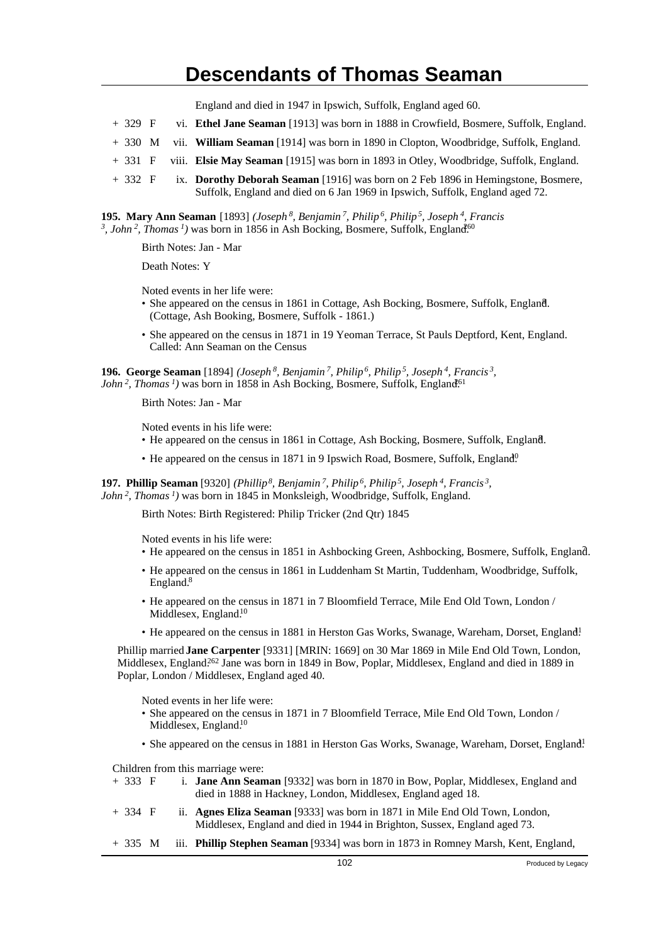England and died in 1947 in Ipswich, Suffolk, England aged 60.

- + 329 F vi. **Ethel Jane Seaman** [1913] was born in 1888 in Crowfield, Bosmere, Suffolk, England.
- + 330 M vii. **William Seaman** [1914] was born in 1890 in Clopton, Woodbridge, Suffolk, England.
- + 331 F viii. **Elsie May Seaman** [1915] was born in 1893 in Otley, Woodbridge, Suffolk, England.
- + 332 F ix. **Dorothy Deborah Seaman** [1916] was born on 2 Feb 1896 in Hemingstone, Bosmere, Suffolk, England and died on 6 Jan 1969 in Ipswich, Suffolk, England aged 72.

**195. Mary Ann Seaman** [1893] *(Joseph<sup>8</sup>, Benjamin<sup>7</sup>, Philip<sup>6</sup>, Philip<sup>5</sup>, Joseph<sup>4</sup>, Francis* <sup>3</sup>, John<sup>2</sup>, Thomas<sup>1</sup>) was born in 1856 in Ash Bocking, Bosmere, Suffolk, England<sup>60</sup>

Birth Notes: Jan - Mar

Death Notes: Y

Noted events in her life were:

- She appeared on the census in 1861 in Cottage, Ash Bocking, Bosmere, Suffolk, England. <sup>8</sup> (Cottage, Ash Booking, Bosmere, Suffolk - 1861.)
- She appeared on the census in 1871 in 19 Yeoman Terrace, St Pauls Deptford, Kent, England. Called: Ann Seaman on the Census

**196. George Seaman** [1894] *(Joseph<sup>8</sup>, Benjamin<sup>7</sup>, Philip<sup>6</sup>, Philip<sup>5</sup>, Joseph<sup>4</sup>, Francis<sup>3</sup> , John*<sup>2</sup>, *Thomas*<sup> $1$ </sup>) was born in 1858 in Ash Bocking, Bosmere, Suffolk, England<sup>61</sup>

Birth Notes: Jan - Mar

Noted events in his life were:

- He appeared on the census in 1861 in Cottage, Ash Bocking, Bosmere, Suffolk, England.
- He appeared on the census in 1871 in 9 Ipswich Road, Bosmere, Suffolk, England<sup>0</sup>

**197. Phillip Seaman** [9320] *(Phillip<sup>8</sup>, Benjamin<sup>7</sup>, Philip<sup>6</sup>, Philip<sup>5</sup>, Joseph<sup>4</sup>, Francis<sup>3</sup> , John<sup>2</sup>, Thomas<sup>1</sup>)* was born in 1845 in Monksleigh, Woodbridge, Suffolk, England.

Birth Notes: Birth Registered: Philip Tricker (2nd Qtr) 1845

Noted events in his life were:

- He appeared on the census in 1851 in Ashbocking Green, Ashbocking, Bosmere, Suffolk, England. <sup>7</sup>
- He appeared on the census in 1861 in Luddenham St Martin, Tuddenham, Woodbridge, Suffolk, England.<sup>8</sup>
- He appeared on the census in 1871 in 7 Bloomfield Terrace, Mile End Old Town, London / Middlesex, England.<sup>10</sup>
- He appeared on the census in 1881 in Herston Gas Works, Swanage, Wareham, Dorset, England!

Phillip married **Jane Carpenter** [9331] [MRIN: 1669] on 30 Mar 1869 in Mile End Old Town, London, Middlesex, England.<sup>262</sup> Jane was born in 1849 in Bow, Poplar, Middlesex, England and died in 1889 in Poplar, London / Middlesex, England aged 40.

Noted events in her life were:

- She appeared on the census in 1871 in 7 Bloomfield Terrace, Mile End Old Town, London / Middlesex, England.<sup>10</sup>
- She appeared on the census in 1881 in Herston Gas Works, Swanage, Wareham, Dorset, England!

Children from this marriage were:

- + 333 F i. **Jane Ann Seaman** [9332] was born in 1870 in Bow, Poplar, Middlesex, England and died in 1888 in Hackney, London, Middlesex, England aged 18.
- + 334 F ii. **Agnes Eliza Seaman** [9333] was born in 1871 in Mile End Old Town, London, Middlesex, England and died in 1944 in Brighton, Sussex, England aged 73.
- + 335 M iii. **Phillip Stephen Seaman** [9334] was born in 1873 in Romney Marsh, Kent, England,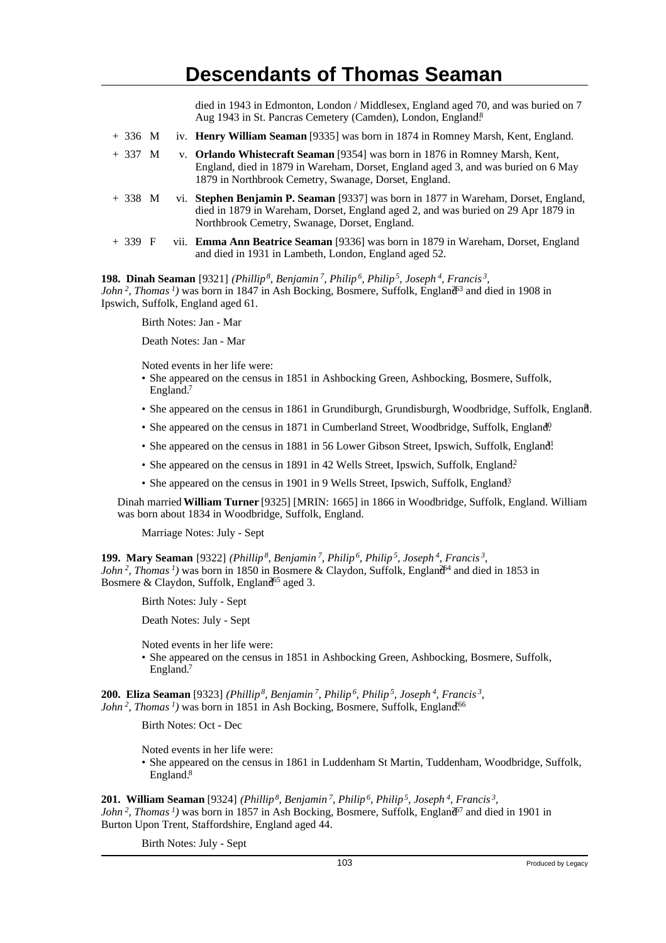died in 1943 in Edmonton, London / Middlesex, England aged 70, and was buried on 7 Aug 1943 in St. Pancras Cemetery (Camden), London, England.<sup>8</sup>

- + 336 M iv. **Henry William Seaman** [9335] was born in 1874 in Romney Marsh, Kent, England.
- + 337 M v. **Orlando Whistecraft Seaman** [9354] was born in 1876 in Romney Marsh, Kent, England, died in 1879 in Wareham, Dorset, England aged 3, and was buried on 6 May 1879 in Northbrook Cemetry, Swanage, Dorset, England.
- + 338 M vi. **Stephen Benjamin P. Seaman** [9337] was born in 1877 in Wareham, Dorset, England, died in 1879 in Wareham, Dorset, England aged 2, and was buried on 29 Apr 1879 in Northbrook Cemetry, Swanage, Dorset, England.
- + 339 F vii. **Emma Ann Beatrice Seaman** [9336] was born in 1879 in Wareham, Dorset, England and died in 1931 in Lambeth, London, England aged 52.

**198. Dinah Seaman** [9321] *(Phillip<sup>8</sup>, Benjamin<sup>7</sup>, Philip<sup>6</sup>, Philip<sup>5</sup>, Joseph<sup>4</sup>, Francis<sup>3</sup> , John*<sup>2</sup>, *Thomas*<sup>*1*</sup>) was born in 1847 in Ash Bocking, Bosmere, Suffolk, England<sup>33</sup> and died in 1908 in Ipswich, Suffolk, England aged 61.

Birth Notes: Jan - Mar

Death Notes: Jan - Mar

Noted events in her life were:

- She appeared on the census in 1851 in Ashbocking Green, Ashbocking, Bosmere, Suffolk, England.<sup>7</sup>
- She appeared on the census in 1861 in Grundiburgh, Grundisburgh, Woodbridge, Suffolk, England. <sup>8</sup>
- She appeared on the census in 1871 in Cumberland Street, Woodbridge, Suffolk, England<sup>0</sup>.
- She appeared on the census in 1881 in 56 Lower Gibson Street, Ipswich, Suffolk, England!
- She appeared on the census in 1891 in 42 Wells Street, Ipswich, Suffolk, England?
- She appeared on the census in 1901 in 9 Wells Street, Ipswich, Suffolk, England<sup>3</sup>

Dinah married **William Turner** [9325] [MRIN: 1665] in 1866 in Woodbridge, Suffolk, England. William was born about 1834 in Woodbridge, Suffolk, England.

Marriage Notes: July - Sept

**199. Mary Seaman** [9322] *(Phillip<sup>8</sup>, Benjamin<sup>7</sup>, Philip<sup>6</sup>, Philip<sup>5</sup>, Joseph<sup>4</sup>, Francis<sup>3</sup> , John*<sup>2</sup>, *Thomas*<sup>*1*</sup>) was born in 1850 in Bosmere & Claydon, Suffolk, England<sup> $44$ </sup> and died in 1853 in Bosmere & Claydon, Suffolk, England<sup>65</sup> aged 3.

Birth Notes: July - Sept

Death Notes: July - Sept

Noted events in her life were:

• She appeared on the census in 1851 in Ashbocking Green, Ashbocking, Bosmere, Suffolk, England.<sup>7</sup>

**200. Eliza Seaman** [9323] *(Phillip<sup>8</sup>, Benjamin<sup>7</sup>, Philip<sup>6</sup>, Philip<sup>5</sup>, Joseph<sup>4</sup>, Francis<sup>3</sup> , John*<sup>2</sup>, *Thomas*<sup> $1$ </sup>) was born in 1851 in Ash Bocking, Bosmere, Suffolk, England<sup>666</sup>

Birth Notes: Oct - Dec

Noted events in her life were:

• She appeared on the census in 1861 in Luddenham St Martin, Tuddenham, Woodbridge, Suffolk, England.<sup>8</sup>

**201. William Seaman** [9324] *(Phillip<sup>8</sup>, Benjamin<sup>7</sup>, Philip<sup>6</sup>, Philip<sup>5</sup>, Joseph<sup>4</sup>, Francis<sup>3</sup> , John*<sup>2</sup>, *Thomas*<sup>*1*</sup>) was born in 1857 in Ash Bocking, Bosmere, Suffolk, England<sup> $7$ </sup> and died in 1901 in Burton Upon Trent, Staffordshire, England aged 44.

Birth Notes: July - Sept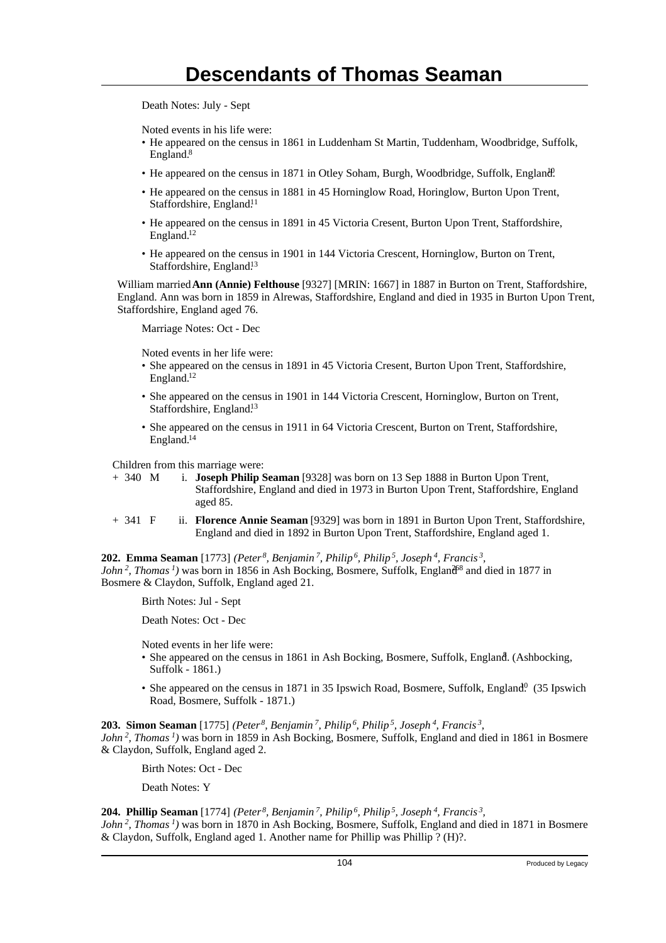Death Notes: July - Sept

Noted events in his life were:

- He appeared on the census in 1861 in Luddenham St Martin, Tuddenham, Woodbridge, Suffolk, England.<sup>8</sup>
- He appeared on the census in 1871 in Otley Soham, Burgh, Woodbridge, Suffolk, England?
- He appeared on the census in 1881 in 45 Horninglow Road, Horinglow, Burton Upon Trent, Staffordshire, England.<sup>11</sup>
- He appeared on the census in 1891 in 45 Victoria Cresent, Burton Upon Trent, Staffordshire, England.<sup>12</sup>
- He appeared on the census in 1901 in 144 Victoria Crescent, Horninglow, Burton on Trent, Staffordshire, England.<sup>13</sup>

William married **Ann (Annie) Felthouse** [9327] [MRIN: 1667] in 1887 in Burton on Trent, Staffordshire, England. Ann was born in 1859 in Alrewas, Staffordshire, England and died in 1935 in Burton Upon Trent, Staffordshire, England aged 76.

Marriage Notes: Oct - Dec

Noted events in her life were:

- She appeared on the census in 1891 in 45 Victoria Cresent, Burton Upon Trent, Staffordshire, England.<sup>12</sup>
- She appeared on the census in 1901 in 144 Victoria Crescent, Horninglow, Burton on Trent, Staffordshire, England.<sup>13</sup>
- She appeared on the census in 1911 in 64 Victoria Crescent, Burton on Trent, Staffordshire, England.<sup>14</sup>

Children from this marriage were:

- + 340 M i. **Joseph Philip Seaman** [9328] was born on 13 Sep 1888 in Burton Upon Trent, Staffordshire, England and died in 1973 in Burton Upon Trent, Staffordshire, England aged 85.
- + 341 F ii. **Florence Annie Seaman** [9329] was born in 1891 in Burton Upon Trent, Staffordshire, England and died in 1892 in Burton Upon Trent, Staffordshire, England aged 1.

**202. Emma Seaman** [1773] *(Peter<sup>8</sup>, Benjamin<sup>7</sup>, Philip<sup>6</sup>, Philip<sup>5</sup>, Joseph<sup>4</sup>, Francis<sup>3</sup> , John*<sup>2</sup>, *Thomas*<sup>*1*</sup>) was born in 1856 in Ash Bocking, Bosmere, Suffolk, England<sup>88</sup> and died in 1877 in Bosmere & Claydon, Suffolk, England aged 21.

Birth Notes: Jul - Sept

Death Notes: Oct - Dec

Noted events in her life were:

- She appeared on the census in 1861 in Ash Bocking, Bosmere, Suffolk, England. (Ashbocking, Suffolk - 1861.)
- She appeared on the census in 1871 in 35 Ipswich Road, Bosmere, Suffolk, England.<sup>0</sup> (35 Ipswich Road, Bosmere, Suffolk - 1871.)

**203. Simon Seaman** [1775] *(Peter<sup>8</sup>, Benjamin<sup>7</sup>, Philip<sup>6</sup>, Philip<sup>5</sup>, Joseph<sup>4</sup>, Francis<sup>3</sup> ,*

*John<sup>2</sup>, Thomas<sup>1</sup>)* was born in 1859 in Ash Bocking, Bosmere, Suffolk, England and died in 1861 in Bosmere & Claydon, Suffolk, England aged 2.

Birth Notes: Oct - Dec

Death Notes: Y

#### **204. Phillip Seaman** [1774] *(Peter<sup>8</sup>, Benjamin<sup>7</sup>, Philip<sup>6</sup>, Philip<sup>5</sup>, Joseph<sup>4</sup>, Francis<sup>3</sup> ,*

*John<sup>2</sup>, Thomas<sup>1</sup>)* was born in 1870 in Ash Bocking, Bosmere, Suffolk, England and died in 1871 in Bosmere & Claydon, Suffolk, England aged 1. Another name for Phillip was Phillip ? (H)?.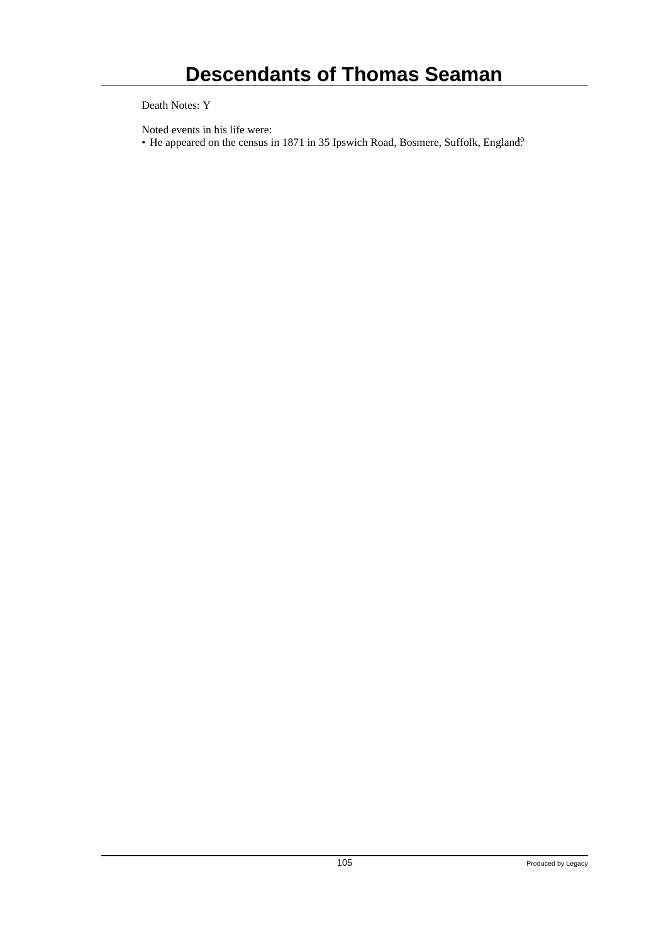Death Notes: Y

Noted events in his life were:

• He appeared on the census in 1871 in 35 Ipswich Road, Bosmere, Suffolk, England<sup>0</sup>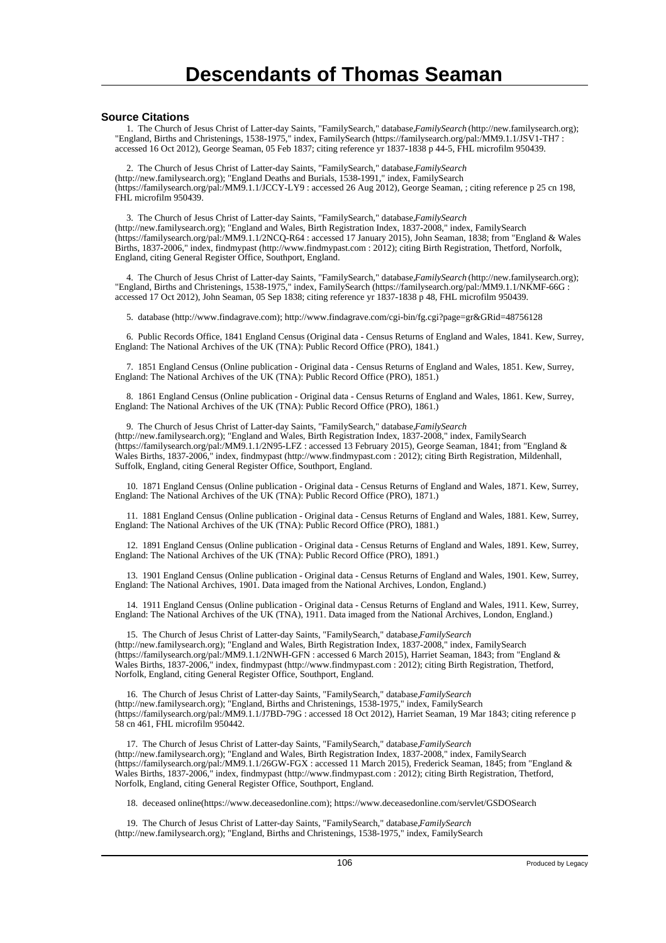#### **Source Citations**

 1. The Church of Jesus Christ of Latter-day Saints, "FamilySearch," database, *FamilySearch* (http://new.familysearch.org); "England, Births and Christenings, 1538-1975," index, FamilySearch (https://familysearch.org/pal:/MM9.1.1/JSV1-TH7 : accessed 16 Oct 2012), George Seaman, 05 Feb 1837; citing reference yr 1837-1838 p 44-5, FHL microfilm 950439.

 2. The Church of Jesus Christ of Latter-day Saints, "FamilySearch," database, *FamilySearch* (http://new.familysearch.org); "England Deaths and Burials, 1538-1991," index, FamilySearch (https://familysearch.org/pal:/MM9.1.1/JCCY-LY9 : accessed 26 Aug 2012), George Seaman, ; citing reference p 25 cn 198, FHL microfilm 950439.

 3. The Church of Jesus Christ of Latter-day Saints, "FamilySearch," database, *FamilySearch* (http://new.familysearch.org); "England and Wales, Birth Registration Index, 1837-2008," index, FamilySearch (https://familysearch.org/pal:/MM9.1.1/2NCQ-R64 : accessed 17 January 2015), John Seaman, 1838; from "England & Wales Births, 1837-2006," index, findmypast (http://www.findmypast.com : 2012); citing Birth Registration, Thetford, Norfolk, England, citing General Register Office, Southport, England.

 4. The Church of Jesus Christ of Latter-day Saints, "FamilySearch," database, *FamilySearch* (http://new.familysearch.org); "England, Births and Christenings, 1538-1975," index, FamilySearch (https://familysearch.org/pal:/MM9.1.1/NKMF-66G : accessed 17 Oct 2012), John Seaman, 05 Sep 1838; citing reference yr 1837-1838 p 48, FHL microfilm 950439.

5. database (http://www.findagrave.com); http://www.findagrave.com/cgi-bin/fg.cgi?page=gr&GRid=48756128

 6. Public Records Office, 1841 England Census (Original data - Census Returns of England and Wales, 1841. Kew, Surrey, England: The National Archives of the UK (TNA): Public Record Office (PRO), 1841.)

 7. 1851 England Census (Online publication - Original data - Census Returns of England and Wales, 1851. Kew, Surrey, England: The National Archives of the UK (TNA): Public Record Office (PRO), 1851.)

 8. 1861 England Census (Online publication - Original data - Census Returns of England and Wales, 1861. Kew, Surrey, England: The National Archives of the UK (TNA): Public Record Office (PRO), 1861.)

 9. The Church of Jesus Christ of Latter-day Saints, "FamilySearch," database, *FamilySearch* (http://new.familysearch.org); "England and Wales, Birth Registration Index, 1837-2008," index, FamilySearch (https://familysearch.org/pal:/MM9.1.1/2N95-LFZ : accessed 13 February 2015), George Seaman, 1841; from "England & Wales Births, 1837-2006," index, findmypast (http://www.findmypast.com : 2012); citing Birth Registration, Mildenhall, Suffolk, England, citing General Register Office, Southport, England.

 10. 1871 England Census (Online publication - Original data - Census Returns of England and Wales, 1871. Kew, Surrey, England: The National Archives of the UK (TNA): Public Record Office (PRO), 1871.)

 11. 1881 England Census (Online publication - Original data - Census Returns of England and Wales, 1881. Kew, Surrey, England: The National Archives of the UK (TNA): Public Record Office (PRO), 1881.)

 12. 1891 England Census (Online publication - Original data - Census Returns of England and Wales, 1891. Kew, Surrey, England: The National Archives of the UK (TNA): Public Record Office (PRO), 1891.)

 13. 1901 England Census (Online publication - Original data - Census Returns of England and Wales, 1901. Kew, Surrey, England: The National Archives, 1901. Data imaged from the National Archives, London, England.)

 14. 1911 England Census (Online publication - Original data - Census Returns of England and Wales, 1911. Kew, Surrey, England: The National Archives of the UK (TNA), 1911. Data imaged from the National Archives, London, England.)

15. The Church of Jesus Christ of Latter-day Saints, "FamilySearch," database, *FamilySearch* (http://new.familysearch.org); "England and Wales, Birth Registration Index, 1837-2008," index, FamilySearch (https://familysearch.org/pal:/MM9.1.1/2NWH-GFN : accessed 6 March 2015), Harriet Seaman, 1843; from "England & Wales Births, 1837-2006," index, findmypast (http://www.findmypast.com : 2012); citing Birth Registration, Thetford, Norfolk, England, citing General Register Office, Southport, England.

 16. The Church of Jesus Christ of Latter-day Saints, "FamilySearch," database, *FamilySearch* (http://new.familysearch.org); "England, Births and Christenings, 1538-1975," index, FamilySearch (https://familysearch.org/pal:/MM9.1.1/J7BD-79G : accessed 18 Oct 2012), Harriet Seaman, 19 Mar 1843; citing reference p 58 cn 461, FHL microfilm 950442.

17. The Church of Jesus Christ of Latter-day Saints, "FamilySearch," database, *FamilySearch* (http://new.familysearch.org); "England and Wales, Birth Registration Index, 1837-2008," index, FamilySearch (https://familysearch.org/pal:/MM9.1.1/26GW-FGX : accessed 11 March 2015), Frederick Seaman, 1845; from "England & Wales Births, 1837-2006," index, findmypast (http://www.findmypast.com : 2012); citing Birth Registration, Thetford, Norfolk, England, citing General Register Office, Southport, England.

18. deceased online(https://www.deceasedonline.com); https://www.deceasedonline.com/servlet/GSDOSearch

 19. The Church of Jesus Christ of Latter-day Saints, "FamilySearch," database, *FamilySearch* (http://new.familysearch.org); "England, Births and Christenings, 1538-1975," index, FamilySearch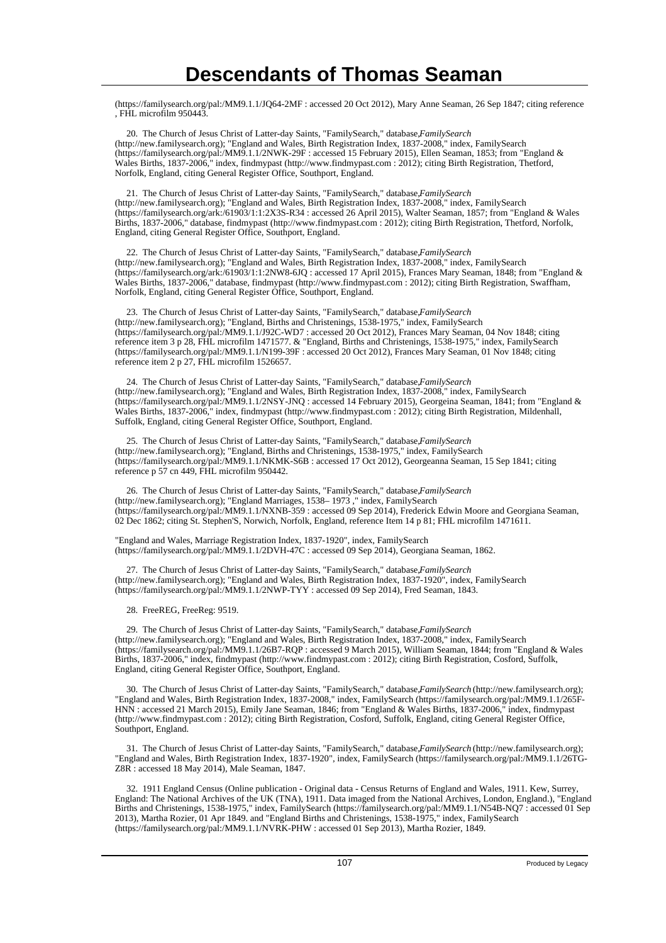(https://familysearch.org/pal:/MM9.1.1/JQ64-2MF : accessed 20 Oct 2012), Mary Anne Seaman, 26 Sep 1847; citing reference , FHL microfilm 950443.

20. The Church of Jesus Christ of Latter-day Saints, "FamilySearch," database, *FamilySearch* (http://new.familysearch.org); "England and Wales, Birth Registration Index, 1837-2008," index, FamilySearch (https://familysearch.org/pal:/MM9.1.1/2NWK-29F : accessed 15 February 2015), Ellen Seaman, 1853; from "England & Wales Births, 1837-2006," index, findmypast (http://www.findmypast.com : 2012); citing Birth Registration, Thetford, Norfolk, England, citing General Register Office, Southport, England.

21. The Church of Jesus Christ of Latter-day Saints, "FamilySearch," database, *FamilySearch* (http://new.familysearch.org); "England and Wales, Birth Registration Index, 1837-2008," index, FamilySearch (https://familysearch.org/ark:/61903/1:1:2X3S-R34 : accessed 26 April 2015), Walter Seaman, 1857; from "England & Wales Births, 1837-2006," database, findmypast (http://www.findmypast.com : 2012); citing Birth Registration, Thetford, Norfolk, England, citing General Register Office, Southport, England.

22. The Church of Jesus Christ of Latter-day Saints, "FamilySearch," database, *FamilySearch* (http://new.familysearch.org); "England and Wales, Birth Registration Index, 1837-2008," index, FamilySearch (https://familysearch.org/ark:/61903/1:1:2NW8-6JQ : accessed 17 April 2015), Frances Mary Seaman, 1848; from "England & Wales Births, 1837-2006," database, findmypast (http://www.findmypast.com : 2012); citing Birth Registration, Swaffham, Norfolk, England, citing General Register Office, Southport, England.

23. The Church of Jesus Christ of Latter-day Saints, "FamilySearch," database, *FamilySearch* (http://new.familysearch.org); "England, Births and Christenings, 1538-1975," index, FamilySearch (https://familysearch.org/pal:/MM9.1.1/J92C-WD7 : accessed 20 Oct 2012), Frances Mary Seaman, 04 Nov 1848; citing reference item 3 p 28, FHL microfilm 1471577. & "England, Births and Christenings, 1538-1975," index, FamilySearch (https://familysearch.org/pal:/MM9.1.1/N199-39F : accessed 20 Oct 2012), Frances Mary Seaman, 01 Nov 1848; citing reference item 2 p 27, FHL microfilm 1526657.

 24. The Church of Jesus Christ of Latter-day Saints, "FamilySearch," database, *FamilySearch* (http://new.familysearch.org); "England and Wales, Birth Registration Index, 1837-2008," index, FamilySearch (https://familysearch.org/pal:/MM9.1.1/2NSY-JNQ : accessed 14 February 2015), Georgeina Seaman, 1841; from "England & Wales Births, 1837-2006," index, findmypast (http://www.findmypast.com : 2012); citing Birth Registration, Mildenhall, Suffolk, England, citing General Register Office, Southport, England.

 25. The Church of Jesus Christ of Latter-day Saints, "FamilySearch," database, *FamilySearch* (http://new.familysearch.org); "England, Births and Christenings, 1538-1975," index, FamilySearch (https://familysearch.org/pal:/MM9.1.1/NKMK-S6B : accessed 17 Oct 2012), Georgeanna Seaman, 15 Sep 1841; citing reference p 57 cn 449, FHL microfilm 950442.

26. The Church of Jesus Christ of Latter-day Saints, "FamilySearch," database, *FamilySearch* (http://new.familysearch.org); "England Marriages, 1538– 1973 ," index, FamilySearch (https://familysearch.org/pal:/MM9.1.1/NXNB-359 : accessed 09 Sep 2014), Frederick Edwin Moore and Georgiana Seaman, 02 Dec 1862; citing St. Stephen'S, Norwich, Norfolk, England, reference Item 14 p 81; FHL microfilm 1471611.

"England and Wales, Marriage Registration Index, 1837-1920", index, FamilySearch (https://familysearch.org/pal:/MM9.1.1/2DVH-47C : accessed 09 Sep 2014), Georgiana Seaman, 1862.

 27. The Church of Jesus Christ of Latter-day Saints, "FamilySearch," database, *FamilySearch* (http://new.familysearch.org); "England and Wales, Birth Registration Index, 1837-1920", index, FamilySearch (https://familysearch.org/pal:/MM9.1.1/2NWP-TYY : accessed 09 Sep 2014), Fred Seaman, 1843.

28. FreeREG, FreeReg: 9519.

 29. The Church of Jesus Christ of Latter-day Saints, "FamilySearch," database, *FamilySearch* (http://new.familysearch.org); "England and Wales, Birth Registration Index, 1837-2008," index, FamilySearch (https://familysearch.org/pal:/MM9.1.1/26B7-RQP : accessed 9 March 2015), William Seaman, 1844; from "England & Wales Births, 1837-2006," index, findmypast (http://www.findmypast.com : 2012); citing Birth Registration, Cosford, Suffolk, England, citing General Register Office, Southport, England.

 30. The Church of Jesus Christ of Latter-day Saints, "FamilySearch," database, *FamilySearch* (http://new.familysearch.org); "England and Wales, Birth Registration Index, 1837-2008," index, FamilySearch (https://familysearch.org/pal:/MM9.1.1/265F-HNN : accessed 21 March 2015), Emily Jane Seaman, 1846; from "England & Wales Births, 1837-2006," index, findmypast (http://www.findmypast.com : 2012); citing Birth Registration, Cosford, Suffolk, England, citing General Register Office, Southport, England.

 31. The Church of Jesus Christ of Latter-day Saints, "FamilySearch," database, *FamilySearch* (http://new.familysearch.org); "England and Wales, Birth Registration Index, 1837-1920", index, FamilySearch (https://familysearch.org/pal:/MM9.1.1/26TG-Z8R : accessed 18 May 2014), Male Seaman, 1847.

 32. 1911 England Census (Online publication - Original data - Census Returns of England and Wales, 1911. Kew, Surrey, England: The National Archives of the UK (TNA), 1911. Data imaged from the National Archives, London, England.), "England Births and Christenings, 1538-1975," index, FamilySearch (https://familysearch.org/pal:/MM9.1.1/N54B-NQ7 : accessed 01 Sep 2013), Martha Rozier, 01 Apr 1849. and "England Births and Christenings, 1538-1975," index, FamilySearch (https://familysearch.org/pal:/MM9.1.1/NVRK-PHW : accessed 01 Sep 2013), Martha Rozier, 1849.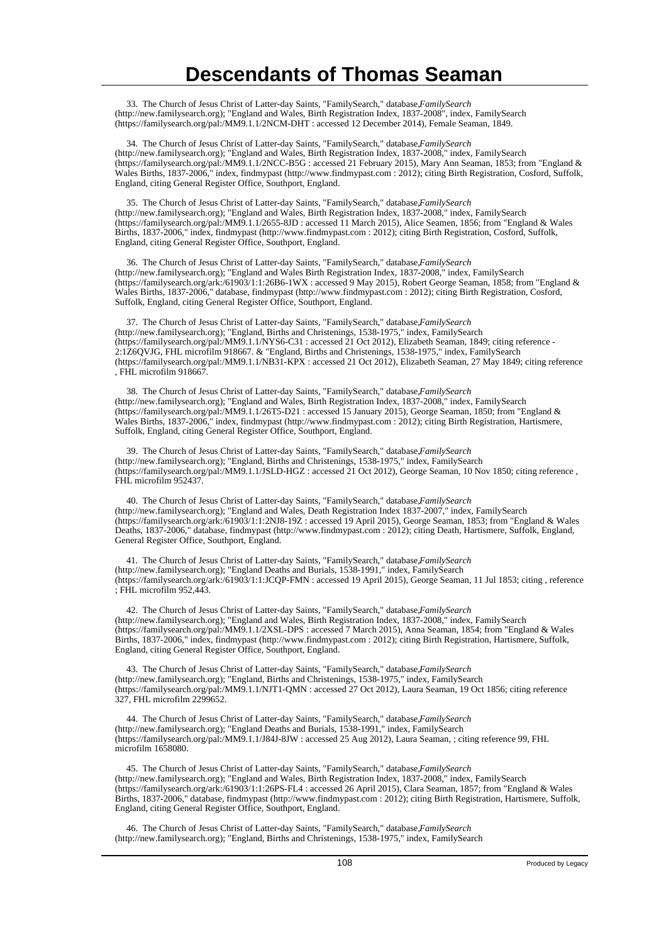33. The Church of Jesus Christ of Latter-day Saints, "FamilySearch," database, *FamilySearch* (http://new.familysearch.org); "England and Wales, Birth Registration Index, 1837-2008", index, FamilySearch (https://familysearch.org/pal:/MM9.1.1/2NCM-DHT : accessed 12 December 2014), Female Seaman, 1849.

34. The Church of Jesus Christ of Latter-day Saints, "FamilySearch," database, *FamilySearch* (http://new.familysearch.org); "England and Wales, Birth Registration Index, 1837-2008," index, FamilySearch (https://familysearch.org/pal:/MM9.1.1/2NCC-B5G : accessed 21 February 2015), Mary Ann Seaman, 1853; from "England & Wales Births, 1837-2006," index, findmypast (http://www.findmypast.com : 2012); citing Birth Registration, Cosford, Suffolk, England, citing General Register Office, Southport, England.

35. The Church of Jesus Christ of Latter-day Saints, "FamilySearch," database, *FamilySearch* (http://new.familysearch.org); "England and Wales, Birth Registration Index, 1837-2008," index, FamilySearch (https://familysearch.org/pal:/MM9.1.1/2655-8JD : accessed 11 March 2015), Alice Seamen, 1856; from "England & Wales Births, 1837-2006," index, findmypast (http://www.findmypast.com : 2012); citing Birth Registration, Cosford, Suffolk, England, citing General Register Office, Southport, England.

36. The Church of Jesus Christ of Latter-day Saints, "FamilySearch," database, *FamilySearch* (http://new.familysearch.org); "England and Wales Birth Registration Index, 1837-2008," index, FamilySearch (https://familysearch.org/ark:/61903/1:1:26B6-1WX : accessed 9 May 2015), Robert George Seaman, 1858; from "England & Wales Births, 1837-2006," database, findmypast (http://www.findmypast.com : 2012); citing Birth Registration, Cosford, Suffolk, England, citing General Register Office, Southport, England.

37. The Church of Jesus Christ of Latter-day Saints, "FamilySearch," database, FamilySearch (http://new.familysearch.org); "England, Births and Christenings, 1538-1975," index, FamilySearch (https://familysearch.org/pal:/MM9.1.1/NYS6-C31 : accessed 21 Oct 2012), Elizabeth Seaman, 1849; citing reference - 2:1Z6QVJG, FHL microfilm 918667. & "England, Births and Christenings, 1538-1975," index, FamilySearch (https://familysearch.org/pal:/MM9.1.1/NB31-KPX : accessed 21 Oct 2012), Elizabeth Seaman, 27 May 1849; citing reference , FHL microfilm 918667.

 38. The Church of Jesus Christ of Latter-day Saints, "FamilySearch," database, *FamilySearch* (http://new.familysearch.org); "England and Wales, Birth Registration Index, 1837-2008," index, FamilySearch (https://familysearch.org/pal:/MM9.1.1/26T5-D21 : accessed 15 January 2015), George Seaman, 1850; from "England & Wales Births, 1837-2006," index, findmypast (http://www.findmypast.com : 2012); citing Birth Registration, Hartismere, Suffolk, England, citing General Register Office, Southport, England.

 39. The Church of Jesus Christ of Latter-day Saints, "FamilySearch," database, *FamilySearch* (http://new.familysearch.org); "England, Births and Christenings, 1538-1975," index, FamilySearch (https://familysearch.org/pal:/MM9.1.1/JSLD-HGZ : accessed 21 Oct 2012), George Seaman, 10 Nov 1850; citing reference , FHL microfilm 952437.

40. The Church of Jesus Christ of Latter-day Saints, "FamilySearch," database, *FamilySearch* (http://new.familysearch.org); "England and Wales, Death Registration Index 1837-2007," index, FamilySearch (https://familysearch.org/ark:/61903/1:1:2NJ8-19Z : accessed 19 April 2015), George Seaman, 1853; from "England & Wales Deaths, 1837-2006," database, findmypast (http://www.findmypast.com : 2012); citing Death, Hartismere, Suffolk, England, General Register Office, Southport, England.

 41. The Church of Jesus Christ of Latter-day Saints, "FamilySearch," database, *FamilySearch* (http://new.familysearch.org); "England Deaths and Burials, 1538-1991," index, FamilySearch (https://familysearch.org/ark:/61903/1:1:JCQP-FMN : accessed 19 April 2015), George Seaman, 11 Jul 1853; citing , reference ; FHL microfilm 952,443.

42. The Church of Jesus Christ of Latter-day Saints, "FamilySearch," database, *FamilySearch* (http://new.familysearch.org); "England and Wales, Birth Registration Index, 1837-2008," index, FamilySearch (https://familysearch.org/pal:/MM9.1.1/2XSL-DPS : accessed 7 March 2015), Anna Seaman, 1854; from "England & Wales Births, 1837-2006," index, findmypast (http://www.findmypast.com : 2012); citing Birth Registration, Hartismere, Suffolk, England, citing General Register Office, Southport, England.

 43. The Church of Jesus Christ of Latter-day Saints, "FamilySearch," database, *FamilySearch* (http://new.familysearch.org); "England, Births and Christenings, 1538-1975," index, FamilySearch (https://familysearch.org/pal:/MM9.1.1/NJT1-QMN : accessed 27 Oct 2012), Laura Seaman, 19 Oct 1856; citing reference 327, FHL microfilm 2299652.

44. The Church of Jesus Christ of Latter-day Saints, "FamilySearch," database, FamilySearch (http://new.familysearch.org); "England Deaths and Burials, 1538-1991," index, FamilySearch (https://familysearch.org/pal:/MM9.1.1/J84J-8JW : accessed 25 Aug 2012), Laura Seaman, ; citing reference 99, FHL microfilm 1658080.

 45. The Church of Jesus Christ of Latter-day Saints, "FamilySearch," database, *FamilySearch* (http://new.familysearch.org); "England and Wales, Birth Registration Index, 1837-2008," index, FamilySearch (https://familysearch.org/ark:/61903/1:1:26PS-FL4 : accessed 26 April 2015), Clara Seaman, 1857; from "England & Wales Births, 1837-2006," database, findmypast (http://www.findmypast.com : 2012); citing Birth Registration, Hartismere, Suffolk, England, citing General Register Office, Southport, England.

46. The Church of Jesus Christ of Latter-day Saints, "FamilySearch," database, FamilySearch (http://new.familysearch.org); "England, Births and Christenings, 1538-1975," index, FamilySearch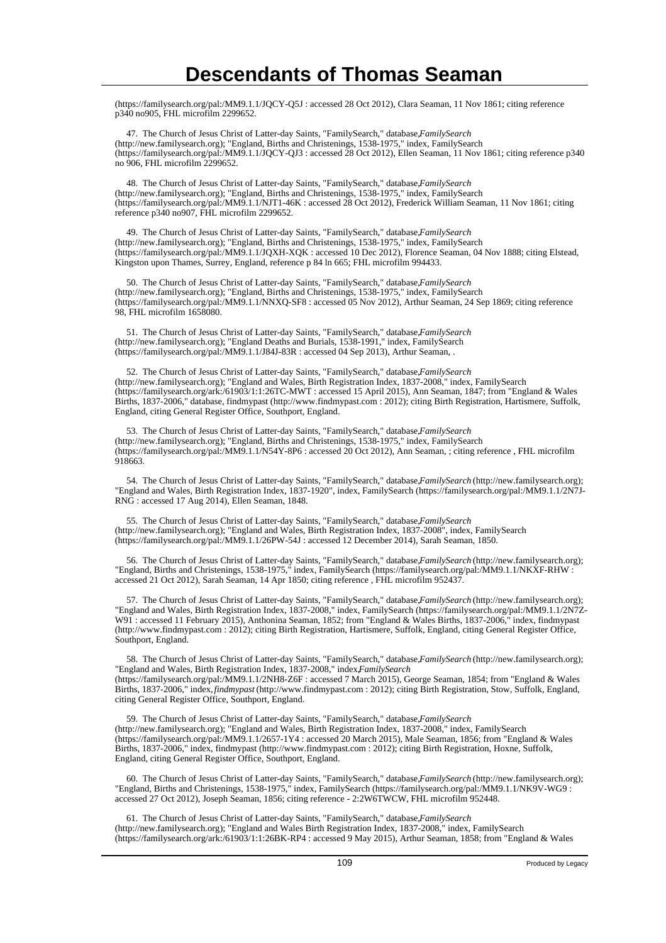(https://familysearch.org/pal:/MM9.1.1/JQCY-Q5J : accessed 28 Oct 2012), Clara Seaman, 11 Nov 1861; citing reference p340 no905, FHL microfilm 2299652.

47. The Church of Jesus Christ of Latter-day Saints, "FamilySearch," database, FamilySearch (http://new.familysearch.org); "England, Births and Christenings, 1538-1975," index, FamilySearch (https://familysearch.org/pal:/MM9.1.1/JQCY-QJ3 : accessed 28 Oct 2012), Ellen Seaman, 11 Nov 1861; citing reference p340 no 906, FHL microfilm 2299652.

 48. The Church of Jesus Christ of Latter-day Saints, "FamilySearch," database, *FamilySearch* (http://new.familysearch.org); "England, Births and Christenings, 1538-1975," index, FamilySearch (https://familysearch.org/pal:/MM9.1.1/NJT1-46K : accessed 28 Oct 2012), Frederick William Seaman, 11 Nov 1861; citing reference p340 no907, FHL microfilm 2299652.

49. The Church of Jesus Christ of Latter-day Saints, "FamilySearch," database, FamilySearch (http://new.familysearch.org); "England, Births and Christenings, 1538-1975," index, FamilySearch (https://familysearch.org/pal:/MM9.1.1/JQXH-XQK : accessed 10 Dec 2012), Florence Seaman, 04 Nov 1888; citing Elstead, Kingston upon Thames, Surrey, England, reference p 84 ln 665; FHL microfilm 994433.

 50. The Church of Jesus Christ of Latter-day Saints, "FamilySearch," database, *FamilySearch* (http://new.familysearch.org); "England, Births and Christenings, 1538-1975," index, FamilySearch (https://familysearch.org/pal:/MM9.1.1/NNXQ-SF8 : accessed 05 Nov 2012), Arthur Seaman, 24 Sep 1869; citing reference 98, FHL microfilm 1658080.

 51. The Church of Jesus Christ of Latter-day Saints, "FamilySearch," database, *FamilySearch* (http://new.familysearch.org); "England Deaths and Burials, 1538-1991," index, FamilySearch (https://familysearch.org/pal:/MM9.1.1/J84J-83R : accessed 04 Sep 2013), Arthur Seaman, .

52. The Church of Jesus Christ of Latter-day Saints, "FamilySearch," database, *FamilySearch* (http://new.familysearch.org); "England and Wales, Birth Registration Index, 1837-2008," index, FamilySearch (https://familysearch.org/ark:/61903/1:1:26TC-MWT : accessed 15 April 2015), Ann Seaman, 1847; from "England & Wales Births, 1837-2006," database, findmypast (http://www.findmypast.com : 2012); citing Birth Registration, Hartismere, Suffolk, England, citing General Register Office, Southport, England.

 53. The Church of Jesus Christ of Latter-day Saints, "FamilySearch," database, *FamilySearch* (http://new.familysearch.org); "England, Births and Christenings, 1538-1975," index, FamilySearch (https://familysearch.org/pal:/MM9.1.1/N54Y-8P6 : accessed 20 Oct 2012), Ann Seaman, ; citing reference , FHL microfilm 918663.

 54. The Church of Jesus Christ of Latter-day Saints, "FamilySearch," database, *FamilySearch* (http://new.familysearch.org); "England and Wales, Birth Registration Index, 1837-1920", index, FamilySearch (https://familysearch.org/pal:/MM9.1.1/2N7J-RNG : accessed 17 Aug 2014), Ellen Seaman, 1848.

55. The Church of Jesus Christ of Latter-day Saints, "FamilySearch," database, *FamilySearch* (http://new.familysearch.org); "England and Wales, Birth Registration Index, 1837-2008", index, FamilySearch (https://familysearch.org/pal:/MM9.1.1/26PW-54J : accessed 12 December 2014), Sarah Seaman, 1850.

 56. The Church of Jesus Christ of Latter-day Saints, "FamilySearch," database, *FamilySearch* (http://new.familysearch.org); "England, Births and Christenings, 1538-1975," index, FamilySearch (https://familysearch.org/pal:/MM9.1.1/NKXF-RHW : accessed 21 Oct 2012), Sarah Seaman, 14 Apr 1850; citing reference , FHL microfilm 952437.

 57. The Church of Jesus Christ of Latter-day Saints, "FamilySearch," database, *FamilySearch* (http://new.familysearch.org); "England and Wales, Birth Registration Index, 1837-2008," index, FamilySearch (https://familysearch.org/pal:/MM9.1.1/2N7Z-W91 : accessed 11 February 2015), Anthonina Seaman, 1852; from "England & Wales Births, 1837-2006," index, findmypast (http://www.findmypast.com : 2012); citing Birth Registration, Hartismere, Suffolk, England, citing General Register Office, Southport, England.

 58. The Church of Jesus Christ of Latter-day Saints, "FamilySearch," database, *FamilySearch* (http://new.familysearch.org); "England and Wales, Birth Registration Index, 1837-2008," index, *FamilySearch* (https://familysearch.org/pal:/MM9.1.1/2NH8-Z6F : accessed 7 March 2015), George Seaman, 1854; from "England & Wales Births, 1837-2006," index, *findmypast* (http://www.findmypast.com : 2012); citing Birth Registration, Stow, Suffolk, England, citing General Register Office, Southport, England.

 59. The Church of Jesus Christ of Latter-day Saints, "FamilySearch," database, *FamilySearch* (http://new.familysearch.org); "England and Wales, Birth Registration Index, 1837-2008," index, FamilySearch (https://familysearch.org/pal:/MM9.1.1/2657-1Y4 : accessed 20 March 2015), Male Seaman, 1856; from "England & Wales Births, 1837-2006," index, findmypast (http://www.findmypast.com : 2012); citing Birth Registration, Hoxne, Suffolk, England, citing General Register Office, Southport, England.

 60. The Church of Jesus Christ of Latter-day Saints, "FamilySearch," database, *FamilySearch* (http://new.familysearch.org); "England, Births and Christenings, 1538-1975," index, FamilySearch (https://familysearch.org/pal:/MM9.1.1/NK9V-WG9 : accessed 27 Oct 2012), Joseph Seaman, 1856; citing reference - 2:2W6TWCW, FHL microfilm 952448.

 61. The Church of Jesus Christ of Latter-day Saints, "FamilySearch," database, *FamilySearch* (http://new.familysearch.org); "England and Wales Birth Registration Index, 1837-2008," index, FamilySearch (https://familysearch.org/ark:/61903/1:1:26BK-RP4 : accessed 9 May 2015), Arthur Seaman, 1858; from "England & Wales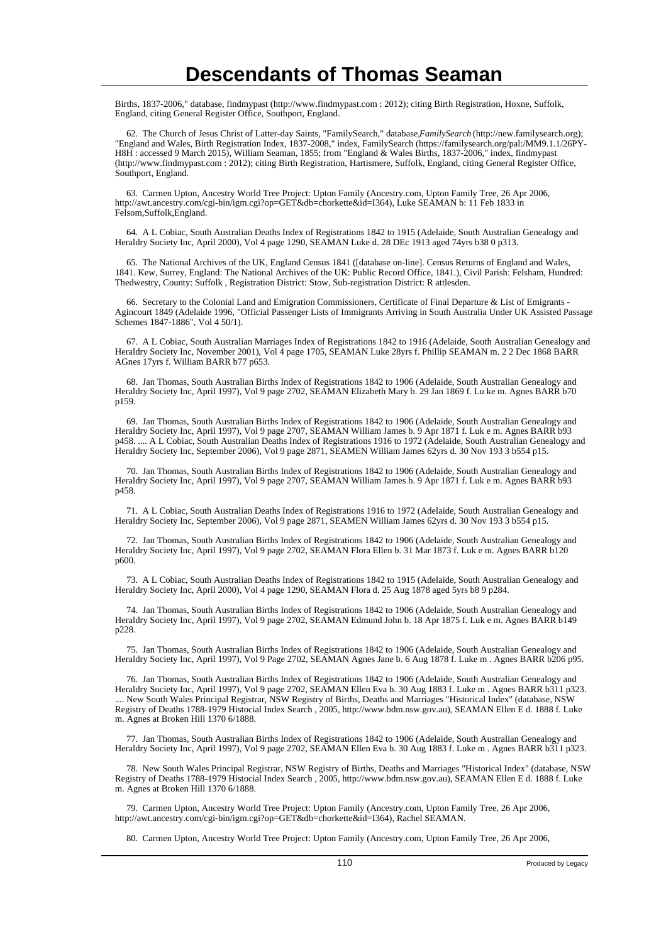Births, 1837-2006," database, findmypast (http://www.findmypast.com : 2012); citing Birth Registration, Hoxne, Suffolk, England, citing General Register Office, Southport, England.

 62. The Church of Jesus Christ of Latter-day Saints, "FamilySearch," database, *FamilySearch* (http://new.familysearch.org); "England and Wales, Birth Registration Index, 1837-2008," index, FamilySearch (https://familysearch.org/pal:/MM9.1.1/26PY-H8H : accessed 9 March 2015), William Seaman, 1855; from "England & Wales Births, 1837-2006," index, findmypast (http://www.findmypast.com : 2012); citing Birth Registration, Hartismere, Suffolk, England, citing General Register Office, Southport, England.

 63. Carmen Upton, Ancestry World Tree Project: Upton Family (Ancestry.com, Upton Family Tree, 26 Apr 2006, http://awt.ancestry.com/cgi-bin/igm.cgi?op=GET&db=chorkette&id=I364), Luke SEAMAN b: 11 Feb 1833 in Felsom,Suffolk,England.

 64. A L Cobiac, South Australian Deaths Index of Registrations 1842 to 1915 (Adelaide, South Australian Genealogy and Heraldry Society Inc, April 2000), Vol 4 page 1290, SEAMAN Luke d. 28 DEc 1913 aged 74yrs b38 0 p313.

 65. The National Archives of the UK, England Census 1841 ([database on-line]. Census Returns of England and Wales, 1841. Kew, Surrey, England: The National Archives of the UK: Public Record Office, 1841.), Civil Parish: Felsham, Hundred: Thedwestry, County: Suffolk , Registration District: Stow, Sub-registration District: R attlesden.

 66. Secretary to the Colonial Land and Emigration Commissioners, Certificate of Final Departure & List of Emigrants - Agincourt 1849 (Adelaide 1996, "Official Passenger Lists of Immigrants Arriving in South Australia Under UK Assisted Passage Schemes 1847-1886", Vol 4 50/1).

 67. A L Cobiac, South Australian Marriages Index of Registrations 1842 to 1916 (Adelaide, South Australian Genealogy and Heraldry Society Inc, November 2001), Vol 4 page 1705, SEAMAN Luke 28yrs f. Phillip SEAMAN m. 2 2 Dec 1868 BARR AGnes 17yrs f. William BARR b77 p653.

 68. Jan Thomas, South Australian Births Index of Registrations 1842 to 1906 (Adelaide, South Australian Genealogy and Heraldry Society Inc, April 1997), Vol 9 page 2702, SEAMAN Elizabeth Mary b. 29 Jan 1869 f. Lu ke m. Agnes BARR b70 p159.

 69. Jan Thomas, South Australian Births Index of Registrations 1842 to 1906 (Adelaide, South Australian Genealogy and Heraldry Society Inc, April 1997), Vol 9 page 2707, SEAMAN William James b. 9 Apr 1871 f. Luk e m. Agnes BARR b93 p458. .... A L Cobiac, South Australian Deaths Index of Registrations 1916 to 1972 (Adelaide, South Australian Genealogy and Heraldry Society Inc, September 2006), Vol 9 page 2871, SEAMEN William James 62yrs d. 30 Nov 193 3 b554 p15.

 70. Jan Thomas, South Australian Births Index of Registrations 1842 to 1906 (Adelaide, South Australian Genealogy and Heraldry Society Inc, April 1997), Vol 9 page 2707, SEAMAN William James b. 9 Apr 1871 f. Luk e m. Agnes BARR b93 p458.

 71. A L Cobiac, South Australian Deaths Index of Registrations 1916 to 1972 (Adelaide, South Australian Genealogy and Heraldry Society Inc, September 2006), Vol 9 page 2871, SEAMEN William James 62yrs d. 30 Nov 193 3 b554 p15.

 72. Jan Thomas, South Australian Births Index of Registrations 1842 to 1906 (Adelaide, South Australian Genealogy and Heraldry Society Inc, April 1997), Vol 9 page 2702, SEAMAN Flora Ellen b. 31 Mar 1873 f. Luk e m. Agnes BARR b120 p600.

 73. A L Cobiac, South Australian Deaths Index of Registrations 1842 to 1915 (Adelaide, South Australian Genealogy and Heraldry Society Inc, April 2000), Vol 4 page 1290, SEAMAN Flora d. 25 Aug 1878 aged 5yrs b8 9 p284.

 74. Jan Thomas, South Australian Births Index of Registrations 1842 to 1906 (Adelaide, South Australian Genealogy and Heraldry Society Inc, April 1997), Vol 9 page 2702, SEAMAN Edmund John b. 18 Apr 1875 f. Luk e m. Agnes BARR b149 p228.

 75. Jan Thomas, South Australian Births Index of Registrations 1842 to 1906 (Adelaide, South Australian Genealogy and Heraldry Society Inc, April 1997), Vol 9 Page 2702, SEAMAN Agnes Jane b. 6 Aug 1878 f. Luke m . Agnes BARR b206 p95.

 76. Jan Thomas, South Australian Births Index of Registrations 1842 to 1906 (Adelaide, South Australian Genealogy and Heraldry Society Inc, April 1997), Vol 9 page 2702, SEAMAN Ellen Eva b. 30 Aug 1883 f. Luke m . Agnes BARR b311 p323. .... New South Wales Principal Registrar, NSW Registry of Births, Deaths and Marriages "Historical Index" (database, NSW Registry of Deaths 1788-1979 Histocial Index Search , 2005, http://www.bdm.nsw.gov.au), SEAMAN Ellen E d. 1888 f. Luke m. Agnes at Broken Hill 1370 6/1888.

 77. Jan Thomas, South Australian Births Index of Registrations 1842 to 1906 (Adelaide, South Australian Genealogy and Heraldry Society Inc, April 1997), Vol 9 page 2702, SEAMAN Ellen Eva b. 30 Aug 1883 f. Luke m . Agnes BARR b311 p323.

 78. New South Wales Principal Registrar, NSW Registry of Births, Deaths and Marriages "Historical Index" (database, NSW Registry of Deaths 1788-1979 Histocial Index Search , 2005, http://www.bdm.nsw.gov.au), SEAMAN Ellen E d. 1888 f. Luke m. Agnes at Broken Hill 1370 6/1888.

 79. Carmen Upton, Ancestry World Tree Project: Upton Family (Ancestry.com, Upton Family Tree, 26 Apr 2006, http://awt.ancestry.com/cgi-bin/igm.cgi?op=GET&db=chorkette&id=I364), Rachel SEAMAN.

80. Carmen Upton, Ancestry World Tree Project: Upton Family (Ancestry.com, Upton Family Tree, 26 Apr 2006,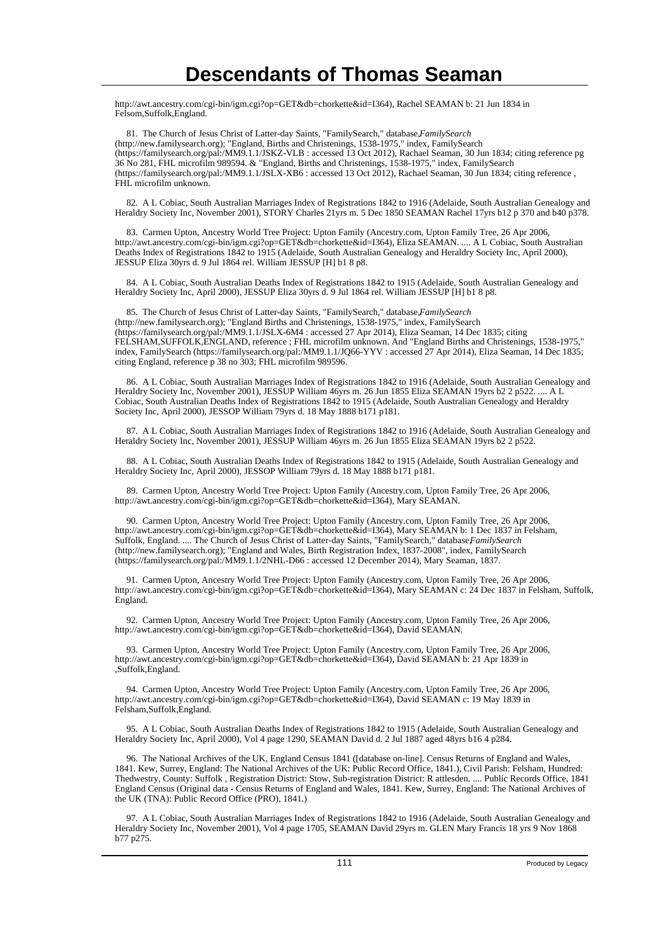http://awt.ancestry.com/cgi-bin/igm.cgi?op=GET&db=chorkette&id=I364), Rachel SEAMAN b: 21 Jun 1834 in Felsom,Suffolk,England.

81. The Church of Jesus Christ of Latter-day Saints, "FamilySearch," database, FamilySearch (http://new.familysearch.org); "England, Births and Christenings, 1538-1975," index, FamilySearch (https://familysearch.org/pal:/MM9.1.1/JSKZ-VLB : accessed 13 Oct 2012), Rachael Seaman, 30 Jun 1834; citing reference pg 36 No 281, FHL microfilm 989594. & "England, Births and Christenings, 1538-1975," index, FamilySearch (https://familysearch.org/pal:/MM9.1.1/JSLX-XB6 : accessed 13 Oct 2012), Rachael Seaman, 30 Jun 1834; citing reference , FHL microfilm unknown.

 82. A L Cobiac, South Australian Marriages Index of Registrations 1842 to 1916 (Adelaide, South Australian Genealogy and Heraldry Society Inc, November 2001), STORY Charles 21yrs m. 5 Dec 1850 SEAMAN Rachel 17yrs b12 p 370 and b40 p378.

 83. Carmen Upton, Ancestry World Tree Project: Upton Family (Ancestry.com, Upton Family Tree, 26 Apr 2006, http://awt.ancestry.com/cgi-bin/igm.cgi?op=GET&db=chorkette&id=I364), Eliza SEAMAN. .... A L Cobiac, South Australian Deaths Index of Registrations 1842 to 1915 (Adelaide, South Australian Genealogy and Heraldry Society Inc, April 2000), JESSUP Eliza 30yrs d. 9 Jul 1864 rel. William JESSUP [H] b1 8 p8.

 84. A L Cobiac, South Australian Deaths Index of Registrations 1842 to 1915 (Adelaide, South Australian Genealogy and Heraldry Society Inc, April 2000), JESSUP Eliza 30yrs d. 9 Jul 1864 rel. William JESSUP [H] b1 8 p8.

85. The Church of Jesus Christ of Latter-day Saints, "FamilySearch," database, *FamilySearch* (http://new.familysearch.org); "England Births and Christenings, 1538-1975," index, FamilySearch (https://familysearch.org/pal:/MM9.1.1/JSLX-6M4 : accessed 27 Apr 2014), Eliza Seaman, 14 Dec 1835; citing FELSHAM,SUFFOLK,ENGLAND, reference ; FHL microfilm unknown. And "England Births and Christenings, 1538-1975," index, FamilySearch (https://familysearch.org/pal:/MM9.1.1/JQ66-YYV : accessed 27 Apr 2014), Eliza Seaman, 14 Dec 1835; citing England, reference p 38 no 303; FHL microfilm 989596.

 86. A L Cobiac, South Australian Marriages Index of Registrations 1842 to 1916 (Adelaide, South Australian Genealogy and Heraldry Society Inc, November 2001), JESSUP William 46yrs m. 26 Jun 1855 Eliza SEAMAN 19yrs b2 2 p522. .... A L Cobiac, South Australian Deaths Index of Registrations 1842 to 1915 (Adelaide, South Australian Genealogy and Heraldry Society Inc, April 2000), JESSOP William 79yrs d. 18 May 1888 b171 p181.

 87. A L Cobiac, South Australian Marriages Index of Registrations 1842 to 1916 (Adelaide, South Australian Genealogy and Heraldry Society Inc, November 2001), JESSUP William 46yrs m. 26 Jun 1855 Eliza SEAMAN 19yrs b2 2 p522.

 88. A L Cobiac, South Australian Deaths Index of Registrations 1842 to 1915 (Adelaide, South Australian Genealogy and Heraldry Society Inc, April 2000), JESSOP William 79yrs d. 18 May 1888 b171 p181.

 89. Carmen Upton, Ancestry World Tree Project: Upton Family (Ancestry.com, Upton Family Tree, 26 Apr 2006, http://awt.ancestry.com/cgi-bin/igm.cgi?op=GET&db=chorkette&id=I364), Mary SEAMAN.

 90. Carmen Upton, Ancestry World Tree Project: Upton Family (Ancestry.com, Upton Family Tree, 26 Apr 2006, http://awt.ancestry.com/cgi-bin/igm.cgi?op=GET&db=chorkette&id=I364), Mary SEAMAN b: 1 Dec 1837 in Felsham, Suffolk, England. .... The Church of Jesus Christ of Latter-day Saints, "FamilySearch," database*FamilySearch* (http://new.familysearch.org); "England and Wales, Birth Registration Index, 1837-2008", index, FamilySearch (https://familysearch.org/pal:/MM9.1.1/2NHL-D66 : accessed 12 December 2014), Mary Seaman, 1837.

 91. Carmen Upton, Ancestry World Tree Project: Upton Family (Ancestry.com, Upton Family Tree, 26 Apr 2006, http://awt.ancestry.com/cgi-bin/igm.cgi?op=GET&db=chorkette&id=I364), Mary SEAMAN c: 24 Dec 1837 in Felsham, Suffolk, England.

 92. Carmen Upton, Ancestry World Tree Project: Upton Family (Ancestry.com, Upton Family Tree, 26 Apr 2006, http://awt.ancestry.com/cgi-bin/igm.cgi?op=GET&db=chorkette&id=I364), David SEAMAN.

 93. Carmen Upton, Ancestry World Tree Project: Upton Family (Ancestry.com, Upton Family Tree, 26 Apr 2006, http://awt.ancestry.com/cgi-bin/igm.cgi?op=GET&db=chorkette&id=I364), David SEAMAN b: 21 Apr 1839 in ,Suffolk,England.

 94. Carmen Upton, Ancestry World Tree Project: Upton Family (Ancestry.com, Upton Family Tree, 26 Apr 2006, http://awt.ancestry.com/cgi-bin/igm.cgi?op=GET&db=chorkette&id=I364), David SEAMAN c: 19 May 1839 in Felsham,Suffolk,England.

 95. A L Cobiac, South Australian Deaths Index of Registrations 1842 to 1915 (Adelaide, South Australian Genealogy and Heraldry Society Inc, April 2000), Vol 4 page 1290, SEAMAN David d. 2 Jul 1887 aged 48yrs b16 4 p284.

 96. The National Archives of the UK, England Census 1841 ([database on-line]. Census Returns of England and Wales, 1841. Kew, Surrey, England: The National Archives of the UK: Public Record Office, 1841.), Civil Parish: Felsham, Hundred: Thedwestry, County: Suffolk , Registration District: Stow, Sub-registration District: R attlesden. .... Public Records Office, 1841 England Census (Original data - Census Returns of England and Wales, 1841. Kew, Surrey, England: The National Archives of the UK (TNA): Public Record Office (PRO), 1841.)

 97. A L Cobiac, South Australian Marriages Index of Registrations 1842 to 1916 (Adelaide, South Australian Genealogy and Heraldry Society Inc, November 2001), Vol 4 page 1705, SEAMAN David 29yrs m. GLEN Mary Francis 18 yrs 9 Nov 1868 b77 p275.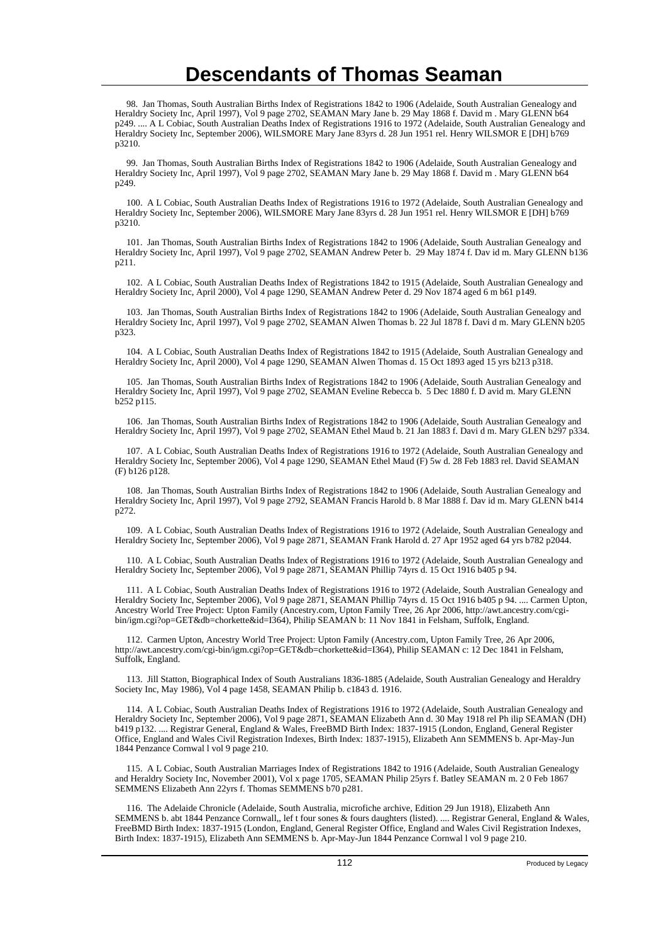98. Jan Thomas, South Australian Births Index of Registrations 1842 to 1906 (Adelaide, South Australian Genealogy and Heraldry Society Inc, April 1997), Vol 9 page 2702, SEAMAN Mary Jane b. 29 May 1868 f. David m . Mary GLENN b64 p249. .... A L Cobiac, South Australian Deaths Index of Registrations 1916 to 1972 (Adelaide, South Australian Genealogy and Heraldry Society Inc, September 2006), WILSMORE Mary Jane 83yrs d. 28 Jun 1951 rel. Henry WILSMOR E [DH] b769 p3210.

 99. Jan Thomas, South Australian Births Index of Registrations 1842 to 1906 (Adelaide, South Australian Genealogy and Heraldry Society Inc, April 1997), Vol 9 page 2702, SEAMAN Mary Jane b. 29 May 1868 f. David m . Mary GLENN b64 p249.

 100. A L Cobiac, South Australian Deaths Index of Registrations 1916 to 1972 (Adelaide, South Australian Genealogy and Heraldry Society Inc, September 2006), WILSMORE Mary Jane 83yrs d. 28 Jun 1951 rel. Henry WILSMOR E [DH] b769 p3210.

 101. Jan Thomas, South Australian Births Index of Registrations 1842 to 1906 (Adelaide, South Australian Genealogy and Heraldry Society Inc, April 1997), Vol 9 page 2702, SEAMAN Andrew Peter b. 29 May 1874 f. Dav id m. Mary GLENN b136 p211.

 102. A L Cobiac, South Australian Deaths Index of Registrations 1842 to 1915 (Adelaide, South Australian Genealogy and Heraldry Society Inc, April 2000), Vol 4 page 1290, SEAMAN Andrew Peter d. 29 Nov 1874 aged 6 m b61 p149.

 103. Jan Thomas, South Australian Births Index of Registrations 1842 to 1906 (Adelaide, South Australian Genealogy and Heraldry Society Inc, April 1997), Vol 9 page 2702, SEAMAN Alwen Thomas b. 22 Jul 1878 f. Davi d m. Mary GLENN b205 p323.

 104. A L Cobiac, South Australian Deaths Index of Registrations 1842 to 1915 (Adelaide, South Australian Genealogy and Heraldry Society Inc, April 2000), Vol 4 page 1290, SEAMAN Alwen Thomas d. 15 Oct 1893 aged 15 yrs b213 p318.

 105. Jan Thomas, South Australian Births Index of Registrations 1842 to 1906 (Adelaide, South Australian Genealogy and Heraldry Society Inc, April 1997), Vol 9 page 2702, SEAMAN Eveline Rebecca b. 5 Dec 1880 f. D avid m. Mary GLENN b252 p115.

 106. Jan Thomas, South Australian Births Index of Registrations 1842 to 1906 (Adelaide, South Australian Genealogy and Heraldry Society Inc, April 1997), Vol 9 page 2702, SEAMAN Ethel Maud b. 21 Jan 1883 f. Davi d m. Mary GLEN b297 p334.

 107. A L Cobiac, South Australian Deaths Index of Registrations 1916 to 1972 (Adelaide, South Australian Genealogy and Heraldry Society Inc, September 2006), Vol 4 page 1290, SEAMAN Ethel Maud (F) 5w d. 28 Feb 1883 rel. David SEAMAN (F) b126 p128.

 108. Jan Thomas, South Australian Births Index of Registrations 1842 to 1906 (Adelaide, South Australian Genealogy and Heraldry Society Inc, April 1997), Vol 9 page 2792, SEAMAN Francis Harold b. 8 Mar 1888 f. Dav id m. Mary GLENN b414 p272.

 109. A L Cobiac, South Australian Deaths Index of Registrations 1916 to 1972 (Adelaide, South Australian Genealogy and Heraldry Society Inc, September 2006), Vol 9 page 2871, SEAMAN Frank Harold d. 27 Apr 1952 aged 64 yrs b782 p2044.

 110. A L Cobiac, South Australian Deaths Index of Registrations 1916 to 1972 (Adelaide, South Australian Genealogy and Heraldry Society Inc, September 2006), Vol 9 page 2871, SEAMAN Phillip 74yrs d. 15 Oct 1916 b405 p 94.

 111. A L Cobiac, South Australian Deaths Index of Registrations 1916 to 1972 (Adelaide, South Australian Genealogy and Heraldry Society Inc, September 2006), Vol 9 page 2871, SEAMAN Phillip 74yrs d. 15 Oct 1916 b405 p 94. .... Carmen Upton, Ancestry World Tree Project: Upton Family (Ancestry.com, Upton Family Tree, 26 Apr 2006, http://awt.ancestry.com/cgibin/igm.cgi?op=GET&db=chorkette&id=I364), Philip SEAMAN b: 11 Nov 1841 in Felsham, Suffolk, England.

 112. Carmen Upton, Ancestry World Tree Project: Upton Family (Ancestry.com, Upton Family Tree, 26 Apr 2006, http://awt.ancestry.com/cgi-bin/igm.cgi?op=GET&db=chorkette&id=I364), Philip SEAMAN c: 12 Dec 1841 in Felsham, Suffolk, England.

 113. Jill Statton, Biographical Index of South Australians 1836-1885 (Adelaide, South Australian Genealogy and Heraldry Society Inc, May 1986), Vol 4 page 1458, SEAMAN Philip b. c1843 d. 1916.

 114. A L Cobiac, South Australian Deaths Index of Registrations 1916 to 1972 (Adelaide, South Australian Genealogy and Heraldry Society Inc, September 2006), Vol 9 page 2871, SEAMAN Elizabeth Ann d. 30 May 1918 rel Ph ilip SEAMAN (DH) b419 p132. .... Registrar General, England & Wales, FreeBMD Birth Index: 1837-1915 (London, England, General Register Office, England and Wales Civil Registration Indexes, Birth Index: 1837-1915), Elizabeth Ann SEMMENS b. Apr-May-Jun 1844 Penzance Cornwal l vol 9 page 210.

 115. A L Cobiac, South Australian Marriages Index of Registrations 1842 to 1916 (Adelaide, South Australian Genealogy and Heraldry Society Inc, November 2001), Vol x page 1705, SEAMAN Philip 25yrs f. Batley SEAMAN m. 2 0 Feb 1867 SEMMENS Elizabeth Ann 22yrs f. Thomas SEMMENS b70 p281.

 116. The Adelaide Chronicle (Adelaide, South Australia, microfiche archive, Edition 29 Jun 1918), Elizabeth Ann SEMMENS b. abt 1844 Penzance Cornwall,, lef t four sones & fours daughters (listed). .... Registrar General, England & Wales, FreeBMD Birth Index: 1837-1915 (London, England, General Register Office, England and Wales Civil Registration Indexes, Birth Index: 1837-1915), Elizabeth Ann SEMMENS b. Apr-May-Jun 1844 Penzance Cornwal l vol 9 page 210.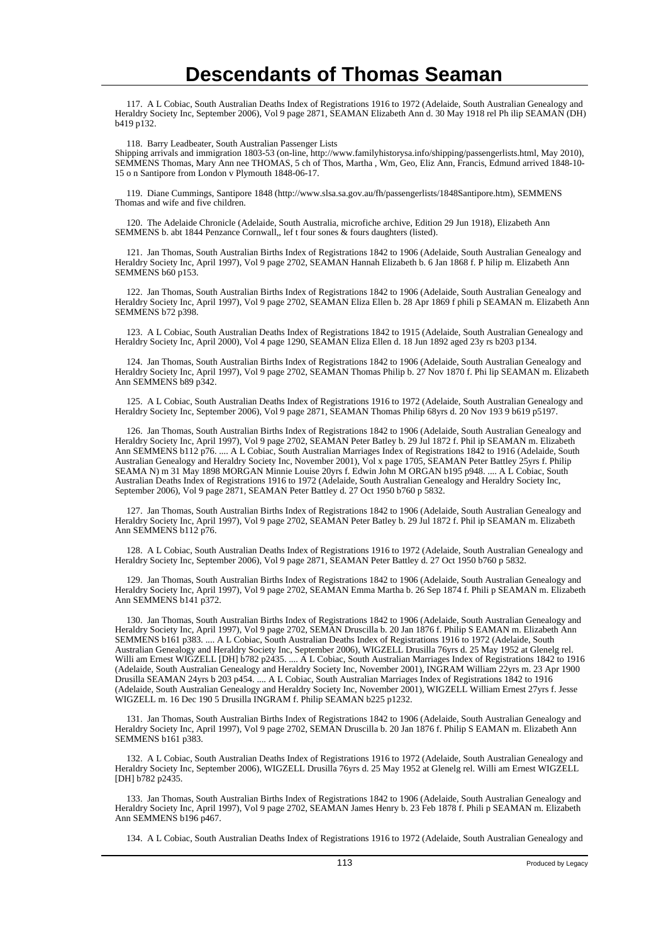117. A L Cobiac, South Australian Deaths Index of Registrations 1916 to 1972 (Adelaide, South Australian Genealogy and Heraldry Society Inc, September 2006), Vol 9 page 2871, SEAMAN Elizabeth Ann d. 30 May 1918 rel Ph ilip SEAMAN (DH) b419 p132.

118. Barry Leadbeater, South Australian Passenger Lists

Shipping arrivals and immigration 1803-53 (on-line, http://www.familyhistorysa.info/shipping/passengerlists.html, May 2010), SEMMENS Thomas, Mary Ann nee THOMAS, 5 ch of Thos, Martha , Wm, Geo, Eliz Ann, Francis, Edmund arrived 1848-10- 15 o n Santipore from London v Plymouth 1848-06-17.

 119. Diane Cummings, Santipore 1848 (http://www.slsa.sa.gov.au/fh/passengerlists/1848Santipore.htm), SEMMENS Thomas and wife and five children.

 120. The Adelaide Chronicle (Adelaide, South Australia, microfiche archive, Edition 29 Jun 1918), Elizabeth Ann SEMMENS b. abt 1844 Penzance Cornwall,, lef t four sones & fours daughters (listed).

 121. Jan Thomas, South Australian Births Index of Registrations 1842 to 1906 (Adelaide, South Australian Genealogy and Heraldry Society Inc, April 1997), Vol 9 page 2702, SEAMAN Hannah Elizabeth b. 6 Jan 1868 f. P hilip m. Elizabeth Ann SEMMENS b60 p153.

 122. Jan Thomas, South Australian Births Index of Registrations 1842 to 1906 (Adelaide, South Australian Genealogy and Heraldry Society Inc, April 1997), Vol 9 page 2702, SEAMAN Eliza Ellen b. 28 Apr 1869 f phili p SEAMAN m. Elizabeth Ann SEMMENS b72 p398.

 123. A L Cobiac, South Australian Deaths Index of Registrations 1842 to 1915 (Adelaide, South Australian Genealogy and Heraldry Society Inc, April 2000), Vol 4 page 1290, SEAMAN Eliza Ellen d. 18 Jun 1892 aged 23y rs b203 p134.

 124. Jan Thomas, South Australian Births Index of Registrations 1842 to 1906 (Adelaide, South Australian Genealogy and Heraldry Society Inc, April 1997), Vol 9 page 2702, SEAMAN Thomas Philip b. 27 Nov 1870 f. Phi lip SEAMAN m. Elizabeth Ann SEMMENS b89 p342.

 125. A L Cobiac, South Australian Deaths Index of Registrations 1916 to 1972 (Adelaide, South Australian Genealogy and Heraldry Society Inc, September 2006), Vol 9 page 2871, SEAMAN Thomas Philip 68yrs d. 20 Nov 193 9 b619 p5197.

 126. Jan Thomas, South Australian Births Index of Registrations 1842 to 1906 (Adelaide, South Australian Genealogy and Heraldry Society Inc, April 1997), Vol 9 page 2702, SEAMAN Peter Batley b. 29 Jul 1872 f. Phil ip SEAMAN m. Elizabeth Ann SEMMENS b112 p76. .... A L Cobiac, South Australian Marriages Index of Registrations 1842 to 1916 (Adelaide, South Australian Genealogy and Heraldry Society Inc, November 2001), Vol x page 1705, SEAMAN Peter Battley 25yrs f. Philip SEAMA N) m 31 May 1898 MORGAN Minnie Louise 20yrs f. Edwin John M ORGAN b195 p948. .... A L Cobiac, South Australian Deaths Index of Registrations 1916 to 1972 (Adelaide, South Australian Genealogy and Heraldry Society Inc, September 2006), Vol 9 page 2871, SEAMAN Peter Battley d. 27 Oct 1950 b760 p 5832.

 127. Jan Thomas, South Australian Births Index of Registrations 1842 to 1906 (Adelaide, South Australian Genealogy and Heraldry Society Inc, April 1997), Vol 9 page 2702, SEAMAN Peter Batley b. 29 Jul 1872 f. Phil ip SEAMAN m. Elizabeth Ann SEMMENS b112 p76.

 128. A L Cobiac, South Australian Deaths Index of Registrations 1916 to 1972 (Adelaide, South Australian Genealogy and Heraldry Society Inc, September 2006), Vol 9 page 2871, SEAMAN Peter Battley d. 27 Oct 1950 b760 p 5832.

 129. Jan Thomas, South Australian Births Index of Registrations 1842 to 1906 (Adelaide, South Australian Genealogy and Heraldry Society Inc, April 1997), Vol 9 page 2702, SEAMAN Emma Martha b. 26 Sep 1874 f. Phili p SEAMAN m. Elizabeth Ann SEMMENS b141 p372.

 130. Jan Thomas, South Australian Births Index of Registrations 1842 to 1906 (Adelaide, South Australian Genealogy and Heraldry Society Inc, April 1997), Vol 9 page 2702, SEMAN Druscilla b. 20 Jan 1876 f. Philip S EAMAN m. Elizabeth Ann SEMMENS b161 p383. .... A L Cobiac, South Australian Deaths Index of Registrations 1916 to 1972 (Adelaide, South Australian Genealogy and Heraldry Society Inc, September 2006), WIGZELL Drusilla 76yrs d. 25 May 1952 at Glenelg rel. Willi am Ernest WIGZELL [DH] b782 p2435. .... A L Cobiac, South Australian Marriages Index of Registrations 1842 to 1916 (Adelaide, South Australian Genealogy and Heraldry Society Inc, November 2001), INGRAM William 22yrs m. 23 Apr 1900 Drusilla SEAMAN 24yrs b 203 p454. .... A L Cobiac, South Australian Marriages Index of Registrations 1842 to 1916 (Adelaide, South Australian Genealogy and Heraldry Society Inc, November 2001), WIGZELL William Ernest 27yrs f. Jesse WIGZELL m. 16 Dec 190 5 Drusilla INGRAM f. Philip SEAMAN b225 p1232.

 131. Jan Thomas, South Australian Births Index of Registrations 1842 to 1906 (Adelaide, South Australian Genealogy and Heraldry Society Inc, April 1997), Vol 9 page 2702, SEMAN Druscilla b. 20 Jan 1876 f. Philip S EAMAN m. Elizabeth Ann SEMMENS b161 p383.

 132. A L Cobiac, South Australian Deaths Index of Registrations 1916 to 1972 (Adelaide, South Australian Genealogy and Heraldry Society Inc, September 2006), WIGZELL Drusilla 76yrs d. 25 May 1952 at Glenelg rel. Willi am Ernest WIGZELL [DH] b782 p2435.

 133. Jan Thomas, South Australian Births Index of Registrations 1842 to 1906 (Adelaide, South Australian Genealogy and Heraldry Society Inc, April 1997), Vol 9 page 2702, SEAMAN James Henry b. 23 Feb 1878 f. Phili p SEAMAN m. Elizabeth Ann SEMMENS b196 p467.

134. A L Cobiac, South Australian Deaths Index of Registrations 1916 to 1972 (Adelaide, South Australian Genealogy and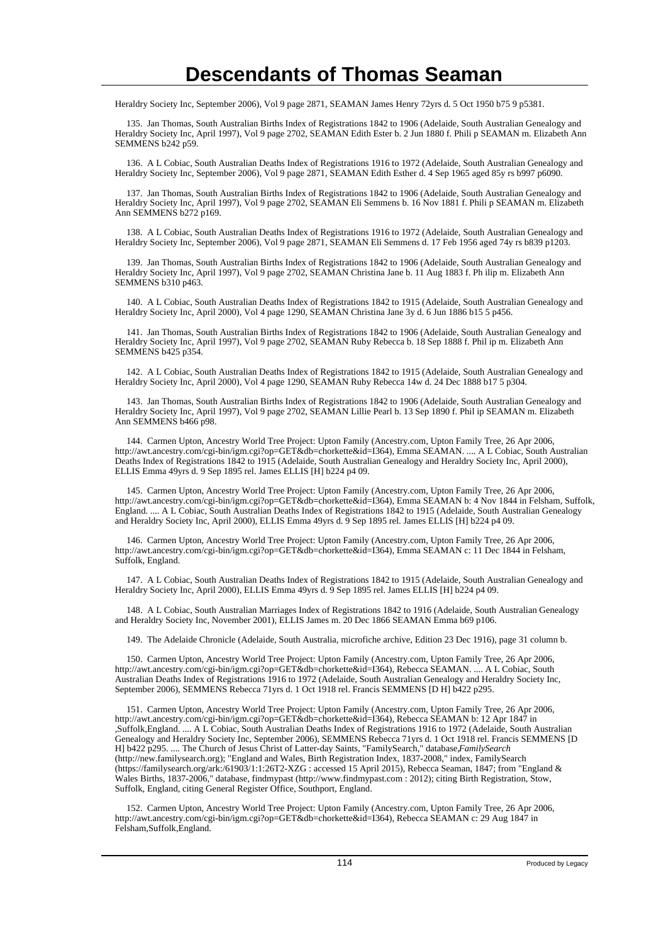Heraldry Society Inc, September 2006), Vol 9 page 2871, SEAMAN James Henry 72yrs d. 5 Oct 1950 b75 9 p5381.

 135. Jan Thomas, South Australian Births Index of Registrations 1842 to 1906 (Adelaide, South Australian Genealogy and Heraldry Society Inc, April 1997), Vol 9 page 2702, SEAMAN Edith Ester b. 2 Jun 1880 f. Phili p SEAMAN m. Elizabeth Ann SEMMENS b242 p59.

 136. A L Cobiac, South Australian Deaths Index of Registrations 1916 to 1972 (Adelaide, South Australian Genealogy and Heraldry Society Inc, September 2006), Vol 9 page 2871, SEAMAN Edith Esther d. 4 Sep 1965 aged 85y rs b997 p6090.

 137. Jan Thomas, South Australian Births Index of Registrations 1842 to 1906 (Adelaide, South Australian Genealogy and Heraldry Society Inc, April 1997), Vol 9 page 2702, SEAMAN Eli Semmens b. 16 Nov 1881 f. Phili p SEAMAN m. Elizabeth Ann SEMMENS b272 p169.

 138. A L Cobiac, South Australian Deaths Index of Registrations 1916 to 1972 (Adelaide, South Australian Genealogy and Heraldry Society Inc, September 2006), Vol 9 page 2871, SEAMAN Eli Semmens d. 17 Feb 1956 aged 74y rs b839 p1203.

 139. Jan Thomas, South Australian Births Index of Registrations 1842 to 1906 (Adelaide, South Australian Genealogy and Heraldry Society Inc, April 1997), Vol 9 page 2702, SEAMAN Christina Jane b. 11 Aug 1883 f. Ph ilip m. Elizabeth Ann SEMMENS b310 p463.

 140. A L Cobiac, South Australian Deaths Index of Registrations 1842 to 1915 (Adelaide, South Australian Genealogy and Heraldry Society Inc, April 2000), Vol 4 page 1290, SEAMAN Christina Jane 3y d. 6 Jun 1886 b15 5 p456.

 141. Jan Thomas, South Australian Births Index of Registrations 1842 to 1906 (Adelaide, South Australian Genealogy and Heraldry Society Inc, April 1997), Vol 9 page 2702, SEAMAN Ruby Rebecca b. 18 Sep 1888 f. Phil ip m. Elizabeth Ann SEMMENS b425 p354.

 142. A L Cobiac, South Australian Deaths Index of Registrations 1842 to 1915 (Adelaide, South Australian Genealogy and Heraldry Society Inc, April 2000), Vol 4 page 1290, SEAMAN Ruby Rebecca 14w d. 24 Dec 1888 b17 5 p304.

 143. Jan Thomas, South Australian Births Index of Registrations 1842 to 1906 (Adelaide, South Australian Genealogy and Heraldry Society Inc, April 1997), Vol 9 page 2702, SEAMAN Lillie Pearl b. 13 Sep 1890 f. Phil ip SEAMAN m. Elizabeth Ann SEMMENS b466 p98.

 144. Carmen Upton, Ancestry World Tree Project: Upton Family (Ancestry.com, Upton Family Tree, 26 Apr 2006, http://awt.ancestry.com/cgi-bin/igm.cgi?op=GET&db=chorkette&id=I364), Emma SEAMAN. .... A L Cobiac, South Australian Deaths Index of Registrations 1842 to 1915 (Adelaide, South Australian Genealogy and Heraldry Society Inc, April 2000), ELLIS Emma 49yrs d. 9 Sep 1895 rel. James ELLIS [H] b224 p4 09.

 145. Carmen Upton, Ancestry World Tree Project: Upton Family (Ancestry.com, Upton Family Tree, 26 Apr 2006, http://awt.ancestry.com/cgi-bin/igm.cgi?op=GET&db=chorkette&id=I364), Emma SEAMAN b: 4 Nov 1844 in Felsham, Suffolk, England. .... A L Cobiac, South Australian Deaths Index of Registrations 1842 to 1915 (Adelaide, South Australian Genealogy and Heraldry Society Inc, April 2000), ELLIS Emma 49yrs d. 9 Sep 1895 rel. James ELLIS [H] b224 p4 09.

 146. Carmen Upton, Ancestry World Tree Project: Upton Family (Ancestry.com, Upton Family Tree, 26 Apr 2006, http://awt.ancestry.com/cgi-bin/igm.cgi?op=GET&db=chorkette&id=I364), Emma SEAMAN c: 11 Dec 1844 in Felsham, Suffolk, England.

 147. A L Cobiac, South Australian Deaths Index of Registrations 1842 to 1915 (Adelaide, South Australian Genealogy and Heraldry Society Inc, April 2000), ELLIS Emma 49yrs d. 9 Sep 1895 rel. James ELLIS [H] b224 p4 09.

 148. A L Cobiac, South Australian Marriages Index of Registrations 1842 to 1916 (Adelaide, South Australian Genealogy and Heraldry Society Inc, November 2001), ELLIS James m. 20 Dec 1866 SEAMAN Emma b69 p106.

149. The Adelaide Chronicle (Adelaide, South Australia, microfiche archive, Edition 23 Dec 1916), page 31 column b.

 150. Carmen Upton, Ancestry World Tree Project: Upton Family (Ancestry.com, Upton Family Tree, 26 Apr 2006, http://awt.ancestry.com/cgi-bin/igm.cgi?op=GET&db=chorkette&id=I364), Rebecca SEAMAN. .... A L Cobiac, South Australian Deaths Index of Registrations 1916 to 1972 (Adelaide, South Australian Genealogy and Heraldry Society Inc, September 2006), SEMMENS Rebecca 71yrs d. 1 Oct 1918 rel. Francis SEMMENS [D H] b422 p295.

 151. Carmen Upton, Ancestry World Tree Project: Upton Family (Ancestry.com, Upton Family Tree, 26 Apr 2006, http://awt.ancestry.com/cgi-bin/igm.cgi?op=GET&db=chorkette&id=I364), Rebecca SEAMAN b: 12 Apr 1847 in ,Suffolk,England. .... A L Cobiac, South Australian Deaths Index of Registrations 1916 to 1972 (Adelaide, South Australian Genealogy and Heraldry Society Inc, September 2006), SEMMENS Rebecca 71yrs d. 1 Oct 1918 rel. Francis SEMMENS [D H] b422 p295. .... The Church of Jesus Christ of Latter-day Saints, "FamilySearch," database, *FamilySearch* (http://new.familysearch.org); "England and Wales, Birth Registration Index, 1837-2008," index, FamilySearch (https://familysearch.org/ark:/61903/1:1:26T2-XZG : accessed 15 April 2015), Rebecca Seaman, 1847; from "England & Wales Births, 1837-2006," database, findmypast (http://www.findmypast.com : 2012); citing Birth Registration, Stow, Suffolk, England, citing General Register Office, Southport, England.

 152. Carmen Upton, Ancestry World Tree Project: Upton Family (Ancestry.com, Upton Family Tree, 26 Apr 2006, http://awt.ancestry.com/cgi-bin/igm.cgi?op=GET&db=chorkette&id=I364), Rebecca SEAMAN c: 29 Aug 1847 in Felsham,Suffolk,England.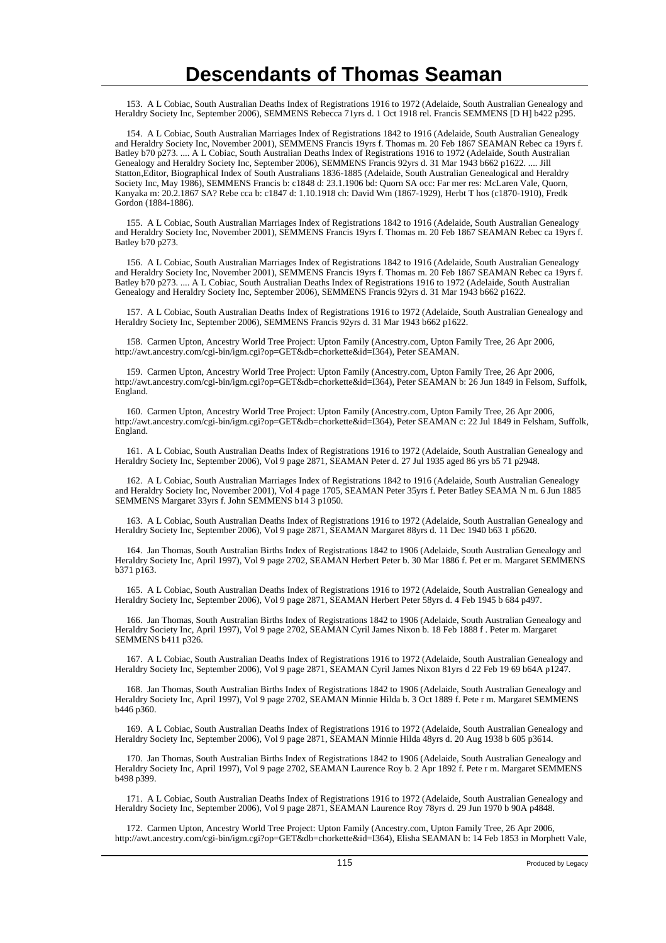153. A L Cobiac, South Australian Deaths Index of Registrations 1916 to 1972 (Adelaide, South Australian Genealogy and Heraldry Society Inc, September 2006), SEMMENS Rebecca 71yrs d. 1 Oct 1918 rel. Francis SEMMENS [D H] b422 p295.

 154. A L Cobiac, South Australian Marriages Index of Registrations 1842 to 1916 (Adelaide, South Australian Genealogy and Heraldry Society Inc, November 2001), SEMMENS Francis 19yrs f. Thomas m. 20 Feb 1867 SEAMAN Rebec ca 19yrs f. Batley b70 p273. .... A L Cobiac, South Australian Deaths Index of Registrations 1916 to 1972 (Adelaide, South Australian Genealogy and Heraldry Society Inc, September 2006), SEMMENS Francis 92yrs d. 31 Mar 1943 b662 p1622. .... Jill Statton,Editor, Biographical Index of South Australians 1836-1885 (Adelaide, South Australian Genealogical and Heraldry Society Inc, May 1986), SEMMENS Francis b: c1848 d: 23.1.1906 bd: Quorn SA occ: Far mer res: McLaren Vale, Quorn, Kanyaka m: 20.2.1867 SA? Rebe cca b: c1847 d: 1.10.1918 ch: David Wm (1867-1929), Herbt T hos (c1870-1910), Fredk Gordon (1884-1886).

 155. A L Cobiac, South Australian Marriages Index of Registrations 1842 to 1916 (Adelaide, South Australian Genealogy and Heraldry Society Inc, November 2001), SEMMENS Francis 19yrs f. Thomas m. 20 Feb 1867 SEAMAN Rebec ca 19yrs f. Batley b70 p273.

 156. A L Cobiac, South Australian Marriages Index of Registrations 1842 to 1916 (Adelaide, South Australian Genealogy and Heraldry Society Inc, November 2001), SEMMENS Francis 19yrs f. Thomas m. 20 Feb 1867 SEAMAN Rebec ca 19yrs f. Batley b70 p273. .... A L Cobiac, South Australian Deaths Index of Registrations 1916 to 1972 (Adelaide, South Australian Genealogy and Heraldry Society Inc, September 2006), SEMMENS Francis 92yrs d. 31 Mar 1943 b662 p1622.

 157. A L Cobiac, South Australian Deaths Index of Registrations 1916 to 1972 (Adelaide, South Australian Genealogy and Heraldry Society Inc, September 2006), SEMMENS Francis 92yrs d. 31 Mar 1943 b662 p1622.

 158. Carmen Upton, Ancestry World Tree Project: Upton Family (Ancestry.com, Upton Family Tree, 26 Apr 2006, http://awt.ancestry.com/cgi-bin/igm.cgi?op=GET&db=chorkette&id=I364), Peter SEAMAN.

 159. Carmen Upton, Ancestry World Tree Project: Upton Family (Ancestry.com, Upton Family Tree, 26 Apr 2006, http://awt.ancestry.com/cgi-bin/igm.cgi?op=GET&db=chorkette&id=I364), Peter SEAMAN b: 26 Jun 1849 in Felsom, Suffolk, England.

 160. Carmen Upton, Ancestry World Tree Project: Upton Family (Ancestry.com, Upton Family Tree, 26 Apr 2006, http://awt.ancestry.com/cgi-bin/igm.cgi?op=GET&db=chorkette&id=I364), Peter SEAMAN c: 22 Jul 1849 in Felsham, Suffolk, England.

 161. A L Cobiac, South Australian Deaths Index of Registrations 1916 to 1972 (Adelaide, South Australian Genealogy and Heraldry Society Inc, September 2006), Vol 9 page 2871, SEAMAN Peter d. 27 Jul 1935 aged 86 yrs b5 71 p2948.

 162. A L Cobiac, South Australian Marriages Index of Registrations 1842 to 1916 (Adelaide, South Australian Genealogy and Heraldry Society Inc, November 2001), Vol 4 page 1705, SEAMAN Peter 35yrs f. Peter Batley SEAMA N m. 6 Jun 1885 SEMMENS Margaret 33yrs f. John SEMMENS b14 3 p1050.

 163. A L Cobiac, South Australian Deaths Index of Registrations 1916 to 1972 (Adelaide, South Australian Genealogy and Heraldry Society Inc, September 2006), Vol 9 page 2871, SEAMAN Margaret 88yrs d. 11 Dec 1940 b63 1 p5620.

 164. Jan Thomas, South Australian Births Index of Registrations 1842 to 1906 (Adelaide, South Australian Genealogy and Heraldry Society Inc, April 1997), Vol 9 page 2702, SEAMAN Herbert Peter b. 30 Mar 1886 f. Pet er m. Margaret SEMMENS b371 p163.

 165. A L Cobiac, South Australian Deaths Index of Registrations 1916 to 1972 (Adelaide, South Australian Genealogy and Heraldry Society Inc, September 2006), Vol 9 page 2871, SEAMAN Herbert Peter 58yrs d. 4 Feb 1945 b 684 p497.

 166. Jan Thomas, South Australian Births Index of Registrations 1842 to 1906 (Adelaide, South Australian Genealogy and Heraldry Society Inc, April 1997), Vol 9 page 2702, SEAMAN Cyril James Nixon b. 18 Feb 1888 f . Peter m. Margaret SEMMENS b411 p326.

 167. A L Cobiac, South Australian Deaths Index of Registrations 1916 to 1972 (Adelaide, South Australian Genealogy and Heraldry Society Inc, September 2006), Vol 9 page 2871, SEAMAN Cyril James Nixon 81yrs d 22 Feb 19 69 b64A p1247.

 168. Jan Thomas, South Australian Births Index of Registrations 1842 to 1906 (Adelaide, South Australian Genealogy and Heraldry Society Inc, April 1997), Vol 9 page 2702, SEAMAN Minnie Hilda b. 3 Oct 1889 f. Pete r m. Margaret SEMMENS b446 p360.

 169. A L Cobiac, South Australian Deaths Index of Registrations 1916 to 1972 (Adelaide, South Australian Genealogy and Heraldry Society Inc, September 2006), Vol 9 page 2871, SEAMAN Minnie Hilda 48yrs d. 20 Aug 1938 b 605 p3614.

 170. Jan Thomas, South Australian Births Index of Registrations 1842 to 1906 (Adelaide, South Australian Genealogy and Heraldry Society Inc, April 1997), Vol 9 page 2702, SEAMAN Laurence Roy b. 2 Apr 1892 f. Pete r m. Margaret SEMMENS b498 p399.

 171. A L Cobiac, South Australian Deaths Index of Registrations 1916 to 1972 (Adelaide, South Australian Genealogy and Heraldry Society Inc, September 2006), Vol 9 page 2871, SEAMAN Laurence Roy 78yrs d. 29 Jun 1970 b 90A p4848.

 172. Carmen Upton, Ancestry World Tree Project: Upton Family (Ancestry.com, Upton Family Tree, 26 Apr 2006, http://awt.ancestry.com/cgi-bin/igm.cgi?op=GET&db=chorkette&id=I364), Elisha SEAMAN b: 14 Feb 1853 in Morphett Vale,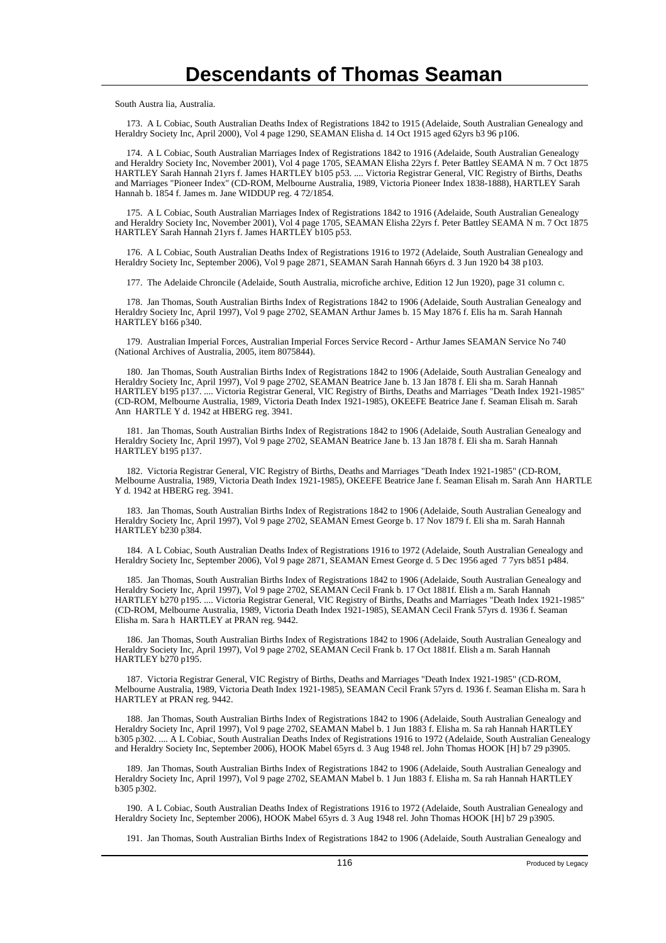South Austra lia, Australia.

 173. A L Cobiac, South Australian Deaths Index of Registrations 1842 to 1915 (Adelaide, South Australian Genealogy and Heraldry Society Inc, April 2000), Vol 4 page 1290, SEAMAN Elisha d. 14 Oct 1915 aged 62yrs b3 96 p106.

 174. A L Cobiac, South Australian Marriages Index of Registrations 1842 to 1916 (Adelaide, South Australian Genealogy and Heraldry Society Inc, November 2001), Vol 4 page 1705, SEAMAN Elisha 22yrs f. Peter Battley SEAMA N m. 7 Oct 1875 HARTLEY Sarah Hannah 21yrs f. James HARTLEY b105 p53. .... Victoria Registrar General, VIC Registry of Births, Deaths and Marriages "Pioneer Index" (CD-ROM, Melbourne Australia, 1989, Victoria Pioneer Index 1838-1888), HARTLEY Sarah Hannah b. 1854 f. James m. Jane WIDDUP reg. 4 72/1854.

 175. A L Cobiac, South Australian Marriages Index of Registrations 1842 to 1916 (Adelaide, South Australian Genealogy and Heraldry Society Inc, November 2001), Vol 4 page 1705, SEAMAN Elisha 22yrs f. Peter Battley SEAMA N m. 7 Oct 1875 HARTLEY Sarah Hannah 21yrs f. James HARTLEY b105 p53.

 176. A L Cobiac, South Australian Deaths Index of Registrations 1916 to 1972 (Adelaide, South Australian Genealogy and Heraldry Society Inc, September 2006), Vol 9 page 2871, SEAMAN Sarah Hannah 66yrs d. 3 Jun 1920 b4 38 p103.

177. The Adelaide Chroncile (Adelaide, South Australia, microfiche archive, Edition 12 Jun 1920), page 31 column c.

 178. Jan Thomas, South Australian Births Index of Registrations 1842 to 1906 (Adelaide, South Australian Genealogy and Heraldry Society Inc, April 1997), Vol 9 page 2702, SEAMAN Arthur James b. 15 May 1876 f. Elis ha m. Sarah Hannah HARTLEY b166 p340.

 179. Australian Imperial Forces, Australian Imperial Forces Service Record - Arthur James SEAMAN Service No 740 (National Archives of Australia, 2005, item 8075844).

 180. Jan Thomas, South Australian Births Index of Registrations 1842 to 1906 (Adelaide, South Australian Genealogy and Heraldry Society Inc, April 1997), Vol 9 page 2702, SEAMAN Beatrice Jane b. 13 Jan 1878 f. Eli sha m. Sarah Hannah HARTLEY b195 p137. .... Victoria Registrar General, VIC Registry of Births, Deaths and Marriages "Death Index 1921-1985" (CD-ROM, Melbourne Australia, 1989, Victoria Death Index 1921-1985), OKEEFE Beatrice Jane f. Seaman Elisah m. Sarah Ann HARTLE Y d. 1942 at HBERG reg. 3941.

 181. Jan Thomas, South Australian Births Index of Registrations 1842 to 1906 (Adelaide, South Australian Genealogy and Heraldry Society Inc, April 1997), Vol 9 page 2702, SEAMAN Beatrice Jane b. 13 Jan 1878 f. Eli sha m. Sarah Hannah HARTLEY b195 p137.

 182. Victoria Registrar General, VIC Registry of Births, Deaths and Marriages "Death Index 1921-1985" (CD-ROM, Melbourne Australia, 1989, Victoria Death Index 1921-1985), OKEEFE Beatrice Jane f. Seaman Elisah m. Sarah Ann HARTLE Y d. 1942 at HBERG reg. 3941.

 183. Jan Thomas, South Australian Births Index of Registrations 1842 to 1906 (Adelaide, South Australian Genealogy and Heraldry Society Inc, April 1997), Vol 9 page 2702, SEAMAN Ernest George b. 17 Nov 1879 f. Eli sha m. Sarah Hannah HARTLEY b230 p384.

 184. A L Cobiac, South Australian Deaths Index of Registrations 1916 to 1972 (Adelaide, South Australian Genealogy and Heraldry Society Inc, September 2006), Vol 9 page 2871, SEAMAN Ernest George d. 5 Dec 1956 aged 7 7yrs b851 p484.

 185. Jan Thomas, South Australian Births Index of Registrations 1842 to 1906 (Adelaide, South Australian Genealogy and Heraldry Society Inc, April 1997), Vol 9 page 2702, SEAMAN Cecil Frank b. 17 Oct 1881f. Elish a m. Sarah Hannah HARTLEY b270 p195. .... Victoria Registrar General, VIC Registry of Births, Deaths and Marriages "Death Index 1921-1985" (CD-ROM, Melbourne Australia, 1989, Victoria Death Index 1921-1985), SEAMAN Cecil Frank 57yrs d. 1936 f. Seaman Elisha m. Sara h HARTLEY at PRAN reg. 9442.

 186. Jan Thomas, South Australian Births Index of Registrations 1842 to 1906 (Adelaide, South Australian Genealogy and Heraldry Society Inc, April 1997), Vol 9 page 2702, SEAMAN Cecil Frank b. 17 Oct 1881f. Elish a m. Sarah Hannah HARTLEY b270 p195.

 187. Victoria Registrar General, VIC Registry of Births, Deaths and Marriages "Death Index 1921-1985" (CD-ROM, Melbourne Australia, 1989, Victoria Death Index 1921-1985), SEAMAN Cecil Frank 57yrs d. 1936 f. Seaman Elisha m. Sara h HARTLEY at PRAN reg. 9442.

 188. Jan Thomas, South Australian Births Index of Registrations 1842 to 1906 (Adelaide, South Australian Genealogy and Heraldry Society Inc, April 1997), Vol 9 page 2702, SEAMAN Mabel b. 1 Jun 1883 f. Elisha m. Sa rah Hannah HARTLEY b305 p302. .... A L Cobiac, South Australian Deaths Index of Registrations 1916 to 1972 (Adelaide, South Australian Genealogy and Heraldry Society Inc, September 2006), HOOK Mabel 65yrs d. 3 Aug 1948 rel. John Thomas HOOK [H] b7 29 p3905.

 189. Jan Thomas, South Australian Births Index of Registrations 1842 to 1906 (Adelaide, South Australian Genealogy and Heraldry Society Inc, April 1997), Vol 9 page 2702, SEAMAN Mabel b. 1 Jun 1883 f. Elisha m. Sa rah Hannah HARTLEY b305 p302.

 190. A L Cobiac, South Australian Deaths Index of Registrations 1916 to 1972 (Adelaide, South Australian Genealogy and Heraldry Society Inc, September 2006), HOOK Mabel 65yrs d. 3 Aug 1948 rel. John Thomas HOOK [H] b7 29 p3905.

191. Jan Thomas, South Australian Births Index of Registrations 1842 to 1906 (Adelaide, South Australian Genealogy and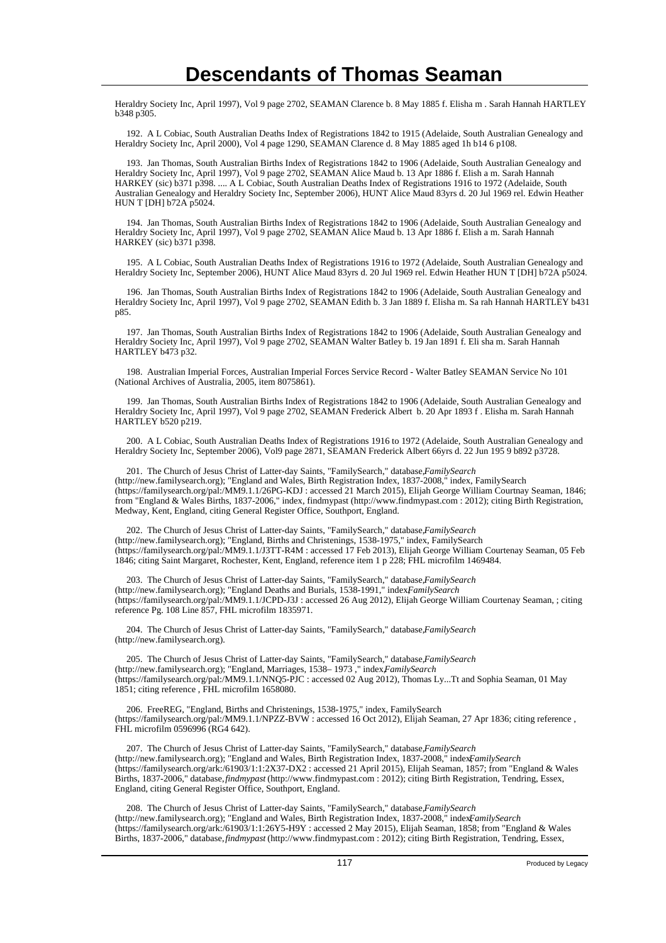Heraldry Society Inc, April 1997), Vol 9 page 2702, SEAMAN Clarence b. 8 May 1885 f. Elisha m . Sarah Hannah HARTLEY b348 p305.

 192. A L Cobiac, South Australian Deaths Index of Registrations 1842 to 1915 (Adelaide, South Australian Genealogy and Heraldry Society Inc, April 2000), Vol 4 page 1290, SEAMAN Clarence d. 8 May 1885 aged 1h b14 6 p108.

 193. Jan Thomas, South Australian Births Index of Registrations 1842 to 1906 (Adelaide, South Australian Genealogy and Heraldry Society Inc, April 1997), Vol 9 page 2702, SEAMAN Alice Maud b. 13 Apr 1886 f. Elish a m. Sarah Hannah HARKEY (sic) b371 p398. .... A L Cobiac, South Australian Deaths Index of Registrations 1916 to 1972 (Adelaide, South Australian Genealogy and Heraldry Society Inc, September 2006), HUNT Alice Maud 83yrs d. 20 Jul 1969 rel. Edwin Heather HUN T [DH] b72A p5024.

 194. Jan Thomas, South Australian Births Index of Registrations 1842 to 1906 (Adelaide, South Australian Genealogy and Heraldry Society Inc, April 1997), Vol 9 page 2702, SEAMAN Alice Maud b. 13 Apr 1886 f. Elish a m. Sarah Hannah HARKEY (sic) b371 p398.

 195. A L Cobiac, South Australian Deaths Index of Registrations 1916 to 1972 (Adelaide, South Australian Genealogy and Heraldry Society Inc, September 2006), HUNT Alice Maud 83yrs d. 20 Jul 1969 rel. Edwin Heather HUN T [DH] b72A p5024.

 196. Jan Thomas, South Australian Births Index of Registrations 1842 to 1906 (Adelaide, South Australian Genealogy and Heraldry Society Inc, April 1997), Vol 9 page 2702, SEAMAN Edith b. 3 Jan 1889 f. Elisha m. Sa rah Hannah HARTLEY b431 p85.

 197. Jan Thomas, South Australian Births Index of Registrations 1842 to 1906 (Adelaide, South Australian Genealogy and Heraldry Society Inc, April 1997), Vol 9 page 2702, SEAMAN Walter Batley b. 19 Jan 1891 f. Eli sha m. Sarah Hannah HARTLEY b473 p32.

 198. Australian Imperial Forces, Australian Imperial Forces Service Record - Walter Batley SEAMAN Service No 101 (National Archives of Australia, 2005, item 8075861).

 199. Jan Thomas, South Australian Births Index of Registrations 1842 to 1906 (Adelaide, South Australian Genealogy and Heraldry Society Inc, April 1997), Vol 9 page 2702, SEAMAN Frederick Albert b. 20 Apr 1893 f . Elisha m. Sarah Hannah HARTLEY b520 p219.

 200. A L Cobiac, South Australian Deaths Index of Registrations 1916 to 1972 (Adelaide, South Australian Genealogy and Heraldry Society Inc, September 2006), Vol9 page 2871, SEAMAN Frederick Albert 66yrs d. 22 Jun 195 9 b892 p3728.

 201. The Church of Jesus Christ of Latter-day Saints, "FamilySearch," database, *FamilySearch* (http://new.familysearch.org); "England and Wales, Birth Registration Index, 1837-2008," index, FamilySearch (https://familysearch.org/pal:/MM9.1.1/26PG-KDJ : accessed 21 March 2015), Elijah George William Courtnay Seaman, 1846; from "England & Wales Births, 1837-2006," index, findmypast (http://www.findmypast.com : 2012); citing Birth Registration, Medway, Kent, England, citing General Register Office, Southport, England.

 202. The Church of Jesus Christ of Latter-day Saints, "FamilySearch," database, *FamilySearch* (http://new.familysearch.org); "England, Births and Christenings, 1538-1975," index, FamilySearch (https://familysearch.org/pal:/MM9.1.1/J3TT-R4M : accessed 17 Feb 2013), Elijah George William Courtenay Seaman, 05 Feb 1846; citing Saint Margaret, Rochester, Kent, England, reference item 1 p 228; FHL microfilm 1469484.

 203. The Church of Jesus Christ of Latter-day Saints, "FamilySearch," database, *FamilySearch* (http://new.familysearch.org); "England Deaths and Burials, 1538-1991," index*FamilySearch* (https://familysearch.org/pal:/MM9.1.1/JCPD-J3J : accessed 26 Aug 2012), Elijah George William Courtenay Seaman, ; citing reference Pg. 108 Line 857, FHL microfilm 1835971.

 204. The Church of Jesus Christ of Latter-day Saints, "FamilySearch," database, *FamilySearch* (http://new.familysearch.org).

205. The Church of Jesus Christ of Latter-day Saints, "FamilySearch," database, FamilySearch (http://new.familysearch.org); "England, Marriages, 1538-1973," index.*FamilySearch* (https://familysearch.org/pal:/MM9.1.1/NNQ5-PJC : accessed 02 Aug 2012), Thomas Ly...Tt and Sophia Seaman, 01 May 1851; citing reference , FHL microfilm 1658080.

 206. FreeREG, "England, Births and Christenings, 1538-1975," index, FamilySearch (https://familysearch.org/pal:/MM9.1.1/NPZZ-BVW : accessed 16 Oct 2012), Elijah Seaman, 27 Apr 1836; citing reference , FHL microfilm 0596996 (RG4 642).

 207. The Church of Jesus Christ of Latter-day Saints, "FamilySearch," database, *FamilySearch* (http://new.familysearch.org); "England and Wales, Birth Registration Index, 1837-2008," indexFamilySearch (https://familysearch.org/ark:/61903/1:1:2X37-DX2 : accessed 21 April 2015), Elijah Seaman, 1857; from "England & Wales Births, 1837-2006," database, *findmypast* (http://www.findmypast.com : 2012); citing Birth Registration, Tendring, Essex, England, citing General Register Office, Southport, England.

208. The Church of Jesus Christ of Latter-day Saints, "FamilySearch," database, *FamilySearch* (http://new.familysearch.org); "England and Wales, Birth Registration Index, 1837-2008," index, *FamilySearch* (https://familysearch.org/ark:/61903/1:1:26Y5-H9Y : accessed 2 May 2015), Elijah Seaman, 1858; from "England & Wales Births, 1837-2006," database, *findmypast* (http://www.findmypast.com : 2012); citing Birth Registration, Tendring, Essex,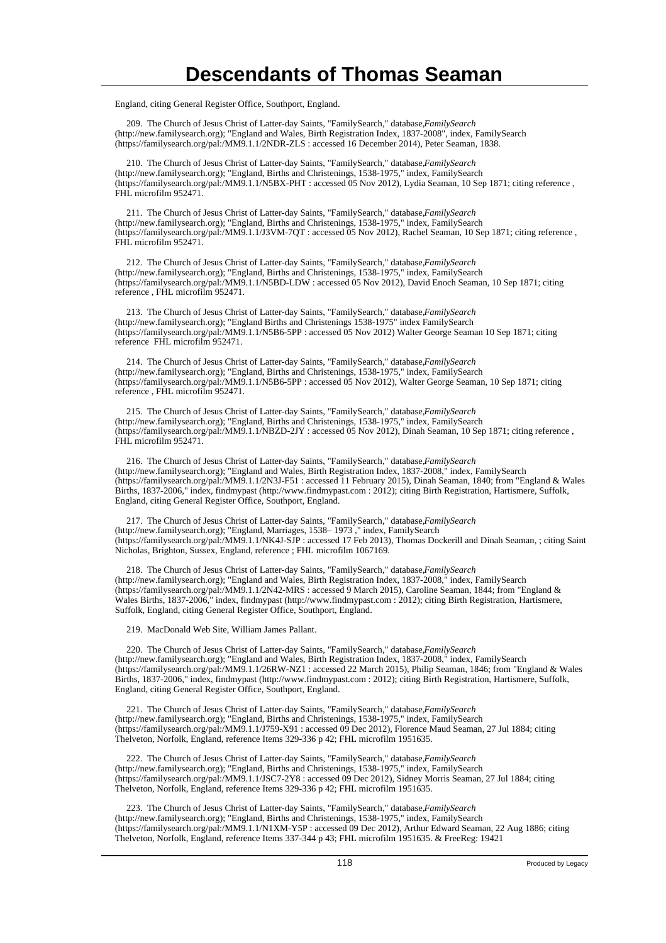England, citing General Register Office, Southport, England.

 209. The Church of Jesus Christ of Latter-day Saints, "FamilySearch," database, *FamilySearch* (http://new.familysearch.org); "England and Wales, Birth Registration Index, 1837-2008", index, FamilySearch (https://familysearch.org/pal:/MM9.1.1/2NDR-ZLS : accessed 16 December 2014), Peter Seaman, 1838.

 210. The Church of Jesus Christ of Latter-day Saints, "FamilySearch," database, *FamilySearch* (http://new.familysearch.org); "England, Births and Christenings, 1538-1975," index, FamilySearch (https://familysearch.org/pal:/MM9.1.1/N5BX-PHT : accessed 05 Nov 2012), Lydia Seaman, 10 Sep 1871; citing reference , FHL microfilm 952471.

 211. The Church of Jesus Christ of Latter-day Saints, "FamilySearch," database, *FamilySearch* (http://new.familysearch.org); "England, Births and Christenings, 1538-1975," index, FamilySearch (https://familysearch.org/pal:/MM9.1.1/J3VM-7QT : accessed 05 Nov 2012), Rachel Seaman, 10 Sep 1871; citing reference , FHL microfilm 952471.

 212. The Church of Jesus Christ of Latter-day Saints, "FamilySearch," database, *FamilySearch* (http://new.familysearch.org); "England, Births and Christenings, 1538-1975," index, FamilySearch (https://familysearch.org/pal:/MM9.1.1/N5BD-LDW : accessed 05 Nov 2012), David Enoch Seaman, 10 Sep 1871; citing reference , FHL microfilm 952471.

 213. The Church of Jesus Christ of Latter-day Saints, "FamilySearch," database, *FamilySearch* (http://new.familysearch.org); "England Births and Christenings 1538-1975" index FamilySearch (https://familysearch.org/pal:/MM9.1.1/N5B6-5PP : accessed 05 Nov 2012) Walter George Seaman 10 Sep 1871; citing reference FHL microfilm 952471.

 214. The Church of Jesus Christ of Latter-day Saints, "FamilySearch," database, *FamilySearch* (http://new.familysearch.org); "England, Births and Christenings, 1538-1975," index, FamilySearch (https://familysearch.org/pal:/MM9.1.1/N5B6-5PP : accessed 05 Nov 2012), Walter George Seaman, 10 Sep 1871; citing reference , FHL microfilm 952471.

 215. The Church of Jesus Christ of Latter-day Saints, "FamilySearch," database, *FamilySearch* (http://new.familysearch.org); "England, Births and Christenings, 1538-1975," index, FamilySearch (https://familysearch.org/pal:/MM9.1.1/NBZD-2JY : accessed 05 Nov 2012), Dinah Seaman, 10 Sep 1871; citing reference , FHL microfilm 952471.

 216. The Church of Jesus Christ of Latter-day Saints, "FamilySearch," database, *FamilySearch* (http://new.familysearch.org); "England and Wales, Birth Registration Index, 1837-2008," index, FamilySearch (https://familysearch.org/pal:/MM9.1.1/2N3J-F51 : accessed 11 February 2015), Dinah Seaman, 1840; from "England & Wales Births, 1837-2006," index, findmypast (http://www.findmypast.com : 2012); citing Birth Registration, Hartismere, Suffolk, England, citing General Register Office, Southport, England.

 217. The Church of Jesus Christ of Latter-day Saints, "FamilySearch," database, *FamilySearch* (http://new.familysearch.org); "England, Marriages, 1538– 1973 ," index, FamilySearch (https://familysearch.org/pal:/MM9.1.1/NK4J-SJP : accessed 17 Feb 2013), Thomas Dockerill and Dinah Seaman, ; citing Saint Nicholas, Brighton, Sussex, England, reference ; FHL microfilm 1067169.

 218. The Church of Jesus Christ of Latter-day Saints, "FamilySearch," database, *FamilySearch* (http://new.familysearch.org); "England and Wales, Birth Registration Index, 1837-2008," index, FamilySearch (https://familysearch.org/pal:/MM9.1.1/2N42-MRS : accessed 9 March 2015), Caroline Seaman, 1844; from "England & Wales Births, 1837-2006," index, findmypast (http://www.findmypast.com : 2012); citing Birth Registration, Hartismere, Suffolk, England, citing General Register Office, Southport, England.

219. MacDonald Web Site, William James Pallant.

220. The Church of Jesus Christ of Latter-day Saints, "FamilySearch," database, FamilySearch (http://new.familysearch.org); "England and Wales, Birth Registration Index, 1837-2008," index, FamilySearch (https://familysearch.org/pal:/MM9.1.1/26RW-NZ1 : accessed 22 March 2015), Philip Seaman, 1846; from "England & Wales Births, 1837-2006," index, findmypast (http://www.findmypast.com : 2012); citing Birth Registration, Hartismere, Suffolk, England, citing General Register Office, Southport, England.

221. The Church of Jesus Christ of Latter-day Saints, "FamilySearch," database, FamilySearch (http://new.familysearch.org); "England, Births and Christenings, 1538-1975," index, FamilySearch (https://familysearch.org/pal:/MM9.1.1/J759-X91 : accessed 09 Dec 2012), Florence Maud Seaman, 27 Jul 1884; citing Thelveton, Norfolk, England, reference Items 329-336 p 42; FHL microfilm 1951635.

 222. The Church of Jesus Christ of Latter-day Saints, "FamilySearch," database, *FamilySearch* (http://new.familysearch.org); "England, Births and Christenings, 1538-1975," index, FamilySearch (https://familysearch.org/pal:/MM9.1.1/JSC7-2Y8 : accessed 09 Dec 2012), Sidney Morris Seaman, 27 Jul 1884; citing Thelveton, Norfolk, England, reference Items 329-336 p 42; FHL microfilm 1951635.

 223. The Church of Jesus Christ of Latter-day Saints, "FamilySearch," database, *FamilySearch* (http://new.familysearch.org); "England, Births and Christenings, 1538-1975," index, FamilySearch (https://familysearch.org/pal:/MM9.1.1/N1XM-Y5P : accessed 09 Dec 2012), Arthur Edward Seaman, 22 Aug 1886; citing Thelveton, Norfolk, England, reference Items 337-344 p 43; FHL microfilm 1951635. & FreeReg: 19421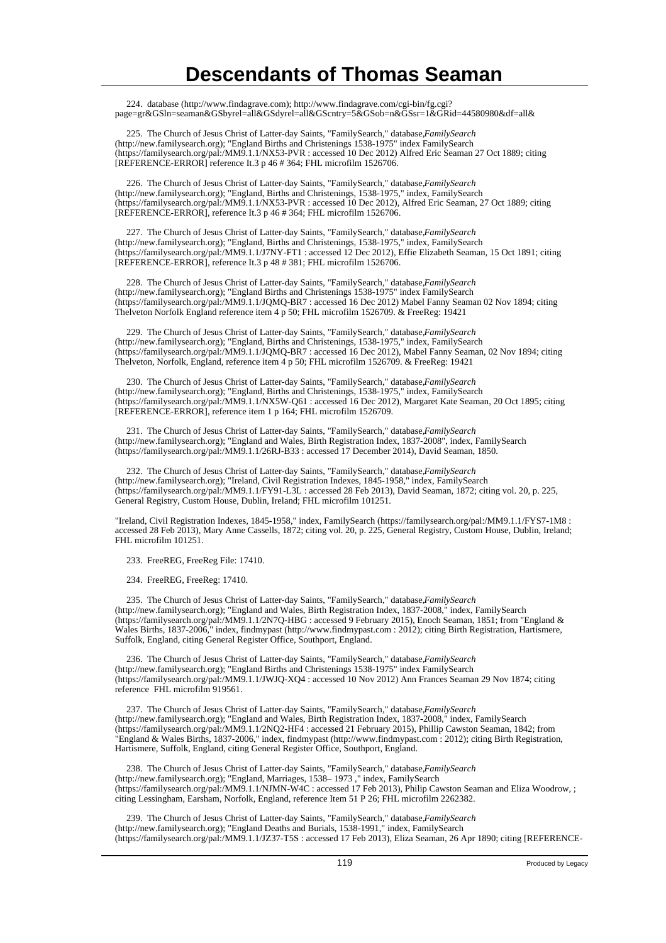224. database (http://www.findagrave.com); http://www.findagrave.com/cgi-bin/fg.cgi? page=gr&GSln=seaman&GSbyrel=all&GSdyrel=all&GScntry=5&GSob=n&GSsr=1&GRid=44580980&df=all&

225. The Church of Jesus Christ of Latter-day Saints, "FamilySearch," database, FamilySearch (http://new.familysearch.org); "England Births and Christenings 1538-1975" index FamilySearch (https://familysearch.org/pal:/MM9.1.1/NX53-PVR : accessed 10 Dec 2012) Alfred Eric Seaman 27 Oct 1889; citing [REFERENCE-ERROR] reference It.3 p 46 # 364; FHL microfilm 1526706.

 226. The Church of Jesus Christ of Latter-day Saints, "FamilySearch," database, *FamilySearch* (http://new.familysearch.org); "England, Births and Christenings, 1538-1975," index, FamilySearch (https://familysearch.org/pal:/MM9.1.1/NX53-PVR : accessed 10 Dec 2012), Alfred Eric Seaman, 27 Oct 1889; citing [REFERENCE-ERROR], reference It.3 p 46 # 364; FHL microfilm 1526706.

227. The Church of Jesus Christ of Latter-day Saints, "FamilySearch," database, FamilySearch (http://new.familysearch.org); "England, Births and Christenings, 1538-1975," index, FamilySearch (https://familysearch.org/pal:/MM9.1.1/J7NY-FT1 : accessed 12 Dec 2012), Effie Elizabeth Seaman, 15 Oct 1891; citing [REFERENCE-ERROR], reference It.3 p 48 # 381; FHL microfilm 1526706.

 228. The Church of Jesus Christ of Latter-day Saints, "FamilySearch," database, *FamilySearch* (http://new.familysearch.org); "England Births and Christenings 1538-1975" index FamilySearch (https://familysearch.org/pal:/MM9.1.1/JQMQ-BR7 : accessed 16 Dec 2012) Mabel Fanny Seaman 02 Nov 1894; citing Thelveton Norfolk England reference item 4 p 50; FHL microfilm 1526709. & FreeReg: 19421

 229. The Church of Jesus Christ of Latter-day Saints, "FamilySearch," database, *FamilySearch* (http://new.familysearch.org); "England, Births and Christenings, 1538-1975," index, FamilySearch (https://familysearch.org/pal:/MM9.1.1/JQMQ-BR7 : accessed 16 Dec 2012), Mabel Fanny Seaman, 02 Nov 1894; citing Thelveton, Norfolk, England, reference item 4 p 50; FHL microfilm 1526709. & FreeReg: 19421

 230. The Church of Jesus Christ of Latter-day Saints, "FamilySearch," database, *FamilySearch* (http://new.familysearch.org); "England, Births and Christenings, 1538-1975," index, FamilySearch (https://familysearch.org/pal:/MM9.1.1/NX5W-Q61 : accessed 16 Dec 2012), Margaret Kate Seaman, 20 Oct 1895; citing [REFERENCE-ERROR], reference item 1 p 164; FHL microfilm 1526709.

 231. The Church of Jesus Christ of Latter-day Saints, "FamilySearch," database, *FamilySearch* (http://new.familysearch.org); "England and Wales, Birth Registration Index, 1837-2008", index, FamilySearch (https://familysearch.org/pal:/MM9.1.1/26RJ-B33 : accessed 17 December 2014), David Seaman, 1850.

 232. The Church of Jesus Christ of Latter-day Saints, "FamilySearch," database, *FamilySearch* (http://new.familysearch.org); "Ireland, Civil Registration Indexes, 1845-1958," index, FamilySearch (https://familysearch.org/pal:/MM9.1.1/FY91-L3L : accessed 28 Feb 2013), David Seaman, 1872; citing vol. 20, p. 225, General Registry, Custom House, Dublin, Ireland; FHL microfilm 101251.

"Ireland, Civil Registration Indexes, 1845-1958," index, FamilySearch (https://familysearch.org/pal:/MM9.1.1/FYS7-1M8 : accessed 28 Feb 2013), Mary Anne Cassells, 1872; citing vol. 20, p. 225, General Registry, Custom House, Dublin, Ireland; FHL microfilm 101251.

233. FreeREG, FreeReg File: 17410.

234. FreeREG, FreeReg: 17410.

235. The Church of Jesus Christ of Latter-day Saints, "FamilySearch," database, *FamilySearch* (http://new.familysearch.org); "England and Wales, Birth Registration Index, 1837-2008," index, FamilySearch (https://familysearch.org/pal:/MM9.1.1/2N7Q-HBG : accessed 9 February 2015), Enoch Seaman, 1851; from "England & Wales Births, 1837-2006," index, findmypast (http://www.findmypast.com : 2012); citing Birth Registration, Hartismere, Suffolk, England, citing General Register Office, Southport, England.

236. The Church of Jesus Christ of Latter-day Saints, "FamilySearch," database, FamilySearch (http://new.familysearch.org); "England Births and Christenings 1538-1975" index FamilySearch (https://familysearch.org/pal:/MM9.1.1/JWJQ-XQ4 : accessed 10 Nov 2012) Ann Frances Seaman 29 Nov 1874; citing reference FHL microfilm 919561.

 237. The Church of Jesus Christ of Latter-day Saints, "FamilySearch," database, *FamilySearch* (http://new.familysearch.org); "England and Wales, Birth Registration Index, 1837-2008," index, FamilySearch (https://familysearch.org/pal:/MM9.1.1/2NQ2-HF4 : accessed 21 February 2015), Phillip Cawston Seaman, 1842; from "England & Wales Births, 1837-2006," index, findmypast (http://www.findmypast.com : 2012); citing Birth Registration, Hartismere, Suffolk, England, citing General Register Office, Southport, England.

 238. The Church of Jesus Christ of Latter-day Saints, "FamilySearch," database, *FamilySearch* (http://new.familysearch.org); "England, Marriages, 1538– 1973 ," index, FamilySearch (https://familysearch.org/pal:/MM9.1.1/NJMN-W4C : accessed 17 Feb 2013), Philip Cawston Seaman and Eliza Woodrow, ; citing Lessingham, Earsham, Norfolk, England, reference Item 51 P 26; FHL microfilm 2262382.

 239. The Church of Jesus Christ of Latter-day Saints, "FamilySearch," database, *FamilySearch* (http://new.familysearch.org); "England Deaths and Burials, 1538-1991," index, FamilySearch (https://familysearch.org/pal:/MM9.1.1/JZ37-T5S : accessed 17 Feb 2013), Eliza Seaman, 26 Apr 1890; citing [REFERENCE-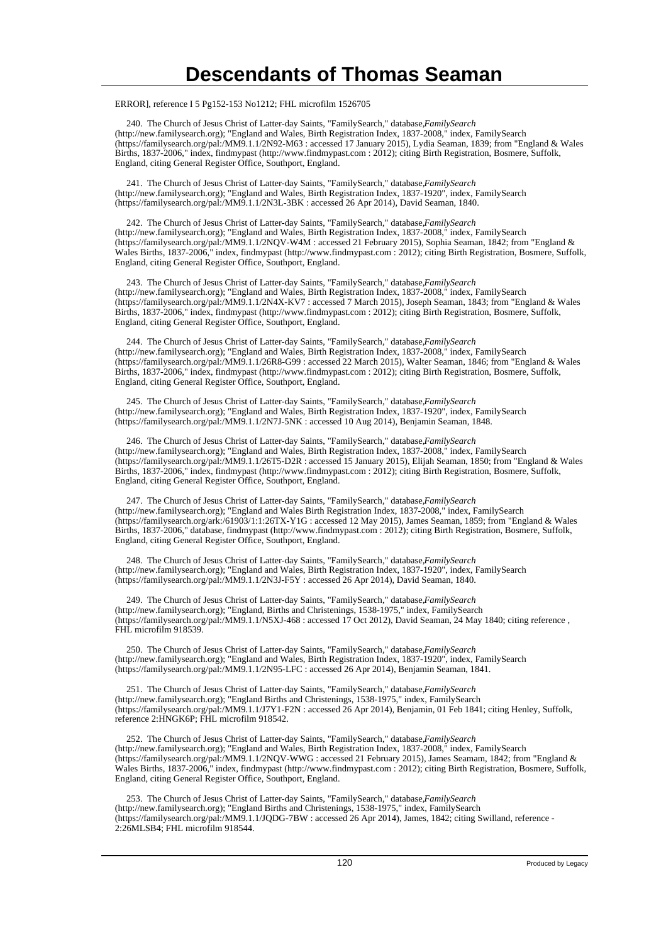ERROR], reference I 5 Pg152-153 No1212; FHL microfilm 1526705

 240. The Church of Jesus Christ of Latter-day Saints, "FamilySearch," database, *FamilySearch* (http://new.familysearch.org); "England and Wales, Birth Registration Index, 1837-2008," index, FamilySearch (https://familysearch.org/pal:/MM9.1.1/2N92-M63 : accessed 17 January 2015), Lydia Seaman, 1839; from "England & Wales Births, 1837-2006," index, findmypast (http://www.findmypast.com : 2012); citing Birth Registration, Bosmere, Suffolk, England, citing General Register Office, Southport, England.

 241. The Church of Jesus Christ of Latter-day Saints, "FamilySearch," database, *FamilySearch* (http://new.familysearch.org); "England and Wales, Birth Registration Index, 1837-1920", index, FamilySearch (https://familysearch.org/pal:/MM9.1.1/2N3L-3BK : accessed 26 Apr 2014), David Seaman, 1840.

242. The Church of Jesus Christ of Latter-day Saints, "FamilySearch," database, FamilySearch (http://new.familysearch.org); "England and Wales, Birth Registration Index, 1837-2008," index, FamilySearch (https://familysearch.org/pal:/MM9.1.1/2NQV-W4M : accessed 21 February 2015), Sophia Seaman, 1842; from "England & Wales Births, 1837-2006," index, findmypast (http://www.findmypast.com : 2012); citing Birth Registration, Bosmere, Suffolk, England, citing General Register Office, Southport, England.

 243. The Church of Jesus Christ of Latter-day Saints, "FamilySearch," database, *FamilySearch* (http://new.familysearch.org); "England and Wales, Birth Registration Index, 1837-2008," index, FamilySearch (https://familysearch.org/pal:/MM9.1.1/2N4X-KV7 : accessed 7 March 2015), Joseph Seaman, 1843; from "England & Wales Births, 1837-2006," index, findmypast (http://www.findmypast.com : 2012); citing Birth Registration, Bosmere, Suffolk, England, citing General Register Office, Southport, England.

 244. The Church of Jesus Christ of Latter-day Saints, "FamilySearch," database, *FamilySearch* (http://new.familysearch.org); "England and Wales, Birth Registration Index, 1837-2008," index, FamilySearch (https://familysearch.org/pal:/MM9.1.1/26R8-G99 : accessed 22 March 2015), Walter Seaman, 1846; from "England & Wales Births, 1837-2006," index, findmypast (http://www.findmypast.com : 2012); citing Birth Registration, Bosmere, Suffolk, England, citing General Register Office, Southport, England.

 245. The Church of Jesus Christ of Latter-day Saints, "FamilySearch," database, *FamilySearch* (http://new.familysearch.org); "England and Wales, Birth Registration Index, 1837-1920", index, FamilySearch (https://familysearch.org/pal:/MM9.1.1/2N7J-5NK : accessed 10 Aug 2014), Benjamin Seaman, 1848.

246. The Church of Jesus Christ of Latter-day Saints, "FamilySearch," database, *FamilySearch* (http://new.familysearch.org); "England and Wales, Birth Registration Index, 1837-2008," index, FamilySearch (https://familysearch.org/pal:/MM9.1.1/26T5-D2R : accessed 15 January 2015), Elijah Seaman, 1850; from "England & Wales Births, 1837-2006," index, findmypast (http://www.findmypast.com : 2012); citing Birth Registration, Bosmere, Suffolk, England, citing General Register Office, Southport, England.

 247. The Church of Jesus Christ of Latter-day Saints, "FamilySearch," database, *FamilySearch* (http://new.familysearch.org); "England and Wales Birth Registration Index, 1837-2008," index, FamilySearch (https://familysearch.org/ark:/61903/1:1:26TX-Y1G : accessed 12 May 2015), James Seaman, 1859; from "England & Wales Births, 1837-2006," database, findmypast (http://www.findmypast.com : 2012); citing Birth Registration, Bosmere, Suffolk, England, citing General Register Office, Southport, England.

 248. The Church of Jesus Christ of Latter-day Saints, "FamilySearch," database, *FamilySearch* (http://new.familysearch.org); "England and Wales, Birth Registration Index, 1837-1920", index, FamilySearch (https://familysearch.org/pal:/MM9.1.1/2N3J-F5Y : accessed 26 Apr 2014), David Seaman, 1840.

249. The Church of Jesus Christ of Latter-day Saints, "FamilySearch," database, FamilySearch (http://new.familysearch.org); "England, Births and Christenings, 1538-1975," index, FamilySearch (https://familysearch.org/pal:/MM9.1.1/N5XJ-468 : accessed 17 Oct 2012), David Seaman, 24 May 1840; citing reference , FHL microfilm 918539.

 250. The Church of Jesus Christ of Latter-day Saints, "FamilySearch," database, *FamilySearch* (http://new.familysearch.org); "England and Wales, Birth Registration Index, 1837-1920", index, FamilySearch (https://familysearch.org/pal:/MM9.1.1/2N95-LFC : accessed 26 Apr 2014), Benjamin Seaman, 1841.

 251. The Church of Jesus Christ of Latter-day Saints, "FamilySearch," database, *FamilySearch* (http://new.familysearch.org); "England Births and Christenings, 1538-1975," index, FamilySearch (https://familysearch.org/pal:/MM9.1.1/J7Y1-F2N : accessed 26 Apr 2014), Benjamin, 01 Feb 1841; citing Henley, Suffolk, reference 2:HNGK6P; FHL microfilm 918542.

 252. The Church of Jesus Christ of Latter-day Saints, "FamilySearch," database, *FamilySearch* (http://new.familysearch.org); "England and Wales, Birth Registration Index, 1837-2008," index, FamilySearch (https://familysearch.org/pal:/MM9.1.1/2NQV-WWG : accessed 21 February 2015), James Seamam, 1842; from "England & Wales Births, 1837-2006," index, findmypast (http://www.findmypast.com : 2012); citing Birth Registration, Bosmere, Suffolk, England, citing General Register Office, Southport, England.

253. The Church of Jesus Christ of Latter-day Saints, "FamilySearch," database, *FamilySearch* (http://new.familysearch.org); "England Births and Christenings, 1538-1975," index, FamilySearch (https://familysearch.org/pal:/MM9.1.1/JQDG-7BW : accessed 26 Apr 2014), James, 1842; citing Swilland, reference - 2:26MLSB4; FHL microfilm 918544.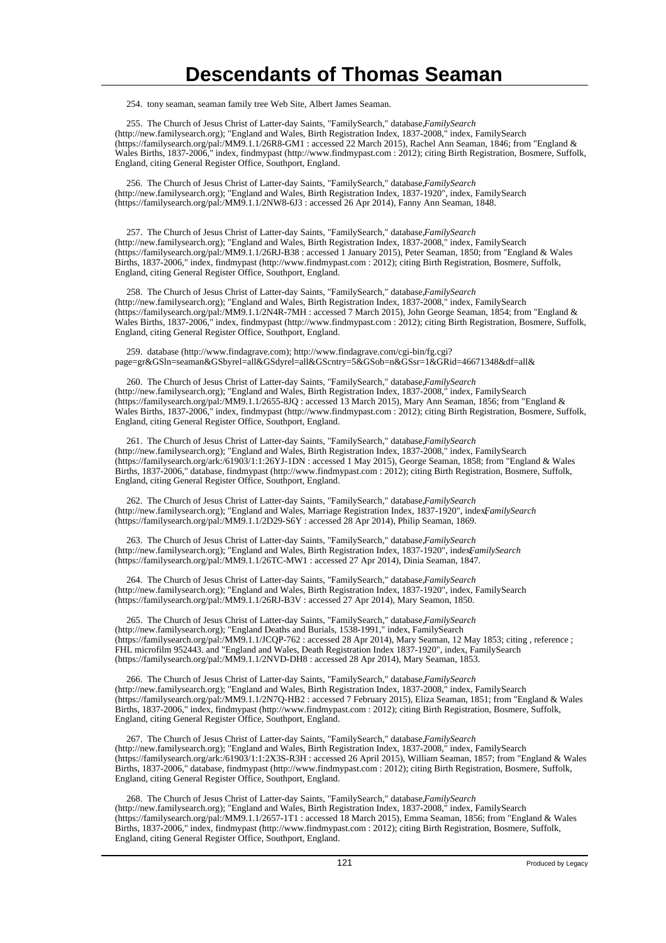254. tony seaman, seaman family tree Web Site, Albert James Seaman.

 255. The Church of Jesus Christ of Latter-day Saints, "FamilySearch," database, *FamilySearch* (http://new.familysearch.org); "England and Wales, Birth Registration Index, 1837-2008," index, FamilySearch (https://familysearch.org/pal:/MM9.1.1/26R8-GM1 : accessed 22 March 2015), Rachel Ann Seaman, 1846; from "England & Wales Births, 1837-2006," index, findmypast (http://www.findmypast.com : 2012); citing Birth Registration, Bosmere, Suffolk, England, citing General Register Office, Southport, England.

 256. The Church of Jesus Christ of Latter-day Saints, "FamilySearch," database, *FamilySearch* (http://new.familysearch.org); "England and Wales, Birth Registration Index, 1837-1920", index, FamilySearch (https://familysearch.org/pal:/MM9.1.1/2NW8-6J3 : accessed 26 Apr 2014), Fanny Ann Seaman, 1848.

 257. The Church of Jesus Christ of Latter-day Saints, "FamilySearch," database, *FamilySearch* (http://new.familysearch.org); "England and Wales, Birth Registration Index, 1837-2008," index, FamilySearch (https://familysearch.org/pal:/MM9.1.1/26RJ-B38 : accessed 1 January 2015), Peter Seaman, 1850; from "England & Wales Births, 1837-2006," index, findmypast (http://www.findmypast.com : 2012); citing Birth Registration, Bosmere, Suffolk, England, citing General Register Office, Southport, England.

 258. The Church of Jesus Christ of Latter-day Saints, "FamilySearch," database, *FamilySearch* (http://new.familysearch.org); "England and Wales, Birth Registration Index, 1837-2008," index, FamilySearch (https://familysearch.org/pal:/MM9.1.1/2N4R-7MH : accessed 7 March 2015), John George Seaman, 1854; from "England & Wales Births, 1837-2006," index, findmypast (http://www.findmypast.com : 2012); citing Birth Registration, Bosmere, Suffolk, England, citing General Register Office, Southport, England.

 259. database (http://www.findagrave.com); http://www.findagrave.com/cgi-bin/fg.cgi? page=gr&GSln=seaman&GSbyrel=all&GSdyrel=all&GScntry=5&GSob=n&GSsr=1&GRid=46671348&df=all&

 260. The Church of Jesus Christ of Latter-day Saints, "FamilySearch," database, *FamilySearch* (http://new.familysearch.org); "England and Wales, Birth Registration Index, 1837-2008," index, FamilySearch (https://familysearch.org/pal:/MM9.1.1/2655-8JQ : accessed 13 March 2015), Mary Ann Seaman, 1856; from "England & Wales Births, 1837-2006," index, findmypast (http://www.findmypast.com : 2012); citing Birth Registration, Bosmere, Suffolk, England, citing General Register Office, Southport, England.

 261. The Church of Jesus Christ of Latter-day Saints, "FamilySearch," database, *FamilySearch* (http://new.familysearch.org); "England and Wales, Birth Registration Index, 1837-2008," index, FamilySearch (https://familysearch.org/ark:/61903/1:1:26YJ-1DN : accessed 1 May 2015), George Seaman, 1858; from "England & Wales Births, 1837-2006," database, findmypast (http://www.findmypast.com : 2012); citing Birth Registration, Bosmere, Suffolk, England, citing General Register Office, Southport, England.

 262. The Church of Jesus Christ of Latter-day Saints, "FamilySearch," database, *FamilySearch* (http://new.familysearch.org); "England and Wales, Marriage Registration Index, 1837-1920", index*FamilySearch* (https://familysearch.org/pal:/MM9.1.1/2D29-S6Y : accessed 28 Apr 2014), Philip Seaman, 1869.

 263. The Church of Jesus Christ of Latter-day Saints, "FamilySearch," database, *FamilySearch* (http://new.familysearch.org); "England and Wales, Birth Registration Index, 1837-1920", index, *FamilySearch* (https://familysearch.org/pal:/MM9.1.1/26TC-MW1 : accessed 27 Apr 2014), Dinia Seaman, 1847.

264. The Church of Jesus Christ of Latter-day Saints, "FamilySearch," database, *FamilySearch* (http://new.familysearch.org); "England and Wales, Birth Registration Index, 1837-1920", index, FamilySearch (https://familysearch.org/pal:/MM9.1.1/26RJ-B3V : accessed 27 Apr 2014), Mary Seamon, 1850.

 265. The Church of Jesus Christ of Latter-day Saints, "FamilySearch," database, *FamilySearch* (http://new.familysearch.org); "England Deaths and Burials, 1538-1991," index, FamilySearch (https://familysearch.org/pal:/MM9.1.1/JCQP-762 : accessed 28 Apr 2014), Mary Seaman, 12 May 1853; citing , reference ; FHL microfilm 952443. and "England and Wales, Death Registration Index 1837-1920", index, FamilySearch (https://familysearch.org/pal:/MM9.1.1/2NVD-DH8 : accessed 28 Apr 2014), Mary Seaman, 1853.

266. The Church of Jesus Christ of Latter-day Saints, "FamilySearch," database, *FamilySearch* (http://new.familysearch.org); "England and Wales, Birth Registration Index, 1837-2008," index, FamilySearch (https://familysearch.org/pal:/MM9.1.1/2N7Q-HB2 : accessed 7 February 2015), Eliza Seaman, 1851; from "England & Wales Births, 1837-2006," index, findmypast (http://www.findmypast.com : 2012); citing Birth Registration, Bosmere, Suffolk, England, citing General Register Office, Southport, England.

 267. The Church of Jesus Christ of Latter-day Saints, "FamilySearch," database, *FamilySearch* (http://new.familysearch.org); "England and Wales, Birth Registration Index, 1837-2008," index, FamilySearch (https://familysearch.org/ark:/61903/1:1:2X3S-R3H : accessed 26 April 2015), William Seaman, 1857; from "England & Wales Births, 1837-2006," database, findmypast (http://www.findmypast.com : 2012); citing Birth Registration, Bosmere, Suffolk, England, citing General Register Office, Southport, England.

268. The Church of Jesus Christ of Latter-day Saints, "FamilySearch," database, *FamilySearch* (http://new.familysearch.org); "England and Wales, Birth Registration Index, 1837-2008," index, FamilySearch (https://familysearch.org/pal:/MM9.1.1/2657-1T1 : accessed 18 March 2015), Emma Seaman, 1856; from "England & Wales Births, 1837-2006," index, findmypast (http://www.findmypast.com : 2012); citing Birth Registration, Bosmere, Suffolk, England, citing General Register Office, Southport, England.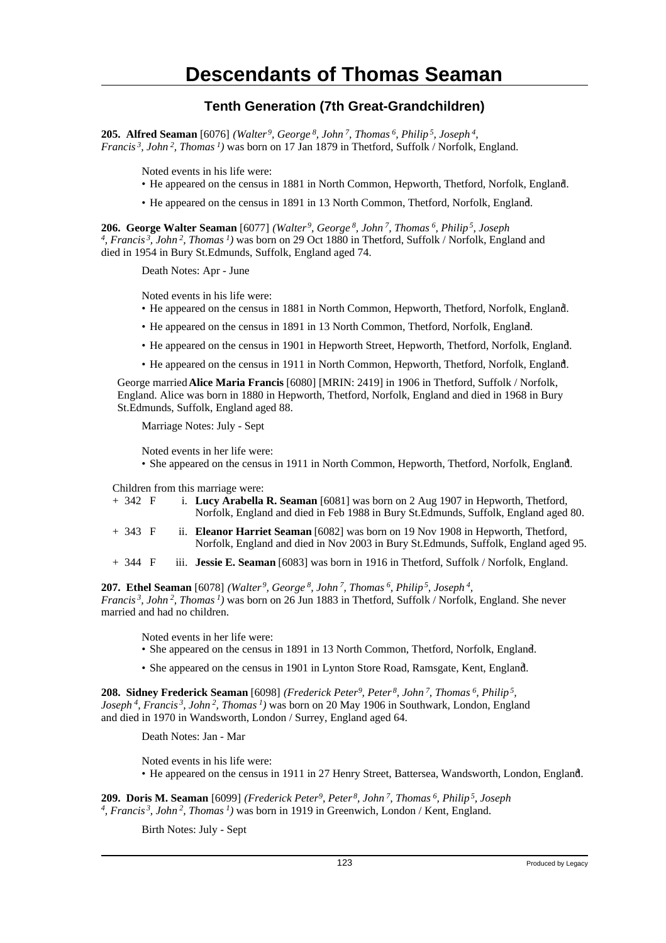#### **Tenth Generation (7th Great-Grandchildren)**

**205. Alfred Seaman** [6076] *(Walter<sup>9</sup>, George<sup>8</sup>, John<sup>7</sup>, Thomas<sup>6</sup>, Philip<sup>5</sup>, Joseph<sup>4</sup> , Francis<sup>3</sup>, John<sup>2</sup>, Thomas<sup>1</sup>)* was born on 17 Jan 1879 in Thetford, Suffolk / Norfolk, England.

Noted events in his life were:

- He appeared on the census in 1881 in North Common, Hepworth, Thetford, Norfolk, England. <sup>1</sup>
- He appeared on the census in 1891 in 13 North Common, Thetford, Norfolk, England. <sup>2</sup>

**206. George Walter Seaman** [6077] *(Walter<sup>9</sup>, George<sup>8</sup>, John<sup>7</sup>, Thomas<sup>6</sup>, Philip<sup>5</sup>, Joseph 4 , Francis<sup>3</sup>, John<sup>2</sup>, Thomas<sup>1</sup>)* was born on 29 Oct 1880 in Thetford, Suffolk / Norfolk, England and died in 1954 in Bury St.Edmunds, Suffolk, England aged 74.

Death Notes: Apr - June

Noted events in his life were:

- He appeared on the census in 1881 in North Common, Hepworth, Thetford, Norfolk, England. <sup>1</sup>
- He appeared on the census in 1891 in 13 North Common, Thetford, Norfolk, England. <sup>2</sup>
- He appeared on the census in 1901 in Hepworth Street, Hepworth, Thetford, Norfolk, England. <sup>3</sup>
- He appeared on the census in 1911 in North Common, Hepworth, Thetford, Norfolk, England. <sup>4</sup>

George married **Alice Maria Francis** [6080] [MRIN: 2419] in 1906 in Thetford, Suffolk / Norfolk, England. Alice was born in 1880 in Hepworth, Thetford, Norfolk, England and died in 1968 in Bury St.Edmunds, Suffolk, England aged 88.

Marriage Notes: July - Sept

Noted events in her life were:

• She appeared on the census in 1911 in North Common, Hepworth, Thetford, Norfolk, England.

Children from this marriage were:

- + 342 F i. **Lucy Arabella R. Seaman** [6081] was born on 2 Aug 1907 in Hepworth, Thetford, Norfolk, England and died in Feb 1988 in Bury St.Edmunds, Suffolk, England aged 80.
- + 343 F ii. **Eleanor Harriet Seaman** [6082] was born on 19 Nov 1908 in Hepworth, Thetford, Norfolk, England and died in Nov 2003 in Bury St.Edmunds, Suffolk, England aged 95.
- + 344 F iii. **Jessie E. Seaman** [6083] was born in 1916 in Thetford, Suffolk / Norfolk, England.

**207. Ethel Seaman** [6078] *(Walter<sup>9</sup>, George<sup>8</sup>, John<sup>7</sup>, Thomas<sup>6</sup>, Philip<sup>5</sup>, Joseph<sup>4</sup> , Francis<sup>3</sup>, John<sup>2</sup>, Thomas<sup>1</sup>)* was born on 26 Jun 1883 in Thetford, Suffolk / Norfolk, England. She never married and had no children.

Noted events in her life were:

- She appeared on the census in 1891 in 13 North Common, Thetford, Norfolk, England. <sup>2</sup>
- She appeared on the census in 1901 in Lynton Store Road, Ramsgate, Kent, England. <sup>3</sup>

**208. Sidney Frederick Seaman** [6098] *(Frederick Peter<sup>9</sup>, Peter<sup>8</sup>, John<sup>7</sup>, Thomas<sup>6</sup>, Philip<sup>5</sup> , Joseph<sup>4</sup>, Francis<sup>3</sup>, John<sup>2</sup>, Thomas<sup>1</sup>)* was born on 20 May 1906 in Southwark, London, England and died in 1970 in Wandsworth, London / Surrey, England aged 64.

Death Notes: Jan - Mar

Noted events in his life were:

• He appeared on the census in 1911 in 27 Henry Street, Battersea, Wandsworth, London, England. <sup>4</sup>

**209. Doris M. Seaman** [6099] *(Frederick Peter<sup>9</sup>, Peter<sup>8</sup>, John<sup>7</sup>, Thomas<sup>6</sup>, Philip<sup>5</sup>, Joseph 4 , Francis<sup>3</sup>, John<sup>2</sup>, Thomas<sup>1</sup>)* was born in 1919 in Greenwich, London / Kent, England.

Birth Notes: July - Sept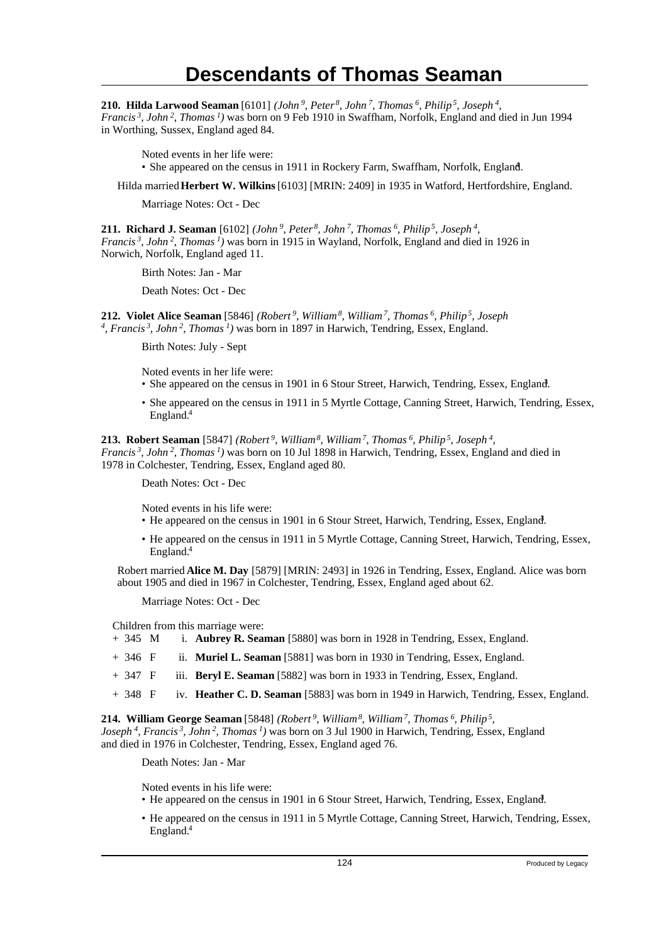**210. Hilda Larwood Seaman** [6101] *(John<sup>9</sup>, Peter<sup>8</sup>, John<sup>7</sup>, Thomas<sup>6</sup>, Philip<sup>5</sup>, Joseph<sup>4</sup> ,*

*Francis<sup>3</sup>, John<sup>2</sup>, Thomas<sup>1</sup>)* was born on 9 Feb 1910 in Swaffham, Norfolk, England and died in Jun 1994 in Worthing, Sussex, England aged 84.

Noted events in her life were:

• She appeared on the census in 1911 in Rockery Farm, Swaffham, Norfolk, England.

Hilda married **Herbert W. Wilkins** [6103] [MRIN: 2409] in 1935 in Watford, Hertfordshire, England.

Marriage Notes: Oct - Dec

**211. Richard J. Seaman** [6102] *(John<sup>9</sup>, Peter<sup>8</sup>, John<sup>7</sup>, Thomas<sup>6</sup>, Philip<sup>5</sup>, Joseph<sup>4</sup> , Francis<sup>3</sup>, John<sup>2</sup>, Thomas<sup>1</sup>)* was born in 1915 in Wayland, Norfolk, England and died in 1926 in Norwich, Norfolk, England aged 11.

Birth Notes: Jan - Mar

Death Notes: Oct - Dec

**212. Violet Alice Seaman** [5846] *(Robert<sup>9</sup>, William<sup>8</sup>, William<sup>7</sup>, Thomas<sup>6</sup>, Philip<sup>5</sup>, Joseph 4 , Francis<sup>3</sup>, John<sup>2</sup>, Thomas<sup>1</sup>)* was born in 1897 in Harwich, Tendring, Essex, England.

Birth Notes: July - Sept

Noted events in her life were:

- She appeared on the census in 1901 in 6 Stour Street, Harwich, Tendring, Essex, England.
- She appeared on the census in 1911 in 5 Myrtle Cottage, Canning Street, Harwich, Tendring, Essex, England.<sup>4</sup>

**213. Robert Seaman** [5847] *(Robert<sup>9</sup>, William<sup>8</sup>, William<sup>7</sup>, Thomas<sup>6</sup>, Philip<sup>5</sup>, Joseph<sup>4</sup> , Francis<sup>3</sup>, John<sup>2</sup>, Thomas<sup>1</sup>)* was born on 10 Jul 1898 in Harwich, Tendring, Essex, England and died in 1978 in Colchester, Tendring, Essex, England aged 80.

Death Notes: Oct - Dec

Noted events in his life were:

- He appeared on the census in 1901 in 6 Stour Street, Harwich, Tendring, Essex, England.
- He appeared on the census in 1911 in 5 Myrtle Cottage, Canning Street, Harwich, Tendring, Essex, England.<sup>4</sup>

Robert married **Alice M. Day** [5879] [MRIN: 2493] in 1926 in Tendring, Essex, England. Alice was born about 1905 and died in 1967 in Colchester, Tendring, Essex, England aged about 62.

Marriage Notes: Oct - Dec

Children from this marriage were:

- + 345 M i. **Aubrey R. Seaman** [5880] was born in 1928 in Tendring, Essex, England.
- + 346 F ii. **Muriel L. Seaman** [5881] was born in 1930 in Tendring, Essex, England.
- + 347 F iii. **Beryl E. Seaman** [5882] was born in 1933 in Tendring, Essex, England.
- + 348 F iv. **Heather C. D. Seaman** [5883] was born in 1949 in Harwich, Tendring, Essex, England.

**214. William George Seaman** [5848] *(Robert<sup>9</sup>, William<sup>8</sup>, William<sup>7</sup>, Thomas<sup>6</sup>, Philip<sup>5</sup> , Joseph<sup>4</sup>, Francis<sup>3</sup>, John<sup>2</sup>, Thomas<sup>1</sup>)* was born on 3 Jul 1900 in Harwich, Tendring, Essex, England and died in 1976 in Colchester, Tendring, Essex, England aged 76.

Death Notes: Jan - Mar

Noted events in his life were:

- He appeared on the census in 1901 in 6 Stour Street, Harwich, Tendring, Essex, England.
- He appeared on the census in 1911 in 5 Myrtle Cottage, Canning Street, Harwich, Tendring, Essex, England.4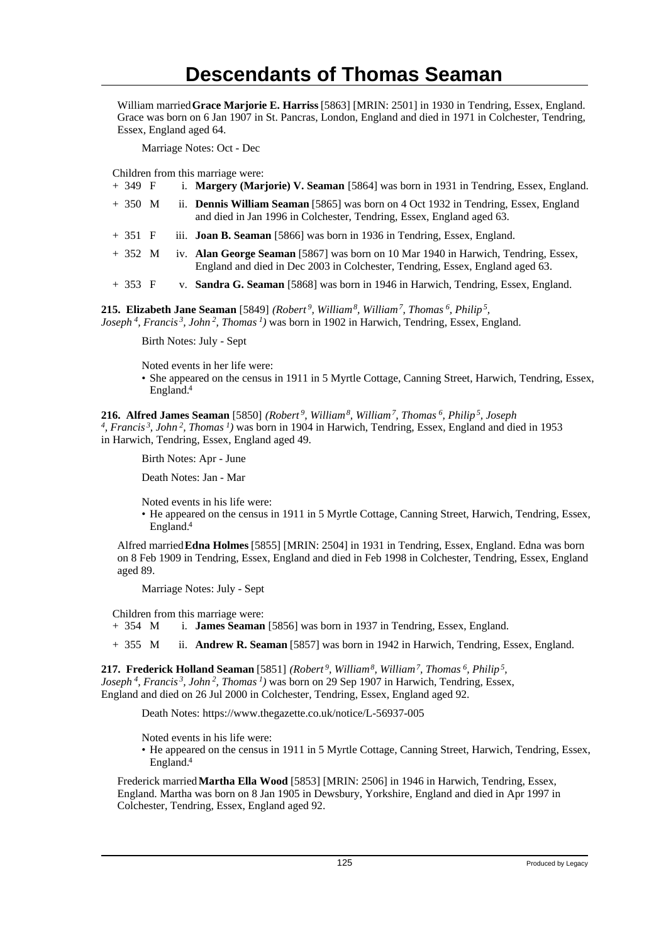William married **Grace Marjorie E. Harriss** [5863] [MRIN: 2501] in 1930 in Tendring, Essex, England. Grace was born on 6 Jan 1907 in St. Pancras, London, England and died in 1971 in Colchester, Tendring, Essex, England aged 64.

Marriage Notes: Oct - Dec

Children from this marriage were:

| + 349 F |  |  | i. Margery (Marjorie) V. Seaman [5864] was born in 1931 in Tendring, Essex, England. |  |  |  |  |  |  |  |
|---------|--|--|--------------------------------------------------------------------------------------|--|--|--|--|--|--|--|
|---------|--|--|--------------------------------------------------------------------------------------|--|--|--|--|--|--|--|

| + 350 M | ii. <b>Dennis William Seaman</b> [5865] was born on 4 Oct 1932 in Tendring, Essex, England |
|---------|--------------------------------------------------------------------------------------------|
|         | and died in Jan 1996 in Colchester, Tendring, Essex, England aged 63.                      |

- + 351 F iii. **Joan B. Seaman** [5866] was born in 1936 in Tendring, Essex, England.
- + 352 M iv. **Alan George Seaman** [5867] was born on 10 Mar 1940 in Harwich, Tendring, Essex, England and died in Dec 2003 in Colchester, Tendring, Essex, England aged 63.
- + 353 F v. **Sandra G. Seaman** [5868] was born in 1946 in Harwich, Tendring, Essex, England.

**215. Elizabeth Jane Seaman** [5849] *(Robert<sup>9</sup>, William<sup>8</sup>, William<sup>7</sup>, Thomas<sup>6</sup>, Philip<sup>5</sup> , Joseph<sup>4</sup>, Francis<sup>3</sup>, John<sup>2</sup>, Thomas<sup>1</sup>)* was born in 1902 in Harwich, Tendring, Essex, England.

Birth Notes: July - Sept

Noted events in her life were:

• She appeared on the census in 1911 in 5 Myrtle Cottage, Canning Street, Harwich, Tendring, Essex, England.<sup>4</sup>

**216. Alfred James Seaman** [5850] *(Robert<sup>9</sup>, William<sup>8</sup>, William<sup>7</sup>, Thomas<sup>6</sup>, Philip<sup>5</sup>, Joseph 4 , Francis<sup>3</sup>, John<sup>2</sup>, Thomas<sup>1</sup>)* was born in 1904 in Harwich, Tendring, Essex, England and died in 1953 in Harwich, Tendring, Essex, England aged 49.

Birth Notes: Apr - June

Death Notes: Jan - Mar

Noted events in his life were:

• He appeared on the census in 1911 in 5 Myrtle Cottage, Canning Street, Harwich, Tendring, Essex, England.<sup>4</sup>

Alfred married **Edna Holmes** [5855] [MRIN: 2504] in 1931 in Tendring, Essex, England. Edna was born on 8 Feb 1909 in Tendring, Essex, England and died in Feb 1998 in Colchester, Tendring, Essex, England aged 89.

Marriage Notes: July - Sept

Children from this marriage were:

+ 354 M i. **James Seaman** [5856] was born in 1937 in Tendring, Essex, England.

+ 355 M ii. **Andrew R. Seaman** [5857] was born in 1942 in Harwich, Tendring, Essex, England.

**217. Frederick Holland Seaman** [5851] *(Robert<sup>9</sup>, William<sup>8</sup>, William<sup>7</sup>, Thomas<sup>6</sup>, Philip<sup>5</sup> , Joseph<sup>4</sup>, Francis<sup>3</sup>, John<sup>2</sup>, Thomas<sup>1</sup>)* was born on 29 Sep 1907 in Harwich, Tendring, Essex, England and died on 26 Jul 2000 in Colchester, Tendring, Essex, England aged 92.

Death Notes: https://www.thegazette.co.uk/notice/L-56937-005

Noted events in his life were:

• He appeared on the census in 1911 in 5 Myrtle Cottage, Canning Street, Harwich, Tendring, Essex, England.<sup>4</sup>

Frederick married **Martha Ella Wood** [5853] [MRIN: 2506] in 1946 in Harwich, Tendring, Essex, England. Martha was born on 8 Jan 1905 in Dewsbury, Yorkshire, England and died in Apr 1997 in Colchester, Tendring, Essex, England aged 92.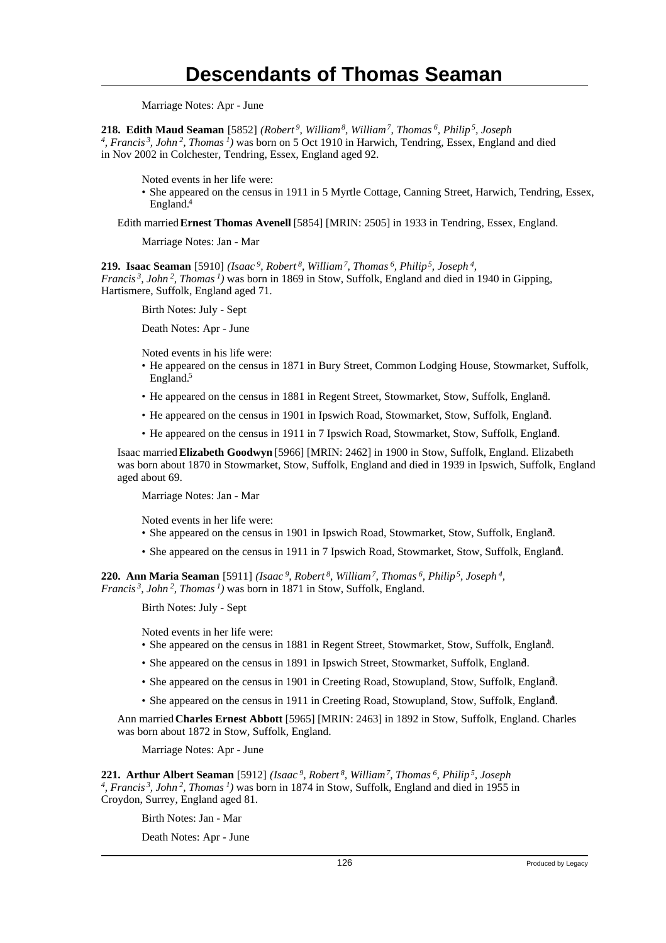Marriage Notes: Apr - June

**218. Edith Maud Seaman** [5852] *(Robert<sup>9</sup>, William<sup>8</sup>, William<sup>7</sup>, Thomas<sup>6</sup>, Philip<sup>5</sup>, Joseph 4 , Francis<sup>3</sup>, John<sup>2</sup>, Thomas<sup>1</sup>)* was born on 5 Oct 1910 in Harwich, Tendring, Essex, England and died in Nov 2002 in Colchester, Tendring, Essex, England aged 92.

Noted events in her life were:

• She appeared on the census in 1911 in 5 Myrtle Cottage, Canning Street, Harwich, Tendring, Essex, England.<sup>4</sup>

Edith married **Ernest Thomas Avenell** [5854] [MRIN: 2505] in 1933 in Tendring, Essex, England.

Marriage Notes: Jan - Mar

**219. Isaac Seaman** [5910] *(Isaac<sup>9</sup>, Robert<sup>8</sup>, William<sup>7</sup>, Thomas<sup>6</sup>, Philip<sup>5</sup>, Joseph<sup>4</sup> , Francis<sup>3</sup>, John<sup>2</sup>, Thomas<sup>1</sup>)* was born in 1869 in Stow, Suffolk, England and died in 1940 in Gipping, Hartismere, Suffolk, England aged 71.

Birth Notes: July - Sept

Death Notes: Apr - June

Noted events in his life were:

- He appeared on the census in 1871 in Bury Street, Common Lodging House, Stowmarket, Suffolk, England.<sup>5</sup>
- He appeared on the census in 1881 in Regent Street, Stowmarket, Stow, Suffolk, England. <sup>1</sup>
- He appeared on the census in 1901 in Ipswich Road, Stowmarket, Stow, Suffolk, England. <sup>3</sup>
- He appeared on the census in 1911 in 7 Ipswich Road, Stowmarket, Stow, Suffolk, England.

Isaac married **Elizabeth Goodwyn** [5966] [MRIN: 2462] in 1900 in Stow, Suffolk, England. Elizabeth was born about 1870 in Stowmarket, Stow, Suffolk, England and died in 1939 in Ipswich, Suffolk, England aged about 69.

Marriage Notes: Jan - Mar

Noted events in her life were:

- She appeared on the census in 1901 in Ipswich Road, Stowmarket, Stow, Suffolk, England.
- She appeared on the census in 1911 in 7 Ipswich Road, Stowmarket, Stow, Suffolk, England.

**220. Ann Maria Seaman** [5911] *(Isaac<sup>9</sup>, Robert<sup>8</sup>, William<sup>7</sup>, Thomas<sup>6</sup>, Philip<sup>5</sup>, Joseph<sup>4</sup> , Francis<sup>3</sup>, John<sup>2</sup>, Thomas<sup>1</sup>)* was born in 1871 in Stow, Suffolk, England.

Birth Notes: July - Sept

Noted events in her life were:

- She appeared on the census in 1881 in Regent Street, Stowmarket, Stow, Suffolk, England. <sup>1</sup>
- She appeared on the census in 1891 in Ipswich Street, Stowmarket, Suffolk, England.
- She appeared on the census in 1901 in Creeting Road, Stowupland, Stow, Suffolk, England.
- She appeared on the census in 1911 in Creeting Road, Stowupland, Stow, Suffolk, England. <sup>4</sup>

Ann married **Charles Ernest Abbott** [5965] [MRIN: 2463] in 1892 in Stow, Suffolk, England. Charles was born about 1872 in Stow, Suffolk, England.

Marriage Notes: Apr - June

**221. Arthur Albert Seaman** [5912] *(Isaac<sup>9</sup>, Robert<sup>8</sup>, William<sup>7</sup>, Thomas<sup>6</sup>, Philip<sup>5</sup>, Joseph 4 , Francis<sup>3</sup>, John<sup>2</sup>, Thomas<sup>1</sup>)* was born in 1874 in Stow, Suffolk, England and died in 1955 in Croydon, Surrey, England aged 81.

Birth Notes: Jan - Mar

Death Notes: Apr - June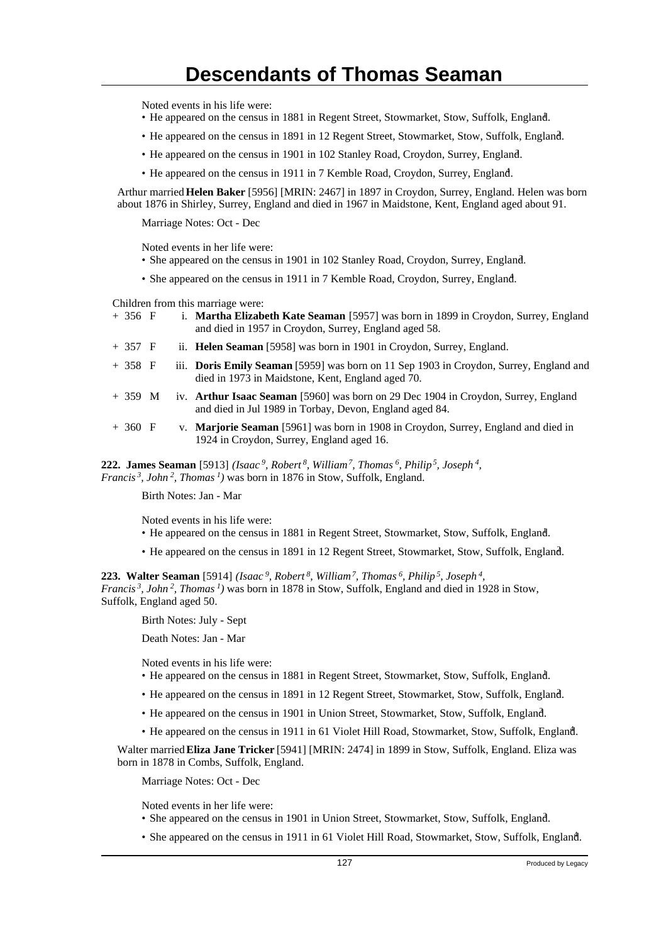Noted events in his life were:

- He appeared on the census in 1881 in Regent Street, Stowmarket, Stow, Suffolk, England. <sup>1</sup>
- He appeared on the census in 1891 in 12 Regent Street, Stowmarket, Stow, Suffolk, England. <sup>2</sup>
- He appeared on the census in 1901 in 102 Stanley Road, Croydon, Surrey, England. <sup>3</sup>
- He appeared on the census in 1911 in 7 Kemble Road, Croydon, Surrey, England.

Arthur married **Helen Baker** [5956] [MRIN: 2467] in 1897 in Croydon, Surrey, England. Helen was born about 1876 in Shirley, Surrey, England and died in 1967 in Maidstone, Kent, England aged about 91.

Marriage Notes: Oct - Dec

Noted events in her life were:

- She appeared on the census in 1901 in 102 Stanley Road, Croydon, Surrey, England.
- She appeared on the census in 1911 in 7 Kemble Road, Croydon, Surrey, England. <sup>4</sup>

Children from this marriage were:

- + 356 F i. **Martha Elizabeth Kate Seaman** [5957] was born in 1899 in Croydon, Surrey, England and died in 1957 in Croydon, Surrey, England aged 58.
- + 357 F ii. **Helen Seaman** [5958] was born in 1901 in Croydon, Surrey, England.
- + 358 F iii. **Doris Emily Seaman** [5959] was born on 11 Sep 1903 in Croydon, Surrey, England and died in 1973 in Maidstone, Kent, England aged 70.
- + 359 M iv. **Arthur Isaac Seaman** [5960] was born on 29 Dec 1904 in Croydon, Surrey, England and died in Jul 1989 in Torbay, Devon, England aged 84.
- + 360 F v. **Marjorie Seaman** [5961] was born in 1908 in Croydon, Surrey, England and died in 1924 in Croydon, Surrey, England aged 16.

**222. James Seaman** [5913] *(Isaac<sup>9</sup>, Robert<sup>8</sup>, William<sup>7</sup>, Thomas<sup>6</sup>, Philip<sup>5</sup>, Joseph<sup>4</sup> , Francis<sup>3</sup>, John<sup>2</sup>, Thomas<sup>1</sup>)* was born in 1876 in Stow, Suffolk, England.

Birth Notes: Jan - Mar

Noted events in his life were:

- He appeared on the census in 1881 in Regent Street, Stowmarket, Stow, Suffolk, England. <sup>1</sup>
- He appeared on the census in 1891 in 12 Regent Street, Stowmarket, Stow, Suffolk, England. <sup>2</sup>

**223. Walter Seaman** [5914] *(Isaac<sup>9</sup>, Robert<sup>8</sup>, William<sup>7</sup>, Thomas<sup>6</sup>, Philip<sup>5</sup>, Joseph<sup>4</sup> , Francis<sup>3</sup>, John<sup>2</sup>, Thomas<sup>1</sup>)* was born in 1878 in Stow, Suffolk, England and died in 1928 in Stow, Suffolk, England aged 50.

Birth Notes: July - Sept

Death Notes: Jan - Mar

Noted events in his life were:

- He appeared on the census in 1881 in Regent Street, Stowmarket, Stow, Suffolk, England. <sup>1</sup>
- He appeared on the census in 1891 in 12 Regent Street, Stowmarket, Stow, Suffolk, England.
- He appeared on the census in 1901 in Union Street, Stowmarket, Stow, Suffolk, England. <sup>3</sup>
- He appeared on the census in 1911 in 61 Violet Hill Road, Stowmarket, Stow, Suffolk, England. <sup>4</sup>

Walter married **Eliza Jane Tricker** [5941] [MRIN: 2474] in 1899 in Stow, Suffolk, England. Eliza was born in 1878 in Combs, Suffolk, England.

Marriage Notes: Oct - Dec

Noted events in her life were:

- She appeared on the census in 1901 in Union Street, Stowmarket, Stow, Suffolk, England.
- She appeared on the census in 1911 in 61 Violet Hill Road, Stowmarket, Stow, Suffolk, England.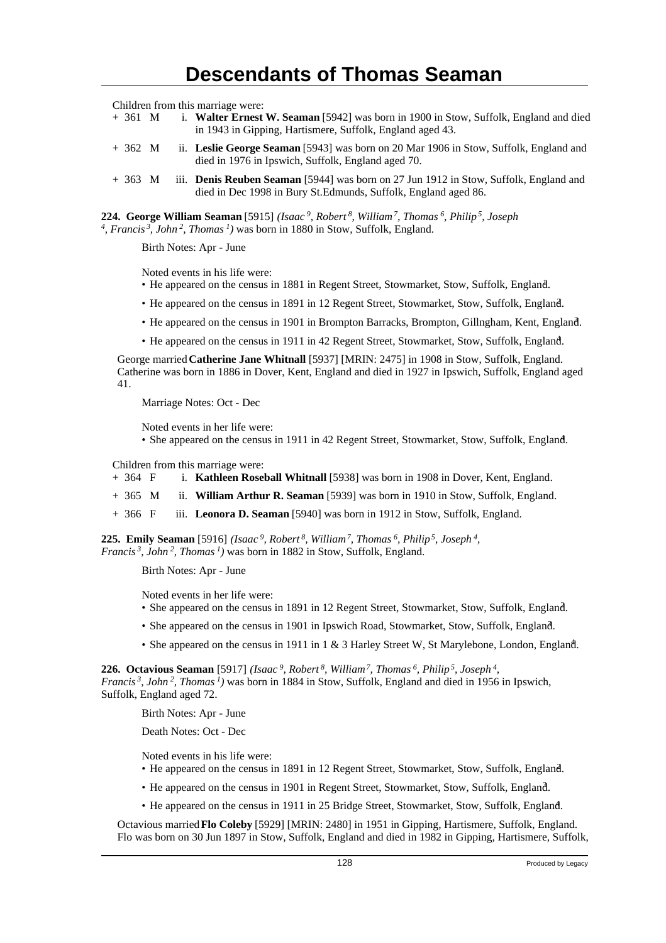Children from this marriage were:

- + 361 M i. **Walter Ernest W. Seaman** [5942] was born in 1900 in Stow, Suffolk, England and died in 1943 in Gipping, Hartismere, Suffolk, England aged 43.
- + 362 M ii. **Leslie George Seaman** [5943] was born on 20 Mar 1906 in Stow, Suffolk, England and died in 1976 in Ipswich, Suffolk, England aged 70.
- + 363 M iii. **Denis Reuben Seaman** [5944] was born on 27 Jun 1912 in Stow, Suffolk, England and died in Dec 1998 in Bury St.Edmunds, Suffolk, England aged 86.

**224. George William Seaman** [5915] *(Isaac<sup>9</sup>, Robert<sup>8</sup>, William<sup>7</sup>, Thomas<sup>6</sup>, Philip<sup>5</sup>, Joseph 4 , Francis<sup>3</sup>, John<sup>2</sup>, Thomas<sup>1</sup>)* was born in 1880 in Stow, Suffolk, England.

Birth Notes: Apr - June

Noted events in his life were:

- He appeared on the census in 1881 in Regent Street, Stowmarket, Stow, Suffolk, England. <sup>1</sup>
- He appeared on the census in 1891 in 12 Regent Street, Stowmarket, Stow, Suffolk, England. <sup>2</sup>
- He appeared on the census in 1901 in Brompton Barracks, Brompton, Gillngham, Kent, England. <sup>3</sup>
- He appeared on the census in 1911 in 42 Regent Street, Stowmarket, Stow, Suffolk, England. <sup>4</sup>

George married **Catherine Jane Whitnall** [5937] [MRIN: 2475] in 1908 in Stow, Suffolk, England. Catherine was born in 1886 in Dover, Kent, England and died in 1927 in Ipswich, Suffolk, England aged 41.

Marriage Notes: Oct - Dec

Noted events in her life were:

• She appeared on the census in 1911 in 42 Regent Street, Stowmarket, Stow, Suffolk, England.

Children from this marriage were:

- + 364 F i. **Kathleen Roseball Whitnall** [5938] was born in 1908 in Dover, Kent, England.
- + 365 M ii. **William Arthur R. Seaman** [5939] was born in 1910 in Stow, Suffolk, England.
- + 366 F iii. **Leonora D. Seaman** [5940] was born in 1912 in Stow, Suffolk, England.

**225. Emily Seaman** [5916] *(Isaac<sup>9</sup>, Robert<sup>8</sup>, William<sup>7</sup>, Thomas<sup>6</sup>, Philip<sup>5</sup>, Joseph<sup>4</sup> , Francis<sup>3</sup>, John<sup>2</sup>, Thomas<sup>1</sup>)* was born in 1882 in Stow, Suffolk, England.

Birth Notes: Apr - June

Noted events in her life were:

- She appeared on the census in 1891 in 12 Regent Street, Stowmarket, Stow, Suffolk, England. <sup>2</sup>
- She appeared on the census in 1901 in Ipswich Road, Stowmarket, Stow, Suffolk, England.
- She appeared on the census in 1911 in 1 & 3 Harley Street W, St Marylebone, London, England.

**226. Octavious Seaman** [5917] *(Isaac<sup>9</sup>, Robert<sup>8</sup>, William<sup>7</sup>, Thomas<sup>6</sup>, Philip<sup>5</sup>, Joseph<sup>4</sup> , Francis<sup>3</sup>, John<sup>2</sup>, Thomas<sup>1</sup>)* was born in 1884 in Stow, Suffolk, England and died in 1956 in Ipswich, Suffolk, England aged 72.

Birth Notes: Apr - June

Death Notes: Oct - Dec

Noted events in his life were:

- He appeared on the census in 1891 in 12 Regent Street, Stowmarket, Stow, Suffolk, England. <sup>2</sup>
- He appeared on the census in 1901 in Regent Street, Stowmarket, Stow, Suffolk, England. <sup>3</sup>
- He appeared on the census in 1911 in 25 Bridge Street, Stowmarket, Stow, Suffolk, England. <sup>4</sup>

Octavious married **Flo Coleby** [5929] [MRIN: 2480] in 1951 in Gipping, Hartismere, Suffolk, England. Flo was born on 30 Jun 1897 in Stow, Suffolk, England and died in 1982 in Gipping, Hartismere, Suffolk,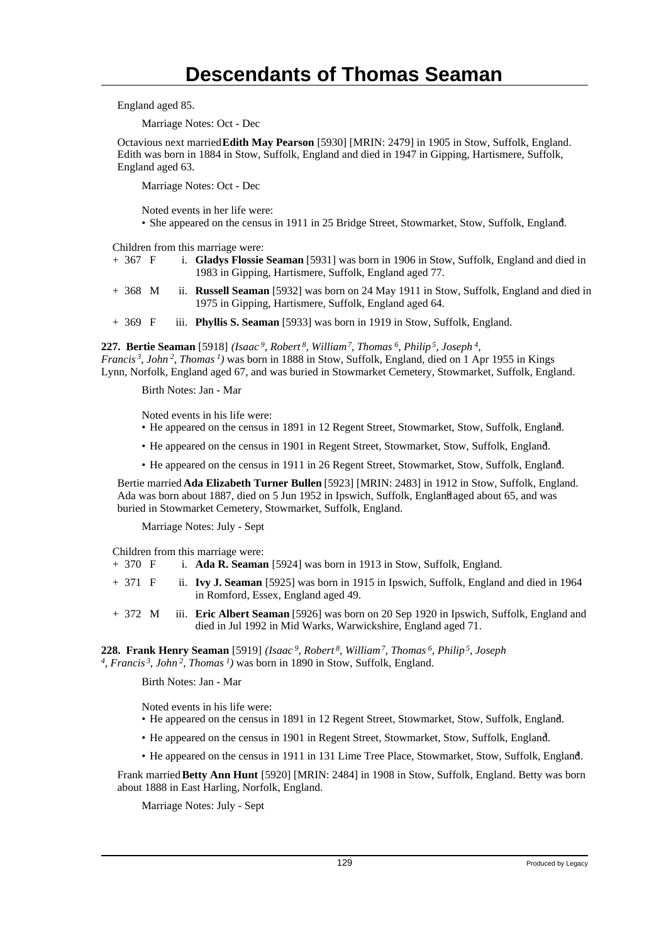England aged 85.

Marriage Notes: Oct - Dec

Octavious next married **Edith May Pearson** [5930] [MRIN: 2479] in 1905 in Stow, Suffolk, England. Edith was born in 1884 in Stow, Suffolk, England and died in 1947 in Gipping, Hartismere, Suffolk, England aged 63.

Marriage Notes: Oct - Dec

Noted events in her life were:

• She appeared on the census in 1911 in 25 Bridge Street, Stowmarket, Stow, Suffolk, England.

Children from this marriage were:

- + 367 F i. **Gladys Flossie Seaman** [5931] was born in 1906 in Stow, Suffolk, England and died in 1983 in Gipping, Hartismere, Suffolk, England aged 77.
- + 368 M ii. **Russell Seaman** [5932] was born on 24 May 1911 in Stow, Suffolk, England and died in 1975 in Gipping, Hartismere, Suffolk, England aged 64.
- + 369 F iii. **Phyllis S. Seaman** [5933] was born in 1919 in Stow, Suffolk, England.

**227. Bertie Seaman** [5918] *(Isaac<sup>9</sup>, Robert<sup>8</sup>, William<sup>7</sup>, Thomas<sup>6</sup>, Philip<sup>5</sup>, Joseph<sup>4</sup> , Francis<sup>3</sup>, John<sup>2</sup>, Thomas<sup>1</sup>)* was born in 1888 in Stow, Suffolk, England, died on 1 Apr 1955 in Kings Lynn, Norfolk, England aged 67, and was buried in Stowmarket Cemetery, Stowmarket, Suffolk, England.

Birth Notes: Jan - Mar

Noted events in his life were:

- He appeared on the census in 1891 in 12 Regent Street, Stowmarket, Stow, Suffolk, England. <sup>2</sup>
- He appeared on the census in 1901 in Regent Street, Stowmarket, Stow, Suffolk, England. <sup>3</sup>
- He appeared on the census in 1911 in 26 Regent Street, Stowmarket, Stow, Suffolk, England.

Bertie married **Ada Elizabeth Turner Bullen** [5923] [MRIN: 2483] in 1912 in Stow, Suffolk, England. Ada was born about 1887, died on 5 Jun 1952 in Ipswich, Suffolk, Englandaged about 65, and was buried in Stowmarket Cemetery, Stowmarket, Suffolk, England.

Marriage Notes: July - Sept

Children from this marriage were:

- + 370 F i. **Ada R. Seaman** [5924] was born in 1913 in Stow, Suffolk, England.
- + 371 F ii. **Ivy J. Seaman** [5925] was born in 1915 in Ipswich, Suffolk, England and died in 1964 in Romford, Essex, England aged 49.
- + 372 M iii. **Eric Albert Seaman** [5926] was born on 20 Sep 1920 in Ipswich, Suffolk, England and died in Jul 1992 in Mid Warks, Warwickshire, England aged 71.

**228. Frank Henry Seaman** [5919] *(Isaac<sup>9</sup>, Robert<sup>8</sup>, William<sup>7</sup>, Thomas<sup>6</sup>, Philip<sup>5</sup>, Joseph 4 , Francis<sup>3</sup>, John<sup>2</sup>, Thomas<sup>1</sup>)* was born in 1890 in Stow, Suffolk, England.

Birth Notes: Jan - Mar

Noted events in his life were:

- He appeared on the census in 1891 in 12 Regent Street, Stowmarket, Stow, Suffolk, England.
- He appeared on the census in 1901 in Regent Street, Stowmarket, Stow, Suffolk, England. <sup>3</sup>
- He appeared on the census in 1911 in 131 Lime Tree Place, Stowmarket, Stow, Suffolk, England. <sup>4</sup>

Frank married **Betty Ann Hunt** [5920] [MRIN: 2484] in 1908 in Stow, Suffolk, England. Betty was born about 1888 in East Harling, Norfolk, England.

Marriage Notes: July - Sept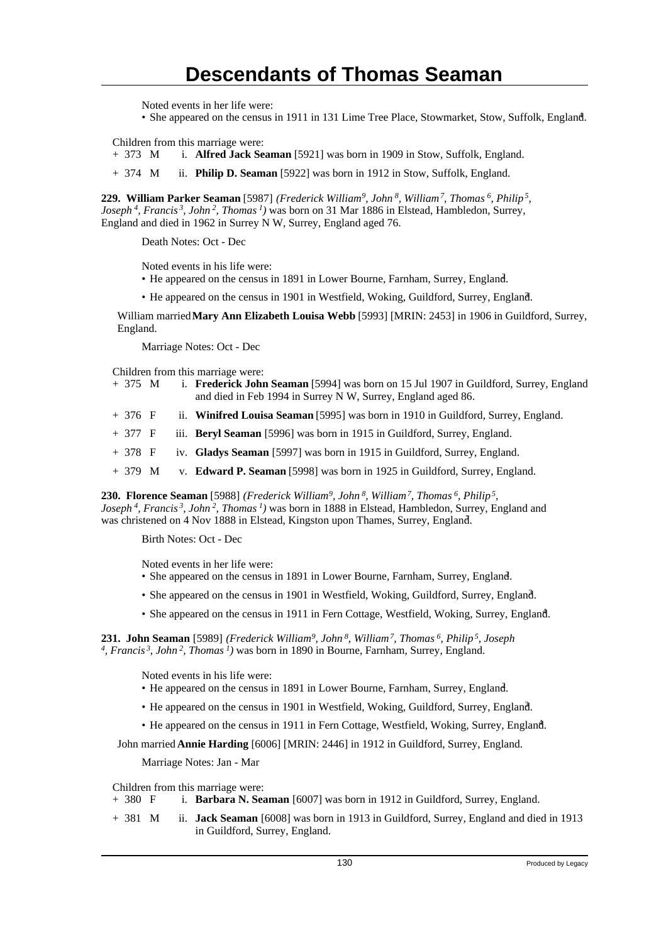Noted events in her life were:

• She appeared on the census in 1911 in 131 Lime Tree Place, Stowmarket, Stow, Suffolk, England.

Children from this marriage were:

+ 373 M i. **Alfred Jack Seaman** [5921] was born in 1909 in Stow, Suffolk, England.

+ 374 M ii. **Philip D. Seaman** [5922] was born in 1912 in Stow, Suffolk, England.

**229. William Parker Seaman** [5987] *(Frederick William<sup>9</sup>, John<sup>8</sup>, William<sup>7</sup>, Thomas<sup>6</sup>, Philip<sup>5</sup> , Joseph<sup>4</sup>, Francis<sup>3</sup>, John<sup>2</sup>, Thomas<sup>1</sup>)* was born on 31 Mar 1886 in Elstead, Hambledon, Surrey, England and died in 1962 in Surrey N W, Surrey, England aged 76.

Death Notes: Oct - Dec

Noted events in his life were:

• He appeared on the census in 1891 in Lower Bourne, Farnham, Surrey, England. <sup>2</sup>

• He appeared on the census in 1901 in Westfield, Woking, Guildford, Surrey, England.

William married **Mary Ann Elizabeth Louisa Webb** [5993] [MRIN: 2453] in 1906 in Guildford, Surrey, England.

Marriage Notes: Oct - Dec

Children from this marriage were:

- + 375 M i. **Frederick John Seaman** [5994] was born on 15 Jul 1907 in Guildford, Surrey, England and died in Feb 1994 in Surrey N W, Surrey, England aged 86.
- + 376 F ii. **Winifred Louisa Seaman** [5995] was born in 1910 in Guildford, Surrey, England.
- + 377 F iii. **Beryl Seaman** [5996] was born in 1915 in Guildford, Surrey, England.
- + 378 F iv. **Gladys Seaman** [5997] was born in 1915 in Guildford, Surrey, England.
- + 379 M v. **Edward P. Seaman** [5998] was born in 1925 in Guildford, Surrey, England.

**230. Florence Seaman** [5988] *(Frederick William<sup>9</sup>, John<sup>8</sup>, William<sup>7</sup>, Thomas<sup>6</sup>, Philip<sup>5</sup> , Joseph<sup>4</sup>, Francis<sup>3</sup>, John<sup>2</sup>, Thomas<sup>1</sup>)* was born in 1888 in Elstead, Hambledon, Surrey, England and was christened on 4 Nov 1888 in Elstead, Kingston upon Thames, Surrey, England. <sup>7</sup>

Birth Notes: Oct - Dec

Noted events in her life were:

- She appeared on the census in 1891 in Lower Bourne, Farnham, Surrey, England. <sup>2</sup>
- She appeared on the census in 1901 in Westfield, Woking, Guildford, Surrey, England. <sup>3</sup>
- She appeared on the census in 1911 in Fern Cottage, Westfield, Woking, Surrey, England. <sup>4</sup>

**231. John Seaman** [5989] *(Frederick William<sup>9</sup>, John<sup>8</sup>, William<sup>7</sup>, Thomas<sup>6</sup>, Philip<sup>5</sup>, Joseph 4 , Francis<sup>3</sup>, John<sup>2</sup>, Thomas<sup>1</sup>)* was born in 1890 in Bourne, Farnham, Surrey, England.

Noted events in his life were:

- He appeared on the census in 1891 in Lower Bourne, Farnham, Surrey, England.
- He appeared on the census in 1901 in Westfield, Woking, Guildford, Surrey, England.

• He appeared on the census in 1911 in Fern Cottage, Westfield, Woking, Surrey, England. <sup>4</sup>

John married **Annie Harding** [6006] [MRIN: 2446] in 1912 in Guildford, Surrey, England.

Marriage Notes: Jan - Mar

Children from this marriage were:<br>+ 380  $\overline{F}$  i. **Barbara N. Sea** 

i. **Barbara N. Seaman** [6007] was born in 1912 in Guildford, Surrey, England.

+ 381 M ii. **Jack Seaman** [6008] was born in 1913 in Guildford, Surrey, England and died in 1913 in Guildford, Surrey, England.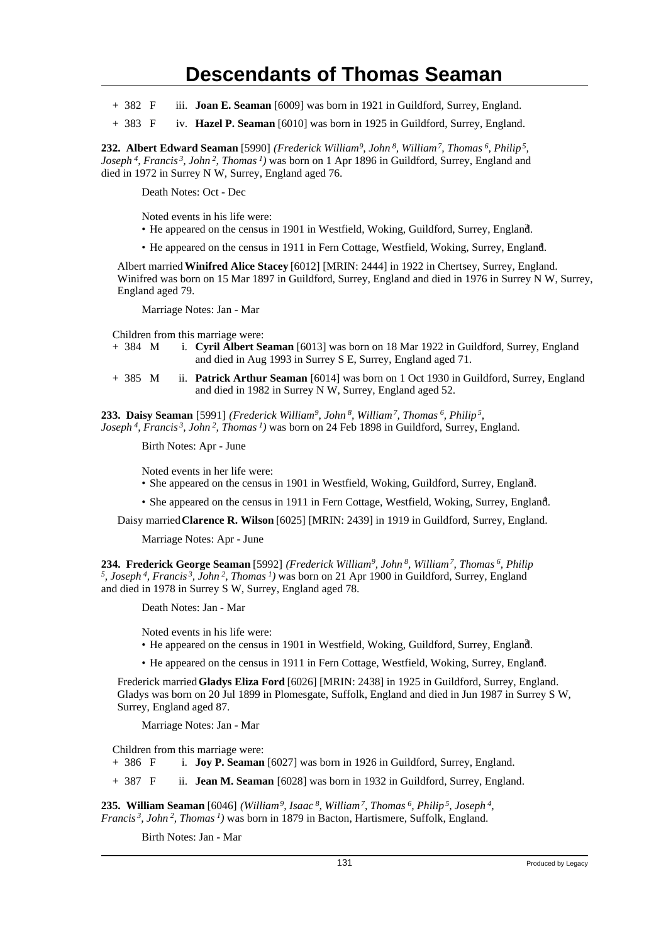- + 382 F iii. **Joan E. Seaman** [6009] was born in 1921 in Guildford, Surrey, England.
- + 383 F iv. **Hazel P. Seaman** [6010] was born in 1925 in Guildford, Surrey, England.

**232. Albert Edward Seaman** [5990] *(Frederick William<sup>9</sup>, John<sup>8</sup>, William<sup>7</sup>, Thomas<sup>6</sup>, Philip<sup>5</sup> , Joseph<sup>4</sup>, Francis<sup>3</sup>, John<sup>2</sup>, Thomas<sup>1</sup>)* was born on 1 Apr 1896 in Guildford, Surrey, England and died in 1972 in Surrey N W, Surrey, England aged 76.

Death Notes: Oct - Dec

Noted events in his life were:

- He appeared on the census in 1901 in Westfield, Woking, Guildford, Surrey, England.
- He appeared on the census in 1911 in Fern Cottage, Westfield, Woking, Surrey, England.

Albert married **Winifred Alice Stacey** [6012] [MRIN: 2444] in 1922 in Chertsey, Surrey, England. Winifred was born on 15 Mar 1897 in Guildford, Surrey, England and died in 1976 in Surrey N W, Surrey, England aged 79.

Marriage Notes: Jan - Mar

Children from this marriage were:<br>+ 384 M i. Cyril Albert Se

- i. **Cyril Albert Seaman** [6013] was born on 18 Mar 1922 in Guildford, Surrey, England and died in Aug 1993 in Surrey S E, Surrey, England aged 71.
- + 385 M ii. **Patrick Arthur Seaman** [6014] was born on 1 Oct 1930 in Guildford, Surrey, England and died in 1982 in Surrey N W, Surrey, England aged 52.

**233. Daisy Seaman** [5991] *(Frederick William<sup>9</sup>, John<sup>8</sup>, William<sup>7</sup>, Thomas<sup>6</sup>, Philip<sup>5</sup> , Joseph<sup>4</sup>, Francis<sup>3</sup>, John<sup>2</sup>, Thomas<sup>1</sup>)* was born on 24 Feb 1898 in Guildford, Surrey, England.

Birth Notes: Apr - June

Noted events in her life were:

- She appeared on the census in 1901 in Westfield, Woking, Guildford, Surrey, England. <sup>3</sup>
- She appeared on the census in 1911 in Fern Cottage, Westfield, Woking, Surrey, England. <sup>4</sup>

Daisy married **Clarence R. Wilson** [6025] [MRIN: 2439] in 1919 in Guildford, Surrey, England.

Marriage Notes: Apr - June

**234. Frederick George Seaman** [5992] *(Frederick William<sup>9</sup>, John<sup>8</sup>, William<sup>7</sup>, Thomas<sup>6</sup>, Philip 5 , Joseph<sup>4</sup>, Francis<sup>3</sup>, John<sup>2</sup>, Thomas<sup>1</sup>)* was born on 21 Apr 1900 in Guildford, Surrey, England and died in 1978 in Surrey S W, Surrey, England aged 78.

Death Notes: Jan - Mar

Noted events in his life were:

• He appeared on the census in 1901 in Westfield, Woking, Guildford, Surrey, England. <sup>3</sup>

• He appeared on the census in 1911 in Fern Cottage, Westfield, Woking, Surrey, England.

Frederick married **Gladys Eliza Ford** [6026] [MRIN: 2438] in 1925 in Guildford, Surrey, England. Gladys was born on 20 Jul 1899 in Plomesgate, Suffolk, England and died in Jun 1987 in Surrey S W, Surrey, England aged 87.

Marriage Notes: Jan - Mar

Children from this marriage were:

+ 386 F i. **Joy P. Seaman** [6027] was born in 1926 in Guildford, Surrey, England.

+ 387 F ii. **Jean M. Seaman** [6028] was born in 1932 in Guildford, Surrey, England.

**235. William Seaman** [6046] *(William<sup>9</sup>, Isaac<sup>8</sup>, William<sup>7</sup>, Thomas<sup>6</sup>, Philip<sup>5</sup>, Joseph<sup>4</sup> , Francis<sup>3</sup>, John<sup>2</sup>, Thomas<sup>1</sup>)* was born in 1879 in Bacton, Hartismere, Suffolk, England.

Birth Notes: Jan - Mar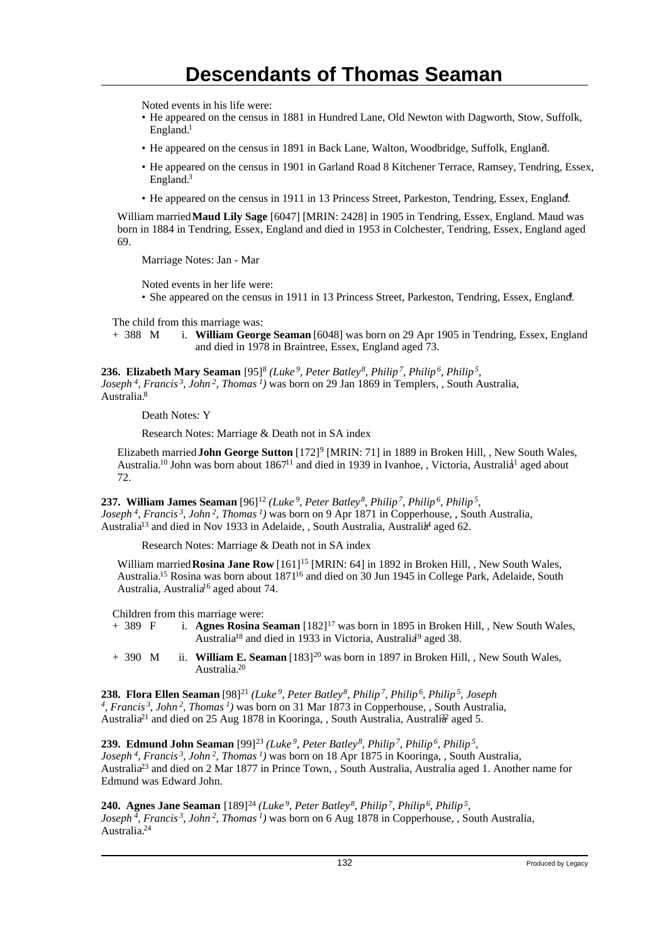Noted events in his life were:

- He appeared on the census in 1881 in Hundred Lane, Old Newton with Dagworth, Stow, Suffolk, England.<sup>1</sup>
- He appeared on the census in 1891 in Back Lane, Walton, Woodbridge, Suffolk, England. <sup>2</sup>
- He appeared on the census in 1901 in Garland Road 8 Kitchener Terrace, Ramsey, Tendring, Essex, England.<sup>3</sup>
- He appeared on the census in 1911 in 13 Princess Street, Parkeston, Tendring, Essex, England.<sup>4</sup>

William married **Maud Lily Sage** [6047] [MRIN: 2428] in 1905 in Tendring, Essex, England. Maud was born in 1884 in Tendring, Essex, England and died in 1953 in Colchester, Tendring, Essex, England aged 69.

Marriage Notes: Jan - Mar

Noted events in her life were:

• She appeared on the census in 1911 in 13 Princess Street, Parkeston, Tendring, Essex, England.

The child from this marriage was:

+ 388 M i. **William George Seaman** [6048] was born on 29 Apr 1905 in Tendring, Essex, England and died in 1978 in Braintree, Essex, England aged 73.

**236. Elizabeth Mary Seaman** [95]<sup>8</sup>  *(Luke<sup>9</sup>, Peter Batley<sup>8</sup>, Philip<sup>7</sup>, Philip<sup>6</sup>, Philip<sup>5</sup> , Joseph<sup>4</sup>, Francis<sup>3</sup>, John<sup>2</sup>, Thomas<sup>1</sup>)* was born on 29 Jan 1869 in Templers, , South Australia, Australia.<sup>8</sup>

Death Notes: Y

Research Notes: Marriage & Death not in SA index

Elizabeth married **John George Sutton** [172]<sup>9</sup> [MRIN: 71] in 1889 in Broken Hill, , New South Wales, Australia.<sup>10</sup> John was born about 1867<sup>11</sup> and died in 1939 in Ivanhoe, , Victoria, Australia<sup>1</sup> aged about 72.

**237. William James Seaman** [96]<sup>12</sup> *(Luke<sup>9</sup>, Peter Batley<sup>8</sup>, Philip<sup>7</sup>, Philip<sup>6</sup>, Philip<sup>5</sup> , Joseph<sup>4</sup>, Francis<sup>3</sup>, John<sup>2</sup>, Thomas<sup>1</sup>)* was born on 9 Apr 1871 in Copperhouse, , South Australia, Australia<sup>13</sup> and died in Nov 1933 in Adelaide, , South Australia, Australia<sup>4</sup> aged 62.

Research Notes: Marriage & Death not in SA index

William married **Rosina Jane Row** [161]<sup>15</sup> [MRIN: 64] in 1892 in Broken Hill, , New South Wales, Australia.<sup>15</sup> Rosina was born about 1871<sup>16</sup> and died on 30 Jun 1945 in College Park, Adelaide, South Australia, Australia<sup>16</sup> aged about 74.

Children from this marriage were:

- + 389 F i. **Agnes Rosina Seaman** [182]<sup>17</sup> was born in 1895 in Broken Hill, , New South Wales, Australia<sup>18</sup> and died in 1933 in Victoria, Australia<sup>9</sup> aged 38.
- + 390 M ii. **William E. Seaman** [183]<sup>20</sup> was born in 1897 in Broken Hill, , New South Wales, Australia.<sup>20</sup>

**238. Flora Ellen Seaman** [98]<sup>21</sup> *(Luke<sup>9</sup>, Peter Batley<sup>8</sup>, Philip<sup>7</sup>, Philip<sup>6</sup>, Philip<sup>5</sup>, Joseph 4 , Francis<sup>3</sup>, John<sup>2</sup>, Thomas<sup>1</sup>)* was born on 31 Mar 1873 in Copperhouse, , South Australia, Australia<sup>21</sup> and died on 25 Aug 1878 in Kooringa, , South Australia, Australi<sup>22</sup> aged 5.

**239. Edmund John Seaman** [99]<sup>23</sup> *(Luke<sup>9</sup>, Peter Batley<sup>8</sup>, Philip<sup>7</sup>, Philip<sup>6</sup>, Philip<sup>5</sup> , Joseph<sup>4</sup>, Francis<sup>3</sup>, John<sup>2</sup>, Thomas<sup>1</sup>)* was born on 18 Apr 1875 in Kooringa, , South Australia, Australia<sup>23</sup> and died on 2 Mar 1877 in Prince Town, , South Australia, Australia aged 1. Another name for Edmund was Edward John.

**240. Agnes Jane Seaman** [189]<sup>24</sup> *(Luke<sup>9</sup>, Peter Batley<sup>8</sup>, Philip<sup>7</sup>, Philip<sup>6</sup>, Philip<sup>5</sup> , Joseph<sup>4</sup>, Francis<sup>3</sup>, John<sup>2</sup>, Thomas<sup>1</sup>)* was born on 6 Aug 1878 in Copperhouse, , South Australia, Australia.24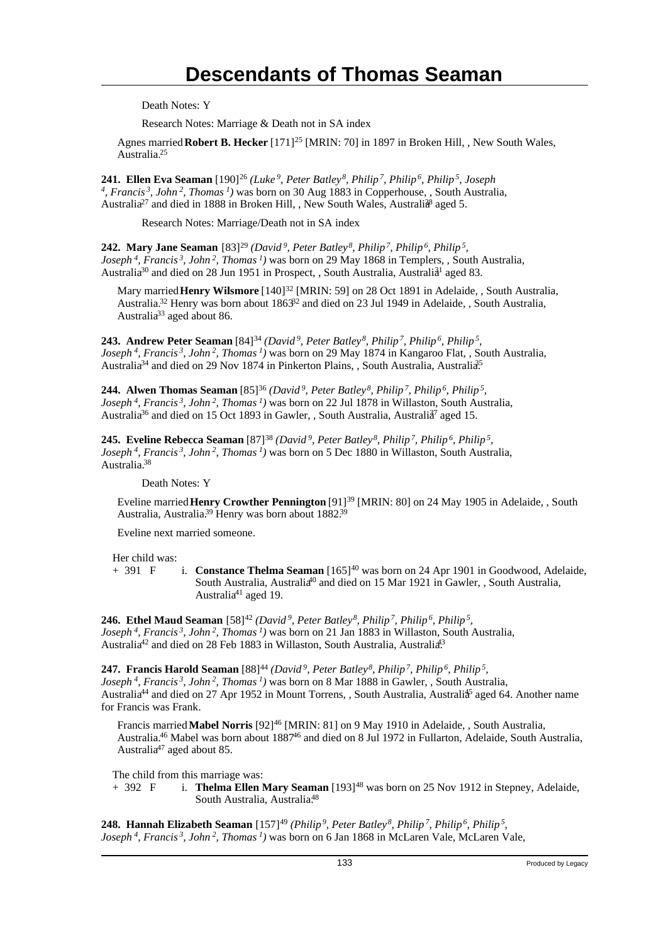Death Notes: Y

Research Notes: Marriage & Death not in SA index

Agnes married **Robert B. Hecker** [171]<sup>25</sup> [MRIN: 70] in 1897 in Broken Hill, , New South Wales, Australia.<sup>25</sup>

**241. Ellen Eva Seaman** [190]<sup>26</sup> *(Luke<sup>9</sup>, Peter Batley<sup>8</sup>, Philip<sup>7</sup>, Philip<sup>6</sup>, Philip<sup>5</sup>, Joseph 4 , Francis<sup>3</sup>, John<sup>2</sup>, Thomas<sup>1</sup>)* was born on 30 Aug 1883 in Copperhouse, , South Australia, Australia<sup>27</sup> and died in 1888 in Broken Hill, , New South Wales, Australia<sup>8</sup> aged 5.

Research Notes: Marriage/Death not in SA index

**242. Mary Jane Seaman** [83]<sup>29</sup> (David<sup>9</sup>, Peter Batley<sup>8</sup>, Philip<sup>7</sup>, Philip<sup>6</sup>, Philip<sup>5</sup>, *Joseph<sup>4</sup>, Francis<sup>3</sup>, John<sup>2</sup>, Thomas<sup>1</sup>)* was born on 29 May 1868 in Templers, , South Australia, Australia<sup>30</sup> and died on 28 Jun 1951 in Prospect, , South Australia, Australia<sup>1</sup> aged 83.

Mary married **Henry Wilsmore** [140]<sup>32</sup> [MRIN: 59] on 28 Oct 1891 in Adelaide, , South Australia, Australia.<sup>32</sup> Henry was born about 1863<sup>32</sup> and died on 23 Jul 1949 in Adelaide, , South Australia, Australia<sup>33</sup> aged about 86.

**243. Andrew Peter Seaman** [84]<sup>34</sup> *(David<sup>9</sup>, Peter Batley<sup>8</sup>, Philip<sup>7</sup>, Philip<sup>6</sup>, Philip<sup>5</sup> , Joseph<sup>4</sup>, Francis<sup>3</sup>, John<sup>2</sup>, Thomas<sup>1</sup>)* was born on 29 May 1874 in Kangaroo Flat, , South Australia, Australia<sup>34</sup> and died on 29 Nov 1874 in Pinkerton Plains, , South Australia, Australia<sup>35</sup>

**244. Alwen Thomas Seaman** [85]<sup>36</sup> *(David<sup>9</sup>, Peter Batley<sup>8</sup>, Philip<sup>7</sup>, Philip<sup>6</sup>, Philip<sup>5</sup> , Joseph<sup>4</sup>, Francis<sup>3</sup>, John<sup>2</sup>, Thomas<sup>1</sup>)* was born on 22 Jul 1878 in Willaston, South Australia, Australia<sup>36</sup> and died on 15 Oct 1893 in Gawler, , South Australia, Australia<sup>7</sup> aged 15.

**245. Eveline Rebecca Seaman** [87]<sup>38</sup> (David<sup>9</sup>, Peter Batley<sup>8</sup>, Philip<sup>7</sup>, Philip<sup>6</sup>, Philip<sup>5</sup>, *Joseph<sup>4</sup>, Francis<sup>3</sup>, John<sup>2</sup>, Thomas<sup>1</sup>)* was born on 5 Dec 1880 in Willaston, South Australia, Australia.<sup>38</sup>

Death Notes: Y

Eveline married **Henry Crowther Pennington** [91]<sup>39</sup> [MRIN: 80] on 24 May 1905 in Adelaide, , South Australia, Australia.<sup>39</sup> Henry was born about 1882.<sup>39</sup>

Eveline next married someone.

Her child was:<br>+ 391  $\,$  F

i. **Constance Thelma Seaman** [165]<sup>40</sup> was born on 24 Apr 1901 in Goodwood, Adelaide, South Australia, Australia<sup>40</sup> and died on 15 Mar 1921 in Gawler, , South Australia, Australia<sup>41</sup> aged 19.

**246. Ethel Maud Seaman** [58]<sup>42</sup> (David<sup>9</sup>, Peter Batley<sup>8</sup>, Philip<sup>7</sup>, Philip<sup>6</sup>, Philip<sup>5</sup>, *Joseph<sup>4</sup>, Francis<sup>3</sup>, John<sup>2</sup>, Thomas<sup>1</sup>)* was born on 21 Jan 1883 in Willaston, South Australia, Australia<sup>42</sup> and died on 28 Feb 1883 in Willaston, South Australia, Australia<sup>43</sup>

**247. Francis Harold Seaman** [88]<sup>44</sup> (David<sup>9</sup>, Peter Batley<sup>8</sup>, Philip<sup>7</sup>, Philip<sup>6</sup>, Philip<sup>5</sup>, *Joseph<sup>4</sup>, Francis<sup>3</sup>, John<sup>2</sup>, Thomas<sup>1</sup>)* was born on 8 Mar 1888 in Gawler, , South Australia, Australia<sup>44</sup> and died on 27 Apr 1952 in Mount Torrens, , South Australia, Australia<sup>5</sup> aged 64. Another name for Francis was Frank.

Francis married **Mabel Norris** [92]<sup>46</sup> [MRIN: 81] on 9 May 1910 in Adelaide, , South Australia, Australia.<sup>46</sup> Mabel was born about 1887<sup>46</sup> and died on 8 Jul 1972 in Fullarton, Adelaide, South Australia, Australia<sup>47</sup> aged about 85.

The child from this marriage was:<br>+ 392  $\overline{F}$  i. **Thelma Ellen** I

i. **Thelma Ellen Mary Seaman** [193]<sup>48</sup> was born on 25 Nov 1912 in Stepney, Adelaide, South Australia, Australia.<sup>48</sup>

**248. Hannah Elizabeth Seaman** [157]<sup>49</sup> (Philip<sup>9</sup>, Peter Batley<sup>8</sup>, Philip<sup>7</sup>, Philip<sup>5</sup>, Philip<sup>5</sup>, *Joseph 4, Francis 3, John 2, Thomas 1)* was born on 6 Jan 1868 in McLaren Vale, McLaren Vale,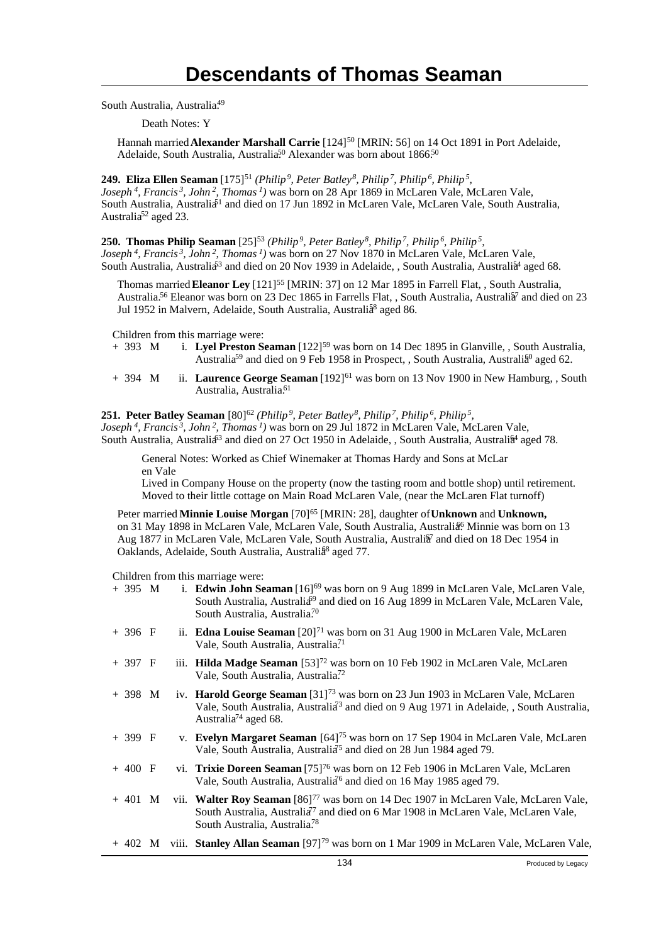South Australia, Australia.<sup>49</sup>

Death Notes: Y

Hannah married **Alexander Marshall Carrie** [124]<sup>50</sup> [MRIN: 56] on 14 Oct 1891 in Port Adelaide, Adelaide, South Australia, Australia<sup>50</sup> Alexander was born about 1866.<sup>50</sup>

**249. Eliza Ellen Seaman** [175]<sup>51</sup> *(Philip<sup>9</sup>, Peter Batley<sup>8</sup>, Philip<sup>7</sup>, Philip<sup>6</sup>, Philip<sup>5</sup> , Joseph<sup>4</sup>, Francis<sup>3</sup>, John<sup>2</sup>, Thomas<sup>1</sup>)* was born on 28 Apr 1869 in McLaren Vale, McLaren Vale, South Australia, Australia<sup>51</sup> and died on 17 Jun 1892 in McLaren Vale, McLaren Vale, South Australia, Australia<sup>52</sup> aged 23.

**250. Thomas Philip Seaman** [25]<sup>53</sup> *(Philip<sup>9</sup>, Peter Batley<sup>8</sup>, Philip<sup>7</sup>, Philip<sup>6</sup>, Philip<sup>5</sup> ,*

*Joseph<sup>4</sup>, Francis<sup>3</sup>, John<sup>2</sup>, Thomas<sup>1</sup>)* was born on 27 Nov 1870 in McLaren Vale, McLaren Vale, South Australia, Australia<sup>53</sup> and died on 20 Nov 1939 in Adelaide, , South Australia, Australia<sup>4</sup> aged 68.

Thomas married **Eleanor Ley** [121]<sup>55</sup> [MRIN: 37] on 12 Mar 1895 in Farrell Flat, , South Australia, Australia.<sup>56</sup> Eleanor was born on 23 Dec 1865 in Farrells Flat, , South Australia, Australia<sup>7</sup> and died on 23 Jul 1952 in Malvern, Adelaide, South Australia, Australia<sup>8</sup> aged 86.

Children from this marriage were:<br>+ 393 M i. **Lyel Preston Solution** 

- i. Lyel Preston Seaman [122]<sup>59</sup> was born on 14 Dec 1895 in Glanville, , South Australia, Australia<sup>59</sup> and died on 9 Feb 1958 in Prospect, , South Australia, Australia<sup>60</sup> aged 62.
- + 394 M ii. **Laurence George Seaman** [192]<sup>61</sup> was born on 13 Nov 1900 in New Hamburg, , South Australia, Australia.<sup>61</sup>

#### **251. Peter Batley Seaman** [80]<sup>62</sup> (Philip<sup>9</sup>, Peter Batley<sup>8</sup>, Philip<sup>7</sup>, Philip<sup>6</sup>, Philip<sup>5</sup>,

*Joseph<sup>4</sup>, Francis<sup>3</sup>, John<sup>2</sup>, Thomas<sup>1</sup>)* was born on 29 Jul 1872 in McLaren Vale, McLaren Vale, South Australia, Australia<sup>63</sup> and died on 27 Oct 1950 in Adelaide, , South Australia, Australia<sup>4</sup> aged 78.

General Notes: Worked as Chief Winemaker at Thomas Hardy and Sons at McLar en Vale

Lived in Company House on the property (now the tasting room and bottle shop) until retirement. Moved to their little cottage on Main Road McLaren Vale, (near the McLaren Flat turnoff)

Peter married **Minnie Louise Morgan** [70]<sup>65</sup> [MRIN: 28], daughter of **Unknown** and **Unknown,** on 31 May 1898 in McLaren Vale, McLaren Vale, South Australia, Australia<sup>6</sup> Minnie was born on 13 Aug 1877 in McLaren Vale, McLaren Vale, South Australia, Australia<sup>7</sup> and died on 18 Dec 1954 in Oaklands, Adelaide, South Australia, Australia<sup>8</sup> aged 77.

Children from this marriage were:

|          |  | 134<br>Produced by Legacy                                                                                                                                                                                                                      |
|----------|--|------------------------------------------------------------------------------------------------------------------------------------------------------------------------------------------------------------------------------------------------|
|          |  | + 402 M viii. Stanley Allan Seaman [97] <sup>79</sup> was born on 1 Mar 1909 in McLaren Vale, McLaren Vale,                                                                                                                                    |
| $+401$ M |  | vii. Walter Roy Seaman [86] <sup>77</sup> was born on 14 Dec 1907 in McLaren Vale, McLaren Vale,<br>South Australia, Australia <sup>7</sup> and died on 6 Mar 1908 in McLaren Vale, McLaren Vale,<br>South Australia, Australia. <sup>78</sup> |
| $+400$ F |  | vi. Trixie Doreen Seaman [75] <sup>76</sup> was born on 12 Feb 1906 in McLaren Vale, McLaren<br>Vale, South Australia, Australia <sup>6</sup> and died on 16 May 1985 aged 79.                                                                 |
| $+399$ F |  | v. Evelyn Margaret Seaman [64] <sup>75</sup> was born on 17 Sep 1904 in McLaren Vale, McLaren<br>Vale, South Australia, Australia <sup>75</sup> and died on 28 Jun 1984 aged 79.                                                               |
| $+398$ M |  | iv. Harold George Seaman [31] <sup>73</sup> was born on 23 Jun 1903 in McLaren Vale, McLaren<br>Vale, South Australia, Australia <sup>3</sup> and died on 9 Aug 1971 in Adelaide, , South Australia,<br>Australia <sup>74</sup> aged 68.       |
| $+397$ F |  | iii. Hilda Madge Seaman [53] <sup>72</sup> was born on 10 Feb 1902 in McLaren Vale, McLaren<br>Vale, South Australia, Australia <sup>72</sup>                                                                                                  |
| $+396$ F |  | ii. <b>Edna Louise Seaman</b> $[20]^{71}$ was born on 31 Aug 1900 in McLaren Vale, McLaren<br>Vale, South Australia, Australia <sup>71</sup>                                                                                                   |
| $+395$ M |  | i. Edwin John Seaman [16] <sup>69</sup> was born on 9 Aug 1899 in McLaren Vale, McLaren Vale,<br>South Australia, Australia <sup>69</sup> and died on 16 Aug 1899 in McLaren Vale, McLaren Vale,<br>South Australia, Australia. <sup>70</sup>  |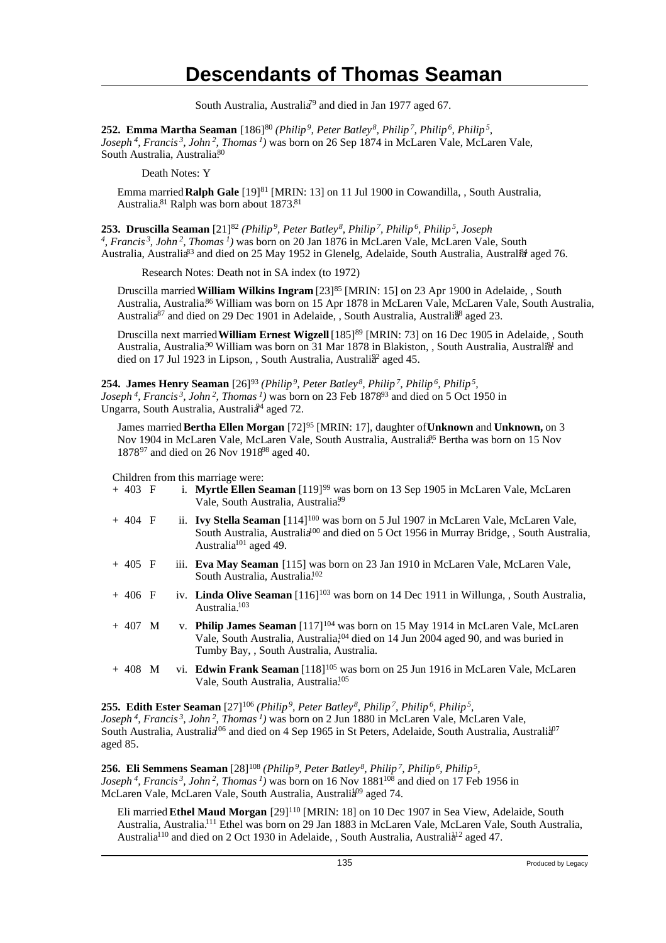South Australia, Australia<sup>79</sup> and died in Jan 1977 aged 67.

**252. Emma Martha Seaman** [186]<sup>80</sup> (Philip<sup>9</sup>, Peter Batley<sup>8</sup>, Philip<sup>7</sup>, Philip<sup>6</sup>, Philip<sup>5</sup>, *Joseph<sup>4</sup>, Francis<sup>3</sup>, John<sup>2</sup>, Thomas<sup>1</sup>)* was born on 26 Sep 1874 in McLaren Vale, McLaren Vale, South Australia, Australia.80

Death Notes: Y

Emma married **Ralph Gale** [19]<sup>81</sup> [MRIN: 13] on 11 Jul 1900 in Cowandilla, , South Australia, Australia.<sup>81</sup> Ralph was born about 1873.<sup>81</sup>

**253. Druscilla Seaman** [21]<sup>82</sup> *(Philip<sup>9</sup>, Peter Batley<sup>8</sup>, Philip<sup>7</sup>, Philip<sup>6</sup>, Philip<sup>5</sup>, Joseph 4 , Francis<sup>3</sup>, John<sup>2</sup>, Thomas<sup>1</sup>)* was born on 20 Jan 1876 in McLaren Vale, McLaren Vale, South Australia, Australia<sup>83</sup> and died on 25 May 1952 in Glenelg, Adelaide, South Australia, Australia aged 76.

Research Notes: Death not in SA index (to 1972)

Druscilla married **William Wilkins Ingram** [23]<sup>85</sup> [MRIN: 15] on 23 Apr 1900 in Adelaide, , South Australia, Australia.<sup>86</sup> William was born on 15 Apr 1878 in McLaren Vale, McLaren Vale, South Australia, Australia<sup>87</sup> and died on 29 Dec 1901 in Adelaide, , South Australia, Australia<sup>88</sup> aged 23.

Druscilla next married **William Ernest Wigzell** [185]<sup>89</sup> [MRIN: 73] on 16 Dec 1905 in Adelaide, , South Australia, Australia.<sup>90</sup> William was born on 31 Mar 1878 in Blakiston, , South Australia, Australi<sup>31</sup> and died on 17 Jul 1923 in Lipson, , South Australia, Australi<sup>82</sup> aged 45.

**254. James Henry Seaman** [26]<sup>93</sup> *(Philip<sup>9</sup>, Peter Batley<sup>8</sup>, Philip<sup>7</sup>, Philip<sup>6</sup>, Philip<sup>5</sup> , Joseph<sup>4</sup>, Francis<sup>3</sup>, John<sup>2</sup>, Thomas<sup>1</sup>)* was born on 23 Feb 1878<sup>93</sup> and died on 5 Oct 1950 in Ungarra, South Australia, Australia<sup>94</sup> aged 72.

James married **Bertha Ellen Morgan** [72]<sup>95</sup> [MRIN: 17], daughter of **Unknown** and **Unknown,** on 3 Nov 1904 in McLaren Vale, McLaren Vale, South Australia, Australia<sup>96</sup> Bertha was born on 15 Nov 1878<sup>97</sup> and died on 26 Nov 1918<sup>98</sup> aged 40.

Children from this marriage were:

| $+403$ F |  | i. Myrtle Ellen Seaman [119] <sup>99</sup> was born on 13 Sep 1905 in McLaren Vale, McLaren<br>Vale, South Australia, Australia <sup>99</sup>                                                                                                  |
|----------|--|------------------------------------------------------------------------------------------------------------------------------------------------------------------------------------------------------------------------------------------------|
| $+404$ F |  | ii. Ivy Stella Seaman [114] <sup>100</sup> was born on 5 Jul 1907 in McLaren Vale, McLaren Vale,<br>South Australia, Australia <sup>100</sup> and died on 5 Oct 1956 in Murray Bridge, , South Australia,<br>Australia <sup>101</sup> aged 49. |
| $+405$ F |  | iii. Eva May Seaman [115] was born on 23 Jan 1910 in McLaren Vale, McLaren Vale,<br>South Australia, Australia. <sup>102</sup>                                                                                                                 |
| $+406$ F |  | iv. Linda Olive Seaman $[116]^{103}$ was born on 14 Dec 1911 in Willunga, , South Australia,<br>Australia. <sup>103</sup>                                                                                                                      |
| $+407$ M |  | v. Philip James Seaman $[117]^{104}$ was born on 15 May 1914 in McLaren Vale, McLaren<br>Vale, South Australia, Australia, <sup>104</sup> died on 14 Jun 2004 aged 90, and was buried in<br>Tumby Bay, , South Australia, Australia.           |
| $+408$ M |  | vi. Edwin Frank Seaman [118] <sup>105</sup> was born on 25 Jun 1916 in McLaren Vale, McLaren<br>Vale, South Australia, Australia <sup>105</sup>                                                                                                |

**255. Edith Ester Seaman** [27]<sup>106</sup> *(Philip<sup>9</sup>, Peter Batley<sup>8</sup>, Philip<sup>7</sup>, Philip<sup>6</sup>, Philip<sup>5</sup> , Joseph<sup>4</sup>, Francis<sup>3</sup>, John<sup>2</sup>, Thomas<sup>1</sup>)* was born on 2 Jun 1880 in McLaren Vale, McLaren Vale, South Australia, Australia<sup>106</sup> and died on 4 Sep 1965 in St Peters, Adelaide, South Australia, Australia<sup>107</sup> aged 85.

**256. Eli Semmens Seaman** [28]<sup>108</sup> *(Philip<sup>9</sup>, Peter Batley<sup>8</sup>, Philip<sup>7</sup>, Philip<sup>6</sup>, Philip<sup>5</sup> , Joseph<sup>4</sup>, Francis<sup>3</sup>, John<sup>2</sup>, Thomas<sup>1</sup>)* was born on 16 Nov 1881<sup>108</sup> and died on 17 Feb 1956 in McLaren Vale, McLaren Vale, South Australia, Australia<sup>09</sup> aged 74.

Eli married **Ethel Maud Morgan** [29]<sup>110</sup> [MRIN: 18] on 10 Dec 1907 in Sea View, Adelaide, South Australia, Australia.<sup>111</sup> Ethel was born on 29 Jan 1883 in McLaren Vale, McLaren Vale, South Australia, Australia<sup>110</sup> and died on 2 Oct 1930 in Adelaide, , South Australia, Australia<sup>12</sup> aged 47.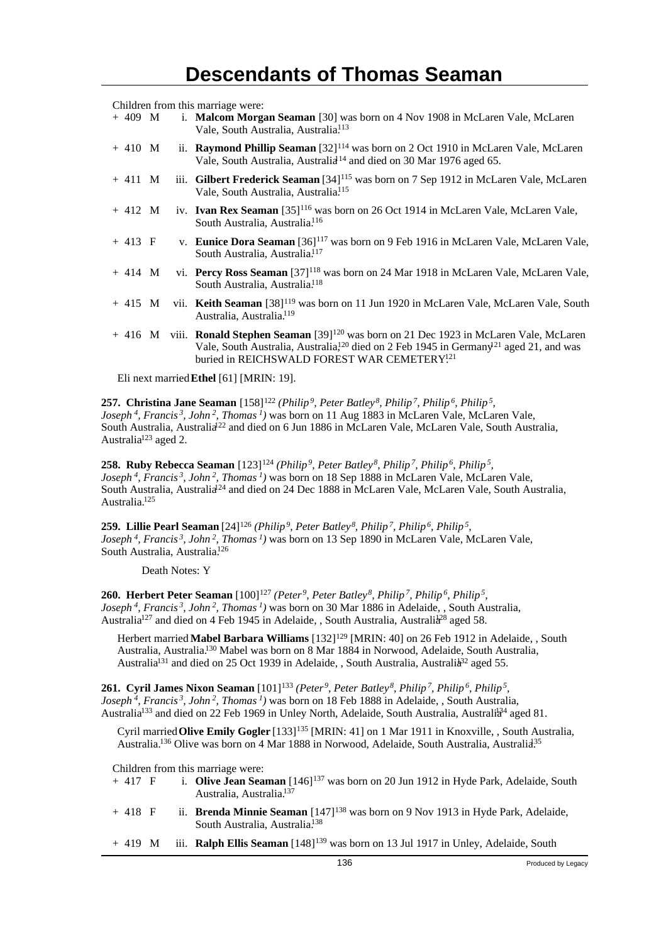Children from this marriage were:

| $+409$ M |  | i. Malcom Morgan Seaman [30] was born on 4 Nov 1908 in McLaren Vale, McLaren<br>Vale, South Australia, Australia. <sup>113</sup>                                           |
|----------|--|----------------------------------------------------------------------------------------------------------------------------------------------------------------------------|
| $+410$ M |  | ii. Raymond Phillip Seaman $[32]^{114}$ was born on 2 Oct 1910 in McLaren Vale, McLaren<br>Vale, South Australia, Australia <sup>14</sup> and died on 30 Mar 1976 aged 65. |
| $+411$ M |  | iii. Gilbert Frederick Seaman [34] <sup>115</sup> was born on 7 Sep 1912 in McLaren Vale, McLaren<br>Vale, South Australia, Australia <sup>115</sup>                       |
|          |  | $+412$ M iv. Ivan Rex Seaman [35] <sup>116</sup> was born on 26 Oct 1914 in McLaren Vale, McLaren Vale,<br>South Australia, Australia. <sup>116</sup>                      |
| $+413$ F |  | v. Eunice Dora Seaman [36] <sup>117</sup> was born on 9 Feb 1916 in McLaren Vale, McLaren Vale,<br>South Australia, Australia. <sup>117</sup>                              |

- + 414 M vi. **Percy Ross Seaman** [37]<sup>118</sup> was born on 24 Mar 1918 in McLaren Vale, McLaren Vale, South Australia, Australia.<sup>118</sup>
- + 415 M vii. **Keith Seaman** [38]<sup>119</sup> was born on 11 Jun 1920 in McLaren Vale, McLaren Vale, South Australia, Australia.<sup>119</sup>
- + 416 M viii. **Ronald Stephen Seaman** [39]<sup>120</sup> was born on 21 Dec 1923 in McLaren Vale, McLaren Vale, South Australia, Australia,<sup>120</sup> died on 2 Feb 1945 in Germany<sup>121</sup> aged 21, and was buried in REICHSWALD FOREST WAR CEMETERY<sup>121</sup>

Eli next married **Ethel** [61] [MRIN: 19].

**257. Christina Jane Seaman** [158]<sup>122</sup> *(Philip<sup>9</sup>, Peter Batley<sup>8</sup>, Philip<sup>7</sup>, Philip<sup>6</sup>, Philip<sup>5</sup> , Joseph<sup>4</sup>, Francis<sup>3</sup>, John<sup>2</sup>, Thomas<sup>1</sup>)* was born on 11 Aug 1883 in McLaren Vale, McLaren Vale, South Australia, Australia<sup>22</sup> and died on 6 Jun 1886 in McLaren Vale, McLaren Vale, South Australia, Australia<sup>123</sup> aged 2.

**258. Ruby Rebecca Seaman** [123]<sup>124</sup> *(Philip<sup>9</sup>, Peter Batley<sup>8</sup>, Philip<sup>7</sup>, Philip<sup>6</sup>, Philip<sup>5</sup> , Joseph<sup>4</sup>, Francis<sup>3</sup>, John<sup>2</sup>, Thomas<sup>1</sup>)* was born on 18 Sep 1888 in McLaren Vale, McLaren Vale, South Australia, Australia<sup>24</sup> and died on 24 Dec 1888 in McLaren Vale, McLaren Vale, South Australia, Australia.<sup>125</sup>

**259. Lillie Pearl Seaman** [24]<sup>126</sup> *(Philip<sup>9</sup>, Peter Batley<sup>8</sup>, Philip<sup>7</sup>, Philip<sup>6</sup>, Philip<sup>5</sup> , Joseph<sup>4</sup>, Francis<sup>3</sup>, John<sup>2</sup>, Thomas<sup>1</sup>)* was born on 13 Sep 1890 in McLaren Vale, McLaren Vale, South Australia, Australia.<sup>126</sup>

Death Notes: Y

**260. Herbert Peter Seaman** [100]<sup>127</sup> (Peter<sup>9</sup>, Peter Batley<sup>8</sup>, Philip<sup>7</sup>, Philip<sup>5</sup>, Philip<sup>5</sup>, *Joseph<sup>4</sup>, Francis<sup>3</sup>, John<sup>2</sup>, Thomas<sup>1</sup>)* was born on 30 Mar 1886 in Adelaide, , South Australia, Australia<sup>127</sup> and died on 4 Feb 1945 in Adelaide, , South Australia, Australia<sup>28</sup> aged 58.

Herbert married **Mabel Barbara Williams** [132]<sup>129</sup> [MRIN: 40] on 26 Feb 1912 in Adelaide, , South Australia, Australia.<sup>130</sup> Mabel was born on 8 Mar 1884 in Norwood, Adelaide, South Australia, Australia<sup>131</sup> and died on 25 Oct 1939 in Adelaide, , South Australia, Australia<sup>32</sup> aged 55.

**261. Cyril James Nixon Seaman** [101]<sup>133</sup> *(Peter<sup>9</sup>, Peter Batley<sup>8</sup>, Philip<sup>7</sup>, Philip<sup>6</sup>, Philip<sup>5</sup> , Joseph<sup>4</sup>, Francis<sup>3</sup>, John<sup>2</sup>, Thomas<sup>1</sup>)* was born on 18 Feb 1888 in Adelaide, , South Australia, Australia<sup>133</sup> and died on 22 Feb 1969 in Unley North, Adelaide, South Australia, Australia<sup>34</sup> aged 81.

Cyril married **Olive Emily Gogler** [133]<sup>135</sup> [MRIN: 41] on 1 Mar 1911 in Knoxville, , South Australia, Australia.<sup>136</sup> Olive was born on 4 Mar 1888 in Norwood, Adelaide, South Australia, Australia.<sup>135</sup>

Children from this marriage were:<br>+  $417 \text{ F}$  i. Olive Jean Sea

- i. Olive Jean Seaman [146]<sup>137</sup> was born on 20 Jun 1912 in Hyde Park, Adelaide, South Australia, Australia.<sup>137</sup>
- + 418 F ii. **Brenda Minnie Seaman** [147]<sup>138</sup> was born on 9 Nov 1913 in Hyde Park, Adelaide, South Australia, Australia.<sup>138</sup>
- + 419 M iii. **Ralph Ellis Seaman** [148]<sup>139</sup> was born on 13 Jul 1917 in Unley, Adelaide, South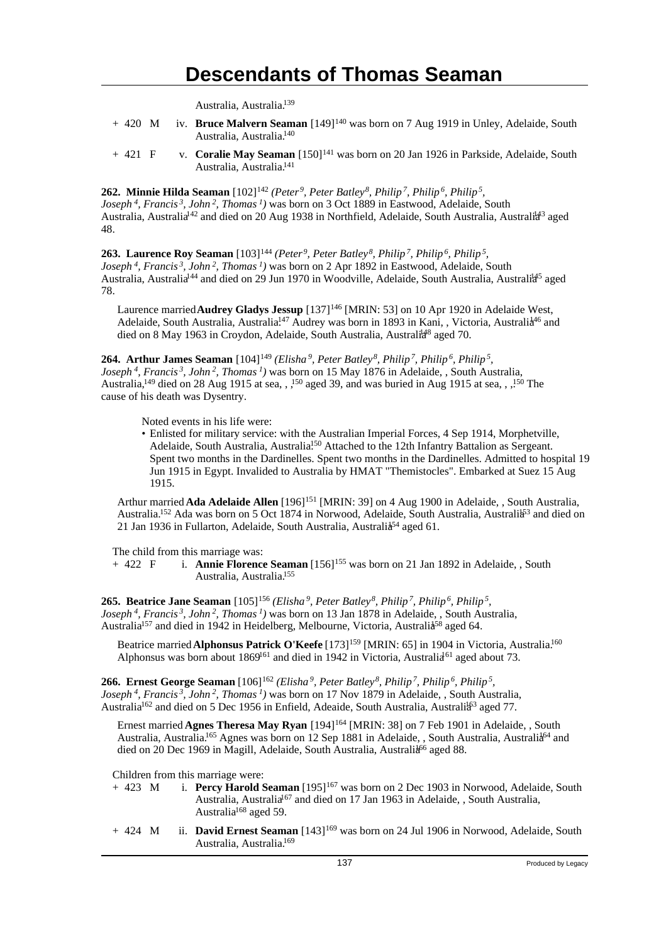Australia, Australia.<sup>139</sup>

- + 420 M iv. **Bruce Malvern Seaman** [149]<sup>140</sup> was born on 7 Aug 1919 in Unley, Adelaide, South Australia, Australia.<sup>140</sup>
- + 421 F v. **Coralie May Seaman** [150]<sup>141</sup> was born on 20 Jan 1926 in Parkside, Adelaide, South Australia, Australia.<sup>141</sup>

**262. Minnie Hilda Seaman** [102]<sup>142</sup> *(Peter<sup>9</sup>, Peter Batley<sup>8</sup>, Philip<sup>7</sup>, Philip<sup>6</sup>, Philip<sup>5</sup> , Joseph<sup>4</sup>, Francis<sup>3</sup>, John<sup>2</sup>, Thomas<sup>1</sup>)* was born on 3 Oct 1889 in Eastwood, Adelaide, South Australia, Australia<sup>142</sup> and died on 20 Aug 1938 in Northfield, Adelaide, South Australia, Australi<sup>443</sup> aged 48.

**263. Laurence Roy Seaman** [103]<sup>144</sup> *(Peter<sup>9</sup>, Peter Batley<sup>8</sup>, Philip<sup>7</sup>, Philip<sup>6</sup>, Philip<sup>5</sup> , Joseph<sup>4</sup>, Francis<sup>3</sup>, John<sup>2</sup>, Thomas<sup>1</sup>)* was born on 2 Apr 1892 in Eastwood, Adelaide, South Australia, Australia<sup>144</sup> and died on 29 Jun 1970 in Woodville, Adelaide, South Australia, Australi<sup>445</sup> aged 78.

Laurence married **Audrey Gladys Jessup** [137]<sup>146</sup> [MRIN: 53] on 10 Apr 1920 in Adelaide West, Adelaide, South Australia, Australia.<sup>147</sup> Audrey was born in 1893 in Kani, , Victoria, Australia<sup>46</sup> and died on 8 May 1963 in Croydon, Adelaide, South Australia, Australia<sup>8</sup> aged 70.

**264. Arthur James Seaman** [104]<sup>149</sup> *(Elisha<sup>9</sup>, Peter Batley<sup>8</sup>, Philip<sup>7</sup>, Philip<sup>6</sup>, Philip<sup>5</sup> , Joseph<sup>4</sup>, Francis<sup>3</sup>, John<sup>2</sup>, Thomas<sup>1</sup>)* was born on 15 May 1876 in Adelaide, , South Australia, Australia,<sup>149</sup> died on 28 Aug 1915 at sea, , <sup>150</sup> aged 39, and was buried in Aug 1915 at sea, , <sup>150</sup> The cause of his death was Dysentry.

Noted events in his life were:

• Enlisted for military service: with the Australian Imperial Forces, 4 Sep 1914, Morphetville, Adelaide, South Australia, Australia<sup>150</sup> Attached to the 12th Infantry Battalion as Sergeant. Spent two months in the Dardinelles. Spent two months in the Dardinelles. Admitted to hospital 19 Jun 1915 in Egypt. Invalided to Australia by HMAT "Themistocles". Embarked at Suez 15 Aug 1915.

Arthur married **Ada Adelaide Allen** [196]<sup>151</sup> [MRIN: 39] on 4 Aug 1900 in Adelaide, , South Australia, Australia.<sup>152</sup> Ada was born on 5 Oct 1874 in Norwood, Adelaide, South Australia, Australia<sup>53</sup> and died on 21 Jan 1936 in Fullarton, Adelaide, South Australia, Australia<sup>54</sup> aged 61.

The child from this marriage was:<br>+  $422$  F i. **Annie Florence** 

i. **Annie Florence Seaman** [156]<sup>155</sup> was born on 21 Jan 1892 in Adelaide, , South Australia, Australia.<sup>155</sup>

**265. Beatrice Jane Seaman** [105]<sup>156</sup> *(Elisha<sup>9</sup>, Peter Batley<sup>8</sup>, Philip<sup>7</sup>, Philip<sup>6</sup>, Philip<sup>5</sup> , Joseph<sup>4</sup>, Francis<sup>3</sup>, John<sup>2</sup>, Thomas<sup>1</sup>)* was born on 13 Jan 1878 in Adelaide, , South Australia, Australia<sup>157</sup> and died in 1942 in Heidelberg, Melbourne, Victoria, Australia<sup>58</sup> aged 64.

Beatrice married **Alphonsus Patrick O'Keefe** [173]<sup>159</sup> [MRIN: 65] in 1904 in Victoria, Australia.<sup>160</sup> Alphonsus was born about 1869<sup>161</sup> and died in 1942 in Victoria, Australia<sup>61</sup> aged about 73.

**266. Ernest George Seaman** [106]<sup>162</sup> *(Elisha<sup>9</sup>, Peter Batley<sup>8</sup>, Philip<sup>7</sup>, Philip<sup>6</sup>, Philip<sup>5</sup> , Joseph<sup>4</sup>, Francis<sup>3</sup>, John<sup>2</sup>, Thomas<sup>1</sup>)* was born on 17 Nov 1879 in Adelaide, , South Australia, Australia<sup>162</sup> and died on 5 Dec 1956 in Enfield, Adeaide, South Australia, Australia<sup>63</sup> aged 77.

Ernest married **Agnes Theresa May Ryan** [194]<sup>164</sup> [MRIN: 38] on 7 Feb 1901 in Adelaide, , South Australia, Australia.<sup>165</sup> Agnes was born on 12 Sep 1881 in Adelaide, , South Australia, Australia<sup>64</sup> and died on 20 Dec 1969 in Magill, Adelaide, South Australia, Australia<sup>66</sup> aged 88.

Children from this marriage were:<br>+  $423$  M i. **Percy Harold S** 

- i. **Percy Harold Seaman** [195]<sup>167</sup> was born on 2 Dec 1903 in Norwood, Adelaide, South Australia, Australia<sup>167</sup> and died on 17 Jan 1963 in Adelaide, , South Australia, Australia<sup>168</sup> aged 59.
- + 424 M ii. **David Ernest Seaman** [143]<sup>169</sup> was born on 24 Jul 1906 in Norwood, Adelaide, South Australia, Australia.169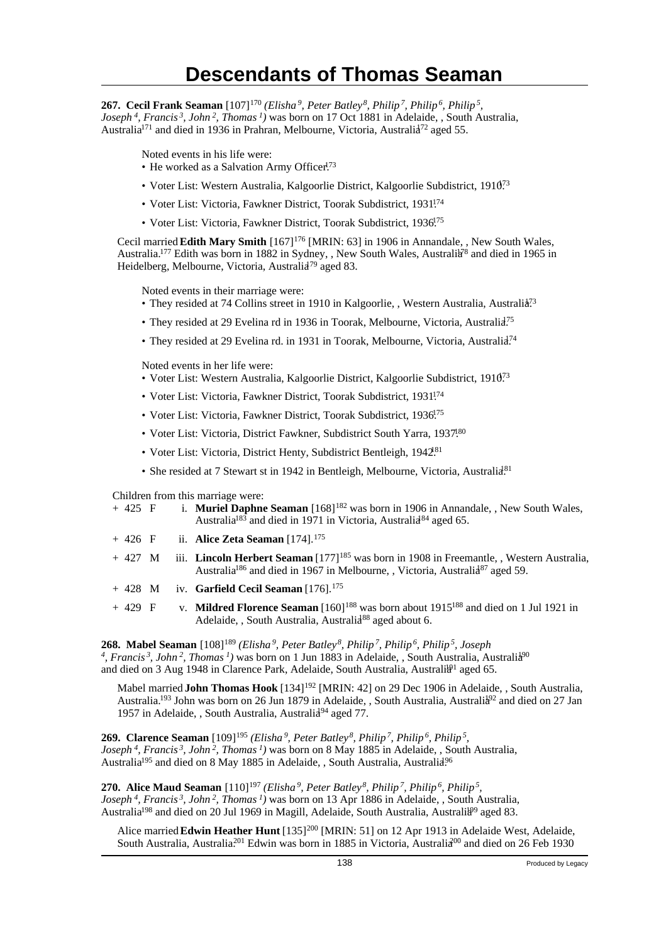**267. Cecil Frank Seaman** [107]<sup>170</sup> *(Elisha<sup>9</sup>, Peter Batley<sup>8</sup>, Philip<sup>7</sup>, Philip<sup>6</sup>, Philip<sup>5</sup> , Joseph<sup>4</sup>, Francis<sup>3</sup>, John<sup>2</sup>, Thomas<sup>1</sup>)* was born on 17 Oct 1881 in Adelaide, , South Australia, Australia<sup>171</sup> and died in 1936 in Prahran, Melbourne, Victoria, Australia<sup>72</sup> aged 55.

Noted events in his life were:

- He worked as a Salvation Army Officer<sup>173</sup>
- Voter List: Western Australia, Kalgoorlie District, Kalgoorlie Subdistrict, 1910<sup>73</sup>
- Voter List: Victoria, Fawkner District, Toorak Subdistrict, 1931.<sup>174</sup>
- Voter List: Victoria, Fawkner District, Toorak Subdistrict, 1936.<sup>75</sup>

Cecil married **Edith Mary Smith** [167]<sup>176</sup> [MRIN: 63] in 1906 in Annandale, , New South Wales, Australia.<sup>177</sup> Edith was born in 1882 in Sydney, , New South Wales, Australia<sup>78</sup> and died in 1965 in Heidelberg, Melbourne, Victoria, Australia<sup>79</sup> aged 83.

Noted events in their marriage were:

- They resided at 74 Collins street in 1910 in Kalgoorlie, , Western Australia, Australia<sup>73</sup>
- They resided at 29 Evelina rd in 1936 in Toorak, Melbourne, Victoria, Australia<sup>75</sup>
- They resided at 29 Evelina rd. in 1931 in Toorak, Melbourne, Victoria, Australia<sup>74</sup>

Noted events in her life were:

- Voter List: Western Australia, Kalgoorlie District, Kalgoorlie Subdistrict, 191073
- Voter List: Victoria, Fawkner District, Toorak Subdistrict, 1931<sup>174</sup>
- Voter List: Victoria, Fawkner District, Toorak Subdistrict, 1936<sup>175</sup>
- Voter List: Victoria, District Fawkner, Subdistrict South Yarra, 1937.80
- Voter List: Victoria, District Henty, Subdistrict Bentleigh, 1942.<sup>81</sup>
- She resided at 7 Stewart st in 1942 in Bentleigh, Melbourne, Victoria, Australia<sup>81</sup>

Children from this marriage were:

|           |  | $+425$ F i. Muriel Daphne Seaman $[168]^{182}$ was born in 1906 in Annandale, New South Wales,<br>Australia <sup>183</sup> and died in 1971 in Victoria, Australia <sup>84</sup> aged 65.                                                                                                                                                                                                                                                        |
|-----------|--|--------------------------------------------------------------------------------------------------------------------------------------------------------------------------------------------------------------------------------------------------------------------------------------------------------------------------------------------------------------------------------------------------------------------------------------------------|
| $+426$ F  |  | ii. Alice Zeta Seaman $[174]$ . $^{175}$                                                                                                                                                                                                                                                                                                                                                                                                         |
| $+427$ M  |  | iii. Lincoln Herbert Seaman [177] <sup>185</sup> was born in 1908 in Freemantle, Western Australia,<br>Australia <sup>186</sup> and died in 1967 in Melbourne, , Victoria, Australia <sup>87</sup> aged 59.                                                                                                                                                                                                                                      |
| $+ 428$ M |  | iv. Garfield Cecil Seaman [176]. <sup>175</sup>                                                                                                                                                                                                                                                                                                                                                                                                  |
| $+429$ F  |  | v. Mildred Florence Seaman [160] <sup>188</sup> was born about 1915 <sup>188</sup> and died on 1 Jul 1921 in<br>Adelaide, , South Australia, Australia <sup>88</sup> aged about 6.                                                                                                                                                                                                                                                               |
|           |  | <b>268. Mabel Seaman</b> [108] <sup>189</sup> (Elisha <sup>9</sup> , Peter Batley <sup>8</sup> , Philip <sup>7</sup> , Philip <sup>6</sup> , Philip <sup>5</sup> , Joseph<br><sup>4</sup> , Francis <sup>3</sup> , John <sup>2</sup> , Thomas <sup>1</sup> ) was born on 1 Jun 1883 in Adelaide, South Australia, Australia <sup>90</sup><br>and died on 3 Aug 1948 in Clarence Park, Adelaide, South Australia, Australia <sup>1</sup> aged 65. |
|           |  |                                                                                                                                                                                                                                                                                                                                                                                                                                                  |

Mabel married **John Thomas Hook** [134]<sup>192</sup> [MRIN: 42] on 29 Dec 1906 in Adelaide, , South Australia, Australia.<sup>193</sup> John was born on 26 Jun 1879 in Adelaide, , South Australia, Australia<sup>92</sup> and died on 27 Jan 1957 in Adelaide, , South Australia, Australia<sup>94</sup> aged 77.

**269. Clarence Seaman** [109]<sup>195</sup> *(Elisha<sup>9</sup>, Peter Batley<sup>8</sup>, Philip<sup>7</sup>, Philip<sup>6</sup>, Philip<sup>5</sup> , Joseph<sup>4</sup>, Francis<sup>3</sup>, John<sup>2</sup>, Thomas<sup>1</sup>)* was born on 8 May 1885 in Adelaide, , South Australia, Australia<sup>195</sup> and died on 8 May 1885 in Adelaide, , South Australia, Australia<sup>96</sup>

**270. Alice Maud Seaman** [110]<sup>197</sup> (Elisha<sup>9</sup>, Peter Batley<sup>8</sup>, Philip<sup>7</sup>, Philip<sup>6</sup>, Philip<sup>5</sup>, *Joseph<sup>4</sup>, Francis<sup>3</sup>, John<sup>2</sup>, Thomas<sup>1</sup>)* was born on 13 Apr 1886 in Adelaide, , South Australia, Australia<sup>198</sup> and died on 20 Jul 1969 in Magill, Adelaide, South Australia, Australia<sup>99</sup> aged 83.

Alice married Edwin Heather Hunt [135]<sup>200</sup> [MRIN: 51] on 12 Apr 1913 in Adelaide West, Adelaide, South Australia, Australia<sup>201</sup> Edwin was born in 1885 in Victoria, Australia<sup>200</sup> and died on 26 Feb 1930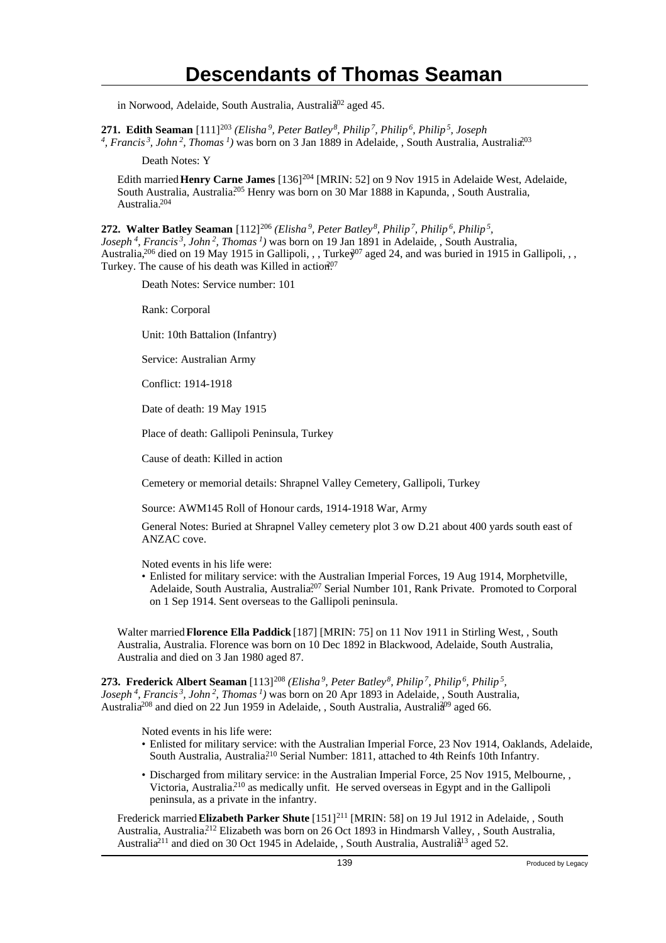in Norwood, Adelaide, South Australia, Australia<sup>02</sup> aged 45.

**271. Edith Seaman** [111]<sup>203</sup> *(Elisha<sup>9</sup>, Peter Batley<sup>8</sup>, Philip<sup>7</sup>, Philip<sup>6</sup>, Philip<sup>5</sup>, Joseph*

*4 , Francis<sup>3</sup>, John<sup>2</sup>, Thomas<sup>1</sup>)* was born on 3 Jan 1889 in Adelaide, , South Australia, Australia.<sup>203</sup>

Death Notes: Y

Edith married **Henry Carne James** [136]<sup>204</sup> [MRIN: 52] on 9 Nov 1915 in Adelaide West, Adelaide, South Australia, Australia.<sup>205</sup> Henry was born on 30 Mar 1888 in Kapunda, , South Australia, Australia.<sup>204</sup>

**272. Walter Batley Seaman** [112]<sup>206</sup> *(Elisha<sup>9</sup>, Peter Batley<sup>8</sup>, Philip<sup>7</sup>, Philip<sup>6</sup>, Philip<sup>5</sup> , Joseph<sup>4</sup>, Francis<sup>3</sup>, John<sup>2</sup>, Thomas<sup>1</sup>)* was born on 19 Jan 1891 in Adelaide, , South Australia, Australia,<sup>206</sup> died on 19 May 1915 in Gallipoli, , , Turke<sup> $207$ </sup> aged 24, and was buried in 1915 in Gallipoli, , , Turkey. The cause of his death was Killed in action.<sup>07</sup>

Death Notes: Service number: 101

Rank: Corporal

Unit: 10th Battalion (Infantry)

Service: Australian Army

Conflict: 1914-1918

Date of death: 19 May 1915

Place of death: Gallipoli Peninsula, Turkey

Cause of death: Killed in action

Cemetery or memorial details: Shrapnel Valley Cemetery, Gallipoli, Turkey

Source: AWM145 Roll of Honour cards, 1914-1918 War, Army

General Notes: Buried at Shrapnel Valley cemetery plot 3 ow D.21 about 400 yards south east of ANZAC cove.

Noted events in his life were:

• Enlisted for military service: with the Australian Imperial Forces, 19 Aug 1914, Morphetville, Adelaide, South Australia, Australia.<sup>207</sup> Serial Number 101, Rank Private. Promoted to Corporal on 1 Sep 1914. Sent overseas to the Gallipoli peninsula.

Walter married **Florence Ella Paddick** [187] [MRIN: 75] on 11 Nov 1911 in Stirling West, , South Australia, Australia. Florence was born on 10 Dec 1892 in Blackwood, Adelaide, South Australia, Australia and died on 3 Jan 1980 aged 87.

**273. Frederick Albert Seaman** [113]<sup>208</sup> *(Elisha<sup>9</sup>, Peter Batley<sup>8</sup>, Philip<sup>7</sup>, Philip<sup>6</sup>, Philip<sup>5</sup> , Joseph<sup>4</sup>, Francis<sup>3</sup>, John<sup>2</sup>, Thomas<sup>1</sup>)* was born on 20 Apr 1893 in Adelaide, , South Australia, Australia<sup>208</sup> and died on 22 Jun 1959 in Adelaide, , South Australia, Australia<sup>99</sup> aged 66.

Noted events in his life were:

- Enlisted for military service: with the Australian Imperial Force, 23 Nov 1914, Oaklands, Adelaide, South Australia, Australia<sup>210</sup> Serial Number: 1811, attached to 4th Reinfs 10th Infantry.
- Discharged from military service: in the Australian Imperial Force, 25 Nov 1915, Melbourne, , Victoria, Australia.<sup>210</sup> as medically unfit. He served overseas in Egypt and in the Gallipoli peninsula, as a private in the infantry.

Frederick married Elizabeth Parker Shute [151]<sup>211</sup> [MRIN: 58] on 19 Jul 1912 in Adelaide, , South Australia, Australia.<sup>212</sup> Elizabeth was born on 26 Oct 1893 in Hindmarsh Valley, , South Australia, Australia<sup>211</sup> and died on 30 Oct 1945 in Adelaide, , South Australia, Australia<sup>13</sup> aged 52.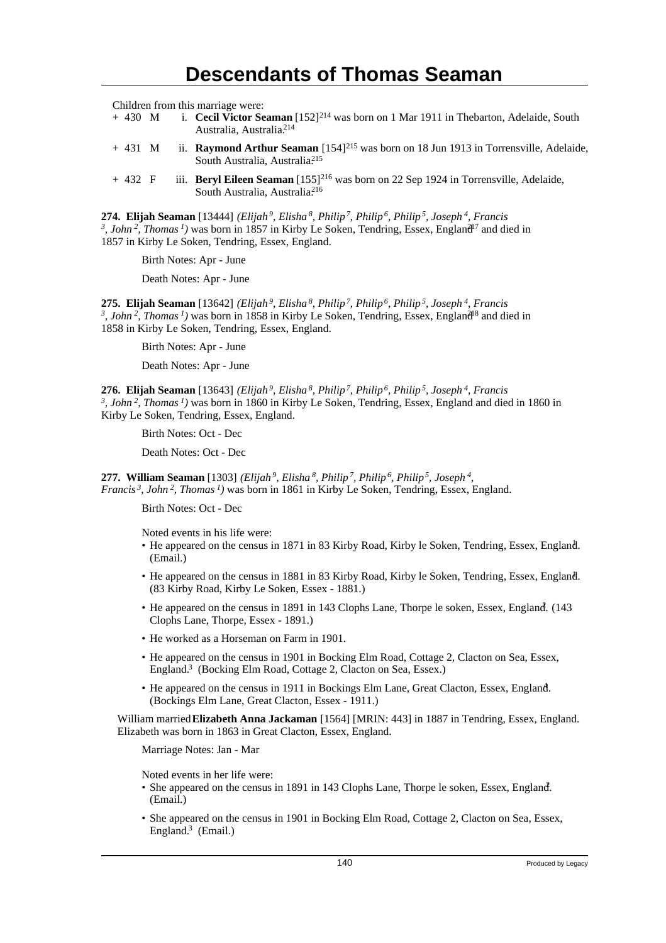Children from this marriage were:<br>+ 430 M i. Cecil Victor Se

- i. **Cecil Victor Seaman** [152]<sup>214</sup> was born on 1 Mar 1911 in Thebarton, Adelaide, South Australia, Australia.<sup>214</sup>
- + 431 M ii. **Raymond Arthur Seaman** [154]<sup>215</sup> was born on 18 Jun 1913 in Torrensville, Adelaide, South Australia, Australia<sup>215</sup>
- + 432 F iii. **Beryl Eileen Seaman** [155]<sup>216</sup> was born on 22 Sep 1924 in Torrensville, Adelaide, South Australia, Australia.<sup>216</sup>

**274. Elijah Seaman** [13444] *(Elijah<sup>9</sup>, Elisha<sup>8</sup>, Philip<sup>7</sup>, Philip<sup>6</sup>, Philip<sup>5</sup>, Joseph<sup>4</sup>, Francis* <sup>3</sup>, John<sup>2</sup>, Thomas<sup>1</sup>) was born in 1857 in Kirby Le Soken, Tendring, Essex, England<sup>17</sup> and died in 1857 in Kirby Le Soken, Tendring, Essex, England.

Birth Notes: Apr - June

Death Notes: Apr - June

**275. Elijah Seaman** [13642] *(Elijah<sup>9</sup>, Elisha<sup>8</sup>, Philip<sup>7</sup>, Philip<sup>6</sup>, Philip<sup>5</sup>, Joseph<sup>4</sup>, Francis* <sup>3</sup>, John<sup>2</sup>, Thomas<sup>1</sup>) was born in 1858 in Kirby Le Soken, Tendring, Essex, England<sup>18</sup> and died in 1858 in Kirby Le Soken, Tendring, Essex, England.

Birth Notes: Apr - June

Death Notes: Apr - June

**276. Elijah Seaman** [13643] *(Elijah<sup>9</sup>, Elisha<sup>8</sup>, Philip<sup>7</sup>, Philip<sup>6</sup>, Philip<sup>5</sup>, Joseph<sup>4</sup>, Francis 3 , John<sup>2</sup>, Thomas<sup>1</sup>)* was born in 1860 in Kirby Le Soken, Tendring, Essex, England and died in 1860 in Kirby Le Soken, Tendring, Essex, England.

Birth Notes: Oct - Dec

Death Notes: Oct - Dec

**277. William Seaman** [1303] *(Elijah<sup>9</sup>, Elisha<sup>8</sup>, Philip<sup>7</sup>, Philip<sup>6</sup>, Philip<sup>5</sup>, Joseph<sup>4</sup> , Francis<sup>3</sup>, John<sup>2</sup>, Thomas<sup>1</sup>)* was born in 1861 in Kirby Le Soken, Tendring, Essex, England.

Birth Notes: Oct - Dec

Noted events in his life were:

- He appeared on the census in 1871 in 83 Kirby Road, Kirby le Soken, Tendring, Essex, England. <sup>1</sup> (Email.)
- He appeared on the census in 1881 in 83 Kirby Road, Kirby le Soken, Tendring, Essex, England. <sup>1</sup> (83 Kirby Road, Kirby Le Soken, Essex - 1881.)
- He appeared on the census in 1891 in 143 Clophs Lane, Thorpe le soken, Essex, England. (143) Clophs Lane, Thorpe, Essex - 1891.)
- He worked as a Horseman on Farm in 1901.
- He appeared on the census in 1901 in Bocking Elm Road, Cottage 2, Clacton on Sea, Essex, England.<sup>3</sup> (Bocking Elm Road, Cottage 2, Clacton on Sea, Essex.)
- He appeared on the census in 1911 in Bockings Elm Lane, Great Clacton, Essex, England. <sup>4</sup> (Bockings Elm Lane, Great Clacton, Essex - 1911.)

William married **Elizabeth Anna Jackaman** [1564] [MRIN: 443] in 1887 in Tendring, Essex, England. Elizabeth was born in 1863 in Great Clacton, Essex, England.

Marriage Notes: Jan - Mar

Noted events in her life were:

- She appeared on the census in 1891 in 143 Clophs Lane, Thorpe le soken, Essex, England. (Email.)
- She appeared on the census in 1901 in Bocking Elm Road, Cottage 2, Clacton on Sea, Essex, England.<sup>3</sup> (Email.)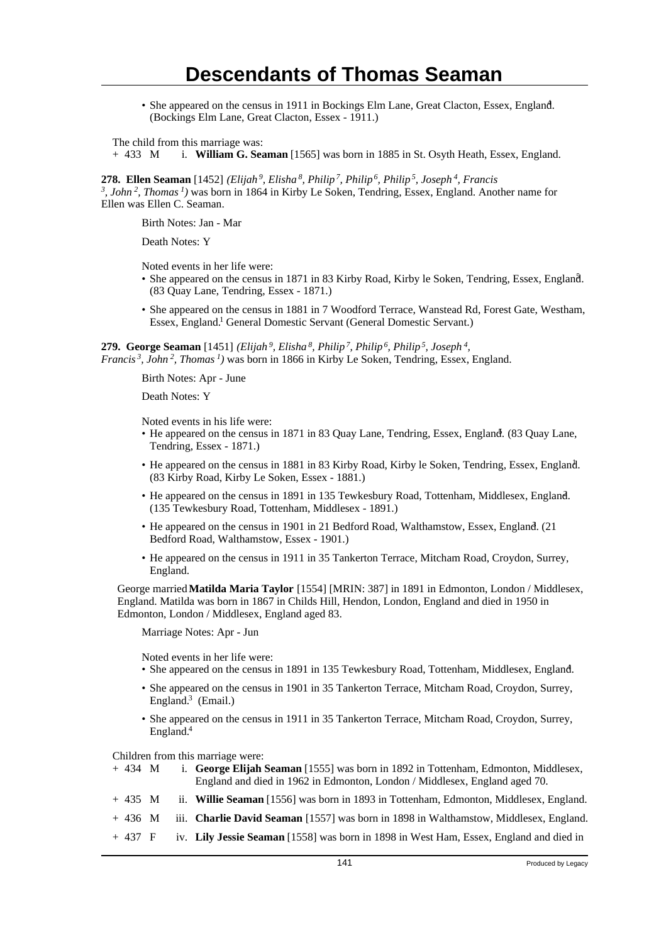• She appeared on the census in 1911 in Bockings Elm Lane, Great Clacton, Essex, England. <sup>4</sup> (Bockings Elm Lane, Great Clacton, Essex - 1911.)

The child from this marriage was:

+ 433 M i. **William G. Seaman** [1565] was born in 1885 in St. Osyth Heath, Essex, England.

**278. Ellen Seaman** [1452] *(Elijah<sup>9</sup>, Elisha<sup>8</sup>, Philip<sup>7</sup>, Philip<sup>6</sup>, Philip<sup>5</sup>, Joseph<sup>4</sup>, Francis*

*3 , John<sup>2</sup>, Thomas<sup>1</sup>)* was born in 1864 in Kirby Le Soken, Tendring, Essex, England. Another name for Ellen was Ellen C. Seaman.

Birth Notes: Jan - Mar

Death Notes: Y

Noted events in her life were:

- She appeared on the census in 1871 in 83 Kirby Road, Kirby le Soken, Tendring, Essex, England. <sup>5</sup> (83 Quay Lane, Tendring, Essex - 1871.)
- She appeared on the census in 1881 in 7 Woodford Terrace, Wanstead Rd, Forest Gate, Westham, Essex, England.<sup>1</sup> General Domestic Servant (General Domestic Servant.)

**279. George Seaman** [1451] *(Elijah<sup>9</sup>, Elisha<sup>8</sup>, Philip<sup>7</sup>, Philip<sup>6</sup>, Philip<sup>5</sup>, Joseph<sup>4</sup> , Francis<sup>3</sup>, John<sup>2</sup>, Thomas<sup>1</sup>)* was born in 1866 in Kirby Le Soken, Tendring, Essex, England.

Birth Notes: Apr - June

Death Notes: Y

Noted events in his life were:

- He appeared on the census in 1871 in 83 Quay Lane, Tendring, Essex, England. (83 Quay Lane, Tendring, Essex - 1871.)
- He appeared on the census in 1881 in 83 Kirby Road, Kirby le Soken, Tendring, Essex, England. (83 Kirby Road, Kirby Le Soken, Essex - 1881.)
- He appeared on the census in 1891 in 135 Tewkesbury Road, Tottenham, Middlesex, England. <sup>2</sup> (135 Tewkesbury Road, Tottenham, Middlesex - 1891.)
- He appeared on the census in 1901 in 21 Bedford Road, Walthamstow, Essex, England. (21 Bedford Road, Walthamstow, Essex - 1901.)
- He appeared on the census in 1911 in 35 Tankerton Terrace, Mitcham Road, Croydon, Surrey, England.

George married **Matilda Maria Taylor** [1554] [MRIN: 387] in 1891 in Edmonton, London / Middlesex, England. Matilda was born in 1867 in Childs Hill, Hendon, London, England and died in 1950 in Edmonton, London / Middlesex, England aged 83.

Marriage Notes: Apr - Jun

Noted events in her life were:

- She appeared on the census in 1891 in 135 Tewkesbury Road, Tottenham, Middlesex, England. <sup>4</sup>
- She appeared on the census in 1901 in 35 Tankerton Terrace, Mitcham Road, Croydon, Surrey, England.<sup>3</sup> (Email.)
- She appeared on the census in 1911 in 35 Tankerton Terrace, Mitcham Road, Croydon, Surrey, England.<sup>4</sup>

Children from this marriage were:

- + 434 M i. **George Elijah Seaman** [1555] was born in 1892 in Tottenham, Edmonton, Middlesex, England and died in 1962 in Edmonton, London / Middlesex, England aged 70.
- + 435 M ii. **Willie Seaman** [1556] was born in 1893 in Tottenham, Edmonton, Middlesex, England.
- + 436 M iii. **Charlie David Seaman** [1557] was born in 1898 in Walthamstow, Middlesex, England.
- + 437 F iv. **Lily Jessie Seaman** [1558] was born in 1898 in West Ham, Essex, England and died in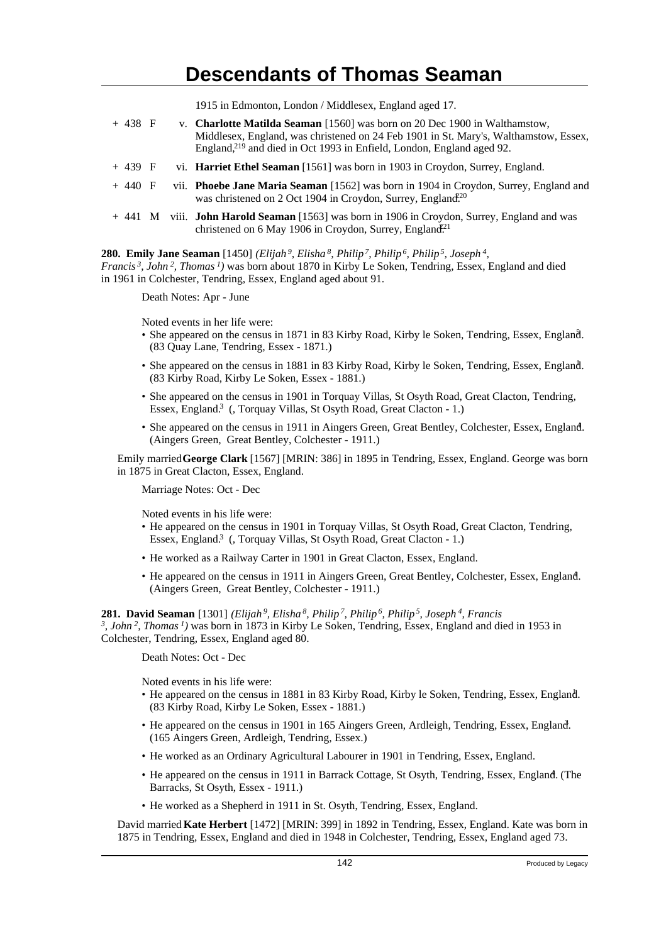1915 in Edmonton, London / Middlesex, England aged 17.

| $+438$ F |  | v. Charlotte Matilda Seaman [1560] was born on 20 Dec 1900 in Walthamstow,<br>Middlesex, England, was christened on 24 Feb 1901 in St. Mary's, Walthamstow, Essex,<br>England, <sup>219</sup> and died in Oct 1993 in Enfield, London, England aged 92. |
|----------|--|---------------------------------------------------------------------------------------------------------------------------------------------------------------------------------------------------------------------------------------------------------|
| $+439$ F |  | vi. Harriet Ethel Seaman [1561] was born in 1903 in Croydon, Surrey, England.                                                                                                                                                                           |
| $+440$ F |  | vii. Phoebe Jane Maria Seaman [1562] was born in 1904 in Croydon, Surrey, England and<br>was christened on 2 Oct 1904 in Croydon, Surrey, England <sup>20</sup>                                                                                         |
|          |  | + 441 M viii. <b>John Harold Seaman</b> [1563] was born in 1906 in Croydon, Surrey, England and was<br>christened on 6 May 1906 in Croydon, Surrey, England <sup>21</sup>                                                                               |

### **280. Emily Jane Seaman** [1450] *(Elijah<sup>9</sup>, Elisha<sup>8</sup>, Philip<sup>7</sup>, Philip<sup>6</sup>, Philip<sup>5</sup>, Joseph<sup>4</sup> ,*

*Francis<sup>3</sup>, John<sup>2</sup>, Thomas<sup>1</sup>)* was born about 1870 in Kirby Le Soken, Tendring, Essex, England and died in 1961 in Colchester, Tendring, Essex, England aged about 91.

Death Notes: Apr - June

Noted events in her life were:

- She appeared on the census in 1871 in 83 Kirby Road, Kirby le Soken, Tendring, Essex, England. (83 Quay Lane, Tendring, Essex - 1871.)
- She appeared on the census in 1881 in 83 Kirby Road, Kirby le Soken, Tendring, Essex, England. <sup>1</sup> (83 Kirby Road, Kirby Le Soken, Essex - 1881.)
- She appeared on the census in 1901 in Torquay Villas, St Osyth Road, Great Clacton, Tendring, Essex, England.<sup>3</sup> (, Torquay Villas, St Osyth Road, Great Clacton - 1.)
- She appeared on the census in 1911 in Aingers Green, Great Bentley, Colchester, Essex, England. (Aingers Green, Great Bentley, Colchester - 1911.)

Emily married **George Clark** [1567] [MRIN: 386] in 1895 in Tendring, Essex, England. George was born in 1875 in Great Clacton, Essex, England.

Marriage Notes: Oct - Dec

Noted events in his life were:

- He appeared on the census in 1901 in Torquay Villas, St Osyth Road, Great Clacton, Tendring, Essex, England.<sup>3</sup> (, Torquay Villas, St Osyth Road, Great Clacton - 1.)
- He worked as a Railway Carter in 1901 in Great Clacton, Essex, England.
- He appeared on the census in 1911 in Aingers Green, Great Bentley, Colchester, Essex, England. <sup>4</sup> (Aingers Green, Great Bentley, Colchester - 1911.)

**281. David Seaman** [1301] *(Elijah<sup>9</sup>, Elisha<sup>8</sup>, Philip<sup>7</sup>, Philip<sup>6</sup>, Philip<sup>5</sup>, Joseph<sup>4</sup>, Francis 3 , John<sup>2</sup>, Thomas<sup>1</sup>)* was born in 1873 in Kirby Le Soken, Tendring, Essex, England and died in 1953 in Colchester, Tendring, Essex, England aged 80.

Death Notes: Oct - Dec

Noted events in his life were:

- He appeared on the census in 1881 in 83 Kirby Road, Kirby le Soken, Tendring, Essex, England. (83 Kirby Road, Kirby Le Soken, Essex - 1881.)
- He appeared on the census in 1901 in 165 Aingers Green, Ardleigh, Tendring, Essex, England. (165 Aingers Green, Ardleigh, Tendring, Essex.)
- He worked as an Ordinary Agricultural Labourer in 1901 in Tendring, Essex, England.
- He appeared on the census in 1911 in Barrack Cottage, St Osyth, Tendring, Essex, England. (The Barracks, St Osyth, Essex - 1911.)
- He worked as a Shepherd in 1911 in St. Osyth, Tendring, Essex, England.

David married **Kate Herbert** [1472] [MRIN: 399] in 1892 in Tendring, Essex, England. Kate was born in 1875 in Tendring, Essex, England and died in 1948 in Colchester, Tendring, Essex, England aged 73.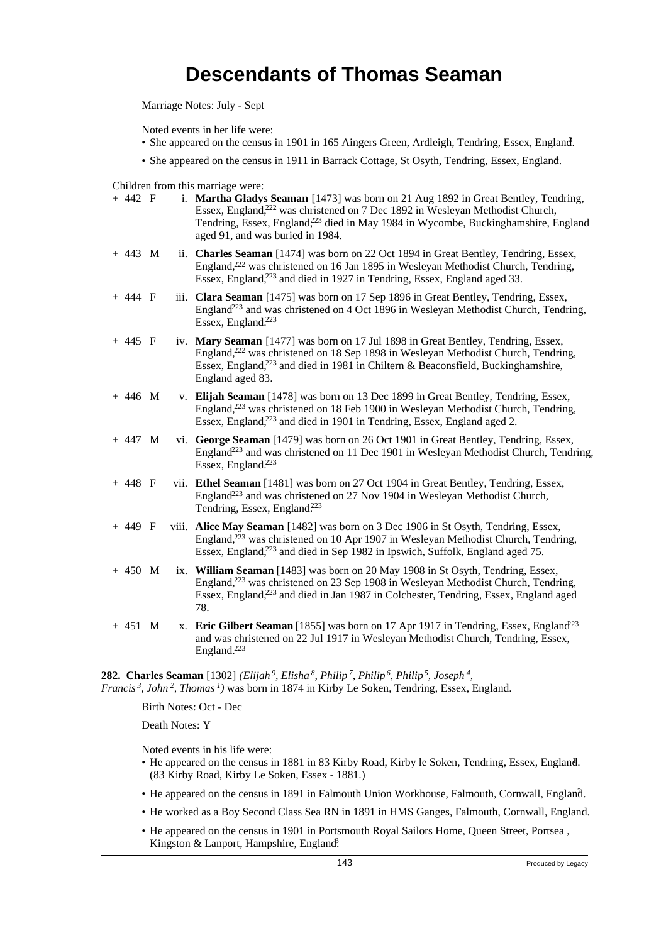Marriage Notes: July - Sept

Noted events in her life were:

- She appeared on the census in 1901 in 165 Aingers Green, Ardleigh, Tendring, Essex, England.
- She appeared on the census in 1911 in Barrack Cottage, St Osyth, Tendring, Essex, England.

Children from this marriage were:

| $+ 442 F$ |  | i. Martha Gladys Seaman [1473] was born on 21 Aug 1892 in Great Bentley, Tendring,<br>Essex, England, <sup>222</sup> was christened on 7 Dec 1892 in Wesleyan Methodist Church,<br>Tendring, Essex, England, <sup>223</sup> died in May 1984 in Wycombe, Buckinghamshire, England<br>aged 91, and was buried in 1984. |
|-----------|--|-----------------------------------------------------------------------------------------------------------------------------------------------------------------------------------------------------------------------------------------------------------------------------------------------------------------------|
| $+ 443 M$ |  | ii. Charles Seaman [1474] was born on 22 Oct 1894 in Great Bentley, Tendring, Essex,<br>England, <sup>222</sup> was christened on 16 Jan 1895 in Wesleyan Methodist Church, Tendring,<br>Essex, England, <sup>223</sup> and died in 1927 in Tendring, Essex, England aged 33.                                         |
| $+ 444 F$ |  | iii. Clara Seaman [1475] was born on 17 Sep 1896 in Great Bentley, Tendring, Essex,<br>England <sup>223</sup> and was christened on 4 Oct 1896 in Wesleyan Methodist Church, Tendring,<br>Essex, England. <sup>223</sup>                                                                                              |
| $+ 445 F$ |  | iv. Mary Seaman [1477] was born on 17 Jul 1898 in Great Bentley, Tendring, Essex,<br>England, <sup>222</sup> was christened on 18 Sep 1898 in Wesleyan Methodist Church, Tendring,<br>Essex, England, <sup>223</sup> and died in 1981 in Chiltern & Beaconsfield, Buckinghamshire,<br>England aged 83.                |
| $+ 446 M$ |  | v. Elijah Seaman [1478] was born on 13 Dec 1899 in Great Bentley, Tendring, Essex,<br>England, <sup>223</sup> was christened on 18 Feb 1900 in Wesleyan Methodist Church, Tendring,<br>Essex, England, <sup>223</sup> and died in 1901 in Tendring, Essex, England aged 2.                                            |
| $+ 447 M$ |  | vi. George Seaman [1479] was born on 26 Oct 1901 in Great Bentley, Tendring, Essex,<br>England <sup>223</sup> and was christened on 11 Dec 1901 in Wesleyan Methodist Church, Tendring,<br>Essex, England. <sup>223</sup>                                                                                             |
| $+ 448 F$ |  | vii. Ethel Seaman [1481] was born on 27 Oct 1904 in Great Bentley, Tendring, Essex,<br>England <sup>223</sup> and was christened on 27 Nov 1904 in Wesleyan Methodist Church,<br>Tendring, Essex, England. <sup>223</sup>                                                                                             |
| $+ 449 F$ |  | viii. Alice May Seaman [1482] was born on 3 Dec 1906 in St Osyth, Tendring, Essex,<br>England, <sup>223</sup> was christened on 10 Apr 1907 in Wesleyan Methodist Church, Tendring,<br>Essex, England, <sup>223</sup> and died in Sep 1982 in Ipswich, Suffolk, England aged 75.                                      |
| $+ 450$ M |  | ix. William Seaman [1483] was born on 20 May 1908 in St Osyth, Tendring, Essex,<br>England, <sup>223</sup> was christened on 23 Sep 1908 in Wesleyan Methodist Church, Tendring,<br>Essex, England, <sup>223</sup> and died in Jan 1987 in Colchester, Tendring, Essex, England aged<br>78.                           |
| $+ 451 M$ |  | x. Eric Gilbert Seaman [1855] was born on 17 Apr 1917 in Tendring, Essex, England <sup>23</sup><br>and was christened on 22 Jul 1917 in Wesleyan Methodist Church, Tendring, Essex,<br>England. <sup>223</sup>                                                                                                        |
|           |  |                                                                                                                                                                                                                                                                                                                       |

**282. Charles Seaman** [1302] *(Elijah<sup>9</sup>, Elisha<sup>8</sup>, Philip<sup>7</sup>, Philip<sup>6</sup>, Philip<sup>5</sup>, Joseph<sup>4</sup> , Francis<sup>3</sup>, John<sup>2</sup>, Thomas<sup>1</sup>)* was born in 1874 in Kirby Le Soken, Tendring, Essex, England.

Birth Notes: Oct - Dec

Death Notes: Y

Noted events in his life were:

- He appeared on the census in 1881 in 83 Kirby Road, Kirby le Soken, Tendring, Essex, England. <sup>1</sup> (83 Kirby Road, Kirby Le Soken, Essex - 1881.)
- He appeared on the census in 1891 in Falmouth Union Workhouse, Falmouth, Cornwall, England. <sup>2</sup>
- He worked as a Boy Second Class Sea RN in 1891 in HMS Ganges, Falmouth, Cornwall, England.
- He appeared on the census in 1901 in Portsmouth Royal Sailors Home, Queen Street, Portsea , Kingston & Lanport, Hampshire, England.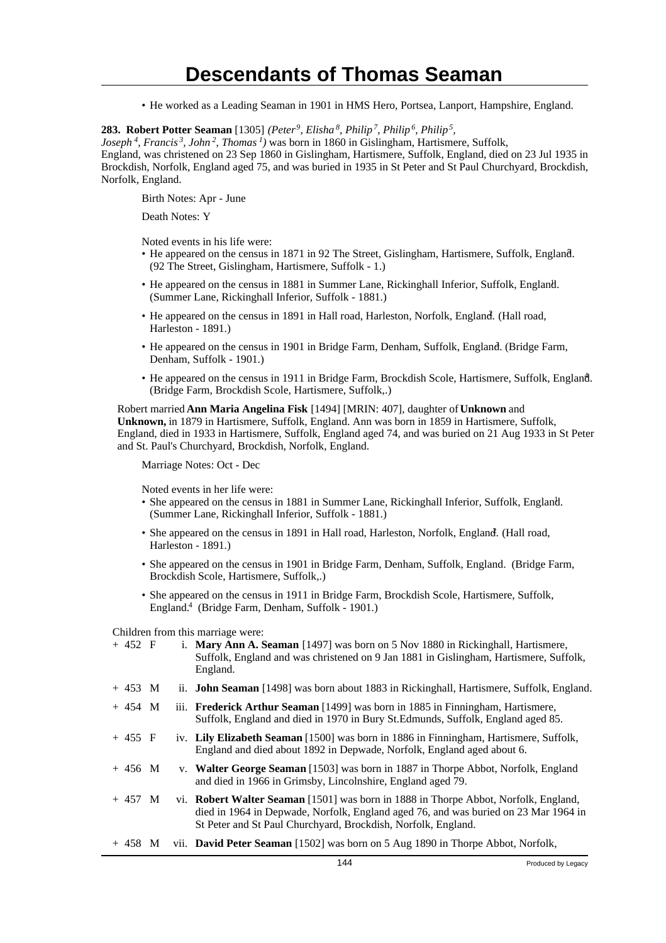• He worked as a Leading Seaman in 1901 in HMS Hero, Portsea, Lanport, Hampshire, England.

#### **283. Robert Potter Seaman** [1305] *(Peter<sup>9</sup>, Elisha<sup>8</sup>, Philip<sup>7</sup>, Philip<sup>6</sup>, Philip<sup>5</sup> ,*

*Joseph<sup>4</sup>, Francis<sup>3</sup>, John<sup>2</sup>, Thomas<sup>1</sup>)* was born in 1860 in Gislingham, Hartismere, Suffolk,

England, was christened on 23 Sep 1860 in Gislingham, Hartismere, Suffolk, England, died on 23 Jul 1935 in Brockdish, Norfolk, England aged 75, and was buried in 1935 in St Peter and St Paul Churchyard, Brockdish, Norfolk, England.

Birth Notes: Apr - June

Death Notes: Y

Noted events in his life were:

- He appeared on the census in 1871 in 92 The Street, Gislingham, Hartismere, Suffolk, England. (92 The Street, Gislingham, Hartismere, Suffolk - 1.)
- He appeared on the census in 1881 in Summer Lane, Rickinghall Inferior, Suffolk, England. (Summer Lane, Rickinghall Inferior, Suffolk - 1881.)
- He appeared on the census in 1891 in Hall road, Harleston, Norfolk, England. (Hall road, Harleston - 1891.)
- He appeared on the census in 1901 in Bridge Farm, Denham, Suffolk, England. (Bridge Farm, Denham, Suffolk - 1901.)
- He appeared on the census in 1911 in Bridge Farm, Brockdish Scole, Hartismere, Suffolk, England. (Bridge Farm, Brockdish Scole, Hartismere, Suffolk,.)

Robert married **Ann Maria Angelina Fisk** [1494] [MRIN: 407], daughter of **Unknown** and **Unknown,** in 1879 in Hartismere, Suffolk, England. Ann was born in 1859 in Hartismere, Suffolk, England, died in 1933 in Hartismere, Suffolk, England aged 74, and was buried on 21 Aug 1933 in St Peter and St. Paul's Churchyard, Brockdish, Norfolk, England.

Marriage Notes: Oct - Dec

Noted events in her life were:

- She appeared on the census in 1881 in Summer Lane, Rickinghall Inferior, Suffolk, England. <sup>1</sup> (Summer Lane, Rickinghall Inferior, Suffolk - 1881.)
- She appeared on the census in 1891 in Hall road, Harleston, Norfolk, England. (Hall road, Harleston - 1891.)
- She appeared on the census in 1901 in Bridge Farm, Denham, Suffolk, England. (Bridge Farm, Brockdish Scole, Hartismere, Suffolk,.)
- She appeared on the census in 1911 in Bridge Farm, Brockdish Scole, Hartismere, Suffolk, England.<sup>4</sup> (Bridge Farm, Denham, Suffolk - 1901.)

Children from this marriage were:

| $+ 452 F$ |  | i. Mary Ann A. Seaman [1497] was born on 5 Nov 1880 in Rickinghall, Hartismere,<br>Suffolk, England and was christened on 9 Jan 1881 in Gislingham, Hartismere, Suffolk,                                                                    |                    |
|-----------|--|---------------------------------------------------------------------------------------------------------------------------------------------------------------------------------------------------------------------------------------------|--------------------|
|           |  | England.                                                                                                                                                                                                                                    |                    |
| $+453$ M  |  | ii. <b>John Seaman</b> [1498] was born about 1883 in Rickinghall, Hartismere, Suffolk, England.                                                                                                                                             |                    |
| $+454$ M  |  | iii. Frederick Arthur Seaman [1499] was born in 1885 in Finningham, Hartismere,<br>Suffolk, England and died in 1970 in Bury St.Edmunds, Suffolk, England aged 85.                                                                          |                    |
| $+455$ F  |  | iv. Lily Elizabeth Seaman [1500] was born in 1886 in Finningham, Hartismere, Suffolk,<br>England and died about 1892 in Depwade, Norfolk, England aged about 6.                                                                             |                    |
| $+456$ M  |  | v. Walter George Seaman [1503] was born in 1887 in Thorpe Abbot, Norfolk, England<br>and died in 1966 in Grimsby, Lincolnshire, England aged 79.                                                                                            |                    |
| $+457$ M  |  | vi. Robert Walter Seaman [1501] was born in 1888 in Thorpe Abbot, Norfolk, England,<br>died in 1964 in Depwade, Norfolk, England aged 76, and was buried on 23 Mar 1964 in<br>St Peter and St Paul Churchyard, Brockdish, Norfolk, England. |                    |
| $+ 458$ M |  | vii. <b>David Peter Seaman</b> [1502] was born on 5 Aug 1890 in Thorpe Abbot, Norfolk,                                                                                                                                                      |                    |
|           |  | 144                                                                                                                                                                                                                                         | Produced by Legacy |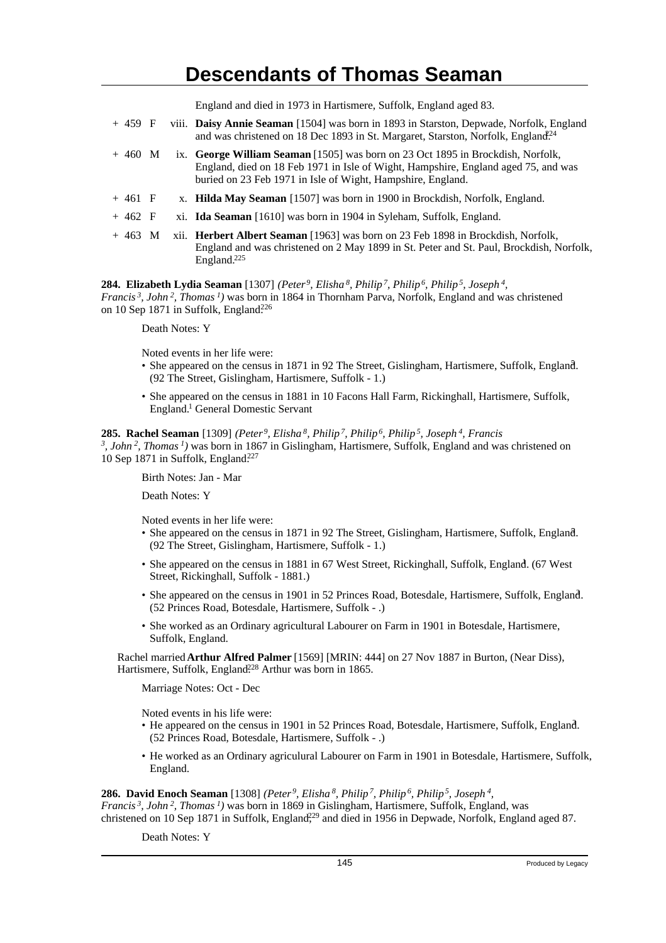England and died in 1973 in Hartismere, Suffolk, England aged 83.

| $+459$ F         |  | viii. Daisy Annie Seaman [1504] was born in 1893 in Starston, Depwade, Norfolk, England<br>and was christened on 18 Dec 1893 in St. Margaret, Starston, Norfolk, England <sup>24</sup>                                               |  |
|------------------|--|--------------------------------------------------------------------------------------------------------------------------------------------------------------------------------------------------------------------------------------|--|
| $+460$ M         |  | ix. George William Seaman [1505] was born on 23 Oct 1895 in Brockdish, Norfolk,<br>England, died on 18 Feb 1971 in Isle of Wight, Hampshire, England aged 75, and was<br>buried on 23 Feb 1971 in Isle of Wight, Hampshire, England. |  |
| $+461$ F         |  | x. Hilda May Seaman [1507] was born in 1900 in Brockdish, Norfolk, England.                                                                                                                                                          |  |
| $+462 \text{ F}$ |  | xi. <b>Ida Seaman</b> [1610] was born in 1904 in Syleham, Suffolk, England.                                                                                                                                                          |  |
| $+463$ M         |  | xii. <b>Herbert Albert Seaman</b> [1963] was born on 23 Feb 1898 in Brockdish, Norfolk,<br>England and was christened on 2 May 1899 in St. Peter and St. Paul, Brockdish, Norfolk,<br>England. $225$                                 |  |

**284. Elizabeth Lydia Seaman** [1307] *(Peter<sup>9</sup>, Elisha<sup>8</sup>, Philip<sup>7</sup>, Philip<sup>6</sup>, Philip<sup>5</sup>, Joseph<sup>4</sup> , Francis<sup>3</sup>, John<sup>2</sup>, Thomas<sup>1</sup>)* was born in 1864 in Thornham Parva, Norfolk, England and was christened on 10 Sep 1871 in Suffolk, England<sup>226</sup>

Death Notes: Y

Noted events in her life were:

- She appeared on the census in 1871 in 92 The Street, Gislingham, Hartismere, Suffolk, England. (92 The Street, Gislingham, Hartismere, Suffolk - 1.)
- She appeared on the census in 1881 in 10 Facons Hall Farm, Rickinghall, Hartismere, Suffolk, England.<sup>1</sup> General Domestic Servant

### **285. Rachel Seaman** [1309] *(Peter<sup>9</sup>, Elisha<sup>8</sup>, Philip<sup>7</sup>, Philip<sup>6</sup>, Philip<sup>5</sup>, Joseph<sup>4</sup>, Francis 3 , John<sup>2</sup>, Thomas<sup>1</sup>)* was born in 1867 in Gislingham, Hartismere, Suffolk, England and was christened on 10 Sep 1871 in Suffolk, England.<sup>227</sup>

Birth Notes: Jan - Mar

Death Notes: Y

Noted events in her life were:

- She appeared on the census in 1871 in 92 The Street, Gislingham, Hartismere, Suffolk, England. (92 The Street, Gislingham, Hartismere, Suffolk - 1.)
- She appeared on the census in 1881 in 67 West Street, Rickinghall, Suffolk, England. (67 West Street, Rickinghall, Suffolk - 1881.)
- She appeared on the census in 1901 in 52 Princes Road, Botesdale, Hartismere, Suffolk, England. <sup>3</sup> (52 Princes Road, Botesdale, Hartismere, Suffolk - .)
- She worked as an Ordinary agricultural Labourer on Farm in 1901 in Botesdale, Hartismere, Suffolk, England.

Rachel married **Arthur Alfred Palmer** [1569] [MRIN: 444] on 27 Nov 1887 in Burton, (Near Diss), Hartismere, Suffolk, England<sup>228</sup> Arthur was born in 1865.

Marriage Notes: Oct - Dec

Noted events in his life were:

- He appeared on the census in 1901 in 52 Princes Road, Botesdale, Hartismere, Suffolk, England. <sup>3</sup> (52 Princes Road, Botesdale, Hartismere, Suffolk - .)
- He worked as an Ordinary agriculural Labourer on Farm in 1901 in Botesdale, Hartismere, Suffolk, England.

**286. David Enoch Seaman** [1308] *(Peter<sup>9</sup>, Elisha<sup>8</sup>, Philip<sup>7</sup>, Philip<sup>6</sup>, Philip<sup>5</sup>, Joseph<sup>4</sup> , Francis<sup>3</sup>, John<sup>2</sup>, Thomas<sup>1</sup>)* was born in 1869 in Gislingham, Hartismere, Suffolk, England, was christened on 10 Sep 1871 in Suffolk, England<sup>229</sup> and died in 1956 in Depwade, Norfolk, England aged 87.

Death Notes: Y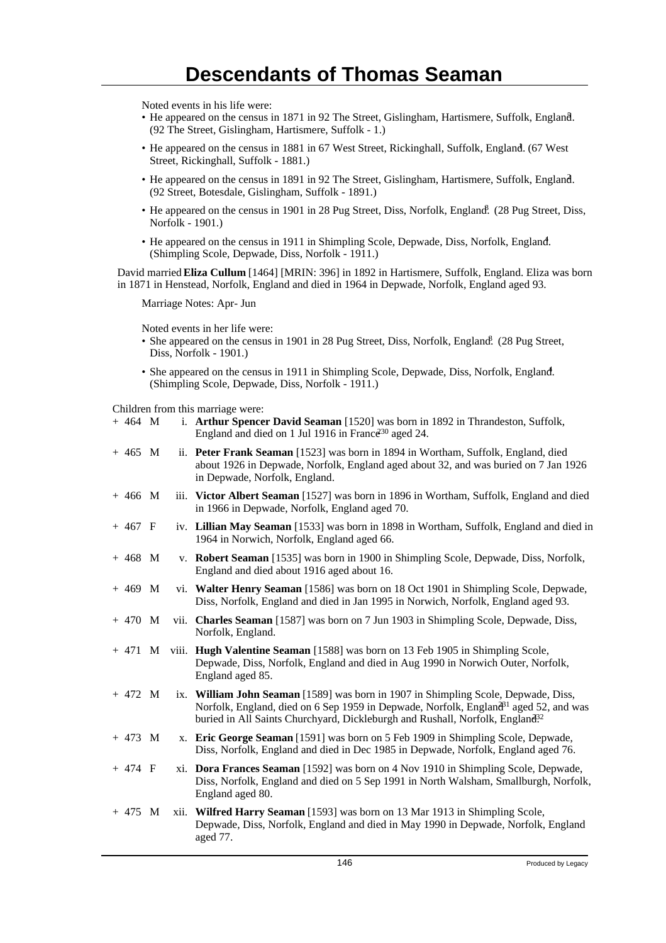Noted events in his life were:

- He appeared on the census in 1871 in 92 The Street, Gislingham, Hartismere, Suffolk, England. <sup>5</sup> (92 The Street, Gislingham, Hartismere, Suffolk - 1.)
- He appeared on the census in 1881 in 67 West Street, Rickinghall, Suffolk, England. (67 West Street, Rickinghall, Suffolk - 1881.)
- He appeared on the census in 1891 in 92 The Street, Gislingham, Hartismere, Suffolk, England. <sup>2</sup> (92 Street, Botesdale, Gislingham, Suffolk - 1891.)
- He appeared on the census in 1901 in 28 Pug Street, Diss, Norfolk, England. (28 Pug Street, Diss, Norfolk - 1901.)
- He appeared on the census in 1911 in Shimpling Scole, Depwade, Diss, Norfolk, England. (Shimpling Scole, Depwade, Diss, Norfolk - 1911.)

David married **Eliza Cullum** [1464] [MRIN: 396] in 1892 in Hartismere, Suffolk, England. Eliza was born in 1871 in Henstead, Norfolk, England and died in 1964 in Depwade, Norfolk, England aged 93.

Marriage Notes: Apr- Jun

Noted events in her life were:

- She appeared on the census in 1901 in 28 Pug Street, Diss, Norfolk, England. (28 Pug Street, Diss, Norfolk - 1901.)
- She appeared on the census in 1911 in Shimpling Scole, Depwade, Diss, Norfolk, England. (Shimpling Scole, Depwade, Diss, Norfolk - 1911.)

Children from this marriage were:

| $+ 464 M$ |  | i. Arthur Spencer David Seaman [1520] was born in 1892 in Thrandeston, Suffolk,<br>England and died on 1 Jul 1916 in France <sup>30</sup> aged 24.                                                                                                                                 |
|-----------|--|------------------------------------------------------------------------------------------------------------------------------------------------------------------------------------------------------------------------------------------------------------------------------------|
| $+ 465 M$ |  | ii. Peter Frank Seaman [1523] was born in 1894 in Wortham, Suffolk, England, died<br>about 1926 in Depwade, Norfolk, England aged about 32, and was buried on 7 Jan 1926<br>in Depwade, Norfolk, England.                                                                          |
| $+ 466 M$ |  | iii. Victor Albert Seaman [1527] was born in 1896 in Wortham, Suffolk, England and died<br>in 1966 in Depwade, Norfolk, England aged 70.                                                                                                                                           |
| $+467$ F  |  | iv. Lillian May Seaman [1533] was born in 1898 in Wortham, Suffolk, England and died in<br>1964 in Norwich, Norfolk, England aged 66.                                                                                                                                              |
| $+ 468$ M |  | v. Robert Seaman [1535] was born in 1900 in Shimpling Scole, Depwade, Diss, Norfolk,<br>England and died about 1916 aged about 16.                                                                                                                                                 |
| $+ 469$ M |  | vi. Walter Henry Seaman [1586] was born on 18 Oct 1901 in Shimpling Scole, Depwade,<br>Diss, Norfolk, England and died in Jan 1995 in Norwich, Norfolk, England aged 93.                                                                                                           |
| $+ 470 M$ |  | vii. Charles Seaman [1587] was born on 7 Jun 1903 in Shimpling Scole, Depwade, Diss,<br>Norfolk, England.                                                                                                                                                                          |
| $+471$ M  |  | viii. Hugh Valentine Seaman [1588] was born on 13 Feb 1905 in Shimpling Scole,<br>Depwade, Diss, Norfolk, England and died in Aug 1990 in Norwich Outer, Norfolk,<br>England aged 85.                                                                                              |
| $+ 472 M$ |  | ix. William John Seaman [1589] was born in 1907 in Shimpling Scole, Depwade, Diss,<br>Norfolk, England, died on 6 Sep 1959 in Depwade, Norfolk, England <sup>31</sup> aged 52, and was<br>buried in All Saints Churchyard, Dickleburgh and Rushall, Norfolk, England <sup>32</sup> |
| $+ 473 M$ |  | x. Eric George Seaman [1591] was born on 5 Feb 1909 in Shimpling Scole, Depwade,<br>Diss, Norfolk, England and died in Dec 1985 in Depwade, Norfolk, England aged 76.                                                                                                              |
| $+ 474$ F |  | xi. Dora Frances Seaman [1592] was born on 4 Nov 1910 in Shimpling Scole, Depwade,<br>Diss, Norfolk, England and died on 5 Sep 1991 in North Walsham, Smallburgh, Norfolk,<br>England aged 80.                                                                                     |
| $+ 475 M$ |  | xii. Wilfred Harry Seaman [1593] was born on 13 Mar 1913 in Shimpling Scole,<br>Depwade, Diss, Norfolk, England and died in May 1990 in Depwade, Norfolk, England<br>aged 77.                                                                                                      |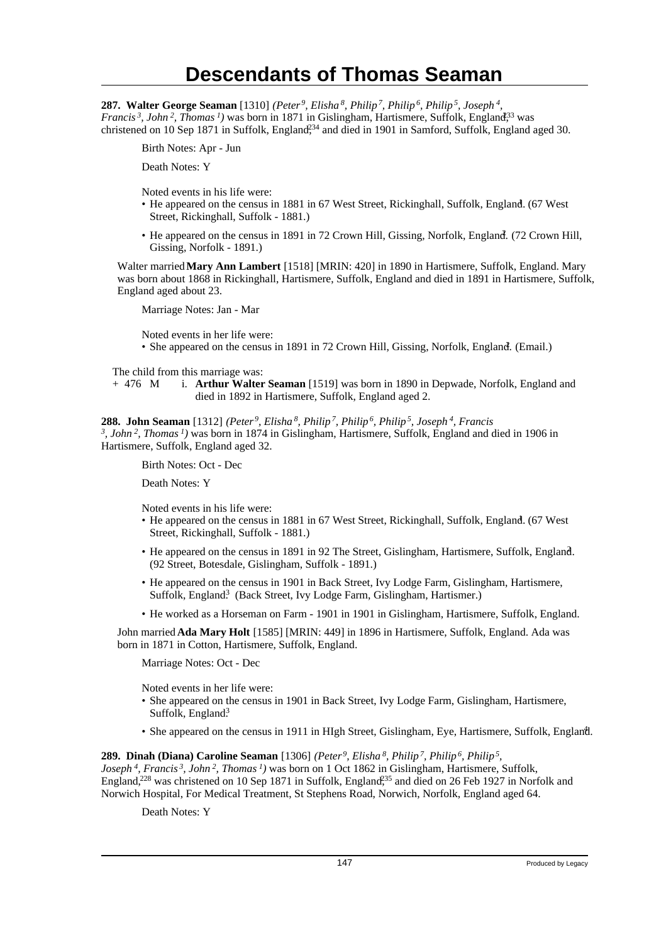**287. Walter George Seaman** [1310] *(Peter<sup>9</sup>, Elisha<sup>8</sup>, Philip<sup>7</sup>, Philip<sup>6</sup>, Philip<sup>5</sup>, Joseph<sup>4</sup> , Francis*<sup>3</sup>, *John*<sup>2</sup>, *Thomas*<sup>1</sup>) was born in 1871 in Gislingham, Hartismere, Suffolk, England<sup>33</sup> was christened on 10 Sep 1871 in Suffolk, England<sup>234</sup> and died in 1901 in Samford, Suffolk, England aged 30.

Birth Notes: Apr - Jun

Death Notes: Y

Noted events in his life were:

- He appeared on the census in 1881 in 67 West Street, Rickinghall, Suffolk, England. (67 West Street, Rickinghall, Suffolk - 1881.)
- He appeared on the census in 1891 in 72 Crown Hill, Gissing, Norfolk, England. (72 Crown Hill, Gissing, Norfolk - 1891.)

Walter married **Mary Ann Lambert** [1518] [MRIN: 420] in 1890 in Hartismere, Suffolk, England. Mary was born about 1868 in Rickinghall, Hartismere, Suffolk, England and died in 1891 in Hartismere, Suffolk, England aged about 23.

Marriage Notes: Jan - Mar

Noted events in her life were:

• She appeared on the census in 1891 in 72 Crown Hill, Gissing, Norfolk, England. (Email.)

The child from this marriage was:

+ 476 M i. **Arthur Walter Seaman** [1519] was born in 1890 in Depwade, Norfolk, England and died in 1892 in Hartismere, Suffolk, England aged 2.

**288. John Seaman** [1312] *(Peter<sup>9</sup>, Elisha<sup>8</sup>, Philip<sup>7</sup>, Philip<sup>6</sup>, Philip<sup>5</sup>, Joseph<sup>4</sup>, Francis 3 , John<sup>2</sup>, Thomas<sup>1</sup>)* was born in 1874 in Gislingham, Hartismere, Suffolk, England and died in 1906 in Hartismere, Suffolk, England aged 32.

Birth Notes: Oct - Dec

Death Notes: Y

Noted events in his life were:

- He appeared on the census in 1881 in 67 West Street, Rickinghall, Suffolk, England. (67 West Street, Rickinghall, Suffolk - 1881.)
- He appeared on the census in 1891 in 92 The Street, Gislingham, Hartismere, Suffolk, England. <sup>2</sup> (92 Street, Botesdale, Gislingham, Suffolk - 1891.)
- He appeared on the census in 1901 in Back Street, Ivy Lodge Farm, Gislingham, Hartismere, Suffolk, England<sup>3</sup> (Back Street, Ivy Lodge Farm, Gislingham, Hartismer.)
- He worked as a Horseman on Farm 1901 in 1901 in Gislingham, Hartismere, Suffolk, England.

John married **Ada Mary Holt** [1585] [MRIN: 449] in 1896 in Hartismere, Suffolk, England. Ada was born in 1871 in Cotton, Hartismere, Suffolk, England.

Marriage Notes: Oct - Dec

Noted events in her life were:

- She appeared on the census in 1901 in Back Street, Ivy Lodge Farm, Gislingham, Hartismere, Suffolk, England<sup>3</sup>
- She appeared on the census in 1911 in HIgh Street, Gislingham, Eye, Hartismere, Suffolk, England.

**289. Dinah (Diana) Caroline Seaman** [1306] *(Peter<sup>9</sup>, Elisha<sup>8</sup>, Philip<sup>7</sup>, Philip<sup>6</sup>, Philip<sup>5</sup> , Joseph<sup>4</sup>, Francis<sup>3</sup>, John<sup>2</sup>, Thomas<sup>1</sup>)* was born on 1 Oct 1862 in Gislingham, Hartismere, Suffolk, England,<sup>228</sup> was christened on 10 Sep 1871 in Suffolk, England,<sup>35</sup> and died on 26 Feb 1927 in Norfolk and Norwich Hospital, For Medical Treatment, St Stephens Road, Norwich, Norfolk, England aged 64.

Death Notes: Y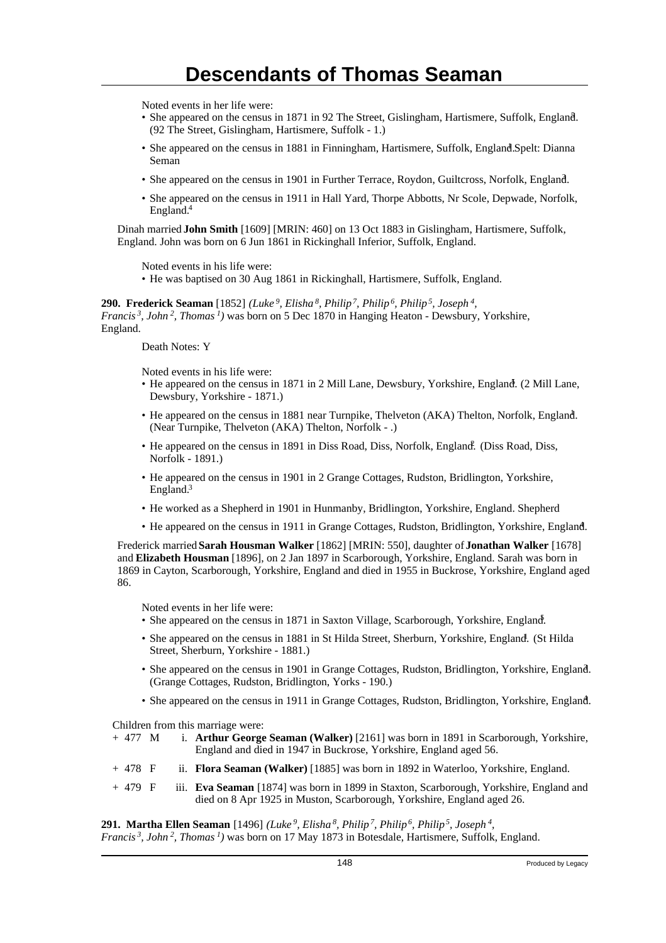Noted events in her life were:

- She appeared on the census in 1871 in 92 The Street, Gislingham, Hartismere, Suffolk, England. <sup>5</sup> (92 The Street, Gislingham, Hartismere, Suffolk - 1.)
- · She appeared on the census in 1881 in Finningham, Hartismere, Suffolk, England. Spelt: Dianna Seman
- She appeared on the census in 1901 in Further Terrace, Roydon, Guiltcross, Norfolk, England.
- She appeared on the census in 1911 in Hall Yard, Thorpe Abbotts, Nr Scole, Depwade, Norfolk, England.<sup>4</sup>

Dinah married **John Smith** [1609] [MRIN: 460] on 13 Oct 1883 in Gislingham, Hartismere, Suffolk, England. John was born on 6 Jun 1861 in Rickinghall Inferior, Suffolk, England.

Noted events in his life were:

• He was baptised on 30 Aug 1861 in Rickinghall, Hartismere, Suffolk, England.

**290. Frederick Seaman** [1852] *(Luke<sup>9</sup>, Elisha<sup>8</sup>, Philip<sup>7</sup>, Philip<sup>6</sup>, Philip<sup>5</sup>, Joseph<sup>4</sup> , Francis<sup>3</sup>, John<sup>2</sup>, Thomas<sup>1</sup>)* was born on 5 Dec 1870 in Hanging Heaton - Dewsbury, Yorkshire, England.

Death Notes: Y

Noted events in his life were:

- He appeared on the census in 1871 in 2 Mill Lane, Dewsbury, Yorkshire, England. (2 Mill Lane, Dewsbury, Yorkshire - 1871.)
- He appeared on the census in 1881 near Turnpike, Thelveton (AKA) Thelton, Norfolk, England. <sup>1</sup> (Near Turnpike, Thelveton (AKA) Thelton, Norfolk - .)
- He appeared on the census in 1891 in Diss Road, Diss, Norfolk, England. (Diss Road, Diss, Norfolk - 1891.)
- He appeared on the census in 1901 in 2 Grange Cottages, Rudston, Bridlington, Yorkshire, England.<sup>3</sup>
- He worked as a Shepherd in 1901 in Hunmanby, Bridlington, Yorkshire, England. Shepherd
- He appeared on the census in 1911 in Grange Cottages, Rudston, Bridlington, Yorkshire, England. <sup>4</sup>

Frederick married **Sarah Housman Walker** [1862] [MRIN: 550], daughter of **Jonathan Walker** [1678] and **Elizabeth Housman** [1896], on 2 Jan 1897 in Scarborough, Yorkshire, England. Sarah was born in 1869 in Cayton, Scarborough, Yorkshire, England and died in 1955 in Buckrose, Yorkshire, England aged 86.

Noted events in her life were:

- She appeared on the census in 1871 in Saxton Village, Scarborough, Yorkshire, England.
- She appeared on the census in 1881 in St Hilda Street, Sherburn, Yorkshire, England. (St Hilda Street, Sherburn, Yorkshire - 1881.)
- She appeared on the census in 1901 in Grange Cottages, Rudston, Bridlington, Yorkshire, England. <sup>3</sup> (Grange Cottages, Rudston, Bridlington, Yorks - 190.)
- She appeared on the census in 1911 in Grange Cottages, Rudston, Bridlington, Yorkshire, England. <sup>4</sup>

Children from this marriage were:

- + 477 M i. **Arthur George Seaman (Walker)** [2161] was born in 1891 in Scarborough, Yorkshire, England and died in 1947 in Buckrose, Yorkshire, England aged 56.
- + 478 F ii. **Flora Seaman (Walker)** [1885] was born in 1892 in Waterloo, Yorkshire, England.
- + 479 F iii. **Eva Seaman** [1874] was born in 1899 in Staxton, Scarborough, Yorkshire, England and died on 8 Apr 1925 in Muston, Scarborough, Yorkshire, England aged 26.

**291. Martha Ellen Seaman** [1496] *(Luke<sup>9</sup>, Elisha<sup>8</sup>, Philip<sup>7</sup>, Philip<sup>6</sup>, Philip<sup>5</sup>, Joseph<sup>4</sup> ,*

*Francis 3, John 2, Thomas 1)* was born on 17 May 1873 in Botesdale, Hartismere, Suffolk, England.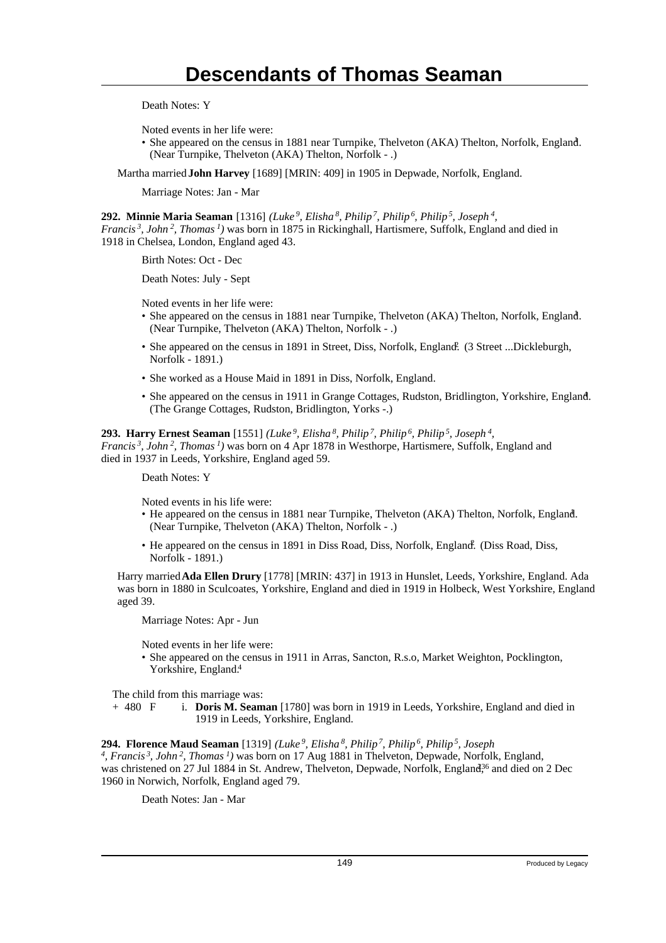Death Notes: Y

Noted events in her life were:

• She appeared on the census in 1881 near Turnpike, Thelveton (AKA) Thelton, Norfolk, England. (Near Turnpike, Thelveton (AKA) Thelton, Norfolk - .)

Martha married **John Harvey** [1689] [MRIN: 409] in 1905 in Depwade, Norfolk, England.

Marriage Notes: Jan - Mar

**292. Minnie Maria Seaman** [1316] *(Luke<sup>9</sup>, Elisha<sup>8</sup>, Philip<sup>7</sup>, Philip<sup>6</sup>, Philip<sup>5</sup>, Joseph<sup>4</sup> , Francis<sup>3</sup>, John<sup>2</sup>, Thomas<sup>1</sup>)* was born in 1875 in Rickinghall, Hartismere, Suffolk, England and died in 1918 in Chelsea, London, England aged 43.

Birth Notes: Oct - Dec

Death Notes: July - Sept

Noted events in her life were:

- She appeared on the census in 1881 near Turnpike, Thelveton (AKA) Thelton, Norfolk, England. (Near Turnpike, Thelveton (AKA) Thelton, Norfolk - .)
- She appeared on the census in 1891 in Street, Diss, Norfolk, England. (3 Street ...Dickleburgh, Norfolk - 1891.)
- She worked as a House Maid in 1891 in Diss, Norfolk, England.
- She appeared on the census in 1911 in Grange Cottages, Rudston, Bridlington, Yorkshire, England. <sup>4</sup> (The Grange Cottages, Rudston, Bridlington, Yorks -.)

**293. Harry Ernest Seaman** [1551] *(Luke<sup>9</sup>, Elisha<sup>8</sup>, Philip<sup>7</sup>, Philip<sup>6</sup>, Philip<sup>5</sup>, Joseph<sup>4</sup> , Francis<sup>3</sup>, John<sup>2</sup>, Thomas<sup>1</sup>)* was born on 4 Apr 1878 in Westhorpe, Hartismere, Suffolk, England and died in 1937 in Leeds, Yorkshire, England aged 59.

Death Notes: Y

Noted events in his life were:

- He appeared on the census in 1881 near Turnpike, Thelveton (AKA) Thelton, Norfolk, England. <sup>1</sup> (Near Turnpike, Thelveton (AKA) Thelton, Norfolk - .)
- He appeared on the census in 1891 in Diss Road, Diss, Norfolk, England. (Diss Road, Diss, Norfolk - 1891.)

Harry married **Ada Ellen Drury** [1778] [MRIN: 437] in 1913 in Hunslet, Leeds, Yorkshire, England. Ada was born in 1880 in Sculcoates, Yorkshire, England and died in 1919 in Holbeck, West Yorkshire, England aged 39.

Marriage Notes: Apr - Jun

Noted events in her life were:

• She appeared on the census in 1911 in Arras, Sancton, R.s.o, Market Weighton, Pocklington, Yorkshire, England.<sup>4</sup>

The child from this marriage was:

+ 480 F i. **Doris M. Seaman** [1780] was born in 1919 in Leeds, Yorkshire, England and died in 1919 in Leeds, Yorkshire, England.

### **294. Florence Maud Seaman** [1319] *(Luke<sup>9</sup>, Elisha<sup>8</sup>, Philip<sup>7</sup>, Philip<sup>6</sup>, Philip<sup>5</sup>, Joseph*

*4 , Francis<sup>3</sup>, John<sup>2</sup>, Thomas<sup>1</sup>)* was born on 17 Aug 1881 in Thelveton, Depwade, Norfolk, England, was christened on 27 Jul 1884 in St. Andrew, Thelveton, Depwade, Norfolk, England<sup>36</sup> and died on 2 Dec 1960 in Norwich, Norfolk, England aged 79.

Death Notes: Jan - Mar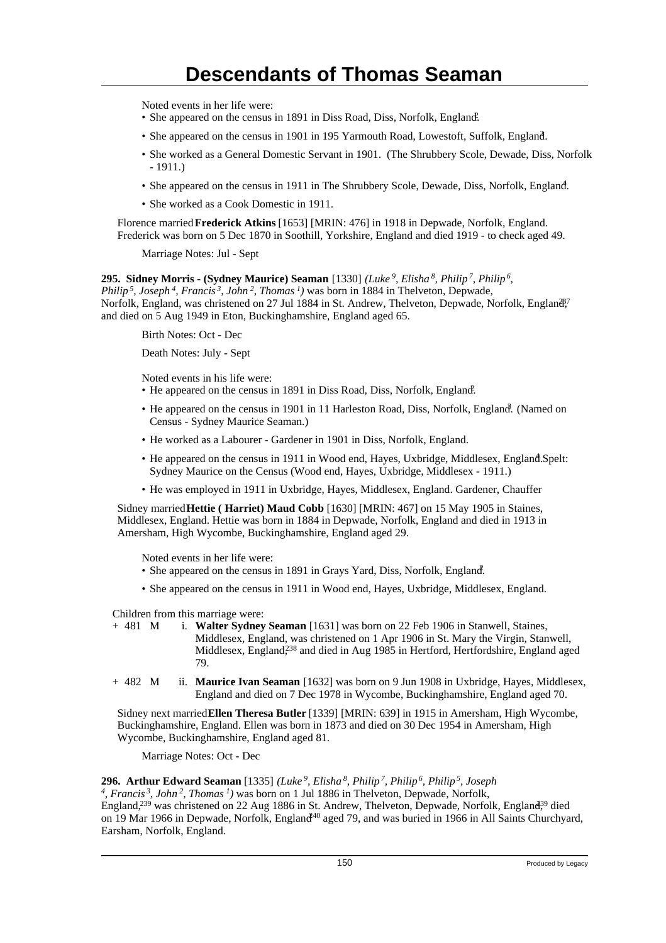Noted events in her life were:

- She appeared on the census in 1891 in Diss Road, Diss, Norfolk, England.
- She appeared on the census in 1901 in 195 Yarmouth Road, Lowestoft, Suffolk, England.
- She worked as a General Domestic Servant in 1901. (The Shrubbery Scole, Dewade, Diss, Norfolk - 1911.)
- She appeared on the census in 1911 in The Shrubbery Scole, Dewade, Diss, Norfolk, England.
- She worked as a Cook Domestic in 1911.

Florence married **Frederick Atkins** [1653] [MRIN: 476] in 1918 in Depwade, Norfolk, England. Frederick was born on 5 Dec 1870 in Soothill, Yorkshire, England and died 1919 - to check aged 49.

Marriage Notes: Jul - Sept

**295. Sidney Morris - (Sydney Maurice) Seaman** [1330] *(Luke<sup>9</sup>, Elisha<sup>8</sup>, Philip<sup>7</sup>, Philip<sup>6</sup> , Philip<sup>5</sup>, Joseph<sup>4</sup>, Francis<sup>3</sup>, John<sup>2</sup>, Thomas<sup>1</sup>)* was born in 1884 in Thelveton, Depwade, Norfolk, England, was christened on 27 Jul 1884 in St. Andrew, Thelveton, Depwade, Norfolk, England<sup>e,7</sup> and died on 5 Aug 1949 in Eton, Buckinghamshire, England aged 65.

Birth Notes: Oct - Dec

Death Notes: July - Sept

Noted events in his life were:

- He appeared on the census in 1891 in Diss Road, Diss, Norfolk, England.
- He appeared on the census in 1901 in 11 Harleston Road, Diss, Norfolk, England. (Named on Census - Sydney Maurice Seaman.)
- He worked as a Labourer Gardener in 1901 in Diss, Norfolk, England.
- He appeared on the census in 1911 in Wood end, Hayes, Uxbridge, Middlesex, England. Spelt: Sydney Maurice on the Census (Wood end, Hayes, Uxbridge, Middlesex - 1911.)
- He was employed in 1911 in Uxbridge, Hayes, Middlesex, England. Gardener, Chauffer

Sidney married **Hettie ( Harriet) Maud Cobb** [1630] [MRIN: 467] on 15 May 1905 in Staines, Middlesex, England. Hettie was born in 1884 in Depwade, Norfolk, England and died in 1913 in Amersham, High Wycombe, Buckinghamshire, England aged 29.

Noted events in her life were:

- She appeared on the census in 1891 in Grays Yard, Diss, Norfolk, England.
- She appeared on the census in 1911 in Wood end, Hayes, Uxbridge, Middlesex, England.

Children from this marriage were:

+ 481 M i. **Walter Sydney Seaman** [1631] was born on 22 Feb 1906 in Stanwell, Staines, Middlesex, England, was christened on 1 Apr 1906 in St. Mary the Virgin, Stanwell, Middlesex, England,<sup>238</sup> and died in Aug 1985 in Hertford, Hertfordshire, England aged 79.

+ 482 M ii. **Maurice Ivan Seaman** [1632] was born on 9 Jun 1908 in Uxbridge, Hayes, Middlesex, England and died on 7 Dec 1978 in Wycombe, Buckinghamshire, England aged 70.

Sidney next married **Ellen Theresa Butler** [1339] [MRIN: 639] in 1915 in Amersham, High Wycombe, Buckinghamshire, England. Ellen was born in 1873 and died on 30 Dec 1954 in Amersham, High Wycombe, Buckinghamshire, England aged 81.

Marriage Notes: Oct - Dec

### **296. Arthur Edward Seaman** [1335] *(Luke<sup>9</sup>, Elisha<sup>8</sup>, Philip<sup>7</sup>, Philip<sup>6</sup>, Philip<sup>5</sup>, Joseph*

*4 , Francis<sup>3</sup>, John<sup>2</sup>, Thomas<sup>1</sup>)* was born on 1 Jul 1886 in Thelveton, Depwade, Norfolk, England,<sup>239</sup> was christened on 22 Aug 1886 in St. Andrew, Thelveton, Depwade, Norfolk, England<sup>39</sup> died on 19 Mar 1966 in Depwade, Norfolk, England<sup>40</sup> aged 79, and was buried in 1966 in All Saints Churchyard, Earsham, Norfolk, England.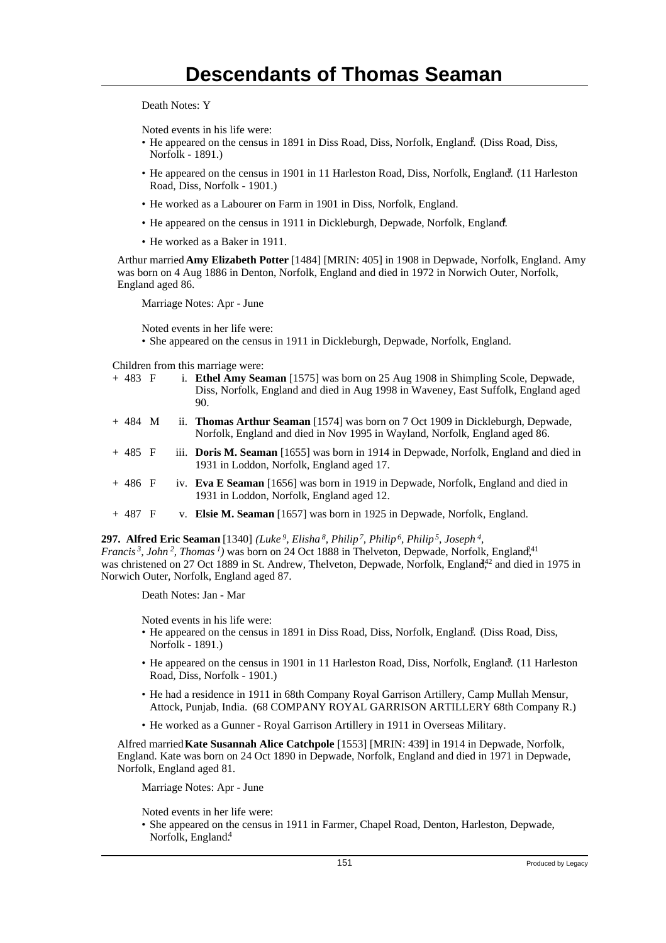Death Notes: Y

Noted events in his life were:

- He appeared on the census in 1891 in Diss Road, Diss, Norfolk, England. (Diss Road, Diss, Norfolk - 1891.)
- He appeared on the census in 1901 in 11 Harleston Road, Diss, Norfolk, England. (11 Harleston Road, Diss, Norfolk - 1901.)
- He worked as a Labourer on Farm in 1901 in Diss, Norfolk, England.
- He appeared on the census in 1911 in Dickleburgh, Depwade, Norfolk, England.
- He worked as a Baker in 1911.

Arthur married **Amy Elizabeth Potter** [1484] [MRIN: 405] in 1908 in Depwade, Norfolk, England. Amy was born on 4 Aug 1886 in Denton, Norfolk, England and died in 1972 in Norwich Outer, Norfolk, England aged 86.

Marriage Notes: Apr - June

Noted events in her life were:

• She appeared on the census in 1911 in Dickleburgh, Depwade, Norfolk, England.

Children from this marriage were:

| $+ 483 F$ |  | i. Ethel Amy Seaman [1575] was born on 25 Aug 1908 in Shimpling Scole, Depwade,<br>Diss, Norfolk, England and died in Aug 1998 in Waveney, East Suffolk, England aged<br>90. |
|-----------|--|------------------------------------------------------------------------------------------------------------------------------------------------------------------------------|
| $+484$ M  |  | ii. Thomas Arthur Seaman [1574] was born on 7 Oct 1909 in Dickleburgh, Depwade,<br>Norfolk, England and died in Nov 1995 in Wayland, Norfolk, England aged 86.               |
| $+485$ F  |  | iii. Doris M. Seaman [1655] was born in 1914 in Depwade, Norfolk, England and died in<br>1931 in Loddon, Norfolk, England aged 17.                                           |
| $+486$ F  |  | iv. Eva E Seaman [1656] was born in 1919 in Depwade, Norfolk, England and died in<br>1931 in Loddon, Norfolk, England aged 12.                                               |
| $+487$ F  |  | v. Elsie M. Seaman [1657] was born in 1925 in Depwade, Norfolk, England.                                                                                                     |

**297. Alfred Eric Seaman** [1340] *(Luke<sup>9</sup>, Elisha<sup>8</sup>, Philip<sup>7</sup>, Philip<sup>6</sup>, Philip<sup>5</sup>, Joseph<sup>4</sup> , Francis<sup>3</sup>*, *John*<sup>2</sup>, *Thomas<sup>1</sup>*) was born on 24 Oct 1888 in Thelveton, Depwade, Norfolk, England<sup>241</sup> was christened on 27 Oct 1889 in St. Andrew, Thelveton, Depwade, Norfolk, England<sup>42</sup> and died in 1975 in Norwich Outer, Norfolk, England aged 87.

Death Notes: Jan - Mar

Noted events in his life were:

- He appeared on the census in 1891 in Diss Road, Diss, Norfolk, England. (Diss Road, Diss, Norfolk - 1891.)
- He appeared on the census in 1901 in 11 Harleston Road, Diss, Norfolk, England. (11 Harleston Road, Diss, Norfolk - 1901.)
- He had a residence in 1911 in 68th Company Royal Garrison Artillery, Camp Mullah Mensur, Attock, Punjab, India. (68 COMPANY ROYAL GARRISON ARTILLERY 68th Company R.)
- He worked as a Gunner Royal Garrison Artillery in 1911 in Overseas Military.

Alfred married **Kate Susannah Alice Catchpole** [1553] [MRIN: 439] in 1914 in Depwade, Norfolk, England. Kate was born on 24 Oct 1890 in Depwade, Norfolk, England and died in 1971 in Depwade, Norfolk, England aged 81.

Marriage Notes: Apr - June

Noted events in her life were:

• She appeared on the census in 1911 in Farmer, Chapel Road, Denton, Harleston, Depwade, Norfolk, England.<sup>4</sup>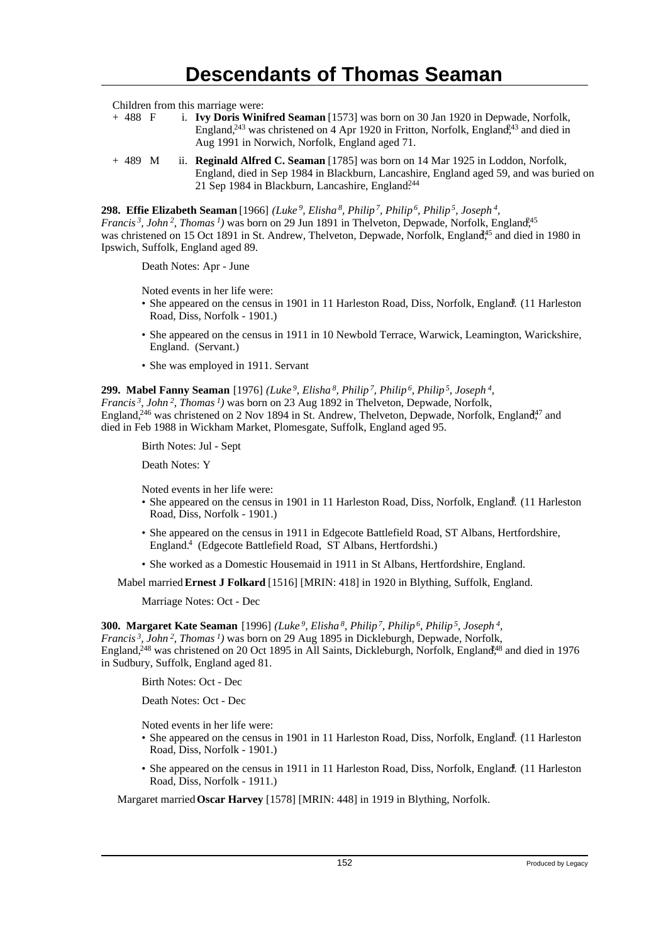Children from this marriage were:<br>+ 488  $\overline{F}$  i. **Ivv Doris Wini** 

- i. **Ivy Doris Winifred Seaman** [1573] was born on 30 Jan 1920 in Depwade, Norfolk, England,<sup>243</sup> was christened on 4 Apr 1920 in Fritton, Norfolk, England,<sup>43</sup> and died in Aug 1991 in Norwich, Norfolk, England aged 71.
- + 489 M ii. **Reginald Alfred C. Seaman** [1785] was born on 14 Mar 1925 in Loddon, Norfolk, England, died in Sep 1984 in Blackburn, Lancashire, England aged 59, and was buried on 21 Sep 1984 in Blackburn, Lancashire, England.<sup>244</sup>

**298. Effie Elizabeth Seaman** [1966] *(Luke<sup>9</sup>, Elisha<sup>8</sup>, Philip<sup>7</sup>, Philip<sup>6</sup>, Philip<sup>5</sup>, Joseph<sup>4</sup> ,*

*Francis<sup>3</sup>*, *John*<sup>2</sup>, *Thomas*<sup>*1*</sup>) was born on 29 Jun 1891 in Thelveton, Depwade, Norfolk, England<sup>45</sup> was christened on 15 Oct 1891 in St. Andrew, Thelveton, Depwade, Norfolk, England<sup>45</sup> and died in 1980 in Ipswich, Suffolk, England aged 89.

Death Notes: Apr - June

Noted events in her life were:

- · She appeared on the census in 1901 in 11 Harleston Road, Diss, Norfolk, England. (11 Harleston Road, Diss, Norfolk - 1901.)
- She appeared on the census in 1911 in 10 Newbold Terrace, Warwick, Leamington, Warickshire, England. (Servant.)
- She was employed in 1911. Servant

### **299. Mabel Fanny Seaman** [1976] *(Luke<sup>9</sup>, Elisha<sup>8</sup>, Philip<sup>7</sup>, Philip<sup>6</sup>, Philip<sup>5</sup>, Joseph<sup>4</sup> ,*

*Francis<sup>3</sup>, John<sup>2</sup>, Thomas<sup>1</sup>)* was born on 23 Aug 1892 in Thelveton, Depwade, Norfolk, England,<sup>246</sup> was christened on 2 Nov 1894 in St. Andrew, Thelveton, Depwade, Norfolk, England<sup>47</sup> and died in Feb 1988 in Wickham Market, Plomesgate, Suffolk, England aged 95.

Birth Notes: Jul - Sept

Death Notes: Y

Noted events in her life were:

- · She appeared on the census in 1901 in 11 Harleston Road, Diss, Norfolk, England. (11 Harleston Road, Diss, Norfolk - 1901.)
- She appeared on the census in 1911 in Edgecote Battlefield Road, ST Albans, Hertfordshire, England.<sup>4</sup> (Edgecote Battlefield Road, ST Albans, Hertfordshi.)
- She worked as a Domestic Housemaid in 1911 in St Albans, Hertfordshire, England.

Mabel married **Ernest J Folkard** [1516] [MRIN: 418] in 1920 in Blything, Suffolk, England.

Marriage Notes: Oct - Dec

**300. Margaret Kate Seaman** [1996] *(Luke<sup>9</sup>, Elisha<sup>8</sup>, Philip<sup>7</sup>, Philip<sup>6</sup>, Philip<sup>5</sup>, Joseph<sup>4</sup> ,*

*Francis<sup>3</sup>, John<sup>2</sup>, Thomas<sup>1</sup>)* was born on 29 Aug 1895 in Dickleburgh, Depwade, Norfolk,

England,<sup>248</sup> was christened on 20 Oct 1895 in All Saints, Dickleburgh, Norfolk, England<sup>48</sup> and died in 1976 in Sudbury, Suffolk, England aged 81.

Birth Notes: Oct - Dec

Death Notes: Oct - Dec

Noted events in her life were:

- She appeared on the census in 1901 in 11 Harleston Road, Diss, Norfolk, England. (11 Harleston Road, Diss, Norfolk - 1901.)
- She appeared on the census in 1911 in 11 Harleston Road, Diss, Norfolk, England. (11 Harleston Road, Diss, Norfolk - 1911.)

Margaret married **Oscar Harvey** [1578] [MRIN: 448] in 1919 in Blything, Norfolk.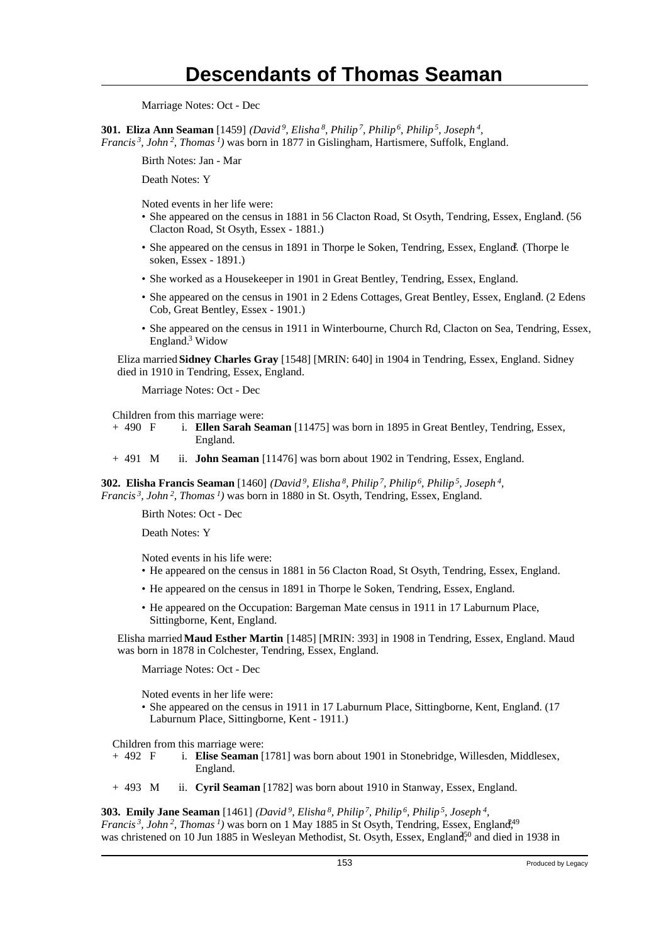Marriage Notes: Oct - Dec

**301. Eliza Ann Seaman** [1459] *(David<sup>9</sup>, Elisha<sup>8</sup>, Philip<sup>7</sup>, Philip<sup>6</sup>, Philip<sup>5</sup>, Joseph<sup>4</sup> , Francis<sup>3</sup>, John<sup>2</sup>, Thomas<sup>1</sup>)* was born in 1877 in Gislingham, Hartismere, Suffolk, England.

Birth Notes: Jan - Mar

Death Notes: Y

Noted events in her life were:

- She appeared on the census in 1881 in 56 Clacton Road, St Osyth, Tendring, Essex, England. (56 Clacton Road, St Osyth, Essex - 1881.)
- She appeared on the census in 1891 in Thorpe le Soken, Tendring, Essex, England. (Thorpe le soken, Essex - 1891.)
- She worked as a Housekeeper in 1901 in Great Bentley, Tendring, Essex, England.
- She appeared on the census in 1901 in 2 Edens Cottages, Great Bentley, Essex, England. (2 Edens Cob, Great Bentley, Essex - 1901.)
- She appeared on the census in 1911 in Winterbourne, Church Rd, Clacton on Sea, Tendring, Essex, England.<sup>3</sup> Widow

Eliza married **Sidney Charles Gray** [1548] [MRIN: 640] in 1904 in Tendring, Essex, England. Sidney died in 1910 in Tendring, Essex, England.

Marriage Notes: Oct - Dec

Children from this marriage were:

+ 490 F i. **Ellen Sarah Seaman** [11475] was born in 1895 in Great Bentley, Tendring, Essex, England.

+ 491 M ii. **John Seaman** [11476] was born about 1902 in Tendring, Essex, England.

**302. Elisha Francis Seaman** [1460] *(David<sup>9</sup>, Elisha<sup>8</sup>, Philip<sup>7</sup>, Philip<sup>6</sup>, Philip<sup>5</sup>, Joseph<sup>4</sup> , Francis<sup>3</sup>, John<sup>2</sup>, Thomas<sup>1</sup>)* was born in 1880 in St. Osyth, Tendring, Essex, England.

Birth Notes: Oct - Dec

Death Notes: Y

Noted events in his life were:

- He appeared on the census in 1881 in 56 Clacton Road, St Osyth, Tendring, Essex, England.
- He appeared on the census in 1891 in Thorpe le Soken, Tendring, Essex, England.
- He appeared on the Occupation: Bargeman Mate census in 1911 in 17 Laburnum Place, Sittingborne, Kent, England.

Elisha married **Maud Esther Martin** [1485] [MRIN: 393] in 1908 in Tendring, Essex, England. Maud was born in 1878 in Colchester, Tendring, Essex, England.

Marriage Notes: Oct - Dec

Noted events in her life were:

• She appeared on the census in 1911 in 17 Laburnum Place, Sittingborne, Kent, England. (17 Laburnum Place, Sittingborne, Kent - 1911.)

Children from this marriage were:

- + 492 F i. **Elise Seaman** [1781] was born about 1901 in Stonebridge, Willesden, Middlesex, England.
- + 493 M ii. **Cyril Seaman** [1782] was born about 1910 in Stanway, Essex, England.

**303. Emily Jane Seaman** [1461] *(David<sup>9</sup>, Elisha<sup>8</sup>, Philip<sup>7</sup>, Philip<sup>6</sup>, Philip<sup>5</sup>, Joseph<sup>4</sup> , Francis*<sup>3</sup>, John<sup>2</sup>, Thomas<sup>1</sup>) was born on 1 May 1885 in St Osyth, Tendring, Essex, England<sup>49</sup> was christened on 10 Jun 1885 in Wesleyan Methodist, St. Osyth, Essex, England<sup>50</sup> and died in 1938 in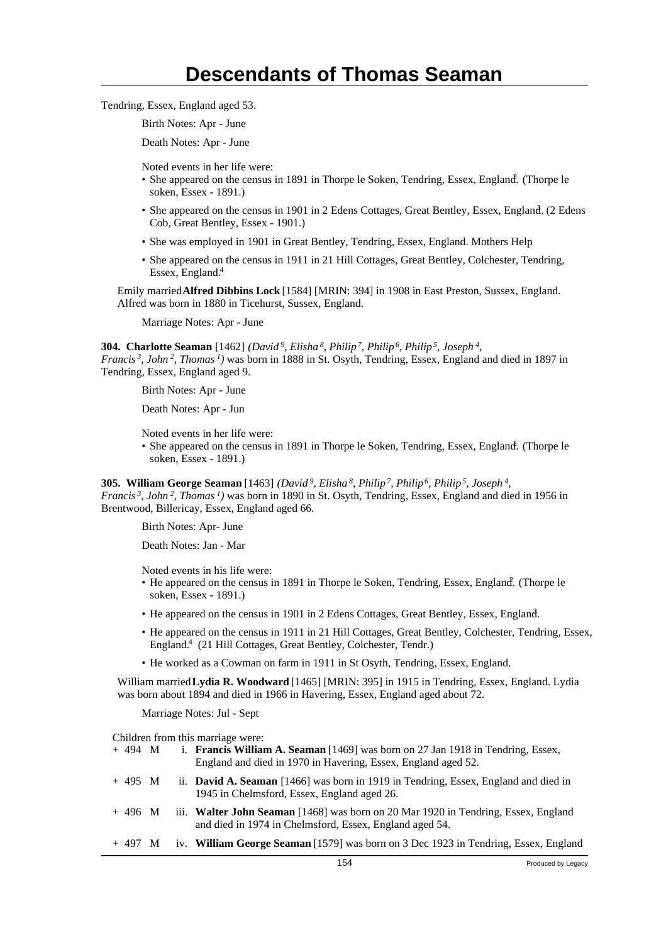Tendring, Essex, England aged 53.

Birth Notes: Apr - June

Death Notes: Apr - June

Noted events in her life were:

- She appeared on the census in 1891 in Thorpe le Soken, Tendring, Essex, England. (Thorpe le soken, Essex - 1891.)
- She appeared on the census in 1901 in 2 Edens Cottages, Great Bentley, Essex, England. (2 Edens Cob, Great Bentley, Essex - 1901.)
- She was employed in 1901 in Great Bentley, Tendring, Essex, England. Mothers Help
- She appeared on the census in 1911 in 21 Hill Cottages, Great Bentley, Colchester, Tendring, Essex, England.<sup>4</sup>

Emily married **Alfred Dibbins Lock** [1584] [MRIN: 394] in 1908 in East Preston, Sussex, England. Alfred was born in 1880 in Ticehurst, Sussex, England.

Marriage Notes: Apr - June

**304. Charlotte Seaman** [1462] *(David<sup>9</sup>, Elisha<sup>8</sup>, Philip<sup>7</sup>, Philip<sup>6</sup>, Philip<sup>5</sup>, Joseph<sup>4</sup> ,*

*Francis<sup>3</sup>, John<sup>2</sup>, Thomas<sup>1</sup>)* was born in 1888 in St. Osyth, Tendring, Essex, England and died in 1897 in Tendring, Essex, England aged 9.

Birth Notes: Apr - June

Death Notes: Apr - Jun

Noted events in her life were:

• She appeared on the census in 1891 in Thorpe le Soken, Tendring, Essex, England. (Thorpe le soken, Essex - 1891.)

**305. William George Seaman** [1463] *(David<sup>9</sup>, Elisha<sup>8</sup>, Philip<sup>7</sup>, Philip<sup>6</sup>, Philip<sup>5</sup>, Joseph<sup>4</sup> , Francis<sup>3</sup>, John<sup>2</sup>, Thomas<sup>1</sup>)* was born in 1890 in St. Osyth, Tendring, Essex, England and died in 1956 in Brentwood, Billericay, Essex, England aged 66.

Birth Notes: Apr- June

Death Notes: Jan - Mar

Noted events in his life were:

- He appeared on the census in 1891 in Thorpe le Soken, Tendring, Essex, England. (Thorpe le soken, Essex - 1891.)
- He appeared on the census in 1901 in 2 Edens Cottages, Great Bentley, Essex, England. <sup>3</sup>
- He appeared on the census in 1911 in 21 Hill Cottages, Great Bentley, Colchester, Tendring, Essex, England.<sup>4</sup> (21 Hill Cottages, Great Bentley, Colchester, Tendr.)
- He worked as a Cowman on farm in 1911 in St Osyth, Tendring, Essex, England.

William married **Lydia R. Woodward** [1465] [MRIN: 395] in 1915 in Tendring, Essex, England. Lydia was born about 1894 and died in 1966 in Havering, Essex, England aged about 72.

Marriage Notes: Jul - Sept

Children from this marriage were:

| $+494$ M |  | i. <b>Francis William A. Seaman</b> [1469] was born on 27 Jan 1918 in Tendring, Essex,<br>England and died in 1970 in Havering, Essex, England aged 52. |
|----------|--|---------------------------------------------------------------------------------------------------------------------------------------------------------|
| $+495$ M |  | ii. <b>David A. Seaman</b> [1466] was born in 1919 in Tendring, Essex, England and died in<br>1945 in Chelmsford, Essex, England aged 26.               |
| $+496$ M |  | iii. Walter John Seaman [1468] was born on 20 Mar 1920 in Tendring, Essex, England<br>and died in 1974 in Chelmsford, Essex, England aged 54.           |
| + 497 M  |  | iv. William George Seaman [1579] was born on 3 Dec 1923 in Tendring, Essex, England                                                                     |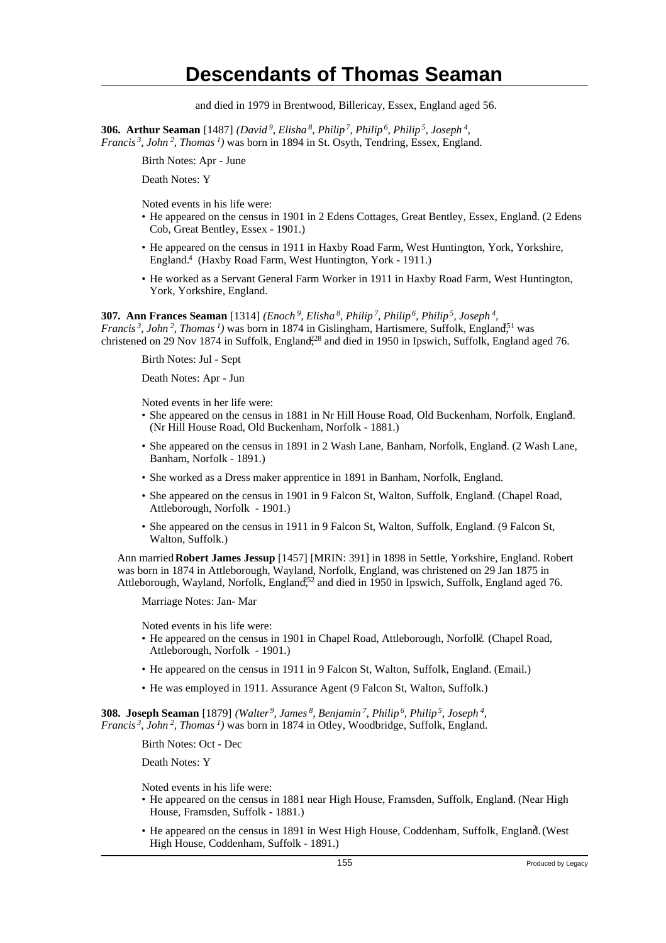and died in 1979 in Brentwood, Billericay, Essex, England aged 56.

**306. Arthur Seaman** [1487] *(David<sup>9</sup>, Elisha<sup>8</sup>, Philip<sup>7</sup>, Philip<sup>6</sup>, Philip<sup>5</sup>, Joseph<sup>4</sup> , Francis<sup>3</sup>, John<sup>2</sup>, Thomas<sup>1</sup>)* was born in 1894 in St. Osyth, Tendring, Essex, England.

Birth Notes: Apr - June

Death Notes: Y

Noted events in his life were:

- He appeared on the census in 1901 in 2 Edens Cottages, Great Bentley, Essex, England. (2 Edens Cob, Great Bentley, Essex - 1901.)
- He appeared on the census in 1911 in Haxby Road Farm, West Huntington, York, Yorkshire, England.<sup>4</sup> (Haxby Road Farm, West Huntington, York - 1911.)
- He worked as a Servant General Farm Worker in 1911 in Haxby Road Farm, West Huntington, York, Yorkshire, England.

**307. Ann Frances Seaman** [1314] *(Enoch<sup>9</sup>, Elisha<sup>8</sup>, Philip<sup>7</sup>, Philip<sup>6</sup>, Philip<sup>5</sup>, Joseph<sup>4</sup> , Francis<sup>3</sup>*, *John*<sup>2</sup>, *Thomas<sup>1</sup>*) was born in 1874 in Gislingham, Hartismere, Suffolk, England<sup>51</sup> was christened on 29 Nov 1874 in Suffolk, England<sup>228</sup> and died in 1950 in Ipswich, Suffolk, England aged 76.

Birth Notes: Jul - Sept

Death Notes: Apr - Jun

Noted events in her life were:

- She appeared on the census in 1881 in Nr Hill House Road, Old Buckenham, Norfolk, England. (Nr Hill House Road, Old Buckenham, Norfolk - 1881.)
- She appeared on the census in 1891 in 2 Wash Lane, Banham, Norfolk, England. (2 Wash Lane, Banham, Norfolk - 1891.)
- She worked as a Dress maker apprentice in 1891 in Banham, Norfolk, England.
- She appeared on the census in 1901 in 9 Falcon St, Walton, Suffolk, England. (Chapel Road, Attleborough, Norfolk - 1901.)
- She appeared on the census in 1911 in 9 Falcon St, Walton, Suffolk, England. (9 Falcon St, Walton, Suffolk.)

Ann married **Robert James Jessup** [1457] [MRIN: 391] in 1898 in Settle, Yorkshire, England. Robert was born in 1874 in Attleborough, Wayland, Norfolk, England, was christened on 29 Jan 1875 in Attleborough, Wayland, Norfolk, England<sup>552</sup> and died in 1950 in Ipswich, Suffolk, England aged 76.

Marriage Notes: Jan- Mar

Noted events in his life were:

- He appeared on the census in 1901 in Chapel Road, Attleborough, Norfolk<sup>3</sup>. (Chapel Road, Attleborough, Norfolk - 1901.)
- He appeared on the census in 1911 in 9 Falcon St, Walton, Suffolk, England. (Email.)
- He was employed in 1911. Assurance Agent (9 Falcon St, Walton, Suffolk.)

**308. Joseph Seaman** [1879] *(Walter<sup>9</sup>, James<sup>8</sup>, Benjamin<sup>7</sup>, Philip<sup>6</sup>, Philip<sup>5</sup>, Joseph<sup>4</sup> , Francis<sup>3</sup>, John<sup>2</sup>, Thomas<sup>1</sup>)* was born in 1874 in Otley, Woodbridge, Suffolk, England.

Birth Notes: Oct - Dec

Death Notes: Y

Noted events in his life were:

- He appeared on the census in 1881 near High House, Framsden, Suffolk, England. (Near High House, Framsden, Suffolk - 1881.)
- He appeared on the census in 1891 in West High House, Coddenham, Suffolk, England. (West High House, Coddenham, Suffolk - 1891.)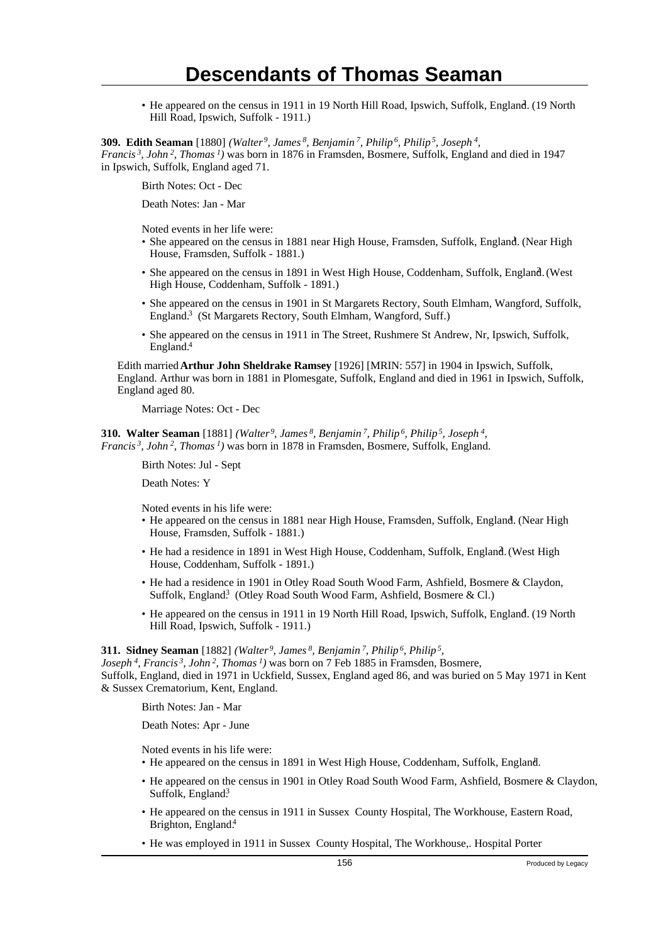• He appeared on the census in 1911 in 19 North Hill Road, Ipswich, Suffolk, England. (19 North Hill Road, Ipswich, Suffolk - 1911.)

**309. Edith Seaman** [1880] *(Walter<sup>9</sup>, James<sup>8</sup>, Benjamin<sup>7</sup>, Philip<sup>6</sup>, Philip<sup>5</sup>, Joseph<sup>4</sup> ,*

*Francis<sup>3</sup>, John<sup>2</sup>, Thomas<sup>1</sup>)* was born in 1876 in Framsden, Bosmere, Suffolk, England and died in 1947 in Ipswich, Suffolk, England aged 71.

Birth Notes: Oct - Dec

Death Notes: Jan - Mar

Noted events in her life were:

- · She appeared on the census in 1881 near High House, Framsden, Suffolk, England. (Near High House, Framsden, Suffolk - 1881.)
- She appeared on the census in 1891 in West High House, Coddenham, Suffolk, England. (West High House, Coddenham, Suffolk - 1891.)
- She appeared on the census in 1901 in St Margarets Rectory, South Elmham, Wangford, Suffolk, England.<sup>3</sup> (St Margarets Rectory, South Elmham, Wangford, Suff.)
- She appeared on the census in 1911 in The Street, Rushmere St Andrew, Nr, Ipswich, Suffolk, England.<sup>4</sup>

Edith married **Arthur John Sheldrake Ramsey** [1926] [MRIN: 557] in 1904 in Ipswich, Suffolk, England. Arthur was born in 1881 in Plomesgate, Suffolk, England and died in 1961 in Ipswich, Suffolk, England aged 80.

Marriage Notes: Oct - Dec

**310. Walter Seaman** [1881] *(Walter<sup>9</sup>, James<sup>8</sup>, Benjamin<sup>7</sup>, Philip<sup>6</sup>, Philip<sup>5</sup>, Joseph<sup>4</sup> , Francis<sup>3</sup>, John<sup>2</sup>, Thomas<sup>1</sup>)* was born in 1878 in Framsden, Bosmere, Suffolk, England.

Birth Notes: Jul - Sept

Death Notes: Y

Noted events in his life were:

- He appeared on the census in 1881 near High House, Framsden, Suffolk, England. (Near High House, Framsden, Suffolk - 1881.)
- · He had a residence in 1891 in West High House, Coddenham, Suffolk, England. (West High House, Coddenham, Suffolk - 1891.)
- He had a residence in 1901 in Otley Road South Wood Farm, Ashfield, Bosmere & Claydon, Suffolk, England<sup>3</sup> (Otley Road South Wood Farm, Ashfield, Bosmere & Cl.)
- He appeared on the census in 1911 in 19 North Hill Road, Ipswich, Suffolk, England. (19 North Hill Road, Ipswich, Suffolk - 1911.)

#### **311. Sidney Seaman** [1882] *(Walter<sup>9</sup>, James<sup>8</sup>, Benjamin<sup>7</sup>, Philip<sup>6</sup>, Philip<sup>5</sup> ,*

*Joseph<sup>4</sup>, Francis<sup>3</sup>, John<sup>2</sup>, Thomas<sup>1</sup>)* was born on 7 Feb 1885 in Framsden, Bosmere, Suffolk, England, died in 1971 in Uckfield, Sussex, England aged 86, and was buried on 5 May 1971 in Kent & Sussex Crematorium, Kent, England.

Birth Notes: Jan - Mar

Death Notes: Apr - June

Noted events in his life were:

- He appeared on the census in 1891 in West High House, Coddenham, Suffolk, England. <sup>1</sup>
- He appeared on the census in 1901 in Otley Road South Wood Farm, Ashfield, Bosmere & Claydon, Suffolk, England<sup>3</sup>
- He appeared on the census in 1911 in Sussex County Hospital, The Workhouse, Eastern Road, Brighton, England.<sup>4</sup>
- He was employed in 1911 in Sussex County Hospital, The Workhouse,. Hospital Porter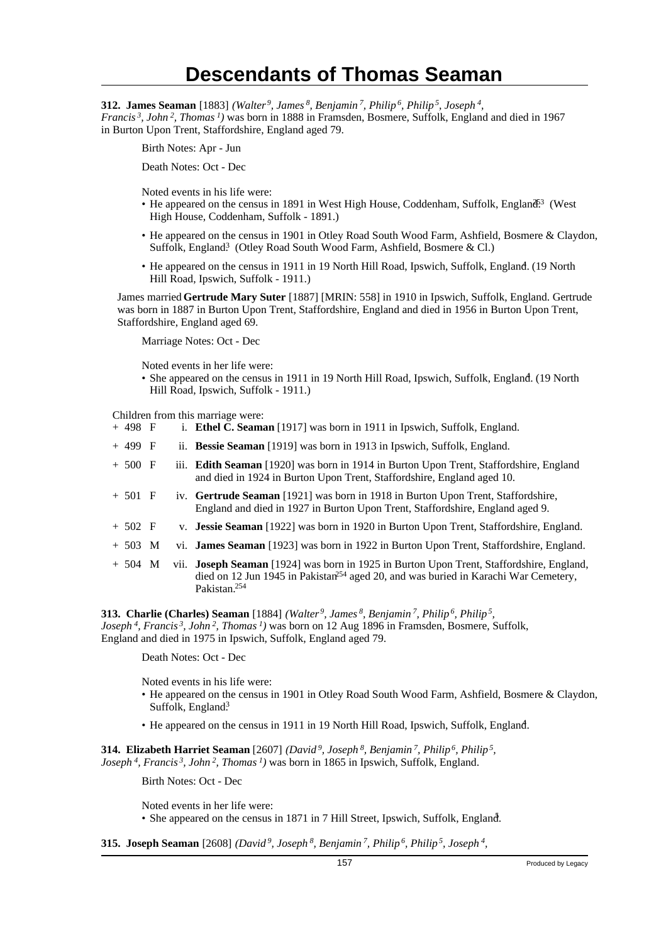**312. James Seaman** [1883] *(Walter<sup>9</sup>, James<sup>8</sup>, Benjamin<sup>7</sup>, Philip<sup>6</sup>, Philip<sup>5</sup>, Joseph<sup>4</sup> , Francis<sup>3</sup>, John<sup>2</sup>, Thomas<sup>1</sup>)* was born in 1888 in Framsden, Bosmere, Suffolk, England and died in 1967 in Burton Upon Trent, Staffordshire, England aged 79.

Birth Notes: Apr - Jun

Death Notes: Oct - Dec

Noted events in his life were:

- He appeared on the census in 1891 in West High House, Coddenham, Suffolk, England<sup>63</sup> (West High House, Coddenham, Suffolk - 1891.)
- He appeared on the census in 1901 in Otley Road South Wood Farm, Ashfield, Bosmere & Claydon, Suffolk, England<sup>3</sup> (Otley Road South Wood Farm, Ashfield, Bosmere & Cl.)
- He appeared on the census in 1911 in 19 North Hill Road, Ipswich, Suffolk, England. (19 North Hill Road, Ipswich, Suffolk - 1911.)

James married **Gertrude Mary Suter** [1887] [MRIN: 558] in 1910 in Ipswich, Suffolk, England. Gertrude was born in 1887 in Burton Upon Trent, Staffordshire, England and died in 1956 in Burton Upon Trent, Staffordshire, England aged 69.

Marriage Notes: Oct - Dec

Noted events in her life were:

• She appeared on the census in 1911 in 19 North Hill Road, Ipswich, Suffolk, England. (19 North Hill Road, Ipswich, Suffolk - 1911.)

Children from this marriage were:<br>+ 498  $\overline{F}$  i. **Ethel C. Seams** 

- i. **Ethel C. Seaman** [1917] was born in 1911 in Ipswich, Suffolk, England.
- + 499 F ii. **Bessie Seaman** [1919] was born in 1913 in Ipswich, Suffolk, England.
- + 500 F iii. **Edith Seaman** [1920] was born in 1914 in Burton Upon Trent, Staffordshire, England and died in 1924 in Burton Upon Trent, Staffordshire, England aged 10.
- + 501 F iv. **Gertrude Seaman** [1921] was born in 1918 in Burton Upon Trent, Staffordshire, England and died in 1927 in Burton Upon Trent, Staffordshire, England aged 9.
- + 502 F v. **Jessie Seaman** [1922] was born in 1920 in Burton Upon Trent, Staffordshire, England.
- + 503 M vi. **James Seaman** [1923] was born in 1922 in Burton Upon Trent, Staffordshire, England.
- + 504 M vii. **Joseph Seaman** [1924] was born in 1925 in Burton Upon Trent, Staffordshire, England, died on 12 Jun 1945 in Pakistan<sup>254</sup> aged 20, and was buried in Karachi War Cemetery, Pakistan.<sup>254</sup>

**313. Charlie (Charles) Seaman** [1884] *(Walter<sup>9</sup>, James<sup>8</sup>, Benjamin<sup>7</sup>, Philip<sup>6</sup>, Philip<sup>5</sup> , Joseph<sup>4</sup>, Francis<sup>3</sup>, John<sup>2</sup>, Thomas<sup>1</sup>)* was born on 12 Aug 1896 in Framsden, Bosmere, Suffolk, England and died in 1975 in Ipswich, Suffolk, England aged 79.

Death Notes: Oct - Dec

Noted events in his life were:

- He appeared on the census in 1901 in Otley Road South Wood Farm, Ashfield, Bosmere & Claydon, Suffolk, England<sup>3</sup>
- He appeared on the census in 1911 in 19 North Hill Road, Ipswich, Suffolk, England.

**314. Elizabeth Harriet Seaman** [2607] *(David<sup>9</sup>, Joseph<sup>8</sup>, Benjamin<sup>7</sup>, Philip<sup>6</sup>, Philip<sup>5</sup> , Joseph<sup>4</sup>, Francis<sup>3</sup>, John<sup>2</sup>, Thomas<sup>1</sup>)* was born in 1865 in Ipswich, Suffolk, England.

Birth Notes: Oct - Dec

Noted events in her life were: • She appeared on the census in 1871 in 7 Hill Street, Ipswich, Suffolk, England.

**315. Joseph Seaman** [2608] *(David<sup>9</sup>, Joseph<sup>8</sup>, Benjamin<sup>7</sup>, Philip<sup>6</sup>, Philip<sup>5</sup>, Joseph<sup>4</sup> ,*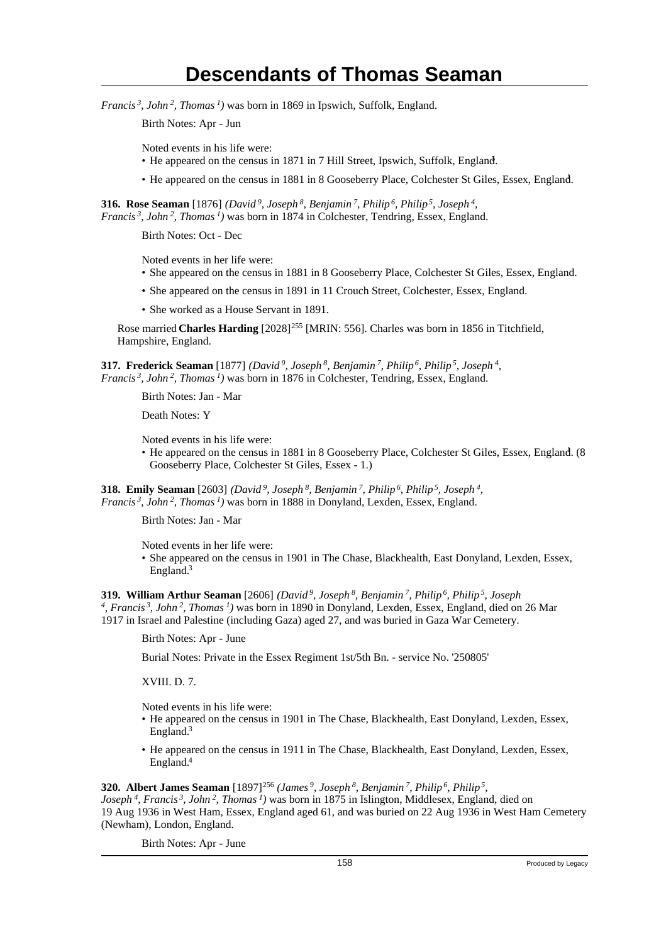*Francis<sup>3</sup>, John<sup>2</sup>, Thomas<sup>1</sup>)* was born in 1869 in Ipswich, Suffolk, England.

Birth Notes: Apr - Jun

Noted events in his life were:

- He appeared on the census in 1871 in 7 Hill Street, Ipswich, Suffolk, England.
- He appeared on the census in 1881 in 8 Gooseberry Place, Colchester St Giles, Essex, England. <sup>1</sup>

**316. Rose Seaman** [1876] *(David<sup>9</sup>, Joseph<sup>8</sup>, Benjamin<sup>7</sup>, Philip<sup>6</sup>, Philip<sup>5</sup>, Joseph<sup>4</sup> , Francis<sup>3</sup>, John<sup>2</sup>, Thomas<sup>1</sup>)* was born in 1874 in Colchester, Tendring, Essex, England.

Birth Notes: Oct - Dec

Noted events in her life were:

- She appeared on the census in 1881 in 8 Gooseberry Place, Colchester St Giles, Essex, England.
- She appeared on the census in 1891 in 11 Crouch Street, Colchester, Essex, England.
- She worked as a House Servant in 1891.

Rose married **Charles Harding** [2028]<sup>255</sup> [MRIN: 556]. Charles was born in 1856 in Titchfield, Hampshire, England.

**317. Frederick Seaman** [1877] *(David<sup>9</sup>, Joseph<sup>8</sup>, Benjamin<sup>7</sup>, Philip<sup>6</sup>, Philip<sup>5</sup>, Joseph<sup>4</sup> , Francis<sup>3</sup>, John<sup>2</sup>, Thomas<sup>1</sup>)* was born in 1876 in Colchester, Tendring, Essex, England.

Birth Notes: Jan - Mar

Death Notes: Y

Noted events in his life were:

• He appeared on the census in 1881 in 8 Gooseberry Place, Colchester St Giles, Essex, England. (8 Gooseberry Place, Colchester St Giles, Essex - 1.)

**318. Emily Seaman** [2603] *(David<sup>9</sup>, Joseph<sup>8</sup>, Benjamin<sup>7</sup>, Philip<sup>6</sup>, Philip<sup>5</sup>, Joseph<sup>4</sup> , Francis<sup>3</sup>, John<sup>2</sup>, Thomas<sup>1</sup>)* was born in 1888 in Donyland, Lexden, Essex, England.

Birth Notes: Jan - Mar

Noted events in her life were:

• She appeared on the census in 1901 in The Chase, Blackhealth, East Donyland, Lexden, Essex, England.<sup>3</sup>

**319. William Arthur Seaman** [2606] *(David<sup>9</sup>, Joseph<sup>8</sup>, Benjamin<sup>7</sup>, Philip<sup>6</sup>, Philip<sup>5</sup>, Joseph 4 , Francis<sup>3</sup>, John<sup>2</sup>, Thomas<sup>1</sup>)* was born in 1890 in Donyland, Lexden, Essex, England, died on 26 Mar 1917 in Israel and Palestine (including Gaza) aged 27, and was buried in Gaza War Cemetery.

Birth Notes: Apr - June

Burial Notes: Private in the Essex Regiment 1st/5th Bn. - service No. '250805'

XVIII. D. 7.

Noted events in his life were:

- He appeared on the census in 1901 in The Chase, Blackhealth, East Donyland, Lexden, Essex, England.<sup>3</sup>
- He appeared on the census in 1911 in The Chase, Blackhealth, East Donyland, Lexden, Essex, England.<sup>4</sup>

### **320. Albert James Seaman** [1897]<sup>256</sup> (James<sup>9</sup>, Joseph<sup>8</sup>, Benjamin<sup>7</sup>, Philip<sup>6</sup>, Philip<sup>5</sup>,

*Joseph<sup>4</sup>, Francis<sup>3</sup>, John<sup>2</sup>, Thomas<sup>1</sup>)* was born in 1875 in Islington, Middlesex, England, died on 19 Aug 1936 in West Ham, Essex, England aged 61, and was buried on 22 Aug 1936 in West Ham Cemetery (Newham), London, England.

Birth Notes: Apr - June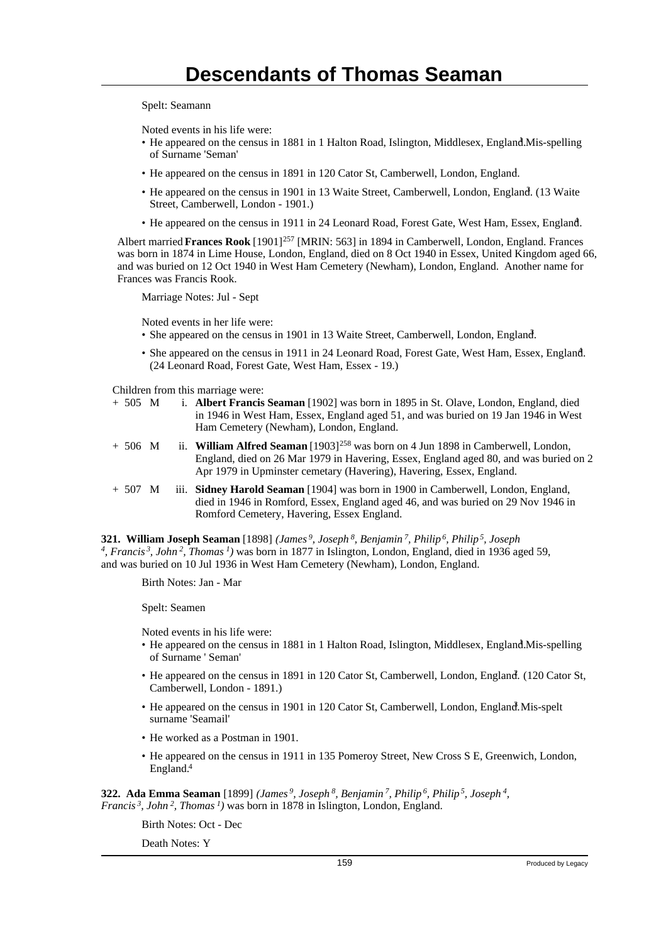Spelt: Seamann

Noted events in his life were:

- He appeared on the census in 1881 in 1 Halton Road, Islington, Middlesex, England.Mis-spelling of Surname 'Seman'
- He appeared on the census in 1891 in 120 Cator St, Camberwell, London, England.
- He appeared on the census in 1901 in 13 Waite Street, Camberwell, London, England. (13 Waite Street, Camberwell, London - 1901.)
- He appeared on the census in 1911 in 24 Leonard Road, Forest Gate, West Ham, Essex, England. <sup>4</sup>

Albert married **Frances Rook** [1901]<sup>257</sup> [MRIN: 563] in 1894 in Camberwell, London, England. Frances was born in 1874 in Lime House, London, England, died on 8 Oct 1940 in Essex, United Kingdom aged 66, and was buried on 12 Oct 1940 in West Ham Cemetery (Newham), London, England. Another name for Frances was Francis Rook.

Marriage Notes: Jul - Sept

Noted events in her life were:

- She appeared on the census in 1901 in 13 Waite Street, Camberwell, London, England.
- She appeared on the census in 1911 in 24 Leonard Road, Forest Gate, West Ham, Essex, England. (24 Leonard Road, Forest Gate, West Ham, Essex - 19.)

Children from this marriage were:

- + 505 M i. **Albert Francis Seaman** [1902] was born in 1895 in St. Olave, London, England, died in 1946 in West Ham, Essex, England aged 51, and was buried on 19 Jan 1946 in West Ham Cemetery (Newham), London, England.
- + 506 M ii. **William Alfred Seaman** [1903]<sup>258</sup> was born on 4 Jun 1898 in Camberwell, London, England, died on 26 Mar 1979 in Havering, Essex, England aged 80, and was buried on 2 Apr 1979 in Upminster cemetary (Havering), Havering, Essex, England.
- + 507 M iii. **Sidney Harold Seaman** [1904] was born in 1900 in Camberwell, London, England, died in 1946 in Romford, Essex, England aged 46, and was buried on 29 Nov 1946 in Romford Cemetery, Havering, Essex England.

**321. William Joseph Seaman** [1898] *(James<sup>9</sup>, Joseph<sup>8</sup>, Benjamin<sup>7</sup>, Philip<sup>6</sup>, Philip<sup>5</sup>, Joseph 4 , Francis<sup>3</sup>, John<sup>2</sup>, Thomas<sup>1</sup>)* was born in 1877 in Islington, London, England, died in 1936 aged 59, and was buried on 10 Jul 1936 in West Ham Cemetery (Newham), London, England.

Birth Notes: Jan - Mar

Spelt: Seamen

Noted events in his life were:

- He appeared on the census in 1881 in 1 Halton Road, Islington, Middlesex, England. Mis-spelling of Surname ' Seman'
- He appeared on the census in 1891 in 120 Cator St, Camberwell, London, England. (120 Cator St, Camberwell, London - 1891.)
- He appeared on the census in 1901 in 120 Cator St, Camberwell, London, England. Mis-spelt surname 'Seamail'
- He worked as a Postman in 1901.
- He appeared on the census in 1911 in 135 Pomeroy Street, New Cross S E, Greenwich, London, England.<sup>4</sup>

**322. Ada Emma Seaman** [1899] *(James<sup>9</sup>, Joseph<sup>8</sup>, Benjamin<sup>7</sup>, Philip<sup>6</sup>, Philip<sup>5</sup>, Joseph<sup>4</sup> , Francis<sup>3</sup>, John<sup>2</sup>, Thomas<sup>1</sup>)* was born in 1878 in Islington, London, England.

Birth Notes: Oct - Dec

Death Notes: Y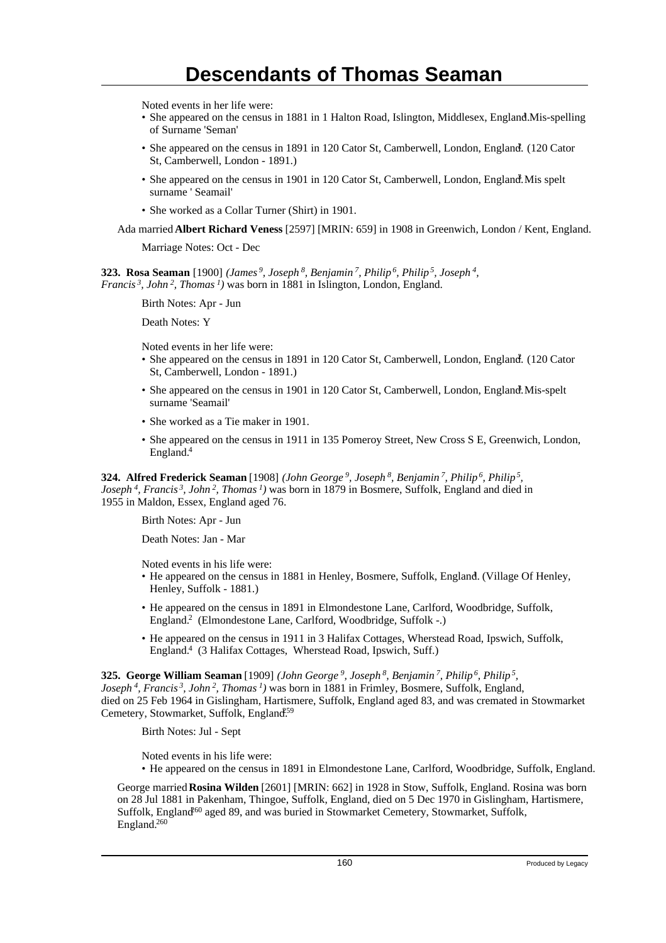Noted events in her life were:

- She appeared on the census in 1881 in 1 Halton Road, Islington, Middlesex, England. Mis-spelling of Surname 'Seman'
- She appeared on the census in 1891 in 120 Cator St, Camberwell, London, England. (120 Cator St, Camberwell, London - 1891.)
- She appeared on the census in 1901 in 120 Cator St, Camberwell, London, England. Mis spelt surname ' Seamail'
- She worked as a Collar Turner (Shirt) in 1901.

Ada married **Albert Richard Veness** [2597] [MRIN: 659] in 1908 in Greenwich, London / Kent, England.

Marriage Notes: Oct - Dec

**323. Rosa Seaman** [1900] *(James<sup>9</sup>, Joseph<sup>8</sup>, Benjamin<sup>7</sup>, Philip<sup>6</sup>, Philip<sup>5</sup>, Joseph<sup>4</sup> , Francis<sup>3</sup>, John<sup>2</sup>, Thomas<sup>1</sup>)* was born in 1881 in Islington, London, England.

Birth Notes: Apr - Jun

Death Notes: Y

Noted events in her life were:

- She appeared on the census in 1891 in 120 Cator St, Camberwell, London, England. (120 Cator St, Camberwell, London - 1891.)
- She appeared on the census in 1901 in 120 Cator St, Camberwell, London, England.Mis-spelt surname 'Seamail'
- She worked as a Tie maker in 1901.
- She appeared on the census in 1911 in 135 Pomeroy Street, New Cross S E, Greenwich, London, England.<sup>4</sup>

**324. Alfred Frederick Seaman** [1908] *(John George<sup>9</sup>, Joseph<sup>8</sup>, Benjamin<sup>7</sup>, Philip<sup>6</sup>, Philip<sup>5</sup> , Joseph<sup>4</sup>, Francis<sup>3</sup>, John<sup>2</sup>, Thomas<sup>1</sup>)* was born in 1879 in Bosmere, Suffolk, England and died in 1955 in Maldon, Essex, England aged 76.

Birth Notes: Apr - Jun

Death Notes: Jan - Mar

Noted events in his life were:

- He appeared on the census in 1881 in Henley, Bosmere, Suffolk, England. (Village Of Henley, Henley, Suffolk - 1881.)
- He appeared on the census in 1891 in Elmondestone Lane, Carlford, Woodbridge, Suffolk, England.<sup>2</sup> (Elmondestone Lane, Carlford, Woodbridge, Suffolk -.)
- He appeared on the census in 1911 in 3 Halifax Cottages, Wherstead Road, Ipswich, Suffolk, England.<sup>4</sup> (3 Halifax Cottages, Wherstead Road, Ipswich, Suff.)

**325. George William Seaman** [1909] *(John George<sup>9</sup>, Joseph<sup>8</sup>, Benjamin<sup>7</sup>, Philip<sup>6</sup>, Philip<sup>5</sup> , Joseph<sup>4</sup>, Francis<sup>3</sup>, John<sup>2</sup>, Thomas<sup>1</sup>)* was born in 1881 in Frimley, Bosmere, Suffolk, England, died on 25 Feb 1964 in Gislingham, Hartismere, Suffolk, England aged 83, and was cremated in Stowmarket Cemetery, Stowmarket, Suffolk, England<sup>59</sup>

Birth Notes: Jul - Sept

Noted events in his life were:

• He appeared on the census in 1891 in Elmondestone Lane, Carlford, Woodbridge, Suffolk, England.

George married **Rosina Wilden** [2601] [MRIN: 662] in 1928 in Stow, Suffolk, England. Rosina was born on 28 Jul 1881 in Pakenham, Thingoe, Suffolk, England, died on 5 Dec 1970 in Gislingham, Hartismere, Suffolk, England<sup>60</sup> aged 89, and was buried in Stowmarket Cemetery, Stowmarket, Suffolk, England.260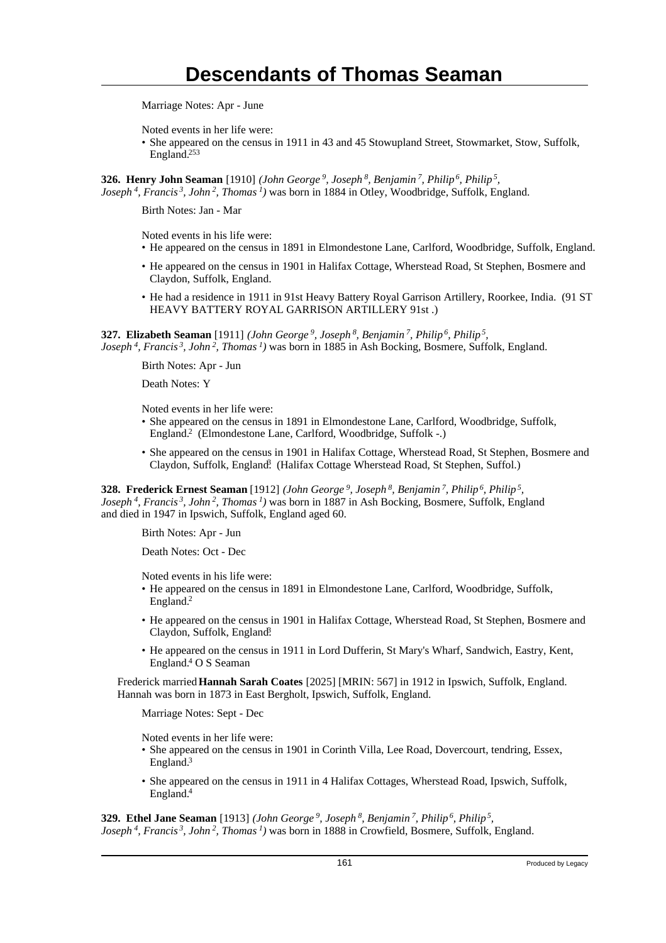Marriage Notes: Apr - June

Noted events in her life were:

• She appeared on the census in 1911 in 43 and 45 Stowupland Street, Stowmarket, Stow, Suffolk, England.<sup>253</sup>

**326. Henry John Seaman** [1910] *(John George<sup>9</sup>, Joseph<sup>8</sup>, Benjamin<sup>7</sup>, Philip<sup>6</sup>, Philip<sup>5</sup> , Joseph<sup>4</sup>, Francis<sup>3</sup>, John<sup>2</sup>, Thomas<sup>1</sup>)* was born in 1884 in Otley, Woodbridge, Suffolk, England.

Birth Notes: Jan - Mar

Noted events in his life were:

- He appeared on the census in 1891 in Elmondestone Lane, Carlford, Woodbridge, Suffolk, England.
- He appeared on the census in 1901 in Halifax Cottage, Wherstead Road, St Stephen, Bosmere and Claydon, Suffolk, England.
- He had a residence in 1911 in 91st Heavy Battery Royal Garrison Artillery, Roorkee, India. (91 ST HEAVY BATTERY ROYAL GARRISON ARTILLERY 91st .)

**327. Elizabeth Seaman** [1911] *(John George<sup>9</sup>, Joseph<sup>8</sup>, Benjamin<sup>7</sup>, Philip<sup>6</sup>, Philip<sup>5</sup> , Joseph<sup>4</sup>, Francis<sup>3</sup>, John<sup>2</sup>, Thomas<sup>1</sup>)* was born in 1885 in Ash Bocking, Bosmere, Suffolk, England.

Birth Notes: Apr - Jun

Death Notes: Y

Noted events in her life were:

- She appeared on the census in 1891 in Elmondestone Lane, Carlford, Woodbridge, Suffolk, England.<sup>2</sup> (Elmondestone Lane, Carlford, Woodbridge, Suffolk -.)
- She appeared on the census in 1901 in Halifax Cottage, Wherstead Road, St Stephen, Bosmere and Claydon, Suffolk, England? (Halifax Cottage Wherstead Road, St Stephen, Suffol.)

**328. Frederick Ernest Seaman** [1912] *(John George<sup>9</sup>, Joseph<sup>8</sup>, Benjamin<sup>7</sup>, Philip<sup>6</sup>, Philip<sup>5</sup> , Joseph<sup>4</sup>, Francis<sup>3</sup>, John<sup>2</sup>, Thomas<sup>1</sup>)* was born in 1887 in Ash Bocking, Bosmere, Suffolk, England and died in 1947 in Ipswich, Suffolk, England aged 60.

Birth Notes: Apr - Jun

Death Notes: Oct - Dec

Noted events in his life were:

- He appeared on the census in 1891 in Elmondestone Lane, Carlford, Woodbridge, Suffolk, England.<sup>2</sup>
- He appeared on the census in 1901 in Halifax Cottage, Wherstead Road, St Stephen, Bosmere and Claydon, Suffolk, England?
- He appeared on the census in 1911 in Lord Dufferin, St Mary's Wharf, Sandwich, Eastry, Kent, England.<sup>4</sup> O S Seaman

Frederick married **Hannah Sarah Coates** [2025] [MRIN: 567] in 1912 in Ipswich, Suffolk, England. Hannah was born in 1873 in East Bergholt, Ipswich, Suffolk, England.

Marriage Notes: Sept - Dec

Noted events in her life were:

- She appeared on the census in 1901 in Corinth Villa, Lee Road, Dovercourt, tendring, Essex, England.<sup>3</sup>
- She appeared on the census in 1911 in 4 Halifax Cottages, Wherstead Road, Ipswich, Suffolk, England.<sup>4</sup>

**329. Ethel Jane Seaman** [1913] *(John George<sup>9</sup>, Joseph<sup>8</sup>, Benjamin<sup>7</sup>, Philip<sup>6</sup>, Philip<sup>5</sup> , Joseph 4, Francis 3, John 2, Thomas 1)* was born in 1888 in Crowfield, Bosmere, Suffolk, England.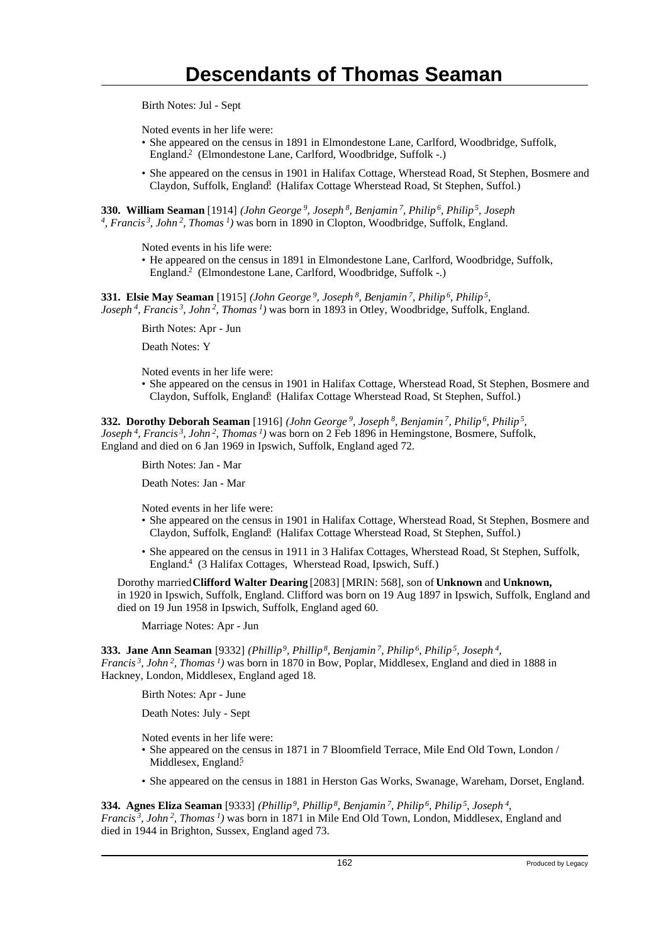Birth Notes: Jul - Sept

Noted events in her life were:

- She appeared on the census in 1891 in Elmondestone Lane, Carlford, Woodbridge, Suffolk, England.<sup>2</sup> (Elmondestone Lane, Carlford, Woodbridge, Suffolk -.)
- She appeared on the census in 1901 in Halifax Cottage, Wherstead Road, St Stephen, Bosmere and Claydon, Suffolk, England. (Halifax Cottage Wherstead Road, St Stephen, Suffol.)

**330. William Seaman** [1914] *(John George<sup>9</sup>, Joseph<sup>8</sup>, Benjamin<sup>7</sup>, Philip<sup>6</sup>, Philip<sup>5</sup>, Joseph 4 , Francis<sup>3</sup>, John<sup>2</sup>, Thomas<sup>1</sup>)* was born in 1890 in Clopton, Woodbridge, Suffolk, England.

Noted events in his life were:

• He appeared on the census in 1891 in Elmondestone Lane, Carlford, Woodbridge, Suffolk, England.<sup>2</sup> (Elmondestone Lane, Carlford, Woodbridge, Suffolk -.)

**331. Elsie May Seaman** [1915] *(John George<sup>9</sup>, Joseph<sup>8</sup>, Benjamin<sup>7</sup>, Philip<sup>6</sup>, Philip<sup>5</sup> , Joseph<sup>4</sup>, Francis<sup>3</sup>, John<sup>2</sup>, Thomas<sup>1</sup>)* was born in 1893 in Otley, Woodbridge, Suffolk, England.

Birth Notes: Apr - Jun

Death Notes: Y

Noted events in her life were:

• She appeared on the census in 1901 in Halifax Cottage, Wherstead Road, St Stephen, Bosmere and Claydon, Suffolk, England? (Halifax Cottage Wherstead Road, St Stephen, Suffol.)

**332. Dorothy Deborah Seaman** [1916] *(John George<sup>9</sup>, Joseph<sup>8</sup>, Benjamin<sup>7</sup>, Philip<sup>6</sup>, Philip<sup>5</sup> , Joseph<sup>4</sup>, Francis<sup>3</sup>, John<sup>2</sup>, Thomas<sup>1</sup>)* was born on 2 Feb 1896 in Hemingstone, Bosmere, Suffolk, England and died on 6 Jan 1969 in Ipswich, Suffolk, England aged 72.

Birth Notes: Jan - Mar

Death Notes: Jan - Mar

Noted events in her life were:

- She appeared on the census in 1901 in Halifax Cottage, Wherstead Road, St Stephen, Bosmere and Claydon, Suffolk, England. (Halifax Cottage Wherstead Road, St Stephen, Suffol.)
- She appeared on the census in 1911 in 3 Halifax Cottages, Wherstead Road, St Stephen, Suffolk, England.<sup>4</sup> (3 Halifax Cottages, Wherstead Road, Ipswich, Suff.)

Dorothy married **Clifford Walter Dearing** [2083] [MRIN: 568], son of **Unknown** and **Unknown,** in 1920 in Ipswich, Suffolk, England. Clifford was born on 19 Aug 1897 in Ipswich, Suffolk, England and died on 19 Jun 1958 in Ipswich, Suffolk, England aged 60.

Marriage Notes: Apr - Jun

**333. Jane Ann Seaman** [9332] *(Phillip<sup>9</sup>, Phillip<sup>8</sup>, Benjamin<sup>7</sup>, Philip<sup>6</sup>, Philip<sup>5</sup>, Joseph<sup>4</sup> , Francis<sup>3</sup>, John<sup>2</sup>, Thomas<sup>1</sup>)* was born in 1870 in Bow, Poplar, Middlesex, England and died in 1888 in Hackney, London, Middlesex, England aged 18.

Birth Notes: Apr - June

Death Notes: July - Sept

Noted events in her life were:

- She appeared on the census in 1871 in 7 Bloomfield Terrace, Mile End Old Town, London / Middlesex, England.<sup>5</sup>
- She appeared on the census in 1881 in Herston Gas Works, Swanage, Wareham, Dorset, England. <sup>1</sup>

**334. Agnes Eliza Seaman** [9333] *(Phillip<sup>9</sup>, Phillip<sup>8</sup>, Benjamin<sup>7</sup>, Philip<sup>6</sup>, Philip<sup>5</sup>, Joseph<sup>4</sup> , Francis<sup>3</sup>, John<sup>2</sup>, Thomas<sup>1</sup>)* was born in 1871 in Mile End Old Town, London, Middlesex, England and died in 1944 in Brighton, Sussex, England aged 73.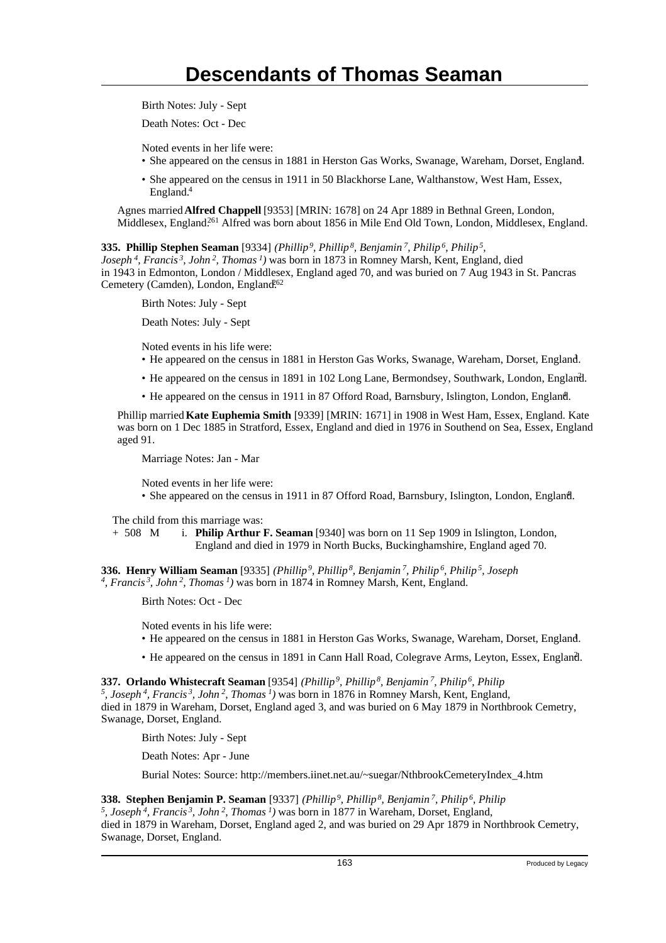Birth Notes: July - Sept

Death Notes: Oct - Dec

Noted events in her life were:

- She appeared on the census in 1881 in Herston Gas Works, Swanage, Wareham, Dorset, England. <sup>1</sup>
- She appeared on the census in 1911 in 50 Blackhorse Lane, Walthanstow, West Ham, Essex, England.<sup>4</sup>

Agnes married **Alfred Chappell** [9353] [MRIN: 1678] on 24 Apr 1889 in Bethnal Green, London, Middlesex, England.<sup>261</sup> Alfred was born about 1856 in Mile End Old Town, London, Middlesex, England.

**335. Phillip Stephen Seaman** [9334] *(Phillip<sup>9</sup>, Phillip<sup>8</sup>, Benjamin<sup>7</sup>, Philip<sup>6</sup>, Philip<sup>5</sup> , Joseph<sup>4</sup>, Francis<sup>3</sup>, John<sup>2</sup>, Thomas<sup>1</sup>)* was born in 1873 in Romney Marsh, Kent, England, died

in 1943 in Edmonton, London / Middlesex, England aged 70, and was buried on 7 Aug 1943 in St. Pancras Cemetery (Camden), London, England.<sup>62</sup>

Birth Notes: July - Sept

Death Notes: July - Sept

Noted events in his life were:

- He appeared on the census in 1881 in Herston Gas Works, Swanage, Wareham, Dorset, England. <sup>1</sup>
- He appeared on the census in 1891 in 102 Long Lane, Bermondsey, Southwark, London, England. <sup>2</sup>
- He appeared on the census in 1911 in 87 Offord Road, Barnsbury, Islington, London, England.

Phillip married **Kate Euphemia Smith** [9339] [MRIN: 1671] in 1908 in West Ham, Essex, England. Kate was born on 1 Dec 1885 in Stratford, Essex, England and died in 1976 in Southend on Sea, Essex, England aged 91.

Marriage Notes: Jan - Mar

Noted events in her life were:

• She appeared on the census in 1911 in 87 Offord Road, Barnsbury, Islington, London, England.

The child from this marriage was:

+ 508 M i. **Philip Arthur F. Seaman** [9340] was born on 11 Sep 1909 in Islington, London, England and died in 1979 in North Bucks, Buckinghamshire, England aged 70.

**336. Henry William Seaman** [9335] *(Phillip<sup>9</sup>, Phillip<sup>8</sup>, Benjamin<sup>7</sup>, Philip<sup>6</sup>, Philip<sup>5</sup>, Joseph 4 , Francis<sup>3</sup>, John<sup>2</sup>, Thomas<sup>1</sup>)* was born in 1874 in Romney Marsh, Kent, England.

Birth Notes: Oct - Dec

Noted events in his life were:

- He appeared on the census in 1881 in Herston Gas Works, Swanage, Wareham, Dorset, England. <sup>1</sup>
- He appeared on the census in 1891 in Cann Hall Road, Colegrave Arms, Leyton, Essex, England. <sup>2</sup>

**337. Orlando Whistecraft Seaman** [9354] *(Phillip<sup>9</sup>, Phillip<sup>8</sup>, Benjamin<sup>7</sup>, Philip<sup>6</sup>, Philip 5 , Joseph<sup>4</sup>, Francis<sup>3</sup>, John<sup>2</sup>, Thomas<sup>1</sup>)* was born in 1876 in Romney Marsh, Kent, England, died in 1879 in Wareham, Dorset, England aged 3, and was buried on 6 May 1879 in Northbrook Cemetry, Swanage, Dorset, England.

Birth Notes: July - Sept

Death Notes: Apr - June

Burial Notes: Source: http://members.iinet.net.au/~suegar/NthbrookCemeteryIndex\_4.htm

**338. Stephen Benjamin P. Seaman** [9337] *(Phillip<sup>9</sup>, Phillip<sup>8</sup>, Benjamin<sup>7</sup>, Philip<sup>6</sup>, Philip*

*5 , Joseph<sup>4</sup>, Francis<sup>3</sup>, John<sup>2</sup>, Thomas<sup>1</sup>)* was born in 1877 in Wareham, Dorset, England, died in 1879 in Wareham, Dorset, England aged 2, and was buried on 29 Apr 1879 in Northbrook Cemetry, Swanage, Dorset, England.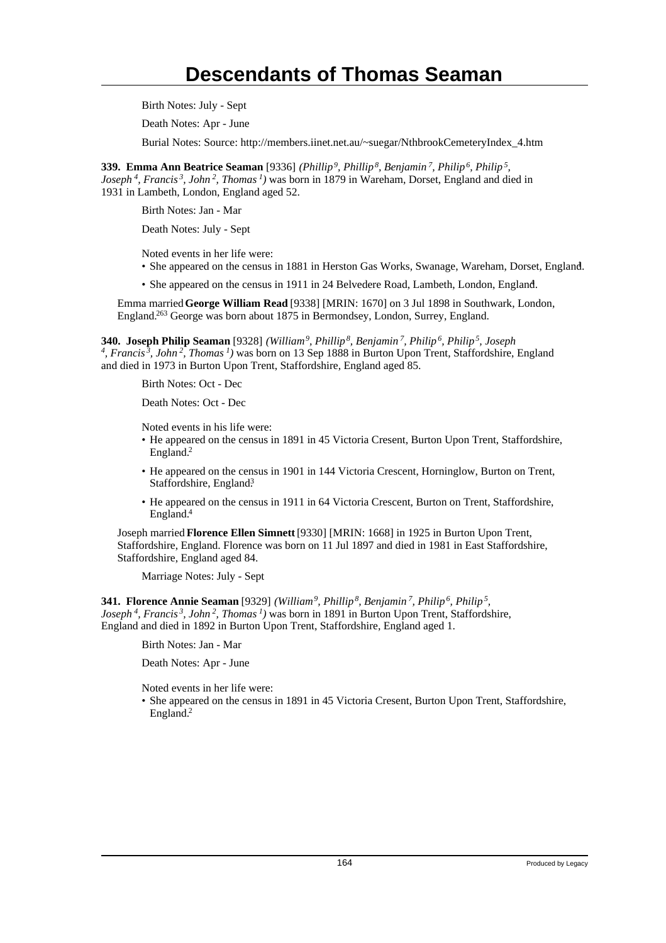Birth Notes: July - Sept

Death Notes: Apr - June

Burial Notes: Source: http://members.iinet.net.au/~suegar/NthbrookCemeteryIndex\_4.htm

**339. Emma Ann Beatrice Seaman** [9336] *(Phillip<sup>9</sup>, Phillip<sup>8</sup>, Benjamin<sup>7</sup>, Philip<sup>6</sup>, Philip<sup>5</sup> , Joseph<sup>4</sup>, Francis<sup>3</sup>, John<sup>2</sup>, Thomas<sup>1</sup>)* was born in 1879 in Wareham, Dorset, England and died in 1931 in Lambeth, London, England aged 52.

Birth Notes: Jan - Mar

Death Notes: July - Sept

Noted events in her life were:

- She appeared on the census in 1881 in Herston Gas Works, Swanage, Wareham, Dorset, England. <sup>1</sup>
- She appeared on the census in 1911 in 24 Belvedere Road, Lambeth, London, England. <sup>4</sup>

Emma married **George William Read** [9338] [MRIN: 1670] on 3 Jul 1898 in Southwark, London, England.<sup>263</sup> George was born about 1875 in Bermondsey, London, Surrey, England.

**340. Joseph Philip Seaman** [9328] *(William<sup>9</sup>, Phillip<sup>8</sup>, Benjamin<sup>7</sup>, Philip<sup>6</sup>, Philip<sup>5</sup>, Joseph 4 , Francis<sup>3</sup>, John<sup>2</sup>, Thomas<sup>1</sup>)* was born on 13 Sep 1888 in Burton Upon Trent, Staffordshire, England and died in 1973 in Burton Upon Trent, Staffordshire, England aged 85.

Birth Notes: Oct - Dec

Death Notes: Oct - Dec

Noted events in his life were:

- He appeared on the census in 1891 in 45 Victoria Cresent, Burton Upon Trent, Staffordshire, England.<sup>2</sup>
- He appeared on the census in 1901 in 144 Victoria Crescent, Horninglow, Burton on Trent, Staffordshire, England.<sup>3</sup>
- He appeared on the census in 1911 in 64 Victoria Crescent, Burton on Trent, Staffordshire, England.<sup>4</sup>

Joseph married **Florence Ellen Simnett** [9330] [MRIN: 1668] in 1925 in Burton Upon Trent, Staffordshire, England. Florence was born on 11 Jul 1897 and died in 1981 in East Staffordshire, Staffordshire, England aged 84.

Marriage Notes: July - Sept

**341. Florence Annie Seaman** [9329] *(William<sup>9</sup>, Phillip<sup>8</sup>, Benjamin<sup>7</sup>, Philip<sup>6</sup>, Philip<sup>5</sup> , Joseph<sup>4</sup>, Francis<sup>3</sup>, John<sup>2</sup>, Thomas<sup>1</sup>)* was born in 1891 in Burton Upon Trent, Staffordshire, England and died in 1892 in Burton Upon Trent, Staffordshire, England aged 1.

Birth Notes: Jan - Mar

Death Notes: Apr - June

Noted events in her life were:

• She appeared on the census in 1891 in 45 Victoria Cresent, Burton Upon Trent, Staffordshire, England.2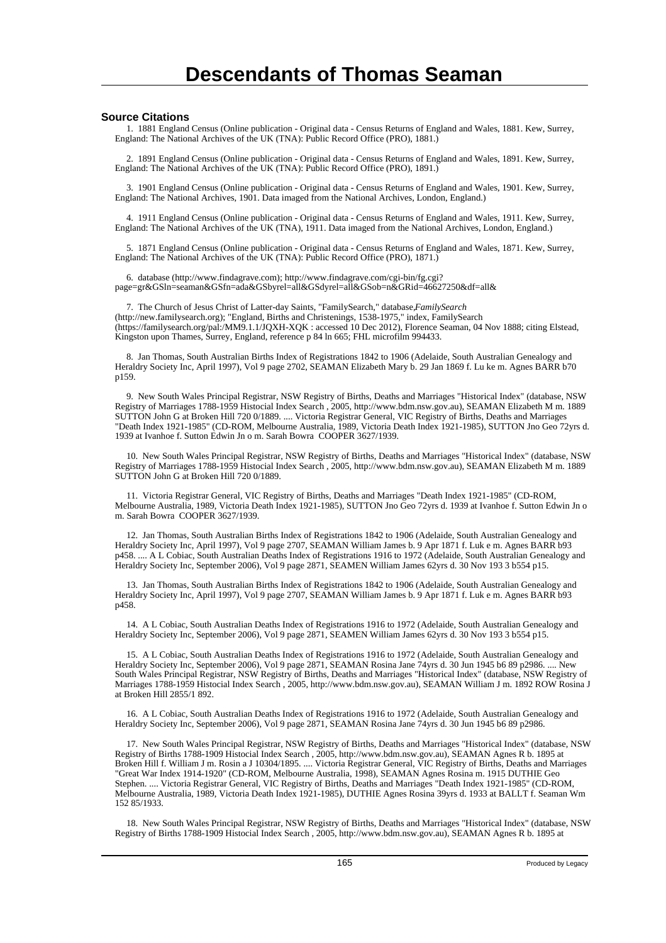#### **Source Citations**

 1. 1881 England Census (Online publication - Original data - Census Returns of England and Wales, 1881. Kew, Surrey, England: The National Archives of the UK (TNA): Public Record Office (PRO), 1881.)

 2. 1891 England Census (Online publication - Original data - Census Returns of England and Wales, 1891. Kew, Surrey, England: The National Archives of the UK (TNA): Public Record Office (PRO), 1891.)

 3. 1901 England Census (Online publication - Original data - Census Returns of England and Wales, 1901. Kew, Surrey, England: The National Archives, 1901. Data imaged from the National Archives, London, England.)

 4. 1911 England Census (Online publication - Original data - Census Returns of England and Wales, 1911. Kew, Surrey, England: The National Archives of the UK (TNA), 1911. Data imaged from the National Archives, London, England.)

 5. 1871 England Census (Online publication - Original data - Census Returns of England and Wales, 1871. Kew, Surrey, England: The National Archives of the UK (TNA): Public Record Office (PRO), 1871.)

 6. database (http://www.findagrave.com); http://www.findagrave.com/cgi-bin/fg.cgi? page=gr&GSln=seaman&GSfn=ada&GSbyrel=all&GSdyrel=all&GSob=n&GRid=46627250&df=all&

7. The Church of Jesus Christ of Latter-day Saints, "FamilySearch," database, *FamilySearch* (http://new.familysearch.org); "England, Births and Christenings, 1538-1975," index, FamilySearch (https://familysearch.org/pal:/MM9.1.1/JQXH-XQK : accessed 10 Dec 2012), Florence Seaman, 04 Nov 1888; citing Elstead, Kingston upon Thames, Surrey, England, reference p 84 ln 665; FHL microfilm 994433.

 8. Jan Thomas, South Australian Births Index of Registrations 1842 to 1906 (Adelaide, South Australian Genealogy and Heraldry Society Inc, April 1997), Vol 9 page 2702, SEAMAN Elizabeth Mary b. 29 Jan 1869 f. Lu ke m. Agnes BARR b70 p159.

 9. New South Wales Principal Registrar, NSW Registry of Births, Deaths and Marriages "Historical Index" (database, NSW Registry of Marriages 1788-1959 Histocial Index Search , 2005, http://www.bdm.nsw.gov.au), SEAMAN Elizabeth M m. 1889 SUTTON John G at Broken Hill 720 0/1889. .... Victoria Registrar General, VIC Registry of Births, Deaths and Marriages "Death Index 1921-1985" (CD-ROM, Melbourne Australia, 1989, Victoria Death Index 1921-1985), SUTTON Jno Geo 72yrs d. 1939 at Ivanhoe f. Sutton Edwin Jn o m. Sarah Bowra COOPER 3627/1939.

 10. New South Wales Principal Registrar, NSW Registry of Births, Deaths and Marriages "Historical Index" (database, NSW Registry of Marriages 1788-1959 Histocial Index Search , 2005, http://www.bdm.nsw.gov.au), SEAMAN Elizabeth M m. 1889 SUTTON John G at Broken Hill 720 0/1889.

 11. Victoria Registrar General, VIC Registry of Births, Deaths and Marriages "Death Index 1921-1985" (CD-ROM, Melbourne Australia, 1989, Victoria Death Index 1921-1985), SUTTON Jno Geo 72yrs d. 1939 at Ivanhoe f. Sutton Edwin Jn o m. Sarah Bowra COOPER 3627/1939.

 12. Jan Thomas, South Australian Births Index of Registrations 1842 to 1906 (Adelaide, South Australian Genealogy and Heraldry Society Inc, April 1997), Vol 9 page 2707, SEAMAN William James b. 9 Apr 1871 f. Luk e m. Agnes BARR b93 p458. .... A L Cobiac, South Australian Deaths Index of Registrations 1916 to 1972 (Adelaide, South Australian Genealogy and Heraldry Society Inc, September 2006), Vol 9 page 2871, SEAMEN William James 62yrs d. 30 Nov 193 3 b554 p15.

 13. Jan Thomas, South Australian Births Index of Registrations 1842 to 1906 (Adelaide, South Australian Genealogy and Heraldry Society Inc, April 1997), Vol 9 page 2707, SEAMAN William James b. 9 Apr 1871 f. Luk e m. Agnes BARR b93 p458.

 14. A L Cobiac, South Australian Deaths Index of Registrations 1916 to 1972 (Adelaide, South Australian Genealogy and Heraldry Society Inc, September 2006), Vol 9 page 2871, SEAMEN William James 62yrs d. 30 Nov 193 3 b554 p15.

 15. A L Cobiac, South Australian Deaths Index of Registrations 1916 to 1972 (Adelaide, South Australian Genealogy and Heraldry Society Inc, September 2006), Vol 9 page 2871, SEAMAN Rosina Jane 74yrs d. 30 Jun 1945 b6 89 p2986. .... New South Wales Principal Registrar, NSW Registry of Births, Deaths and Marriages "Historical Index" (database, NSW Registry of Marriages 1788-1959 Histocial Index Search , 2005, http://www.bdm.nsw.gov.au), SEAMAN William J m. 1892 ROW Rosina J at Broken Hill 2855/1 892.

 16. A L Cobiac, South Australian Deaths Index of Registrations 1916 to 1972 (Adelaide, South Australian Genealogy and Heraldry Society Inc, September 2006), Vol 9 page 2871, SEAMAN Rosina Jane 74yrs d. 30 Jun 1945 b6 89 p2986.

 17. New South Wales Principal Registrar, NSW Registry of Births, Deaths and Marriages "Historical Index" (database, NSW Registry of Births 1788-1909 Histocial Index Search , 2005, http://www.bdm.nsw.gov.au), SEAMAN Agnes R b. 1895 at Broken Hill f. William J m. Rosin a J 10304/1895. .... Victoria Registrar General, VIC Registry of Births, Deaths and Marriages "Great War Index 1914-1920" (CD-ROM, Melbourne Australia, 1998), SEAMAN Agnes Rosina m. 1915 DUTHIE Geo Stephen. .... Victoria Registrar General, VIC Registry of Births, Deaths and Marriages "Death Index 1921-1985" (CD-ROM, Melbourne Australia, 1989, Victoria Death Index 1921-1985), DUTHIE Agnes Rosina 39yrs d. 1933 at BALLT f. Seaman Wm 152 85/1933.

 18. New South Wales Principal Registrar, NSW Registry of Births, Deaths and Marriages "Historical Index" (database, NSW Registry of Births 1788-1909 Histocial Index Search , 2005, http://www.bdm.nsw.gov.au), SEAMAN Agnes R b. 1895 at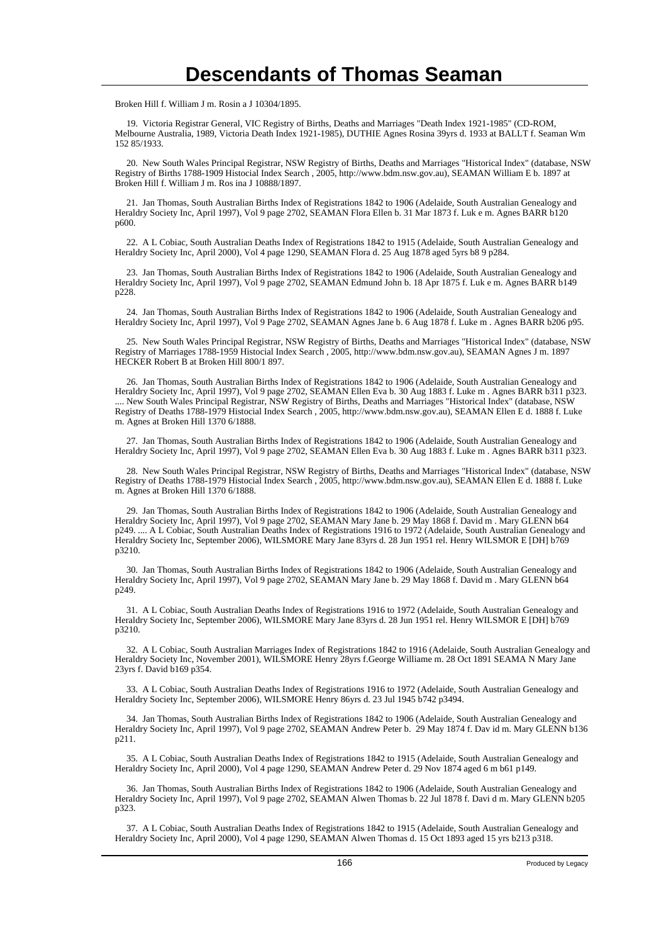Broken Hill f. William J m. Rosin a J 10304/1895.

 19. Victoria Registrar General, VIC Registry of Births, Deaths and Marriages "Death Index 1921-1985" (CD-ROM, Melbourne Australia, 1989, Victoria Death Index 1921-1985), DUTHIE Agnes Rosina 39yrs d. 1933 at BALLT f. Seaman Wm 152 85/1933.

 20. New South Wales Principal Registrar, NSW Registry of Births, Deaths and Marriages "Historical Index" (database, NSW Registry of Births 1788-1909 Histocial Index Search , 2005, http://www.bdm.nsw.gov.au), SEAMAN William E b. 1897 at Broken Hill f. William J m. Ros ina J 10888/1897.

 21. Jan Thomas, South Australian Births Index of Registrations 1842 to 1906 (Adelaide, South Australian Genealogy and Heraldry Society Inc, April 1997), Vol 9 page 2702, SEAMAN Flora Ellen b. 31 Mar 1873 f. Luk e m. Agnes BARR b120 p600.

 22. A L Cobiac, South Australian Deaths Index of Registrations 1842 to 1915 (Adelaide, South Australian Genealogy and Heraldry Society Inc, April 2000), Vol 4 page 1290, SEAMAN Flora d. 25 Aug 1878 aged 5yrs b8 9 p284.

 23. Jan Thomas, South Australian Births Index of Registrations 1842 to 1906 (Adelaide, South Australian Genealogy and Heraldry Society Inc, April 1997), Vol 9 page 2702, SEAMAN Edmund John b. 18 Apr 1875 f. Luk e m. Agnes BARR b149 p228.

 24. Jan Thomas, South Australian Births Index of Registrations 1842 to 1906 (Adelaide, South Australian Genealogy and Heraldry Society Inc, April 1997), Vol 9 Page 2702, SEAMAN Agnes Jane b. 6 Aug 1878 f. Luke m . Agnes BARR b206 p95.

 25. New South Wales Principal Registrar, NSW Registry of Births, Deaths and Marriages "Historical Index" (database, NSW Registry of Marriages 1788-1959 Histocial Index Search , 2005, http://www.bdm.nsw.gov.au), SEAMAN Agnes J m. 1897 HECKER Robert B at Broken Hill 800/1 897.

 26. Jan Thomas, South Australian Births Index of Registrations 1842 to 1906 (Adelaide, South Australian Genealogy and Heraldry Society Inc, April 1997), Vol 9 page 2702, SEAMAN Ellen Eva b. 30 Aug 1883 f. Luke m . Agnes BARR b311 p323. .... New South Wales Principal Registrar, NSW Registry of Births, Deaths and Marriages "Historical Index" (database, NSW Registry of Deaths 1788-1979 Histocial Index Search , 2005, http://www.bdm.nsw.gov.au), SEAMAN Ellen E d. 1888 f. Luke m. Agnes at Broken Hill 1370 6/1888.

 27. Jan Thomas, South Australian Births Index of Registrations 1842 to 1906 (Adelaide, South Australian Genealogy and Heraldry Society Inc, April 1997), Vol 9 page 2702, SEAMAN Ellen Eva b. 30 Aug 1883 f. Luke m . Agnes BARR b311 p323.

 28. New South Wales Principal Registrar, NSW Registry of Births, Deaths and Marriages "Historical Index" (database, NSW Registry of Deaths 1788-1979 Histocial Index Search , 2005, http://www.bdm.nsw.gov.au), SEAMAN Ellen E d. 1888 f. Luke m. Agnes at Broken Hill 1370 6/1888.

 29. Jan Thomas, South Australian Births Index of Registrations 1842 to 1906 (Adelaide, South Australian Genealogy and Heraldry Society Inc, April 1997), Vol 9 page 2702, SEAMAN Mary Jane b. 29 May 1868 f. David m . Mary GLENN b64 p249. .... A L Cobiac, South Australian Deaths Index of Registrations 1916 to 1972 (Adelaide, South Australian Genealogy and Heraldry Society Inc, September 2006), WILSMORE Mary Jane 83yrs d. 28 Jun 1951 rel. Henry WILSMOR E [DH] b769 p3210.

 30. Jan Thomas, South Australian Births Index of Registrations 1842 to 1906 (Adelaide, South Australian Genealogy and Heraldry Society Inc, April 1997), Vol 9 page 2702, SEAMAN Mary Jane b. 29 May 1868 f. David m . Mary GLENN b64 p249.

 31. A L Cobiac, South Australian Deaths Index of Registrations 1916 to 1972 (Adelaide, South Australian Genealogy and Heraldry Society Inc, September 2006), WILSMORE Mary Jane 83yrs d. 28 Jun 1951 rel. Henry WILSMOR E [DH] b769 p3210.

 32. A L Cobiac, South Australian Marriages Index of Registrations 1842 to 1916 (Adelaide, South Australian Genealogy and Heraldry Society Inc, November 2001), WILSMORE Henry 28yrs f.George Williame m. 28 Oct 1891 SEAMA N Mary Jane 23yrs f. David b169 p354.

 33. A L Cobiac, South Australian Deaths Index of Registrations 1916 to 1972 (Adelaide, South Australian Genealogy and Heraldry Society Inc, September 2006), WILSMORE Henry 86yrs d. 23 Jul 1945 b742 p3494.

 34. Jan Thomas, South Australian Births Index of Registrations 1842 to 1906 (Adelaide, South Australian Genealogy and Heraldry Society Inc, April 1997), Vol 9 page 2702, SEAMAN Andrew Peter b. 29 May 1874 f. Dav id m. Mary GLENN b136 p211.

 35. A L Cobiac, South Australian Deaths Index of Registrations 1842 to 1915 (Adelaide, South Australian Genealogy and Heraldry Society Inc, April 2000), Vol 4 page 1290, SEAMAN Andrew Peter d. 29 Nov 1874 aged 6 m b61 p149.

 36. Jan Thomas, South Australian Births Index of Registrations 1842 to 1906 (Adelaide, South Australian Genealogy and Heraldry Society Inc, April 1997), Vol 9 page 2702, SEAMAN Alwen Thomas b. 22 Jul 1878 f. Davi d m. Mary GLENN b205 p323.

 37. A L Cobiac, South Australian Deaths Index of Registrations 1842 to 1915 (Adelaide, South Australian Genealogy and Heraldry Society Inc, April 2000), Vol 4 page 1290, SEAMAN Alwen Thomas d. 15 Oct 1893 aged 15 yrs b213 p318.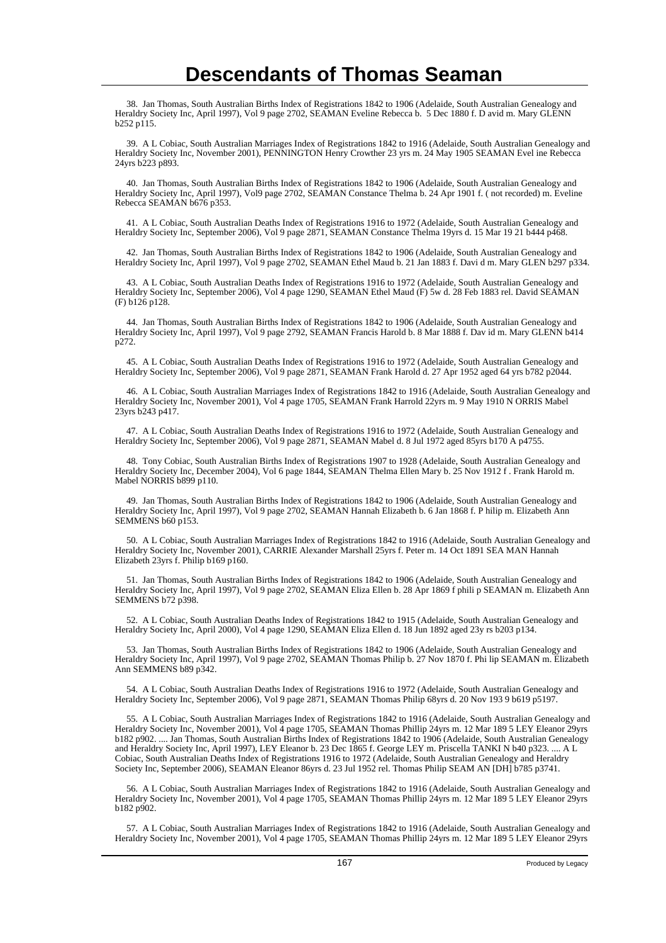38. Jan Thomas, South Australian Births Index of Registrations 1842 to 1906 (Adelaide, South Australian Genealogy and Heraldry Society Inc, April 1997), Vol 9 page 2702, SEAMAN Eveline Rebecca b. 5 Dec 1880 f. D avid m. Mary GLENN b252 p115.

 39. A L Cobiac, South Australian Marriages Index of Registrations 1842 to 1916 (Adelaide, South Australian Genealogy and Heraldry Society Inc, November 2001), PENNINGTON Henry Crowther 23 yrs m. 24 May 1905 SEAMAN Evel ine Rebecca 24yrs b223 p893.

 40. Jan Thomas, South Australian Births Index of Registrations 1842 to 1906 (Adelaide, South Australian Genealogy and Heraldry Society Inc, April 1997), Vol9 page 2702, SEAMAN Constance Thelma b. 24 Apr 1901 f. ( not recorded) m. Eveline Rebecca SEAMAN b676 p353.

 41. A L Cobiac, South Australian Deaths Index of Registrations 1916 to 1972 (Adelaide, South Australian Genealogy and Heraldry Society Inc, September 2006), Vol 9 page 2871, SEAMAN Constance Thelma 19yrs d. 15 Mar 19 21 b444 p468.

 42. Jan Thomas, South Australian Births Index of Registrations 1842 to 1906 (Adelaide, South Australian Genealogy and Heraldry Society Inc, April 1997), Vol 9 page 2702, SEAMAN Ethel Maud b. 21 Jan 1883 f. Davi d m. Mary GLEN b297 p334.

 43. A L Cobiac, South Australian Deaths Index of Registrations 1916 to 1972 (Adelaide, South Australian Genealogy and Heraldry Society Inc, September 2006), Vol 4 page 1290, SEAMAN Ethel Maud (F) 5w d. 28 Feb 1883 rel. David SEAMAN (F) b126 p128.

 44. Jan Thomas, South Australian Births Index of Registrations 1842 to 1906 (Adelaide, South Australian Genealogy and Heraldry Society Inc, April 1997), Vol 9 page 2792, SEAMAN Francis Harold b. 8 Mar 1888 f. Dav id m. Mary GLENN b414 p272.

 45. A L Cobiac, South Australian Deaths Index of Registrations 1916 to 1972 (Adelaide, South Australian Genealogy and Heraldry Society Inc, September 2006), Vol 9 page 2871, SEAMAN Frank Harold d. 27 Apr 1952 aged 64 yrs b782 p2044.

 46. A L Cobiac, South Australian Marriages Index of Registrations 1842 to 1916 (Adelaide, South Australian Genealogy and Heraldry Society Inc, November 2001), Vol 4 page 1705, SEAMAN Frank Harrold 22yrs m. 9 May 1910 N ORRIS Mabel 23yrs b243 p417.

 47. A L Cobiac, South Australian Deaths Index of Registrations 1916 to 1972 (Adelaide, South Australian Genealogy and Heraldry Society Inc, September 2006), Vol 9 page 2871, SEAMAN Mabel d. 8 Jul 1972 aged 85yrs b170 A p4755.

 48. Tony Cobiac, South Australian Births Index of Registrations 1907 to 1928 (Adelaide, South Australian Genealogy and Heraldry Society Inc, December 2004), Vol 6 page 1844, SEAMAN Thelma Ellen Mary b. 25 Nov 1912 f . Frank Harold m. Mabel NORRIS b899 p110.

 49. Jan Thomas, South Australian Births Index of Registrations 1842 to 1906 (Adelaide, South Australian Genealogy and Heraldry Society Inc, April 1997), Vol 9 page 2702, SEAMAN Hannah Elizabeth b. 6 Jan 1868 f. P hilip m. Elizabeth Ann SEMMENS b60 p153.

 50. A L Cobiac, South Australian Marriages Index of Registrations 1842 to 1916 (Adelaide, South Australian Genealogy and Heraldry Society Inc, November 2001), CARRIE Alexander Marshall 25yrs f. Peter m. 14 Oct 1891 SEA MAN Hannah Elizabeth 23yrs f. Philip b169 p160.

 51. Jan Thomas, South Australian Births Index of Registrations 1842 to 1906 (Adelaide, South Australian Genealogy and Heraldry Society Inc, April 1997), Vol 9 page 2702, SEAMAN Eliza Ellen b. 28 Apr 1869 f phili p SEAMAN m. Elizabeth Ann SEMMENS b72 p398.

 52. A L Cobiac, South Australian Deaths Index of Registrations 1842 to 1915 (Adelaide, South Australian Genealogy and Heraldry Society Inc, April 2000), Vol 4 page 1290, SEAMAN Eliza Ellen d. 18 Jun 1892 aged 23y rs b203 p134.

 53. Jan Thomas, South Australian Births Index of Registrations 1842 to 1906 (Adelaide, South Australian Genealogy and Heraldry Society Inc, April 1997), Vol 9 page 2702, SEAMAN Thomas Philip b. 27 Nov 1870 f. Phi lip SEAMAN m. Elizabeth Ann SEMMENS b89 p342.

 54. A L Cobiac, South Australian Deaths Index of Registrations 1916 to 1972 (Adelaide, South Australian Genealogy and Heraldry Society Inc, September 2006), Vol 9 page 2871, SEAMAN Thomas Philip 68yrs d. 20 Nov 193 9 b619 p5197.

 55. A L Cobiac, South Australian Marriages Index of Registrations 1842 to 1916 (Adelaide, South Australian Genealogy and Heraldry Society Inc, November 2001), Vol 4 page 1705, SEAMAN Thomas Phillip 24yrs m. 12 Mar 189 5 LEY Eleanor 29yrs b182 p902. .... Jan Thomas, South Australian Births Index of Registrations 1842 to 1906 (Adelaide, South Australian Genealogy and Heraldry Society Inc, April 1997), LEY Eleanor b. 23 Dec 1865 f. George LEY m. Priscella TANKI N b40 p323. .... A L Cobiac, South Australian Deaths Index of Registrations 1916 to 1972 (Adelaide, South Australian Genealogy and Heraldry Society Inc, September 2006), SEAMAN Eleanor 86yrs d. 23 Jul 1952 rel. Thomas Philip SEAM AN [DH] b785 p3741.

 56. A L Cobiac, South Australian Marriages Index of Registrations 1842 to 1916 (Adelaide, South Australian Genealogy and Heraldry Society Inc, November 2001), Vol 4 page 1705, SEAMAN Thomas Phillip 24yrs m. 12 Mar 189 5 LEY Eleanor 29yrs b182 p902.

 57. A L Cobiac, South Australian Marriages Index of Registrations 1842 to 1916 (Adelaide, South Australian Genealogy and Heraldry Society Inc, November 2001), Vol 4 page 1705, SEAMAN Thomas Phillip 24yrs m. 12 Mar 189 5 LEY Eleanor 29yrs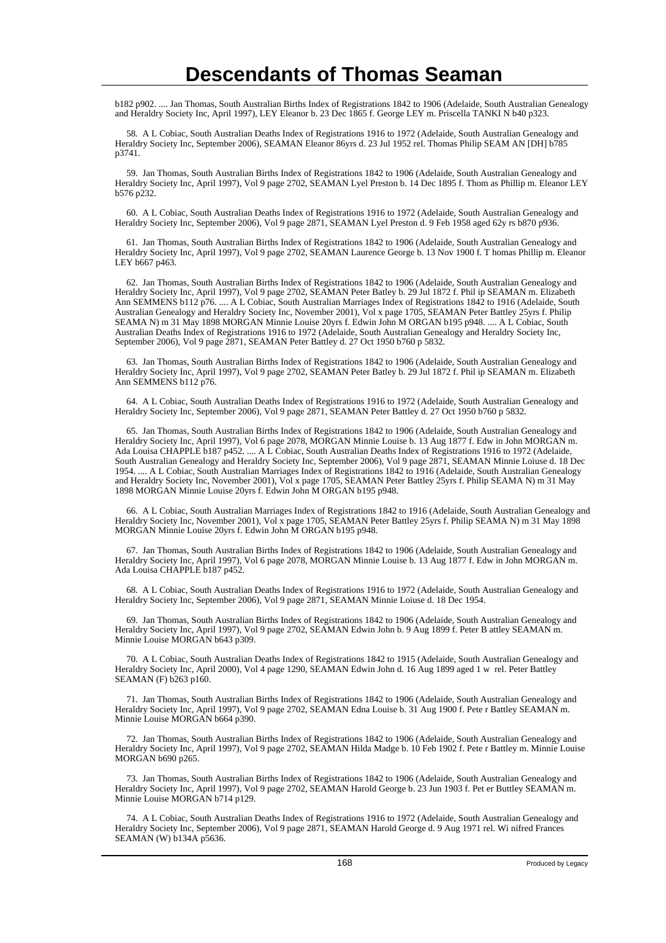b182 p902. .... Jan Thomas, South Australian Births Index of Registrations 1842 to 1906 (Adelaide, South Australian Genealogy and Heraldry Society Inc, April 1997), LEY Eleanor b. 23 Dec 1865 f. George LEY m. Priscella TANKI N b40 p323.

 58. A L Cobiac, South Australian Deaths Index of Registrations 1916 to 1972 (Adelaide, South Australian Genealogy and Heraldry Society Inc, September 2006), SEAMAN Eleanor 86yrs d. 23 Jul 1952 rel. Thomas Philip SEAM AN [DH] b785 p3741.

 59. Jan Thomas, South Australian Births Index of Registrations 1842 to 1906 (Adelaide, South Australian Genealogy and Heraldry Society Inc, April 1997), Vol 9 page 2702, SEAMAN Lyel Preston b. 14 Dec 1895 f. Thom as Phillip m. Eleanor LEY b576 p232.

 60. A L Cobiac, South Australian Deaths Index of Registrations 1916 to 1972 (Adelaide, South Australian Genealogy and Heraldry Society Inc, September 2006), Vol 9 page 2871, SEAMAN Lyel Preston d. 9 Feb 1958 aged 62y rs b870 p936.

 61. Jan Thomas, South Australian Births Index of Registrations 1842 to 1906 (Adelaide, South Australian Genealogy and Heraldry Society Inc, April 1997), Vol 9 page 2702, SEAMAN Laurence George b. 13 Nov 1900 f. T homas Phillip m. Eleanor LEY b667 p463.

 62. Jan Thomas, South Australian Births Index of Registrations 1842 to 1906 (Adelaide, South Australian Genealogy and Heraldry Society Inc, April 1997), Vol 9 page 2702, SEAMAN Peter Batley b. 29 Jul 1872 f. Phil ip SEAMAN m. Elizabeth Ann SEMMENS b112 p76. .... A L Cobiac, South Australian Marriages Index of Registrations 1842 to 1916 (Adelaide, South Australian Genealogy and Heraldry Society Inc, November 2001), Vol x page 1705, SEAMAN Peter Battley 25yrs f. Philip SEAMA N) m 31 May 1898 MORGAN Minnie Louise 20yrs f. Edwin John M ORGAN b195 p948. .... A L Cobiac, South Australian Deaths Index of Registrations 1916 to 1972 (Adelaide, South Australian Genealogy and Heraldry Society Inc, September 2006), Vol 9 page 2871, SEAMAN Peter Battley d. 27 Oct 1950 b760 p 5832.

 63. Jan Thomas, South Australian Births Index of Registrations 1842 to 1906 (Adelaide, South Australian Genealogy and Heraldry Society Inc, April 1997), Vol 9 page 2702, SEAMAN Peter Batley b. 29 Jul 1872 f. Phil ip SEAMAN m. Elizabeth Ann SEMMENS b112 p76.

 64. A L Cobiac, South Australian Deaths Index of Registrations 1916 to 1972 (Adelaide, South Australian Genealogy and Heraldry Society Inc, September 2006), Vol 9 page 2871, SEAMAN Peter Battley d. 27 Oct 1950 b760 p 5832.

 65. Jan Thomas, South Australian Births Index of Registrations 1842 to 1906 (Adelaide, South Australian Genealogy and Heraldry Society Inc, April 1997), Vol 6 page 2078, MORGAN Minnie Louise b. 13 Aug 1877 f. Edw in John MORGAN m. Ada Louisa CHAPPLE b187 p452. .... A L Cobiac, South Australian Deaths Index of Registrations 1916 to 1972 (Adelaide, South Australian Genealogy and Heraldry Society Inc, September 2006), Vol 9 page 2871, SEAMAN Minnie Loiuse d. 18 Dec 1954. .... A L Cobiac, South Australian Marriages Index of Registrations 1842 to 1916 (Adelaide, South Australian Genealogy and Heraldry Society Inc, November 2001), Vol x page 1705, SEAMAN Peter Battley 25yrs f. Philip SEAMA N) m 31 May 1898 MORGAN Minnie Louise 20yrs f. Edwin John M ORGAN b195 p948.

 66. A L Cobiac, South Australian Marriages Index of Registrations 1842 to 1916 (Adelaide, South Australian Genealogy and Heraldry Society Inc, November 2001), Vol x page 1705, SEAMAN Peter Battley 25yrs f. Philip SEAMA N) m 31 May 1898 MORGAN Minnie Louise 20yrs f. Edwin John M ORGAN b195 p948.

 67. Jan Thomas, South Australian Births Index of Registrations 1842 to 1906 (Adelaide, South Australian Genealogy and Heraldry Society Inc, April 1997), Vol 6 page 2078, MORGAN Minnie Louise b. 13 Aug 1877 f. Edw in John MORGAN m. Ada Louisa CHAPPLE b187 p452.

 68. A L Cobiac, South Australian Deaths Index of Registrations 1916 to 1972 (Adelaide, South Australian Genealogy and Heraldry Society Inc, September 2006), Vol 9 page 2871, SEAMAN Minnie Loiuse d. 18 Dec 1954.

 69. Jan Thomas, South Australian Births Index of Registrations 1842 to 1906 (Adelaide, South Australian Genealogy and Heraldry Society Inc, April 1997), Vol 9 page 2702, SEAMAN Edwin John b. 9 Aug 1899 f. Peter B attley SEAMAN m. Minnie Louise MORGAN b643 p309.

 70. A L Cobiac, South Australian Deaths Index of Registrations 1842 to 1915 (Adelaide, South Australian Genealogy and Heraldry Society Inc, April 2000), Vol 4 page 1290, SEAMAN Edwin John d. 16 Aug 1899 aged 1 w rel. Peter Battley SEAMAN (F) b263 p160.

 71. Jan Thomas, South Australian Births Index of Registrations 1842 to 1906 (Adelaide, South Australian Genealogy and Heraldry Society Inc, April 1997), Vol 9 page 2702, SEAMAN Edna Louise b. 31 Aug 1900 f. Pete r Battley SEAMAN m. Minnie Louise MORGAN b664 p390.

 72. Jan Thomas, South Australian Births Index of Registrations 1842 to 1906 (Adelaide, South Australian Genealogy and Heraldry Society Inc, April 1997), Vol 9 page 2702, SEAMAN Hilda Madge b. 10 Feb 1902 f. Pete r Battley m. Minnie Louise MORGAN b690 p265.

 73. Jan Thomas, South Australian Births Index of Registrations 1842 to 1906 (Adelaide, South Australian Genealogy and Heraldry Society Inc, April 1997), Vol 9 page 2702, SEAMAN Harold George b. 23 Jun 1903 f. Pet er Buttley SEAMAN m. Minnie Louise MORGAN b714 p129.

 74. A L Cobiac, South Australian Deaths Index of Registrations 1916 to 1972 (Adelaide, South Australian Genealogy and Heraldry Society Inc, September 2006), Vol 9 page 2871, SEAMAN Harold George d. 9 Aug 1971 rel. Wi nifred Frances SEAMAN (W) b134A p5636.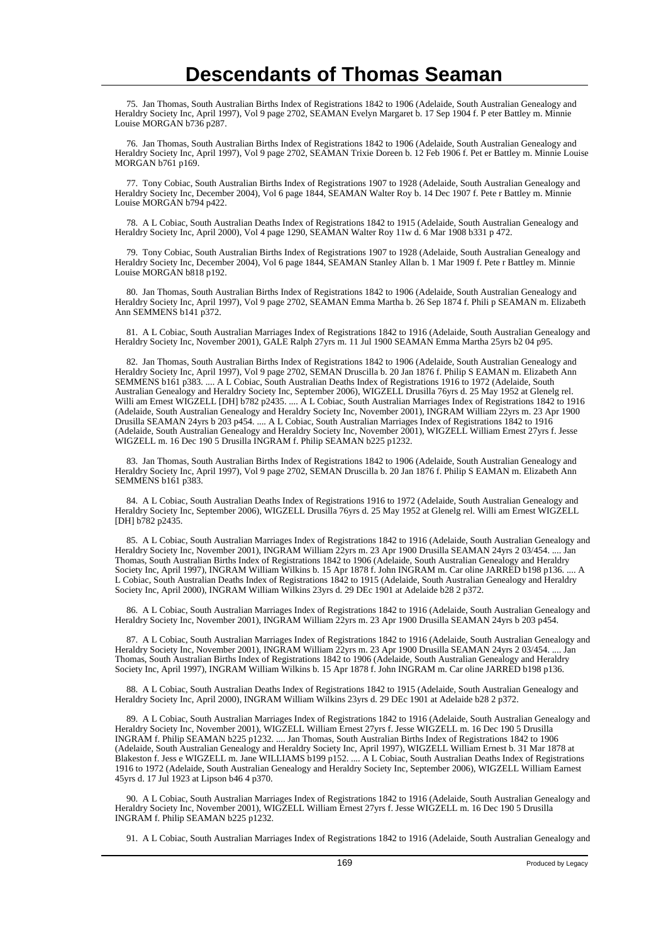75. Jan Thomas, South Australian Births Index of Registrations 1842 to 1906 (Adelaide, South Australian Genealogy and Heraldry Society Inc, April 1997), Vol 9 page 2702, SEAMAN Evelyn Margaret b. 17 Sep 1904 f. P eter Battley m. Minnie Louise MORGAN b736 p287.

 76. Jan Thomas, South Australian Births Index of Registrations 1842 to 1906 (Adelaide, South Australian Genealogy and Heraldry Society Inc, April 1997), Vol 9 page 2702, SEAMAN Trixie Doreen b. 12 Feb 1906 f. Pet er Battley m. Minnie Louise MORGAN b761 p169.

 77. Tony Cobiac, South Australian Births Index of Registrations 1907 to 1928 (Adelaide, South Australian Genealogy and Heraldry Society Inc, December 2004), Vol 6 page 1844, SEAMAN Walter Roy b. 14 Dec 1907 f. Pete r Battley m. Minnie Louise MORGAN b794 p422.

 78. A L Cobiac, South Australian Deaths Index of Registrations 1842 to 1915 (Adelaide, South Australian Genealogy and Heraldry Society Inc, April 2000), Vol 4 page 1290, SEAMAN Walter Roy 11w d. 6 Mar 1908 b331 p 472.

 79. Tony Cobiac, South Australian Births Index of Registrations 1907 to 1928 (Adelaide, South Australian Genealogy and Heraldry Society Inc, December 2004), Vol 6 page 1844, SEAMAN Stanley Allan b. 1 Mar 1909 f. Pete r Battley m. Minnie Louise MORGAN b818 p192.

 80. Jan Thomas, South Australian Births Index of Registrations 1842 to 1906 (Adelaide, South Australian Genealogy and Heraldry Society Inc, April 1997), Vol 9 page 2702, SEAMAN Emma Martha b. 26 Sep 1874 f. Phili p SEAMAN m. Elizabeth Ann SEMMENS b141 p372.

 81. A L Cobiac, South Australian Marriages Index of Registrations 1842 to 1916 (Adelaide, South Australian Genealogy and Heraldry Society Inc, November 2001), GALE Ralph 27yrs m. 11 Jul 1900 SEAMAN Emma Martha 25yrs b2 04 p95.

 82. Jan Thomas, South Australian Births Index of Registrations 1842 to 1906 (Adelaide, South Australian Genealogy and Heraldry Society Inc, April 1997), Vol 9 page 2702, SEMAN Druscilla b. 20 Jan 1876 f. Philip S EAMAN m. Elizabeth Ann SEMMENS b161 p383. .... A L Cobiac, South Australian Deaths Index of Registrations 1916 to 1972 (Adelaide, South Australian Genealogy and Heraldry Society Inc, September 2006), WIGZELL Drusilla 76yrs d. 25 May 1952 at Glenelg rel. Willi am Ernest WIGZELL [DH] b782 p2435. .... A L Cobiac, South Australian Marriages Index of Registrations 1842 to 1916 (Adelaide, South Australian Genealogy and Heraldry Society Inc, November 2001), INGRAM William 22yrs m. 23 Apr 1900 Drusilla SEAMAN 24yrs b 203 p454. .... A L Cobiac, South Australian Marriages Index of Registrations 1842 to 1916 (Adelaide, South Australian Genealogy and Heraldry Society Inc, November 2001), WIGZELL William Ernest 27yrs f. Jesse WIGZELL m. 16 Dec 190 5 Drusilla INGRAM f. Philip SEAMAN b225 p1232.

 83. Jan Thomas, South Australian Births Index of Registrations 1842 to 1906 (Adelaide, South Australian Genealogy and Heraldry Society Inc, April 1997), Vol 9 page 2702, SEMAN Druscilla b. 20 Jan 1876 f. Philip S EAMAN m. Elizabeth Ann SEMMENS b161 p383.

 84. A L Cobiac, South Australian Deaths Index of Registrations 1916 to 1972 (Adelaide, South Australian Genealogy and Heraldry Society Inc, September 2006), WIGZELL Drusilla 76yrs d. 25 May 1952 at Glenelg rel. Willi am Ernest WIGZELL [DH] b782 p2435.

 85. A L Cobiac, South Australian Marriages Index of Registrations 1842 to 1916 (Adelaide, South Australian Genealogy and Heraldry Society Inc, November 2001), INGRAM William 22yrs m. 23 Apr 1900 Drusilla SEAMAN 24yrs 2 03/454. .... Jan Thomas, South Australian Births Index of Registrations 1842 to 1906 (Adelaide, South Australian Genealogy and Heraldry Society Inc, April 1997), INGRAM William Wilkins b. 15 Apr 1878 f. John INGRAM m. Car oline JARRED b198 p136. .... A L Cobiac, South Australian Deaths Index of Registrations 1842 to 1915 (Adelaide, South Australian Genealogy and Heraldry Society Inc, April 2000), INGRAM William Wilkins 23yrs d. 29 DEc 1901 at Adelaide b28 2 p372.

 86. A L Cobiac, South Australian Marriages Index of Registrations 1842 to 1916 (Adelaide, South Australian Genealogy and Heraldry Society Inc, November 2001), INGRAM William 22yrs m. 23 Apr 1900 Drusilla SEAMAN 24yrs b 203 p454.

 87. A L Cobiac, South Australian Marriages Index of Registrations 1842 to 1916 (Adelaide, South Australian Genealogy and Heraldry Society Inc, November 2001), INGRAM William 22yrs m. 23 Apr 1900 Drusilla SEAMAN 24yrs 2 03/454. .... Jan Thomas, South Australian Births Index of Registrations 1842 to 1906 (Adelaide, South Australian Genealogy and Heraldry Society Inc, April 1997), INGRAM William Wilkins b. 15 Apr 1878 f. John INGRAM m. Car oline JARRED b198 p136.

 88. A L Cobiac, South Australian Deaths Index of Registrations 1842 to 1915 (Adelaide, South Australian Genealogy and Heraldry Society Inc, April 2000), INGRAM William Wilkins 23yrs d. 29 DEc 1901 at Adelaide b28 2 p372.

 89. A L Cobiac, South Australian Marriages Index of Registrations 1842 to 1916 (Adelaide, South Australian Genealogy and Heraldry Society Inc, November 2001), WIGZELL William Ernest 27yrs f. Jesse WIGZELL m. 16 Dec 190 5 Drusilla INGRAM f. Philip SEAMAN b225 p1232. .... Jan Thomas, South Australian Births Index of Registrations 1842 to 1906 (Adelaide, South Australian Genealogy and Heraldry Society Inc, April 1997), WIGZELL William Ernest b. 31 Mar 1878 at Blakeston f. Jess e WIGZELL m. Jane WILLIAMS b199 p152. .... A L Cobiac, South Australian Deaths Index of Registrations 1916 to 1972 (Adelaide, South Australian Genealogy and Heraldry Society Inc, September 2006), WIGZELL William Earnest 45yrs d. 17 Jul 1923 at Lipson b46 4 p370.

 90. A L Cobiac, South Australian Marriages Index of Registrations 1842 to 1916 (Adelaide, South Australian Genealogy and Heraldry Society Inc, November 2001), WIGZELL William Ernest 27yrs f. Jesse WIGZELL m. 16 Dec 190 5 Drusilla INGRAM f. Philip SEAMAN b225 p1232.

91. A L Cobiac, South Australian Marriages Index of Registrations 1842 to 1916 (Adelaide, South Australian Genealogy and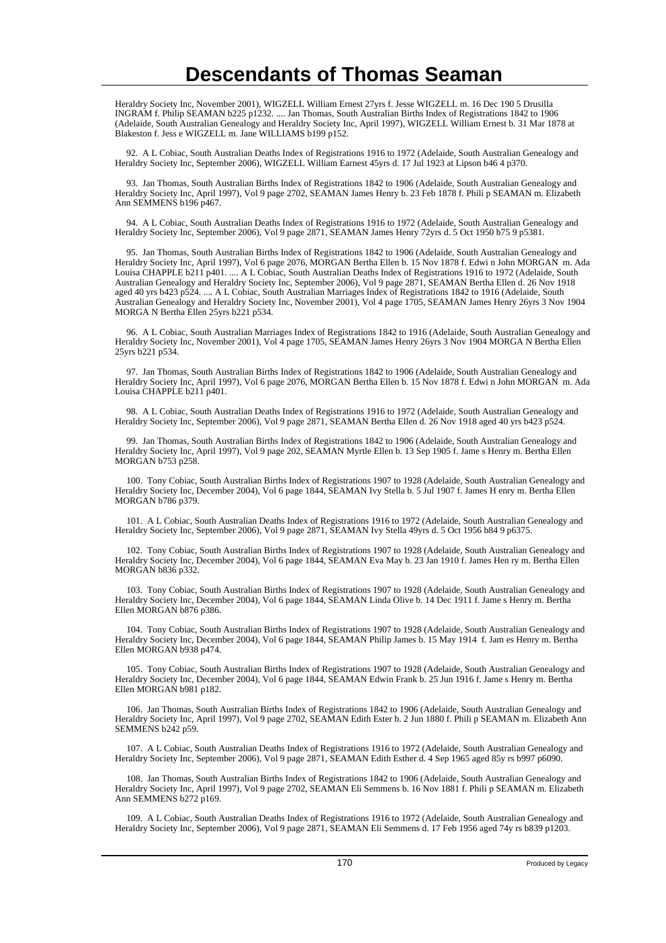Heraldry Society Inc, November 2001), WIGZELL William Ernest 27yrs f. Jesse WIGZELL m. 16 Dec 190 5 Drusilla INGRAM f. Philip SEAMAN b225 p1232. .... Jan Thomas, South Australian Births Index of Registrations 1842 to 1906 (Adelaide, South Australian Genealogy and Heraldry Society Inc, April 1997), WIGZELL William Ernest b. 31 Mar 1878 at Blakeston f. Jess e WIGZELL m. Jane WILLIAMS b199 p152.

 92. A L Cobiac, South Australian Deaths Index of Registrations 1916 to 1972 (Adelaide, South Australian Genealogy and Heraldry Society Inc, September 2006), WIGZELL William Earnest 45yrs d. 17 Jul 1923 at Lipson b46 4 p370.

 93. Jan Thomas, South Australian Births Index of Registrations 1842 to 1906 (Adelaide, South Australian Genealogy and Heraldry Society Inc, April 1997), Vol 9 page 2702, SEAMAN James Henry b. 23 Feb 1878 f. Phili p SEAMAN m. Elizabeth Ann SEMMENS b196 p467.

 94. A L Cobiac, South Australian Deaths Index of Registrations 1916 to 1972 (Adelaide, South Australian Genealogy and Heraldry Society Inc, September 2006), Vol 9 page 2871, SEAMAN James Henry 72yrs d. 5 Oct 1950 b75 9 p5381.

 95. Jan Thomas, South Australian Births Index of Registrations 1842 to 1906 (Adelaide, South Australian Genealogy and Heraldry Society Inc, April 1997), Vol 6 page 2076, MORGAN Bertha Ellen b. 15 Nov 1878 f. Edwi n John MORGAN m. Ada Louisa CHAPPLE b211 p401. .... A L Cobiac, South Australian Deaths Index of Registrations 1916 to 1972 (Adelaide, South Australian Genealogy and Heraldry Society Inc, September 2006), Vol 9 page 2871, SEAMAN Bertha Ellen d. 26 Nov 1918 aged 40 yrs b423 p524. .... A L Cobiac, South Australian Marriages Index of Registrations 1842 to 1916 (Adelaide, South Australian Genealogy and Heraldry Society Inc, November 2001), Vol 4 page 1705, SEAMAN James Henry 26yrs 3 Nov 1904 MORGA N Bertha Ellen 25yrs b221 p534.

 96. A L Cobiac, South Australian Marriages Index of Registrations 1842 to 1916 (Adelaide, South Australian Genealogy and Heraldry Society Inc, November 2001), Vol 4 page 1705, SEAMAN James Henry 26yrs 3 Nov 1904 MORGA N Bertha Ellen 25yrs b221 p534.

 97. Jan Thomas, South Australian Births Index of Registrations 1842 to 1906 (Adelaide, South Australian Genealogy and Heraldry Society Inc, April 1997), Vol 6 page 2076, MORGAN Bertha Ellen b. 15 Nov 1878 f. Edwi n John MORGAN m. Ada Louisa CHAPPLE b211 p401.

 98. A L Cobiac, South Australian Deaths Index of Registrations 1916 to 1972 (Adelaide, South Australian Genealogy and Heraldry Society Inc, September 2006), Vol 9 page 2871, SEAMAN Bertha Ellen d. 26 Nov 1918 aged 40 yrs b423 p524.

 99. Jan Thomas, South Australian Births Index of Registrations 1842 to 1906 (Adelaide, South Australian Genealogy and Heraldry Society Inc, April 1997), Vol 9 page 202, SEAMAN Myrtle Ellen b. 13 Sep 1905 f. Jame s Henry m. Bertha Ellen MORGAN b753 p258.

 100. Tony Cobiac, South Australian Births Index of Registrations 1907 to 1928 (Adelaide, South Australian Genealogy and Heraldry Society Inc, December 2004), Vol 6 page 1844, SEAMAN Ivy Stella b. 5 Jul 1907 f. James H enry m. Bertha Ellen MORGAN b786 p379.

 101. A L Cobiac, South Australian Deaths Index of Registrations 1916 to 1972 (Adelaide, South Australian Genealogy and Heraldry Society Inc, September 2006), Vol 9 page 2871, SEAMAN Ivy Stella 49yrs d. 5 Oct 1956 b84 9 p6375.

 102. Tony Cobiac, South Australian Births Index of Registrations 1907 to 1928 (Adelaide, South Australian Genealogy and Heraldry Society Inc, December 2004), Vol 6 page 1844, SEAMAN Eva May b. 23 Jan 1910 f. James Hen ry m. Bertha Ellen MORGAN b836 p332.

 103. Tony Cobiac, South Australian Births Index of Registrations 1907 to 1928 (Adelaide, South Australian Genealogy and Heraldry Society Inc, December 2004), Vol 6 page 1844, SEAMAN Linda Olive b. 14 Dec 1911 f. Jame s Henry m. Bertha Ellen MORGAN b876 p386.

 104. Tony Cobiac, South Australian Births Index of Registrations 1907 to 1928 (Adelaide, South Australian Genealogy and Heraldry Society Inc, December 2004), Vol 6 page 1844, SEAMAN Philip James b. 15 May 1914 f. Jam es Henry m. Bertha Ellen MORGAN b938 p474.

 105. Tony Cobiac, South Australian Births Index of Registrations 1907 to 1928 (Adelaide, South Australian Genealogy and Heraldry Society Inc, December 2004), Vol 6 page 1844, SEAMAN Edwin Frank b. 25 Jun 1916 f. Jame s Henry m. Bertha Ellen MORGAN b981 p182.

 106. Jan Thomas, South Australian Births Index of Registrations 1842 to 1906 (Adelaide, South Australian Genealogy and Heraldry Society Inc, April 1997), Vol 9 page 2702, SEAMAN Edith Ester b. 2 Jun 1880 f. Phili p SEAMAN m. Elizabeth Ann SEMMENS b242 p59.

 107. A L Cobiac, South Australian Deaths Index of Registrations 1916 to 1972 (Adelaide, South Australian Genealogy and Heraldry Society Inc, September 2006), Vol 9 page 2871, SEAMAN Edith Esther d. 4 Sep 1965 aged 85y rs b997 p6090.

 108. Jan Thomas, South Australian Births Index of Registrations 1842 to 1906 (Adelaide, South Australian Genealogy and Heraldry Society Inc, April 1997), Vol 9 page 2702, SEAMAN Eli Semmens b. 16 Nov 1881 f. Phili p SEAMAN m. Elizabeth Ann SEMMENS b272 p169.

 109. A L Cobiac, South Australian Deaths Index of Registrations 1916 to 1972 (Adelaide, South Australian Genealogy and Heraldry Society Inc, September 2006), Vol 9 page 2871, SEAMAN Eli Semmens d. 17 Feb 1956 aged 74y rs b839 p1203.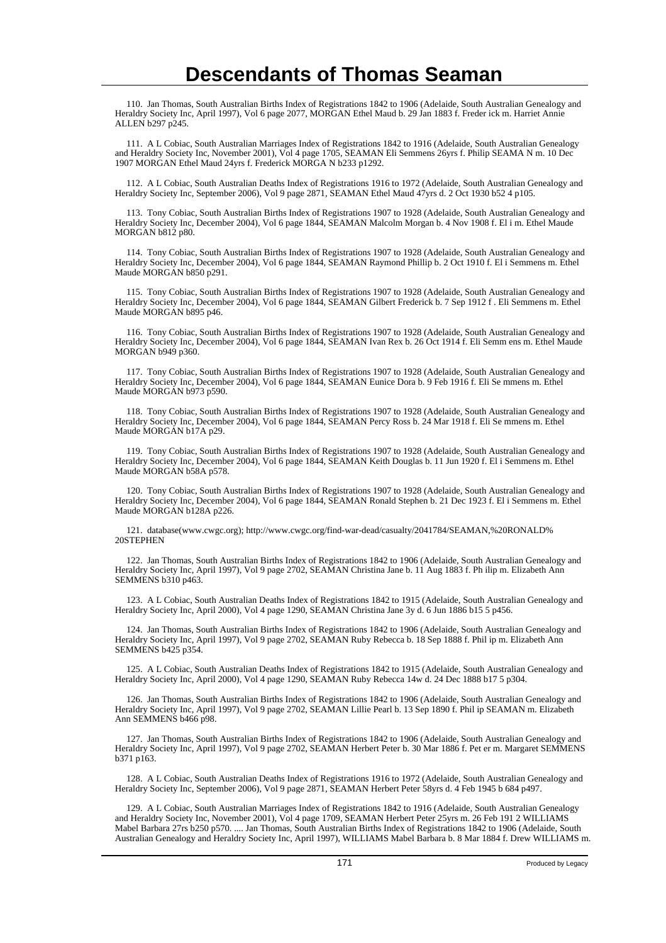110. Jan Thomas, South Australian Births Index of Registrations 1842 to 1906 (Adelaide, South Australian Genealogy and Heraldry Society Inc, April 1997), Vol 6 page 2077, MORGAN Ethel Maud b. 29 Jan 1883 f. Freder ick m. Harriet Annie ALLEN b297 p245.

 111. A L Cobiac, South Australian Marriages Index of Registrations 1842 to 1916 (Adelaide, South Australian Genealogy and Heraldry Society Inc, November 2001), Vol 4 page 1705, SEAMAN Eli Semmens 26yrs f. Philip SEAMA N m. 10 Dec 1907 MORGAN Ethel Maud 24yrs f. Frederick MORGA N b233 p1292.

 112. A L Cobiac, South Australian Deaths Index of Registrations 1916 to 1972 (Adelaide, South Australian Genealogy and Heraldry Society Inc, September 2006), Vol 9 page 2871, SEAMAN Ethel Maud 47yrs d. 2 Oct 1930 b52 4 p105.

 113. Tony Cobiac, South Australian Births Index of Registrations 1907 to 1928 (Adelaide, South Australian Genealogy and Heraldry Society Inc, December 2004), Vol 6 page 1844, SEAMAN Malcolm Morgan b. 4 Nov 1908 f. El i m. Ethel Maude MORGAN b812 p80.

 114. Tony Cobiac, South Australian Births Index of Registrations 1907 to 1928 (Adelaide, South Australian Genealogy and Heraldry Society Inc, December 2004), Vol 6 page 1844, SEAMAN Raymond Phillip b. 2 Oct 1910 f. El i Semmens m. Ethel Maude MORGAN b850 p291.

 115. Tony Cobiac, South Australian Births Index of Registrations 1907 to 1928 (Adelaide, South Australian Genealogy and Heraldry Society Inc, December 2004), Vol 6 page 1844, SEAMAN Gilbert Frederick b. 7 Sep 1912 f . Eli Semmens m. Ethel Maude MORGAN b895 p46.

 116. Tony Cobiac, South Australian Births Index of Registrations 1907 to 1928 (Adelaide, South Australian Genealogy and Heraldry Society Inc, December 2004), Vol 6 page 1844, SEAMAN Ivan Rex b. 26 Oct 1914 f. Eli Semm ens m. Ethel Maude MORGAN b949 p360.

 117. Tony Cobiac, South Australian Births Index of Registrations 1907 to 1928 (Adelaide, South Australian Genealogy and Heraldry Society Inc, December 2004), Vol 6 page 1844, SEAMAN Eunice Dora b. 9 Feb 1916 f. Eli Se mmens m. Ethel Maude MORGAN b973 p590.

 118. Tony Cobiac, South Australian Births Index of Registrations 1907 to 1928 (Adelaide, South Australian Genealogy and Heraldry Society Inc, December 2004), Vol 6 page 1844, SEAMAN Percy Ross b. 24 Mar 1918 f. Eli Se mmens m. Ethel Maude MORGAN b17A p29.

 119. Tony Cobiac, South Australian Births Index of Registrations 1907 to 1928 (Adelaide, South Australian Genealogy and Heraldry Society Inc, December 2004), Vol 6 page 1844, SEAMAN Keith Douglas b. 11 Jun 1920 f. El i Semmens m. Ethel Maude MORGAN b58A p578.

 120. Tony Cobiac, South Australian Births Index of Registrations 1907 to 1928 (Adelaide, South Australian Genealogy and Heraldry Society Inc, December 2004), Vol 6 page 1844, SEAMAN Ronald Stephen b. 21 Dec 1923 f. El i Semmens m. Ethel Maude MORGAN b128A p226.

 121. database(www.cwgc.org); http://www.cwgc.org/find-war-dead/casualty/2041784/SEAMAN,%20RONALD% 20STEPHEN

 122. Jan Thomas, South Australian Births Index of Registrations 1842 to 1906 (Adelaide, South Australian Genealogy and Heraldry Society Inc, April 1997), Vol 9 page 2702, SEAMAN Christina Jane b. 11 Aug 1883 f. Ph ilip m. Elizabeth Ann SEMMENS b310 p463.

 123. A L Cobiac, South Australian Deaths Index of Registrations 1842 to 1915 (Adelaide, South Australian Genealogy and Heraldry Society Inc, April 2000), Vol 4 page 1290, SEAMAN Christina Jane 3y d. 6 Jun 1886 b15 5 p456.

 124. Jan Thomas, South Australian Births Index of Registrations 1842 to 1906 (Adelaide, South Australian Genealogy and Heraldry Society Inc, April 1997), Vol 9 page 2702, SEAMAN Ruby Rebecca b. 18 Sep 1888 f. Phil ip m. Elizabeth Ann SEMMENS b425 p354.

 125. A L Cobiac, South Australian Deaths Index of Registrations 1842 to 1915 (Adelaide, South Australian Genealogy and Heraldry Society Inc, April 2000), Vol 4 page 1290, SEAMAN Ruby Rebecca 14w d. 24 Dec 1888 b17 5 p304.

 126. Jan Thomas, South Australian Births Index of Registrations 1842 to 1906 (Adelaide, South Australian Genealogy and Heraldry Society Inc, April 1997), Vol 9 page 2702, SEAMAN Lillie Pearl b. 13 Sep 1890 f. Phil ip SEAMAN m. Elizabeth Ann SEMMENS b466 p98.

 127. Jan Thomas, South Australian Births Index of Registrations 1842 to 1906 (Adelaide, South Australian Genealogy and Heraldry Society Inc, April 1997), Vol 9 page 2702, SEAMAN Herbert Peter b. 30 Mar 1886 f. Pet er m. Margaret SEMMENS b371 p163.

 128. A L Cobiac, South Australian Deaths Index of Registrations 1916 to 1972 (Adelaide, South Australian Genealogy and Heraldry Society Inc, September 2006), Vol 9 page 2871, SEAMAN Herbert Peter 58yrs d. 4 Feb 1945 b 684 p497.

 129. A L Cobiac, South Australian Marriages Index of Registrations 1842 to 1916 (Adelaide, South Australian Genealogy and Heraldry Society Inc, November 2001), Vol 4 page 1709, SEAMAN Herbert Peter 25yrs m. 26 Feb 191 2 WILLIAMS Mabel Barbara 27rs b250 p570. .... Jan Thomas, South Australian Births Index of Registrations 1842 to 1906 (Adelaide, South Australian Genealogy and Heraldry Society Inc, April 1997), WILLIAMS Mabel Barbara b. 8 Mar 1884 f. Drew WILLIAMS m.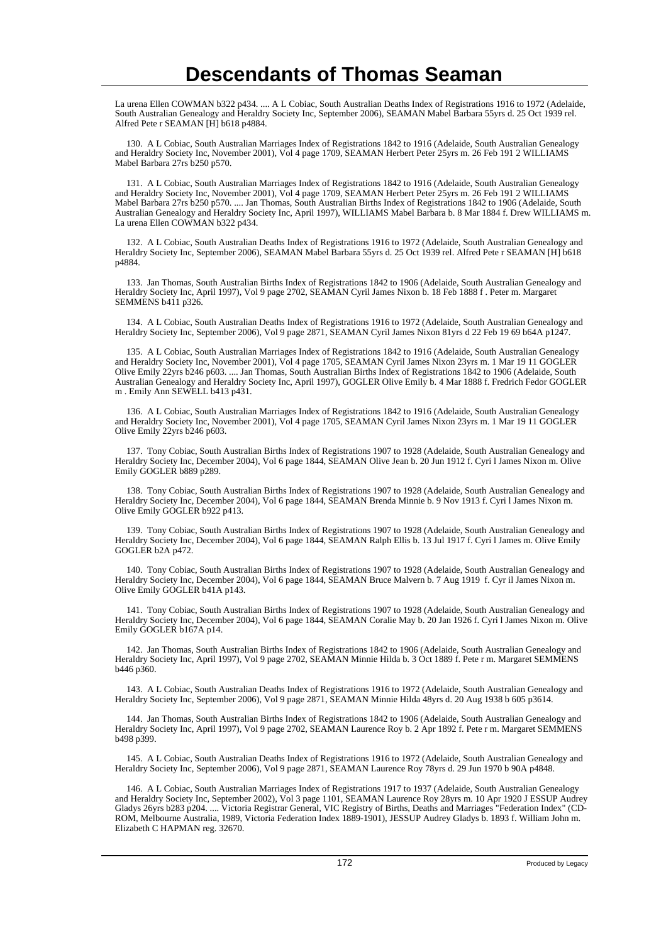La urena Ellen COWMAN b322 p434. .... A L Cobiac, South Australian Deaths Index of Registrations 1916 to 1972 (Adelaide, South Australian Genealogy and Heraldry Society Inc, September 2006), SEAMAN Mabel Barbara 55yrs d. 25 Oct 1939 rel. Alfred Pete r SEAMAN [H] b618 p4884.

 130. A L Cobiac, South Australian Marriages Index of Registrations 1842 to 1916 (Adelaide, South Australian Genealogy and Heraldry Society Inc, November 2001), Vol 4 page 1709, SEAMAN Herbert Peter 25yrs m. 26 Feb 191 2 WILLIAMS Mabel Barbara 27rs b250 p570.

 131. A L Cobiac, South Australian Marriages Index of Registrations 1842 to 1916 (Adelaide, South Australian Genealogy and Heraldry Society Inc, November 2001), Vol 4 page 1709, SEAMAN Herbert Peter 25yrs m. 26 Feb 191 2 WILLIAMS Mabel Barbara 27rs b250 p570. .... Jan Thomas, South Australian Births Index of Registrations 1842 to 1906 (Adelaide, South Australian Genealogy and Heraldry Society Inc, April 1997), WILLIAMS Mabel Barbara b. 8 Mar 1884 f. Drew WILLIAMS m. La urena Ellen COWMAN b322 p434.

 132. A L Cobiac, South Australian Deaths Index of Registrations 1916 to 1972 (Adelaide, South Australian Genealogy and Heraldry Society Inc, September 2006), SEAMAN Mabel Barbara 55yrs d. 25 Oct 1939 rel. Alfred Pete r SEAMAN [H] b618 p4884.

 133. Jan Thomas, South Australian Births Index of Registrations 1842 to 1906 (Adelaide, South Australian Genealogy and Heraldry Society Inc, April 1997), Vol 9 page 2702, SEAMAN Cyril James Nixon b. 18 Feb 1888 f . Peter m. Margaret SEMMENS b411 p326.

 134. A L Cobiac, South Australian Deaths Index of Registrations 1916 to 1972 (Adelaide, South Australian Genealogy and Heraldry Society Inc, September 2006), Vol 9 page 2871, SEAMAN Cyril James Nixon 81yrs d 22 Feb 19 69 b64A p1247.

 135. A L Cobiac, South Australian Marriages Index of Registrations 1842 to 1916 (Adelaide, South Australian Genealogy and Heraldry Society Inc, November 2001), Vol 4 page 1705, SEAMAN Cyril James Nixon 23yrs m. 1 Mar 19 11 GOGLER Olive Emily 22yrs b246 p603. .... Jan Thomas, South Australian Births Index of Registrations 1842 to 1906 (Adelaide, South Australian Genealogy and Heraldry Society Inc, April 1997), GOGLER Olive Emily b. 4 Mar 1888 f. Fredrich Fedor GOGLER m . Emily Ann SEWELL b413 p431.

 136. A L Cobiac, South Australian Marriages Index of Registrations 1842 to 1916 (Adelaide, South Australian Genealogy and Heraldry Society Inc, November 2001), Vol 4 page 1705, SEAMAN Cyril James Nixon 23yrs m. 1 Mar 19 11 GOGLER Olive Emily 22yrs b246 p603.

 137. Tony Cobiac, South Australian Births Index of Registrations 1907 to 1928 (Adelaide, South Australian Genealogy and Heraldry Society Inc, December 2004), Vol 6 page 1844, SEAMAN Olive Jean b. 20 Jun 1912 f. Cyri l James Nixon m. Olive Emily GOGLER b889 p289.

 138. Tony Cobiac, South Australian Births Index of Registrations 1907 to 1928 (Adelaide, South Australian Genealogy and Heraldry Society Inc, December 2004), Vol 6 page 1844, SEAMAN Brenda Minnie b. 9 Nov 1913 f. Cyri l James Nixon m. Olive Emily GOGLER b922 p413.

 139. Tony Cobiac, South Australian Births Index of Registrations 1907 to 1928 (Adelaide, South Australian Genealogy and Heraldry Society Inc, December 2004), Vol 6 page 1844, SEAMAN Ralph Ellis b. 13 Jul 1917 f. Cyri l James m. Olive Emily GOGLER b2A p472.

 140. Tony Cobiac, South Australian Births Index of Registrations 1907 to 1928 (Adelaide, South Australian Genealogy and Heraldry Society Inc, December 2004), Vol 6 page 1844, SEAMAN Bruce Malvern b. 7 Aug 1919 f. Cyr il James Nixon m. Olive Emily GOGLER b41A p143.

 141. Tony Cobiac, South Australian Births Index of Registrations 1907 to 1928 (Adelaide, South Australian Genealogy and Heraldry Society Inc, December 2004), Vol 6 page 1844, SEAMAN Coralie May b. 20 Jan 1926 f. Cyri l James Nixon m. Olive Emily GOGLER b167A p14.

 142. Jan Thomas, South Australian Births Index of Registrations 1842 to 1906 (Adelaide, South Australian Genealogy and Heraldry Society Inc, April 1997), Vol 9 page 2702, SEAMAN Minnie Hilda b. 3 Oct 1889 f. Pete r m. Margaret SEMMENS b446 p360.

 143. A L Cobiac, South Australian Deaths Index of Registrations 1916 to 1972 (Adelaide, South Australian Genealogy and Heraldry Society Inc, September 2006), Vol 9 page 2871, SEAMAN Minnie Hilda 48yrs d. 20 Aug 1938 b 605 p3614.

 144. Jan Thomas, South Australian Births Index of Registrations 1842 to 1906 (Adelaide, South Australian Genealogy and Heraldry Society Inc, April 1997), Vol 9 page 2702, SEAMAN Laurence Roy b. 2 Apr 1892 f. Pete r m. Margaret SEMMENS b498 p399.

 145. A L Cobiac, South Australian Deaths Index of Registrations 1916 to 1972 (Adelaide, South Australian Genealogy and Heraldry Society Inc, September 2006), Vol 9 page 2871, SEAMAN Laurence Roy 78yrs d. 29 Jun 1970 b 90A p4848.

 146. A L Cobiac, South Australian Marriages Index of Registrations 1917 to 1937 (Adelaide, South Australian Genealogy and Heraldry Society Inc, September 2002), Vol 3 page 1101, SEAMAN Laurence Roy 28yrs m. 10 Apr 1920 J ESSUP Audrey Gladys 26yrs b283 p204. .... Victoria Registrar General, VIC Registry of Births, Deaths and Marriages "Federation Index" (CD-ROM, Melbourne Australia, 1989, Victoria Federation Index 1889-1901), JESSUP Audrey Gladys b. 1893 f. William John m. Elizabeth C HAPMAN reg. 32670.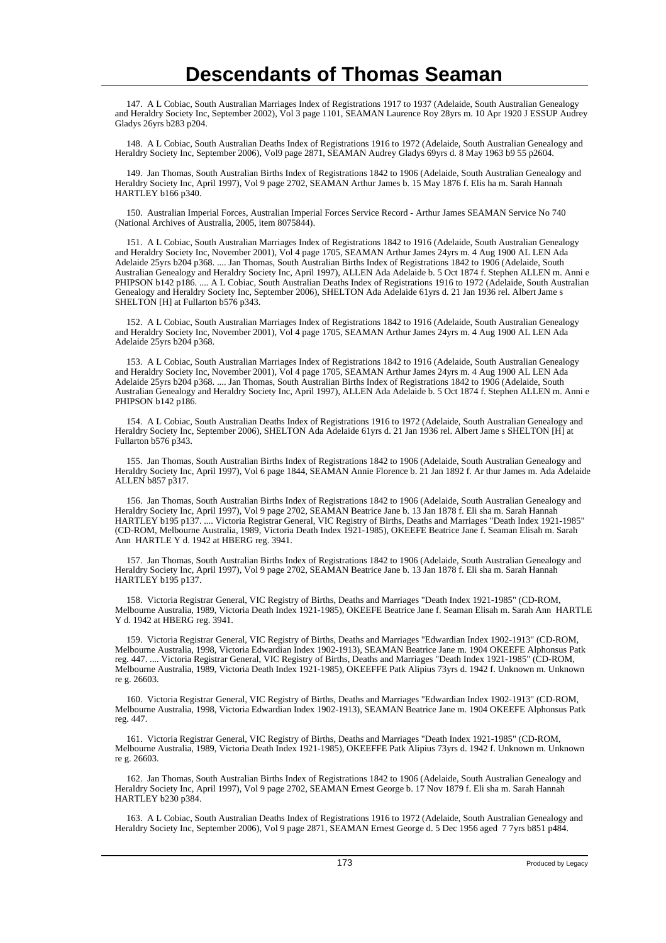147. A L Cobiac, South Australian Marriages Index of Registrations 1917 to 1937 (Adelaide, South Australian Genealogy and Heraldry Society Inc, September 2002), Vol 3 page 1101, SEAMAN Laurence Roy 28yrs m. 10 Apr 1920 J ESSUP Audrey Gladys 26yrs b283 p204.

 148. A L Cobiac, South Australian Deaths Index of Registrations 1916 to 1972 (Adelaide, South Australian Genealogy and Heraldry Society Inc, September 2006), Vol9 page 2871, SEAMAN Audrey Gladys 69yrs d. 8 May 1963 b9 55 p2604.

 149. Jan Thomas, South Australian Births Index of Registrations 1842 to 1906 (Adelaide, South Australian Genealogy and Heraldry Society Inc, April 1997), Vol 9 page 2702, SEAMAN Arthur James b. 15 May 1876 f. Elis ha m. Sarah Hannah HARTLEY b166 p340.

 150. Australian Imperial Forces, Australian Imperial Forces Service Record - Arthur James SEAMAN Service No 740 (National Archives of Australia, 2005, item 8075844).

 151. A L Cobiac, South Australian Marriages Index of Registrations 1842 to 1916 (Adelaide, South Australian Genealogy and Heraldry Society Inc, November 2001), Vol 4 page 1705, SEAMAN Arthur James 24yrs m. 4 Aug 1900 AL LEN Ada Adelaide 25yrs b204 p368. .... Jan Thomas, South Australian Births Index of Registrations 1842 to 1906 (Adelaide, South Australian Genealogy and Heraldry Society Inc, April 1997), ALLEN Ada Adelaide b. 5 Oct 1874 f. Stephen ALLEN m. Anni e PHIPSON b142 p186. .... A L Cobiac, South Australian Deaths Index of Registrations 1916 to 1972 (Adelaide, South Australian Genealogy and Heraldry Society Inc, September 2006), SHELTON Ada Adelaide 61yrs d. 21 Jan 1936 rel. Albert Jame s SHELTON [H] at Fullarton b576 p343.

 152. A L Cobiac, South Australian Marriages Index of Registrations 1842 to 1916 (Adelaide, South Australian Genealogy and Heraldry Society Inc, November 2001), Vol 4 page 1705, SEAMAN Arthur James 24yrs m. 4 Aug 1900 AL LEN Ada Adelaide 25yrs b204 p368.

 153. A L Cobiac, South Australian Marriages Index of Registrations 1842 to 1916 (Adelaide, South Australian Genealogy and Heraldry Society Inc, November 2001), Vol 4 page 1705, SEAMAN Arthur James 24yrs m. 4 Aug 1900 AL LEN Ada Adelaide 25yrs b204 p368. .... Jan Thomas, South Australian Births Index of Registrations 1842 to 1906 (Adelaide, South Australian Genealogy and Heraldry Society Inc, April 1997), ALLEN Ada Adelaide b. 5 Oct 1874 f. Stephen ALLEN m. Anni e PHIPSON b142 p186.

 154. A L Cobiac, South Australian Deaths Index of Registrations 1916 to 1972 (Adelaide, South Australian Genealogy and Heraldry Society Inc, September 2006), SHELTON Ada Adelaide 61yrs d. 21 Jan 1936 rel. Albert Jame s SHELTON [H] at Fullarton b576 p343.

 155. Jan Thomas, South Australian Births Index of Registrations 1842 to 1906 (Adelaide, South Australian Genealogy and Heraldry Society Inc, April 1997), Vol 6 page 1844, SEAMAN Annie Florence b. 21 Jan 1892 f. Ar thur James m. Ada Adelaide ALLEN b857 p317.

 156. Jan Thomas, South Australian Births Index of Registrations 1842 to 1906 (Adelaide, South Australian Genealogy and Heraldry Society Inc, April 1997), Vol 9 page 2702, SEAMAN Beatrice Jane b. 13 Jan 1878 f. Eli sha m. Sarah Hannah HARTLEY b195 p137. .... Victoria Registrar General, VIC Registry of Births, Deaths and Marriages "Death Index 1921-1985" (CD-ROM, Melbourne Australia, 1989, Victoria Death Index 1921-1985), OKEEFE Beatrice Jane f. Seaman Elisah m. Sarah Ann HARTLE Y d. 1942 at HBERG reg. 3941.

 157. Jan Thomas, South Australian Births Index of Registrations 1842 to 1906 (Adelaide, South Australian Genealogy and Heraldry Society Inc, April 1997), Vol 9 page 2702, SEAMAN Beatrice Jane b. 13 Jan 1878 f. Eli sha m. Sarah Hannah HARTLEY b195 p137.

 158. Victoria Registrar General, VIC Registry of Births, Deaths and Marriages "Death Index 1921-1985" (CD-ROM, Melbourne Australia, 1989, Victoria Death Index 1921-1985), OKEEFE Beatrice Jane f. Seaman Elisah m. Sarah Ann HARTLE Y d. 1942 at HBERG reg. 3941.

 159. Victoria Registrar General, VIC Registry of Births, Deaths and Marriages "Edwardian Index 1902-1913" (CD-ROM, Melbourne Australia, 1998, Victoria Edwardian Index 1902-1913), SEAMAN Beatrice Jane m. 1904 OKEEFE Alphonsus Patk reg. 447. .... Victoria Registrar General, VIC Registry of Births, Deaths and Marriages "Death Index 1921-1985" (CD-ROM, Melbourne Australia, 1989, Victoria Death Index 1921-1985), OKEEFFE Patk Alipius 73yrs d. 1942 f. Unknown m. Unknown re g. 26603.

 160. Victoria Registrar General, VIC Registry of Births, Deaths and Marriages "Edwardian Index 1902-1913" (CD-ROM, Melbourne Australia, 1998, Victoria Edwardian Index 1902-1913), SEAMAN Beatrice Jane m. 1904 OKEEFE Alphonsus Patk reg. 447.

 161. Victoria Registrar General, VIC Registry of Births, Deaths and Marriages "Death Index 1921-1985" (CD-ROM, Melbourne Australia, 1989, Victoria Death Index 1921-1985), OKEEFFE Patk Alipius 73yrs d. 1942 f. Unknown m. Unknown re g. 26603.

 162. Jan Thomas, South Australian Births Index of Registrations 1842 to 1906 (Adelaide, South Australian Genealogy and Heraldry Society Inc, April 1997), Vol 9 page 2702, SEAMAN Ernest George b. 17 Nov 1879 f. Eli sha m. Sarah Hannah HARTLEY b230 p384.

 163. A L Cobiac, South Australian Deaths Index of Registrations 1916 to 1972 (Adelaide, South Australian Genealogy and Heraldry Society Inc, September 2006), Vol 9 page 2871, SEAMAN Ernest George d. 5 Dec 1956 aged 7 7yrs b851 p484.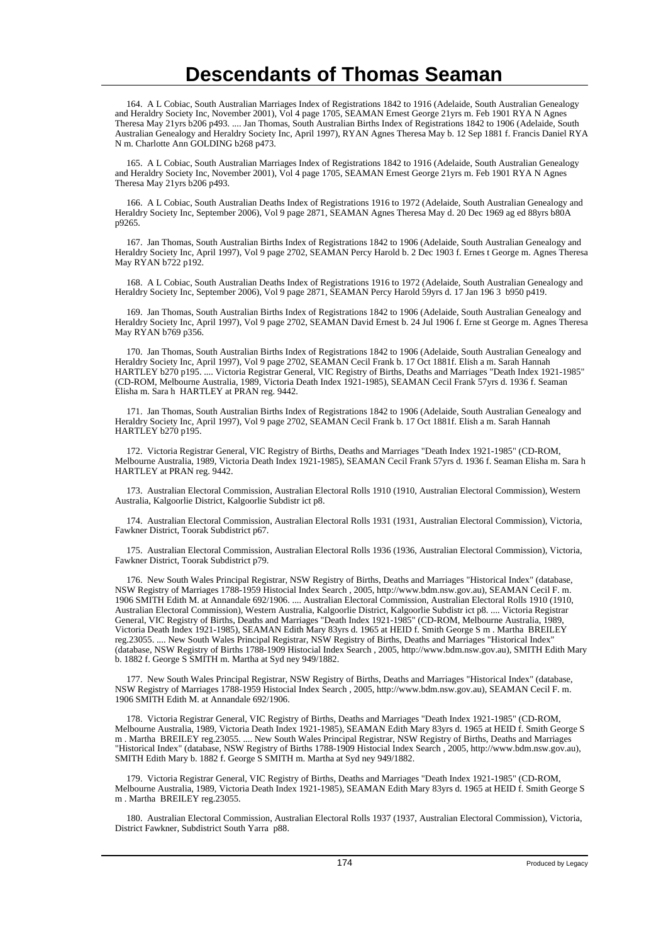164. A L Cobiac, South Australian Marriages Index of Registrations 1842 to 1916 (Adelaide, South Australian Genealogy and Heraldry Society Inc, November 2001), Vol 4 page 1705, SEAMAN Ernest George 21yrs m. Feb 1901 RYA N Agnes Theresa May 21yrs b206 p493. .... Jan Thomas, South Australian Births Index of Registrations 1842 to 1906 (Adelaide, South Australian Genealogy and Heraldry Society Inc, April 1997), RYAN Agnes Theresa May b. 12 Sep 1881 f. Francis Daniel RYA N m. Charlotte Ann GOLDING b268 p473.

 165. A L Cobiac, South Australian Marriages Index of Registrations 1842 to 1916 (Adelaide, South Australian Genealogy and Heraldry Society Inc, November 2001), Vol 4 page 1705, SEAMAN Ernest George 21yrs m. Feb 1901 RYA N Agnes Theresa May 21yrs b206 p493.

 166. A L Cobiac, South Australian Deaths Index of Registrations 1916 to 1972 (Adelaide, South Australian Genealogy and Heraldry Society Inc, September 2006), Vol 9 page 2871, SEAMAN Agnes Theresa May d. 20 Dec 1969 ag ed 88yrs b80A p9265.

 167. Jan Thomas, South Australian Births Index of Registrations 1842 to 1906 (Adelaide, South Australian Genealogy and Heraldry Society Inc, April 1997), Vol 9 page 2702, SEAMAN Percy Harold b. 2 Dec 1903 f. Ernes t George m. Agnes Theresa May RYAN b722 p192.

 168. A L Cobiac, South Australian Deaths Index of Registrations 1916 to 1972 (Adelaide, South Australian Genealogy and Heraldry Society Inc, September 2006), Vol 9 page 2871, SEAMAN Percy Harold 59yrs d. 17 Jan 196 3 b950 p419.

 169. Jan Thomas, South Australian Births Index of Registrations 1842 to 1906 (Adelaide, South Australian Genealogy and Heraldry Society Inc, April 1997), Vol 9 page 2702, SEAMAN David Ernest b. 24 Jul 1906 f. Erne st George m. Agnes Theresa May RYAN b769 p356.

 170. Jan Thomas, South Australian Births Index of Registrations 1842 to 1906 (Adelaide, South Australian Genealogy and Heraldry Society Inc, April 1997), Vol 9 page 2702, SEAMAN Cecil Frank b. 17 Oct 1881f. Elish a m. Sarah Hannah HARTLEY b270 p195. .... Victoria Registrar General, VIC Registry of Births, Deaths and Marriages "Death Index 1921-1985" (CD-ROM, Melbourne Australia, 1989, Victoria Death Index 1921-1985), SEAMAN Cecil Frank 57yrs d. 1936 f. Seaman Elisha m. Sara h HARTLEY at PRAN reg. 9442.

 171. Jan Thomas, South Australian Births Index of Registrations 1842 to 1906 (Adelaide, South Australian Genealogy and Heraldry Society Inc, April 1997), Vol 9 page 2702, SEAMAN Cecil Frank b. 17 Oct 1881f. Elish a m. Sarah Hannah HARTLEY b270 p195.

 172. Victoria Registrar General, VIC Registry of Births, Deaths and Marriages "Death Index 1921-1985" (CD-ROM, Melbourne Australia, 1989, Victoria Death Index 1921-1985), SEAMAN Cecil Frank 57yrs d. 1936 f. Seaman Elisha m. Sara h HARTLEY at PRAN reg. 9442.

 173. Australian Electoral Commission, Australian Electoral Rolls 1910 (1910, Australian Electoral Commission), Western Australia, Kalgoorlie District, Kalgoorlie Subdistr ict p8.

 174. Australian Electoral Commission, Australian Electoral Rolls 1931 (1931, Australian Electoral Commission), Victoria, Fawkner District, Toorak Subdistrict p67.

 175. Australian Electoral Commission, Australian Electoral Rolls 1936 (1936, Australian Electoral Commission), Victoria, Fawkner District, Toorak Subdistrict p79.

 176. New South Wales Principal Registrar, NSW Registry of Births, Deaths and Marriages "Historical Index" (database, NSW Registry of Marriages 1788-1959 Histocial Index Search , 2005, http://www.bdm.nsw.gov.au), SEAMAN Cecil F. m. 1906 SMITH Edith M. at Annandale 692/1906. .... Australian Electoral Commission, Australian Electoral Rolls 1910 (1910, Australian Electoral Commission), Western Australia, Kalgoorlie District, Kalgoorlie Subdistr ict p8. .... Victoria Registrar General, VIC Registry of Births, Deaths and Marriages "Death Index 1921-1985" (CD-ROM, Melbourne Australia, 1989, Victoria Death Index 1921-1985), SEAMAN Edith Mary 83yrs d. 1965 at HEID f. Smith George S m . Martha BREILEY reg.23055. .... New South Wales Principal Registrar, NSW Registry of Births, Deaths and Marriages "Historical Index" (database, NSW Registry of Births 1788-1909 Histocial Index Search , 2005, http://www.bdm.nsw.gov.au), SMITH Edith Mary b. 1882 f. George S SMITH m. Martha at Syd ney 949/1882.

 177. New South Wales Principal Registrar, NSW Registry of Births, Deaths and Marriages "Historical Index" (database, NSW Registry of Marriages 1788-1959 Histocial Index Search , 2005, http://www.bdm.nsw.gov.au), SEAMAN Cecil F. m. 1906 SMITH Edith M. at Annandale 692/1906.

 178. Victoria Registrar General, VIC Registry of Births, Deaths and Marriages "Death Index 1921-1985" (CD-ROM, Melbourne Australia, 1989, Victoria Death Index 1921-1985), SEAMAN Edith Mary 83yrs d. 1965 at HEID f. Smith George S m . Martha BREILEY reg.23055. .... New South Wales Principal Registrar, NSW Registry of Births, Deaths and Marriages "Historical Index" (database, NSW Registry of Births 1788-1909 Histocial Index Search , 2005, http://www.bdm.nsw.gov.au), SMITH Edith Mary b. 1882 f. George S SMITH m. Martha at Syd ney 949/1882.

 179. Victoria Registrar General, VIC Registry of Births, Deaths and Marriages "Death Index 1921-1985" (CD-ROM, Melbourne Australia, 1989, Victoria Death Index 1921-1985), SEAMAN Edith Mary 83yrs d. 1965 at HEID f. Smith George S m . Martha BREILEY reg.23055.

 180. Australian Electoral Commission, Australian Electoral Rolls 1937 (1937, Australian Electoral Commission), Victoria, District Fawkner, Subdistrict South Yarra p88.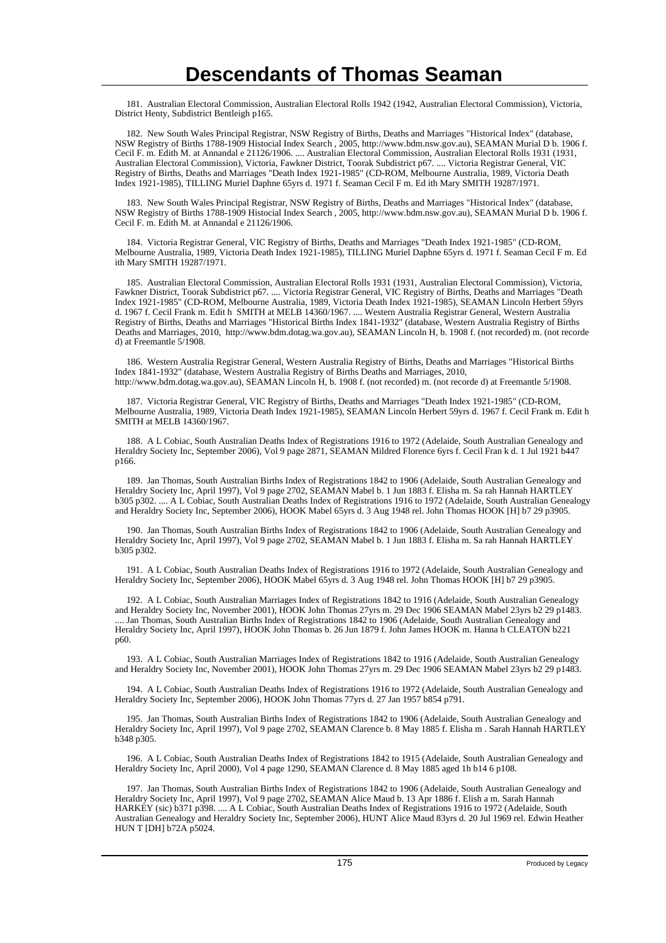181. Australian Electoral Commission, Australian Electoral Rolls 1942 (1942, Australian Electoral Commission), Victoria, District Henty, Subdistrict Bentleigh p165.

 182. New South Wales Principal Registrar, NSW Registry of Births, Deaths and Marriages "Historical Index" (database, NSW Registry of Births 1788-1909 Histocial Index Search , 2005, http://www.bdm.nsw.gov.au), SEAMAN Murial D b. 1906 f. Cecil F. m. Edith M. at Annandal e 21126/1906. .... Australian Electoral Commission, Australian Electoral Rolls 1931 (1931, Australian Electoral Commission), Victoria, Fawkner District, Toorak Subdistrict p67. .... Victoria Registrar General, VIC Registry of Births, Deaths and Marriages "Death Index 1921-1985" (CD-ROM, Melbourne Australia, 1989, Victoria Death Index 1921-1985), TILLING Muriel Daphne 65yrs d. 1971 f. Seaman Cecil F m. Ed ith Mary SMITH 19287/1971.

 183. New South Wales Principal Registrar, NSW Registry of Births, Deaths and Marriages "Historical Index" (database, NSW Registry of Births 1788-1909 Histocial Index Search , 2005, http://www.bdm.nsw.gov.au), SEAMAN Murial D b. 1906 f. Cecil F. m. Edith M. at Annandal e 21126/1906.

 184. Victoria Registrar General, VIC Registry of Births, Deaths and Marriages "Death Index 1921-1985" (CD-ROM, Melbourne Australia, 1989, Victoria Death Index 1921-1985), TILLING Muriel Daphne 65yrs d. 1971 f. Seaman Cecil F m. Ed ith Mary SMITH 19287/1971.

 185. Australian Electoral Commission, Australian Electoral Rolls 1931 (1931, Australian Electoral Commission), Victoria, Fawkner District, Toorak Subdistrict p67. .... Victoria Registrar General, VIC Registry of Births, Deaths and Marriages "Death Index 1921-1985" (CD-ROM, Melbourne Australia, 1989, Victoria Death Index 1921-1985), SEAMAN Lincoln Herbert 59yrs d. 1967 f. Cecil Frank m. Edit h SMITH at MELB 14360/1967. .... Western Australia Registrar General, Western Australia Registry of Births, Deaths and Marriages "Historical Births Index 1841-1932" (database, Western Australia Registry of Births Deaths and Marriages, 2010, http://www.bdm.dotag.wa.gov.au), SEAMAN Lincoln H, b. 1908 f. (not recorded) m. (not recorde d) at Freemantle 5/1908.

 186. Western Australia Registrar General, Western Australia Registry of Births, Deaths and Marriages "Historical Births Index 1841-1932" (database, Western Australia Registry of Births Deaths and Marriages, 2010, http://www.bdm.dotag.wa.gov.au), SEAMAN Lincoln H, b. 1908 f. (not recorded) m. (not recorde d) at Freemantle 5/1908.

 187. Victoria Registrar General, VIC Registry of Births, Deaths and Marriages "Death Index 1921-1985" (CD-ROM, Melbourne Australia, 1989, Victoria Death Index 1921-1985), SEAMAN Lincoln Herbert 59yrs d. 1967 f. Cecil Frank m. Edit h SMITH at MELB 14360/1967.

 188. A L Cobiac, South Australian Deaths Index of Registrations 1916 to 1972 (Adelaide, South Australian Genealogy and Heraldry Society Inc, September 2006), Vol 9 page 2871, SEAMAN Mildred Florence 6yrs f. Cecil Fran k d. 1 Jul 1921 b447 p166.

 189. Jan Thomas, South Australian Births Index of Registrations 1842 to 1906 (Adelaide, South Australian Genealogy and Heraldry Society Inc, April 1997), Vol 9 page 2702, SEAMAN Mabel b. 1 Jun 1883 f. Elisha m. Sa rah Hannah HARTLEY b305 p302. .... A L Cobiac, South Australian Deaths Index of Registrations 1916 to 1972 (Adelaide, South Australian Genealogy and Heraldry Society Inc, September 2006), HOOK Mabel 65yrs d. 3 Aug 1948 rel. John Thomas HOOK [H] b7 29 p3905.

 190. Jan Thomas, South Australian Births Index of Registrations 1842 to 1906 (Adelaide, South Australian Genealogy and Heraldry Society Inc, April 1997), Vol 9 page 2702, SEAMAN Mabel b. 1 Jun 1883 f. Elisha m. Sa rah Hannah HARTLEY b305 p302.

 191. A L Cobiac, South Australian Deaths Index of Registrations 1916 to 1972 (Adelaide, South Australian Genealogy and Heraldry Society Inc, September 2006), HOOK Mabel 65yrs d. 3 Aug 1948 rel. John Thomas HOOK [H] b7 29 p3905.

 192. A L Cobiac, South Australian Marriages Index of Registrations 1842 to 1916 (Adelaide, South Australian Genealogy and Heraldry Society Inc, November 2001), HOOK John Thomas 27yrs m. 29 Dec 1906 SEAMAN Mabel 23yrs b2 29 p1483. .... Jan Thomas, South Australian Births Index of Registrations 1842 to 1906 (Adelaide, South Australian Genealogy and Heraldry Society Inc, April 1997), HOOK John Thomas b. 26 Jun 1879 f. John James HOOK m. Hanna h CLEATON b221 p60.

 193. A L Cobiac, South Australian Marriages Index of Registrations 1842 to 1916 (Adelaide, South Australian Genealogy and Heraldry Society Inc, November 2001), HOOK John Thomas 27yrs m. 29 Dec 1906 SEAMAN Mabel 23yrs b2 29 p1483.

 194. A L Cobiac, South Australian Deaths Index of Registrations 1916 to 1972 (Adelaide, South Australian Genealogy and Heraldry Society Inc, September 2006), HOOK John Thomas 77yrs d. 27 Jan 1957 b854 p791.

 195. Jan Thomas, South Australian Births Index of Registrations 1842 to 1906 (Adelaide, South Australian Genealogy and Heraldry Society Inc, April 1997), Vol 9 page 2702, SEAMAN Clarence b. 8 May 1885 f. Elisha m . Sarah Hannah HARTLEY b348 p305.

 196. A L Cobiac, South Australian Deaths Index of Registrations 1842 to 1915 (Adelaide, South Australian Genealogy and Heraldry Society Inc, April 2000), Vol 4 page 1290, SEAMAN Clarence d. 8 May 1885 aged 1h b14 6 p108.

 197. Jan Thomas, South Australian Births Index of Registrations 1842 to 1906 (Adelaide, South Australian Genealogy and Heraldry Society Inc, April 1997), Vol 9 page 2702, SEAMAN Alice Maud b. 13 Apr 1886 f. Elish a m. Sarah Hannah HARKEY (sic) b371 p398. .... A L Cobiac, South Australian Deaths Index of Registrations 1916 to 1972 (Adelaide, South Australian Genealogy and Heraldry Society Inc, September 2006), HUNT Alice Maud 83yrs d. 20 Jul 1969 rel. Edwin Heather HUN T [DH] b72A p5024.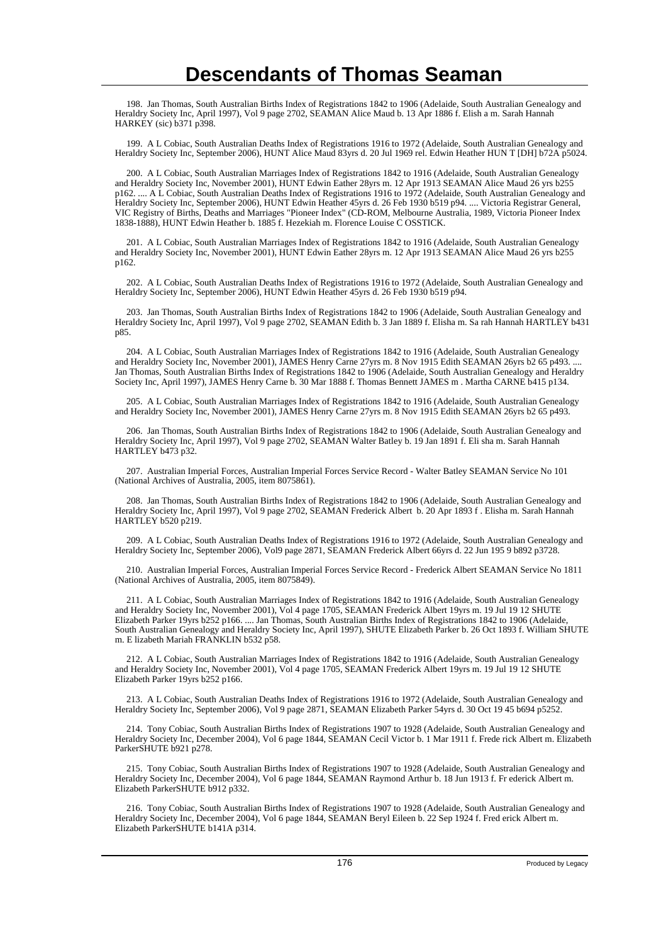198. Jan Thomas, South Australian Births Index of Registrations 1842 to 1906 (Adelaide, South Australian Genealogy and Heraldry Society Inc, April 1997), Vol 9 page 2702, SEAMAN Alice Maud b. 13 Apr 1886 f. Elish a m. Sarah Hannah HARKEY (sic) b371 p398.

 199. A L Cobiac, South Australian Deaths Index of Registrations 1916 to 1972 (Adelaide, South Australian Genealogy and Heraldry Society Inc, September 2006), HUNT Alice Maud 83yrs d. 20 Jul 1969 rel. Edwin Heather HUN T [DH] b72A p5024.

 200. A L Cobiac, South Australian Marriages Index of Registrations 1842 to 1916 (Adelaide, South Australian Genealogy and Heraldry Society Inc, November 2001), HUNT Edwin Eather 28yrs m. 12 Apr 1913 SEAMAN Alice Maud 26 yrs b255 p162. .... A L Cobiac, South Australian Deaths Index of Registrations 1916 to 1972 (Adelaide, South Australian Genealogy and Heraldry Society Inc, September 2006), HUNT Edwin Heather 45yrs d. 26 Feb 1930 b519 p94. .... Victoria Registrar General, VIC Registry of Births, Deaths and Marriages "Pioneer Index" (CD-ROM, Melbourne Australia, 1989, Victoria Pioneer Index 1838-1888), HUNT Edwin Heather b. 1885 f. Hezekiah m. Florence Louise C OSSTICK.

 201. A L Cobiac, South Australian Marriages Index of Registrations 1842 to 1916 (Adelaide, South Australian Genealogy and Heraldry Society Inc, November 2001), HUNT Edwin Eather 28yrs m. 12 Apr 1913 SEAMAN Alice Maud 26 yrs b255 p162.

 202. A L Cobiac, South Australian Deaths Index of Registrations 1916 to 1972 (Adelaide, South Australian Genealogy and Heraldry Society Inc, September 2006), HUNT Edwin Heather 45yrs d. 26 Feb 1930 b519 p94.

 203. Jan Thomas, South Australian Births Index of Registrations 1842 to 1906 (Adelaide, South Australian Genealogy and Heraldry Society Inc, April 1997), Vol 9 page 2702, SEAMAN Edith b. 3 Jan 1889 f. Elisha m. Sa rah Hannah HARTLEY b431 p85.

 204. A L Cobiac, South Australian Marriages Index of Registrations 1842 to 1916 (Adelaide, South Australian Genealogy and Heraldry Society Inc, November 2001), JAMES Henry Carne 27yrs m. 8 Nov 1915 Edith SEAMAN 26yrs b2 65 p493. Jan Thomas, South Australian Births Index of Registrations 1842 to 1906 (Adelaide, South Australian Genealogy and Heraldry Society Inc, April 1997), JAMES Henry Carne b. 30 Mar 1888 f. Thomas Bennett JAMES m . Martha CARNE b415 p134.

 205. A L Cobiac, South Australian Marriages Index of Registrations 1842 to 1916 (Adelaide, South Australian Genealogy and Heraldry Society Inc, November 2001), JAMES Henry Carne 27yrs m. 8 Nov 1915 Edith SEAMAN 26yrs b2 65 p493.

 206. Jan Thomas, South Australian Births Index of Registrations 1842 to 1906 (Adelaide, South Australian Genealogy and Heraldry Society Inc, April 1997), Vol 9 page 2702, SEAMAN Walter Batley b. 19 Jan 1891 f. Eli sha m. Sarah Hannah HARTLEY b473 p32.

 207. Australian Imperial Forces, Australian Imperial Forces Service Record - Walter Batley SEAMAN Service No 101 (National Archives of Australia, 2005, item 8075861).

 208. Jan Thomas, South Australian Births Index of Registrations 1842 to 1906 (Adelaide, South Australian Genealogy and Heraldry Society Inc, April 1997), Vol 9 page 2702, SEAMAN Frederick Albert b. 20 Apr 1893 f . Elisha m. Sarah Hannah HARTLEY b520 p219.

 209. A L Cobiac, South Australian Deaths Index of Registrations 1916 to 1972 (Adelaide, South Australian Genealogy and Heraldry Society Inc, September 2006), Vol9 page 2871, SEAMAN Frederick Albert 66yrs d. 22 Jun 195 9 b892 p3728.

 210. Australian Imperial Forces, Australian Imperial Forces Service Record - Frederick Albert SEAMAN Service No 1811 (National Archives of Australia, 2005, item 8075849).

 211. A L Cobiac, South Australian Marriages Index of Registrations 1842 to 1916 (Adelaide, South Australian Genealogy and Heraldry Society Inc, November 2001), Vol 4 page 1705, SEAMAN Frederick Albert 19yrs m. 19 Jul 19 12 SHUTE Elizabeth Parker 19yrs b252 p166. .... Jan Thomas, South Australian Births Index of Registrations 1842 to 1906 (Adelaide, South Australian Genealogy and Heraldry Society Inc, April 1997), SHUTE Elizabeth Parker b. 26 Oct 1893 f. William SHUTE m. E lizabeth Mariah FRANKLIN b532 p58.

 212. A L Cobiac, South Australian Marriages Index of Registrations 1842 to 1916 (Adelaide, South Australian Genealogy and Heraldry Society Inc, November 2001), Vol 4 page 1705, SEAMAN Frederick Albert 19yrs m. 19 Jul 19 12 SHUTE Elizabeth Parker 19yrs b252 p166.

 213. A L Cobiac, South Australian Deaths Index of Registrations 1916 to 1972 (Adelaide, South Australian Genealogy and Heraldry Society Inc, September 2006), Vol 9 page 2871, SEAMAN Elizabeth Parker 54yrs d. 30 Oct 19 45 b694 p5252.

 214. Tony Cobiac, South Australian Births Index of Registrations 1907 to 1928 (Adelaide, South Australian Genealogy and Heraldry Society Inc, December 2004), Vol 6 page 1844, SEAMAN Cecil Victor b. 1 Mar 1911 f. Frede rick Albert m. Elizabeth ParkerSHUTE b921 p278.

 215. Tony Cobiac, South Australian Births Index of Registrations 1907 to 1928 (Adelaide, South Australian Genealogy and Heraldry Society Inc, December 2004), Vol 6 page 1844, SEAMAN Raymond Arthur b. 18 Jun 1913 f. Fr ederick Albert m. Elizabeth ParkerSHUTE b912 p332.

 216. Tony Cobiac, South Australian Births Index of Registrations 1907 to 1928 (Adelaide, South Australian Genealogy and Heraldry Society Inc, December 2004), Vol 6 page 1844, SEAMAN Beryl Eileen b. 22 Sep 1924 f. Fred erick Albert m. Elizabeth ParkerSHUTE b141A p314.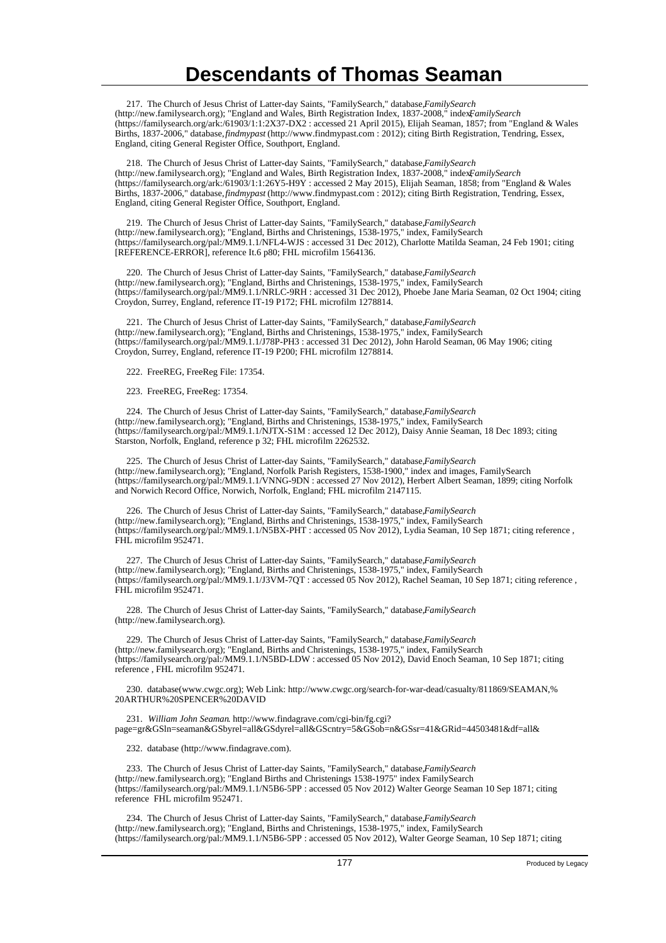217. The Church of Jesus Christ of Latter-day Saints, "FamilySearch," database, *FamilySearch* (http://new.familysearch.org); "England and Wales, Birth Registration Index, 1837-2008," index, *FamilySearch* (https://familysearch.org/ark:/61903/1:1:2X37-DX2 : accessed 21 April 2015), Elijah Seaman, 1857; from "England & Wales Births, 1837-2006," database, *findmypast* (http://www.findmypast.com : 2012); citing Birth Registration, Tendring, Essex, England, citing General Register Office, Southport, England.

 218. The Church of Jesus Christ of Latter-day Saints, "FamilySearch," database, *FamilySearch* (http://new.familysearch.org); "England and Wales, Birth Registration Index, 1837-2008," index, *FamilySearch* (https://familysearch.org/ark:/61903/1:1:26Y5-H9Y : accessed 2 May 2015), Elijah Seaman, 1858; from "England & Wales Births, 1837-2006," database, *findmypast* (http://www.findmypast.com : 2012); citing Birth Registration, Tendring, Essex, England, citing General Register Office, Southport, England.

 219. The Church of Jesus Christ of Latter-day Saints, "FamilySearch," database, *FamilySearch* (http://new.familysearch.org); "England, Births and Christenings, 1538-1975," index, FamilySearch (https://familysearch.org/pal:/MM9.1.1/NFL4-WJS : accessed 31 Dec 2012), Charlotte Matilda Seaman, 24 Feb 1901; citing [REFERENCE-ERROR], reference It.6 p80; FHL microfilm 1564136.

220. The Church of Jesus Christ of Latter-day Saints, "FamilySearch," database, FamilySearch (http://new.familysearch.org); "England, Births and Christenings, 1538-1975," index, FamilySearch (https://familysearch.org/pal:/MM9.1.1/NRLC-9RH : accessed 31 Dec 2012), Phoebe Jane Maria Seaman, 02 Oct 1904; citing Croydon, Surrey, England, reference IT-19 P172; FHL microfilm 1278814.

221. The Church of Jesus Christ of Latter-day Saints, "FamilySearch," database, FamilySearch (http://new.familysearch.org); "England, Births and Christenings, 1538-1975," index, FamilySearch (https://familysearch.org/pal:/MM9.1.1/J78P-PH3 : accessed 31 Dec 2012), John Harold Seaman, 06 May 1906; citing Croydon, Surrey, England, reference IT-19 P200; FHL microfilm 1278814.

222. FreeREG, FreeReg File: 17354.

223. FreeREG, FreeReg: 17354.

224. The Church of Jesus Christ of Latter-day Saints, "FamilySearch," database, *FamilySearch* (http://new.familysearch.org); "England, Births and Christenings, 1538-1975," index, FamilySearch (https://familysearch.org/pal:/MM9.1.1/NJTX-S1M : accessed 12 Dec 2012), Daisy Annie Seaman, 18 Dec 1893; citing Starston, Norfolk, England, reference p 32; FHL microfilm 2262532.

225. The Church of Jesus Christ of Latter-day Saints, "FamilySearch," database, FamilySearch (http://new.familysearch.org); "England, Norfolk Parish Registers, 1538-1900," index and images, FamilySearch (https://familysearch.org/pal:/MM9.1.1/VNNG-9DN : accessed 27 Nov 2012), Herbert Albert Seaman, 1899; citing Norfolk and Norwich Record Office, Norwich, Norfolk, England; FHL microfilm 2147115.

 226. The Church of Jesus Christ of Latter-day Saints, "FamilySearch," database, *FamilySearch* (http://new.familysearch.org); "England, Births and Christenings, 1538-1975," index, FamilySearch (https://familysearch.org/pal:/MM9.1.1/N5BX-PHT : accessed 05 Nov 2012), Lydia Seaman, 10 Sep 1871; citing reference , FHL microfilm 952471.

 227. The Church of Jesus Christ of Latter-day Saints, "FamilySearch," database, *FamilySearch* (http://new.familysearch.org); "England, Births and Christenings, 1538-1975," index, FamilySearch (https://familysearch.org/pal:/MM9.1.1/J3VM-7QT : accessed 05 Nov 2012), Rachel Seaman, 10 Sep 1871; citing reference , FHL microfilm 952471.

228. The Church of Jesus Christ of Latter-day Saints, "FamilySearch," database, *FamilySearch* (http://new.familysearch.org).

229. The Church of Jesus Christ of Latter-day Saints, "FamilySearch," database, FamilySearch (http://new.familysearch.org); "England, Births and Christenings, 1538-1975," index, FamilySearch (https://familysearch.org/pal:/MM9.1.1/N5BD-LDW : accessed 05 Nov 2012), David Enoch Seaman, 10 Sep 1871; citing reference , FHL microfilm 952471.

 230. database(www.cwgc.org); Web Link: http://www.cwgc.org/search-for-war-dead/casualty/811869/SEAMAN,% 20ARTHUR%20SPENCER%20DAVID

 231. *William John Seaman*. http://www.findagrave.com/cgi-bin/fg.cgi? page=gr&GSln=seaman&GSbyrel=all&GSdyrel=all&GScntry=5&GSob=n&GSsr=41&GRid=44503481&df=all&

232. database (http://www.findagrave.com).

 233. The Church of Jesus Christ of Latter-day Saints, "FamilySearch," database, *FamilySearch* (http://new.familysearch.org); "England Births and Christenings 1538-1975" index FamilySearch (https://familysearch.org/pal:/MM9.1.1/N5B6-5PP : accessed 05 Nov 2012) Walter George Seaman 10 Sep 1871; citing reference FHL microfilm 952471.

 234. The Church of Jesus Christ of Latter-day Saints, "FamilySearch," database, *FamilySearch* (http://new.familysearch.org); "England, Births and Christenings, 1538-1975," index, FamilySearch (https://familysearch.org/pal:/MM9.1.1/N5B6-5PP : accessed 05 Nov 2012), Walter George Seaman, 10 Sep 1871; citing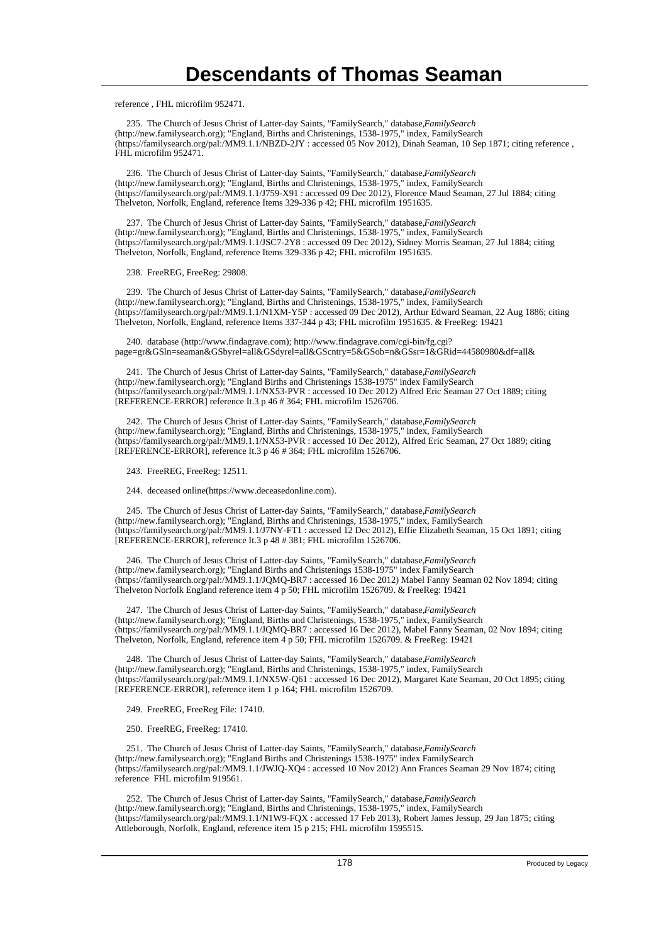reference , FHL microfilm 952471.

 235. The Church of Jesus Christ of Latter-day Saints, "FamilySearch," database, *FamilySearch* (http://new.familysearch.org); "England, Births and Christenings, 1538-1975," index, FamilySearch (https://familysearch.org/pal:/MM9.1.1/NBZD-2JY : accessed 05 Nov 2012), Dinah Seaman, 10 Sep 1871; citing reference , FHL microfilm 952471.

 236. The Church of Jesus Christ of Latter-day Saints, "FamilySearch," database, *FamilySearch* (http://new.familysearch.org); "England, Births and Christenings, 1538-1975," index, FamilySearch (https://familysearch.org/pal:/MM9.1.1/J759-X91 : accessed 09 Dec 2012), Florence Maud Seaman, 27 Jul 1884; citing Thelveton, Norfolk, England, reference Items 329-336 p 42; FHL microfilm 1951635.

237. The Church of Jesus Christ of Latter-day Saints, "FamilySearch," database, FamilySearch (http://new.familysearch.org); "England, Births and Christenings, 1538-1975," index, FamilySearch (https://familysearch.org/pal:/MM9.1.1/JSC7-2Y8 : accessed 09 Dec 2012), Sidney Morris Seaman, 27 Jul 1884; citing Thelveton, Norfolk, England, reference Items 329-336 p 42; FHL microfilm 1951635.

238. FreeREG, FreeReg: 29808.

 239. The Church of Jesus Christ of Latter-day Saints, "FamilySearch," database, *FamilySearch* (http://new.familysearch.org); "England, Births and Christenings, 1538-1975," index, FamilySearch (https://familysearch.org/pal:/MM9.1.1/N1XM-Y5P : accessed 09 Dec 2012), Arthur Edward Seaman, 22 Aug 1886; citing Thelveton, Norfolk, England, reference Items 337-344 p 43; FHL microfilm 1951635. & FreeReg: 19421

 240. database (http://www.findagrave.com); http://www.findagrave.com/cgi-bin/fg.cgi? page=gr&GSln=seaman&GSbyrel=all&GSdyrel=all&GScntry=5&GSob=n&GSsr=1&GRid=44580980&df=all&

 241. The Church of Jesus Christ of Latter-day Saints, "FamilySearch," database, *FamilySearch* (http://new.familysearch.org); "England Births and Christenings 1538-1975" index FamilySearch (https://familysearch.org/pal:/MM9.1.1/NX53-PVR : accessed 10 Dec 2012) Alfred Eric Seaman 27 Oct 1889; citing [REFERENCE-ERROR] reference It.3 p 46 # 364; FHL microfilm 1526706.

 242. The Church of Jesus Christ of Latter-day Saints, "FamilySearch," database, *FamilySearch* (http://new.familysearch.org); "England, Births and Christenings, 1538-1975," index, FamilySearch (https://familysearch.org/pal:/MM9.1.1/NX53-PVR : accessed 10 Dec 2012), Alfred Eric Seaman, 27 Oct 1889; citing [REFERENCE-ERROR], reference It.3 p 46 # 364; FHL microfilm 1526706.

243. FreeREG, FreeReg: 12511.

244. deceased online(https://www.deceasedonline.com).

 245. The Church of Jesus Christ of Latter-day Saints, "FamilySearch," database, *FamilySearch* (http://new.familysearch.org); "England, Births and Christenings, 1538-1975," index, FamilySearch (https://familysearch.org/pal:/MM9.1.1/J7NY-FT1 : accessed 12 Dec 2012), Effie Elizabeth Seaman, 15 Oct 1891; citing [REFERENCE-ERROR], reference It.3 p 48 # 381; FHL microfilm 1526706.

 246. The Church of Jesus Christ of Latter-day Saints, "FamilySearch," database, *FamilySearch* (http://new.familysearch.org); "England Births and Christenings 1538-1975" index FamilySearch (https://familysearch.org/pal:/MM9.1.1/JQMQ-BR7 : accessed 16 Dec 2012) Mabel Fanny Seaman 02 Nov 1894; citing Thelveton Norfolk England reference item 4 p 50; FHL microfilm 1526709. & FreeReg: 19421

 247. The Church of Jesus Christ of Latter-day Saints, "FamilySearch," database, *FamilySearch* (http://new.familysearch.org); "England, Births and Christenings, 1538-1975," index, FamilySearch (https://familysearch.org/pal:/MM9.1.1/JQMQ-BR7 : accessed 16 Dec 2012), Mabel Fanny Seaman, 02 Nov 1894; citing Thelveton, Norfolk, England, reference item 4 p 50; FHL microfilm 1526709. & FreeReg: 19421

248. The Church of Jesus Christ of Latter-day Saints, "FamilySearch," database, FamilySearch (http://new.familysearch.org); "England, Births and Christenings, 1538-1975," index, FamilySearch (https://familysearch.org/pal:/MM9.1.1/NX5W-Q61 : accessed 16 Dec 2012), Margaret Kate Seaman, 20 Oct 1895; citing [REFERENCE-ERROR], reference item 1 p 164; FHL microfilm 1526709.

249. FreeREG, FreeReg File: 17410.

250. FreeREG, FreeReg: 17410.

251. The Church of Jesus Christ of Latter-day Saints, "FamilySearch," database, *FamilySearch* (http://new.familysearch.org); "England Births and Christenings 1538-1975" index FamilySearch (https://familysearch.org/pal:/MM9.1.1/JWJQ-XQ4 : accessed 10 Nov 2012) Ann Frances Seaman 29 Nov 1874; citing reference FHL microfilm 919561.

252. The Church of Jesus Christ of Latter-day Saints, "FamilySearch," database, *FamilySearch* (http://new.familysearch.org); "England, Births and Christenings, 1538-1975," index, FamilySearch (https://familysearch.org/pal:/MM9.1.1/N1W9-FQX : accessed 17 Feb 2013), Robert James Jessup, 29 Jan 1875; citing Attleborough, Norfolk, England, reference item 15 p 215; FHL microfilm 1595515.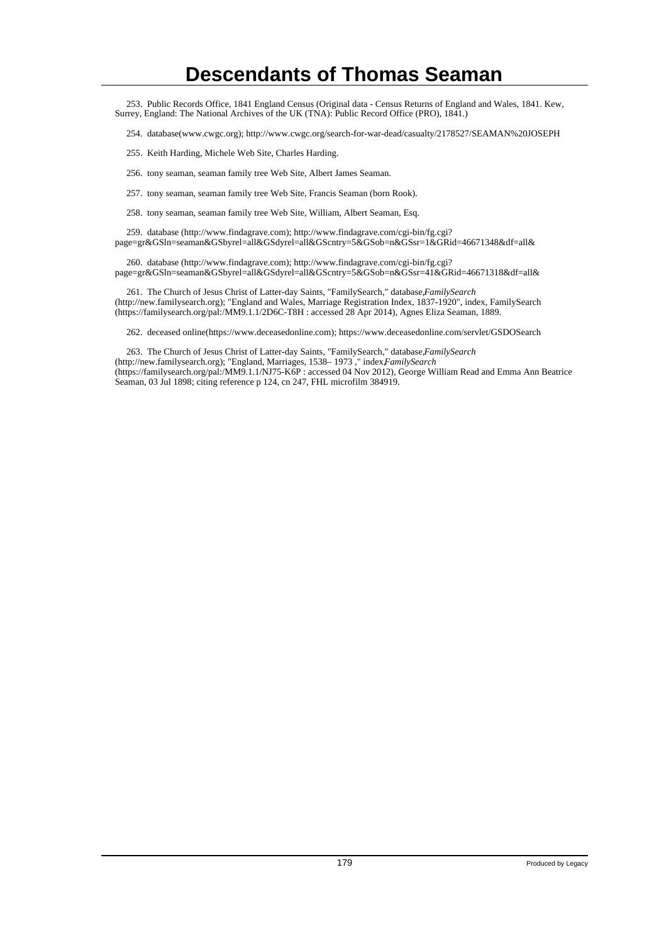253. Public Records Office, 1841 England Census (Original data - Census Returns of England and Wales, 1841. Kew, Surrey, England: The National Archives of the UK (TNA): Public Record Office (PRO), 1841.)

- 254. database(www.cwgc.org); http://www.cwgc.org/search-for-war-dead/casualty/2178527/SEAMAN%20JOSEPH
- 255. Keith Harding, Michele Web Site, Charles Harding.
- 256. tony seaman, seaman family tree Web Site, Albert James Seaman.
- 257. tony seaman, seaman family tree Web Site, Francis Seaman (born Rook).
- 258. tony seaman, seaman family tree Web Site, William, Albert Seaman, Esq.

 259. database (http://www.findagrave.com); http://www.findagrave.com/cgi-bin/fg.cgi? page=gr&GSln=seaman&GSbyrel=all&GSdyrel=all&GScntry=5&GSob=n&GSsr=1&GRid=46671348&df=all&

 260. database (http://www.findagrave.com); http://www.findagrave.com/cgi-bin/fg.cgi? page=gr&GSln=seaman&GSbyrel=all&GSdyrel=all&GScntry=5&GSob=n&GSsr=41&GRid=46671318&df=all&

 261. The Church of Jesus Christ of Latter-day Saints, "FamilySearch," database, *FamilySearch* (http://new.familysearch.org); "England and Wales, Marriage Registration Index, 1837-1920", index, FamilySearch (https://familysearch.org/pal:/MM9.1.1/2D6C-T8H : accessed 28 Apr 2014), Agnes Eliza Seaman, 1889.

262. deceased online(https://www.deceasedonline.com); https://www.deceasedonline.com/servlet/GSDOSearch

263. The Church of Jesus Christ of Latter-day Saints, "FamilySearch," database, *FamilySearch*

(http://new.familysearch.org); "England, Marriages, 1538-1973," index.*FamilySearch* (https://familysearch.org/pal:/MM9.1.1/NJ75-K6P : accessed 04 Nov 2012), George William Read and Emma Ann Beatrice Seaman, 03 Jul 1898; citing reference p 124, cn 247, FHL microfilm 384919.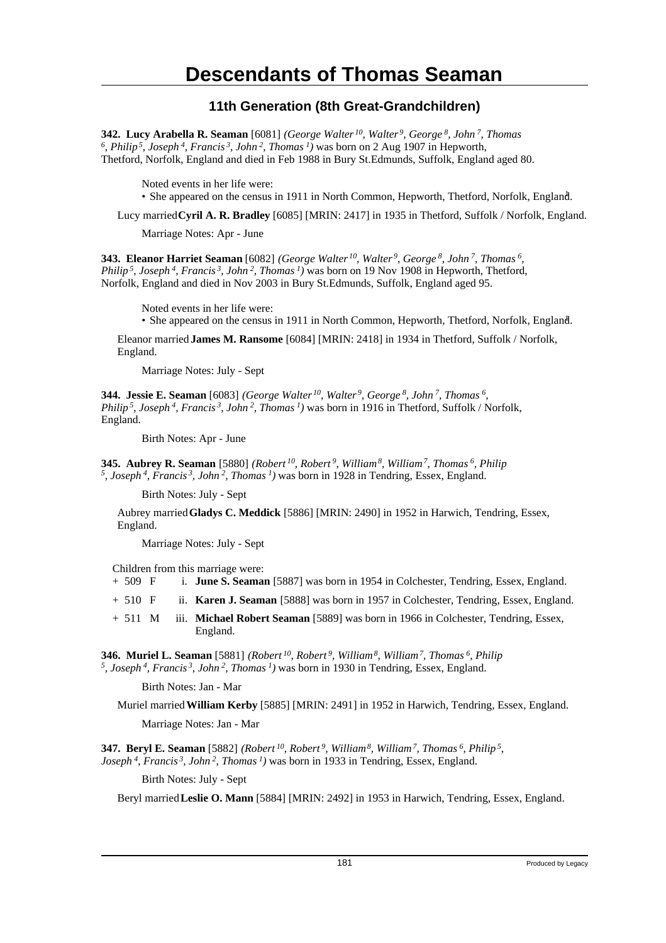#### **11th Generation (8th Great-Grandchildren)**

**342. Lucy Arabella R. Seaman** [6081] *(George Walter<sup>10</sup>, Walter<sup>9</sup>, George<sup>8</sup>, John<sup>7</sup>, Thomas 6 , Philip<sup>5</sup>, Joseph<sup>4</sup>, Francis<sup>3</sup>, John<sup>2</sup>, Thomas<sup>1</sup>)* was born on 2 Aug 1907 in Hepworth, Thetford, Norfolk, England and died in Feb 1988 in Bury St.Edmunds, Suffolk, England aged 80.

Noted events in her life were:

• She appeared on the census in 1911 in North Common, Hepworth, Thetford, Norfolk, England. <sup>1</sup>

Lucy married **Cyril A. R. Bradley** [6085] [MRIN: 2417] in 1935 in Thetford, Suffolk / Norfolk, England.

Marriage Notes: Apr - June

**343. Eleanor Harriet Seaman** [6082] *(George Walter<sup>10</sup>, Walter<sup>9</sup>, George<sup>8</sup>, John<sup>7</sup>, Thomas<sup>6</sup> , Philip<sup>5</sup>, Joseph<sup>4</sup>, Francis<sup>3</sup>, John<sup>2</sup>, Thomas<sup>1</sup>)* was born on 19 Nov 1908 in Hepworth, Thetford, Norfolk, England and died in Nov 2003 in Bury St.Edmunds, Suffolk, England aged 95.

Noted events in her life were:

• She appeared on the census in 1911 in North Common, Hepworth, Thetford, Norfolk, England.

Eleanor married **James M. Ransome** [6084] [MRIN: 2418] in 1934 in Thetford, Suffolk / Norfolk, England.

Marriage Notes: July - Sept

**344. Jessie E. Seaman** [6083] *(George Walter<sup>10</sup>, Walter<sup>9</sup>, George<sup>8</sup>, John<sup>7</sup>, Thomas<sup>6</sup> , Philip<sup>5</sup>, Joseph<sup>4</sup>, Francis<sup>3</sup>, John<sup>2</sup>, Thomas<sup>1</sup>)* was born in 1916 in Thetford, Suffolk / Norfolk, England.

Birth Notes: Apr - June

**345. Aubrey R. Seaman** [5880] *(Robert<sup>10</sup>, Robert<sup>9</sup>, William<sup>8</sup>, William<sup>7</sup>, Thomas<sup>6</sup>, Philip 5 , Joseph<sup>4</sup>, Francis<sup>3</sup>, John<sup>2</sup>, Thomas<sup>1</sup>)* was born in 1928 in Tendring, Essex, England.

Birth Notes: July - Sept

Aubrey married **Gladys C. Meddick** [5886] [MRIN: 2490] in 1952 in Harwich, Tendring, Essex, England.

Marriage Notes: July - Sept

Children from this marriage were:

- + 509 F i. **June S. Seaman** [5887] was born in 1954 in Colchester, Tendring, Essex, England.
- + 510 F ii. **Karen J. Seaman** [5888] was born in 1957 in Colchester, Tendring, Essex, England.
- + 511 M iii. **Michael Robert Seaman** [5889] was born in 1966 in Colchester, Tendring, Essex, England.

**346. Muriel L. Seaman** [5881] *(Robert<sup>10</sup>, Robert<sup>9</sup>, William<sup>8</sup>, William<sup>7</sup>, Thomas<sup>6</sup>, Philip 5 , Joseph<sup>4</sup>, Francis<sup>3</sup>, John<sup>2</sup>, Thomas<sup>1</sup>)* was born in 1930 in Tendring, Essex, England.

Birth Notes: Jan - Mar

Muriel married **William Kerby** [5885] [MRIN: 2491] in 1952 in Harwich, Tendring, Essex, England.

Marriage Notes: Jan - Mar

**347. Beryl E. Seaman** [5882] *(Robert<sup>10</sup>, Robert<sup>9</sup>, William<sup>8</sup>, William<sup>7</sup>, Thomas<sup>6</sup>, Philip<sup>5</sup> , Joseph<sup>4</sup>, Francis<sup>3</sup>, John<sup>2</sup>, Thomas<sup>1</sup>)* was born in 1933 in Tendring, Essex, England.

Birth Notes: July - Sept

Beryl married **Leslie O. Mann** [5884] [MRIN: 2492] in 1953 in Harwich, Tendring, Essex, England.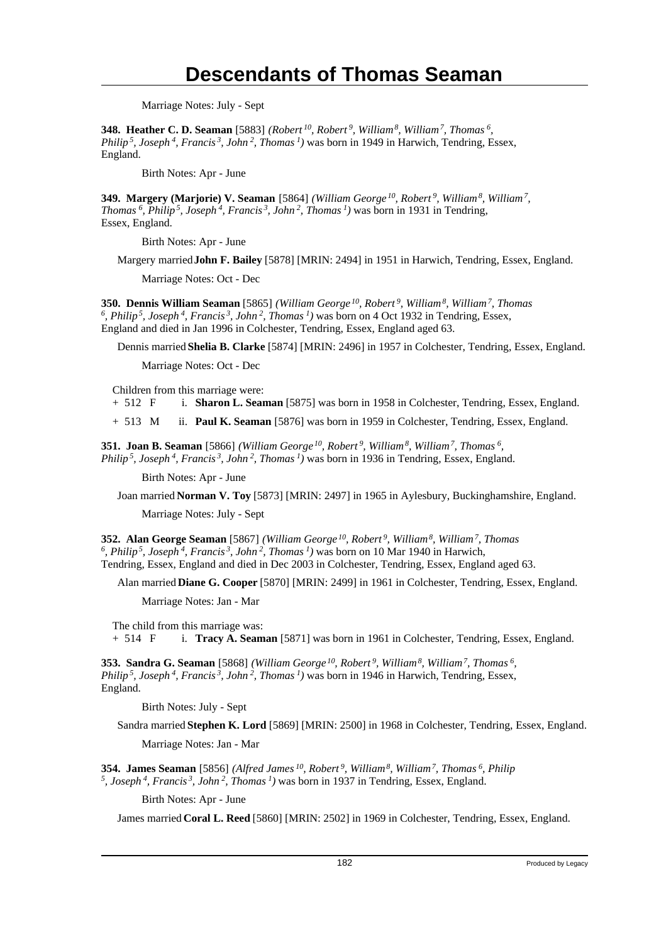Marriage Notes: July - Sept

**348. Heather C. D. Seaman** [5883] *(Robert<sup>10</sup>, Robert<sup>9</sup>, William<sup>8</sup>, William<sup>7</sup>, Thomas<sup>6</sup> , Philip<sup>5</sup>, Joseph<sup>4</sup>, Francis<sup>3</sup>, John<sup>2</sup>, Thomas<sup>1</sup>)* was born in 1949 in Harwich, Tendring, Essex, England.

Birth Notes: Apr - June

**349. Margery (Marjorie) V. Seaman** [5864] *(William George<sup>10</sup>, Robert<sup>9</sup>, William<sup>8</sup>, William<sup>7</sup> , Thomas<sup>6</sup>, Philip<sup>5</sup>, Joseph<sup>4</sup>, Francis<sup>3</sup>, John<sup>2</sup>, Thomas<sup>1</sup>)* was born in 1931 in Tendring, Essex, England.

Birth Notes: Apr - June

Margery married **John F. Bailey** [5878] [MRIN: 2494] in 1951 in Harwich, Tendring, Essex, England.

Marriage Notes: Oct - Dec

**350. Dennis William Seaman** [5865] *(William George<sup>10</sup>, Robert<sup>9</sup>, William<sup>8</sup>, William<sup>7</sup>, Thomas 6 , Philip<sup>5</sup>, Joseph<sup>4</sup>, Francis<sup>3</sup>, John<sup>2</sup>, Thomas<sup>1</sup>)* was born on 4 Oct 1932 in Tendring, Essex, England and died in Jan 1996 in Colchester, Tendring, Essex, England aged 63.

Dennis married **Shelia B. Clarke** [5874] [MRIN: 2496] in 1957 in Colchester, Tendring, Essex, England.

Marriage Notes: Oct - Dec

Children from this marriage were:<br>+  $512$  F i. **Sharon L. Sear** 

i. **Sharon L. Seaman** [5875] was born in 1958 in Colchester, Tendring, Essex, England.

+ 513 M ii. **Paul K. Seaman** [5876] was born in 1959 in Colchester, Tendring, Essex, England.

**351. Joan B. Seaman** [5866] *(William George<sup>10</sup>, Robert<sup>9</sup>, William<sup>8</sup>, William<sup>7</sup>, Thomas<sup>6</sup> , Philip<sup>5</sup>, Joseph<sup>4</sup>, Francis<sup>3</sup>, John<sup>2</sup>, Thomas<sup>1</sup>)* was born in 1936 in Tendring, Essex, England.

Birth Notes: Apr - June

Joan married **Norman V. Toy** [5873] [MRIN: 2497] in 1965 in Aylesbury, Buckinghamshire, England.

Marriage Notes: July - Sept

**352. Alan George Seaman** [5867] *(William George<sup>10</sup>, Robert<sup>9</sup>, William<sup>8</sup>, William<sup>7</sup>, Thomas 6 , Philip<sup>5</sup>, Joseph<sup>4</sup>, Francis<sup>3</sup>, John<sup>2</sup>, Thomas<sup>1</sup>)* was born on 10 Mar 1940 in Harwich, Tendring, Essex, England and died in Dec 2003 in Colchester, Tendring, Essex, England aged 63.

Alan married **Diane G. Cooper** [5870] [MRIN: 2499] in 1961 in Colchester, Tendring, Essex, England.

Marriage Notes: Jan - Mar

The child from this marriage was: + 514 F i. **Tracy A. Seaman** [5871] was born in 1961 in Colchester, Tendring, Essex, England.

**353. Sandra G. Seaman** [5868] *(William George<sup>10</sup>, Robert<sup>9</sup>, William<sup>8</sup>, William<sup>7</sup>, Thomas<sup>6</sup> , Philip<sup>5</sup>, Joseph<sup>4</sup>, Francis<sup>3</sup>, John<sup>2</sup>, Thomas<sup>1</sup>)* was born in 1946 in Harwich, Tendring, Essex, England.

Birth Notes: July - Sept

Sandra married **Stephen K. Lord** [5869] [MRIN: 2500] in 1968 in Colchester, Tendring, Essex, England.

Marriage Notes: Jan - Mar

**354. James Seaman** [5856] *(Alfred James<sup>10</sup>, Robert<sup>9</sup>, William<sup>8</sup>, William<sup>7</sup>, Thomas<sup>6</sup>, Philip 5 , Joseph<sup>4</sup>, Francis<sup>3</sup>, John<sup>2</sup>, Thomas<sup>1</sup>)* was born in 1937 in Tendring, Essex, England.

Birth Notes: Apr - June

James married **Coral L. Reed** [5860] [MRIN: 2502] in 1969 in Colchester, Tendring, Essex, England.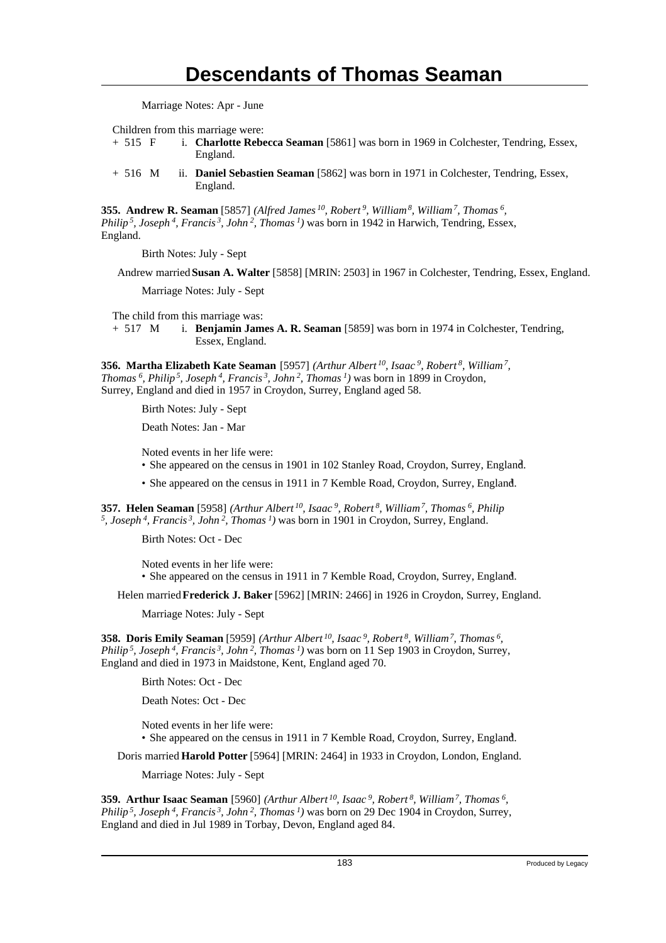Marriage Notes: Apr - June

Children from this marriage were:

- + 515 F i. **Charlotte Rebecca Seaman** [5861] was born in 1969 in Colchester, Tendring, Essex, England.
- + 516 M ii. **Daniel Sebastien Seaman** [5862] was born in 1971 in Colchester, Tendring, Essex, England.

**355. Andrew R. Seaman** [5857] *(Alfred James<sup>10</sup>, Robert<sup>9</sup>, William<sup>8</sup>, William<sup>7</sup>, Thomas<sup>6</sup> , Philip<sup>5</sup>, Joseph<sup>4</sup>, Francis<sup>3</sup>, John<sup>2</sup>, Thomas<sup>1</sup>)* was born in 1942 in Harwich, Tendring, Essex, England.

Birth Notes: July - Sept

Andrew married **Susan A. Walter** [5858] [MRIN: 2503] in 1967 in Colchester, Tendring, Essex, England.

Marriage Notes: July - Sept

The child from this marriage was:

+ 517 M i. **Benjamin James A. R. Seaman** [5859] was born in 1974 in Colchester, Tendring, Essex, England.

**356. Martha Elizabeth Kate Seaman** [5957] *(Arthur Albert<sup>10</sup>, Isaac<sup>9</sup>, Robert<sup>8</sup>, William<sup>7</sup> , Thomas<sup>6</sup>, Philip<sup>5</sup>, Joseph<sup>4</sup>, Francis<sup>3</sup>, John<sup>2</sup>, Thomas<sup>1</sup>)* was born in 1899 in Croydon, Surrey, England and died in 1957 in Croydon, Surrey, England aged 58.

Birth Notes: July - Sept

Death Notes: Jan - Mar

Noted events in her life were:

- She appeared on the census in 1901 in 102 Stanley Road, Croydon, Surrey, England.
- She appeared on the census in 1911 in 7 Kemble Road, Croydon, Surrey, England.

**357. Helen Seaman** [5958] *(Arthur Albert<sup>10</sup>, Isaac<sup>9</sup>, Robert<sup>8</sup>, William<sup>7</sup>, Thomas<sup>6</sup>, Philip 5 , Joseph<sup>4</sup>, Francis<sup>3</sup>, John<sup>2</sup>, Thomas<sup>1</sup>)* was born in 1901 in Croydon, Surrey, England.

Birth Notes: Oct - Dec

Noted events in her life were: • She appeared on the census in 1911 in 7 Kemble Road, Croydon, Surrey, England.

Helen married **Frederick J. Baker** [5962] [MRIN: 2466] in 1926 in Croydon, Surrey, England.

Marriage Notes: July - Sept

**358. Doris Emily Seaman** [5959] *(Arthur Albert<sup>10</sup>, Isaac<sup>9</sup>, Robert<sup>8</sup>, William<sup>7</sup>, Thomas<sup>6</sup> , Philip<sup>5</sup>, Joseph<sup>4</sup>, Francis<sup>3</sup>, John<sup>2</sup>, Thomas<sup>1</sup>)* was born on 11 Sep 1903 in Croydon, Surrey, England and died in 1973 in Maidstone, Kent, England aged 70.

Birth Notes: Oct - Dec

Death Notes: Oct - Dec

Noted events in her life were:

• She appeared on the census in 1911 in 7 Kemble Road, Croydon, Surrey, England.

Doris married **Harold Potter** [5964] [MRIN: 2464] in 1933 in Croydon, London, England.

Marriage Notes: July - Sept

**359. Arthur Isaac Seaman** [5960] *(Arthur Albert<sup>10</sup>, Isaac<sup>9</sup>, Robert<sup>8</sup>, William<sup>7</sup>, Thomas<sup>6</sup> , Philip<sup>5</sup>, Joseph<sup>4</sup>, Francis<sup>3</sup>, John<sup>2</sup>, Thomas<sup>1</sup>)* was born on 29 Dec 1904 in Croydon, Surrey, England and died in Jul 1989 in Torbay, Devon, England aged 84.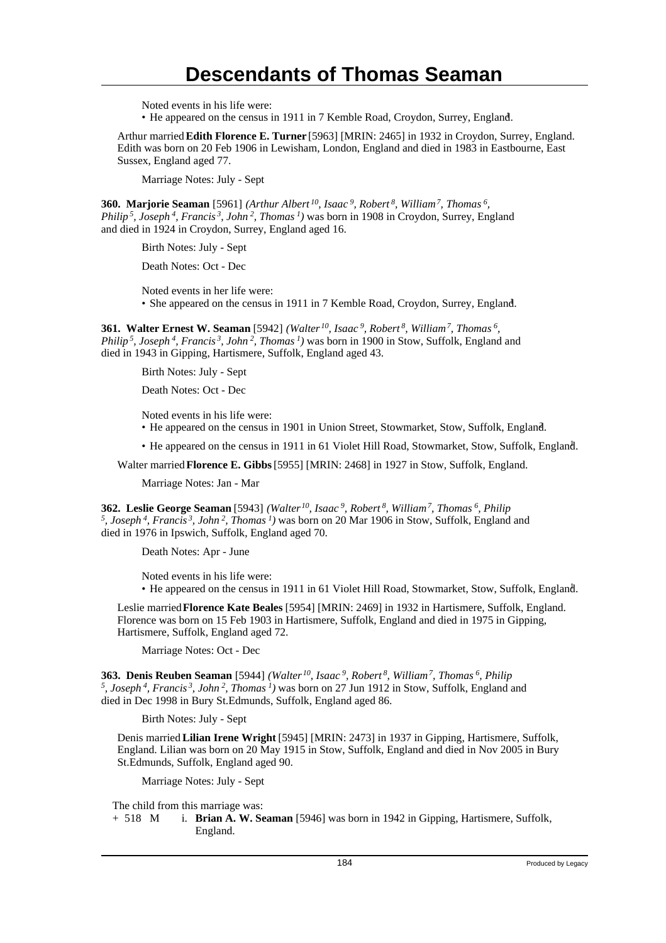Noted events in his life were:

• He appeared on the census in 1911 in 7 Kemble Road, Croydon, Surrey, England. <sup>1</sup>

Arthur married **Edith Florence E. Turner** [5963] [MRIN: 2465] in 1932 in Croydon, Surrey, England. Edith was born on 20 Feb 1906 in Lewisham, London, England and died in 1983 in Eastbourne, East Sussex, England aged 77.

Marriage Notes: July - Sept

**360. Marjorie Seaman** [5961] *(Arthur Albert<sup>10</sup>, Isaac<sup>9</sup>, Robert<sup>8</sup>, William<sup>7</sup>, Thomas<sup>6</sup> , Philip<sup>5</sup>, Joseph<sup>4</sup>, Francis<sup>3</sup>, John<sup>2</sup>, Thomas<sup>1</sup>)* was born in 1908 in Croydon, Surrey, England and died in 1924 in Croydon, Surrey, England aged 16.

Birth Notes: July - Sept

Death Notes: Oct - Dec

Noted events in her life were:

• She appeared on the census in 1911 in 7 Kemble Road, Croydon, Surrey, England. <sup>1</sup>

**361. Walter Ernest W. Seaman** [5942] *(Walter<sup>10</sup>, Isaac<sup>9</sup>, Robert<sup>8</sup>, William<sup>7</sup>, Thomas<sup>6</sup> , Philip<sup>5</sup>, Joseph<sup>4</sup>, Francis<sup>3</sup>, John<sup>2</sup>, Thomas<sup>1</sup>)* was born in 1900 in Stow, Suffolk, England and died in 1943 in Gipping, Hartismere, Suffolk, England aged 43.

Birth Notes: July - Sept

Death Notes: Oct - Dec

Noted events in his life were:

- He appeared on the census in 1901 in Union Street, Stowmarket, Stow, Suffolk, England. <sup>2</sup>
- He appeared on the census in 1911 in 61 Violet Hill Road, Stowmarket, Stow, Suffolk, England. <sup>1</sup>

Walter married **Florence E. Gibbs** [5955] [MRIN: 2468] in 1927 in Stow, Suffolk, England.

Marriage Notes: Jan - Mar

**362. Leslie George Seaman** [5943] *(Walter<sup>10</sup>, Isaac<sup>9</sup>, Robert<sup>8</sup>, William<sup>7</sup>, Thomas<sup>6</sup>, Philip 5 , Joseph<sup>4</sup>, Francis<sup>3</sup>, John<sup>2</sup>, Thomas<sup>1</sup>)* was born on 20 Mar 1906 in Stow, Suffolk, England and died in 1976 in Ipswich, Suffolk, England aged 70.

Death Notes: Apr - June

Noted events in his life were: • He appeared on the census in 1911 in 61 Violet Hill Road, Stowmarket, Stow, Suffolk, England. <sup>1</sup>

Leslie married **Florence Kate Beales** [5954] [MRIN: 2469] in 1932 in Hartismere, Suffolk, England. Florence was born on 15 Feb 1903 in Hartismere, Suffolk, England and died in 1975 in Gipping, Hartismere, Suffolk, England aged 72.

Marriage Notes: Oct - Dec

**363. Denis Reuben Seaman** [5944] *(Walter<sup>10</sup>, Isaac<sup>9</sup>, Robert<sup>8</sup>, William<sup>7</sup>, Thomas<sup>6</sup>, Philip 5 , Joseph<sup>4</sup>, Francis<sup>3</sup>, John<sup>2</sup>, Thomas<sup>1</sup>)* was born on 27 Jun 1912 in Stow, Suffolk, England and died in Dec 1998 in Bury St.Edmunds, Suffolk, England aged 86.

Birth Notes: July - Sept

Denis married **Lilian Irene Wright** [5945] [MRIN: 2473] in 1937 in Gipping, Hartismere, Suffolk, England. Lilian was born on 20 May 1915 in Stow, Suffolk, England and died in Nov 2005 in Bury St.Edmunds, Suffolk, England aged 90.

Marriage Notes: July - Sept

The child from this marriage was:

+ 518 M i. **Brian A. W. Seaman** [5946] was born in 1942 in Gipping, Hartismere, Suffolk, England.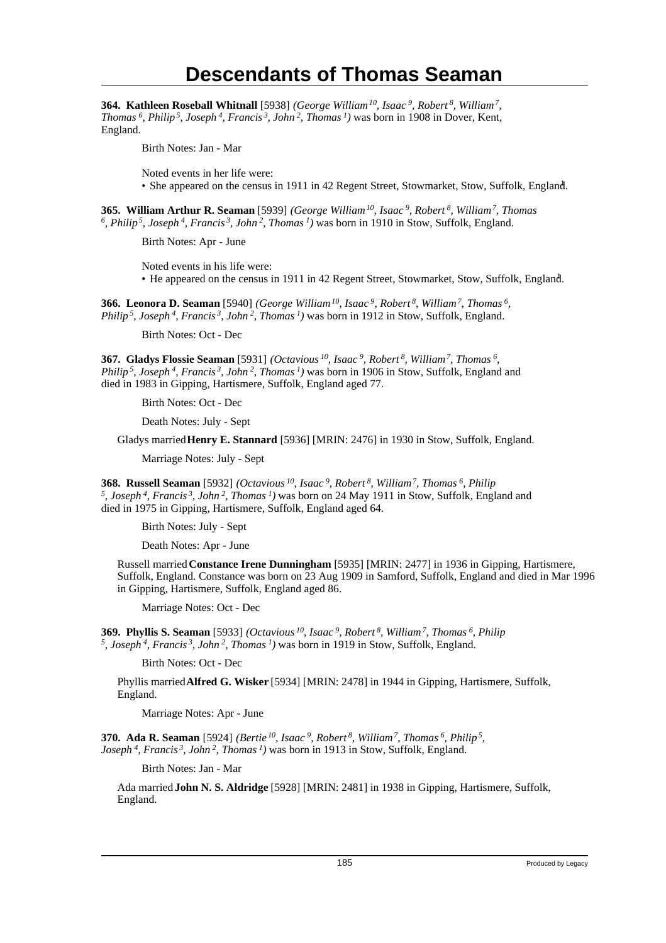**364. Kathleen Roseball Whitnall** [5938] *(George William<sup>10</sup>, Isaac<sup>9</sup>, Robert<sup>8</sup>, William<sup>7</sup> , Thomas<sup>6</sup>, Philip<sup>5</sup>, Joseph<sup>4</sup>, Francis<sup>3</sup>, John<sup>2</sup>, Thomas<sup>1</sup>)* was born in 1908 in Dover, Kent, England.

Birth Notes: Jan - Mar

Noted events in her life were:

• She appeared on the census in 1911 in 42 Regent Street, Stowmarket, Stow, Suffolk, England.

**365. William Arthur R. Seaman** [5939] *(George William<sup>10</sup>, Isaac<sup>9</sup>, Robert<sup>8</sup>, William<sup>7</sup>, Thomas 6 , Philip<sup>5</sup>, Joseph<sup>4</sup>, Francis<sup>3</sup>, John<sup>2</sup>, Thomas<sup>1</sup>)* was born in 1910 in Stow, Suffolk, England.

Birth Notes: Apr - June

Noted events in his life were: • He appeared on the census in 1911 in 42 Regent Street, Stowmarket, Stow, Suffolk, England.

**366. Leonora D. Seaman** [5940] *(George William<sup>10</sup>, Isaac<sup>9</sup>, Robert<sup>8</sup>, William<sup>7</sup>, Thomas<sup>6</sup> , Philip<sup>5</sup>, Joseph<sup>4</sup>, Francis<sup>3</sup>, John<sup>2</sup>, Thomas<sup>1</sup>)* was born in 1912 in Stow, Suffolk, England.

Birth Notes: Oct - Dec

**367. Gladys Flossie Seaman** [5931] *(Octavious<sup>10</sup>, Isaac<sup>9</sup>, Robert<sup>8</sup>, William<sup>7</sup>, Thomas<sup>6</sup> , Philip<sup>5</sup>, Joseph<sup>4</sup>, Francis<sup>3</sup>, John<sup>2</sup>, Thomas<sup>1</sup>)* was born in 1906 in Stow, Suffolk, England and died in 1983 in Gipping, Hartismere, Suffolk, England aged 77.

Birth Notes: Oct - Dec

Death Notes: July - Sept

Gladys married **Henry E. Stannard** [5936] [MRIN: 2476] in 1930 in Stow, Suffolk, England.

Marriage Notes: July - Sept

**368. Russell Seaman** [5932] *(Octavious<sup>10</sup>, Isaac<sup>9</sup>, Robert<sup>8</sup>, William<sup>7</sup>, Thomas<sup>6</sup>, Philip 5 , Joseph<sup>4</sup>, Francis<sup>3</sup>, John<sup>2</sup>, Thomas<sup>1</sup>)* was born on 24 May 1911 in Stow, Suffolk, England and died in 1975 in Gipping, Hartismere, Suffolk, England aged 64.

Birth Notes: July - Sept

Death Notes: Apr - June

Russell married **Constance Irene Dunningham** [5935] [MRIN: 2477] in 1936 in Gipping, Hartismere, Suffolk, England. Constance was born on 23 Aug 1909 in Samford, Suffolk, England and died in Mar 1996 in Gipping, Hartismere, Suffolk, England aged 86.

Marriage Notes: Oct - Dec

**369. Phyllis S. Seaman** [5933] *(Octavious<sup>10</sup>, Isaac<sup>9</sup>, Robert<sup>8</sup>, William<sup>7</sup>, Thomas<sup>6</sup>, Philip 5 , Joseph<sup>4</sup>, Francis<sup>3</sup>, John<sup>2</sup>, Thomas<sup>1</sup>)* was born in 1919 in Stow, Suffolk, England.

Birth Notes: Oct - Dec

Phyllis married **Alfred G. Wisker** [5934] [MRIN: 2478] in 1944 in Gipping, Hartismere, Suffolk, England.

Marriage Notes: Apr - June

**370. Ada R. Seaman** [5924] *(Bertie<sup>10</sup>, Isaac<sup>9</sup>, Robert<sup>8</sup>, William<sup>7</sup>, Thomas<sup>6</sup>, Philip<sup>5</sup> , Joseph<sup>4</sup>, Francis<sup>3</sup>, John<sup>2</sup>, Thomas<sup>1</sup>)* was born in 1913 in Stow, Suffolk, England.

Birth Notes: Jan - Mar

Ada married **John N. S. Aldridge** [5928] [MRIN: 2481] in 1938 in Gipping, Hartismere, Suffolk, England.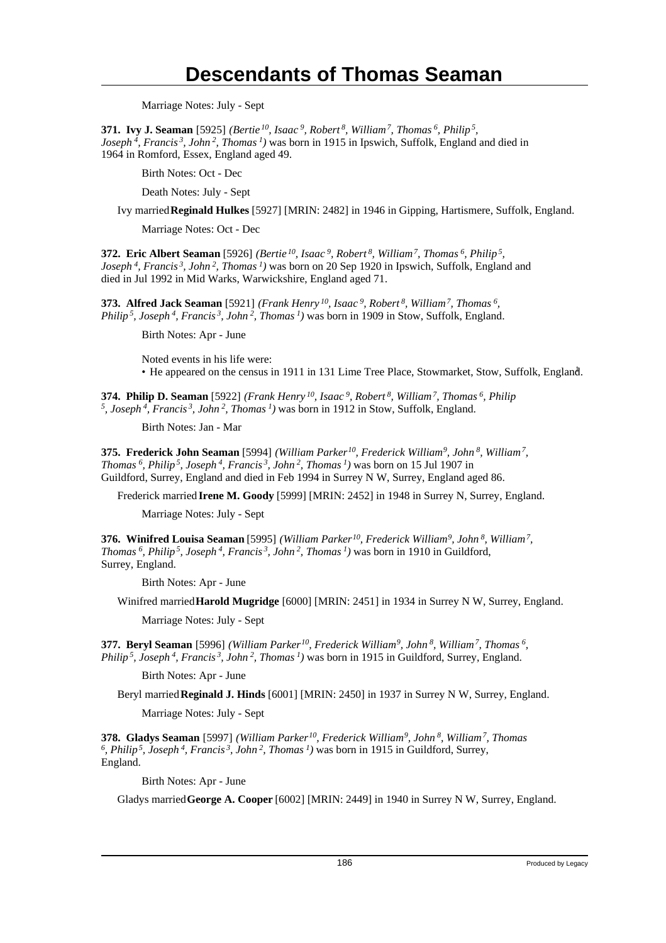Marriage Notes: July - Sept

**371. Ivy J. Seaman** [5925] *(Bertie<sup>10</sup>, Isaac<sup>9</sup>, Robert<sup>8</sup>, William<sup>7</sup>, Thomas<sup>6</sup>, Philip<sup>5</sup> , Joseph<sup>4</sup>, Francis<sup>3</sup>, John<sup>2</sup>, Thomas<sup>1</sup>)* was born in 1915 in Ipswich, Suffolk, England and died in 1964 in Romford, Essex, England aged 49.

Birth Notes: Oct - Dec

Death Notes: July - Sept

Ivy married **Reginald Hulkes** [5927] [MRIN: 2482] in 1946 in Gipping, Hartismere, Suffolk, England.

Marriage Notes: Oct - Dec

**372. Eric Albert Seaman** [5926] *(Bertie<sup>10</sup>, Isaac<sup>9</sup>, Robert<sup>8</sup>, William<sup>7</sup>, Thomas<sup>6</sup>, Philip<sup>5</sup> , Joseph<sup>4</sup>, Francis<sup>3</sup>, John<sup>2</sup>, Thomas<sup>1</sup>)* was born on 20 Sep 1920 in Ipswich, Suffolk, England and died in Jul 1992 in Mid Warks, Warwickshire, England aged 71.

**373. Alfred Jack Seaman** [5921] *(Frank Henry<sup>10</sup>, Isaac<sup>9</sup>, Robert<sup>8</sup>, William<sup>7</sup>, Thomas<sup>6</sup> , Philip<sup>5</sup>, Joseph<sup>4</sup>, Francis<sup>3</sup>, John<sup>2</sup>, Thomas<sup>1</sup>)* was born in 1909 in Stow, Suffolk, England.

Birth Notes: Apr - June

Noted events in his life were: • He appeared on the census in 1911 in 131 Lime Tree Place, Stowmarket, Stow, Suffolk, England. <sup>1</sup>

**374. Philip D. Seaman** [5922] *(Frank Henry<sup>10</sup>, Isaac<sup>9</sup>, Robert<sup>8</sup>, William<sup>7</sup>, Thomas<sup>6</sup>, Philip 5 , Joseph<sup>4</sup>, Francis<sup>3</sup>, John<sup>2</sup>, Thomas<sup>1</sup>)* was born in 1912 in Stow, Suffolk, England.

Birth Notes: Jan - Mar

**375. Frederick John Seaman** [5994] *(William Parker<sup>10</sup>, Frederick William<sup>9</sup>, John<sup>8</sup>, William<sup>7</sup> , Thomas<sup>6</sup>, Philip<sup>5</sup>, Joseph<sup>4</sup>, Francis<sup>3</sup>, John<sup>2</sup>, Thomas<sup>1</sup>)* was born on 15 Jul 1907 in Guildford, Surrey, England and died in Feb 1994 in Surrey N W, Surrey, England aged 86.

Frederick married **Irene M. Goody** [5999] [MRIN: 2452] in 1948 in Surrey N, Surrey, England.

Marriage Notes: July - Sept

**376. Winifred Louisa Seaman** [5995] *(William Parker<sup>10</sup>, Frederick William<sup>9</sup>, John<sup>8</sup>, William<sup>7</sup> , Thomas<sup>6</sup>, Philip<sup>5</sup>, Joseph<sup>4</sup>, Francis<sup>3</sup>, John<sup>2</sup>, Thomas<sup>1</sup>)* was born in 1910 in Guildford, Surrey, England.

Birth Notes: Apr - June

Winifred married **Harold Mugridge** [6000] [MRIN: 2451] in 1934 in Surrey N W, Surrey, England.

Marriage Notes: July - Sept

**377. Beryl Seaman** [5996] *(William Parker<sup>10</sup>, Frederick William<sup>9</sup>, John<sup>8</sup>, William<sup>7</sup>, Thomas<sup>6</sup> , Philip<sup>5</sup>, Joseph<sup>4</sup>, Francis<sup>3</sup>, John<sup>2</sup>, Thomas<sup>1</sup>)* was born in 1915 in Guildford, Surrey, England.

Birth Notes: Apr - June

Beryl married **Reginald J. Hinds** [6001] [MRIN: 2450] in 1937 in Surrey N W, Surrey, England.

Marriage Notes: July - Sept

**378. Gladys Seaman** [5997] *(William Parker<sup>10</sup>, Frederick William<sup>9</sup>, John<sup>8</sup>, William<sup>7</sup>, Thomas 6 , Philip<sup>5</sup>, Joseph<sup>4</sup>, Francis<sup>3</sup>, John<sup>2</sup>, Thomas<sup>1</sup>)* was born in 1915 in Guildford, Surrey, England.

Birth Notes: Apr - June

Gladys married **George A. Cooper** [6002] [MRIN: 2449] in 1940 in Surrey N W, Surrey, England.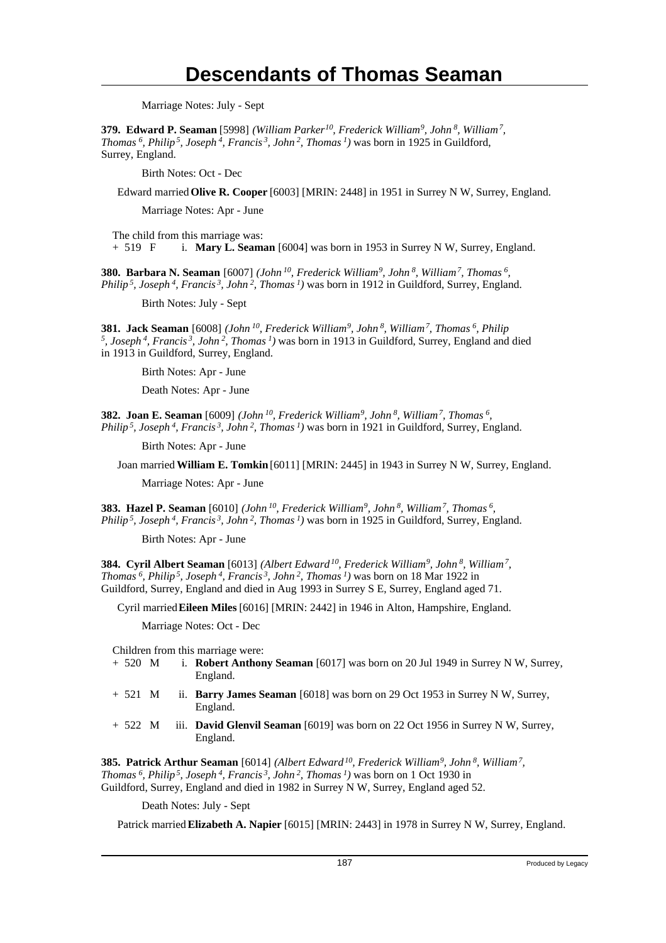Marriage Notes: July - Sept

**379. Edward P. Seaman** [5998] *(William Parker<sup>10</sup>, Frederick William<sup>9</sup>, John<sup>8</sup>, William<sup>7</sup> , Thomas<sup>6</sup>, Philip<sup>5</sup>, Joseph<sup>4</sup>, Francis<sup>3</sup>, John<sup>2</sup>, Thomas<sup>1</sup>)* was born in 1925 in Guildford, Surrey, England.

Birth Notes: Oct - Dec

Edward married **Olive R. Cooper** [6003] [MRIN: 2448] in 1951 in Surrey N W, Surrey, England.

Marriage Notes: Apr - June

The child from this marriage was:

+ 519 F i. **Mary L. Seaman** [6004] was born in 1953 in Surrey N W, Surrey, England.

**380. Barbara N. Seaman** [6007] *(John<sup>10</sup>, Frederick William<sup>9</sup>, John<sup>8</sup>, William<sup>7</sup>, Thomas<sup>6</sup> , Philip<sup>5</sup>, Joseph<sup>4</sup>, Francis<sup>3</sup>, John<sup>2</sup>, Thomas<sup>1</sup>)* was born in 1912 in Guildford, Surrey, England.

Birth Notes: July - Sept

**381. Jack Seaman** [6008] *(John<sup>10</sup>, Frederick William<sup>9</sup>, John<sup>8</sup>, William<sup>7</sup>, Thomas<sup>6</sup>, Philip 5 , Joseph<sup>4</sup>, Francis<sup>3</sup>, John<sup>2</sup>, Thomas<sup>1</sup>)* was born in 1913 in Guildford, Surrey, England and died in 1913 in Guildford, Surrey, England.

Birth Notes: Apr - June

Death Notes: Apr - June

**382. Joan E. Seaman** [6009] *(John<sup>10</sup>, Frederick William<sup>9</sup>, John<sup>8</sup>, William<sup>7</sup>, Thomas<sup>6</sup> , Philip<sup>5</sup>, Joseph<sup>4</sup>, Francis<sup>3</sup>, John<sup>2</sup>, Thomas<sup>1</sup>)* was born in 1921 in Guildford, Surrey, England.

Birth Notes: Apr - June

Joan married **William E. Tomkin** [6011] [MRIN: 2445] in 1943 in Surrey N W, Surrey, England.

Marriage Notes: Apr - June

**383. Hazel P. Seaman** [6010] *(John<sup>10</sup>, Frederick William<sup>9</sup>, John<sup>8</sup>, William<sup>7</sup>, Thomas<sup>6</sup> , Philip<sup>5</sup>, Joseph<sup>4</sup>, Francis<sup>3</sup>, John<sup>2</sup>, Thomas<sup>1</sup>)* was born in 1925 in Guildford, Surrey, England.

Birth Notes: Apr - June

**384. Cyril Albert Seaman** [6013] *(Albert Edward<sup>10</sup>, Frederick William<sup>9</sup>, John<sup>8</sup>, William<sup>7</sup> , Thomas<sup>6</sup>, Philip<sup>5</sup>, Joseph<sup>4</sup>, Francis<sup>3</sup>, John<sup>2</sup>, Thomas<sup>1</sup>)* was born on 18 Mar 1922 in Guildford, Surrey, England and died in Aug 1993 in Surrey S E, Surrey, England aged 71.

Cyril married **Eileen Miles** [6016] [MRIN: 2442] in 1946 in Alton, Hampshire, England.

Marriage Notes: Oct - Dec

Children from this marriage were:

- + 520 M i. **Robert Anthony Seaman** [6017] was born on 20 Jul 1949 in Surrey N W, Surrey, England.
- + 521 M ii. **Barry James Seaman** [6018] was born on 29 Oct 1953 in Surrey N W, Surrey, England.
- + 522 M iii. **David Glenvil Seaman** [6019] was born on 22 Oct 1956 in Surrey N W, Surrey, England.

**385. Patrick Arthur Seaman** [6014] *(Albert Edward<sup>10</sup>, Frederick William<sup>9</sup>, John<sup>8</sup>, William<sup>7</sup> , Thomas<sup>6</sup>, Philip<sup>5</sup>, Joseph<sup>4</sup>, Francis<sup>3</sup>, John<sup>2</sup>, Thomas<sup>1</sup>)* was born on 1 Oct 1930 in Guildford, Surrey, England and died in 1982 in Surrey N W, Surrey, England aged 52.

Death Notes: July - Sept

Patrick married **Elizabeth A. Napier** [6015] [MRIN: 2443] in 1978 in Surrey N W, Surrey, England.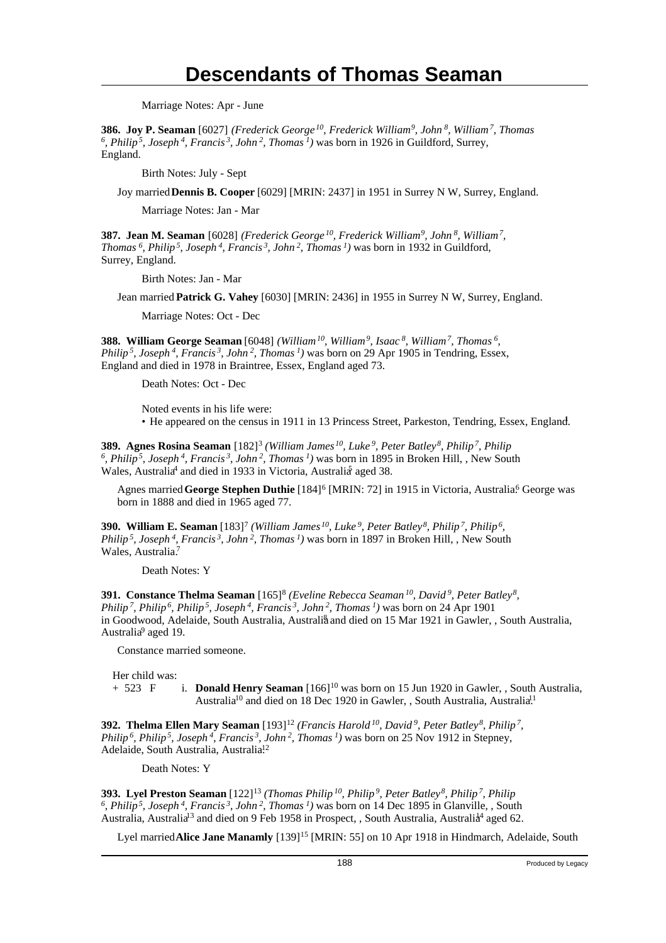Marriage Notes: Apr - June

**386. Joy P. Seaman** [6027] *(Frederick George<sup>10</sup>, Frederick William<sup>9</sup>, John<sup>8</sup>, William<sup>7</sup>, Thomas 6 , Philip<sup>5</sup>, Joseph<sup>4</sup>, Francis<sup>3</sup>, John<sup>2</sup>, Thomas<sup>1</sup>)* was born in 1926 in Guildford, Surrey, England.

Birth Notes: July - Sept

Joy married **Dennis B. Cooper** [6029] [MRIN: 2437] in 1951 in Surrey N W, Surrey, England.

Marriage Notes: Jan - Mar

**387. Jean M. Seaman** [6028] *(Frederick George<sup>10</sup>, Frederick William<sup>9</sup>, John<sup>8</sup>, William<sup>7</sup> , Thomas<sup>6</sup>, Philip<sup>5</sup>, Joseph<sup>4</sup>, Francis<sup>3</sup>, John<sup>2</sup>, Thomas<sup>1</sup>)* was born in 1932 in Guildford, Surrey, England.

Birth Notes: Jan - Mar

Jean married **Patrick G. Vahey** [6030] [MRIN: 2436] in 1955 in Surrey N W, Surrey, England.

Marriage Notes: Oct - Dec

**388. William George Seaman** [6048] *(William<sup>10</sup>, William<sup>9</sup>, Isaac<sup>8</sup>, William<sup>7</sup>, Thomas<sup>6</sup> , Philip<sup>5</sup>, Joseph<sup>4</sup>, Francis<sup>3</sup>, John<sup>2</sup>, Thomas<sup>1</sup>)* was born on 29 Apr 1905 in Tendring, Essex, England and died in 1978 in Braintree, Essex, England aged 73.

Death Notes: Oct - Dec

Noted events in his life were:

• He appeared on the census in 1911 in 13 Princess Street, Parkeston, Tendring, Essex, England.

**389. Agnes Rosina Seaman** [182]<sup>3</sup>  *(William James<sup>10</sup>, Luke<sup>9</sup>, Peter Batley<sup>8</sup>, Philip<sup>7</sup>, Philip 6 , Philip<sup>5</sup>, Joseph<sup>4</sup>, Francis<sup>3</sup>, John<sup>2</sup>, Thomas<sup>1</sup>)* was born in 1895 in Broken Hill, , New South Wales, Australia<sup>4</sup> and died in 1933 in Victoria, Australia aged 38.

Agnes married George Stephen Duthie [184]<sup>6</sup> [MRIN: 72] in 1915 in Victoria, Australia<sup>6</sup> George was born in 1888 and died in 1965 aged 77.

**390. William E. Seaman** [183]<sup>7</sup>  *(William James<sup>10</sup>, Luke<sup>9</sup>, Peter Batley<sup>8</sup>, Philip<sup>7</sup>, Philip<sup>6</sup> , Philip<sup>5</sup>, Joseph<sup>4</sup>, Francis<sup>3</sup>, John<sup>2</sup>, Thomas<sup>1</sup>)* was born in 1897 in Broken Hill, , New South Wales, Australia.<sup>7</sup>

Death Notes: Y

**391. Constance Thelma Seaman** [165]<sup>8</sup>  *(Eveline Rebecca Seaman<sup>10</sup>, David<sup>9</sup>, Peter Batley<sup>8</sup> , Philip<sup>7</sup>, Philip<sup>6</sup>, Philip<sup>5</sup>, Joseph<sup>4</sup>, Francis<sup>3</sup>, John<sup>2</sup>, Thomas<sup>1</sup>)* was born on 24 Apr 1901 in Goodwood, Adelaide, South Australia, Australiå and died on 15 Mar 1921 in Gawler, , South Australia, Australia<sup>9</sup> aged 19.

Constance married someone.

Her child was: + 523 F i. **Donald Henry Seaman** [166]<sup>10</sup> was born on 15 Jun 1920 in Gawler, , South Australia, Australia<sup>10</sup> and died on 18 Dec 1920 in Gawler, , South Australia, Australia<sup>11</sup>

**392. Thelma Ellen Mary Seaman** [193]<sup>12</sup> (Francis Harold<sup>10</sup>, David<sup>9</sup>, Peter Batley<sup>8</sup>, Philip<sup>7</sup>, *Philip<sup>6</sup>, Philip<sup>5</sup>, Joseph<sup>4</sup>, Francis<sup>3</sup>, John<sup>2</sup>, Thomas<sup>1</sup>)* was born on 25 Nov 1912 in Stepney, Adelaide, South Australia, Australia<sup>12</sup>

Death Notes: Y

**393. Lyel Preston Seaman** [122]<sup>13</sup> *(Thomas Philip<sup>10</sup>, Philip<sup>9</sup>, Peter Batley<sup>8</sup>, Philip<sup>7</sup>, Philip 6 , Philip<sup>5</sup>, Joseph<sup>4</sup>, Francis<sup>3</sup>, John<sup>2</sup>, Thomas<sup>1</sup>)* was born on 14 Dec 1895 in Glanville, , South Australia, Australia<sup>13</sup> and died on 9 Feb 1958 in Prospect, , South Australia, Australia<sup>4</sup> aged 62.

Lyel married **Alice Jane Manamly** [139]<sup>15</sup> [MRIN: 55] on 10 Apr 1918 in Hindmarch, Adelaide, South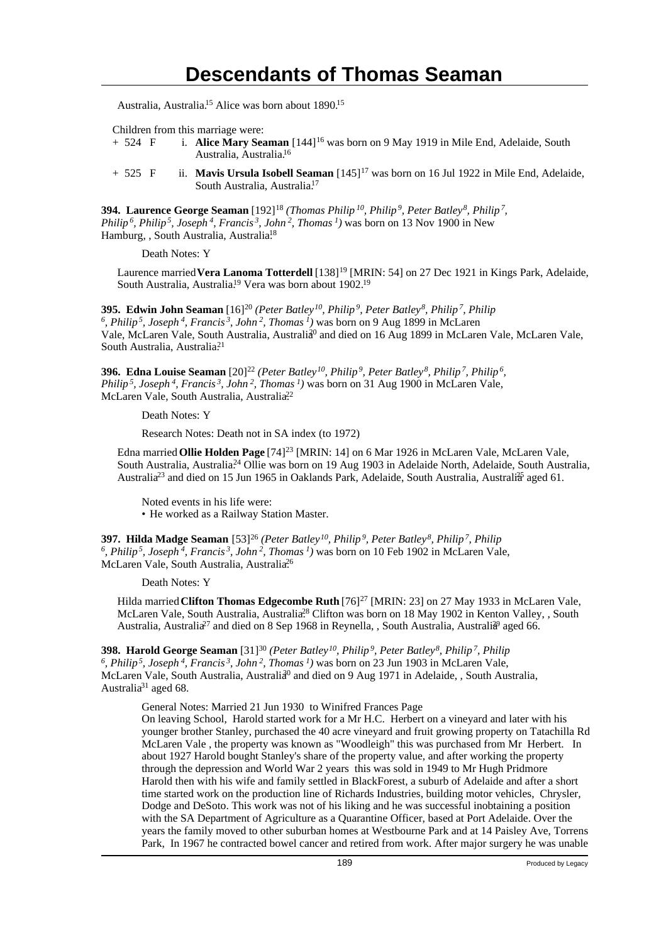Australia, Australia.<sup>15</sup> Alice was born about 1890.<sup>15</sup>

Children from this marriage were:

- + 524 F i. **Alice Mary Seaman** [144]<sup>16</sup> was born on 9 May 1919 in Mile End, Adelaide, South Australia, Australia.<sup>16</sup>
- + 525 F ii. **Mavis Ursula Isobell Seaman** [145]<sup>17</sup> was born on 16 Jul 1922 in Mile End, Adelaide, South Australia, Australia.<sup>17</sup>

**394. Laurence George Seaman** [192]<sup>18</sup> *(Thomas Philip<sup>10</sup>, Philip<sup>9</sup>, Peter Batley<sup>8</sup>, Philip<sup>7</sup> , Philip<sup>6</sup>, Philip<sup>5</sup>, Joseph<sup>4</sup>, Francis<sup>3</sup>, John<sup>2</sup>, Thomas<sup>1</sup>)* was born on 13 Nov 1900 in New Hamburg, , South Australia, Australia<sup>18</sup>

Death Notes: Y

Laurence married Vera Lanoma Totterdell [138]<sup>19</sup> [MRIN: 54] on 27 Dec 1921 in Kings Park, Adelaide, South Australia, Australia.<sup>19</sup> Vera was born about 1902.<sup>19</sup>

**395. Edwin John Seaman** [16]<sup>20</sup> *(Peter Batley<sup>10</sup>, Philip<sup>9</sup>, Peter Batley<sup>8</sup>, Philip<sup>7</sup>, Philip 6 , Philip<sup>5</sup>, Joseph<sup>4</sup>, Francis<sup>3</sup>, John<sup>2</sup>, Thomas<sup>1</sup>)* was born on 9 Aug 1899 in McLaren Vale, McLaren Vale, South Australia, Australia<sup>0</sup> and died on 16 Aug 1899 in McLaren Vale, McLaren Vale, South Australia, Australia<sup>21</sup>

**396. Edna Louise Seaman** [20]<sup>22</sup> (Peter Batley<sup>10</sup>, Philip<sup>9</sup>, Peter Batley<sup>8</sup>, Philip<sup>7</sup>, Philip<sup>6</sup>, *Philip<sup>5</sup>, Joseph<sup>4</sup>, Francis<sup>3</sup>, John<sup>2</sup>, Thomas<sup>1</sup>)* was born on 31 Aug 1900 in McLaren Vale, McLaren Vale, South Australia, Australia<sup>22</sup>

Death Notes: Y

Research Notes: Death not in SA index (to 1972)

Edna married **Ollie Holden Page** [74]<sup>23</sup> [MRIN: 14] on 6 Mar 1926 in McLaren Vale, McLaren Vale, South Australia, Australia<sup>24</sup> Ollie was born on 19 Aug 1903 in Adelaide North, Adelaide, South Australia, Australia<sup>23</sup> and died on 15 Jun 1965 in Oaklands Park, Adelaide, South Australia, Australia<sup>5</sup> aged 61.

Noted events in his life were: • He worked as a Railway Station Master.

**397. Hilda Madge Seaman** [53]<sup>26</sup> *(Peter Batley<sup>10</sup>, Philip<sup>9</sup>, Peter Batley<sup>8</sup>, Philip<sup>7</sup>, Philip 6 , Philip<sup>5</sup>, Joseph<sup>4</sup>, Francis<sup>3</sup>, John<sup>2</sup>, Thomas<sup>1</sup>)* was born on 10 Feb 1902 in McLaren Vale, McLaren Vale, South Australia, Australia<sup>26</sup>

Death Notes: Y

Hilda married **Clifton Thomas Edgecombe Ruth** [76]<sup>27</sup> [MRIN: 23] on 27 May 1933 in McLaren Vale, McLaren Vale, South Australia, Australia<sup>28</sup> Clifton was born on 18 May 1902 in Kenton Valley, , South Australia, Australia<sup>27</sup> and died on 8 Sep 1968 in Reynella, , South Australia, Australia<sup>9</sup> aged 66.

**398. Harold George Seaman** [31]<sup>30</sup> *(Peter Batley<sup>10</sup>, Philip<sup>9</sup>, Peter Batley<sup>8</sup>, Philip<sup>7</sup>, Philip 6 , Philip<sup>5</sup>, Joseph<sup>4</sup>, Francis<sup>3</sup>, John<sup>2</sup>, Thomas<sup>1</sup>)* was born on 23 Jun 1903 in McLaren Vale, McLaren Vale, South Australia, Australia<sup>30</sup> and died on 9 Aug 1971 in Adelaide, , South Australia, Australia<sup>31</sup> aged 68.

General Notes: Married 21 Jun 1930 to Winifred Frances Page

On leaving School, Harold started work for a Mr H.C. Herbert on a vineyard and later with his younger brother Stanley, purchased the 40 acre vineyard and fruit growing property on Tatachilla Rd McLaren Vale , the property was known as "Woodleigh" this was purchased from Mr Herbert. In about 1927 Harold bought Stanley's share of the property value, and after working the property through the depression and World War 2 years this was sold in 1949 to Mr Hugh Pridmore Harold then with his wife and family settled in BlackForest, a suburb of Adelaide and after a short time started work on the production line of Richards Industries, building motor vehicles, Chrysler, Dodge and DeSoto. This work was not of his liking and he was successful inobtaining a position with the SA Department of Agriculture as a Quarantine Officer, based at Port Adelaide. Over the years the family moved to other suburban homes at Westbourne Park and at 14 Paisley Ave, Torrens Park, In 1967 he contracted bowel cancer and retired from work. After major surgery he was unable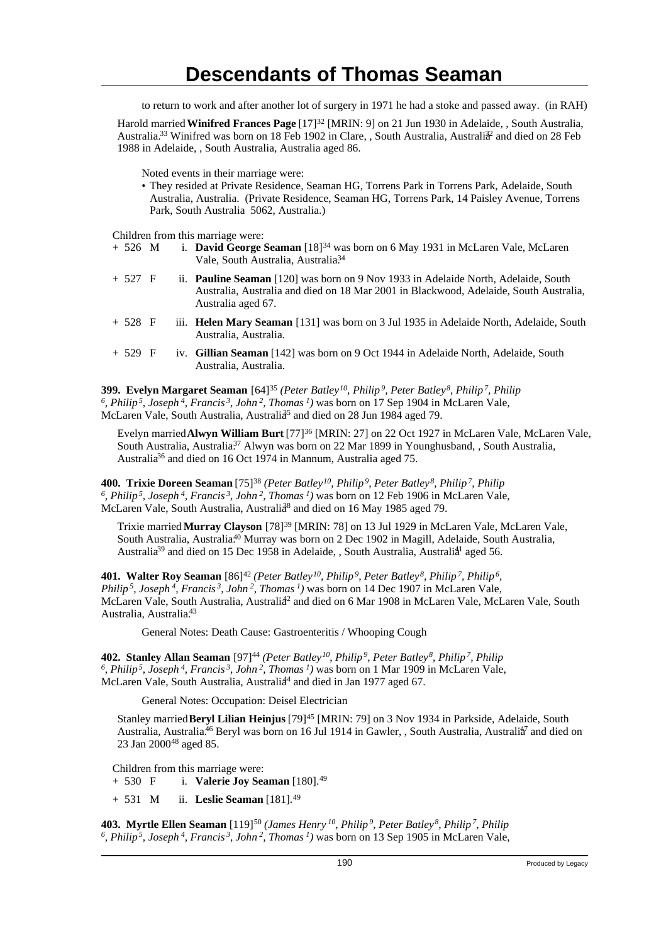to return to work and after another lot of surgery in 1971 he had a stoke and passed away. (in RAH)

Harold married **Winifred Frances Page** [17]<sup>32</sup> [MRIN: 9] on 21 Jun 1930 in Adelaide, , South Australia, Australia.<sup>33</sup> Winifred was born on 18 Feb 1902 in Clare, , South Australia, Australia<sup>2</sup> and died on 28 Feb 1988 in Adelaide, , South Australia, Australia aged 86.

Noted events in their marriage were:

• They resided at Private Residence, Seaman HG, Torrens Park in Torrens Park, Adelaide, South Australia, Australia. (Private Residence, Seaman HG, Torrens Park, 14 Paisley Avenue, Torrens Park, South Australia 5062, Australia.)

Children from this marriage were:

- + 526 M i. **David George Seaman** [18]<sup>34</sup> was born on 6 May 1931 in McLaren Vale, McLaren Vale, South Australia, Australia<sup>34</sup>
- + 527 F ii. **Pauline Seaman** [120] was born on 9 Nov 1933 in Adelaide North, Adelaide, South Australia, Australia and died on 18 Mar 2001 in Blackwood, Adelaide, South Australia, Australia aged 67.
- + 528 F iii. **Helen Mary Seaman** [131] was born on 3 Jul 1935 in Adelaide North, Adelaide, South Australia, Australia.
- + 529 F iv. **Gillian Seaman** [142] was born on 9 Oct 1944 in Adelaide North, Adelaide, South Australia, Australia.

**399. Evelyn Margaret Seaman** [64]<sup>35</sup> *(Peter Batley<sup>10</sup>, Philip<sup>9</sup>, Peter Batley<sup>8</sup>, Philip<sup>7</sup>, Philip 6 , Philip<sup>5</sup>, Joseph<sup>4</sup>, Francis<sup>3</sup>, John<sup>2</sup>, Thomas<sup>1</sup>)* was born on 17 Sep 1904 in McLaren Vale, McLaren Vale, South Australia, Australia<sup>5</sup> and died on 28 Jun 1984 aged 79.

Evelyn married **Alwyn William Burt** [77]<sup>36</sup> [MRIN: 27] on 22 Oct 1927 in McLaren Vale, McLaren Vale, South Australia, Australia.<sup>37</sup> Alwyn was born on 22 Mar 1899 in Younghusband, , South Australia, Australia<sup>36</sup> and died on 16 Oct 1974 in Mannum, Australia aged 75.

**400. Trixie Doreen Seaman** [75]<sup>38</sup> *(Peter Batley<sup>10</sup>, Philip<sup>9</sup>, Peter Batley<sup>8</sup>, Philip<sup>7</sup>, Philip 6 , Philip<sup>5</sup>, Joseph<sup>4</sup>, Francis<sup>3</sup>, John<sup>2</sup>, Thomas<sup>1</sup>)* was born on 12 Feb 1906 in McLaren Vale, McLaren Vale, South Australia, Australia<sup>8</sup> and died on 16 May 1985 aged 79.

Trixie married **Murray Clayson** [78]<sup>39</sup> [MRIN: 78] on 13 Jul 1929 in McLaren Vale, McLaren Vale, South Australia, Australia.<sup>40</sup> Murray was born on 2 Dec 1902 in Magill, Adelaide, South Australia, Australia<sup>39</sup> and died on 15 Dec 1958 in Adelaide, , South Australia, Australia<sup>1</sup> aged 56.

**401. Walter Roy Seaman** [86]<sup>42</sup> (Peter Batley<sup>10</sup>, Philip<sup>9</sup>, Peter Batley<sup>8</sup>, Philip<sup>7</sup>, Philip<sup>6</sup>, *Philip<sup>5</sup>, Joseph<sup>4</sup>, Francis<sup>3</sup>, John<sup>2</sup>, Thomas<sup>1</sup>)* was born on 14 Dec 1907 in McLaren Vale, McLaren Vale, South Australia, Australia<sup>2</sup> and died on 6 Mar 1908 in McLaren Vale, McLaren Vale, South Australia, Australia.<sup>43</sup>

General Notes: Death Cause: Gastroenteritis / Whooping Cough

**402. Stanley Allan Seaman** [97]<sup>44</sup> *(Peter Batley<sup>10</sup>, Philip<sup>9</sup>, Peter Batley<sup>8</sup>, Philip<sup>7</sup>, Philip 6 , Philip<sup>5</sup>, Joseph<sup>4</sup>, Francis<sup>3</sup>, John<sup>2</sup>, Thomas<sup>1</sup>)* was born on 1 Mar 1909 in McLaren Vale, McLaren Vale, South Australia, Australia<sup>44</sup> and died in Jan 1977 aged 67.

General Notes: Occupation: Deisel Electrician

Stanley married **Beryl Lilian Heinjus** [79]<sup>45</sup> [MRIN: 79] on 3 Nov 1934 in Parkside, Adelaide, South Australia, Australia.<sup>46</sup> Beryl was born on 16 Jul 1914 in Gawler, , South Australia, Australia<sup>7</sup> and died on 23 Jan 2000<sup>48</sup> aged 85.

Children from this marriage were:

+ 530 F i. **Valerie Joy Seaman** [180].<sup>49</sup>

+ 531 M ii. **Leslie Seaman** [181].<sup>49</sup>

**403. Myrtle Ellen Seaman** [119]<sup>50</sup> *(James Henry<sup>10</sup>, Philip<sup>9</sup>, Peter Batley<sup>8</sup>, Philip<sup>7</sup>, Philip 6 , Philip 5, Joseph 4, Francis 3, John 2, Thomas 1)* was born on 13 Sep 1905 in McLaren Vale,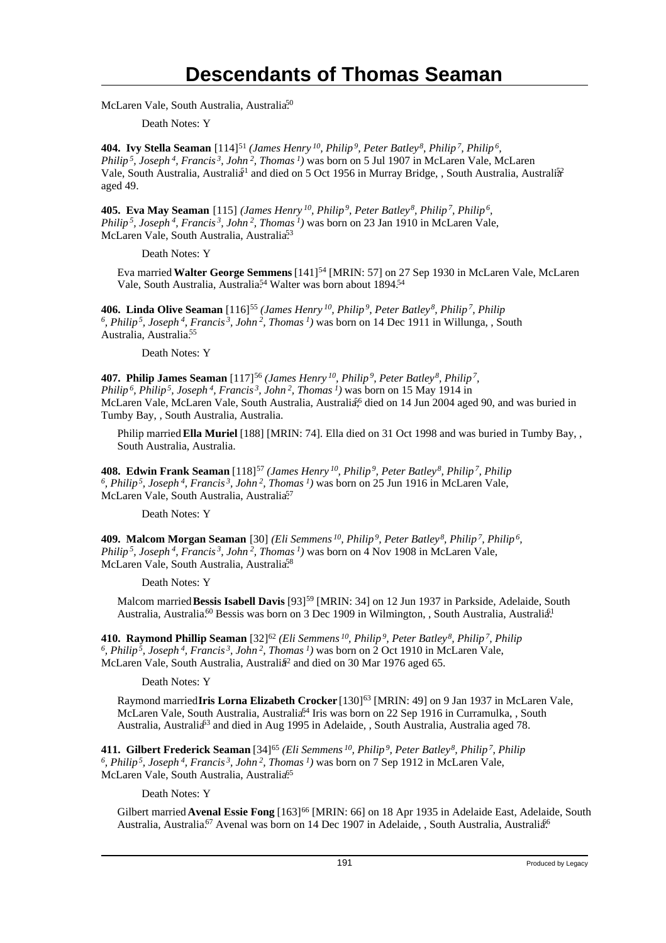McLaren Vale, South Australia, Australia.<sup>50</sup>

Death Notes: Y

**404. Ivy Stella Seaman** [114]<sup>51</sup> *(James Henry<sup>10</sup>, Philip<sup>9</sup>, Peter Batley<sup>8</sup>, Philip<sup>7</sup>, Philip<sup>6</sup> , Philip<sup>5</sup>, Joseph<sup>4</sup>, Francis<sup>3</sup>, John<sup>2</sup>, Thomas<sup>1</sup>)* was born on 5 Jul 1907 in McLaren Vale, McLaren Vale, South Australia, Australia<sup>51</sup> and died on 5 Oct 1956 in Murray Bridge, , South Australia, Australia<sup>52</sup> aged 49.

**405. Eva May Seaman** [115] *(James Henry<sup>10</sup>, Philip<sup>9</sup>, Peter Batley<sup>8</sup>, Philip<sup>7</sup>, Philip<sup>6</sup> , Philip<sup>5</sup>, Joseph<sup>4</sup>, Francis<sup>3</sup>, John<sup>2</sup>, Thomas<sup>1</sup>)* was born on 23 Jan 1910 in McLaren Vale, McLaren Vale, South Australia, Australia<sup>53</sup>

Death Notes: Y

Eva married **Walter George Semmens** [141]<sup>54</sup> [MRIN: 57] on 27 Sep 1930 in McLaren Vale, McLaren Vale, South Australia, Australia.<sup>54</sup> Walter was born about 1894.<sup>54</sup>

**406. Linda Olive Seaman** [116]<sup>55</sup> *(James Henry<sup>10</sup>, Philip<sup>9</sup>, Peter Batley<sup>8</sup>, Philip<sup>7</sup>, Philip 6 , Philip<sup>5</sup>, Joseph<sup>4</sup>, Francis<sup>3</sup>, John<sup>2</sup>, Thomas<sup>1</sup>)* was born on 14 Dec 1911 in Willunga, , South Australia, Australia.<sup>55</sup>

Death Notes: Y

**407. Philip James Seaman** [117]<sup>56</sup> *(James Henry<sup>10</sup>, Philip<sup>9</sup>, Peter Batley<sup>8</sup>, Philip<sup>7</sup> , Philip<sup>6</sup>, Philip<sup>5</sup>, Joseph<sup>4</sup>, Francis<sup>3</sup>, John<sup>2</sup>, Thomas<sup>1</sup>)* was born on 15 May 1914 in McLaren Vale, McLaren Vale, South Australia, Australia<sup>6</sup> died on 14 Jun 2004 aged 90, and was buried in Tumby Bay, , South Australia, Australia.

Philip married **Ella Muriel** [188] [MRIN: 74]. Ella died on 31 Oct 1998 and was buried in Tumby Bay, , South Australia, Australia.

**408. Edwin Frank Seaman** [118]<sup>57</sup> *(James Henry<sup>10</sup>, Philip<sup>9</sup>, Peter Batley<sup>8</sup>, Philip<sup>7</sup>, Philip 6 , Philip<sup>5</sup>, Joseph<sup>4</sup>, Francis<sup>3</sup>, John<sup>2</sup>, Thomas<sup>1</sup>)* was born on 25 Jun 1916 in McLaren Vale, McLaren Vale, South Australia, Australia<sup>57</sup>

Death Notes: Y

**409. Malcom Morgan Seaman** [30] *(Eli Semmens<sup>10</sup>, Philip<sup>9</sup>, Peter Batley<sup>8</sup>, Philip<sup>7</sup>, Philip<sup>6</sup> , Philip<sup>5</sup>, Joseph<sup>4</sup>, Francis<sup>3</sup>, John<sup>2</sup>, Thomas<sup>1</sup>)* was born on 4 Nov 1908 in McLaren Vale, McLaren Vale, South Australia, Australia<sup>58</sup>

Death Notes: Y

Malcom married Bessis Isabell Davis [93]<sup>59</sup> [MRIN: 34] on 12 Jun 1937 in Parkside, Adelaide, South Australia, Australia.<sup>60</sup> Bessis was born on 3 Dec 1909 in Wilmington, , South Australia, Australia<sup>[1</sup>]

**410. Raymond Phillip Seaman** [32]<sup>62</sup> *(Eli Semmens<sup>10</sup>, Philip<sup>9</sup>, Peter Batley<sup>8</sup>, Philip<sup>7</sup>, Philip 6 , Philip<sup>5</sup>, Joseph<sup>4</sup>, Francis<sup>3</sup>, John<sup>2</sup>, Thomas<sup>1</sup>)* was born on 2 Oct 1910 in McLaren Vale, McLaren Vale, South Australia, Australia<sup>2</sup> and died on 30 Mar 1976 aged 65.

Death Notes: Y

Raymond married Iris Lorna Elizabeth Crocker [130]<sup>63</sup> [MRIN: 49] on 9 Jan 1937 in McLaren Vale, McLaren Vale, South Australia, Australia<sup>64</sup> Iris was born on 22 Sep 1916 in Curramulka, , South Australia, Australia<sup>63</sup> and died in Aug 1995 in Adelaide, , South Australia, Australia aged 78.

**411. Gilbert Frederick Seaman** [34]<sup>65</sup> *(Eli Semmens<sup>10</sup>, Philip<sup>9</sup>, Peter Batley<sup>8</sup>, Philip<sup>7</sup>, Philip 6 , Philip<sup>5</sup>, Joseph<sup>4</sup>, Francis<sup>3</sup>, John<sup>2</sup>, Thomas<sup>1</sup>)* was born on 7 Sep 1912 in McLaren Vale, McLaren Vale, South Australia, Australia<sup>65</sup>

Death Notes: Y

Gilbert married Avenal Essie Fong [163]<sup>66</sup> [MRIN: 66] on 18 Apr 1935 in Adelaide East, Adelaide, South Australia, Australia.<sup>67</sup> Avenal was born on 14 Dec 1907 in Adelaide, , South Australia, Australia<sup>66</sup>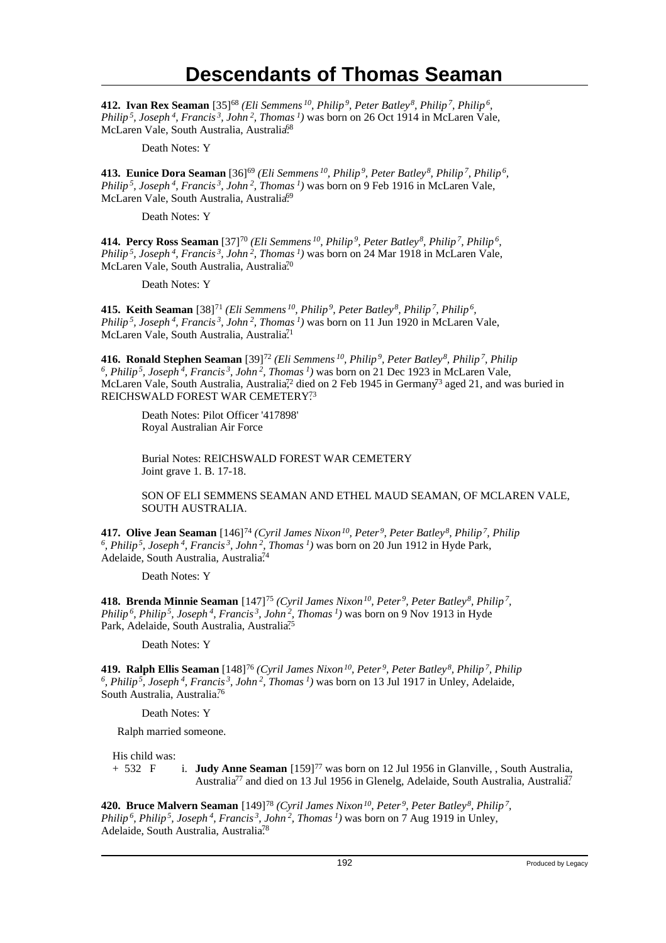**412. Ivan Rex Seaman** [35]<sup>68</sup> *(Eli Semmens<sup>10</sup>, Philip<sup>9</sup>, Peter Batley<sup>8</sup>, Philip<sup>7</sup>, Philip<sup>6</sup> , Philip<sup>5</sup>, Joseph<sup>4</sup>, Francis<sup>3</sup>, John<sup>2</sup>, Thomas<sup>1</sup>)* was born on 26 Oct 1914 in McLaren Vale, McLaren Vale, South Australia, Australia<sup>68</sup>

Death Notes: Y

**413. Eunice Dora Seaman** [36]<sup>69</sup> *(Eli Semmens<sup>10</sup>, Philip<sup>9</sup>, Peter Batley<sup>8</sup>, Philip<sup>7</sup>, Philip<sup>6</sup> , Philip<sup>5</sup>, Joseph<sup>4</sup>, Francis<sup>3</sup>, John<sup>2</sup>, Thomas<sup>1</sup>)* was born on 9 Feb 1916 in McLaren Vale, McLaren Vale, South Australia, Australia<sup>69</sup>

Death Notes: Y

**414. Percy Ross Seaman** [37]<sup>70</sup> *(Eli Semmens<sup>10</sup>, Philip<sup>9</sup>, Peter Batley<sup>8</sup>, Philip<sup>7</sup>, Philip<sup>6</sup> , Philip<sup>5</sup>, Joseph<sup>4</sup>, Francis<sup>3</sup>, John<sup>2</sup>, Thomas<sup>1</sup>)* was born on 24 Mar 1918 in McLaren Vale, McLaren Vale, South Australia, Australia<sup>70</sup>

Death Notes: Y

**415. Keith Seaman** [38]<sup>71</sup> *(Eli Semmens<sup>10</sup>, Philip<sup>9</sup>, Peter Batley<sup>8</sup>, Philip<sup>7</sup>, Philip<sup>6</sup> , Philip<sup>5</sup>, Joseph<sup>4</sup>, Francis<sup>3</sup>, John<sup>2</sup>, Thomas<sup>1</sup>)* was born on 11 Jun 1920 in McLaren Vale, McLaren Vale, South Australia, Australia<sup>71</sup>

**416. Ronald Stephen Seaman** [39]<sup>72</sup> (Eli Semmens<sup>10</sup>, Philip<sup>9</sup>, Peter Batley<sup>8</sup>, Philip<sup>7</sup>, Philip<sup>7</sup>, Philip<sup>5</sup>, Joseph<sup>4</sup>, Francis<sup>3</sup>, John<sup>2</sup>, Thomas<sup>1</sup>) was born on 21 Dec 1923 in McLaren Vale, McLaren Vale, South Australia, Australia<sup>72</sup> died on 2 Feb 1945 in Germany<sup>73</sup> aged 21, and was buried in REICHSWALD FOREST WAR CEMETERY?3

Death Notes: Pilot Officer '417898' Royal Australian Air Force

Burial Notes: REICHSWALD FOREST WAR CEMETERY Joint grave 1. B. 17-18.

SON OF ELI SEMMENS SEAMAN AND ETHEL MAUD SEAMAN, OF MCLAREN VALE, SOUTH AUSTRALIA.

**417. Olive Jean Seaman** [146]<sup>74</sup> *(Cyril James Nixon<sup>10</sup>, Peter<sup>9</sup>, Peter Batley<sup>8</sup>, Philip<sup>7</sup>, Philip 6 , Philip<sup>5</sup>, Joseph<sup>4</sup>, Francis<sup>3</sup>, John<sup>2</sup>, Thomas<sup>1</sup>)* was born on 20 Jun 1912 in Hyde Park, Adelaide, South Australia, Australia<sup>74</sup>

Death Notes: Y

**418. Brenda Minnie Seaman** [147]<sup>75</sup> *(Cyril James Nixon<sup>10</sup>, Peter<sup>9</sup>, Peter Batley<sup>8</sup>, Philip<sup>7</sup> , Philip<sup>6</sup>, Philip<sup>5</sup>, Joseph<sup>4</sup>, Francis<sup>3</sup>, John<sup>2</sup>, Thomas<sup>1</sup>)* was born on 9 Nov 1913 in Hyde Park, Adelaide, South Australia, Australia<sup>75</sup>

Death Notes: Y

**419. Ralph Ellis Seaman** [148]<sup>76</sup> *(Cyril James Nixon<sup>10</sup>, Peter<sup>9</sup>, Peter Batley<sup>8</sup>, Philip<sup>7</sup>, Philip 6 , Philip<sup>5</sup>, Joseph<sup>4</sup>, Francis<sup>3</sup>, John<sup>2</sup>, Thomas<sup>1</sup>)* was born on 13 Jul 1917 in Unley, Adelaide, South Australia, Australia<sup>76</sup>

Death Notes: Y

Ralph married someone.

His child was:

+ 532 F i. **Judy Anne Seaman** [159]<sup>77</sup> was born on 12 Jul 1956 in Glanville, , South Australia, Australia<sup>77</sup> and died on 13 Jul 1956 in Glenelg, Adelaide, South Australia, Australia<sup>7</sup>

**420. Bruce Malvern Seaman** [149]<sup>78</sup> *(Cyril James Nixon<sup>10</sup>, Peter<sup>9</sup>, Peter Batley<sup>8</sup>, Philip<sup>7</sup> , Philip<sup>6</sup>, Philip<sup>5</sup>, Joseph<sup>4</sup>, Francis<sup>3</sup>, John<sup>2</sup>, Thomas<sup>1</sup>)* was born on 7 Aug 1919 in Unley, Adelaide, South Australia, Australia<sup>78</sup>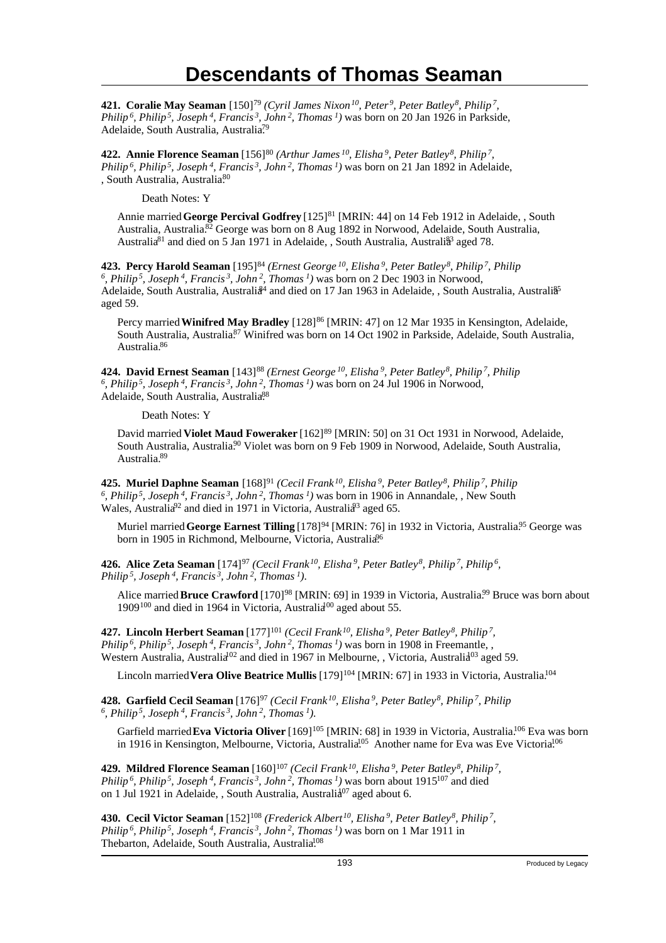**421. Coralie May Seaman** [150]<sup>79</sup> *(Cyril James Nixon<sup>10</sup>, Peter<sup>9</sup>, Peter Batley<sup>8</sup>, Philip<sup>7</sup> , Philip<sup>6</sup>, Philip<sup>5</sup>, Joseph<sup>4</sup>, Francis<sup>3</sup>, John<sup>2</sup>, Thomas<sup>1</sup>)* was born on 20 Jan 1926 in Parkside, Adelaide, South Australia, Australia<sup>79</sup>

**422. Annie Florence Seaman** [156]<sup>80</sup> (Arthur James<sup>10</sup>, Elisha<sup>9</sup>, Peter Batley<sup>8</sup>, Philip<sup>7</sup>, *Philip<sup>6</sup>, Philip<sup>5</sup>, Joseph<sup>4</sup>, Francis<sup>3</sup>, John<sup>2</sup>, Thomas<sup>1</sup>)* was born on 21 Jan 1892 in Adelaide, , South Australia, Australia<sup>80</sup>

Death Notes: Y

Annie married **George Percival Godfrey** [125]<sup>81</sup> [MRIN: 44] on 14 Feb 1912 in Adelaide, , South Australia, Australia.<sup>82</sup> George was born on 8 Aug 1892 in Norwood, Adelaide, South Australia, Australia<sup>81</sup> and died on 5 Jan 1971 in Adelaide, , South Australia, Australi<sup>33</sup> aged 78.

**423. Percy Harold Seaman** [195]<sup>84</sup> *(Ernest George<sup>10</sup>, Elisha<sup>9</sup>, Peter Batley<sup>8</sup>, Philip<sup>7</sup>, Philip 6 , Philip<sup>5</sup>, Joseph<sup>4</sup>, Francis<sup>3</sup>, John<sup>2</sup>, Thomas<sup>1</sup>)* was born on 2 Dec 1903 in Norwood, Adelaide, South Australia, Australia<sup>84</sup> and died on 17 Jan 1963 in Adelaide, , South Australia, Australia<sup>§5</sup> aged 59.

Percy married **Winifred May Bradley** [128]<sup>86</sup> [MRIN: 47] on 12 Mar 1935 in Kensington, Adelaide, South Australia, Australia<sup>87</sup> Winifred was born on 14 Oct 1902 in Parkside, Adelaide, South Australia, Australia.<sup>86</sup>

**424. David Ernest Seaman** [143]<sup>88</sup> *(Ernest George<sup>10</sup>, Elisha<sup>9</sup>, Peter Batley<sup>8</sup>, Philip<sup>7</sup>, Philip 6 , Philip<sup>5</sup>, Joseph<sup>4</sup>, Francis<sup>3</sup>, John<sup>2</sup>, Thomas<sup>1</sup>)* was born on 24 Jul 1906 in Norwood, Adelaide, South Australia, Australia<sup>88</sup>

Death Notes: Y

David married Violet Maud Foweraker [162]<sup>89</sup> [MRIN: 50] on 31 Oct 1931 in Norwood, Adelaide, South Australia, Australia.<sup>90</sup> Violet was born on 9 Feb 1909 in Norwood, Adelaide, South Australia, Australia.<sup>89</sup>

**425. Muriel Daphne Seaman** [168]<sup>91</sup> *(Cecil Frank<sup>10</sup>, Elisha<sup>9</sup>, Peter Batley<sup>8</sup>, Philip<sup>7</sup>, Philip 6 , Philip<sup>5</sup>, Joseph<sup>4</sup>, Francis<sup>3</sup>, John<sup>2</sup>, Thomas<sup>1</sup>)* was born in 1906 in Annandale, , New South Wales, Australia<sup>92</sup> and died in 1971 in Victoria, Australia<sup>93</sup> aged 65.

Muriel married George Earnest Tilling [178]<sup>94</sup> [MRIN: 76] in 1932 in Victoria, Australia<sup>95</sup> George was born in 1905 in Richmond, Melbourne, Victoria, Australia<sup>96</sup>

**426. Alice Zeta Seaman** [174]<sup>97</sup> (Cecil Frank<sup>10</sup>, Elisha<sup>9</sup>, Peter Batley<sup>8</sup>, Philip<sup>7</sup>, Philip<sup>6</sup>, *Philip<sup>5</sup>, Joseph<sup>4</sup>, Francis<sup>3</sup>, John<sup>2</sup>, Thomas<sup>1</sup>)*.

Alice married **Bruce Crawford** [170]<sup>98</sup> [MRIN: 69] in 1939 in Victoria, Australia<sup>99</sup> Bruce was born about 1909<sup>100</sup> and died in 1964 in Victoria, Australia<sup>00</sup> aged about 55.

**427. Lincoln Herbert Seaman** [177]<sup>101</sup> (Cecil Frank<sup>10</sup>, Elisha<sup>9</sup>, Peter Batley<sup>8</sup>, Philip<sup>7</sup>, *Philip<sup>6</sup>, Philip<sup>5</sup>, Joseph<sup>4</sup>, Francis<sup>3</sup>, John<sup>2</sup>, Thomas<sup>1</sup>)* was born in 1908 in Freemantle, , Western Australia, Australia<sup>02</sup> and died in 1967 in Melbourne, , Victoria, Australia<sup>03</sup> aged 59.

Lincoln married **Vera Olive Beatrice Mullis** [179]<sup>104</sup> [MRIN: 67] in 1933 in Victoria, Australia.<sup>104</sup>

**428. Garfield Cecil Seaman** [176]<sup>97</sup> *(Cecil Frank<sup>10</sup>, Elisha<sup>9</sup>, Peter Batley<sup>8</sup>, Philip<sup>7</sup>, Philip 6 , Philip<sup>5</sup>, Joseph<sup>4</sup>, Francis<sup>3</sup>, John<sup>2</sup>, Thomas<sup>1</sup>)*.

Garfield married Eva Victoria Oliver [169]<sup>105</sup> [MRIN: 68] in 1939 in Victoria, Australia.<sup>106</sup> Eva was born in 1916 in Kensington, Melbourne, Victoria, Australia<sup>105</sup> Another name for Eva was Eve Victoria<sup>106</sup>

**429. Mildred Florence Seaman** [160]<sup>107</sup> (Cecil Frank<sup>10</sup>, Elisha<sup>9</sup>, Peter Batley<sup>8</sup>, Philip<sup>7</sup>, *Philip<sup>6</sup>, Philip<sup>5</sup>, Joseph<sup>4</sup>, Francis<sup>3</sup>, John<sup>2</sup>, Thomas<sup>1</sup>)* was born about 1915<sup>107</sup> and died on 1 Jul 1921 in Adelaide, , South Australia, Australia<sup>07</sup> aged about 6.

**430. Cecil Victor Seaman** [152]<sup>108</sup> *(Frederick Albert<sup>10</sup>, Elisha<sup>9</sup>, Peter Batley<sup>8</sup>, Philip<sup>7</sup> , Philip<sup>6</sup>, Philip<sup>5</sup>, Joseph<sup>4</sup>, Francis<sup>3</sup>, John<sup>2</sup>, Thomas<sup>1</sup>)* was born on 1 Mar 1911 in Thebarton, Adelaide, South Australia, Australia<sup>108</sup>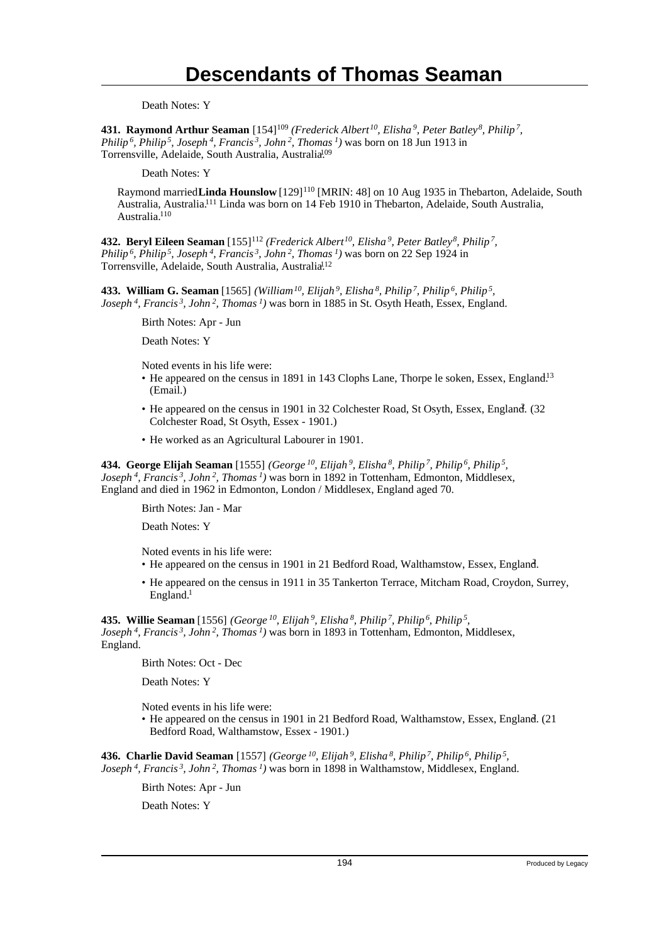Death Notes: Y

**431. Raymond Arthur Seaman** [154]<sup>109</sup> *(Frederick Albert<sup>10</sup>, Elisha<sup>9</sup>, Peter Batley<sup>8</sup>, Philip<sup>7</sup> , Philip<sup>6</sup>, Philip<sup>5</sup>, Joseph<sup>4</sup>, Francis<sup>3</sup>, John<sup>2</sup>, Thomas<sup>1</sup>)* was born on 18 Jun 1913 in Torrensville, Adelaide, South Australia, Australia<sup>109</sup>

Death Notes: Y

Raymond married Linda Hounslow [129]<sup>110</sup> [MRIN: 48] on 10 Aug 1935 in Thebarton, Adelaide, South Australia, Australia.<sup>111</sup> Linda was born on 14 Feb 1910 in Thebarton, Adelaide, South Australia, Australia.<sup>110</sup>

**432. Beryl Eileen Seaman** [155]<sup>112</sup> *(Frederick Albert<sup>10</sup>, Elisha<sup>9</sup>, Peter Batley<sup>8</sup>, Philip<sup>7</sup> , Philip<sup>6</sup>, Philip<sup>5</sup>, Joseph<sup>4</sup>, Francis<sup>3</sup>, John<sup>2</sup>, Thomas<sup>1</sup>)* was born on 22 Sep 1924 in Torrensville, Adelaide, South Australia, Australia<sup>112</sup>

**433. William G. Seaman** [1565] *(William<sup>10</sup>, Elijah<sup>9</sup>, Elisha<sup>8</sup>, Philip<sup>7</sup>, Philip<sup>6</sup>, Philip<sup>5</sup> , Joseph<sup>4</sup>, Francis<sup>3</sup>, John<sup>2</sup>, Thomas<sup>1</sup>)* was born in 1885 in St. Osyth Heath, Essex, England.

Birth Notes: Apr - Jun

Death Notes: Y

Noted events in his life were:

- He appeared on the census in 1891 in 143 Clophs Lane, Thorpe le soken, Essex, England.<sup>13</sup> (Email.)
- He appeared on the census in 1901 in 32 Colchester Road, St Osyth, Essex, England. (32 Colchester Road, St Osyth, Essex - 1901.)
- He worked as an Agricultural Labourer in 1901.

**434. George Elijah Seaman** [1555] *(George<sup>10</sup>, Elijah<sup>9</sup>, Elisha<sup>8</sup>, Philip<sup>7</sup>, Philip<sup>6</sup>, Philip<sup>5</sup> , Joseph<sup>4</sup>, Francis<sup>3</sup>, John<sup>2</sup>, Thomas<sup>1</sup>)* was born in 1892 in Tottenham, Edmonton, Middlesex, England and died in 1962 in Edmonton, London / Middlesex, England aged 70.

Birth Notes: Jan - Mar

Death Notes: Y

Noted events in his life were:

- He appeared on the census in 1901 in 21 Bedford Road, Walthamstow, Essex, England. <sup>2</sup>
- He appeared on the census in 1911 in 35 Tankerton Terrace, Mitcham Road, Croydon, Surrey, England.<sup>1</sup>

**435. Willie Seaman** [1556] *(George<sup>10</sup>, Elijah<sup>9</sup>, Elisha<sup>8</sup>, Philip<sup>7</sup>, Philip<sup>6</sup>, Philip<sup>5</sup> , Joseph<sup>4</sup>, Francis<sup>3</sup>, John<sup>2</sup>, Thomas<sup>1</sup>)* was born in 1893 in Tottenham, Edmonton, Middlesex, England.

Birth Notes: Oct - Dec

Death Notes: Y

Noted events in his life were:

• He appeared on the census in 1901 in 21 Bedford Road, Walthamstow, Essex, England. (21 Bedford Road, Walthamstow, Essex - 1901.)

**436. Charlie David Seaman** [1557] *(George<sup>10</sup>, Elijah<sup>9</sup>, Elisha<sup>8</sup>, Philip<sup>7</sup>, Philip<sup>6</sup>, Philip<sup>5</sup> , Joseph<sup>4</sup>, Francis<sup>3</sup>, John<sup>2</sup>, Thomas<sup>1</sup>)* was born in 1898 in Walthamstow, Middlesex, England.

Birth Notes: Apr - Jun

Death Notes: Y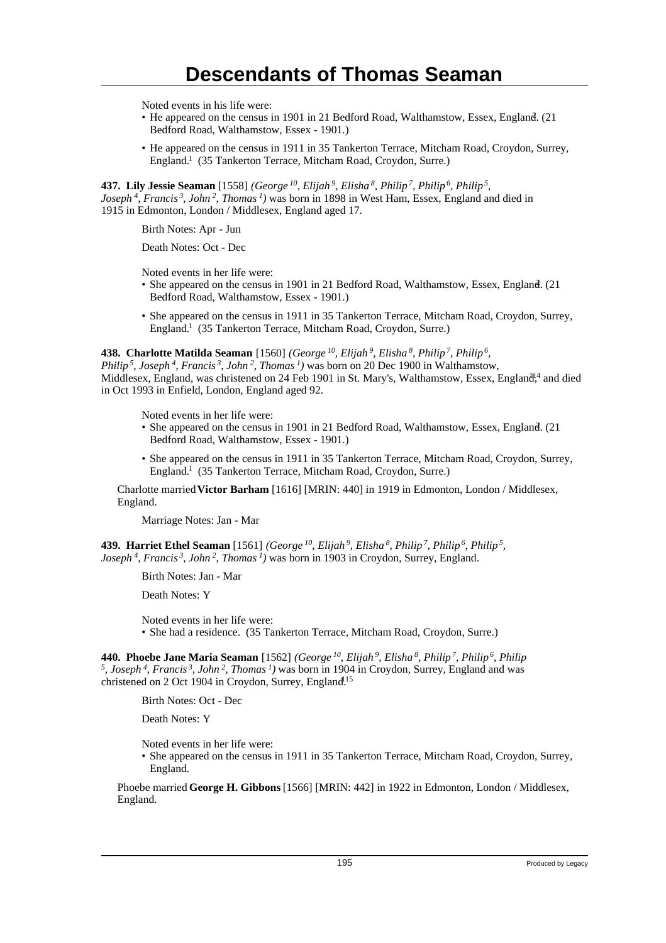Noted events in his life were:

- He appeared on the census in 1901 in 21 Bedford Road, Walthamstow, Essex, England. (21 Bedford Road, Walthamstow, Essex - 1901.)
- He appeared on the census in 1911 in 35 Tankerton Terrace, Mitcham Road, Croydon, Surrey, England.<sup>1</sup> (35 Tankerton Terrace, Mitcham Road, Croydon, Surre.)

**437. Lily Jessie Seaman** [1558] *(George<sup>10</sup>, Elijah<sup>9</sup>, Elisha<sup>8</sup>, Philip<sup>7</sup>, Philip<sup>6</sup>, Philip<sup>5</sup> , Joseph<sup>4</sup>, Francis<sup>3</sup>, John<sup>2</sup>, Thomas<sup>1</sup>)* was born in 1898 in West Ham, Essex, England and died in 1915 in Edmonton, London / Middlesex, England aged 17.

Birth Notes: Apr - Jun

Death Notes: Oct - Dec

Noted events in her life were:

- She appeared on the census in 1901 in 21 Bedford Road, Walthamstow, Essex, England. (21 Bedford Road, Walthamstow, Essex - 1901.)
- She appeared on the census in 1911 in 35 Tankerton Terrace, Mitcham Road, Croydon, Surrey, England.<sup>1</sup> (35 Tankerton Terrace, Mitcham Road, Croydon, Surre.)

#### **438. Charlotte Matilda Seaman** [1560] *(George<sup>10</sup>, Elijah<sup>9</sup>, Elisha<sup>8</sup>, Philip<sup>7</sup>, Philip<sup>6</sup> ,*

*Philip<sup>5</sup>, Joseph<sup>4</sup>, Francis<sup>3</sup>, John<sup>2</sup>, Thomas<sup>1</sup>)* was born on 20 Dec 1900 in Walthamstow, Middlesex, England, was christened on 24 Feb 1901 in St. Mary's, Walthamstow, Essex, England<sup>14</sup> and died in Oct 1993 in Enfield, London, England aged 92.

Noted events in her life were:

- She appeared on the census in 1901 in 21 Bedford Road, Walthamstow, Essex, England. (21 Bedford Road, Walthamstow, Essex - 1901.)
- She appeared on the census in 1911 in 35 Tankerton Terrace, Mitcham Road, Croydon, Surrey, England.<sup>1</sup> (35 Tankerton Terrace, Mitcham Road, Croydon, Surre.)

Charlotte married **Victor Barham** [1616] [MRIN: 440] in 1919 in Edmonton, London / Middlesex, England.

Marriage Notes: Jan - Mar

**439. Harriet Ethel Seaman** [1561] *(George<sup>10</sup>, Elijah<sup>9</sup>, Elisha<sup>8</sup>, Philip<sup>7</sup>, Philip<sup>6</sup>, Philip<sup>5</sup> , Joseph<sup>4</sup>, Francis<sup>3</sup>, John<sup>2</sup>, Thomas<sup>1</sup>)* was born in 1903 in Croydon, Surrey, England.

Birth Notes: Jan - Mar

Death Notes: Y

Noted events in her life were:

• She had a residence. (35 Tankerton Terrace, Mitcham Road, Croydon, Surre.)

**440. Phoebe Jane Maria Seaman** [1562] *(George<sup>10</sup>, Elijah<sup>9</sup>, Elisha<sup>8</sup>, Philip<sup>7</sup>, Philip<sup>6</sup>, Philip 5 , Joseph<sup>4</sup>, Francis<sup>3</sup>, John<sup>2</sup>, Thomas<sup>1</sup>)* was born in 1904 in Croydon, Surrey, England and was christened on 2 Oct 1904 in Croydon, Surrey, England<sup>15</sup>

Birth Notes: Oct - Dec

Death Notes: Y

Noted events in her life were:

• She appeared on the census in 1911 in 35 Tankerton Terrace, Mitcham Road, Croydon, Surrey, England.

Phoebe married **George H. Gibbons** [1566] [MRIN: 442] in 1922 in Edmonton, London / Middlesex, England.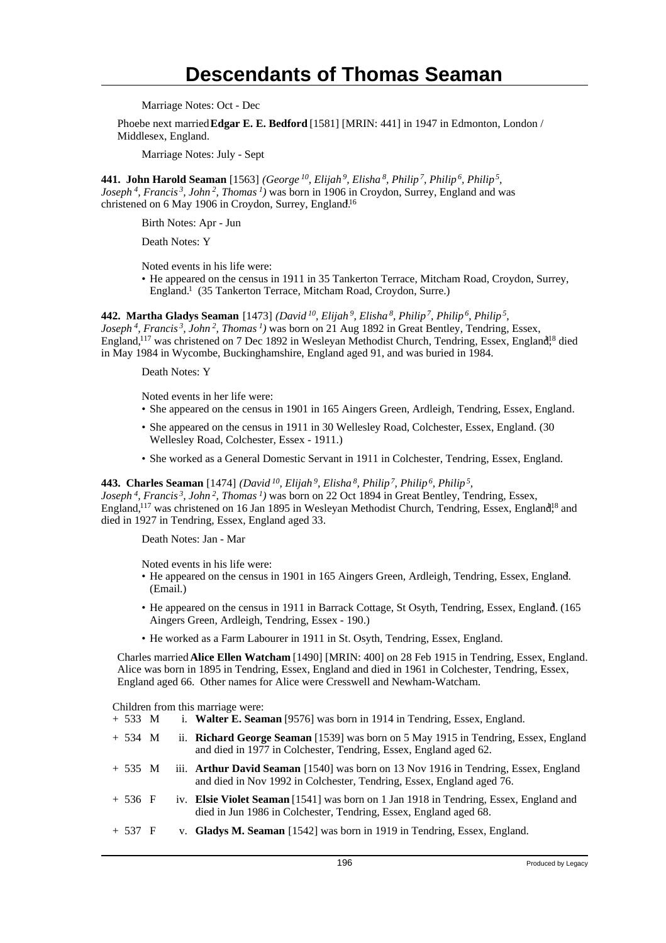Marriage Notes: Oct - Dec

Phoebe next married **Edgar E. E. Bedford** [1581] [MRIN: 441] in 1947 in Edmonton, London / Middlesex, England.

Marriage Notes: July - Sept

**441. John Harold Seaman** [1563] *(George<sup>10</sup>, Elijah<sup>9</sup>, Elisha<sup>8</sup>, Philip<sup>7</sup>, Philip<sup>6</sup>, Philip<sup>5</sup> , Joseph<sup>4</sup>, Francis<sup>3</sup>, John<sup>2</sup>, Thomas<sup>1</sup>)* was born in 1906 in Croydon, Surrey, England and was christened on 6 May 1906 in Croydon, Surrey, England.<sup>16</sup>

Birth Notes: Apr - Jun

Death Notes: Y

Noted events in his life were:

• He appeared on the census in 1911 in 35 Tankerton Terrace, Mitcham Road, Croydon, Surrey, England.<sup>1</sup> (35 Tankerton Terrace, Mitcham Road, Croydon, Surre.)

**442. Martha Gladys Seaman** [1473] *(David<sup>10</sup>, Elijah<sup>9</sup>, Elisha<sup>8</sup>, Philip<sup>7</sup>, Philip<sup>6</sup>, Philip<sup>5</sup> ,*

*Joseph<sup>4</sup>, Francis<sup>3</sup>, John<sup>2</sup>, Thomas<sup>1</sup>)* was born on 21 Aug 1892 in Great Bentley, Tendring, Essex, England,<sup>117</sup> was christened on 7 Dec 1892 in Wesleyan Methodist Church, Tendring, Essex, England<sup>18</sup> died in May 1984 in Wycombe, Buckinghamshire, England aged 91, and was buried in 1984.

Death Notes: Y

Noted events in her life were:

- She appeared on the census in 1901 in 165 Aingers Green, Ardleigh, Tendring, Essex, England.
- She appeared on the census in 1911 in 30 Wellesley Road, Colchester, Essex, England. (30 Wellesley Road, Colchester, Essex - 1911.)
- She worked as a General Domestic Servant in 1911 in Colchester, Tendring, Essex, England.

#### **443. Charles Seaman** [1474] *(David<sup>10</sup>, Elijah<sup>9</sup>, Elisha<sup>8</sup>, Philip<sup>7</sup>, Philip<sup>6</sup>, Philip<sup>5</sup> ,*

*Joseph<sup>4</sup>, Francis<sup>3</sup>, John<sup>2</sup>, Thomas<sup>1</sup>)* was born on 22 Oct 1894 in Great Bentley, Tendring, Essex, England,<sup>117</sup> was christened on 16 Jan 1895 in Wesleyan Methodist Church, Tendring, Essex, England<sup>18</sup> and died in 1927 in Tendring, Essex, England aged 33.

Death Notes: Jan - Mar

Noted events in his life were:

- He appeared on the census in 1901 in 165 Aingers Green, Ardleigh, Tendring, Essex, England.<sup>2</sup> (Email.)
- He appeared on the census in 1911 in Barrack Cottage, St Osyth, Tendring, Essex, England. (165) Aingers Green, Ardleigh, Tendring, Essex - 190.)
- He worked as a Farm Labourer in 1911 in St. Osyth, Tendring, Essex, England.

Charles married **Alice Ellen Watcham** [1490] [MRIN: 400] on 28 Feb 1915 in Tendring, Essex, England. Alice was born in 1895 in Tendring, Essex, England and died in 1961 in Colchester, Tendring, Essex, England aged 66. Other names for Alice were Cresswell and Newham-Watcham.

Children from this marriage were:

- + 533 M i. **Walter E. Seaman** [9576] was born in 1914 in Tendring, Essex, England.
- + 534 M ii. **Richard George Seaman** [1539] was born on 5 May 1915 in Tendring, Essex, England and died in 1977 in Colchester, Tendring, Essex, England aged 62.
- + 535 M iii. **Arthur David Seaman** [1540] was born on 13 Nov 1916 in Tendring, Essex, England and died in Nov 1992 in Colchester, Tendring, Essex, England aged 76.
- + 536 F iv. **Elsie Violet Seaman** [1541] was born on 1 Jan 1918 in Tendring, Essex, England and died in Jun 1986 in Colchester, Tendring, Essex, England aged 68.
- + 537 F v. **Gladys M. Seaman** [1542] was born in 1919 in Tendring, Essex, England.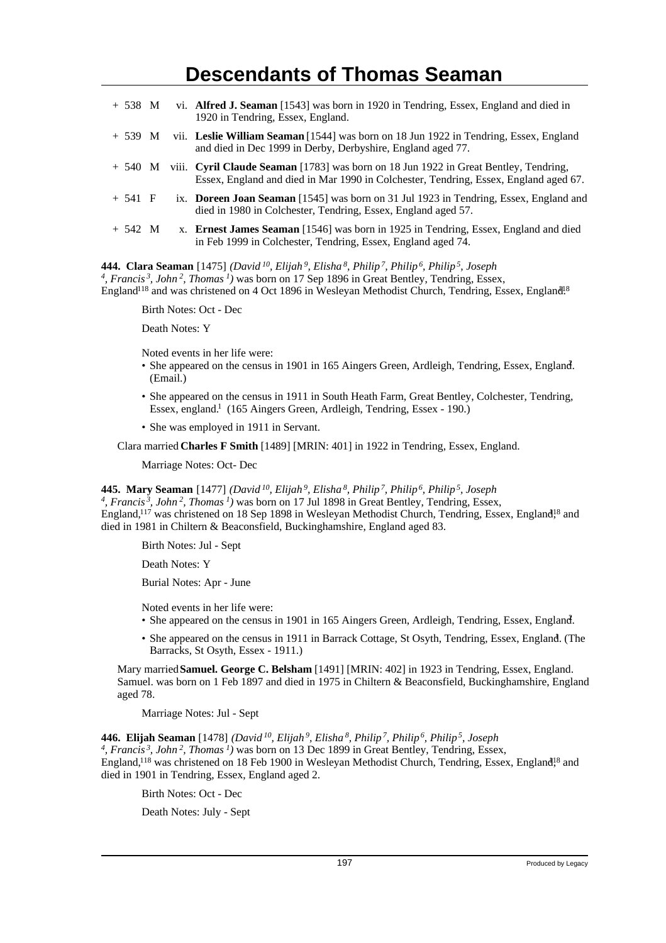|           |  | $+$ 538 M vi. Alfred J. Seaman [1543] was born in 1920 in Tendring, Essex, England and died in<br>1920 in Tendring, Essex, England.                                                    |
|-----------|--|----------------------------------------------------------------------------------------------------------------------------------------------------------------------------------------|
|           |  | + 539 M vii. Leslie William Seaman [1544] was born on 18 Jun 1922 in Tendring, Essex, England<br>and died in Dec 1999 in Derby, Derbyshire, England aged 77.                           |
|           |  | $+$ 540 M viii. Cyril Claude Seaman [1783] was born on 18 Jun 1922 in Great Bentley, Tendring,<br>Essex, England and died in Mar 1990 in Colchester, Tendring, Essex, England aged 67. |
| $+ 541 F$ |  | ix. Doreen Joan Seaman [1545] was born on 31 Jul 1923 in Tendring, Essex, England and<br>died in 1980 in Colchester, Tendring, Essex, England aged 57.                                 |
| $+ 542 M$ |  | x. Ernest James Seaman [1546] was born in 1925 in Tendring, Essex, England and died<br>in Feb 1999 in Colchester, Tendring, Essex, England aged 74.                                    |

**444. Clara Seaman** [1475] *(David<sup>10</sup>, Elijah<sup>9</sup>, Elisha<sup>8</sup>, Philip<sup>7</sup>, Philip<sup>6</sup>, Philip<sup>5</sup>, Joseph 4 , Francis<sup>3</sup>, John<sup>2</sup>, Thomas<sup>1</sup>)* was born on 17 Sep 1896 in Great Bentley, Tendring, Essex, England<sup>118</sup> and was christened on 4 Oct 1896 in Wesleyan Methodist Church, Tendring, Essex, England<sup>18</sup>

Birth Notes: Oct - Dec

Death Notes: Y

Noted events in her life were:

- She appeared on the census in 1901 in 165 Aingers Green, Ardleigh, Tendring, Essex, England. (Email.)
- She appeared on the census in 1911 in South Heath Farm, Great Bentley, Colchester, Tendring, Essex, england.<sup>1</sup> (165 Aingers Green, Ardleigh, Tendring, Essex - 190.)
- She was employed in 1911 in Servant.

Clara married **Charles F Smith** [1489] [MRIN: 401] in 1922 in Tendring, Essex, England.

Marriage Notes: Oct- Dec

**445. Mary Seaman** [1477] *(David<sup>10</sup>, Elijah<sup>9</sup>, Elisha<sup>8</sup>, Philip<sup>7</sup>, Philip<sup>6</sup>, Philip<sup>5</sup>, Joseph*

*4 , Francis<sup>3</sup>, John<sup>2</sup>, Thomas<sup>1</sup>)* was born on 17 Jul 1898 in Great Bentley, Tendring, Essex, England,<sup>117</sup> was christened on 18 Sep 1898 in Wesleyan Methodist Church, Tendring, Essex, England<sup>18</sup> and died in 1981 in Chiltern & Beaconsfield, Buckinghamshire, England aged 83.

Birth Notes: Jul - Sept

Death Notes: Y

Burial Notes: Apr - June

Noted events in her life were:

- She appeared on the census in 1901 in 165 Aingers Green, Ardleigh, Tendring, Essex, England.
- She appeared on the census in 1911 in Barrack Cottage, St Osyth, Tendring, Essex, England. (The Barracks, St Osyth, Essex - 1911.)

Mary married **Samuel. George C. Belsham** [1491] [MRIN: 402] in 1923 in Tendring, Essex, England. Samuel. was born on 1 Feb 1897 and died in 1975 in Chiltern & Beaconsfield, Buckinghamshire, England aged 78.

Marriage Notes: Jul - Sept

**446. Elijah Seaman** [1478] *(David<sup>10</sup>, Elijah<sup>9</sup>, Elisha<sup>8</sup>, Philip<sup>7</sup>, Philip<sup>6</sup>, Philip<sup>5</sup>, Joseph 4 , Francis<sup>3</sup>, John<sup>2</sup>, Thomas<sup>1</sup>)* was born on 13 Dec 1899 in Great Bentley, Tendring, Essex, England,<sup>118</sup> was christened on 18 Feb 1900 in Wesleyan Methodist Church, Tendring, Essex, England<sup>18</sup> and died in 1901 in Tendring, Essex, England aged 2.

Birth Notes: Oct - Dec

Death Notes: July - Sept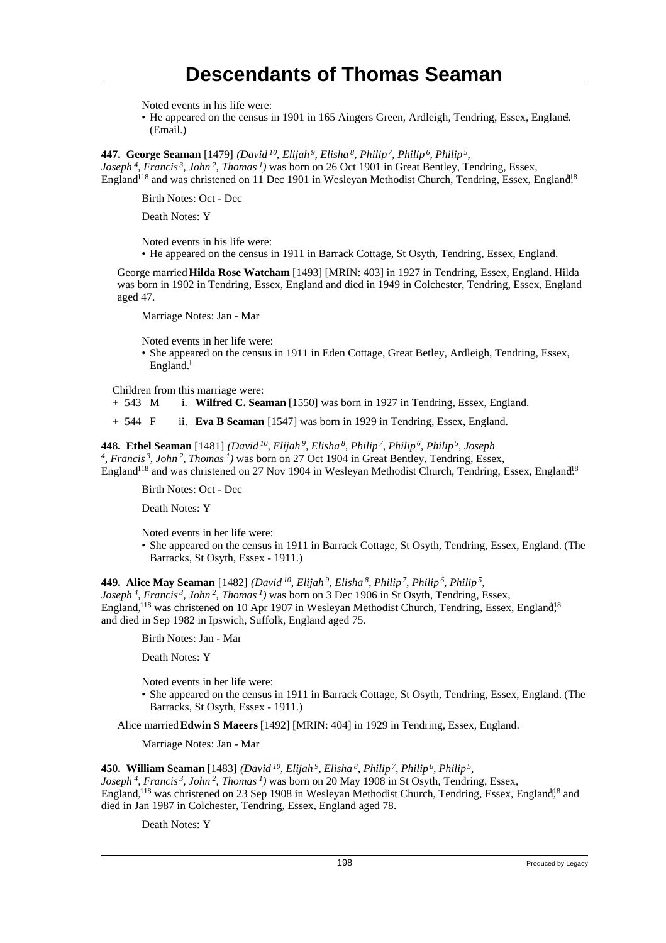Noted events in his life were:

• He appeared on the census in 1901 in 165 Aingers Green, Ardleigh, Tendring, Essex, England. (Email.)

**447. George Seaman** [1479] *(David<sup>10</sup>, Elijah<sup>9</sup>, Elisha<sup>8</sup>, Philip<sup>7</sup>, Philip<sup>6</sup>, Philip<sup>5</sup> , Joseph<sup>4</sup>, Francis<sup>3</sup>, John<sup>2</sup>, Thomas<sup>1</sup>)* was born on 26 Oct 1901 in Great Bentley, Tendring, Essex, England<sup>118</sup> and was christened on 11 Dec 1901 in Wesleyan Methodist Church, Tendring, Essex, England<sup>18</sup>

Birth Notes: Oct - Dec

Death Notes: Y

Noted events in his life were:

• He appeared on the census in 1911 in Barrack Cottage, St Osyth, Tendring, Essex, England. <sup>1</sup>

George married **Hilda Rose Watcham** [1493] [MRIN: 403] in 1927 in Tendring, Essex, England. Hilda was born in 1902 in Tendring, Essex, England and died in 1949 in Colchester, Tendring, Essex, England aged 47.

Marriage Notes: Jan - Mar

Noted events in her life were:

• She appeared on the census in 1911 in Eden Cottage, Great Betley, Ardleigh, Tendring, Essex, England.<sup>1</sup>

Children from this marriage were:<br>+ 543 M i. Wilfred C. Sea

i. **Wilfred C. Seaman** [1550] was born in 1927 in Tendring, Essex, England.

+ 544 F ii. **Eva B Seaman** [1547] was born in 1929 in Tendring, Essex, England.

**448. Ethel Seaman** [1481] *(David<sup>10</sup>, Elijah<sup>9</sup>, Elisha<sup>8</sup>, Philip<sup>7</sup>, Philip<sup>6</sup>, Philip<sup>5</sup>, Joseph 4 , Francis<sup>3</sup>, John<sup>2</sup>, Thomas<sup>1</sup>)* was born on 27 Oct 1904 in Great Bentley, Tendring, Essex, England<sup>118</sup> and was christened on 27 Nov 1904 in Wesleyan Methodist Church, Tendring, Essex, England<sup>18</sup>

Birth Notes: Oct - Dec

Death Notes: Y

Noted events in her life were:

• She appeared on the census in 1911 in Barrack Cottage, St Osyth, Tendring, Essex, England. (The Barracks, St Osyth, Essex - 1911.)

**449. Alice May Seaman** [1482] *(David<sup>10</sup>, Elijah<sup>9</sup>, Elisha<sup>8</sup>, Philip<sup>7</sup>, Philip<sup>6</sup>, Philip<sup>5</sup> , Joseph<sup>4</sup>, Francis<sup>3</sup>, John<sup>2</sup>, Thomas<sup>1</sup>)* was born on 3 Dec 1906 in St Osyth, Tendring, Essex, England,<sup>118</sup> was christened on 10 Apr 1907 in Wesleyan Methodist Church, Tendring, Essex, England<sup>18</sup> and died in Sep 1982 in Ipswich, Suffolk, England aged 75.

Birth Notes: Jan - Mar

Death Notes: Y

Noted events in her life were:

• She appeared on the census in 1911 in Barrack Cottage, St Osyth, Tendring, Essex, England. (The Barracks, St Osyth, Essex - 1911.)

Alice married **Edwin S Maeers** [1492] [MRIN: 404] in 1929 in Tendring, Essex, England.

Marriage Notes: Jan - Mar

**450. William Seaman** [1483] *(David<sup>10</sup>, Elijah<sup>9</sup>, Elisha<sup>8</sup>, Philip<sup>7</sup>, Philip<sup>6</sup>, Philip<sup>5</sup> ,*

*Joseph<sup>4</sup>, Francis<sup>3</sup>, John<sup>2</sup>, Thomas<sup>1</sup>)* was born on 20 May 1908 in St Osyth, Tendring, Essex, England,<sup>118</sup> was christened on 23 Sep 1908 in Wesleyan Methodist Church, Tendring, Essex, England<sup>18</sup> and died in Jan 1987 in Colchester, Tendring, Essex, England aged 78.

Death Notes: Y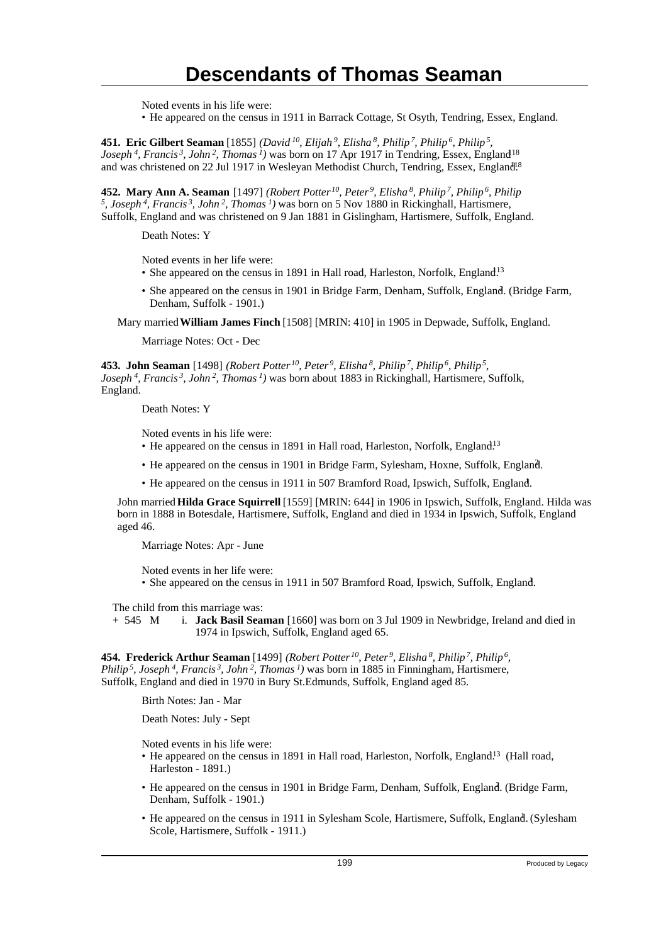Noted events in his life were:

• He appeared on the census in 1911 in Barrack Cottage, St Osyth, Tendring, Essex, England.

**451. Eric Gilbert Seaman** [1855] *(David<sup>10</sup>, Elijah<sup>9</sup>, Elisha<sup>8</sup>, Philip<sup>7</sup>, Philip<sup>6</sup>, Philip<sup>5</sup> , Joseph<sup>4</sup>*, *Francis<sup>3</sup>*, *John<sup>2</sup>*, *Thomas<sup>1</sup>*) was born on 17 Apr 1917 in Tendring, Essex, England<sup>18</sup> and was christened on 22 Jul 1917 in Wesleyan Methodist Church, Tendring, Essex, England<sup>18</sup>

**452. Mary Ann A. Seaman** [1497] *(Robert Potter<sup>10</sup>, Peter<sup>9</sup>, Elisha<sup>8</sup>, Philip<sup>7</sup>, Philip<sup>6</sup>, Philip 5 , Joseph<sup>4</sup>, Francis<sup>3</sup>, John<sup>2</sup>, Thomas<sup>1</sup>)* was born on 5 Nov 1880 in Rickinghall, Hartismere, Suffolk, England and was christened on 9 Jan 1881 in Gislingham, Hartismere, Suffolk, England.

Death Notes: Y

Noted events in her life were:

- She appeared on the census in 1891 in Hall road, Harleston, Norfolk, England.<sup>13</sup>
- She appeared on the census in 1901 in Bridge Farm, Denham, Suffolk, England. (Bridge Farm, Denham, Suffolk - 1901.)

Mary married **William James Finch** [1508] [MRIN: 410] in 1905 in Depwade, Suffolk, England.

Marriage Notes: Oct - Dec

**453. John Seaman** [1498] *(Robert Potter<sup>10</sup>, Peter<sup>9</sup>, Elisha<sup>8</sup>, Philip<sup>7</sup>, Philip<sup>6</sup>, Philip<sup>5</sup> , Joseph<sup>4</sup>, Francis<sup>3</sup>, John<sup>2</sup>, Thomas<sup>1</sup>)* was born about 1883 in Rickinghall, Hartismere, Suffolk, England.

Death Notes: Y

Noted events in his life were:

- He appeared on the census in 1891 in Hall road, Harleston, Norfolk, England.<sup>13</sup>
- He appeared on the census in 1901 in Bridge Farm, Sylesham, Hoxne, Suffolk, England. <sup>2</sup>
- He appeared on the census in 1911 in 507 Bramford Road, Ipswich, Suffolk, England. <sup>1</sup>

John married **Hilda Grace Squirrell** [1559] [MRIN: 644] in 1906 in Ipswich, Suffolk, England. Hilda was born in 1888 in Botesdale, Hartismere, Suffolk, England and died in 1934 in Ipswich, Suffolk, England aged 46.

Marriage Notes: Apr - June

Noted events in her life were:

• She appeared on the census in 1911 in 507 Bramford Road, Ipswich, Suffolk, England. <sup>1</sup>

The child from this marriage was:

+ 545 M i. **Jack Basil Seaman** [1660] was born on 3 Jul 1909 in Newbridge, Ireland and died in 1974 in Ipswich, Suffolk, England aged 65.

**454. Frederick Arthur Seaman** [1499] *(Robert Potter<sup>10</sup>, Peter<sup>9</sup>, Elisha<sup>8</sup>, Philip<sup>7</sup>, Philip<sup>6</sup> , Philip<sup>5</sup>, Joseph<sup>4</sup>, Francis<sup>3</sup>, John<sup>2</sup>, Thomas<sup>1</sup>)* was born in 1885 in Finningham, Hartismere, Suffolk, England and died in 1970 in Bury St.Edmunds, Suffolk, England aged 85.

Birth Notes: Jan - Mar

Death Notes: July - Sept

Noted events in his life were:

- He appeared on the census in 1891 in Hall road, Harleston, Norfolk, England.<sup>13</sup> (Hall road, Harleston - 1891.)
- He appeared on the census in 1901 in Bridge Farm, Denham, Suffolk, England. (Bridge Farm, Denham, Suffolk - 1901.)
- He appeared on the census in 1911 in Sylesham Scole, Hartismere, Suffolk, England. (Sylesham Scole, Hartismere, Suffolk - 1911.)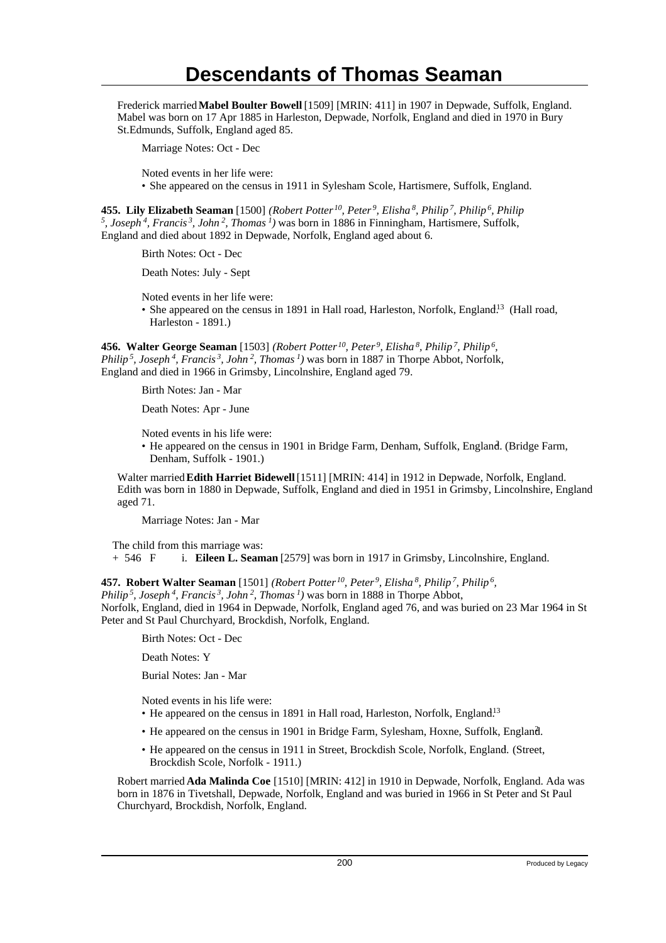Frederick married **Mabel Boulter Bowell** [1509] [MRIN: 411] in 1907 in Depwade, Suffolk, England. Mabel was born on 17 Apr 1885 in Harleston, Depwade, Norfolk, England and died in 1970 in Bury St.Edmunds, Suffolk, England aged 85.

Marriage Notes: Oct - Dec

Noted events in her life were:

• She appeared on the census in 1911 in Sylesham Scole, Hartismere, Suffolk, England.

**455. Lily Elizabeth Seaman** [1500] *(Robert Potter<sup>10</sup>, Peter<sup>9</sup>, Elisha<sup>8</sup>, Philip<sup>7</sup>, Philip<sup>6</sup>, Philip 5 , Joseph<sup>4</sup>, Francis<sup>3</sup>, John<sup>2</sup>, Thomas<sup>1</sup>)* was born in 1886 in Finningham, Hartismere, Suffolk, England and died about 1892 in Depwade, Norfolk, England aged about 6.

Birth Notes: Oct - Dec

Death Notes: July - Sept

Noted events in her life were:

• She appeared on the census in 1891 in Hall road, Harleston, Norfolk, England<sup>13</sup> (Hall road, Harleston - 1891.)

**456. Walter George Seaman** [1503] *(Robert Potter<sup>10</sup>, Peter<sup>9</sup>, Elisha<sup>8</sup>, Philip<sup>7</sup>, Philip<sup>6</sup> , Philip<sup>5</sup>, Joseph<sup>4</sup>, Francis<sup>3</sup>, John<sup>2</sup>, Thomas<sup>1</sup>)* was born in 1887 in Thorpe Abbot, Norfolk, England and died in 1966 in Grimsby, Lincolnshire, England aged 79.

Birth Notes: Jan - Mar

Death Notes: Apr - June

Noted events in his life were:

• He appeared on the census in 1901 in Bridge Farm, Denham, Suffolk, England. (Bridge Farm, Denham, Suffolk - 1901.)

Walter married **Edith Harriet Bidewell** [1511] [MRIN: 414] in 1912 in Depwade, Norfolk, England. Edith was born in 1880 in Depwade, Suffolk, England and died in 1951 in Grimsby, Lincolnshire, England aged 71.

Marriage Notes: Jan - Mar

The child from this marriage was:<br>+ 546  $\overline{F}$  i. Eileen L. Seam i. **Eileen L. Seaman** [2579] was born in 1917 in Grimsby, Lincolnshire, England.

**457. Robert Walter Seaman** [1501] *(Robert Potter<sup>10</sup>, Peter<sup>9</sup>, Elisha<sup>8</sup>, Philip<sup>7</sup>, Philip<sup>6</sup> ,*

*Philip<sup>5</sup>, Joseph<sup>4</sup>, Francis<sup>3</sup>, John<sup>2</sup>, Thomas<sup>1</sup>)* was born in 1888 in Thorpe Abbot, Norfolk, England, died in 1964 in Depwade, Norfolk, England aged 76, and was buried on 23 Mar 1964 in St

Birth Notes: Oct - Dec

Death Notes: Y

Burial Notes: Jan - Mar

Noted events in his life were:

Peter and St Paul Churchyard, Brockdish, Norfolk, England.

- He appeared on the census in 1891 in Hall road, Harleston, Norfolk, England.<sup>13</sup>
- He appeared on the census in 1901 in Bridge Farm, Sylesham, Hoxne, Suffolk, England. <sup>2</sup>
- He appeared on the census in 1911 in Street, Brockdish Scole, Norfolk, England. (Street, Brockdish Scole, Norfolk - 1911.)

Robert married **Ada Malinda Coe** [1510] [MRIN: 412] in 1910 in Depwade, Norfolk, England. Ada was born in 1876 in Tivetshall, Depwade, Norfolk, England and was buried in 1966 in St Peter and St Paul Churchyard, Brockdish, Norfolk, England.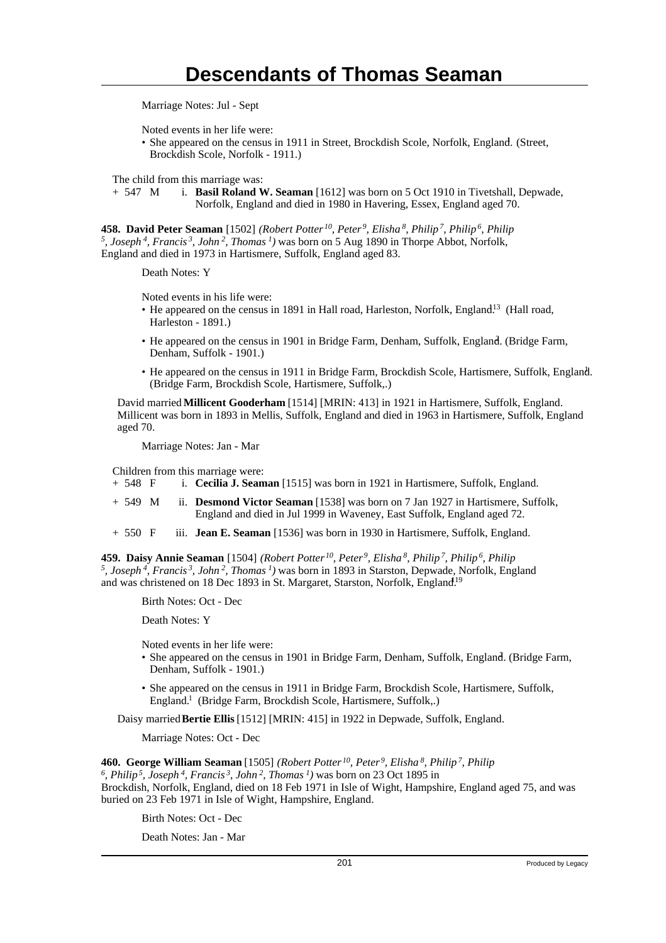Marriage Notes: Jul - Sept

Noted events in her life were:

• She appeared on the census in 1911 in Street, Brockdish Scole, Norfolk, England. (Street, Brockdish Scole, Norfolk - 1911.)

The child from this marriage was:<br>+ 547 M i. **Basil Roland V** 

i. **Basil Roland W. Seaman** [1612] was born on 5 Oct 1910 in Tivetshall, Depwade, Norfolk, England and died in 1980 in Havering, Essex, England aged 70.

**458. David Peter Seaman** [1502] *(Robert Potter<sup>10</sup>, Peter<sup>9</sup>, Elisha<sup>8</sup>, Philip<sup>7</sup>, Philip<sup>6</sup>, Philip 5 , Joseph<sup>4</sup>, Francis<sup>3</sup>, John<sup>2</sup>, Thomas<sup>1</sup>)* was born on 5 Aug 1890 in Thorpe Abbot, Norfolk, England and died in 1973 in Hartismere, Suffolk, England aged 83.

Death Notes: Y

Noted events in his life were:

- He appeared on the census in 1891 in Hall road, Harleston, Norfolk, England<sup>13</sup> (Hall road, Harleston - 1891.)
- He appeared on the census in 1901 in Bridge Farm, Denham, Suffolk, England. (Bridge Farm, Denham, Suffolk - 1901.)
- He appeared on the census in 1911 in Bridge Farm, Brockdish Scole, Hartismere, Suffolk, England. <sup>1</sup> (Bridge Farm, Brockdish Scole, Hartismere, Suffolk,.)

David married **Millicent Gooderham** [1514] [MRIN: 413] in 1921 in Hartismere, Suffolk, England. Millicent was born in 1893 in Mellis, Suffolk, England and died in 1963 in Hartismere, Suffolk, England aged 70.

Marriage Notes: Jan - Mar

Children from this marriage were:

- + 548 F i. **Cecilia J. Seaman** [1515] was born in 1921 in Hartismere, Suffolk, England.
- + 549 M ii. **Desmond Victor Seaman** [1538] was born on 7 Jan 1927 in Hartismere, Suffolk, England and died in Jul 1999 in Waveney, East Suffolk, England aged 72.
- + 550 F iii. **Jean E. Seaman** [1536] was born in 1930 in Hartismere, Suffolk, England.

**459. Daisy Annie Seaman** [1504] *(Robert Potter<sup>10</sup>, Peter<sup>9</sup>, Elisha<sup>8</sup>, Philip<sup>7</sup>, Philip<sup>6</sup>, Philip 5 , Joseph<sup>4</sup>, Francis<sup>3</sup>, John<sup>2</sup>, Thomas<sup>1</sup>)* was born in 1893 in Starston, Depwade, Norfolk, England and was christened on 18 Dec 1893 in St. Margaret, Starston, Norfolk, England.<sup>19</sup>

Birth Notes: Oct - Dec

Death Notes: Y

Noted events in her life were:

- She appeared on the census in 1901 in Bridge Farm, Denham, Suffolk, England. (Bridge Farm, Denham, Suffolk - 1901.)
- She appeared on the census in 1911 in Bridge Farm, Brockdish Scole, Hartismere, Suffolk, England.<sup>1</sup> (Bridge Farm, Brockdish Scole, Hartismere, Suffolk,.)

Daisy married **Bertie Ellis** [1512] [MRIN: 415] in 1922 in Depwade, Suffolk, England.

Marriage Notes: Oct - Dec

**460. George William Seaman** [1505] *(Robert Potter<sup>10</sup>, Peter<sup>9</sup>, Elisha<sup>8</sup>, Philip<sup>7</sup>, Philip 6 , Philip<sup>5</sup>, Joseph<sup>4</sup>, Francis<sup>3</sup>, John<sup>2</sup>, Thomas<sup>1</sup>)* was born on 23 Oct 1895 in Brockdish, Norfolk, England, died on 18 Feb 1971 in Isle of Wight, Hampshire, England aged 75, and was buried on 23 Feb 1971 in Isle of Wight, Hampshire, England.

Birth Notes: Oct - Dec

Death Notes: Jan - Mar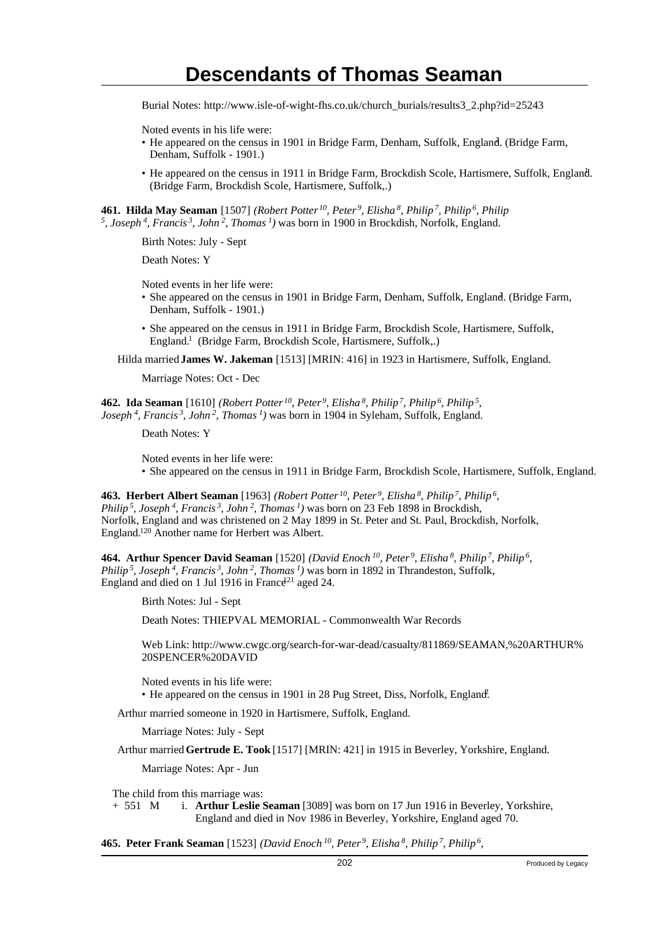Burial Notes: http://www.isle-of-wight-fhs.co.uk/church\_burials/results3\_2.php?id=25243

Noted events in his life were:

- He appeared on the census in 1901 in Bridge Farm, Denham, Suffolk, England. (Bridge Farm, Denham, Suffolk - 1901.)
- He appeared on the census in 1911 in Bridge Farm, Brockdish Scole, Hartismere, Suffolk, England. <sup>1</sup> (Bridge Farm, Brockdish Scole, Hartismere, Suffolk,.)

**461. Hilda May Seaman** [1507] *(Robert Potter<sup>10</sup>, Peter<sup>9</sup>, Elisha<sup>8</sup>, Philip<sup>7</sup>, Philip<sup>6</sup>, Philip 5 , Joseph<sup>4</sup>, Francis<sup>3</sup>, John<sup>2</sup>, Thomas<sup>1</sup>)* was born in 1900 in Brockdish, Norfolk, England.

Birth Notes: July - Sept

Death Notes: Y

Noted events in her life were:

- She appeared on the census in 1901 in Bridge Farm, Denham, Suffolk, England. (Bridge Farm, Denham, Suffolk - 1901.)
- She appeared on the census in 1911 in Bridge Farm, Brockdish Scole, Hartismere, Suffolk, England.<sup>1</sup> (Bridge Farm, Brockdish Scole, Hartismere, Suffolk,.)

Hilda married **James W. Jakeman** [1513] [MRIN: 416] in 1923 in Hartismere, Suffolk, England.

Marriage Notes: Oct - Dec

**462. Ida Seaman** [1610] *(Robert Potter<sup>10</sup>, Peter<sup>9</sup>, Elisha<sup>8</sup>, Philip<sup>7</sup>, Philip<sup>6</sup>, Philip<sup>5</sup> , Joseph<sup>4</sup>, Francis<sup>3</sup>, John<sup>2</sup>, Thomas<sup>1</sup>)* was born in 1904 in Syleham, Suffolk, England.

Death Notes: Y

Noted events in her life were: • She appeared on the census in 1911 in Bridge Farm, Brockdish Scole, Hartismere, Suffolk, England.

**463. Herbert Albert Seaman** [1963] *(Robert Potter<sup>10</sup>, Peter<sup>9</sup>, Elisha<sup>8</sup>, Philip<sup>7</sup>, Philip<sup>6</sup> , Philip<sup>5</sup>, Joseph<sup>4</sup>, Francis<sup>3</sup>, John<sup>2</sup>, Thomas<sup>1</sup>)* was born on 23 Feb 1898 in Brockdish, Norfolk, England and was christened on 2 May 1899 in St. Peter and St. Paul, Brockdish, Norfolk, England.<sup>120</sup> Another name for Herbert was Albert.

**464. Arthur Spencer David Seaman** [1520] *(David Enoch<sup>10</sup>, Peter<sup>9</sup>, Elisha<sup>8</sup>, Philip<sup>7</sup>, Philip<sup>6</sup> , Philip<sup>5</sup>, Joseph<sup>4</sup>, Francis<sup>3</sup>, John<sup>2</sup>, Thomas<sup>1</sup>)* was born in 1892 in Thrandeston, Suffolk, England and died on 1 Jul 1916 in France<sup>21</sup> aged 24.

Birth Notes: Jul - Sept

Death Notes: THIEPVAL MEMORIAL - Commonwealth War Records

Web Link: http://www.cwgc.org/search-for-war-dead/casualty/811869/SEAMAN,%20ARTHUR% 20SPENCER%20DAVID

Noted events in his life were: • He appeared on the census in 1901 in 28 Pug Street, Diss, Norfolk, England.

Arthur married someone in 1920 in Hartismere, Suffolk, England.

Marriage Notes: July - Sept

Arthur married **Gertrude E. Took** [1517] [MRIN: 421] in 1915 in Beverley, Yorkshire, England.

Marriage Notes: Apr - Jun

The child from this marriage was:

+ 551 M i. **Arthur Leslie Seaman** [3089] was born on 17 Jun 1916 in Beverley, Yorkshire, England and died in Nov 1986 in Beverley, Yorkshire, England aged 70.

**465. Peter Frank Seaman** [1523] *(David Enoch<sup>10</sup>, Peter<sup>9</sup>, Elisha<sup>8</sup>, Philip<sup>7</sup>, Philip<sup>6</sup> ,*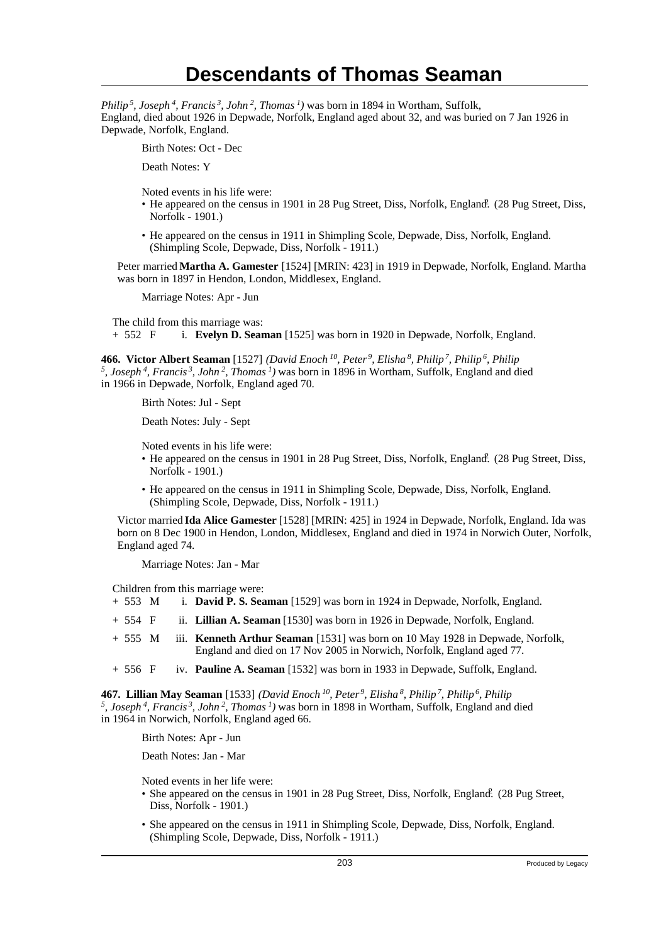*Philip<sup>5</sup>, Joseph<sup>4</sup>, Francis<sup>3</sup>, John<sup>2</sup>, Thomas<sup>1</sup>)* was born in 1894 in Wortham, Suffolk, England, died about 1926 in Depwade, Norfolk, England aged about 32, and was buried on 7 Jan 1926 in Depwade, Norfolk, England.

Birth Notes: Oct - Dec

Death Notes: Y

Noted events in his life were:

- He appeared on the census in 1901 in 28 Pug Street, Diss, Norfolk, England. (28 Pug Street, Diss, Norfolk - 1901.)
- He appeared on the census in 1911 in Shimpling Scole, Depwade, Diss, Norfolk, England. (Shimpling Scole, Depwade, Diss, Norfolk - 1911.)

Peter married **Martha A. Gamester** [1524] [MRIN: 423] in 1919 in Depwade, Norfolk, England. Martha was born in 1897 in Hendon, London, Middlesex, England.

Marriage Notes: Apr - Jun

The child from this marriage was:<br>+ 552  $\overline{F}$  i. Evelyn D. Sear i. **Evelyn D. Seaman** [1525] was born in 1920 in Depwade, Norfolk, England.

**466. Victor Albert Seaman** [1527] *(David Enoch<sup>10</sup>, Peter<sup>9</sup>, Elisha<sup>8</sup>, Philip<sup>7</sup>, Philip<sup>6</sup>, Philip 5 , Joseph<sup>4</sup>, Francis<sup>3</sup>, John<sup>2</sup>, Thomas<sup>1</sup>)* was born in 1896 in Wortham, Suffolk, England and died in 1966 in Depwade, Norfolk, England aged 70.

Birth Notes: Jul - Sept

Death Notes: July - Sept

Noted events in his life were:

- He appeared on the census in 1901 in 28 Pug Street, Diss, Norfolk, England. (28 Pug Street, Diss, Norfolk - 1901.)
- He appeared on the census in 1911 in Shimpling Scole, Depwade, Diss, Norfolk, England. (Shimpling Scole, Depwade, Diss, Norfolk - 1911.)

Victor married **Ida Alice Gamester** [1528] [MRIN: 425] in 1924 in Depwade, Norfolk, England. Ida was born on 8 Dec 1900 in Hendon, London, Middlesex, England and died in 1974 in Norwich Outer, Norfolk, England aged 74.

Marriage Notes: Jan - Mar

Children from this marriage were:

- + 553 M i. **David P. S. Seaman** [1529] was born in 1924 in Depwade, Norfolk, England.
- + 554 F ii. **Lillian A. Seaman** [1530] was born in 1926 in Depwade, Norfolk, England.
- + 555 M iii. **Kenneth Arthur Seaman** [1531] was born on 10 May 1928 in Depwade, Norfolk, England and died on 17 Nov 2005 in Norwich, Norfolk, England aged 77.
- + 556 F iv. **Pauline A. Seaman** [1532] was born in 1933 in Depwade, Suffolk, England.

**467. Lillian May Seaman** [1533] *(David Enoch<sup>10</sup>, Peter<sup>9</sup>, Elisha<sup>8</sup>, Philip<sup>7</sup>, Philip<sup>6</sup>, Philip 5 , Joseph<sup>4</sup>, Francis<sup>3</sup>, John<sup>2</sup>, Thomas<sup>1</sup>)* was born in 1898 in Wortham, Suffolk, England and died in 1964 in Norwich, Norfolk, England aged 66.

Birth Notes: Apr - Jun

Death Notes: Jan - Mar

Noted events in her life were:

- She appeared on the census in 1901 in 28 Pug Street, Diss, Norfolk, England. (28 Pug Street, Diss, Norfolk - 1901.)
- She appeared on the census in 1911 in Shimpling Scole, Depwade, Diss, Norfolk, England. (Shimpling Scole, Depwade, Diss, Norfolk - 1911.)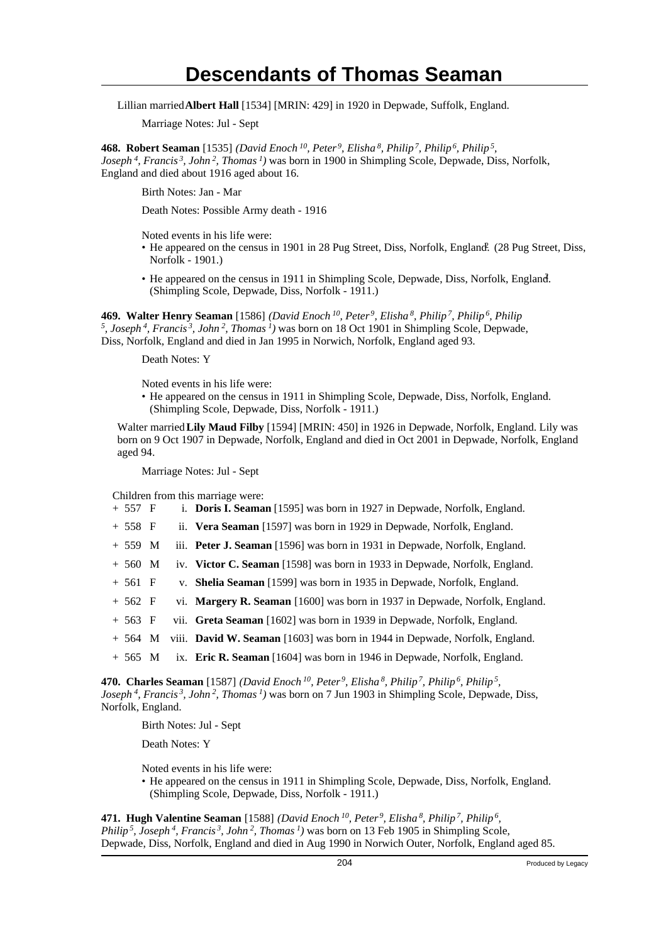Lillian married **Albert Hall** [1534] [MRIN: 429] in 1920 in Depwade, Suffolk, England.

Marriage Notes: Jul - Sept

**468. Robert Seaman** [1535] *(David Enoch<sup>10</sup>, Peter<sup>9</sup>, Elisha<sup>8</sup>, Philip<sup>7</sup>, Philip<sup>6</sup>, Philip<sup>5</sup> , Joseph<sup>4</sup>, Francis<sup>3</sup>, John<sup>2</sup>, Thomas<sup>1</sup>)* was born in 1900 in Shimpling Scole, Depwade, Diss, Norfolk, England and died about 1916 aged about 16.

Birth Notes: Jan - Mar

Death Notes: Possible Army death - 1916

Noted events in his life were:

- He appeared on the census in 1901 in 28 Pug Street, Diss, Norfolk, England. (28 Pug Street, Diss, Norfolk - 1901.)
- He appeared on the census in 1911 in Shimpling Scole, Depwade, Diss, Norfolk, England. (Shimpling Scole, Depwade, Diss, Norfolk - 1911.)

**469. Walter Henry Seaman** [1586] *(David Enoch<sup>10</sup>, Peter<sup>9</sup>, Elisha<sup>8</sup>, Philip<sup>7</sup>, Philip<sup>6</sup>, Philip 5 , Joseph<sup>4</sup>, Francis<sup>3</sup>, John<sup>2</sup>, Thomas<sup>1</sup>)* was born on 18 Oct 1901 in Shimpling Scole, Depwade, Diss, Norfolk, England and died in Jan 1995 in Norwich, Norfolk, England aged 93.

Death Notes: Y

Noted events in his life were:

• He appeared on the census in 1911 in Shimpling Scole, Depwade, Diss, Norfolk, England. (Shimpling Scole, Depwade, Diss, Norfolk - 1911.)

Walter married **Lily Maud Filby** [1594] [MRIN: 450] in 1926 in Depwade, Norfolk, England. Lily was born on 9 Oct 1907 in Depwade, Norfolk, England and died in Oct 2001 in Depwade, Norfolk, England aged 94.

Marriage Notes: Jul - Sept

- Children from this marriage were:<br>+  $557 \text{ F}$  i. **Doris I. Seama** i. **Doris I. Seaman** [1595] was born in 1927 in Depwade, Norfolk, England.
- + 558 F ii. **Vera Seaman** [1597] was born in 1929 in Depwade, Norfolk, England.
- + 559 M iii. **Peter J. Seaman** [1596] was born in 1931 in Depwade, Norfolk, England.
- + 560 M iv. **Victor C. Seaman** [1598] was born in 1933 in Depwade, Norfolk, England.
- + 561 F v. **Shelia Seaman** [1599] was born in 1935 in Depwade, Norfolk, England.
- + 562 F vi. **Margery R. Seaman** [1600] was born in 1937 in Depwade, Norfolk, England.
- + 563 F vii. **Greta Seaman** [1602] was born in 1939 in Depwade, Norfolk, England.
- + 564 M viii. **David W. Seaman** [1603] was born in 1944 in Depwade, Norfolk, England.
- + 565 M ix. **Eric R. Seaman** [1604] was born in 1946 in Depwade, Norfolk, England.

**470. Charles Seaman** [1587] *(David Enoch<sup>10</sup>, Peter<sup>9</sup>, Elisha<sup>8</sup>, Philip<sup>7</sup>, Philip<sup>6</sup>, Philip<sup>5</sup> , Joseph<sup>4</sup>, Francis<sup>3</sup>, John<sup>2</sup>, Thomas<sup>1</sup>)* was born on 7 Jun 1903 in Shimpling Scole, Depwade, Diss, Norfolk, England.

Birth Notes: Jul - Sept

Death Notes: Y

Noted events in his life were:

• He appeared on the census in 1911 in Shimpling Scole, Depwade, Diss, Norfolk, England. (Shimpling Scole, Depwade, Diss, Norfolk - 1911.)

**471. Hugh Valentine Seaman** [1588] *(David Enoch<sup>10</sup>, Peter<sup>9</sup>, Elisha<sup>8</sup>, Philip<sup>7</sup>, Philip<sup>6</sup> , Philip<sup>5</sup>, Joseph<sup>4</sup>, Francis<sup>3</sup>, John<sup>2</sup>, Thomas<sup>1</sup>)* was born on 13 Feb 1905 in Shimpling Scole, Depwade, Diss, Norfolk, England and died in Aug 1990 in Norwich Outer, Norfolk, England aged 85.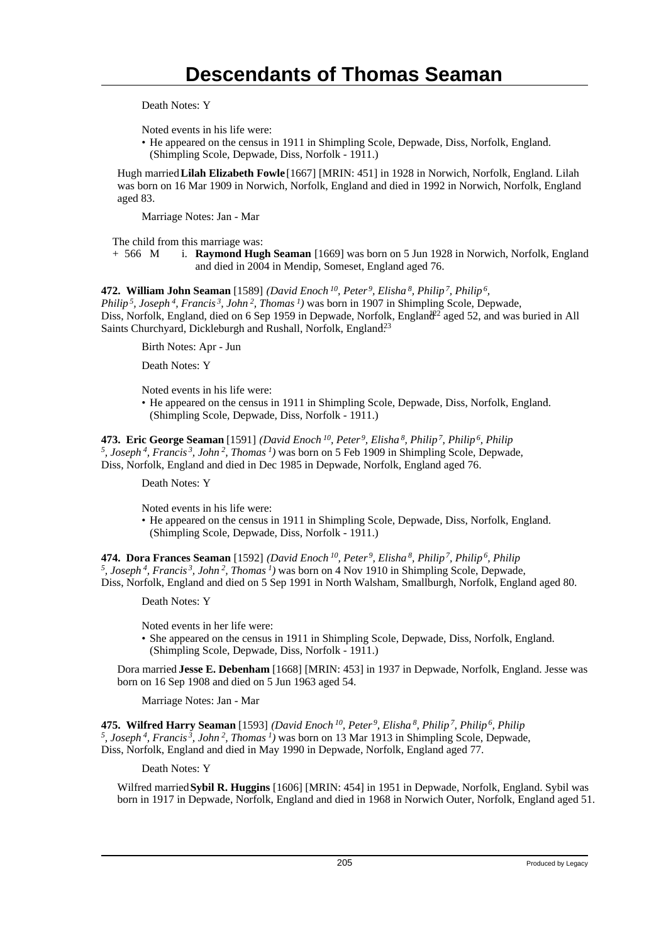Death Notes: Y

Noted events in his life were:

• He appeared on the census in 1911 in Shimpling Scole, Depwade, Diss, Norfolk, England. (Shimpling Scole, Depwade, Diss, Norfolk - 1911.)

Hugh married **Lilah Elizabeth Fowle** [1667] [MRIN: 451] in 1928 in Norwich, Norfolk, England. Lilah was born on 16 Mar 1909 in Norwich, Norfolk, England and died in 1992 in Norwich, Norfolk, England aged 83.

Marriage Notes: Jan - Mar

The child from this marriage was:

+ 566 M i. **Raymond Hugh Seaman** [1669] was born on 5 Jun 1928 in Norwich, Norfolk, England and died in 2004 in Mendip, Someset, England aged 76.

**472. William John Seaman** [1589] *(David Enoch<sup>10</sup>, Peter<sup>9</sup>, Elisha<sup>8</sup>, Philip<sup>7</sup>, Philip<sup>6</sup> ,*

*Philip<sup>5</sup>, Joseph<sup>4</sup>, Francis<sup>3</sup>, John<sup>2</sup>, Thomas<sup>1</sup>)* was born in 1907 in Shimpling Scole, Depwade, Diss, Norfolk, England, died on 6 Sep 1959 in Depwade, Norfolk, England<sup>22</sup> aged 52, and was buried in All Saints Churchyard, Dickleburgh and Rushall, Norfolk, England.<sup>23</sup>

Birth Notes: Apr - Jun

Death Notes: Y

Noted events in his life were:

• He appeared on the census in 1911 in Shimpling Scole, Depwade, Diss, Norfolk, England. (Shimpling Scole, Depwade, Diss, Norfolk - 1911.)

**473. Eric George Seaman** [1591] *(David Enoch<sup>10</sup>, Peter<sup>9</sup>, Elisha<sup>8</sup>, Philip<sup>7</sup>, Philip<sup>6</sup>, Philip 5 , Joseph<sup>4</sup>, Francis<sup>3</sup>, John<sup>2</sup>, Thomas<sup>1</sup>)* was born on 5 Feb 1909 in Shimpling Scole, Depwade, Diss, Norfolk, England and died in Dec 1985 in Depwade, Norfolk, England aged 76.

Death Notes: Y

Noted events in his life were:

• He appeared on the census in 1911 in Shimpling Scole, Depwade, Diss, Norfolk, England. (Shimpling Scole, Depwade, Diss, Norfolk - 1911.)

**474. Dora Frances Seaman** [1592] *(David Enoch<sup>10</sup>, Peter<sup>9</sup>, Elisha<sup>8</sup>, Philip<sup>7</sup>, Philip<sup>6</sup>, Philip 5 , Joseph<sup>4</sup>, Francis<sup>3</sup>, John<sup>2</sup>, Thomas<sup>1</sup>)* was born on 4 Nov 1910 in Shimpling Scole, Depwade, Diss, Norfolk, England and died on 5 Sep 1991 in North Walsham, Smallburgh, Norfolk, England aged 80.

Death Notes: Y

Noted events in her life were:

• She appeared on the census in 1911 in Shimpling Scole, Depwade, Diss, Norfolk, England. (Shimpling Scole, Depwade, Diss, Norfolk - 1911.)

Dora married **Jesse E. Debenham** [1668] [MRIN: 453] in 1937 in Depwade, Norfolk, England. Jesse was born on 16 Sep 1908 and died on 5 Jun 1963 aged 54.

Marriage Notes: Jan - Mar

**475. Wilfred Harry Seaman** [1593] *(David Enoch<sup>10</sup>, Peter<sup>9</sup>, Elisha<sup>8</sup>, Philip<sup>7</sup>, Philip<sup>6</sup>, Philip 5 , Joseph<sup>4</sup>, Francis<sup>3</sup>, John<sup>2</sup>, Thomas<sup>1</sup>)* was born on 13 Mar 1913 in Shimpling Scole, Depwade, Diss, Norfolk, England and died in May 1990 in Depwade, Norfolk, England aged 77.

Death Notes: Y

Wilfred married **Sybil R. Huggins** [1606] [MRIN: 454] in 1951 in Depwade, Norfolk, England. Sybil was born in 1917 in Depwade, Norfolk, England and died in 1968 in Norwich Outer, Norfolk, England aged 51.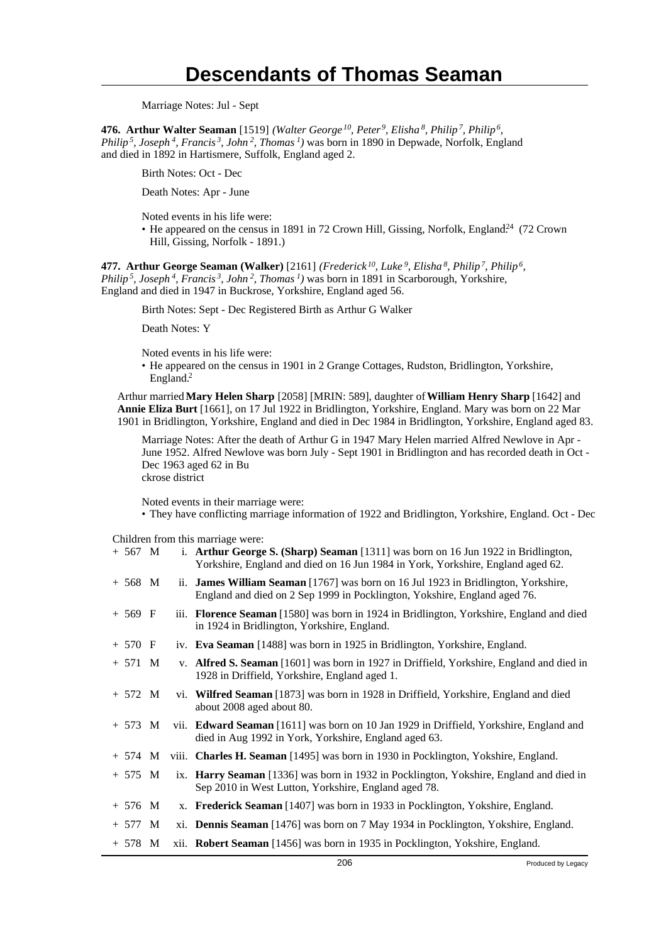Marriage Notes: Jul - Sept

**476. Arthur Walter Seaman** [1519] *(Walter George<sup>10</sup>, Peter<sup>9</sup>, Elisha<sup>8</sup>, Philip<sup>7</sup>, Philip<sup>6</sup> , Philip<sup>5</sup>, Joseph<sup>4</sup>, Francis<sup>3</sup>, John<sup>2</sup>, Thomas<sup>1</sup>)* was born in 1890 in Depwade, Norfolk, England and died in 1892 in Hartismere, Suffolk, England aged 2.

Birth Notes: Oct - Dec

Death Notes: Apr - June

Noted events in his life were:

• He appeared on the census in 1891 in 72 Crown Hill, Gissing, Norfolk, England<sup>24</sup> (72 Crown Hill, Gissing, Norfolk - 1891.)

**477. Arthur George Seaman (Walker)** [2161] *(Frederick<sup>10</sup>, Luke<sup>9</sup>, Elisha<sup>8</sup>, Philip<sup>7</sup>, Philip<sup>6</sup> , Philip<sup>5</sup>, Joseph<sup>4</sup>, Francis<sup>3</sup>, John<sup>2</sup>, Thomas<sup>1</sup>)* was born in 1891 in Scarborough, Yorkshire, England and died in 1947 in Buckrose, Yorkshire, England aged 56.

Birth Notes: Sept - Dec Registered Birth as Arthur G Walker

Death Notes: Y

Noted events in his life were:

• He appeared on the census in 1901 in 2 Grange Cottages, Rudston, Bridlington, Yorkshire, England.<sup>2</sup>

Arthur married **Mary Helen Sharp** [2058] [MRIN: 589], daughter of **William Henry Sharp** [1642] and **Annie Eliza Burt** [1661], on 17 Jul 1922 in Bridlington, Yorkshire, England. Mary was born on 22 Mar 1901 in Bridlington, Yorkshire, England and died in Dec 1984 in Bridlington, Yorkshire, England aged 83.

Marriage Notes: After the death of Arthur G in 1947 Mary Helen married Alfred Newlove in Apr - June 1952. Alfred Newlove was born July - Sept 1901 in Bridlington and has recorded death in Oct - Dec 1963 aged 62 in Bu ckrose district

Noted events in their marriage were:

• They have conflicting marriage information of 1922 and Bridlington, Yorkshire, England. Oct - Dec

#### Children from this marriage were:

| $+ 567$ M |  | i. Arthur George S. (Sharp) Seaman [1311] was born on 16 Jun 1922 in Bridlington,<br>Yorkshire, England and died on 16 Jun 1984 in York, Yorkshire, England aged 62. |
|-----------|--|----------------------------------------------------------------------------------------------------------------------------------------------------------------------|
| $+ 568$ M |  | ii. James William Seaman [1767] was born on 16 Jul 1923 in Bridlington, Yorkshire,<br>England and died on 2 Sep 1999 in Pocklington, Yokshire, England aged 76.      |
| $+ 569$ F |  | iii. Florence Seaman [1580] was born in 1924 in Bridlington, Yorkshire, England and died<br>in 1924 in Bridlington, Yorkshire, England.                              |
| $+ 570 F$ |  | iv. Eva Seaman [1488] was born in 1925 in Bridlington, Yorkshire, England.                                                                                           |
| $+ 571 M$ |  | v. Alfred S. Seaman [1601] was born in 1927 in Driffield, Yorkshire, England and died in<br>1928 in Driffield, Yorkshire, England aged 1.                            |
| $+ 572 M$ |  | vi. Wilfred Seaman [1873] was born in 1928 in Driffield, Yorkshire, England and died<br>about 2008 aged about 80.                                                    |
| $+ 573 M$ |  | vii. Edward Seaman [1611] was born on 10 Jan 1929 in Driffield, Yorkshire, England and<br>died in Aug 1992 in York, Yorkshire, England aged 63.                      |
| $+ 574$ M |  | viii. Charles H. Seaman [1495] was born in 1930 in Pocklington, Yokshire, England.                                                                                   |
| $+ 575 M$ |  | ix. Harry Seaman [1336] was born in 1932 in Pocklington, Yokshire, England and died in<br>Sep 2010 in West Lutton, Yorkshire, England aged 78.                       |
| $+ 576$ M |  | x. Frederick Seaman [1407] was born in 1933 in Pocklington, Yokshire, England.                                                                                       |
| $+ 577 M$ |  | xi. Dennis Seaman [1476] was born on 7 May 1934 in Pocklington, Yokshire, England.                                                                                   |
| $+ 578 M$ |  | xii. Robert Seaman [1456] was born in 1935 in Pocklington, Yokshire, England.                                                                                        |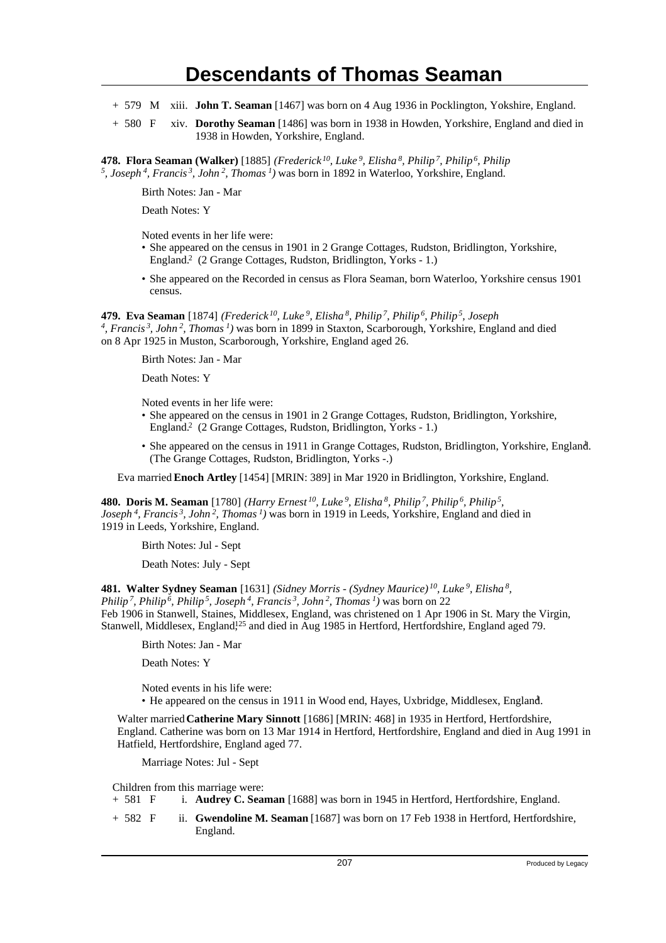- + 579 M xiii. **John T. Seaman** [1467] was born on 4 Aug 1936 in Pocklington, Yokshire, England.
- + 580 F xiv. **Dorothy Seaman** [1486] was born in 1938 in Howden, Yorkshire, England and died in 1938 in Howden, Yorkshire, England.

**478. Flora Seaman (Walker)** [1885] *(Frederick<sup>10</sup>, Luke<sup>9</sup>, Elisha<sup>8</sup>, Philip<sup>7</sup>, Philip<sup>6</sup>, Philip 5 , Joseph<sup>4</sup>, Francis<sup>3</sup>, John<sup>2</sup>, Thomas<sup>1</sup>)* was born in 1892 in Waterloo, Yorkshire, England.

Birth Notes: Jan - Mar

Death Notes: Y

Noted events in her life were:

- She appeared on the census in 1901 in 2 Grange Cottages, Rudston, Bridlington, Yorkshire, England.<sup>2</sup> (2 Grange Cottages, Rudston, Bridlington, Yorks - 1.)
- She appeared on the Recorded in census as Flora Seaman, born Waterloo, Yorkshire census 1901 census.

**479. Eva Seaman** [1874] *(Frederick<sup>10</sup>, Luke<sup>9</sup>, Elisha<sup>8</sup>, Philip<sup>7</sup>, Philip<sup>6</sup>, Philip<sup>5</sup>, Joseph 4 , Francis<sup>3</sup>, John<sup>2</sup>, Thomas<sup>1</sup>)* was born in 1899 in Staxton, Scarborough, Yorkshire, England and died on 8 Apr 1925 in Muston, Scarborough, Yorkshire, England aged 26.

Birth Notes: Jan - Mar

Death Notes: Y

Noted events in her life were:

- She appeared on the census in 1901 in 2 Grange Cottages, Rudston, Bridlington, Yorkshire, England.<sup>2</sup> (2 Grange Cottages, Rudston, Bridlington, Yorks - 1.)
- She appeared on the census in 1911 in Grange Cottages, Rudston, Bridlington, Yorkshire, England. (The Grange Cottages, Rudston, Bridlington, Yorks -.)

Eva married **Enoch Artley** [1454] [MRIN: 389] in Mar 1920 in Bridlington, Yorkshire, England.

**480. Doris M. Seaman** [1780] *(Harry Ernest<sup>10</sup>, Luke<sup>9</sup>, Elisha<sup>8</sup>, Philip<sup>7</sup>, Philip<sup>6</sup>, Philip<sup>5</sup> , Joseph<sup>4</sup>, Francis<sup>3</sup>, John<sup>2</sup>, Thomas<sup>1</sup>)* was born in 1919 in Leeds, Yorkshire, England and died in 1919 in Leeds, Yorkshire, England.

Birth Notes: Jul - Sept

Death Notes: July - Sept

**481. Walter Sydney Seaman** [1631] *(Sidney Morris - (Sydney Maurice)<sup>10</sup>, Luke<sup>9</sup>, Elisha<sup>8</sup> , Philip<sup>7</sup>, Philip<sup>6</sup>, Philip<sup>5</sup>, Joseph<sup>4</sup>, Francis<sup>3</sup>, John<sup>2</sup>, Thomas<sup>1</sup>)* was born on 22 Feb 1906 in Stanwell, Staines, Middlesex, England, was christened on 1 Apr 1906 in St. Mary the Virgin, Stanwell, Middlesex, England,<sup>125</sup> and died in Aug 1985 in Hertford, Hertfordshire, England aged 79.

Birth Notes: Jan - Mar

Death Notes: Y

Noted events in his life were:

• He appeared on the census in 1911 in Wood end, Hayes, Uxbridge, Middlesex, England. <sup>1</sup>

Walter married **Catherine Mary Sinnott** [1686] [MRIN: 468] in 1935 in Hertford, Hertfordshire, England. Catherine was born on 13 Mar 1914 in Hertford, Hertfordshire, England and died in Aug 1991 in Hatfield, Hertfordshire, England aged 77.

Marriage Notes: Jul - Sept

Children from this marriage were:<br>+ 581  $\overline{F}$  i. **Audrey C. Sear** 

- i. **Audrey C. Seaman** [1688] was born in 1945 in Hertford, Hertfordshire, England.
- + 582 F ii. **Gwendoline M. Seaman** [1687] was born on 17 Feb 1938 in Hertford, Hertfordshire, England.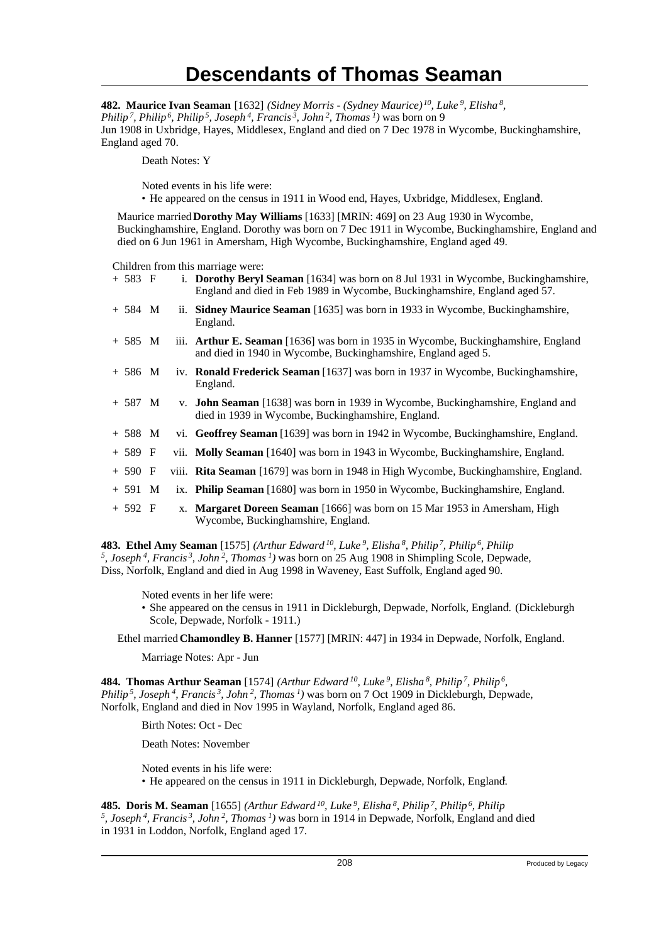**482. Maurice Ivan Seaman** [1632] *(Sidney Morris - (Sydney Maurice)<sup>10</sup>, Luke<sup>9</sup>, Elisha<sup>8</sup> , Philip<sup>7</sup>, Philip<sup>6</sup>, Philip<sup>5</sup>, Joseph<sup>4</sup>, Francis<sup>3</sup>, John<sup>2</sup>, Thomas<sup>1</sup>)* was born on 9 Jun 1908 in Uxbridge, Hayes, Middlesex, England and died on 7 Dec 1978 in Wycombe, Buckinghamshire, England aged 70.

Death Notes: Y

Noted events in his life were:

• He appeared on the census in 1911 in Wood end, Hayes, Uxbridge, Middlesex, England. <sup>1</sup>

Maurice married **Dorothy May Williams** [1633] [MRIN: 469] on 23 Aug 1930 in Wycombe, Buckinghamshire, England. Dorothy was born on 7 Dec 1911 in Wycombe, Buckinghamshire, England and died on 6 Jun 1961 in Amersham, High Wycombe, Buckinghamshire, England aged 49.

Children from this marriage were:

| $+ 583 F$ |    | i. Dorothy Beryl Seaman [1634] was born on 8 Jul 1931 in Wycombe, Buckinghamshire,<br>England and died in Feb 1989 in Wycombe, Buckinghamshire, England aged 57. |
|-----------|----|------------------------------------------------------------------------------------------------------------------------------------------------------------------|
| $+ 584 M$ |    | ii. Sidney Maurice Seaman [1635] was born in 1933 in Wycombe, Buckinghamshire,<br>England.                                                                       |
| $+ 585 M$ |    | iii. <b>Arthur E. Seaman</b> [1636] was born in 1935 in Wycombe, Buckinghamshire, England<br>and died in 1940 in Wycombe, Buckinghamshire, England aged 5.       |
| $+ 586$ M |    | iv. <b>Ronald Frederick Seaman</b> [1637] was born in 1937 in Wycombe, Buckinghamshire,<br>England.                                                              |
| $+ 587 M$ |    | v. <b>John Seaman</b> [1638] was born in 1939 in Wycombe, Buckinghamshire, England and<br>died in 1939 in Wycombe, Buckinghamshire, England.                     |
| $+ 588 M$ |    | vi. Geoffrey Seaman [1639] was born in 1942 in Wycombe, Buckinghamshire, England.                                                                                |
| $+ 589$ F |    | vii. Molly Seaman [1640] was born in 1943 in Wycombe, Buckinghamshire, England.                                                                                  |
| $+ 590 F$ |    | viii. Rita Seaman [1679] was born in 1948 in High Wycombe, Buckinghamshire, England.                                                                             |
| $+591$ M  |    | ix. Philip Seaman [1680] was born in 1950 in Wycombe, Buckinghamshire, England.                                                                                  |
| $+ 592 F$ | Х. | <b>Margaret Doreen Seaman</b> [1666] was born on 15 Mar 1953 in Amersham, High<br>Wycombe, Buckinghamshire, England.                                             |

**483. Ethel Amy Seaman** [1575] *(Arthur Edward<sup>10</sup>, Luke<sup>9</sup>, Elisha<sup>8</sup>, Philip<sup>7</sup>, Philip<sup>6</sup>, Philip 5 , Joseph<sup>4</sup>, Francis<sup>3</sup>, John<sup>2</sup>, Thomas<sup>1</sup>)* was born on 25 Aug 1908 in Shimpling Scole, Depwade, Diss, Norfolk, England and died in Aug 1998 in Waveney, East Suffolk, England aged 90.

Noted events in her life were:

• She appeared on the census in 1911 in Dickleburgh, Depwade, Norfolk, England. (Dickleburgh Scole, Depwade, Norfolk - 1911.)

Ethel married **Chamondley B. Hanner** [1577] [MRIN: 447] in 1934 in Depwade, Norfolk, England.

Marriage Notes: Apr - Jun

**484. Thomas Arthur Seaman** [1574] *(Arthur Edward<sup>10</sup>, Luke<sup>9</sup>, Elisha<sup>8</sup>, Philip<sup>7</sup>, Philip<sup>6</sup> , Philip<sup>5</sup>, Joseph<sup>4</sup>, Francis<sup>3</sup>, John<sup>2</sup>, Thomas<sup>1</sup>)* was born on 7 Oct 1909 in Dickleburgh, Depwade, Norfolk, England and died in Nov 1995 in Wayland, Norfolk, England aged 86.

Birth Notes: Oct - Dec

Death Notes: November

Noted events in his life were: • He appeared on the census in 1911 in Dickleburgh, Depwade, Norfolk, England.

**485. Doris M. Seaman** [1655] *(Arthur Edward<sup>10</sup>, Luke<sup>9</sup>, Elisha<sup>8</sup>, Philip<sup>7</sup>, Philip<sup>6</sup>, Philip 5 , Joseph<sup>4</sup>, Francis<sup>3</sup>, John<sup>2</sup>, Thomas<sup>1</sup>)* was born in 1914 in Depwade, Norfolk, England and died in 1931 in Loddon, Norfolk, England aged 17.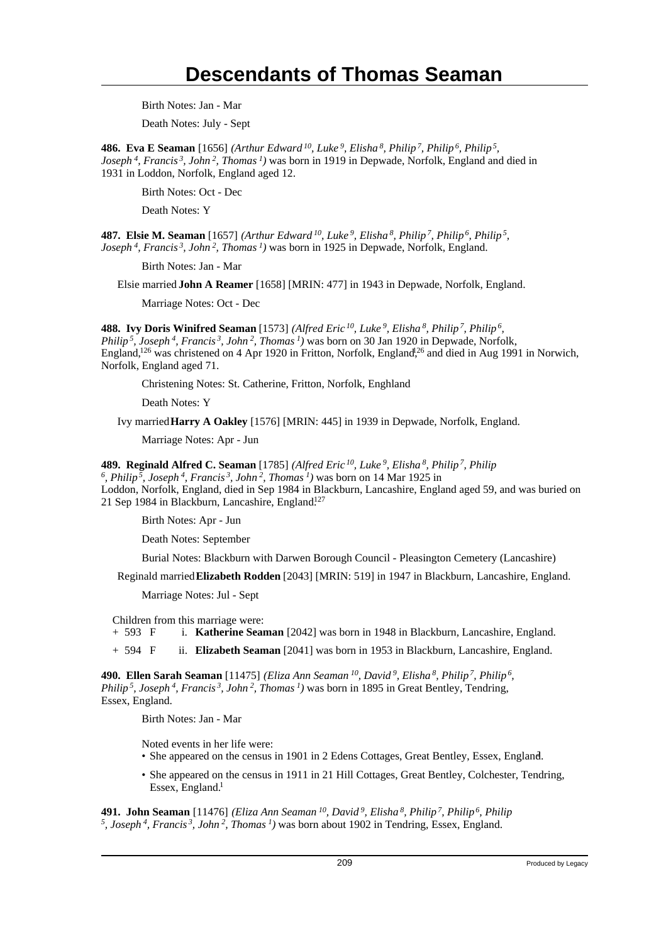Birth Notes: Jan - Mar

Death Notes: July - Sept

**486. Eva E Seaman** [1656] *(Arthur Edward<sup>10</sup>, Luke<sup>9</sup>, Elisha<sup>8</sup>, Philip<sup>7</sup>, Philip<sup>6</sup>, Philip<sup>5</sup> , Joseph<sup>4</sup>, Francis<sup>3</sup>, John<sup>2</sup>, Thomas<sup>1</sup>)* was born in 1919 in Depwade, Norfolk, England and died in 1931 in Loddon, Norfolk, England aged 12.

Birth Notes: Oct - Dec

Death Notes: Y

**487. Elsie M. Seaman** [1657] *(Arthur Edward<sup>10</sup>, Luke<sup>9</sup>, Elisha<sup>8</sup>, Philip<sup>7</sup>, Philip<sup>6</sup>, Philip<sup>5</sup> , Joseph<sup>4</sup>, Francis<sup>3</sup>, John<sup>2</sup>, Thomas<sup>1</sup>)* was born in 1925 in Depwade, Norfolk, England.

Birth Notes: Jan - Mar

Elsie married **John A Reamer** [1658] [MRIN: 477] in 1943 in Depwade, Norfolk, England.

Marriage Notes: Oct - Dec

**488. Ivy Doris Winifred Seaman** [1573] *(Alfred Eric<sup>10</sup>, Luke<sup>9</sup>, Elisha<sup>8</sup>, Philip<sup>7</sup>, Philip<sup>6</sup> , Philip<sup>5</sup>, Joseph<sup>4</sup>, Francis<sup>3</sup>, John<sup>2</sup>, Thomas<sup>1</sup>)* was born on 30 Jan 1920 in Depwade, Norfolk, England,<sup>126</sup> was christened on 4 Apr 1920 in Fritton, Norfolk, England,<sup>26</sup> and died in Aug 1991 in Norwich, Norfolk, England aged 71.

Christening Notes: St. Catherine, Fritton, Norfolk, Enghland

Death Notes: Y

Ivy married **Harry A Oakley** [1576] [MRIN: 445] in 1939 in Depwade, Norfolk, England.

Marriage Notes: Apr - Jun

**489. Reginald Alfred C. Seaman** [1785] *(Alfred Eric<sup>10</sup>, Luke<sup>9</sup>, Elisha<sup>8</sup>, Philip<sup>7</sup>, Philip*

*6 , Philip<sup>5</sup>, Joseph<sup>4</sup>, Francis<sup>3</sup>, John<sup>2</sup>, Thomas<sup>1</sup>)* was born on 14 Mar 1925 in Loddon, Norfolk, England, died in Sep 1984 in Blackburn, Lancashire, England aged 59, and was buried on 21 Sep 1984 in Blackburn, Lancashire, England.<sup>127</sup>

Birth Notes: Apr - Jun

Death Notes: September

Burial Notes: Blackburn with Darwen Borough Council - Pleasington Cemetery (Lancashire)

Reginald married **Elizabeth Rodden** [2043] [MRIN: 519] in 1947 in Blackburn, Lancashire, England.

Marriage Notes: Jul - Sept

Children from this marriage were:

+ 593 F i. **Katherine Seaman** [2042] was born in 1948 in Blackburn, Lancashire, England.

+ 594 F ii. **Elizabeth Seaman** [2041] was born in 1953 in Blackburn, Lancashire, England.

**490. Ellen Sarah Seaman** [11475] *(Eliza Ann Seaman<sup>10</sup>, David<sup>9</sup>, Elisha<sup>8</sup>, Philip<sup>7</sup>, Philip<sup>6</sup> , Philip<sup>5</sup>, Joseph<sup>4</sup>, Francis<sup>3</sup>, John<sup>2</sup>, Thomas<sup>1</sup>)* was born in 1895 in Great Bentley, Tendring, Essex, England.

Birth Notes: Jan - Mar

Noted events in her life were:

- She appeared on the census in 1901 in 2 Edens Cottages, Great Bentley, Essex, England. <sup>2</sup>
- She appeared on the census in 1911 in 21 Hill Cottages, Great Bentley, Colchester, Tendring, Essex, England. $<sup>1</sup>$ </sup>

**491. John Seaman** [11476] *(Eliza Ann Seaman<sup>10</sup>, David<sup>9</sup>, Elisha<sup>8</sup>, Philip<sup>7</sup>, Philip<sup>6</sup>, Philip 5 , Joseph 4, Francis 3, John 2, Thomas 1)* was born about 1902 in Tendring, Essex, England.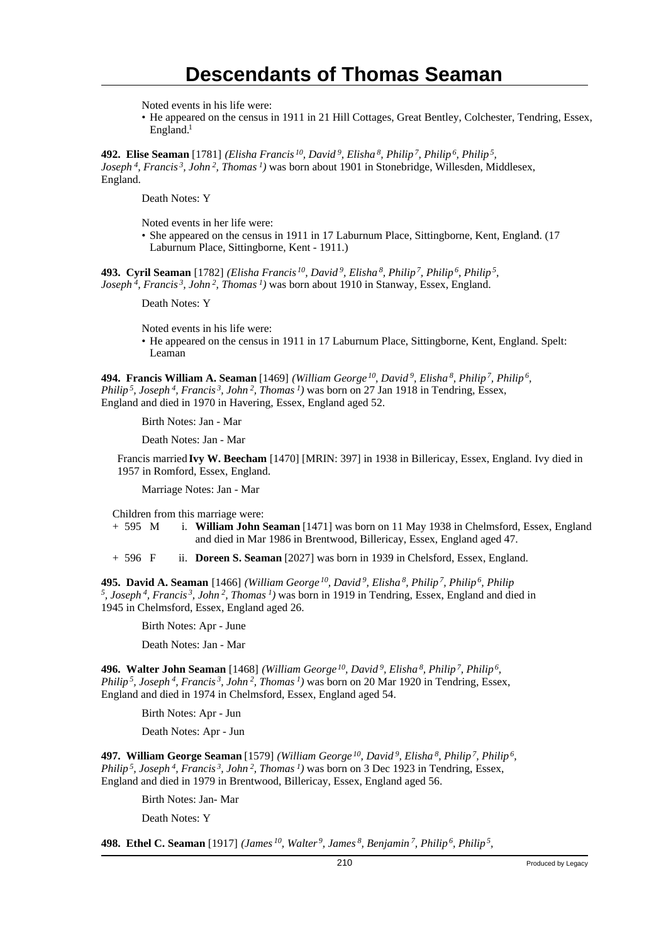Noted events in his life were:

• He appeared on the census in 1911 in 21 Hill Cottages, Great Bentley, Colchester, Tendring, Essex, England.<sup>1</sup>

**492. Elise Seaman** [1781] *(Elisha Francis<sup>10</sup>, David<sup>9</sup>, Elisha<sup>8</sup>, Philip<sup>7</sup>, Philip<sup>6</sup>, Philip<sup>5</sup> , Joseph<sup>4</sup>, Francis<sup>3</sup>, John<sup>2</sup>, Thomas<sup>1</sup>)* was born about 1901 in Stonebridge, Willesden, Middlesex, England.

Death Notes: Y

Noted events in her life were:

• She appeared on the census in 1911 in 17 Laburnum Place, Sittingborne, Kent, England. (17 Laburnum Place, Sittingborne, Kent - 1911.)

**493. Cyril Seaman** [1782] *(Elisha Francis<sup>10</sup>, David<sup>9</sup>, Elisha<sup>8</sup>, Philip<sup>7</sup>, Philip<sup>6</sup>, Philip<sup>5</sup> , Joseph<sup>4</sup>, Francis<sup>3</sup>, John<sup>2</sup>, Thomas<sup>1</sup>)* was born about 1910 in Stanway, Essex, England.

Death Notes: Y

Noted events in his life were:

• He appeared on the census in 1911 in 17 Laburnum Place, Sittingborne, Kent, England. Spelt: Leaman

**494. Francis William A. Seaman** [1469] *(William George<sup>10</sup>, David<sup>9</sup>, Elisha<sup>8</sup>, Philip<sup>7</sup>, Philip<sup>6</sup> , Philip<sup>5</sup>, Joseph<sup>4</sup>, Francis<sup>3</sup>, John<sup>2</sup>, Thomas<sup>1</sup>)* was born on 27 Jan 1918 in Tendring, Essex, England and died in 1970 in Havering, Essex, England aged 52.

Birth Notes: Jan - Mar

Death Notes: Jan - Mar

Francis married **Ivy W. Beecham** [1470] [MRIN: 397] in 1938 in Billericay, Essex, England. Ivy died in 1957 in Romford, Essex, England.

Marriage Notes: Jan - Mar

Children from this marriage were:

+ 595 M i. **William John Seaman** [1471] was born on 11 May 1938 in Chelmsford, Essex, England and died in Mar 1986 in Brentwood, Billericay, Essex, England aged 47.

+ 596 F ii. **Doreen S. Seaman** [2027] was born in 1939 in Chelsford, Essex, England.

**495. David A. Seaman** [1466] *(William George<sup>10</sup>, David<sup>9</sup>, Elisha<sup>8</sup>, Philip<sup>7</sup>, Philip<sup>6</sup>, Philip 5 , Joseph<sup>4</sup>, Francis<sup>3</sup>, John<sup>2</sup>, Thomas<sup>1</sup>)* was born in 1919 in Tendring, Essex, England and died in 1945 in Chelmsford, Essex, England aged 26.

Birth Notes: Apr - June

Death Notes: Jan - Mar

**496. Walter John Seaman** [1468] *(William George<sup>10</sup>, David<sup>9</sup>, Elisha<sup>8</sup>, Philip<sup>7</sup>, Philip<sup>6</sup> , Philip<sup>5</sup>, Joseph<sup>4</sup>, Francis<sup>3</sup>, John<sup>2</sup>, Thomas<sup>1</sup>)* was born on 20 Mar 1920 in Tendring, Essex, England and died in 1974 in Chelmsford, Essex, England aged 54.

Birth Notes: Apr - Jun

Death Notes: Apr - Jun

**497. William George Seaman** [1579] *(William George<sup>10</sup>, David<sup>9</sup>, Elisha<sup>8</sup>, Philip<sup>7</sup>, Philip<sup>6</sup> , Philip<sup>5</sup>, Joseph<sup>4</sup>, Francis<sup>3</sup>, John<sup>2</sup>, Thomas<sup>1</sup>)* was born on 3 Dec 1923 in Tendring, Essex, England and died in 1979 in Brentwood, Billericay, Essex, England aged 56.

Birth Notes: Jan- Mar

Death Notes: Y

**498. Ethel C. Seaman** [1917] *(James<sup>10</sup>, Walter<sup>9</sup>, James<sup>8</sup>, Benjamin<sup>7</sup>, Philip<sup>6</sup>, Philip<sup>5</sup> ,*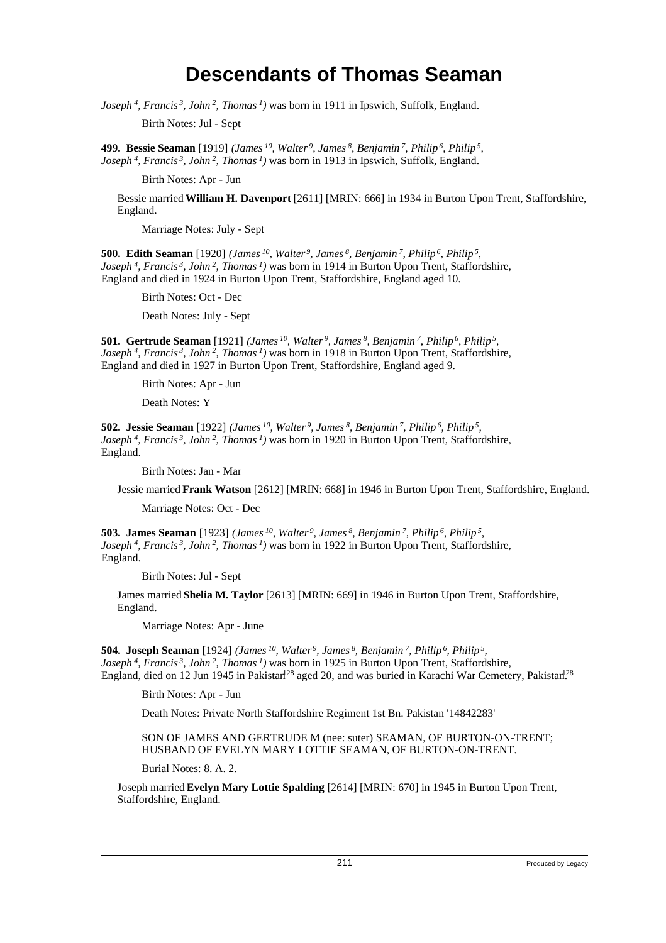*Joseph<sup>4</sup>, Francis<sup>3</sup>, John<sup>2</sup>, Thomas<sup>1</sup>)* was born in 1911 in Ipswich, Suffolk, England.

Birth Notes: Jul - Sept

**499. Bessie Seaman** [1919] *(James<sup>10</sup>, Walter<sup>9</sup>, James<sup>8</sup>, Benjamin<sup>7</sup>, Philip<sup>6</sup>, Philip<sup>5</sup> , Joseph<sup>4</sup>, Francis<sup>3</sup>, John<sup>2</sup>, Thomas<sup>1</sup>)* was born in 1913 in Ipswich, Suffolk, England.

Birth Notes: Apr - Jun

Bessie married **William H. Davenport** [2611] [MRIN: 666] in 1934 in Burton Upon Trent, Staffordshire, England.

Marriage Notes: July - Sept

**500. Edith Seaman** [1920] *(James<sup>10</sup>, Walter<sup>9</sup>, James<sup>8</sup>, Benjamin<sup>7</sup>, Philip<sup>6</sup>, Philip<sup>5</sup> , Joseph<sup>4</sup>, Francis<sup>3</sup>, John<sup>2</sup>, Thomas<sup>1</sup>)* was born in 1914 in Burton Upon Trent, Staffordshire, England and died in 1924 in Burton Upon Trent, Staffordshire, England aged 10.

Birth Notes: Oct - Dec

Death Notes: July - Sept

**501. Gertrude Seaman** [1921] *(James<sup>10</sup>, Walter<sup>9</sup>, James<sup>8</sup>, Benjamin<sup>7</sup>, Philip<sup>6</sup>, Philip<sup>5</sup> , Joseph<sup>4</sup>, Francis<sup>3</sup>, John<sup>2</sup>, Thomas<sup>1</sup>)* was born in 1918 in Burton Upon Trent, Staffordshire, England and died in 1927 in Burton Upon Trent, Staffordshire, England aged 9.

Birth Notes: Apr - Jun

Death Notes: Y

**502. Jessie Seaman** [1922] *(James<sup>10</sup>, Walter<sup>9</sup>, James<sup>8</sup>, Benjamin<sup>7</sup>, Philip<sup>6</sup>, Philip<sup>5</sup> , Joseph<sup>4</sup>, Francis<sup>3</sup>, John<sup>2</sup>, Thomas<sup>1</sup>)* was born in 1920 in Burton Upon Trent, Staffordshire, England.

Birth Notes: Jan - Mar

Jessie married **Frank Watson** [2612] [MRIN: 668] in 1946 in Burton Upon Trent, Staffordshire, England.

Marriage Notes: Oct - Dec

**503. James Seaman** [1923] *(James<sup>10</sup>, Walter<sup>9</sup>, James<sup>8</sup>, Benjamin<sup>7</sup>, Philip<sup>6</sup>, Philip<sup>5</sup> , Joseph<sup>4</sup>, Francis<sup>3</sup>, John<sup>2</sup>, Thomas<sup>1</sup>)* was born in 1922 in Burton Upon Trent, Staffordshire, England.

Birth Notes: Jul - Sept

James married **Shelia M. Taylor** [2613] [MRIN: 669] in 1946 in Burton Upon Trent, Staffordshire, England.

Marriage Notes: Apr - June

**504. Joseph Seaman** [1924] *(James<sup>10</sup>, Walter<sup>9</sup>, James<sup>8</sup>, Benjamin<sup>7</sup>, Philip<sup>6</sup>, Philip<sup>5</sup> , Joseph<sup>4</sup>, Francis<sup>3</sup>, John<sup>2</sup>, Thomas<sup>1</sup>)* was born in 1925 in Burton Upon Trent, Staffordshire, England, died on 12 Jun 1945 in Pakistan<sup>28</sup> aged 20, and was buried in Karachi War Cemetery, Pakistan<sup>28</sup>

Birth Notes: Apr - Jun

Death Notes: Private North Staffordshire Regiment 1st Bn. Pakistan '14842283'

SON OF JAMES AND GERTRUDE M (nee: suter) SEAMAN, OF BURTON-ON-TRENT; HUSBAND OF EVELYN MARY LOTTIE SEAMAN, OF BURTON-ON-TRENT.

Burial Notes: 8. A. 2.

Joseph married **Evelyn Mary Lottie Spalding** [2614] [MRIN: 670] in 1945 in Burton Upon Trent, Staffordshire, England.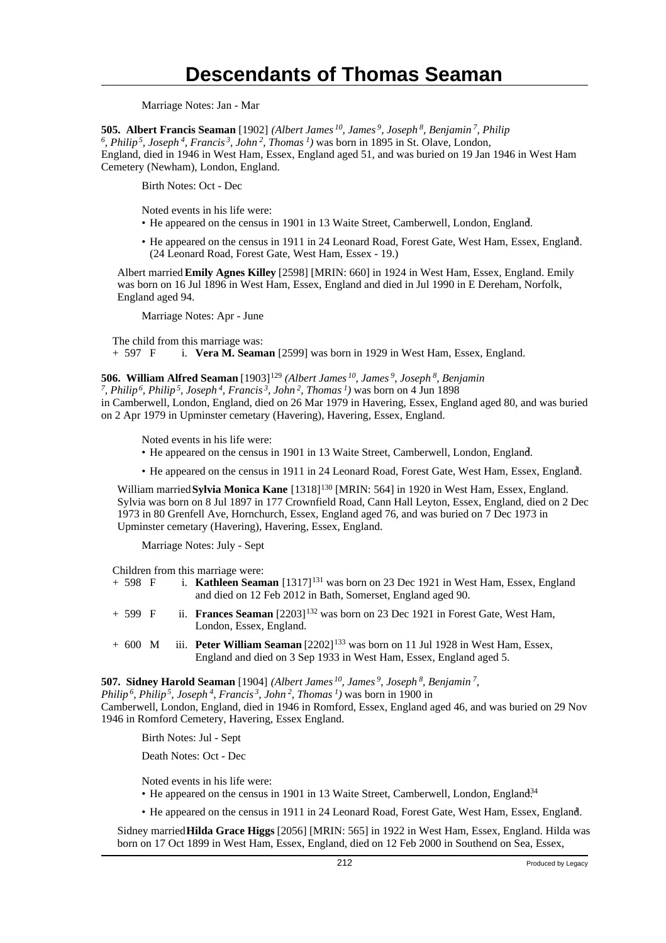Marriage Notes: Jan - Mar

**505. Albert Francis Seaman** [1902] *(Albert James<sup>10</sup>, James<sup>9</sup>, Joseph<sup>8</sup>, Benjamin<sup>7</sup>, Philip*

*6 , Philip<sup>5</sup>, Joseph<sup>4</sup>, Francis<sup>3</sup>, John<sup>2</sup>, Thomas<sup>1</sup>)* was born in 1895 in St. Olave, London, England, died in 1946 in West Ham, Essex, England aged 51, and was buried on 19 Jan 1946 in West Ham Cemetery (Newham), London, England.

Birth Notes: Oct - Dec

Noted events in his life were:

- He appeared on the census in 1901 in 13 Waite Street, Camberwell, London, England.
- He appeared on the census in 1911 in 24 Leonard Road, Forest Gate, West Ham, Essex, England. <sup>1</sup> (24 Leonard Road, Forest Gate, West Ham, Essex - 19.)

Albert married **Emily Agnes Killey** [2598] [MRIN: 660] in 1924 in West Ham, Essex, England. Emily was born on 16 Jul 1896 in West Ham, Essex, England and died in Jul 1990 in E Dereham, Norfolk, England aged 94.

Marriage Notes: Apr - June

The child from this marriage was: + 597 F i. **Vera M. Seaman** [2599] was born in 1929 in West Ham, Essex, England.

#### **506. William Alfred Seaman** [1903]<sup>129</sup> *(Albert James<sup>10</sup>, James<sup>9</sup>, Joseph<sup>8</sup>, Benjamin*

*7 , Philip<sup>6</sup>, Philip<sup>5</sup>, Joseph<sup>4</sup>, Francis<sup>3</sup>, John<sup>2</sup>, Thomas<sup>1</sup>)* was born on 4 Jun 1898 in Camberwell, London, England, died on 26 Mar 1979 in Havering, Essex, England aged 80, and was buried on 2 Apr 1979 in Upminster cemetary (Havering), Havering, Essex, England.

Noted events in his life were:

- He appeared on the census in 1901 in 13 Waite Street, Camberwell, London, England.
- He appeared on the census in 1911 in 24 Leonard Road, Forest Gate, West Ham, Essex, England. <sup>1</sup>

William married **Sylvia Monica Kane** [1318]<sup>130</sup> [MRIN: 564] in 1920 in West Ham, Essex, England. Sylvia was born on 8 Jul 1897 in 177 Crownfield Road, Cann Hall Leyton, Essex, England, died on 2 Dec 1973 in 80 Grenfell Ave, Hornchurch, Essex, England aged 76, and was buried on 7 Dec 1973 in Upminster cemetary (Havering), Havering, Essex, England.

Marriage Notes: July - Sept

Children from this marriage were:

| + 598 F | i. Kathleen Seaman [1317] <sup>131</sup> was born on 23 Dec 1921 in West Ham, Essex, England |
|---------|----------------------------------------------------------------------------------------------|
|         | and died on 12 Feb 2012 in Bath, Somerset, England aged 90.                                  |

- + 599 F ii. **Frances Seaman** [2203]<sup>132</sup> was born on 23 Dec 1921 in Forest Gate, West Ham, London, Essex, England.
- + 600 M iii. **Peter William Seaman** [2202]<sup>133</sup> was born on 11 Jul 1928 in West Ham, Essex, England and died on 3 Sep 1933 in West Ham, Essex, England aged 5.

**507. Sidney Harold Seaman** [1904] *(Albert James<sup>10</sup>, James<sup>9</sup>, Joseph<sup>8</sup>, Benjamin<sup>7</sup> ,*

*Philip<sup>6</sup>, Philip<sup>5</sup>, Joseph<sup>4</sup>, Francis<sup>3</sup>, John<sup>2</sup>, Thomas<sup>1</sup>)* was born in 1900 in

Camberwell, London, England, died in 1946 in Romford, Essex, England aged 46, and was buried on 29 Nov 1946 in Romford Cemetery, Havering, Essex England.

Birth Notes: Jul - Sept

Death Notes: Oct - Dec

Noted events in his life were:

• He appeared on the census in 1901 in 13 Waite Street, Camberwell, London, England<sup>34</sup>

• He appeared on the census in 1911 in 24 Leonard Road, Forest Gate, West Ham, Essex, England. <sup>1</sup>

Sidney married **Hilda Grace Higgs** [2056] [MRIN: 565] in 1922 in West Ham, Essex, England. Hilda was born on 17 Oct 1899 in West Ham, Essex, England, died on 12 Feb 2000 in Southend on Sea, Essex,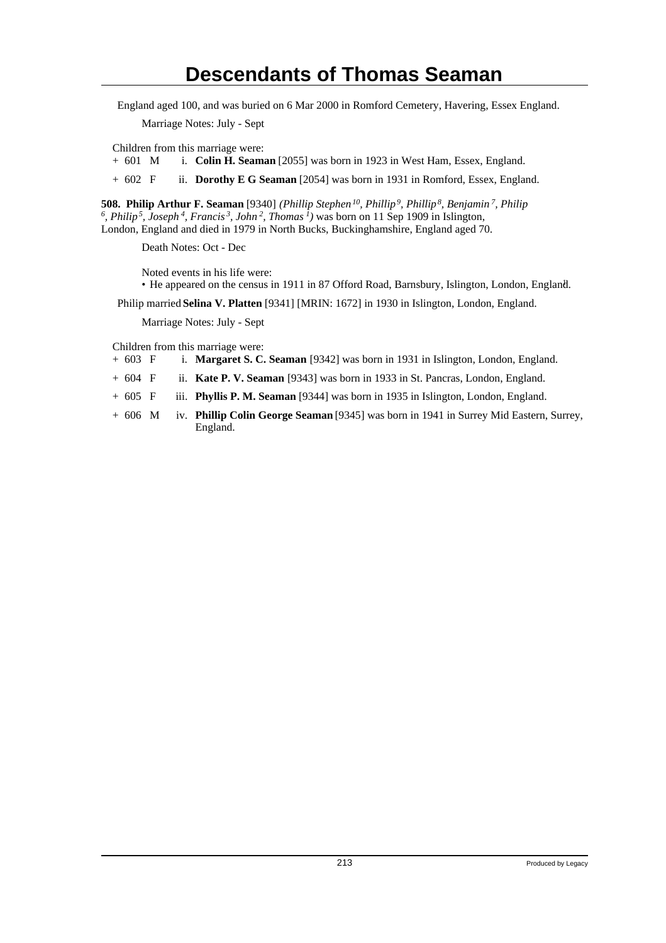England aged 100, and was buried on 6 Mar 2000 in Romford Cemetery, Havering, Essex England.

Marriage Notes: July - Sept

Children from this marriage were:

+ 601 M i. **Colin H. Seaman** [2055] was born in 1923 in West Ham, Essex, England.

+ 602 F ii. **Dorothy E G Seaman** [2054] was born in 1931 in Romford, Essex, England.

**508. Philip Arthur F. Seaman** [9340] *(Phillip Stephen<sup>10</sup>, Phillip<sup>9</sup>, Phillip<sup>8</sup>, Benjamin<sup>7</sup>, Philip 6 , Philip<sup>5</sup>, Joseph<sup>4</sup>, Francis<sup>3</sup>, John<sup>2</sup>, Thomas<sup>1</sup>)* was born on 11 Sep 1909 in Islington, London, England and died in 1979 in North Bucks, Buckinghamshire, England aged 70.

Death Notes: Oct - Dec

Noted events in his life were: • He appeared on the census in 1911 in 87 Offord Road, Barnsbury, Islington, London, England. <sup>1</sup>

Philip married **Selina V. Platten** [9341] [MRIN: 1672] in 1930 in Islington, London, England.

Marriage Notes: July - Sept

Children from this marriage were:

- + 603 F i. **Margaret S. C. Seaman** [9342] was born in 1931 in Islington, London, England.
- + 604 F ii. **Kate P. V. Seaman** [9343] was born in 1933 in St. Pancras, London, England.
- + 605 F iii. **Phyllis P. M. Seaman** [9344] was born in 1935 in Islington, London, England.
- + 606 M iv. **Phillip Colin George Seaman** [9345] was born in 1941 in Surrey Mid Eastern, Surrey, England.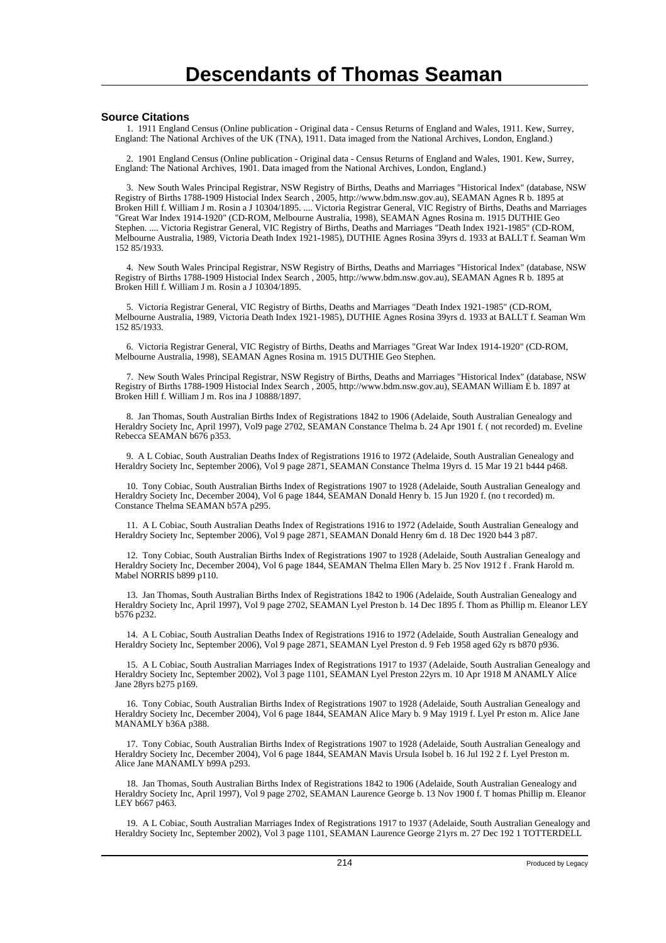#### **Source Citations**

 1. 1911 England Census (Online publication - Original data - Census Returns of England and Wales, 1911. Kew, Surrey, England: The National Archives of the UK (TNA), 1911. Data imaged from the National Archives, London, England.)

 2. 1901 England Census (Online publication - Original data - Census Returns of England and Wales, 1901. Kew, Surrey, England: The National Archives, 1901. Data imaged from the National Archives, London, England.)

 3. New South Wales Principal Registrar, NSW Registry of Births, Deaths and Marriages "Historical Index" (database, NSW Registry of Births 1788-1909 Histocial Index Search , 2005, http://www.bdm.nsw.gov.au), SEAMAN Agnes R b. 1895 at Broken Hill f. William J m. Rosin a J 10304/1895. .... Victoria Registrar General, VIC Registry of Births, Deaths and Marriages "Great War Index 1914-1920" (CD-ROM, Melbourne Australia, 1998), SEAMAN Agnes Rosina m. 1915 DUTHIE Geo Stephen. .... Victoria Registrar General, VIC Registry of Births, Deaths and Marriages "Death Index 1921-1985" (CD-ROM, Melbourne Australia, 1989, Victoria Death Index 1921-1985), DUTHIE Agnes Rosina 39yrs d. 1933 at BALLT f. Seaman Wm 152 85/1933.

 4. New South Wales Principal Registrar, NSW Registry of Births, Deaths and Marriages "Historical Index" (database, NSW Registry of Births 1788-1909 Histocial Index Search , 2005, http://www.bdm.nsw.gov.au), SEAMAN Agnes R b. 1895 at Broken Hill f. William J m. Rosin a J 10304/1895.

 5. Victoria Registrar General, VIC Registry of Births, Deaths and Marriages "Death Index 1921-1985" (CD-ROM, Melbourne Australia, 1989, Victoria Death Index 1921-1985), DUTHIE Agnes Rosina 39yrs d. 1933 at BALLT f. Seaman Wm 152 85/1933.

 6. Victoria Registrar General, VIC Registry of Births, Deaths and Marriages "Great War Index 1914-1920" (CD-ROM, Melbourne Australia, 1998), SEAMAN Agnes Rosina m. 1915 DUTHIE Geo Stephen.

 7. New South Wales Principal Registrar, NSW Registry of Births, Deaths and Marriages "Historical Index" (database, NSW Registry of Births 1788-1909 Histocial Index Search , 2005, http://www.bdm.nsw.gov.au), SEAMAN William E b. 1897 at Broken Hill f. William J m. Ros ina J 10888/1897.

 8. Jan Thomas, South Australian Births Index of Registrations 1842 to 1906 (Adelaide, South Australian Genealogy and Heraldry Society Inc, April 1997), Vol9 page 2702, SEAMAN Constance Thelma b. 24 Apr 1901 f. ( not recorded) m. Eveline Rebecca SEAMAN b676 p353.

 9. A L Cobiac, South Australian Deaths Index of Registrations 1916 to 1972 (Adelaide, South Australian Genealogy and Heraldry Society Inc, September 2006), Vol 9 page 2871, SEAMAN Constance Thelma 19yrs d. 15 Mar 19 21 b444 p468.

 10. Tony Cobiac, South Australian Births Index of Registrations 1907 to 1928 (Adelaide, South Australian Genealogy and Heraldry Society Inc, December 2004), Vol 6 page 1844, SEAMAN Donald Henry b. 15 Jun 1920 f. (no t recorded) m. Constance Thelma SEAMAN b57A p295.

 11. A L Cobiac, South Australian Deaths Index of Registrations 1916 to 1972 (Adelaide, South Australian Genealogy and Heraldry Society Inc, September 2006), Vol 9 page 2871, SEAMAN Donald Henry 6m d. 18 Dec 1920 b44 3 p87.

 12. Tony Cobiac, South Australian Births Index of Registrations 1907 to 1928 (Adelaide, South Australian Genealogy and Heraldry Society Inc, December 2004), Vol 6 page 1844, SEAMAN Thelma Ellen Mary b. 25 Nov 1912 f . Frank Harold m. Mabel NORRIS b899 p110.

 13. Jan Thomas, South Australian Births Index of Registrations 1842 to 1906 (Adelaide, South Australian Genealogy and Heraldry Society Inc, April 1997), Vol 9 page 2702, SEAMAN Lyel Preston b. 14 Dec 1895 f. Thom as Phillip m. Eleanor LEY b576 p232.

 14. A L Cobiac, South Australian Deaths Index of Registrations 1916 to 1972 (Adelaide, South Australian Genealogy and Heraldry Society Inc, September 2006), Vol 9 page 2871, SEAMAN Lyel Preston d. 9 Feb 1958 aged 62y rs b870 p936.

 15. A L Cobiac, South Australian Marriages Index of Registrations 1917 to 1937 (Adelaide, South Australian Genealogy and Heraldry Society Inc, September 2002), Vol 3 page 1101, SEAMAN Lyel Preston 22yrs m. 10 Apr 1918 M ANAMLY Alice Jane 28yrs b275 p169.

 16. Tony Cobiac, South Australian Births Index of Registrations 1907 to 1928 (Adelaide, South Australian Genealogy and Heraldry Society Inc, December 2004), Vol 6 page 1844, SEAMAN Alice Mary b. 9 May 1919 f. Lyel Pr eston m. Alice Jane MANAMLY b36A p388.

 17. Tony Cobiac, South Australian Births Index of Registrations 1907 to 1928 (Adelaide, South Australian Genealogy and Heraldry Society Inc, December 2004), Vol 6 page 1844, SEAMAN Mavis Ursula Isobel b. 16 Jul 192 2 f. Lyel Preston m. Alice Jane MANAMLY b99A p293.

 18. Jan Thomas, South Australian Births Index of Registrations 1842 to 1906 (Adelaide, South Australian Genealogy and Heraldry Society Inc, April 1997), Vol 9 page 2702, SEAMAN Laurence George b. 13 Nov 1900 f. T homas Phillip m. Eleanor LEY b667 p463.

 19. A L Cobiac, South Australian Marriages Index of Registrations 1917 to 1937 (Adelaide, South Australian Genealogy and Heraldry Society Inc, September 2002), Vol 3 page 1101, SEAMAN Laurence George 21yrs m. 27 Dec 192 1 TOTTERDELL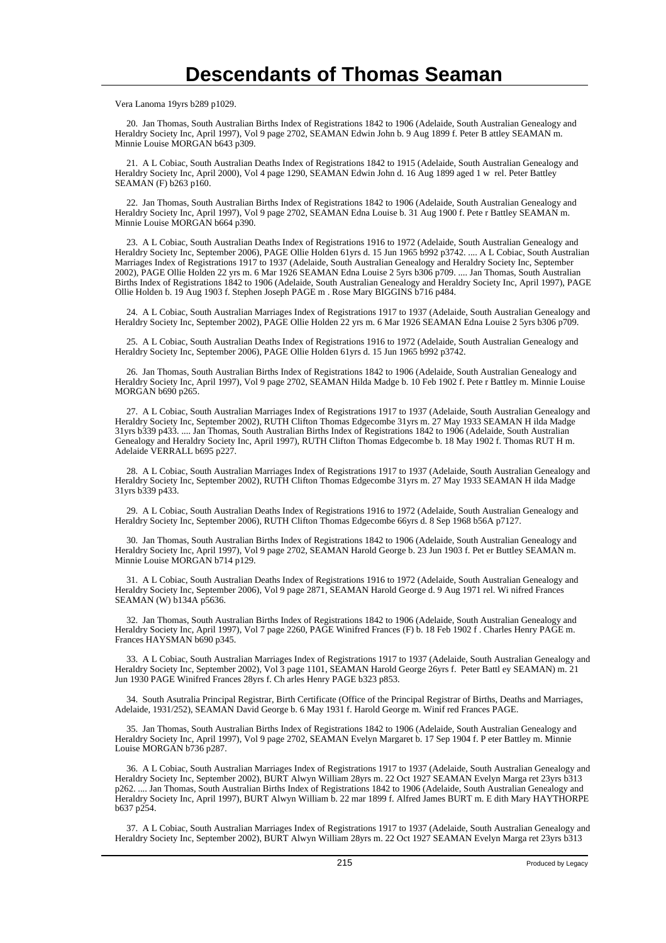Vera Lanoma 19yrs b289 p1029.

 20. Jan Thomas, South Australian Births Index of Registrations 1842 to 1906 (Adelaide, South Australian Genealogy and Heraldry Society Inc, April 1997), Vol 9 page 2702, SEAMAN Edwin John b. 9 Aug 1899 f. Peter B attley SEAMAN m. Minnie Louise MORGAN b643 p309.

 21. A L Cobiac, South Australian Deaths Index of Registrations 1842 to 1915 (Adelaide, South Australian Genealogy and Heraldry Society Inc, April 2000), Vol 4 page 1290, SEAMAN Edwin John d. 16 Aug 1899 aged 1 w rel. Peter Battley SEAMAN (F) b263 p160.

 22. Jan Thomas, South Australian Births Index of Registrations 1842 to 1906 (Adelaide, South Australian Genealogy and Heraldry Society Inc, April 1997), Vol 9 page 2702, SEAMAN Edna Louise b. 31 Aug 1900 f. Pete r Battley SEAMAN m. Minnie Louise MORGAN b664 p390.

 23. A L Cobiac, South Australian Deaths Index of Registrations 1916 to 1972 (Adelaide, South Australian Genealogy and Heraldry Society Inc, September 2006), PAGE Ollie Holden 61yrs d. 15 Jun 1965 b992 p3742. .... A L Cobiac, South Australian Marriages Index of Registrations 1917 to 1937 (Adelaide, South Australian Genealogy and Heraldry Society Inc, September 2002), PAGE Ollie Holden 22 yrs m. 6 Mar 1926 SEAMAN Edna Louise 2 5yrs b306 p709. .... Jan Thomas, South Australian Births Index of Registrations 1842 to 1906 (Adelaide, South Australian Genealogy and Heraldry Society Inc, April 1997), PAGE Ollie Holden b. 19 Aug 1903 f. Stephen Joseph PAGE m . Rose Mary BIGGINS b716 p484.

 24. A L Cobiac, South Australian Marriages Index of Registrations 1917 to 1937 (Adelaide, South Australian Genealogy and Heraldry Society Inc, September 2002), PAGE Ollie Holden 22 yrs m. 6 Mar 1926 SEAMAN Edna Louise 2 5yrs b306 p709.

 25. A L Cobiac, South Australian Deaths Index of Registrations 1916 to 1972 (Adelaide, South Australian Genealogy and Heraldry Society Inc, September 2006), PAGE Ollie Holden 61yrs d. 15 Jun 1965 b992 p3742.

 26. Jan Thomas, South Australian Births Index of Registrations 1842 to 1906 (Adelaide, South Australian Genealogy and Heraldry Society Inc, April 1997), Vol 9 page 2702, SEAMAN Hilda Madge b. 10 Feb 1902 f. Pete r Battley m. Minnie Louise MORGAN b690 p265.

 27. A L Cobiac, South Australian Marriages Index of Registrations 1917 to 1937 (Adelaide, South Australian Genealogy and Heraldry Society Inc, September 2002), RUTH Clifton Thomas Edgecombe 31yrs m. 27 May 1933 SEAMAN H ilda Madge 31yrs b339 p433. .... Jan Thomas, South Australian Births Index of Registrations 1842 to 1906 (Adelaide, South Australian Genealogy and Heraldry Society Inc, April 1997), RUTH Clifton Thomas Edgecombe b. 18 May 1902 f. Thomas RUT H m. Adelaide VERRALL b695 p227.

 28. A L Cobiac, South Australian Marriages Index of Registrations 1917 to 1937 (Adelaide, South Australian Genealogy and Heraldry Society Inc, September 2002), RUTH Clifton Thomas Edgecombe 31yrs m. 27 May 1933 SEAMAN H ilda Madge 31yrs b339 p433.

 29. A L Cobiac, South Australian Deaths Index of Registrations 1916 to 1972 (Adelaide, South Australian Genealogy and Heraldry Society Inc, September 2006), RUTH Clifton Thomas Edgecombe 66yrs d. 8 Sep 1968 b56A p7127.

 30. Jan Thomas, South Australian Births Index of Registrations 1842 to 1906 (Adelaide, South Australian Genealogy and Heraldry Society Inc, April 1997), Vol 9 page 2702, SEAMAN Harold George b. 23 Jun 1903 f. Pet er Buttley SEAMAN m. Minnie Louise MORGAN b714 p129.

 31. A L Cobiac, South Australian Deaths Index of Registrations 1916 to 1972 (Adelaide, South Australian Genealogy and Heraldry Society Inc, September 2006), Vol 9 page 2871, SEAMAN Harold George d. 9 Aug 1971 rel. Wi nifred Frances SEAMAN (W) b134A p5636.

 32. Jan Thomas, South Australian Births Index of Registrations 1842 to 1906 (Adelaide, South Australian Genealogy and Heraldry Society Inc, April 1997), Vol 7 page 2260, PAGE Winifred Frances (F) b. 18 Feb 1902 f . Charles Henry PAGE m. Frances HAYSMAN b690 p345.

 33. A L Cobiac, South Australian Marriages Index of Registrations 1917 to 1937 (Adelaide, South Australian Genealogy and Heraldry Society Inc, September 2002), Vol 3 page 1101, SEAMAN Harold George 26yrs f. Peter Battl ey SEAMAN) m. 21 Jun 1930 PAGE Winifred Frances 28yrs f. Ch arles Henry PAGE b323 p853.

 34. South Asutralia Principal Registrar, Birth Certificate (Office of the Principal Registrar of Births, Deaths and Marriages, Adelaide, 1931/252), SEAMAN David George b. 6 May 1931 f. Harold George m. Winif red Frances PAGE.

 35. Jan Thomas, South Australian Births Index of Registrations 1842 to 1906 (Adelaide, South Australian Genealogy and Heraldry Society Inc, April 1997), Vol 9 page 2702, SEAMAN Evelyn Margaret b. 17 Sep 1904 f. P eter Battley m. Minnie Louise MORGAN b736 p287.

 36. A L Cobiac, South Australian Marriages Index of Registrations 1917 to 1937 (Adelaide, South Australian Genealogy and Heraldry Society Inc, September 2002), BURT Alwyn William 28yrs m. 22 Oct 1927 SEAMAN Evelyn Marga ret 23yrs b313 p262. .... Jan Thomas, South Australian Births Index of Registrations 1842 to 1906 (Adelaide, South Australian Genealogy and Heraldry Society Inc, April 1997), BURT Alwyn William b. 22 mar 1899 f. Alfred James BURT m. E dith Mary HAYTHORPE b637 p254.

 37. A L Cobiac, South Australian Marriages Index of Registrations 1917 to 1937 (Adelaide, South Australian Genealogy and Heraldry Society Inc, September 2002), BURT Alwyn William 28yrs m. 22 Oct 1927 SEAMAN Evelyn Marga ret 23yrs b313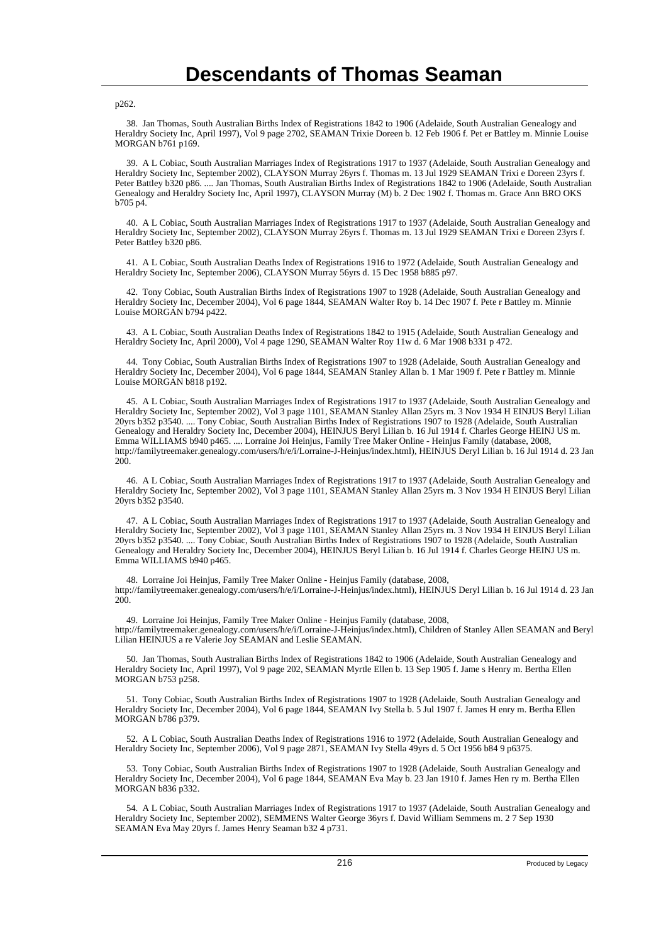p262.

 38. Jan Thomas, South Australian Births Index of Registrations 1842 to 1906 (Adelaide, South Australian Genealogy and Heraldry Society Inc, April 1997), Vol 9 page 2702, SEAMAN Trixie Doreen b. 12 Feb 1906 f. Pet er Battley m. Minnie Louise MORGAN b761 p169.

 39. A L Cobiac, South Australian Marriages Index of Registrations 1917 to 1937 (Adelaide, South Australian Genealogy and Heraldry Society Inc, September 2002), CLAYSON Murray 26yrs f. Thomas m. 13 Jul 1929 SEAMAN Trixi e Doreen 23yrs f. Peter Battley b320 p86. .... Jan Thomas, South Australian Births Index of Registrations 1842 to 1906 (Adelaide, South Australian Genealogy and Heraldry Society Inc, April 1997), CLAYSON Murray (M) b. 2 Dec 1902 f. Thomas m. Grace Ann BRO OKS b705 p4.

 40. A L Cobiac, South Australian Marriages Index of Registrations 1917 to 1937 (Adelaide, South Australian Genealogy and Heraldry Society Inc, September 2002), CLAYSON Murray 26yrs f. Thomas m. 13 Jul 1929 SEAMAN Trixi e Doreen 23yrs f. Peter Battley b320 p86.

 41. A L Cobiac, South Australian Deaths Index of Registrations 1916 to 1972 (Adelaide, South Australian Genealogy and Heraldry Society Inc, September 2006), CLAYSON Murray 56yrs d. 15 Dec 1958 b885 p97.

 42. Tony Cobiac, South Australian Births Index of Registrations 1907 to 1928 (Adelaide, South Australian Genealogy and Heraldry Society Inc, December 2004), Vol 6 page 1844, SEAMAN Walter Roy b. 14 Dec 1907 f. Pete r Battley m. Minnie Louise MORGAN b794 p422.

 43. A L Cobiac, South Australian Deaths Index of Registrations 1842 to 1915 (Adelaide, South Australian Genealogy and Heraldry Society Inc, April 2000), Vol 4 page 1290, SEAMAN Walter Roy 11w d. 6 Mar 1908 b331 p 472.

 44. Tony Cobiac, South Australian Births Index of Registrations 1907 to 1928 (Adelaide, South Australian Genealogy and Heraldry Society Inc, December 2004), Vol 6 page 1844, SEAMAN Stanley Allan b. 1 Mar 1909 f. Pete r Battley m. Minnie Louise MORGAN b818 p192.

 45. A L Cobiac, South Australian Marriages Index of Registrations 1917 to 1937 (Adelaide, South Australian Genealogy and Heraldry Society Inc, September 2002), Vol 3 page 1101, SEAMAN Stanley Allan 25yrs m. 3 Nov 1934 H EINJUS Beryl Lilian 20yrs b352 p3540. .... Tony Cobiac, South Australian Births Index of Registrations 1907 to 1928 (Adelaide, South Australian Genealogy and Heraldry Society Inc, December 2004), HEINJUS Beryl Lilian b. 16 Jul 1914 f. Charles George HEINJ US m. Emma WILLIAMS b940 p465. .... Lorraine Joi Heinjus, Family Tree Maker Online - Heinjus Family (database, 2008, http://familytreemaker.genealogy.com/users/h/e/i/Lorraine-J-Heinjus/index.html), HEINJUS Deryl Lilian b. 16 Jul 1914 d. 23 Jan 200.

 46. A L Cobiac, South Australian Marriages Index of Registrations 1917 to 1937 (Adelaide, South Australian Genealogy and Heraldry Society Inc, September 2002), Vol 3 page 1101, SEAMAN Stanley Allan 25yrs m. 3 Nov 1934 H EINJUS Beryl Lilian 20yrs b352 p3540.

 47. A L Cobiac, South Australian Marriages Index of Registrations 1917 to 1937 (Adelaide, South Australian Genealogy and Heraldry Society Inc, September 2002), Vol 3 page 1101, SEAMAN Stanley Allan 25yrs m. 3 Nov 1934 H EINJUS Beryl Lilian 20yrs b352 p3540. .... Tony Cobiac, South Australian Births Index of Registrations 1907 to 1928 (Adelaide, South Australian Genealogy and Heraldry Society Inc, December 2004), HEINJUS Beryl Lilian b. 16 Jul 1914 f. Charles George HEINJ US m. Emma WILLIAMS b940 p465.

 48. Lorraine Joi Heinjus, Family Tree Maker Online - Heinjus Family (database, 2008, http://familytreemaker.genealogy.com/users/h/e/i/Lorraine-J-Heinjus/index.html), HEINJUS Deryl Lilian b. 16 Jul 1914 d. 23 Jan 200.

 49. Lorraine Joi Heinjus, Family Tree Maker Online - Heinjus Family (database, 2008, http://familytreemaker.genealogy.com/users/h/e/i/Lorraine-J-Heinjus/index.html), Children of Stanley Allen SEAMAN and Beryl Lilian HEINJUS a re Valerie Joy SEAMAN and Leslie SEAMAN.

 50. Jan Thomas, South Australian Births Index of Registrations 1842 to 1906 (Adelaide, South Australian Genealogy and Heraldry Society Inc, April 1997), Vol 9 page 202, SEAMAN Myrtle Ellen b. 13 Sep 1905 f. Jame s Henry m. Bertha Ellen MORGAN b753 p258.

 51. Tony Cobiac, South Australian Births Index of Registrations 1907 to 1928 (Adelaide, South Australian Genealogy and Heraldry Society Inc, December 2004), Vol 6 page 1844, SEAMAN Ivy Stella b. 5 Jul 1907 f. James H enry m. Bertha Ellen MORGAN b786 p379.

 52. A L Cobiac, South Australian Deaths Index of Registrations 1916 to 1972 (Adelaide, South Australian Genealogy and Heraldry Society Inc, September 2006), Vol 9 page 2871, SEAMAN Ivy Stella 49yrs d. 5 Oct 1956 b84 9 p6375.

 53. Tony Cobiac, South Australian Births Index of Registrations 1907 to 1928 (Adelaide, South Australian Genealogy and Heraldry Society Inc, December 2004), Vol 6 page 1844, SEAMAN Eva May b. 23 Jan 1910 f. James Hen ry m. Bertha Ellen MORGAN b836 p332.

 54. A L Cobiac, South Australian Marriages Index of Registrations 1917 to 1937 (Adelaide, South Australian Genealogy and Heraldry Society Inc, September 2002), SEMMENS Walter George 36yrs f. David William Semmens m. 2 7 Sep 1930 SEAMAN Eva May 20yrs f. James Henry Seaman b32 4 p731.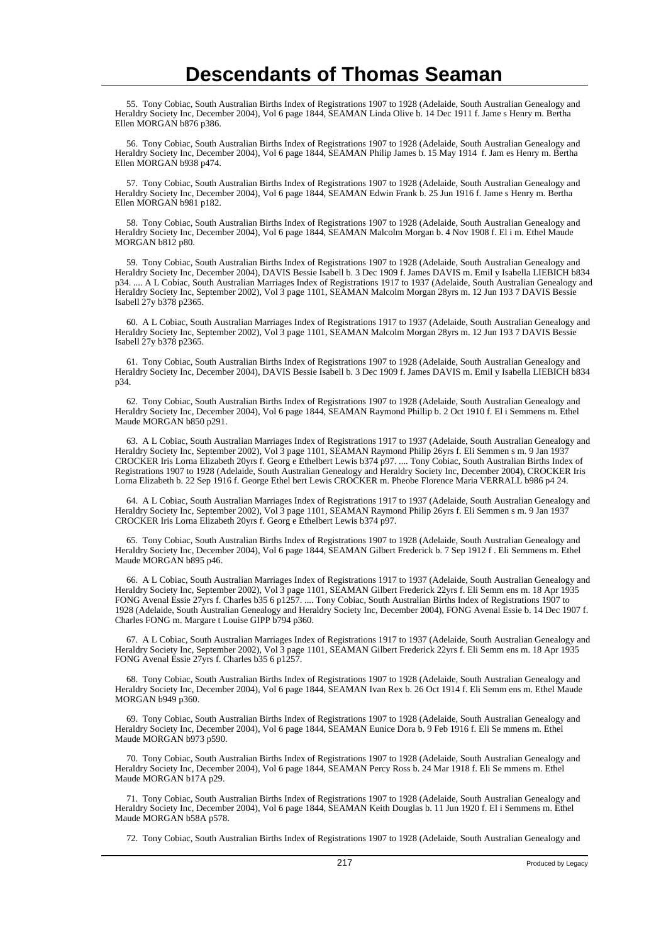55. Tony Cobiac, South Australian Births Index of Registrations 1907 to 1928 (Adelaide, South Australian Genealogy and Heraldry Society Inc, December 2004), Vol 6 page 1844, SEAMAN Linda Olive b. 14 Dec 1911 f. Jame s Henry m. Bertha Ellen MORGAN b876 p386.

 56. Tony Cobiac, South Australian Births Index of Registrations 1907 to 1928 (Adelaide, South Australian Genealogy and Heraldry Society Inc, December 2004), Vol 6 page 1844, SEAMAN Philip James b. 15 May 1914 f. Jam es Henry m. Bertha Ellen MORGAN b938 p474.

 57. Tony Cobiac, South Australian Births Index of Registrations 1907 to 1928 (Adelaide, South Australian Genealogy and Heraldry Society Inc, December 2004), Vol 6 page 1844, SEAMAN Edwin Frank b. 25 Jun 1916 f. Jame s Henry m. Bertha Ellen MORGAN b981 p182.

 58. Tony Cobiac, South Australian Births Index of Registrations 1907 to 1928 (Adelaide, South Australian Genealogy and Heraldry Society Inc, December 2004), Vol 6 page 1844, SEAMAN Malcolm Morgan b. 4 Nov 1908 f. El i m. Ethel Maude MORGAN b812 p80.

 59. Tony Cobiac, South Australian Births Index of Registrations 1907 to 1928 (Adelaide, South Australian Genealogy and Heraldry Society Inc, December 2004), DAVIS Bessie Isabell b. 3 Dec 1909 f. James DAVIS m. Emil y Isabella LIEBICH b834 p34. .... A L Cobiac, South Australian Marriages Index of Registrations 1917 to 1937 (Adelaide, South Australian Genealogy and Heraldry Society Inc, September 2002), Vol 3 page 1101, SEAMAN Malcolm Morgan 28yrs m. 12 Jun 193 7 DAVIS Bessie Isabell 27y b378 p2365.

 60. A L Cobiac, South Australian Marriages Index of Registrations 1917 to 1937 (Adelaide, South Australian Genealogy and Heraldry Society Inc, September 2002), Vol 3 page 1101, SEAMAN Malcolm Morgan 28yrs m. 12 Jun 193 7 DAVIS Bessie Isabell 27y b378 p2365.

 61. Tony Cobiac, South Australian Births Index of Registrations 1907 to 1928 (Adelaide, South Australian Genealogy and Heraldry Society Inc, December 2004), DAVIS Bessie Isabell b. 3 Dec 1909 f. James DAVIS m. Emil y Isabella LIEBICH b834 p34.

 62. Tony Cobiac, South Australian Births Index of Registrations 1907 to 1928 (Adelaide, South Australian Genealogy and Heraldry Society Inc, December 2004), Vol 6 page 1844, SEAMAN Raymond Phillip b. 2 Oct 1910 f. El i Semmens m. Ethel Maude MORGAN b850 p291.

 63. A L Cobiac, South Australian Marriages Index of Registrations 1917 to 1937 (Adelaide, South Australian Genealogy and Heraldry Society Inc, September 2002), Vol 3 page 1101, SEAMAN Raymond Philip 26yrs f. Eli Semmen s m. 9 Jan 1937 CROCKER Iris Lorna Elizabeth 20yrs f. Georg e Ethelbert Lewis b374 p97. .... Tony Cobiac, South Australian Births Index of Registrations 1907 to 1928 (Adelaide, South Australian Genealogy and Heraldry Society Inc, December 2004), CROCKER Iris Lorna Elizabeth b. 22 Sep 1916 f. George Ethel bert Lewis CROCKER m. Pheobe Florence Maria VERRALL b986 p4 24.

 64. A L Cobiac, South Australian Marriages Index of Registrations 1917 to 1937 (Adelaide, South Australian Genealogy and Heraldry Society Inc, September 2002), Vol 3 page 1101, SEAMAN Raymond Philip 26yrs f. Eli Semmen s m. 9 Jan 1937 CROCKER Iris Lorna Elizabeth 20yrs f. Georg e Ethelbert Lewis b374 p97.

 65. Tony Cobiac, South Australian Births Index of Registrations 1907 to 1928 (Adelaide, South Australian Genealogy and Heraldry Society Inc, December 2004), Vol 6 page 1844, SEAMAN Gilbert Frederick b. 7 Sep 1912 f . Eli Semmens m. Ethel Maude MORGAN b895 p46.

 66. A L Cobiac, South Australian Marriages Index of Registrations 1917 to 1937 (Adelaide, South Australian Genealogy and Heraldry Society Inc, September 2002), Vol 3 page 1101, SEAMAN Gilbert Frederick 22yrs f. Eli Semm ens m. 18 Apr 1935 FONG Avenal Essie 27yrs f. Charles b35 6 p1257. .... Tony Cobiac, South Australian Births Index of Registrations 1907 to 1928 (Adelaide, South Australian Genealogy and Heraldry Society Inc, December 2004), FONG Avenal Essie b. 14 Dec 1907 f. Charles FONG m. Margare t Louise GIPP b794 p360.

 67. A L Cobiac, South Australian Marriages Index of Registrations 1917 to 1937 (Adelaide, South Australian Genealogy and Heraldry Society Inc, September 2002), Vol 3 page 1101, SEAMAN Gilbert Frederick 22yrs f. Eli Semm ens m. 18 Apr 1935 FONG Avenal Essie 27yrs f. Charles b35 6 p1257.

 68. Tony Cobiac, South Australian Births Index of Registrations 1907 to 1928 (Adelaide, South Australian Genealogy and Heraldry Society Inc, December 2004), Vol 6 page 1844, SEAMAN Ivan Rex b. 26 Oct 1914 f. Eli Semm ens m. Ethel Maude MORGAN b949 p360.

 69. Tony Cobiac, South Australian Births Index of Registrations 1907 to 1928 (Adelaide, South Australian Genealogy and Heraldry Society Inc, December 2004), Vol 6 page 1844, SEAMAN Eunice Dora b. 9 Feb 1916 f. Eli Se mmens m. Ethel Maude MORGAN b973 p590.

 70. Tony Cobiac, South Australian Births Index of Registrations 1907 to 1928 (Adelaide, South Australian Genealogy and Heraldry Society Inc, December 2004), Vol 6 page 1844, SEAMAN Percy Ross b. 24 Mar 1918 f. Eli Se mmens m. Ethel Maude MORGAN b17A p29.

 71. Tony Cobiac, South Australian Births Index of Registrations 1907 to 1928 (Adelaide, South Australian Genealogy and Heraldry Society Inc, December 2004), Vol 6 page 1844, SEAMAN Keith Douglas b. 11 Jun 1920 f. El i Semmens m. Ethel Maude MORGAN b58A p578.

72. Tony Cobiac, South Australian Births Index of Registrations 1907 to 1928 (Adelaide, South Australian Genealogy and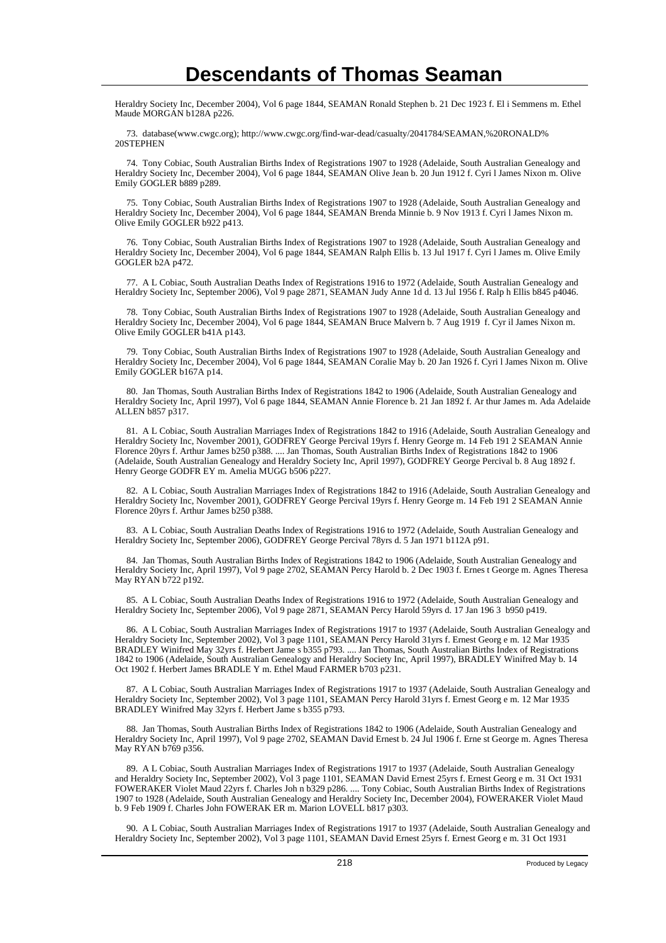Heraldry Society Inc, December 2004), Vol 6 page 1844, SEAMAN Ronald Stephen b. 21 Dec 1923 f. El i Semmens m. Ethel Maude MORGAN b128A p226.

 73. database(www.cwgc.org); http://www.cwgc.org/find-war-dead/casualty/2041784/SEAMAN,%20RONALD% 20STEPHEN

 74. Tony Cobiac, South Australian Births Index of Registrations 1907 to 1928 (Adelaide, South Australian Genealogy and Heraldry Society Inc, December 2004), Vol 6 page 1844, SEAMAN Olive Jean b. 20 Jun 1912 f. Cyri l James Nixon m. Olive Emily GOGLER b889 p289.

 75. Tony Cobiac, South Australian Births Index of Registrations 1907 to 1928 (Adelaide, South Australian Genealogy and Heraldry Society Inc, December 2004), Vol 6 page 1844, SEAMAN Brenda Minnie b. 9 Nov 1913 f. Cyri l James Nixon m. Olive Emily GOGLER b922 p413.

 76. Tony Cobiac, South Australian Births Index of Registrations 1907 to 1928 (Adelaide, South Australian Genealogy and Heraldry Society Inc, December 2004), Vol 6 page 1844, SEAMAN Ralph Ellis b. 13 Jul 1917 f. Cyri l James m. Olive Emily GOGLER b2A p472.

 77. A L Cobiac, South Australian Deaths Index of Registrations 1916 to 1972 (Adelaide, South Australian Genealogy and Heraldry Society Inc, September 2006), Vol 9 page 2871, SEAMAN Judy Anne 1d d. 13 Jul 1956 f. Ralp h Ellis b845 p4046.

 78. Tony Cobiac, South Australian Births Index of Registrations 1907 to 1928 (Adelaide, South Australian Genealogy and Heraldry Society Inc, December 2004), Vol 6 page 1844, SEAMAN Bruce Malvern b. 7 Aug 1919 f. Cyr il James Nixon m. Olive Emily GOGLER b41A p143.

 79. Tony Cobiac, South Australian Births Index of Registrations 1907 to 1928 (Adelaide, South Australian Genealogy and Heraldry Society Inc, December 2004), Vol 6 page 1844, SEAMAN Coralie May b. 20 Jan 1926 f. Cyri l James Nixon m. Olive Emily GOGLER b167A p14.

 80. Jan Thomas, South Australian Births Index of Registrations 1842 to 1906 (Adelaide, South Australian Genealogy and Heraldry Society Inc, April 1997), Vol 6 page 1844, SEAMAN Annie Florence b. 21 Jan 1892 f. Ar thur James m. Ada Adelaide ALLEN b857 p317.

 81. A L Cobiac, South Australian Marriages Index of Registrations 1842 to 1916 (Adelaide, South Australian Genealogy and Heraldry Society Inc, November 2001), GODFREY George Percival 19yrs f. Henry George m. 14 Feb 191 2 SEAMAN Annie Florence 20yrs f. Arthur James b250 p388. .... Jan Thomas, South Australian Births Index of Registrations 1842 to 1906 (Adelaide, South Australian Genealogy and Heraldry Society Inc, April 1997), GODFREY George Percival b. 8 Aug 1892 f. Henry George GODFR EY m. Amelia MUGG b506 p227.

 82. A L Cobiac, South Australian Marriages Index of Registrations 1842 to 1916 (Adelaide, South Australian Genealogy and Heraldry Society Inc, November 2001), GODFREY George Percival 19yrs f. Henry George m. 14 Feb 191 2 SEAMAN Annie Florence 20yrs f. Arthur James b250 p388.

 83. A L Cobiac, South Australian Deaths Index of Registrations 1916 to 1972 (Adelaide, South Australian Genealogy and Heraldry Society Inc, September 2006), GODFREY George Percival 78yrs d. 5 Jan 1971 b112A p91.

 84. Jan Thomas, South Australian Births Index of Registrations 1842 to 1906 (Adelaide, South Australian Genealogy and Heraldry Society Inc, April 1997), Vol 9 page 2702, SEAMAN Percy Harold b. 2 Dec 1903 f. Ernes t George m. Agnes Theresa May RYAN b722 p192.

 85. A L Cobiac, South Australian Deaths Index of Registrations 1916 to 1972 (Adelaide, South Australian Genealogy and Heraldry Society Inc, September 2006), Vol 9 page 2871, SEAMAN Percy Harold 59yrs d. 17 Jan 196 3 b950 p419.

 86. A L Cobiac, South Australian Marriages Index of Registrations 1917 to 1937 (Adelaide, South Australian Genealogy and Heraldry Society Inc, September 2002), Vol 3 page 1101, SEAMAN Percy Harold 31yrs f. Ernest Georg e m. 12 Mar 1935 BRADLEY Winifred May 32yrs f. Herbert Jame s b355 p793. .... Jan Thomas, South Australian Births Index of Registrations 1842 to 1906 (Adelaide, South Australian Genealogy and Heraldry Society Inc, April 1997), BRADLEY Winifred May b. 14 Oct 1902 f. Herbert James BRADLE Y m. Ethel Maud FARMER b703 p231.

 87. A L Cobiac, South Australian Marriages Index of Registrations 1917 to 1937 (Adelaide, South Australian Genealogy and Heraldry Society Inc, September 2002), Vol 3 page 1101, SEAMAN Percy Harold 31yrs f. Ernest Georg e m. 12 Mar 1935 BRADLEY Winifred May 32yrs f. Herbert Jame s b355 p793.

 88. Jan Thomas, South Australian Births Index of Registrations 1842 to 1906 (Adelaide, South Australian Genealogy and Heraldry Society Inc, April 1997), Vol 9 page 2702, SEAMAN David Ernest b. 24 Jul 1906 f. Erne st George m. Agnes Theresa May RYAN b769 p356.

 89. A L Cobiac, South Australian Marriages Index of Registrations 1917 to 1937 (Adelaide, South Australian Genealogy and Heraldry Society Inc, September 2002), Vol 3 page 1101, SEAMAN David Ernest 25yrs f. Ernest Georg e m. 31 Oct 1931 FOWERAKER Violet Maud 22yrs f. Charles Joh n b329 p286. .... Tony Cobiac, South Australian Births Index of Registrations 1907 to 1928 (Adelaide, South Australian Genealogy and Heraldry Society Inc, December 2004), FOWERAKER Violet Maud b. 9 Feb 1909 f. Charles John FOWERAK ER m. Marion LOVELL b817 p303.

 90. A L Cobiac, South Australian Marriages Index of Registrations 1917 to 1937 (Adelaide, South Australian Genealogy and Heraldry Society Inc, September 2002), Vol 3 page 1101, SEAMAN David Ernest 25yrs f. Ernest Georg e m. 31 Oct 1931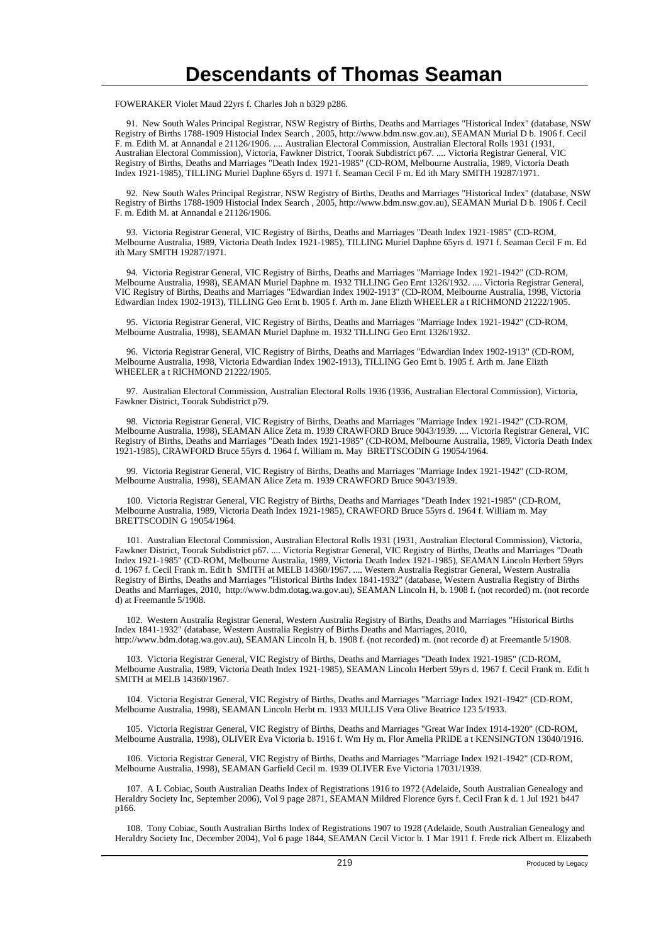FOWERAKER Violet Maud 22yrs f. Charles Joh n b329 p286.

 91. New South Wales Principal Registrar, NSW Registry of Births, Deaths and Marriages "Historical Index" (database, NSW Registry of Births 1788-1909 Histocial Index Search , 2005, http://www.bdm.nsw.gov.au), SEAMAN Murial D b. 1906 f. Cecil F. m. Edith M. at Annandal e 21126/1906. .... Australian Electoral Commission, Australian Electoral Rolls 1931 (1931, Australian Electoral Commission), Victoria, Fawkner District, Toorak Subdistrict p67. .... Victoria Registrar General, VIC Registry of Births, Deaths and Marriages "Death Index 1921-1985" (CD-ROM, Melbourne Australia, 1989, Victoria Death Index 1921-1985), TILLING Muriel Daphne 65yrs d. 1971 f. Seaman Cecil F m. Ed ith Mary SMITH 19287/1971.

 92. New South Wales Principal Registrar, NSW Registry of Births, Deaths and Marriages "Historical Index" (database, NSW Registry of Births 1788-1909 Histocial Index Search , 2005, http://www.bdm.nsw.gov.au), SEAMAN Murial D b. 1906 f. Cecil F. m. Edith M. at Annandal e 21126/1906.

 93. Victoria Registrar General, VIC Registry of Births, Deaths and Marriages "Death Index 1921-1985" (CD-ROM, Melbourne Australia, 1989, Victoria Death Index 1921-1985), TILLING Muriel Daphne 65yrs d. 1971 f. Seaman Cecil F m. Ed ith Mary SMITH 19287/1971.

 94. Victoria Registrar General, VIC Registry of Births, Deaths and Marriages "Marriage Index 1921-1942" (CD-ROM, Melbourne Australia, 1998), SEAMAN Muriel Daphne m. 1932 TILLING Geo Ernt 1326/1932. .... Victoria Registrar General, VIC Registry of Births, Deaths and Marriages "Edwardian Index 1902-1913" (CD-ROM, Melbourne Australia, 1998, Victoria Edwardian Index 1902-1913), TILLING Geo Ernt b. 1905 f. Arth m. Jane Elizth WHEELER a t RICHMOND 21222/1905.

 95. Victoria Registrar General, VIC Registry of Births, Deaths and Marriages "Marriage Index 1921-1942" (CD-ROM, Melbourne Australia, 1998), SEAMAN Muriel Daphne m. 1932 TILLING Geo Ernt 1326/1932.

 96. Victoria Registrar General, VIC Registry of Births, Deaths and Marriages "Edwardian Index 1902-1913" (CD-ROM, Melbourne Australia, 1998, Victoria Edwardian Index 1902-1913), TILLING Geo Ernt b. 1905 f. Arth m. Jane Elizth WHEELER a t RICHMOND 21222/1905.

 97. Australian Electoral Commission, Australian Electoral Rolls 1936 (1936, Australian Electoral Commission), Victoria, Fawkner District, Toorak Subdistrict p79.

 98. Victoria Registrar General, VIC Registry of Births, Deaths and Marriages "Marriage Index 1921-1942" (CD-ROM, Melbourne Australia, 1998), SEAMAN Alice Zeta m. 1939 CRAWFORD Bruce 9043/1939. .... Victoria Registrar General, VIC Registry of Births, Deaths and Marriages "Death Index 1921-1985" (CD-ROM, Melbourne Australia, 1989, Victoria Death Index 1921-1985), CRAWFORD Bruce 55yrs d. 1964 f. William m. May BRETTSCODIN G 19054/1964.

 99. Victoria Registrar General, VIC Registry of Births, Deaths and Marriages "Marriage Index 1921-1942" (CD-ROM, Melbourne Australia, 1998), SEAMAN Alice Zeta m. 1939 CRAWFORD Bruce 9043/1939.

 100. Victoria Registrar General, VIC Registry of Births, Deaths and Marriages "Death Index 1921-1985" (CD-ROM, Melbourne Australia, 1989, Victoria Death Index 1921-1985), CRAWFORD Bruce 55yrs d. 1964 f. William m. May BRETTSCODIN G 19054/1964.

 101. Australian Electoral Commission, Australian Electoral Rolls 1931 (1931, Australian Electoral Commission), Victoria, Fawkner District, Toorak Subdistrict p67. .... Victoria Registrar General, VIC Registry of Births, Deaths and Marriages "Death Index 1921-1985" (CD-ROM, Melbourne Australia, 1989, Victoria Death Index 1921-1985), SEAMAN Lincoln Herbert 59yrs d. 1967 f. Cecil Frank m. Edit h SMITH at MELB 14360/1967. .... Western Australia Registrar General, Western Australia Registry of Births, Deaths and Marriages "Historical Births Index 1841-1932" (database, Western Australia Registry of Births Deaths and Marriages, 2010, http://www.bdm.dotag.wa.gov.au), SEAMAN Lincoln H, b. 1908 f. (not recorded) m. (not recorde d) at Freemantle 5/1908.

 102. Western Australia Registrar General, Western Australia Registry of Births, Deaths and Marriages "Historical Births Index 1841-1932" (database, Western Australia Registry of Births Deaths and Marriages, 2010, http://www.bdm.dotag.wa.gov.au), SEAMAN Lincoln H, b. 1908 f. (not recorded) m. (not recorde d) at Freemantle 5/1908.

 103. Victoria Registrar General, VIC Registry of Births, Deaths and Marriages "Death Index 1921-1985" (CD-ROM, Melbourne Australia, 1989, Victoria Death Index 1921-1985), SEAMAN Lincoln Herbert 59yrs d. 1967 f. Cecil Frank m. Edit h SMITH at MELB 14360/1967.

 104. Victoria Registrar General, VIC Registry of Births, Deaths and Marriages "Marriage Index 1921-1942" (CD-ROM, Melbourne Australia, 1998), SEAMAN Lincoln Herbt m. 1933 MULLIS Vera Olive Beatrice 123 5/1933.

 105. Victoria Registrar General, VIC Registry of Births, Deaths and Marriages "Great War Index 1914-1920" (CD-ROM, Melbourne Australia, 1998), OLIVER Eva Victoria b. 1916 f. Wm Hy m. Flor Amelia PRIDE a t KENSINGTON 13040/1916.

 106. Victoria Registrar General, VIC Registry of Births, Deaths and Marriages "Marriage Index 1921-1942" (CD-ROM, Melbourne Australia, 1998), SEAMAN Garfield Cecil m. 1939 OLIVER Eve Victoria 17031/1939.

 107. A L Cobiac, South Australian Deaths Index of Registrations 1916 to 1972 (Adelaide, South Australian Genealogy and Heraldry Society Inc, September 2006), Vol 9 page 2871, SEAMAN Mildred Florence 6yrs f. Cecil Fran k d. 1 Jul 1921 b447 p166.

 108. Tony Cobiac, South Australian Births Index of Registrations 1907 to 1928 (Adelaide, South Australian Genealogy and Heraldry Society Inc, December 2004), Vol 6 page 1844, SEAMAN Cecil Victor b. 1 Mar 1911 f. Frede rick Albert m. Elizabeth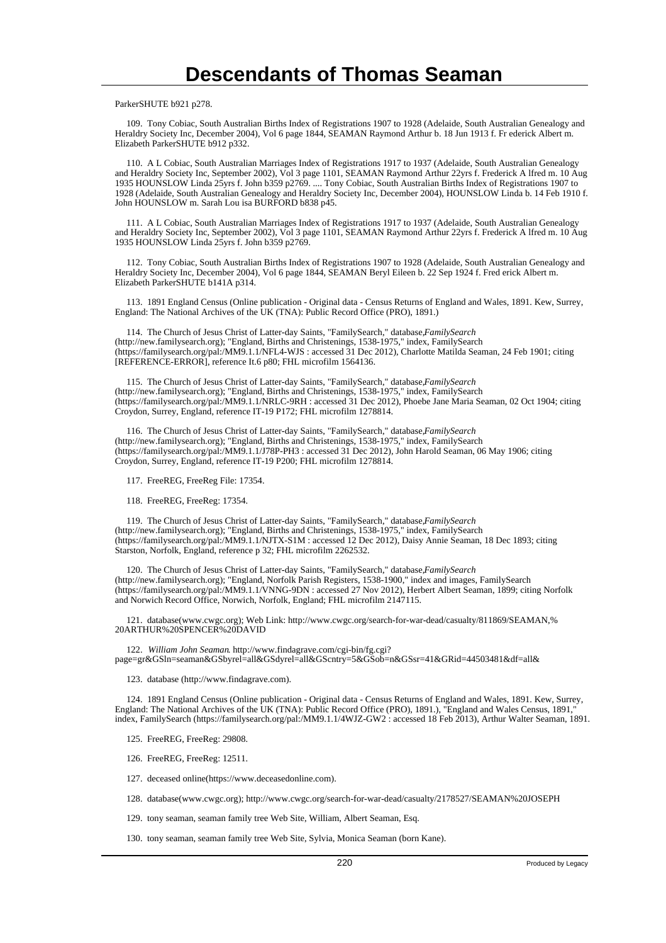ParkerSHUTE b921 p278.

 109. Tony Cobiac, South Australian Births Index of Registrations 1907 to 1928 (Adelaide, South Australian Genealogy and Heraldry Society Inc, December 2004), Vol 6 page 1844, SEAMAN Raymond Arthur b. 18 Jun 1913 f. Fr ederick Albert m. Elizabeth ParkerSHUTE b912 p332.

 110. A L Cobiac, South Australian Marriages Index of Registrations 1917 to 1937 (Adelaide, South Australian Genealogy and Heraldry Society Inc, September 2002), Vol 3 page 1101, SEAMAN Raymond Arthur 22yrs f. Frederick A lfred m. 10 Aug 1935 HOUNSLOW Linda 25yrs f. John b359 p2769. .... Tony Cobiac, South Australian Births Index of Registrations 1907 to 1928 (Adelaide, South Australian Genealogy and Heraldry Society Inc, December 2004), HOUNSLOW Linda b. 14 Feb 1910 f. John HOUNSLOW m. Sarah Lou isa BURFORD b838 p45.

 111. A L Cobiac, South Australian Marriages Index of Registrations 1917 to 1937 (Adelaide, South Australian Genealogy and Heraldry Society Inc, September 2002), Vol 3 page 1101, SEAMAN Raymond Arthur 22yrs f. Frederick A lfred m. 10 Aug 1935 HOUNSLOW Linda 25yrs f. John b359 p2769.

 112. Tony Cobiac, South Australian Births Index of Registrations 1907 to 1928 (Adelaide, South Australian Genealogy and Heraldry Society Inc, December 2004), Vol 6 page 1844, SEAMAN Beryl Eileen b. 22 Sep 1924 f. Fred erick Albert m. Elizabeth ParkerSHUTE b141A p314.

 113. 1891 England Census (Online publication - Original data - Census Returns of England and Wales, 1891. Kew, Surrey, England: The National Archives of the UK (TNA): Public Record Office (PRO), 1891.)

 114. The Church of Jesus Christ of Latter-day Saints, "FamilySearch," database, *FamilySearch* (http://new.familysearch.org); "England, Births and Christenings, 1538-1975," index, FamilySearch (https://familysearch.org/pal:/MM9.1.1/NFL4-WJS : accessed 31 Dec 2012), Charlotte Matilda Seaman, 24 Feb 1901; citing [REFERENCE-ERROR], reference It.6 p80; FHL microfilm 1564136.

 115. The Church of Jesus Christ of Latter-day Saints, "FamilySearch," database, *FamilySearch* (http://new.familysearch.org); "England, Births and Christenings, 1538-1975," index, FamilySearch (https://familysearch.org/pal:/MM9.1.1/NRLC-9RH : accessed 31 Dec 2012), Phoebe Jane Maria Seaman, 02 Oct 1904; citing Croydon, Surrey, England, reference IT-19 P172; FHL microfilm 1278814.

 116. The Church of Jesus Christ of Latter-day Saints, "FamilySearch," database, *FamilySearch* (http://new.familysearch.org); "England, Births and Christenings, 1538-1975," index, FamilySearch (https://familysearch.org/pal:/MM9.1.1/J78P-PH3 : accessed 31 Dec 2012), John Harold Seaman, 06 May 1906; citing Croydon, Surrey, England, reference IT-19 P200; FHL microfilm 1278814.

117. FreeREG, FreeReg File: 17354.

118. FreeREG, FreeReg: 17354.

 119. The Church of Jesus Christ of Latter-day Saints, "FamilySearch," database, *FamilySearch* (http://new.familysearch.org); "England, Births and Christenings, 1538-1975," index, FamilySearch (https://familysearch.org/pal:/MM9.1.1/NJTX-S1M : accessed 12 Dec 2012), Daisy Annie Seaman, 18 Dec 1893; citing Starston, Norfolk, England, reference p 32; FHL microfilm 2262532.

 120. The Church of Jesus Christ of Latter-day Saints, "FamilySearch," database, *FamilySearch* (http://new.familysearch.org); "England, Norfolk Parish Registers, 1538-1900," index and images, FamilySearch (https://familysearch.org/pal:/MM9.1.1/VNNG-9DN : accessed 27 Nov 2012), Herbert Albert Seaman, 1899; citing Norfolk and Norwich Record Office, Norwich, Norfolk, England; FHL microfilm 2147115.

 121. database(www.cwgc.org); Web Link: http://www.cwgc.org/search-for-war-dead/casualty/811869/SEAMAN,% 20ARTHUR%20SPENCER%20DAVID

 122. *William John Seaman*. http://www.findagrave.com/cgi-bin/fg.cgi? page=gr&GSln=seaman&GSbyrel=all&GSdyrel=all&GScntry=5&GSob=n&GSsr=41&GRid=44503481&df=all&

123. database (http://www.findagrave.com).

 124. 1891 England Census (Online publication - Original data - Census Returns of England and Wales, 1891. Kew, Surrey, England: The National Archives of the UK (TNA): Public Record Office (PRO), 1891.), "England and Wales Census, 1891, index, FamilySearch (https://familysearch.org/pal:/MM9.1.1/4WJZ-GW2 : accessed 18 Feb 2013), Arthur Walter Seaman, 1891.

125. FreeREG, FreeReg: 29808.

126. FreeREG, FreeReg: 12511.

127. deceased online(https://www.deceasedonline.com).

128. database(www.cwgc.org); http://www.cwgc.org/search-for-war-dead/casualty/2178527/SEAMAN%20JOSEPH

129. tony seaman, seaman family tree Web Site, William, Albert Seaman, Esq.

130. tony seaman, seaman family tree Web Site, Sylvia, Monica Seaman (born Kane).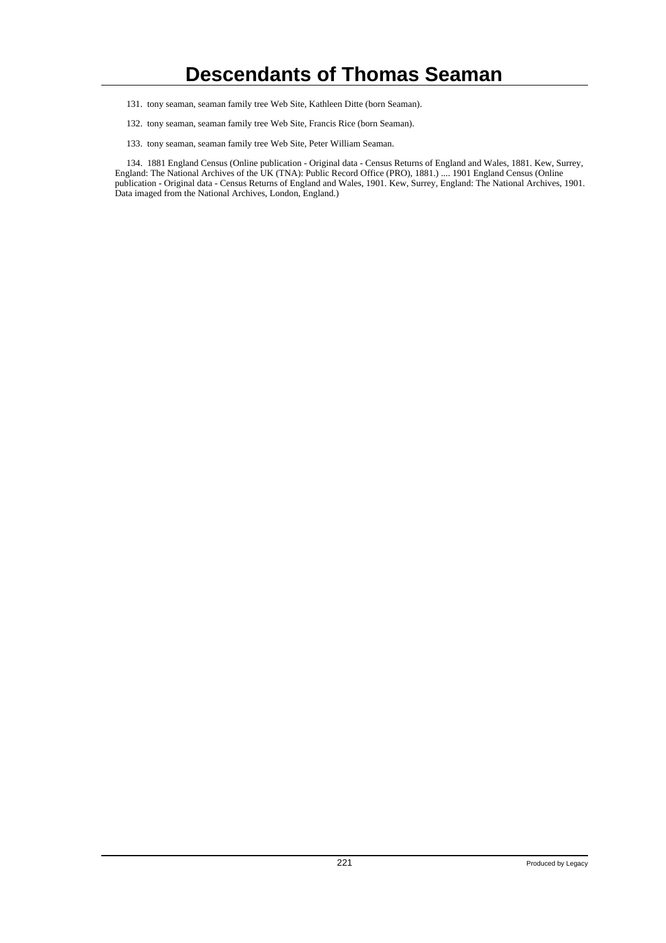- 131. tony seaman, seaman family tree Web Site, Kathleen Ditte (born Seaman).
- 132. tony seaman, seaman family tree Web Site, Francis Rice (born Seaman).
- 133. tony seaman, seaman family tree Web Site, Peter William Seaman.

 134. 1881 England Census (Online publication - Original data - Census Returns of England and Wales, 1881. Kew, Surrey, England: The National Archives of the UK (TNA): Public Record Office (PRO), 1881.) .... 1901 England Census (Online publication - Original data - Census Returns of England and Wales, 1901. Kew, Surrey, England: The National Archives, 1901. Data imaged from the National Archives, London, England.)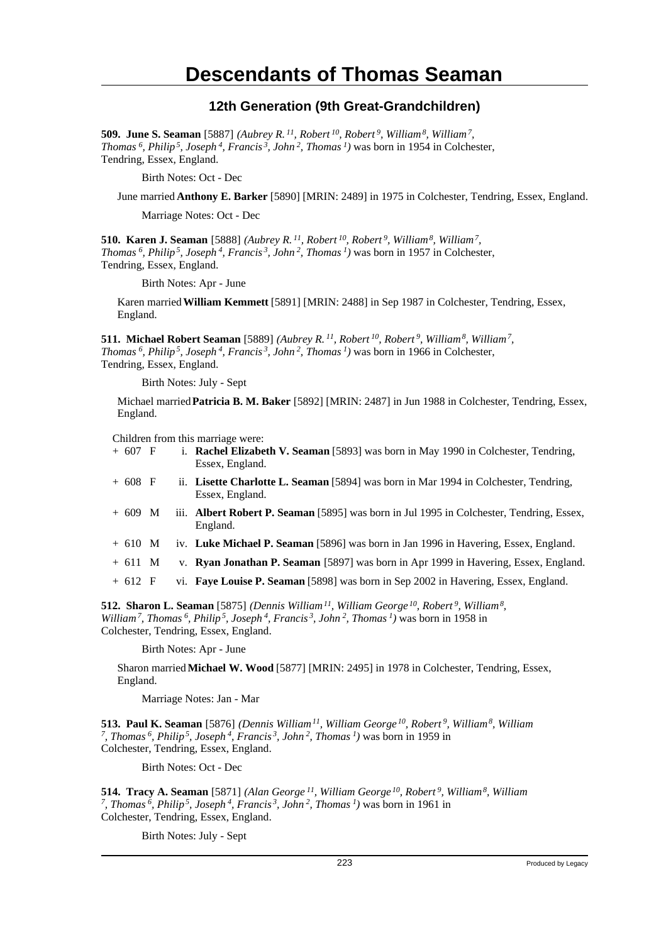#### **12th Generation (9th Great-Grandchildren)**

**509. June S. Seaman** [5887] *(Aubrey R.<sup>11</sup>, Robert<sup>10</sup>, Robert<sup>9</sup>, William<sup>8</sup>, William<sup>7</sup> , Thomas<sup>6</sup>, Philip<sup>5</sup>, Joseph<sup>4</sup>, Francis<sup>3</sup>, John<sup>2</sup>, Thomas<sup>1</sup>)* was born in 1954 in Colchester, Tendring, Essex, England.

Birth Notes: Oct - Dec

June married **Anthony E. Barker** [5890] [MRIN: 2489] in 1975 in Colchester, Tendring, Essex, England.

Marriage Notes: Oct - Dec

**510. Karen J. Seaman** [5888] *(Aubrey R.<sup>11</sup>, Robert<sup>10</sup>, Robert<sup>9</sup>, William<sup>8</sup>, William<sup>7</sup> , Thomas<sup>6</sup>, Philip<sup>5</sup>, Joseph<sup>4</sup>, Francis<sup>3</sup>, John<sup>2</sup>, Thomas<sup>1</sup>)* was born in 1957 in Colchester, Tendring, Essex, England.

Birth Notes: Apr - June

Karen married **William Kemmett** [5891] [MRIN: 2488] in Sep 1987 in Colchester, Tendring, Essex, England.

**511. Michael Robert Seaman** [5889] *(Aubrey R.<sup>11</sup>, Robert<sup>10</sup>, Robert<sup>9</sup>, William<sup>8</sup>, William<sup>7</sup> , Thomas<sup>6</sup>, Philip<sup>5</sup>, Joseph<sup>4</sup>, Francis<sup>3</sup>, John<sup>2</sup>, Thomas<sup>1</sup>)* was born in 1966 in Colchester, Tendring, Essex, England.

Birth Notes: July - Sept

Michael married **Patricia B. M. Baker** [5892] [MRIN: 2487] in Jun 1988 in Colchester, Tendring, Essex, England.

Children from this marriage were:

- + 607 F i. **Rachel Elizabeth V. Seaman** [5893] was born in May 1990 in Colchester, Tendring, Essex, England.
- + 608 F ii. **Lisette Charlotte L. Seaman** [5894] was born in Mar 1994 in Colchester, Tendring, Essex, England.
- + 609 M iii. **Albert Robert P. Seaman** [5895] was born in Jul 1995 in Colchester, Tendring, Essex, England.
- + 610 M iv. **Luke Michael P. Seaman** [5896] was born in Jan 1996 in Havering, Essex, England.
- + 611 M v. **Ryan Jonathan P. Seaman** [5897] was born in Apr 1999 in Havering, Essex, England.
- + 612 F vi. **Faye Louise P. Seaman** [5898] was born in Sep 2002 in Havering, Essex, England.

**512. Sharon L. Seaman** [5875] *(Dennis William<sup>11</sup>, William George<sup>10</sup>, Robert<sup>9</sup>, William<sup>8</sup> , William<sup>7</sup>, Thomas<sup>6</sup>, Philip<sup>5</sup>, Joseph<sup>4</sup>, Francis<sup>3</sup>, John<sup>2</sup>, Thomas<sup>1</sup>)* was born in 1958 in Colchester, Tendring, Essex, England.

Birth Notes: Apr - June

Sharon married **Michael W. Wood** [5877] [MRIN: 2495] in 1978 in Colchester, Tendring, Essex, England.

Marriage Notes: Jan - Mar

**513. Paul K. Seaman** [5876] *(Dennis William<sup>11</sup>, William George<sup>10</sup>, Robert<sup>9</sup>, William<sup>8</sup>, William 7 , Thomas<sup>6</sup>, Philip<sup>5</sup>, Joseph<sup>4</sup>, Francis<sup>3</sup>, John<sup>2</sup>, Thomas<sup>1</sup>)* was born in 1959 in Colchester, Tendring, Essex, England.

Birth Notes: Oct - Dec

**514. Tracy A. Seaman** [5871] *(Alan George<sup>11</sup>, William George<sup>10</sup>, Robert<sup>9</sup>, William<sup>8</sup>, William 7 , Thomas<sup>6</sup>, Philip<sup>5</sup>, Joseph<sup>4</sup>, Francis<sup>3</sup>, John<sup>2</sup>, Thomas<sup>1</sup>)* was born in 1961 in Colchester, Tendring, Essex, England.

Birth Notes: July - Sept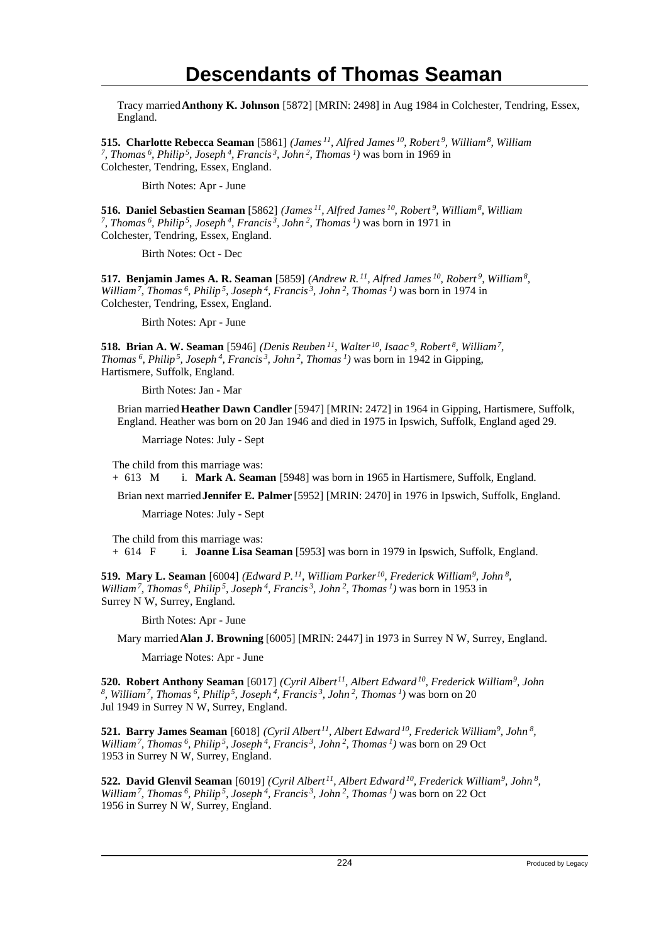Tracy married **Anthony K. Johnson** [5872] [MRIN: 2498] in Aug 1984 in Colchester, Tendring, Essex, England.

**515. Charlotte Rebecca Seaman** [5861] *(James<sup>11</sup>, Alfred James<sup>10</sup>, Robert<sup>9</sup>, William<sup>8</sup>, William 7 , Thomas<sup>6</sup>, Philip<sup>5</sup>, Joseph<sup>4</sup>, Francis<sup>3</sup>, John<sup>2</sup>, Thomas<sup>1</sup>)* was born in 1969 in Colchester, Tendring, Essex, England.

Birth Notes: Apr - June

**516. Daniel Sebastien Seaman** [5862] *(James<sup>11</sup>, Alfred James<sup>10</sup>, Robert<sup>9</sup>, William<sup>8</sup>, William 7 , Thomas<sup>6</sup>, Philip<sup>5</sup>, Joseph<sup>4</sup>, Francis<sup>3</sup>, John<sup>2</sup>, Thomas<sup>1</sup>)* was born in 1971 in Colchester, Tendring, Essex, England.

Birth Notes: Oct - Dec

**517. Benjamin James A. R. Seaman** [5859] *(Andrew R.<sup>11</sup>, Alfred James<sup>10</sup>, Robert<sup>9</sup>, William<sup>8</sup> , William<sup>7</sup>, Thomas<sup>6</sup>, Philip<sup>5</sup>, Joseph<sup>4</sup>, Francis<sup>3</sup>, John<sup>2</sup>, Thomas<sup>1</sup>)* was born in 1974 in Colchester, Tendring, Essex, England.

Birth Notes: Apr - June

**518. Brian A. W. Seaman** [5946] *(Denis Reuben<sup>11</sup>, Walter<sup>10</sup>, Isaac<sup>9</sup>, Robert<sup>8</sup>, William<sup>7</sup> , Thomas<sup>6</sup>, Philip<sup>5</sup>, Joseph<sup>4</sup>, Francis<sup>3</sup>, John<sup>2</sup>, Thomas<sup>1</sup>)* was born in 1942 in Gipping, Hartismere, Suffolk, England.

Birth Notes: Jan - Mar

Brian married **Heather Dawn Candler** [5947] [MRIN: 2472] in 1964 in Gipping, Hartismere, Suffolk, England. Heather was born on 20 Jan 1946 and died in 1975 in Ipswich, Suffolk, England aged 29.

Marriage Notes: July - Sept

The child from this marriage was: + 613 M i. **Mark A. Seaman** [5948] was born in 1965 in Hartismere, Suffolk, England.

Brian next married **Jennifer E. Palmer** [5952] [MRIN: 2470] in 1976 in Ipswich, Suffolk, England.

Marriage Notes: July - Sept

The child from this marriage was: + 614 F i. **Joanne Lisa Seaman** [5953] was born in 1979 in Ipswich, Suffolk, England.

**519. Mary L. Seaman** [6004] *(Edward P.<sup>11</sup>, William Parker<sup>10</sup>, Frederick William<sup>9</sup>, John<sup>8</sup> , William<sup>7</sup>, Thomas<sup>6</sup>, Philip<sup>5</sup>, Joseph<sup>4</sup>, Francis<sup>3</sup>, John<sup>2</sup>, Thomas<sup>1</sup>)* was born in 1953 in Surrey N W, Surrey, England.

Birth Notes: Apr - June

Mary married **Alan J. Browning** [6005] [MRIN: 2447] in 1973 in Surrey N W, Surrey, England.

Marriage Notes: Apr - June

**520. Robert Anthony Seaman** [6017] *(Cyril Albert<sup>11</sup>, Albert Edward<sup>10</sup>, Frederick William<sup>9</sup>, John 8 , William<sup>7</sup>, Thomas<sup>6</sup>, Philip<sup>5</sup>, Joseph<sup>4</sup>, Francis<sup>3</sup>, John<sup>2</sup>, Thomas<sup>1</sup>)* was born on 20 Jul 1949 in Surrey N W, Surrey, England.

**521. Barry James Seaman** [6018] *(Cyril Albert<sup>11</sup>, Albert Edward<sup>10</sup>, Frederick William<sup>9</sup>, John<sup>8</sup> , William<sup>7</sup>, Thomas<sup>6</sup>, Philip<sup>5</sup>, Joseph<sup>4</sup>, Francis<sup>3</sup>, John<sup>2</sup>, Thomas<sup>1</sup>)* was born on 29 Oct 1953 in Surrey N W, Surrey, England.

**522. David Glenvil Seaman** [6019] *(Cyril Albert<sup>11</sup>, Albert Edward<sup>10</sup>, Frederick William<sup>9</sup>, John<sup>8</sup> , William<sup>7</sup>, Thomas<sup>6</sup>, Philip<sup>5</sup>, Joseph<sup>4</sup>, Francis<sup>3</sup>, John<sup>2</sup>, Thomas<sup>1</sup>)* was born on 22 Oct 1956 in Surrey N W, Surrey, England.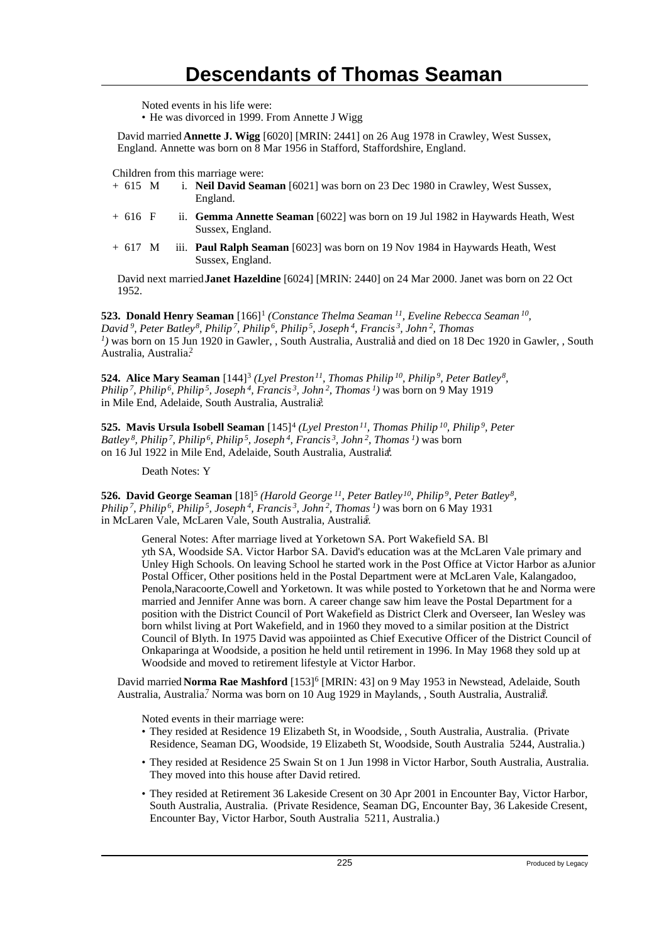Noted events in his life were:

• He was divorced in 1999. From Annette J Wigg

David married **Annette J. Wigg** [6020] [MRIN: 2441] on 26 Aug 1978 in Crawley, West Sussex, England. Annette was born on 8 Mar 1956 in Stafford, Staffordshire, England.

Children from this marriage were:

- + 615 M i. **Neil David Seaman** [6021] was born on 23 Dec 1980 in Crawley, West Sussex, England.
- + 616 F ii. **Gemma Annette Seaman** [6022] was born on 19 Jul 1982 in Haywards Heath, West Sussex, England.
- + 617 M iii. **Paul Ralph Seaman** [6023] was born on 19 Nov 1984 in Haywards Heath, West Sussex, England.

David next married **Janet Hazeldine** [6024] [MRIN: 2440] on 24 Mar 2000. Janet was born on 22 Oct 1952.

**523. Donald Henry Seaman** [166]<sup>1</sup> (Constance Thelma Seaman<sup>11</sup>, Eveline Rebecca Seaman<sup>10</sup>, *David<sup>9</sup>, Peter Batley<sup>8</sup>, Philip<sup>7</sup>, Philip<sup>6</sup>, Philip<sup>5</sup>, Joseph<sup>4</sup>, Francis<sup>3</sup>, John<sup>2</sup>, Thomas*  $<sup>1</sup>$ ) was born on 15 Jun 1920 in Gawler, , South Australia, Australia and died on 18 Dec 1920 in Gawler, , South</sup> Australia, Australia.<sup>2</sup>

**524. Alice Mary Seaman** [144]<sup>3</sup> (Lyel Preston<sup>11</sup>, Thomas Philip<sup>10</sup>, Philip<sup>9</sup>, Peter Batley<sup>8</sup>, *Philip<sup>7</sup>, Philip<sup>6</sup>, Philip<sup>5</sup>, Joseph<sup>4</sup>, Francis<sup>3</sup>, John<sup>2</sup>, Thomas<sup>1</sup>)* was born on 9 May 1919 in Mile End, Adelaide, South Australia, Australia<sup>3</sup>.

**525. Mavis Ursula Isobell Seaman** [145]<sup>4</sup>  *(Lyel Preston<sup>11</sup>, Thomas Philip<sup>10</sup>, Philip<sup>9</sup>, Peter Batley<sup>8</sup>, Philip<sup>7</sup>, Philip<sup>6</sup>, Philip<sup>5</sup>, Joseph<sup>4</sup>, Francis<sup>3</sup>, John<sup>2</sup>, Thomas<sup>1</sup>)* was born on 16 Jul 1922 in Mile End, Adelaide, South Australia, Australia.<sup>4</sup>

Death Notes: Y

**526. David George Seaman** [18]<sup>5</sup> (Harold George<sup>11</sup>, Peter Batley<sup>10</sup>, Philip<sup>9</sup>, Peter Batley<sup>8</sup>, *Philip<sup>7</sup>, Philip<sup>6</sup>, Philip<sup>5</sup>, Joseph<sup>4</sup>, Francis<sup>3</sup>, John<sup>2</sup>, Thomas<sup>1</sup>)* was born on 6 May 1931 in McLaren Vale, McLaren Vale, South Australia, Australia.

General Notes: After marriage lived at Yorketown SA. Port Wakefield SA. Bl yth SA, Woodside SA. Victor Harbor SA. David's education was at the McLaren Vale primary and Unley High Schools. On leaving School he started work in the Post Office at Victor Harbor as aJunior Postal Officer, Other positions held in the Postal Department were at McLaren Vale, Kalangadoo, Penola,Naracoorte,Cowell and Yorketown. It was while posted to Yorketown that he and Norma were married and Jennifer Anne was born. A career change saw him leave the Postal Department for a position with the District Council of Port Wakefield as District Clerk and Overseer, Ian Wesley was born whilst living at Port Wakefield, and in 1960 they moved to a similar position at the District Council of Blyth. In 1975 David was appoiinted as Chief Executive Officer of the District Council of Onkaparinga at Woodside, a position he held until retirement in 1996. In May 1968 they sold up at Woodside and moved to retirement lifestyle at Victor Harbor.

David married Norma Rae Mashford [153]<sup>6</sup> [MRIN: 43] on 9 May 1953 in Newstead, Adelaide, South Australia, Australia<sup>7</sup> Norma was born on 10 Aug 1929 in Maylands, , South Australia, Australia.

Noted events in their marriage were:

- They resided at Residence 19 Elizabeth St, in Woodside, , South Australia, Australia. (Private Residence, Seaman DG, Woodside, 19 Elizabeth St, Woodside, South Australia 5244, Australia.)
- They resided at Residence 25 Swain St on 1 Jun 1998 in Victor Harbor, South Australia, Australia. They moved into this house after David retired.
- They resided at Retirement 36 Lakeside Cresent on 30 Apr 2001 in Encounter Bay, Victor Harbor, South Australia, Australia. (Private Residence, Seaman DG, Encounter Bay, 36 Lakeside Cresent, Encounter Bay, Victor Harbor, South Australia 5211, Australia.)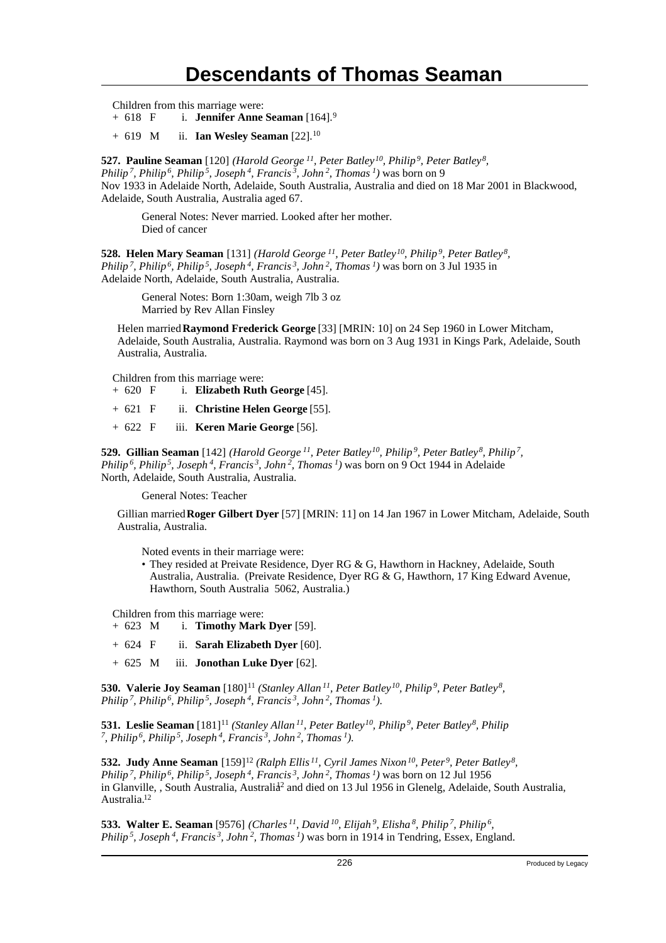Children from this marriage were:

+ 618 F i. **Jennifer Anne Seaman** [164].<sup>9</sup>

+ 619 M ii. **Ian Wesley Seaman** [22].<sup>10</sup>

**527. Pauline Seaman** [120] *(Harold George<sup>11</sup>, Peter Batley<sup>10</sup>, Philip<sup>9</sup>, Peter Batley<sup>8</sup> , Philip<sup>7</sup>, Philip<sup>6</sup>, Philip<sup>5</sup>, Joseph<sup>4</sup>, Francis<sup>3</sup>, John<sup>2</sup>, Thomas<sup>1</sup>)* was born on 9 Nov 1933 in Adelaide North, Adelaide, South Australia, Australia and died on 18 Mar 2001 in Blackwood, Adelaide, South Australia, Australia aged 67.

General Notes: Never married. Looked after her mother. Died of cancer

**528. Helen Mary Seaman** [131] *(Harold George<sup>11</sup>, Peter Batley<sup>10</sup>, Philip<sup>9</sup>, Peter Batley<sup>8</sup> , Philip<sup>7</sup>, Philip<sup>6</sup>, Philip<sup>5</sup>, Joseph<sup>4</sup>, Francis<sup>3</sup>, John<sup>2</sup>, Thomas<sup>1</sup>)* was born on 3 Jul 1935 in Adelaide North, Adelaide, South Australia, Australia.

General Notes: Born 1:30am, weigh 7lb 3 oz Married by Rev Allan Finsley

Helen married **Raymond Frederick George** [33] [MRIN: 10] on 24 Sep 1960 in Lower Mitcham, Adelaide, South Australia, Australia. Raymond was born on 3 Aug 1931 in Kings Park, Adelaide, South Australia, Australia.

Children from this marriage were:

| $+620 \text{ F}$ |  | i. Elizabeth Ruth George [45].   |
|------------------|--|----------------------------------|
| $+621 \text{ F}$ |  | ii. Christine Helen George [55]. |
| $+622 \text{ F}$ |  | iii. Keren Marie George [56].    |

**529. Gillian Seaman** [142] *(Harold George<sup>11</sup>, Peter Batley<sup>10</sup>, Philip<sup>9</sup>, Peter Batley<sup>8</sup>, Philip<sup>7</sup> , Philip<sup>6</sup>, Philip<sup>5</sup>, Joseph<sup>4</sup>, Francis<sup>3</sup>, John<sup>2</sup>, Thomas<sup>1</sup>)* was born on 9 Oct 1944 in Adelaide North, Adelaide, South Australia, Australia.

General Notes: Teacher

Gillian married **Roger Gilbert Dyer** [57] [MRIN: 11] on 14 Jan 1967 in Lower Mitcham, Adelaide, South Australia, Australia.

Noted events in their marriage were:

• They resided at Preivate Residence, Dyer RG & G, Hawthorn in Hackney, Adelaide, South Australia, Australia. (Preivate Residence, Dyer RG & G, Hawthorn, 17 King Edward Avenue, Hawthorn, South Australia 5062, Australia.)

Children from this marriage were:

- + 623 M i. **Timothy Mark Dyer** [59].
- + 624 F ii. **Sarah Elizabeth Dyer** [60].
- + 625 M iii. **Jonothan Luke Dyer** [62].

**530. Valerie Joy Seaman** [180]<sup>11</sup> (Stanley Allan<sup>11</sup>, Peter Batley<sup>10</sup>, Philip<sup>9</sup>, Peter Batley<sup>8</sup>, *Philip<sup>7</sup>, Philip<sup>6</sup>, Philip<sup>5</sup>, Joseph<sup>4</sup>, Francis<sup>3</sup>, John<sup>2</sup>, Thomas<sup>1</sup>)*.

**531. Leslie Seaman** [181]<sup>11</sup> *(Stanley Allan<sup>11</sup>, Peter Batley<sup>10</sup>, Philip<sup>9</sup>, Peter Batley<sup>8</sup>, Philip 7 , Philip<sup>6</sup>, Philip<sup>5</sup>, Joseph<sup>4</sup>, Francis<sup>3</sup>, John<sup>2</sup>, Thomas<sup>1</sup>)*.

**532. Judy Anne Seaman** [159]<sup>12</sup> *(Ralph Ellis<sup>11</sup>, Cyril James Nixon<sup>10</sup>, Peter<sup>9</sup>, Peter Batley<sup>8</sup> , Philip<sup>7</sup>, Philip<sup>6</sup>, Philip<sup>5</sup>, Joseph<sup>4</sup>, Francis<sup>3</sup>, John<sup>2</sup>, Thomas<sup>1</sup>)* was born on 12 Jul 1956 in Glanville, , South Australia, Australia<sup>2</sup> and died on 13 Jul 1956 in Glenelg, Adelaide, South Australia, Australia.<sup>12</sup>

**533. Walter E. Seaman** [9576] *(Charles<sup>11</sup>, David<sup>10</sup>, Elijah<sup>9</sup>, Elisha<sup>8</sup>, Philip<sup>7</sup>, Philip<sup>6</sup> , Philip 5, Joseph 4, Francis 3, John 2, Thomas 1)* was born in 1914 in Tendring, Essex, England.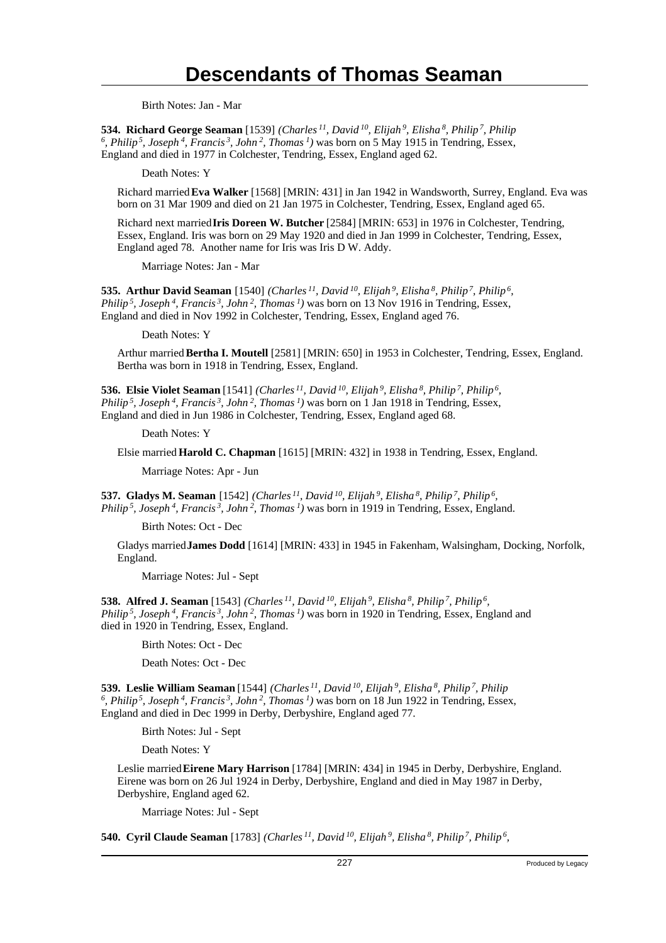Birth Notes: Jan - Mar

**534. Richard George Seaman** [1539] *(Charles<sup>11</sup>, David<sup>10</sup>, Elijah<sup>9</sup>, Elisha<sup>8</sup>, Philip<sup>7</sup>, Philip 6 , Philip<sup>5</sup>, Joseph<sup>4</sup>, Francis<sup>3</sup>, John<sup>2</sup>, Thomas<sup>1</sup>)* was born on 5 May 1915 in Tendring, Essex, England and died in 1977 in Colchester, Tendring, Essex, England aged 62.

Death Notes: Y

Richard married **Eva Walker** [1568] [MRIN: 431] in Jan 1942 in Wandsworth, Surrey, England. Eva was born on 31 Mar 1909 and died on 21 Jan 1975 in Colchester, Tendring, Essex, England aged 65.

Richard next married **Iris Doreen W. Butcher** [2584] [MRIN: 653] in 1976 in Colchester, Tendring, Essex, England. Iris was born on 29 May 1920 and died in Jan 1999 in Colchester, Tendring, Essex, England aged 78. Another name for Iris was Iris D W. Addy.

Marriage Notes: Jan - Mar

**535. Arthur David Seaman** [1540] *(Charles<sup>11</sup>, David<sup>10</sup>, Elijah<sup>9</sup>, Elisha<sup>8</sup>, Philip<sup>7</sup>, Philip<sup>6</sup> , Philip<sup>5</sup>, Joseph<sup>4</sup>, Francis<sup>3</sup>, John<sup>2</sup>, Thomas<sup>1</sup>)* was born on 13 Nov 1916 in Tendring, Essex, England and died in Nov 1992 in Colchester, Tendring, Essex, England aged 76.

Death Notes: Y

Arthur married **Bertha I. Moutell** [2581] [MRIN: 650] in 1953 in Colchester, Tendring, Essex, England. Bertha was born in 1918 in Tendring, Essex, England.

**536. Elsie Violet Seaman** [1541] *(Charles<sup>11</sup>, David<sup>10</sup>, Elijah<sup>9</sup>, Elisha<sup>8</sup>, Philip<sup>7</sup>, Philip<sup>6</sup> , Philip<sup>5</sup>, Joseph<sup>4</sup>, Francis<sup>3</sup>, John<sup>2</sup>, Thomas<sup>1</sup>)* was born on 1 Jan 1918 in Tendring, Essex, England and died in Jun 1986 in Colchester, Tendring, Essex, England aged 68.

Death Notes: Y

Elsie married **Harold C. Chapman** [1615] [MRIN: 432] in 1938 in Tendring, Essex, England.

Marriage Notes: Apr - Jun

**537. Gladys M. Seaman** [1542] *(Charles<sup>11</sup>, David<sup>10</sup>, Elijah<sup>9</sup>, Elisha<sup>8</sup>, Philip<sup>7</sup>, Philip<sup>6</sup> , Philip<sup>5</sup>, Joseph<sup>4</sup>, Francis<sup>3</sup>, John<sup>2</sup>, Thomas<sup>1</sup>)* was born in 1919 in Tendring, Essex, England.

Birth Notes: Oct - Dec

Gladys married **James Dodd** [1614] [MRIN: 433] in 1945 in Fakenham, Walsingham, Docking, Norfolk, England.

Marriage Notes: Jul - Sept

**538. Alfred J. Seaman** [1543] *(Charles<sup>11</sup>, David<sup>10</sup>, Elijah<sup>9</sup>, Elisha<sup>8</sup>, Philip<sup>7</sup>, Philip<sup>6</sup> , Philip<sup>5</sup>, Joseph<sup>4</sup>, Francis<sup>3</sup>, John<sup>2</sup>, Thomas<sup>1</sup>)* was born in 1920 in Tendring, Essex, England and died in 1920 in Tendring, Essex, England.

Birth Notes: Oct - Dec

Death Notes: Oct - Dec

**539. Leslie William Seaman** [1544] *(Charles<sup>11</sup>, David<sup>10</sup>, Elijah<sup>9</sup>, Elisha<sup>8</sup>, Philip<sup>7</sup>, Philip 6 , Philip<sup>5</sup>, Joseph<sup>4</sup>, Francis<sup>3</sup>, John<sup>2</sup>, Thomas<sup>1</sup>)* was born on 18 Jun 1922 in Tendring, Essex, England and died in Dec 1999 in Derby, Derbyshire, England aged 77.

Birth Notes: Jul - Sept

Death Notes: Y

Leslie married **Eirene Mary Harrison** [1784] [MRIN: 434] in 1945 in Derby, Derbyshire, England. Eirene was born on 26 Jul 1924 in Derby, Derbyshire, England and died in May 1987 in Derby, Derbyshire, England aged 62.

Marriage Notes: Jul - Sept

**540. Cyril Claude Seaman** [1783] *(Charles<sup>11</sup>, David<sup>10</sup>, Elijah<sup>9</sup>, Elisha<sup>8</sup>, Philip<sup>7</sup>, Philip<sup>6</sup> ,*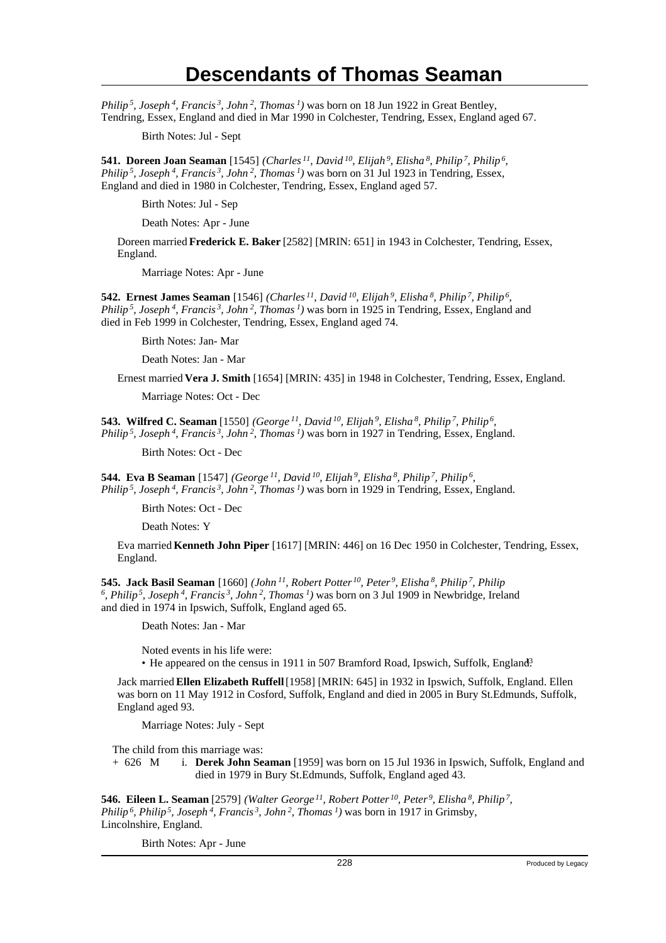*Philip<sup>5</sup>, Joseph<sup>4</sup>, Francis<sup>3</sup>, John<sup>2</sup>, Thomas<sup>1</sup>)* was born on 18 Jun 1922 in Great Bentley, Tendring, Essex, England and died in Mar 1990 in Colchester, Tendring, Essex, England aged 67.

Birth Notes: Jul - Sept

**541. Doreen Joan Seaman** [1545] *(Charles<sup>11</sup>, David<sup>10</sup>, Elijah<sup>9</sup>, Elisha<sup>8</sup>, Philip<sup>7</sup>, Philip<sup>6</sup> , Philip<sup>5</sup>, Joseph<sup>4</sup>, Francis<sup>3</sup>, John<sup>2</sup>, Thomas<sup>1</sup>)* was born on 31 Jul 1923 in Tendring, Essex, England and died in 1980 in Colchester, Tendring, Essex, England aged 57.

Birth Notes: Jul - Sep

Death Notes: Apr - June

Doreen married **Frederick E. Baker** [2582] [MRIN: 651] in 1943 in Colchester, Tendring, Essex, England.

Marriage Notes: Apr - June

**542. Ernest James Seaman** [1546] *(Charles<sup>11</sup>, David<sup>10</sup>, Elijah<sup>9</sup>, Elisha<sup>8</sup>, Philip<sup>7</sup>, Philip<sup>6</sup> , Philip<sup>5</sup>, Joseph<sup>4</sup>, Francis<sup>3</sup>, John<sup>2</sup>, Thomas<sup>1</sup>)* was born in 1925 in Tendring, Essex, England and died in Feb 1999 in Colchester, Tendring, Essex, England aged 74.

Birth Notes: Jan- Mar

Death Notes: Jan - Mar

Ernest married **Vera J. Smith** [1654] [MRIN: 435] in 1948 in Colchester, Tendring, Essex, England.

Marriage Notes: Oct - Dec

**543. Wilfred C. Seaman** [1550] *(George<sup>11</sup>, David<sup>10</sup>, Elijah<sup>9</sup>, Elisha<sup>8</sup>, Philip<sup>7</sup>, Philip<sup>6</sup> , Philip<sup>5</sup>, Joseph<sup>4</sup>, Francis<sup>3</sup>, John<sup>2</sup>, Thomas<sup>1</sup>)* was born in 1927 in Tendring, Essex, England.

Birth Notes: Oct - Dec

**544. Eva B Seaman** [1547] *(George<sup>11</sup>, David<sup>10</sup>, Elijah<sup>9</sup>, Elisha<sup>8</sup>, Philip<sup>7</sup>, Philip<sup>6</sup> , Philip<sup>5</sup>, Joseph<sup>4</sup>, Francis<sup>3</sup>, John<sup>2</sup>, Thomas<sup>1</sup>)* was born in 1929 in Tendring, Essex, England.

Birth Notes: Oct - Dec

Death Notes: Y

Eva married **Kenneth John Piper** [1617] [MRIN: 446] on 16 Dec 1950 in Colchester, Tendring, Essex, England.

**545. Jack Basil Seaman** [1660] *(John<sup>11</sup>, Robert Potter<sup>10</sup>, Peter<sup>9</sup>, Elisha<sup>8</sup>, Philip<sup>7</sup>, Philip 6 , Philip<sup>5</sup>, Joseph<sup>4</sup>, Francis<sup>3</sup>, John<sup>2</sup>, Thomas<sup>1</sup>)* was born on 3 Jul 1909 in Newbridge, Ireland and died in 1974 in Ipswich, Suffolk, England aged 65.

Death Notes: Jan - Mar

Noted events in his life were: • He appeared on the census in 1911 in 507 Bramford Road, Ipswich, Suffolk, England<sup>3</sup>

Jack married **Ellen Elizabeth Ruffell** [1958] [MRIN: 645] in 1932 in Ipswich, Suffolk, England. Ellen was born on 11 May 1912 in Cosford, Suffolk, England and died in 2005 in Bury St.Edmunds, Suffolk, England aged 93.

Marriage Notes: July - Sept

The child from this marriage was:

+ 626 M i. **Derek John Seaman** [1959] was born on 15 Jul 1936 in Ipswich, Suffolk, England and died in 1979 in Bury St.Edmunds, Suffolk, England aged 43.

**546. Eileen L. Seaman** [2579] *(Walter George<sup>11</sup>, Robert Potter<sup>10</sup>, Peter<sup>9</sup>, Elisha<sup>8</sup>, Philip<sup>7</sup> , Philip<sup>6</sup>, Philip<sup>5</sup>, Joseph<sup>4</sup>, Francis<sup>3</sup>, John<sup>2</sup>, Thomas<sup>1</sup>)* was born in 1917 in Grimsby, Lincolnshire, England.

Birth Notes: Apr - June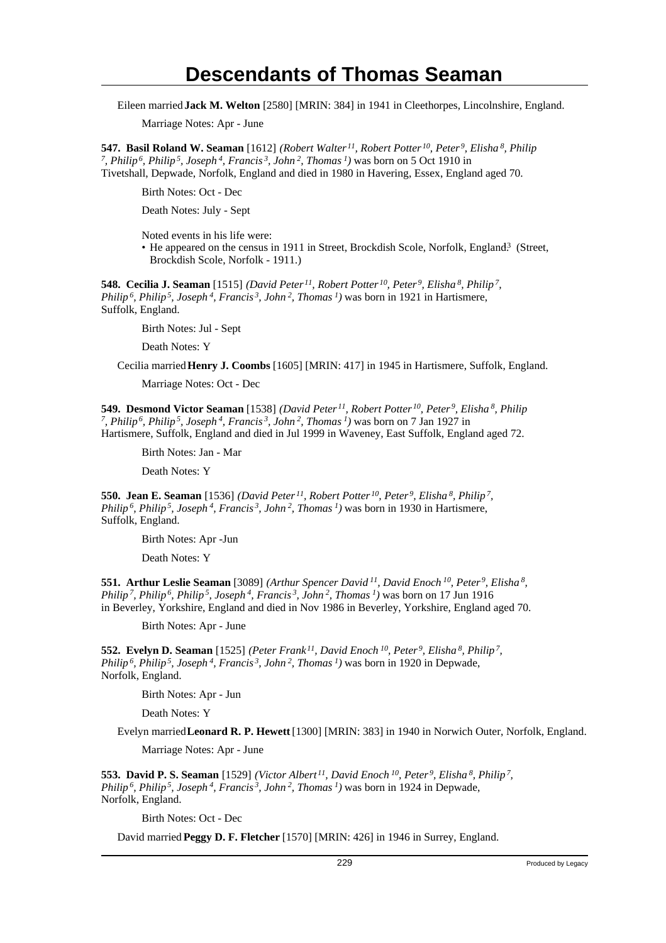Eileen married **Jack M. Welton** [2580] [MRIN: 384] in 1941 in Cleethorpes, Lincolnshire, England.

Marriage Notes: Apr - June

**547. Basil Roland W. Seaman** [1612] *(Robert Walter<sup>11</sup>, Robert Potter<sup>10</sup>, Peter<sup>9</sup>, Elisha<sup>8</sup>, Philip 7 , Philip<sup>6</sup>, Philip<sup>5</sup>, Joseph<sup>4</sup>, Francis<sup>3</sup>, John<sup>2</sup>, Thomas<sup>1</sup>)* was born on 5 Oct 1910 in Tivetshall, Depwade, Norfolk, England and died in 1980 in Havering, Essex, England aged 70.

Birth Notes: Oct - Dec

Death Notes: July - Sept

Noted events in his life were:

• He appeared on the census in 1911 in Street, Brockdish Scole, Norfolk, England.<sup>3</sup> (Street, Brockdish Scole, Norfolk - 1911.)

**548. Cecilia J. Seaman** [1515] *(David Peter<sup>11</sup>, Robert Potter<sup>10</sup>, Peter<sup>9</sup>, Elisha<sup>8</sup>, Philip<sup>7</sup> , Philip<sup>6</sup>, Philip<sup>5</sup>, Joseph<sup>4</sup>, Francis<sup>3</sup>, John<sup>2</sup>, Thomas<sup>1</sup>)* was born in 1921 in Hartismere, Suffolk, England.

Birth Notes: Jul - Sept

Death Notes: Y

Cecilia married **Henry J. Coombs** [1605] [MRIN: 417] in 1945 in Hartismere, Suffolk, England.

Marriage Notes: Oct - Dec

**549. Desmond Victor Seaman** [1538] *(David Peter<sup>11</sup>, Robert Potter<sup>10</sup>, Peter<sup>9</sup>, Elisha<sup>8</sup>, Philip 7 , Philip<sup>6</sup>, Philip<sup>5</sup>, Joseph<sup>4</sup>, Francis<sup>3</sup>, John<sup>2</sup>, Thomas<sup>1</sup>)* was born on 7 Jan 1927 in Hartismere, Suffolk, England and died in Jul 1999 in Waveney, East Suffolk, England aged 72.

Birth Notes: Jan - Mar

Death Notes: Y

**550. Jean E. Seaman** [1536] *(David Peter<sup>11</sup>, Robert Potter<sup>10</sup>, Peter<sup>9</sup>, Elisha<sup>8</sup>, Philip<sup>7</sup> , Philip<sup>6</sup>, Philip<sup>5</sup>, Joseph<sup>4</sup>, Francis<sup>3</sup>, John<sup>2</sup>, Thomas<sup>1</sup>)* was born in 1930 in Hartismere, Suffolk, England.

Birth Notes: Apr -Jun

Death Notes: Y

**551. Arthur Leslie Seaman** [3089] *(Arthur Spencer David<sup>11</sup>, David Enoch<sup>10</sup>, Peter<sup>9</sup>, Elisha<sup>8</sup> , Philip<sup>7</sup>, Philip<sup>6</sup>, Philip<sup>5</sup>, Joseph<sup>4</sup>, Francis<sup>3</sup>, John<sup>2</sup>, Thomas<sup>1</sup>)* was born on 17 Jun 1916 in Beverley, Yorkshire, England and died in Nov 1986 in Beverley, Yorkshire, England aged 70.

Birth Notes: Apr - June

**552. Evelyn D. Seaman** [1525] *(Peter Frank<sup>11</sup>, David Enoch<sup>10</sup>, Peter<sup>9</sup>, Elisha<sup>8</sup>, Philip<sup>7</sup> , Philip<sup>6</sup>, Philip<sup>5</sup>, Joseph<sup>4</sup>, Francis<sup>3</sup>, John<sup>2</sup>, Thomas<sup>1</sup>)* was born in 1920 in Depwade, Norfolk, England.

Birth Notes: Apr - Jun

Death Notes: Y

Evelyn married **Leonard R. P. Hewett** [1300] [MRIN: 383] in 1940 in Norwich Outer, Norfolk, England.

Marriage Notes: Apr - June

**553. David P. S. Seaman** [1529] *(Victor Albert<sup>11</sup>, David Enoch<sup>10</sup>, Peter<sup>9</sup>, Elisha<sup>8</sup>, Philip<sup>7</sup> , Philip<sup>6</sup>, Philip<sup>5</sup>, Joseph<sup>4</sup>, Francis<sup>3</sup>, John<sup>2</sup>, Thomas<sup>1</sup>)* was born in 1924 in Depwade, Norfolk, England.

Birth Notes: Oct - Dec

David married **Peggy D. F. Fletcher** [1570] [MRIN: 426] in 1946 in Surrey, England.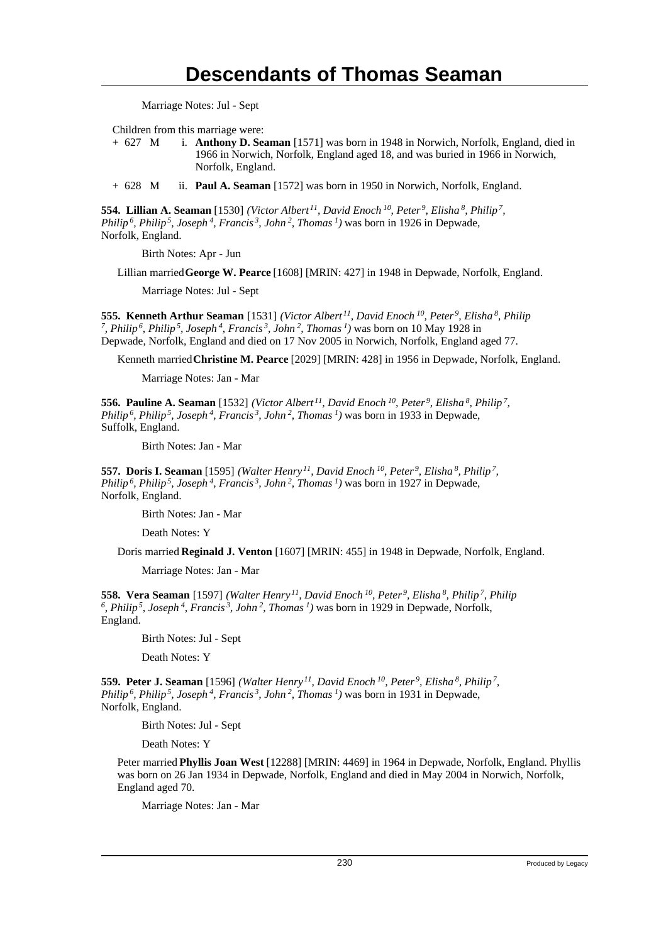Marriage Notes: Jul - Sept

Children from this marriage were:

+ 627 M i. **Anthony D. Seaman** [1571] was born in 1948 in Norwich, Norfolk, England, died in 1966 in Norwich, Norfolk, England aged 18, and was buried in 1966 in Norwich, Norfolk, England.

+ 628 M ii. **Paul A. Seaman** [1572] was born in 1950 in Norwich, Norfolk, England.

**554. Lillian A. Seaman** [1530] *(Victor Albert<sup>11</sup>, David Enoch<sup>10</sup>, Peter<sup>9</sup>, Elisha<sup>8</sup>, Philip<sup>7</sup> , Philip<sup>6</sup>, Philip<sup>5</sup>, Joseph<sup>4</sup>, Francis<sup>3</sup>, John<sup>2</sup>, Thomas<sup>1</sup>)* was born in 1926 in Depwade, Norfolk, England.

Birth Notes: Apr - Jun

Lillian married **George W. Pearce** [1608] [MRIN: 427] in 1948 in Depwade, Norfolk, England.

Marriage Notes: Jul - Sept

**555. Kenneth Arthur Seaman** [1531] *(Victor Albert<sup>11</sup>, David Enoch<sup>10</sup>, Peter<sup>9</sup>, Elisha<sup>8</sup>, Philip 7 , Philip<sup>6</sup>, Philip<sup>5</sup>, Joseph<sup>4</sup>, Francis<sup>3</sup>, John<sup>2</sup>, Thomas<sup>1</sup>)* was born on 10 May 1928 in Depwade, Norfolk, England and died on 17 Nov 2005 in Norwich, Norfolk, England aged 77.

Kenneth married **Christine M. Pearce** [2029] [MRIN: 428] in 1956 in Depwade, Norfolk, England.

Marriage Notes: Jan - Mar

**556. Pauline A. Seaman** [1532] *(Victor Albert<sup>11</sup>, David Enoch<sup>10</sup>, Peter<sup>9</sup>, Elisha<sup>8</sup>, Philip<sup>7</sup> , Philip<sup>6</sup>, Philip<sup>5</sup>, Joseph<sup>4</sup>, Francis<sup>3</sup>, John<sup>2</sup>, Thomas<sup>1</sup>)* was born in 1933 in Depwade, Suffolk, England.

Birth Notes: Jan - Mar

**557. Doris I. Seaman** [1595] *(Walter Henry<sup>11</sup>, David Enoch<sup>10</sup>, Peter<sup>9</sup>, Elisha<sup>8</sup>, Philip<sup>7</sup> , Philip<sup>6</sup>, Philip<sup>5</sup>, Joseph<sup>4</sup>, Francis<sup>3</sup>, John<sup>2</sup>, Thomas<sup>1</sup>)* was born in 1927 in Depwade, Norfolk, England.

Birth Notes: Jan - Mar

Death Notes: Y

Doris married **Reginald J. Venton** [1607] [MRIN: 455] in 1948 in Depwade, Norfolk, England.

Marriage Notes: Jan - Mar

**558. Vera Seaman** [1597] *(Walter Henry<sup>11</sup>, David Enoch<sup>10</sup>, Peter<sup>9</sup>, Elisha<sup>8</sup>, Philip<sup>7</sup>, Philip 6 , Philip<sup>5</sup>, Joseph<sup>4</sup>, Francis<sup>3</sup>, John<sup>2</sup>, Thomas<sup>1</sup>)* was born in 1929 in Depwade, Norfolk, England.

Birth Notes: Jul - Sept

Death Notes: Y

**559. Peter J. Seaman** [1596] *(Walter Henry<sup>11</sup>, David Enoch<sup>10</sup>, Peter<sup>9</sup>, Elisha<sup>8</sup>, Philip<sup>7</sup> , Philip<sup>6</sup>, Philip<sup>5</sup>, Joseph<sup>4</sup>, Francis<sup>3</sup>, John<sup>2</sup>, Thomas<sup>1</sup>)* was born in 1931 in Depwade, Norfolk, England.

Birth Notes: Jul - Sept

Death Notes: Y

Peter married **Phyllis Joan West** [12288] [MRIN: 4469] in 1964 in Depwade, Norfolk, England. Phyllis was born on 26 Jan 1934 in Depwade, Norfolk, England and died in May 2004 in Norwich, Norfolk, England aged 70.

Marriage Notes: Jan - Mar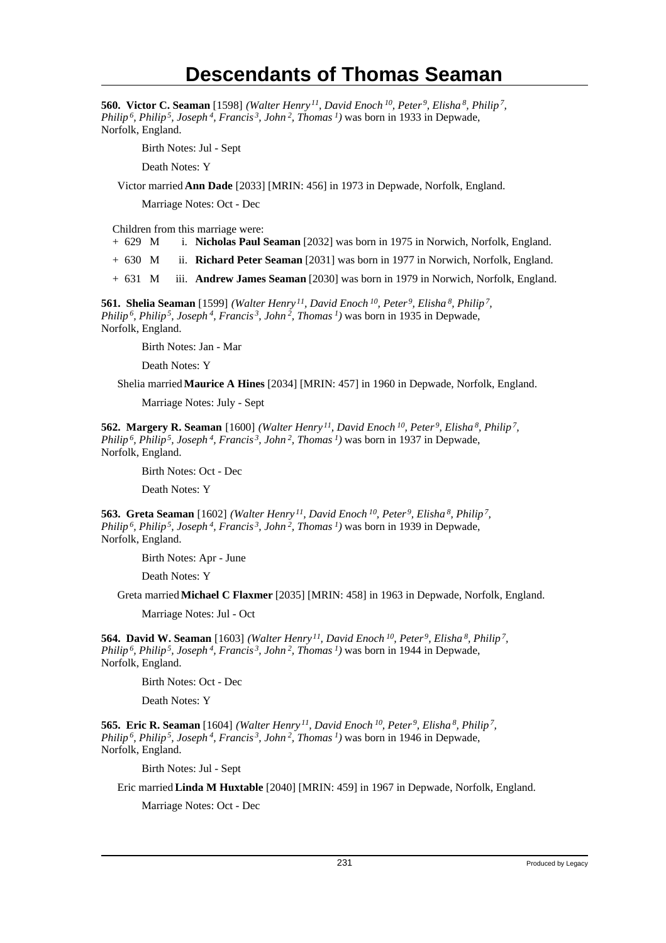**560. Victor C. Seaman** [1598] *(Walter Henry<sup>11</sup>, David Enoch<sup>10</sup>, Peter<sup>9</sup>, Elisha<sup>8</sup>, Philip<sup>7</sup> , Philip<sup>6</sup>, Philip<sup>5</sup>, Joseph<sup>4</sup>, Francis<sup>3</sup>, John<sup>2</sup>, Thomas<sup>1</sup>)* was born in 1933 in Depwade, Norfolk, England.

Birth Notes: Jul - Sept

Death Notes: Y

Victor married **Ann Dade** [2033] [MRIN: 456] in 1973 in Depwade, Norfolk, England.

Marriage Notes: Oct - Dec

Children from this marriage were:

+ 629 M i. **Nicholas Paul Seaman** [2032] was born in 1975 in Norwich, Norfolk, England.

+ 630 M ii. **Richard Peter Seaman** [2031] was born in 1977 in Norwich, Norfolk, England.

+ 631 M iii. **Andrew James Seaman** [2030] was born in 1979 in Norwich, Norfolk, England.

**561. Shelia Seaman** [1599] *(Walter Henry<sup>11</sup>, David Enoch<sup>10</sup>, Peter<sup>9</sup>, Elisha<sup>8</sup>, Philip<sup>7</sup> , Philip<sup>6</sup>, Philip<sup>5</sup>, Joseph<sup>4</sup>, Francis<sup>3</sup>, John<sup>2</sup>, Thomas<sup>1</sup>)* was born in 1935 in Depwade, Norfolk, England.

Birth Notes: Jan - Mar

Death Notes: Y

Shelia married **Maurice A Hines** [2034] [MRIN: 457] in 1960 in Depwade, Norfolk, England.

Marriage Notes: July - Sept

**562. Margery R. Seaman** [1600] *(Walter Henry<sup>11</sup>, David Enoch<sup>10</sup>, Peter<sup>9</sup>, Elisha<sup>8</sup>, Philip<sup>7</sup> , Philip<sup>6</sup>, Philip<sup>5</sup>, Joseph<sup>4</sup>, Francis<sup>3</sup>, John<sup>2</sup>, Thomas<sup>1</sup>)* was born in 1937 in Depwade, Norfolk, England.

Birth Notes: Oct - Dec

Death Notes: Y

**563. Greta Seaman** [1602] *(Walter Henry<sup>11</sup>, David Enoch<sup>10</sup>, Peter<sup>9</sup>, Elisha<sup>8</sup>, Philip<sup>7</sup> , Philip<sup>6</sup>, Philip<sup>5</sup>, Joseph<sup>4</sup>, Francis<sup>3</sup>, John<sup>2</sup>, Thomas<sup>1</sup>)* was born in 1939 in Depwade, Norfolk, England.

Birth Notes: Apr - June

Death Notes: Y

Greta married **Michael C Flaxmer** [2035] [MRIN: 458] in 1963 in Depwade, Norfolk, England.

Marriage Notes: Jul - Oct

**564. David W. Seaman** [1603] *(Walter Henry<sup>11</sup>, David Enoch<sup>10</sup>, Peter<sup>9</sup>, Elisha<sup>8</sup>, Philip<sup>7</sup> , Philip<sup>6</sup>, Philip<sup>5</sup>, Joseph<sup>4</sup>, Francis<sup>3</sup>, John<sup>2</sup>, Thomas<sup>1</sup>)* was born in 1944 in Depwade, Norfolk, England.

Birth Notes: Oct - Dec

Death Notes: Y

**565. Eric R. Seaman** [1604] *(Walter Henry<sup>11</sup>, David Enoch<sup>10</sup>, Peter<sup>9</sup>, Elisha<sup>8</sup>, Philip<sup>7</sup> , Philip<sup>6</sup>, Philip<sup>5</sup>, Joseph<sup>4</sup>, Francis<sup>3</sup>, John<sup>2</sup>, Thomas<sup>1</sup>)* was born in 1946 in Depwade, Norfolk, England.

Birth Notes: Jul - Sept

Eric married **Linda M Huxtable** [2040] [MRIN: 459] in 1967 in Depwade, Norfolk, England.

Marriage Notes: Oct - Dec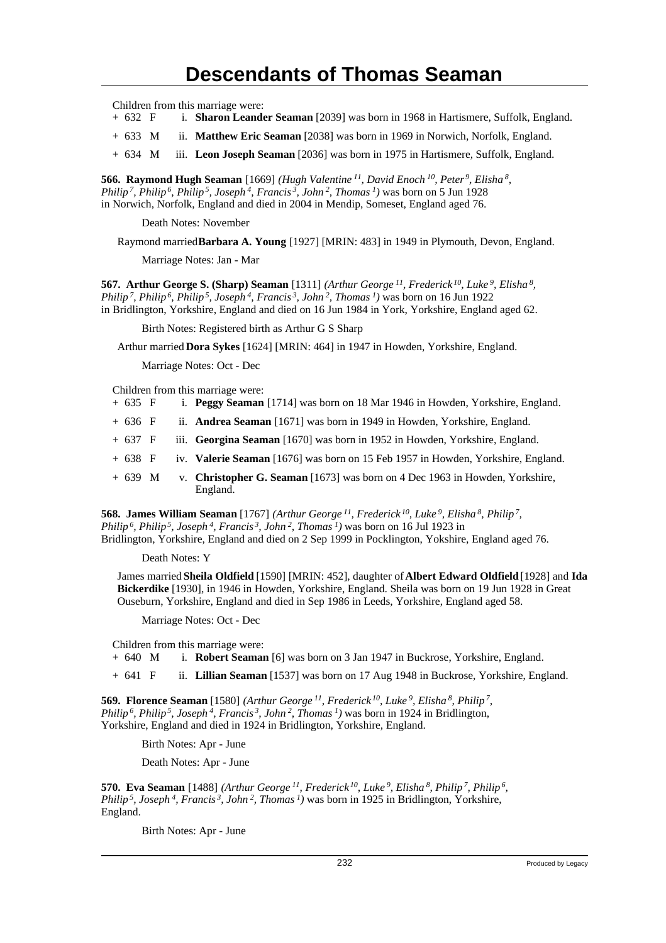Children from this marriage were:

- + 632 F i. **Sharon Leander Seaman** [2039] was born in 1968 in Hartismere, Suffolk, England.
- + 633 M ii. **Matthew Eric Seaman** [2038] was born in 1969 in Norwich, Norfolk, England.
- + 634 M iii. **Leon Joseph Seaman** [2036] was born in 1975 in Hartismere, Suffolk, England.

**566. Raymond Hugh Seaman** [1669] *(Hugh Valentine<sup>11</sup>, David Enoch<sup>10</sup>, Peter<sup>9</sup>, Elisha<sup>8</sup> , Philip<sup>7</sup>, Philip<sup>6</sup>, Philip<sup>5</sup>, Joseph<sup>4</sup>, Francis<sup>3</sup>, John<sup>2</sup>, Thomas<sup>1</sup>)* was born on 5 Jun 1928 in Norwich, Norfolk, England and died in 2004 in Mendip, Someset, England aged 76.

Death Notes: November

Raymond married **Barbara A. Young** [1927] [MRIN: 483] in 1949 in Plymouth, Devon, England.

Marriage Notes: Jan - Mar

**567. Arthur George S. (Sharp) Seaman** [1311] *(Arthur George<sup>11</sup>, Frederick<sup>10</sup>, Luke<sup>9</sup>, Elisha<sup>8</sup> , Philip<sup>7</sup>, Philip<sup>6</sup>, Philip<sup>5</sup>, Joseph<sup>4</sup>, Francis<sup>3</sup>, John<sup>2</sup>, Thomas<sup>1</sup>)* was born on 16 Jun 1922 in Bridlington, Yorkshire, England and died on 16 Jun 1984 in York, Yorkshire, England aged 62.

Birth Notes: Registered birth as Arthur G S Sharp

Arthur married **Dora Sykes** [1624] [MRIN: 464] in 1947 in Howden, Yorkshire, England.

Marriage Notes: Oct - Dec

Children from this marriage were:

- + 635 F i. **Peggy Seaman** [1714] was born on 18 Mar 1946 in Howden, Yorkshire, England.
- + 636 F ii. **Andrea Seaman** [1671] was born in 1949 in Howden, Yorkshire, England.
- + 637 F iii. **Georgina Seaman** [1670] was born in 1952 in Howden, Yorkshire, England.
- + 638 F iv. **Valerie Seaman** [1676] was born on 15 Feb 1957 in Howden, Yorkshire, England.
- + 639 M v. **Christopher G. Seaman** [1673] was born on 4 Dec 1963 in Howden, Yorkshire, England.

**568. James William Seaman** [1767] *(Arthur George<sup>11</sup>, Frederick<sup>10</sup>, Luke<sup>9</sup>, Elisha<sup>8</sup>, Philip<sup>7</sup> , Philip<sup>6</sup>, Philip<sup>5</sup>, Joseph<sup>4</sup>, Francis<sup>3</sup>, John<sup>2</sup>, Thomas<sup>1</sup>)* was born on 16 Jul 1923 in Bridlington, Yorkshire, England and died on 2 Sep 1999 in Pocklington, Yokshire, England aged 76.

Death Notes: Y

James married **Sheila Oldfield** [1590] [MRIN: 452], daughter of **Albert Edward Oldfield** [1928] and **Ida Bickerdike** [1930], in 1946 in Howden, Yorkshire, England. Sheila was born on 19 Jun 1928 in Great Ouseburn, Yorkshire, England and died in Sep 1986 in Leeds, Yorkshire, England aged 58.

Marriage Notes: Oct - Dec

Children from this marriage were:

+ 640 M i. **Robert Seaman** [6] was born on 3 Jan 1947 in Buckrose, Yorkshire, England.

+ 641 F ii. **Lillian Seaman** [1537] was born on 17 Aug 1948 in Buckrose, Yorkshire, England.

**569. Florence Seaman** [1580] *(Arthur George<sup>11</sup>, Frederick<sup>10</sup>, Luke<sup>9</sup>, Elisha<sup>8</sup>, Philip<sup>7</sup> , Philip<sup>6</sup>, Philip<sup>5</sup>, Joseph<sup>4</sup>, Francis<sup>3</sup>, John<sup>2</sup>, Thomas<sup>1</sup>)* was born in 1924 in Bridlington, Yorkshire, England and died in 1924 in Bridlington, Yorkshire, England.

Birth Notes: Apr - June

Death Notes: Apr - June

**570. Eva Seaman** [1488] *(Arthur George<sup>11</sup>, Frederick<sup>10</sup>, Luke<sup>9</sup>, Elisha<sup>8</sup>, Philip<sup>7</sup>, Philip<sup>6</sup> , Philip<sup>5</sup>, Joseph<sup>4</sup>, Francis<sup>3</sup>, John<sup>2</sup>, Thomas<sup>1</sup>)* was born in 1925 in Bridlington, Yorkshire, England.

Birth Notes: Apr - June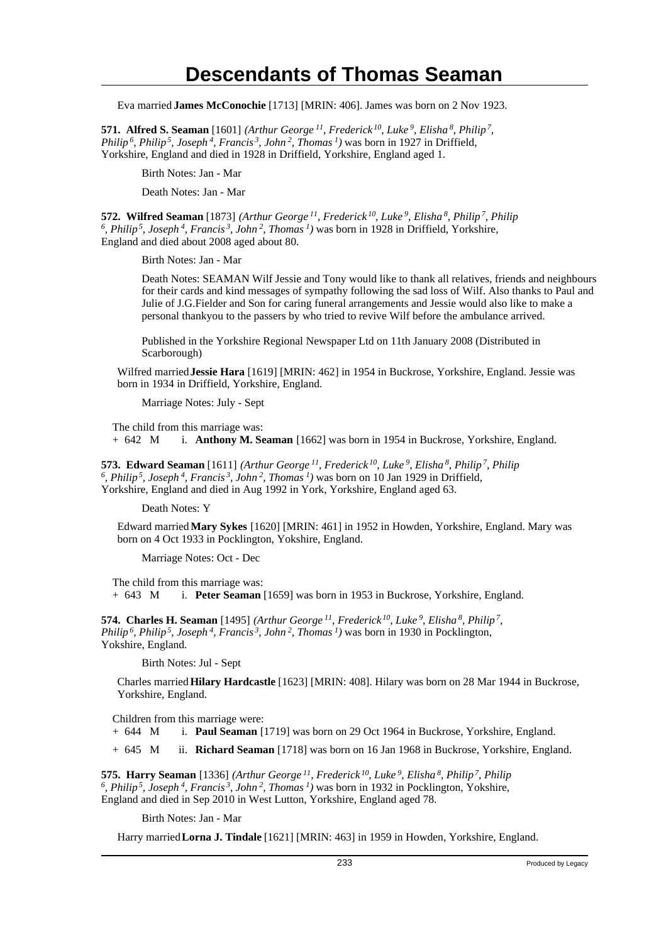Eva married **James McConochie** [1713] [MRIN: 406]. James was born on 2 Nov 1923.

**571. Alfred S. Seaman** [1601] *(Arthur George<sup>11</sup>, Frederick<sup>10</sup>, Luke<sup>9</sup>, Elisha<sup>8</sup>, Philip<sup>7</sup> , Philip<sup>6</sup>, Philip<sup>5</sup>, Joseph<sup>4</sup>, Francis<sup>3</sup>, John<sup>2</sup>, Thomas<sup>1</sup>)* was born in 1927 in Driffield, Yorkshire, England and died in 1928 in Driffield, Yorkshire, England aged 1.

Birth Notes: Jan - Mar

Death Notes: Jan - Mar

**572. Wilfred Seaman** [1873] *(Arthur George<sup>11</sup>, Frederick<sup>10</sup>, Luke<sup>9</sup>, Elisha<sup>8</sup>, Philip<sup>7</sup>, Philip 6 , Philip<sup>5</sup>, Joseph<sup>4</sup>, Francis<sup>3</sup>, John<sup>2</sup>, Thomas<sup>1</sup>)* was born in 1928 in Driffield, Yorkshire, England and died about 2008 aged about 80.

Birth Notes: Jan - Mar

Death Notes: SEAMAN Wilf Jessie and Tony would like to thank all relatives, friends and neighbours for their cards and kind messages of sympathy following the sad loss of Wilf. Also thanks to Paul and Julie of J.G.Fielder and Son for caring funeral arrangements and Jessie would also like to make a personal thankyou to the passers by who tried to revive Wilf before the ambulance arrived.

Published in the Yorkshire Regional Newspaper Ltd on 11th January 2008 (Distributed in Scarborough)

Wilfred married **Jessie Hara** [1619] [MRIN: 462] in 1954 in Buckrose, Yorkshire, England. Jessie was born in 1934 in Driffield, Yorkshire, England.

Marriage Notes: July - Sept

The child from this marriage was: + 642 M i. **Anthony M. Seaman** [1662] was born in 1954 in Buckrose, Yorkshire, England.

**573. Edward Seaman** [1611] *(Arthur George<sup>11</sup>, Frederick<sup>10</sup>, Luke<sup>9</sup>, Elisha<sup>8</sup>, Philip<sup>7</sup>, Philip 6 , Philip<sup>5</sup>, Joseph<sup>4</sup>, Francis<sup>3</sup>, John<sup>2</sup>, Thomas<sup>1</sup>)* was born on 10 Jan 1929 in Driffield, Yorkshire, England and died in Aug 1992 in York, Yorkshire, England aged 63.

Death Notes: Y

Edward married **Mary Sykes** [1620] [MRIN: 461] in 1952 in Howden, Yorkshire, England. Mary was born on 4 Oct 1933 in Pocklington, Yokshire, England.

Marriage Notes: Oct - Dec

The child from this marriage was: + 643 M i. **Peter Seaman** [1659] was born in 1953 in Buckrose, Yorkshire, England.

**574. Charles H. Seaman** [1495] *(Arthur George<sup>11</sup>, Frederick<sup>10</sup>, Luke<sup>9</sup>, Elisha<sup>8</sup>, Philip<sup>7</sup> , Philip<sup>6</sup>, Philip<sup>5</sup>, Joseph<sup>4</sup>, Francis<sup>3</sup>, John<sup>2</sup>, Thomas<sup>1</sup>)* was born in 1930 in Pocklington, Yokshire, England.

Birth Notes: Jul - Sept

Charles married **Hilary Hardcastle** [1623] [MRIN: 408]. Hilary was born on 28 Mar 1944 in Buckrose, Yorkshire, England.

Children from this marriage were:

+ 644 M i. **Paul Seaman** [1719] was born on 29 Oct 1964 in Buckrose, Yorkshire, England.

+ 645 M ii. **Richard Seaman** [1718] was born on 16 Jan 1968 in Buckrose, Yorkshire, England.

**575. Harry Seaman** [1336] *(Arthur George<sup>11</sup>, Frederick<sup>10</sup>, Luke<sup>9</sup>, Elisha<sup>8</sup>, Philip<sup>7</sup>, Philip 6 , Philip<sup>5</sup>, Joseph<sup>4</sup>, Francis<sup>3</sup>, John<sup>2</sup>, Thomas<sup>1</sup>)* was born in 1932 in Pocklington, Yokshire, England and died in Sep 2010 in West Lutton, Yorkshire, England aged 78.

Birth Notes: Jan - Mar

Harry married **Lorna J. Tindale** [1621] [MRIN: 463] in 1959 in Howden, Yorkshire, England.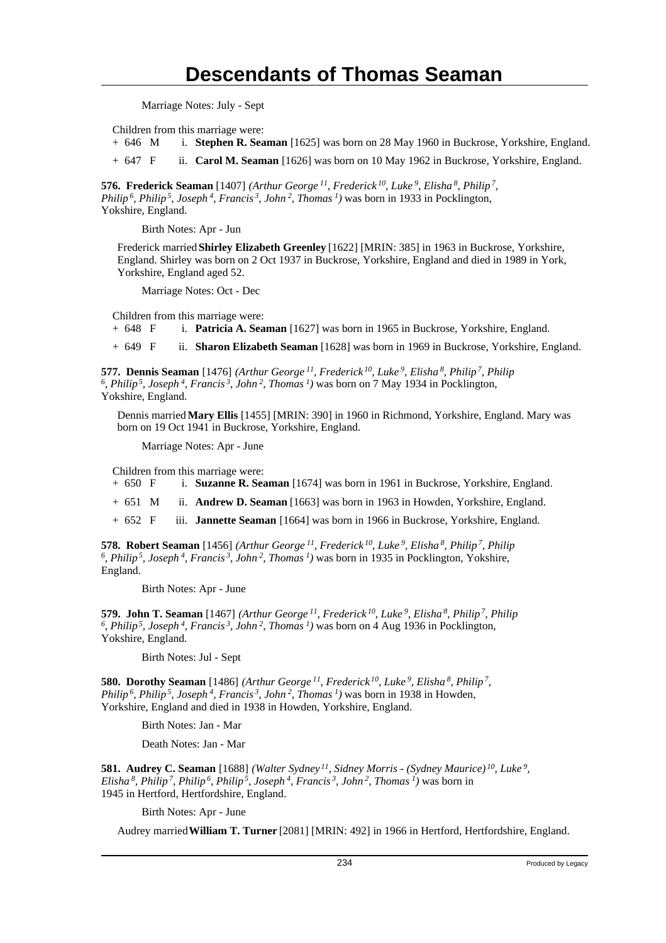Marriage Notes: July - Sept

Children from this marriage were:

+ 646 M i. **Stephen R. Seaman** [1625] was born on 28 May 1960 in Buckrose, Yorkshire, England.

+ 647 F ii. **Carol M. Seaman** [1626] was born on 10 May 1962 in Buckrose, Yorkshire, England.

**576. Frederick Seaman** [1407] *(Arthur George<sup>11</sup>, Frederick<sup>10</sup>, Luke<sup>9</sup>, Elisha<sup>8</sup>, Philip<sup>7</sup> , Philip<sup>6</sup>, Philip<sup>5</sup>, Joseph<sup>4</sup>, Francis<sup>3</sup>, John<sup>2</sup>, Thomas<sup>1</sup>)* was born in 1933 in Pocklington, Yokshire, England.

Birth Notes: Apr - Jun

Frederick married **Shirley Elizabeth Greenley** [1622] [MRIN: 385] in 1963 in Buckrose, Yorkshire, England. Shirley was born on 2 Oct 1937 in Buckrose, Yorkshire, England and died in 1989 in York, Yorkshire, England aged 52.

Marriage Notes: Oct - Dec

Children from this marriage were:

+ 648 F i. **Patricia A. Seaman** [1627] was born in 1965 in Buckrose, Yorkshire, England.

+ 649 F ii. **Sharon Elizabeth Seaman** [1628] was born in 1969 in Buckrose, Yorkshire, England.

**577. Dennis Seaman** [1476] *(Arthur George<sup>11</sup>, Frederick<sup>10</sup>, Luke<sup>9</sup>, Elisha<sup>8</sup>, Philip<sup>7</sup>, Philip 6 , Philip<sup>5</sup>, Joseph<sup>4</sup>, Francis<sup>3</sup>, John<sup>2</sup>, Thomas<sup>1</sup>)* was born on 7 May 1934 in Pocklington, Yokshire, England.

Dennis married **Mary Ellis** [1455] [MRIN: 390] in 1960 in Richmond, Yorkshire, England. Mary was born on 19 Oct 1941 in Buckrose, Yorkshire, England.

Marriage Notes: Apr - June

Children from this marriage were:

+ 650 F i. **Suzanne R. Seaman** [1674] was born in 1961 in Buckrose, Yorkshire, England.

+ 651 M ii. **Andrew D. Seaman** [1663] was born in 1963 in Howden, Yorkshire, England.

+ 652 F iii. **Jannette Seaman** [1664] was born in 1966 in Buckrose, Yorkshire, England.

**578. Robert Seaman** [1456] *(Arthur George<sup>11</sup>, Frederick<sup>10</sup>, Luke<sup>9</sup>, Elisha<sup>8</sup>, Philip<sup>7</sup>, Philip 6 , Philip<sup>5</sup>, Joseph<sup>4</sup>, Francis<sup>3</sup>, John<sup>2</sup>, Thomas<sup>1</sup>)* was born in 1935 in Pocklington, Yokshire, England.

Birth Notes: Apr - June

**579. John T. Seaman** [1467] *(Arthur George<sup>11</sup>, Frederick<sup>10</sup>, Luke<sup>9</sup>, Elisha<sup>8</sup>, Philip<sup>7</sup>, Philip 6 , Philip<sup>5</sup>, Joseph<sup>4</sup>, Francis<sup>3</sup>, John<sup>2</sup>, Thomas<sup>1</sup>)* was born on 4 Aug 1936 in Pocklington, Yokshire, England.

Birth Notes: Jul - Sept

**580. Dorothy Seaman** [1486] *(Arthur George<sup>11</sup>, Frederick<sup>10</sup>, Luke<sup>9</sup>, Elisha<sup>8</sup>, Philip<sup>7</sup> , Philip<sup>6</sup>, Philip<sup>5</sup>, Joseph<sup>4</sup>, Francis<sup>3</sup>, John<sup>2</sup>, Thomas<sup>1</sup>)* was born in 1938 in Howden, Yorkshire, England and died in 1938 in Howden, Yorkshire, England.

Birth Notes: Jan - Mar

Death Notes: Jan - Mar

**581. Audrey C. Seaman** [1688] *(Walter Sydney<sup>11</sup>, Sidney Morris - (Sydney Maurice)<sup>10</sup>, Luke<sup>9</sup> , Elisha*<sup>8</sup>, Philip<sup>7</sup>, Philip<sup>6</sup>, Philip<sup>5</sup>, Joseph<sup>4</sup>, Francis<sup>3</sup>, John<sup>2</sup>, Thomas<sup>1</sup>) was born in 1945 in Hertford, Hertfordshire, England.

Birth Notes: Apr - June

Audrey married **William T. Turner** [2081] [MRIN: 492] in 1966 in Hertford, Hertfordshire, England.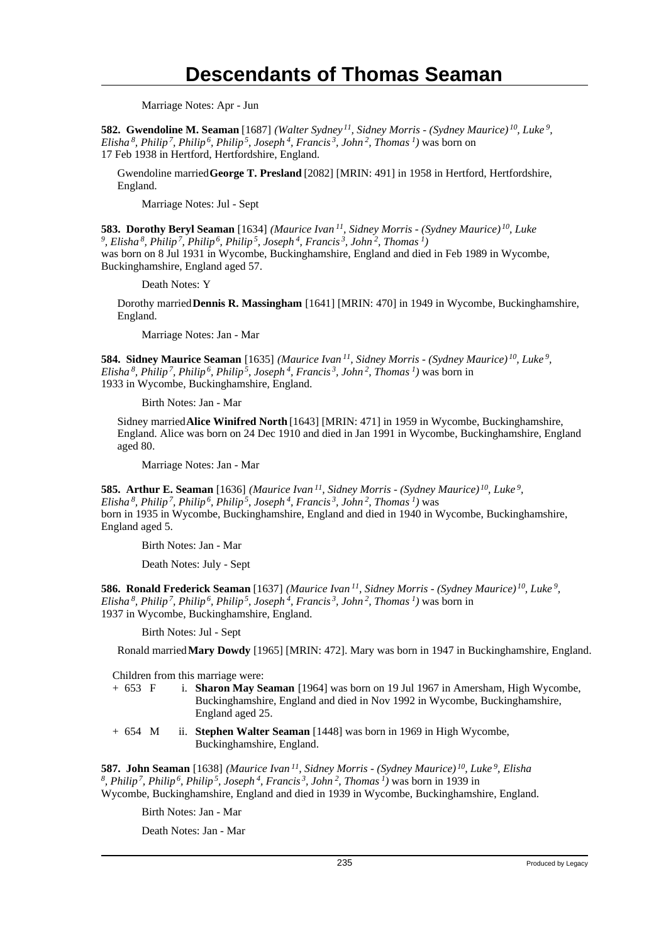Marriage Notes: Apr - Jun

**582. Gwendoline M. Seaman** [1687] *(Walter Sydney<sup>11</sup>, Sidney Morris - (Sydney Maurice)<sup>10</sup>, Luke<sup>9</sup> , Elisha<sup>8</sup>, Philip<sup>7</sup>, Philip<sup>6</sup>, Philip<sup>5</sup>, Joseph<sup>4</sup>, Francis<sup>3</sup>, John<sup>2</sup>, Thomas<sup>1</sup>)* was born on 17 Feb 1938 in Hertford, Hertfordshire, England.

Gwendoline married **George T. Presland** [2082] [MRIN: 491] in 1958 in Hertford, Hertfordshire, England.

Marriage Notes: Jul - Sept

**583. Dorothy Beryl Seaman** [1634] *(Maurice Ivan<sup>11</sup>, Sidney Morris - (Sydney Maurice)<sup>10</sup>, Luke 9 , Elisha<sup>8</sup>, Philip<sup>7</sup>, Philip<sup>6</sup>, Philip<sup>5</sup>, Joseph<sup>4</sup>, Francis<sup>3</sup>, John<sup>2</sup>, Thomas<sup>1</sup>)* was born on 8 Jul 1931 in Wycombe, Buckinghamshire, England and died in Feb 1989 in Wycombe, Buckinghamshire, England aged 57.

Death Notes: Y

Dorothy married **Dennis R. Massingham** [1641] [MRIN: 470] in 1949 in Wycombe, Buckinghamshire, England.

Marriage Notes: Jan - Mar

**584. Sidney Maurice Seaman** [1635] *(Maurice Ivan<sup>11</sup>, Sidney Morris - (Sydney Maurice)<sup>10</sup>, Luke<sup>9</sup> , Elisha<sup>8</sup>, Philip<sup>7</sup>, Philip<sup>6</sup>, Philip<sup>5</sup>, Joseph<sup>4</sup>, Francis<sup>3</sup>, John<sup>2</sup>, Thomas<sup>1</sup>)* was born in 1933 in Wycombe, Buckinghamshire, England.

Birth Notes: Jan - Mar

Sidney married **Alice Winifred North** [1643] [MRIN: 471] in 1959 in Wycombe, Buckinghamshire, England. Alice was born on 24 Dec 1910 and died in Jan 1991 in Wycombe, Buckinghamshire, England aged 80.

Marriage Notes: Jan - Mar

**585. Arthur E. Seaman** [1636] *(Maurice Ivan<sup>11</sup>, Sidney Morris - (Sydney Maurice)<sup>10</sup>, Luke<sup>9</sup> , Elisha<sup>8</sup>, Philip<sup>7</sup>, Philip<sup>6</sup>, Philip<sup>5</sup>, Joseph<sup>4</sup>, Francis<sup>3</sup>, John<sup>2</sup>, Thomas<sup>1</sup>)* was born in 1935 in Wycombe, Buckinghamshire, England and died in 1940 in Wycombe, Buckinghamshire, England aged 5.

Birth Notes: Jan - Mar

Death Notes: July - Sept

**586. Ronald Frederick Seaman** [1637] *(Maurice Ivan<sup>11</sup>, Sidney Morris - (Sydney Maurice)<sup>10</sup>, Luke<sup>9</sup> , Elisha<sup>8</sup>, Philip<sup>7</sup>, Philip<sup>6</sup>, Philip<sup>5</sup>, Joseph<sup>4</sup>, Francis<sup>3</sup>, John<sup>2</sup>, Thomas<sup>1</sup>)* was born in 1937 in Wycombe, Buckinghamshire, England.

Birth Notes: Jul - Sept

Ronald married **Mary Dowdy** [1965] [MRIN: 472]. Mary was born in 1947 in Buckinghamshire, England.

Children from this marriage were:

- + 653 F i. **Sharon May Seaman** [1964] was born on 19 Jul 1967 in Amersham, High Wycombe, Buckinghamshire, England and died in Nov 1992 in Wycombe, Buckinghamshire, England aged 25.
- + 654 M ii. **Stephen Walter Seaman** [1448] was born in 1969 in High Wycombe, Buckinghamshire, England.

**587. John Seaman** [1638] *(Maurice Ivan<sup>11</sup>, Sidney Morris - (Sydney Maurice)<sup>10</sup>, Luke<sup>9</sup>, Elisha 8 , Philip<sup>7</sup>, Philip<sup>6</sup>, Philip<sup>5</sup>, Joseph<sup>4</sup>, Francis<sup>3</sup>, John<sup>2</sup>, Thomas<sup>1</sup>)* was born in 1939 in Wycombe, Buckinghamshire, England and died in 1939 in Wycombe, Buckinghamshire, England.

Birth Notes: Jan - Mar

Death Notes: Jan - Mar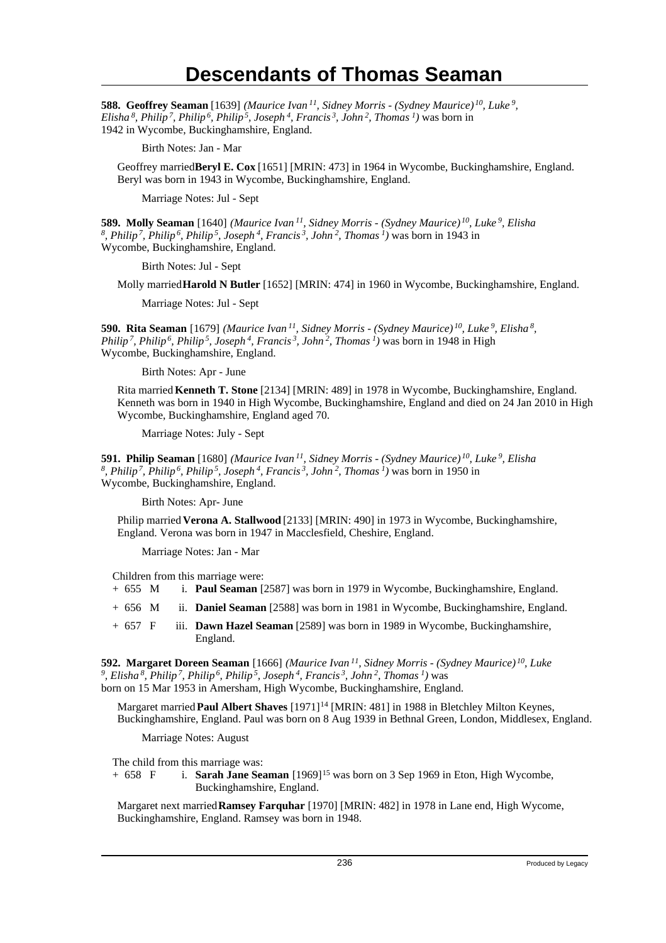**588. Geoffrey Seaman** [1639] *(Maurice Ivan<sup>11</sup>, Sidney Morris - (Sydney Maurice)<sup>10</sup>, Luke<sup>9</sup> , Elisha<sup>8</sup>, Philip<sup>7</sup>, Philip<sup>6</sup>, Philip<sup>5</sup>, Joseph<sup>4</sup>, Francis<sup>3</sup>, John<sup>2</sup>, Thomas<sup>1</sup>)* was born in 1942 in Wycombe, Buckinghamshire, England.

Birth Notes: Jan - Mar

Geoffrey married **Beryl E. Cox** [1651] [MRIN: 473] in 1964 in Wycombe, Buckinghamshire, England. Beryl was born in 1943 in Wycombe, Buckinghamshire, England.

Marriage Notes: Jul - Sept

**589. Molly Seaman** [1640] *(Maurice Ivan<sup>11</sup>, Sidney Morris - (Sydney Maurice)<sup>10</sup>, Luke<sup>9</sup>, Elisha 8 , Philip<sup>7</sup>, Philip<sup>6</sup>, Philip<sup>5</sup>, Joseph<sup>4</sup>, Francis<sup>3</sup>, John<sup>2</sup>, Thomas<sup>1</sup>)* was born in 1943 in Wycombe, Buckinghamshire, England.

Birth Notes: Jul - Sept

Molly married **Harold N Butler** [1652] [MRIN: 474] in 1960 in Wycombe, Buckinghamshire, England.

Marriage Notes: Jul - Sept

**590. Rita Seaman** [1679] *(Maurice Ivan<sup>11</sup>, Sidney Morris - (Sydney Maurice)<sup>10</sup>, Luke<sup>9</sup>, Elisha<sup>8</sup> , Philip<sup>7</sup>, Philip<sup>6</sup>, Philip<sup>5</sup>, Joseph<sup>4</sup>, Francis<sup>3</sup>, John<sup>2</sup>, Thomas<sup>1</sup>)* was born in 1948 in High Wycombe, Buckinghamshire, England.

Birth Notes: Apr - June

Rita married **Kenneth T. Stone** [2134] [MRIN: 489] in 1978 in Wycombe, Buckinghamshire, England. Kenneth was born in 1940 in High Wycombe, Buckinghamshire, England and died on 24 Jan 2010 in High Wycombe, Buckinghamshire, England aged 70.

Marriage Notes: July - Sept

**591. Philip Seaman** [1680] (Maurice Ivan <sup>11</sup>, Sidney Morris - (Sydney Maurice) <sup>10</sup>, Luke <sup>9</sup>, Elisha<br><sup>8</sup>, Philip <sup>7</sup>, Philip <sup>6</sup>, Philip <sup>5</sup>, Joseph <sup>4</sup>, Francis <sup>3</sup>, John <sup>2</sup>, Thomas <sup>1</sup>) was born in 1950 in Wycombe, Buckinghamshire, England.

Birth Notes: Apr- June

Philip married **Verona A. Stallwood** [2133] [MRIN: 490] in 1973 in Wycombe, Buckinghamshire, England. Verona was born in 1947 in Macclesfield, Cheshire, England.

Marriage Notes: Jan - Mar

Children from this marriage were:

- + 655 M i. **Paul Seaman** [2587] was born in 1979 in Wycombe, Buckinghamshire, England.
- + 656 M ii. **Daniel Seaman** [2588] was born in 1981 in Wycombe, Buckinghamshire, England.
- + 657 F iii. **Dawn Hazel Seaman** [2589] was born in 1989 in Wycombe, Buckinghamshire, England.

**592. Margaret Doreen Seaman** [1666] *(Maurice Ivan<sup>11</sup>, Sidney Morris - (Sydney Maurice)<sup>10</sup>, Luke 9 , Elisha<sup>8</sup>, Philip<sup>7</sup>, Philip<sup>6</sup>, Philip<sup>5</sup>, Joseph<sup>4</sup>, Francis<sup>3</sup>, John<sup>2</sup>, Thomas<sup>1</sup>)* was born on 15 Mar 1953 in Amersham, High Wycombe, Buckinghamshire, England.

Margaret married **Paul Albert Shaves** [1971]<sup>14</sup> [MRIN: 481] in 1988 in Bletchley Milton Keynes, Buckinghamshire, England. Paul was born on 8 Aug 1939 in Bethnal Green, London, Middlesex, England.

Marriage Notes: August

The child from this marriage was:

+ 658 F i. **Sarah Jane Seaman** [1969]<sup>15</sup> was born on 3 Sep 1969 in Eton, High Wycombe, Buckinghamshire, England.

Margaret next married **Ramsey Farquhar** [1970] [MRIN: 482] in 1978 in Lane end, High Wycome, Buckinghamshire, England. Ramsey was born in 1948.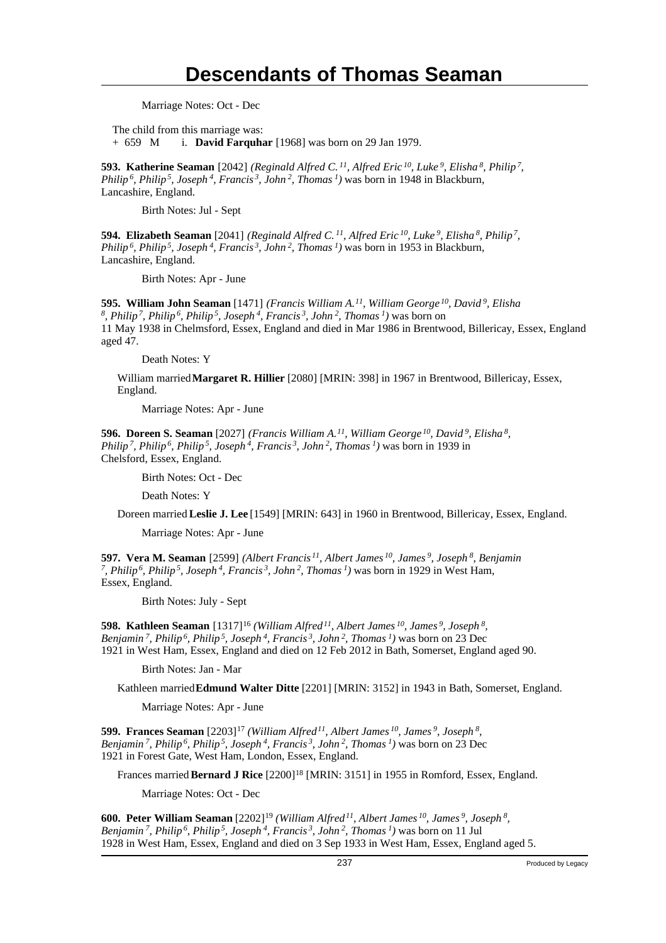Marriage Notes: Oct - Dec

The child from this marriage was: + 659 M i. **David Farquhar** [1968] was born on 29 Jan 1979.

**593. Katherine Seaman** [2042] *(Reginald Alfred C.<sup>11</sup>, Alfred Eric<sup>10</sup>, Luke<sup>9</sup>, Elisha<sup>8</sup>, Philip<sup>7</sup> , Philip<sup>6</sup>, Philip<sup>5</sup>, Joseph<sup>4</sup>, Francis<sup>3</sup>, John<sup>2</sup>, Thomas<sup>1</sup>)* was born in 1948 in Blackburn, Lancashire, England.

Birth Notes: Jul - Sept

**594. Elizabeth Seaman** [2041] *(Reginald Alfred C.<sup>11</sup>, Alfred Eric<sup>10</sup>, Luke<sup>9</sup>, Elisha<sup>8</sup>, Philip<sup>7</sup> , Philip<sup>6</sup>, Philip<sup>5</sup>, Joseph<sup>4</sup>, Francis<sup>3</sup>, John<sup>2</sup>, Thomas<sup>1</sup>)* was born in 1953 in Blackburn, Lancashire, England.

Birth Notes: Apr - June

**595. William John Seaman** [1471] *(Francis William A.<sup>11</sup>, William George<sup>10</sup>, David<sup>9</sup>, Elisha 8 , Philip<sup>7</sup>, Philip<sup>6</sup>, Philip<sup>5</sup>, Joseph<sup>4</sup>, Francis<sup>3</sup>, John<sup>2</sup>, Thomas<sup>1</sup>)* was born on 11 May 1938 in Chelmsford, Essex, England and died in Mar 1986 in Brentwood, Billericay, Essex, England aged 47.

Death Notes: Y

William married **Margaret R. Hillier** [2080] [MRIN: 398] in 1967 in Brentwood, Billericay, Essex, England.

Marriage Notes: Apr - June

**596. Doreen S. Seaman** [2027] *(Francis William A.<sup>11</sup>, William George<sup>10</sup>, David<sup>9</sup>, Elisha<sup>8</sup> , Philip<sup>7</sup>, Philip<sup>6</sup>, Philip<sup>5</sup>, Joseph<sup>4</sup>, Francis<sup>3</sup>, John<sup>2</sup>, Thomas<sup>1</sup>)* was born in 1939 in Chelsford, Essex, England.

Birth Notes: Oct - Dec

Death Notes: Y

Doreen married **Leslie J. Lee** [1549] [MRIN: 643] in 1960 in Brentwood, Billericay, Essex, England.

Marriage Notes: Apr - June

**597. Vera M. Seaman** [2599] *(Albert Francis<sup>11</sup>, Albert James<sup>10</sup>, James<sup>9</sup>, Joseph<sup>8</sup>, Benjamin 7 , Philip<sup>6</sup>, Philip<sup>5</sup>, Joseph<sup>4</sup>, Francis<sup>3</sup>, John<sup>2</sup>, Thomas<sup>1</sup>)* was born in 1929 in West Ham, Essex, England.

Birth Notes: July - Sept

**598. Kathleen Seaman** [1317]<sup>16</sup> *(William Alfred<sup>11</sup>, Albert James<sup>10</sup>, James<sup>9</sup>, Joseph<sup>8</sup> , Benjamin<sup>7</sup>, Philip<sup>6</sup>, Philip<sup>5</sup>, Joseph<sup>4</sup>, Francis<sup>3</sup>, John<sup>2</sup>, Thomas<sup>1</sup>)* was born on 23 Dec 1921 in West Ham, Essex, England and died on 12 Feb 2012 in Bath, Somerset, England aged 90.

Birth Notes: Jan - Mar

Kathleen married **Edmund Walter Ditte** [2201] [MRIN: 3152] in 1943 in Bath, Somerset, England.

Marriage Notes: Apr - June

**599. Frances Seaman** [2203]<sup>17</sup> *(William Alfred<sup>11</sup>, Albert James<sup>10</sup>, James<sup>9</sup>, Joseph<sup>8</sup> , Benjamin<sup>7</sup>, Philip<sup>6</sup>, Philip<sup>5</sup>, Joseph<sup>4</sup>, Francis<sup>3</sup>, John<sup>2</sup>, Thomas<sup>1</sup>)* was born on 23 Dec 1921 in Forest Gate, West Ham, London, Essex, England.

Frances married **Bernard J Rice** [2200]<sup>18</sup> [MRIN: 3151] in 1955 in Romford, Essex, England.

Marriage Notes: Oct - Dec

**600. Peter William Seaman** [2202]<sup>19</sup> *(William Alfred<sup>11</sup>, Albert James<sup>10</sup>, James<sup>9</sup>, Joseph<sup>8</sup> , Benjamin<sup>7</sup>, Philip<sup>6</sup>, Philip<sup>5</sup>, Joseph<sup>4</sup>, Francis<sup>3</sup>, John<sup>2</sup>, Thomas<sup>1</sup>)* was born on 11 Jul 1928 in West Ham, Essex, England and died on 3 Sep 1933 in West Ham, Essex, England aged 5.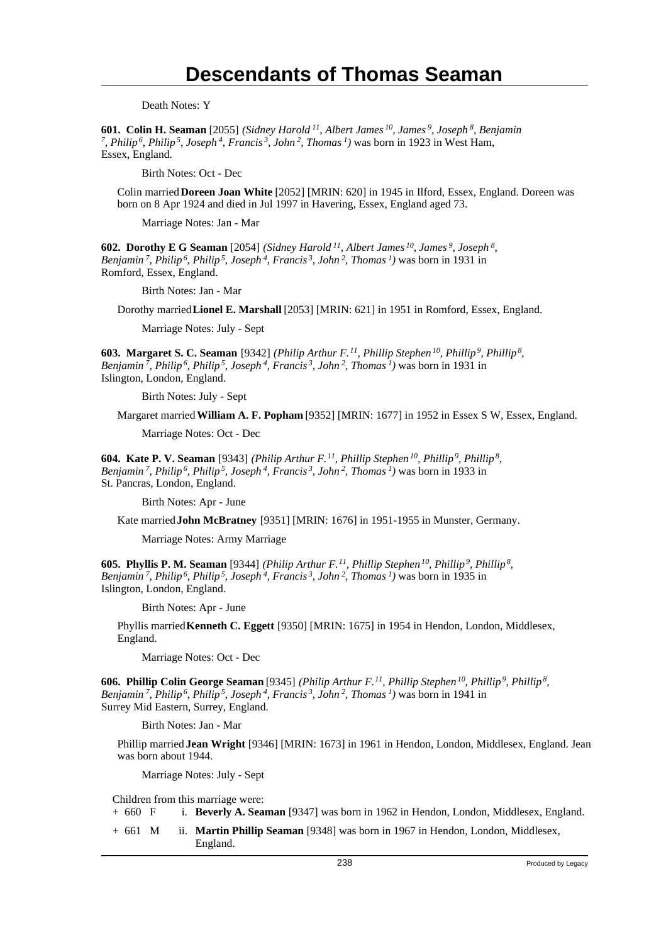Death Notes: Y

**601. Colin H. Seaman** [2055] *(Sidney Harold<sup>11</sup>, Albert James<sup>10</sup>, James<sup>9</sup>, Joseph<sup>8</sup>, Benjamin 7 , Philip<sup>6</sup>, Philip<sup>5</sup>, Joseph<sup>4</sup>, Francis<sup>3</sup>, John<sup>2</sup>, Thomas<sup>1</sup>)* was born in 1923 in West Ham, Essex, England.

Birth Notes: Oct - Dec

Colin married **Doreen Joan White** [2052] [MRIN: 620] in 1945 in Ilford, Essex, England. Doreen was born on 8 Apr 1924 and died in Jul 1997 in Havering, Essex, England aged 73.

Marriage Notes: Jan - Mar

**602. Dorothy E G Seaman** [2054] *(Sidney Harold<sup>11</sup>, Albert James<sup>10</sup>, James<sup>9</sup>, Joseph<sup>8</sup> , Benjamin<sup>7</sup>, Philip<sup>6</sup>, Philip<sup>5</sup>, Joseph<sup>4</sup>, Francis<sup>3</sup>, John<sup>2</sup>, Thomas<sup>1</sup>)* was born in 1931 in Romford, Essex, England.

Birth Notes: Jan - Mar

Dorothy married **Lionel E. Marshall** [2053] [MRIN: 621] in 1951 in Romford, Essex, England.

Marriage Notes: July - Sept

**603. Margaret S. C. Seaman** [9342] *(Philip Arthur F.<sup>11</sup>, Phillip Stephen<sup>10</sup>, Phillip<sup>9</sup>, Phillip<sup>8</sup> , Benjamin<sup>7</sup>, Philip<sup>6</sup>, Philip<sup>5</sup>, Joseph<sup>4</sup>, Francis<sup>3</sup>, John<sup>2</sup>, Thomas<sup>1</sup>)* was born in 1931 in Islington, London, England.

Birth Notes: July - Sept

Margaret married **William A. F. Popham** [9352] [MRIN: 1677] in 1952 in Essex S W, Essex, England.

Marriage Notes: Oct - Dec

**604. Kate P. V. Seaman** [9343] *(Philip Arthur F.<sup>11</sup>, Phillip Stephen<sup>10</sup>, Phillip<sup>9</sup>, Phillip<sup>8</sup> , Benjamin<sup>7</sup>, Philip<sup>6</sup>, Philip<sup>5</sup>, Joseph<sup>4</sup>, Francis<sup>3</sup>, John<sup>2</sup>, Thomas<sup>1</sup>)* was born in 1933 in St. Pancras, London, England.

Birth Notes: Apr - June

Kate married **John McBratney** [9351] [MRIN: 1676] in 1951-1955 in Munster, Germany.

Marriage Notes: Army Marriage

**605. Phyllis P. M. Seaman** [9344] *(Philip Arthur F.<sup>11</sup>, Phillip Stephen<sup>10</sup>, Phillip<sup>9</sup>, Phillip<sup>8</sup> , Benjamin<sup>7</sup>, Philip<sup>6</sup>, Philip<sup>5</sup>, Joseph<sup>4</sup>, Francis<sup>3</sup>, John<sup>2</sup>, Thomas<sup>1</sup>)* was born in 1935 in Islington, London, England.

Birth Notes: Apr - June

Phyllis married **Kenneth C. Eggett** [9350] [MRIN: 1675] in 1954 in Hendon, London, Middlesex, England.

Marriage Notes: Oct - Dec

**606. Phillip Colin George Seaman** [9345] *(Philip Arthur F.<sup>11</sup>, Phillip Stephen<sup>10</sup>, Phillip<sup>9</sup>, Phillip<sup>8</sup> , Benjamin<sup>7</sup>, Philip<sup>6</sup>, Philip<sup>5</sup>, Joseph<sup>4</sup>, Francis<sup>3</sup>, John<sup>2</sup>, Thomas<sup>1</sup>)* was born in 1941 in Surrey Mid Eastern, Surrey, England.

Birth Notes: Jan - Mar

Phillip married **Jean Wright** [9346] [MRIN: 1673] in 1961 in Hendon, London, Middlesex, England. Jean was born about 1944.

Marriage Notes: July - Sept

Children from this marriage were:<br>+  $660 \quad F$  i. **Beverly A. Sear** 

i. **Beverly A. Seaman** [9347] was born in 1962 in Hendon, London, Middlesex, England.

+ 661 M ii. **Martin Phillip Seaman** [9348] was born in 1967 in Hendon, London, Middlesex, England.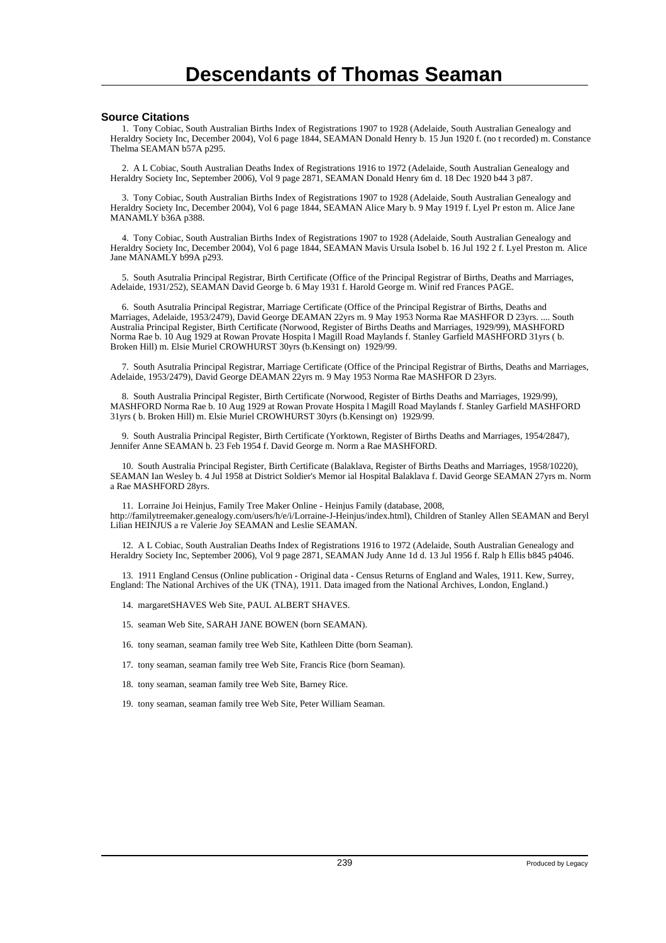#### **Source Citations**

 1. Tony Cobiac, South Australian Births Index of Registrations 1907 to 1928 (Adelaide, South Australian Genealogy and Heraldry Society Inc, December 2004), Vol 6 page 1844, SEAMAN Donald Henry b. 15 Jun 1920 f. (no t recorded) m. Constance Thelma SEAMAN b57A p295.

 2. A L Cobiac, South Australian Deaths Index of Registrations 1916 to 1972 (Adelaide, South Australian Genealogy and Heraldry Society Inc, September 2006), Vol 9 page 2871, SEAMAN Donald Henry 6m d. 18 Dec 1920 b44 3 p87.

 3. Tony Cobiac, South Australian Births Index of Registrations 1907 to 1928 (Adelaide, South Australian Genealogy and Heraldry Society Inc, December 2004), Vol 6 page 1844, SEAMAN Alice Mary b. 9 May 1919 f. Lyel Pr eston m. Alice Jane MANAMLY b36A p388.

 4. Tony Cobiac, South Australian Births Index of Registrations 1907 to 1928 (Adelaide, South Australian Genealogy and Heraldry Society Inc, December 2004), Vol 6 page 1844, SEAMAN Mavis Ursula Isobel b. 16 Jul 192 2 f. Lyel Preston m. Alice Jane MANAMLY b99A p293.

 5. South Asutralia Principal Registrar, Birth Certificate (Office of the Principal Registrar of Births, Deaths and Marriages, Adelaide, 1931/252), SEAMAN David George b. 6 May 1931 f. Harold George m. Winif red Frances PAGE.

 6. South Asutralia Principal Registrar, Marriage Certificate (Office of the Principal Registrar of Births, Deaths and Marriages, Adelaide, 1953/2479), David George DEAMAN 22yrs m. 9 May 1953 Norma Rae MASHFOR D 23yrs. .... South Australia Principal Register, Birth Certificate (Norwood, Register of Births Deaths and Marriages, 1929/99), MASHFORD Norma Rae b. 10 Aug 1929 at Rowan Provate Hospita l Magill Road Maylands f. Stanley Garfield MASHFORD 31yrs ( b. Broken Hill) m. Elsie Muriel CROWHURST 30yrs (b.Kensingt on) 1929/99.

 7. South Asutralia Principal Registrar, Marriage Certificate (Office of the Principal Registrar of Births, Deaths and Marriages, Adelaide, 1953/2479), David George DEAMAN 22yrs m. 9 May 1953 Norma Rae MASHFOR D 23yrs.

 8. South Australia Principal Register, Birth Certificate (Norwood, Register of Births Deaths and Marriages, 1929/99), MASHFORD Norma Rae b. 10 Aug 1929 at Rowan Provate Hospita l Magill Road Maylands f. Stanley Garfield MASHFORD 31yrs ( b. Broken Hill) m. Elsie Muriel CROWHURST 30yrs (b.Kensingt on) 1929/99.

 9. South Australia Principal Register, Birth Certificate (Yorktown, Register of Births Deaths and Marriages, 1954/2847), Jennifer Anne SEAMAN b. 23 Feb 1954 f. David George m. Norm a Rae MASHFORD.

 10. South Australia Principal Register, Birth Certificate (Balaklava, Register of Births Deaths and Marriages, 1958/10220), SEAMAN Ian Wesley b. 4 Jul 1958 at District Soldier's Memor ial Hospital Balaklava f. David George SEAMAN 27yrs m. Norm a Rae MASHFORD 28yrs.

 11. Lorraine Joi Heinjus, Family Tree Maker Online - Heinjus Family (database, 2008, http://familytreemaker.genealogy.com/users/h/e/i/Lorraine-J-Heinjus/index.html), Children of Stanley Allen SEAMAN and Beryl Lilian HEINJUS a re Valerie Joy SEAMAN and Leslie SEAMAN.

 12. A L Cobiac, South Australian Deaths Index of Registrations 1916 to 1972 (Adelaide, South Australian Genealogy and Heraldry Society Inc, September 2006), Vol 9 page 2871, SEAMAN Judy Anne 1d d. 13 Jul 1956 f. Ralp h Ellis b845 p4046.

 13. 1911 England Census (Online publication - Original data - Census Returns of England and Wales, 1911. Kew, Surrey, England: The National Archives of the UK (TNA), 1911. Data imaged from the National Archives, London, England.)

- 14. margaretSHAVES Web Site, PAUL ALBERT SHAVES.
- 15. seaman Web Site, SARAH JANE BOWEN (born SEAMAN).

16. tony seaman, seaman family tree Web Site, Kathleen Ditte (born Seaman).

- 17. tony seaman, seaman family tree Web Site, Francis Rice (born Seaman).
- 18. tony seaman, seaman family tree Web Site, Barney Rice.
- 19. tony seaman, seaman family tree Web Site, Peter William Seaman.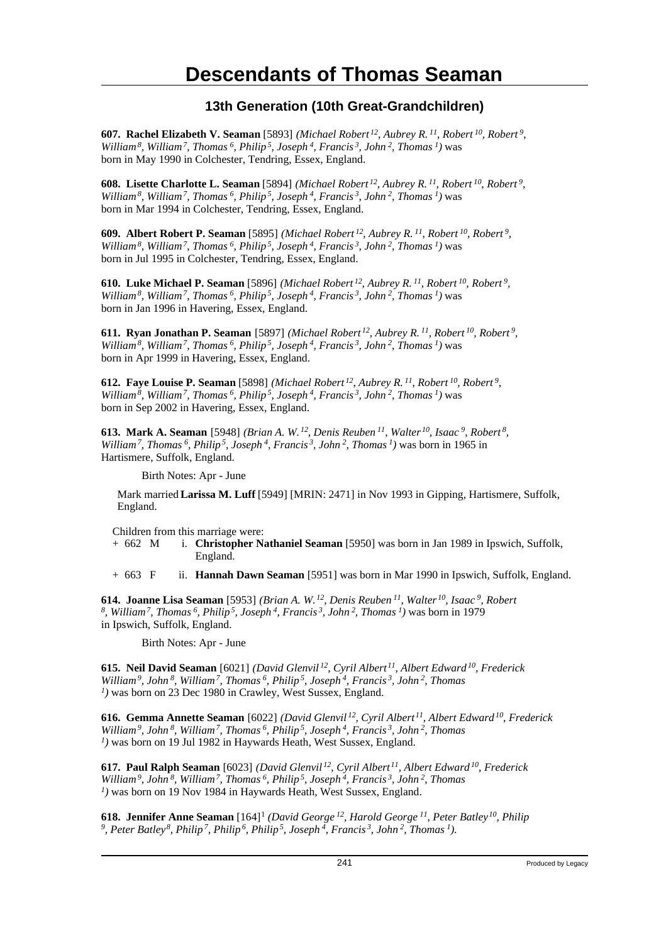#### **13th Generation (10th Great-Grandchildren)**

**607. Rachel Elizabeth V. Seaman** [5893] *(Michael Robert<sup>12</sup>, Aubrey R.<sup>11</sup>, Robert<sup>10</sup>, Robert<sup>9</sup> , William<sup>8</sup>, William<sup>7</sup>, Thomas<sup>6</sup>, Philip<sup>5</sup>, Joseph<sup>4</sup>, Francis<sup>3</sup>, John<sup>2</sup>, Thomas<sup>1</sup>)* was born in May 1990 in Colchester, Tendring, Essex, England.

**608. Lisette Charlotte L. Seaman** [5894] *(Michael Robert<sup>12</sup>, Aubrey R.<sup>11</sup>, Robert<sup>10</sup>, Robert<sup>9</sup> , William<sup>8</sup>, William<sup>7</sup>, Thomas<sup>6</sup>, Philip<sup>5</sup>, Joseph<sup>4</sup>, Francis<sup>3</sup>, John<sup>2</sup>, Thomas<sup>1</sup>)* was born in Mar 1994 in Colchester, Tendring, Essex, England.

**609. Albert Robert P. Seaman** [5895] *(Michael Robert<sup>12</sup>, Aubrey R.<sup>11</sup>, Robert<sup>10</sup>, Robert<sup>9</sup> , William<sup>8</sup>, William<sup>7</sup>, Thomas<sup>6</sup>, Philip<sup>5</sup>, Joseph<sup>4</sup>, Francis<sup>3</sup>, John<sup>2</sup>, Thomas<sup>1</sup>)* was born in Jul 1995 in Colchester, Tendring, Essex, England.

**610. Luke Michael P. Seaman** [5896] *(Michael Robert<sup>12</sup>, Aubrey R.<sup>11</sup>, Robert<sup>10</sup>, Robert<sup>9</sup> , William<sup>8</sup>, William<sup>7</sup>, Thomas<sup>6</sup>, Philip<sup>5</sup>, Joseph<sup>4</sup>, Francis<sup>3</sup>, John<sup>2</sup>, Thomas<sup>1</sup>)* was born in Jan 1996 in Havering, Essex, England.

**611. Ryan Jonathan P. Seaman** [5897] *(Michael Robert<sup>12</sup>, Aubrey R.<sup>11</sup>, Robert<sup>10</sup>, Robert<sup>9</sup> , William<sup>8</sup>, William<sup>7</sup>, Thomas<sup>6</sup>, Philip<sup>5</sup>, Joseph<sup>4</sup>, Francis<sup>3</sup>, John<sup>2</sup>, Thomas<sup>1</sup>)* was born in Apr 1999 in Havering, Essex, England.

**612. Faye Louise P. Seaman** [5898] *(Michael Robert<sup>12</sup>, Aubrey R.<sup>11</sup>, Robert<sup>10</sup>, Robert<sup>9</sup> , William<sup>8</sup>, William<sup>7</sup>, Thomas<sup>6</sup>, Philip<sup>5</sup>, Joseph<sup>4</sup>, Francis<sup>3</sup>, John<sup>2</sup>, Thomas<sup>1</sup>)* was born in Sep 2002 in Havering, Essex, England.

**613. Mark A. Seaman** [5948] *(Brian A. W.<sup>12</sup>, Denis Reuben<sup>11</sup>, Walter<sup>10</sup>, Isaac<sup>9</sup>, Robert<sup>8</sup> , William<sup>7</sup>, Thomas<sup>6</sup>, Philip<sup>5</sup>, Joseph<sup>4</sup>, Francis<sup>3</sup>, John<sup>2</sup>, Thomas<sup>1</sup>)* was born in 1965 in Hartismere, Suffolk, England.

Birth Notes: Apr - June

Mark married **Larissa M. Luff** [5949] [MRIN: 2471] in Nov 1993 in Gipping, Hartismere, Suffolk, England.

Children from this marriage were:<br>+  $662$  M i. **Christopher N** 

i. **Christopher Nathaniel Seaman** [5950] was born in Jan 1989 in Ipswich, Suffolk, England.

+ 663 F ii. **Hannah Dawn Seaman** [5951] was born in Mar 1990 in Ipswich, Suffolk, England.

**614. Joanne Lisa Seaman** [5953] *(Brian A. W.<sup>12</sup>, Denis Reuben<sup>11</sup>, Walter<sup>10</sup>, Isaac<sup>9</sup>, Robert 8 , William<sup>7</sup>, Thomas<sup>6</sup>, Philip<sup>5</sup>, Joseph<sup>4</sup>, Francis<sup>3</sup>, John<sup>2</sup>, Thomas<sup>1</sup>)* was born in 1979 in Ipswich, Suffolk, England.

Birth Notes: Apr - June

**615. Neil David Seaman** [6021] *(David Glenvil<sup>12</sup>, Cyril Albert<sup>11</sup>, Albert Edward<sup>10</sup>, Frederick William<sup>9</sup>, John<sup>8</sup>, William<sup>7</sup>, Thomas<sup>6</sup>, Philip<sup>5</sup>, Joseph<sup>4</sup>, Francis<sup>3</sup>, John<sup>2</sup>, Thomas 1 )* was born on 23 Dec 1980 in Crawley, West Sussex, England.

**616. Gemma Annette Seaman** [6022] *(David Glenvil<sup>12</sup>, Cyril Albert<sup>11</sup>, Albert Edward<sup>10</sup>, Frederick William<sup>9</sup>, John<sup>8</sup>, William<sup>7</sup>, Thomas<sup>6</sup>, Philip<sup>5</sup>, Joseph<sup>4</sup>, Francis<sup>3</sup>, John<sup>2</sup>, Thomas 1 )* was born on 19 Jul 1982 in Haywards Heath, West Sussex, England.

**617. Paul Ralph Seaman** [6023] *(David Glenvil<sup>12</sup>, Cyril Albert<sup>11</sup>, Albert Edward<sup>10</sup>, Frederick William<sup>9</sup>, John<sup>8</sup>, William<sup>7</sup>, Thomas<sup>6</sup>, Philip<sup>5</sup>, Joseph<sup>4</sup>, Francis<sup>3</sup>, John<sup>2</sup>, Thomas 1 )* was born on 19 Nov 1984 in Haywards Heath, West Sussex, England.

**618. Jennifer Anne Seaman** [164]<sup>1</sup>  *(David George<sup>12</sup>, Harold George<sup>11</sup>, Peter Batley<sup>10</sup>, Philip 9 , Peter Batley 8, Philip 7, Philip 6, Philip 5, Joseph 4, Francis 3, John 2, Thomas 1)*.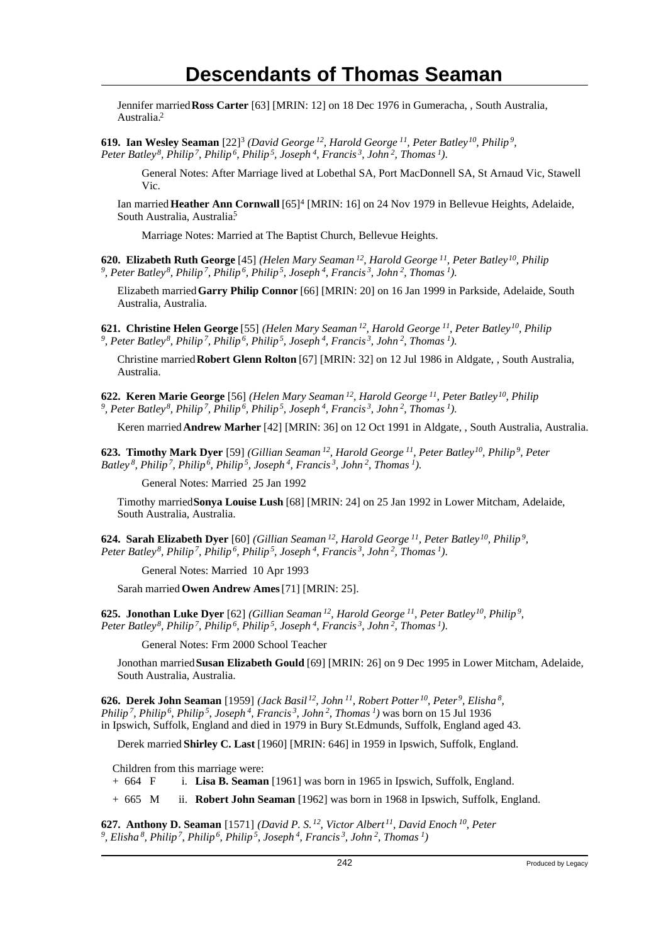Jennifer married **Ross Carter** [63] [MRIN: 12] on 18 Dec 1976 in Gumeracha, , South Australia, Australia.<sup>2</sup>

**619. Ian Wesley Seaman** [22]<sup>3</sup> (David George<sup>12</sup>, Harold George<sup>11</sup>, Peter Batley<sup>10</sup>, Philip<sup>9</sup>, *Peter Batley<sup>8</sup>, Philip<sup>7</sup>, Philip<sup>6</sup>, Philip<sup>5</sup>, Joseph<sup>4</sup>, Francis<sup>3</sup>, John<sup>2</sup>, Thomas<sup>1</sup>)*.

General Notes: After Marriage lived at Lobethal SA, Port MacDonnell SA, St Arnaud Vic, Stawell Vic.

Ian married **Heather Ann Cornwall** [65]<sup>4</sup> [MRIN: 16] on 24 Nov 1979 in Bellevue Heights, Adelaide, South Australia, Australia<sup>5</sup>

Marriage Notes: Married at The Baptist Church, Bellevue Heights.

**620. Elizabeth Ruth George** [45] *(Helen Mary Seaman<sup>12</sup>, Harold George<sup>11</sup>, Peter Batley<sup>10</sup>, Philip 9 , Peter Batley<sup>8</sup>, Philip<sup>7</sup>, Philip<sup>6</sup>, Philip<sup>5</sup>, Joseph<sup>4</sup>, Francis<sup>3</sup>, John<sup>2</sup>, Thomas<sup>1</sup>)*.

Elizabeth married **Garry Philip Connor** [66] [MRIN: 20] on 16 Jan 1999 in Parkside, Adelaide, South Australia, Australia.

**621. Christine Helen George** [55] *(Helen Mary Seaman<sup>12</sup>, Harold George<sup>11</sup>, Peter Batley<sup>10</sup>, Philip 9 , Peter Batley<sup>8</sup>, Philip<sup>7</sup>, Philip<sup>6</sup>, Philip<sup>5</sup>, Joseph<sup>4</sup>, Francis<sup>3</sup>, John<sup>2</sup>, Thomas<sup>1</sup>)*.

Christine married **Robert Glenn Rolton** [67] [MRIN: 32] on 12 Jul 1986 in Aldgate, , South Australia, Australia.

**622. Keren Marie George** [56] *(Helen Mary Seaman<sup>12</sup>, Harold George<sup>11</sup>, Peter Batley<sup>10</sup>, Philip 9 , Peter Batley<sup>8</sup>, Philip<sup>7</sup>, Philip<sup>6</sup>, Philip<sup>5</sup>, Joseph<sup>4</sup>, Francis<sup>3</sup>, John<sup>2</sup>, Thomas<sup>1</sup>)*.

Keren married **Andrew Marher** [42] [MRIN: 36] on 12 Oct 1991 in Aldgate, , South Australia, Australia.

**623. Timothy Mark Dyer** [59] *(Gillian Seaman<sup>12</sup>, Harold George<sup>11</sup>, Peter Batley<sup>10</sup>, Philip<sup>9</sup>, Peter Batley<sup>8</sup>, Philip<sup>7</sup>, Philip<sup>6</sup>, Philip<sup>5</sup>, Joseph<sup>4</sup>, Francis<sup>3</sup>, John<sup>2</sup>, Thomas<sup>1</sup>)*.

General Notes: Married 25 Jan 1992

Timothy married **Sonya Louise Lush** [68] [MRIN: 24] on 25 Jan 1992 in Lower Mitcham, Adelaide, South Australia, Australia.

**624. Sarah Elizabeth Dyer** [60] *(Gillian Seaman<sup>12</sup>, Harold George<sup>11</sup>, Peter Batley<sup>10</sup>, Philip<sup>9</sup> , Peter Batley<sup>8</sup>, Philip<sup>7</sup>, Philip<sup>6</sup>, Philip<sup>5</sup>, Joseph<sup>4</sup>, Francis<sup>3</sup>, John<sup>2</sup>, Thomas<sup>1</sup>)*.

General Notes: Married 10 Apr 1993

Sarah married **Owen Andrew Ames** [71] [MRIN: 25].

**625. Jonothan Luke Dyer** [62] *(Gillian Seaman<sup>12</sup>, Harold George<sup>11</sup>, Peter Batley<sup>10</sup>, Philip<sup>9</sup> , Peter Batley<sup>8</sup>, Philip<sup>7</sup>, Philip<sup>6</sup>, Philip<sup>5</sup>, Joseph<sup>4</sup>, Francis<sup>3</sup>, John<sup>2</sup>, Thomas<sup>1</sup>)*.

General Notes: Frm 2000 School Teacher

Jonothan married **Susan Elizabeth Gould** [69] [MRIN: 26] on 9 Dec 1995 in Lower Mitcham, Adelaide, South Australia, Australia.

**626. Derek John Seaman** [1959] *(Jack Basil<sup>12</sup>, John<sup>11</sup>, Robert Potter<sup>10</sup>, Peter<sup>9</sup>, Elisha<sup>8</sup> , Philip<sup>7</sup>, Philip<sup>6</sup>, Philip<sup>5</sup>, Joseph<sup>4</sup>, Francis<sup>3</sup>, John<sup>2</sup>, Thomas<sup>1</sup>)* was born on 15 Jul 1936 in Ipswich, Suffolk, England and died in 1979 in Bury St.Edmunds, Suffolk, England aged 43.

Derek married **Shirley C. Last** [1960] [MRIN: 646] in 1959 in Ipswich, Suffolk, England.

Children from this marriage were:

+ 664 F i. **Lisa B. Seaman** [1961] was born in 1965 in Ipswich, Suffolk, England.

+ 665 M ii. **Robert John Seaman** [1962] was born in 1968 in Ipswich, Suffolk, England.

**627. Anthony D. Seaman** [1571] *(David P. S.<sup>12</sup>, Victor Albert<sup>11</sup>, David Enoch<sup>10</sup>, Peter 9 , Elisha 8, Philip 7, Philip 6, Philip 5, Joseph 4, Francis 3, John 2, Thomas 1)*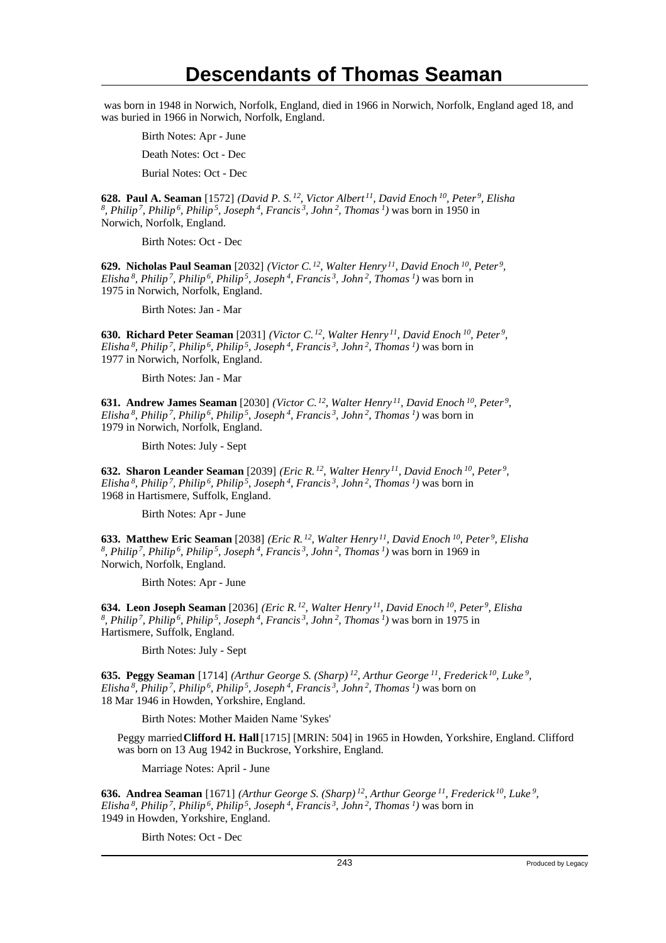was born in 1948 in Norwich, Norfolk, England, died in 1966 in Norwich, Norfolk, England aged 18, and was buried in 1966 in Norwich, Norfolk, England.

Birth Notes: Apr - June

Death Notes: Oct - Dec

Burial Notes: Oct - Dec

**628. Paul A. Seaman** [1572] *(David P. S.<sup>12</sup>, Victor Albert<sup>11</sup>, David Enoch<sup>10</sup>, Peter<sup>9</sup>, Elisha 8 , Philip<sup>7</sup>, Philip<sup>6</sup>, Philip<sup>5</sup>, Joseph<sup>4</sup>, Francis<sup>3</sup>, John<sup>2</sup>, Thomas<sup>1</sup>)* was born in 1950 in Norwich, Norfolk, England.

Birth Notes: Oct - Dec

**629. Nicholas Paul Seaman** [2032] *(Victor C.<sup>12</sup>, Walter Henry<sup>11</sup>, David Enoch<sup>10</sup>, Peter<sup>9</sup> , Elisha<sup>8</sup>, Philip<sup>7</sup>, Philip<sup>6</sup>, Philip<sup>5</sup>, Joseph<sup>4</sup>, Francis<sup>3</sup>, John<sup>2</sup>, Thomas<sup>1</sup>)* was born in 1975 in Norwich, Norfolk, England.

Birth Notes: Jan - Mar

**630. Richard Peter Seaman** [2031] *(Victor C.<sup>12</sup>, Walter Henry<sup>11</sup>, David Enoch<sup>10</sup>, Peter<sup>9</sup> , Elisha<sup>8</sup>, Philip<sup>7</sup>, Philip<sup>6</sup>, Philip<sup>5</sup>, Joseph<sup>4</sup>, Francis<sup>3</sup>, John<sup>2</sup>, Thomas<sup>1</sup>)* was born in 1977 in Norwich, Norfolk, England.

Birth Notes: Jan - Mar

**631. Andrew James Seaman** [2030] *(Victor C.<sup>12</sup>, Walter Henry<sup>11</sup>, David Enoch<sup>10</sup>, Peter<sup>9</sup> , Elisha<sup>8</sup>, Philip<sup>7</sup>, Philip<sup>6</sup>, Philip<sup>5</sup>, Joseph<sup>4</sup>, Francis<sup>3</sup>, John<sup>2</sup>, Thomas<sup>1</sup>)* was born in 1979 in Norwich, Norfolk, England.

Birth Notes: July - Sept

**632. Sharon Leander Seaman** [2039] *(Eric R.<sup>12</sup>, Walter Henry<sup>11</sup>, David Enoch<sup>10</sup>, Peter<sup>9</sup> , Elisha<sup>8</sup>, Philip<sup>7</sup>, Philip<sup>6</sup>, Philip<sup>5</sup>, Joseph<sup>4</sup>, Francis<sup>3</sup>, John<sup>2</sup>, Thomas<sup>1</sup>)* was born in 1968 in Hartismere, Suffolk, England.

Birth Notes: Apr - June

**633. Matthew Eric Seaman** [2038] *(Eric R.<sup>12</sup>, Walter Henry<sup>11</sup>, David Enoch<sup>10</sup>, Peter<sup>9</sup>, Elisha 8 , Philip<sup>7</sup>, Philip<sup>6</sup>, Philip<sup>5</sup>, Joseph<sup>4</sup>, Francis<sup>3</sup>, John<sup>2</sup>, Thomas<sup>1</sup>)* was born in 1969 in Norwich, Norfolk, England.

Birth Notes: Apr - June

**634. Leon Joseph Seaman** [2036] *(Eric R.<sup>12</sup>, Walter Henry<sup>11</sup>, David Enoch<sup>10</sup>, Peter<sup>9</sup>, Elisha 8 , Philip<sup>7</sup>, Philip<sup>6</sup>, Philip<sup>5</sup>, Joseph<sup>4</sup>, Francis<sup>3</sup>, John<sup>2</sup>, Thomas<sup>1</sup>)* was born in 1975 in Hartismere, Suffolk, England.

Birth Notes: July - Sept

**635. Peggy Seaman** [1714] *(Arthur George S. (Sharp)<sup>12</sup>, Arthur George<sup>11</sup>, Frederick<sup>10</sup>, Luke<sup>9</sup> , Elisha<sup>8</sup>, Philip<sup>7</sup>, Philip<sup>6</sup>, Philip<sup>5</sup>, Joseph<sup>4</sup>, Francis<sup>3</sup>, John<sup>2</sup>, Thomas<sup>1</sup>)* was born on 18 Mar 1946 in Howden, Yorkshire, England.

Birth Notes: Mother Maiden Name 'Sykes'

Peggy married **Clifford H. Hall** [1715] [MRIN: 504] in 1965 in Howden, Yorkshire, England. Clifford was born on 13 Aug 1942 in Buckrose, Yorkshire, England.

Marriage Notes: April - June

**636. Andrea Seaman** [1671] *(Arthur George S. (Sharp)<sup>12</sup>, Arthur George<sup>11</sup>, Frederick<sup>10</sup>, Luke<sup>9</sup> , Elisha<sup>8</sup>, Philip<sup>7</sup>, Philip<sup>6</sup>, Philip<sup>5</sup>, Joseph<sup>4</sup>, Francis<sup>3</sup>, John<sup>2</sup>, Thomas<sup>1</sup>)* was born in 1949 in Howden, Yorkshire, England.

Birth Notes: Oct - Dec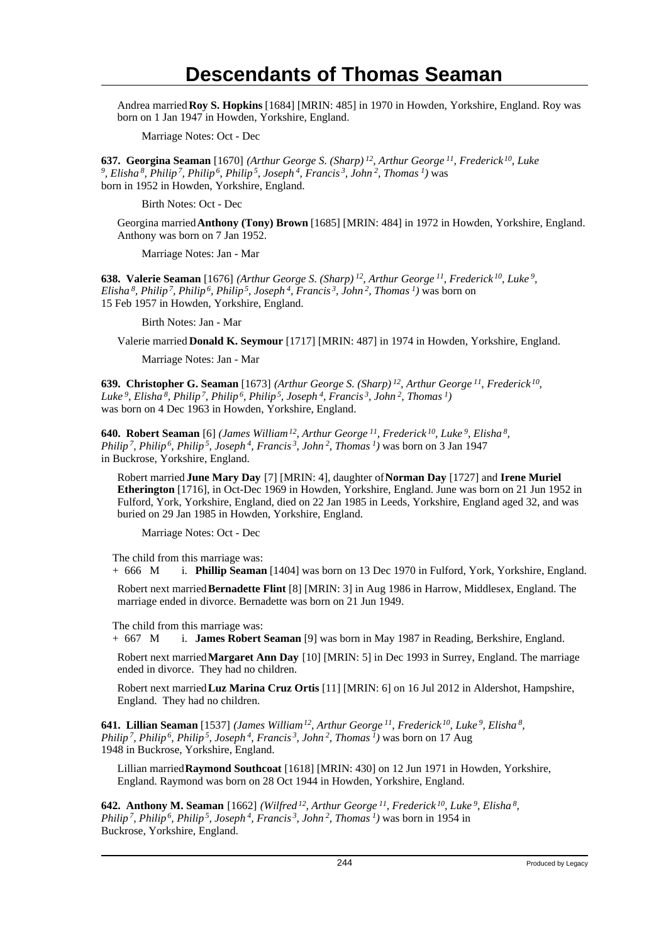Andrea married **Roy S. Hopkins** [1684] [MRIN: 485] in 1970 in Howden, Yorkshire, England. Roy was born on 1 Jan 1947 in Howden, Yorkshire, England.

Marriage Notes: Oct - Dec

**637. Georgina Seaman** [1670] *(Arthur George S. (Sharp)<sup>12</sup>, Arthur George<sup>11</sup>, Frederick<sup>10</sup>, Luke 9 , Elisha<sup>8</sup>, Philip<sup>7</sup>, Philip<sup>6</sup>, Philip<sup>5</sup>, Joseph<sup>4</sup>, Francis<sup>3</sup>, John<sup>2</sup>, Thomas<sup>1</sup>)* was born in 1952 in Howden, Yorkshire, England.

Birth Notes: Oct - Dec

Georgina married **Anthony (Tony) Brown** [1685] [MRIN: 484] in 1972 in Howden, Yorkshire, England. Anthony was born on 7 Jan 1952.

Marriage Notes: Jan - Mar

**638. Valerie Seaman** [1676] *(Arthur George S. (Sharp)<sup>12</sup>, Arthur George<sup>11</sup>, Frederick<sup>10</sup>, Luke<sup>9</sup> , Elisha<sup>8</sup>, Philip<sup>7</sup>, Philip<sup>6</sup>, Philip<sup>5</sup>, Joseph<sup>4</sup>, Francis<sup>3</sup>, John<sup>2</sup>, Thomas<sup>1</sup>)* was born on 15 Feb 1957 in Howden, Yorkshire, England.

Birth Notes: Jan - Mar

Valerie married **Donald K. Seymour** [1717] [MRIN: 487] in 1974 in Howden, Yorkshire, England.

Marriage Notes: Jan - Mar

**639. Christopher G. Seaman** [1673] *(Arthur George S. (Sharp)<sup>12</sup>, Arthur George<sup>11</sup>, Frederick<sup>10</sup> , Luke<sup>9</sup>, Elisha<sup>8</sup>, Philip<sup>7</sup>, Philip<sup>6</sup>, Philip<sup>5</sup>, Joseph<sup>4</sup>, Francis<sup>3</sup>, John<sup>2</sup>, Thomas<sup>1</sup>)* was born on 4 Dec 1963 in Howden, Yorkshire, England.

**640. Robert Seaman** [6] *(James William<sup>12</sup>, Arthur George<sup>11</sup>, Frederick<sup>10</sup>, Luke<sup>9</sup>, Elisha<sup>8</sup> , Philip<sup>7</sup>, Philip<sup>6</sup>, Philip<sup>5</sup>, Joseph<sup>4</sup>, Francis<sup>3</sup>, John<sup>2</sup>, Thomas<sup>1</sup>)* was born on 3 Jan 1947 in Buckrose, Yorkshire, England.

Robert married **June Mary Day** [7] [MRIN: 4], daughter of **Norman Day** [1727] and **Irene Muriel Etherington** [1716], in Oct-Dec 1969 in Howden, Yorkshire, England. June was born on 21 Jun 1952 in Fulford, York, Yorkshire, England, died on 22 Jan 1985 in Leeds, Yorkshire, England aged 32, and was buried on 29 Jan 1985 in Howden, Yorkshire, England.

Marriage Notes: Oct - Dec

The child from this marriage was:

+ 666 M i. **Phillip Seaman** [1404] was born on 13 Dec 1970 in Fulford, York, Yorkshire, England.

Robert next married **Bernadette Flint** [8] [MRIN: 3] in Aug 1986 in Harrow, Middlesex, England. The marriage ended in divorce. Bernadette was born on 21 Jun 1949.

The child from this marriage was:

+ 667 M i. **James Robert Seaman** [9] was born in May 1987 in Reading, Berkshire, England.

Robert next married **Margaret Ann Day** [10] [MRIN: 5] in Dec 1993 in Surrey, England. The marriage ended in divorce. They had no children.

Robert next married **Luz Marina Cruz Ortis** [11] [MRIN: 6] on 16 Jul 2012 in Aldershot, Hampshire, England. They had no children.

**641. Lillian Seaman** [1537] *(James William<sup>12</sup>, Arthur George<sup>11</sup>, Frederick<sup>10</sup>, Luke<sup>9</sup>, Elisha<sup>8</sup> , Philip<sup>7</sup>, Philip<sup>6</sup>, Philip<sup>5</sup>, Joseph<sup>4</sup>, Francis<sup>3</sup>, John<sup>2</sup>, Thomas<sup>1</sup>)* was born on 17 Aug 1948 in Buckrose, Yorkshire, England.

Lillian married **Raymond Southcoat** [1618] [MRIN: 430] on 12 Jun 1971 in Howden, Yorkshire, England. Raymond was born on 28 Oct 1944 in Howden, Yorkshire, England.

**642. Anthony M. Seaman** [1662] *(Wilfred<sup>12</sup>, Arthur George<sup>11</sup>, Frederick<sup>10</sup>, Luke<sup>9</sup>, Elisha<sup>8</sup> , Philip<sup>7</sup>, Philip<sup>6</sup>, Philip<sup>5</sup>, Joseph<sup>4</sup>, Francis<sup>3</sup>, John<sup>2</sup>, Thomas<sup>1</sup>)* was born in 1954 in Buckrose, Yorkshire, England.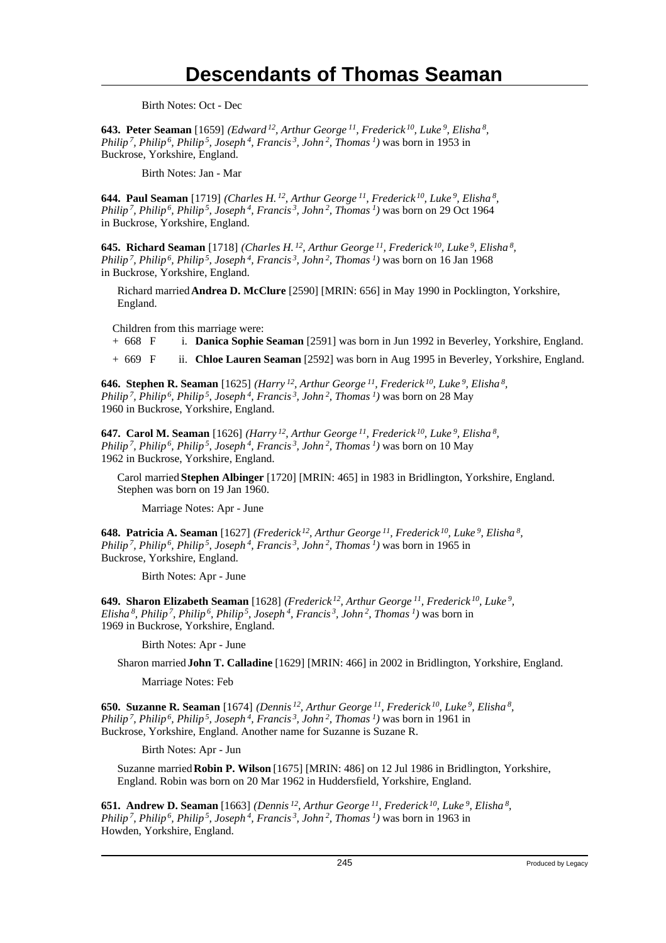Birth Notes: Oct - Dec

**643. Peter Seaman** [1659] *(Edward<sup>12</sup>, Arthur George<sup>11</sup>, Frederick<sup>10</sup>, Luke<sup>9</sup>, Elisha<sup>8</sup> , Philip<sup>7</sup>, Philip<sup>6</sup>, Philip<sup>5</sup>, Joseph<sup>4</sup>, Francis<sup>3</sup>, John<sup>2</sup>, Thomas<sup>1</sup>)* was born in 1953 in Buckrose, Yorkshire, England.

Birth Notes: Jan - Mar

**644. Paul Seaman** [1719] *(Charles H.<sup>12</sup>, Arthur George<sup>11</sup>, Frederick<sup>10</sup>, Luke<sup>9</sup>, Elisha<sup>8</sup> , Philip<sup>7</sup>, Philip<sup>6</sup>, Philip<sup>5</sup>, Joseph<sup>4</sup>, Francis<sup>3</sup>, John<sup>2</sup>, Thomas<sup>1</sup>)* was born on 29 Oct 1964 in Buckrose, Yorkshire, England.

**645. Richard Seaman** [1718] *(Charles H.<sup>12</sup>, Arthur George<sup>11</sup>, Frederick<sup>10</sup>, Luke<sup>9</sup>, Elisha<sup>8</sup> , Philip<sup>7</sup>, Philip<sup>6</sup>, Philip<sup>5</sup>, Joseph<sup>4</sup>, Francis<sup>3</sup>, John<sup>2</sup>, Thomas<sup>1</sup>)* was born on 16 Jan 1968 in Buckrose, Yorkshire, England.

Richard married **Andrea D. McClure** [2590] [MRIN: 656] in May 1990 in Pocklington, Yorkshire, England.

Children from this marriage were:

+ 668 F i. **Danica Sophie Seaman** [2591] was born in Jun 1992 in Beverley, Yorkshire, England.

+ 669 F ii. **Chloe Lauren Seaman** [2592] was born in Aug 1995 in Beverley, Yorkshire, England.

**646. Stephen R. Seaman** [1625] *(Harry<sup>12</sup>, Arthur George<sup>11</sup>, Frederick<sup>10</sup>, Luke<sup>9</sup>, Elisha<sup>8</sup> , Philip<sup>7</sup>, Philip<sup>6</sup>, Philip<sup>5</sup>, Joseph<sup>4</sup>, Francis<sup>3</sup>, John<sup>2</sup>, Thomas<sup>1</sup>)* was born on 28 May 1960 in Buckrose, Yorkshire, England.

**647. Carol M. Seaman** [1626] *(Harry<sup>12</sup>, Arthur George<sup>11</sup>, Frederick<sup>10</sup>, Luke<sup>9</sup>, Elisha<sup>8</sup> , Philip<sup>7</sup>, Philip<sup>6</sup>, Philip<sup>5</sup>, Joseph<sup>4</sup>, Francis<sup>3</sup>, John<sup>2</sup>, Thomas<sup>1</sup>)* was born on 10 May 1962 in Buckrose, Yorkshire, England.

Carol married **Stephen Albinger** [1720] [MRIN: 465] in 1983 in Bridlington, Yorkshire, England. Stephen was born on 19 Jan 1960.

Marriage Notes: Apr - June

**648. Patricia A. Seaman** [1627] *(Frederick<sup>12</sup>, Arthur George<sup>11</sup>, Frederick<sup>10</sup>, Luke<sup>9</sup>, Elisha<sup>8</sup> , Philip<sup>7</sup>, Philip<sup>6</sup>, Philip<sup>5</sup>, Joseph<sup>4</sup>, Francis<sup>3</sup>, John<sup>2</sup>, Thomas<sup>1</sup>)* was born in 1965 in Buckrose, Yorkshire, England.

Birth Notes: Apr - June

**649. Sharon Elizabeth Seaman** [1628] *(Frederick<sup>12</sup>, Arthur George<sup>11</sup>, Frederick<sup>10</sup>, Luke<sup>9</sup> , Elisha<sup>8</sup>, Philip<sup>7</sup>, Philip<sup>6</sup>, Philip<sup>5</sup>, Joseph<sup>4</sup>, Francis<sup>3</sup>, John<sup>2</sup>, Thomas<sup>1</sup>)* was born in 1969 in Buckrose, Yorkshire, England.

Birth Notes: Apr - June

Sharon married **John T. Calladine** [1629] [MRIN: 466] in 2002 in Bridlington, Yorkshire, England.

Marriage Notes: Feb

**650. Suzanne R. Seaman** [1674] *(Dennis<sup>12</sup>, Arthur George<sup>11</sup>, Frederick<sup>10</sup>, Luke<sup>9</sup>, Elisha<sup>8</sup> , Philip<sup>7</sup>, Philip<sup>6</sup>, Philip<sup>5</sup>, Joseph<sup>4</sup>, Francis<sup>3</sup>, John<sup>2</sup>, Thomas<sup>1</sup>)* was born in 1961 in Buckrose, Yorkshire, England. Another name for Suzanne is Suzane R.

Birth Notes: Apr - Jun

Suzanne married **Robin P. Wilson** [1675] [MRIN: 486] on 12 Jul 1986 in Bridlington, Yorkshire, England. Robin was born on 20 Mar 1962 in Huddersfield, Yorkshire, England.

**651. Andrew D. Seaman** [1663] *(Dennis<sup>12</sup>, Arthur George<sup>11</sup>, Frederick<sup>10</sup>, Luke<sup>9</sup>, Elisha<sup>8</sup> , Philip<sup>7</sup>, Philip<sup>6</sup>, Philip<sup>5</sup>, Joseph<sup>4</sup>, Francis<sup>3</sup>, John<sup>2</sup>, Thomas<sup>1</sup>)* was born in 1963 in Howden, Yorkshire, England.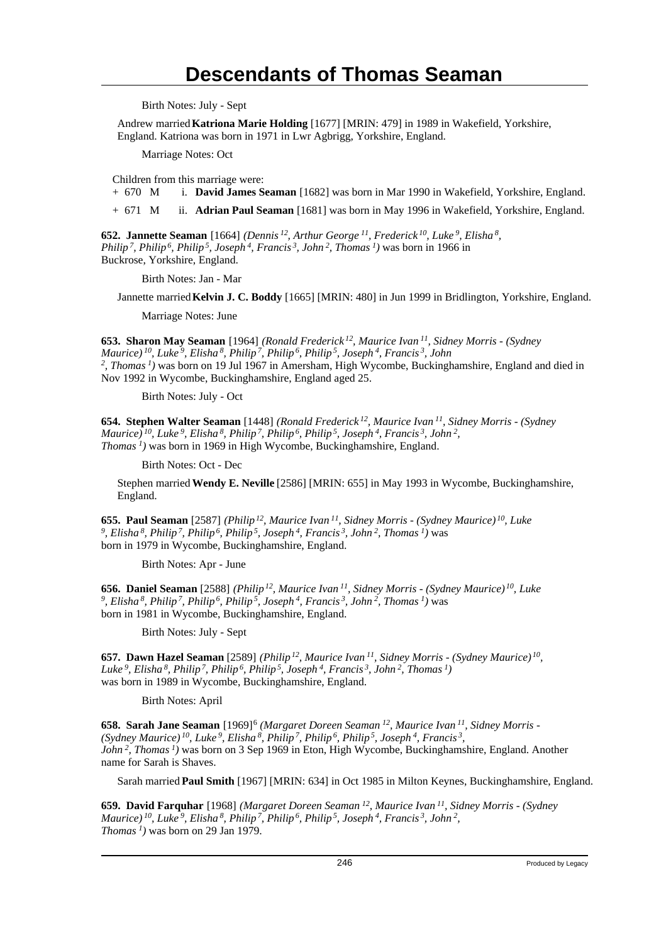Birth Notes: July - Sept

Andrew married **Katriona Marie Holding** [1677] [MRIN: 479] in 1989 in Wakefield, Yorkshire, England. Katriona was born in 1971 in Lwr Agbrigg, Yorkshire, England.

Marriage Notes: Oct

Children from this marriage were:<br>+  $670$  M i. **David James S** 

i. David James Seaman [1682] was born in Mar 1990 in Wakefield, Yorkshire, England.

+ 671 M ii. **Adrian Paul Seaman** [1681] was born in May 1996 in Wakefield, Yorkshire, England.

**652. Jannette Seaman** [1664] *(Dennis<sup>12</sup>, Arthur George<sup>11</sup>, Frederick<sup>10</sup>, Luke<sup>9</sup>, Elisha<sup>8</sup> , Philip<sup>7</sup>, Philip<sup>6</sup>, Philip<sup>5</sup>, Joseph<sup>4</sup>, Francis<sup>3</sup>, John<sup>2</sup>, Thomas<sup>1</sup>)* was born in 1966 in Buckrose, Yorkshire, England.

Birth Notes: Jan - Mar

Jannette married **Kelvin J. C. Boddy** [1665] [MRIN: 480] in Jun 1999 in Bridlington, Yorkshire, England.

Marriage Notes: June

**653. Sharon May Seaman** [1964] *(Ronald Frederick<sup>12</sup>, Maurice Ivan<sup>11</sup>, Sidney Morris - (Sydney Maurice)<sup>10</sup>, Luke<sup>9</sup>, Elisha<sup>8</sup>, Philip<sup>7</sup>, Philip<sup>6</sup>, Philip<sup>5</sup>, Joseph<sup>4</sup>, Francis<sup>3</sup>, John 2 , Thomas<sup>1</sup>)* was born on 19 Jul 1967 in Amersham, High Wycombe, Buckinghamshire, England and died in Nov 1992 in Wycombe, Buckinghamshire, England aged 25.

Birth Notes: July - Oct

**654. Stephen Walter Seaman** [1448] *(Ronald Frederick<sup>12</sup>, Maurice Ivan<sup>11</sup>, Sidney Morris - (Sydney Maurice)<sup>10</sup>, Luke<sup>9</sup>, Elisha<sup>8</sup>, Philip<sup>7</sup>, Philip<sup>6</sup>, Philip<sup>5</sup>, Joseph<sup>4</sup>, Francis<sup>3</sup>, John<sup>2</sup> , Thomas<sup>1</sup>)* was born in 1969 in High Wycombe, Buckinghamshire, England.

Birth Notes: Oct - Dec

Stephen married **Wendy E. Neville** [2586] [MRIN: 655] in May 1993 in Wycombe, Buckinghamshire, England.

**655. Paul Seaman** [2587] *(Philip<sup>12</sup>, Maurice Ivan<sup>11</sup>, Sidney Morris - (Sydney Maurice)<sup>10</sup>, Luke 9 , Elisha<sup>8</sup>, Philip<sup>7</sup>, Philip<sup>6</sup>, Philip<sup>5</sup>, Joseph<sup>4</sup>, Francis<sup>3</sup>, John<sup>2</sup>, Thomas<sup>1</sup>)* was born in 1979 in Wycombe, Buckinghamshire, England.

Birth Notes: Apr - June

**656. Daniel Seaman** [2588] *(Philip<sup>12</sup>, Maurice Ivan<sup>11</sup>, Sidney Morris - (Sydney Maurice)<sup>10</sup>, Luke 9 , Elisha<sup>8</sup>, Philip<sup>7</sup>, Philip<sup>6</sup>, Philip<sup>5</sup>, Joseph<sup>4</sup>, Francis<sup>3</sup>, John<sup>2</sup>, Thomas<sup>1</sup>)* was born in 1981 in Wycombe, Buckinghamshire, England.

Birth Notes: July - Sept

**657. Dawn Hazel Seaman** [2589] *(Philip<sup>12</sup>, Maurice Ivan<sup>11</sup>, Sidney Morris - (Sydney Maurice)<sup>10</sup> , Luke<sup>9</sup>, Elisha<sup>8</sup>, Philip<sup>7</sup>, Philip<sup>6</sup>, Philip<sup>5</sup>, Joseph<sup>4</sup>, Francis<sup>3</sup>, John<sup>2</sup>, Thomas<sup>1</sup>)* was born in 1989 in Wycombe, Buckinghamshire, England.

Birth Notes: April

**658. Sarah Jane Seaman** [1969]<sup>6</sup> (Margaret Doreen Seaman<sup>12</sup>, Maurice Ivan<sup>11</sup>, Sidney Morris -*(Sydney Maurice)<sup>10</sup>, Luke<sup>9</sup>, Elisha<sup>8</sup>, Philip<sup>7</sup>, Philip<sup>6</sup>, Philip<sup>5</sup>, Joseph<sup>4</sup>, Francis<sup>3</sup> , John<sup>2</sup>, Thomas<sup>1</sup>)* was born on 3 Sep 1969 in Eton, High Wycombe, Buckinghamshire, England. Another name for Sarah is Shaves.

Sarah married **Paul Smith** [1967] [MRIN: 634] in Oct 1985 in Milton Keynes, Buckinghamshire, England.

**659. David Farquhar** [1968] *(Margaret Doreen Seaman<sup>12</sup>, Maurice Ivan<sup>11</sup>, Sidney Morris - (Sydney Maurice)<sup>10</sup>, Luke<sup>9</sup>, Elisha<sup>8</sup>, Philip<sup>7</sup>, Philip<sup>6</sup>, Philip<sup>5</sup>, Joseph<sup>4</sup>, Francis<sup>3</sup>, John<sup>2</sup> , Thomas 1)* was born on 29 Jan 1979.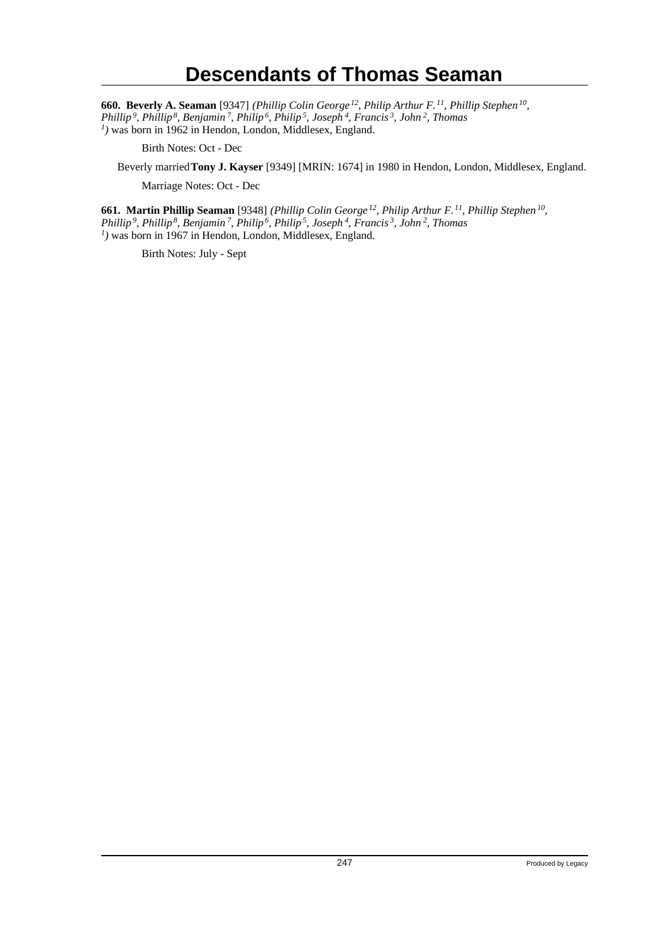**660. Beverly A. Seaman** [9347] *(Phillip Colin George<sup>12</sup>, Philip Arthur F.<sup>11</sup>, Phillip Stephen<sup>10</sup> , Phillip<sup>9</sup>, Phillip<sup>8</sup>, Benjamin<sup>7</sup>, Philip<sup>6</sup>, Philip<sup>5</sup>, Joseph<sup>4</sup>, Francis<sup>3</sup>, John<sup>2</sup>, Thomas 1 )* was born in 1962 in Hendon, London, Middlesex, England.

Birth Notes: Oct - Dec

Beverly married **Tony J. Kayser** [9349] [MRIN: 1674] in 1980 in Hendon, London, Middlesex, England.

Marriage Notes: Oct - Dec

**661. Martin Phillip Seaman** [9348] *(Phillip Colin George<sup>12</sup>, Philip Arthur F.<sup>11</sup>, Phillip Stephen<sup>10</sup> , Phillip<sup>9</sup>, Phillip<sup>8</sup>, Benjamin<sup>7</sup>, Philip<sup>6</sup>, Philip<sup>5</sup>, Joseph<sup>4</sup>, Francis<sup>3</sup>, John<sup>2</sup>, Thomas 1 )* was born in 1967 in Hendon, London, Middlesex, England.

Birth Notes: July - Sept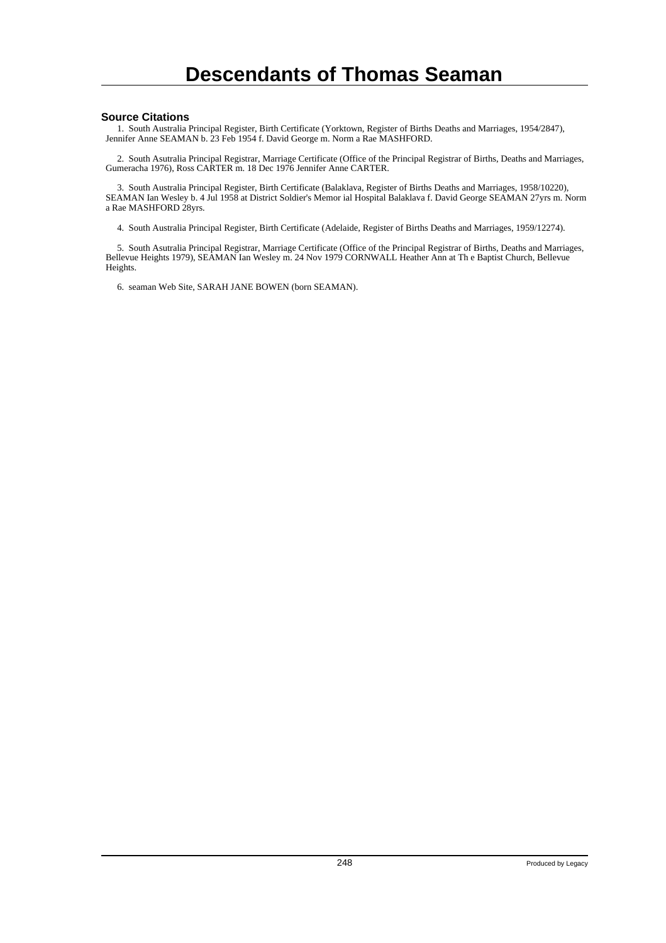#### **Source Citations**

 1. South Australia Principal Register, Birth Certificate (Yorktown, Register of Births Deaths and Marriages, 1954/2847), Jennifer Anne SEAMAN b. 23 Feb 1954 f. David George m. Norm a Rae MASHFORD.

 2. South Asutralia Principal Registrar, Marriage Certificate (Office of the Principal Registrar of Births, Deaths and Marriages, Gumeracha 1976), Ross CARTER m. 18 Dec 1976 Jennifer Anne CARTER.

 3. South Australia Principal Register, Birth Certificate (Balaklava, Register of Births Deaths and Marriages, 1958/10220), SEAMAN Ian Wesley b. 4 Jul 1958 at District Soldier's Memor ial Hospital Balaklava f. David George SEAMAN 27yrs m. Norm a Rae MASHFORD 28yrs.

4. South Australia Principal Register, Birth Certificate (Adelaide, Register of Births Deaths and Marriages, 1959/12274).

 5. South Asutralia Principal Registrar, Marriage Certificate (Office of the Principal Registrar of Births, Deaths and Marriages, Bellevue Heights 1979), SEAMAN Ian Wesley m. 24 Nov 1979 CORNWALL Heather Ann at Th e Baptist Church, Bellevue Heights.

6. seaman Web Site, SARAH JANE BOWEN (born SEAMAN).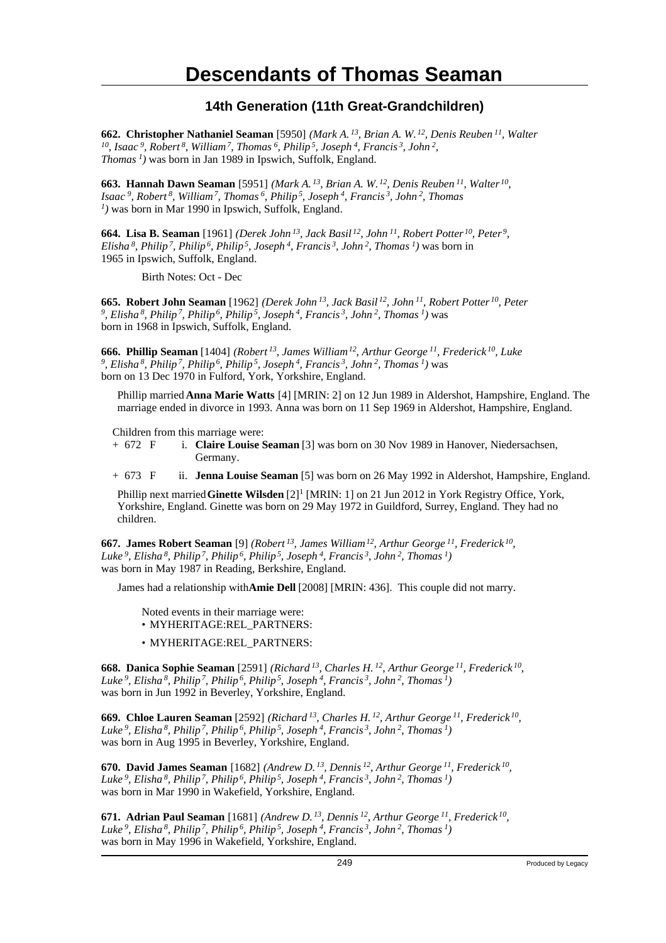### **Descendants of Thomas Seaman**

#### **14th Generation (11th Great-Grandchildren)**

**662. Christopher Nathaniel Seaman** [5950] *(Mark A.<sup>13</sup>, Brian A. W.<sup>12</sup>, Denis Reuben<sup>11</sup>, Walter <sup>10</sup>, Isaac<sup>9</sup>, Robert<sup>8</sup>, William<sup>7</sup>, Thomas<sup>6</sup>, Philip<sup>5</sup>, Joseph<sup>4</sup>, Francis<sup>3</sup>, John<sup>2</sup> , Thomas<sup>1</sup>)* was born in Jan 1989 in Ipswich, Suffolk, England.

**663. Hannah Dawn Seaman** [5951] *(Mark A.<sup>13</sup>, Brian A. W.<sup>12</sup>, Denis Reuben<sup>11</sup>, Walter<sup>10</sup> , Isaac<sup>9</sup>, Robert<sup>8</sup>, William<sup>7</sup>, Thomas<sup>6</sup>, Philip<sup>5</sup>, Joseph<sup>4</sup>, Francis<sup>3</sup>, John<sup>2</sup>, Thomas 1 )* was born in Mar 1990 in Ipswich, Suffolk, England.

**664. Lisa B. Seaman** [1961] *(Derek John<sup>13</sup>, Jack Basil<sup>12</sup>, John<sup>11</sup>, Robert Potter<sup>10</sup>, Peter<sup>9</sup> , Elisha<sup>8</sup>, Philip<sup>7</sup>, Philip<sup>6</sup>, Philip<sup>5</sup>, Joseph<sup>4</sup>, Francis<sup>3</sup>, John<sup>2</sup>, Thomas<sup>1</sup>)* was born in 1965 in Ipswich, Suffolk, England.

Birth Notes: Oct - Dec

**665. Robert John Seaman** [1962] *(Derek John<sup>13</sup>, Jack Basil<sup>12</sup>, John<sup>11</sup>, Robert Potter<sup>10</sup>, Peter 9 , Elisha<sup>8</sup>, Philip<sup>7</sup>, Philip<sup>6</sup>, Philip<sup>5</sup>, Joseph<sup>4</sup>, Francis<sup>3</sup>, John<sup>2</sup>, Thomas<sup>1</sup>)* was born in 1968 in Ipswich, Suffolk, England.

**666. Phillip Seaman** [1404] *(Robert<sup>13</sup>, James William<sup>12</sup>, Arthur George<sup>11</sup>, Frederick<sup>10</sup>, Luke 9 , Elisha<sup>8</sup>, Philip<sup>7</sup>, Philip<sup>6</sup>, Philip<sup>5</sup>, Joseph<sup>4</sup>, Francis<sup>3</sup>, John<sup>2</sup>, Thomas<sup>1</sup>)* was born on 13 Dec 1970 in Fulford, York, Yorkshire, England.

Phillip married **Anna Marie Watts** [4] [MRIN: 2] on 12 Jun 1989 in Aldershot, Hampshire, England. The marriage ended in divorce in 1993. Anna was born on 11 Sep 1969 in Aldershot, Hampshire, England.

Children from this marriage were:<br>+  $672$  F i. Claire Louise S

i. **Claire Louise Seaman** [3] was born on 30 Nov 1989 in Hanover, Niedersachsen, Germany.

+ 673 F ii. **Jenna Louise Seaman** [5] was born on 26 May 1992 in Aldershot, Hampshire, England.

Phillip next married Ginette Wilsden [2]<sup>1</sup> [MRIN: 1] on 21 Jun 2012 in York Registry Office, York, Yorkshire, England. Ginette was born on 29 May 1972 in Guildford, Surrey, England. They had no children.

**667. James Robert Seaman** [9] *(Robert<sup>13</sup>, James William<sup>12</sup>, Arthur George<sup>11</sup>, Frederick<sup>10</sup> , Luke<sup>9</sup>, Elisha<sup>8</sup>, Philip<sup>7</sup>, Philip<sup>6</sup>, Philip<sup>5</sup>, Joseph<sup>4</sup>, Francis<sup>3</sup>, John<sup>2</sup>, Thomas<sup>1</sup>)* was born in May 1987 in Reading, Berkshire, England.

James had a relationship with **Amie Dell** [2008] [MRIN: 436]. This couple did not marry.

Noted events in their marriage were: • MYHERITAGE:REL\_PARTNERS:

• MYHERITAGE:REL\_PARTNERS:

**668. Danica Sophie Seaman** [2591] *(Richard<sup>13</sup>, Charles H.<sup>12</sup>, Arthur George<sup>11</sup>, Frederick<sup>10</sup> , Luke<sup>9</sup>, Elisha<sup>8</sup>, Philip<sup>7</sup>, Philip<sup>6</sup>, Philip<sup>5</sup>, Joseph<sup>4</sup>, Francis<sup>3</sup>, John<sup>2</sup>, Thomas<sup>1</sup>)* was born in Jun 1992 in Beverley, Yorkshire, England.

**669. Chloe Lauren Seaman** [2592] *(Richard<sup>13</sup>, Charles H.<sup>12</sup>, Arthur George<sup>11</sup>, Frederick<sup>10</sup> , Luke<sup>9</sup>, Elisha<sup>8</sup>, Philip<sup>7</sup>, Philip<sup>6</sup>, Philip<sup>5</sup>, Joseph<sup>4</sup>, Francis<sup>3</sup>, John<sup>2</sup>, Thomas<sup>1</sup>)* was born in Aug 1995 in Beverley, Yorkshire, England.

**670. David James Seaman** [1682] *(Andrew D.<sup>13</sup>, Dennis<sup>12</sup>, Arthur George<sup>11</sup>, Frederick<sup>10</sup> , Luke<sup>9</sup>, Elisha<sup>8</sup>, Philip<sup>7</sup>, Philip<sup>6</sup>, Philip<sup>5</sup>, Joseph<sup>4</sup>, Francis<sup>3</sup>, John<sup>2</sup>, Thomas<sup>1</sup>)* was born in Mar 1990 in Wakefield, Yorkshire, England.

**671. Adrian Paul Seaman** [1681] *(Andrew D.<sup>13</sup>, Dennis<sup>12</sup>, Arthur George<sup>11</sup>, Frederick<sup>10</sup> , Luke<sup>9</sup>, Elisha<sup>8</sup>, Philip<sup>7</sup>, Philip<sup>6</sup>, Philip<sup>5</sup>, Joseph<sup>4</sup>, Francis<sup>3</sup>, John<sup>2</sup>, Thomas<sup>1</sup>)* was born in May 1996 in Wakefield, Yorkshire, England.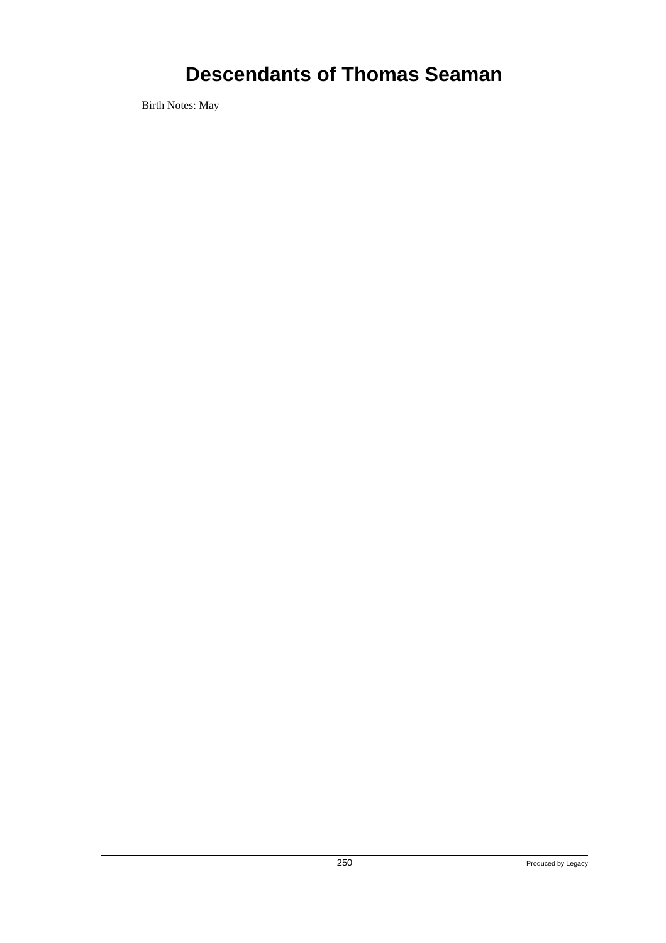# **Descendants of Thomas Seaman**

Birth Notes: May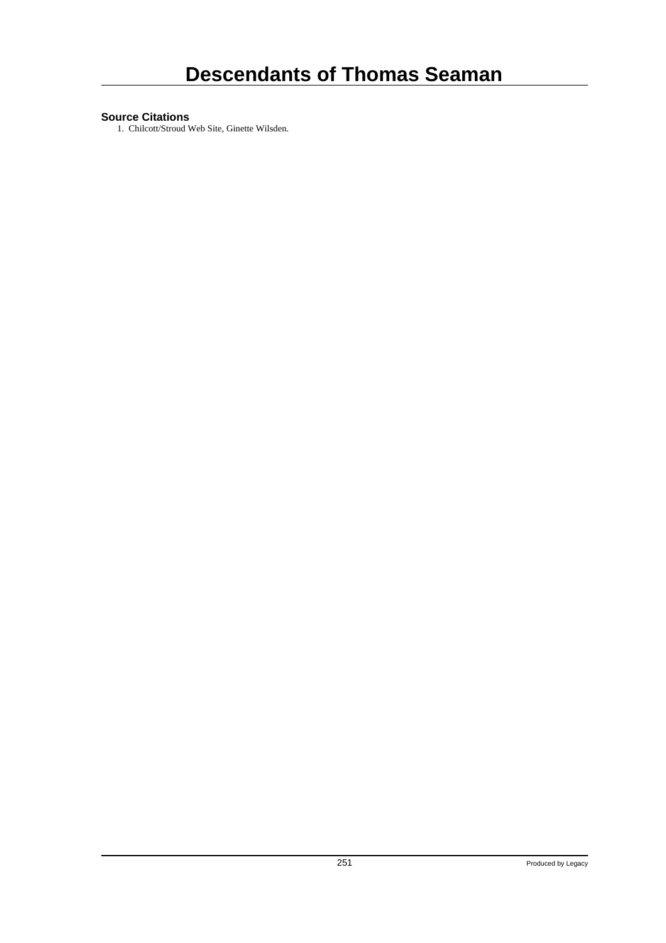#### **Source Citations**

1. Chilcott/Stroud Web Site, Ginette Wilsden.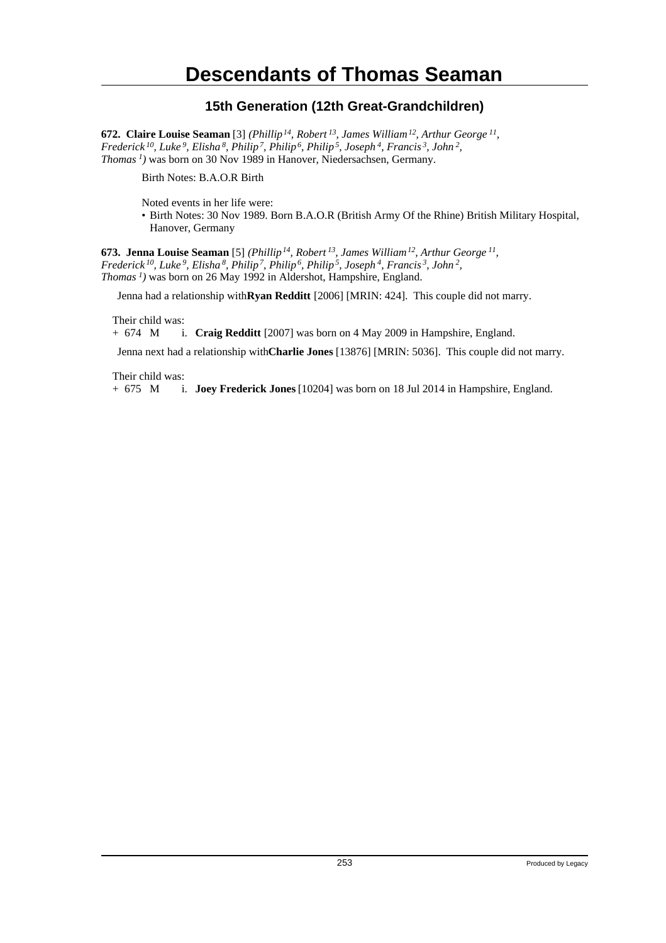## **Descendants of Thomas Seaman**

#### **15th Generation (12th Great-Grandchildren)**

**672. Claire Louise Seaman** [3] *(Phillip<sup>14</sup>, Robert<sup>13</sup>, James William<sup>12</sup>, Arthur George<sup>11</sup> , Frederick<sup>10</sup>, Luke<sup>9</sup>, Elisha<sup>8</sup>, Philip<sup>7</sup>, Philip<sup>6</sup>, Philip<sup>5</sup>, Joseph<sup>4</sup>, Francis<sup>3</sup>, John<sup>2</sup> , Thomas<sup>1</sup>)* was born on 30 Nov 1989 in Hanover, Niedersachsen, Germany.

Birth Notes: B.A.O.R Birth

Noted events in her life were:

• Birth Notes: 30 Nov 1989. Born B.A.O.R (British Army Of the Rhine) British Military Hospital, Hanover, Germany

**673. Jenna Louise Seaman** [5] *(Phillip<sup>14</sup>, Robert<sup>13</sup>, James William<sup>12</sup>, Arthur George<sup>11</sup> , Frederick<sup>10</sup>, Luke<sup>9</sup>, Elisha<sup>8</sup>, Philip<sup>7</sup>, Philip<sup>6</sup>, Philip<sup>5</sup>, Joseph<sup>4</sup>, Francis<sup>3</sup>, John<sup>2</sup> , Thomas<sup>1</sup>)* was born on 26 May 1992 in Aldershot, Hampshire, England.

Jenna had a relationship with **Ryan Redditt** [2006] [MRIN: 424]. This couple did not marry.

Their child was:

+ 674 M i. **Craig Redditt** [2007] was born on 4 May 2009 in Hampshire, England.

Jenna next had a relationship with **Charlie Jones** [13876] [MRIN: 5036]. This couple did not marry.

Their child was:

+ 675 M i. **Joey Frederick Jones** [10204] was born on 18 Jul 2014 in Hampshire, England.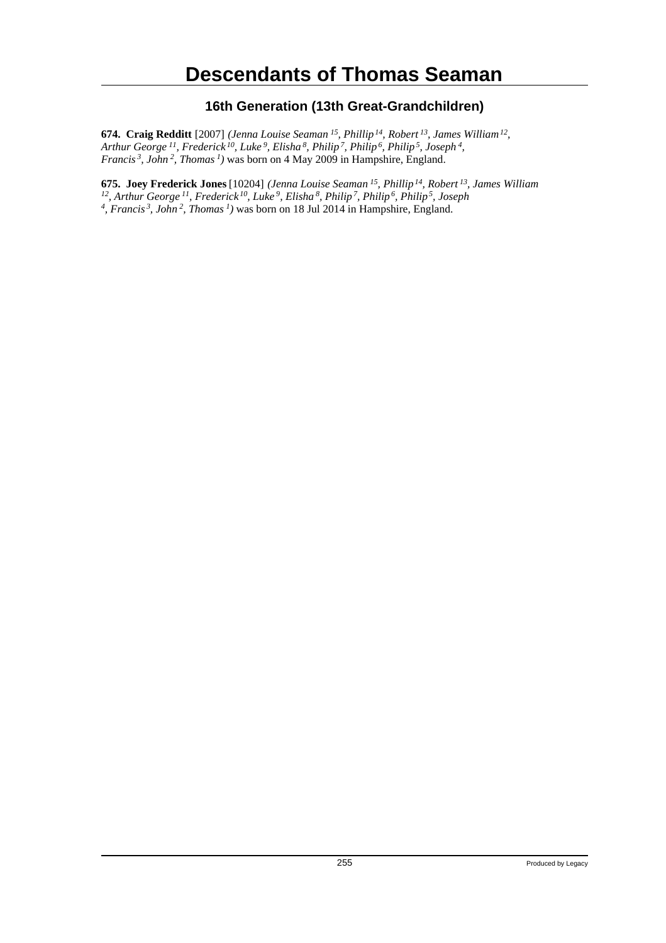## **Descendants of Thomas Seaman**

#### **16th Generation (13th Great-Grandchildren)**

**674. Craig Redditt** [2007] *(Jenna Louise Seaman<sup>15</sup>, Phillip<sup>14</sup>, Robert<sup>13</sup>, James William<sup>12</sup> , Arthur George<sup>11</sup>, Frederick<sup>10</sup>, Luke<sup>9</sup>, Elisha<sup>8</sup>, Philip<sup>7</sup>, Philip<sup>6</sup>, Philip<sup>5</sup>, Joseph<sup>4</sup> , Francis<sup>3</sup>, John<sup>2</sup>, Thomas<sup>1</sup>)* was born on 4 May 2009 in Hampshire, England.

**675. Joey Frederick Jones** [10204] *(Jenna Louise Seaman<sup>15</sup>, Phillip<sup>14</sup>, Robert<sup>13</sup>, James William* <sup>12</sup>, Arthur George <sup>11</sup>, Frederick <sup>10</sup>, Luke <sup>9</sup>, Elisha <sup>8</sup>, Philip <sup>7</sup>, Philip <sup>6</sup>, Philip <sup>5</sup>, Joseph <sup>4</sup>, Francis <sup>3</sup>, John <sup>2</sup>, Thomas <sup>1</sup>) was born on 18 Jul 2014 in Hampshire, England.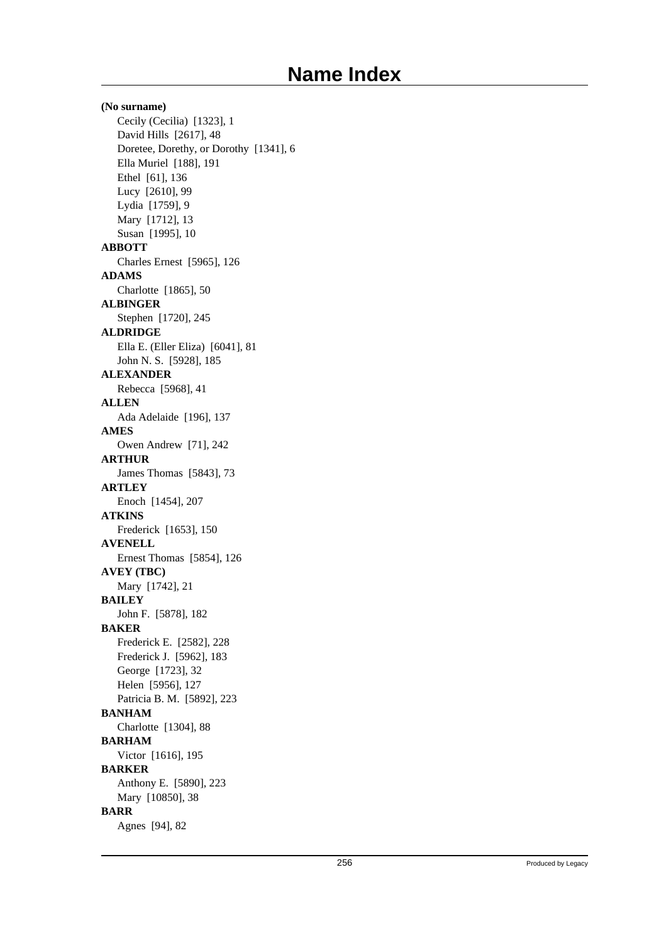**(No surname)** Cecily (Cecilia) [1323], 1 David Hills [2617], 48 Doretee, Dorethy, or Dorothy [1341], 6 Ella Muriel [188], 191 Ethel [61], 136 Lucy [2610], 99 Lydia [1759], 9 Mary [1712], 13 Susan [1995], 10 **ABBOTT** Charles Ernest [5965], 126 **ADAMS** Charlotte [1865], 50 **ALBINGER** Stephen [1720], 245 **ALDRIDGE** Ella E. (Eller Eliza) [6041], 81 John N. S. [5928], 185 **ALEXANDER** Rebecca [5968], 41 **ALLEN** Ada Adelaide [196], 137 **AMES** Owen Andrew [71], 242 **ARTHUR** James Thomas [5843], 73 **ARTLEY** Enoch [1454], 207 **ATKINS** Frederick [1653], 150 **AVENELL** Ernest Thomas [5854], 126 **AVEY (TBC)** Mary [1742], 21 **BAILEY** John F. [5878], 182 **BAKER** Frederick E. [2582], 228 Frederick J. [5962], 183 George [1723], 32 Helen [5956], 127 Patricia B. M. [5892], 223 **BANHAM** Charlotte [1304], 88 **BARHAM** Victor [1616], 195 **BARKER** Anthony E. [5890], 223 Mary [10850], 38 **BARR** Agnes [94], 82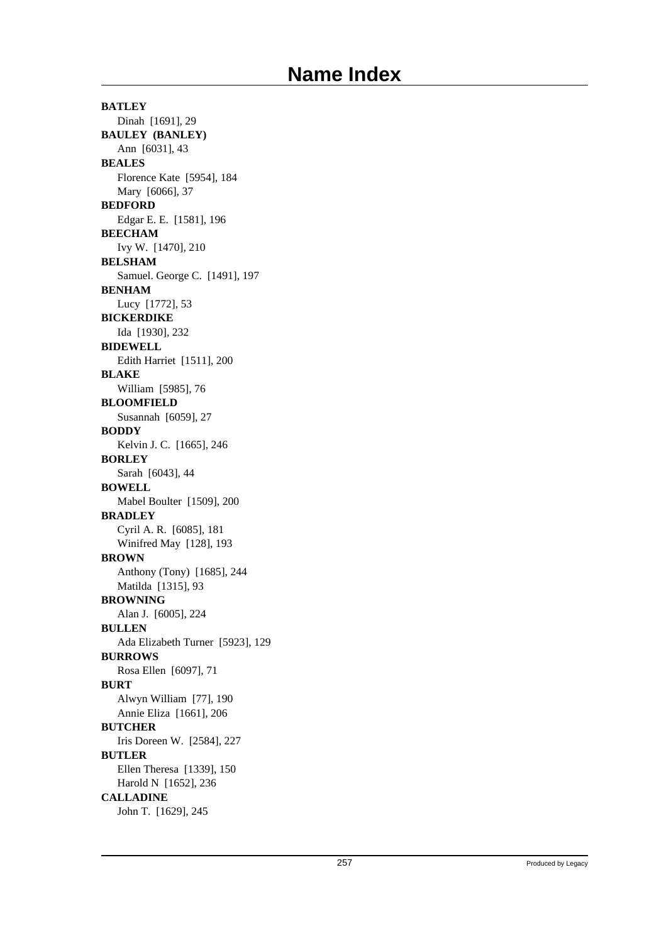**BATLEY** Dinah [1691], 29 **BAULEY (BANLEY)** Ann [6031], 43 **BEALES** Florence Kate [5954], 184 Mary [6066], 37 **BEDFORD** Edgar E. E. [1581], 196 **BEECHAM** Ivy W. [1470], 210 **BELSHAM** Samuel. George C. [1491], 197 **BENHAM** Lucy [1772], 53 **BICKERDIKE** Ida [1930], 232 **BIDEWELL** Edith Harriet [1511], 200 **BLAKE** William [5985], 76 **BLOOMFIELD** Susannah [6059], 27 **BODDY** Kelvin J. C. [1665], 246 **BORLEY** Sarah [6043], 44 **BOWELL** Mabel Boulter [1509], 200 **BRADLEY** Cyril A. R. [6085], 181 Winifred May [128], 193 **BROWN** Anthony (Tony) [1685], 244 Matilda [1315], 93 **BROWNING** Alan J. [6005], 224 **BULLEN** Ada Elizabeth Turner [5923], 129 **BURROWS** Rosa Ellen [6097], 71 **BURT** Alwyn William [77], 190 Annie Eliza [1661], 206 **BUTCHER** Iris Doreen W. [2584], 227 **BUTLER** Ellen Theresa [1339], 150 Harold N [1652], 236 **CALLADINE** John T. [1629], 245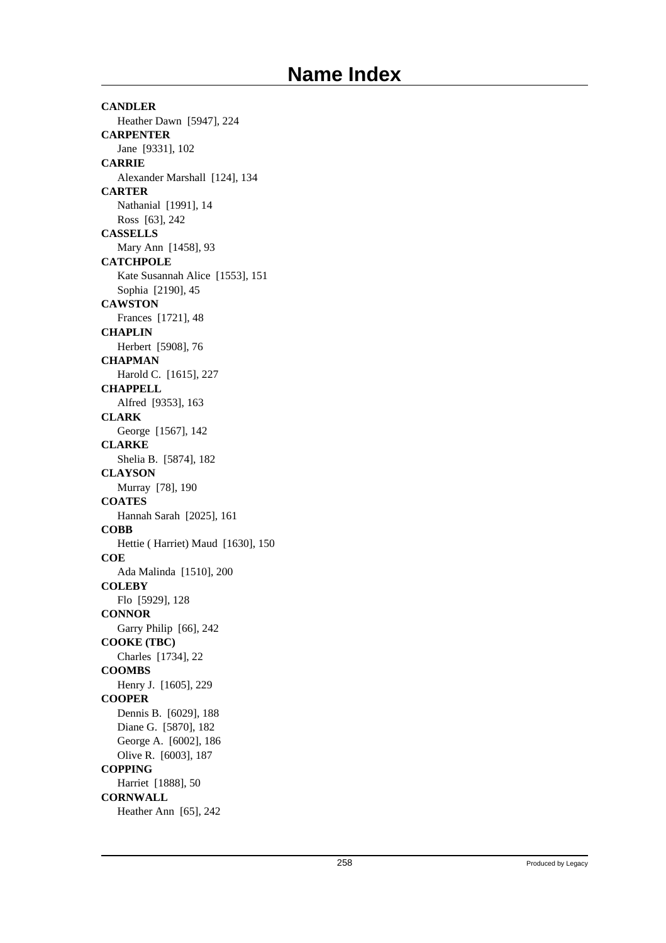**CANDLER** Heather Dawn [5947], 224 **CARPENTER** Jane [9331], 102 **CARRIE** Alexander Marshall [124], 134 **CARTER** Nathanial [1991], 14 Ross [63], 242 **CASSELLS** Mary Ann [1458], 93 **CATCHPOLE** Kate Susannah Alice [1553], 151 Sophia [2190], 45 **CAWSTON** Frances [1721], 48 **CHAPLIN** Herbert [5908], 76 **CHAPMAN** Harold C. [1615], 227 **CHAPPELL** Alfred [9353], 163 **CLARK** George [1567], 142 **CLARKE** Shelia B. [5874], 182 **CLAYSON** Murray [78], 190 **COATES** Hannah Sarah [2025], 161 **COBB** Hettie ( Harriet) Maud [1630], 150 **COE** Ada Malinda [1510], 200 **COLEBY** Flo [5929], 128 **CONNOR** Garry Philip [66], 242 **COOKE (TBC)** Charles [1734], 22 **COOMBS** Henry J. [1605], 229 **COOPER** Dennis B. [6029], 188 Diane G. [5870], 182 George A. [6002], 186 Olive R. [6003], 187 **COPPING** Harriet [1888], 50 **CORNWALL** Heather Ann [65], 242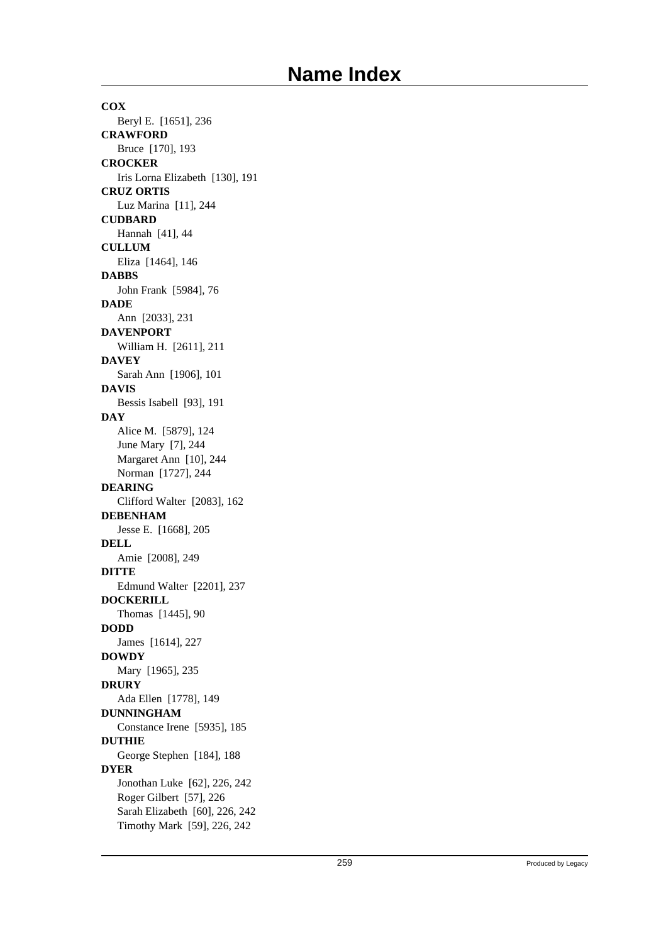**COX** Beryl E. [1651], 236 **CRAWFORD** Bruce [170], 193 **CROCKER** Iris Lorna Elizabeth [130], 191 **CRUZ ORTIS** Luz Marina [11], 244 **CUDBARD** Hannah [41], 44 **CULLUM** Eliza [1464], 146 **DABBS** John Frank [5984], 76 **DADE** Ann [2033], 231 **DAVENPORT** William H. [2611], 211 **DAVEY** Sarah Ann [1906], 101 **DAVIS** Bessis Isabell [93], 191 **DAY** Alice M. [5879], 124 June Mary [7], 244 Margaret Ann [10], 244 Norman [1727], 244 **DEARING** Clifford Walter [2083], 162 **DEBENHAM** Jesse E. [1668], 205 **DELL** Amie [2008], 249 **DITTE** Edmund Walter [2201], 237 **DOCKERILL** Thomas [1445], 90 **DODD** James [1614], 227 **DOWDY** Mary [1965], 235 **DRURY** Ada Ellen [1778], 149 **DUNNINGHAM** Constance Irene [5935], 185 **DUTHIE** George Stephen [184], 188 **DYER** Jonothan Luke [62], 226, 242 Roger Gilbert [57], 226 Sarah Elizabeth [60], 226, 242 Timothy Mark [59], 226, 242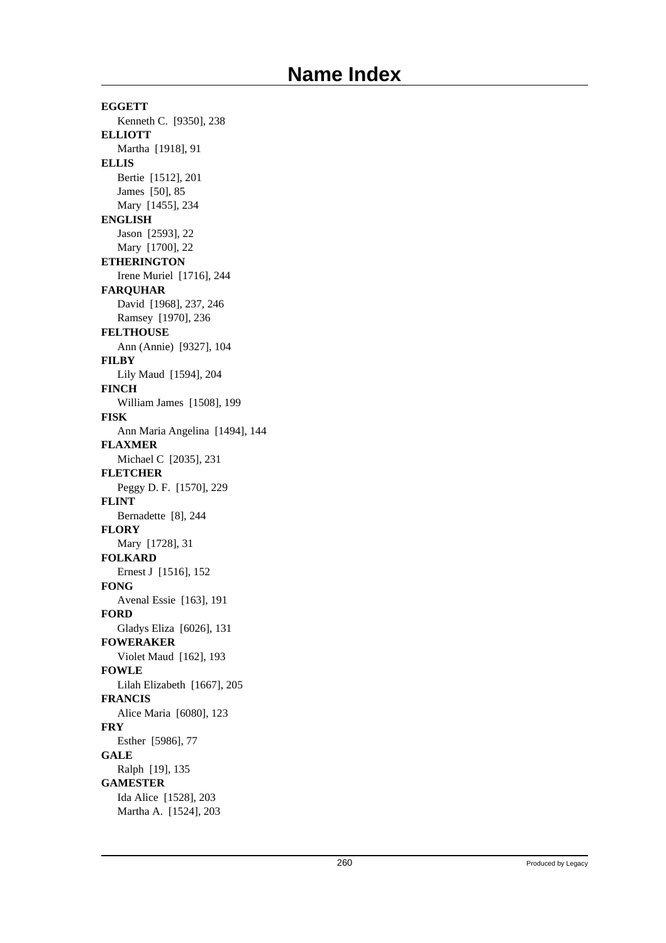**EGGETT** Kenneth C. [9350], 238 **ELLIOTT** Martha [1918], 91 **ELLIS** Bertie [1512], 201 James [50], 85 Mary [1455], 234 **ENGLISH** Jason [2593], 22 Mary [1700], 22 **ETHERINGTON** Irene Muriel [1716], 244 **FARQUHAR** David [1968], 237, 246 Ramsey [1970], 236 **FELTHOUSE** Ann (Annie) [9327], 104 **FILBY** Lily Maud [1594], 204 **FINCH** William James [1508], 199 **FISK** Ann Maria Angelina [1494], 144 **FLAXMER** Michael C [2035], 231 **FLETCHER** Peggy D. F. [1570], 229 **FLINT** Bernadette [8], 244 **FLORY** Mary [1728], 31 **FOLKARD** Ernest J [1516], 152 **FONG** Avenal Essie [163], 191 **FORD** Gladys Eliza [6026], 131 **FOWERAKER** Violet Maud [162], 193 **FOWLE** Lilah Elizabeth [1667], 205 **FRANCIS** Alice Maria [6080], 123 **FRY** Esther [5986], 77 **GALE** Ralph [19], 135 **GAMESTER** Ida Alice [1528], 203 Martha A. [1524], 203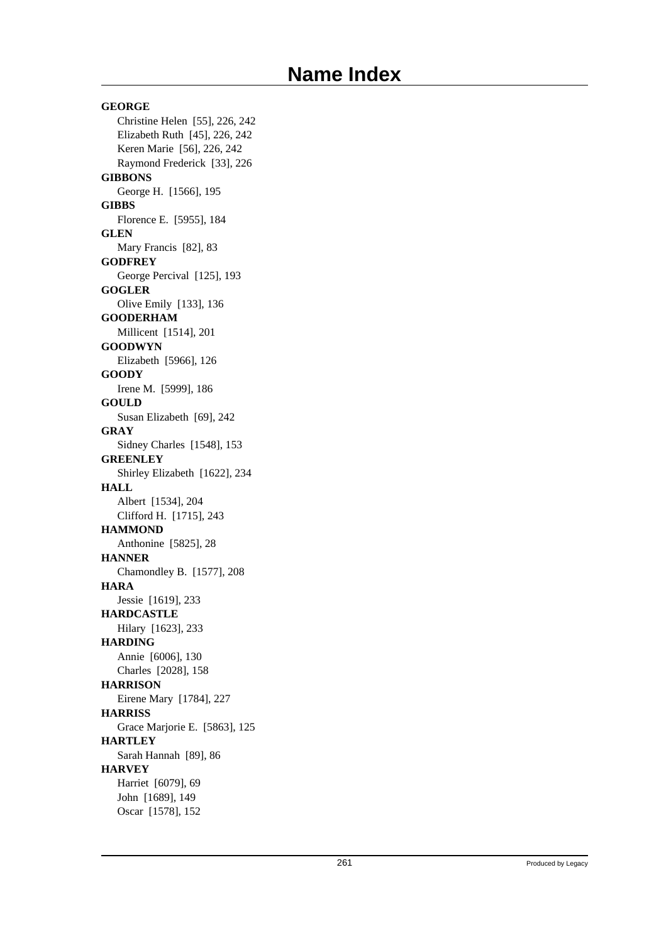**GEORGE** Christine Helen [55], 226, 242 Elizabeth Ruth [45], 226, 242 Keren Marie [56], 226, 242 Raymond Frederick [33], 226 **GIBBONS** George H. [1566], 195 **GIBBS** Florence E. [5955], 184 **GLEN** Mary Francis [82], 83 **GODFREY** George Percival [125], 193 **GOGLER** Olive Emily [133], 136 **GOODERHAM** Millicent [1514], 201 **GOODWYN** Elizabeth [5966], 126 **GOODY** Irene M. [5999], 186 **GOULD** Susan Elizabeth [69], 242 **GRAY** Sidney Charles [1548], 153 **GREENLEY** Shirley Elizabeth [1622], 234 **HALL** Albert [1534], 204 Clifford H. [1715], 243 **HAMMOND** Anthonine [5825], 28 **HANNER** Chamondley B. [1577], 208 **HARA** Jessie [1619], 233 **HARDCASTLE** Hilary [1623], 233 **HARDING** Annie [6006], 130 Charles [2028], 158 **HARRISON** Eirene Mary [1784], 227 **HARRISS** Grace Marjorie E. [5863], 125 **HARTLEY** Sarah Hannah [89], 86 **HARVEY** Harriet [6079], 69 John [1689], 149 Oscar [1578], 152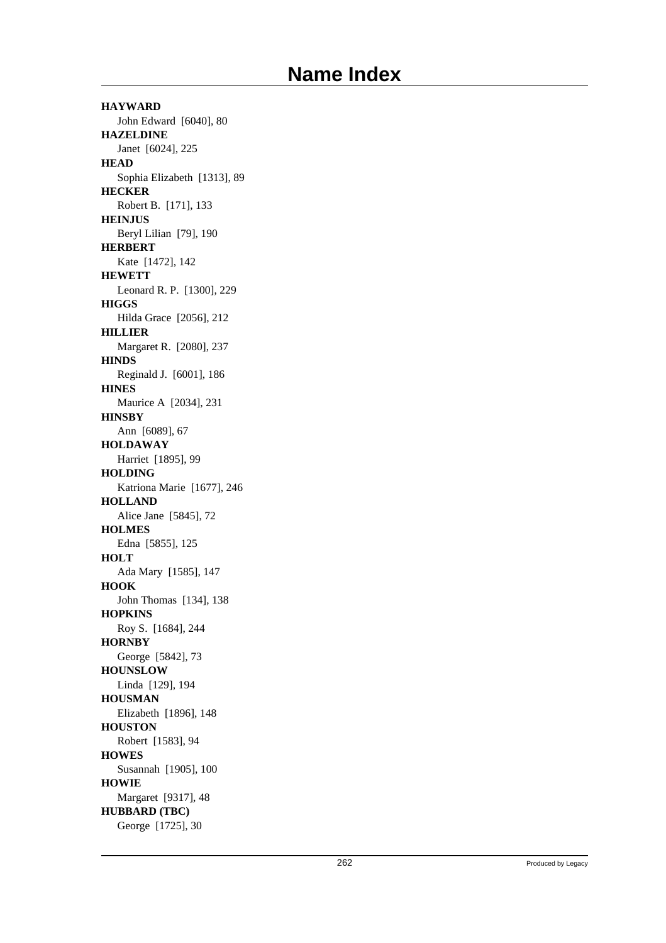**HAYWARD** John Edward [6040], 80 **HAZELDINE** Janet [6024], 225 **HEAD** Sophia Elizabeth [1313], 89 **HECKER** Robert B. [171], 133 **HEINJUS** Beryl Lilian [79], 190 **HERBERT** Kate [1472], 142 **HEWETT** Leonard R. P. [1300], 229 **HIGGS** Hilda Grace [2056], 212 **HILLIER** Margaret R. [2080], 237 **HINDS** Reginald J. [6001], 186 **HINES** Maurice A [2034], 231 **HINSBY** Ann [6089], 67 **HOLDAWAY** Harriet [1895], 99 **HOLDING** Katriona Marie [1677], 246 **HOLLAND** Alice Jane [5845], 72 **HOLMES** Edna [5855], 125 **HOLT** Ada Mary [1585], 147 **HOOK** John Thomas [134], 138 **HOPKINS** Roy S. [1684], 244 **HORNBY** George [5842], 73 **HOUNSLOW** Linda [129], 194 **HOUSMAN** Elizabeth [1896], 148 **HOUSTON** Robert [1583], 94 **HOWES** Susannah [1905], 100 **HOWIE** Margaret [9317], 48 **HUBBARD (TBC)** George [1725], 30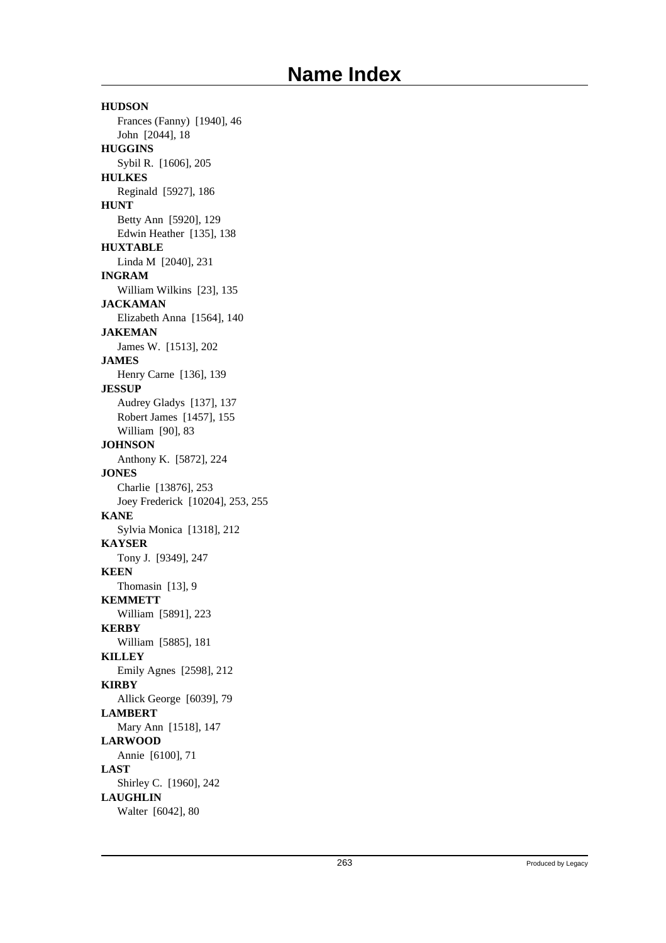**HUDSON** Frances (Fanny) [1940], 46 John [2044], 18 **HUGGINS** Sybil R. [1606], 205 **HULKES** Reginald [5927], 186 **HUNT** Betty Ann [5920], 129 Edwin Heather [135], 138 **HUXTABLE** Linda M [2040], 231 **INGRAM** William Wilkins [23], 135 **JACKAMAN** Elizabeth Anna [1564], 140 **JAKEMAN** James W. [1513], 202 **JAMES** Henry Carne [136], 139 **JESSUP** Audrey Gladys [137], 137 Robert James [1457], 155 William [90], 83 **JOHNSON** Anthony K. [5872], 224 **JONES** Charlie [13876], 253 Joey Frederick [10204], 253, 255 **KANE** Sylvia Monica [1318], 212 **KAYSER** Tony J. [9349], 247 **KEEN** Thomasin [13], 9 **KEMMETT** William [5891], 223 **KERBY** William [5885], 181 **KILLEY** Emily Agnes [2598], 212 **KIRBY** Allick George [6039], 79 **LAMBERT** Mary Ann [1518], 147 **LARWOOD** Annie [6100], 71 **LAST** Shirley C. [1960], 242 **LAUGHLIN** Walter [6042], 80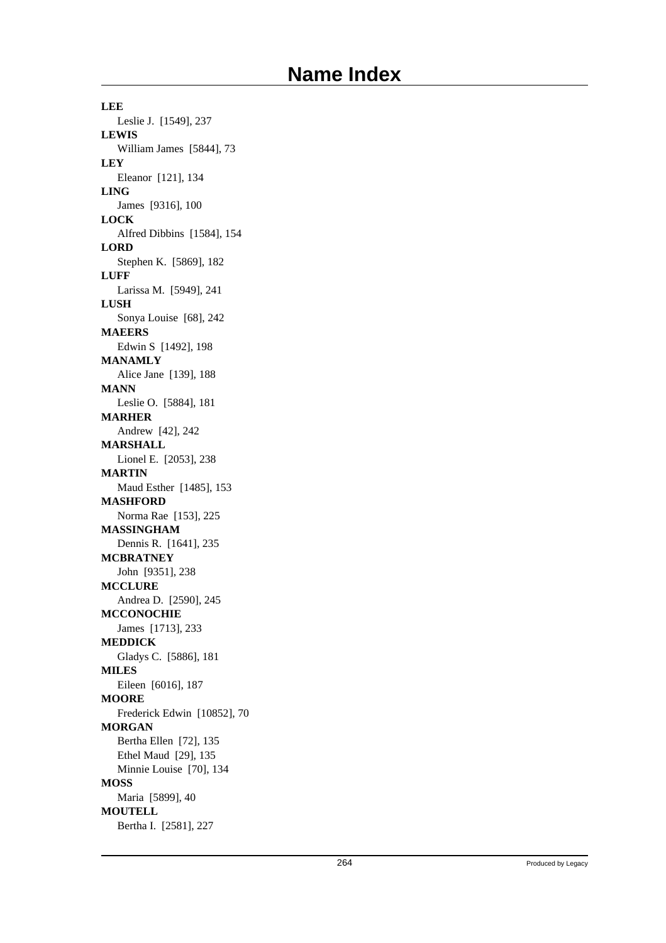**LEE** Leslie J. [1549], 237 **LEWIS** William James [5844], 73 **LEY** Eleanor [121], 134 **LING** James [9316], 100 **LOCK** Alfred Dibbins [1584], 154 **LORD** Stephen K. [5869], 182 **LUFF** Larissa M. [5949], 241 **LUSH** Sonya Louise [68], 242 **MAEERS** Edwin S [1492], 198 **MANAMLY** Alice Jane [139], 188 **MANN** Leslie O. [5884], 181 **MARHER** Andrew [42], 242 **MARSHALL** Lionel E. [2053], 238 **MARTIN** Maud Esther [1485], 153 **MASHFORD** Norma Rae [153], 225 **MASSINGHAM** Dennis R. [1641], 235 **MCBRATNEY** John [9351], 238 **MCCLURE** Andrea D. [2590], 245 **MCCONOCHIE** James [1713], 233 **MEDDICK** Gladys C. [5886], 181 **MILES** Eileen [6016], 187 **MOORE** Frederick Edwin [10852], 70 **MORGAN** Bertha Ellen [72], 135 Ethel Maud [29], 135 Minnie Louise [70], 134 **MOSS** Maria [5899], 40 **MOUTELL** Bertha I. [2581], 227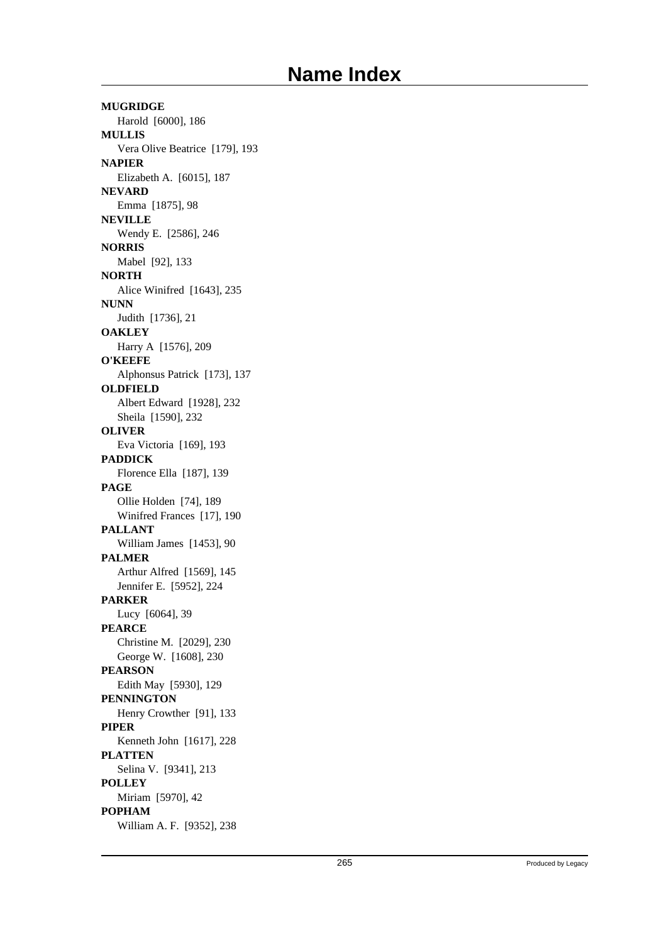**MUGRIDGE** Harold [6000], 186 **MULLIS** Vera Olive Beatrice [179], 193 **NAPIER** Elizabeth A. [6015], 187 **NEVARD** Emma [1875], 98 **NEVILLE** Wendy E. [2586], 246 **NORRIS** Mabel [92], 133 **NORTH** Alice Winifred [1643], 235 **NUNN** Judith [1736], 21 **OAKLEY** Harry A [1576], 209 **O'KEEFE** Alphonsus Patrick [173], 137 **OLDFIELD** Albert Edward [1928], 232 Sheila [1590], 232 **OLIVER** Eva Victoria [169], 193 **PADDICK** Florence Ella [187], 139 **PAGE** Ollie Holden [74], 189 Winifred Frances [17], 190 **PALLANT** William James [1453], 90 **PALMER** Arthur Alfred [1569], 145 Jennifer E. [5952], 224 **PARKER** Lucy [6064], 39 **PEARCE** Christine M. [2029], 230 George W. [1608], 230 **PEARSON** Edith May [5930], 129 **PENNINGTON** Henry Crowther [91], 133 **PIPER** Kenneth John [1617], 228 **PLATTEN** Selina V. [9341], 213 **POLLEY** Miriam [5970], 42 **POPHAM** William A. F. [9352], 238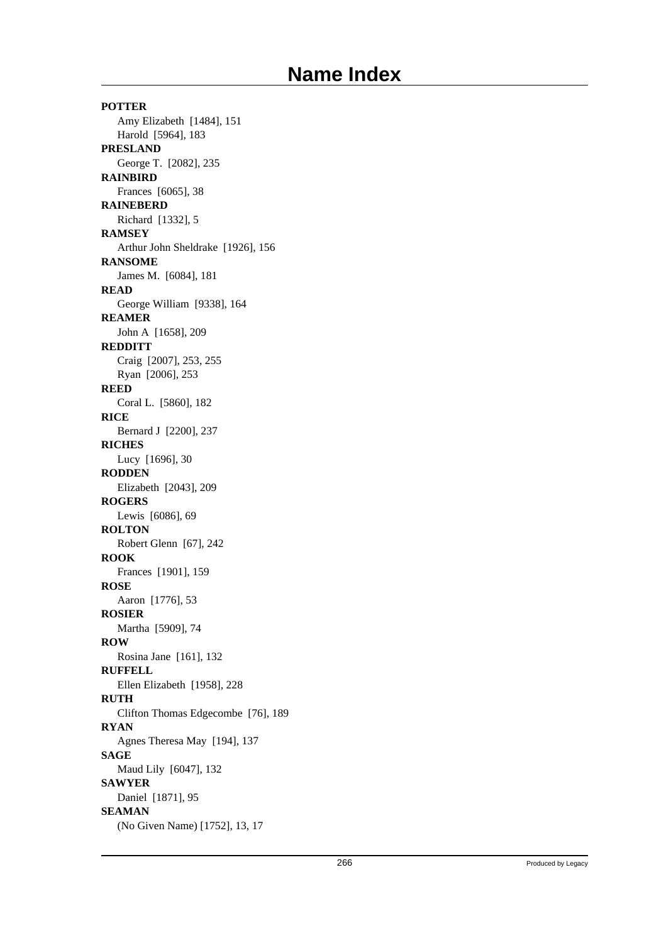**POTTER** Amy Elizabeth [1484], 151 Harold [5964], 183 **PRESLAND** George T. [2082], 235 **RAINBIRD** Frances [6065], 38 **RAINEBERD** Richard [1332], 5 **RAMSEY** Arthur John Sheldrake [1926], 156 **RANSOME** James M. [6084], 181 **READ** George William [9338], 164 **REAMER** John A [1658], 209 **REDDITT** Craig [2007], 253, 255 Ryan [2006], 253 **REED** Coral L. [5860], 182 **RICE** Bernard J [2200], 237 **RICHES** Lucy [1696], 30 **RODDEN** Elizabeth [2043], 209 **ROGERS** Lewis [6086], 69 **ROLTON** Robert Glenn [67], 242 **ROOK** Frances [1901], 159 **ROSE** Aaron [1776], 53 **ROSIER** Martha [5909], 74 **ROW** Rosina Jane [161], 132 **RUFFELL** Ellen Elizabeth [1958], 228 **RUTH** Clifton Thomas Edgecombe [76], 189 **RYAN** Agnes Theresa May [194], 137 **SAGE** Maud Lily [6047], 132 **SAWYER** Daniel [1871], 95 **SEAMAN** (No Given Name) [1752], 13, 17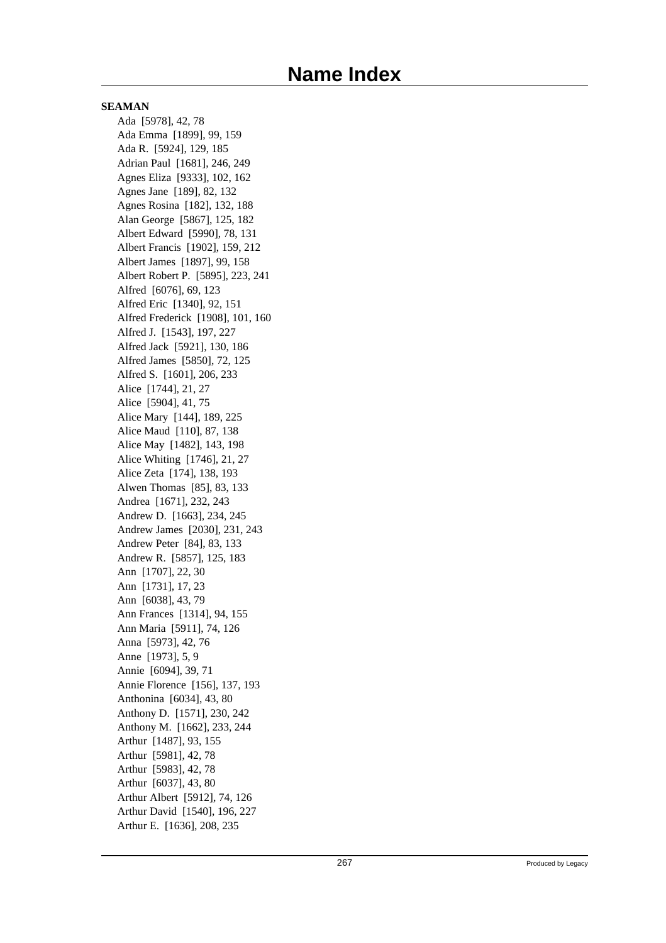Ada [5978], 42, 78 Ada Emma [1899], 99, 159 Ada R. [5924], 129, 185 Adrian Paul [1681], 246, 249 Agnes Eliza [9333], 102, 162 Agnes Jane [189], 82, 132 Agnes Rosina [182], 132, 188 Alan George [5867], 125, 182 Albert Edward [5990], 78, 131 Albert Francis [1902], 159, 212 Albert James [1897], 99, 158 Albert Robert P. [5895], 223, 241 Alfred [6076], 69, 123 Alfred Eric [1340], 92, 151 Alfred Frederick [1908], 101, 160 Alfred J. [1543], 197, 227 Alfred Jack [5921], 130, 186 Alfred James [5850], 72, 125 Alfred S. [1601], 206, 233 Alice [1744], 21, 27 Alice [5904], 41, 75 Alice Mary [144], 189, 225 Alice Maud [110], 87, 138 Alice May [1482], 143, 198 Alice Whiting [1746], 21, 27 Alice Zeta [174], 138, 193 Alwen Thomas [85], 83, 133 Andrea [1671], 232, 243 Andrew D. [1663], 234, 245 Andrew James [2030], 231, 243 Andrew Peter [84], 83, 133 Andrew R. [5857], 125, 183 Ann [1707], 22, 30 Ann [1731], 17, 23 Ann [6038], 43, 79 Ann Frances [1314], 94, 155 Ann Maria [5911], 74, 126 Anna [5973], 42, 76 Anne [1973], 5, 9 Annie [6094], 39, 71 Annie Florence [156], 137, 193 Anthonina [6034], 43, 80 Anthony D. [1571], 230, 242 Anthony M. [1662], 233, 244 Arthur [1487], 93, 155 Arthur [5981], 42, 78 Arthur [5983], 42, 78 Arthur [6037], 43, 80 Arthur Albert [5912], 74, 126 Arthur David [1540], 196, 227 Arthur E. [1636], 208, 235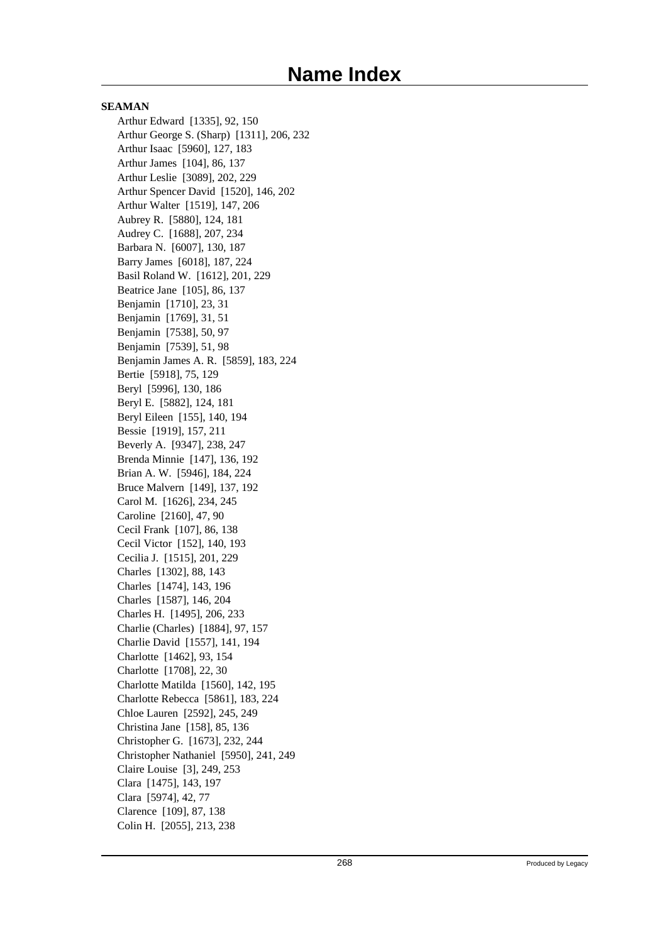Arthur Edward [1335], 92, 150 Arthur George S. (Sharp) [1311], 206, 232 Arthur Isaac [5960], 127, 183 Arthur James [104], 86, 137 Arthur Leslie [3089], 202, 229 Arthur Spencer David [1520], 146, 202 Arthur Walter [1519], 147, 206 Aubrey R. [5880], 124, 181 Audrey C. [1688], 207, 234 Barbara N. [6007], 130, 187 Barry James [6018], 187, 224 Basil Roland W. [1612], 201, 229 Beatrice Jane [105], 86, 137 Benjamin [1710], 23, 31 Benjamin [1769], 31, 51 Benjamin [7538], 50, 97 Benjamin [7539], 51, 98 Benjamin James A. R. [5859], 183, 224 Bertie [5918], 75, 129 Beryl [5996], 130, 186 Beryl E. [5882], 124, 181 Beryl Eileen [155], 140, 194 Bessie [1919], 157, 211 Beverly A. [9347], 238, 247 Brenda Minnie [147], 136, 192 Brian A. W. [5946], 184, 224 Bruce Malvern [149], 137, 192 Carol M. [1626], 234, 245 Caroline [2160], 47, 90 Cecil Frank [107], 86, 138 Cecil Victor [152], 140, 193 Cecilia J. [1515], 201, 229 Charles [1302], 88, 143 Charles [1474], 143, 196 Charles [1587], 146, 204 Charles H. [1495], 206, 233 Charlie (Charles) [1884], 97, 157 Charlie David [1557], 141, 194 Charlotte [1462], 93, 154 Charlotte [1708], 22, 30 Charlotte Matilda [1560], 142, 195 Charlotte Rebecca [5861], 183, 224 Chloe Lauren [2592], 245, 249 Christina Jane [158], 85, 136 Christopher G. [1673], 232, 244 Christopher Nathaniel [5950], 241, 249 Claire Louise [3], 249, 253 Clara [1475], 143, 197 Clara [5974], 42, 77 Clarence [109], 87, 138 Colin H. [2055], 213, 238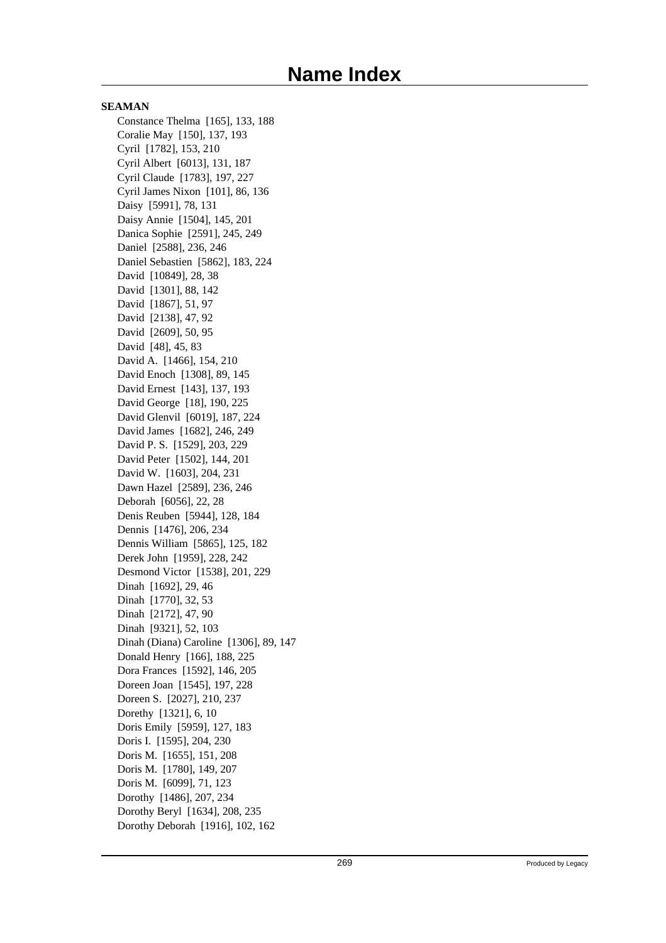Constance Thelma [165], 133, 188 Coralie May [150], 137, 193 Cyril [1782], 153, 210 Cyril Albert [6013], 131, 187 Cyril Claude [1783], 197, 227 Cyril James Nixon [101], 86, 136 Daisy [5991], 78, 131 Daisy Annie [1504], 145, 201 Danica Sophie [2591], 245, 249 Daniel [2588], 236, 246 Daniel Sebastien [5862], 183, 224 David [10849], 28, 38 David [1301], 88, 142 David [1867], 51, 97 David [2138], 47, 92 David [2609], 50, 95 David [48], 45, 83 David A. [1466], 154, 210 David Enoch [1308], 89, 145 David Ernest [143], 137, 193 David George [18], 190, 225 David Glenvil [6019], 187, 224 David James [1682], 246, 249 David P. S. [1529], 203, 229 David Peter [1502], 144, 201 David W. [1603], 204, 231 Dawn Hazel [2589], 236, 246 Deborah [6056], 22, 28 Denis Reuben [5944], 128, 184 Dennis [1476], 206, 234 Dennis William [5865], 125, 182 Derek John [1959], 228, 242 Desmond Victor [1538], 201, 229 Dinah [1692], 29, 46 Dinah [1770], 32, 53 Dinah [2172], 47, 90 Dinah [9321], 52, 103 Dinah (Diana) Caroline [1306], 89, 147 Donald Henry [166], 188, 225 Dora Frances [1592], 146, 205 Doreen Joan [1545], 197, 228 Doreen S. [2027], 210, 237 Dorethy [1321], 6, 10 Doris Emily [5959], 127, 183 Doris I. [1595], 204, 230 Doris M. [1655], 151, 208 Doris M. [1780], 149, 207 Doris M. [6099], 71, 123 Dorothy [1486], 207, 234 Dorothy Beryl [1634], 208, 235 Dorothy Deborah [1916], 102, 162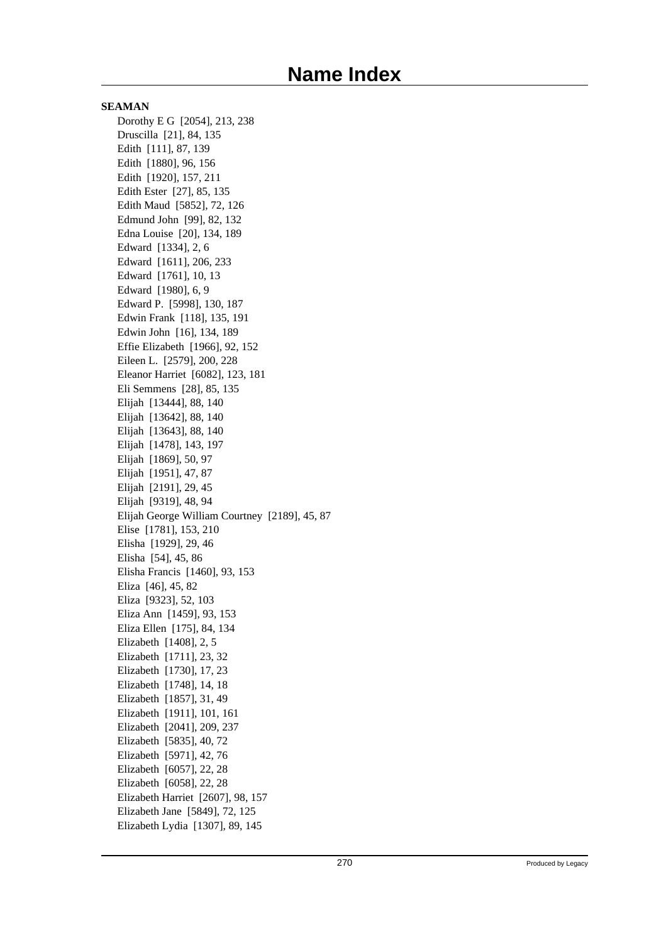**SEAMAN** Dorothy E G [2054], 213, 238 Druscilla [21], 84, 135 Edith [111], 87, 139 Edith [1880], 96, 156 Edith [1920], 157, 211 Edith Ester [27], 85, 135 Edith Maud [5852], 72, 126 Edmund John [99], 82, 132 Edna Louise [20], 134, 189 Edward [1334], 2, 6 Edward [1611], 206, 233 Edward [1761], 10, 13 Edward [1980], 6, 9 Edward P. [5998], 130, 187 Edwin Frank [118], 135, 191 Edwin John [16], 134, 189 Effie Elizabeth [1966], 92, 152 Eileen L. [2579], 200, 228 Eleanor Harriet [6082], 123, 181 Eli Semmens [28], 85, 135 Elijah [13444], 88, 140 Elijah [13642], 88, 140 Elijah [13643], 88, 140 Elijah [1478], 143, 197 Elijah [1869], 50, 97 Elijah [1951], 47, 87 Elijah [2191], 29, 45 Elijah [9319], 48, 94 Elijah George William Courtney [2189], 45, 87 Elise [1781], 153, 210 Elisha [1929], 29, 46 Elisha [54], 45, 86 Elisha Francis [1460], 93, 153 Eliza [46], 45, 82 Eliza [9323], 52, 103 Eliza Ann [1459], 93, 153 Eliza Ellen [175], 84, 134 Elizabeth [1408], 2, 5 Elizabeth [1711], 23, 32 Elizabeth [1730], 17, 23 Elizabeth [1748], 14, 18 Elizabeth [1857], 31, 49 Elizabeth [1911], 101, 161 Elizabeth [2041], 209, 237 Elizabeth [5835], 40, 72 Elizabeth [5971], 42, 76 Elizabeth [6057], 22, 28 Elizabeth [6058], 22, 28 Elizabeth Harriet [2607], 98, 157 Elizabeth Jane [5849], 72, 125 Elizabeth Lydia [1307], 89, 145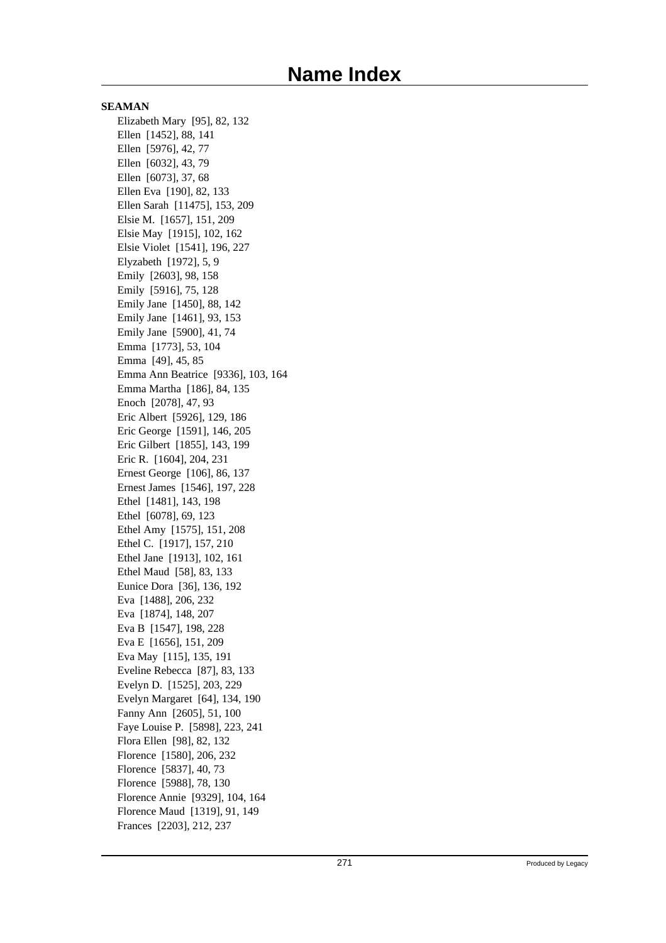**SEAMAN** Elizabeth Mary [95], 82, 132 Ellen [1452], 88, 141 Ellen [5976], 42, 77 Ellen [6032], 43, 79 Ellen [6073], 37, 68 Ellen Eva [190], 82, 133 Ellen Sarah [11475], 153, 209 Elsie M. [1657], 151, 209 Elsie May [1915], 102, 162 Elsie Violet [1541], 196, 227 Elyzabeth [1972], 5, 9 Emily [2603], 98, 158 Emily [5916], 75, 128 Emily Jane [1450], 88, 142 Emily Jane [1461], 93, 153 Emily Jane [5900], 41, 74 Emma [1773], 53, 104 Emma [49], 45, 85 Emma Ann Beatrice [9336], 103, 164 Emma Martha [186], 84, 135 Enoch [2078], 47, 93 Eric Albert [5926], 129, 186 Eric George [1591], 146, 205 Eric Gilbert [1855], 143, 199 Eric R. [1604], 204, 231 Ernest George [106], 86, 137 Ernest James [1546], 197, 228 Ethel [1481], 143, 198 Ethel [6078], 69, 123 Ethel Amy [1575], 151, 208 Ethel C. [1917], 157, 210 Ethel Jane [1913], 102, 161 Ethel Maud [58], 83, 133 Eunice Dora [36], 136, 192 Eva [1488], 206, 232 Eva [1874], 148, 207 Eva B [1547], 198, 228 Eva E [1656], 151, 209 Eva May [115], 135, 191 Eveline Rebecca [87], 83, 133 Evelyn D. [1525], 203, 229 Evelyn Margaret [64], 134, 190 Fanny Ann [2605], 51, 100 Faye Louise P. [5898], 223, 241 Flora Ellen [98], 82, 132 Florence [1580], 206, 232 Florence [5837], 40, 73 Florence [5988], 78, 130 Florence Annie [9329], 104, 164 Florence Maud [1319], 91, 149 Frances [2203], 212, 237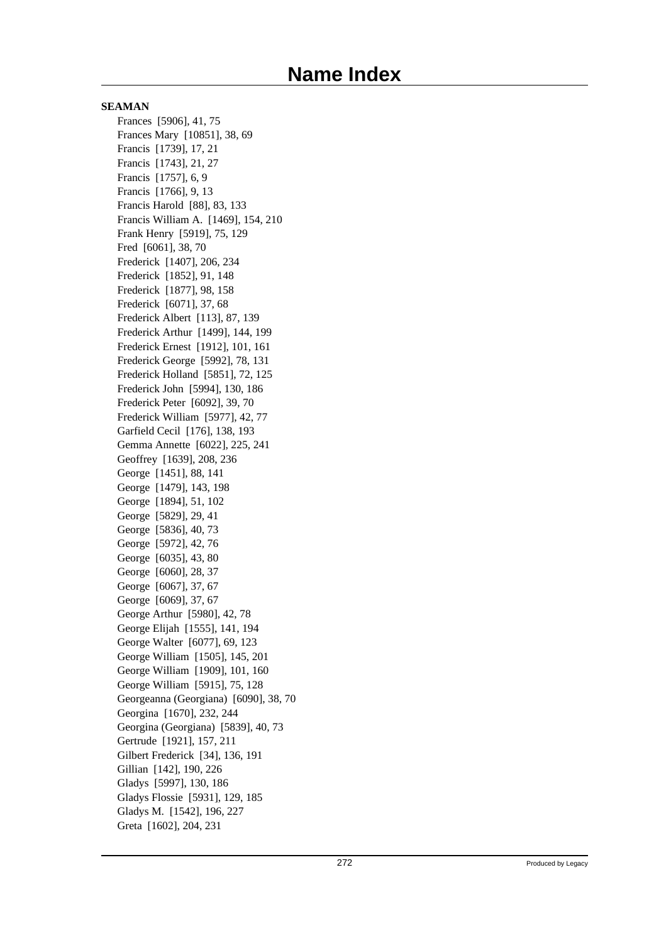Frances [5906], 41, 75 Frances Mary [10851], 38, 69 Francis [1739], 17, 21 Francis [1743], 21, 27 Francis [1757], 6, 9 Francis [1766], 9, 13 Francis Harold [88], 83, 133 Francis William A. [1469], 154, 210 Frank Henry [5919], 75, 129 Fred [6061], 38, 70 Frederick [1407], 206, 234 Frederick [1852], 91, 148 Frederick [1877], 98, 158 Frederick [6071], 37, 68 Frederick Albert [113], 87, 139 Frederick Arthur [1499], 144, 199 Frederick Ernest [1912], 101, 161 Frederick George [5992], 78, 131 Frederick Holland [5851], 72, 125 Frederick John [5994], 130, 186 Frederick Peter [6092], 39, 70 Frederick William [5977], 42, 77 Garfield Cecil [176], 138, 193 Gemma Annette [6022], 225, 241 Geoffrey [1639], 208, 236 George [1451], 88, 141 George [1479], 143, 198 George [1894], 51, 102 George [5829], 29, 41 George [5836], 40, 73 George [5972], 42, 76 George [6035], 43, 80 George [6060], 28, 37 George [6067], 37, 67 George [6069], 37, 67 George Arthur [5980], 42, 78 George Elijah [1555], 141, 194 George Walter [6077], 69, 123 George William [1505], 145, 201 George William [1909], 101, 160 George William [5915], 75, 128 Georgeanna (Georgiana) [6090], 38, 70 Georgina [1670], 232, 244 Georgina (Georgiana) [5839], 40, 73 Gertrude [1921], 157, 211 Gilbert Frederick [34], 136, 191 Gillian [142], 190, 226 Gladys [5997], 130, 186 Gladys Flossie [5931], 129, 185 Gladys M. [1542], 196, 227 Greta [1602], 204, 231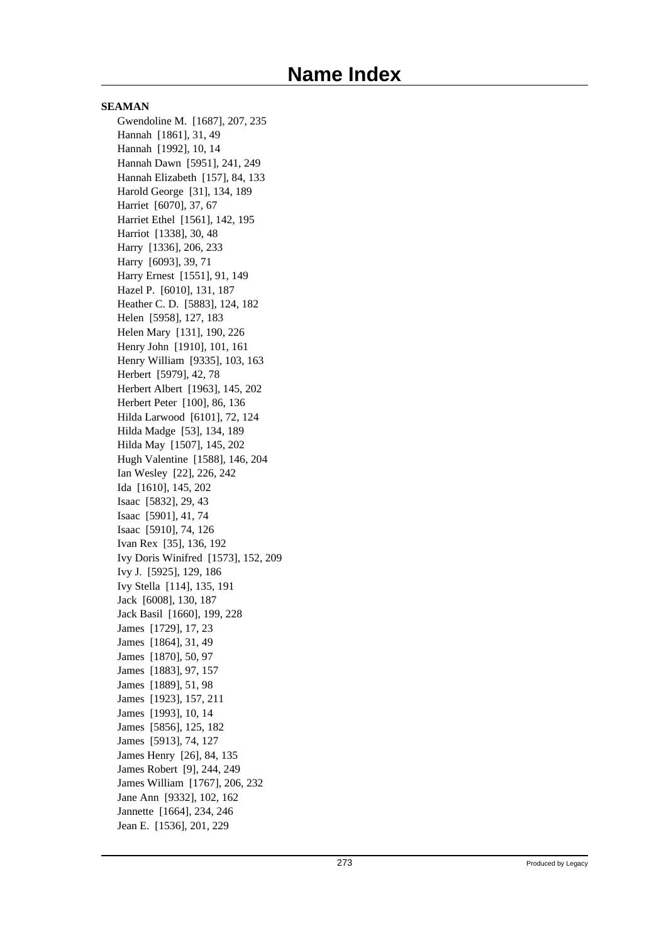**SEAMAN** Gwendoline M. [1687], 207, 235 Hannah [1861], 31, 49 Hannah [1992], 10, 14 Hannah Dawn [5951], 241, 249 Hannah Elizabeth [157], 84, 133 Harold George [31], 134, 189 Harriet [6070], 37, 67 Harriet Ethel [1561], 142, 195 Harriot [1338], 30, 48 Harry [1336], 206, 233 Harry [6093], 39, 71 Harry Ernest [1551], 91, 149 Hazel P. [6010], 131, 187 Heather C. D. [5883], 124, 182 Helen [5958], 127, 183 Helen Mary [131], 190, 226 Henry John [1910], 101, 161 Henry William [9335], 103, 163 Herbert [5979], 42, 78 Herbert Albert [1963], 145, 202 Herbert Peter [100], 86, 136 Hilda Larwood [6101], 72, 124 Hilda Madge [53], 134, 189 Hilda May [1507], 145, 202 Hugh Valentine [1588], 146, 204 Ian Wesley [22], 226, 242 Ida [1610], 145, 202 Isaac [5832], 29, 43 Isaac [5901], 41, 74 Isaac [5910], 74, 126 Ivan Rex [35], 136, 192 Ivy Doris Winifred [1573], 152, 209 Ivy J. [5925], 129, 186 Ivy Stella [114], 135, 191 Jack [6008], 130, 187 Jack Basil [1660], 199, 228 James [1729], 17, 23 James [1864], 31, 49 James [1870], 50, 97 James [1883], 97, 157 James [1889], 51, 98 James [1923], 157, 211 James [1993], 10, 14 James [5856], 125, 182 James [5913], 74, 127 James Henry [26], 84, 135 James Robert [9], 244, 249 James William [1767], 206, 232 Jane Ann [9332], 102, 162 Jannette [1664], 234, 246 Jean E. [1536], 201, 229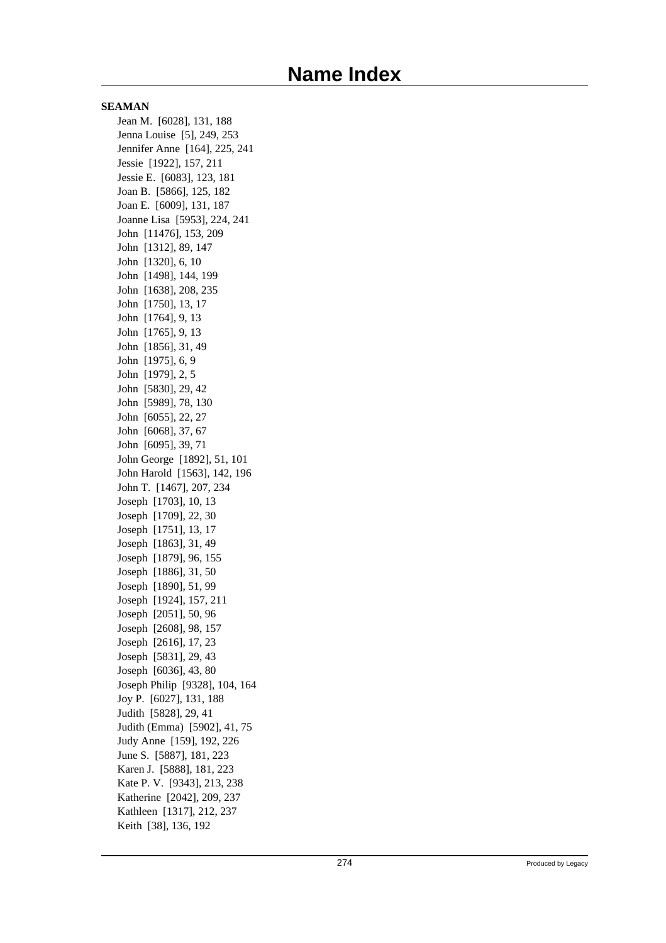Jean M. [6028], 131, 188 Jenna Louise [5], 249, 253 Jennifer Anne [164], 225, 241 Jessie [1922], 157, 211 Jessie E. [6083], 123, 181 Joan B. [5866], 125, 182 Joan E. [6009], 131, 187 Joanne Lisa [5953], 224, 241 John [11476], 153, 209 John [1312], 89, 147 John [1320], 6, 10 John [1498], 144, 199 John [1638], 208, 235 John [1750], 13, 17 John [1764], 9, 13 John [1765], 9, 13 John [1856], 31, 49 John [1975], 6, 9 John [1979], 2, 5 John [5830], 29, 42 John [5989], 78, 130 John [6055], 22, 27 John [6068], 37, 67 John [6095], 39, 71 John George [1892], 51, 101 John Harold [1563], 142, 196 John T. [1467], 207, 234 Joseph [1703], 10, 13 Joseph [1709], 22, 30 Joseph [1751], 13, 17 Joseph [1863], 31, 49 Joseph [1879], 96, 155 Joseph [1886], 31, 50 Joseph [1890], 51, 99 Joseph [1924], 157, 211 Joseph [2051], 50, 96 Joseph [2608], 98, 157 Joseph [2616], 17, 23 Joseph [5831], 29, 43 Joseph [6036], 43, 80 Joseph Philip [9328], 104, 164 Joy P. [6027], 131, 188 Judith [5828], 29, 41 Judith (Emma) [5902], 41, 75 Judy Anne [159], 192, 226 June S. [5887], 181, 223 Karen J. [5888], 181, 223 Kate P. V. [9343], 213, 238 Katherine [2042], 209, 237 Kathleen [1317], 212, 237 Keith [38], 136, 192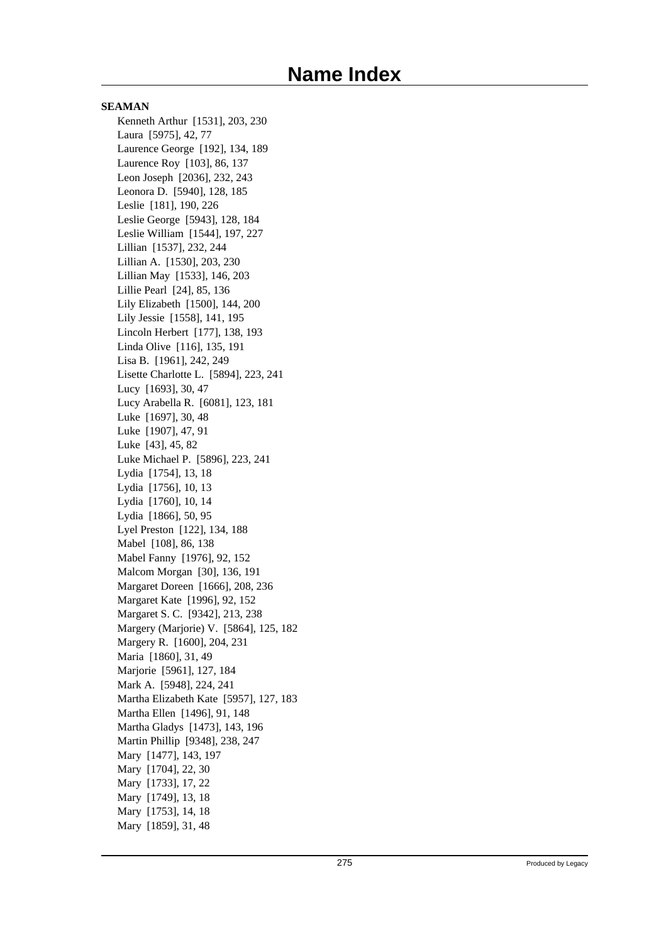**SEAMAN** Kenneth Arthur [1531], 203, 230 Laura [5975], 42, 77 Laurence George [192], 134, 189 Laurence Roy [103], 86, 137 Leon Joseph [2036], 232, 243 Leonora D. [5940], 128, 185 Leslie [181], 190, 226 Leslie George [5943], 128, 184 Leslie William [1544], 197, 227 Lillian [1537], 232, 244 Lillian A. [1530], 203, 230 Lillian May [1533], 146, 203 Lillie Pearl [24], 85, 136 Lily Elizabeth [1500], 144, 200 Lily Jessie [1558], 141, 195 Lincoln Herbert [177], 138, 193 Linda Olive [116], 135, 191 Lisa B. [1961], 242, 249 Lisette Charlotte L. [5894], 223, 241 Lucy [1693], 30, 47 Lucy Arabella R. [6081], 123, 181 Luke [1697], 30, 48 Luke [1907], 47, 91 Luke [43], 45, 82 Luke Michael P. [5896], 223, 241 Lydia [1754], 13, 18 Lydia [1756], 10, 13 Lydia [1760], 10, 14 Lydia [1866], 50, 95 Lyel Preston [122], 134, 188 Mabel [108], 86, 138 Mabel Fanny [1976], 92, 152 Malcom Morgan [30], 136, 191 Margaret Doreen [1666], 208, 236 Margaret Kate [1996], 92, 152 Margaret S. C. [9342], 213, 238 Margery (Marjorie) V. [5864], 125, 182 Margery R. [1600], 204, 231 Maria [1860], 31, 49 Marjorie [5961], 127, 184 Mark A. [5948], 224, 241 Martha Elizabeth Kate [5957], 127, 183 Martha Ellen [1496], 91, 148 Martha Gladys [1473], 143, 196 Martin Phillip [9348], 238, 247 Mary [1477], 143, 197 Mary [1704], 22, 30 Mary [1733], 17, 22 Mary [1749], 13, 18 Mary [1753], 14, 18 Mary [1859], 31, 48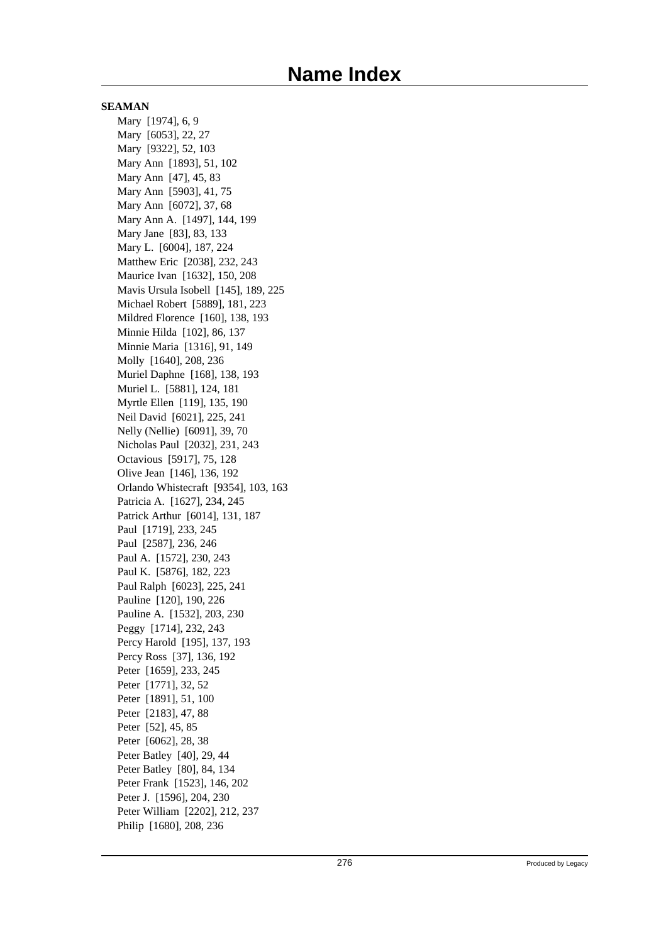Mary [1974], 6, 9 Mary [6053], 22, 27 Mary [9322], 52, 103 Mary Ann [1893], 51, 102 Mary Ann [47], 45, 83 Mary Ann [5903], 41, 75 Mary Ann [6072], 37, 68 Mary Ann A. [1497], 144, 199 Mary Jane [83], 83, 133 Mary L. [6004], 187, 224 Matthew Eric [2038], 232, 243 Maurice Ivan [1632], 150, 208 Mavis Ursula Isobell [145], 189, 225 Michael Robert [5889], 181, 223 Mildred Florence [160], 138, 193 Minnie Hilda [102], 86, 137 Minnie Maria [1316], 91, 149 Molly [1640], 208, 236 Muriel Daphne [168], 138, 193 Muriel L. [5881], 124, 181 Myrtle Ellen [119], 135, 190 Neil David [6021], 225, 241 Nelly (Nellie) [6091], 39, 70 Nicholas Paul [2032], 231, 243 Octavious [5917], 75, 128 Olive Jean [146], 136, 192 Orlando Whistecraft [9354], 103, 163 Patricia A. [1627], 234, 245 Patrick Arthur [6014], 131, 187 Paul [1719], 233, 245 Paul [2587], 236, 246 Paul A. [1572], 230, 243 Paul K. [5876], 182, 223 Paul Ralph [6023], 225, 241 Pauline [120], 190, 226 Pauline A. [1532], 203, 230 Peggy [1714], 232, 243 Percy Harold [195], 137, 193 Percy Ross [37], 136, 192 Peter [1659], 233, 245 Peter [1771], 32, 52 Peter [1891], 51, 100 Peter [2183], 47, 88 Peter [52], 45, 85 Peter [6062], 28, 38 Peter Batley [40], 29, 44 Peter Batley [80], 84, 134 Peter Frank [1523], 146, 202 Peter J. [1596], 204, 230 Peter William [2202], 212, 237 Philip [1680], 208, 236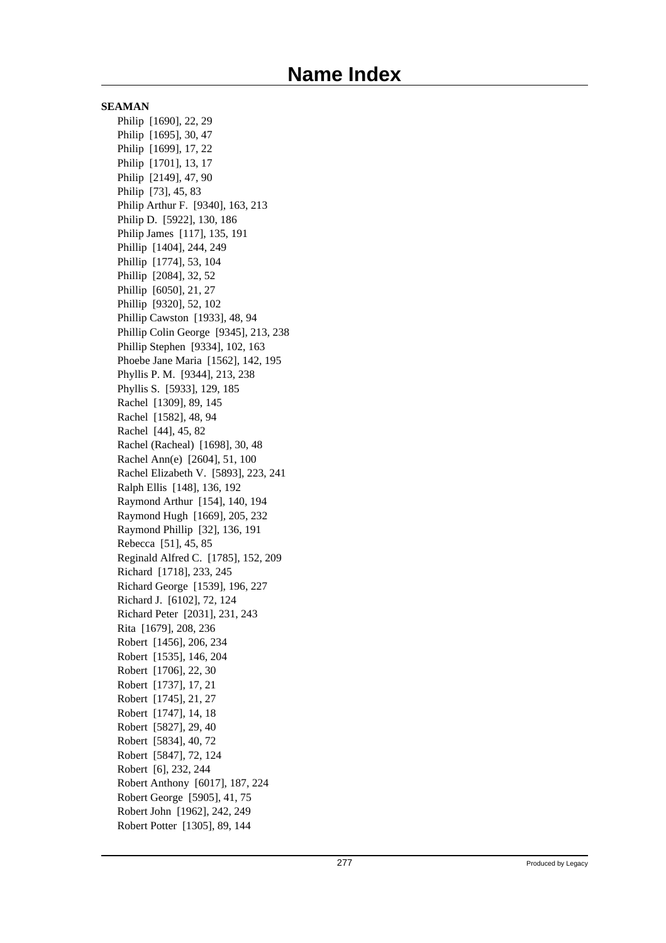Philip [1690], 22, 29 Philip [1695], 30, 47 Philip [1699], 17, 22 Philip [1701], 13, 17 Philip [2149], 47, 90 Philip [73], 45, 83 Philip Arthur F. [9340], 163, 213 Philip D. [5922], 130, 186 Philip James [117], 135, 191 Phillip [1404], 244, 249 Phillip [1774], 53, 104 Phillip [2084], 32, 52 Phillip [6050], 21, 27 Phillip [9320], 52, 102 Phillip Cawston [1933], 48, 94 Phillip Colin George [9345], 213, 238 Phillip Stephen [9334], 102, 163 Phoebe Jane Maria [1562], 142, 195 Phyllis P. M. [9344], 213, 238 Phyllis S. [5933], 129, 185 Rachel [1309], 89, 145 Rachel [1582], 48, 94 Rachel [44], 45, 82 Rachel (Racheal) [1698], 30, 48 Rachel Ann(e) [2604], 51, 100 Rachel Elizabeth V. [5893], 223, 241 Ralph Ellis [148], 136, 192 Raymond Arthur [154], 140, 194 Raymond Hugh [1669], 205, 232 Raymond Phillip [32], 136, 191 Rebecca [51], 45, 85 Reginald Alfred C. [1785], 152, 209 Richard [1718], 233, 245 Richard George [1539], 196, 227 Richard J. [6102], 72, 124 Richard Peter [2031], 231, 243 Rita [1679], 208, 236 Robert [1456], 206, 234 Robert [1535], 146, 204 Robert [1706], 22, 30 Robert [1737], 17, 21 Robert [1745], 21, 27 Robert [1747], 14, 18 Robert [5827], 29, 40 Robert [5834], 40, 72 Robert [5847], 72, 124 Robert [6], 232, 244 Robert Anthony [6017], 187, 224 Robert George [5905], 41, 75 Robert John [1962], 242, 249 Robert Potter [1305], 89, 144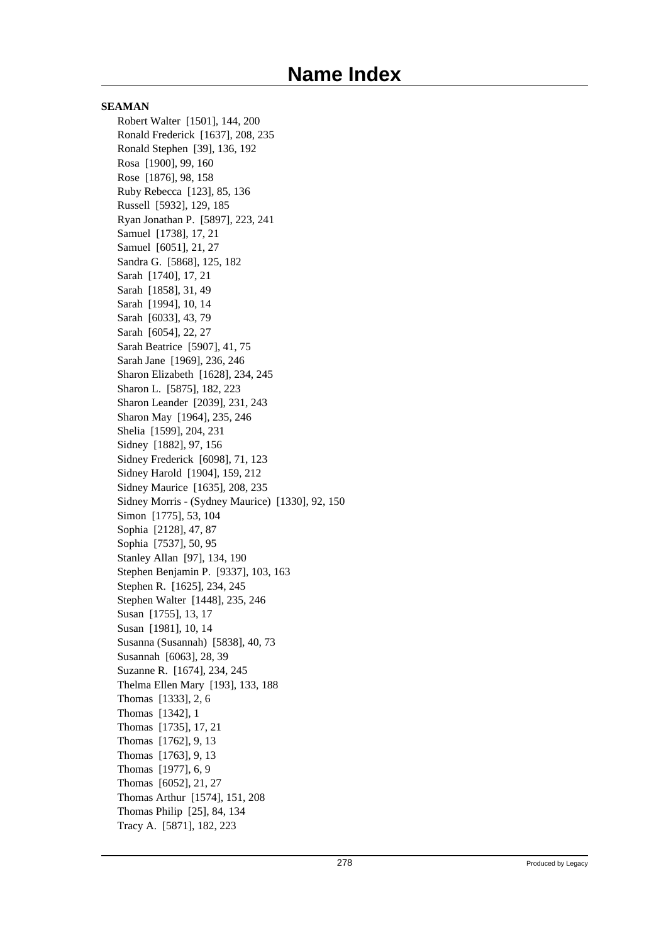**SEAMAN** Robert Walter [1501], 144, 200 Ronald Frederick [1637], 208, 235 Ronald Stephen [39], 136, 192 Rosa [1900], 99, 160 Rose [1876], 98, 158 Ruby Rebecca [123], 85, 136 Russell [5932], 129, 185 Ryan Jonathan P. [5897], 223, 241 Samuel [1738], 17, 21 Samuel [6051], 21, 27 Sandra G. [5868], 125, 182 Sarah [1740], 17, 21 Sarah [1858], 31, 49 Sarah [1994], 10, 14 Sarah [6033], 43, 79 Sarah [6054], 22, 27 Sarah Beatrice [5907], 41, 75 Sarah Jane [1969], 236, 246 Sharon Elizabeth [1628], 234, 245 Sharon L. [5875], 182, 223 Sharon Leander [2039], 231, 243 Sharon May [1964], 235, 246 Shelia [1599], 204, 231 Sidney [1882], 97, 156 Sidney Frederick [6098], 71, 123 Sidney Harold [1904], 159, 212 Sidney Maurice [1635], 208, 235 Sidney Morris - (Sydney Maurice) [1330], 92, 150 Simon [1775], 53, 104 Sophia [2128], 47, 87 Sophia [7537], 50, 95 Stanley Allan [97], 134, 190 Stephen Benjamin P. [9337], 103, 163 Stephen R. [1625], 234, 245 Stephen Walter [1448], 235, 246 Susan [1755], 13, 17 Susan [1981], 10, 14 Susanna (Susannah) [5838], 40, 73 Susannah [6063], 28, 39 Suzanne R. [1674], 234, 245 Thelma Ellen Mary [193], 133, 188 Thomas [1333], 2, 6 Thomas [1342], 1 Thomas [1735], 17, 21 Thomas [1762], 9, 13 Thomas [1763], 9, 13 Thomas [1977], 6, 9 Thomas [6052], 21, 27 Thomas Arthur [1574], 151, 208 Thomas Philip [25], 84, 134 Tracy A. [5871], 182, 223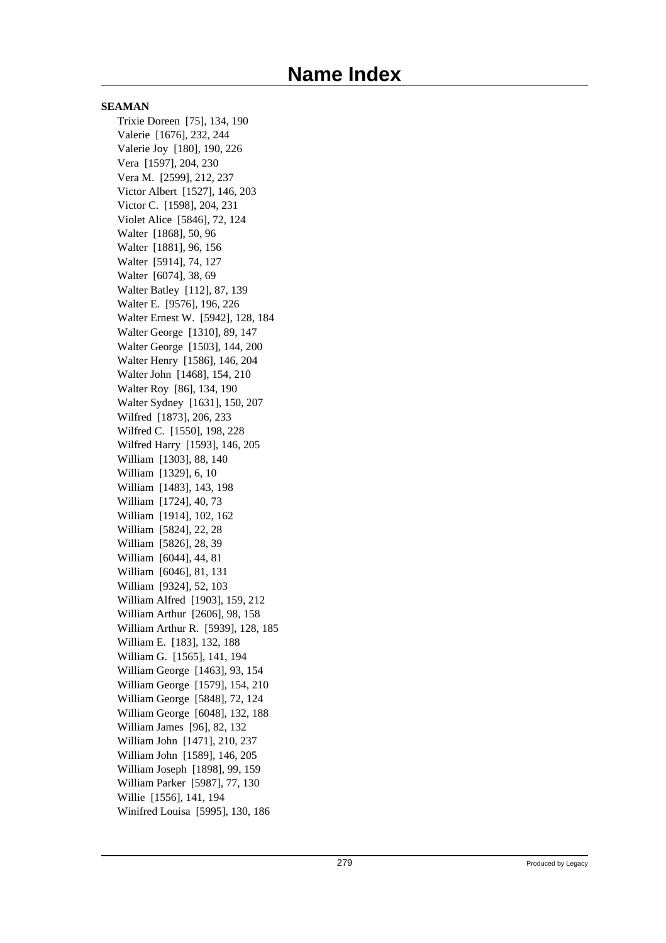**SEAMAN** Trixie Doreen [75], 134, 190 Valerie [1676], 232, 244 Valerie Joy [180], 190, 226 Vera [1597], 204, 230 Vera M. [2599], 212, 237 Victor Albert [1527], 146, 203 Victor C. [1598], 204, 231 Violet Alice [5846], 72, 124 Walter [1868], 50, 96 Walter [1881], 96, 156 Walter [5914], 74, 127 Walter [6074], 38, 69 Walter Batley [112], 87, 139 Walter E. [9576], 196, 226 Walter Ernest W. [5942], 128, 184 Walter George [1310], 89, 147 Walter George [1503], 144, 200 Walter Henry [1586], 146, 204 Walter John [1468], 154, 210 Walter Roy [86], 134, 190 Walter Sydney [1631], 150, 207 Wilfred [1873], 206, 233 Wilfred C. [1550], 198, 228 Wilfred Harry [1593], 146, 205 William [1303], 88, 140 William [1329], 6, 10 William [1483], 143, 198 William [1724], 40, 73 William [1914], 102, 162 William [5824], 22, 28 William [5826], 28, 39 William [6044], 44, 81 William [6046], 81, 131 William [9324], 52, 103 William Alfred [1903], 159, 212 William Arthur [2606], 98, 158 William Arthur R. [5939], 128, 185 William E. [183], 132, 188 William G. [1565], 141, 194 William George [1463], 93, 154 William George [1579], 154, 210 William George [5848], 72, 124 William George [6048], 132, 188 William James [96], 82, 132 William John [1471], 210, 237 William John [1589], 146, 205 William Joseph [1898], 99, 159 William Parker [5987], 77, 130 Willie [1556], 141, 194 Winifred Louisa [5995], 130, 186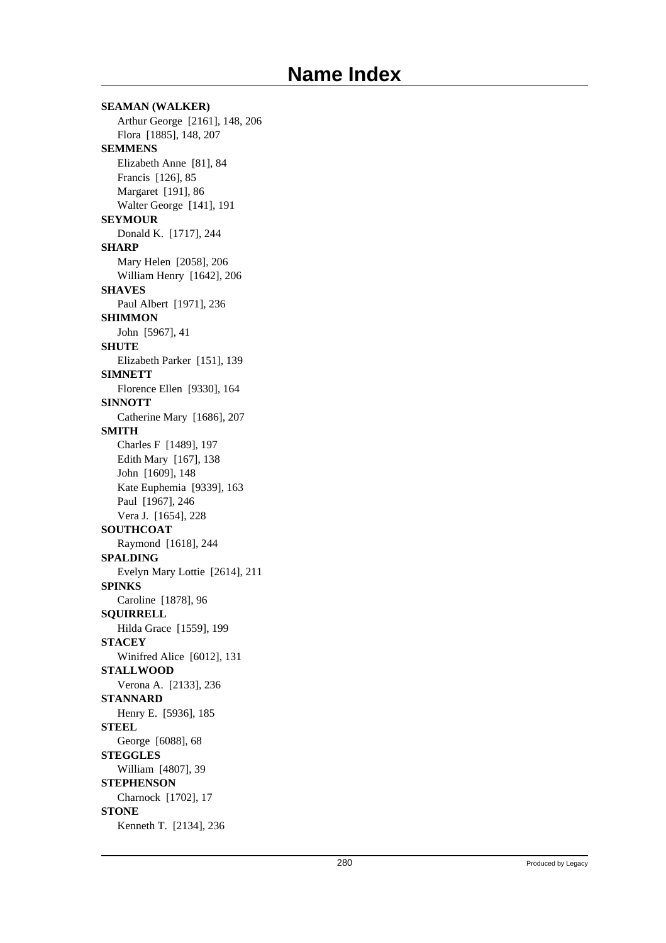**SEAMAN (WALKER)** Arthur George [2161], 148, 206 Flora [1885], 148, 207 **SEMMENS** Elizabeth Anne [81], 84 Francis [126], 85 Margaret [191], 86 Walter George [141], 191 **SEYMOUR** Donald K. [1717], 244 **SHARP** Mary Helen [2058], 206 William Henry [1642], 206 **SHAVES** Paul Albert [1971], 236 **SHIMMON** John [5967], 41 **SHUTE** Elizabeth Parker [151], 139 **SIMNETT** Florence Ellen [9330], 164 **SINNOTT** Catherine Mary [1686], 207 **SMITH** Charles F [1489], 197 Edith Mary [167], 138 John [1609], 148 Kate Euphemia [9339], 163 Paul [1967], 246 Vera J. [1654], 228 **SOUTHCOAT** Raymond [1618], 244 **SPALDING** Evelyn Mary Lottie [2614], 211 **SPINKS** Caroline [1878], 96 **SQUIRRELL** Hilda Grace [1559], 199 **STACEY** Winifred Alice [6012], 131 **STALLWOOD** Verona A. [2133], 236 **STANNARD** Henry E. [5936], 185 **STEEL** George [6088], 68 **STEGGLES** William [4807], 39 **STEPHENSON** Charnock [1702], 17 **STONE** Kenneth T. [2134], 236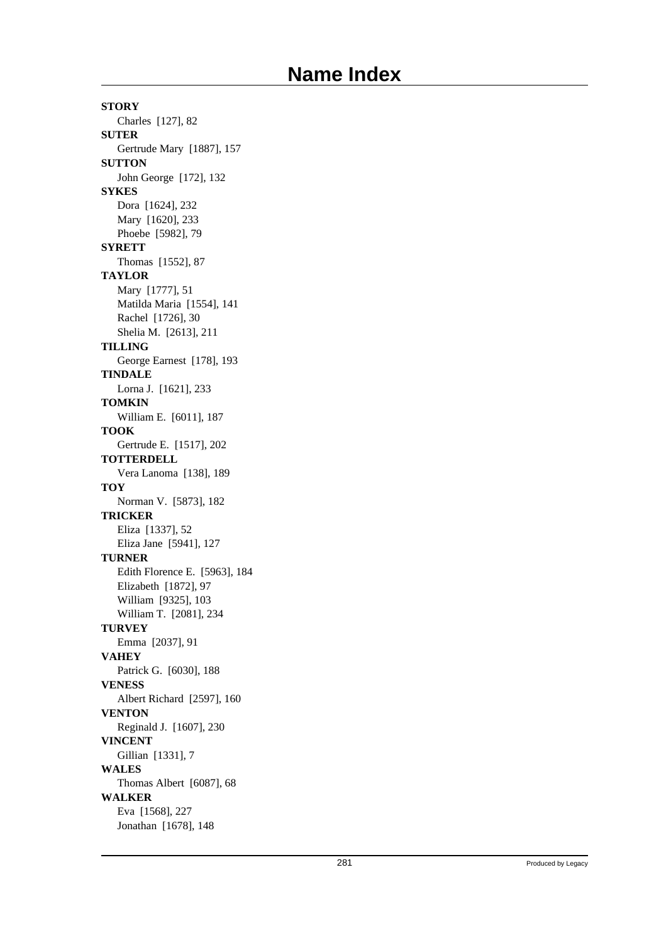**STORY** Charles [127], 82 **SUTER** Gertrude Mary [1887], 157 **SUTTON** John George [172], 132 **SYKES** Dora [1624], 232 Mary [1620], 233 Phoebe [5982], 79 **SYRETT** Thomas [1552], 87 **TAYLOR** Mary [1777], 51 Matilda Maria [1554], 141 Rachel [1726], 30 Shelia M. [2613], 211 **TILLING** George Earnest [178], 193 **TINDALE** Lorna J. [1621], 233 **TOMKIN** William E. [6011], 187 **TOOK** Gertrude E. [1517], 202 **TOTTERDELL** Vera Lanoma [138], 189 **TOY** Norman V. [5873], 182 **TRICKER** Eliza [1337], 52 Eliza Jane [5941], 127 **TURNER** Edith Florence E. [5963], 184 Elizabeth [1872], 97 William [9325], 103 William T. [2081], 234 **TURVEY** Emma [2037], 91 **VAHEY** Patrick G. [6030], 188 **VENESS** Albert Richard [2597], 160 **VENTON** Reginald J. [1607], 230 **VINCENT** Gillian [1331], 7 **WALES** Thomas Albert [6087], 68 **WALKER** Eva [1568], 227 Jonathan [1678], 148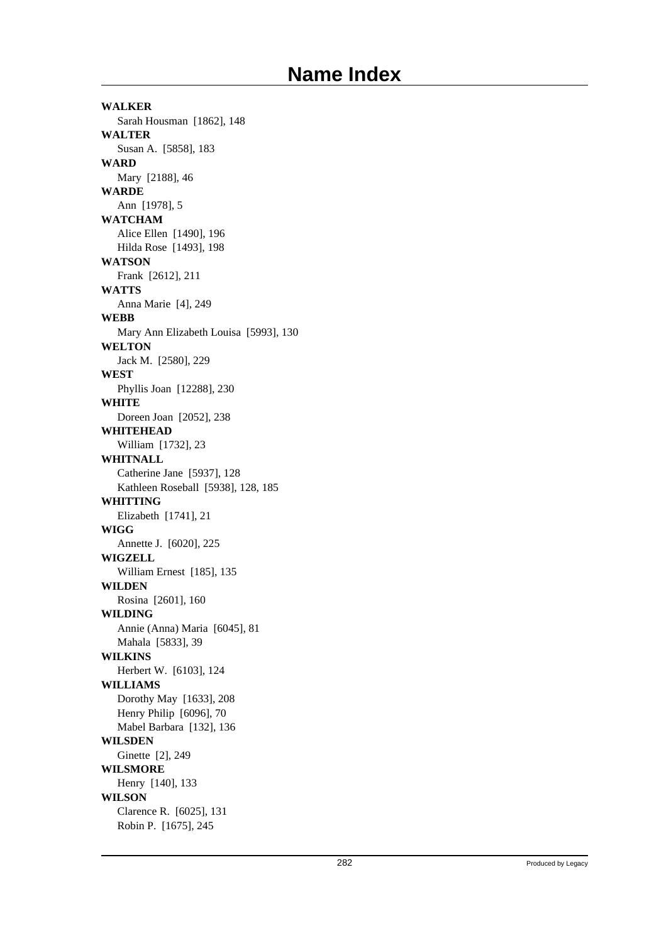**WALKER** Sarah Housman [1862], 148 **WALTER** Susan A. [5858], 183 **WARD** Mary [2188], 46 **WARDE** Ann [1978], 5 **WATCHAM** Alice Ellen [1490], 196 Hilda Rose [1493], 198 **WATSON** Frank [2612], 211 **WATTS** Anna Marie [4], 249 **WEBB** Mary Ann Elizabeth Louisa [5993], 130 **WELTON** Jack M. [2580], 229 **WEST** Phyllis Joan [12288], 230 **WHITE** Doreen Joan [2052], 238 **WHITEHEAD** William [1732], 23 **WHITNALL** Catherine Jane [5937], 128 Kathleen Roseball [5938], 128, 185 **WHITTING** Elizabeth [1741], 21 **WIGG** Annette J. [6020], 225 **WIGZELL** William Ernest [185], 135 **WILDEN** Rosina [2601], 160 **WILDING** Annie (Anna) Maria [6045], 81 Mahala [5833], 39 **WILKINS** Herbert W. [6103], 124 **WILLIAMS** Dorothy May [1633], 208 Henry Philip [6096], 70 Mabel Barbara [132], 136 **WILSDEN** Ginette [2], 249 **WILSMORE** Henry [140], 133 **WILSON** Clarence R. [6025], 131 Robin P. [1675], 245